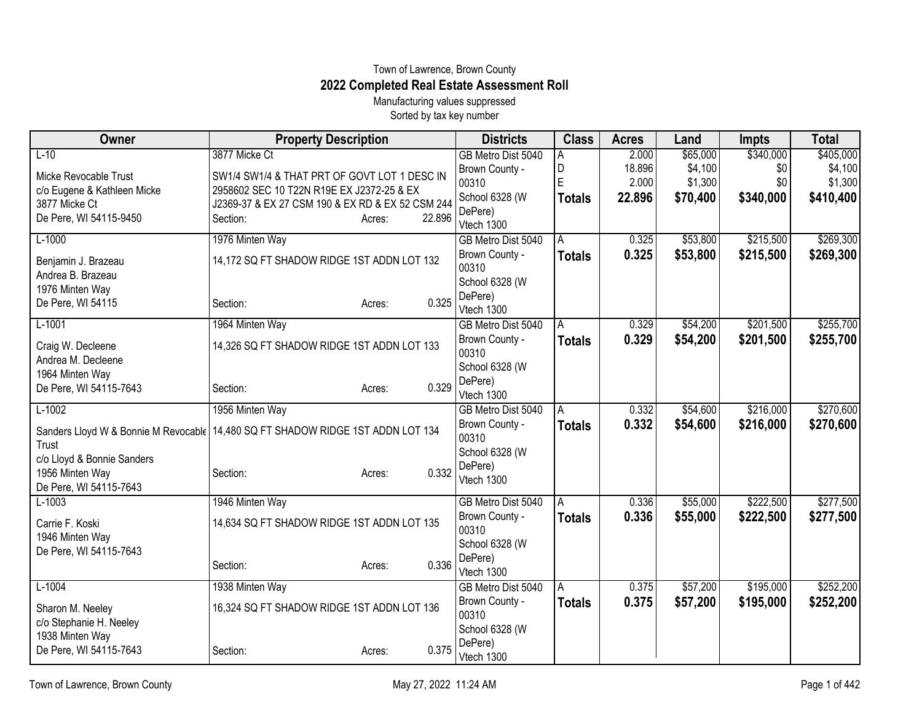## Town of Lawrence, Brown County **2022 Completed Real Estate Assessment Roll**

Manufacturing values suppressed Sorted by tax key number

| Owner                                                                                      | <b>Property Description</b>                      |                  | <b>Districts</b>        | <b>Class</b>   | <b>Acres</b> | Land     | <b>Impts</b> | <b>Total</b> |
|--------------------------------------------------------------------------------------------|--------------------------------------------------|------------------|-------------------------|----------------|--------------|----------|--------------|--------------|
| $L-10$                                                                                     | 3877 Micke Ct                                    |                  | GB Metro Dist 5040      |                | 2.000        | \$65,000 | \$340,000    | \$405,000    |
| Micke Revocable Trust                                                                      | SW1/4 SW1/4 & THAT PRT OF GOVT LOT 1 DESC IN     |                  | Brown County -          | D              | 18.896       | \$4,100  | \$0          | \$4,100      |
| c/o Eugene & Kathleen Micke                                                                | 2958602 SEC 10 T22N R19E EX J2372-25 & EX        |                  | 00310                   | E              | 2.000        | \$1,300  | \$0          | \$1,300      |
| 3877 Micke Ct                                                                              | J2369-37 & EX 27 CSM 190 & EX RD & EX 52 CSM 244 |                  | School 6328 (W          | Totals         | 22.896       | \$70,400 | \$340,000    | \$410,400    |
| De Pere, WI 54115-9450                                                                     | Section:                                         | 22.896<br>Acres: | DePere)                 |                |              |          |              |              |
|                                                                                            |                                                  |                  | Vtech 1300              |                |              |          |              |              |
| $L-1000$                                                                                   | 1976 Minten Way                                  |                  | GB Metro Dist 5040      | A              | 0.325        | \$53,800 | \$215,500    | \$269,300    |
| Benjamin J. Brazeau<br>Andrea B. Brazeau                                                   | 14,172 SQ FT SHADOW RIDGE 1ST ADDN LOT 132       |                  | Brown County -<br>00310 | Totals         | 0.325        | \$53,800 | \$215,500    | \$269,300    |
| 1976 Minten Way                                                                            |                                                  |                  | School 6328 (W          |                |              |          |              |              |
| De Pere, WI 54115                                                                          | Section:                                         | 0.325<br>Acres:  | DePere)                 |                |              |          |              |              |
|                                                                                            |                                                  |                  | Vtech 1300              |                |              |          |              |              |
| $L-1001$                                                                                   | 1964 Minten Way                                  |                  | GB Metro Dist 5040      | A              | 0.329        | \$54,200 | \$201,500    | \$255,700    |
| Craig W. Decleene                                                                          | 14,326 SQ FT SHADOW RIDGE 1ST ADDN LOT 133       |                  | Brown County -          | <b>Totals</b>  | 0.329        | \$54,200 | \$201,500    | \$255,700    |
| Andrea M. Decleene                                                                         |                                                  |                  | 00310                   |                |              |          |              |              |
| 1964 Minten Way                                                                            |                                                  |                  | School 6328 (W          |                |              |          |              |              |
| De Pere, WI 54115-7643                                                                     | Section:                                         | 0.329<br>Acres:  | DePere)                 |                |              |          |              |              |
|                                                                                            |                                                  |                  | Vtech 1300              |                |              |          |              |              |
| $L-1002$                                                                                   | 1956 Minten Way                                  |                  | GB Metro Dist 5040      | $\overline{A}$ | 0.332        | \$54,600 | \$216,000    | \$270,600    |
| Sanders Lloyd W & Bonnie M Revocable   14,480 SQ FT SHADOW RIDGE 1ST ADDN LOT 134<br>Trust |                                                  |                  | Brown County -<br>00310 | <b>Totals</b>  | 0.332        | \$54,600 | \$216,000    | \$270,600    |
| c/o Lloyd & Bonnie Sanders                                                                 |                                                  |                  | School 6328 (W          |                |              |          |              |              |
| 1956 Minten Way                                                                            | Section:                                         | 0.332<br>Acres:  | DePere)                 |                |              |          |              |              |
| De Pere, WI 54115-7643                                                                     |                                                  |                  | Vtech 1300              |                |              |          |              |              |
| $L-1003$                                                                                   | 1946 Minten Way                                  |                  | GB Metro Dist 5040      | A              | 0.336        | \$55,000 | \$222,500    | \$277,500    |
|                                                                                            |                                                  |                  | Brown County -          | <b>Totals</b>  | 0.336        | \$55,000 | \$222,500    | \$277,500    |
| Carrie F. Koski                                                                            | 14,634 SQ FT SHADOW RIDGE 1ST ADDN LOT 135       |                  | 00310                   |                |              |          |              |              |
| 1946 Minten Way                                                                            |                                                  |                  | School 6328 (W          |                |              |          |              |              |
| De Pere, WI 54115-7643                                                                     |                                                  |                  | DePere)                 |                |              |          |              |              |
|                                                                                            | Section:                                         | 0.336<br>Acres:  | Vtech 1300              |                |              |          |              |              |
| $L-1004$                                                                                   | 1938 Minten Way                                  |                  | GB Metro Dist 5040      | A              | 0.375        | \$57,200 | \$195,000    | \$252,200    |
| Sharon M. Neeley                                                                           | 16,324 SQ FT SHADOW RIDGE 1ST ADDN LOT 136       |                  | Brown County -          | <b>Totals</b>  | 0.375        | \$57,200 | \$195,000    | \$252,200    |
| c/o Stephanie H. Neeley                                                                    |                                                  |                  | 00310                   |                |              |          |              |              |
| 1938 Minten Way                                                                            |                                                  |                  | School 6328 (W          |                |              |          |              |              |
| De Pere, WI 54115-7643                                                                     | Section:                                         | 0.375<br>Acres:  | DePere)                 |                |              |          |              |              |
|                                                                                            |                                                  |                  | Vtech 1300              |                |              |          |              |              |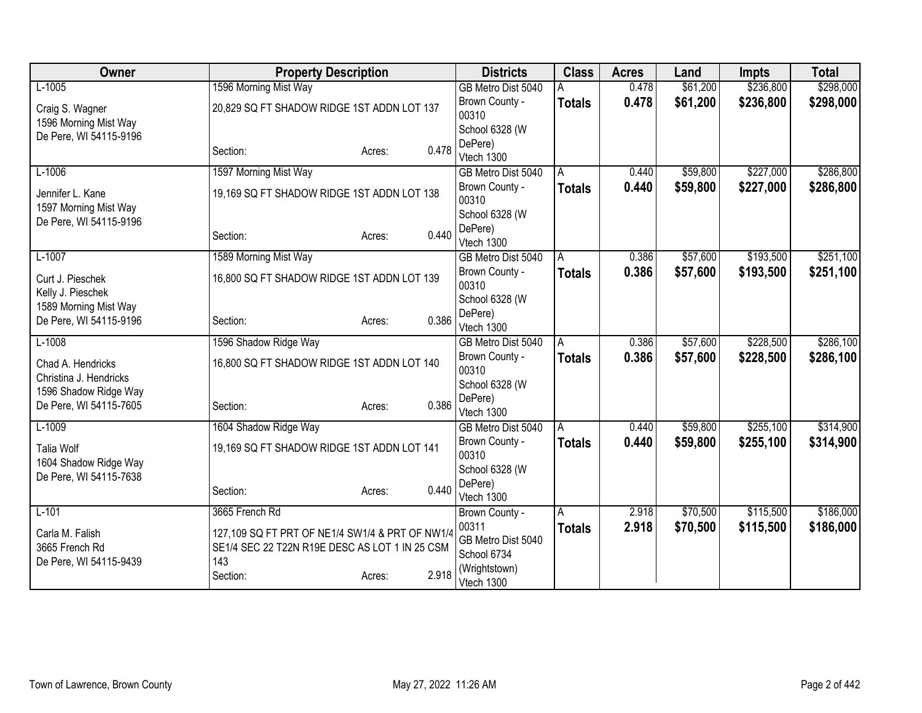| Owner                  | <b>Property Description</b>                     | <b>Districts</b> | <b>Class</b>            | <b>Acres</b>  | Land  | <b>Impts</b> | <b>Total</b> |           |
|------------------------|-------------------------------------------------|------------------|-------------------------|---------------|-------|--------------|--------------|-----------|
| $L-1005$               | 1596 Morning Mist Way                           |                  | GB Metro Dist 5040      |               | 0.478 | \$61,200     | \$236,800    | \$298,000 |
| Craig S. Wagner        | 20,829 SQ FT SHADOW RIDGE 1ST ADDN LOT 137      |                  | Brown County -          | <b>Totals</b> | 0.478 | \$61,200     | \$236,800    | \$298,000 |
| 1596 Morning Mist Way  |                                                 |                  | 00310                   |               |       |              |              |           |
| De Pere, WI 54115-9196 |                                                 |                  | School 6328 (W          |               |       |              |              |           |
|                        | Section:                                        | 0.478<br>Acres:  | DePere)<br>Vtech 1300   |               |       |              |              |           |
| $L-1006$               | 1597 Morning Mist Way                           |                  | GB Metro Dist 5040      | A             | 0.440 | \$59,800     | \$227,000    | \$286,800 |
|                        |                                                 |                  | Brown County -          | <b>Totals</b> | 0.440 | \$59,800     | \$227,000    | \$286,800 |
| Jennifer L. Kane       | 19,169 SQ FT SHADOW RIDGE 1ST ADDN LOT 138      |                  | 00310                   |               |       |              |              |           |
| 1597 Morning Mist Way  |                                                 |                  | School 6328 (W          |               |       |              |              |           |
| De Pere, WI 54115-9196 |                                                 |                  | DePere)                 |               |       |              |              |           |
|                        | Section:                                        | 0.440<br>Acres:  | Vtech 1300              |               |       |              |              |           |
| $L-1007$               | 1589 Morning Mist Way                           |                  | GB Metro Dist 5040      | A             | 0.386 | \$57,600     | \$193,500    | \$251,100 |
| Curt J. Pieschek       | 16,800 SQ FT SHADOW RIDGE 1ST ADDN LOT 139      |                  | Brown County -          | <b>Totals</b> | 0.386 | \$57,600     | \$193,500    | \$251,100 |
| Kelly J. Pieschek      |                                                 |                  | 00310                   |               |       |              |              |           |
| 1589 Morning Mist Way  |                                                 |                  | School 6328 (W          |               |       |              |              |           |
| De Pere, WI 54115-9196 | Section:                                        | 0.386<br>Acres:  | DePere)                 |               |       |              |              |           |
|                        |                                                 |                  | Vtech 1300              |               |       |              |              |           |
| $L-1008$               | 1596 Shadow Ridge Way                           |                  | GB Metro Dist 5040      | A             | 0.386 | \$57,600     | \$228,500    | \$286,100 |
| Chad A. Hendricks      | 16,800 SQ FT SHADOW RIDGE 1ST ADDN LOT 140      |                  | Brown County -<br>00310 | <b>Totals</b> | 0.386 | \$57,600     | \$228,500    | \$286,100 |
| Christina J. Hendricks |                                                 |                  | School 6328 (W          |               |       |              |              |           |
| 1596 Shadow Ridge Way  |                                                 |                  | DePere)                 |               |       |              |              |           |
| De Pere, WI 54115-7605 | Section:                                        | 0.386<br>Acres:  | Vtech 1300              |               |       |              |              |           |
| $L-1009$               | 1604 Shadow Ridge Way                           |                  | GB Metro Dist 5040      | A             | 0.440 | \$59,800     | \$255,100    | \$314,900 |
| <b>Talia Wolf</b>      | 19,169 SQ FT SHADOW RIDGE 1ST ADDN LOT 141      |                  | Brown County -          | <b>Totals</b> | 0.440 | \$59,800     | \$255,100    | \$314,900 |
| 1604 Shadow Ridge Way  |                                                 |                  | 00310                   |               |       |              |              |           |
| De Pere, WI 54115-7638 |                                                 |                  | School 6328 (W          |               |       |              |              |           |
|                        | Section:                                        | 0.440<br>Acres:  | DePere)                 |               |       |              |              |           |
|                        |                                                 |                  | Vtech 1300              |               |       |              |              |           |
| $L-101$                | 3665 French Rd                                  |                  | Brown County -<br>00311 | A             | 2.918 | \$70,500     | \$115,500    | \$186,000 |
| Carla M. Falish        | 127,109 SQ FT PRT OF NE1/4 SW1/4 & PRT OF NW1/4 |                  | GB Metro Dist 5040      | <b>Totals</b> | 2.918 | \$70,500     | \$115,500    | \$186,000 |
| 3665 French Rd         | SE1/4 SEC 22 T22N R19E DESC AS LOT 1 IN 25 CSM  |                  | School 6734             |               |       |              |              |           |
| De Pere, WI 54115-9439 | 143                                             |                  | (Wrightstown)           |               |       |              |              |           |
|                        | Section:                                        | 2.918<br>Acres:  | Vtech 1300              |               |       |              |              |           |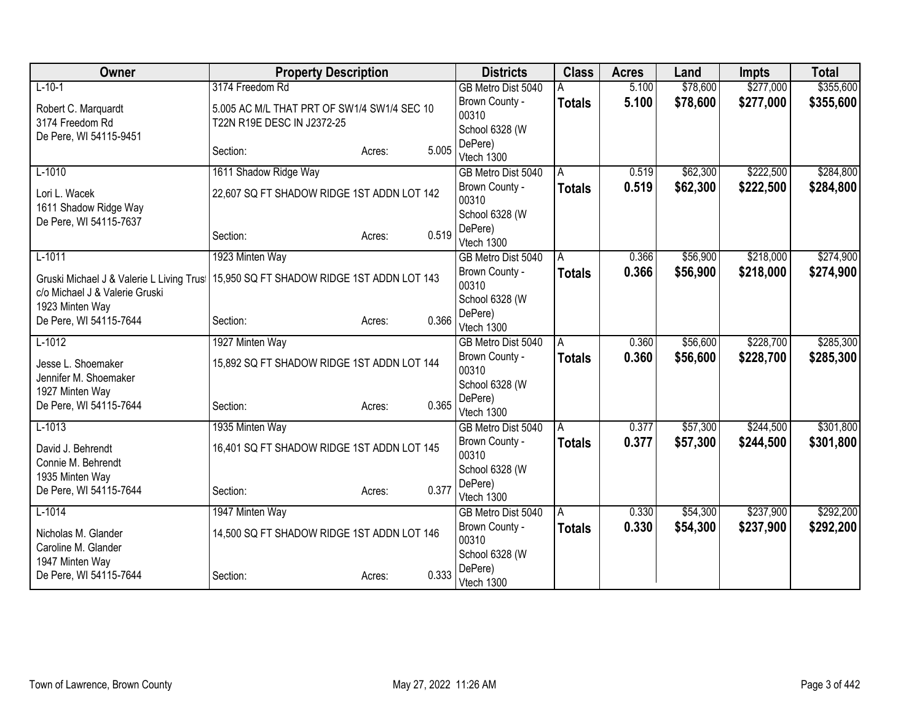| Owner                                                                      | <b>Property Description</b>                 |                 | <b>Districts</b>                        | <b>Class</b>  | <b>Acres</b> | Land     | <b>Impts</b> | <b>Total</b> |
|----------------------------------------------------------------------------|---------------------------------------------|-----------------|-----------------------------------------|---------------|--------------|----------|--------------|--------------|
| $L-10-1$                                                                   | 3174 Freedom Rd                             |                 | GB Metro Dist 5040                      |               | 5.100        | \$78,600 | \$277,000    | \$355,600    |
| Robert C. Marquardt                                                        | 5.005 AC M/L THAT PRT OF SW1/4 SW1/4 SEC 10 |                 | Brown County -                          | <b>Totals</b> | 5.100        | \$78,600 | \$277,000    | \$355,600    |
| 3174 Freedom Rd                                                            | T22N R19E DESC IN J2372-25                  |                 | 00310                                   |               |              |          |              |              |
| De Pere, WI 54115-9451                                                     |                                             |                 | School 6328 (W                          |               |              |          |              |              |
|                                                                            | Section:                                    | 5.005<br>Acres: | DePere)<br>Vtech 1300                   |               |              |          |              |              |
| $L-1010$                                                                   | 1611 Shadow Ridge Way                       |                 | GB Metro Dist 5040                      | A             | 0.519        | \$62,300 | \$222,500    | \$284,800    |
| Lori L. Wacek                                                              | 22,607 SQ FT SHADOW RIDGE 1ST ADDN LOT 142  |                 | Brown County -<br>00310                 | <b>Totals</b> | 0.519        | \$62,300 | \$222,500    | \$284,800    |
| 1611 Shadow Ridge Way<br>De Pere, WI 54115-7637                            |                                             |                 | School 6328 (W                          |               |              |          |              |              |
|                                                                            | Section:                                    | 0.519<br>Acres: | DePere)<br>Vtech 1300                   |               |              |          |              |              |
| $L-1011$                                                                   | 1923 Minten Way                             |                 | GB Metro Dist 5040                      | A             | 0.366        | \$56,900 | \$218,000    | \$274,900    |
| Gruski Michael J & Valerie L Living Trus<br>c/o Michael J & Valerie Gruski | 15,950 SQ FT SHADOW RIDGE 1ST ADDN LOT 143  |                 | Brown County -<br>00310                 | <b>Totals</b> | 0.366        | \$56,900 | \$218,000    | \$274,900    |
| 1923 Minten Way                                                            |                                             |                 | School 6328 (W                          |               |              |          |              |              |
| De Pere, WI 54115-7644                                                     | Section:                                    | 0.366<br>Acres: | DePere)<br>Vtech 1300                   |               |              |          |              |              |
| $L-1012$                                                                   | 1927 Minten Way                             |                 | GB Metro Dist 5040                      | A             | 0.360        | \$56,600 | \$228,700    | \$285,300    |
| Jesse L. Shoemaker<br>Jennifer M. Shoemaker                                | 15,892 SQ FT SHADOW RIDGE 1ST ADDN LOT 144  |                 | Brown County -<br>00310                 | <b>Totals</b> | 0.360        | \$56,600 | \$228,700    | \$285,300    |
| 1927 Minten Way                                                            |                                             |                 | School 6328 (W                          |               |              |          |              |              |
| De Pere, WI 54115-7644                                                     | Section:                                    | 0.365<br>Acres: | DePere)<br>Vtech 1300                   |               |              |          |              |              |
| $L-1013$                                                                   | 1935 Minten Way                             |                 | GB Metro Dist 5040                      | A             | 0.377        | \$57,300 | \$244,500    | \$301,800    |
| David J. Behrendt<br>Connie M. Behrendt                                    | 16,401 SQ FT SHADOW RIDGE 1ST ADDN LOT 145  |                 | Brown County -<br>00310                 | <b>Totals</b> | 0.377        | \$57,300 | \$244,500    | \$301,800    |
| 1935 Minten Way<br>De Pere, WI 54115-7644                                  | Section:                                    | 0.377<br>Acres: | School 6328 (W<br>DePere)               |               |              |          |              |              |
|                                                                            |                                             |                 | Vtech 1300                              |               |              |          |              |              |
| $L-1014$                                                                   | 1947 Minten Way                             |                 | GB Metro Dist 5040                      | l A           | 0.330        | \$54,300 | \$237,900    | \$292,200    |
| Nicholas M. Glander<br>Caroline M. Glander                                 | 14,500 SQ FT SHADOW RIDGE 1ST ADDN LOT 146  |                 | Brown County -<br>00310                 | <b>Totals</b> | 0.330        | \$54,300 | \$237,900    | \$292,200    |
| 1947 Minten Way<br>De Pere, WI 54115-7644                                  | Section:                                    | 0.333<br>Acres: | School 6328 (W<br>DePere)<br>Vtech 1300 |               |              |          |              |              |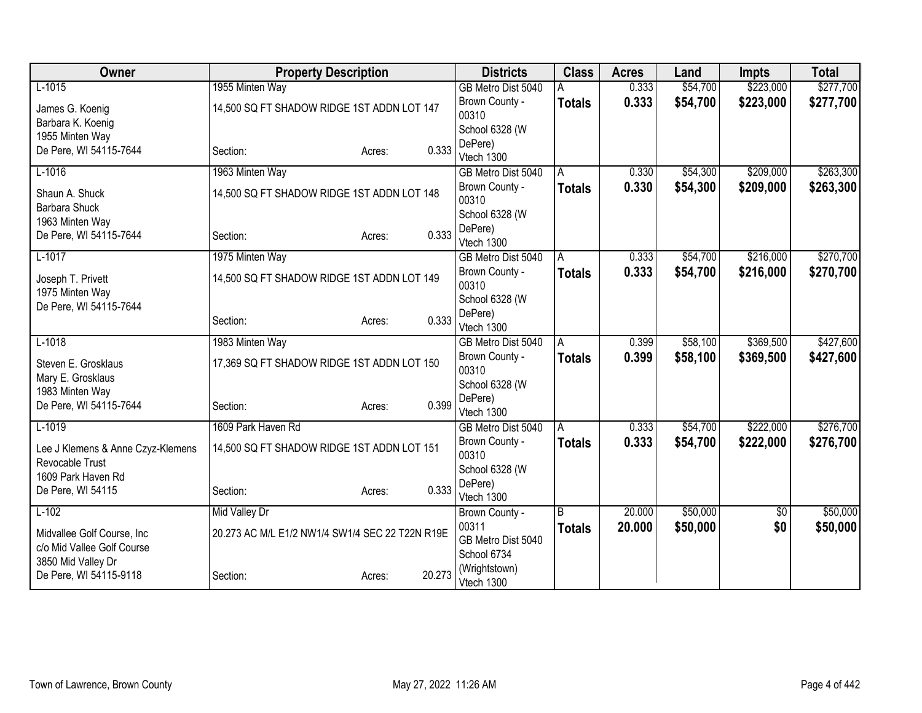| Owner                                        | <b>Property Description</b>                     |                 | <b>Districts</b>        | <b>Class</b>  | <b>Acres</b> | Land     | <b>Impts</b>  | <b>Total</b> |
|----------------------------------------------|-------------------------------------------------|-----------------|-------------------------|---------------|--------------|----------|---------------|--------------|
| $L-1015$                                     | 1955 Minten Way                                 |                 | GB Metro Dist 5040      |               | 0.333        | \$54,700 | \$223,000     | \$277,700    |
| James G. Koenig                              | 14,500 SQ FT SHADOW RIDGE 1ST ADDN LOT 147      |                 | Brown County -          | <b>Totals</b> | 0.333        | \$54,700 | \$223,000     | \$277,700    |
| Barbara K. Koenig                            |                                                 |                 | 00310                   |               |              |          |               |              |
| 1955 Minten Way                              |                                                 |                 | School 6328 (W          |               |              |          |               |              |
| De Pere, WI 54115-7644                       | Section:                                        | 0.333<br>Acres: | DePere)                 |               |              |          |               |              |
|                                              |                                                 |                 | Vtech 1300              |               |              |          |               |              |
| $L-1016$                                     | 1963 Minten Way                                 |                 | GB Metro Dist 5040      | A             | 0.330        | \$54,300 | \$209,000     | \$263,300    |
| Shaun A. Shuck<br><b>Barbara Shuck</b>       | 14,500 SQ FT SHADOW RIDGE 1ST ADDN LOT 148      |                 | Brown County -<br>00310 | <b>Totals</b> | 0.330        | \$54,300 | \$209,000     | \$263,300    |
| 1963 Minten Way                              |                                                 |                 | School 6328 (W          |               |              |          |               |              |
| De Pere, WI 54115-7644                       | Section:                                        | 0.333<br>Acres: | DePere)                 |               |              |          |               |              |
|                                              |                                                 |                 | Vtech 1300              |               |              |          |               |              |
| $L-1017$                                     | 1975 Minten Way                                 |                 | GB Metro Dist 5040      | A             | 0.333        | \$54,700 | \$216,000     | \$270,700    |
| Joseph T. Privett                            | 14,500 SQ FT SHADOW RIDGE 1ST ADDN LOT 149      |                 | Brown County -<br>00310 | <b>Totals</b> | 0.333        | \$54,700 | \$216,000     | \$270,700    |
| 1975 Minten Way                              |                                                 |                 | School 6328 (W          |               |              |          |               |              |
| De Pere, WI 54115-7644                       |                                                 | 0.333           | DePere)                 |               |              |          |               |              |
|                                              | Section:                                        | Acres:          | Vtech 1300              |               |              |          |               |              |
| $L-1018$                                     | 1983 Minten Way                                 |                 | GB Metro Dist 5040      | A             | 0.399        | \$58,100 | \$369,500     | \$427,600    |
| Steven E. Grosklaus                          | 17,369 SQ FT SHADOW RIDGE 1ST ADDN LOT 150      |                 | Brown County -          | <b>Totals</b> | 0.399        | \$58,100 | \$369,500     | \$427,600    |
| Mary E. Grosklaus                            |                                                 |                 | 00310                   |               |              |          |               |              |
| 1983 Minten Way                              |                                                 |                 | School 6328 (W          |               |              |          |               |              |
| De Pere, WI 54115-7644                       | Section:                                        | 0.399<br>Acres: | DePere)                 |               |              |          |               |              |
|                                              |                                                 |                 | Vtech 1300              |               |              |          |               |              |
| $L-1019$                                     | 1609 Park Haven Rd                              |                 | GB Metro Dist 5040      | A             | 0.333        | \$54,700 | \$222,000     | \$276,700    |
| Lee J Klemens & Anne Czyz-Klemens            | 14,500 SQ FT SHADOW RIDGE 1ST ADDN LOT 151      |                 | Brown County -<br>00310 | <b>Totals</b> | 0.333        | \$54,700 | \$222,000     | \$276,700    |
| Revocable Trust                              |                                                 |                 | School 6328 (W          |               |              |          |               |              |
| 1609 Park Haven Rd                           |                                                 |                 | DePere)                 |               |              |          |               |              |
| De Pere, WI 54115                            | Section:                                        | 0.333<br>Acres: | Vtech 1300              |               |              |          |               |              |
| $L-102$                                      | <b>Mid Valley Dr</b>                            |                 | Brown County -          | B             | 20.000       | \$50,000 | $\sqrt[6]{3}$ | \$50,000     |
|                                              |                                                 |                 | 00311                   | <b>Totals</b> | 20.000       | \$50,000 | \$0           | \$50,000     |
| Midvallee Golf Course, Inc                   | 20.273 AC M/L E1/2 NW1/4 SW1/4 SEC 22 T22N R19E |                 | GB Metro Dist 5040      |               |              |          |               |              |
| c/o Mid Vallee Golf Course                   |                                                 |                 | School 6734             |               |              |          |               |              |
| 3850 Mid Valley Dr<br>De Pere, WI 54115-9118 |                                                 | 20.273          | (Wrightstown)           |               |              |          |               |              |
|                                              | Section:                                        | Acres:          | Vtech 1300              |               |              |          |               |              |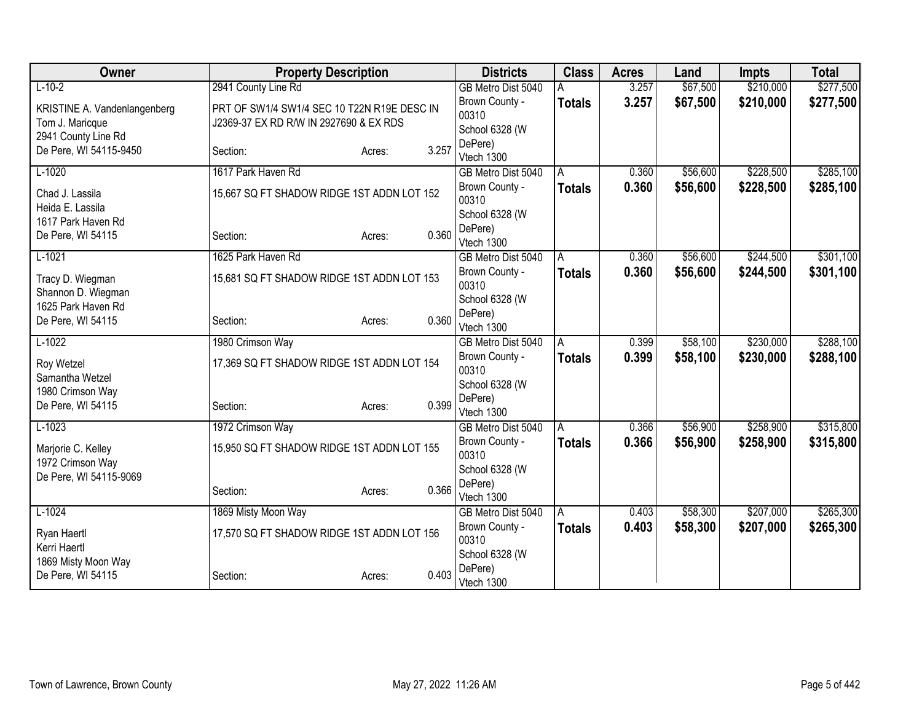| Owner                                      | <b>Property Description</b>                 |                 | <b>Districts</b>                 | <b>Class</b>  | <b>Acres</b> | Land     | <b>Impts</b> | <b>Total</b> |
|--------------------------------------------|---------------------------------------------|-----------------|----------------------------------|---------------|--------------|----------|--------------|--------------|
| $L-10-2$                                   | 2941 County Line Rd                         |                 | GB Metro Dist 5040               |               | 3.257        | \$67,500 | \$210,000    | \$277,500    |
| KRISTINE A. Vandenlangenberg               | PRT OF SW1/4 SW1/4 SEC 10 T22N R19E DESC IN |                 | Brown County -                   | <b>Totals</b> | 3.257        | \$67,500 | \$210,000    | \$277,500    |
| Tom J. Maricque                            | J2369-37 EX RD R/W IN 2927690 & EX RDS      |                 | 00310                            |               |              |          |              |              |
| 2941 County Line Rd                        |                                             |                 | School 6328 (W                   |               |              |          |              |              |
| De Pere, WI 54115-9450                     | Section:                                    | 3.257<br>Acres: | DePere)<br>Vtech 1300            |               |              |          |              |              |
| $L-1020$                                   | 1617 Park Haven Rd                          |                 | GB Metro Dist 5040               | A             | 0.360        | \$56,600 | \$228,500    | \$285,100    |
| Chad J. Lassila<br>Heida E. Lassila        | 15,667 SQ FT SHADOW RIDGE 1ST ADDN LOT 152  |                 | Brown County -<br>00310          | <b>Totals</b> | 0.360        | \$56,600 | \$228,500    | \$285,100    |
| 1617 Park Haven Rd                         |                                             |                 | School 6328 (W                   |               |              |          |              |              |
| De Pere, WI 54115                          | Section:                                    | 0.360<br>Acres: | DePere)<br>Vtech 1300            |               |              |          |              |              |
| $L-1021$                                   | 1625 Park Haven Rd                          |                 | GB Metro Dist 5040               | A             | 0.360        | \$56,600 | \$244,500    | \$301,100    |
| Tracy D. Wiegman<br>Shannon D. Wiegman     | 15,681 SQ FT SHADOW RIDGE 1ST ADDN LOT 153  |                 | Brown County -<br>00310          | <b>Totals</b> | 0.360        | \$56,600 | \$244,500    | \$301,100    |
| 1625 Park Haven Rd                         |                                             |                 | School 6328 (W                   |               |              |          |              |              |
| De Pere, WI 54115                          | Section:                                    | 0.360<br>Acres: | DePere)<br>Vtech 1300            |               |              |          |              |              |
| $L-1022$                                   | 1980 Crimson Way                            |                 | GB Metro Dist 5040               | A             | 0.399        | \$58,100 | \$230,000    | \$288,100    |
| Roy Wetzel<br>Samantha Wetzel              | 17,369 SQ FT SHADOW RIDGE 1ST ADDN LOT 154  |                 | Brown County -<br>00310          | <b>Totals</b> | 0.399        | \$58,100 | \$230,000    | \$288,100    |
| 1980 Crimson Way                           |                                             |                 | School 6328 (W                   |               |              |          |              |              |
| De Pere, WI 54115                          | Section:                                    | 0.399<br>Acres: | DePere)                          |               |              |          |              |              |
| $L-1023$                                   | 1972 Crimson Way                            |                 | Vtech 1300<br>GB Metro Dist 5040 | l A           | 0.366        | \$56,900 | \$258,900    | \$315,800    |
|                                            |                                             |                 | Brown County -                   | <b>Totals</b> | 0.366        | \$56,900 | \$258,900    | \$315,800    |
| Marjorie C. Kelley                         | 15,950 SQ FT SHADOW RIDGE 1ST ADDN LOT 155  |                 | 00310                            |               |              |          |              |              |
| 1972 Crimson Way<br>De Pere, WI 54115-9069 |                                             |                 | School 6328 (W                   |               |              |          |              |              |
|                                            | Section:                                    | 0.366<br>Acres: | DePere)                          |               |              |          |              |              |
|                                            |                                             |                 | Vtech 1300                       |               |              |          |              |              |
| $L-1024$                                   | 1869 Misty Moon Way                         |                 | GB Metro Dist 5040               | l A           | 0.403        | \$58,300 | \$207,000    | \$265,300    |
| Ryan Haertl<br>Kerri Haertl                | 17,570 SQ FT SHADOW RIDGE 1ST ADDN LOT 156  |                 | Brown County -<br>00310          | <b>Totals</b> | 0.403        | \$58,300 | \$207,000    | \$265,300    |
| 1869 Misty Moon Way                        |                                             |                 | School 6328 (W                   |               |              |          |              |              |
| De Pere, WI 54115                          | Section:                                    | 0.403<br>Acres: | DePere)<br>Vtech 1300            |               |              |          |              |              |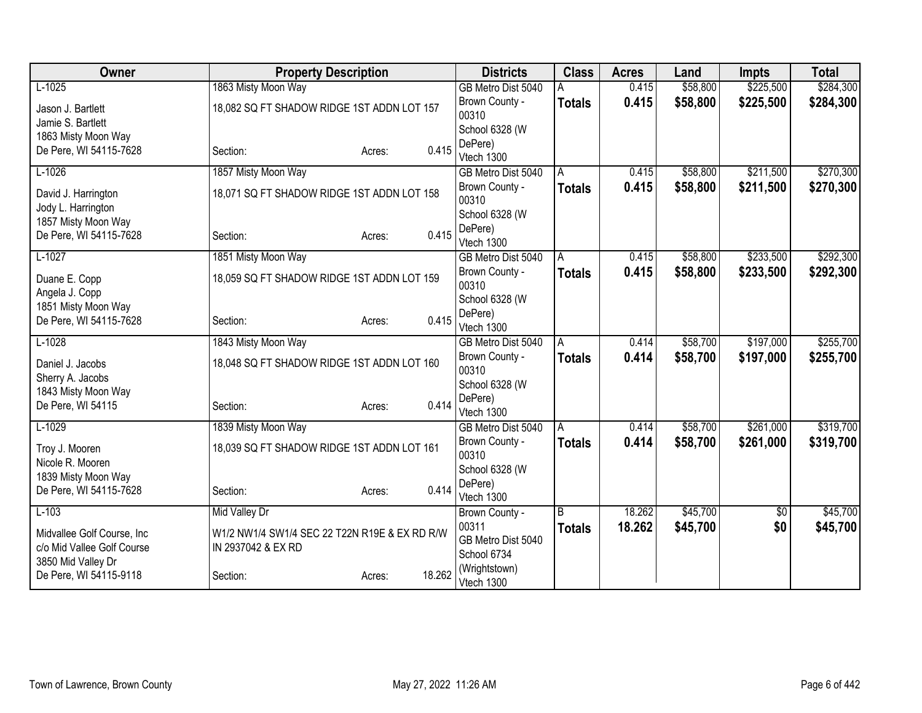| Owner                                     | <b>Property Description</b>                   |                  | <b>Districts</b>            | <b>Class</b>  | <b>Acres</b> | Land     | <b>Impts</b> | <b>Total</b> |
|-------------------------------------------|-----------------------------------------------|------------------|-----------------------------|---------------|--------------|----------|--------------|--------------|
| $L-1025$                                  | 1863 Misty Moon Way                           |                  | GB Metro Dist 5040          |               | 0.415        | \$58,800 | \$225,500    | \$284,300    |
| Jason J. Bartlett                         | 18,082 SQ FT SHADOW RIDGE 1ST ADDN LOT 157    |                  | Brown County -              | <b>Totals</b> | 0.415        | \$58,800 | \$225,500    | \$284,300    |
| Jamie S. Bartlett                         |                                               |                  | 00310                       |               |              |          |              |              |
| 1863 Misty Moon Way                       |                                               |                  | School 6328 (W              |               |              |          |              |              |
| De Pere, WI 54115-7628                    | Section:                                      | 0.415<br>Acres:  | DePere)                     |               |              |          |              |              |
|                                           |                                               |                  | Vtech 1300                  |               |              |          |              |              |
| $L-1026$                                  | 1857 Misty Moon Way                           |                  | GB Metro Dist 5040          | Α             | 0.415        | \$58,800 | \$211,500    | \$270,300    |
| David J. Harrington<br>Jody L. Harrington | 18,071 SQ FT SHADOW RIDGE 1ST ADDN LOT 158    |                  | Brown County -<br>00310     | <b>Totals</b> | 0.415        | \$58,800 | \$211,500    | \$270,300    |
| 1857 Misty Moon Way                       |                                               |                  | School 6328 (W              |               |              |          |              |              |
| De Pere, WI 54115-7628                    | Section:                                      | 0.415<br>Acres:  | DePere)                     |               |              |          |              |              |
|                                           |                                               |                  | Vtech 1300                  |               |              |          |              |              |
| $L-1027$                                  | 1851 Misty Moon Way                           |                  | GB Metro Dist 5040          | A             | 0.415        | \$58,800 | \$233,500    | \$292,300    |
| Duane E. Copp                             | 18,059 SQ FT SHADOW RIDGE 1ST ADDN LOT 159    |                  | Brown County -<br>00310     | <b>Totals</b> | 0.415        | \$58,800 | \$233,500    | \$292,300    |
| Angela J. Copp<br>1851 Misty Moon Way     |                                               |                  | School 6328 (W              |               |              |          |              |              |
| De Pere, WI 54115-7628                    | Section:                                      | 0.415<br>Acres:  | DePere)                     |               |              |          |              |              |
|                                           |                                               |                  | Vtech 1300                  |               |              |          |              |              |
| $L-1028$                                  | 1843 Misty Moon Way                           |                  | GB Metro Dist 5040          | A             | 0.414        | \$58,700 | \$197,000    | \$255,700    |
| Daniel J. Jacobs                          | 18,048 SQ FT SHADOW RIDGE 1ST ADDN LOT 160    |                  | Brown County -<br>00310     | <b>Totals</b> | 0.414        | \$58,700 | \$197,000    | \$255,700    |
| Sherry A. Jacobs                          |                                               |                  | School 6328 (W              |               |              |          |              |              |
| 1843 Misty Moon Way                       |                                               |                  | DePere)                     |               |              |          |              |              |
| De Pere, WI 54115                         | Section:                                      | 0.414<br>Acres:  | Vtech 1300                  |               |              |          |              |              |
| $L-1029$                                  | 1839 Misty Moon Way                           |                  | GB Metro Dist 5040          | A             | 0.414        | \$58,700 | \$261,000    | \$319,700    |
| Troy J. Mooren                            | 18,039 SQ FT SHADOW RIDGE 1ST ADDN LOT 161    |                  | Brown County -              | <b>Totals</b> | 0.414        | \$58,700 | \$261,000    | \$319,700    |
| Nicole R. Mooren                          |                                               |                  | 00310                       |               |              |          |              |              |
| 1839 Misty Moon Way                       |                                               |                  | School 6328 (W              |               |              |          |              |              |
| De Pere, WI 54115-7628                    | Section:                                      | 0.414<br>Acres:  | DePere)                     |               |              |          |              |              |
|                                           |                                               |                  | Vtech 1300                  |               |              |          |              |              |
| $L-103$                                   | <b>Mid Valley Dr</b>                          |                  | Brown County -              | B             | 18.262       | \$45,700 | \$0          | \$45,700     |
| Midvallee Golf Course, Inc.               | W1/2 NW1/4 SW1/4 SEC 22 T22N R19E & EX RD R/W |                  | 00311                       | <b>Totals</b> | 18.262       | \$45,700 | \$0          | \$45,700     |
| c/o Mid Vallee Golf Course                | IN 2937042 & EX RD                            |                  | GB Metro Dist 5040          |               |              |          |              |              |
| 3850 Mid Valley Dr                        |                                               |                  | School 6734                 |               |              |          |              |              |
| De Pere, WI 54115-9118                    | Section:                                      | 18.262<br>Acres: | (Wrightstown)<br>Vtech 1300 |               |              |          |              |              |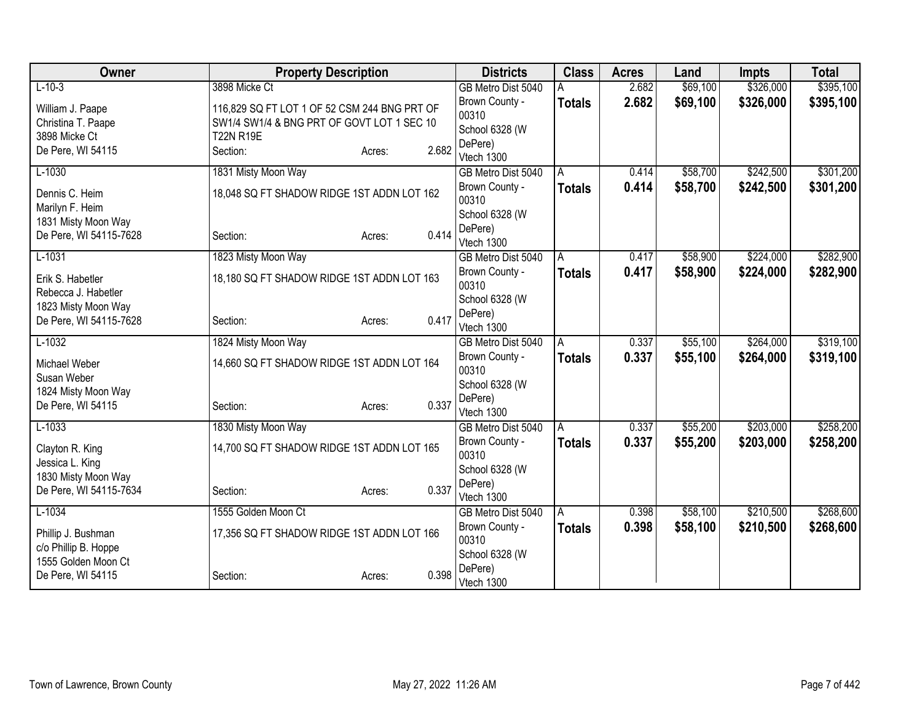| Owner                  | <b>Property Description</b>                  |                 | <b>Districts</b>        | <b>Class</b>  | <b>Acres</b> | Land     | <b>Impts</b> | <b>Total</b> |
|------------------------|----------------------------------------------|-----------------|-------------------------|---------------|--------------|----------|--------------|--------------|
| $L-10-3$               | 3898 Micke Ct                                |                 | GB Metro Dist 5040      |               | 2.682        | \$69,100 | \$326,000    | \$395,100    |
| William J. Paape       | 116,829 SQ FT LOT 1 OF 52 CSM 244 BNG PRT OF |                 | Brown County -          | <b>Totals</b> | 2.682        | \$69,100 | \$326,000    | \$395,100    |
| Christina T. Paape     | SW1/4 SW1/4 & BNG PRT OF GOVT LOT 1 SEC 10   |                 | 00310                   |               |              |          |              |              |
| 3898 Micke Ct          | <b>T22N R19E</b>                             |                 | School 6328 (W          |               |              |          |              |              |
| De Pere, WI 54115      | Section:                                     | 2.682<br>Acres: | DePere)<br>Vtech 1300   |               |              |          |              |              |
| $L-1030$               | 1831 Misty Moon Way                          |                 | GB Metro Dist 5040      | A             | 0.414        | \$58,700 | \$242,500    | \$301,200    |
|                        |                                              |                 | Brown County -          | <b>Totals</b> | 0.414        | \$58,700 | \$242,500    | \$301,200    |
| Dennis C. Heim         | 18,048 SQ FT SHADOW RIDGE 1ST ADDN LOT 162   |                 | 00310                   |               |              |          |              |              |
| Marilyn F. Heim        |                                              |                 | School 6328 (W          |               |              |          |              |              |
| 1831 Misty Moon Way    |                                              |                 | DePere)                 |               |              |          |              |              |
| De Pere, WI 54115-7628 | Section:                                     | 0.414<br>Acres: | Vtech 1300              |               |              |          |              |              |
| $L-1031$               | 1823 Misty Moon Way                          |                 | GB Metro Dist 5040      | A             | 0.417        | \$58,900 | \$224,000    | \$282,900    |
| Erik S. Habetler       | 18,180 SQ FT SHADOW RIDGE 1ST ADDN LOT 163   |                 | Brown County -          | <b>Totals</b> | 0.417        | \$58,900 | \$224,000    | \$282,900    |
| Rebecca J. Habetler    |                                              |                 | 00310                   |               |              |          |              |              |
| 1823 Misty Moon Way    |                                              |                 | School 6328 (W          |               |              |          |              |              |
| De Pere, WI 54115-7628 | Section:                                     | 0.417<br>Acres: | DePere)                 |               |              |          |              |              |
|                        |                                              |                 | Vtech 1300              |               |              |          |              |              |
| $L-1032$               | 1824 Misty Moon Way                          |                 | GB Metro Dist 5040      | A             | 0.337        | \$55,100 | \$264,000    | \$319,100    |
| Michael Weber          | 14,660 SQ FT SHADOW RIDGE 1ST ADDN LOT 164   |                 | Brown County -<br>00310 | <b>Totals</b> | 0.337        | \$55,100 | \$264,000    | \$319,100    |
| Susan Weber            |                                              |                 | School 6328 (W          |               |              |          |              |              |
| 1824 Misty Moon Way    |                                              |                 | DePere)                 |               |              |          |              |              |
| De Pere, WI 54115      | Section:                                     | 0.337<br>Acres: | Vtech 1300              |               |              |          |              |              |
| $L-1033$               | 1830 Misty Moon Way                          |                 | GB Metro Dist 5040      | A             | 0.337        | \$55,200 | \$203,000    | \$258,200    |
| Clayton R. King        | 14,700 SQ FT SHADOW RIDGE 1ST ADDN LOT 165   |                 | Brown County -          | <b>Totals</b> | 0.337        | \$55,200 | \$203,000    | \$258,200    |
| Jessica L. King        |                                              |                 | 00310                   |               |              |          |              |              |
| 1830 Misty Moon Way    |                                              |                 | School 6328 (W          |               |              |          |              |              |
| De Pere, WI 54115-7634 | Section:                                     | 0.337<br>Acres: | DePere)                 |               |              |          |              |              |
|                        |                                              |                 | Vtech 1300              |               |              |          |              |              |
| $L-1034$               | 1555 Golden Moon Ct                          |                 | GB Metro Dist 5040      | A             | 0.398        | \$58,100 | \$210,500    | \$268,600    |
| Phillip J. Bushman     | 17,356 SQ FT SHADOW RIDGE 1ST ADDN LOT 166   |                 | Brown County -<br>00310 | <b>Totals</b> | 0.398        | \$58,100 | \$210,500    | \$268,600    |
| c/o Phillip B. Hoppe   |                                              |                 | School 6328 (W          |               |              |          |              |              |
| 1555 Golden Moon Ct    |                                              |                 | DePere)                 |               |              |          |              |              |
| De Pere, WI 54115      | Section:                                     | 0.398<br>Acres: | Vtech 1300              |               |              |          |              |              |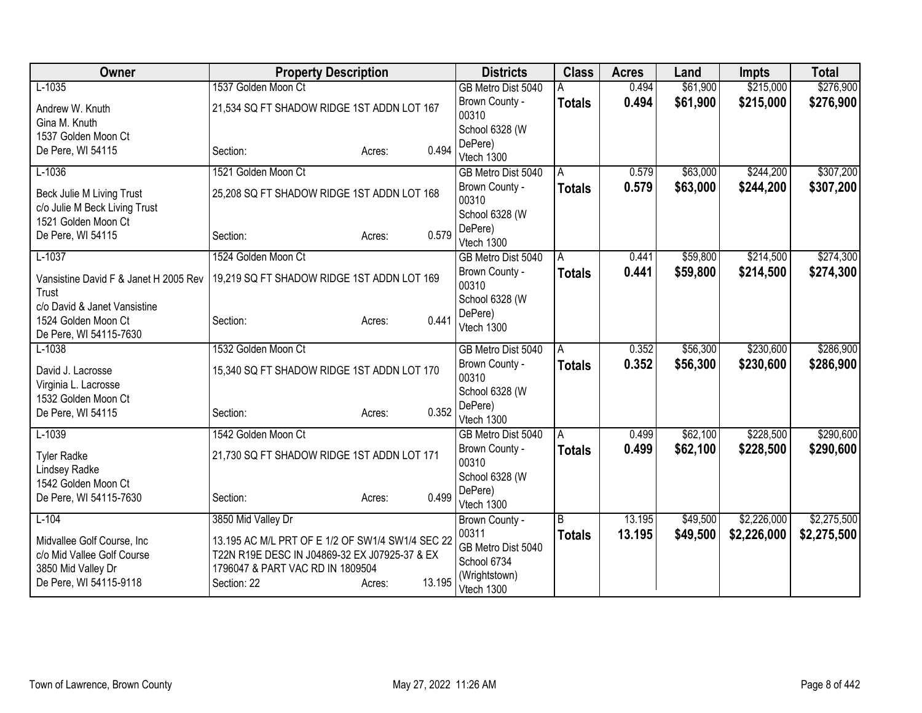| Owner                                                      | <b>Property Description</b>                      |                  | <b>Districts</b>            | <b>Class</b>  | <b>Acres</b> | Land     | <b>Impts</b> | <b>Total</b> |
|------------------------------------------------------------|--------------------------------------------------|------------------|-----------------------------|---------------|--------------|----------|--------------|--------------|
| $L-1035$                                                   | 1537 Golden Moon Ct                              |                  | GB Metro Dist 5040          |               | 0.494        | \$61,900 | \$215,000    | \$276,900    |
| Andrew W. Knuth                                            | 21,534 SQ FT SHADOW RIDGE 1ST ADDN LOT 167       |                  | Brown County -              | <b>Totals</b> | 0.494        | \$61,900 | \$215,000    | \$276,900    |
| Gina M. Knuth                                              |                                                  |                  | 00310                       |               |              |          |              |              |
| 1537 Golden Moon Ct                                        |                                                  |                  | School 6328 (W              |               |              |          |              |              |
| De Pere, WI 54115                                          | Section:                                         | 0.494<br>Acres:  | DePere)<br>Vtech 1300       |               |              |          |              |              |
| $L-1036$                                                   | 1521 Golden Moon Ct                              |                  | GB Metro Dist 5040          | A             | 0.579        | \$63,000 | \$244,200    | \$307,200    |
|                                                            |                                                  |                  | Brown County -              | <b>Totals</b> | 0.579        | \$63,000 | \$244,200    | \$307,200    |
| Beck Julie M Living Trust<br>c/o Julie M Beck Living Trust | 25,208 SQ FT SHADOW RIDGE 1ST ADDN LOT 168       |                  | 00310                       |               |              |          |              |              |
| 1521 Golden Moon Ct                                        |                                                  |                  | School 6328 (W              |               |              |          |              |              |
| De Pere, WI 54115                                          | Section:                                         | 0.579<br>Acres:  | DePere)                     |               |              |          |              |              |
|                                                            |                                                  |                  | Vtech 1300                  |               |              |          |              |              |
| $L-1037$                                                   | 1524 Golden Moon Ct                              |                  | GB Metro Dist 5040          | A             | 0.441        | \$59,800 | \$214,500    | \$274,300    |
| Vansistine David F & Janet H 2005 Rev                      | 19,219 SQ FT SHADOW RIDGE 1ST ADDN LOT 169       |                  | Brown County -<br>00310     | <b>Totals</b> | 0.441        | \$59,800 | \$214,500    | \$274,300    |
| Trust                                                      |                                                  |                  | School 6328 (W              |               |              |          |              |              |
| c/o David & Janet Vansistine                               |                                                  |                  | DePere)                     |               |              |          |              |              |
| 1524 Golden Moon Ct<br>De Pere, WI 54115-7630              | Section:                                         | 0.441<br>Acres:  | Vtech 1300                  |               |              |          |              |              |
| $L-1038$                                                   | 1532 Golden Moon Ct                              |                  | GB Metro Dist 5040          | A             | 0.352        | \$56,300 | \$230,600    | \$286,900    |
|                                                            |                                                  |                  | Brown County -              | <b>Totals</b> | 0.352        | \$56,300 | \$230,600    | \$286,900    |
| David J. Lacrosse                                          | 15,340 SQ FT SHADOW RIDGE 1ST ADDN LOT 170       |                  | 00310                       |               |              |          |              |              |
| Virginia L. Lacrosse<br>1532 Golden Moon Ct                |                                                  |                  | School 6328 (W              |               |              |          |              |              |
| De Pere, WI 54115                                          | Section:                                         | 0.352<br>Acres:  | DePere)                     |               |              |          |              |              |
|                                                            |                                                  |                  | Vtech 1300                  |               |              |          |              |              |
| $L-1039$                                                   | 1542 Golden Moon Ct                              |                  | GB Metro Dist 5040          | A             | 0.499        | \$62,100 | \$228,500    | \$290,600    |
| <b>Tyler Radke</b>                                         | 21,730 SQ FT SHADOW RIDGE 1ST ADDN LOT 171       |                  | Brown County -<br>00310     | <b>Totals</b> | 0.499        | \$62,100 | \$228,500    | \$290,600    |
| <b>Lindsey Radke</b>                                       |                                                  |                  | School 6328 (W              |               |              |          |              |              |
| 1542 Golden Moon Ct                                        |                                                  |                  | DePere)                     |               |              |          |              |              |
| De Pere, WI 54115-7630                                     | Section:                                         | 0.499<br>Acres:  | Vtech 1300                  |               |              |          |              |              |
| $L-104$                                                    | 3850 Mid Valley Dr                               |                  | Brown County -              | B             | 13.195       | \$49,500 | \$2,226,000  | \$2,275,500  |
| Midvallee Golf Course, Inc                                 | 13.195 AC M/L PRT OF E 1/2 OF SW1/4 SW1/4 SEC 22 |                  | 00311                       | <b>Totals</b> | 13.195       | \$49,500 | \$2,226,000  | \$2,275,500  |
| c/o Mid Vallee Golf Course                                 | T22N R19E DESC IN J04869-32 EX J07925-37 & EX    |                  | GB Metro Dist 5040          |               |              |          |              |              |
| 3850 Mid Valley Dr                                         | 1796047 & PART VAC RD IN 1809504                 |                  | School 6734                 |               |              |          |              |              |
| De Pere, WI 54115-9118                                     | Section: 22                                      | 13.195<br>Acres: | (Wrightstown)<br>Vtech 1300 |               |              |          |              |              |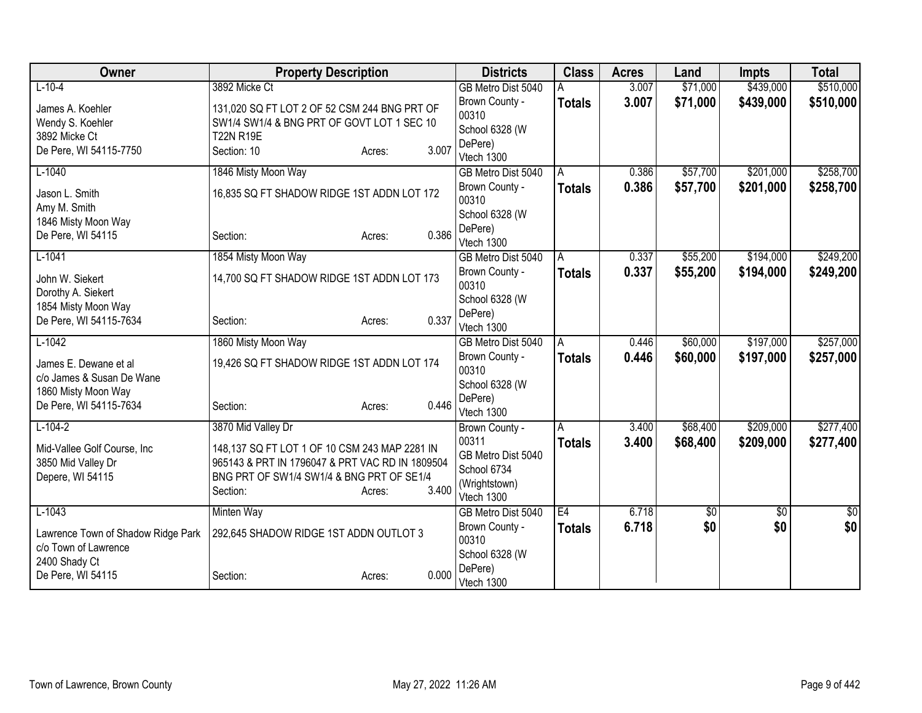| Owner                                 | <b>Property Description</b>                     |                 | <b>Districts</b>          | <b>Class</b>   | <b>Acres</b> | Land     | <b>Impts</b> | <b>Total</b> |
|---------------------------------------|-------------------------------------------------|-----------------|---------------------------|----------------|--------------|----------|--------------|--------------|
| $L-10-4$                              | 3892 Micke Ct                                   |                 | GB Metro Dist 5040        |                | 3.007        | \$71,000 | \$439,000    | \$510,000    |
| James A. Koehler                      | 131,020 SQ FT LOT 2 OF 52 CSM 244 BNG PRT OF    |                 | Brown County -            | <b>Totals</b>  | 3.007        | \$71,000 | \$439,000    | \$510,000    |
| Wendy S. Koehler                      | SW1/4 SW1/4 & BNG PRT OF GOVT LOT 1 SEC 10      |                 | 00310                     |                |              |          |              |              |
| 3892 Micke Ct                         | <b>T22N R19E</b>                                |                 | School 6328 (W            |                |              |          |              |              |
| De Pere, WI 54115-7750                | Section: 10                                     | 3.007<br>Acres: | DePere)                   |                |              |          |              |              |
|                                       |                                                 |                 | Vtech 1300                |                |              |          |              |              |
| $L-1040$                              | 1846 Misty Moon Way                             |                 | GB Metro Dist 5040        | A              | 0.386        | \$57,700 | \$201,000    | \$258,700    |
| Jason L. Smith<br>Amy M. Smith        | 16,835 SQ FT SHADOW RIDGE 1ST ADDN LOT 172      |                 | Brown County -<br>00310   | <b>Totals</b>  | 0.386        | \$57,700 | \$201,000    | \$258,700    |
| 1846 Misty Moon Way                   |                                                 |                 | School 6328 (W            |                |              |          |              |              |
| De Pere, WI 54115                     | Section:                                        | 0.386<br>Acres: | DePere)<br>Vtech 1300     |                |              |          |              |              |
| $L-1041$                              | 1854 Misty Moon Way                             |                 | GB Metro Dist 5040        | $\overline{A}$ | 0.337        | \$55,200 | \$194,000    | \$249,200    |
| John W. Siekert                       | 14,700 SQ FT SHADOW RIDGE 1ST ADDN LOT 173      |                 | Brown County -<br>00310   | <b>Totals</b>  | 0.337        | \$55,200 | \$194,000    | \$249,200    |
| Dorothy A. Siekert                    |                                                 |                 | School 6328 (W            |                |              |          |              |              |
| 1854 Misty Moon Way                   |                                                 | 0.337           | DePere)                   |                |              |          |              |              |
| De Pere, WI 54115-7634                | Section:                                        | Acres:          | Vtech 1300                |                |              |          |              |              |
| $L-1042$                              | 1860 Misty Moon Way                             |                 | GB Metro Dist 5040        | A              | 0.446        | \$60,000 | \$197,000    | \$257,000    |
| James E. Dewane et al                 | 19,426 SQ FT SHADOW RIDGE 1ST ADDN LOT 174      |                 | Brown County -            | <b>Totals</b>  | 0.446        | \$60,000 | \$197,000    | \$257,000    |
| c/o James & Susan De Wane             |                                                 |                 | 00310                     |                |              |          |              |              |
| 1860 Misty Moon Way                   |                                                 |                 | School 6328 (W<br>DePere) |                |              |          |              |              |
| De Pere, WI 54115-7634                | Section:                                        | 0.446<br>Acres: | Vtech 1300                |                |              |          |              |              |
| $L-104-2$                             | 3870 Mid Valley Dr                              |                 | Brown County -            | A              | 3.400        | \$68,400 | \$209,000    | \$277,400    |
|                                       |                                                 |                 | 00311                     | <b>Totals</b>  | 3.400        | \$68,400 | \$209,000    | \$277,400    |
| Mid-Vallee Golf Course, Inc           | 148,137 SQ FT LOT 1 OF 10 CSM 243 MAP 2281 IN   |                 | GB Metro Dist 5040        |                |              |          |              |              |
| 3850 Mid Valley Dr                    | 965143 & PRT IN 1796047 & PRT VAC RD IN 1809504 |                 | School 6734               |                |              |          |              |              |
| Depere, WI 54115                      | BNG PRT OF SW1/4 SW1/4 & BNG PRT OF SE1/4       |                 | (Wrightstown)             |                |              |          |              |              |
|                                       | Section:                                        | 3.400<br>Acres: | Vtech 1300                |                |              |          |              |              |
| $L-1043$                              | <b>Minten Way</b>                               |                 | GB Metro Dist 5040        | E4             | 6.718        | \$0      | \$0          | \$0          |
|                                       |                                                 |                 | Brown County -            | <b>Totals</b>  | 6.718        | \$0      | \$0          | \$0          |
| Lawrence Town of Shadow Ridge Park    | 292,645 SHADOW RIDGE 1ST ADDN OUTLOT 3          |                 | 00310                     |                |              |          |              |              |
| c/o Town of Lawrence<br>2400 Shady Ct |                                                 |                 | School 6328 (W            |                |              |          |              |              |
| De Pere, WI 54115                     | Section:                                        | 0.000<br>Acres: | DePere)                   |                |              |          |              |              |
|                                       |                                                 |                 | Vtech 1300                |                |              |          |              |              |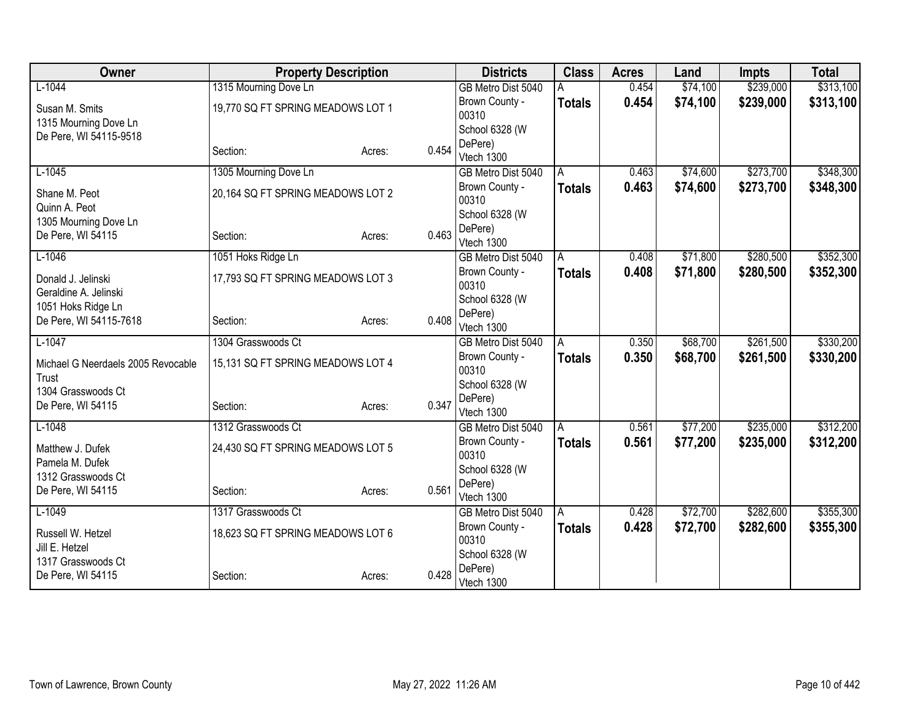| Owner                              |                                   | <b>Property Description</b> |       | <b>Districts</b>        | <b>Class</b>  | <b>Acres</b> | Land     | <b>Impts</b> | <b>Total</b> |
|------------------------------------|-----------------------------------|-----------------------------|-------|-------------------------|---------------|--------------|----------|--------------|--------------|
| $L-1044$                           | 1315 Mourning Dove Ln             |                             |       | GB Metro Dist 5040      |               | 0.454        | \$74,100 | \$239,000    | \$313,100    |
| Susan M. Smits                     | 19,770 SQ FT SPRING MEADOWS LOT 1 |                             |       | Brown County -          | <b>Totals</b> | 0.454        | \$74,100 | \$239,000    | \$313,100    |
| 1315 Mourning Dove Ln              |                                   |                             |       | 00310                   |               |              |          |              |              |
| De Pere, WI 54115-9518             |                                   |                             |       | School 6328 (W          |               |              |          |              |              |
|                                    | Section:                          | Acres:                      | 0.454 | DePere)<br>Vtech 1300   |               |              |          |              |              |
| $L-1045$                           | 1305 Mourning Dove Ln             |                             |       | GB Metro Dist 5040      | A             | 0.463        | \$74,600 | \$273,700    | \$348,300    |
|                                    |                                   |                             |       | Brown County -          | <b>Totals</b> | 0.463        | \$74,600 | \$273,700    | \$348,300    |
| Shane M. Peot                      | 20,164 SQ FT SPRING MEADOWS LOT 2 |                             |       | 00310                   |               |              |          |              |              |
| Quinn A. Peot                      |                                   |                             |       | School 6328 (W          |               |              |          |              |              |
| 1305 Mourning Dove Ln              |                                   |                             |       | DePere)                 |               |              |          |              |              |
| De Pere, WI 54115                  | Section:                          | Acres:                      | 0.463 | Vtech 1300              |               |              |          |              |              |
| $L-1046$                           | 1051 Hoks Ridge Ln                |                             |       | GB Metro Dist 5040      | A             | 0.408        | \$71,800 | \$280,500    | \$352,300    |
| Donald J. Jelinski                 | 17,793 SQ FT SPRING MEADOWS LOT 3 |                             |       | Brown County -          | <b>Totals</b> | 0.408        | \$71,800 | \$280,500    | \$352,300    |
| Geraldine A. Jelinski              |                                   |                             |       | 00310                   |               |              |          |              |              |
| 1051 Hoks Ridge Ln                 |                                   |                             |       | School 6328 (W          |               |              |          |              |              |
| De Pere, WI 54115-7618             | Section:                          | Acres:                      | 0.408 | DePere)                 |               |              |          |              |              |
|                                    |                                   |                             |       | Vtech 1300              |               |              |          |              |              |
| $L-1047$                           | 1304 Grasswoods Ct                |                             |       | GB Metro Dist 5040      | A             | 0.350        | \$68,700 | \$261,500    | \$330,200    |
| Michael G Neerdaels 2005 Revocable | 15,131 SQ FT SPRING MEADOWS LOT 4 |                             |       | Brown County -<br>00310 | <b>Totals</b> | 0.350        | \$68,700 | \$261,500    | \$330,200    |
| Trust                              |                                   |                             |       | School 6328 (W          |               |              |          |              |              |
| 1304 Grasswoods Ct                 |                                   |                             |       | DePere)                 |               |              |          |              |              |
| De Pere, WI 54115                  | Section:                          | Acres:                      | 0.347 | Vtech 1300              |               |              |          |              |              |
| $L-1048$                           | 1312 Grasswoods Ct                |                             |       | GB Metro Dist 5040      | A             | 0.561        | \$77,200 | \$235,000    | \$312,200    |
| Matthew J. Dufek                   | 24,430 SQ FT SPRING MEADOWS LOT 5 |                             |       | Brown County -          | <b>Totals</b> | 0.561        | \$77,200 | \$235,000    | \$312,200    |
| Pamela M. Dufek                    |                                   |                             |       | 00310                   |               |              |          |              |              |
| 1312 Grasswoods Ct                 |                                   |                             |       | School 6328 (W          |               |              |          |              |              |
| De Pere, WI 54115                  | Section:                          | Acres:                      | 0.561 | DePere)                 |               |              |          |              |              |
|                                    |                                   |                             |       | Vtech 1300              |               |              |          |              |              |
| $L-1049$                           | 1317 Grasswoods Ct                |                             |       | GB Metro Dist 5040      | A             | 0.428        | \$72,700 | \$282,600    | \$355,300    |
| Russell W. Hetzel                  | 18,623 SQ FT SPRING MEADOWS LOT 6 |                             |       | Brown County -<br>00310 | <b>Totals</b> | 0.428        | \$72,700 | \$282,600    | \$355,300    |
| Jill E. Hetzel                     |                                   |                             |       | School 6328 (W          |               |              |          |              |              |
| 1317 Grasswoods Ct                 |                                   |                             |       | DePere)                 |               |              |          |              |              |
| De Pere, WI 54115                  | Section:                          | Acres:                      | 0.428 | Vtech 1300              |               |              |          |              |              |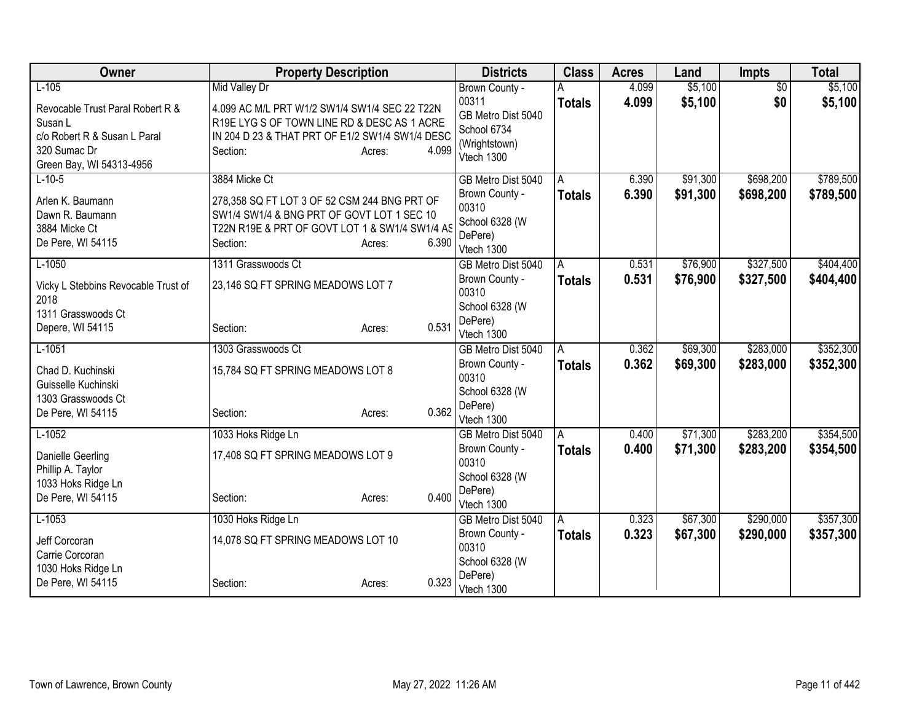| Owner                                   | <b>Property Description</b>                                |                 | <b>Districts</b>                  | <b>Class</b>       | <b>Acres</b> | Land     | <b>Impts</b>    | <b>Total</b> |
|-----------------------------------------|------------------------------------------------------------|-----------------|-----------------------------------|--------------------|--------------|----------|-----------------|--------------|
| $L-105$                                 | <b>Mid Valley Dr</b>                                       |                 | Brown County -                    | A                  | 4.099        | \$5,100  | $\overline{50}$ | \$5,100      |
| Revocable Trust Paral Robert R &        | 4.099 AC M/L PRT W1/2 SW1/4 SW1/4 SEC 22 T22N              |                 | 00311                             | <b>Totals</b>      | 4.099        | \$5,100  | \$0             | \$5,100      |
| Susan L                                 | R19E LYG S OF TOWN LINE RD & DESC AS 1 ACRE                |                 | GB Metro Dist 5040<br>School 6734 |                    |              |          |                 |              |
| c/o Robert R & Susan L Paral            | IN 204 D 23 & THAT PRT OF E1/2 SW1/4 SW1/4 DESC            |                 | (Wrightstown)                     |                    |              |          |                 |              |
| 320 Sumac Dr                            | Section:                                                   | 4.099<br>Acres: | Vtech 1300                        |                    |              |          |                 |              |
| Green Bay, WI 54313-4956<br>$L-10-5$    | 3884 Micke Ct                                              |                 | GB Metro Dist 5040                |                    | 6.390        | \$91,300 | \$698,200       | \$789,500    |
|                                         |                                                            |                 | Brown County -                    | A<br><b>Totals</b> | 6.390        | \$91,300 | \$698,200       | \$789,500    |
| Arlen K. Baumann                        | 278,358 SQ FT LOT 3 OF 52 CSM 244 BNG PRT OF               |                 | 00310                             |                    |              |          |                 |              |
| Dawn R. Baumann                         | SW1/4 SW1/4 & BNG PRT OF GOVT LOT 1 SEC 10                 |                 | School 6328 (W                    |                    |              |          |                 |              |
| 3884 Micke Ct<br>De Pere, WI 54115      | T22N R19E & PRT OF GOVT LOT 1 & SW1/4 SW1/4 AS<br>Section: | 6.390           | DePere)                           |                    |              |          |                 |              |
|                                         |                                                            | Acres:          | Vtech 1300                        |                    |              |          |                 |              |
| $L-1050$                                | 1311 Grasswoods Ct                                         |                 | GB Metro Dist 5040                | A                  | 0.531        | \$76,900 | \$327,500       | \$404,400    |
| Vicky L Stebbins Revocable Trust of     | 23,146 SQ FT SPRING MEADOWS LOT 7                          |                 | Brown County -                    | <b>Totals</b>      | 0.531        | \$76,900 | \$327,500       | \$404,400    |
| 2018                                    |                                                            |                 | 00310<br>School 6328 (W           |                    |              |          |                 |              |
| 1311 Grasswoods Ct                      |                                                            |                 | DePere)                           |                    |              |          |                 |              |
| Depere, WI 54115                        | Section:                                                   | 0.531<br>Acres: | Vtech 1300                        |                    |              |          |                 |              |
| $L-1051$                                | 1303 Grasswoods Ct                                         |                 | GB Metro Dist 5040                | $\overline{A}$     | 0.362        | \$69,300 | \$283,000       | \$352,300    |
| Chad D. Kuchinski                       | 15,784 SQ FT SPRING MEADOWS LOT 8                          |                 | Brown County -                    | <b>Totals</b>      | 0.362        | \$69,300 | \$283,000       | \$352,300    |
| Guisselle Kuchinski                     |                                                            |                 | 00310                             |                    |              |          |                 |              |
| 1303 Grasswoods Ct                      |                                                            |                 | School 6328 (W                    |                    |              |          |                 |              |
| De Pere, WI 54115                       | Section:                                                   | 0.362<br>Acres: | DePere)<br>Vtech 1300             |                    |              |          |                 |              |
| $L-1052$                                | 1033 Hoks Ridge Ln                                         |                 | GB Metro Dist 5040                | A                  | 0.400        | \$71,300 | \$283,200       | \$354,500    |
|                                         |                                                            |                 | Brown County -                    | <b>Totals</b>      | 0.400        | \$71,300 | \$283,200       | \$354,500    |
| Danielle Geerling                       | 17,408 SQ FT SPRING MEADOWS LOT 9                          |                 | 00310                             |                    |              |          |                 |              |
| Phillip A. Taylor<br>1033 Hoks Ridge Ln |                                                            |                 | School 6328 (W                    |                    |              |          |                 |              |
| De Pere, WI 54115                       | Section:                                                   | 0.400<br>Acres: | DePere)                           |                    |              |          |                 |              |
|                                         |                                                            |                 | Vtech 1300                        |                    |              |          |                 |              |
| $L-1053$                                | 1030 Hoks Ridge Ln                                         |                 | GB Metro Dist 5040                | A                  | 0.323        | \$67,300 | \$290,000       | \$357,300    |
| Jeff Corcoran                           | 14,078 SQ FT SPRING MEADOWS LOT 10                         |                 | Brown County -<br>00310           | <b>Totals</b>      | 0.323        | \$67,300 | \$290,000       | \$357,300    |
| Carrie Corcoran                         |                                                            |                 | School 6328 (W                    |                    |              |          |                 |              |
| 1030 Hoks Ridge Ln                      |                                                            |                 | DePere)                           |                    |              |          |                 |              |
| De Pere, WI 54115                       | Section:                                                   | 0.323<br>Acres: | Vtech 1300                        |                    |              |          |                 |              |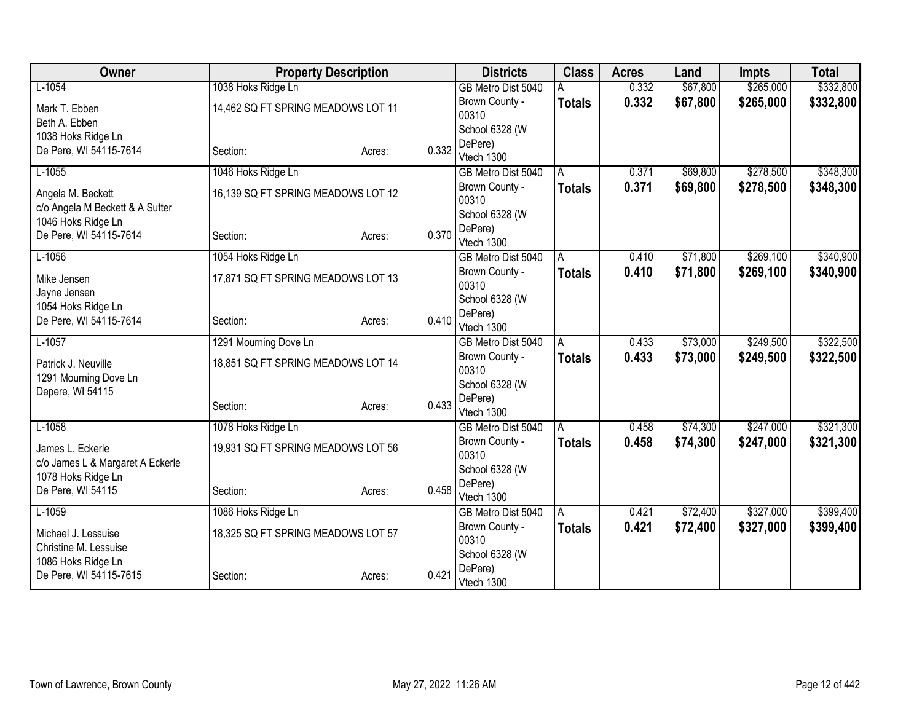| Owner                                                |                       | <b>Property Description</b>        |       | <b>Districts</b>        | <b>Class</b>  | <b>Acres</b> | Land     | <b>Impts</b> | <b>Total</b> |
|------------------------------------------------------|-----------------------|------------------------------------|-------|-------------------------|---------------|--------------|----------|--------------|--------------|
| $L-1054$                                             | 1038 Hoks Ridge Ln    |                                    |       | GB Metro Dist 5040      |               | 0.332        | \$67,800 | \$265,000    | \$332,800    |
| Mark T. Ebben                                        |                       | 14,462 SQ FT SPRING MEADOWS LOT 11 |       | Brown County -          | <b>Totals</b> | 0.332        | \$67,800 | \$265,000    | \$332,800    |
| Beth A. Ebben                                        |                       |                                    |       | 00310                   |               |              |          |              |              |
| 1038 Hoks Ridge Ln                                   |                       |                                    |       | School 6328 (W          |               |              |          |              |              |
| De Pere, WI 54115-7614                               | Section:              | Acres:                             | 0.332 | DePere)<br>Vtech 1300   |               |              |          |              |              |
| $L-1055$                                             | 1046 Hoks Ridge Ln    |                                    |       | GB Metro Dist 5040      | A             | 0.371        | \$69,800 | \$278,500    | \$348,300    |
|                                                      |                       |                                    |       | Brown County -          | <b>Totals</b> | 0.371        | \$69,800 | \$278,500    | \$348,300    |
| Angela M. Beckett<br>c/o Angela M Beckett & A Sutter |                       | 16,139 SQ FT SPRING MEADOWS LOT 12 |       | 00310                   |               |              |          |              |              |
| 1046 Hoks Ridge Ln                                   |                       |                                    |       | School 6328 (W          |               |              |          |              |              |
| De Pere, WI 54115-7614                               | Section:              | Acres:                             | 0.370 | DePere)                 |               |              |          |              |              |
|                                                      |                       |                                    |       | Vtech 1300              |               |              |          |              |              |
| $L-1056$                                             | 1054 Hoks Ridge Ln    |                                    |       | GB Metro Dist 5040      | A             | 0.410        | \$71,800 | \$269,100    | \$340,900    |
| Mike Jensen                                          |                       | 17,871 SQ FT SPRING MEADOWS LOT 13 |       | Brown County -<br>00310 | <b>Totals</b> | 0.410        | \$71,800 | \$269,100    | \$340,900    |
| Jayne Jensen                                         |                       |                                    |       | School 6328 (W          |               |              |          |              |              |
| 1054 Hoks Ridge Ln                                   |                       |                                    |       | DePere)                 |               |              |          |              |              |
| De Pere, WI 54115-7614                               | Section:              | Acres:                             | 0.410 | Vtech 1300              |               |              |          |              |              |
| $L-1057$                                             | 1291 Mourning Dove Ln |                                    |       | GB Metro Dist 5040      | A             | 0.433        | \$73,000 | \$249,500    | \$322,500    |
| Patrick J. Neuville                                  |                       | 18,851 SQ FT SPRING MEADOWS LOT 14 |       | Brown County -          | Totals        | 0.433        | \$73,000 | \$249,500    | \$322,500    |
| 1291 Mourning Dove Ln                                |                       |                                    |       | 00310                   |               |              |          |              |              |
| Depere, WI 54115                                     |                       |                                    |       | School 6328 (W          |               |              |          |              |              |
|                                                      | Section:              | Acres:                             | 0.433 | DePere)<br>Vtech 1300   |               |              |          |              |              |
| $L-1058$                                             | 1078 Hoks Ridge Ln    |                                    |       | GB Metro Dist 5040      | A             | 0.458        | \$74,300 | \$247,000    | \$321,300    |
|                                                      |                       |                                    |       | Brown County -          | <b>Totals</b> | 0.458        | \$74,300 | \$247,000    | \$321,300    |
| James L. Eckerle                                     |                       | 19,931 SQ FT SPRING MEADOWS LOT 56 |       | 00310                   |               |              |          |              |              |
| c/o James L & Margaret A Eckerle                     |                       |                                    |       | School 6328 (W          |               |              |          |              |              |
| 1078 Hoks Ridge Ln<br>De Pere, WI 54115              | Section:              | Acres:                             | 0.458 | DePere)                 |               |              |          |              |              |
|                                                      |                       |                                    |       | Vtech 1300              |               |              |          |              |              |
| $L-1059$                                             | 1086 Hoks Ridge Ln    |                                    |       | GB Metro Dist 5040      | A             | 0.421        | \$72,400 | \$327,000    | \$399,400    |
| Michael J. Lessuise                                  |                       | 18,325 SQ FT SPRING MEADOWS LOT 57 |       | Brown County -          | <b>Totals</b> | 0.421        | \$72,400 | \$327,000    | \$399,400    |
| Christine M. Lessuise                                |                       |                                    |       | 00310<br>School 6328 (W |               |              |          |              |              |
| 1086 Hoks Ridge Ln                                   |                       |                                    |       | DePere)                 |               |              |          |              |              |
| De Pere, WI 54115-7615                               | Section:              | Acres:                             | 0.421 | Vtech 1300              |               |              |          |              |              |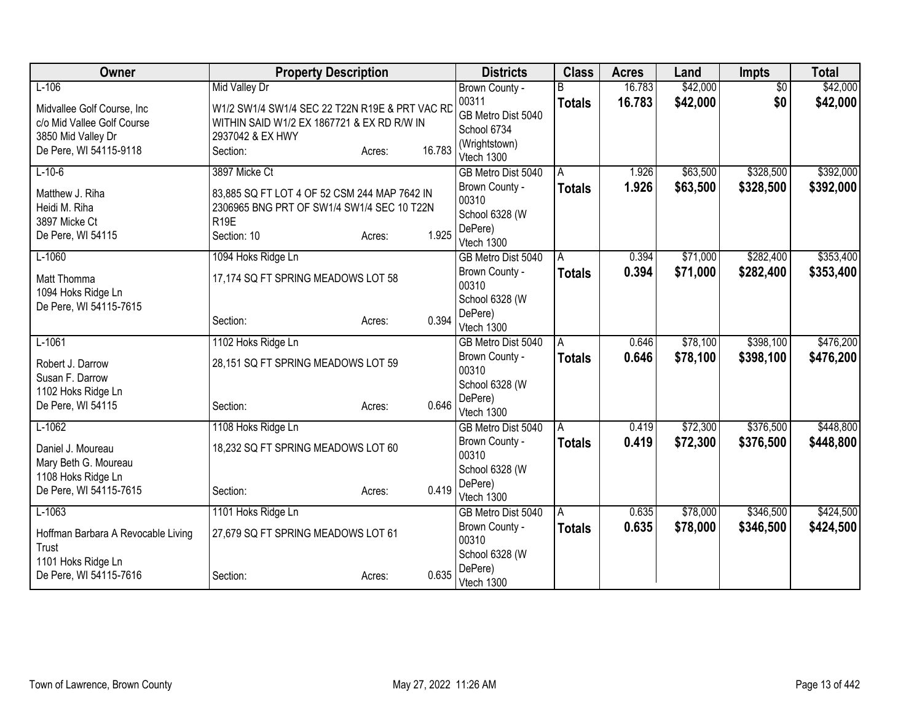| Owner                                        | <b>Property Description</b>                                                                | <b>Districts</b> | <b>Class</b>                | <b>Acres</b>  | Land   | <b>Impts</b> | <b>Total</b>    |           |
|----------------------------------------------|--------------------------------------------------------------------------------------------|------------------|-----------------------------|---------------|--------|--------------|-----------------|-----------|
| $L-106$                                      | <b>Mid Valley Dr</b>                                                                       |                  | Brown County -              |               | 16.783 | \$42,000     | $\overline{50}$ | \$42,000  |
| Midvallee Golf Course, Inc.                  | W1/2 SW1/4 SW1/4 SEC 22 T22N R19E & PRT VAC RD                                             |                  | 00311                       | <b>Totals</b> | 16.783 | \$42,000     | \$0             | \$42,000  |
| c/o Mid Vallee Golf Course                   | WITHIN SAID W1/2 EX 1867721 & EX RD R/W IN                                                 |                  | GB Metro Dist 5040          |               |        |              |                 |           |
| 3850 Mid Valley Dr                           | 2937042 & EX HWY                                                                           |                  | School 6734                 |               |        |              |                 |           |
| De Pere, WI 54115-9118                       | Section:                                                                                   | 16.783<br>Acres: | (Wrightstown)<br>Vtech 1300 |               |        |              |                 |           |
| $L-10-6$                                     | 3897 Micke Ct                                                                              |                  | GB Metro Dist 5040          | A             | 1.926  | \$63,500     | \$328,500       | \$392,000 |
|                                              |                                                                                            |                  | Brown County -              | <b>Totals</b> | 1.926  | \$63,500     | \$328,500       | \$392,000 |
| Matthew J. Riha<br>Heidi M. Riha             | 83,885 SQ FT LOT 4 OF 52 CSM 244 MAP 7642 IN<br>2306965 BNG PRT OF SW1/4 SW1/4 SEC 10 T22N |                  | 00310                       |               |        |              |                 |           |
| 3897 Micke Ct                                | R <sub>19E</sub>                                                                           |                  | School 6328 (W              |               |        |              |                 |           |
| De Pere, WI 54115                            | Section: 10                                                                                | 1.925<br>Acres:  | DePere)                     |               |        |              |                 |           |
|                                              |                                                                                            |                  | Vtech 1300                  |               |        |              |                 |           |
| $L-1060$                                     | 1094 Hoks Ridge Ln                                                                         |                  | GB Metro Dist 5040          | A             | 0.394  | \$71,000     | \$282,400       | \$353,400 |
| Matt Thomma                                  | 17,174 SQ FT SPRING MEADOWS LOT 58                                                         |                  | Brown County -<br>00310     | <b>Totals</b> | 0.394  | \$71,000     | \$282,400       | \$353,400 |
| 1094 Hoks Ridge Ln                           |                                                                                            |                  | School 6328 (W              |               |        |              |                 |           |
| De Pere, WI 54115-7615                       |                                                                                            |                  | DePere)                     |               |        |              |                 |           |
|                                              | Section:                                                                                   | 0.394<br>Acres:  | Vtech 1300                  |               |        |              |                 |           |
| $L-1061$                                     | 1102 Hoks Ridge Ln                                                                         |                  | GB Metro Dist 5040          | A             | 0.646  | \$78,100     | \$398,100       | \$476,200 |
| Robert J. Darrow                             | 28,151 SQ FT SPRING MEADOWS LOT 59                                                         |                  | Brown County -              | <b>Totals</b> | 0.646  | \$78,100     | \$398,100       | \$476,200 |
| Susan F. Darrow                              |                                                                                            |                  | 00310                       |               |        |              |                 |           |
| 1102 Hoks Ridge Ln                           |                                                                                            |                  | School 6328 (W              |               |        |              |                 |           |
| De Pere, WI 54115                            | Section:                                                                                   | 0.646<br>Acres:  | DePere)<br>Vtech 1300       |               |        |              |                 |           |
| $L-1062$                                     | 1108 Hoks Ridge Ln                                                                         |                  | GB Metro Dist 5040          | A             | 0.419  | \$72,300     | \$376,500       | \$448,800 |
|                                              |                                                                                            |                  | Brown County -              | <b>Totals</b> | 0.419  | \$72,300     | \$376,500       | \$448,800 |
| Daniel J. Moureau                            | 18,232 SQ FT SPRING MEADOWS LOT 60                                                         |                  | 00310                       |               |        |              |                 |           |
| Mary Beth G. Moureau                         |                                                                                            |                  | School 6328 (W              |               |        |              |                 |           |
| 1108 Hoks Ridge Ln<br>De Pere, WI 54115-7615 | Section:                                                                                   | 0.419<br>Acres:  | DePere)                     |               |        |              |                 |           |
|                                              |                                                                                            |                  | Vtech 1300                  |               |        |              |                 |           |
| $L-1063$                                     | 1101 Hoks Ridge Ln                                                                         |                  | GB Metro Dist 5040          | ΙA            | 0.635  | \$78,000     | \$346,500       | \$424,500 |
| Hoffman Barbara A Revocable Living           | 27,679 SQ FT SPRING MEADOWS LOT 61                                                         |                  | Brown County -              | <b>Totals</b> | 0.635  | \$78,000     | \$346,500       | \$424,500 |
| Trust                                        |                                                                                            |                  | 00310<br>School 6328 (W     |               |        |              |                 |           |
| 1101 Hoks Ridge Ln                           |                                                                                            |                  | DePere)                     |               |        |              |                 |           |
| De Pere, WI 54115-7616                       | Section:                                                                                   | 0.635<br>Acres:  | Vtech 1300                  |               |        |              |                 |           |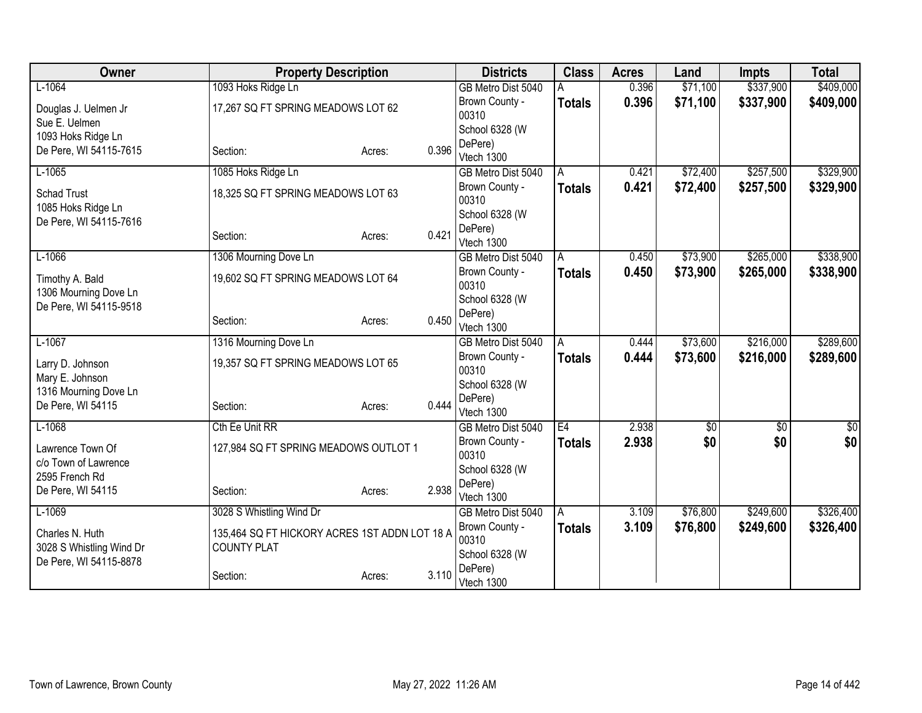| Owner                    | <b>Property Description</b>                   |                 | <b>Districts</b>        | <b>Class</b>  | <b>Acres</b> | Land     | <b>Impts</b>    | <b>Total</b>    |
|--------------------------|-----------------------------------------------|-----------------|-------------------------|---------------|--------------|----------|-----------------|-----------------|
| $L-1064$                 | 1093 Hoks Ridge Ln                            |                 | GB Metro Dist 5040      |               | 0.396        | \$71,100 | \$337,900       | \$409,000       |
| Douglas J. Uelmen Jr     | 17,267 SQ FT SPRING MEADOWS LOT 62            |                 | Brown County -          | <b>Totals</b> | 0.396        | \$71,100 | \$337,900       | \$409,000       |
| Sue E. Uelmen            |                                               |                 | 00310                   |               |              |          |                 |                 |
| 1093 Hoks Ridge Ln       |                                               |                 | School 6328 (W          |               |              |          |                 |                 |
| De Pere, WI 54115-7615   | Section:                                      | 0.396<br>Acres: | DePere)<br>Vtech 1300   |               |              |          |                 |                 |
| $L-1065$                 | 1085 Hoks Ridge Ln                            |                 | GB Metro Dist 5040      | A             | 0.421        | \$72,400 | \$257,500       | \$329,900       |
|                          |                                               |                 | Brown County -          | <b>Totals</b> | 0.421        | \$72,400 | \$257,500       | \$329,900       |
| <b>Schad Trust</b>       | 18,325 SQ FT SPRING MEADOWS LOT 63            |                 | 00310                   |               |              |          |                 |                 |
| 1085 Hoks Ridge Ln       |                                               |                 | School 6328 (W          |               |              |          |                 |                 |
| De Pere, WI 54115-7616   |                                               |                 | DePere)                 |               |              |          |                 |                 |
|                          | Section:                                      | 0.421<br>Acres: | Vtech 1300              |               |              |          |                 |                 |
| $L-1066$                 | 1306 Mourning Dove Ln                         |                 | GB Metro Dist 5040      | A             | 0.450        | \$73,900 | \$265,000       | \$338,900       |
| Timothy A. Bald          | 19,602 SQ FT SPRING MEADOWS LOT 64            |                 | Brown County -          | <b>Totals</b> | 0.450        | \$73,900 | \$265,000       | \$338,900       |
| 1306 Mourning Dove Ln    |                                               |                 | 00310                   |               |              |          |                 |                 |
| De Pere, WI 54115-9518   |                                               |                 | School 6328 (W          |               |              |          |                 |                 |
|                          | Section:                                      | 0.450<br>Acres: | DePere)                 |               |              |          |                 |                 |
|                          |                                               |                 | Vtech 1300              |               | 0.444        |          |                 | \$289,600       |
| $L-1067$                 | 1316 Mourning Dove Ln                         |                 | GB Metro Dist 5040      | A             | 0.444        | \$73,600 | \$216,000       |                 |
| Larry D. Johnson         | 19,357 SQ FT SPRING MEADOWS LOT 65            |                 | Brown County -<br>00310 | <b>Totals</b> |              | \$73,600 | \$216,000       | \$289,600       |
| Mary E. Johnson          |                                               |                 | School 6328 (W          |               |              |          |                 |                 |
| 1316 Mourning Dove Ln    |                                               |                 | DePere)                 |               |              |          |                 |                 |
| De Pere, WI 54115        | Section:                                      | 0.444<br>Acres: | Vtech 1300              |               |              |          |                 |                 |
| $L-1068$                 | Cth Ee Unit RR                                |                 | GB Metro Dist 5040      | E4            | 2.938        | \$0      | $\overline{50}$ | $\overline{50}$ |
| Lawrence Town Of         | 127,984 SQ FT SPRING MEADOWS OUTLOT 1         |                 | Brown County -          | <b>Totals</b> | 2.938        | \$0      | \$0             | \$0             |
| c/o Town of Lawrence     |                                               |                 | 00310                   |               |              |          |                 |                 |
| 2595 French Rd           |                                               |                 | School 6328 (W          |               |              |          |                 |                 |
| De Pere, WI 54115        | Section:                                      | 2.938<br>Acres: | DePere)                 |               |              |          |                 |                 |
|                          |                                               |                 | Vtech 1300              |               |              |          |                 |                 |
| $L-1069$                 | 3028 S Whistling Wind Dr                      |                 | GB Metro Dist 5040      | A             | 3.109        | \$76,800 | \$249,600       | \$326,400       |
| Charles N. Huth          | 135,464 SQ FT HICKORY ACRES 1ST ADDN LOT 18 A |                 | Brown County -<br>00310 | <b>Totals</b> | 3.109        | \$76,800 | \$249,600       | \$326,400       |
| 3028 S Whistling Wind Dr | <b>COUNTY PLAT</b>                            |                 | School 6328 (W          |               |              |          |                 |                 |
| De Pere, WI 54115-8878   |                                               |                 | DePere)                 |               |              |          |                 |                 |
|                          | Section:                                      | 3.110<br>Acres: | Vtech 1300              |               |              |          |                 |                 |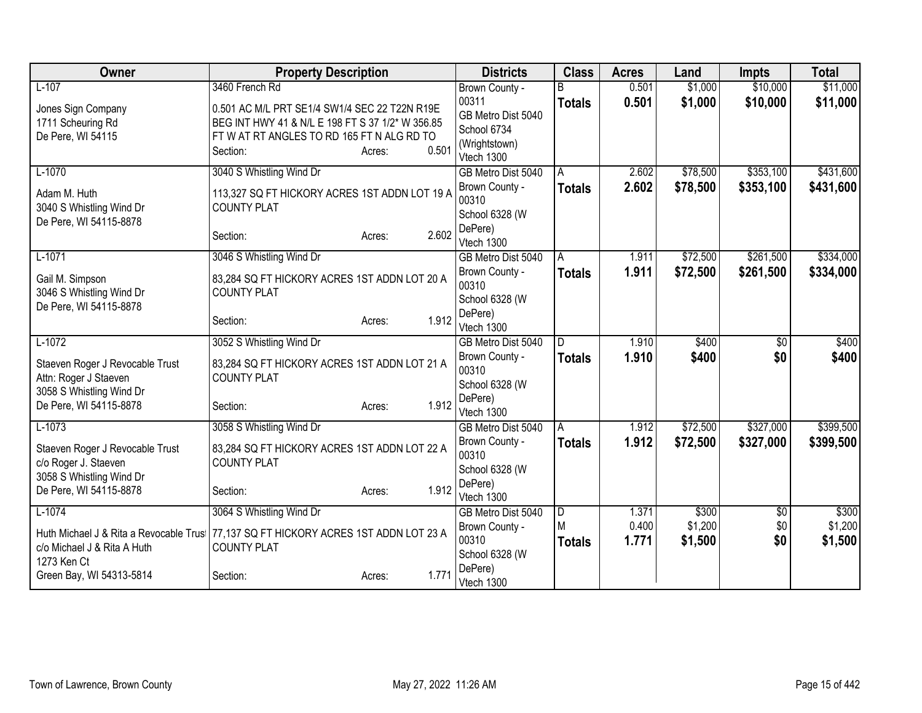| Owner                                              | <b>Property Description</b>                                         |                 | <b>Districts</b>             | <b>Class</b>  | <b>Acres</b> | Land     | <b>Impts</b>  | <b>Total</b> |
|----------------------------------------------------|---------------------------------------------------------------------|-----------------|------------------------------|---------------|--------------|----------|---------------|--------------|
| $L-107$                                            | 3460 French Rd                                                      |                 | Brown County -               |               | 0.501        | \$1,000  | \$10,000      | \$11,000     |
| Jones Sign Company                                 | 0.501 AC M/L PRT SE1/4 SW1/4 SEC 22 T22N R19E                       |                 | 00311                        | <b>Totals</b> | 0.501        | \$1,000  | \$10,000      | \$11,000     |
| 1711 Scheuring Rd                                  | BEG INT HWY 41 & N/L E 198 FT S 37 1/2* W 356.85                    |                 | GB Metro Dist 5040           |               |              |          |               |              |
| De Pere, WI 54115                                  | FTWAT RT ANGLES TO RD 165 FTN ALG RD TO                             |                 | School 6734<br>(Wrightstown) |               |              |          |               |              |
|                                                    | Section:                                                            | 0.501<br>Acres: | Vtech 1300                   |               |              |          |               |              |
| $L-1070$                                           | 3040 S Whistling Wind Dr                                            |                 | GB Metro Dist 5040           | A             | 2.602        | \$78,500 | \$353,100     | \$431,600    |
| Adam M. Huth                                       | 113,327 SQ FT HICKORY ACRES 1ST ADDN LOT 19 A<br><b>COUNTY PLAT</b> |                 | Brown County -<br>00310      | <b>Totals</b> | 2.602        | \$78,500 | \$353,100     | \$431,600    |
| 3040 S Whistling Wind Dr<br>De Pere, WI 54115-8878 |                                                                     |                 | School 6328 (W               |               |              |          |               |              |
|                                                    | Section:                                                            | 2.602<br>Acres: | DePere)                      |               |              |          |               |              |
|                                                    |                                                                     |                 | Vtech 1300                   |               |              |          |               |              |
| $L-1071$                                           | 3046 S Whistling Wind Dr                                            |                 | GB Metro Dist 5040           | A             | 1.911        | \$72,500 | \$261,500     | \$334,000    |
| Gail M. Simpson                                    | 83,284 SQ FT HICKORY ACRES 1ST ADDN LOT 20 A                        |                 | Brown County -<br>00310      | <b>Totals</b> | 1.911        | \$72,500 | \$261,500     | \$334,000    |
| 3046 S Whistling Wind Dr                           | <b>COUNTY PLAT</b>                                                  |                 | School 6328 (W               |               |              |          |               |              |
| De Pere, WI 54115-8878                             |                                                                     | 1.912           | DePere)                      |               |              |          |               |              |
|                                                    | Section:                                                            | Acres:          | Vtech 1300                   |               |              |          |               |              |
| $L-1072$                                           | 3052 S Whistling Wind Dr                                            |                 | GB Metro Dist 5040           | D             | 1.910        | \$400    | \$0           | \$400        |
| Staeven Roger J Revocable Trust                    | 83,284 SQ FT HICKORY ACRES 1ST ADDN LOT 21 A                        |                 | Brown County -               | <b>Totals</b> | 1.910        | \$400    | \$0           | \$400        |
| Attn: Roger J Staeven                              | <b>COUNTY PLAT</b>                                                  |                 | 00310                        |               |              |          |               |              |
| 3058 S Whistling Wind Dr                           |                                                                     |                 | School 6328 (W<br>DePere)    |               |              |          |               |              |
| De Pere, WI 54115-8878                             | Section:                                                            | 1.912<br>Acres: | Vtech 1300                   |               |              |          |               |              |
| $L-1073$                                           | 3058 S Whistling Wind Dr                                            |                 | GB Metro Dist 5040           | A             | 1.912        | \$72,500 | \$327,000     | \$399,500    |
| Staeven Roger J Revocable Trust                    | 83,284 SQ FT HICKORY ACRES 1ST ADDN LOT 22 A                        |                 | Brown County -               | <b>Totals</b> | 1.912        | \$72,500 | \$327,000     | \$399,500    |
| c/o Roger J. Staeven                               | <b>COUNTY PLAT</b>                                                  |                 | 00310                        |               |              |          |               |              |
| 3058 S Whistling Wind Dr                           |                                                                     |                 | School 6328 (W               |               |              |          |               |              |
| De Pere, WI 54115-8878                             | Section:                                                            | 1.912<br>Acres: | DePere)<br>Vtech 1300        |               |              |          |               |              |
| $L-1074$                                           | 3064 S Whistling Wind Dr                                            |                 | GB Metro Dist 5040           | D             | 1.371        | \$300    | $\sqrt[6]{3}$ | \$300        |
|                                                    |                                                                     |                 | Brown County -               | M             | 0.400        | \$1,200  | \$0           | \$1,200      |
| Huth Michael J & Rita a Revocable Trus             | 77,137 SQ FT HICKORY ACRES 1ST ADDN LOT 23 A                        |                 | 00310                        | <b>Totals</b> | 1.771        | \$1,500  | \$0           | \$1,500      |
| c/o Michael J & Rita A Huth<br>1273 Ken Ct         | <b>COUNTY PLAT</b>                                                  |                 | School 6328 (W               |               |              |          |               |              |
| Green Bay, WI 54313-5814                           | Section:                                                            | 1.771<br>Acres: | DePere)                      |               |              |          |               |              |
|                                                    |                                                                     |                 | Vtech 1300                   |               |              |          |               |              |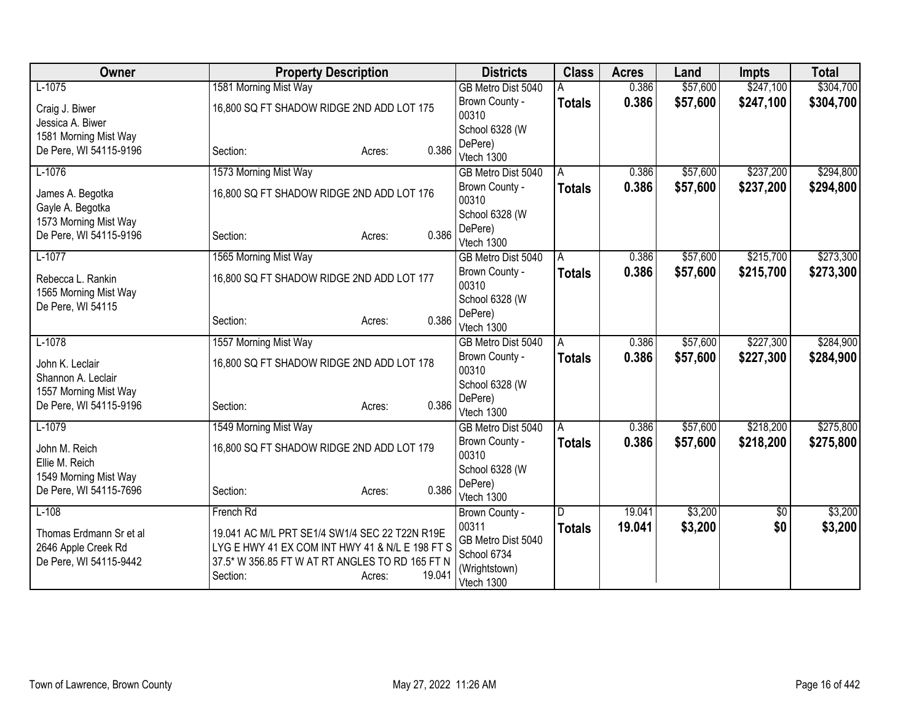| Owner                                | <b>Property Description</b>                     |                         | <b>Districts</b>             | <b>Class</b>  | <b>Acres</b> | Land      | <b>Impts</b> | <b>Total</b> |
|--------------------------------------|-------------------------------------------------|-------------------------|------------------------------|---------------|--------------|-----------|--------------|--------------|
| $L-1075$                             | 1581 Morning Mist Way                           |                         | GB Metro Dist 5040           |               | 0.386        | \$57,600  | \$247,100    | \$304,700    |
| Craig J. Biwer                       | 16,800 SQ FT SHADOW RIDGE 2ND ADD LOT 175       |                         | Brown County -               | <b>Totals</b> | 0.386        | \$57,600  | \$247,100    | \$304,700    |
| Jessica A. Biwer                     |                                                 |                         | 00310                        |               |              |           |              |              |
| 1581 Morning Mist Way                |                                                 |                         | School 6328 (W               |               |              |           |              |              |
| De Pere, WI 54115-9196               | Section:                                        | 0.386<br>Acres:         | DePere)                      |               |              |           |              |              |
|                                      |                                                 |                         | Vtech 1300                   |               |              |           |              |              |
| $L-1076$                             | 1573 Morning Mist Way                           |                         | GB Metro Dist 5040           | A             | 0.386        | \$57,600  | \$237,200    | \$294,800    |
| James A. Begotka<br>Gayle A. Begotka | 16,800 SQ FT SHADOW RIDGE 2ND ADD LOT 176       | Brown County -<br>00310 | <b>Totals</b>                | 0.386         | \$57,600     | \$237,200 | \$294,800    |              |
| 1573 Morning Mist Way                |                                                 |                         | School 6328 (W               |               |              |           |              |              |
| De Pere, WI 54115-9196               | Section:                                        | 0.386<br>Acres:         | DePere)<br>Vtech 1300        |               |              |           |              |              |
| $L-1077$                             | 1565 Morning Mist Way                           |                         | GB Metro Dist 5040           | A             | 0.386        | \$57,600  | \$215,700    | \$273,300    |
| Rebecca L. Rankin                    | 16,800 SQ FT SHADOW RIDGE 2ND ADD LOT 177       |                         | Brown County -<br>00310      | <b>Totals</b> | 0.386        | \$57,600  | \$215,700    | \$273,300    |
| 1565 Morning Mist Way                |                                                 |                         | School 6328 (W               |               |              |           |              |              |
| De Pere, WI 54115                    |                                                 |                         | DePere)                      |               |              |           |              |              |
|                                      | Section:                                        | 0.386<br>Acres:         | Vtech 1300                   |               |              |           |              |              |
| $L-1078$                             | 1557 Morning Mist Way                           |                         | GB Metro Dist 5040           | A             | 0.386        | \$57,600  | \$227,300    | \$284,900    |
| John K. Leclair                      | 16,800 SQ FT SHADOW RIDGE 2ND ADD LOT 178       |                         | Brown County -<br>00310      | Totals        | 0.386        | \$57,600  | \$227,300    | \$284,900    |
| Shannon A. Leclair                   |                                                 |                         | School 6328 (W               |               |              |           |              |              |
| 1557 Morning Mist Way                |                                                 |                         | DePere)                      |               |              |           |              |              |
| De Pere, WI 54115-9196               | Section:                                        | 0.386<br>Acres:         | Vtech 1300                   |               |              |           |              |              |
| $L-1079$                             | 1549 Morning Mist Way                           |                         | GB Metro Dist 5040           | A             | 0.386        | \$57,600  | \$218,200    | \$275,800    |
| John M. Reich                        | 16,800 SQ FT SHADOW RIDGE 2ND ADD LOT 179       |                         | Brown County -               | <b>Totals</b> | 0.386        | \$57,600  | \$218,200    | \$275,800    |
| Ellie M. Reich                       |                                                 |                         | 00310                        |               |              |           |              |              |
| 1549 Morning Mist Way                |                                                 |                         | School 6328 (W               |               |              |           |              |              |
| De Pere, WI 54115-7696               | Section:                                        | 0.386<br>Acres:         | DePere)                      |               |              |           |              |              |
|                                      |                                                 |                         | Vtech 1300                   |               |              |           |              |              |
| $L-108$                              | French Rd                                       |                         | Brown County -               | D             | 19.041       | \$3,200   | \$0          | \$3,200      |
| Thomas Erdmann Sr et al              | 19.041 AC M/L PRT SE1/4 SW1/4 SEC 22 T22N R19E  |                         | 00311                        | <b>Totals</b> | 19.041       | \$3,200   | \$0          | \$3,200      |
| 2646 Apple Creek Rd                  | LYG E HWY 41 EX COM INT HWY 41 & N/L E 198 FT S |                         | GB Metro Dist 5040           |               |              |           |              |              |
| De Pere, WI 54115-9442               | 37.5* W 356.85 FT W AT RT ANGLES TO RD 165 FT N |                         | School 6734<br>(Wrightstown) |               |              |           |              |              |
|                                      | Section:                                        | 19.041<br>Acres:        | Vtech 1300                   |               |              |           |              |              |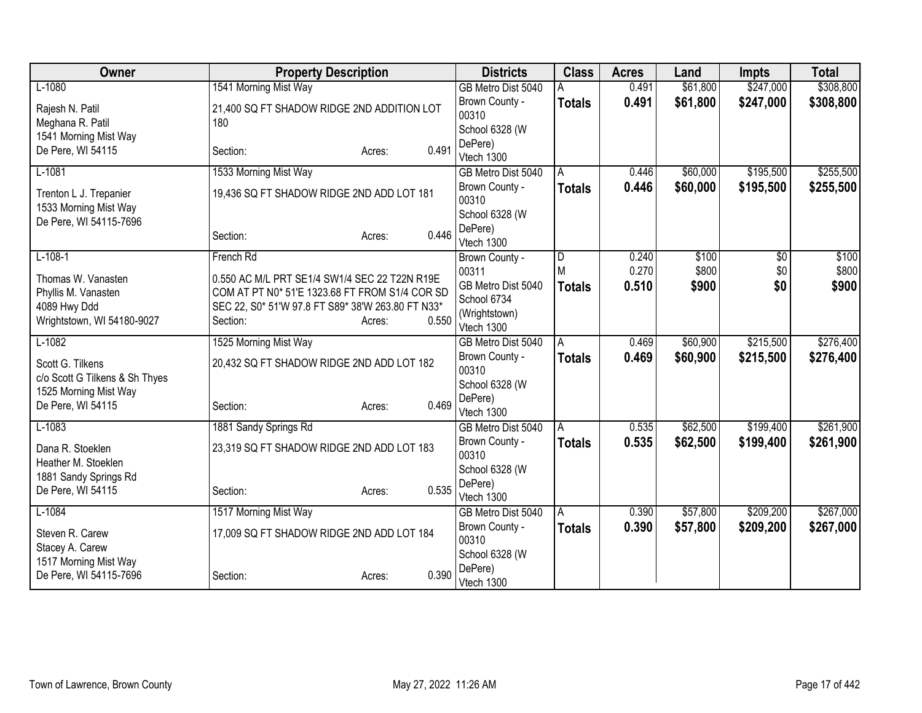| Owner                                      | <b>Property Description</b>                                   |                 | <b>Districts</b>             | <b>Class</b>  | <b>Acres</b> | Land     | <b>Impts</b> | <b>Total</b> |
|--------------------------------------------|---------------------------------------------------------------|-----------------|------------------------------|---------------|--------------|----------|--------------|--------------|
| $L-1080$                                   | 1541 Morning Mist Way                                         |                 | GB Metro Dist 5040           |               | 0.491        | \$61,800 | \$247,000    | \$308,800    |
| Rajesh N. Patil                            | 21,400 SQ FT SHADOW RIDGE 2ND ADDITION LOT                    |                 | Brown County -               | <b>Totals</b> | 0.491        | \$61,800 | \$247,000    | \$308,800    |
| Meghana R. Patil                           | 180                                                           |                 | 00310                        |               |              |          |              |              |
| 1541 Morning Mist Way                      |                                                               |                 | School 6328 (W<br>DePere)    |               |              |          |              |              |
| De Pere, WI 54115                          | Section:                                                      | 0.491<br>Acres: | Vtech 1300                   |               |              |          |              |              |
| $L-1081$                                   | 1533 Morning Mist Way                                         |                 | GB Metro Dist 5040           | A             | 0.446        | \$60,000 | \$195,500    | \$255,500    |
| Trenton L J. Trepanier                     | 19,436 SQ FT SHADOW RIDGE 2ND ADD LOT 181                     |                 | Brown County -               | <b>Totals</b> | 0.446        | \$60,000 | \$195,500    | \$255,500    |
| 1533 Morning Mist Way                      |                                                               |                 | 00310                        |               |              |          |              |              |
| De Pere, WI 54115-7696                     |                                                               |                 | School 6328 (W               |               |              |          |              |              |
|                                            | Section:                                                      | 0.446<br>Acres: | DePere)                      |               |              |          |              |              |
| $L-108-1$                                  | French Rd                                                     |                 | Vtech 1300<br>Brown County - | l D           | 0.240        | \$100    | \$0          | \$100        |
|                                            |                                                               |                 | 00311                        | M             | 0.270        | \$800    | \$0          | \$800        |
| Thomas W. Vanasten                         | 0.550 AC M/L PRT SE1/4 SW1/4 SEC 22 T22N R19E                 |                 | GB Metro Dist 5040           | <b>Totals</b> | 0.510        | \$900    | \$0          | \$900        |
| Phyllis M. Vanasten                        | COM AT PT N0* 51'E 1323.68 FT FROM S1/4 COR SD                |                 | School 6734                  |               |              |          |              |              |
| 4089 Hwy Ddd<br>Wrightstown, WI 54180-9027 | SEC 22, S0* 51'W 97.8 FT S89* 38'W 263.80 FT N33*<br>Section: | 0.550<br>Acres: | (Wrightstown)                |               |              |          |              |              |
|                                            |                                                               |                 | Vtech 1300                   |               |              |          |              |              |
| $L-1082$                                   | 1525 Morning Mist Way                                         |                 | GB Metro Dist 5040           | A             | 0.469        | \$60,900 | \$215,500    | \$276,400    |
| Scott G. Tilkens                           | 20,432 SQ FT SHADOW RIDGE 2ND ADD LOT 182                     |                 | Brown County -               | <b>Totals</b> | 0.469        | \$60,900 | \$215,500    | \$276,400    |
| c/o Scott G Tilkens & Sh Thyes             |                                                               |                 | 00310<br>School 6328 (W      |               |              |          |              |              |
| 1525 Morning Mist Way                      |                                                               |                 | DePere)                      |               |              |          |              |              |
| De Pere, WI 54115                          | Section:                                                      | 0.469<br>Acres: | Vtech 1300                   |               |              |          |              |              |
| $L-1083$                                   | 1881 Sandy Springs Rd                                         |                 | GB Metro Dist 5040           | A             | 0.535        | \$62,500 | \$199,400    | \$261,900    |
| Dana R. Stoeklen                           | 23,319 SQ FT SHADOW RIDGE 2ND ADD LOT 183                     |                 | Brown County -               | <b>Totals</b> | 0.535        | \$62,500 | \$199,400    | \$261,900    |
| Heather M. Stoeklen                        |                                                               |                 | 00310                        |               |              |          |              |              |
| 1881 Sandy Springs Rd                      |                                                               |                 | School 6328 (W               |               |              |          |              |              |
| De Pere, WI 54115                          | Section:                                                      | 0.535<br>Acres: | DePere)<br>Vtech 1300        |               |              |          |              |              |
| $L-1084$                                   | 1517 Morning Mist Way                                         |                 | GB Metro Dist 5040           | A             | 0.390        | \$57,800 | \$209,200    | \$267,000    |
|                                            |                                                               |                 | Brown County -               | <b>Totals</b> | 0.390        | \$57,800 | \$209,200    | \$267,000    |
| Steven R. Carew                            | 17,009 SQ FT SHADOW RIDGE 2ND ADD LOT 184                     |                 | 00310                        |               |              |          |              |              |
| Stacey A. Carew<br>1517 Morning Mist Way   |                                                               |                 | School 6328 (W               |               |              |          |              |              |
| De Pere, WI 54115-7696                     | Section:                                                      | 0.390<br>Acres: | DePere)                      |               |              |          |              |              |
|                                            |                                                               |                 | Vtech 1300                   |               |              |          |              |              |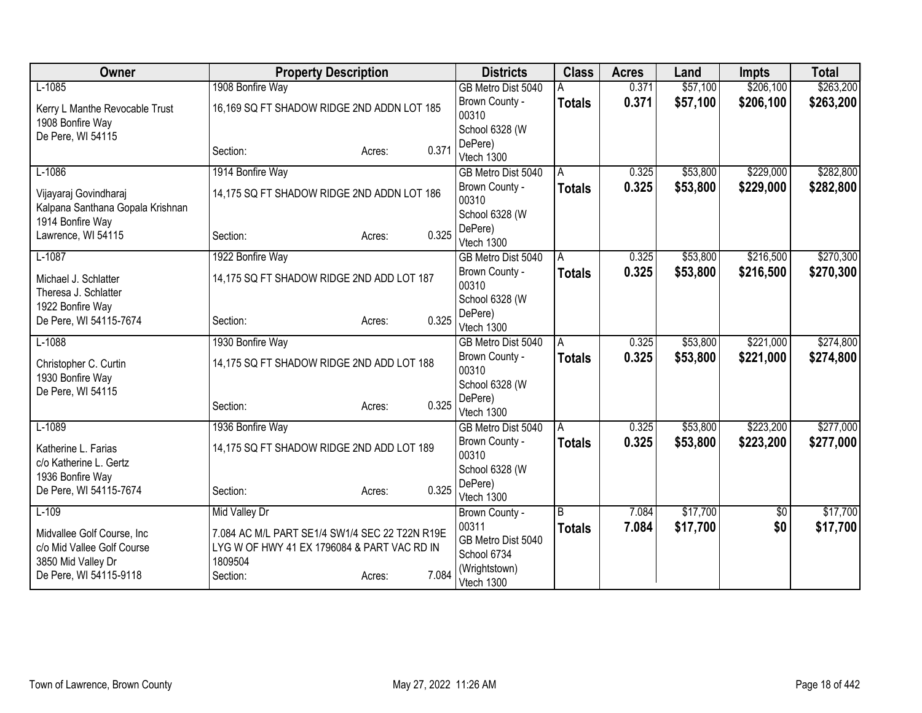| Owner                            | <b>Property Description</b>                    |        |       | <b>Districts</b>        | <b>Class</b>   | <b>Acres</b> | Land     | <b>Impts</b> | <b>Total</b> |
|----------------------------------|------------------------------------------------|--------|-------|-------------------------|----------------|--------------|----------|--------------|--------------|
| $L-1085$                         | 1908 Bonfire Way                               |        |       | GB Metro Dist 5040      |                | 0.371        | \$57,100 | \$206,100    | \$263,200    |
| Kerry L Manthe Revocable Trust   | 16,169 SQ FT SHADOW RIDGE 2ND ADDN LOT 185     |        |       | Brown County -          | <b>Totals</b>  | 0.371        | \$57,100 | \$206,100    | \$263,200    |
| 1908 Bonfire Way                 |                                                |        |       | 00310                   |                |              |          |              |              |
| De Pere, WI 54115                |                                                |        |       | School 6328 (W          |                |              |          |              |              |
|                                  | Section:                                       | Acres: | 0.371 | DePere)<br>Vtech 1300   |                |              |          |              |              |
| $L-1086$                         | 1914 Bonfire Way                               |        |       | GB Metro Dist 5040      | A              | 0.325        | \$53,800 | \$229,000    | \$282,800    |
|                                  |                                                |        |       | Brown County -          | <b>Totals</b>  | 0.325        | \$53,800 | \$229,000    | \$282,800    |
| Vijayaraj Govindharaj            | 14,175 SQ FT SHADOW RIDGE 2ND ADDN LOT 186     |        |       | 00310                   |                |              |          |              |              |
| Kalpana Santhana Gopala Krishnan |                                                |        |       | School 6328 (W          |                |              |          |              |              |
| 1914 Bonfire Way                 |                                                |        |       | DePere)                 |                |              |          |              |              |
| Lawrence, WI 54115               | Section:                                       | Acres: | 0.325 | Vtech 1300              |                |              |          |              |              |
| $L-1087$                         | 1922 Bonfire Way                               |        |       | GB Metro Dist 5040      | $\overline{A}$ | 0.325        | \$53,800 | \$216,500    | \$270,300    |
| Michael J. Schlatter             | 14,175 SQ FT SHADOW RIDGE 2ND ADD LOT 187      |        |       | Brown County -          | <b>Totals</b>  | 0.325        | \$53,800 | \$216,500    | \$270,300    |
| Theresa J. Schlatter             |                                                |        |       | 00310                   |                |              |          |              |              |
| 1922 Bonfire Way                 |                                                |        |       | School 6328 (W          |                |              |          |              |              |
| De Pere, WI 54115-7674           | Section:                                       | Acres: | 0.325 | DePere)                 |                |              |          |              |              |
|                                  |                                                |        |       | Vtech 1300              |                |              |          | \$221,000    |              |
| $L-1088$                         | 1930 Bonfire Way                               |        |       | GB Metro Dist 5040      | A              | 0.325        | \$53,800 |              | \$274,800    |
| Christopher C. Curtin            | 14,175 SQ FT SHADOW RIDGE 2ND ADD LOT 188      |        |       | Brown County -<br>00310 | <b>Totals</b>  | 0.325        | \$53,800 | \$221,000    | \$274,800    |
| 1930 Bonfire Way                 |                                                |        |       | School 6328 (W          |                |              |          |              |              |
| De Pere, WI 54115                |                                                |        |       | DePere)                 |                |              |          |              |              |
|                                  | Section:                                       | Acres: | 0.325 | Vtech 1300              |                |              |          |              |              |
| $L-1089$                         | 1936 Bonfire Way                               |        |       | GB Metro Dist 5040      | A              | 0.325        | \$53,800 | \$223,200    | \$277,000    |
| Katherine L. Farias              | 14,175 SQ FT SHADOW RIDGE 2ND ADD LOT 189      |        |       | Brown County -          | <b>Totals</b>  | 0.325        | \$53,800 | \$223,200    | \$277,000    |
| c/o Katherine L. Gertz           |                                                |        |       | 00310                   |                |              |          |              |              |
| 1936 Bonfire Way                 |                                                |        |       | School 6328 (W          |                |              |          |              |              |
| De Pere, WI 54115-7674           | Section:                                       | Acres: | 0.325 | DePere)                 |                |              |          |              |              |
|                                  |                                                |        |       | Vtech 1300              |                |              |          |              |              |
| $L-109$                          | Mid Valley Dr                                  |        |       | Brown County -<br>00311 | B              | 7.084        | \$17,700 | \$0          | \$17,700     |
| Midvallee Golf Course, Inc.      | 7.084 AC M/L PART SE1/4 SW1/4 SEC 22 T22N R19E |        |       | GB Metro Dist 5040      | <b>Totals</b>  | 7.084        | \$17,700 | \$0          | \$17,700     |
| c/o Mid Vallee Golf Course       | LYG W OF HWY 41 EX 1796084 & PART VAC RD IN    |        |       | School 6734             |                |              |          |              |              |
| 3850 Mid Valley Dr               | 1809504                                        |        |       | (Wrightstown)           |                |              |          |              |              |
| De Pere, WI 54115-9118           | Section:                                       | Acres: | 7.084 | Vtech 1300              |                |              |          |              |              |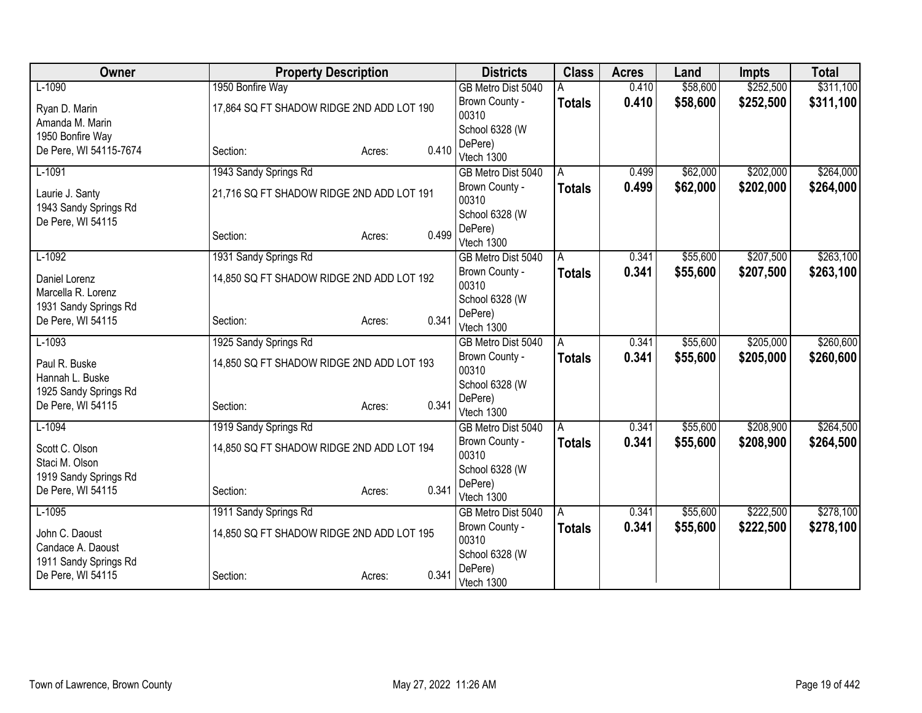| Owner                  | <b>Property Description</b>               | <b>Districts</b> | <b>Class</b>            | <b>Acres</b>  | Land     | <b>Impts</b> | <b>Total</b> |           |
|------------------------|-------------------------------------------|------------------|-------------------------|---------------|----------|--------------|--------------|-----------|
| $L-1090$               | 1950 Bonfire Way                          |                  | GB Metro Dist 5040      |               | 0.410    | \$58,600     | \$252,500    | \$311,100 |
| Ryan D. Marin          | 17,864 SQ FT SHADOW RIDGE 2ND ADD LOT 190 |                  | Brown County -          | <b>Totals</b> | 0.410    | \$58,600     | \$252,500    | \$311,100 |
| Amanda M. Marin        |                                           |                  | 00310                   |               |          |              |              |           |
| 1950 Bonfire Way       |                                           |                  | School 6328 (W          |               |          |              |              |           |
| De Pere, WI 54115-7674 | Section:                                  | 0.410<br>Acres:  | DePere)<br>Vtech 1300   |               |          |              |              |           |
| $L-1091$               | 1943 Sandy Springs Rd                     |                  | GB Metro Dist 5040      | A             | 0.499    | \$62,000     | \$202,000    | \$264,000 |
|                        |                                           |                  | Brown County -          | <b>Totals</b> | 0.499    | \$62,000     | \$202,000    | \$264,000 |
| Laurie J. Santy        | 21,716 SQ FT SHADOW RIDGE 2ND ADD LOT 191 |                  | 00310                   |               |          |              |              |           |
| 1943 Sandy Springs Rd  |                                           |                  | School 6328 (W          |               |          |              |              |           |
| De Pere, WI 54115      |                                           |                  | DePere)                 |               |          |              |              |           |
|                        | Section:                                  | 0.499<br>Acres:  | Vtech 1300              |               |          |              |              |           |
| $L-1092$               | 1931 Sandy Springs Rd                     |                  | GB Metro Dist 5040      | A             | 0.341    | \$55,600     | \$207,500    | \$263,100 |
| Daniel Lorenz          | 14,850 SQ FT SHADOW RIDGE 2ND ADD LOT 192 | Brown County -   | <b>Totals</b>           | 0.341         | \$55,600 | \$207,500    | \$263,100    |           |
| Marcella R. Lorenz     |                                           | 00310            |                         |               |          |              |              |           |
| 1931 Sandy Springs Rd  |                                           |                  | School 6328 (W          |               |          |              |              |           |
| De Pere, WI 54115      | Section:                                  | 0.341<br>Acres:  | DePere)                 |               |          |              |              |           |
|                        |                                           |                  | Vtech 1300              |               |          |              |              |           |
| $L-1093$               | 1925 Sandy Springs Rd                     |                  | GB Metro Dist 5040      | A             | 0.341    | \$55,600     | \$205,000    | \$260,600 |
| Paul R. Buske          | 14,850 SQ FT SHADOW RIDGE 2ND ADD LOT 193 |                  | Brown County -<br>00310 | <b>Totals</b> | 0.341    | \$55,600     | \$205,000    | \$260,600 |
| Hannah L. Buske        |                                           |                  | School 6328 (W          |               |          |              |              |           |
| 1925 Sandy Springs Rd  |                                           |                  | DePere)                 |               |          |              |              |           |
| De Pere, WI 54115      | Section:                                  | 0.341<br>Acres:  | Vtech 1300              |               |          |              |              |           |
| $L-1094$               | 1919 Sandy Springs Rd                     |                  | GB Metro Dist 5040      | A             | 0.341    | \$55,600     | \$208,900    | \$264,500 |
| Scott C. Olson         | 14,850 SQ FT SHADOW RIDGE 2ND ADD LOT 194 |                  | Brown County -          | <b>Totals</b> | 0.341    | \$55,600     | \$208,900    | \$264,500 |
| Staci M. Olson         |                                           |                  | 00310                   |               |          |              |              |           |
| 1919 Sandy Springs Rd  |                                           |                  | School 6328 (W          |               |          |              |              |           |
| De Pere, WI 54115      | Section:                                  | 0.341<br>Acres:  | DePere)                 |               |          |              |              |           |
|                        |                                           |                  | Vtech 1300              |               |          |              |              |           |
| $L-1095$               | 1911 Sandy Springs Rd                     |                  | GB Metro Dist 5040      | A             | 0.341    | \$55,600     | \$222,500    | \$278,100 |
| John C. Daoust         | 14,850 SQ FT SHADOW RIDGE 2ND ADD LOT 195 |                  | Brown County -<br>00310 | <b>Totals</b> | 0.341    | \$55,600     | \$222,500    | \$278,100 |
| Candace A. Daoust      |                                           |                  | School 6328 (W          |               |          |              |              |           |
| 1911 Sandy Springs Rd  |                                           |                  | DePere)                 |               |          |              |              |           |
| De Pere, WI 54115      | Section:                                  | 0.341<br>Acres:  | Vtech 1300              |               |          |              |              |           |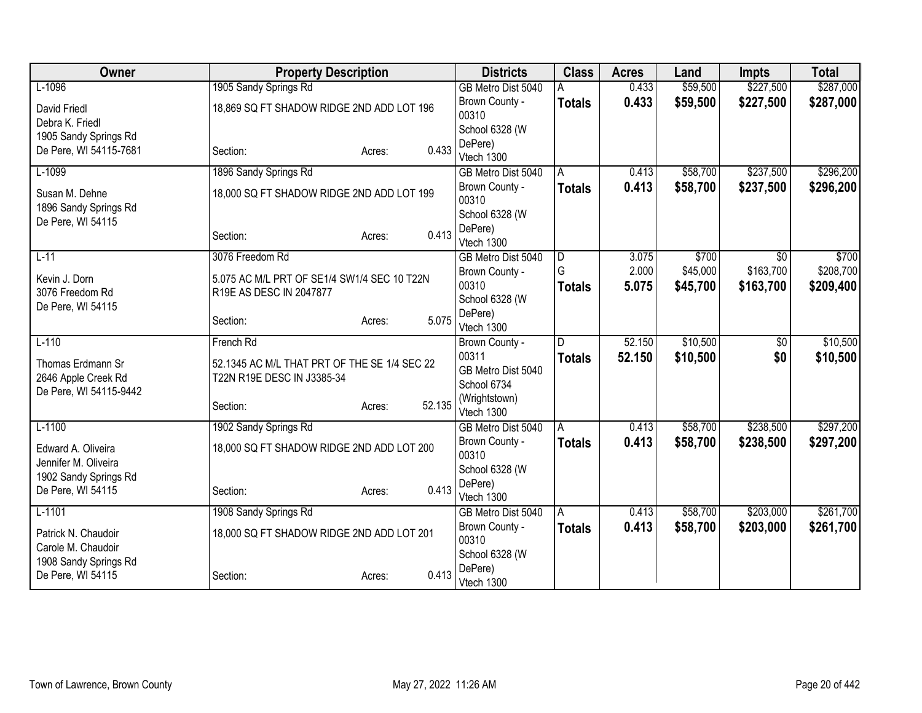| Owner                                      | <b>Property Description</b>                  | <b>Districts</b> | <b>Class</b>                | <b>Acres</b>        | Land           | <b>Impts</b>      | <b>Total</b>     |                    |
|--------------------------------------------|----------------------------------------------|------------------|-----------------------------|---------------------|----------------|-------------------|------------------|--------------------|
| $L-1096$                                   | 1905 Sandy Springs Rd                        |                  | GB Metro Dist 5040          |                     | 0.433          | \$59,500          | \$227,500        | \$287,000          |
| <b>David Friedl</b>                        | 18,869 SQ FT SHADOW RIDGE 2ND ADD LOT 196    |                  | Brown County -              | <b>Totals</b>       | 0.433          | \$59,500          | \$227,500        | \$287,000          |
| Debra K. Friedl                            |                                              |                  | 00310                       |                     |                |                   |                  |                    |
| 1905 Sandy Springs Rd                      |                                              |                  | School 6328 (W              |                     |                |                   |                  |                    |
| De Pere, WI 54115-7681                     | Section:                                     | 0.433<br>Acres:  | DePere)<br>Vtech 1300       |                     |                |                   |                  |                    |
| $L-1099$                                   | 1896 Sandy Springs Rd                        |                  | GB Metro Dist 5040          | A                   | 0.413          | \$58,700          | \$237,500        | \$296,200          |
|                                            |                                              |                  | Brown County -              | <b>Totals</b>       | 0.413          | \$58,700          | \$237,500        | \$296,200          |
| Susan M. Dehne<br>1896 Sandy Springs Rd    | 18,000 SQ FT SHADOW RIDGE 2ND ADD LOT 199    |                  | 00310                       |                     |                |                   |                  |                    |
| De Pere, WI 54115                          |                                              |                  | School 6328 (W              |                     |                |                   |                  |                    |
|                                            | Section:                                     | 0.413<br>Acres:  | DePere)                     |                     |                |                   |                  |                    |
|                                            |                                              |                  | Vtech 1300                  |                     |                |                   |                  |                    |
| $L-11$                                     | 3076 Freedom Rd                              |                  | GB Metro Dist 5040          | $\overline{D}$<br>G | 3.075<br>2.000 | \$700<br>\$45,000 | \$0<br>\$163,700 | \$700<br>\$208,700 |
| Kevin J. Dorn                              | 5.075 AC M/L PRT OF SE1/4 SW1/4 SEC 10 T22N  |                  | Brown County -<br>00310     |                     | 5.075          | \$45,700          | \$163,700        | \$209,400          |
| 3076 Freedom Rd                            | R19E AS DESC IN 2047877                      |                  | School 6328 (W              | Totals              |                |                   |                  |                    |
| De Pere, WI 54115                          |                                              |                  | DePere)                     |                     |                |                   |                  |                    |
|                                            | Section:                                     | 5.075<br>Acres:  | Vtech 1300                  |                     |                |                   |                  |                    |
| $L-110$                                    | French Rd                                    |                  | Brown County -              | D                   | 52.150         | \$10,500          | \$0              | \$10,500           |
| Thomas Erdmann Sr                          | 52.1345 AC M/L THAT PRT OF THE SE 1/4 SEC 22 |                  | 00311                       | <b>Totals</b>       | 52.150         | \$10,500          | \$0              | \$10,500           |
| 2646 Apple Creek Rd                        | T22N R19E DESC IN J3385-34                   |                  | GB Metro Dist 5040          |                     |                |                   |                  |                    |
| De Pere, WI 54115-9442                     |                                              |                  | School 6734                 |                     |                |                   |                  |                    |
|                                            | Section:                                     | 52.135<br>Acres: | (Wrightstown)<br>Vtech 1300 |                     |                |                   |                  |                    |
| $L-1100$                                   | 1902 Sandy Springs Rd                        |                  | GB Metro Dist 5040          | A                   | 0.413          | \$58,700          | \$238,500        | \$297,200          |
|                                            |                                              |                  | Brown County -              | <b>Totals</b>       | 0.413          | \$58,700          | \$238,500        | \$297,200          |
| Edward A. Oliveira<br>Jennifer M. Oliveira | 18,000 SQ FT SHADOW RIDGE 2ND ADD LOT 200    |                  | 00310                       |                     |                |                   |                  |                    |
| 1902 Sandy Springs Rd                      |                                              |                  | School 6328 (W              |                     |                |                   |                  |                    |
| De Pere, WI 54115                          | Section:                                     | 0.413<br>Acres:  | DePere)                     |                     |                |                   |                  |                    |
|                                            |                                              |                  | Vtech 1300                  |                     |                |                   |                  |                    |
| $L-1101$                                   | 1908 Sandy Springs Rd                        |                  | GB Metro Dist 5040          | l A                 | 0.413          | \$58,700          | \$203,000        | \$261,700          |
| Patrick N. Chaudoir                        | 18,000 SQ FT SHADOW RIDGE 2ND ADD LOT 201    |                  | Brown County -<br>00310     | <b>Totals</b>       | 0.413          | \$58,700          | \$203,000        | \$261,700          |
| Carole M. Chaudoir                         |                                              |                  | School 6328 (W              |                     |                |                   |                  |                    |
| 1908 Sandy Springs Rd                      |                                              |                  | DePere)                     |                     |                |                   |                  |                    |
| De Pere, WI 54115                          | Section:                                     | 0.413<br>Acres:  | Vtech 1300                  |                     |                |                   |                  |                    |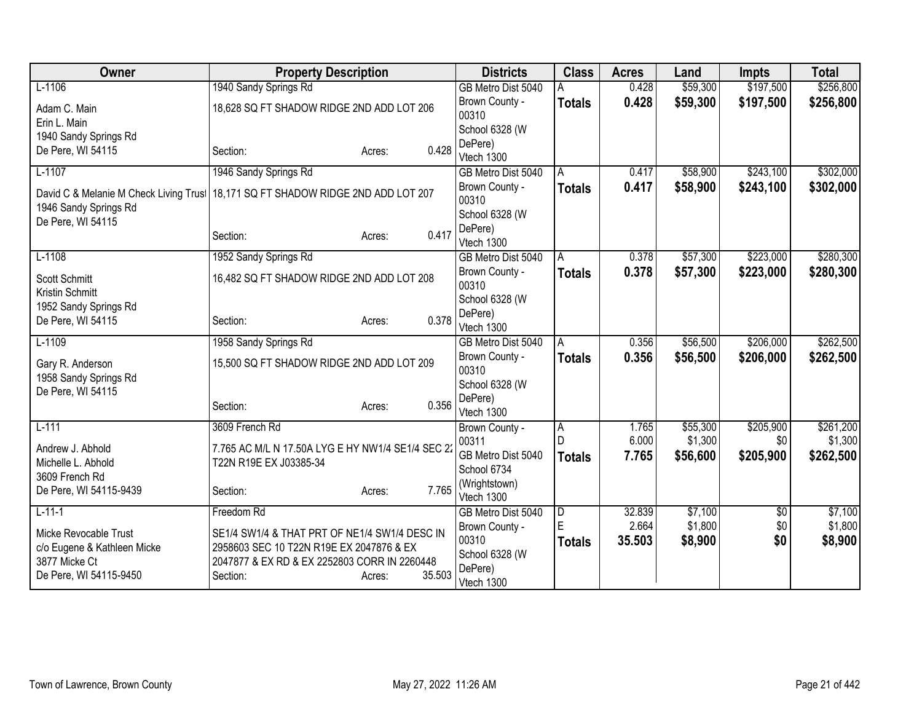| Owner                                  | <b>Property Description</b>                       |                  | <b>Districts</b>        | <b>Class</b>   | <b>Acres</b> | Land     | <b>Impts</b>  | <b>Total</b> |
|----------------------------------------|---------------------------------------------------|------------------|-------------------------|----------------|--------------|----------|---------------|--------------|
| $L-1106$                               | 1940 Sandy Springs Rd                             |                  | GB Metro Dist 5040      |                | 0.428        | \$59,300 | \$197,500     | \$256,800    |
| Adam C. Main                           | 18,628 SQ FT SHADOW RIDGE 2ND ADD LOT 206         |                  | Brown County -          | <b>Totals</b>  | 0.428        | \$59,300 | \$197,500     | \$256,800    |
| Erin L. Main                           |                                                   |                  | 00310                   |                |              |          |               |              |
| 1940 Sandy Springs Rd                  |                                                   |                  | School 6328 (W          |                |              |          |               |              |
| De Pere, WI 54115                      | Section:                                          | 0.428<br>Acres:  | DePere)<br>Vtech 1300   |                |              |          |               |              |
| $L-1107$                               | 1946 Sandy Springs Rd                             |                  | GB Metro Dist 5040      | A              | 0.417        | \$58,900 | \$243,100     | \$302,000    |
|                                        |                                                   |                  | Brown County -          | <b>Totals</b>  | 0.417        | \$58,900 | \$243,100     | \$302,000    |
| David C & Melanie M Check Living Trust | 18,171 SQ FT SHADOW RIDGE 2ND ADD LOT 207         |                  | 00310                   |                |              |          |               |              |
| 1946 Sandy Springs Rd                  |                                                   |                  | School 6328 (W          |                |              |          |               |              |
| De Pere, WI 54115                      |                                                   |                  | DePere)                 |                |              |          |               |              |
|                                        | Section:                                          | 0.417<br>Acres:  | Vtech 1300              |                |              |          |               |              |
| $L-1108$                               | 1952 Sandy Springs Rd                             |                  | GB Metro Dist 5040      | A              | 0.378        | \$57,300 | \$223,000     | \$280,300    |
| Scott Schmitt                          | 16,482 SQ FT SHADOW RIDGE 2ND ADD LOT 208         |                  | Brown County -          | <b>Totals</b>  | 0.378        | \$57,300 | \$223,000     | \$280,300    |
| Kristin Schmitt                        |                                                   |                  | 00310                   |                |              |          |               |              |
| 1952 Sandy Springs Rd                  |                                                   |                  | School 6328 (W          |                |              |          |               |              |
| De Pere, WI 54115                      | Section:                                          | 0.378<br>Acres:  | DePere)                 |                |              |          |               |              |
|                                        |                                                   |                  | Vtech 1300              |                |              |          |               |              |
| $L-1109$                               | 1958 Sandy Springs Rd                             |                  | GB Metro Dist 5040      | A              | 0.356        | \$56,500 | \$206,000     | \$262,500    |
| Gary R. Anderson                       | 15,500 SQ FT SHADOW RIDGE 2ND ADD LOT 209         |                  | Brown County -<br>00310 | <b>Totals</b>  | 0.356        | \$56,500 | \$206,000     | \$262,500    |
| 1958 Sandy Springs Rd                  |                                                   |                  | School 6328 (W          |                |              |          |               |              |
| De Pere, WI 54115                      |                                                   |                  | DePere)                 |                |              |          |               |              |
|                                        | Section:                                          | 0.356<br>Acres:  | Vtech 1300              |                |              |          |               |              |
| $L-111$                                | 3609 French Rd                                    |                  | Brown County -          | $\overline{A}$ | 1.765        | \$55,300 | \$205,900     | \$261,200    |
| Andrew J. Abhold                       | 7.765 AC M/L N 17.50A LYG E HY NW1/4 SE1/4 SEC 22 |                  | 00311                   |                | 6.000        | \$1,300  | \$0           | \$1,300      |
| Michelle L. Abhold                     | T22N R19E EX J03385-34                            |                  | GB Metro Dist 5040      | <b>Totals</b>  | 7.765        | \$56,600 | \$205,900     | \$262,500    |
| 3609 French Rd                         |                                                   |                  | School 6734             |                |              |          |               |              |
| De Pere, WI 54115-9439                 | Section:                                          | 7.765<br>Acres:  | (Wrightstown)           |                |              |          |               |              |
|                                        |                                                   |                  | Vtech 1300              |                |              |          |               |              |
| $L-11-1$                               | Freedom Rd                                        |                  | GB Metro Dist 5040      | D              | 32.839       | \$7,100  | $\sqrt[6]{3}$ | \$7,100      |
| Micke Revocable Trust                  | SE1/4 SW1/4 & THAT PRT OF NE1/4 SW1/4 DESC IN     |                  | Brown County -<br>00310 | E              | 2.664        | \$1,800  | \$0           | \$1,800      |
| c/o Eugene & Kathleen Micke            | 2958603 SEC 10 T22N R19E EX 2047876 & EX          |                  | School 6328 (W          | <b>Totals</b>  | 35.503       | \$8,900  | \$0           | \$8,900      |
| 3877 Micke Ct                          | 2047877 & EX RD & EX 2252803 CORR IN 2260448      |                  | DePere)                 |                |              |          |               |              |
| De Pere, WI 54115-9450                 | Section:                                          | 35.503<br>Acres: | Vtech 1300              |                |              |          |               |              |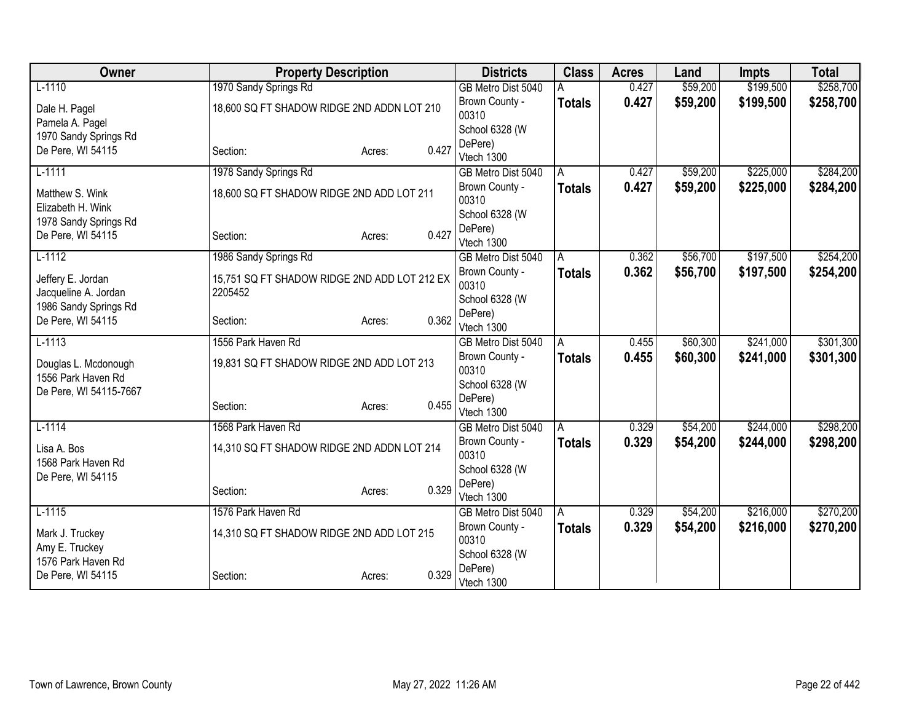| Owner                  | <b>Property Description</b>                  |        |       | <b>Districts</b>        | <b>Class</b>  | <b>Acres</b> | Land     | <b>Impts</b> | <b>Total</b> |
|------------------------|----------------------------------------------|--------|-------|-------------------------|---------------|--------------|----------|--------------|--------------|
| $L-1110$               | 1970 Sandy Springs Rd                        |        |       | GB Metro Dist 5040      |               | 0.427        | \$59,200 | \$199,500    | \$258,700    |
| Dale H. Pagel          | 18,600 SQ FT SHADOW RIDGE 2ND ADDN LOT 210   |        |       | Brown County -          | <b>Totals</b> | 0.427        | \$59,200 | \$199,500    | \$258,700    |
| Pamela A. Pagel        |                                              |        |       | 00310                   |               |              |          |              |              |
| 1970 Sandy Springs Rd  |                                              |        |       | School 6328 (W          |               |              |          |              |              |
| De Pere, WI 54115      | Section:                                     | Acres: | 0.427 | DePere)<br>Vtech 1300   |               |              |          |              |              |
| $L-1111$               | 1978 Sandy Springs Rd                        |        |       | GB Metro Dist 5040      | A             | 0.427        | \$59,200 | \$225,000    | \$284,200    |
|                        |                                              |        |       | Brown County -          | <b>Totals</b> | 0.427        | \$59,200 | \$225,000    | \$284,200    |
| Matthew S. Wink        | 18,600 SQ FT SHADOW RIDGE 2ND ADD LOT 211    |        |       | 00310                   |               |              |          |              |              |
| Elizabeth H. Wink      |                                              |        |       | School 6328 (W          |               |              |          |              |              |
| 1978 Sandy Springs Rd  |                                              |        | 0.427 | DePere)                 |               |              |          |              |              |
| De Pere, WI 54115      | Section:                                     | Acres: |       | Vtech 1300              |               |              |          |              |              |
| $L-1112$               | 1986 Sandy Springs Rd                        |        |       | GB Metro Dist 5040      | A             | 0.362        | \$56,700 | \$197,500    | \$254,200    |
| Jeffery E. Jordan      | 15,751 SQ FT SHADOW RIDGE 2ND ADD LOT 212 EX |        |       | Brown County -          | Totals        | 0.362        | \$56,700 | \$197,500    | \$254,200    |
| Jacqueline A. Jordan   | 2205452                                      |        |       | 00310                   |               |              |          |              |              |
| 1986 Sandy Springs Rd  |                                              |        |       | School 6328 (W          |               |              |          |              |              |
| De Pere, WI 54115      | Section:                                     | Acres: | 0.362 | DePere)                 |               |              |          |              |              |
| $L-1113$               | 1556 Park Haven Rd                           |        |       | Vtech 1300              |               | 0.455        | \$60,300 | \$241,000    | \$301,300    |
|                        |                                              |        |       | GB Metro Dist 5040      | A             |              |          |              |              |
| Douglas L. Mcdonough   | 19,831 SQ FT SHADOW RIDGE 2ND ADD LOT 213    |        |       | Brown County -<br>00310 | <b>Totals</b> | 0.455        | \$60,300 | \$241,000    | \$301,300    |
| 1556 Park Haven Rd     |                                              |        |       | School 6328 (W          |               |              |          |              |              |
| De Pere, WI 54115-7667 |                                              |        |       | DePere)                 |               |              |          |              |              |
|                        | Section:                                     | Acres: | 0.455 | Vtech 1300              |               |              |          |              |              |
| $L-1114$               | 1568 Park Haven Rd                           |        |       | GB Metro Dist 5040      | A             | 0.329        | \$54,200 | \$244,000    | \$298,200    |
| Lisa A. Bos            | 14,310 SQ FT SHADOW RIDGE 2ND ADDN LOT 214   |        |       | Brown County -          | <b>Totals</b> | 0.329        | \$54,200 | \$244,000    | \$298,200    |
| 1568 Park Haven Rd     |                                              |        |       | 00310                   |               |              |          |              |              |
| De Pere, WI 54115      |                                              |        |       | School 6328 (W          |               |              |          |              |              |
|                        | Section:                                     | Acres: | 0.329 | DePere)                 |               |              |          |              |              |
|                        |                                              |        |       | Vtech 1300              |               |              |          | \$216,000    |              |
| $L-1115$               | 1576 Park Haven Rd                           |        |       | GB Metro Dist 5040      | l A           | 0.329        | \$54,200 |              | \$270,200    |
| Mark J. Truckey        | 14,310 SQ FT SHADOW RIDGE 2ND ADD LOT 215    |        |       | Brown County -<br>00310 | <b>Totals</b> | 0.329        | \$54,200 | \$216,000    | \$270,200    |
| Amy E. Truckey         |                                              |        |       | School 6328 (W          |               |              |          |              |              |
| 1576 Park Haven Rd     |                                              |        |       | DePere)                 |               |              |          |              |              |
| De Pere, WI 54115      | Section:                                     | Acres: | 0.329 | Vtech 1300              |               |              |          |              |              |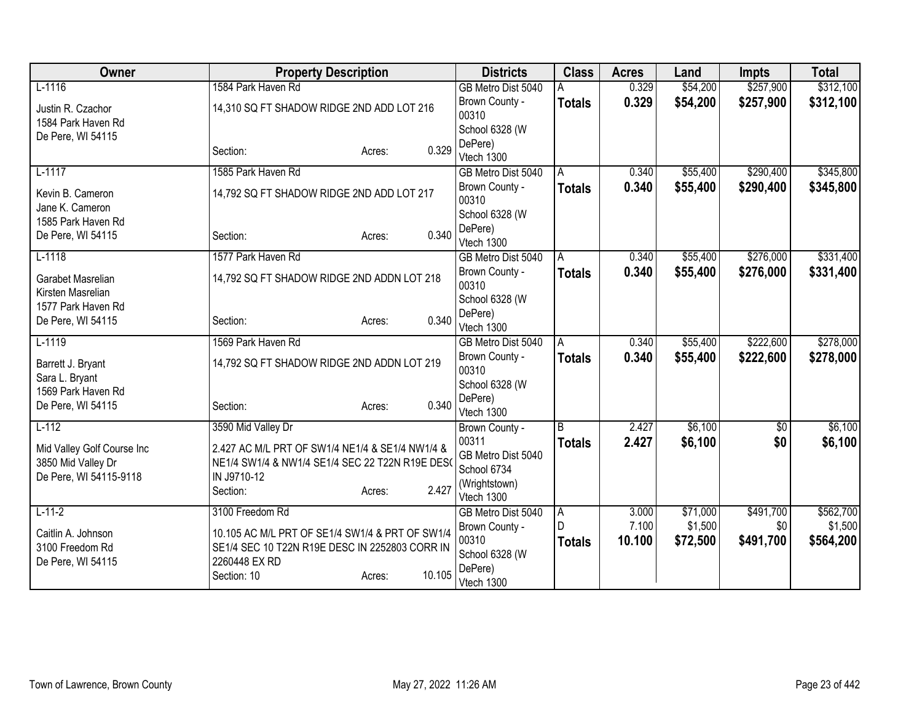| Owner                                            | <b>Property Description</b>                                                                        | <b>Districts</b> | <b>Class</b>                     | <b>Acres</b>  | Land   | <b>Impts</b> | <b>Total</b> |           |
|--------------------------------------------------|----------------------------------------------------------------------------------------------------|------------------|----------------------------------|---------------|--------|--------------|--------------|-----------|
| $L-1116$                                         | 1584 Park Haven Rd                                                                                 |                  | GB Metro Dist 5040               |               | 0.329  | \$54,200     | \$257,900    | \$312,100 |
| Justin R. Czachor                                | 14,310 SQ FT SHADOW RIDGE 2ND ADD LOT 216                                                          |                  | Brown County -                   | <b>Totals</b> | 0.329  | \$54,200     | \$257,900    | \$312,100 |
| 1584 Park Haven Rd                               |                                                                                                    |                  | 00310                            |               |        |              |              |           |
| De Pere, WI 54115                                |                                                                                                    |                  | School 6328 (W                   |               |        |              |              |           |
|                                                  | Section:                                                                                           | 0.329<br>Acres:  | DePere)                          |               |        |              |              |           |
| $L-1117$                                         | 1585 Park Haven Rd                                                                                 |                  | Vtech 1300<br>GB Metro Dist 5040 | A             | 0.340  | \$55,400     | \$290,400    | \$345,800 |
|                                                  |                                                                                                    |                  | Brown County -                   |               | 0.340  | \$55,400     | \$290,400    |           |
| Kevin B. Cameron                                 | 14,792 SQ FT SHADOW RIDGE 2ND ADD LOT 217                                                          |                  | 00310                            | <b>Totals</b> |        |              |              | \$345,800 |
| Jane K. Cameron                                  |                                                                                                    |                  | School 6328 (W                   |               |        |              |              |           |
| 1585 Park Haven Rd                               |                                                                                                    |                  | DePere)                          |               |        |              |              |           |
| De Pere, WI 54115                                | Section:                                                                                           | 0.340<br>Acres:  | Vtech 1300                       |               |        |              |              |           |
| $L-1118$                                         | 1577 Park Haven Rd                                                                                 |                  | GB Metro Dist 5040               | A             | 0.340  | \$55,400     | \$276,000    | \$331,400 |
| Garabet Masrelian                                | 14,792 SQ FT SHADOW RIDGE 2ND ADDN LOT 218                                                         |                  | Brown County -                   | <b>Totals</b> | 0.340  | \$55,400     | \$276,000    | \$331,400 |
| Kirsten Masrelian                                |                                                                                                    |                  | 00310                            |               |        |              |              |           |
| 1577 Park Haven Rd                               |                                                                                                    |                  | School 6328 (W                   |               |        |              |              |           |
| De Pere, WI 54115                                | Section:                                                                                           | 0.340<br>Acres:  | DePere)                          |               |        |              |              |           |
|                                                  |                                                                                                    |                  | Vtech 1300                       |               |        |              |              |           |
| $L-1119$                                         | 1569 Park Haven Rd                                                                                 |                  | GB Metro Dist 5040               | A             | 0.340  | \$55,400     | \$222,600    | \$278,000 |
| Barrett J. Bryant                                | 14,792 SQ FT SHADOW RIDGE 2ND ADDN LOT 219                                                         |                  | Brown County -<br>00310          | <b>Totals</b> | 0.340  | \$55,400     | \$222,600    | \$278,000 |
| Sara L. Bryant                                   |                                                                                                    |                  | School 6328 (W                   |               |        |              |              |           |
| 1569 Park Haven Rd                               |                                                                                                    |                  | DePere)                          |               |        |              |              |           |
| De Pere, WI 54115                                | Section:                                                                                           | 0.340<br>Acres:  | Vtech 1300                       |               |        |              |              |           |
| $L-112$                                          | 3590 Mid Valley Dr                                                                                 |                  | Brown County -                   | B             | 2.427  | \$6,100      | $\sqrt{$0}$  | \$6,100   |
|                                                  |                                                                                                    |                  | 00311                            | <b>Totals</b> | 2.427  | \$6,100      | \$0          | \$6,100   |
| Mid Valley Golf Course Inc<br>3850 Mid Valley Dr | 2.427 AC M/L PRT OF SW1/4 NE1/4 & SE1/4 NW1/4 &<br>NE1/4 SW1/4 & NW1/4 SE1/4 SEC 22 T22N R19E DES( |                  | GB Metro Dist 5040               |               |        |              |              |           |
| De Pere, WI 54115-9118                           | IN J9710-12                                                                                        |                  | School 6734                      |               |        |              |              |           |
|                                                  | Section:                                                                                           | 2.427<br>Acres:  | (Wrightstown)                    |               |        |              |              |           |
|                                                  |                                                                                                    |                  | Vtech 1300                       |               |        |              |              |           |
| $L-11-2$                                         | 3100 Freedom Rd                                                                                    |                  | GB Metro Dist 5040               | A.            | 3.000  | \$71,000     | \$491,700    | \$562,700 |
| Caitlin A. Johnson                               | 10.105 AC M/L PRT OF SE1/4 SW1/4 & PRT OF SW1/4                                                    |                  | Brown County -                   | D             | 7.100  | \$1,500      | \$0          | \$1,500   |
| 3100 Freedom Rd                                  | SE1/4 SEC 10 T22N R19E DESC IN 2252803 CORR IN                                                     |                  | 00310                            | <b>Totals</b> | 10.100 | \$72,500     | \$491,700    | \$564,200 |
| De Pere, WI 54115                                | 2260448 EX RD                                                                                      |                  | School 6328 (W<br>DePere)        |               |        |              |              |           |
|                                                  | Section: 10                                                                                        | 10.105<br>Acres: | Vtech 1300                       |               |        |              |              |           |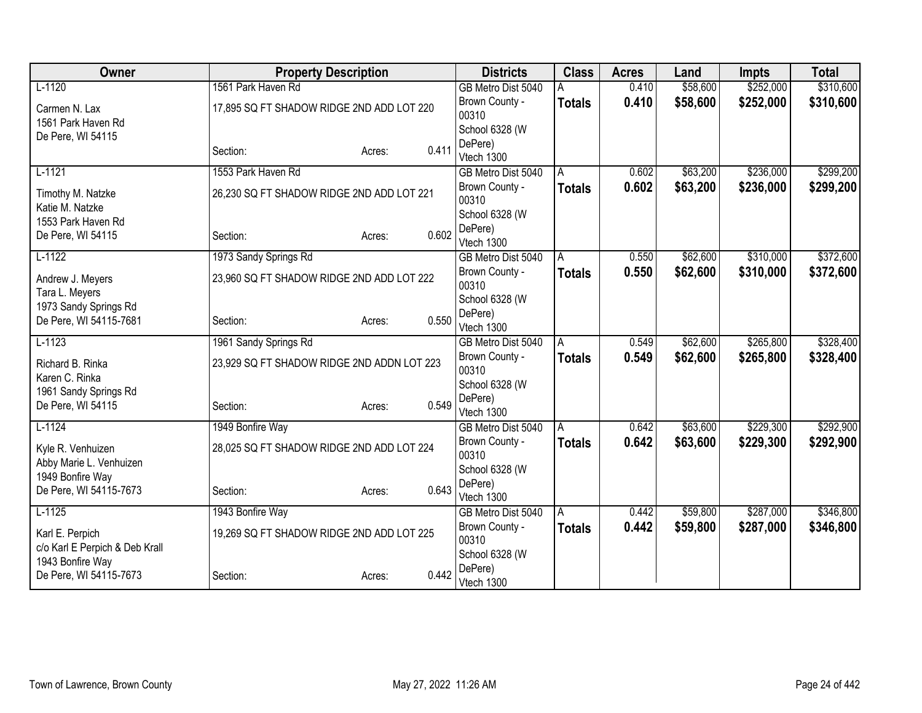| Owner                          | <b>Property Description</b>                |        |       | <b>Districts</b>        | <b>Class</b>  | <b>Acres</b> | Land     | <b>Impts</b> | <b>Total</b> |
|--------------------------------|--------------------------------------------|--------|-------|-------------------------|---------------|--------------|----------|--------------|--------------|
| $L-1120$                       | 1561 Park Haven Rd                         |        |       | GB Metro Dist 5040      |               | 0.410        | \$58,600 | \$252,000    | \$310,600    |
| Carmen N. Lax                  | 17,895 SQ FT SHADOW RIDGE 2ND ADD LOT 220  |        |       | Brown County -          | <b>Totals</b> | 0.410        | \$58,600 | \$252,000    | \$310,600    |
| 1561 Park Haven Rd             |                                            |        |       | 00310                   |               |              |          |              |              |
| De Pere, WI 54115              |                                            |        |       | School 6328 (W          |               |              |          |              |              |
|                                | Section:                                   | Acres: | 0.411 | DePere)<br>Vtech 1300   |               |              |          |              |              |
| $L-1121$                       | 1553 Park Haven Rd                         |        |       | GB Metro Dist 5040      | A             | 0.602        | \$63,200 | \$236,000    | \$299,200    |
|                                |                                            |        |       | Brown County -          |               | 0.602        | \$63,200 | \$236,000    | \$299,200    |
| Timothy M. Natzke              | 26,230 SQ FT SHADOW RIDGE 2ND ADD LOT 221  |        |       | 00310                   | <b>Totals</b> |              |          |              |              |
| Katie M. Natzke                |                                            |        |       | School 6328 (W          |               |              |          |              |              |
| 1553 Park Haven Rd             |                                            |        |       | DePere)                 |               |              |          |              |              |
| De Pere, WI 54115              | Section:                                   | Acres: | 0.602 | Vtech 1300              |               |              |          |              |              |
| $L-1122$                       | 1973 Sandy Springs Rd                      |        |       | GB Metro Dist 5040      | A             | 0.550        | \$62,600 | \$310,000    | \$372,600    |
| Andrew J. Meyers               |                                            |        |       | Brown County -          | <b>Totals</b> | 0.550        | \$62,600 | \$310,000    | \$372,600    |
| Tara L. Meyers                 | 23,960 SQ FT SHADOW RIDGE 2ND ADD LOT 222  |        |       | 00310                   |               |              |          |              |              |
| 1973 Sandy Springs Rd          |                                            |        |       | School 6328 (W          |               |              |          |              |              |
| De Pere, WI 54115-7681         | Section:                                   | Acres: | 0.550 | DePere)                 |               |              |          |              |              |
|                                |                                            |        |       | Vtech 1300              |               |              |          |              |              |
| $L-1123$                       | 1961 Sandy Springs Rd                      |        |       | GB Metro Dist 5040      | A             | 0.549        | \$62,600 | \$265,800    | \$328,400    |
| Richard B. Rinka               | 23,929 SQ FT SHADOW RIDGE 2ND ADDN LOT 223 |        |       | Brown County -<br>00310 | <b>Totals</b> | 0.549        | \$62,600 | \$265,800    | \$328,400    |
| Karen C. Rinka                 |                                            |        |       | School 6328 (W          |               |              |          |              |              |
| 1961 Sandy Springs Rd          |                                            |        |       | DePere)                 |               |              |          |              |              |
| De Pere, WI 54115              | Section:                                   | Acres: | 0.549 | Vtech 1300              |               |              |          |              |              |
| $L-1124$                       | 1949 Bonfire Way                           |        |       | GB Metro Dist 5040      | A             | 0.642        | \$63,600 | \$229,300    | \$292,900    |
| Kyle R. Venhuizen              | 28,025 SQ FT SHADOW RIDGE 2ND ADD LOT 224  |        |       | Brown County -          | <b>Totals</b> | 0.642        | \$63,600 | \$229,300    | \$292,900    |
| Abby Marie L. Venhuizen        |                                            |        |       | 00310                   |               |              |          |              |              |
| 1949 Bonfire Way               |                                            |        |       | School 6328 (W          |               |              |          |              |              |
| De Pere, WI 54115-7673         | Section:                                   | Acres: | 0.643 | DePere)                 |               |              |          |              |              |
|                                |                                            |        |       | Vtech 1300              |               |              |          |              |              |
| $L-1125$                       | 1943 Bonfire Way                           |        |       | GB Metro Dist 5040      | A             | 0.442        | \$59,800 | \$287,000    | \$346,800    |
| Karl E. Perpich                | 19,269 SQ FT SHADOW RIDGE 2ND ADD LOT 225  |        |       | Brown County -<br>00310 | <b>Totals</b> | 0.442        | \$59,800 | \$287,000    | \$346,800    |
| c/o Karl E Perpich & Deb Krall |                                            |        |       | School 6328 (W          |               |              |          |              |              |
| 1943 Bonfire Way               |                                            |        |       | DePere)                 |               |              |          |              |              |
| De Pere, WI 54115-7673         | Section:                                   | Acres: | 0.442 | Vtech 1300              |               |              |          |              |              |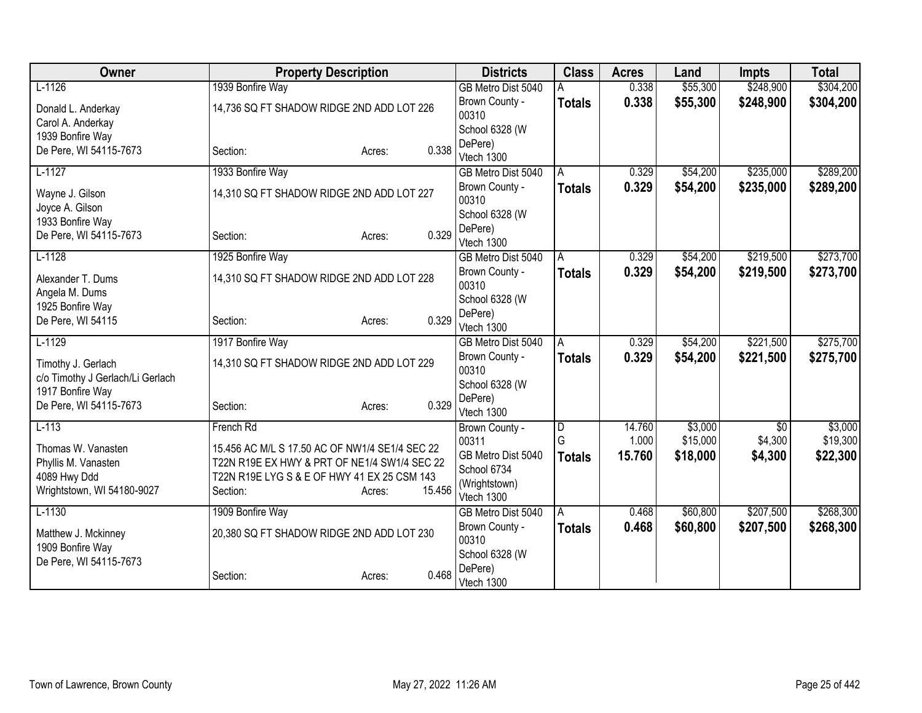| Owner                            | <b>Property Description</b>                    |                  | <b>Districts</b>                     | <b>Class</b>   | <b>Acres</b>   | Land                 | <b>Impts</b>    | <b>Total</b> |
|----------------------------------|------------------------------------------------|------------------|--------------------------------------|----------------|----------------|----------------------|-----------------|--------------|
| $L-1126$                         | 1939 Bonfire Way                               |                  | GB Metro Dist 5040                   |                | 0.338          | \$55,300             | \$248,900       | \$304,200    |
| Donald L. Anderkay               | 14,736 SQ FT SHADOW RIDGE 2ND ADD LOT 226      |                  | Brown County -                       | <b>Totals</b>  | 0.338          | \$55,300             | \$248,900       | \$304,200    |
| Carol A. Anderkay                |                                                |                  | 00310                                |                |                |                      |                 |              |
| 1939 Bonfire Way                 |                                                |                  | School 6328 (W                       |                |                |                      |                 |              |
| De Pere, WI 54115-7673           | Section:                                       | 0.338<br>Acres:  | DePere)<br>Vtech 1300                |                |                |                      |                 |              |
| $L-1127$                         | 1933 Bonfire Way                               |                  | GB Metro Dist 5040                   | A              | 0.329          | \$54,200             | \$235,000       | \$289,200    |
|                                  |                                                |                  | Brown County -                       | <b>Totals</b>  | 0.329          | \$54,200             | \$235,000       | \$289,200    |
| Wayne J. Gilson                  | 14,310 SQ FT SHADOW RIDGE 2ND ADD LOT 227      |                  | 00310                                |                |                |                      |                 |              |
| Joyce A. Gilson                  |                                                |                  | School 6328 (W                       |                |                |                      |                 |              |
| 1933 Bonfire Way                 |                                                |                  | DePere)                              |                |                |                      |                 |              |
| De Pere, WI 54115-7673           | Section:                                       | 0.329<br>Acres:  | Vtech 1300                           |                |                |                      |                 |              |
| $L-1128$                         | 1925 Bonfire Way                               |                  | GB Metro Dist 5040                   | A              | 0.329          | \$54,200             | \$219,500       | \$273,700    |
| Alexander T. Dums                | 14,310 SQ FT SHADOW RIDGE 2ND ADD LOT 228      |                  | Brown County -                       | <b>Totals</b>  | 0.329          | \$54,200             | \$219,500       | \$273,700    |
| Angela M. Dums                   |                                                |                  | 00310                                |                |                |                      |                 |              |
| 1925 Bonfire Way                 |                                                |                  | School 6328 (W                       |                |                |                      |                 |              |
| De Pere, WI 54115                | Section:                                       | 0.329<br>Acres:  | DePere)                              |                |                |                      |                 |              |
| $L-1129$                         | 1917 Bonfire Way                               |                  | Vtech 1300                           |                | 0.329          | \$54,200             | \$221,500       | \$275,700    |
|                                  |                                                |                  | GB Metro Dist 5040<br>Brown County - | A              | 0.329          | \$54,200             | \$221,500       |              |
| Timothy J. Gerlach               | 14,310 SQ FT SHADOW RIDGE 2ND ADD LOT 229      |                  | 00310                                | <b>Totals</b>  |                |                      |                 | \$275,700    |
| c/o Timothy J Gerlach/Li Gerlach |                                                |                  | School 6328 (W                       |                |                |                      |                 |              |
| 1917 Bonfire Way                 |                                                |                  | DePere)                              |                |                |                      |                 |              |
| De Pere, WI 54115-7673           | Section:                                       | 0.329<br>Acres:  | Vtech 1300                           |                |                |                      |                 |              |
| $L-113$                          | French Rd                                      |                  | Brown County -                       | $\overline{D}$ | 14.760         | \$3,000              | $\overline{50}$ | \$3,000      |
| Thomas W. Vanasten               | 15.456 AC M/L S 17.50 AC OF NW1/4 SE1/4 SEC 22 |                  | 00311                                | G              | 1.000          | \$15,000             | \$4,300         | \$19,300     |
| Phyllis M. Vanasten              | T22N R19E EX HWY & PRT OF NE1/4 SW1/4 SEC 22   |                  | GB Metro Dist 5040                   | <b>Totals</b>  | 15.760         | \$18,000             | \$4,300         | \$22,300     |
| 4089 Hwy Ddd                     | T22N R19E LYG S & E OF HWY 41 EX 25 CSM 143    |                  | School 6734                          |                |                |                      |                 |              |
| Wrightstown, WI 54180-9027       | Section:                                       | 15.456<br>Acres: | (Wrightstown)                        |                |                |                      |                 |              |
|                                  |                                                |                  | Vtech 1300                           |                |                |                      |                 |              |
| $L-1130$                         | 1909 Bonfire Way                               |                  | GB Metro Dist 5040<br>Brown County - | A              | 0.468<br>0.468 | \$60,800<br>\$60,800 | \$207,500       | \$268,300    |
| Matthew J. Mckinney              | 20,380 SQ FT SHADOW RIDGE 2ND ADD LOT 230      |                  | 00310                                | <b>Totals</b>  |                |                      | \$207,500       | \$268,300    |
| 1909 Bonfire Way                 |                                                |                  | School 6328 (W                       |                |                |                      |                 |              |
| De Pere, WI 54115-7673           |                                                |                  | DePere)                              |                |                |                      |                 |              |
|                                  | Section:                                       | 0.468<br>Acres:  | Vtech 1300                           |                |                |                      |                 |              |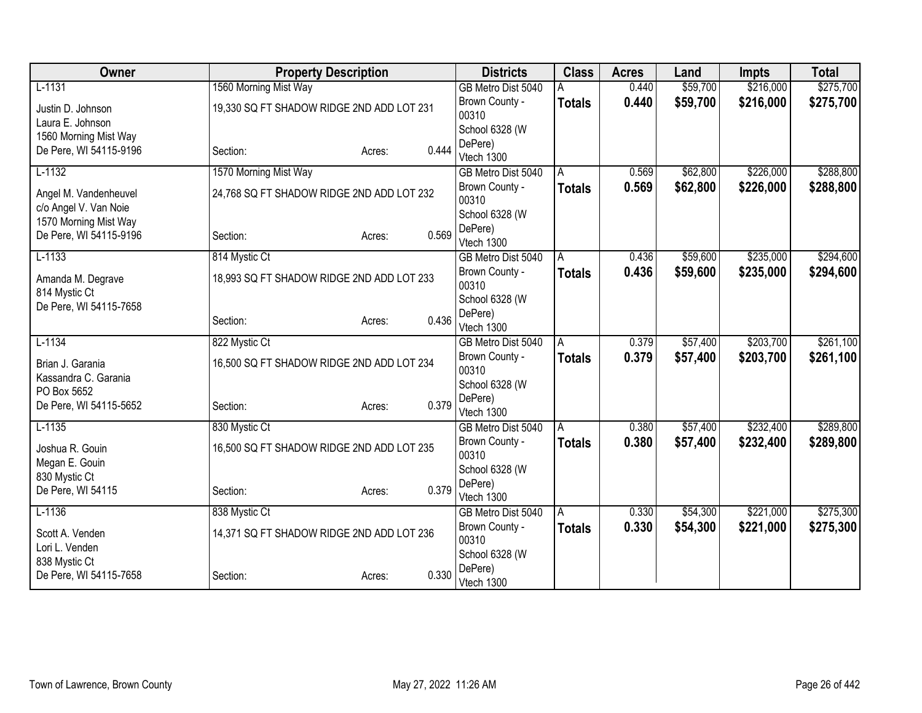| Owner                  | <b>Property Description</b>               |                 | <b>Districts</b>                     | <b>Class</b>  | <b>Acres</b> | Land     | <b>Impts</b> | <b>Total</b> |
|------------------------|-------------------------------------------|-----------------|--------------------------------------|---------------|--------------|----------|--------------|--------------|
| $L-1131$               | 1560 Morning Mist Way                     |                 | GB Metro Dist 5040                   |               | 0.440        | \$59,700 | \$216,000    | \$275,700    |
| Justin D. Johnson      | 19,330 SQ FT SHADOW RIDGE 2ND ADD LOT 231 |                 | Brown County -                       | <b>Totals</b> | 0.440        | \$59,700 | \$216,000    | \$275,700    |
| Laura E. Johnson       |                                           |                 | 00310                                |               |              |          |              |              |
| 1560 Morning Mist Way  |                                           |                 | School 6328 (W                       |               |              |          |              |              |
| De Pere, WI 54115-9196 | Section:                                  | 0.444<br>Acres: | DePere)                              |               |              |          |              |              |
| $L-1132$               | 1570 Morning Mist Way                     |                 | Vtech 1300<br>GB Metro Dist 5040     | A             | 0.569        | \$62,800 | \$226,000    | \$288,800    |
|                        |                                           |                 | Brown County -                       | <b>Totals</b> | 0.569        | \$62,800 | \$226,000    | \$288,800    |
| Angel M. Vandenheuvel  | 24,768 SQ FT SHADOW RIDGE 2ND ADD LOT 232 |                 | 00310                                |               |              |          |              |              |
| c/o Angel V. Van Noie  |                                           |                 | School 6328 (W                       |               |              |          |              |              |
| 1570 Morning Mist Way  |                                           |                 | DePere)                              |               |              |          |              |              |
| De Pere, WI 54115-9196 | Section:                                  | 0.569<br>Acres: | Vtech 1300                           |               |              |          |              |              |
| $L-1133$               | 814 Mystic Ct                             |                 | GB Metro Dist 5040                   | A             | 0.436        | \$59,600 | \$235,000    | \$294,600    |
| Amanda M. Degrave      | 18,993 SQ FT SHADOW RIDGE 2ND ADD LOT 233 |                 | Brown County -                       | <b>Totals</b> | 0.436        | \$59,600 | \$235,000    | \$294,600    |
| 814 Mystic Ct          |                                           |                 | 00310                                |               |              |          |              |              |
| De Pere, WI 54115-7658 |                                           |                 | School 6328 (W                       |               |              |          |              |              |
|                        | Section:                                  | 0.436<br>Acres: | DePere)                              |               |              |          |              |              |
|                        |                                           |                 | Vtech 1300                           |               |              |          |              |              |
| $L-1134$               | 822 Mystic Ct                             |                 | GB Metro Dist 5040                   | A             | 0.379        | \$57,400 | \$203,700    | \$261,100    |
| Brian J. Garania       | 16,500 SQ FT SHADOW RIDGE 2ND ADD LOT 234 |                 | Brown County -<br>00310              | <b>Totals</b> | 0.379        | \$57,400 | \$203,700    | \$261,100    |
| Kassandra C. Garania   |                                           |                 | School 6328 (W                       |               |              |          |              |              |
| PO Box 5652            |                                           |                 | DePere)                              |               |              |          |              |              |
| De Pere, WI 54115-5652 | Section:                                  | 0.379<br>Acres: | Vtech 1300                           |               |              |          |              |              |
| $L-1135$               | 830 Mystic Ct                             |                 | GB Metro Dist 5040                   | A             | 0.380        | \$57,400 | \$232,400    | \$289,800    |
| Joshua R. Gouin        | 16,500 SQ FT SHADOW RIDGE 2ND ADD LOT 235 |                 | Brown County -                       | <b>Totals</b> | 0.380        | \$57,400 | \$232,400    | \$289,800    |
| Megan E. Gouin         |                                           |                 | 00310                                |               |              |          |              |              |
| 830 Mystic Ct          |                                           |                 | School 6328 (W                       |               |              |          |              |              |
| De Pere, WI 54115      | Section:                                  | 0.379<br>Acres: | DePere)                              |               |              |          |              |              |
| $L-1136$               | 838 Mystic Ct                             |                 | Vtech 1300                           |               | 0.330        | \$54,300 | \$221,000    | \$275,300    |
|                        |                                           |                 | GB Metro Dist 5040<br>Brown County - | ΙA            | 0.330        | \$54,300 |              |              |
| Scott A. Venden        | 14,371 SQ FT SHADOW RIDGE 2ND ADD LOT 236 |                 | 00310                                | Totals        |              |          | \$221,000    | \$275,300    |
| Lori L. Venden         |                                           |                 | School 6328 (W                       |               |              |          |              |              |
| 838 Mystic Ct          |                                           |                 | DePere)                              |               |              |          |              |              |
| De Pere, WI 54115-7658 | Section:                                  | 0.330<br>Acres: | Vtech 1300                           |               |              |          |              |              |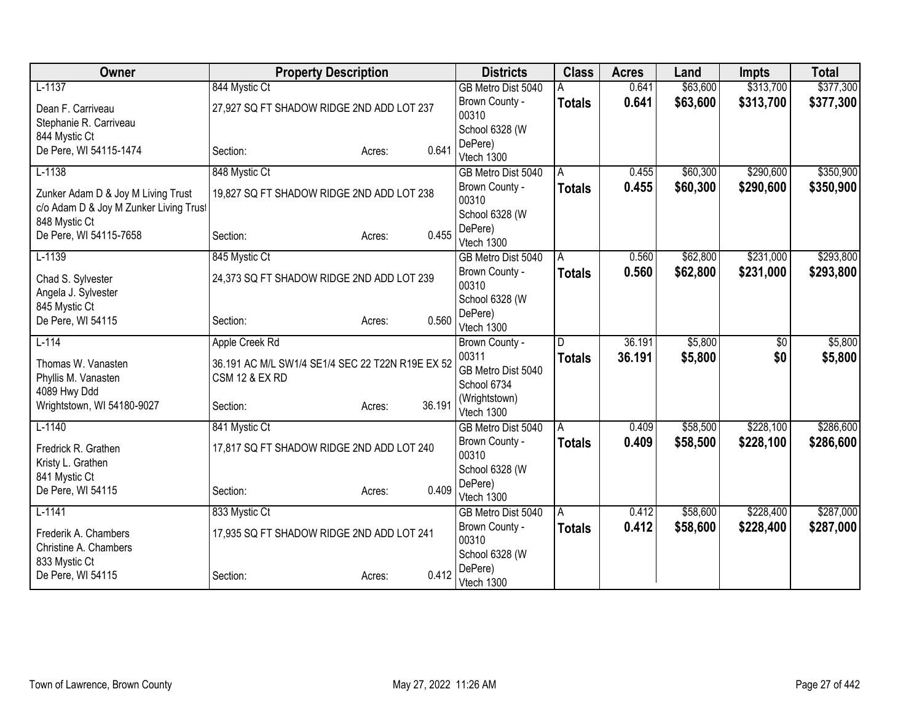| Owner                                  | <b>Property Description</b>                      |        |        | <b>Districts</b>        | <b>Class</b>  | <b>Acres</b> | Land     | <b>Impts</b>           | <b>Total</b> |
|----------------------------------------|--------------------------------------------------|--------|--------|-------------------------|---------------|--------------|----------|------------------------|--------------|
| $L-1137$                               | 844 Mystic Ct                                    |        |        | GB Metro Dist 5040      |               | 0.641        | \$63,600 | \$313,700              | \$377,300    |
| Dean F. Carriveau                      | 27,927 SQ FT SHADOW RIDGE 2ND ADD LOT 237        |        |        | Brown County -          | <b>Totals</b> | 0.641        | \$63,600 | \$313,700              | \$377,300    |
| Stephanie R. Carriveau                 |                                                  |        |        | 00310                   |               |              |          |                        |              |
| 844 Mystic Ct                          |                                                  |        |        | School 6328 (W          |               |              |          |                        |              |
| De Pere, WI 54115-1474                 | Section:                                         | Acres: | 0.641  | DePere)<br>Vtech 1300   |               |              |          |                        |              |
| $L-1138$                               | 848 Mystic Ct                                    |        |        | GB Metro Dist 5040      | A             | 0.455        | \$60,300 | \$290,600              | \$350,900    |
|                                        |                                                  |        |        | Brown County -          | <b>Totals</b> | 0.455        | \$60,300 | \$290,600              | \$350,900    |
| Zunker Adam D & Joy M Living Trust     | 19,827 SQ FT SHADOW RIDGE 2ND ADD LOT 238        |        |        | 00310                   |               |              |          |                        |              |
| c/o Adam D & Joy M Zunker Living Trust |                                                  |        |        | School 6328 (W          |               |              |          |                        |              |
| 848 Mystic Ct                          |                                                  |        |        | DePere)                 |               |              |          |                        |              |
| De Pere, WI 54115-7658                 | Section:                                         | Acres: | 0.455  | Vtech 1300              |               |              |          |                        |              |
| $L-1139$                               | 845 Mystic Ct                                    |        |        | GB Metro Dist 5040      | A             | 0.560        | \$62,800 | \$231,000              | \$293,800    |
| Chad S. Sylvester                      | 24,373 SQ FT SHADOW RIDGE 2ND ADD LOT 239        |        |        | Brown County -          | <b>Totals</b> | 0.560        | \$62,800 | \$231,000              | \$293,800    |
| Angela J. Sylvester                    |                                                  |        |        | 00310                   |               |              |          |                        |              |
| 845 Mystic Ct                          |                                                  |        |        | School 6328 (W          |               |              |          |                        |              |
| De Pere, WI 54115                      | Section:                                         | Acres: | 0.560  | DePere)                 |               |              |          |                        |              |
| $L-114$                                |                                                  |        |        | Vtech 1300              | D             | 36.191       | \$5,800  |                        | \$5,800      |
|                                        | Apple Creek Rd                                   |        |        | Brown County -<br>00311 |               | 36.191       |          | $\overline{50}$<br>\$0 |              |
| Thomas W. Vanasten                     | 36.191 AC M/L SW1/4 SE1/4 SEC 22 T22N R19E EX 52 |        |        | GB Metro Dist 5040      | <b>Totals</b> |              | \$5,800  |                        | \$5,800      |
| Phyllis M. Vanasten                    | <b>CSM 12 &amp; EX RD</b>                        |        |        | School 6734             |               |              |          |                        |              |
| 4089 Hwy Ddd                           |                                                  |        |        | (Wrightstown)           |               |              |          |                        |              |
| Wrightstown, WI 54180-9027             | Section:                                         | Acres: | 36.191 | Vtech 1300              |               |              |          |                        |              |
| $L-1140$                               | 841 Mystic Ct                                    |        |        | GB Metro Dist 5040      | A             | 0.409        | \$58,500 | \$228,100              | \$286,600    |
| Fredrick R. Grathen                    | 17,817 SQ FT SHADOW RIDGE 2ND ADD LOT 240        |        |        | Brown County -          | <b>Totals</b> | 0.409        | \$58,500 | \$228,100              | \$286,600    |
| Kristy L. Grathen                      |                                                  |        |        | 00310                   |               |              |          |                        |              |
| 841 Mystic Ct                          |                                                  |        |        | School 6328 (W          |               |              |          |                        |              |
| De Pere, WI 54115                      | Section:                                         | Acres: | 0.409  | DePere)                 |               |              |          |                        |              |
| $L-1141$                               |                                                  |        |        | Vtech 1300              |               |              |          |                        |              |
|                                        | 833 Mystic Ct                                    |        |        | GB Metro Dist 5040      | A             | 0.412        | \$58,600 | \$228,400              | \$287,000    |
| Frederik A. Chambers                   | 17,935 SQ FT SHADOW RIDGE 2ND ADD LOT 241        |        |        | Brown County -<br>00310 | <b>Totals</b> | 0.412        | \$58,600 | \$228,400              | \$287,000    |
| Christine A. Chambers                  |                                                  |        |        | School 6328 (W          |               |              |          |                        |              |
| 833 Mystic Ct                          |                                                  |        |        | DePere)                 |               |              |          |                        |              |
| De Pere, WI 54115                      | Section:                                         | Acres: | 0.412  | Vtech 1300              |               |              |          |                        |              |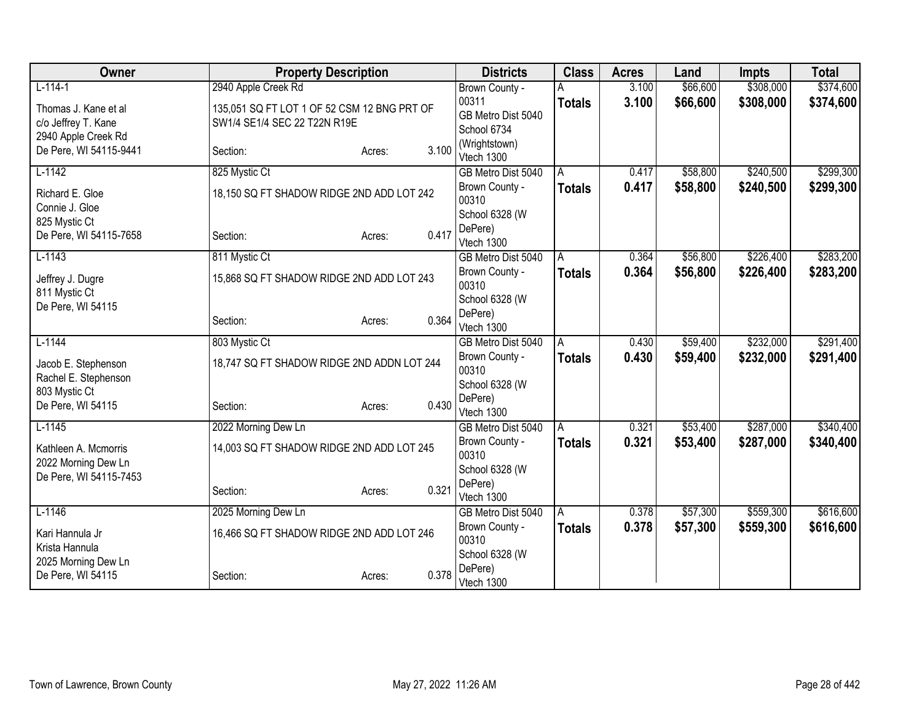| Owner                  | <b>Property Description</b>                 |                 | <b>Districts</b>            | <b>Class</b>  | <b>Acres</b> | Land     | <b>Impts</b> | <b>Total</b> |
|------------------------|---------------------------------------------|-----------------|-----------------------------|---------------|--------------|----------|--------------|--------------|
| $L-114-1$              | 2940 Apple Creek Rd                         |                 | Brown County -              |               | 3.100        | \$66,600 | \$308,000    | \$374,600    |
| Thomas J. Kane et al   | 135,051 SQ FT LOT 1 OF 52 CSM 12 BNG PRT OF |                 | 00311                       | <b>Totals</b> | 3.100        | \$66,600 | \$308,000    | \$374,600    |
| c/o Jeffrey T. Kane    | SW1/4 SE1/4 SEC 22 T22N R19E                |                 | GB Metro Dist 5040          |               |              |          |              |              |
| 2940 Apple Creek Rd    |                                             |                 | School 6734                 |               |              |          |              |              |
| De Pere, WI 54115-9441 | Section:                                    | 3.100<br>Acres: | (Wrightstown)<br>Vtech 1300 |               |              |          |              |              |
| $L-1142$               | 825 Mystic Ct                               |                 | GB Metro Dist 5040          | A             | 0.417        | \$58,800 | \$240,500    | \$299,300    |
|                        |                                             |                 | Brown County -              | <b>Totals</b> | 0.417        | \$58,800 | \$240,500    | \$299,300    |
| Richard E. Gloe        | 18,150 SQ FT SHADOW RIDGE 2ND ADD LOT 242   |                 | 00310                       |               |              |          |              |              |
| Connie J. Gloe         |                                             |                 | School 6328 (W              |               |              |          |              |              |
| 825 Mystic Ct          |                                             |                 | DePere)                     |               |              |          |              |              |
| De Pere, WI 54115-7658 | Section:                                    | 0.417<br>Acres: | Vtech 1300                  |               |              |          |              |              |
| $L-1143$               | 811 Mystic Ct                               |                 | GB Metro Dist 5040          | A             | 0.364        | \$56,800 | \$226,400    | \$283,200    |
| Jeffrey J. Dugre       | 15,868 SQ FT SHADOW RIDGE 2ND ADD LOT 243   |                 | Brown County -              | <b>Totals</b> | 0.364        | \$56,800 | \$226,400    | \$283,200    |
| 811 Mystic Ct          |                                             |                 | 00310                       |               |              |          |              |              |
| De Pere, WI 54115      |                                             |                 | School 6328 (W              |               |              |          |              |              |
|                        | Section:                                    | 0.364<br>Acres: | DePere)                     |               |              |          |              |              |
|                        |                                             |                 | Vtech 1300                  |               |              |          |              |              |
| $L-1144$               | 803 Mystic Ct                               |                 | GB Metro Dist 5040          | A             | 0.430        | \$59,400 | \$232,000    | \$291,400    |
| Jacob E. Stephenson    | 18,747 SQ FT SHADOW RIDGE 2ND ADDN LOT 244  |                 | Brown County -<br>00310     | <b>Totals</b> | 0.430        | \$59,400 | \$232,000    | \$291,400    |
| Rachel E. Stephenson   |                                             |                 | School 6328 (W              |               |              |          |              |              |
| 803 Mystic Ct          |                                             |                 | DePere)                     |               |              |          |              |              |
| De Pere, WI 54115      | Section:                                    | 0.430<br>Acres: | Vtech 1300                  |               |              |          |              |              |
| $L-1145$               | 2022 Morning Dew Ln                         |                 | GB Metro Dist 5040          | A             | 0.321        | \$53,400 | \$287,000    | \$340,400    |
| Kathleen A. Mcmorris   | 14,003 SQ FT SHADOW RIDGE 2ND ADD LOT 245   |                 | Brown County -              | <b>Totals</b> | 0.321        | \$53,400 | \$287,000    | \$340,400    |
| 2022 Morning Dew Ln    |                                             |                 | 00310                       |               |              |          |              |              |
| De Pere, WI 54115-7453 |                                             |                 | School 6328 (W              |               |              |          |              |              |
|                        | Section:                                    | 0.321<br>Acres: | DePere)                     |               |              |          |              |              |
|                        |                                             |                 | Vtech 1300                  |               |              |          |              |              |
| $L-1146$               | 2025 Morning Dew Ln                         |                 | GB Metro Dist 5040          | A             | 0.378        | \$57,300 | \$559,300    | \$616,600    |
| Kari Hannula Jr        | 16,466 SQ FT SHADOW RIDGE 2ND ADD LOT 246   |                 | Brown County -<br>00310     | <b>Totals</b> | 0.378        | \$57,300 | \$559,300    | \$616,600    |
| Krista Hannula         |                                             |                 | School 6328 (W              |               |              |          |              |              |
| 2025 Morning Dew Ln    |                                             |                 | DePere)                     |               |              |          |              |              |
| De Pere, WI 54115      | Section:                                    | 0.378<br>Acres: | Vtech 1300                  |               |              |          |              |              |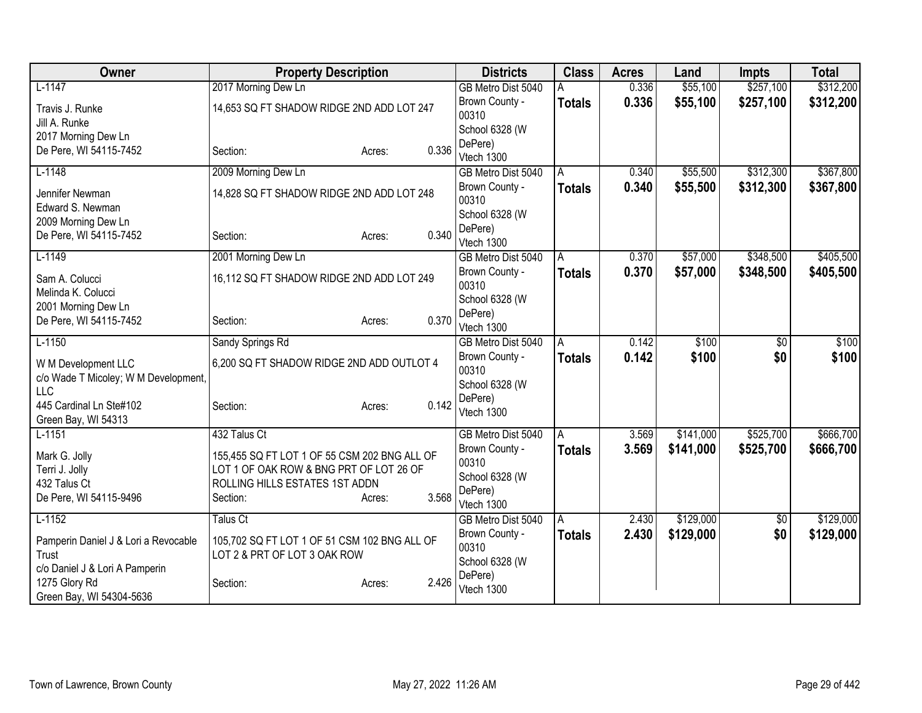| Owner                                                       | <b>Property Description</b>                  |                 | <b>Districts</b>                 | <b>Class</b>   | <b>Acres</b> | Land      | <b>Impts</b>    | <b>Total</b> |
|-------------------------------------------------------------|----------------------------------------------|-----------------|----------------------------------|----------------|--------------|-----------|-----------------|--------------|
| $L-1147$                                                    | 2017 Morning Dew Ln                          |                 | GB Metro Dist 5040               | A              | 0.336        | \$55,100  | \$257,100       | \$312,200    |
| Travis J. Runke<br>Jill A. Runke                            | 14,653 SQ FT SHADOW RIDGE 2ND ADD LOT 247    |                 | Brown County -<br>00310          | <b>Totals</b>  | 0.336        | \$55,100  | \$257,100       | \$312,200    |
| 2017 Morning Dew Ln                                         |                                              |                 | School 6328 (W                   |                |              |           |                 |              |
| De Pere, WI 54115-7452                                      | Section:                                     | 0.336<br>Acres: | DePere)<br>Vtech 1300            |                |              |           |                 |              |
| $L-1148$                                                    | 2009 Morning Dew Ln                          |                 | GB Metro Dist 5040               | A              | 0.340        | \$55,500  | \$312,300       | \$367,800    |
| Jennifer Newman<br>Edward S. Newman                         | 14,828 SQ FT SHADOW RIDGE 2ND ADD LOT 248    |                 | Brown County -<br>00310          | <b>Totals</b>  | 0.340        | \$55,500  | \$312,300       | \$367,800    |
| 2009 Morning Dew Ln                                         |                                              |                 | School 6328 (W                   |                |              |           |                 |              |
| De Pere, WI 54115-7452                                      | Section:                                     | 0.340<br>Acres: | DePere)                          |                |              |           |                 |              |
|                                                             |                                              |                 | Vtech 1300                       |                |              |           |                 |              |
| $L-1149$                                                    | 2001 Morning Dew Ln                          |                 | GB Metro Dist 5040               | A              | 0.370        | \$57,000  | \$348,500       | \$405,500    |
| Sam A. Colucci<br>Melinda K. Colucci                        | 16,112 SQ FT SHADOW RIDGE 2ND ADD LOT 249    |                 | Brown County -<br>00310          | <b>Totals</b>  | 0.370        | \$57,000  | \$348,500       | \$405,500    |
| 2001 Morning Dew Ln                                         |                                              |                 | School 6328 (W                   |                |              |           |                 |              |
| De Pere, WI 54115-7452                                      | Section:                                     | 0.370<br>Acres: | DePere)<br>Vtech 1300            |                |              |           |                 |              |
| $L-1150$                                                    | Sandy Springs Rd                             |                 | GB Metro Dist 5040               | A              | 0.142        | \$100     | $\overline{60}$ | \$100        |
| W M Development LLC<br>c/o Wade T Micoley; W M Development, | 6,200 SQ FT SHADOW RIDGE 2ND ADD OUTLOT 4    |                 | Brown County -<br>00310          | <b>Totals</b>  | 0.142        | \$100     | \$0             | \$100        |
| <b>LLC</b>                                                  |                                              |                 | School 6328 (W                   |                |              |           |                 |              |
| 445 Cardinal Ln Ste#102                                     | Section:                                     | 0.142<br>Acres: | DePere)                          |                |              |           |                 |              |
| Green Bay, WI 54313                                         |                                              |                 | Vtech 1300                       |                |              |           |                 |              |
| $L-1151$                                                    | 432 Talus Ct                                 |                 | GB Metro Dist 5040               | A              | 3.569        | \$141,000 | \$525,700       | \$666,700    |
| Mark G. Jolly                                               | 155,455 SQ FT LOT 1 OF 55 CSM 202 BNG ALL OF |                 | Brown County -                   | <b>Totals</b>  | 3.569        | \$141,000 | \$525,700       | \$666,700    |
| Terri J. Jolly                                              | LOT 1 OF OAK ROW & BNG PRT OF LOT 26 OF      |                 | 00310                            |                |              |           |                 |              |
| 432 Talus Ct                                                | ROLLING HILLS ESTATES 1ST ADDN               |                 | School 6328 (W                   |                |              |           |                 |              |
| De Pere, WI 54115-9496                                      | Section:                                     | 3.568<br>Acres: | DePere)                          |                |              |           |                 |              |
| $L-1152$                                                    | Talus Ct                                     |                 | Vtech 1300<br>GB Metro Dist 5040 | $\overline{A}$ | 2.430        | \$129,000 | $\sqrt{$0}$     | \$129,000    |
|                                                             |                                              |                 | Brown County -                   | <b>Totals</b>  | 2.430        | \$129,000 | \$0             | \$129,000    |
| Pamperin Daniel J & Lori a Revocable                        | 105,702 SQ FT LOT 1 OF 51 CSM 102 BNG ALL OF |                 | 00310                            |                |              |           |                 |              |
| Trust                                                       | LOT 2 & PRT OF LOT 3 OAK ROW                 |                 | School 6328 (W                   |                |              |           |                 |              |
| c/o Daniel J & Lori A Pamperin                              |                                              | 2.426           | DePere)                          |                |              |           |                 |              |
| 1275 Glory Rd<br>Green Bay, WI 54304-5636                   | Section:                                     | Acres:          | Vtech 1300                       |                |              |           |                 |              |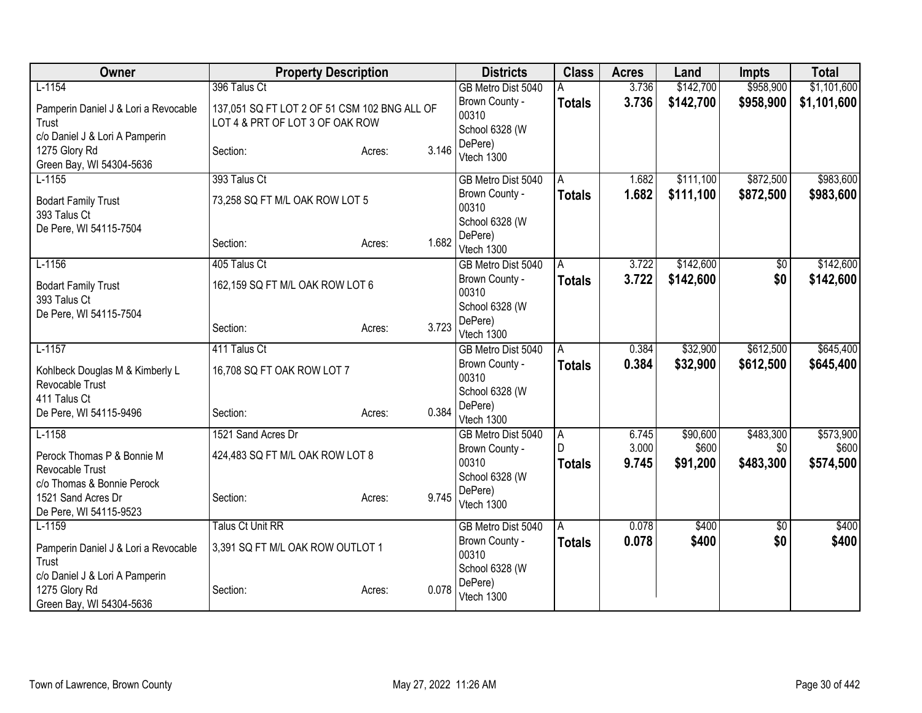| Owner                                                                                        | <b>Property Description</b>                                                                     |                 | <b>Districts</b>                                                | <b>Class</b>                          | <b>Acres</b>            | Land                          | <b>Impts</b>                  | <b>Total</b>                    |
|----------------------------------------------------------------------------------------------|-------------------------------------------------------------------------------------------------|-----------------|-----------------------------------------------------------------|---------------------------------------|-------------------------|-------------------------------|-------------------------------|---------------------------------|
| $L-1154$<br>Pamperin Daniel J & Lori a Revocable<br>Trust<br>c/o Daniel J & Lori A Pamperin  | 396 Talus Ct<br>137,051 SQ FT LOT 2 OF 51 CSM 102 BNG ALL OF<br>LOT 4 & PRT OF LOT 3 OF OAK ROW |                 | GB Metro Dist 5040<br>Brown County -<br>00310<br>School 6328 (W | А<br><b>Totals</b>                    | 3.736<br>3.736          | \$142,700<br>\$142,700        | \$958,900<br>\$958,900        | \$1,101,600<br>\$1,101,600      |
| 1275 Glory Rd<br>Green Bay, WI 54304-5636                                                    | Section:                                                                                        | 3.146<br>Acres: | DePere)<br>Vtech 1300                                           |                                       |                         |                               |                               |                                 |
| $L-1155$                                                                                     | 393 Talus Ct                                                                                    |                 | GB Metro Dist 5040                                              | A                                     | 1.682                   | \$111,100                     | \$872,500                     | \$983,600                       |
| <b>Bodart Family Trust</b><br>393 Talus Ct<br>De Pere, WI 54115-7504                         | 73,258 SQ FT M/L OAK ROW LOT 5<br>Section:                                                      | 1.682<br>Acres: | Brown County -<br>00310<br>School 6328 (W<br>DePere)            | Totals                                | 1.682                   | \$111,100                     | \$872,500                     | \$983,600                       |
|                                                                                              |                                                                                                 |                 | Vtech 1300                                                      |                                       |                         |                               |                               |                                 |
| $L-1156$<br><b>Bodart Family Trust</b>                                                       | 405 Talus Ct<br>162,159 SQ FT M/L OAK ROW LOT 6                                                 |                 | GB Metro Dist 5040<br>Brown County -<br>00310                   | $\overline{A}$<br><b>Totals</b>       | 3.722<br>3.722          | \$142,600<br>\$142,600        | $\overline{60}$<br>\$0        | \$142,600<br>\$142,600          |
| 393 Talus Ct<br>De Pere, WI 54115-7504                                                       | Section:                                                                                        | 3.723<br>Acres: | School 6328 (W<br>DePere)<br>Vtech 1300                         |                                       |                         |                               |                               |                                 |
| $L-1157$                                                                                     | 411 Talus Ct                                                                                    |                 | GB Metro Dist 5040                                              | A                                     | 0.384                   | \$32,900                      | \$612,500                     | \$645,400                       |
| Kohlbeck Douglas M & Kimberly L<br>Revocable Trust<br>411 Talus Ct<br>De Pere, WI 54115-9496 | 16,708 SQ FT OAK ROW LOT 7<br>Section:                                                          | 0.384<br>Acres: | Brown County -<br>00310<br>School 6328 (W<br>DePere)            | Totals                                | 0.384                   | \$32,900                      | \$612,500                     | \$645,400                       |
|                                                                                              |                                                                                                 |                 | Vtech 1300                                                      |                                       |                         |                               |                               |                                 |
| $L-1158$<br>Perock Thomas P & Bonnie M<br>Revocable Trust<br>c/o Thomas & Bonnie Perock      | 1521 Sand Acres Dr<br>424,483 SQ FT M/L OAK ROW LOT 8                                           |                 | GB Metro Dist 5040<br>Brown County -<br>00310<br>School 6328 (W | $\overline{A}$<br>D.<br><b>Totals</b> | 6.745<br>3.000<br>9.745 | \$90,600<br>\$600<br>\$91,200 | \$483,300<br>\$0<br>\$483,300 | \$573,900<br>\$600<br>\$574,500 |
| 1521 Sand Acres Dr<br>De Pere, WI 54115-9523                                                 | Section:                                                                                        | 9.745<br>Acres: | DePere)<br>Vtech 1300                                           |                                       |                         |                               |                               |                                 |
| $L-1159$                                                                                     | <b>Talus Ct Unit RR</b>                                                                         |                 | GB Metro Dist 5040                                              | A                                     | 0.078                   | \$400                         | \$0                           | \$400                           |
| Pamperin Daniel J & Lori a Revocable<br>Trust<br>c/o Daniel J & Lori A Pamperin              | 3,391 SQ FT M/L OAK ROW OUTLOT 1                                                                |                 | Brown County -<br>00310<br>School 6328 (W                       | <b>Totals</b>                         | 0.078                   | \$400                         | \$0                           | \$400                           |
| 1275 Glory Rd<br>Green Bay, WI 54304-5636                                                    | Section:                                                                                        | 0.078<br>Acres: | DePere)<br>Vtech 1300                                           |                                       |                         |                               |                               |                                 |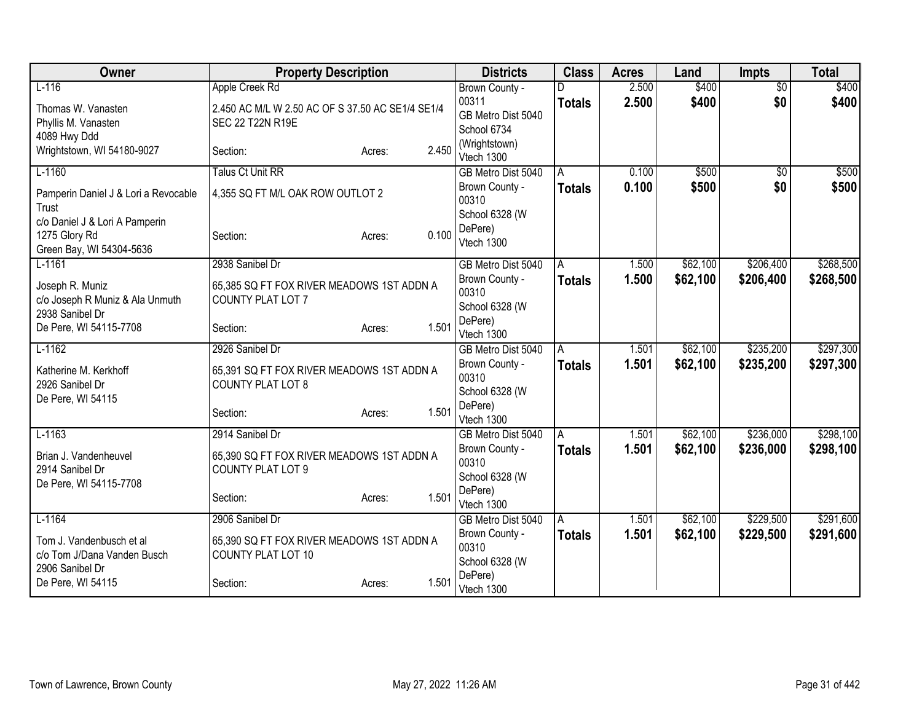| Owner                                | <b>Property Description</b>                      |                 | <b>Districts</b>                     | <b>Class</b>  | <b>Acres</b>   | Land     | <b>Impts</b>    | <b>Total</b> |
|--------------------------------------|--------------------------------------------------|-----------------|--------------------------------------|---------------|----------------|----------|-----------------|--------------|
| $L-116$                              | Apple Creek Rd                                   |                 | Brown County -                       |               | 2.500          | \$400    | $\overline{50}$ | \$400        |
| Thomas W. Vanasten                   | 2.450 AC M/L W 2.50 AC OF S 37.50 AC SE1/4 SE1/4 |                 | 00311                                | <b>Totals</b> | 2.500          | \$400    | \$0             | \$400        |
| Phyllis M. Vanasten                  | SEC 22 T22N R19E                                 |                 | GB Metro Dist 5040                   |               |                |          |                 |              |
| 4089 Hwy Ddd                         |                                                  |                 | School 6734                          |               |                |          |                 |              |
| Wrightstown, WI 54180-9027           | Section:                                         | 2.450<br>Acres: | (Wrightstown)<br>Vtech 1300          |               |                |          |                 |              |
| $L-1160$                             | <b>Talus Ct Unit RR</b>                          |                 | GB Metro Dist 5040                   | A             | 0.100          | \$500    | $\overline{50}$ | \$500        |
| Pamperin Daniel J & Lori a Revocable | 4,355 SQ FT M/L OAK ROW OUTLOT 2                 |                 | Brown County -                       | <b>Totals</b> | 0.100          | \$500    | \$0             | \$500        |
| Trust                                |                                                  |                 | 00310                                |               |                |          |                 |              |
| c/o Daniel J & Lori A Pamperin       |                                                  |                 | School 6328 (W                       |               |                |          |                 |              |
| 1275 Glory Rd                        | Section:                                         | 0.100<br>Acres: | DePere)                              |               |                |          |                 |              |
| Green Bay, WI 54304-5636             |                                                  |                 | Vtech 1300                           |               |                |          |                 |              |
| $L-1161$                             | 2938 Sanibel Dr                                  |                 | GB Metro Dist 5040                   | A             | 1.500          | \$62,100 | \$206,400       | \$268,500    |
| Joseph R. Muniz                      | 65,385 SQ FT FOX RIVER MEADOWS 1ST ADDN A        |                 | Brown County -                       | <b>Totals</b> | 1.500          | \$62,100 | \$206,400       | \$268,500    |
| c/o Joseph R Muniz & Ala Unmuth      | COUNTY PLAT LOT 7                                |                 | 00310                                |               |                |          |                 |              |
| 2938 Sanibel Dr                      |                                                  |                 | School 6328 (W                       |               |                |          |                 |              |
| De Pere, WI 54115-7708               | Section:                                         | 1.501<br>Acres: | DePere)                              |               |                |          |                 |              |
| $L-1162$                             | 2926 Sanibel Dr                                  |                 | Vtech 1300<br>GB Metro Dist 5040     | A             | 1.501          | \$62,100 | \$235,200       | \$297,300    |
|                                      |                                                  |                 | Brown County -                       | <b>Totals</b> | 1.501          | \$62,100 | \$235,200       | \$297,300    |
| Katherine M. Kerkhoff                | 65,391 SQ FT FOX RIVER MEADOWS 1ST ADDN A        |                 | 00310                                |               |                |          |                 |              |
| 2926 Sanibel Dr                      | <b>COUNTY PLAT LOT 8</b>                         |                 | School 6328 (W                       |               |                |          |                 |              |
| De Pere, WI 54115                    |                                                  |                 | DePere)                              |               |                |          |                 |              |
|                                      | Section:                                         | 1.501<br>Acres: | Vtech 1300                           |               |                |          |                 |              |
| $L-1163$                             | 2914 Sanibel Dr                                  |                 | GB Metro Dist 5040                   | A             | 1.501          | \$62,100 | \$236,000       | \$298,100    |
| Brian J. Vandenheuvel                | 65,390 SQ FT FOX RIVER MEADOWS 1ST ADDN A        |                 | Brown County -                       | <b>Totals</b> | 1.501          | \$62,100 | \$236,000       | \$298,100    |
| 2914 Sanibel Dr                      | COUNTY PLAT LOT 9                                |                 | 00310                                |               |                |          |                 |              |
| De Pere, WI 54115-7708               |                                                  |                 | School 6328 (W                       |               |                |          |                 |              |
|                                      | Section:                                         | 1.501<br>Acres: | DePere)                              |               |                |          |                 |              |
|                                      |                                                  |                 | Vtech 1300                           |               |                |          |                 |              |
| $L-1164$                             | 2906 Sanibel Dr                                  |                 | GB Metro Dist 5040<br>Brown County - | A             | 1.501<br>1.501 | \$62,100 | \$229,500       | \$291,600    |
| Tom J. Vandenbusch et al             | 65,390 SQ FT FOX RIVER MEADOWS 1ST ADDN A        |                 | 00310                                | <b>Totals</b> |                | \$62,100 | \$229,500       | \$291,600    |
| c/o Tom J/Dana Vanden Busch          | <b>COUNTY PLAT LOT 10</b>                        |                 | School 6328 (W                       |               |                |          |                 |              |
| 2906 Sanibel Dr                      |                                                  |                 | DePere)                              |               |                |          |                 |              |
| De Pere, WI 54115                    | Section:                                         | 1.501<br>Acres: | Vtech 1300                           |               |                |          |                 |              |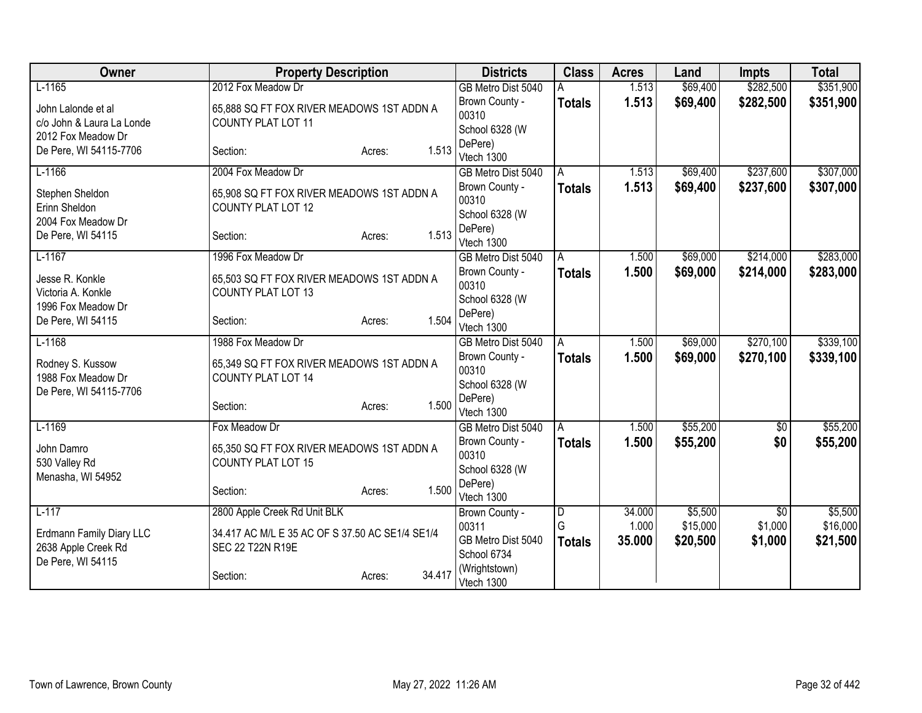| Owner                     | <b>Property Description</b>                     |                  | <b>Districts</b>                 | <b>Class</b>  | <b>Acres</b> | Land     | <b>Impts</b>   | <b>Total</b> |
|---------------------------|-------------------------------------------------|------------------|----------------------------------|---------------|--------------|----------|----------------|--------------|
| $L-1165$                  | 2012 Fox Meadow Dr                              |                  | GB Metro Dist 5040               |               | 1.513        | \$69,400 | \$282,500      | \$351,900    |
| John Lalonde et al        | 65,888 SQ FT FOX RIVER MEADOWS 1ST ADDN A       |                  | Brown County -                   | <b>Totals</b> | 1.513        | \$69,400 | \$282,500      | \$351,900    |
| c/o John & Laura La Londe | COUNTY PLAT LOT 11                              |                  | 00310                            |               |              |          |                |              |
| 2012 Fox Meadow Dr        |                                                 |                  | School 6328 (W                   |               |              |          |                |              |
| De Pere, WI 54115-7706    | Section:                                        | 1.513<br>Acres:  | DePere)<br>Vtech 1300            |               |              |          |                |              |
| $L-1166$                  | 2004 Fox Meadow Dr                              |                  | GB Metro Dist 5040               | A             | 1.513        | \$69,400 | \$237,600      | \$307,000    |
|                           |                                                 |                  | Brown County -                   | <b>Totals</b> | 1.513        | \$69,400 | \$237,600      | \$307,000    |
| Stephen Sheldon           | 65,908 SQ FT FOX RIVER MEADOWS 1ST ADDN A       |                  | 00310                            |               |              |          |                |              |
| Erinn Sheldon             | <b>COUNTY PLAT LOT 12</b>                       |                  | School 6328 (W                   |               |              |          |                |              |
| 2004 Fox Meadow Dr        |                                                 |                  | DePere)                          |               |              |          |                |              |
| De Pere, WI 54115         | Section:                                        | 1.513<br>Acres:  | Vtech 1300                       |               |              |          |                |              |
| $L-1167$                  | 1996 Fox Meadow Dr                              |                  | GB Metro Dist 5040               | A             | 1.500        | \$69,000 | \$214,000      | \$283,000    |
| Jesse R. Konkle           | 65,503 SQ FT FOX RIVER MEADOWS 1ST ADDN A       |                  | Brown County -                   | <b>Totals</b> | 1.500        | \$69,000 | \$214,000      | \$283,000    |
| Victoria A. Konkle        | <b>COUNTY PLAT LOT 13</b>                       |                  | 00310                            |               |              |          |                |              |
| 1996 Fox Meadow Dr        |                                                 |                  | School 6328 (W                   |               |              |          |                |              |
| De Pere, WI 54115         | Section:                                        | 1.504<br>Acres:  | DePere)                          |               |              |          |                |              |
| $L-1168$                  | 1988 Fox Meadow Dr                              |                  | Vtech 1300<br>GB Metro Dist 5040 | A             | 1.500        | \$69,000 | \$270,100      | \$339,100    |
|                           |                                                 |                  | Brown County -                   |               | 1.500        | \$69,000 | \$270,100      | \$339,100    |
| Rodney S. Kussow          | 65,349 SQ FT FOX RIVER MEADOWS 1ST ADDN A       |                  | 00310                            | <b>Totals</b> |              |          |                |              |
| 1988 Fox Meadow Dr        | <b>COUNTY PLAT LOT 14</b>                       |                  | School 6328 (W                   |               |              |          |                |              |
| De Pere, WI 54115-7706    |                                                 |                  | DePere)                          |               |              |          |                |              |
|                           | Section:                                        | 1.500<br>Acres:  | Vtech 1300                       |               |              |          |                |              |
| $L-1169$                  | Fox Meadow Dr                                   |                  | GB Metro Dist 5040               | A             | 1.500        | \$55,200 | $\sqrt{$0}$    | \$55,200     |
| John Damro                | 65,350 SQ FT FOX RIVER MEADOWS 1ST ADDN A       |                  | Brown County -                   | <b>Totals</b> | 1.500        | \$55,200 | \$0            | \$55,200     |
| 530 Valley Rd             | <b>COUNTY PLAT LOT 15</b>                       |                  | 00310                            |               |              |          |                |              |
| Menasha, WI 54952         |                                                 |                  | School 6328 (W                   |               |              |          |                |              |
|                           | Section:                                        | 1.500<br>Acres:  | DePere)                          |               |              |          |                |              |
| $L-117$                   |                                                 |                  | Vtech 1300                       |               | 34.000       | \$5,500  |                | \$5,500      |
|                           | 2800 Apple Creek Rd Unit BLK                    |                  | Brown County -<br>00311          | D<br>G        | 1.000        | \$15,000 | \$0<br>\$1,000 | \$16,000     |
| Erdmann Family Diary LLC  | 34.417 AC M/L E 35 AC OF S 37.50 AC SE1/4 SE1/4 |                  | GB Metro Dist 5040               |               | 35.000       | \$20,500 | \$1,000        | \$21,500     |
| 2638 Apple Creek Rd       | SEC 22 T22N R19E                                |                  | School 6734                      | <b>Totals</b> |              |          |                |              |
| De Pere, WI 54115         |                                                 |                  | (Wrightstown)                    |               |              |          |                |              |
|                           | Section:                                        | 34.417<br>Acres: | Vtech 1300                       |               |              |          |                |              |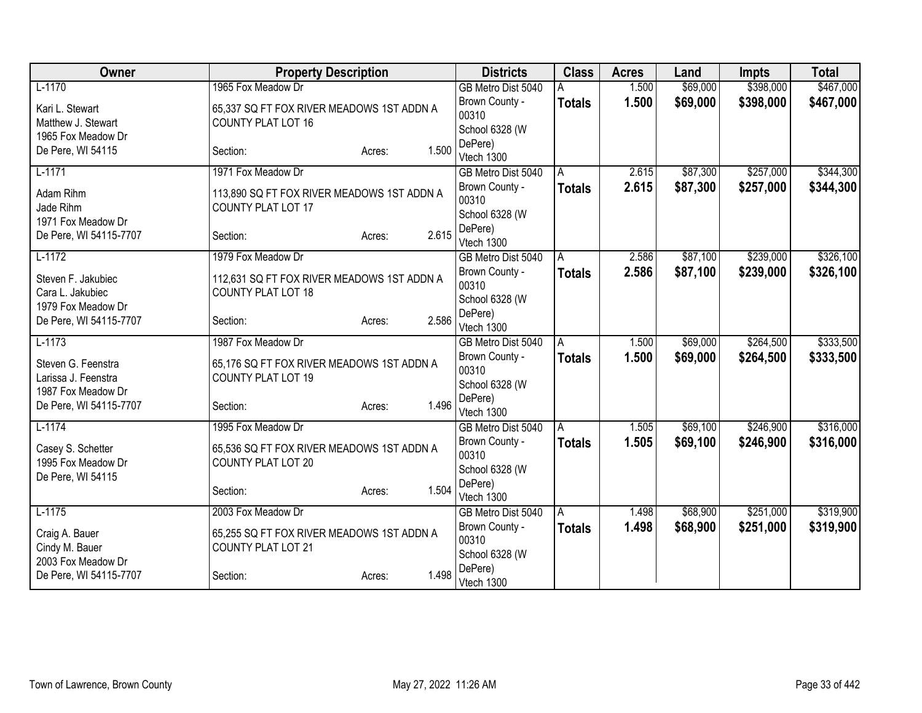| Owner                                     | <b>Property Description</b>                                            |                 | <b>Districts</b>        | <b>Class</b>  | <b>Acres</b> | Land     | <b>Impts</b> | <b>Total</b> |
|-------------------------------------------|------------------------------------------------------------------------|-----------------|-------------------------|---------------|--------------|----------|--------------|--------------|
| $L-1170$                                  | 1965 Fox Meadow Dr                                                     |                 | GB Metro Dist 5040      |               | 1.500        | \$69,000 | \$398,000    | \$467,000    |
| Kari L. Stewart                           | 65,337 SQ FT FOX RIVER MEADOWS 1ST ADDN A                              |                 | Brown County -          | <b>Totals</b> | 1.500        | \$69,000 | \$398,000    | \$467,000    |
| Matthew J. Stewart                        | <b>COUNTY PLAT LOT 16</b>                                              |                 | 00310                   |               |              |          |              |              |
| 1965 Fox Meadow Dr                        |                                                                        |                 | School 6328 (W          |               |              |          |              |              |
| De Pere, WI 54115                         | Section:                                                               | 1.500<br>Acres: | DePere)                 |               |              |          |              |              |
| $L-1171$                                  | 1971 Fox Meadow Dr                                                     |                 | Vtech 1300              |               | 2.615        | \$87,300 | \$257,000    | \$344,300    |
|                                           |                                                                        |                 | GB Metro Dist 5040      | A             |              |          |              |              |
| Adam Rihm<br>Jade Rihm                    | 113,890 SQ FT FOX RIVER MEADOWS 1ST ADDN A                             |                 | Brown County -<br>00310 | <b>Totals</b> | 2.615        | \$87,300 | \$257,000    | \$344,300    |
| 1971 Fox Meadow Dr                        | <b>COUNTY PLAT LOT 17</b>                                              |                 | School 6328 (W          |               |              |          |              |              |
| De Pere, WI 54115-7707                    | Section:                                                               | 2.615<br>Acres: | DePere)                 |               |              |          |              |              |
|                                           |                                                                        |                 | Vtech 1300              |               |              |          |              |              |
| $L-1172$                                  | 1979 Fox Meadow Dr                                                     |                 | GB Metro Dist 5040      | A             | 2.586        | \$87,100 | \$239,000    | \$326,100    |
| Steven F. Jakubiec                        | 112,631 SQ FT FOX RIVER MEADOWS 1ST ADDN A                             |                 | Brown County -          | Totals        | 2.586        | \$87,100 | \$239,000    | \$326,100    |
| Cara L. Jakubiec                          | COUNTY PLAT LOT 18                                                     |                 | 00310                   |               |              |          |              |              |
| 1979 Fox Meadow Dr                        |                                                                        |                 | School 6328 (W          |               |              |          |              |              |
| De Pere, WI 54115-7707                    | Section:                                                               | 2.586<br>Acres: | DePere)<br>Vtech 1300   |               |              |          |              |              |
| $L-1173$                                  | 1987 Fox Meadow Dr                                                     |                 | GB Metro Dist 5040      | A             | 1.500        | \$69,000 | \$264,500    | \$333,500    |
|                                           |                                                                        |                 | Brown County -          | <b>Totals</b> | 1.500        | \$69,000 | \$264,500    | \$333,500    |
| Steven G. Feenstra<br>Larissa J. Feenstra | 65,176 SQ FT FOX RIVER MEADOWS 1ST ADDN A<br><b>COUNTY PLAT LOT 19</b> |                 | 00310                   |               |              |          |              |              |
| 1987 Fox Meadow Dr                        |                                                                        |                 | School 6328 (W          |               |              |          |              |              |
| De Pere, WI 54115-7707                    | Section:                                                               | 1.496<br>Acres: | DePere)                 |               |              |          |              |              |
|                                           |                                                                        |                 | Vtech 1300              |               |              |          |              |              |
| $L-1174$                                  | 1995 Fox Meadow Dr                                                     |                 | GB Metro Dist 5040      | A             | 1.505        | \$69,100 | \$246,900    | \$316,000    |
| Casey S. Schetter                         | 65,536 SQ FT FOX RIVER MEADOWS 1ST ADDN A                              |                 | Brown County -          | <b>Totals</b> | 1.505        | \$69,100 | \$246,900    | \$316,000    |
| 1995 Fox Meadow Dr                        | <b>COUNTY PLAT LOT 20</b>                                              |                 | 00310                   |               |              |          |              |              |
| De Pere, WI 54115                         |                                                                        |                 | School 6328 (W          |               |              |          |              |              |
|                                           | Section:                                                               | 1.504<br>Acres: | DePere)                 |               |              |          |              |              |
| $L-1175$                                  | 2003 Fox Meadow Dr                                                     |                 | Vtech 1300              |               | 1.498        | \$68,900 | \$251,000    | \$319,900    |
|                                           |                                                                        |                 | GB Metro Dist 5040      | l A           |              |          |              |              |
| Craig A. Bauer                            | 65,255 SQ FT FOX RIVER MEADOWS 1ST ADDN A                              |                 | Brown County -<br>00310 | <b>Totals</b> | 1.498        | \$68,900 | \$251,000    | \$319,900    |
| Cindy M. Bauer                            | <b>COUNTY PLAT LOT 21</b>                                              |                 | School 6328 (W          |               |              |          |              |              |
| 2003 Fox Meadow Dr                        |                                                                        |                 | DePere)                 |               |              |          |              |              |
| De Pere, WI 54115-7707                    | Section:                                                               | 1.498<br>Acres: | Vtech 1300              |               |              |          |              |              |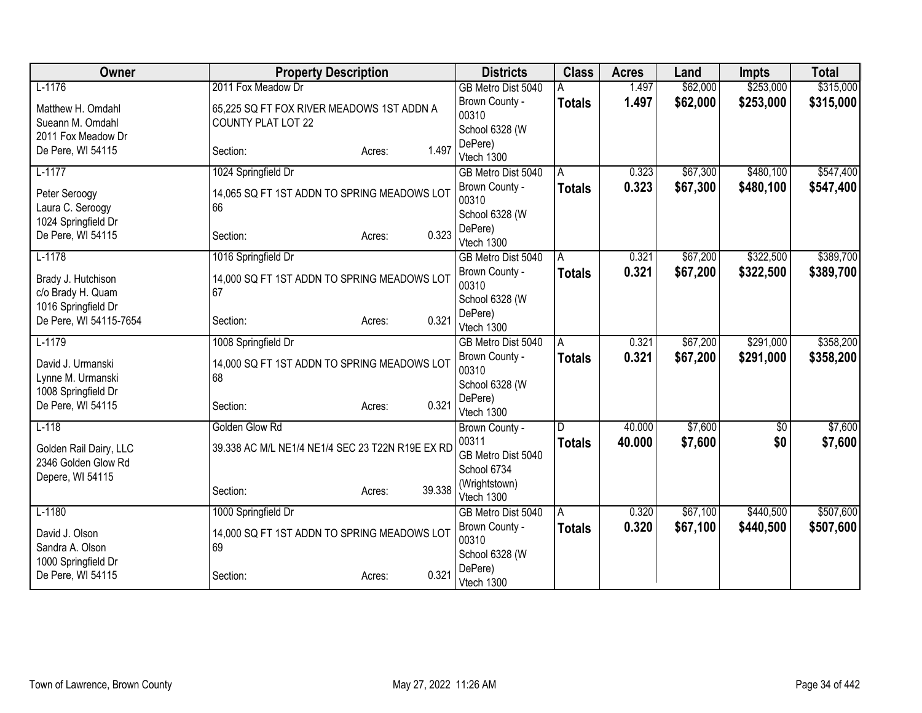| Owner                  | <b>Property Description</b>                      |                  | <b>Districts</b>                     | <b>Class</b>  | <b>Acres</b> | Land     | <b>Impts</b> | <b>Total</b> |
|------------------------|--------------------------------------------------|------------------|--------------------------------------|---------------|--------------|----------|--------------|--------------|
| $L-1176$               | 2011 Fox Meadow Dr                               |                  | GB Metro Dist 5040                   |               | 1.497        | \$62,000 | \$253,000    | \$315,000    |
| Matthew H. Omdahl      | 65,225 SQ FT FOX RIVER MEADOWS 1ST ADDN A        |                  | Brown County -                       | <b>Totals</b> | 1.497        | \$62,000 | \$253,000    | \$315,000    |
| Sueann M. Omdahl       | <b>COUNTY PLAT LOT 22</b>                        |                  | 00310                                |               |              |          |              |              |
| 2011 Fox Meadow Dr     |                                                  |                  | School 6328 (W                       |               |              |          |              |              |
| De Pere, WI 54115      | Section:                                         | 1.497<br>Acres:  | DePere)<br>Vtech 1300                |               |              |          |              |              |
| $L-1177$               | 1024 Springfield Dr                              |                  | GB Metro Dist 5040                   | A             | 0.323        | \$67,300 | \$480,100    | \$547,400    |
|                        |                                                  |                  | Brown County -                       | <b>Totals</b> | 0.323        | \$67,300 | \$480,100    | \$547,400    |
| Peter Seroogy          | 14,065 SQ FT 1ST ADDN TO SPRING MEADOWS LOT      |                  | 00310                                |               |              |          |              |              |
| Laura C. Seroogy       | 66                                               |                  | School 6328 (W                       |               |              |          |              |              |
| 1024 Springfield Dr    |                                                  |                  | DePere)                              |               |              |          |              |              |
| De Pere, WI 54115      | Section:                                         | 0.323<br>Acres:  | Vtech 1300                           |               |              |          |              |              |
| $L-1178$               | 1016 Springfield Dr                              |                  | GB Metro Dist 5040                   | A             | 0.321        | \$67,200 | \$322,500    | \$389,700    |
| Brady J. Hutchison     | 14,000 SQ FT 1ST ADDN TO SPRING MEADOWS LOT      |                  | Brown County -                       | <b>Totals</b> | 0.321        | \$67,200 | \$322,500    | \$389,700    |
| c/o Brady H. Quam      | 67                                               |                  | 00310                                |               |              |          |              |              |
| 1016 Springfield Dr    |                                                  |                  | School 6328 (W                       |               |              |          |              |              |
| De Pere, WI 54115-7654 | Section:                                         | 0.321<br>Acres:  | DePere)                              |               |              |          |              |              |
| $L-1179$               |                                                  |                  | Vtech 1300                           |               | 0.321        | \$67,200 | \$291,000    | \$358,200    |
|                        | 1008 Springfield Dr                              |                  | GB Metro Dist 5040<br>Brown County - | A             | 0.321        | \$67,200 | \$291,000    |              |
| David J. Urmanski      | 14,000 SQ FT 1ST ADDN TO SPRING MEADOWS LOT      |                  | 00310                                | <b>Totals</b> |              |          |              | \$358,200    |
| Lynne M. Urmanski      | 68                                               |                  | School 6328 (W                       |               |              |          |              |              |
| 1008 Springfield Dr    |                                                  |                  | DePere)                              |               |              |          |              |              |
| De Pere, WI 54115      | Section:                                         | 0.321<br>Acres:  | Vtech 1300                           |               |              |          |              |              |
| $L-118$                | Golden Glow Rd                                   |                  | Brown County -                       | D             | 40.000       | \$7,600  | $\sqrt{$0}$  | \$7,600      |
| Golden Rail Dairy, LLC | 39.338 AC M/L NE1/4 NE1/4 SEC 23 T22N R19E EX RD |                  | 00311                                | <b>Totals</b> | 40.000       | \$7,600  | \$0          | \$7,600      |
| 2346 Golden Glow Rd    |                                                  |                  | GB Metro Dist 5040                   |               |              |          |              |              |
| Depere, WI 54115       |                                                  |                  | School 6734                          |               |              |          |              |              |
|                        | Section:                                         | 39.338<br>Acres: | (Wrightstown)                        |               |              |          |              |              |
| $L-1180$               |                                                  |                  | Vtech 1300                           |               | 0.320        | \$67,100 | \$440,500    | \$507,600    |
|                        | 1000 Springfield Dr                              |                  | GB Metro Dist 5040<br>Brown County - | A             | 0.320        |          | \$440,500    |              |
| David J. Olson         | 14,000 SQ FT 1ST ADDN TO SPRING MEADOWS LOT      |                  | 00310                                | <b>Totals</b> |              | \$67,100 |              | \$507,600    |
| Sandra A. Olson        | 69                                               |                  | School 6328 (W                       |               |              |          |              |              |
| 1000 Springfield Dr    |                                                  |                  | DePere)                              |               |              |          |              |              |
| De Pere, WI 54115      | Section:                                         | 0.321<br>Acres:  | Vtech 1300                           |               |              |          |              |              |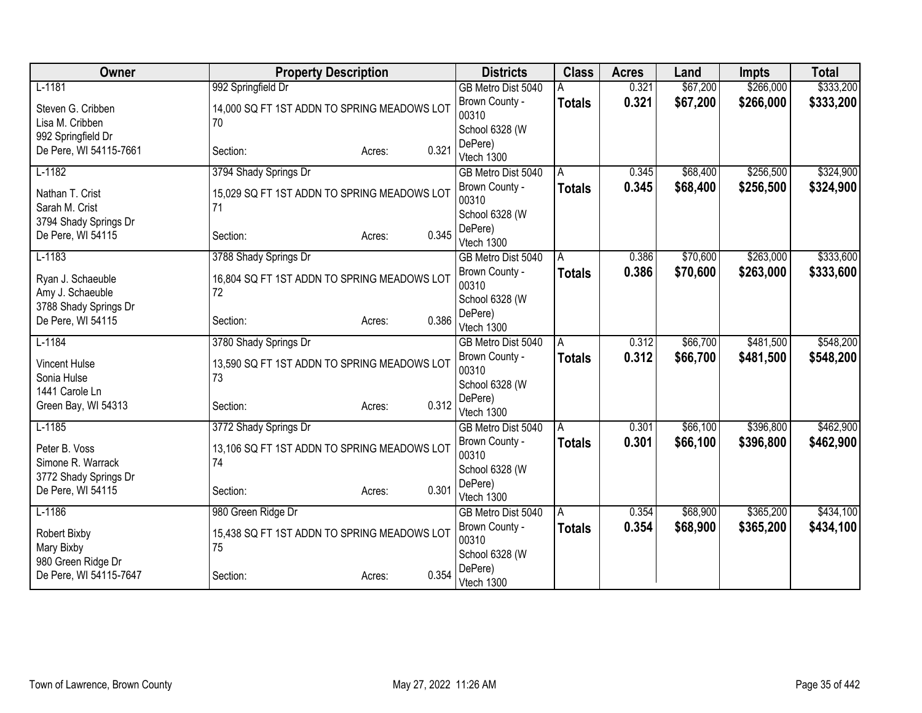| Owner                                      | <b>Property Description</b>                       | <b>Districts</b>                          | <b>Class</b>  | <b>Acres</b> | Land     | <b>Impts</b> | <b>Total</b> |
|--------------------------------------------|---------------------------------------------------|-------------------------------------------|---------------|--------------|----------|--------------|--------------|
| $L-1181$                                   | 992 Springfield Dr                                | GB Metro Dist 5040                        |               | 0.321        | \$67,200 | \$266,000    | \$333,200    |
| Steven G. Cribben<br>Lisa M. Cribben       | 14,000 SQ FT 1ST ADDN TO SPRING MEADOWS LOT<br>70 | Brown County -<br>00310                   | <b>Totals</b> | 0.321        | \$67,200 | \$266,000    | \$333,200    |
| 992 Springfield Dr                         |                                                   | School 6328 (W                            |               |              |          |              |              |
| De Pere, WI 54115-7661                     | 0.321<br>Section:<br>Acres:                       | DePere)<br>Vtech 1300                     |               |              |          |              |              |
| $L-1182$                                   | 3794 Shady Springs Dr                             | GB Metro Dist 5040                        | A             | 0.345        | \$68,400 | \$256,500    | \$324,900    |
| Nathan T. Crist<br>Sarah M. Crist          | 15,029 SQ FT 1ST ADDN TO SPRING MEADOWS LOT<br>71 | Brown County -<br>00310                   | <b>Totals</b> | 0.345        | \$68,400 | \$256,500    | \$324,900    |
| 3794 Shady Springs Dr                      |                                                   | School 6328 (W                            |               |              |          |              |              |
| De Pere, WI 54115                          | 0.345<br>Section:<br>Acres:                       | DePere)<br>Vtech 1300                     |               |              |          |              |              |
| $L-1183$                                   | 3788 Shady Springs Dr                             | GB Metro Dist 5040                        | A             | 0.386        | \$70,600 | \$263,000    | \$333,600    |
| Ryan J. Schaeuble                          | 16,804 SQ FT 1ST ADDN TO SPRING MEADOWS LOT<br>72 | Brown County -<br>00310                   | <b>Totals</b> | 0.386        | \$70,600 | \$263,000    | \$333,600    |
| Amy J. Schaeuble<br>3788 Shady Springs Dr  |                                                   | School 6328 (W                            |               |              |          |              |              |
| De Pere, WI 54115                          | 0.386<br>Section:<br>Acres:                       | DePere)<br>Vtech 1300                     |               |              |          |              |              |
| $L-1184$                                   | 3780 Shady Springs Dr                             | GB Metro Dist 5040                        | A             | 0.312        | \$66,700 | \$481,500    | \$548,200    |
| <b>Vincent Hulse</b><br>Sonia Hulse        | 13,590 SQ FT 1ST ADDN TO SPRING MEADOWS LOT<br>73 | Brown County -<br>00310<br>School 6328 (W | <b>Totals</b> | 0.312        | \$66,700 | \$481,500    | \$548,200    |
| 1441 Carole Ln<br>Green Bay, WI 54313      | 0.312<br>Section:<br>Acres:                       | DePere)<br>Vtech 1300                     |               |              |          |              |              |
| $L-1185$                                   | 3772 Shady Springs Dr                             | GB Metro Dist 5040                        | A             | 0.301        | \$66,100 | \$396,800    | \$462,900    |
| Peter B. Voss<br>Simone R. Warrack         | 13,106 SQ FT 1ST ADDN TO SPRING MEADOWS LOT<br>74 | Brown County -<br>00310<br>School 6328 (W | <b>Totals</b> | 0.301        | \$66,100 | \$396,800    | \$462,900    |
| 3772 Shady Springs Dr<br>De Pere, WI 54115 | 0.301<br>Section:<br>Acres:                       | DePere)<br>Vtech 1300                     |               |              |          |              |              |
| $L-1186$                                   | 980 Green Ridge Dr                                | GB Metro Dist 5040                        | A             | 0.354        | \$68,900 | \$365,200    | \$434,100    |
| Robert Bixby<br>Mary Bixby                 | 15,438 SQ FT 1ST ADDN TO SPRING MEADOWS LOT<br>75 | Brown County -<br>00310                   | <b>Totals</b> | 0.354        | \$68,900 | \$365,200    | \$434,100    |
| 980 Green Ridge Dr                         |                                                   | School 6328 (W                            |               |              |          |              |              |
| De Pere, WI 54115-7647                     | 0.354<br>Section:<br>Acres:                       | DePere)<br>Vtech 1300                     |               |              |          |              |              |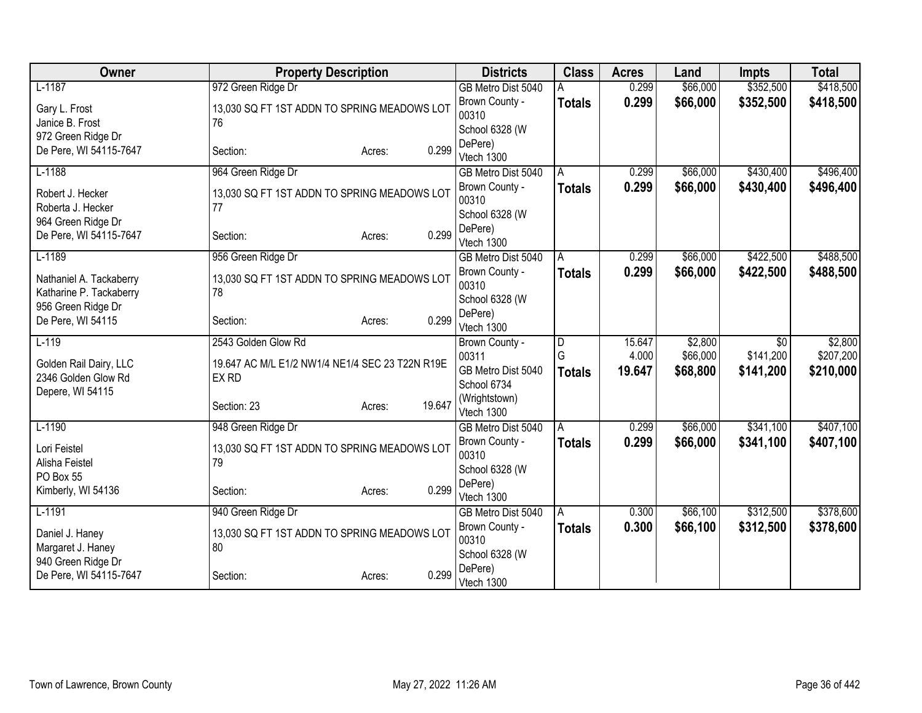| Owner                                 | <b>Property Description</b>                       | <b>Districts</b>            | <b>Class</b>  | <b>Acres</b> | Land     | <b>Impts</b>    | <b>Total</b> |
|---------------------------------------|---------------------------------------------------|-----------------------------|---------------|--------------|----------|-----------------|--------------|
| $L-1187$                              | 972 Green Ridge Dr                                | GB Metro Dist 5040          |               | 0.299        | \$66,000 | \$352,500       | \$418,500    |
| Gary L. Frost                         | 13,030 SQ FT 1ST ADDN TO SPRING MEADOWS LOT       | Brown County -              | <b>Totals</b> | 0.299        | \$66,000 | \$352,500       | \$418,500    |
| Janice B. Frost                       | 76                                                | 00310                       |               |              |          |                 |              |
| 972 Green Ridge Dr                    |                                                   | School 6328 (W<br>DePere)   |               |              |          |                 |              |
| De Pere, WI 54115-7647                | 0.299<br>Section:<br>Acres:                       | Vtech 1300                  |               |              |          |                 |              |
| $L-1188$                              | 964 Green Ridge Dr                                | GB Metro Dist 5040          | A             | 0.299        | \$66,000 | \$430,400       | \$496,400    |
|                                       |                                                   | Brown County -              | <b>Totals</b> | 0.299        | \$66,000 | \$430,400       | \$496,400    |
| Robert J. Hecker<br>Roberta J. Hecker | 13,030 SQ FT 1ST ADDN TO SPRING MEADOWS LOT<br>77 | 00310                       |               |              |          |                 |              |
| 964 Green Ridge Dr                    |                                                   | School 6328 (W              |               |              |          |                 |              |
| De Pere, WI 54115-7647                | 0.299<br>Section:<br>Acres:                       | DePere)                     |               |              |          |                 |              |
|                                       |                                                   | Vtech 1300                  |               |              |          |                 |              |
| $L-1189$                              | 956 Green Ridge Dr                                | GB Metro Dist 5040          | A             | 0.299        | \$66,000 | \$422,500       | \$488,500    |
| Nathaniel A. Tackaberry               | 13,030 SQ FT 1ST ADDN TO SPRING MEADOWS LOT       | Brown County -<br>00310     | <b>Totals</b> | 0.299        | \$66,000 | \$422,500       | \$488,500    |
| Katharine P. Tackaberry               | 78                                                | School 6328 (W              |               |              |          |                 |              |
| 956 Green Ridge Dr                    |                                                   | DePere)                     |               |              |          |                 |              |
| De Pere, WI 54115                     | 0.299<br>Section:<br>Acres:                       | Vtech 1300                  |               |              |          |                 |              |
| $L-119$                               | 2543 Golden Glow Rd                               | Brown County -              | D             | 15.647       | \$2,800  | $\overline{60}$ | \$2,800      |
| Golden Rail Dairy, LLC                | 19.647 AC M/L E1/2 NW1/4 NE1/4 SEC 23 T22N R19E   | 00311                       | G             | 4.000        | \$66,000 | \$141,200       | \$207,200    |
| 2346 Golden Glow Rd                   | EX RD                                             | GB Metro Dist 5040          | <b>Totals</b> | 19.647       | \$68,800 | \$141,200       | \$210,000    |
| Depere, WI 54115                      |                                                   | School 6734                 |               |              |          |                 |              |
|                                       | 19.647<br>Section: 23<br>Acres:                   | (Wrightstown)<br>Vtech 1300 |               |              |          |                 |              |
| $L-1190$                              | 948 Green Ridge Dr                                | GB Metro Dist 5040          | A             | 0.299        | \$66,000 | \$341,100       | \$407,100    |
|                                       |                                                   | Brown County -              | <b>Totals</b> | 0.299        | \$66,000 | \$341,100       | \$407,100    |
| Lori Feistel<br>Alisha Feistel        | 13,030 SQ FT 1ST ADDN TO SPRING MEADOWS LOT<br>79 | 00310                       |               |              |          |                 |              |
| PO Box 55                             |                                                   | School 6328 (W              |               |              |          |                 |              |
| Kimberly, WI 54136                    | 0.299<br>Section:<br>Acres:                       | DePere)                     |               |              |          |                 |              |
|                                       |                                                   | Vtech 1300                  |               |              |          |                 |              |
| $L-1191$                              | 940 Green Ridge Dr                                | GB Metro Dist 5040          | A             | 0.300        | \$66,100 | \$312,500       | \$378,600    |
| Daniel J. Haney                       | 13,030 SQ FT 1ST ADDN TO SPRING MEADOWS LOT       | Brown County -<br>00310     | <b>Totals</b> | 0.300        | \$66,100 | \$312,500       | \$378,600    |
| Margaret J. Haney                     | 80                                                | School 6328 (W              |               |              |          |                 |              |
| 940 Green Ridge Dr                    |                                                   | DePere)                     |               |              |          |                 |              |
| De Pere, WI 54115-7647                | 0.299<br>Section:<br>Acres:                       | Vtech 1300                  |               |              |          |                 |              |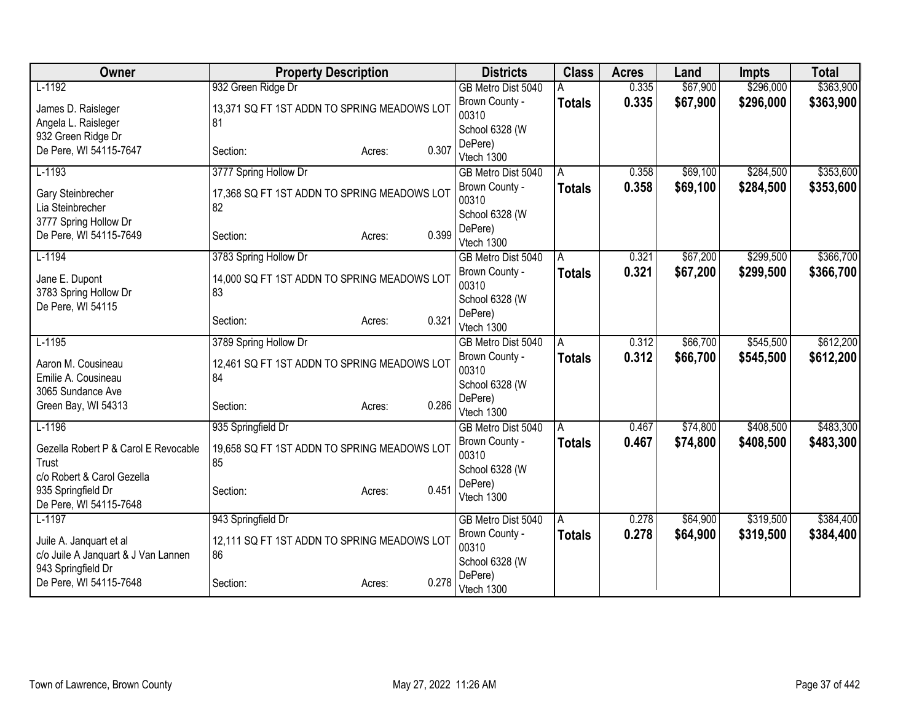| 932 Green Ridge Dr<br>\$67,900<br>\$296,000<br>\$363,900<br>$L-1192$<br>0.335<br>GB Metro Dist 5040<br>0.335<br>\$67,900<br>\$296,000<br>Brown County -<br>\$363,900<br><b>Totals</b><br>13,371 SQ FT 1ST ADDN TO SPRING MEADOWS LOT<br>James D. Raisleger<br>00310<br>81<br>Angela L. Raisleger<br>School 6328 (W<br>932 Green Ridge Dr<br>DePere)<br>0.307<br>De Pere, WI 54115-7647<br>Section:<br>Acres:<br>Vtech 1300<br>\$69,100<br>\$284,500<br>\$353,600<br>$L-1193$<br>3777 Spring Hollow Dr<br>GB Metro Dist 5040<br>0.358<br>A<br>0.358<br>\$69,100<br>\$284,500<br>\$353,600<br>Brown County -<br><b>Totals</b><br>Gary Steinbrecher<br>17,368 SQ FT 1ST ADDN TO SPRING MEADOWS LOT<br>00310<br>Lia Steinbrecher<br>82<br>School 6328 (W<br>3777 Spring Hollow Dr<br>DePere)<br>0.399<br>De Pere, WI 54115-7649<br>Section:<br>Acres:<br>Vtech 1300<br>\$299,500<br>$L-1194$<br>\$67,200<br>3783 Spring Hollow Dr<br>0.321<br>GB Metro Dist 5040<br>A<br>Brown County -<br>0.321<br>\$67,200<br>\$299,500<br><b>Totals</b><br>Jane E. Dupont<br>14,000 SQ FT 1ST ADDN TO SPRING MEADOWS LOT<br>00310<br>3783 Spring Hollow Dr<br>83<br>School 6328 (W<br>De Pere, WI 54115<br>DePere)<br>0.321<br>Section:<br>Acres:<br>Vtech 1300<br>\$545,500<br>$L-1195$<br>\$66,700<br>\$612,200<br>3789 Spring Hollow Dr<br>0.312<br>GB Metro Dist 5040<br>A<br>0.312<br>\$66,700<br>\$545,500<br>\$612,200<br>Brown County -<br><b>Totals</b><br>12,461 SQ FT 1ST ADDN TO SPRING MEADOWS LOT<br>Aaron M. Cousineau<br>00310<br>Emilie A. Cousineau<br>84<br>School 6328 (W<br>3065 Sundance Ave<br>DePere)<br>0.286<br>Green Bay, WI 54313<br>Section:<br>Acres:<br>Vtech 1300<br>$L-1196$<br>\$408,500<br>\$74,800<br>935 Springfield Dr<br>0.467<br>GB Metro Dist 5040<br>A<br>0.467<br>\$74,800<br>\$408,500<br>Brown County -<br><b>Totals</b><br>19,658 SQ FT 1ST ADDN TO SPRING MEADOWS LOT<br>Gezella Robert P & Carol E Revocable<br>00310<br>85<br>Trust<br>School 6328 (W<br>c/o Robert & Carol Gezella<br>DePere)<br>935 Springfield Dr<br>0.451<br>Section:<br>Acres:<br>Vtech 1300<br>De Pere, WI 54115-7648<br>\$319,500<br>$L-1197$<br>0.278<br>\$64,900<br>943 Springfield Dr<br>GB Metro Dist 5040<br>A<br>0.278<br>\$64,900<br>\$319,500<br>Brown County -<br><b>Totals</b><br>12,111 SQ FT 1ST ADDN TO SPRING MEADOWS LOT<br>Juile A. Janquart et al<br>00310<br>c/o Juile A Janquart & J Van Lannen<br>86 | Owner              | <b>Property Description</b> | <b>Districts</b> | <b>Class</b> | <b>Acres</b> | Land | <b>Impts</b> | <b>Total</b> |
|---------------------------------------------------------------------------------------------------------------------------------------------------------------------------------------------------------------------------------------------------------------------------------------------------------------------------------------------------------------------------------------------------------------------------------------------------------------------------------------------------------------------------------------------------------------------------------------------------------------------------------------------------------------------------------------------------------------------------------------------------------------------------------------------------------------------------------------------------------------------------------------------------------------------------------------------------------------------------------------------------------------------------------------------------------------------------------------------------------------------------------------------------------------------------------------------------------------------------------------------------------------------------------------------------------------------------------------------------------------------------------------------------------------------------------------------------------------------------------------------------------------------------------------------------------------------------------------------------------------------------------------------------------------------------------------------------------------------------------------------------------------------------------------------------------------------------------------------------------------------------------------------------------------------------------------------------------------------------------------------------------------------------------------------------------------------------------------------------------------------------------------------------------------------------------------------------------------------------------------------------------------------------------------------------------------------------------------------------------------------------------------------------------------------------------|--------------------|-----------------------------|------------------|--------------|--------------|------|--------------|--------------|
|                                                                                                                                                                                                                                                                                                                                                                                                                                                                                                                                                                                                                                                                                                                                                                                                                                                                                                                                                                                                                                                                                                                                                                                                                                                                                                                                                                                                                                                                                                                                                                                                                                                                                                                                                                                                                                                                                                                                                                                                                                                                                                                                                                                                                                                                                                                                                                                                                                 |                    |                             |                  |              |              |      |              |              |
|                                                                                                                                                                                                                                                                                                                                                                                                                                                                                                                                                                                                                                                                                                                                                                                                                                                                                                                                                                                                                                                                                                                                                                                                                                                                                                                                                                                                                                                                                                                                                                                                                                                                                                                                                                                                                                                                                                                                                                                                                                                                                                                                                                                                                                                                                                                                                                                                                                 |                    |                             |                  |              |              |      |              |              |
|                                                                                                                                                                                                                                                                                                                                                                                                                                                                                                                                                                                                                                                                                                                                                                                                                                                                                                                                                                                                                                                                                                                                                                                                                                                                                                                                                                                                                                                                                                                                                                                                                                                                                                                                                                                                                                                                                                                                                                                                                                                                                                                                                                                                                                                                                                                                                                                                                                 |                    |                             |                  |              |              |      |              |              |
|                                                                                                                                                                                                                                                                                                                                                                                                                                                                                                                                                                                                                                                                                                                                                                                                                                                                                                                                                                                                                                                                                                                                                                                                                                                                                                                                                                                                                                                                                                                                                                                                                                                                                                                                                                                                                                                                                                                                                                                                                                                                                                                                                                                                                                                                                                                                                                                                                                 |                    |                             |                  |              |              |      |              |              |
|                                                                                                                                                                                                                                                                                                                                                                                                                                                                                                                                                                                                                                                                                                                                                                                                                                                                                                                                                                                                                                                                                                                                                                                                                                                                                                                                                                                                                                                                                                                                                                                                                                                                                                                                                                                                                                                                                                                                                                                                                                                                                                                                                                                                                                                                                                                                                                                                                                 |                    |                             |                  |              |              |      |              |              |
|                                                                                                                                                                                                                                                                                                                                                                                                                                                                                                                                                                                                                                                                                                                                                                                                                                                                                                                                                                                                                                                                                                                                                                                                                                                                                                                                                                                                                                                                                                                                                                                                                                                                                                                                                                                                                                                                                                                                                                                                                                                                                                                                                                                                                                                                                                                                                                                                                                 |                    |                             |                  |              |              |      |              |              |
|                                                                                                                                                                                                                                                                                                                                                                                                                                                                                                                                                                                                                                                                                                                                                                                                                                                                                                                                                                                                                                                                                                                                                                                                                                                                                                                                                                                                                                                                                                                                                                                                                                                                                                                                                                                                                                                                                                                                                                                                                                                                                                                                                                                                                                                                                                                                                                                                                                 |                    |                             |                  |              |              |      |              |              |
|                                                                                                                                                                                                                                                                                                                                                                                                                                                                                                                                                                                                                                                                                                                                                                                                                                                                                                                                                                                                                                                                                                                                                                                                                                                                                                                                                                                                                                                                                                                                                                                                                                                                                                                                                                                                                                                                                                                                                                                                                                                                                                                                                                                                                                                                                                                                                                                                                                 |                    |                             |                  |              |              |      |              |              |
|                                                                                                                                                                                                                                                                                                                                                                                                                                                                                                                                                                                                                                                                                                                                                                                                                                                                                                                                                                                                                                                                                                                                                                                                                                                                                                                                                                                                                                                                                                                                                                                                                                                                                                                                                                                                                                                                                                                                                                                                                                                                                                                                                                                                                                                                                                                                                                                                                                 |                    |                             |                  |              |              |      |              |              |
|                                                                                                                                                                                                                                                                                                                                                                                                                                                                                                                                                                                                                                                                                                                                                                                                                                                                                                                                                                                                                                                                                                                                                                                                                                                                                                                                                                                                                                                                                                                                                                                                                                                                                                                                                                                                                                                                                                                                                                                                                                                                                                                                                                                                                                                                                                                                                                                                                                 |                    |                             |                  |              |              |      |              |              |
|                                                                                                                                                                                                                                                                                                                                                                                                                                                                                                                                                                                                                                                                                                                                                                                                                                                                                                                                                                                                                                                                                                                                                                                                                                                                                                                                                                                                                                                                                                                                                                                                                                                                                                                                                                                                                                                                                                                                                                                                                                                                                                                                                                                                                                                                                                                                                                                                                                 |                    |                             |                  |              |              |      |              |              |
|                                                                                                                                                                                                                                                                                                                                                                                                                                                                                                                                                                                                                                                                                                                                                                                                                                                                                                                                                                                                                                                                                                                                                                                                                                                                                                                                                                                                                                                                                                                                                                                                                                                                                                                                                                                                                                                                                                                                                                                                                                                                                                                                                                                                                                                                                                                                                                                                                                 |                    |                             |                  |              |              |      |              | \$366,700    |
|                                                                                                                                                                                                                                                                                                                                                                                                                                                                                                                                                                                                                                                                                                                                                                                                                                                                                                                                                                                                                                                                                                                                                                                                                                                                                                                                                                                                                                                                                                                                                                                                                                                                                                                                                                                                                                                                                                                                                                                                                                                                                                                                                                                                                                                                                                                                                                                                                                 |                    |                             |                  |              |              |      |              | \$366,700    |
|                                                                                                                                                                                                                                                                                                                                                                                                                                                                                                                                                                                                                                                                                                                                                                                                                                                                                                                                                                                                                                                                                                                                                                                                                                                                                                                                                                                                                                                                                                                                                                                                                                                                                                                                                                                                                                                                                                                                                                                                                                                                                                                                                                                                                                                                                                                                                                                                                                 |                    |                             |                  |              |              |      |              |              |
|                                                                                                                                                                                                                                                                                                                                                                                                                                                                                                                                                                                                                                                                                                                                                                                                                                                                                                                                                                                                                                                                                                                                                                                                                                                                                                                                                                                                                                                                                                                                                                                                                                                                                                                                                                                                                                                                                                                                                                                                                                                                                                                                                                                                                                                                                                                                                                                                                                 |                    |                             |                  |              |              |      |              |              |
|                                                                                                                                                                                                                                                                                                                                                                                                                                                                                                                                                                                                                                                                                                                                                                                                                                                                                                                                                                                                                                                                                                                                                                                                                                                                                                                                                                                                                                                                                                                                                                                                                                                                                                                                                                                                                                                                                                                                                                                                                                                                                                                                                                                                                                                                                                                                                                                                                                 |                    |                             |                  |              |              |      |              |              |
|                                                                                                                                                                                                                                                                                                                                                                                                                                                                                                                                                                                                                                                                                                                                                                                                                                                                                                                                                                                                                                                                                                                                                                                                                                                                                                                                                                                                                                                                                                                                                                                                                                                                                                                                                                                                                                                                                                                                                                                                                                                                                                                                                                                                                                                                                                                                                                                                                                 |                    |                             |                  |              |              |      |              |              |
|                                                                                                                                                                                                                                                                                                                                                                                                                                                                                                                                                                                                                                                                                                                                                                                                                                                                                                                                                                                                                                                                                                                                                                                                                                                                                                                                                                                                                                                                                                                                                                                                                                                                                                                                                                                                                                                                                                                                                                                                                                                                                                                                                                                                                                                                                                                                                                                                                                 |                    |                             |                  |              |              |      |              |              |
|                                                                                                                                                                                                                                                                                                                                                                                                                                                                                                                                                                                                                                                                                                                                                                                                                                                                                                                                                                                                                                                                                                                                                                                                                                                                                                                                                                                                                                                                                                                                                                                                                                                                                                                                                                                                                                                                                                                                                                                                                                                                                                                                                                                                                                                                                                                                                                                                                                 |                    |                             |                  |              |              |      |              |              |
|                                                                                                                                                                                                                                                                                                                                                                                                                                                                                                                                                                                                                                                                                                                                                                                                                                                                                                                                                                                                                                                                                                                                                                                                                                                                                                                                                                                                                                                                                                                                                                                                                                                                                                                                                                                                                                                                                                                                                                                                                                                                                                                                                                                                                                                                                                                                                                                                                                 |                    |                             |                  |              |              |      |              |              |
|                                                                                                                                                                                                                                                                                                                                                                                                                                                                                                                                                                                                                                                                                                                                                                                                                                                                                                                                                                                                                                                                                                                                                                                                                                                                                                                                                                                                                                                                                                                                                                                                                                                                                                                                                                                                                                                                                                                                                                                                                                                                                                                                                                                                                                                                                                                                                                                                                                 |                    |                             |                  |              |              |      |              |              |
|                                                                                                                                                                                                                                                                                                                                                                                                                                                                                                                                                                                                                                                                                                                                                                                                                                                                                                                                                                                                                                                                                                                                                                                                                                                                                                                                                                                                                                                                                                                                                                                                                                                                                                                                                                                                                                                                                                                                                                                                                                                                                                                                                                                                                                                                                                                                                                                                                                 |                    |                             |                  |              |              |      |              |              |
|                                                                                                                                                                                                                                                                                                                                                                                                                                                                                                                                                                                                                                                                                                                                                                                                                                                                                                                                                                                                                                                                                                                                                                                                                                                                                                                                                                                                                                                                                                                                                                                                                                                                                                                                                                                                                                                                                                                                                                                                                                                                                                                                                                                                                                                                                                                                                                                                                                 |                    |                             |                  |              |              |      |              | \$483,300    |
|                                                                                                                                                                                                                                                                                                                                                                                                                                                                                                                                                                                                                                                                                                                                                                                                                                                                                                                                                                                                                                                                                                                                                                                                                                                                                                                                                                                                                                                                                                                                                                                                                                                                                                                                                                                                                                                                                                                                                                                                                                                                                                                                                                                                                                                                                                                                                                                                                                 |                    |                             |                  |              |              |      |              | \$483,300    |
|                                                                                                                                                                                                                                                                                                                                                                                                                                                                                                                                                                                                                                                                                                                                                                                                                                                                                                                                                                                                                                                                                                                                                                                                                                                                                                                                                                                                                                                                                                                                                                                                                                                                                                                                                                                                                                                                                                                                                                                                                                                                                                                                                                                                                                                                                                                                                                                                                                 |                    |                             |                  |              |              |      |              |              |
|                                                                                                                                                                                                                                                                                                                                                                                                                                                                                                                                                                                                                                                                                                                                                                                                                                                                                                                                                                                                                                                                                                                                                                                                                                                                                                                                                                                                                                                                                                                                                                                                                                                                                                                                                                                                                                                                                                                                                                                                                                                                                                                                                                                                                                                                                                                                                                                                                                 |                    |                             |                  |              |              |      |              |              |
|                                                                                                                                                                                                                                                                                                                                                                                                                                                                                                                                                                                                                                                                                                                                                                                                                                                                                                                                                                                                                                                                                                                                                                                                                                                                                                                                                                                                                                                                                                                                                                                                                                                                                                                                                                                                                                                                                                                                                                                                                                                                                                                                                                                                                                                                                                                                                                                                                                 |                    |                             |                  |              |              |      |              |              |
|                                                                                                                                                                                                                                                                                                                                                                                                                                                                                                                                                                                                                                                                                                                                                                                                                                                                                                                                                                                                                                                                                                                                                                                                                                                                                                                                                                                                                                                                                                                                                                                                                                                                                                                                                                                                                                                                                                                                                                                                                                                                                                                                                                                                                                                                                                                                                                                                                                 |                    |                             |                  |              |              |      |              |              |
|                                                                                                                                                                                                                                                                                                                                                                                                                                                                                                                                                                                                                                                                                                                                                                                                                                                                                                                                                                                                                                                                                                                                                                                                                                                                                                                                                                                                                                                                                                                                                                                                                                                                                                                                                                                                                                                                                                                                                                                                                                                                                                                                                                                                                                                                                                                                                                                                                                 |                    |                             |                  |              |              |      |              | \$384,400    |
|                                                                                                                                                                                                                                                                                                                                                                                                                                                                                                                                                                                                                                                                                                                                                                                                                                                                                                                                                                                                                                                                                                                                                                                                                                                                                                                                                                                                                                                                                                                                                                                                                                                                                                                                                                                                                                                                                                                                                                                                                                                                                                                                                                                                                                                                                                                                                                                                                                 |                    |                             |                  |              |              |      |              | \$384,400    |
|                                                                                                                                                                                                                                                                                                                                                                                                                                                                                                                                                                                                                                                                                                                                                                                                                                                                                                                                                                                                                                                                                                                                                                                                                                                                                                                                                                                                                                                                                                                                                                                                                                                                                                                                                                                                                                                                                                                                                                                                                                                                                                                                                                                                                                                                                                                                                                                                                                 |                    |                             |                  |              |              |      |              |              |
|                                                                                                                                                                                                                                                                                                                                                                                                                                                                                                                                                                                                                                                                                                                                                                                                                                                                                                                                                                                                                                                                                                                                                                                                                                                                                                                                                                                                                                                                                                                                                                                                                                                                                                                                                                                                                                                                                                                                                                                                                                                                                                                                                                                                                                                                                                                                                                                                                                 | 943 Springfield Dr |                             | School 6328 (W   |              |              |      |              |              |
| DePere)<br>0.278<br>De Pere, WI 54115-7648<br>Section:<br>Acres:<br>Vtech 1300                                                                                                                                                                                                                                                                                                                                                                                                                                                                                                                                                                                                                                                                                                                                                                                                                                                                                                                                                                                                                                                                                                                                                                                                                                                                                                                                                                                                                                                                                                                                                                                                                                                                                                                                                                                                                                                                                                                                                                                                                                                                                                                                                                                                                                                                                                                                                  |                    |                             |                  |              |              |      |              |              |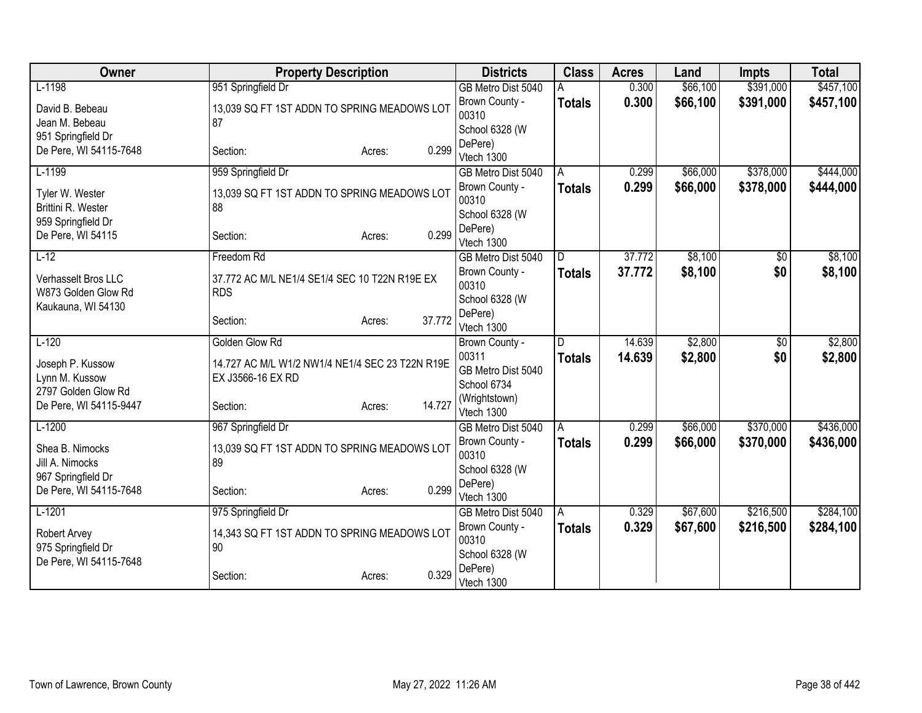| Owner                  | <b>Property Description</b>                     | <b>Districts</b>                     | <b>Class</b>  | <b>Acres</b> | Land     | <b>Impts</b>    | <b>Total</b> |
|------------------------|-------------------------------------------------|--------------------------------------|---------------|--------------|----------|-----------------|--------------|
| $L-1198$               | 951 Springfield Dr                              | GB Metro Dist 5040                   |               | 0.300        | \$66,100 | \$391,000       | \$457,100    |
| David B. Bebeau        | 13,039 SQ FT 1ST ADDN TO SPRING MEADOWS LOT     | Brown County -                       | <b>Totals</b> | 0.300        | \$66,100 | \$391,000       | \$457,100    |
| Jean M. Bebeau         | 87                                              | 00310                                |               |              |          |                 |              |
| 951 Springfield Dr     |                                                 | School 6328 (W                       |               |              |          |                 |              |
| De Pere, WI 54115-7648 | 0.299<br>Section:<br>Acres:                     | DePere)<br>Vtech 1300                |               |              |          |                 |              |
| $L-1199$               | 959 Springfield Dr                              | GB Metro Dist 5040                   | A             | 0.299        | \$66,000 | \$378,000       | \$444,000    |
|                        |                                                 | Brown County -                       | <b>Totals</b> | 0.299        | \$66,000 | \$378,000       | \$444,000    |
| Tyler W. Wester        | 13,039 SQ FT 1ST ADDN TO SPRING MEADOWS LOT     | 00310                                |               |              |          |                 |              |
| Brittini R. Wester     | 88                                              | School 6328 (W                       |               |              |          |                 |              |
| 959 Springfield Dr     |                                                 | DePere)                              |               |              |          |                 |              |
| De Pere, WI 54115      | 0.299<br>Section:<br>Acres:                     | Vtech 1300                           |               |              |          |                 |              |
| $L-12$                 | Freedom Rd                                      | GB Metro Dist 5040                   | D.            | 37.772       | \$8,100  | \$0             | \$8,100      |
| Verhasselt Bros LLC    | 37.772 AC M/L NE1/4 SE1/4 SEC 10 T22N R19E EX   | Brown County -                       | <b>Totals</b> | 37.772       | \$8,100  | \$0             | \$8,100      |
| W873 Golden Glow Rd    | <b>RDS</b>                                      | 00310                                |               |              |          |                 |              |
| Kaukauna, WI 54130     |                                                 | School 6328 (W                       |               |              |          |                 |              |
|                        | 37.772<br>Section:<br>Acres:                    | DePere)                              |               |              |          |                 |              |
|                        |                                                 | Vtech 1300                           |               |              |          |                 |              |
| $L-120$                | Golden Glow Rd                                  | Brown County -<br>00311              |               | 14.639       | \$2,800  | $\overline{50}$ | \$2,800      |
| Joseph P. Kussow       | 14.727 AC M/L W1/2 NW1/4 NE1/4 SEC 23 T22N R19E | GB Metro Dist 5040                   | <b>Totals</b> | 14.639       | \$2,800  | \$0             | \$2,800      |
| Lynn M. Kussow         | EX J3566-16 EX RD                               | School 6734                          |               |              |          |                 |              |
| 2797 Golden Glow Rd    |                                                 | (Wrightstown)                        |               |              |          |                 |              |
| De Pere, WI 54115-9447 | 14.727<br>Section:<br>Acres:                    | Vtech 1300                           |               |              |          |                 |              |
| $L-1200$               | 967 Springfield Dr                              | GB Metro Dist 5040                   | Α             | 0.299        | \$66,000 | \$370,000       | \$436,000    |
| Shea B. Nimocks        | 13,039 SQ FT 1ST ADDN TO SPRING MEADOWS LOT     | Brown County -                       | <b>Totals</b> | 0.299        | \$66,000 | \$370,000       | \$436,000    |
| Jill A. Nimocks        | 89                                              | 00310                                |               |              |          |                 |              |
| 967 Springfield Dr     |                                                 | School 6328 (W                       |               |              |          |                 |              |
| De Pere, WI 54115-7648 | 0.299<br>Section:<br>Acres:                     | DePere)                              |               |              |          |                 |              |
| $L-1201$               |                                                 | Vtech 1300                           |               | 0.329        | \$67,600 | \$216,500       | \$284,100    |
|                        | 975 Springfield Dr                              | GB Metro Dist 5040<br>Brown County - | A             | 0.329        | \$67,600 |                 |              |
| Robert Arvey           | 14,343 SQ FT 1ST ADDN TO SPRING MEADOWS LOT     | 00310                                | <b>Totals</b> |              |          | \$216,500       | \$284,100    |
| 975 Springfield Dr     | 90                                              | School 6328 (W                       |               |              |          |                 |              |
| De Pere, WI 54115-7648 |                                                 | DePere)                              |               |              |          |                 |              |
|                        | 0.329<br>Section:<br>Acres:                     | Vtech 1300                           |               |              |          |                 |              |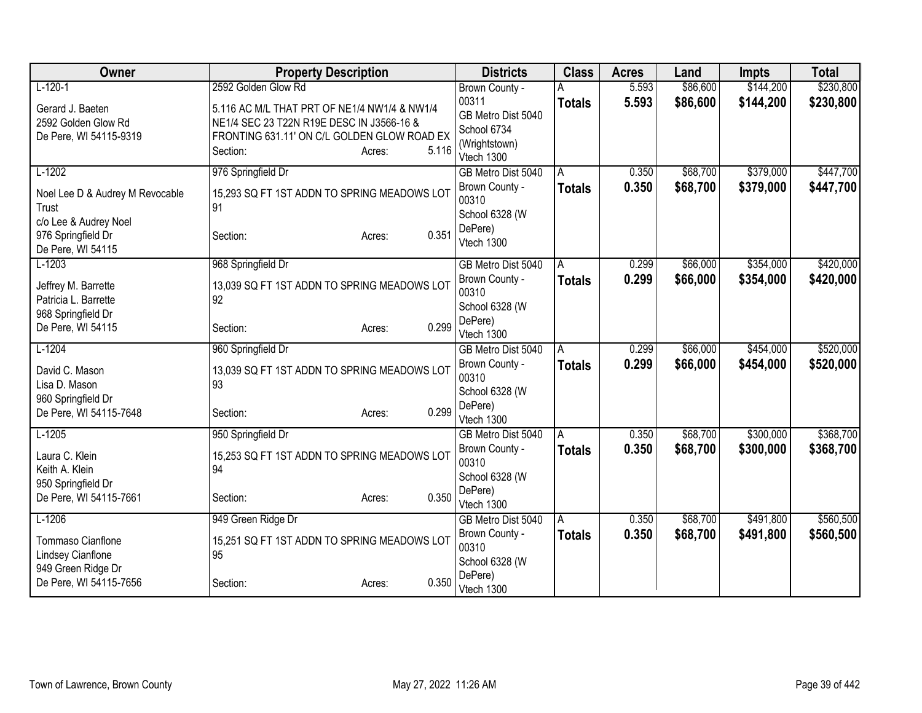| Owner                                        | <b>Property Description</b>                  |                 | <b>Districts</b>             | <b>Class</b>  | <b>Acres</b> | Land     | <b>Impts</b> | <b>Total</b> |
|----------------------------------------------|----------------------------------------------|-----------------|------------------------------|---------------|--------------|----------|--------------|--------------|
| $L-120-1$                                    | 2592 Golden Glow Rd                          |                 | Brown County -               |               | 5.593        | \$86,600 | \$144,200    | \$230,800    |
| Gerard J. Baeten                             | 5.116 AC M/L THAT PRT OF NE1/4 NW1/4 & NW1/4 |                 | 00311                        | <b>Totals</b> | 5.593        | \$86,600 | \$144,200    | \$230,800    |
| 2592 Golden Glow Rd                          | NE1/4 SEC 23 T22N R19E DESC IN J3566-16 &    |                 | GB Metro Dist 5040           |               |              |          |              |              |
| De Pere, WI 54115-9319                       | FRONTING 631.11' ON C/L GOLDEN GLOW ROAD EX  |                 | School 6734<br>(Wrightstown) |               |              |          |              |              |
|                                              | Section:                                     | 5.116<br>Acres: | Vtech 1300                   |               |              |          |              |              |
| $L-1202$                                     | 976 Springfield Dr                           |                 | GB Metro Dist 5040           | A             | 0.350        | \$68,700 | \$379,000    | \$447,700    |
| Noel Lee D & Audrey M Revocable              | 15,293 SQ FT 1ST ADDN TO SPRING MEADOWS LOT  |                 | Brown County -               | <b>Totals</b> | 0.350        | \$68,700 | \$379,000    | \$447,700    |
| Trust                                        | 91                                           |                 | 00310                        |               |              |          |              |              |
| c/o Lee & Audrey Noel                        |                                              |                 | School 6328 (W               |               |              |          |              |              |
| 976 Springfield Dr                           | Section:                                     | 0.351<br>Acres: | DePere)<br>Vtech 1300        |               |              |          |              |              |
| De Pere, WI 54115                            |                                              |                 |                              |               |              |          |              |              |
| $L-1203$                                     | 968 Springfield Dr                           |                 | GB Metro Dist 5040           | A             | 0.299        | \$66,000 | \$354,000    | \$420,000    |
| Jeffrey M. Barrette                          | 13,039 SQ FT 1ST ADDN TO SPRING MEADOWS LOT  |                 | Brown County -               | Totals        | 0.299        | \$66,000 | \$354,000    | \$420,000    |
| Patricia L. Barrette                         | 92                                           |                 | 00310                        |               |              |          |              |              |
| 968 Springfield Dr                           |                                              |                 | School 6328 (W<br>DePere)    |               |              |          |              |              |
| De Pere, WI 54115                            | Section:                                     | 0.299<br>Acres: | Vtech 1300                   |               |              |          |              |              |
| $L-1204$                                     | 960 Springfield Dr                           |                 | GB Metro Dist 5040           | A             | 0.299        | \$66,000 | \$454,000    | \$520,000    |
| David C. Mason                               | 13,039 SQ FT 1ST ADDN TO SPRING MEADOWS LOT  |                 | Brown County -               | <b>Totals</b> | 0.299        | \$66,000 | \$454,000    | \$520,000    |
| Lisa D. Mason                                | 93                                           |                 | 00310                        |               |              |          |              |              |
| 960 Springfield Dr                           |                                              |                 | School 6328 (W               |               |              |          |              |              |
| De Pere, WI 54115-7648                       | Section:                                     | 0.299<br>Acres: | DePere)<br>Vtech 1300        |               |              |          |              |              |
| $L-1205$                                     | 950 Springfield Dr                           |                 | GB Metro Dist 5040           | A             | 0.350        | \$68,700 | \$300,000    | \$368,700    |
|                                              |                                              |                 | Brown County -               | <b>Totals</b> | 0.350        | \$68,700 | \$300,000    | \$368,700    |
| Laura C. Klein                               | 15,253 SQ FT 1ST ADDN TO SPRING MEADOWS LOT  |                 | 00310                        |               |              |          |              |              |
| Keith A. Klein                               | 94                                           |                 | School 6328 (W               |               |              |          |              |              |
| 950 Springfield Dr<br>De Pere, WI 54115-7661 | Section:                                     | 0.350           | DePere)                      |               |              |          |              |              |
|                                              |                                              | Acres:          | Vtech 1300                   |               |              |          |              |              |
| $L-1206$                                     | 949 Green Ridge Dr                           |                 | GB Metro Dist 5040           | A             | 0.350        | \$68,700 | \$491,800    | \$560,500    |
| Tommaso Cianflone                            | 15,251 SQ FT 1ST ADDN TO SPRING MEADOWS LOT  |                 | Brown County -               | <b>Totals</b> | 0.350        | \$68,700 | \$491,800    | \$560,500    |
| <b>Lindsey Cianflone</b>                     | 95                                           |                 | 00310<br>School 6328 (W      |               |              |          |              |              |
| 949 Green Ridge Dr                           |                                              |                 | DePere)                      |               |              |          |              |              |
| De Pere, WI 54115-7656                       | Section:                                     | 0.350<br>Acres: | Vtech 1300                   |               |              |          |              |              |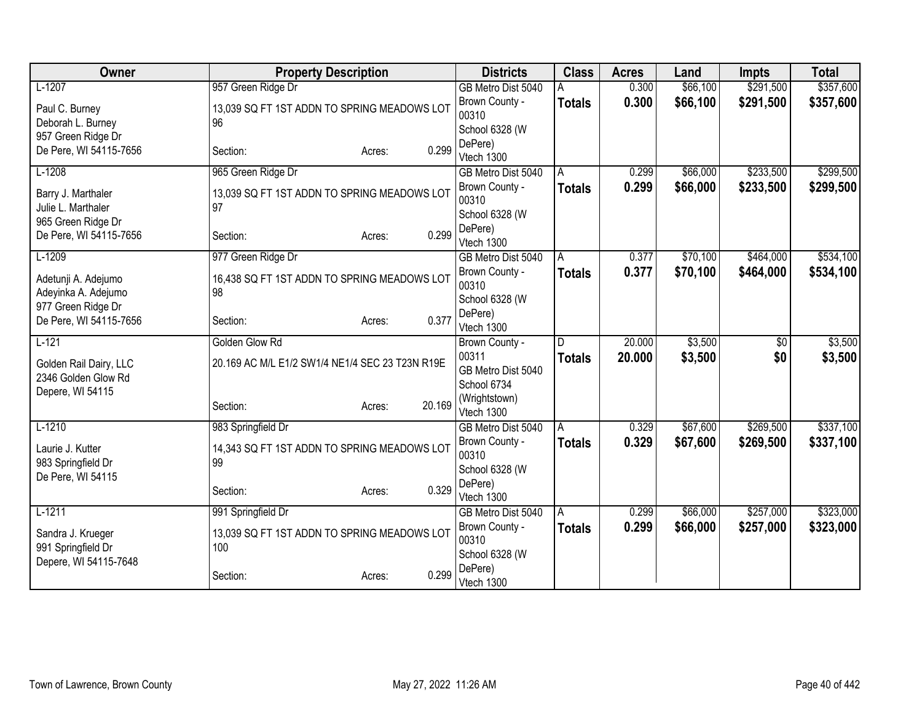| <b>Owner</b>                             | <b>Property Description</b>                       |                  | <b>Districts</b>        | <b>Class</b>  | <b>Acres</b> | Land     | <b>Impts</b>    | <b>Total</b> |
|------------------------------------------|---------------------------------------------------|------------------|-------------------------|---------------|--------------|----------|-----------------|--------------|
| $L-1207$                                 | 957 Green Ridge Dr                                |                  | GB Metro Dist 5040      |               | 0.300        | \$66,100 | \$291,500       | \$357,600    |
| Paul C. Burney                           | 13,039 SQ FT 1ST ADDN TO SPRING MEADOWS LOT       |                  | Brown County -          | <b>Totals</b> | 0.300        | \$66,100 | \$291,500       | \$357,600    |
| Deborah L. Burney                        | 96                                                |                  | 00310                   |               |              |          |                 |              |
| 957 Green Ridge Dr                       |                                                   |                  | School 6328 (W          |               |              |          |                 |              |
| De Pere, WI 54115-7656                   | Section:                                          | 0.299<br>Acres:  | DePere)                 |               |              |          |                 |              |
|                                          |                                                   |                  | Vtech 1300              |               |              |          |                 |              |
| $L-1208$                                 | 965 Green Ridge Dr                                |                  | GB Metro Dist 5040      | A             | 0.299        | \$66,000 | \$233,500       | \$299,500    |
| Barry J. Marthaler<br>Julie L. Marthaler | 13,039 SQ FT 1ST ADDN TO SPRING MEADOWS LOT<br>97 |                  | Brown County -<br>00310 | <b>Totals</b> | 0.299        | \$66,000 | \$233,500       | \$299,500    |
| 965 Green Ridge Dr                       |                                                   |                  | School 6328 (W          |               |              |          |                 |              |
| De Pere, WI 54115-7656                   | Section:                                          | 0.299<br>Acres:  | DePere)                 |               |              |          |                 |              |
|                                          |                                                   |                  | Vtech 1300              |               |              |          |                 |              |
| $L-1209$                                 | 977 Green Ridge Dr                                |                  | GB Metro Dist 5040      | A             | 0.377        | \$70,100 | \$464,000       | \$534,100    |
| Adetunji A. Adejumo                      | 16,438 SQ FT 1ST ADDN TO SPRING MEADOWS LOT       |                  | Brown County -<br>00310 | <b>Totals</b> | 0.377        | \$70,100 | \$464,000       | \$534,100    |
| Adeyinka A. Adejumo                      | 98                                                |                  | School 6328 (W          |               |              |          |                 |              |
| 977 Green Ridge Dr                       |                                                   |                  | DePere)                 |               |              |          |                 |              |
| De Pere, WI 54115-7656                   | Section:                                          | 0.377<br>Acres:  | Vtech 1300              |               |              |          |                 |              |
| $L-121$                                  | Golden Glow Rd                                    |                  | Brown County -          | D             | 20.000       | \$3,500  | $\overline{50}$ | \$3,500      |
| Golden Rail Dairy, LLC                   | 20.169 AC M/L E1/2 SW1/4 NE1/4 SEC 23 T23N R19E   |                  | 00311                   | <b>Totals</b> | 20.000       | \$3,500  | \$0             | \$3,500      |
| 2346 Golden Glow Rd                      |                                                   |                  | GB Metro Dist 5040      |               |              |          |                 |              |
| Depere, WI 54115                         |                                                   |                  | School 6734             |               |              |          |                 |              |
|                                          | Section:                                          | 20.169<br>Acres: | (Wrightstown)           |               |              |          |                 |              |
|                                          |                                                   |                  | Vtech 1300              |               |              |          |                 |              |
| $L-1210$                                 | 983 Springfield Dr                                |                  | GB Metro Dist 5040      | A             | 0.329        | \$67,600 | \$269,500       | \$337,100    |
| Laurie J. Kutter                         | 14,343 SQ FT 1ST ADDN TO SPRING MEADOWS LOT       |                  | Brown County -          | <b>Totals</b> | 0.329        | \$67,600 | \$269,500       | \$337,100    |
| 983 Springfield Dr                       | 99                                                |                  | 00310                   |               |              |          |                 |              |
| De Pere, WI 54115                        |                                                   |                  | School 6328 (W          |               |              |          |                 |              |
|                                          | Section:                                          | 0.329<br>Acres:  | DePere)<br>Vtech 1300   |               |              |          |                 |              |
| $L-1211$                                 | 991 Springfield Dr                                |                  | GB Metro Dist 5040      | A             | 0.299        | \$66,000 | \$257,000       | \$323,000    |
|                                          |                                                   |                  | Brown County -          | <b>Totals</b> | 0.299        | \$66,000 | \$257,000       | \$323,000    |
| Sandra J. Krueger                        | 13,039 SQ FT 1ST ADDN TO SPRING MEADOWS LOT       |                  | 00310                   |               |              |          |                 |              |
| 991 Springfield Dr                       | 100                                               |                  | School 6328 (W          |               |              |          |                 |              |
| Depere, WI 54115-7648                    |                                                   |                  | DePere)                 |               |              |          |                 |              |
|                                          | Section:                                          | 0.299<br>Acres:  | Vtech 1300              |               |              |          |                 |              |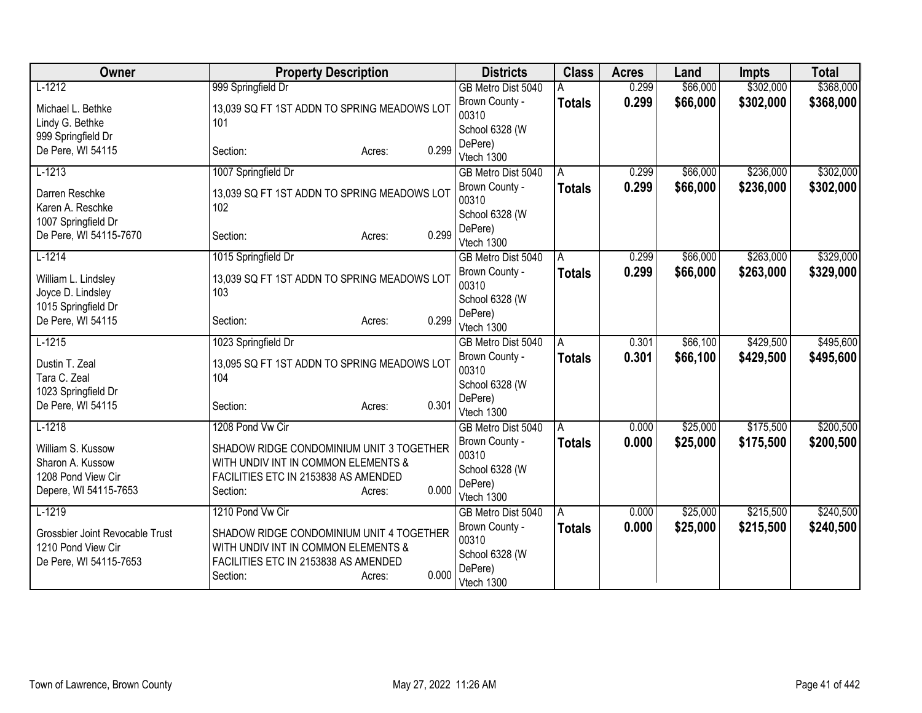| Owner                                                                                | <b>Property Description</b>                                                                                                                            | <b>Districts</b>                                                   | <b>Class</b>  | <b>Acres</b> | Land     | <b>Impts</b> | <b>Total</b> |
|--------------------------------------------------------------------------------------|--------------------------------------------------------------------------------------------------------------------------------------------------------|--------------------------------------------------------------------|---------------|--------------|----------|--------------|--------------|
| $L-1212$                                                                             | 999 Springfield Dr                                                                                                                                     | GB Metro Dist 5040                                                 |               | 0.299        | \$66,000 | \$302,000    | \$368,000    |
| Michael L. Bethke                                                                    | 13,039 SQ FT 1ST ADDN TO SPRING MEADOWS LOT                                                                                                            | Brown County -<br>00310                                            | <b>Totals</b> | 0.299        | \$66,000 | \$302,000    | \$368,000    |
| Lindy G. Bethke                                                                      | 101                                                                                                                                                    | School 6328 (W                                                     |               |              |          |              |              |
| 999 Springfield Dr                                                                   |                                                                                                                                                        | DePere)                                                            |               |              |          |              |              |
| De Pere, WI 54115                                                                    | 0.299<br>Section:<br>Acres:                                                                                                                            | Vtech 1300                                                         |               |              |          |              |              |
| $L-1213$                                                                             | 1007 Springfield Dr                                                                                                                                    | GB Metro Dist 5040                                                 | A             | 0.299        | \$66,000 | \$236,000    | \$302,000    |
| Darren Reschke<br>Karen A. Reschke                                                   | 13,039 SQ FT 1ST ADDN TO SPRING MEADOWS LOT<br>102                                                                                                     | Brown County -<br>00310                                            | <b>Totals</b> | 0.299        | \$66,000 | \$236,000    | \$302,000    |
| 1007 Springfield Dr                                                                  |                                                                                                                                                        | School 6328 (W                                                     |               |              |          |              |              |
| De Pere, WI 54115-7670                                                               | 0.299<br>Section:<br>Acres:                                                                                                                            | DePere)<br>Vtech 1300                                              |               |              |          |              |              |
| $L-1214$                                                                             | 1015 Springfield Dr                                                                                                                                    | GB Metro Dist 5040                                                 | A             | 0.299        | \$66,000 | \$263,000    | \$329,000    |
| William L. Lindsley                                                                  | 13,039 SQ FT 1ST ADDN TO SPRING MEADOWS LOT                                                                                                            | Brown County -<br>00310                                            | <b>Totals</b> | 0.299        | \$66,000 | \$263,000    | \$329,000    |
| Joyce D. Lindsley                                                                    | 103                                                                                                                                                    | School 6328 (W                                                     |               |              |          |              |              |
| 1015 Springfield Dr<br>De Pere, WI 54115                                             | 0.299<br>Section:<br>Acres:                                                                                                                            | DePere)<br>Vtech 1300                                              |               |              |          |              |              |
| $L-1215$                                                                             | 1023 Springfield Dr                                                                                                                                    | GB Metro Dist 5040                                                 | A             | 0.301        | \$66,100 | \$429,500    | \$495,600    |
| Dustin T. Zeal<br>Tara C. Zeal<br>1023 Springfield Dr                                | 13,095 SQ FT 1ST ADDN TO SPRING MEADOWS LOT<br>104                                                                                                     | Brown County -<br>00310<br>School 6328 (W                          | <b>Totals</b> | 0.301        | \$66,100 | \$429,500    | \$495,600    |
| De Pere, WI 54115                                                                    | 0.301<br>Section:<br>Acres:                                                                                                                            | DePere)<br>Vtech 1300                                              |               |              |          |              |              |
| $L-1218$                                                                             | 1208 Pond Vw Cir                                                                                                                                       | GB Metro Dist 5040                                                 | A             | 0.000        | \$25,000 | \$175,500    | \$200,500    |
| William S. Kussow<br>Sharon A. Kussow<br>1208 Pond View Cir<br>Depere, WI 54115-7653 | SHADOW RIDGE CONDOMINIUM UNIT 3 TOGETHER<br>WITH UNDIV INT IN COMMON ELEMENTS &<br>FACILITIES ETC IN 2153838 AS AMENDED<br>0.000<br>Section:<br>Acres: | Brown County -<br>00310<br>School 6328 (W<br>DePere)<br>Vtech 1300 | <b>Totals</b> | 0.000        | \$25,000 | \$175,500    | \$200,500    |
| $L-1219$                                                                             | 1210 Pond Vw Cir                                                                                                                                       | GB Metro Dist 5040                                                 | A             | 0.000        | \$25,000 | \$215,500    | \$240,500    |
| Grossbier Joint Revocable Trust<br>1210 Pond View Cir<br>De Pere, WI 54115-7653      | SHADOW RIDGE CONDOMINIUM UNIT 4 TOGETHER<br>WITH UNDIV INT IN COMMON ELEMENTS &<br>FACILITIES ETC IN 2153838 AS AMENDED<br>0.000<br>Section:<br>Acres: | Brown County -<br>00310<br>School 6328 (W<br>DePere)<br>Vtech 1300 | <b>Totals</b> | 0.000        | \$25,000 | \$215,500    | \$240,500    |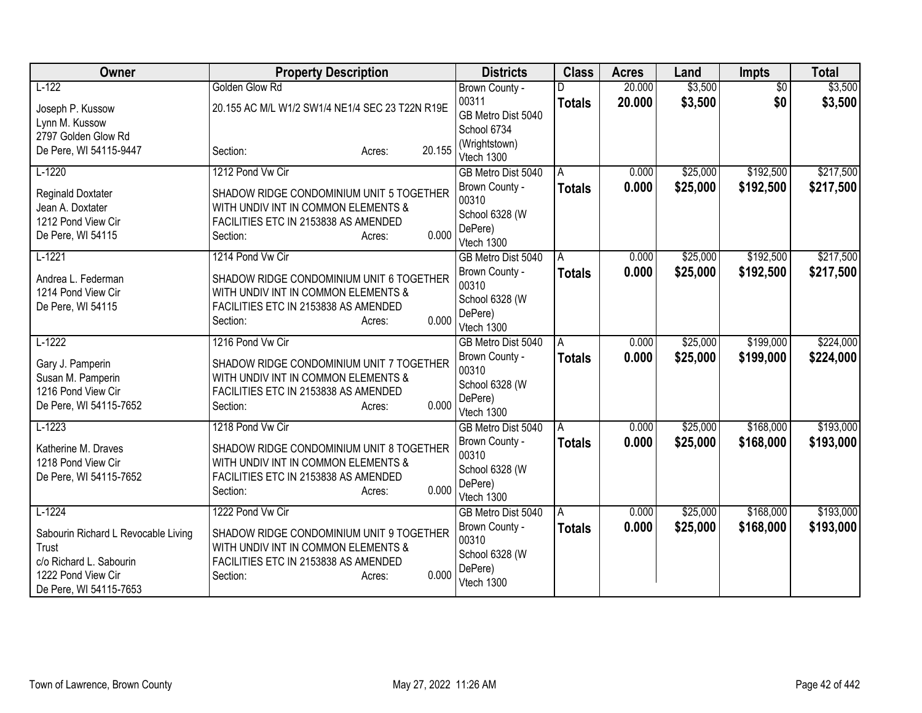| Owner                                        | <b>Property Description</b>                                                     | <b>Districts</b>            | <b>Class</b>  | <b>Acres</b> | Land     | <b>Impts</b>    | <b>Total</b> |
|----------------------------------------------|---------------------------------------------------------------------------------|-----------------------------|---------------|--------------|----------|-----------------|--------------|
| $L-122$                                      | Golden Glow Rd                                                                  | Brown County -              |               | 20.000       | \$3,500  | $\overline{50}$ | \$3,500      |
| Joseph P. Kussow                             | 20.155 AC M/L W1/2 SW1/4 NE1/4 SEC 23 T22N R19E                                 | 00311                       | <b>Totals</b> | 20.000       | \$3,500  | \$0             | \$3,500      |
| Lynn M. Kussow                               |                                                                                 | GB Metro Dist 5040          |               |              |          |                 |              |
| 2797 Golden Glow Rd                          |                                                                                 | School 6734                 |               |              |          |                 |              |
| De Pere, WI 54115-9447                       | 20.155<br>Section:<br>Acres:                                                    | (Wrightstown)<br>Vtech 1300 |               |              |          |                 |              |
| $L-1220$                                     | 1212 Pond Vw Cir                                                                | GB Metro Dist 5040          | A             | 0.000        | \$25,000 | \$192,500       | \$217,500    |
|                                              |                                                                                 | Brown County -              | <b>Totals</b> | 0.000        | \$25,000 | \$192,500       | \$217,500    |
| <b>Reginald Doxtater</b><br>Jean A. Doxtater | SHADOW RIDGE CONDOMINIUM UNIT 5 TOGETHER<br>WITH UNDIV INT IN COMMON ELEMENTS & | 00310                       |               |              |          |                 |              |
| 1212 Pond View Cir                           | FACILITIES ETC IN 2153838 AS AMENDED                                            | School 6328 (W              |               |              |          |                 |              |
| De Pere, WI 54115                            | 0.000<br>Section:<br>Acres:                                                     | DePere)                     |               |              |          |                 |              |
|                                              |                                                                                 | Vtech 1300                  |               |              |          |                 |              |
| $L-1221$                                     | 1214 Pond Vw Cir                                                                | GB Metro Dist 5040          | A             | 0.000        | \$25,000 | \$192,500       | \$217,500    |
| Andrea L. Federman                           | SHADOW RIDGE CONDOMINIUM UNIT 6 TOGETHER                                        | Brown County -              | <b>Totals</b> | 0.000        | \$25,000 | \$192,500       | \$217,500    |
| 1214 Pond View Cir                           | WITH UNDIV INT IN COMMON ELEMENTS &                                             | 00310                       |               |              |          |                 |              |
| De Pere, WI 54115                            | FACILITIES ETC IN 2153838 AS AMENDED                                            | School 6328 (W<br>DePere)   |               |              |          |                 |              |
|                                              | 0.000<br>Section:<br>Acres:                                                     | Vtech 1300                  |               |              |          |                 |              |
| $L-1222$                                     | 1216 Pond Vw Cir                                                                | GB Metro Dist 5040          | A             | 0.000        | \$25,000 | \$199,000       | \$224,000    |
|                                              | SHADOW RIDGE CONDOMINIUM UNIT 7 TOGETHER                                        | Brown County -              | <b>Totals</b> | 0.000        | \$25,000 | \$199,000       | \$224,000    |
| Gary J. Pamperin<br>Susan M. Pamperin        | WITH UNDIV INT IN COMMON ELEMENTS &                                             | 00310                       |               |              |          |                 |              |
| 1216 Pond View Cir                           | FACILITIES ETC IN 2153838 AS AMENDED                                            | School 6328 (W              |               |              |          |                 |              |
| De Pere, WI 54115-7652                       | 0.000<br>Section:<br>Acres:                                                     | DePere)                     |               |              |          |                 |              |
|                                              |                                                                                 | Vtech 1300                  |               |              |          |                 |              |
| $L-1223$                                     | 1218 Pond Vw Cir                                                                | GB Metro Dist 5040          | A             | 0.000        | \$25,000 | \$168,000       | \$193,000    |
| Katherine M. Draves                          | SHADOW RIDGE CONDOMINIUM UNIT 8 TOGETHER                                        | Brown County -              | <b>Totals</b> | 0.000        | \$25,000 | \$168,000       | \$193,000    |
| 1218 Pond View Cir                           | WITH UNDIV INT IN COMMON ELEMENTS &                                             | 00310<br>School 6328 (W     |               |              |          |                 |              |
| De Pere, WI 54115-7652                       | FACILITIES ETC IN 2153838 AS AMENDED                                            | DePere)                     |               |              |          |                 |              |
|                                              | 0.000<br>Section:<br>Acres:                                                     | Vtech 1300                  |               |              |          |                 |              |
| $L-1224$                                     | 1222 Pond Vw Cir                                                                | GB Metro Dist 5040          | A             | 0.000        | \$25,000 | \$168,000       | \$193,000    |
|                                              |                                                                                 | Brown County -              | <b>Totals</b> | 0.000        | \$25,000 | \$168,000       | \$193,000    |
| Sabourin Richard L Revocable Living<br>Trust | SHADOW RIDGE CONDOMINIUM UNIT 9 TOGETHER<br>WITH UNDIV INT IN COMMON ELEMENTS & | 00310                       |               |              |          |                 |              |
| c/o Richard L. Sabourin                      | FACILITIES ETC IN 2153838 AS AMENDED                                            | School 6328 (W              |               |              |          |                 |              |
| 1222 Pond View Cir                           | 0.000<br>Section:<br>Acres:                                                     | DePere)                     |               |              |          |                 |              |
| De Pere, WI 54115-7653                       |                                                                                 | Vtech 1300                  |               |              |          |                 |              |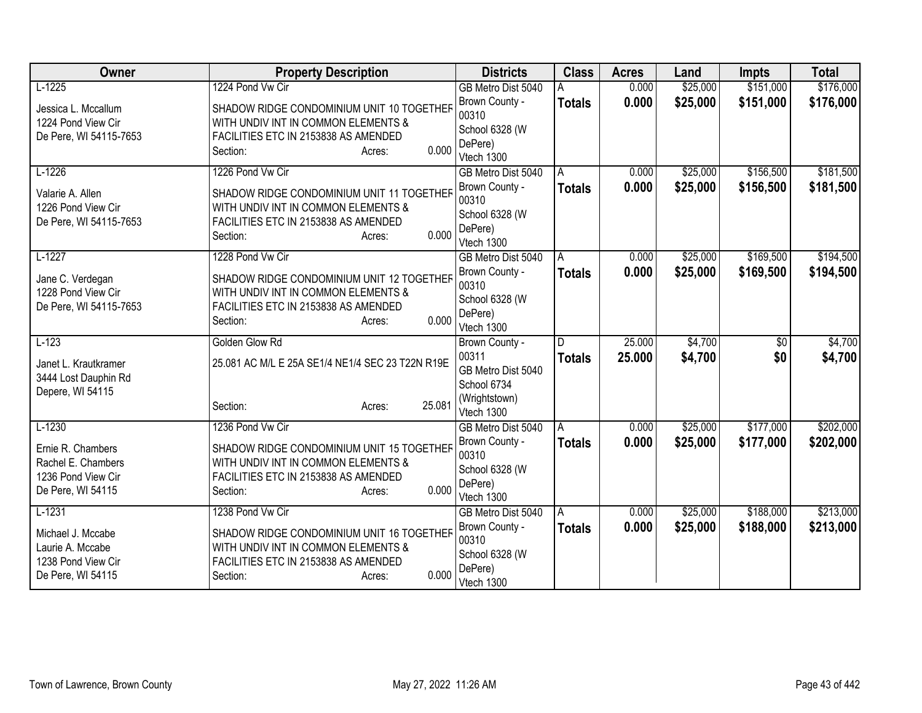| Owner                                                                                          | <b>Property Description</b>                                                                                                                                                 | <b>Districts</b>                                                                            | <b>Class</b>       | <b>Acres</b>     | Land                 | <b>Impts</b>           | <b>Total</b>           |
|------------------------------------------------------------------------------------------------|-----------------------------------------------------------------------------------------------------------------------------------------------------------------------------|---------------------------------------------------------------------------------------------|--------------------|------------------|----------------------|------------------------|------------------------|
| $L-1225$                                                                                       | 1224 Pond Vw Cir                                                                                                                                                            | GB Metro Dist 5040                                                                          |                    | 0.000            | \$25,000             | \$151,000              | \$176,000              |
| Jessica L. Mccallum<br>1224 Pond View Cir<br>De Pere, WI 54115-7653                            | SHADOW RIDGE CONDOMINIUM UNIT 10 TOGETHER<br>WITH UNDIV INT IN COMMON ELEMENTS &<br>FACILITIES ETC IN 2153838 AS AMENDED<br>0.000<br>Section:<br>Acres:                     | Brown County -<br>00310<br>School 6328 (W<br>DePere)                                        | <b>Totals</b>      | 0.000            | \$25,000             | \$151,000              | \$176,000              |
|                                                                                                |                                                                                                                                                                             | Vtech 1300                                                                                  |                    |                  |                      |                        |                        |
| $L-1226$<br>Valarie A. Allen<br>1226 Pond View Cir<br>De Pere, WI 54115-7653                   | 1226 Pond Vw Cir<br>SHADOW RIDGE CONDOMINIUM UNIT 11 TOGETHER<br>WITH UNDIV INT IN COMMON ELEMENTS &<br>FACILITIES ETC IN 2153838 AS AMENDED<br>0.000<br>Section:<br>Acres: | GB Metro Dist 5040<br>Brown County -<br>00310<br>School 6328 (W<br>DePere)                  | A<br><b>Totals</b> | 0.000<br>0.000   | \$25,000<br>\$25,000 | \$156,500<br>\$156,500 | \$181,500<br>\$181,500 |
|                                                                                                |                                                                                                                                                                             | Vtech 1300                                                                                  |                    |                  |                      |                        |                        |
| $L-1227$<br>Jane C. Verdegan<br>1228 Pond View Cir<br>De Pere, WI 54115-7653                   | 1228 Pond Vw Cir<br>SHADOW RIDGE CONDOMINIUM UNIT 12 TOGETHER<br>WITH UNDIV INT IN COMMON ELEMENTS &<br>FACILITIES ETC IN 2153838 AS AMENDED<br>0.000<br>Section:<br>Acres: | GB Metro Dist 5040<br>Brown County -<br>00310<br>School 6328 (W<br>DePere)<br>Vtech 1300    | Α<br><b>Totals</b> | 0.000<br>0.000   | \$25,000<br>\$25,000 | \$169,500<br>\$169,500 | \$194,500<br>\$194,500 |
| $L-123$<br>Janet L. Krautkramer<br>3444 Lost Dauphin Rd<br>Depere, WI 54115                    | Golden Glow Rd<br>25.081 AC M/L E 25A SE1/4 NE1/4 SEC 23 T22N R19E<br>25.081<br>Section:<br>Acres:                                                                          | Brown County -<br>00311<br>GB Metro Dist 5040<br>School 6734<br>(Wrightstown)<br>Vtech 1300 | D<br><b>Totals</b> | 25.000<br>25.000 | \$4,700<br>\$4,700   | $\overline{50}$<br>\$0 | \$4,700<br>\$4,700     |
| $L-1230$<br>Ernie R. Chambers<br>Rachel E. Chambers<br>1236 Pond View Cir<br>De Pere, WI 54115 | 1236 Pond Vw Cir<br>SHADOW RIDGE CONDOMINIUM UNIT 15 TOGETHER<br>WITH UNDIV INT IN COMMON ELEMENTS &<br>FACILITIES ETC IN 2153838 AS AMENDED<br>0.000<br>Section:<br>Acres: | GB Metro Dist 5040<br>Brown County -<br>00310<br>School 6328 (W<br>DePere)<br>Vtech 1300    | A<br><b>Totals</b> | 0.000<br>0.000   | \$25,000<br>\$25,000 | \$177,000<br>\$177,000 | \$202,000<br>\$202,000 |
| $L-1231$<br>Michael J. Mccabe<br>Laurie A. Mccabe<br>1238 Pond View Cir<br>De Pere, WI 54115   | 1238 Pond Vw Cir<br>SHADOW RIDGE CONDOMINIUM UNIT 16 TOGETHER<br>WITH UNDIV INT IN COMMON ELEMENTS &<br>FACILITIES ETC IN 2153838 AS AMENDED<br>0.000<br>Section:<br>Acres: | GB Metro Dist 5040<br>Brown County -<br>00310<br>School 6328 (W<br>DePere)<br>Vtech 1300    | A<br><b>Totals</b> | 0.000<br>0.000   | \$25,000<br>\$25,000 | \$188,000<br>\$188,000 | \$213,000<br>\$213,000 |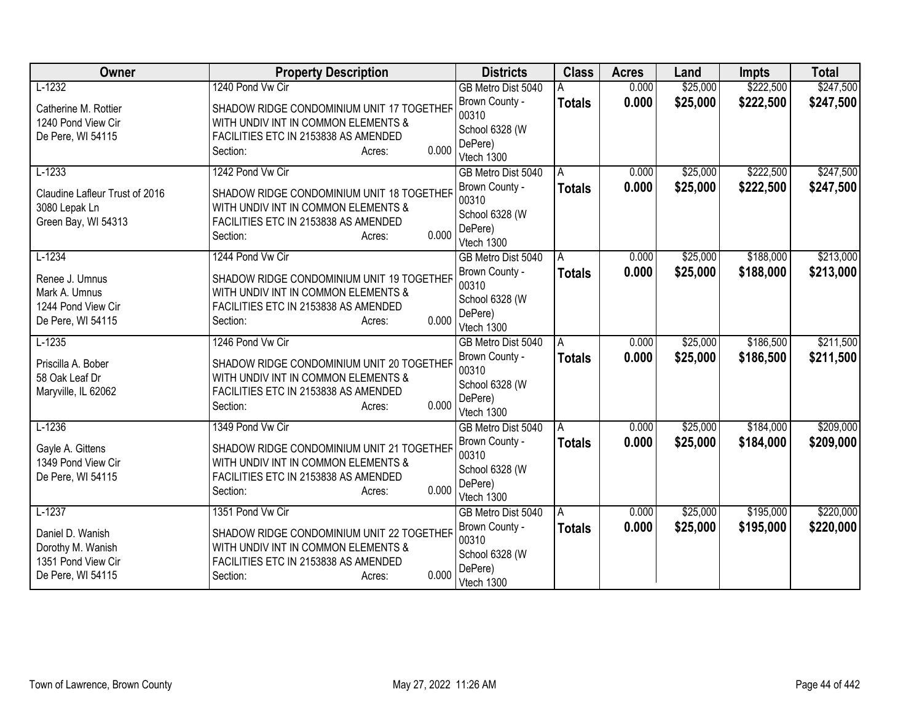| Owner                                                                            | <b>Property Description</b>                                                                                                                             | <b>Districts</b>                                                   | <b>Class</b>  | <b>Acres</b> | Land     | <b>Impts</b> | <b>Total</b> |
|----------------------------------------------------------------------------------|---------------------------------------------------------------------------------------------------------------------------------------------------------|--------------------------------------------------------------------|---------------|--------------|----------|--------------|--------------|
| $L-1232$                                                                         | 1240 Pond Vw Cir                                                                                                                                        | GB Metro Dist 5040                                                 |               | 0.000        | \$25,000 | \$222,500    | \$247,500    |
| Catherine M. Rottier<br>1240 Pond View Cir<br>De Pere, WI 54115                  | SHADOW RIDGE CONDOMINIUM UNIT 17 TOGETHER<br>WITH UNDIV INT IN COMMON ELEMENTS &<br>FACILITIES ETC IN 2153838 AS AMENDED<br>0.000<br>Section:<br>Acres: | Brown County -<br>00310<br>School 6328 (W<br>DePere)<br>Vtech 1300 | <b>Totals</b> | 0.000        | \$25,000 | \$222,500    | \$247,500    |
| $L-1233$                                                                         | 1242 Pond Vw Cir                                                                                                                                        | GB Metro Dist 5040                                                 | A             | 0.000        | \$25,000 | \$222,500    | \$247,500    |
| Claudine Lafleur Trust of 2016<br>3080 Lepak Ln<br>Green Bay, WI 54313           | SHADOW RIDGE CONDOMINIUM UNIT 18 TOGETHER<br>WITH UNDIV INT IN COMMON ELEMENTS &<br>FACILITIES ETC IN 2153838 AS AMENDED<br>0.000<br>Section:<br>Acres: | Brown County -<br>00310<br>School 6328 (W<br>DePere)<br>Vtech 1300 | <b>Totals</b> | 0.000        | \$25,000 | \$222,500    | \$247,500    |
| $L-1234$                                                                         | 1244 Pond Vw Cir                                                                                                                                        | GB Metro Dist 5040                                                 | Α             | 0.000        | \$25,000 | \$188,000    | \$213,000    |
| Renee J. Umnus<br>Mark A. Umnus<br>1244 Pond View Cir<br>De Pere, WI 54115       | SHADOW RIDGE CONDOMINIUM UNIT 19 TOGETHER<br>WITH UNDIV INT IN COMMON ELEMENTS &<br>FACILITIES ETC IN 2153838 AS AMENDED<br>0.000<br>Section:<br>Acres: | Brown County -<br>00310<br>School 6328 (W<br>DePere)<br>Vtech 1300 | <b>Totals</b> | 0.000        | \$25,000 | \$188,000    | \$213,000    |
| $L-1235$                                                                         | 1246 Pond Vw Cir                                                                                                                                        | GB Metro Dist 5040                                                 | A             | 0.000        | \$25,000 | \$186,500    | \$211,500    |
| Priscilla A. Bober<br>58 Oak Leaf Dr<br>Maryville, IL 62062                      | SHADOW RIDGE CONDOMINIUM UNIT 20 TOGETHER<br>WITH UNDIV INT IN COMMON ELEMENTS &<br>FACILITIES ETC IN 2153838 AS AMENDED<br>0.000<br>Section:<br>Acres: | Brown County -<br>00310<br>School 6328 (W<br>DePere)<br>Vtech 1300 | <b>Totals</b> | 0.000        | \$25,000 | \$186,500    | \$211,500    |
| $L-1236$                                                                         | 1349 Pond Vw Cir                                                                                                                                        | GB Metro Dist 5040                                                 | A             | 0.000        | \$25,000 | \$184,000    | \$209,000    |
| Gayle A. Gittens<br>1349 Pond View Cir<br>De Pere, WI 54115                      | SHADOW RIDGE CONDOMINIUM UNIT 21 TOGETHER<br>WITH UNDIV INT IN COMMON ELEMENTS &<br>FACILITIES ETC IN 2153838 AS AMENDED<br>0.000<br>Section:<br>Acres: | Brown County -<br>00310<br>School 6328 (W<br>DePere)<br>Vtech 1300 | <b>Totals</b> | 0.000        | \$25,000 | \$184,000    | \$209,000    |
| $L-1237$                                                                         | 1351 Pond Vw Cir                                                                                                                                        | GB Metro Dist 5040                                                 | A             | 0.000        | \$25,000 | \$195,000    | \$220,000    |
| Daniel D. Wanish<br>Dorothy M. Wanish<br>1351 Pond View Cir<br>De Pere, WI 54115 | SHADOW RIDGE CONDOMINIUM UNIT 22 TOGETHER<br>WITH UNDIV INT IN COMMON ELEMENTS &<br>FACILITIES ETC IN 2153838 AS AMENDED<br>0.000<br>Section:<br>Acres: | Brown County -<br>00310<br>School 6328 (W<br>DePere)<br>Vtech 1300 | <b>Totals</b> | 0.000        | \$25,000 | \$195,000    | \$220,000    |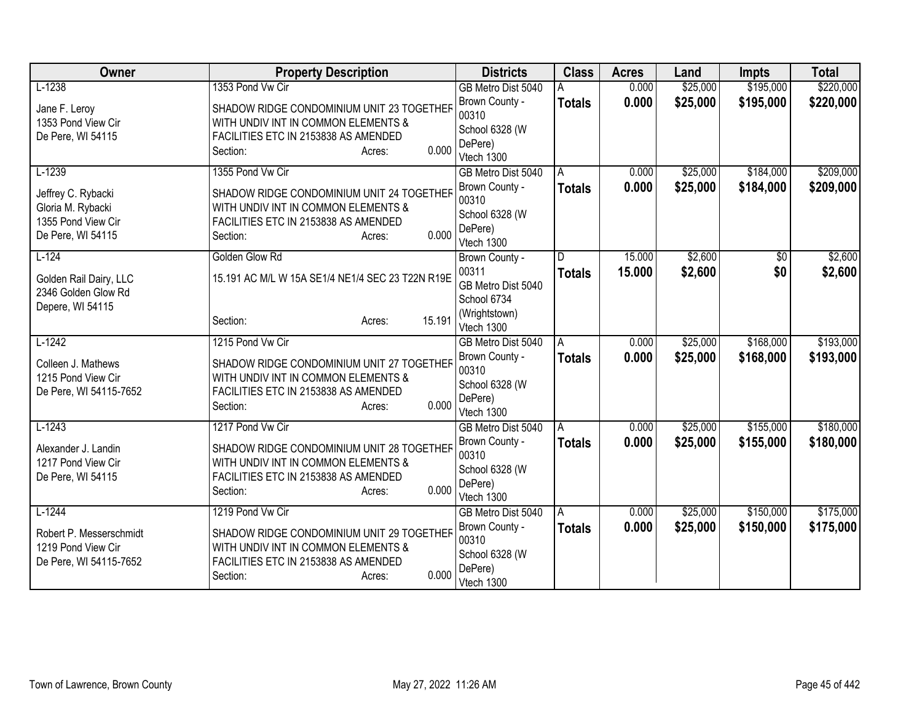| Owner                                   | <b>Property Description</b>                                                      | <b>Districts</b>            | <b>Class</b>  | <b>Acres</b> | Land     | <b>Impts</b> | <b>Total</b> |
|-----------------------------------------|----------------------------------------------------------------------------------|-----------------------------|---------------|--------------|----------|--------------|--------------|
| $L-1238$                                | 1353 Pond Vw Cir                                                                 | GB Metro Dist 5040          |               | 0.000        | \$25,000 | \$195,000    | \$220,000    |
| Jane F. Leroy                           | SHADOW RIDGE CONDOMINIUM UNIT 23 TOGETHER                                        | Brown County -              | <b>Totals</b> | 0.000        | \$25,000 | \$195,000    | \$220,000    |
| 1353 Pond View Cir                      | WITH UNDIV INT IN COMMON ELEMENTS &                                              | 00310                       |               |              |          |              |              |
| De Pere, WI 54115                       | FACILITIES ETC IN 2153838 AS AMENDED                                             | School 6328 (W<br>DePere)   |               |              |          |              |              |
|                                         | 0.000<br>Section:<br>Acres:                                                      | Vtech 1300                  |               |              |          |              |              |
| $L-1239$                                | 1355 Pond Vw Cir                                                                 | GB Metro Dist 5040          | A             | 0.000        | \$25,000 | \$184,000    | \$209,000    |
|                                         |                                                                                  | Brown County -              | <b>Totals</b> | 0.000        | \$25,000 | \$184,000    | \$209,000    |
| Jeffrey C. Rybacki<br>Gloria M. Rybacki | SHADOW RIDGE CONDOMINIUM UNIT 24 TOGETHER<br>WITH UNDIV INT IN COMMON ELEMENTS & | 00310                       |               |              |          |              |              |
| 1355 Pond View Cir                      | FACILITIES ETC IN 2153838 AS AMENDED                                             | School 6328 (W              |               |              |          |              |              |
| De Pere, WI 54115                       | 0.000<br>Section:<br>Acres:                                                      | DePere)                     |               |              |          |              |              |
|                                         |                                                                                  | Vtech 1300                  |               |              |          |              |              |
| $L-124$                                 | Golden Glow Rd                                                                   | Brown County -              | D.            | 15.000       | \$2,600  | \$0          | \$2,600      |
| Golden Rail Dairy, LLC                  | 15.191 AC M/L W 15A SE1/4 NE1/4 SEC 23 T22N R19E                                 | 00311<br>GB Metro Dist 5040 | <b>Totals</b> | 15,000       | \$2,600  | \$0          | \$2,600      |
| 2346 Golden Glow Rd                     |                                                                                  | School 6734                 |               |              |          |              |              |
| Depere, WI 54115                        |                                                                                  | (Wrightstown)               |               |              |          |              |              |
|                                         | 15.191<br>Section:<br>Acres:                                                     | Vtech 1300                  |               |              |          |              |              |
| $L-1242$                                | 1215 Pond Vw Cir                                                                 | GB Metro Dist 5040          | A             | 0.000        | \$25,000 | \$168,000    | \$193,000    |
| Colleen J. Mathews                      | SHADOW RIDGE CONDOMINIUM UNIT 27 TOGETHER                                        | Brown County -              | <b>Totals</b> | 0.000        | \$25,000 | \$168,000    | \$193,000    |
| 1215 Pond View Cir                      | WITH UNDIV INT IN COMMON ELEMENTS &                                              | 00310                       |               |              |          |              |              |
| De Pere, WI 54115-7652                  | FACILITIES ETC IN 2153838 AS AMENDED                                             | School 6328 (W              |               |              |          |              |              |
|                                         | 0.000<br>Section:<br>Acres:                                                      | DePere)<br>Vtech 1300       |               |              |          |              |              |
| $L-1243$                                | 1217 Pond Vw Cir                                                                 | GB Metro Dist 5040          | A             | 0.000        | \$25,000 | \$155,000    | \$180,000    |
|                                         |                                                                                  | Brown County -              | <b>Totals</b> | 0.000        | \$25,000 | \$155,000    | \$180,000    |
| Alexander J. Landin                     | SHADOW RIDGE CONDOMINIUM UNIT 28 TOGETHER                                        | 00310                       |               |              |          |              |              |
| 1217 Pond View Cir                      | WITH UNDIV INT IN COMMON ELEMENTS &<br>FACILITIES ETC IN 2153838 AS AMENDED      | School 6328 (W              |               |              |          |              |              |
| De Pere, WI 54115                       | 0.000<br>Section:<br>Acres:                                                      | DePere)                     |               |              |          |              |              |
|                                         |                                                                                  | Vtech 1300                  |               |              |          |              |              |
| $L-1244$                                | 1219 Pond Vw Cir                                                                 | GB Metro Dist 5040          | Α             | 0.000        | \$25,000 | \$150,000    | \$175,000    |
| Robert P. Messerschmidt                 | SHADOW RIDGE CONDOMINIUM UNIT 29 TOGETHER                                        | Brown County -              | <b>Totals</b> | 0.000        | \$25,000 | \$150,000    | \$175,000    |
| 1219 Pond View Cir                      | WITH UNDIV INT IN COMMON ELEMENTS &                                              | 00310<br>School 6328 (W     |               |              |          |              |              |
| De Pere, WI 54115-7652                  | FACILITIES ETC IN 2153838 AS AMENDED                                             | DePere)                     |               |              |          |              |              |
|                                         | 0.000<br>Section:<br>Acres:                                                      | Vtech 1300                  |               |              |          |              |              |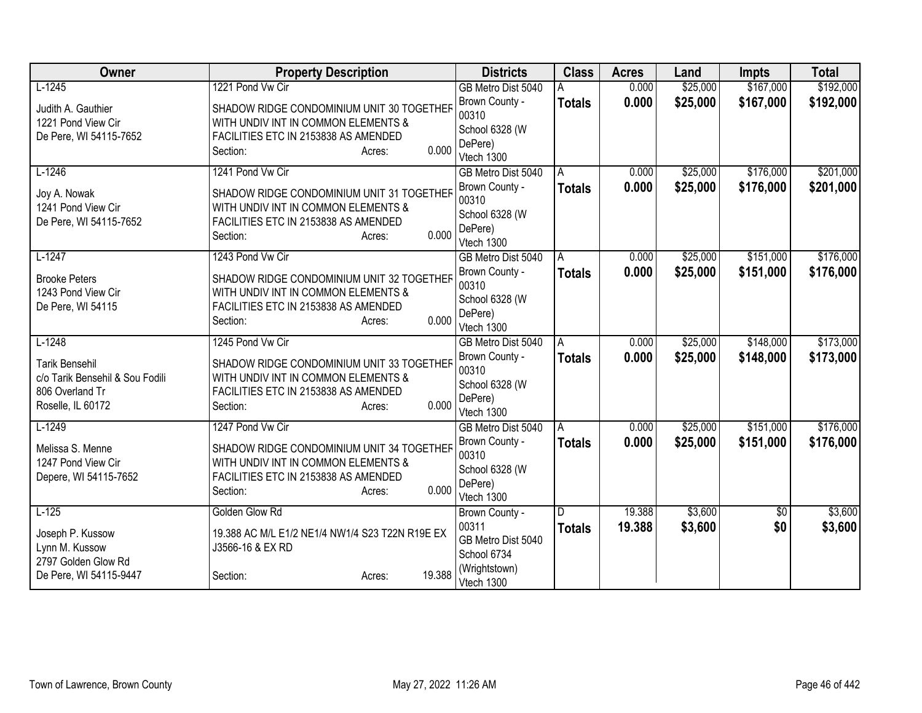| Owner                                                                                            | <b>Property Description</b>                                                                                                                             | <b>Districts</b>                                                   | <b>Class</b>  | <b>Acres</b> | Land     | <b>Impts</b> | <b>Total</b> |
|--------------------------------------------------------------------------------------------------|---------------------------------------------------------------------------------------------------------------------------------------------------------|--------------------------------------------------------------------|---------------|--------------|----------|--------------|--------------|
| $L-1245$                                                                                         | 1221 Pond Vw Cir                                                                                                                                        | GB Metro Dist 5040                                                 |               | 0.000        | \$25,000 | \$167,000    | \$192,000    |
| Judith A. Gauthier<br>1221 Pond View Cir<br>De Pere, WI 54115-7652                               | SHADOW RIDGE CONDOMINIUM UNIT 30 TOGETHER<br>WITH UNDIV INT IN COMMON ELEMENTS &<br>FACILITIES ETC IN 2153838 AS AMENDED<br>0.000<br>Section:<br>Acres: | Brown County -<br>00310<br>School 6328 (W<br>DePere)<br>Vtech 1300 | <b>Totals</b> | 0.000        | \$25,000 | \$167,000    | \$192,000    |
| $L-1246$                                                                                         | 1241 Pond Vw Cir                                                                                                                                        | GB Metro Dist 5040                                                 | A             | 0.000        | \$25,000 | \$176,000    | \$201,000    |
| Joy A. Nowak<br>1241 Pond View Cir<br>De Pere, WI 54115-7652                                     | SHADOW RIDGE CONDOMINIUM UNIT 31 TOGETHER<br>WITH UNDIV INT IN COMMON ELEMENTS &<br>FACILITIES ETC IN 2153838 AS AMENDED<br>0.000<br>Section:<br>Acres: | Brown County -<br>00310<br>School 6328 (W<br>DePere)<br>Vtech 1300 | <b>Totals</b> | 0.000        | \$25,000 | \$176,000    | \$201,000    |
| $L-1247$                                                                                         | 1243 Pond Vw Cir                                                                                                                                        | GB Metro Dist 5040                                                 | A             | 0.000        | \$25,000 | \$151,000    | \$176,000    |
| <b>Brooke Peters</b><br>1243 Pond View Cir<br>De Pere, WI 54115                                  | SHADOW RIDGE CONDOMINIUM UNIT 32 TOGETHER<br>WITH UNDIV INT IN COMMON ELEMENTS &<br>FACILITIES ETC IN 2153838 AS AMENDED<br>0.000<br>Section:<br>Acres: | Brown County -<br>00310<br>School 6328 (W<br>DePere)<br>Vtech 1300 | <b>Totals</b> | 0.000        | \$25,000 | \$151,000    | \$176,000    |
| $L-1248$                                                                                         | 1245 Pond Vw Cir                                                                                                                                        | GB Metro Dist 5040                                                 | A             | 0.000        | \$25,000 | \$148,000    | \$173,000    |
| <b>Tarik Bensehil</b><br>c/o Tarik Bensehil & Sou Fodili<br>806 Overland Tr<br>Roselle, IL 60172 | SHADOW RIDGE CONDOMINIUM UNIT 33 TOGETHER<br>WITH UNDIV INT IN COMMON ELEMENTS &<br>FACILITIES ETC IN 2153838 AS AMENDED<br>0.000<br>Section:<br>Acres: | Brown County -<br>00310<br>School 6328 (W<br>DePere)<br>Vtech 1300 | <b>Totals</b> | 0.000        | \$25,000 | \$148,000    | \$173,000    |
| $L-1249$                                                                                         | 1247 Pond Vw Cir                                                                                                                                        | GB Metro Dist 5040                                                 | A             | 0.000        | \$25,000 | \$151,000    | \$176,000    |
| Melissa S. Menne<br>1247 Pond View Cir<br>Depere, WI 54115-7652                                  | SHADOW RIDGE CONDOMINIUM UNIT 34 TOGETHER<br>WITH UNDIV INT IN COMMON ELEMENTS &<br>FACILITIES ETC IN 2153838 AS AMENDED<br>0.000<br>Section:<br>Acres: | Brown County -<br>00310<br>School 6328 (W<br>DePere)<br>Vtech 1300 | <b>Totals</b> | 0.000        | \$25,000 | \$151,000    | \$176,000    |
| $L-125$                                                                                          | Golden Glow Rd                                                                                                                                          | Brown County -                                                     | D             | 19.388       | \$3,600  | \$0          | \$3,600      |
| Joseph P. Kussow<br>Lynn M. Kussow<br>2797 Golden Glow Rd                                        | 19.388 AC M/L E1/2 NE1/4 NW1/4 S23 T22N R19E EX<br>J3566-16 & EX RD                                                                                     | 00311<br>GB Metro Dist 5040<br>School 6734                         | <b>Totals</b> | 19.388       | \$3,600  | \$0          | \$3,600      |
| De Pere, WI 54115-9447                                                                           | 19.388<br>Section:<br>Acres:                                                                                                                            | (Wrightstown)<br>Vtech 1300                                        |               |              |          |              |              |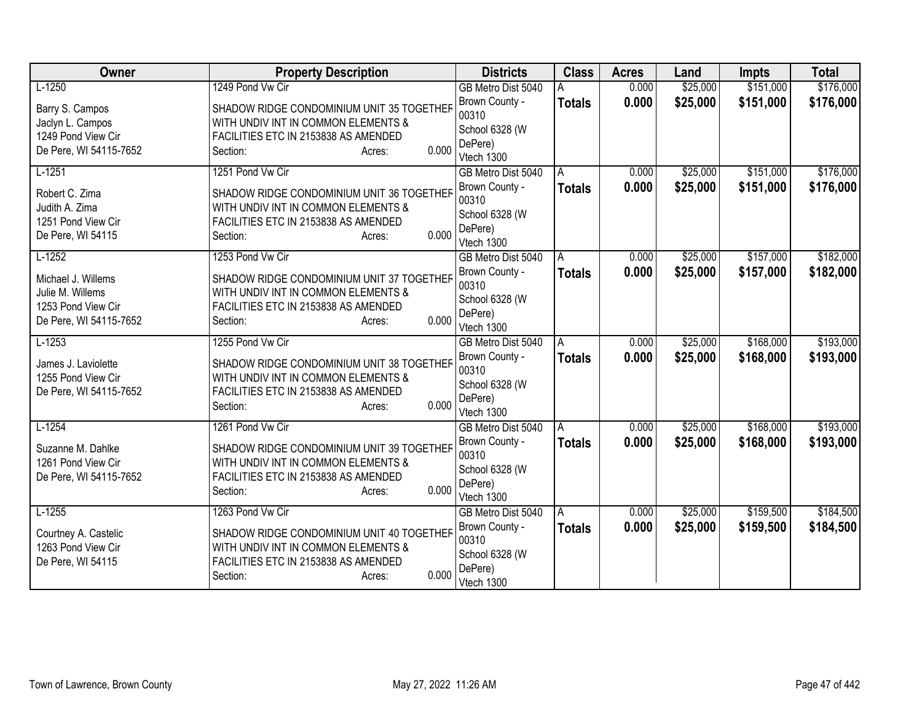| Owner                  | <b>Property Description</b>                               | <b>Districts</b>          | <b>Class</b>  | <b>Acres</b> | Land     | <b>Impts</b> | <b>Total</b> |
|------------------------|-----------------------------------------------------------|---------------------------|---------------|--------------|----------|--------------|--------------|
| $L-1250$               | 1249 Pond Vw Cir                                          | GB Metro Dist 5040        |               | 0.000        | \$25,000 | \$151,000    | \$176,000    |
| Barry S. Campos        | SHADOW RIDGE CONDOMINIUM UNIT 35 TOGETHER                 | Brown County -            | <b>Totals</b> | 0.000        | \$25,000 | \$151,000    | \$176,000    |
| Jaclyn L. Campos       | WITH UNDIV INT IN COMMON ELEMENTS &                       | 00310                     |               |              |          |              |              |
| 1249 Pond View Cir     | FACILITIES ETC IN 2153838 AS AMENDED                      | School 6328 (W<br>DePere) |               |              |          |              |              |
| De Pere, WI 54115-7652 | 0.000<br>Section:<br>Acres:                               | Vtech 1300                |               |              |          |              |              |
| $L-1251$               | 1251 Pond Vw Cir                                          | GB Metro Dist 5040        | A             | 0.000        | \$25,000 | \$151,000    | \$176,000    |
| Robert C. Zima         | SHADOW RIDGE CONDOMINIUM UNIT 36 TOGETHER                 | Brown County -            | <b>Totals</b> | 0.000        | \$25,000 | \$151,000    | \$176,000    |
| Judith A. Zima         | WITH UNDIV INT IN COMMON ELEMENTS &                       | 00310                     |               |              |          |              |              |
| 1251 Pond View Cir     | FACILITIES ETC IN 2153838 AS AMENDED                      | School 6328 (W            |               |              |          |              |              |
| De Pere, WI 54115      | 0.000<br>Section:<br>Acres:                               | DePere)                   |               |              |          |              |              |
|                        |                                                           | Vtech 1300                |               |              |          |              |              |
| $L-1252$               | 1253 Pond Vw Cir                                          | GB Metro Dist 5040        | A             | 0.000        | \$25,000 | \$157,000    | \$182,000    |
| Michael J. Willems     | SHADOW RIDGE CONDOMINIUM UNIT 37 TOGETHER                 | Brown County -            | <b>Totals</b> | 0.000        | \$25,000 | \$157,000    | \$182,000    |
| Julie M. Willems       | WITH UNDIV INT IN COMMON ELEMENTS &                       | 00310                     |               |              |          |              |              |
| 1253 Pond View Cir     | FACILITIES ETC IN 2153838 AS AMENDED                      | School 6328 (W<br>DePere) |               |              |          |              |              |
| De Pere, WI 54115-7652 | 0.000<br>Section:<br>Acres:                               | Vtech 1300                |               |              |          |              |              |
| $L-1253$               | 1255 Pond Vw Cir                                          | GB Metro Dist 5040        | A             | 0.000        | \$25,000 | \$168,000    | \$193,000    |
| James J. Laviolette    | SHADOW RIDGE CONDOMINIUM UNIT 38 TOGETHER                 | Brown County -            | <b>Totals</b> | 0.000        | \$25,000 | \$168,000    | \$193,000    |
| 1255 Pond View Cir     | WITH UNDIV INT IN COMMON ELEMENTS &                       | 00310                     |               |              |          |              |              |
| De Pere, WI 54115-7652 | FACILITIES ETC IN 2153838 AS AMENDED                      | School 6328 (W            |               |              |          |              |              |
|                        | 0.000<br>Section:<br>Acres:                               | DePere)                   |               |              |          |              |              |
|                        |                                                           | Vtech 1300                |               |              |          |              |              |
| $L-1254$               | 1261 Pond Vw Cir                                          | GB Metro Dist 5040        | A             | 0.000        | \$25,000 | \$168,000    | \$193,000    |
| Suzanne M. Dahlke      | SHADOW RIDGE CONDOMINIUM UNIT 39 TOGETHER                 | Brown County -            | <b>Totals</b> | 0.000        | \$25,000 | \$168,000    | \$193,000    |
| 1261 Pond View Cir     | WITH UNDIV INT IN COMMON ELEMENTS &                       | 00310                     |               |              |          |              |              |
| De Pere, WI 54115-7652 | FACILITIES ETC IN 2153838 AS AMENDED                      | School 6328 (W<br>DePere) |               |              |          |              |              |
|                        | 0.000<br>Section:<br>Acres:                               | Vtech 1300                |               |              |          |              |              |
| $L-1255$               | 1263 Pond Vw Cir                                          | GB Metro Dist 5040        | A             | 0.000        | \$25,000 | \$159,500    | \$184,500    |
|                        |                                                           | Brown County -            | <b>Totals</b> | 0.000        | \$25,000 | \$159,500    | \$184,500    |
| Courtney A. Castelic   | SHADOW RIDGE CONDOMINIUM UNIT 40 TOGETHER                 | 00310                     |               |              |          |              |              |
| 1263 Pond View Cir     | WITH UNDIV INT IN COMMON ELEMENTS &                       | School 6328 (W            |               |              |          |              |              |
| De Pere, WI 54115      | FACILITIES ETC IN 2153838 AS AMENDED<br>0.000<br>Section: | DePere)                   |               |              |          |              |              |
|                        | Acres:                                                    | Vtech 1300                |               |              |          |              |              |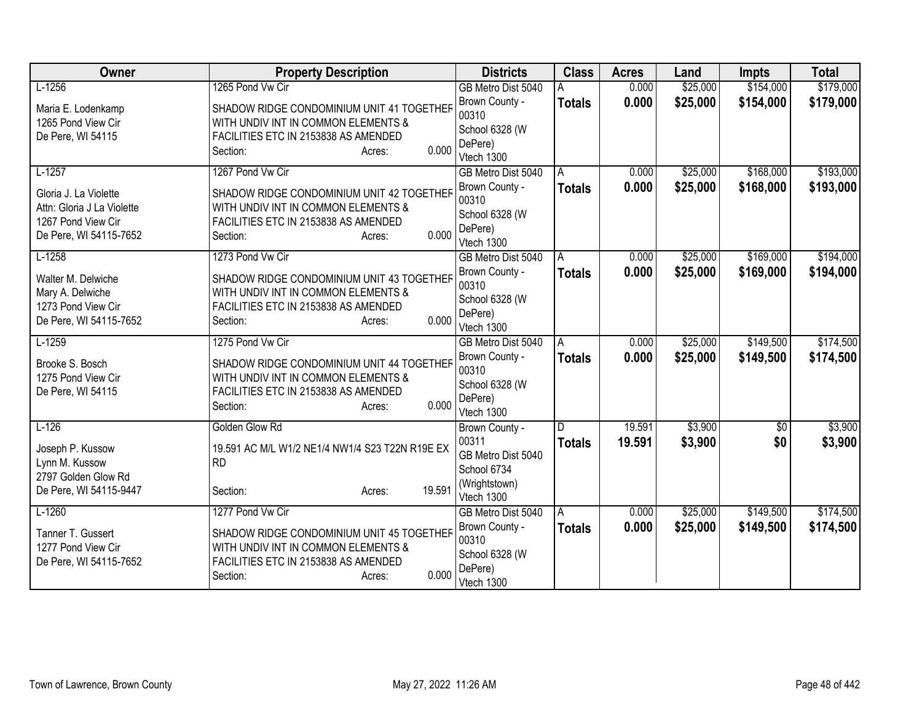| Owner                                                                                               | <b>Property Description</b>                                                                                                                             | <b>Districts</b>                                                   | <b>Class</b>  | <b>Acres</b> | Land     | <b>Impts</b>    | <b>Total</b> |
|-----------------------------------------------------------------------------------------------------|---------------------------------------------------------------------------------------------------------------------------------------------------------|--------------------------------------------------------------------|---------------|--------------|----------|-----------------|--------------|
| $L-1256$                                                                                            | 1265 Pond Vw Cir                                                                                                                                        | GB Metro Dist 5040                                                 |               | 0.000        | \$25,000 | \$154,000       | \$179,000    |
| Maria E. Lodenkamp<br>1265 Pond View Cir<br>De Pere, WI 54115                                       | SHADOW RIDGE CONDOMINIUM UNIT 41 TOGETHER<br>WITH UNDIV INT IN COMMON ELEMENTS &<br>FACILITIES ETC IN 2153838 AS AMENDED<br>0.000<br>Section:<br>Acres: | Brown County -<br>00310<br>School 6328 (W<br>DePere)<br>Vtech 1300 | <b>Totals</b> | 0.000        | \$25,000 | \$154,000       | \$179,000    |
| $L-1257$                                                                                            | 1267 Pond Vw Cir                                                                                                                                        | GB Metro Dist 5040                                                 | A             | 0.000        | \$25,000 | \$168,000       | \$193,000    |
| Gloria J. La Violette<br>Attn: Gloria J La Violette<br>1267 Pond View Cir<br>De Pere, WI 54115-7652 | SHADOW RIDGE CONDOMINIUM UNIT 42 TOGETHER<br>WITH UNDIV INT IN COMMON ELEMENTS &<br>FACILITIES ETC IN 2153838 AS AMENDED<br>0.000<br>Section:<br>Acres: | Brown County -<br>00310<br>School 6328 (W<br>DePere)<br>Vtech 1300 | <b>Totals</b> | 0.000        | \$25,000 | \$168,000       | \$193,000    |
| $L-1258$                                                                                            | 1273 Pond Vw Cir                                                                                                                                        | GB Metro Dist 5040                                                 | Α             | 0.000        | \$25,000 | \$169,000       | \$194,000    |
| Walter M. Delwiche<br>Mary A. Delwiche<br>1273 Pond View Cir<br>De Pere, WI 54115-7652              | SHADOW RIDGE CONDOMINIUM UNIT 43 TOGETHER<br>WITH UNDIV INT IN COMMON ELEMENTS &<br>FACILITIES ETC IN 2153838 AS AMENDED<br>0.000<br>Section:<br>Acres: | Brown County -<br>00310<br>School 6328 (W<br>DePere)<br>Vtech 1300 | <b>Totals</b> | 0.000        | \$25,000 | \$169,000       | \$194,000    |
| $L-1259$                                                                                            | 1275 Pond Vw Cir                                                                                                                                        | GB Metro Dist 5040                                                 | A             | 0.000        | \$25,000 | \$149,500       | \$174,500    |
| Brooke S. Bosch<br>1275 Pond View Cir<br>De Pere, WI 54115                                          | SHADOW RIDGE CONDOMINIUM UNIT 44 TOGETHER<br>WITH UNDIV INT IN COMMON ELEMENTS &<br>FACILITIES ETC IN 2153838 AS AMENDED<br>0.000<br>Section:<br>Acres: | Brown County -<br>00310<br>School 6328 (W<br>DePere)<br>Vtech 1300 | <b>Totals</b> | 0.000        | \$25,000 | \$149,500       | \$174,500    |
| $L-126$                                                                                             | Golden Glow Rd                                                                                                                                          | Brown County -                                                     | D.            | 19.591       | \$3,900  | $\overline{50}$ | \$3,900      |
| Joseph P. Kussow<br>Lynn M. Kussow<br>2797 Golden Glow Rd<br>De Pere, WI 54115-9447                 | 19.591 AC M/L W1/2 NE1/4 NW1/4 S23 T22N R19E EX<br><b>RD</b><br>19.591<br>Section:<br>Acres:                                                            | 00311<br>GB Metro Dist 5040<br>School 6734<br>(Wrightstown)        | <b>Totals</b> | 19.591       | \$3,900  | \$0             | \$3,900      |
| $L-1260$                                                                                            | 1277 Pond Vw Cir                                                                                                                                        | Vtech 1300<br>GB Metro Dist 5040                                   | A             | 0.000        | \$25,000 | \$149,500       | \$174,500    |
| Tanner T. Gussert<br>1277 Pond View Cir<br>De Pere, WI 54115-7652                                   | SHADOW RIDGE CONDOMINIUM UNIT 45 TOGETHER<br>WITH UNDIV INT IN COMMON ELEMENTS &<br>FACILITIES ETC IN 2153838 AS AMENDED<br>0.000<br>Section:<br>Acres: | Brown County -<br>00310<br>School 6328 (W<br>DePere)<br>Vtech 1300 | <b>Totals</b> | 0.000        | \$25,000 | \$149,500       | \$174,500    |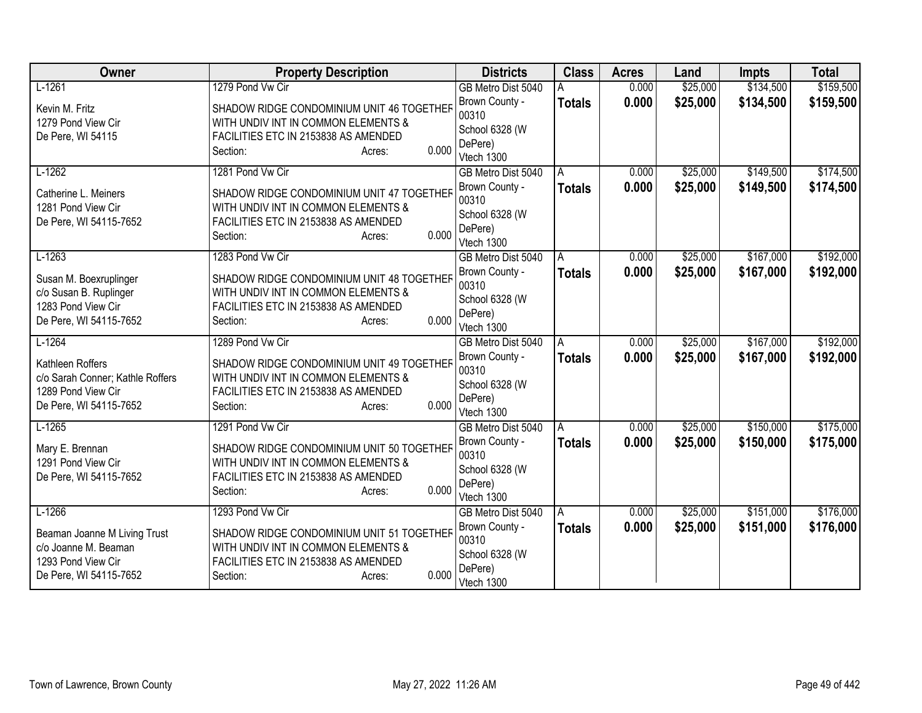| Owner                                                                                                | <b>Property Description</b>                                                                                                                             | <b>Districts</b>                                                   | <b>Class</b>  | <b>Acres</b> | Land     | <b>Impts</b> | <b>Total</b> |
|------------------------------------------------------------------------------------------------------|---------------------------------------------------------------------------------------------------------------------------------------------------------|--------------------------------------------------------------------|---------------|--------------|----------|--------------|--------------|
| $L-1261$                                                                                             | 1279 Pond Vw Cir                                                                                                                                        | GB Metro Dist 5040                                                 |               | 0.000        | \$25,000 | \$134,500    | \$159,500    |
| Kevin M. Fritz<br>1279 Pond View Cir<br>De Pere, WI 54115                                            | SHADOW RIDGE CONDOMINIUM UNIT 46 TOGETHER<br>WITH UNDIV INT IN COMMON ELEMENTS &<br>FACILITIES ETC IN 2153838 AS AMENDED<br>0.000<br>Section:<br>Acres: | Brown County -<br>00310<br>School 6328 (W<br>DePere)<br>Vtech 1300 | <b>Totals</b> | 0.000        | \$25,000 | \$134,500    | \$159,500    |
| $L-1262$                                                                                             | 1281 Pond Vw Cir                                                                                                                                        | GB Metro Dist 5040                                                 | A             | 0.000        | \$25,000 | \$149,500    | \$174,500    |
| Catherine L. Meiners<br>1281 Pond View Cir<br>De Pere, WI 54115-7652                                 | SHADOW RIDGE CONDOMINIUM UNIT 47 TOGETHER<br>WITH UNDIV INT IN COMMON ELEMENTS &<br>FACILITIES ETC IN 2153838 AS AMENDED<br>0.000<br>Section:<br>Acres: | Brown County -<br>00310<br>School 6328 (W<br>DePere)<br>Vtech 1300 | <b>Totals</b> | 0.000        | \$25,000 | \$149,500    | \$174,500    |
| $L-1263$                                                                                             | 1283 Pond Vw Cir                                                                                                                                        | GB Metro Dist 5040                                                 | Α             | 0.000        | \$25,000 | \$167,000    | \$192,000    |
| Susan M. Boexruplinger<br>c/o Susan B. Ruplinger<br>1283 Pond View Cir<br>De Pere, WI 54115-7652     | SHADOW RIDGE CONDOMINIUM UNIT 48 TOGETHER<br>WITH UNDIV INT IN COMMON ELEMENTS &<br>FACILITIES ETC IN 2153838 AS AMENDED<br>0.000<br>Section:<br>Acres: | Brown County -<br>00310<br>School 6328 (W<br>DePere)<br>Vtech 1300 | <b>Totals</b> | 0.000        | \$25,000 | \$167,000    | \$192,000    |
| $L-1264$                                                                                             | 1289 Pond Vw Cir                                                                                                                                        | GB Metro Dist 5040                                                 | A             | 0.000        | \$25,000 | \$167,000    | \$192,000    |
| Kathleen Roffers<br>c/o Sarah Conner; Kathle Roffers<br>1289 Pond View Cir<br>De Pere, WI 54115-7652 | SHADOW RIDGE CONDOMINIUM UNIT 49 TOGETHER<br>WITH UNDIV INT IN COMMON ELEMENTS &<br>FACILITIES ETC IN 2153838 AS AMENDED<br>0.000<br>Section:<br>Acres: | Brown County -<br>00310<br>School 6328 (W<br>DePere)<br>Vtech 1300 | <b>Totals</b> | 0.000        | \$25,000 | \$167,000    | \$192,000    |
| $L-1265$                                                                                             | 1291 Pond Vw Cir                                                                                                                                        | GB Metro Dist 5040                                                 | A             | 0.000        | \$25,000 | \$150,000    | \$175,000    |
| Mary E. Brennan<br>1291 Pond View Cir<br>De Pere, WI 54115-7652                                      | SHADOW RIDGE CONDOMINIUM UNIT 50 TOGETHER<br>WITH UNDIV INT IN COMMON ELEMENTS &<br>FACILITIES ETC IN 2153838 AS AMENDED<br>0.000<br>Section:<br>Acres: | Brown County -<br>00310<br>School 6328 (W<br>DePere)<br>Vtech 1300 | <b>Totals</b> | 0.000        | \$25,000 | \$150,000    | \$175,000    |
| $L-1266$                                                                                             | 1293 Pond Vw Cir                                                                                                                                        | GB Metro Dist 5040                                                 | A             | 0.000        | \$25,000 | \$151,000    | \$176,000    |
| Beaman Joanne M Living Trust<br>c/o Joanne M. Beaman<br>1293 Pond View Cir<br>De Pere, WI 54115-7652 | SHADOW RIDGE CONDOMINIUM UNIT 51 TOGETHER<br>WITH UNDIV INT IN COMMON ELEMENTS &<br>FACILITIES ETC IN 2153838 AS AMENDED<br>0.000<br>Section:<br>Acres: | Brown County -<br>00310<br>School 6328 (W<br>DePere)<br>Vtech 1300 | <b>Totals</b> | 0.000        | \$25,000 | \$151,000    | \$176,000    |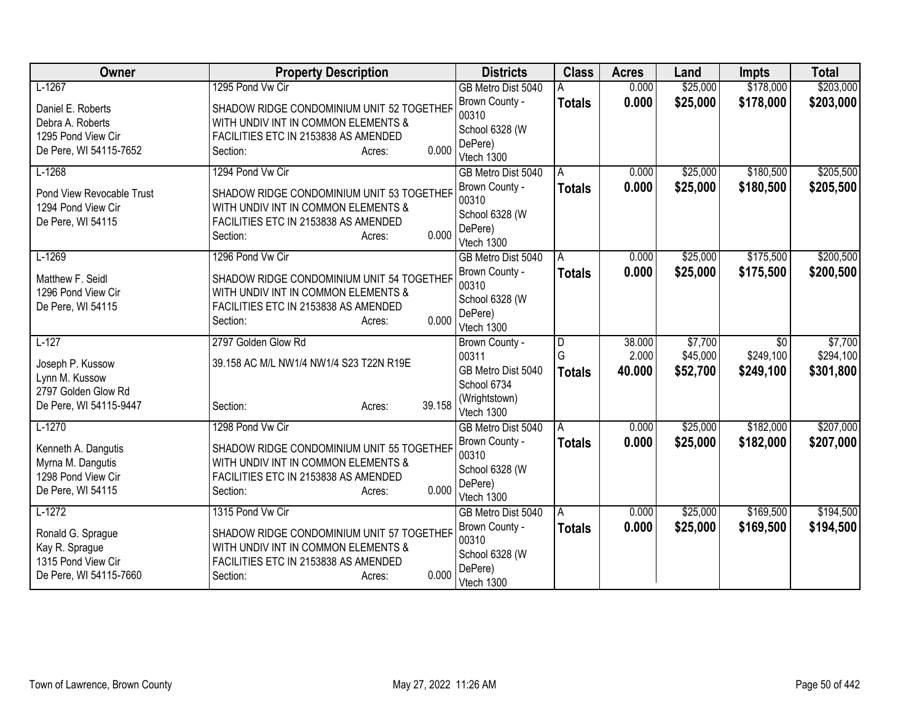| Owner                     | <b>Property Description</b>               | <b>Districts</b>                 | <b>Class</b>  | <b>Acres</b> | Land     | <b>Impts</b>                 | <b>Total</b> |
|---------------------------|-------------------------------------------|----------------------------------|---------------|--------------|----------|------------------------------|--------------|
| $L-1267$                  | 1295 Pond Vw Cir                          | GB Metro Dist 5040               |               | 0.000        | \$25,000 | \$178,000                    | \$203,000    |
| Daniel E. Roberts         | SHADOW RIDGE CONDOMINIUM UNIT 52 TOGETHER | Brown County -                   | <b>Totals</b> | 0.000        | \$25,000 | \$178,000                    | \$203,000    |
| Debra A. Roberts          | WITH UNDIV INT IN COMMON ELEMENTS &       | 00310                            |               |              |          |                              |              |
| 1295 Pond View Cir        | FACILITIES ETC IN 2153838 AS AMENDED      | School 6328 (W                   |               |              |          |                              |              |
| De Pere, WI 54115-7652    | 0.000<br>Section:<br>Acres:               | DePere)                          |               |              |          |                              |              |
| $L-1268$                  | 1294 Pond Vw Cir                          | Vtech 1300<br>GB Metro Dist 5040 | A             | 0.000        | \$25,000 | \$180,500                    | \$205,500    |
|                           |                                           | Brown County -                   | <b>Totals</b> | 0.000        | \$25,000 | \$180,500                    | \$205,500    |
| Pond View Revocable Trust | SHADOW RIDGE CONDOMINIUM UNIT 53 TOGETHER | 00310                            |               |              |          |                              |              |
| 1294 Pond View Cir        | WITH UNDIV INT IN COMMON ELEMENTS &       | School 6328 (W                   |               |              |          |                              |              |
| De Pere, WI 54115         | FACILITIES ETC IN 2153838 AS AMENDED      | DePere)                          |               |              |          |                              |              |
|                           | 0.000<br>Section:<br>Acres:               | Vtech 1300                       |               |              |          |                              |              |
| $L-1269$                  | 1296 Pond Vw Cir                          | GB Metro Dist 5040               | A             | 0.000        | \$25,000 | \$175,500                    | \$200,500    |
| Matthew F. Seidl          | SHADOW RIDGE CONDOMINIUM UNIT 54 TOGETHER | Brown County -                   | <b>Totals</b> | 0.000        | \$25,000 | \$175,500                    | \$200,500    |
| 1296 Pond View Cir        | WITH UNDIV INT IN COMMON ELEMENTS &       | 00310                            |               |              |          |                              |              |
| De Pere, WI 54115         | FACILITIES ETC IN 2153838 AS AMENDED      | School 6328 (W                   |               |              |          |                              |              |
|                           | 0.000<br>Section:<br>Acres:               | DePere)                          |               |              |          |                              |              |
| $L-127$                   | 2797 Golden Glow Rd                       | Vtech 1300                       |               | 38.000       | \$7,700  |                              | \$7,700      |
|                           |                                           | Brown County -<br>00311          | D<br>G        | 2.000        | \$45,000 | $\overline{50}$<br>\$249,100 | \$294,100    |
| Joseph P. Kussow          | 39.158 AC M/L NW1/4 NW1/4 S23 T22N R19E   | GB Metro Dist 5040               | <b>Totals</b> | 40.000       | \$52,700 | \$249,100                    | \$301,800    |
| Lynn M. Kussow            |                                           | School 6734                      |               |              |          |                              |              |
| 2797 Golden Glow Rd       |                                           | (Wrightstown)                    |               |              |          |                              |              |
| De Pere, WI 54115-9447    | 39.158<br>Section:<br>Acres:              | Vtech 1300                       |               |              |          |                              |              |
| $L-1270$                  | 1298 Pond Vw Cir                          | GB Metro Dist 5040               | A             | 0.000        | \$25,000 | \$182,000                    | \$207,000    |
| Kenneth A. Dangutis       | SHADOW RIDGE CONDOMINIUM UNIT 55 TOGETHER | Brown County -                   | <b>Totals</b> | 0.000        | \$25,000 | \$182,000                    | \$207,000    |
| Myrna M. Dangutis         | WITH UNDIV INT IN COMMON ELEMENTS &       | 00310                            |               |              |          |                              |              |
| 1298 Pond View Cir        | FACILITIES ETC IN 2153838 AS AMENDED      | School 6328 (W                   |               |              |          |                              |              |
| De Pere, WI 54115         | 0.000<br>Section:<br>Acres:               | DePere)                          |               |              |          |                              |              |
| $L-1272$                  | 1315 Pond Vw Cir                          | Vtech 1300<br>GB Metro Dist 5040 | A             | 0.000        | \$25,000 | \$169,500                    | \$194,500    |
|                           |                                           | Brown County -                   | <b>Totals</b> | 0.000        | \$25,000 | \$169,500                    | \$194,500    |
| Ronald G. Sprague         | SHADOW RIDGE CONDOMINIUM UNIT 57 TOGETHER | 00310                            |               |              |          |                              |              |
| Kay R. Sprague            | WITH UNDIV INT IN COMMON ELEMENTS &       | School 6328 (W                   |               |              |          |                              |              |
| 1315 Pond View Cir        | FACILITIES ETC IN 2153838 AS AMENDED      | DePere)                          |               |              |          |                              |              |
| De Pere, WI 54115-7660    | 0.000<br>Section:<br>Acres:               | Vtech 1300                       |               |              |          |                              |              |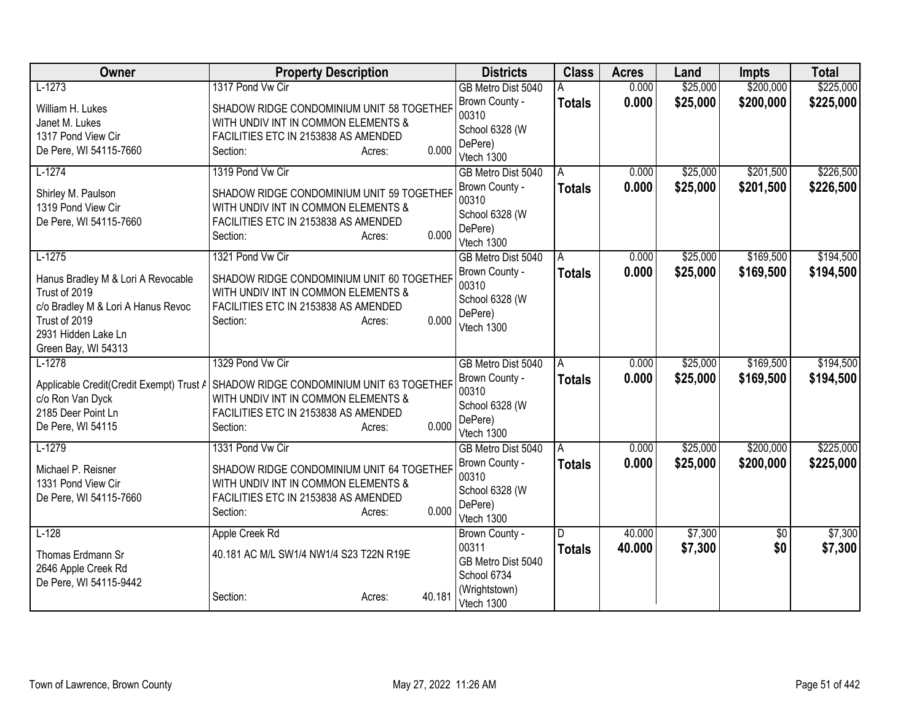| Owner                              | <b>Property Description</b>                                                        | <b>Districts</b>                 | <b>Class</b>  | <b>Acres</b> | Land     | <b>Impts</b>    | <b>Total</b> |
|------------------------------------|------------------------------------------------------------------------------------|----------------------------------|---------------|--------------|----------|-----------------|--------------|
| $L-1273$                           | 1317 Pond Vw Cir                                                                   | GB Metro Dist 5040               |               | 0.000        | \$25,000 | \$200,000       | \$225,000    |
| William H. Lukes                   | SHADOW RIDGE CONDOMINIUM UNIT 58 TOGETHER                                          | Brown County -                   | <b>Totals</b> | 0.000        | \$25,000 | \$200,000       | \$225,000    |
| Janet M. Lukes                     | WITH UNDIV INT IN COMMON ELEMENTS &                                                | 00310                            |               |              |          |                 |              |
| 1317 Pond View Cir                 | FACILITIES ETC IN 2153838 AS AMENDED                                               | School 6328 (W                   |               |              |          |                 |              |
| De Pere, WI 54115-7660             | 0.000<br>Section:<br>Acres:                                                        | DePere)<br>Vtech 1300            |               |              |          |                 |              |
| $L-1274$                           | 1319 Pond Vw Cir                                                                   | GB Metro Dist 5040               | A             | 0.000        | \$25,000 | \$201,500       | \$226,500    |
| Shirley M. Paulson                 | SHADOW RIDGE CONDOMINIUM UNIT 59 TOGETHER                                          | Brown County -                   | <b>Totals</b> | 0.000        | \$25,000 | \$201,500       | \$226,500    |
| 1319 Pond View Cir                 | WITH UNDIV INT IN COMMON ELEMENTS &                                                | 00310                            |               |              |          |                 |              |
| De Pere, WI 54115-7660             | FACILITIES ETC IN 2153838 AS AMENDED                                               | School 6328 (W                   |               |              |          |                 |              |
|                                    | 0.000<br>Section:<br>Acres:                                                        | DePere)                          |               |              |          |                 |              |
| $L-1275$                           | 1321 Pond Vw Cir                                                                   | Vtech 1300<br>GB Metro Dist 5040 | A             | 0.000        | \$25,000 | \$169,500       | \$194,500    |
|                                    |                                                                                    | Brown County -                   |               | 0.000        | \$25,000 | \$169,500       |              |
| Hanus Bradley M & Lori A Revocable | SHADOW RIDGE CONDOMINIUM UNIT 60 TOGETHER                                          | 00310                            | <b>Totals</b> |              |          |                 | \$194,500    |
| Trust of 2019                      | WITH UNDIV INT IN COMMON ELEMENTS &                                                | School 6328 (W                   |               |              |          |                 |              |
| c/o Bradley M & Lori A Hanus Revoc | FACILITIES ETC IN 2153838 AS AMENDED                                               | DePere)                          |               |              |          |                 |              |
| Trust of 2019                      | 0.000<br>Section:<br>Acres:                                                        | Vtech 1300                       |               |              |          |                 |              |
| 2931 Hidden Lake Ln                |                                                                                    |                                  |               |              |          |                 |              |
| Green Bay, WI 54313<br>$L-1278$    | 1329 Pond Vw Cir                                                                   | GB Metro Dist 5040               | A             | 0.000        | \$25,000 | \$169,500       | \$194,500    |
|                                    |                                                                                    | Brown County -                   | <b>Totals</b> | 0.000        | \$25,000 | \$169,500       | \$194,500    |
|                                    | Applicable Credit(Credit Exempt) Trust / SHADOW RIDGE CONDOMINIUM UNIT 63 TOGETHER | 00310                            |               |              |          |                 |              |
| c/o Ron Van Dyck                   | WITH UNDIV INT IN COMMON ELEMENTS &                                                | School 6328 (W                   |               |              |          |                 |              |
| 2185 Deer Point Ln                 | FACILITIES ETC IN 2153838 AS AMENDED                                               | DePere)                          |               |              |          |                 |              |
| De Pere, WI 54115                  | 0.000<br>Section:<br>Acres:                                                        | Vtech 1300                       |               |              |          |                 |              |
| $L-1279$                           | 1331 Pond Vw Cir                                                                   | GB Metro Dist 5040               | A             | 0.000        | \$25,000 | \$200,000       | \$225,000    |
| Michael P. Reisner                 | SHADOW RIDGE CONDOMINIUM UNIT 64 TOGETHER                                          | Brown County -                   | <b>Totals</b> | 0.000        | \$25,000 | \$200,000       | \$225,000    |
| 1331 Pond View Cir                 | WITH UNDIV INT IN COMMON ELEMENTS &                                                | 00310                            |               |              |          |                 |              |
| De Pere, WI 54115-7660             | FACILITIES ETC IN 2153838 AS AMENDED                                               | School 6328 (W                   |               |              |          |                 |              |
|                                    | 0.000<br>Section:<br>Acres:                                                        | DePere)                          |               |              |          |                 |              |
| $L-128$                            | Apple Creek Rd                                                                     | Vtech 1300<br>Brown County -     | D             | 40.000       | \$7,300  | $\overline{50}$ | \$7,300      |
|                                    |                                                                                    | 00311                            | <b>Totals</b> | 40.000       | \$7,300  | \$0             | \$7,300      |
| Thomas Erdmann Sr                  | 40.181 AC M/L SW1/4 NW1/4 S23 T22N R19E                                            | GB Metro Dist 5040               |               |              |          |                 |              |
| 2646 Apple Creek Rd                |                                                                                    | School 6734                      |               |              |          |                 |              |
| De Pere, WI 54115-9442             |                                                                                    | (Wrightstown)                    |               |              |          |                 |              |
|                                    | 40.181<br>Section:<br>Acres:                                                       | Vtech 1300                       |               |              |          |                 |              |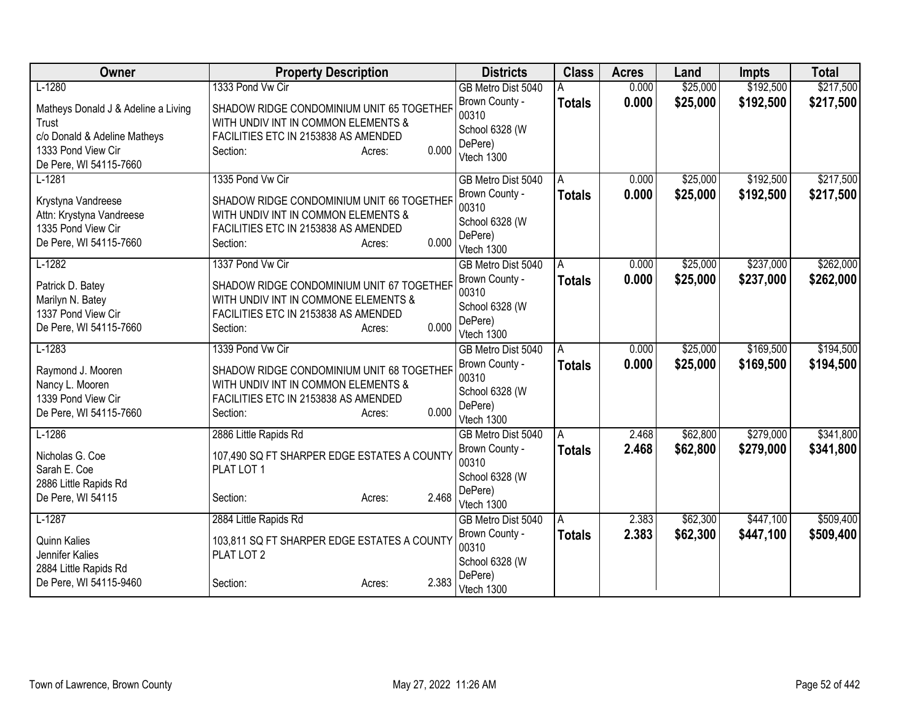| Owner                                                                                                                        | <b>Property Description</b>                                                                                                                              | <b>Districts</b>                                                   | <b>Class</b>  | <b>Acres</b>   | Land     | <b>Impts</b> | <b>Total</b> |
|------------------------------------------------------------------------------------------------------------------------------|----------------------------------------------------------------------------------------------------------------------------------------------------------|--------------------------------------------------------------------|---------------|----------------|----------|--------------|--------------|
| $L-1280$                                                                                                                     | 1333 Pond Vw Cir                                                                                                                                         | GB Metro Dist 5040                                                 | A             | 0.000          | \$25,000 | \$192,500    | \$217,500    |
| Matheys Donald J & Adeline a Living<br>Trust<br>c/o Donald & Adeline Matheys<br>1333 Pond View Cir<br>De Pere, WI 54115-7660 | SHADOW RIDGE CONDOMINIUM UNIT 65 TOGETHER<br>WITH UNDIV INT IN COMMON ELEMENTS &<br>FACILITIES ETC IN 2153838 AS AMENDED<br>0.000<br>Section:<br>Acres:  | Brown County -<br>00310<br>School 6328 (W<br>DePere)<br>Vtech 1300 | <b>Totals</b> | 0.000          | \$25,000 | \$192,500    | \$217,500    |
| $L-1281$                                                                                                                     | 1335 Pond Vw Cir                                                                                                                                         | GB Metro Dist 5040<br>Brown County -                               | A             | 0.000<br>0.000 | \$25,000 | \$192,500    | \$217,500    |
| Krystyna Vandreese<br>Attn: Krystyna Vandreese<br>1335 Pond View Cir<br>De Pere, WI 54115-7660                               | SHADOW RIDGE CONDOMINIUM UNIT 66 TOGETHER<br>WITH UNDIV INT IN COMMON ELEMENTS &<br>FACILITIES ETC IN 2153838 AS AMENDED<br>0.000<br>Section:<br>Acres:  | 00310<br>School 6328 (W<br>DePere)<br>Vtech 1300                   | <b>Totals</b> |                | \$25,000 | \$192,500    | \$217,500    |
| $L-1282$                                                                                                                     | 1337 Pond Vw Cir                                                                                                                                         | GB Metro Dist 5040                                                 | A             | 0.000          | \$25,000 | \$237,000    | \$262,000    |
| Patrick D. Batey<br>Marilyn N. Batey<br>1337 Pond View Cir<br>De Pere, WI 54115-7660                                         | SHADOW RIDGE CONDOMINIUM UNIT 67 TOGETHER<br>WITH UNDIV INT IN COMMONE ELEMENTS &<br>FACILITIES ETC IN 2153838 AS AMENDED<br>0.000<br>Section:<br>Acres: | Brown County -<br>00310<br>School 6328 (W<br>DePere)<br>Vtech 1300 | Totals        | 0.000          | \$25,000 | \$237,000    | \$262,000    |
| $L-1283$                                                                                                                     | 1339 Pond Vw Cir                                                                                                                                         | GB Metro Dist 5040                                                 | A             | 0.000          | \$25,000 | \$169,500    | \$194,500    |
| Raymond J. Mooren<br>Nancy L. Mooren<br>1339 Pond View Cir<br>De Pere, WI 54115-7660                                         | SHADOW RIDGE CONDOMINIUM UNIT 68 TOGETHER<br>WITH UNDIV INT IN COMMON ELEMENTS &<br>FACILITIES ETC IN 2153838 AS AMENDED<br>0.000<br>Section:<br>Acres:  | Brown County -<br>00310<br>School 6328 (W<br>DePere)<br>Vtech 1300 | <b>Totals</b> | 0.000          | \$25,000 | \$169,500    | \$194,500    |
| $L-1286$                                                                                                                     | 2886 Little Rapids Rd                                                                                                                                    | GB Metro Dist 5040                                                 | A             | 2.468          | \$62,800 | \$279,000    | \$341,800    |
| Nicholas G. Coe<br>Sarah E. Coe<br>2886 Little Rapids Rd                                                                     | 107,490 SQ FT SHARPER EDGE ESTATES A COUNTY<br>PLAT LOT 1                                                                                                | Brown County -<br>00310<br>School 6328 (W                          | Totals        | 2.468          | \$62,800 | \$279,000    | \$341,800    |
| De Pere, WI 54115                                                                                                            | 2.468<br>Section:<br>Acres:                                                                                                                              | DePere)<br>Vtech 1300                                              |               |                |          |              |              |
| $L-1287$                                                                                                                     | 2884 Little Rapids Rd                                                                                                                                    | GB Metro Dist 5040                                                 | A             | 2.383          | \$62,300 | \$447,100    | \$509,400    |
| <b>Quinn Kalies</b><br>Jennifer Kalies<br>2884 Little Rapids Rd                                                              | 103,811 SQ FT SHARPER EDGE ESTATES A COUNTY<br>PLAT LOT 2                                                                                                | Brown County -<br>00310<br>School 6328 (W                          | <b>Totals</b> | 2.383          | \$62,300 | \$447,100    | \$509,400    |
| De Pere, WI 54115-9460                                                                                                       | 2.383<br>Section:<br>Acres:                                                                                                                              | DePere)<br>Vtech 1300                                              |               |                |          |              |              |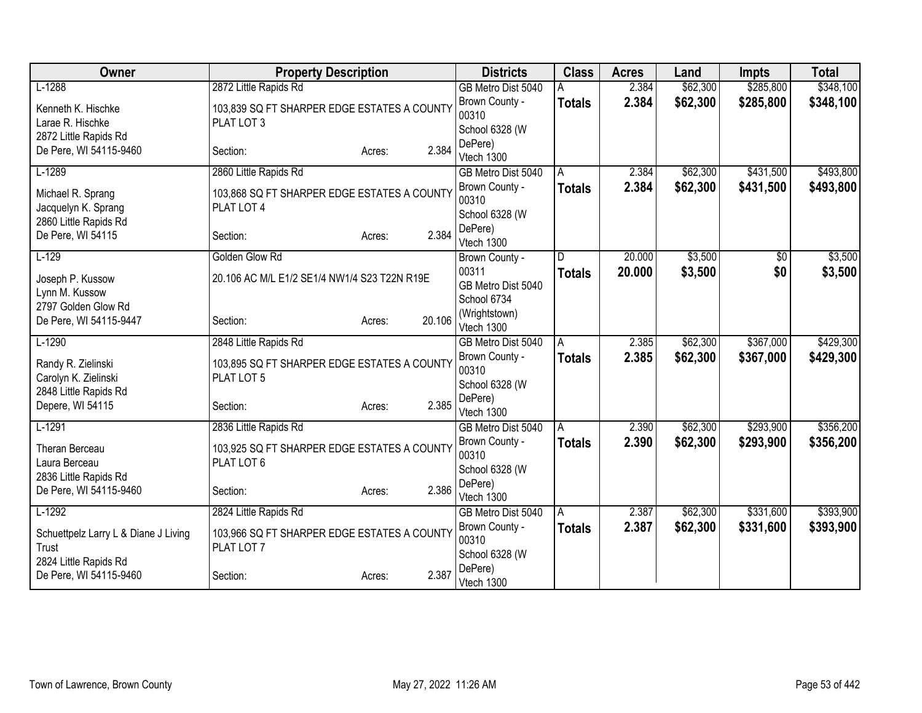| Owner                                    | <b>Property Description</b>                               |                  | <b>Districts</b>            | <b>Class</b>  | <b>Acres</b> | Land     | <b>Impts</b> | <b>Total</b> |
|------------------------------------------|-----------------------------------------------------------|------------------|-----------------------------|---------------|--------------|----------|--------------|--------------|
| $L-1288$                                 | 2872 Little Rapids Rd                                     |                  | GB Metro Dist 5040          |               | 2.384        | \$62,300 | \$285,800    | \$348,100    |
| Kenneth K. Hischke                       | 103,839 SQ FT SHARPER EDGE ESTATES A COUNTY               |                  | Brown County -<br>00310     | <b>Totals</b> | 2.384        | \$62,300 | \$285,800    | \$348,100    |
| Larae R. Hischke                         | PLAT LOT 3                                                |                  | School 6328 (W              |               |              |          |              |              |
| 2872 Little Rapids Rd                    |                                                           | 2.384            | DePere)                     |               |              |          |              |              |
| De Pere, WI 54115-9460                   | Section:                                                  | Acres:           | Vtech 1300                  |               |              |          |              |              |
| $L-1289$                                 | 2860 Little Rapids Rd                                     |                  | GB Metro Dist 5040          | A             | 2.384        | \$62,300 | \$431,500    | \$493,800    |
| Michael R. Sprang<br>Jacquelyn K. Sprang | 103,868 SQ FT SHARPER EDGE ESTATES A COUNTY<br>PLAT LOT 4 |                  | Brown County -<br>00310     | <b>Totals</b> | 2.384        | \$62,300 | \$431,500    | \$493,800    |
| 2860 Little Rapids Rd                    |                                                           |                  | School 6328 (W              |               |              |          |              |              |
| De Pere, WI 54115                        | Section:                                                  | 2.384<br>Acres:  | DePere)<br>Vtech 1300       |               |              |          |              |              |
| $L-129$                                  | Golden Glow Rd                                            |                  | Brown County -              | D.            | 20.000       | \$3,500  | \$0          | \$3,500      |
| Joseph P. Kussow                         | 20.106 AC M/L E1/2 SE1/4 NW1/4 S23 T22N R19E              |                  | 00311                       | <b>Totals</b> | 20,000       | \$3,500  | \$0          | \$3,500      |
| Lynn M. Kussow                           |                                                           |                  | GB Metro Dist 5040          |               |              |          |              |              |
| 2797 Golden Glow Rd                      |                                                           |                  | School 6734                 |               |              |          |              |              |
| De Pere, WI 54115-9447                   | Section:                                                  | 20.106<br>Acres: | (Wrightstown)<br>Vtech 1300 |               |              |          |              |              |
| $L-1290$                                 | 2848 Little Rapids Rd                                     |                  | GB Metro Dist 5040          | A             | 2.385        | \$62,300 | \$367,000    | \$429,300    |
| Randy R. Zielinski                       | 103,895 SQ FT SHARPER EDGE ESTATES A COUNTY               |                  | Brown County -<br>00310     | <b>Totals</b> | 2.385        | \$62,300 | \$367,000    | \$429,300    |
| Carolyn K. Zielinski                     | PLAT LOT 5                                                |                  | School 6328 (W              |               |              |          |              |              |
| 2848 Little Rapids Rd                    |                                                           |                  | DePere)                     |               |              |          |              |              |
| Depere, WI 54115                         | Section:                                                  | 2.385<br>Acres:  | Vtech 1300                  |               |              |          |              |              |
| $L-1291$                                 | 2836 Little Rapids Rd                                     |                  | GB Metro Dist 5040          | A             | 2.390        | \$62,300 | \$293,900    | \$356,200    |
| Theran Berceau                           | 103,925 SQ FT SHARPER EDGE ESTATES A COUNTY               |                  | Brown County -              | <b>Totals</b> | 2.390        | \$62,300 | \$293,900    | \$356,200    |
| Laura Berceau                            | PLAT LOT 6                                                |                  | 00310                       |               |              |          |              |              |
| 2836 Little Rapids Rd                    |                                                           |                  | School 6328 (W<br>DePere)   |               |              |          |              |              |
| De Pere, WI 54115-9460                   | Section:                                                  | 2.386<br>Acres:  | Vtech 1300                  |               |              |          |              |              |
| $L-1292$                                 | 2824 Little Rapids Rd                                     |                  | GB Metro Dist 5040          | A             | 2.387        | \$62,300 | \$331,600    | \$393,900    |
| Schuettpelz Larry L & Diane J Living     | 103,966 SQ FT SHARPER EDGE ESTATES A COUNTY               |                  | Brown County -              | <b>Totals</b> | 2.387        | \$62,300 | \$331,600    | \$393,900    |
| Trust                                    | PLAT LOT 7                                                |                  | 00310                       |               |              |          |              |              |
| 2824 Little Rapids Rd                    |                                                           |                  | School 6328 (W              |               |              |          |              |              |
| De Pere, WI 54115-9460                   | Section:                                                  | 2.387<br>Acres:  | DePere)<br>Vtech 1300       |               |              |          |              |              |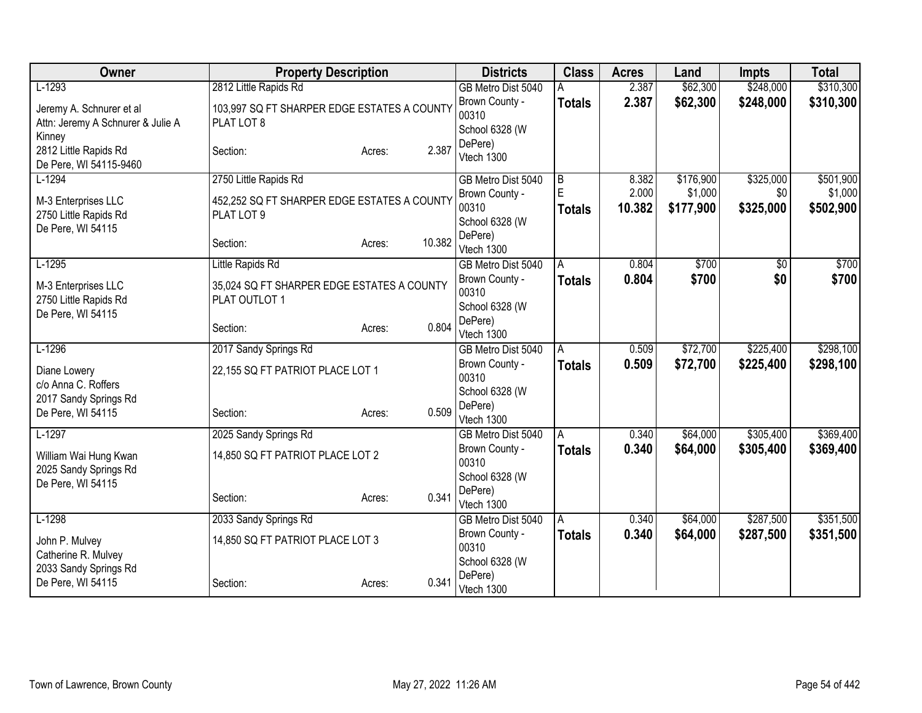| Owner                                        |                                             | <b>Property Description</b> |        | <b>Districts</b>          | <b>Class</b>   | <b>Acres</b> | Land      | <b>Impts</b>    | <b>Total</b> |
|----------------------------------------------|---------------------------------------------|-----------------------------|--------|---------------------------|----------------|--------------|-----------|-----------------|--------------|
| $L-1293$                                     | 2812 Little Rapids Rd                       |                             |        | GB Metro Dist 5040        |                | 2.387        | \$62,300  | \$248,000       | \$310,300    |
| Jeremy A. Schnurer et al                     | 103,997 SQ FT SHARPER EDGE ESTATES A COUNTY |                             |        | Brown County -<br>00310   | <b>Totals</b>  | 2.387        | \$62,300  | \$248,000       | \$310,300    |
| Attn: Jeremy A Schnurer & Julie A            | PLAT LOT 8                                  |                             |        | School 6328 (W            |                |              |           |                 |              |
| Kinney                                       |                                             |                             |        | DePere)                   |                |              |           |                 |              |
| 2812 Little Rapids Rd                        | Section:                                    | Acres:                      | 2.387  | Vtech 1300                |                |              |           |                 |              |
| De Pere, WI 54115-9460<br>$L-1294$           | 2750 Little Rapids Rd                       |                             |        | GB Metro Dist 5040        | B              | 8.382        | \$176,900 | \$325,000       | \$501,900    |
|                                              |                                             |                             |        | Brown County -            | E              | 2.000        | \$1,000   | \$0             | \$1,000      |
| M-3 Enterprises LLC                          | 452,252 SQ FT SHARPER EDGE ESTATES A COUNTY |                             |        | 00310                     | <b>Totals</b>  | 10.382       | \$177,900 | \$325,000       | \$502,900    |
| 2750 Little Rapids Rd                        | PLAT LOT 9                                  |                             |        | School 6328 (W            |                |              |           |                 |              |
| De Pere, WI 54115                            | Section:                                    | Acres:                      | 10.382 | DePere)                   |                |              |           |                 |              |
|                                              |                                             |                             |        | Vtech 1300                |                |              |           |                 |              |
| $L-1295$                                     | Little Rapids Rd                            |                             |        | GB Metro Dist 5040        | $\overline{A}$ | 0.804        | \$700     | $\overline{30}$ | \$700        |
| M-3 Enterprises LLC                          | 35,024 SQ FT SHARPER EDGE ESTATES A COUNTY  |                             |        | Brown County -<br>00310   | <b>Totals</b>  | 0.804        | \$700     | \$0             | \$700        |
| 2750 Little Rapids Rd                        | PLAT OUTLOT 1                               |                             |        | School 6328 (W            |                |              |           |                 |              |
| De Pere, WI 54115                            |                                             |                             |        | DePere)                   |                |              |           |                 |              |
|                                              | Section:                                    | Acres:                      | 0.804  | Vtech 1300                |                |              |           |                 |              |
| $L-1296$                                     | 2017 Sandy Springs Rd                       |                             |        | GB Metro Dist 5040        | A              | 0.509        | \$72,700  | \$225,400       | \$298,100    |
| Diane Lowery                                 | 22,155 SQ FT PATRIOT PLACE LOT 1            |                             |        | Brown County -            | <b>Totals</b>  | 0.509        | \$72,700  | \$225,400       | \$298,100    |
| c/o Anna C. Roffers                          |                                             |                             |        | 00310                     |                |              |           |                 |              |
| 2017 Sandy Springs Rd                        |                                             |                             |        | School 6328 (W<br>DePere) |                |              |           |                 |              |
| De Pere, WI 54115                            | Section:                                    | Acres:                      | 0.509  | Vtech 1300                |                |              |           |                 |              |
| $L-1297$                                     | 2025 Sandy Springs Rd                       |                             |        | GB Metro Dist 5040        | A              | 0.340        | \$64,000  | \$305,400       | \$369,400    |
| William Wai Hung Kwan                        | 14,850 SQ FT PATRIOT PLACE LOT 2            |                             |        | Brown County -            | <b>Totals</b>  | 0.340        | \$64,000  | \$305,400       | \$369,400    |
| 2025 Sandy Springs Rd                        |                                             |                             |        | 00310                     |                |              |           |                 |              |
| De Pere, WI 54115                            |                                             |                             |        | School 6328 (W            |                |              |           |                 |              |
|                                              | Section:                                    | Acres:                      | 0.341  | DePere)<br>Vtech 1300     |                |              |           |                 |              |
| $L-1298$                                     | 2033 Sandy Springs Rd                       |                             |        | GB Metro Dist 5040        | A              | 0.340        | \$64,000  | \$287,500       | \$351,500    |
|                                              |                                             |                             |        | Brown County -            | <b>Totals</b>  | 0.340        | \$64,000  | \$287,500       | \$351,500    |
| John P. Mulvey                               | 14,850 SQ FT PATRIOT PLACE LOT 3            |                             |        | 00310                     |                |              |           |                 |              |
| Catherine R. Mulvey<br>2033 Sandy Springs Rd |                                             |                             |        | School 6328 (W            |                |              |           |                 |              |
| De Pere, WI 54115                            | Section:                                    | Acres:                      | 0.341  | DePere)                   |                |              |           |                 |              |
|                                              |                                             |                             |        | Vtech 1300                |                |              |           |                 |              |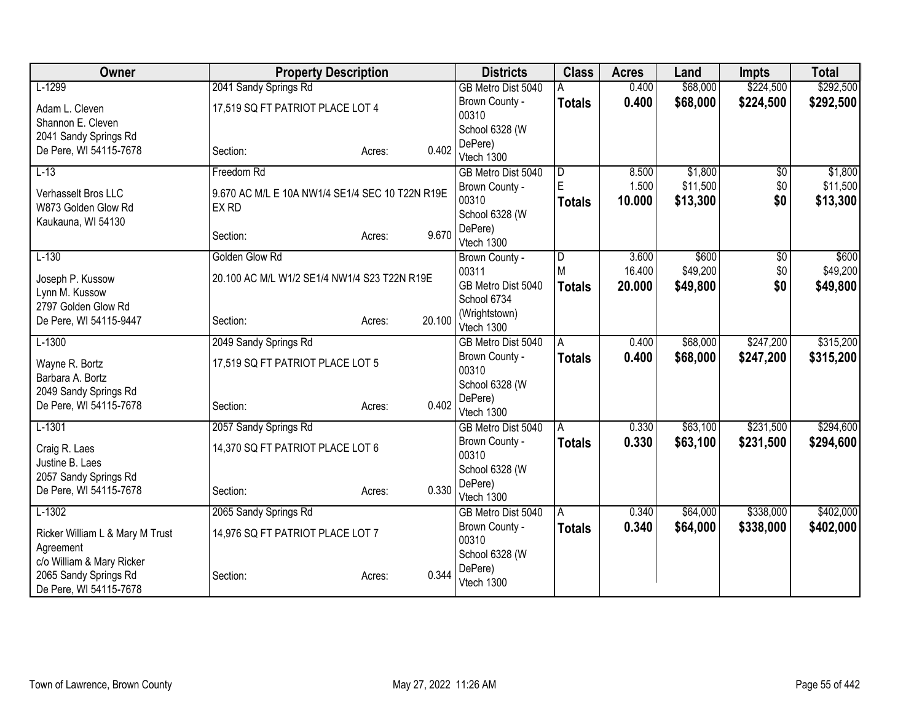| Owner                              |                                                 | <b>Property Description</b> |        | <b>Districts</b>            | <b>Class</b>   | <b>Acres</b> | Land     | <b>Impts</b> | <b>Total</b> |
|------------------------------------|-------------------------------------------------|-----------------------------|--------|-----------------------------|----------------|--------------|----------|--------------|--------------|
| $L-1299$                           | 2041 Sandy Springs Rd                           |                             |        | GB Metro Dist 5040          |                | 0.400        | \$68,000 | \$224,500    | \$292,500    |
| Adam L. Cleven                     | 17,519 SQ FT PATRIOT PLACE LOT 4                |                             |        | Brown County -              | <b>Totals</b>  | 0.400        | \$68,000 | \$224,500    | \$292,500    |
| Shannon E. Cleven                  |                                                 |                             |        | 00310                       |                |              |          |              |              |
| 2041 Sandy Springs Rd              |                                                 |                             |        | School 6328 (W              |                |              |          |              |              |
| De Pere, WI 54115-7678             | Section:                                        | Acres:                      | 0.402  | DePere)<br>Vtech 1300       |                |              |          |              |              |
| $L-13$                             | Freedom Rd                                      |                             |        | GB Metro Dist 5040          | $\overline{D}$ | 8.500        | \$1,800  | \$0          | \$1,800      |
|                                    |                                                 |                             |        | Brown County -              | E              | 1.500        | \$11,500 | \$0          | \$11,500     |
| Verhasselt Bros LLC                | 9.670 AC M/L E 10A NW1/4 SE1/4 SEC 10 T22N R19E |                             |        | 00310                       | <b>Totals</b>  | 10.000       | \$13,300 | \$0          | \$13,300     |
| W873 Golden Glow Rd                | EX RD                                           |                             |        | School 6328 (W              |                |              |          |              |              |
| Kaukauna, WI 54130                 |                                                 |                             | 9.670  | DePere)                     |                |              |          |              |              |
|                                    | Section:                                        | Acres:                      |        | Vtech 1300                  |                |              |          |              |              |
| $L-130$                            | Golden Glow Rd                                  |                             |        | Brown County -              | D              | 3.600        | \$600    | \$0          | \$600        |
| Joseph P. Kussow                   | 20.100 AC M/L W1/2 SE1/4 NW1/4 S23 T22N R19E    |                             |        | 00311                       | M              | 16.400       | \$49,200 | \$0          | \$49,200     |
| Lynn M. Kussow                     |                                                 |                             |        | GB Metro Dist 5040          | <b>Totals</b>  | 20.000       | \$49,800 | \$0          | \$49,800     |
| 2797 Golden Glow Rd                |                                                 |                             |        | School 6734                 |                |              |          |              |              |
| De Pere, WI 54115-9447             | Section:                                        | Acres:                      | 20.100 | (Wrightstown)<br>Vtech 1300 |                |              |          |              |              |
| $L-1300$                           | 2049 Sandy Springs Rd                           |                             |        | GB Metro Dist 5040          | $\overline{A}$ | 0.400        | \$68,000 | \$247,200    | \$315,200    |
|                                    |                                                 |                             |        | Brown County -              | <b>Totals</b>  | 0.400        | \$68,000 | \$247,200    | \$315,200    |
| Wayne R. Bortz<br>Barbara A. Bortz | 17,519 SQ FT PATRIOT PLACE LOT 5                |                             |        | 00310                       |                |              |          |              |              |
| 2049 Sandy Springs Rd              |                                                 |                             |        | School 6328 (W              |                |              |          |              |              |
| De Pere, WI 54115-7678             | Section:                                        | Acres:                      | 0.402  | DePere)                     |                |              |          |              |              |
|                                    |                                                 |                             |        | Vtech 1300                  |                |              |          |              |              |
| $L-1301$                           | 2057 Sandy Springs Rd                           |                             |        | GB Metro Dist 5040          | Ā              | 0.330        | \$63,100 | \$231,500    | \$294,600    |
| Craig R. Laes                      | 14,370 SQ FT PATRIOT PLACE LOT 6                |                             |        | Brown County -<br>00310     | <b>Totals</b>  | 0.330        | \$63,100 | \$231,500    | \$294,600    |
| Justine B. Laes                    |                                                 |                             |        | School 6328 (W              |                |              |          |              |              |
| 2057 Sandy Springs Rd              |                                                 |                             |        | DePere)                     |                |              |          |              |              |
| De Pere, WI 54115-7678             | Section:                                        | Acres:                      | 0.330  | Vtech 1300                  |                |              |          |              |              |
| $L-1302$                           | 2065 Sandy Springs Rd                           |                             |        | GB Metro Dist 5040          | l A            | 0.340        | \$64,000 | \$338,000    | \$402,000    |
| Ricker William L & Mary M Trust    | 14,976 SQ FT PATRIOT PLACE LOT 7                |                             |        | Brown County -              | <b>Totals</b>  | 0.340        | \$64,000 | \$338,000    | \$402,000    |
| Agreement                          |                                                 |                             |        | 00310                       |                |              |          |              |              |
| c/o William & Mary Ricker          |                                                 |                             |        | School 6328 (W              |                |              |          |              |              |
| 2065 Sandy Springs Rd              | Section:                                        | Acres:                      | 0.344  | DePere)                     |                |              |          |              |              |
| De Pere, WI 54115-7678             |                                                 |                             |        | Vtech 1300                  |                |              |          |              |              |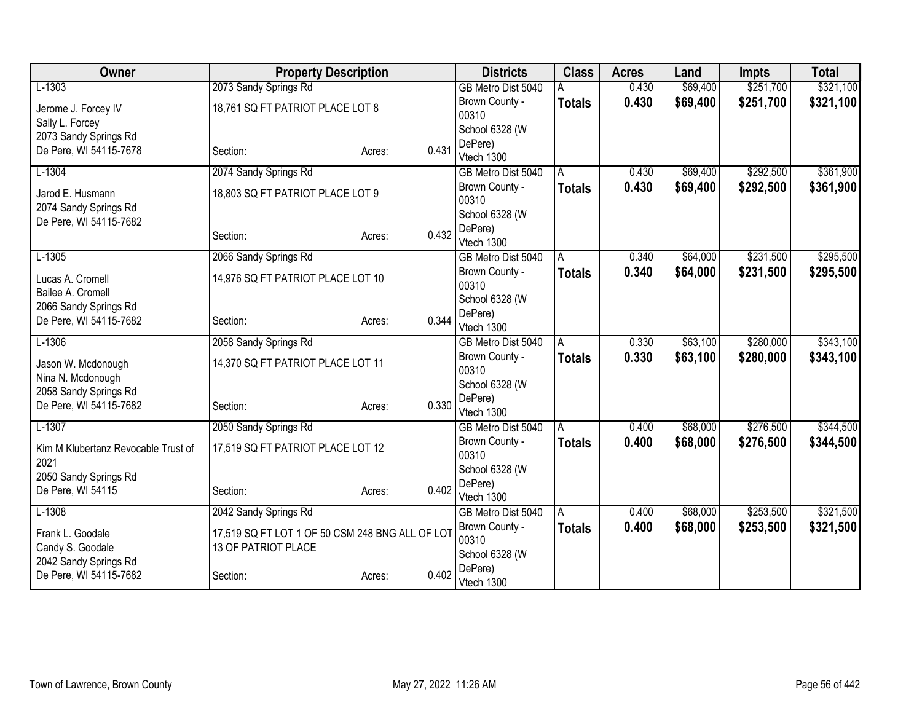| Owner                               | <b>Property Description</b>                     |                 | <b>Districts</b>          | <b>Class</b>  | <b>Acres</b> | Land     | <b>Impts</b> | <b>Total</b> |
|-------------------------------------|-------------------------------------------------|-----------------|---------------------------|---------------|--------------|----------|--------------|--------------|
| $L-1303$                            | 2073 Sandy Springs Rd                           |                 | GB Metro Dist 5040        |               | 0.430        | \$69,400 | \$251,700    | \$321,100    |
| Jerome J. Forcey IV                 | 18,761 SQ FT PATRIOT PLACE LOT 8                |                 | Brown County -            | <b>Totals</b> | 0.430        | \$69,400 | \$251,700    | \$321,100    |
| Sally L. Forcey                     |                                                 |                 | 00310                     |               |              |          |              |              |
| 2073 Sandy Springs Rd               |                                                 |                 | School 6328 (W            |               |              |          |              |              |
| De Pere, WI 54115-7678              | Section:                                        | 0.431<br>Acres: | DePere)                   |               |              |          |              |              |
|                                     |                                                 |                 | Vtech 1300                |               |              |          |              |              |
| $L-1304$                            | 2074 Sandy Springs Rd                           |                 | GB Metro Dist 5040        | A             | 0.430        | \$69,400 | \$292,500    | \$361,900    |
| Jarod E. Husmann                    | 18,803 SQ FT PATRIOT PLACE LOT 9                |                 | Brown County -<br>00310   | <b>Totals</b> | 0.430        | \$69,400 | \$292,500    | \$361,900    |
| 2074 Sandy Springs Rd               |                                                 |                 | School 6328 (W            |               |              |          |              |              |
| De Pere, WI 54115-7682              |                                                 |                 | DePere)                   |               |              |          |              |              |
|                                     | Section:                                        | 0.432<br>Acres: | Vtech 1300                |               |              |          |              |              |
| $L-1305$                            | 2066 Sandy Springs Rd                           |                 | GB Metro Dist 5040        | A             | 0.340        | \$64,000 | \$231,500    | \$295,500    |
| Lucas A. Cromell                    | 14,976 SQ FT PATRIOT PLACE LOT 10               |                 | Brown County -            | <b>Totals</b> | 0.340        | \$64,000 | \$231,500    | \$295,500    |
| Bailee A. Cromell                   |                                                 |                 | 00310                     |               |              |          |              |              |
| 2066 Sandy Springs Rd               |                                                 |                 | School 6328 (W            |               |              |          |              |              |
| De Pere, WI 54115-7682              | Section:                                        | 0.344<br>Acres: | DePere)                   |               |              |          |              |              |
|                                     |                                                 |                 | Vtech 1300                |               |              |          |              |              |
| $L-1306$                            | 2058 Sandy Springs Rd                           |                 | GB Metro Dist 5040        | A             | 0.330        | \$63,100 | \$280,000    | \$343,100    |
| Jason W. Mcdonough                  | 14,370 SQ FT PATRIOT PLACE LOT 11               |                 | Brown County -            | <b>Totals</b> | 0.330        | \$63,100 | \$280,000    | \$343,100    |
| Nina N. Mcdonough                   |                                                 |                 | 00310                     |               |              |          |              |              |
| 2058 Sandy Springs Rd               |                                                 |                 | School 6328 (W<br>DePere) |               |              |          |              |              |
| De Pere, WI 54115-7682              | Section:                                        | 0.330<br>Acres: | Vtech 1300                |               |              |          |              |              |
| $L-1307$                            | 2050 Sandy Springs Rd                           |                 | GB Metro Dist 5040        | A             | 0.400        | \$68,000 | \$276,500    | \$344,500    |
|                                     |                                                 |                 | Brown County -            | <b>Totals</b> | 0.400        | \$68,000 | \$276,500    | \$344,500    |
| Kim M Klubertanz Revocable Trust of | 17,519 SQ FT PATRIOT PLACE LOT 12               |                 | 00310                     |               |              |          |              |              |
| 2021                                |                                                 |                 | School 6328 (W            |               |              |          |              |              |
| 2050 Sandy Springs Rd               |                                                 |                 | DePere)                   |               |              |          |              |              |
| De Pere, WI 54115                   | Section:                                        | 0.402<br>Acres: | Vtech 1300                |               |              |          |              |              |
| $L-1308$                            | 2042 Sandy Springs Rd                           |                 | GB Metro Dist 5040        | A             | 0.400        | \$68,000 | \$253,500    | \$321,500    |
| Frank L. Goodale                    | 17,519 SQ FT LOT 1 OF 50 CSM 248 BNG ALL OF LOT |                 | Brown County -            | <b>Totals</b> | 0.400        | \$68,000 | \$253,500    | \$321,500    |
| Candy S. Goodale                    | 13 OF PATRIOT PLACE                             |                 | 00310                     |               |              |          |              |              |
| 2042 Sandy Springs Rd               |                                                 |                 | School 6328 (W            |               |              |          |              |              |
| De Pere, WI 54115-7682              | Section:                                        | 0.402<br>Acres: | DePere)                   |               |              |          |              |              |
|                                     |                                                 |                 | Vtech 1300                |               |              |          |              |              |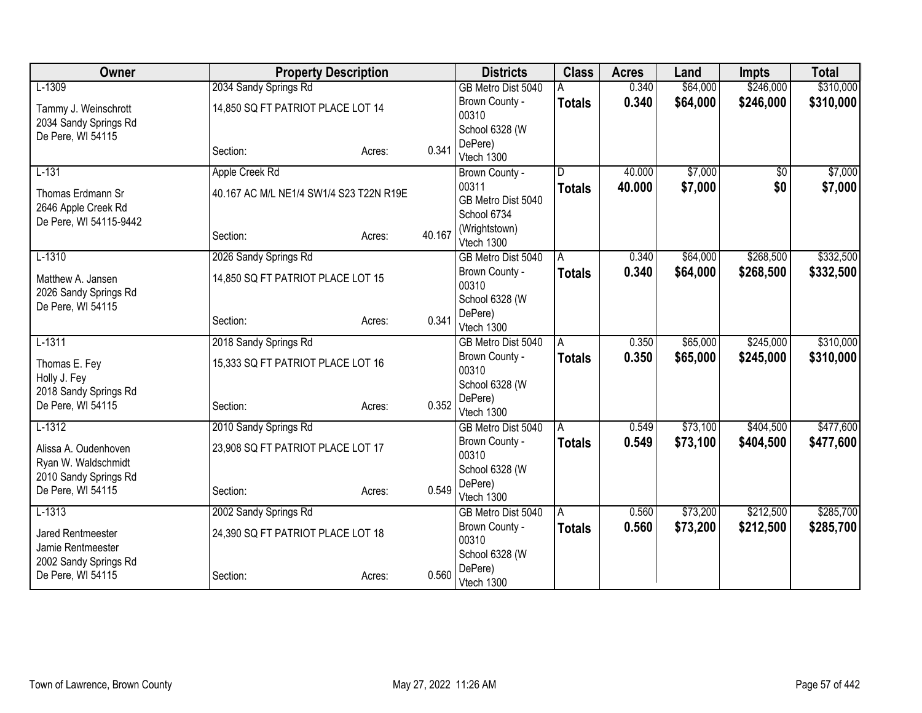| Owner                                       | <b>Property Description</b>             |        | <b>Districts</b> | <b>Class</b>              | <b>Acres</b>  | Land   | <b>Impts</b> | <b>Total</b>    |           |
|---------------------------------------------|-----------------------------------------|--------|------------------|---------------------------|---------------|--------|--------------|-----------------|-----------|
| $L-1309$                                    | 2034 Sandy Springs Rd                   |        |                  | GB Metro Dist 5040        |               | 0.340  | \$64,000     | \$246,000       | \$310,000 |
| Tammy J. Weinschrott                        | 14,850 SQ FT PATRIOT PLACE LOT 14       |        |                  | Brown County -            | <b>Totals</b> | 0.340  | \$64,000     | \$246,000       | \$310,000 |
| 2034 Sandy Springs Rd                       |                                         |        |                  | 00310                     |               |        |              |                 |           |
| De Pere, WI 54115                           |                                         |        |                  | School 6328 (W            |               |        |              |                 |           |
|                                             | Section:                                | Acres: | 0.341            | DePere)<br>Vtech 1300     |               |        |              |                 |           |
| $L-131$                                     | Apple Creek Rd                          |        |                  |                           | D.            | 40.000 | \$7,000      | $\overline{50}$ | \$7,000   |
|                                             |                                         |        |                  | Brown County -<br>00311   |               | 40.000 | \$7,000      | \$0             | \$7,000   |
| Thomas Erdmann Sr                           | 40.167 AC M/L NE1/4 SW1/4 S23 T22N R19E |        |                  | GB Metro Dist 5040        | <b>Totals</b> |        |              |                 |           |
| 2646 Apple Creek Rd                         |                                         |        |                  | School 6734               |               |        |              |                 |           |
| De Pere, WI 54115-9442                      |                                         |        |                  | (Wrightstown)             |               |        |              |                 |           |
|                                             | Section:                                | Acres: | 40.167           | Vtech 1300                |               |        |              |                 |           |
| $L-1310$                                    | 2026 Sandy Springs Rd                   |        |                  | GB Metro Dist 5040        | A             | 0.340  | \$64,000     | \$268,500       | \$332,500 |
| Matthew A. Jansen                           | 14,850 SQ FT PATRIOT PLACE LOT 15       |        |                  | Brown County -            | <b>Totals</b> | 0.340  | \$64,000     | \$268,500       | \$332,500 |
| 2026 Sandy Springs Rd                       |                                         |        |                  | 00310                     |               |        |              |                 |           |
| De Pere, WI 54115                           |                                         |        |                  | School 6328 (W            |               |        |              |                 |           |
|                                             | Section:                                | Acres: | 0.341            | DePere)                   |               |        |              |                 |           |
|                                             |                                         |        |                  | Vtech 1300                |               |        |              |                 |           |
| $L-1311$                                    | 2018 Sandy Springs Rd                   |        |                  | GB Metro Dist 5040        | A             | 0.350  | \$65,000     | \$245,000       | \$310,000 |
| Thomas E. Fey                               | 15,333 SQ FT PATRIOT PLACE LOT 16       |        |                  | Brown County -<br>00310   | <b>Totals</b> | 0.350  | \$65,000     | \$245,000       | \$310,000 |
| Holly J. Fey                                |                                         |        |                  | School 6328 (W            |               |        |              |                 |           |
| 2018 Sandy Springs Rd                       |                                         |        |                  | DePere)                   |               |        |              |                 |           |
| De Pere, WI 54115                           | Section:                                | Acres: | 0.352            | Vtech 1300                |               |        |              |                 |           |
| $L-1312$                                    | 2010 Sandy Springs Rd                   |        |                  | GB Metro Dist 5040        | A             | 0.549  | \$73,100     | \$404,500       | \$477,600 |
|                                             |                                         |        |                  | Brown County -            | <b>Totals</b> | 0.549  | \$73,100     | \$404,500       | \$477,600 |
| Alissa A. Oudenhoven<br>Ryan W. Waldschmidt | 23,908 SQ FT PATRIOT PLACE LOT 17       |        |                  | 00310                     |               |        |              |                 |           |
| 2010 Sandy Springs Rd                       |                                         |        |                  | School 6328 (W            |               |        |              |                 |           |
| De Pere, WI 54115                           | Section:                                | Acres: | 0.549            | DePere)                   |               |        |              |                 |           |
|                                             |                                         |        |                  | Vtech 1300                |               |        |              |                 |           |
| $L-1313$                                    | 2002 Sandy Springs Rd                   |        |                  | GB Metro Dist 5040        | A             | 0.560  | \$73,200     | \$212,500       | \$285,700 |
| Jared Rentmeester                           | 24,390 SQ FT PATRIOT PLACE LOT 18       |        |                  | Brown County -            | Totals        | 0.560  | \$73,200     | \$212,500       | \$285,700 |
| Jamie Rentmeester                           |                                         |        |                  | 00310                     |               |        |              |                 |           |
| 2002 Sandy Springs Rd                       |                                         |        |                  | School 6328 (W<br>DePere) |               |        |              |                 |           |
| De Pere, WI 54115                           | Section:                                | Acres: | 0.560            | Vtech 1300                |               |        |              |                 |           |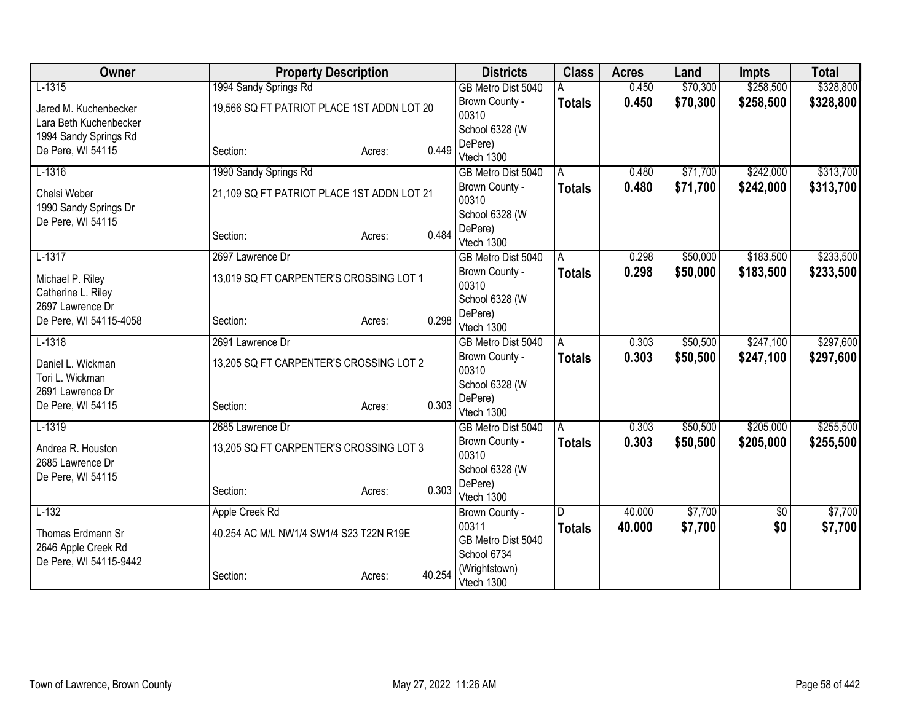| Owner                  | <b>Property Description</b>                |                  | <b>Districts</b>        | <b>Class</b>  | <b>Acres</b> | Land     | <b>Impts</b>  | <b>Total</b> |
|------------------------|--------------------------------------------|------------------|-------------------------|---------------|--------------|----------|---------------|--------------|
| $L-1315$               | 1994 Sandy Springs Rd                      |                  | GB Metro Dist 5040      |               | 0.450        | \$70,300 | \$258,500     | \$328,800    |
| Jared M. Kuchenbecker  | 19,566 SQ FT PATRIOT PLACE 1ST ADDN LOT 20 |                  | Brown County -          | <b>Totals</b> | 0.450        | \$70,300 | \$258,500     | \$328,800    |
| Lara Beth Kuchenbecker |                                            |                  | 00310                   |               |              |          |               |              |
| 1994 Sandy Springs Rd  |                                            |                  | School 6328 (W          |               |              |          |               |              |
| De Pere, WI 54115      | Section:                                   | 0.449<br>Acres:  | DePere)<br>Vtech 1300   |               |              |          |               |              |
| $L-1316$               | 1990 Sandy Springs Rd                      |                  | GB Metro Dist 5040      | A             | 0.480        | \$71,700 | \$242,000     | \$313,700    |
|                        |                                            |                  | Brown County -          | <b>Totals</b> | 0.480        | \$71,700 | \$242,000     | \$313,700    |
| Chelsi Weber           | 21,109 SQ FT PATRIOT PLACE 1ST ADDN LOT 21 |                  | 00310                   |               |              |          |               |              |
| 1990 Sandy Springs Dr  |                                            |                  | School 6328 (W          |               |              |          |               |              |
| De Pere, WI 54115      |                                            |                  | DePere)                 |               |              |          |               |              |
|                        | Section:                                   | 0.484<br>Acres:  | Vtech 1300              |               |              |          |               |              |
| $L-1317$               | 2697 Lawrence Dr                           |                  | GB Metro Dist 5040      | A             | 0.298        | \$50,000 | \$183,500     | \$233,500    |
| Michael P. Riley       | 13,019 SQ FT CARPENTER'S CROSSING LOT 1    |                  | Brown County -          | <b>Totals</b> | 0.298        | \$50,000 | \$183,500     | \$233,500    |
| Catherine L. Riley     |                                            |                  | 00310                   |               |              |          |               |              |
| 2697 Lawrence Dr       |                                            |                  | School 6328 (W          |               |              |          |               |              |
| De Pere, WI 54115-4058 | Section:                                   | 0.298<br>Acres:  | DePere)                 |               |              |          |               |              |
|                        |                                            |                  | Vtech 1300              |               |              |          | \$247,100     |              |
| $L-1318$               | 2691 Lawrence Dr                           |                  | GB Metro Dist 5040      | A             | 0.303        | \$50,500 |               | \$297,600    |
| Daniel L. Wickman      | 13,205 SQ FT CARPENTER'S CROSSING LOT 2    |                  | Brown County -<br>00310 | <b>Totals</b> | 0.303        | \$50,500 | \$247,100     | \$297,600    |
| Tori L. Wickman        |                                            |                  | School 6328 (W          |               |              |          |               |              |
| 2691 Lawrence Dr       |                                            |                  | DePere)                 |               |              |          |               |              |
| De Pere, WI 54115      | Section:                                   | 0.303<br>Acres:  | Vtech 1300              |               |              |          |               |              |
| $L-1319$               | 2685 Lawrence Dr                           |                  | GB Metro Dist 5040      | A             | 0.303        | \$50,500 | \$205,000     | \$255,500    |
| Andrea R. Houston      | 13,205 SQ FT CARPENTER'S CROSSING LOT 3    |                  | Brown County -          | <b>Totals</b> | 0.303        | \$50,500 | \$205,000     | \$255,500    |
| 2685 Lawrence Dr       |                                            |                  | 00310                   |               |              |          |               |              |
| De Pere, WI 54115      |                                            |                  | School 6328 (W          |               |              |          |               |              |
|                        | Section:                                   | 0.303<br>Acres:  | DePere)                 |               |              |          |               |              |
|                        |                                            |                  | Vtech 1300              |               |              |          |               |              |
| $L-132$                | Apple Creek Rd                             |                  | Brown County -<br>00311 | D             | 40.000       | \$7,700  | $\sqrt[6]{3}$ | \$7,700      |
| Thomas Erdmann Sr      | 40.254 AC M/L NW1/4 SW1/4 S23 T22N R19E    |                  | GB Metro Dist 5040      | <b>Totals</b> | 40.000       | \$7,700  | \$0           | \$7,700      |
| 2646 Apple Creek Rd    |                                            |                  | School 6734             |               |              |          |               |              |
| De Pere, WI 54115-9442 |                                            |                  | (Wrightstown)           |               |              |          |               |              |
|                        | Section:                                   | 40.254<br>Acres: | Vtech 1300              |               |              |          |               |              |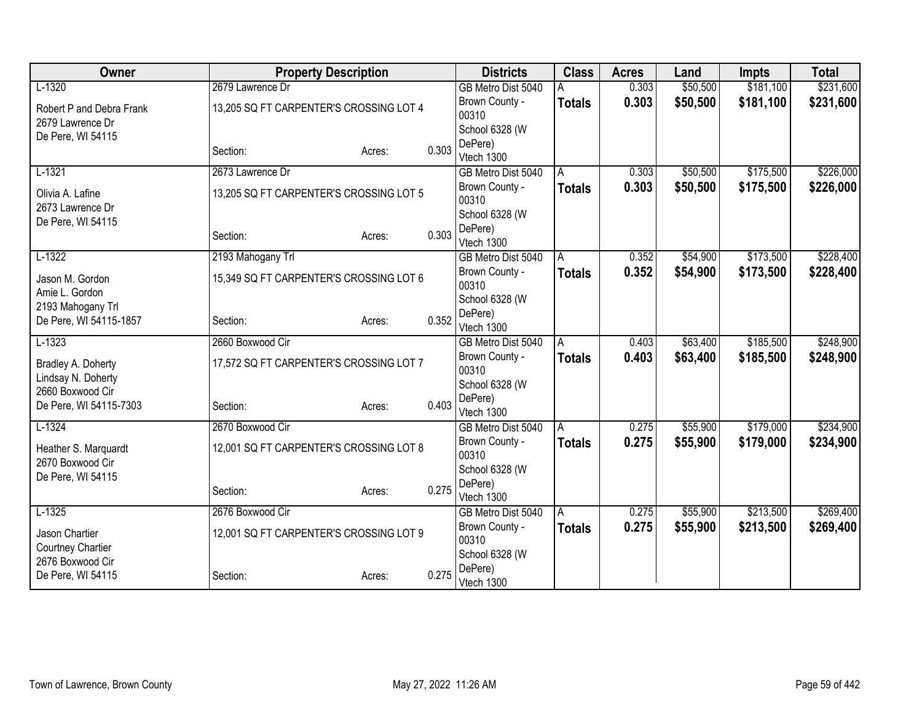| Owner                    | <b>Property Description</b>             |        |       | <b>Districts</b>        | <b>Class</b>  | <b>Acres</b> | Land     | <b>Impts</b> | <b>Total</b> |
|--------------------------|-----------------------------------------|--------|-------|-------------------------|---------------|--------------|----------|--------------|--------------|
| $L-1320$                 | 2679 Lawrence Dr                        |        |       | GB Metro Dist 5040      |               | 0.303        | \$50,500 | \$181,100    | \$231,600    |
| Robert P and Debra Frank | 13,205 SQ FT CARPENTER'S CROSSING LOT 4 |        |       | Brown County -          | <b>Totals</b> | 0.303        | \$50,500 | \$181,100    | \$231,600    |
| 2679 Lawrence Dr         |                                         |        |       | 00310                   |               |              |          |              |              |
| De Pere, WI 54115        |                                         |        |       | School 6328 (W          |               |              |          |              |              |
|                          | Section:                                | Acres: | 0.303 | DePere)<br>Vtech 1300   |               |              |          |              |              |
| $L-1321$                 | 2673 Lawrence Dr                        |        |       | GB Metro Dist 5040      | A             | 0.303        | \$50,500 | \$175,500    | \$226,000    |
|                          |                                         |        |       | Brown County -          | <b>Totals</b> | 0.303        | \$50,500 | \$175,500    | \$226,000    |
| Olivia A. Lafine         | 13,205 SQ FT CARPENTER'S CROSSING LOT 5 |        |       | 00310                   |               |              |          |              |              |
| 2673 Lawrence Dr         |                                         |        |       | School 6328 (W          |               |              |          |              |              |
| De Pere, WI 54115        |                                         |        |       | DePere)                 |               |              |          |              |              |
|                          | Section:                                | Acres: | 0.303 | Vtech 1300              |               |              |          |              |              |
| $L-1322$                 | 2193 Mahogany Trl                       |        |       | GB Metro Dist 5040      | A             | 0.352        | \$54,900 | \$173,500    | \$228,400    |
| Jason M. Gordon          | 15,349 SQ FT CARPENTER'S CROSSING LOT 6 |        |       | Brown County -          | <b>Totals</b> | 0.352        | \$54,900 | \$173,500    | \$228,400    |
| Amie L. Gordon           |                                         |        |       | 00310                   |               |              |          |              |              |
| 2193 Mahogany Trl        |                                         |        |       | School 6328 (W          |               |              |          |              |              |
| De Pere, WI 54115-1857   | Section:                                | Acres: | 0.352 | DePere)                 |               |              |          |              |              |
|                          | 2660 Boxwood Cir                        |        |       | Vtech 1300              |               |              |          |              |              |
| $L-1323$                 |                                         |        |       | GB Metro Dist 5040      | A             | 0.403        | \$63,400 | \$185,500    | \$248,900    |
| Bradley A. Doherty       | 17,572 SQ FT CARPENTER'S CROSSING LOT 7 |        |       | Brown County -<br>00310 | <b>Totals</b> | 0.403        | \$63,400 | \$185,500    | \$248,900    |
| Lindsay N. Doherty       |                                         |        |       | School 6328 (W          |               |              |          |              |              |
| 2660 Boxwood Cir         |                                         |        |       | DePere)                 |               |              |          |              |              |
| De Pere, WI 54115-7303   | Section:                                | Acres: | 0.403 | Vtech 1300              |               |              |          |              |              |
| $L-1324$                 | 2670 Boxwood Cir                        |        |       | GB Metro Dist 5040      | A             | 0.275        | \$55,900 | \$179,000    | \$234,900    |
| Heather S. Marquardt     | 12,001 SQ FT CARPENTER'S CROSSING LOT 8 |        |       | Brown County -          | <b>Totals</b> | 0.275        | \$55,900 | \$179,000    | \$234,900    |
| 2670 Boxwood Cir         |                                         |        |       | 00310                   |               |              |          |              |              |
| De Pere, WI 54115        |                                         |        |       | School 6328 (W          |               |              |          |              |              |
|                          | Section:                                | Acres: | 0.275 | DePere)                 |               |              |          |              |              |
|                          |                                         |        |       | Vtech 1300              |               |              |          |              |              |
| $L-1325$                 | 2676 Boxwood Cir                        |        |       | GB Metro Dist 5040      | A             | 0.275        | \$55,900 | \$213,500    | \$269,400    |
| Jason Chartier           | 12,001 SQ FT CARPENTER'S CROSSING LOT 9 |        |       | Brown County -<br>00310 | <b>Totals</b> | 0.275        | \$55,900 | \$213,500    | \$269,400    |
| Courtney Chartier        |                                         |        |       | School 6328 (W          |               |              |          |              |              |
| 2676 Boxwood Cir         |                                         |        |       | DePere)                 |               |              |          |              |              |
| De Pere, WI 54115        | Section:                                | Acres: | 0.275 | Vtech 1300              |               |              |          |              |              |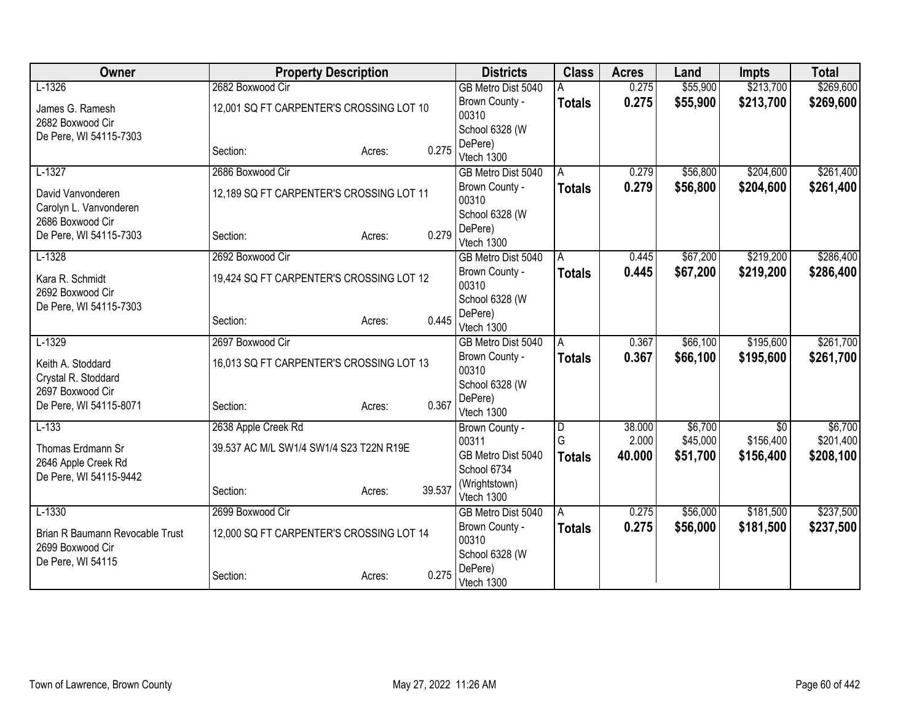| Owner                                         | <b>Property Description</b>              |                  | <b>Districts</b>                 | <b>Class</b>            | <b>Acres</b> | Land     | <b>Impts</b>    | <b>Total</b> |
|-----------------------------------------------|------------------------------------------|------------------|----------------------------------|-------------------------|--------------|----------|-----------------|--------------|
| $L-1326$                                      | 2682 Boxwood Cir                         |                  | GB Metro Dist 5040               |                         | 0.275        | \$55,900 | \$213,700       | \$269,600    |
| James G. Ramesh                               | 12,001 SQ FT CARPENTER'S CROSSING LOT 10 |                  | Brown County -                   | <b>Totals</b>           | 0.275        | \$55,900 | \$213,700       | \$269,600    |
| 2682 Boxwood Cir                              |                                          |                  | 00310                            |                         |              |          |                 |              |
| De Pere, WI 54115-7303                        |                                          |                  | School 6328 (W                   |                         |              |          |                 |              |
|                                               | Section:                                 | 0.275<br>Acres:  | DePere)                          |                         |              |          |                 |              |
| $L-1327$                                      | 2686 Boxwood Cir                         |                  | Vtech 1300<br>GB Metro Dist 5040 | A                       | 0.279        | \$56,800 | \$204,600       | \$261,400    |
|                                               |                                          |                  | Brown County -                   |                         | 0.279        | \$56,800 | \$204,600       |              |
| David Vanvonderen                             | 12,189 SQ FT CARPENTER'S CROSSING LOT 11 |                  | 00310                            | <b>Totals</b>           |              |          |                 | \$261,400    |
| Carolyn L. Vanvonderen                        |                                          |                  | School 6328 (W                   |                         |              |          |                 |              |
| 2686 Boxwood Cir                              |                                          |                  | DePere)                          |                         |              |          |                 |              |
| De Pere, WI 54115-7303                        | Section:                                 | 0.279<br>Acres:  | Vtech 1300                       |                         |              |          |                 |              |
| $L-1328$                                      | 2692 Boxwood Cir                         |                  | GB Metro Dist 5040               | A                       | 0.445        | \$67,200 | \$219,200       | \$286,400    |
| Kara R. Schmidt                               | 19,424 SQ FT CARPENTER'S CROSSING LOT 12 |                  | Brown County -                   | <b>Totals</b>           | 0.445        | \$67,200 | \$219,200       | \$286,400    |
| 2692 Boxwood Cir                              |                                          | 00310            |                                  |                         |              |          |                 |              |
| De Pere, WI 54115-7303                        |                                          |                  | School 6328 (W                   |                         |              |          |                 |              |
|                                               | Section:                                 | 0.445<br>Acres:  | DePere)                          |                         |              |          |                 |              |
|                                               |                                          |                  | Vtech 1300                       |                         |              |          |                 |              |
| $L-1329$                                      | 2697 Boxwood Cir                         |                  | GB Metro Dist 5040               | A                       | 0.367        | \$66,100 | \$195,600       | \$261,700    |
| Keith A. Stoddard                             | 16,013 SQ FT CARPENTER'S CROSSING LOT 13 |                  | Brown County -<br>00310          | <b>Totals</b>           | 0.367        | \$66,100 | \$195,600       | \$261,700    |
| Crystal R. Stoddard                           |                                          |                  | School 6328 (W                   |                         |              |          |                 |              |
| 2697 Boxwood Cir                              |                                          |                  | DePere)                          |                         |              |          |                 |              |
| De Pere, WI 54115-8071                        | Section:                                 | 0.367<br>Acres:  | Vtech 1300                       |                         |              |          |                 |              |
| $L-133$                                       | 2638 Apple Creek Rd                      |                  | Brown County -                   | $\overline{\mathsf{D}}$ | 38.000       | \$6,700  | $\overline{50}$ | \$6,700      |
|                                               |                                          |                  | 00311                            | G                       | 2.000        | \$45,000 | \$156,400       | \$201,400    |
| Thomas Erdmann Sr                             | 39.537 AC M/L SW1/4 SW1/4 S23 T22N R19E  |                  | GB Metro Dist 5040               | <b>Totals</b>           | 40.000       | \$51,700 | \$156,400       | \$208,100    |
| 2646 Apple Creek Rd<br>De Pere, WI 54115-9442 |                                          |                  | School 6734                      |                         |              |          |                 |              |
|                                               | Section:                                 | 39.537<br>Acres: | (Wrightstown)                    |                         |              |          |                 |              |
|                                               |                                          |                  | Vtech 1300                       |                         |              |          |                 |              |
| $L-1330$                                      | 2699 Boxwood Cir                         |                  | GB Metro Dist 5040               | A                       | 0.275        | \$56,000 | \$181,500       | \$237,500    |
| Brian R Baumann Revocable Trust               | 12,000 SQ FT CARPENTER'S CROSSING LOT 14 |                  | Brown County -                   | <b>Totals</b>           | 0.275        | \$56,000 | \$181,500       | \$237,500    |
| 2699 Boxwood Cir                              |                                          |                  | 00310                            |                         |              |          |                 |              |
| De Pere, WI 54115                             |                                          |                  | School 6328 (W                   |                         |              |          |                 |              |
|                                               | Section:                                 | 0.275<br>Acres:  | DePere)<br>Vtech 1300            |                         |              |          |                 |              |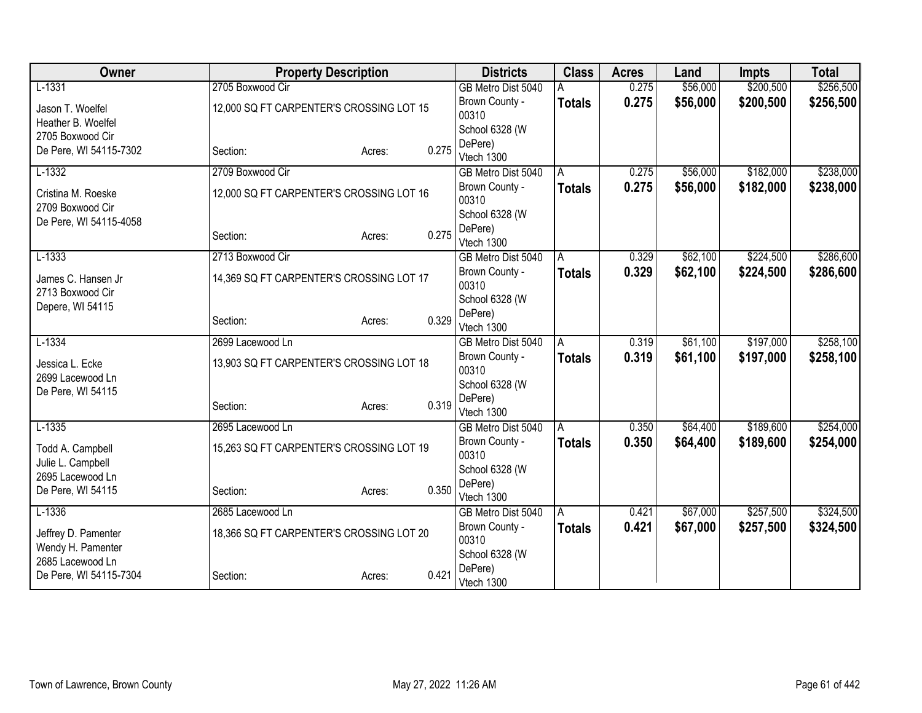| Owner                                  | <b>Property Description</b>              |                 | <b>Districts</b>        | <b>Class</b>   | <b>Acres</b> | Land     | <b>Impts</b> | <b>Total</b> |
|----------------------------------------|------------------------------------------|-----------------|-------------------------|----------------|--------------|----------|--------------|--------------|
| $L-1331$                               | 2705 Boxwood Cir                         |                 | GB Metro Dist 5040      |                | 0.275        | \$56,000 | \$200,500    | \$256,500    |
| Jason T. Woelfel                       | 12,000 SQ FT CARPENTER'S CROSSING LOT 15 |                 | Brown County -          | <b>Totals</b>  | 0.275        | \$56,000 | \$200,500    | \$256,500    |
| Heather B. Woelfel                     |                                          |                 | 00310                   |                |              |          |              |              |
| 2705 Boxwood Cir                       |                                          |                 | School 6328 (W          |                |              |          |              |              |
| De Pere, WI 54115-7302                 | Section:                                 | 0.275<br>Acres: | DePere)                 |                |              |          |              |              |
| $L-1332$                               | 2709 Boxwood Cir                         |                 | Vtech 1300              |                |              | \$56,000 | \$182,000    |              |
|                                        |                                          |                 | GB Metro Dist 5040      | A              | 0.275        |          |              | \$238,000    |
| Cristina M. Roeske<br>2709 Boxwood Cir | 12,000 SQ FT CARPENTER'S CROSSING LOT 16 |                 | Brown County -<br>00310 | <b>Totals</b>  | 0.275        | \$56,000 | \$182,000    | \$238,000    |
| De Pere, WI 54115-4058                 |                                          |                 | School 6328 (W          |                |              |          |              |              |
|                                        | Section:                                 | 0.275<br>Acres: | DePere)                 |                |              |          |              |              |
|                                        |                                          |                 | Vtech 1300              |                |              |          |              |              |
| $L-1333$                               | 2713 Boxwood Cir                         |                 | GB Metro Dist 5040      | A              | 0.329        | \$62,100 | \$224,500    | \$286,600    |
| James C. Hansen Jr                     | 14,369 SQ FT CARPENTER'S CROSSING LOT 17 |                 | Brown County -<br>00310 | <b>Totals</b>  | 0.329        | \$62,100 | \$224,500    | \$286,600    |
| 2713 Boxwood Cir<br>Depere, WI 54115   |                                          |                 | School 6328 (W          |                |              |          |              |              |
|                                        | Section:                                 | 0.329<br>Acres: | DePere)                 |                |              |          |              |              |
|                                        |                                          |                 | Vtech 1300              |                |              |          |              |              |
| $L-1334$                               | 2699 Lacewood Ln                         |                 | GB Metro Dist 5040      | A              | 0.319        | \$61,100 | \$197,000    | \$258,100    |
| Jessica L. Ecke                        | 13,903 SQ FT CARPENTER'S CROSSING LOT 18 |                 | Brown County -<br>00310 | <b>Totals</b>  | 0.319        | \$61,100 | \$197,000    | \$258,100    |
| 2699 Lacewood Ln                       |                                          |                 | School 6328 (W          |                |              |          |              |              |
| De Pere, WI 54115                      |                                          |                 | DePere)                 |                |              |          |              |              |
|                                        | Section:                                 | 0.319<br>Acres: | Vtech 1300              |                |              |          |              |              |
| $L-1335$                               | 2695 Lacewood Ln                         |                 | GB Metro Dist 5040      | $\overline{A}$ | 0.350        | \$64,400 | \$189,600    | \$254,000    |
| Todd A. Campbell                       | 15,263 SQ FT CARPENTER'S CROSSING LOT 19 |                 | Brown County -          | <b>Totals</b>  | 0.350        | \$64,400 | \$189,600    | \$254,000    |
| Julie L. Campbell                      |                                          |                 | 00310                   |                |              |          |              |              |
| 2695 Lacewood Ln                       |                                          |                 | School 6328 (W          |                |              |          |              |              |
| De Pere, WI 54115                      | Section:                                 | 0.350<br>Acres: | DePere)                 |                |              |          |              |              |
|                                        |                                          |                 | Vtech 1300              |                |              |          |              |              |
| $L-1336$                               | 2685 Lacewood Ln                         |                 | GB Metro Dist 5040      | ΙA             | 0.421        | \$67,000 | \$257,500    | \$324,500    |
| Jeffrey D. Pamenter                    | 18,366 SQ FT CARPENTER'S CROSSING LOT 20 |                 | Brown County -<br>00310 | <b>Totals</b>  | 0.421        | \$67,000 | \$257,500    | \$324,500    |
| Wendy H. Pamenter<br>2685 Lacewood Ln  |                                          |                 | School 6328 (W          |                |              |          |              |              |
| De Pere, WI 54115-7304                 | Section:                                 | 0.421<br>Acres: | DePere)                 |                |              |          |              |              |
|                                        |                                          |                 | Vtech 1300              |                |              |          |              |              |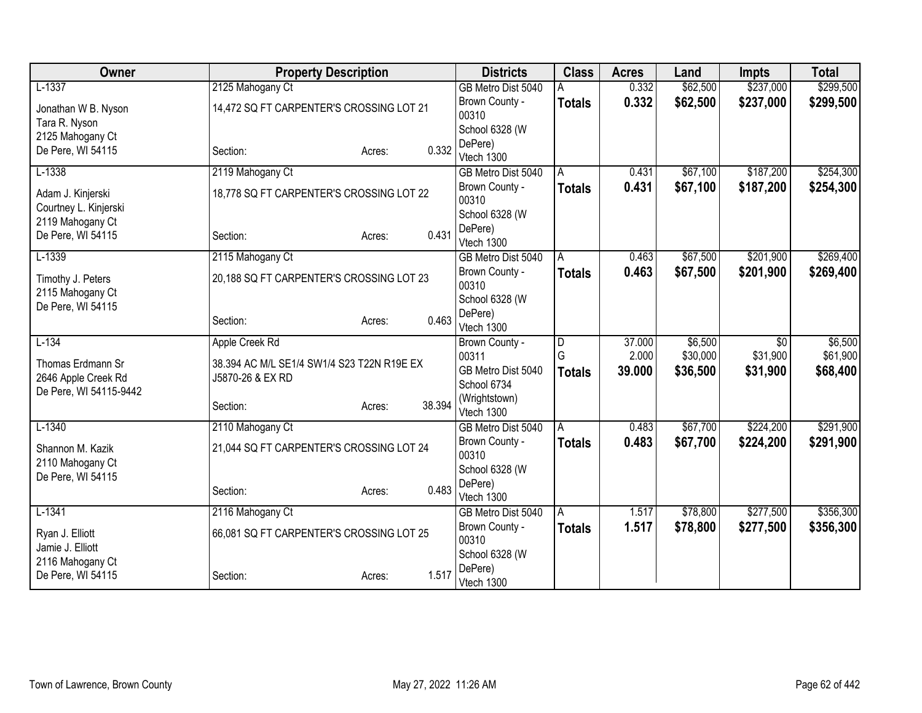| Owner                  | <b>Property Description</b>                |                  | <b>Districts</b>                 | <b>Class</b>  | <b>Acres</b> | Land     | <b>Impts</b>    | <b>Total</b> |
|------------------------|--------------------------------------------|------------------|----------------------------------|---------------|--------------|----------|-----------------|--------------|
| $L-1337$               | 2125 Mahogany Ct                           |                  | GB Metro Dist 5040               |               | 0.332        | \$62,500 | \$237,000       | \$299,500    |
| Jonathan W B. Nyson    | 14,472 SQ FT CARPENTER'S CROSSING LOT 21   |                  | Brown County -                   | <b>Totals</b> | 0.332        | \$62,500 | \$237,000       | \$299,500    |
| Tara R. Nyson          |                                            |                  | 00310                            |               |              |          |                 |              |
| 2125 Mahogany Ct       |                                            |                  | School 6328 (W                   |               |              |          |                 |              |
| De Pere, WI 54115      | Section:                                   | 0.332<br>Acres:  | DePere)<br>Vtech 1300            |               |              |          |                 |              |
| $L-1338$               | 2119 Mahogany Ct                           |                  | GB Metro Dist 5040               | A             | 0.431        | \$67,100 | \$187,200       | \$254,300    |
| Adam J. Kinjerski      | 18,778 SQ FT CARPENTER'S CROSSING LOT 22   |                  | Brown County -                   | <b>Totals</b> | 0.431        | \$67,100 | \$187,200       | \$254,300    |
| Courtney L. Kinjerski  |                                            |                  | 00310                            |               |              |          |                 |              |
| 2119 Mahogany Ct       |                                            |                  | School 6328 (W                   |               |              |          |                 |              |
| De Pere, WI 54115      | Section:                                   | 0.431<br>Acres:  | DePere)                          |               |              |          |                 |              |
| $L-1339$               | 2115 Mahogany Ct                           |                  | Vtech 1300<br>GB Metro Dist 5040 | Α             | 0.463        | \$67,500 | \$201,900       | \$269,400    |
|                        |                                            |                  | Brown County -                   |               | 0.463        | \$67,500 | \$201,900       | \$269,400    |
| Timothy J. Peters      | 20,188 SQ FT CARPENTER'S CROSSING LOT 23   |                  | 00310                            | <b>Totals</b> |              |          |                 |              |
| 2115 Mahogany Ct       |                                            |                  | School 6328 (W                   |               |              |          |                 |              |
| De Pere, WI 54115      |                                            | 0.463            | DePere)                          |               |              |          |                 |              |
|                        | Section:                                   | Acres:           | Vtech 1300                       |               |              |          |                 |              |
| $L-134$                | Apple Creek Rd                             |                  | Brown County -                   | D             | 37.000       | \$6,500  | $\overline{50}$ | \$6,500      |
| Thomas Erdmann Sr      | 38.394 AC M/L SE1/4 SW1/4 S23 T22N R19E EX |                  | 00311                            | G             | 2.000        | \$30,000 | \$31,900        | \$61,900     |
| 2646 Apple Creek Rd    | J5870-26 & EX RD                           |                  | GB Metro Dist 5040               | <b>Totals</b> | 39.000       | \$36,500 | \$31,900        | \$68,400     |
| De Pere, WI 54115-9442 |                                            |                  | School 6734<br>(Wrightstown)     |               |              |          |                 |              |
|                        | Section:                                   | 38.394<br>Acres: | Vtech 1300                       |               |              |          |                 |              |
| $L-1340$               | 2110 Mahogany Ct                           |                  | GB Metro Dist 5040               | A             | 0.483        | \$67,700 | \$224,200       | \$291,900    |
| Shannon M. Kazik       | 21,044 SQ FT CARPENTER'S CROSSING LOT 24   |                  | Brown County -                   | <b>Totals</b> | 0.483        | \$67,700 | \$224,200       | \$291,900    |
| 2110 Mahogany Ct       |                                            |                  | 00310                            |               |              |          |                 |              |
| De Pere, WI 54115      |                                            |                  | School 6328 (W                   |               |              |          |                 |              |
|                        | Section:                                   | 0.483<br>Acres:  | DePere)                          |               |              |          |                 |              |
| $L-1341$               | 2116 Mahogany Ct                           |                  | Vtech 1300<br>GB Metro Dist 5040 | A             | 1.517        | \$78,800 | \$277,500       | \$356,300    |
|                        |                                            |                  | Brown County -                   | <b>Totals</b> | 1.517        | \$78,800 | \$277,500       | \$356,300    |
| Ryan J. Elliott        | 66,081 SQ FT CARPENTER'S CROSSING LOT 25   |                  | 00310                            |               |              |          |                 |              |
| Jamie J. Elliott       |                                            |                  | School 6328 (W                   |               |              |          |                 |              |
| 2116 Mahogany Ct       |                                            | 1.517            | DePere)                          |               |              |          |                 |              |
| De Pere, WI 54115      | Section:                                   | Acres:           | Vtech 1300                       |               |              |          |                 |              |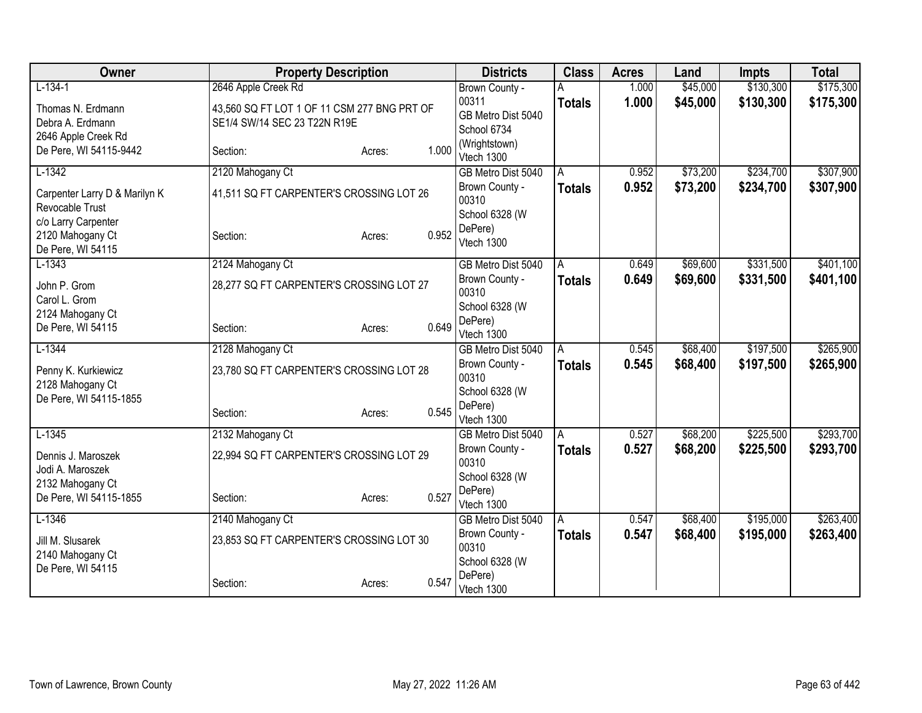| Owner                                                        | <b>Property Description</b>                                                 |                 | <b>Districts</b>                           | <b>Class</b>   | <b>Acres</b> | Land     | <b>Impts</b> | <b>Total</b> |
|--------------------------------------------------------------|-----------------------------------------------------------------------------|-----------------|--------------------------------------------|----------------|--------------|----------|--------------|--------------|
| $L-134-1$                                                    | 2646 Apple Creek Rd                                                         |                 | Brown County -                             |                | 1.000        | \$45,000 | \$130,300    | \$175,300    |
| Thomas N. Erdmann<br>Debra A. Erdmann<br>2646 Apple Creek Rd | 43,560 SQ FT LOT 1 OF 11 CSM 277 BNG PRT OF<br>SE1/4 SW/14 SEC 23 T22N R19E |                 | 00311<br>GB Metro Dist 5040<br>School 6734 | <b>Totals</b>  | 1.000        | \$45,000 | \$130,300    | \$175,300    |
| De Pere, WI 54115-9442                                       | Section:                                                                    | 1.000<br>Acres: | (Wrightstown)<br>Vtech 1300                |                |              |          |              |              |
| $L-1342$                                                     | 2120 Mahogany Ct                                                            |                 | GB Metro Dist 5040                         | A              | 0.952        | \$73,200 | \$234,700    | \$307,900    |
| Carpenter Larry D & Marilyn K<br>Revocable Trust             | 41,511 SQ FT CARPENTER'S CROSSING LOT 26                                    |                 | Brown County -<br>00310                    | <b>Totals</b>  | 0.952        | \$73,200 | \$234,700    | \$307,900    |
| c/o Larry Carpenter<br>2120 Mahogany Ct<br>De Pere, WI 54115 | Section:                                                                    | 0.952<br>Acres: | School 6328 (W<br>DePere)<br>Vtech 1300    |                |              |          |              |              |
| $L-1343$                                                     | 2124 Mahogany Ct                                                            |                 | GB Metro Dist 5040                         | $\overline{A}$ | 0.649        | \$69,600 | \$331,500    | \$401,100    |
| John P. Grom<br>Carol L. Grom                                | 28,277 SQ FT CARPENTER'S CROSSING LOT 27                                    |                 | Brown County -<br>00310                    | Totals         | 0.649        | \$69,600 | \$331,500    | \$401,100    |
| 2124 Mahogany Ct<br>De Pere, WI 54115                        | Section:                                                                    | 0.649<br>Acres: | School 6328 (W<br>DePere)<br>Vtech 1300    |                |              |          |              |              |
| $L-1344$                                                     | 2128 Mahogany Ct                                                            |                 | GB Metro Dist 5040                         | A              | 0.545        | \$68,400 | \$197,500    | \$265,900    |
| Penny K. Kurkiewicz<br>2128 Mahogany Ct                      | 23,780 SQ FT CARPENTER'S CROSSING LOT 28                                    |                 | Brown County -<br>00310                    | <b>Totals</b>  | 0.545        | \$68,400 | \$197,500    | \$265,900    |
| De Pere, WI 54115-1855                                       |                                                                             |                 | School 6328 (W<br>DePere)                  |                |              |          |              |              |
|                                                              | Section:                                                                    | 0.545<br>Acres: | Vtech 1300                                 |                |              |          |              |              |
| $L-1345$                                                     | 2132 Mahogany Ct                                                            |                 | GB Metro Dist 5040                         | A              | 0.527        | \$68,200 | \$225,500    | \$293,700    |
| Dennis J. Maroszek<br>Jodi A. Maroszek                       | 22,994 SQ FT CARPENTER'S CROSSING LOT 29                                    |                 | Brown County -<br>00310<br>School 6328 (W  | Totals         | 0.527        | \$68,200 | \$225,500    | \$293,700    |
| 2132 Mahogany Ct<br>De Pere, WI 54115-1855                   | Section:                                                                    | 0.527<br>Acres: | DePere)<br>Vtech 1300                      |                |              |          |              |              |
| $L-1346$                                                     | 2140 Mahogany Ct                                                            |                 | GB Metro Dist 5040                         | A              | 0.547        | \$68,400 | \$195,000    | \$263,400    |
| Jill M. Slusarek<br>2140 Mahogany Ct                         | 23,853 SQ FT CARPENTER'S CROSSING LOT 30                                    |                 | Brown County -<br>00310                    | <b>Totals</b>  | 0.547        | \$68,400 | \$195,000    | \$263,400    |
| De Pere, WI 54115                                            | Section:                                                                    | 0.547<br>Acres: | School 6328 (W<br>DePere)<br>Vtech 1300    |                |              |          |              |              |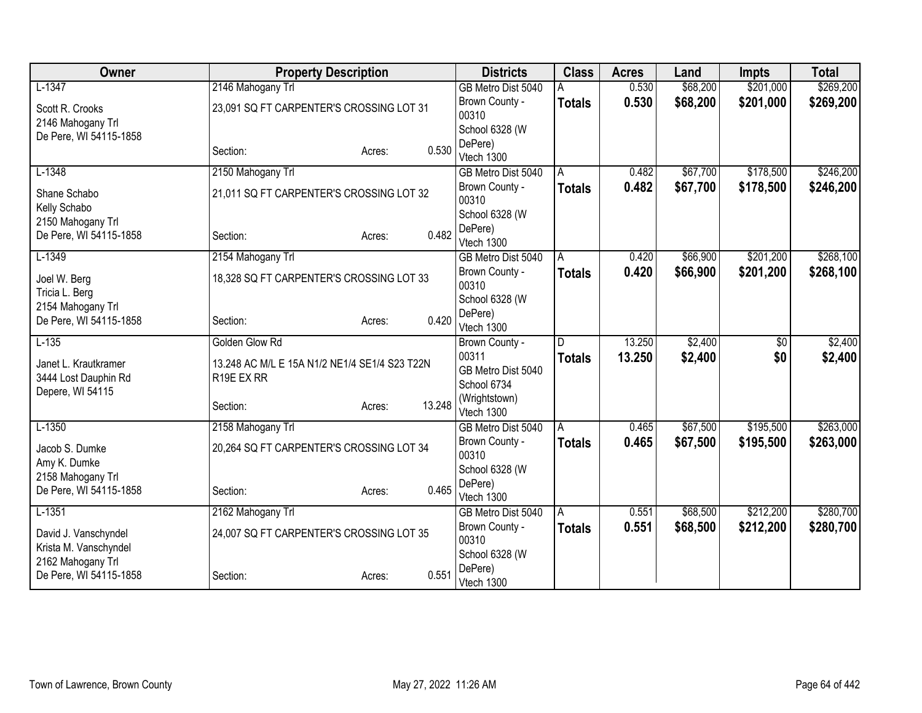| Owner                                       | <b>Property Description</b>                   |                  | <b>Districts</b>            | <b>Class</b>  | <b>Acres</b> | Land     | <b>Impts</b>    | <b>Total</b> |
|---------------------------------------------|-----------------------------------------------|------------------|-----------------------------|---------------|--------------|----------|-----------------|--------------|
| $L-1347$                                    | 2146 Mahogany Trl                             |                  | GB Metro Dist 5040          |               | 0.530        | \$68,200 | \$201,000       | \$269,200    |
| Scott R. Crooks                             | 23,091 SQ FT CARPENTER'S CROSSING LOT 31      |                  | Brown County -              | <b>Totals</b> | 0.530        | \$68,200 | \$201,000       | \$269,200    |
| 2146 Mahogany Trl                           |                                               |                  | 00310                       |               |              |          |                 |              |
| De Pere, WI 54115-1858                      |                                               |                  | School 6328 (W              |               |              |          |                 |              |
|                                             | Section:                                      | 0.530<br>Acres:  | DePere)<br>Vtech 1300       |               |              |          |                 |              |
| $L-1348$                                    | 2150 Mahogany Trl                             |                  | GB Metro Dist 5040          | A             | 0.482        | \$67,700 | \$178,500       | \$246,200    |
|                                             |                                               |                  | Brown County -              |               | 0.482        | \$67,700 | \$178,500       |              |
| Shane Schabo<br>Kelly Schabo                | 21,011 SQ FT CARPENTER'S CROSSING LOT 32      |                  | 00310                       | <b>Totals</b> |              |          |                 | \$246,200    |
| 2150 Mahogany Trl                           |                                               |                  | School 6328 (W              |               |              |          |                 |              |
| De Pere, WI 54115-1858                      | Section:                                      | 0.482<br>Acres:  | DePere)                     |               |              |          |                 |              |
|                                             |                                               |                  | Vtech 1300                  |               |              |          |                 |              |
| $L-1349$                                    | 2154 Mahogany Trl                             |                  | GB Metro Dist 5040          | A             | 0.420        | \$66,900 | \$201,200       | \$268,100    |
| Joel W. Berg                                | 18,328 SQ FT CARPENTER'S CROSSING LOT 33      |                  | Brown County -<br>00310     | <b>Totals</b> | 0.420        | \$66,900 | \$201,200       | \$268,100    |
| Tricia L. Berg                              |                                               |                  | School 6328 (W              |               |              |          |                 |              |
| 2154 Mahogany Trl<br>De Pere, WI 54115-1858 |                                               | 0.420            | DePere)                     |               |              |          |                 |              |
|                                             | Section:                                      | Acres:           | Vtech 1300                  |               |              |          |                 |              |
| $L-135$                                     | Golden Glow Rd                                |                  | Brown County -              | D             | 13.250       | \$2,400  | $\overline{50}$ | \$2,400      |
| Janet L. Krautkramer                        | 13.248 AC M/L E 15A N1/2 NE1/4 SE1/4 S23 T22N |                  | 00311                       | <b>Totals</b> | 13.250       | \$2,400  | \$0             | \$2,400      |
| 3444 Lost Dauphin Rd                        | R19E EX RR                                    |                  | GB Metro Dist 5040          |               |              |          |                 |              |
| Depere, WI 54115                            |                                               |                  | School 6734                 |               |              |          |                 |              |
|                                             | Section:                                      | 13.248<br>Acres: | (Wrightstown)<br>Vtech 1300 |               |              |          |                 |              |
| $L-1350$                                    | 2158 Mahogany Trl                             |                  | GB Metro Dist 5040          | A             | 0.465        | \$67,500 | \$195,500       | \$263,000    |
|                                             |                                               |                  | Brown County -              | <b>Totals</b> | 0.465        | \$67,500 | \$195,500       | \$263,000    |
| Jacob S. Dumke                              | 20,264 SQ FT CARPENTER'S CROSSING LOT 34      |                  | 00310                       |               |              |          |                 |              |
| Amy K. Dumke                                |                                               |                  | School 6328 (W              |               |              |          |                 |              |
| 2158 Mahogany Trl                           |                                               |                  | DePere)                     |               |              |          |                 |              |
| De Pere, WI 54115-1858                      | Section:                                      | 0.465<br>Acres:  | Vtech 1300                  |               |              |          |                 |              |
| $L-1351$                                    | 2162 Mahogany Trl                             |                  | GB Metro Dist 5040          | A             | 0.551        | \$68,500 | \$212,200       | \$280,700    |
| David J. Vanschyndel                        | 24,007 SQ FT CARPENTER'S CROSSING LOT 35      |                  | Brown County -              | Totals        | 0.551        | \$68,500 | \$212,200       | \$280,700    |
| Krista M. Vanschyndel                       |                                               |                  | 00310                       |               |              |          |                 |              |
| 2162 Mahogany Trl                           |                                               |                  | School 6328 (W              |               |              |          |                 |              |
| De Pere, WI 54115-1858                      | Section:                                      | 0.551<br>Acres:  | DePere)                     |               |              |          |                 |              |
|                                             |                                               |                  | Vtech 1300                  |               |              |          |                 |              |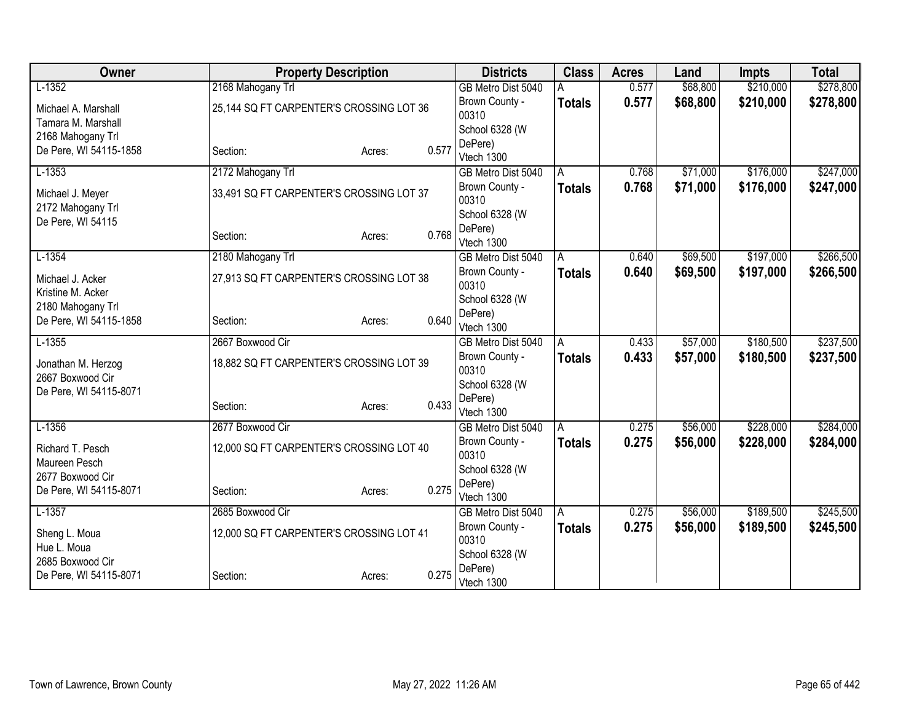| 2168 Mahogany Trl<br>$L-1352$<br>GB Metro Dist 5040<br>\$68,800<br>0.577<br>0.577<br>\$68,800<br>Brown County -<br><b>Totals</b><br>25,144 SQ FT CARPENTER'S CROSSING LOT 36<br>Michael A. Marshall<br>00310 | \$278,800<br>\$210,000<br>\$210,000<br>\$278,800 |
|--------------------------------------------------------------------------------------------------------------------------------------------------------------------------------------------------------------|--------------------------------------------------|
|                                                                                                                                                                                                              |                                                  |
|                                                                                                                                                                                                              |                                                  |
| Tamara M. Marshall                                                                                                                                                                                           |                                                  |
| School 6328 (W<br>2168 Mahogany Trl                                                                                                                                                                          |                                                  |
| DePere)<br>0.577<br>De Pere, WI 54115-1858<br>Section:<br>Acres:                                                                                                                                             |                                                  |
| Vtech 1300<br>$L-1353$<br>\$71,000<br>0.768<br>GB Metro Dist 5040                                                                                                                                            | \$247,000<br>\$176,000                           |
| 2172 Mahogany Trl<br>A                                                                                                                                                                                       |                                                  |
| 0.768<br>\$71,000<br>Brown County -<br><b>Totals</b><br>33,491 SQ FT CARPENTER'S CROSSING LOT 37<br>Michael J. Meyer<br>00310<br>2172 Mahogany Trl                                                           | \$176,000<br>\$247,000                           |
| School 6328 (W<br>De Pere, WI 54115                                                                                                                                                                          |                                                  |
| DePere)<br>0.768<br>Section:<br>Acres:                                                                                                                                                                       |                                                  |
| Vtech 1300                                                                                                                                                                                                   |                                                  |
| $L-1354$<br>2180 Mahogany Trl<br>\$69,500<br>GB Metro Dist 5040<br>0.640<br>A                                                                                                                                | \$266,500<br>\$197,000                           |
| Brown County -<br>\$69,500<br>0.640<br>Totals<br>27,913 SQ FT CARPENTER'S CROSSING LOT 38<br>Michael J. Acker<br>00310                                                                                       | \$197,000<br>\$266,500                           |
| Kristine M. Acker<br>School 6328 (W                                                                                                                                                                          |                                                  |
| 2180 Mahogany Trl<br>DePere)<br>0.640                                                                                                                                                                        |                                                  |
| De Pere, WI 54115-1858<br>Section:<br>Acres:<br>Vtech 1300                                                                                                                                                   |                                                  |
| $L-1355$<br>2667 Boxwood Cir<br>\$57,000<br>0.433<br>GB Metro Dist 5040<br>A                                                                                                                                 | \$180,500<br>\$237,500                           |
| \$57,000<br>0.433<br>Brown County -<br><b>Totals</b><br>18,882 SQ FT CARPENTER'S CROSSING LOT 39<br>Jonathan M. Herzog                                                                                       | \$180,500<br>\$237,500                           |
| 00310<br>2667 Boxwood Cir                                                                                                                                                                                    |                                                  |
| School 6328 (W<br>De Pere, WI 54115-8071                                                                                                                                                                     |                                                  |
| DePere)<br>0.433<br>Section:<br>Acres:                                                                                                                                                                       |                                                  |
| Vtech 1300<br>$L-1356$<br>2677 Boxwood Cir<br>\$56,000<br>0.275                                                                                                                                              | \$228,000<br>\$284,000                           |
| GB Metro Dist 5040<br>A<br>\$56,000<br>Brown County -<br>0.275                                                                                                                                               | \$228,000                                        |
| <b>Totals</b><br>Richard T. Pesch<br>12,000 SQ FT CARPENTER'S CROSSING LOT 40<br>00310                                                                                                                       | \$284,000                                        |
| Maureen Pesch<br>School 6328 (W                                                                                                                                                                              |                                                  |
| 2677 Boxwood Cir<br>DePere)                                                                                                                                                                                  |                                                  |
| 0.275<br>De Pere, WI 54115-8071<br>Section:<br>Acres:<br>Vtech 1300                                                                                                                                          |                                                  |
| $L-1357$<br>2685 Boxwood Cir<br>\$56,000<br>0.275<br>GB Metro Dist 5040<br>l A                                                                                                                               | \$189,500<br>\$245,500                           |
| Brown County -<br>0.275<br>\$56,000<br><b>Totals</b><br>12,000 SQ FT CARPENTER'S CROSSING LOT 41<br>Sheng L. Moua                                                                                            | \$189,500<br>\$245,500                           |
| 00310<br>Hue L. Moua                                                                                                                                                                                         |                                                  |
| School 6328 (W<br>2685 Boxwood Cir                                                                                                                                                                           |                                                  |
| DePere)<br>0.275<br>De Pere, WI 54115-8071<br>Section:<br>Acres:<br>Vtech 1300                                                                                                                               |                                                  |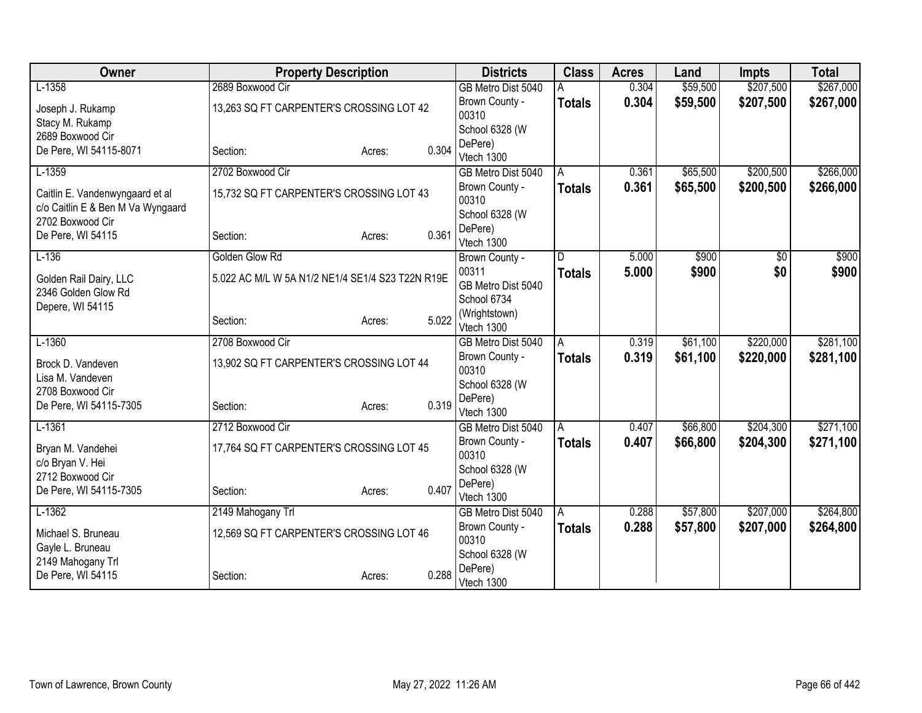| Owner                                         | <b>Property Description</b>                      |                 | <b>Districts</b>          | <b>Class</b>  | <b>Acres</b> | Land     | <b>Impts</b> | <b>Total</b> |
|-----------------------------------------------|--------------------------------------------------|-----------------|---------------------------|---------------|--------------|----------|--------------|--------------|
| $L-1358$                                      | 2689 Boxwood Cir                                 |                 | GB Metro Dist 5040        |               | 0.304        | \$59,500 | \$207,500    | \$267,000    |
| Joseph J. Rukamp                              | 13,263 SQ FT CARPENTER'S CROSSING LOT 42         |                 | Brown County -            | <b>Totals</b> | 0.304        | \$59,500 | \$207,500    | \$267,000    |
| Stacy M. Rukamp                               |                                                  |                 | 00310                     |               |              |          |              |              |
| 2689 Boxwood Cir                              |                                                  |                 | School 6328 (W            |               |              |          |              |              |
| De Pere, WI 54115-8071                        | Section:                                         | 0.304<br>Acres: | DePere)<br>Vtech 1300     |               |              |          |              |              |
| $L-1359$                                      | 2702 Boxwood Cir                                 |                 | GB Metro Dist 5040        | A             | 0.361        | \$65,500 | \$200,500    | \$266,000    |
|                                               |                                                  |                 | Brown County -            |               | 0.361        | \$65,500 | \$200,500    |              |
| Caitlin E. Vandenwyngaard et al               | 15,732 SQ FT CARPENTER'S CROSSING LOT 43         |                 | 00310                     | <b>Totals</b> |              |          |              | \$266,000    |
| c/o Caitlin E & Ben M Va Wyngaard             |                                                  |                 | School 6328 (W            |               |              |          |              |              |
| 2702 Boxwood Cir                              |                                                  |                 | DePere)                   |               |              |          |              |              |
| De Pere, WI 54115                             | Section:                                         | 0.361<br>Acres: | Vtech 1300                |               |              |          |              |              |
| $L-136$                                       | Golden Glow Rd                                   |                 | Brown County -            | D             | 5.000        | \$900    | \$0          | \$900        |
|                                               | 5.022 AC M/L W 5A N1/2 NE1/4 SE1/4 S23 T22N R19E |                 | 00311                     | <b>Totals</b> | 5.000        | \$900    | \$0          | \$900        |
| Golden Rail Dairy, LLC<br>2346 Golden Glow Rd |                                                  |                 | GB Metro Dist 5040        |               |              |          |              |              |
| Depere, WI 54115                              |                                                  |                 | School 6734               |               |              |          |              |              |
|                                               | Section:                                         | 5.022<br>Acres: | (Wrightstown)             |               |              |          |              |              |
|                                               |                                                  |                 | Vtech 1300                |               |              |          |              |              |
| $L-1360$                                      | 2708 Boxwood Cir                                 |                 | GB Metro Dist 5040        | A             | 0.319        | \$61,100 | \$220,000    | \$281,100    |
| Brock D. Vandeven                             | 13,902 SQ FT CARPENTER'S CROSSING LOT 44         |                 | Brown County -<br>00310   | <b>Totals</b> | 0.319        | \$61,100 | \$220,000    | \$281,100    |
| Lisa M. Vandeven                              |                                                  |                 | School 6328 (W            |               |              |          |              |              |
| 2708 Boxwood Cir                              |                                                  |                 | DePere)                   |               |              |          |              |              |
| De Pere, WI 54115-7305                        | Section:                                         | 0.319<br>Acres: | Vtech 1300                |               |              |          |              |              |
| $L-1361$                                      | 2712 Boxwood Cir                                 |                 | GB Metro Dist 5040        | A             | 0.407        | \$66,800 | \$204,300    | \$271,100    |
|                                               | 17,764 SQ FT CARPENTER'S CROSSING LOT 45         |                 | Brown County -            | <b>Totals</b> | 0.407        | \$66,800 | \$204,300    | \$271,100    |
| Bryan M. Vandehei<br>c/o Bryan V. Hei         |                                                  |                 | 00310                     |               |              |          |              |              |
| 2712 Boxwood Cir                              |                                                  |                 | School 6328 (W            |               |              |          |              |              |
| De Pere, WI 54115-7305                        | Section:                                         | 0.407<br>Acres: | DePere)                   |               |              |          |              |              |
|                                               |                                                  |                 | Vtech 1300                |               |              |          |              |              |
| $L-1362$                                      | 2149 Mahogany Trl                                |                 | GB Metro Dist 5040        | A             | 0.288        | \$57,800 | \$207,000    | \$264,800    |
| Michael S. Bruneau                            | 12,569 SQ FT CARPENTER'S CROSSING LOT 46         |                 | Brown County -            | <b>Totals</b> | 0.288        | \$57,800 | \$207,000    | \$264,800    |
| Gayle L. Bruneau                              |                                                  |                 | 00310                     |               |              |          |              |              |
| 2149 Mahogany Trl                             |                                                  |                 | School 6328 (W<br>DePere) |               |              |          |              |              |
| De Pere, WI 54115                             | Section:                                         | 0.288<br>Acres: | Vtech 1300                |               |              |          |              |              |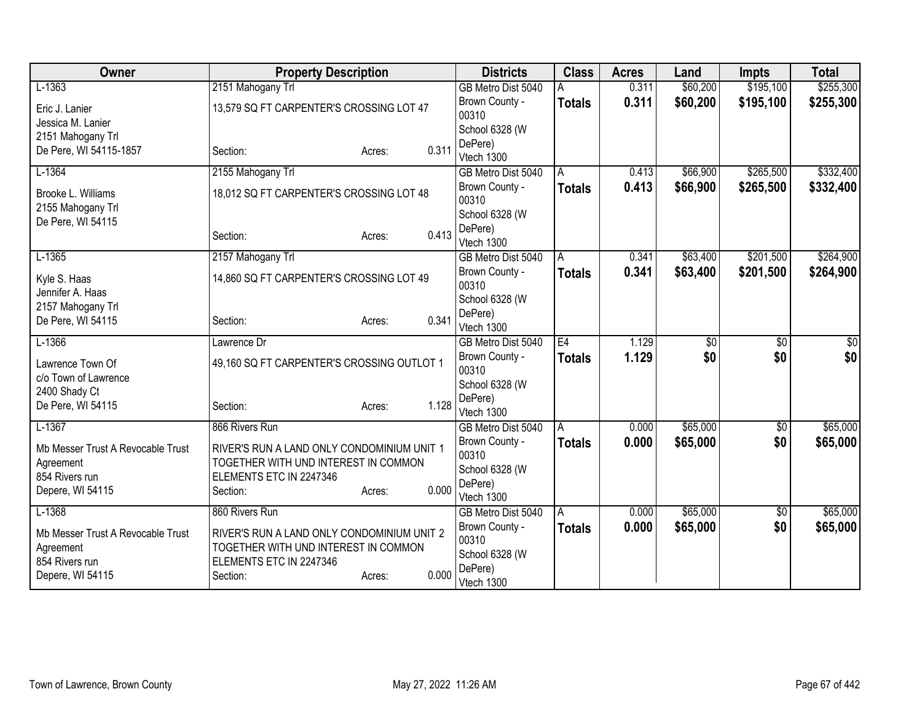| Owner                             | <b>Property Description</b>                |                 | <b>Districts</b>                     | <b>Class</b>  | <b>Acres</b> | Land            | <b>Impts</b>    | <b>Total</b> |
|-----------------------------------|--------------------------------------------|-----------------|--------------------------------------|---------------|--------------|-----------------|-----------------|--------------|
| $L-1363$                          | 2151 Mahogany Trl                          |                 | GB Metro Dist 5040                   |               | 0.311        | \$60,200        | \$195,100       | \$255,300    |
| Eric J. Lanier                    | 13,579 SQ FT CARPENTER'S CROSSING LOT 47   |                 | Brown County -                       | <b>Totals</b> | 0.311        | \$60,200        | \$195,100       | \$255,300    |
| Jessica M. Lanier                 |                                            |                 | 00310                                |               |              |                 |                 |              |
| 2151 Mahogany Trl                 |                                            |                 | School 6328 (W                       |               |              |                 |                 |              |
| De Pere, WI 54115-1857            | Section:                                   | 0.311<br>Acres: | DePere)<br>Vtech 1300                |               |              |                 |                 |              |
| $L-1364$                          | 2155 Mahogany Trl                          |                 | GB Metro Dist 5040                   | A             | 0.413        | \$66,900        | \$265,500       | \$332,400    |
|                                   |                                            |                 | Brown County -                       |               | 0.413        | \$66,900        | \$265,500       |              |
| Brooke L. Williams                | 18,012 SQ FT CARPENTER'S CROSSING LOT 48   |                 | 00310                                | <b>Totals</b> |              |                 |                 | \$332,400    |
| 2155 Mahogany Trl                 |                                            |                 | School 6328 (W                       |               |              |                 |                 |              |
| De Pere, WI 54115                 |                                            |                 | DePere)                              |               |              |                 |                 |              |
|                                   | Section:                                   | 0.413<br>Acres: | Vtech 1300                           |               |              |                 |                 |              |
| $L-1365$                          | 2157 Mahogany Trl                          |                 | GB Metro Dist 5040                   | A             | 0.341        | \$63,400        | \$201,500       | \$264,900    |
| Kyle S. Haas                      | 14,860 SQ FT CARPENTER'S CROSSING LOT 49   |                 | Brown County -                       | <b>Totals</b> | 0.341        | \$63,400        | \$201,500       | \$264,900    |
| Jennifer A. Haas                  |                                            |                 | 00310                                |               |              |                 |                 |              |
| 2157 Mahogany Trl                 |                                            |                 | School 6328 (W                       |               |              |                 |                 |              |
| De Pere, WI 54115                 | Section:                                   | 0.341<br>Acres: | DePere)                              |               |              |                 |                 |              |
| $L-1366$                          | Lawrence Dr                                |                 | Vtech 1300<br>GB Metro Dist 5040     | E4            | 1.129        | $\overline{60}$ | $\overline{60}$ | \$0          |
|                                   |                                            |                 | Brown County -                       |               | 1.129        | \$0             | \$0             | \$0          |
| Lawrence Town Of                  | 49,160 SQ FT CARPENTER'S CROSSING OUTLOT 1 |                 | 00310                                | <b>Totals</b> |              |                 |                 |              |
| c/o Town of Lawrence              |                                            |                 | School 6328 (W                       |               |              |                 |                 |              |
| 2400 Shady Ct                     |                                            |                 | DePere)                              |               |              |                 |                 |              |
| De Pere, WI 54115                 | Section:                                   | 1.128<br>Acres: | Vtech 1300                           |               |              |                 |                 |              |
| $L-1367$                          | 866 Rivers Run                             |                 | GB Metro Dist 5040                   | A             | 0.000        | \$65,000        | $\sqrt{$0}$     | \$65,000     |
| Mb Messer Trust A Revocable Trust | RIVER'S RUN A LAND ONLY CONDOMINIUM UNIT 1 |                 | Brown County -                       | <b>Totals</b> | 0.000        | \$65,000        | \$0             | \$65,000     |
| Agreement                         | TOGETHER WITH UND INTEREST IN COMMON       |                 | 00310                                |               |              |                 |                 |              |
| 854 Rivers run                    | ELEMENTS ETC IN 2247346                    |                 | School 6328 (W                       |               |              |                 |                 |              |
| Depere, WI 54115                  | Section:                                   | 0.000<br>Acres: | DePere)                              |               |              |                 |                 |              |
| $L-1368$                          | 860 Rivers Run                             |                 | Vtech 1300                           |               | 0.000        | \$65,000        |                 | \$65,000     |
|                                   |                                            |                 | GB Metro Dist 5040<br>Brown County - | A             | 0.000        |                 | \$0<br>\$0      |              |
| Mb Messer Trust A Revocable Trust | RIVER'S RUN A LAND ONLY CONDOMINIUM UNIT 2 |                 | 00310                                | <b>Totals</b> |              | \$65,000        |                 | \$65,000     |
| Agreement                         | TOGETHER WITH UND INTEREST IN COMMON       |                 | School 6328 (W                       |               |              |                 |                 |              |
| 854 Rivers run                    | ELEMENTS ETC IN 2247346                    |                 | DePere)                              |               |              |                 |                 |              |
| Depere, WI 54115                  | Section:                                   | 0.000<br>Acres: | Vtech 1300                           |               |              |                 |                 |              |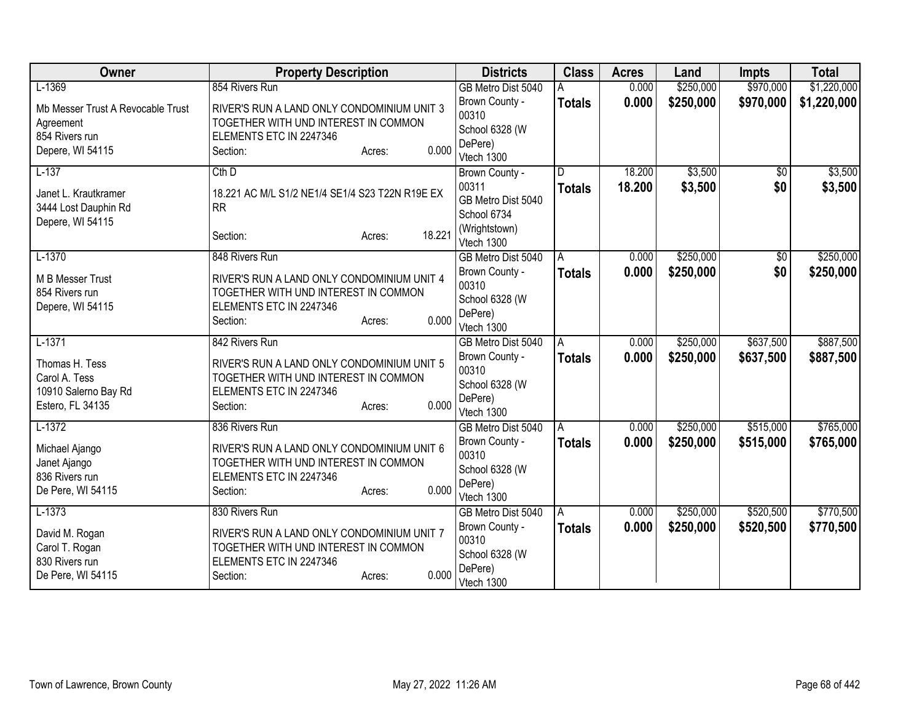| Owner                             | <b>Property Description</b>                     | <b>Districts</b>                 | <b>Class</b>       | <b>Acres</b> | Land      | <b>Impts</b>    | <b>Total</b> |
|-----------------------------------|-------------------------------------------------|----------------------------------|--------------------|--------------|-----------|-----------------|--------------|
| $L-1369$                          | 854 Rivers Run                                  | GB Metro Dist 5040               |                    | 0.000        | \$250,000 | \$970,000       | \$1,220,000  |
| Mb Messer Trust A Revocable Trust | RIVER'S RUN A LAND ONLY CONDOMINIUM UNIT 3      | Brown County -                   | <b>Totals</b>      | 0.000        | \$250,000 | \$970,000       | \$1,220,000  |
| Agreement                         | TOGETHER WITH UND INTEREST IN COMMON            | 00310                            |                    |              |           |                 |              |
| 854 Rivers run                    | ELEMENTS ETC IN 2247346                         | School 6328 (W                   |                    |              |           |                 |              |
| Depere, WI 54115                  | 0.000<br>Section:<br>Acres:                     | DePere)<br>Vtech 1300            |                    |              |           |                 |              |
| $L-137$                           | $Cth$ D                                         | Brown County -                   | D.                 | 18.200       | \$3,500   | $\overline{50}$ | \$3,500      |
|                                   |                                                 | 00311                            | <b>Totals</b>      | 18.200       | \$3,500   | \$0             | \$3,500      |
| Janet L. Krautkramer              | 18.221 AC M/L S1/2 NE1/4 SE1/4 S23 T22N R19E EX | GB Metro Dist 5040               |                    |              |           |                 |              |
| 3444 Lost Dauphin Rd              | <b>RR</b>                                       | School 6734                      |                    |              |           |                 |              |
| Depere, WI 54115                  |                                                 | (Wrightstown)                    |                    |              |           |                 |              |
|                                   | 18.221<br>Section:<br>Acres:                    | Vtech 1300                       |                    |              |           |                 |              |
| $L-1370$                          | 848 Rivers Run                                  | GB Metro Dist 5040               | A                  | 0.000        | \$250,000 | \$0             | \$250,000    |
| M B Messer Trust                  | RIVER'S RUN A LAND ONLY CONDOMINIUM UNIT 4      | Brown County -                   | <b>Totals</b>      | 0.000        | \$250,000 | \$0             | \$250,000    |
| 854 Rivers run                    | TOGETHER WITH UND INTEREST IN COMMON            | 00310                            |                    |              |           |                 |              |
| Depere, WI 54115                  | ELEMENTS ETC IN 2247346                         | School 6328 (W                   |                    |              |           |                 |              |
|                                   | 0.000<br>Section:<br>Acres:                     | DePere)                          |                    |              |           |                 |              |
| $L-1371$                          | 842 Rivers Run                                  | Vtech 1300<br>GB Metro Dist 5040 | A                  | 0.000        | \$250,000 | \$637,500       | \$887,500    |
|                                   |                                                 | Brown County -                   |                    | 0.000        | \$250,000 | \$637,500       | \$887,500    |
| Thomas H. Tess                    | RIVER'S RUN A LAND ONLY CONDOMINIUM UNIT 5      | 00310                            | <b>Totals</b>      |              |           |                 |              |
| Carol A. Tess                     | TOGETHER WITH UND INTEREST IN COMMON            | School 6328 (W                   |                    |              |           |                 |              |
| 10910 Salerno Bay Rd              | ELEMENTS ETC IN 2247346                         | DePere)                          |                    |              |           |                 |              |
| Estero, FL 34135                  | 0.000<br>Section:<br>Acres:                     | Vtech 1300                       |                    |              |           |                 |              |
| $L-1372$                          | 836 Rivers Run                                  | GB Metro Dist 5040               | A                  | 0.000        | \$250,000 | \$515,000       | \$765,000    |
| Michael Ajango                    | RIVER'S RUN A LAND ONLY CONDOMINIUM UNIT 6      | Brown County -                   | <b>Totals</b>      | 0.000        | \$250,000 | \$515,000       | \$765,000    |
| Janet Ajango                      | TOGETHER WITH UND INTEREST IN COMMON            | 00310                            |                    |              |           |                 |              |
| 836 Rivers run                    | ELEMENTS ETC IN 2247346                         | School 6328 (W                   |                    |              |           |                 |              |
| De Pere, WI 54115                 | 0.000<br>Section:<br>Acres:                     | DePere)                          |                    |              |           |                 |              |
| $L-1373$                          | 830 Rivers Run                                  | Vtech 1300<br>GB Metro Dist 5040 |                    | 0.000        | \$250,000 | \$520,500       | \$770,500    |
|                                   |                                                 | Brown County -                   | A<br><b>Totals</b> | 0.000        | \$250,000 | \$520,500       | \$770,500    |
| David M. Rogan                    | RIVER'S RUN A LAND ONLY CONDOMINIUM UNIT 7      | 00310                            |                    |              |           |                 |              |
| Carol T. Rogan                    | TOGETHER WITH UND INTEREST IN COMMON            | School 6328 (W                   |                    |              |           |                 |              |
| 830 Rivers run                    | ELEMENTS ETC IN 2247346                         | DePere)                          |                    |              |           |                 |              |
| De Pere, WI 54115                 | 0.000<br>Section:<br>Acres:                     | Vtech 1300                       |                    |              |           |                 |              |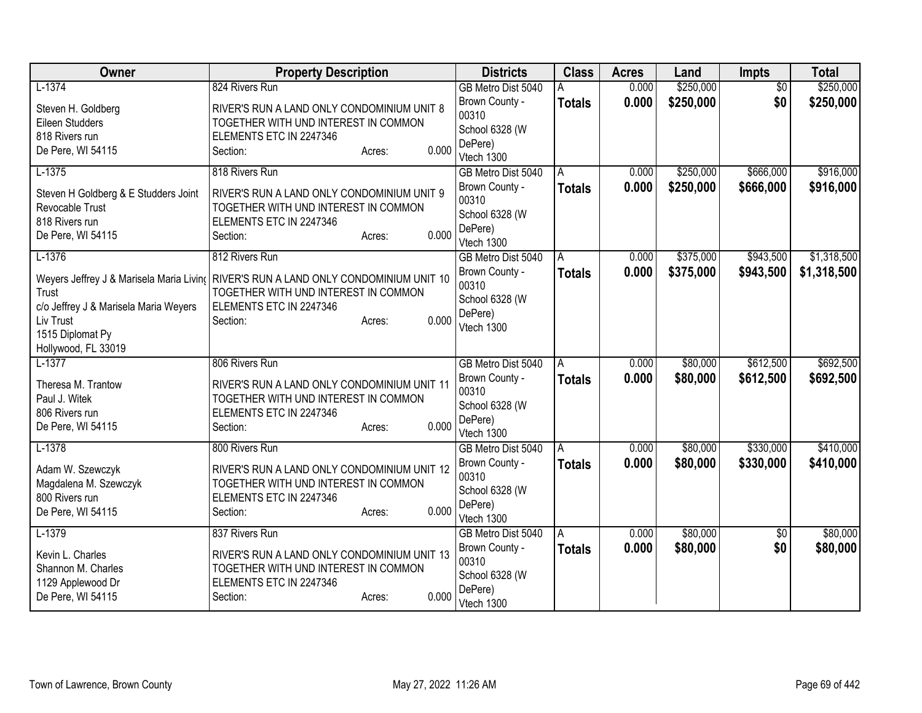| Owner                                   | <b>Property Description</b>                                                          | <b>Districts</b>          | <b>Class</b>  | <b>Acres</b> | Land      | <b>Impts</b>    | <b>Total</b> |
|-----------------------------------------|--------------------------------------------------------------------------------------|---------------------------|---------------|--------------|-----------|-----------------|--------------|
| $L-1374$                                | 824 Rivers Run                                                                       | GB Metro Dist 5040        | А             | 0.000        | \$250,000 | $\overline{50}$ | \$250,000    |
| Steven H. Goldberg                      | RIVER'S RUN A LAND ONLY CONDOMINIUM UNIT 8                                           | Brown County -            | <b>Totals</b> | 0.000        | \$250,000 | \$0             | \$250,000    |
| Eileen Studders                         | TOGETHER WITH UND INTEREST IN COMMON                                                 | 00310                     |               |              |           |                 |              |
| 818 Rivers run                          | ELEMENTS ETC IN 2247346                                                              | School 6328 (W            |               |              |           |                 |              |
| De Pere, WI 54115                       | 0.000<br>Section:<br>Acres:                                                          | DePere)                   |               |              |           |                 |              |
|                                         |                                                                                      | Vtech 1300                |               |              |           |                 |              |
| $L-1375$                                | 818 Rivers Run                                                                       | GB Metro Dist 5040        | A             | 0.000        | \$250,000 | \$666,000       | \$916,000    |
| Steven H Goldberg & E Studders Joint    | RIVER'S RUN A LAND ONLY CONDOMINIUM UNIT 9                                           | Brown County -            | <b>Totals</b> | 0.000        | \$250,000 | \$666,000       | \$916,000    |
| Revocable Trust                         | TOGETHER WITH UND INTEREST IN COMMON                                                 | 00310                     |               |              |           |                 |              |
| 818 Rivers run                          | ELEMENTS ETC IN 2247346                                                              | School 6328 (W<br>DePere) |               |              |           |                 |              |
| De Pere, WI 54115                       | 0.000<br>Section:<br>Acres:                                                          | Vtech 1300                |               |              |           |                 |              |
| $L-1376$                                | 812 Rivers Run                                                                       | GB Metro Dist 5040        | A             | 0.000        | \$375,000 | \$943,500       | \$1,318,500  |
|                                         |                                                                                      | Brown County -            | <b>Totals</b> | 0.000        | \$375,000 | \$943,500       | \$1,318,500  |
|                                         | Weyers Jeffrey J & Marisela Maria Livin( RIVER'S RUN A LAND ONLY CONDOMINIUM UNIT 10 | 00310                     |               |              |           |                 |              |
| Trust                                   | TOGETHER WITH UND INTEREST IN COMMON                                                 | School 6328 (W            |               |              |           |                 |              |
| c/o Jeffrey J & Marisela Maria Weyers   | ELEMENTS ETC IN 2247346                                                              | DePere)                   |               |              |           |                 |              |
| Liv Trust                               | 0.000<br>Section:<br>Acres:                                                          | Vtech 1300                |               |              |           |                 |              |
| 1515 Diplomat Py                        |                                                                                      |                           |               |              |           |                 |              |
| Hollywood, FL 33019                     |                                                                                      |                           |               |              |           |                 |              |
| $L-1377$                                | 806 Rivers Run                                                                       | GB Metro Dist 5040        | A             | 0.000        | \$80,000  | \$612,500       | \$692,500    |
| Theresa M. Trantow                      | RIVER'S RUN A LAND ONLY CONDOMINIUM UNIT 11                                          | Brown County -<br>00310   | <b>Totals</b> | 0.000        | \$80,000  | \$612,500       | \$692,500    |
| Paul J. Witek                           | TOGETHER WITH UND INTEREST IN COMMON                                                 | School 6328 (W            |               |              |           |                 |              |
| 806 Rivers run                          | ELEMENTS ETC IN 2247346                                                              | DePere)                   |               |              |           |                 |              |
| De Pere, WI 54115                       | 0.000<br>Section:<br>Acres:                                                          | Vtech 1300                |               |              |           |                 |              |
| $L-1378$                                | 800 Rivers Run                                                                       | GB Metro Dist 5040        | A             | 0.000        | \$80,000  | \$330,000       | \$410,000    |
|                                         |                                                                                      | Brown County -            | <b>Totals</b> | 0.000        | \$80,000  | \$330,000       | \$410,000    |
| Adam W. Szewczyk                        | RIVER'S RUN A LAND ONLY CONDOMINIUM UNIT 12                                          | 00310                     |               |              |           |                 |              |
| Magdalena M. Szewczyk<br>800 Rivers run | TOGETHER WITH UND INTEREST IN COMMON<br>ELEMENTS ETC IN 2247346                      | School 6328 (W            |               |              |           |                 |              |
| De Pere, WI 54115                       | 0.000<br>Section:<br>Acres:                                                          | DePere)                   |               |              |           |                 |              |
|                                         |                                                                                      | Vtech 1300                |               |              |           |                 |              |
| $L-1379$                                | 837 Rivers Run                                                                       | GB Metro Dist 5040        | A             | 0.000        | \$80,000  | $\sqrt{6}$      | \$80,000     |
| Kevin L. Charles                        | RIVER'S RUN A LAND ONLY CONDOMINIUM UNIT 13                                          | Brown County -            | <b>Totals</b> | 0.000        | \$80,000  | \$0             | \$80,000     |
| Shannon M. Charles                      | TOGETHER WITH UND INTEREST IN COMMON                                                 | 00310                     |               |              |           |                 |              |
| 1129 Applewood Dr                       | ELEMENTS ETC IN 2247346                                                              | School 6328 (W            |               |              |           |                 |              |
| De Pere, WI 54115                       | 0.000<br>Section:<br>Acres:                                                          | DePere)                   |               |              |           |                 |              |
|                                         |                                                                                      | Vtech 1300                |               |              |           |                 |              |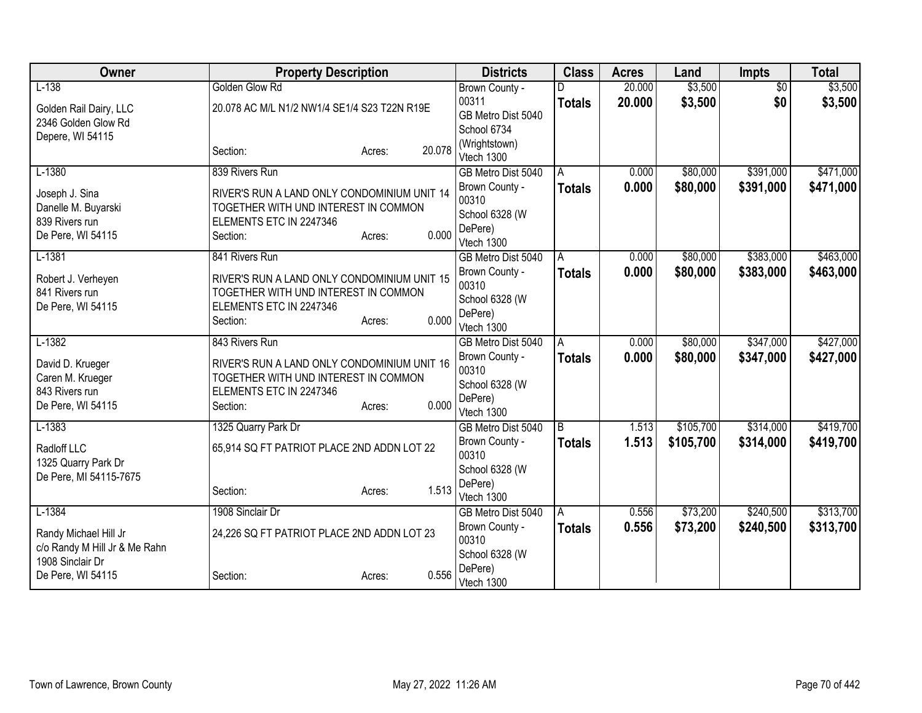| Owner                                             | <b>Property Description</b>                  |                  | <b>Districts</b>      | <b>Class</b>   | <b>Acres</b> | Land      | <b>Impts</b>    | <b>Total</b> |
|---------------------------------------------------|----------------------------------------------|------------------|-----------------------|----------------|--------------|-----------|-----------------|--------------|
| $L-138$                                           | Golden Glow Rd                               |                  | Brown County -        |                | 20.000       | \$3,500   | $\overline{50}$ | \$3,500      |
| Golden Rail Dairy, LLC                            | 20.078 AC M/L N1/2 NW1/4 SE1/4 S23 T22N R19E |                  | 00311                 | <b>Totals</b>  | 20,000       | \$3,500   | \$0             | \$3,500      |
| 2346 Golden Glow Rd                               |                                              |                  | GB Metro Dist 5040    |                |              |           |                 |              |
| Depere, WI 54115                                  |                                              |                  | School 6734           |                |              |           |                 |              |
|                                                   | Section:                                     | 20.078<br>Acres: | (Wrightstown)         |                |              |           |                 |              |
|                                                   |                                              |                  | Vtech 1300            |                |              |           |                 |              |
| $L-1380$                                          | 839 Rivers Run                               |                  | GB Metro Dist 5040    | A              | 0.000        | \$80,000  | \$391,000       | \$471,000    |
| Joseph J. Sina                                    | RIVER'S RUN A LAND ONLY CONDOMINIUM UNIT 14  |                  | Brown County -        | <b>Totals</b>  | 0.000        | \$80,000  | \$391,000       | \$471,000    |
| Danelle M. Buyarski                               | TOGETHER WITH UND INTEREST IN COMMON         |                  | 00310                 |                |              |           |                 |              |
| 839 Rivers run                                    | ELEMENTS ETC IN 2247346                      |                  | School 6328 (W        |                |              |           |                 |              |
| De Pere, WI 54115                                 | Section:                                     | 0.000<br>Acres:  | DePere)               |                |              |           |                 |              |
|                                                   |                                              |                  | Vtech 1300            |                |              |           |                 |              |
| $L-1381$                                          | 841 Rivers Run                               |                  | GB Metro Dist 5040    | A              | 0.000        | \$80,000  | \$383,000       | \$463,000    |
| Robert J. Verheyen                                | RIVER'S RUN A LAND ONLY CONDOMINIUM UNIT 15  |                  | Brown County -        | <b>Totals</b>  | 0.000        | \$80,000  | \$383,000       | \$463,000    |
| 841 Rivers run                                    | TOGETHER WITH UND INTEREST IN COMMON         |                  | 00310                 |                |              |           |                 |              |
| De Pere, WI 54115                                 | ELEMENTS ETC IN 2247346                      |                  | School 6328 (W        |                |              |           |                 |              |
|                                                   | Section:                                     | 0.000<br>Acres:  | DePere)<br>Vtech 1300 |                |              |           |                 |              |
| $L-1382$                                          | 843 Rivers Run                               |                  | GB Metro Dist 5040    | A              | 0.000        | \$80,000  | \$347,000       | \$427,000    |
|                                                   |                                              |                  | Brown County -        |                | 0.000        | \$80,000  | \$347,000       |              |
| David D. Krueger                                  | RIVER'S RUN A LAND ONLY CONDOMINIUM UNIT 16  |                  | 00310                 | <b>Totals</b>  |              |           |                 | \$427,000    |
| Caren M. Krueger                                  | TOGETHER WITH UND INTEREST IN COMMON         |                  | School 6328 (W        |                |              |           |                 |              |
| 843 Rivers run                                    | ELEMENTS ETC IN 2247346                      |                  | DePere)               |                |              |           |                 |              |
| De Pere, WI 54115                                 | Section:                                     | 0.000<br>Acres:  | Vtech 1300            |                |              |           |                 |              |
| $L-1383$                                          | 1325 Quarry Park Dr                          |                  | GB Metro Dist 5040    | $\overline{B}$ | 1.513        | \$105,700 | \$314,000       | \$419,700    |
|                                                   |                                              |                  | Brown County -        | <b>Totals</b>  | 1.513        | \$105,700 | \$314,000       | \$419,700    |
| Radloff LLC                                       | 65,914 SQ FT PATRIOT PLACE 2ND ADDN LOT 22   |                  | 00310                 |                |              |           |                 |              |
| 1325 Quarry Park Dr                               |                                              |                  | School 6328 (W        |                |              |           |                 |              |
| De Pere, MI 54115-7675                            |                                              |                  | DePere)               |                |              |           |                 |              |
|                                                   | Section:                                     | 1.513<br>Acres:  | Vtech 1300            |                |              |           |                 |              |
| $L-1384$                                          | 1908 Sinclair Dr                             |                  | GB Metro Dist 5040    | A              | 0.556        | \$73,200  | \$240,500       | \$313,700    |
|                                                   |                                              |                  | Brown County -        | Totals         | 0.556        | \$73,200  | \$240,500       | \$313,700    |
| Randy Michael Hill Jr                             | 24,226 SQ FT PATRIOT PLACE 2ND ADDN LOT 23   |                  | 00310                 |                |              |           |                 |              |
| c/o Randy M Hill Jr & Me Rahn<br>1908 Sinclair Dr |                                              |                  | School 6328 (W        |                |              |           |                 |              |
| De Pere, WI 54115                                 | Section:                                     | 0.556            | DePere)               |                |              |           |                 |              |
|                                                   |                                              | Acres:           | Vtech 1300            |                |              |           |                 |              |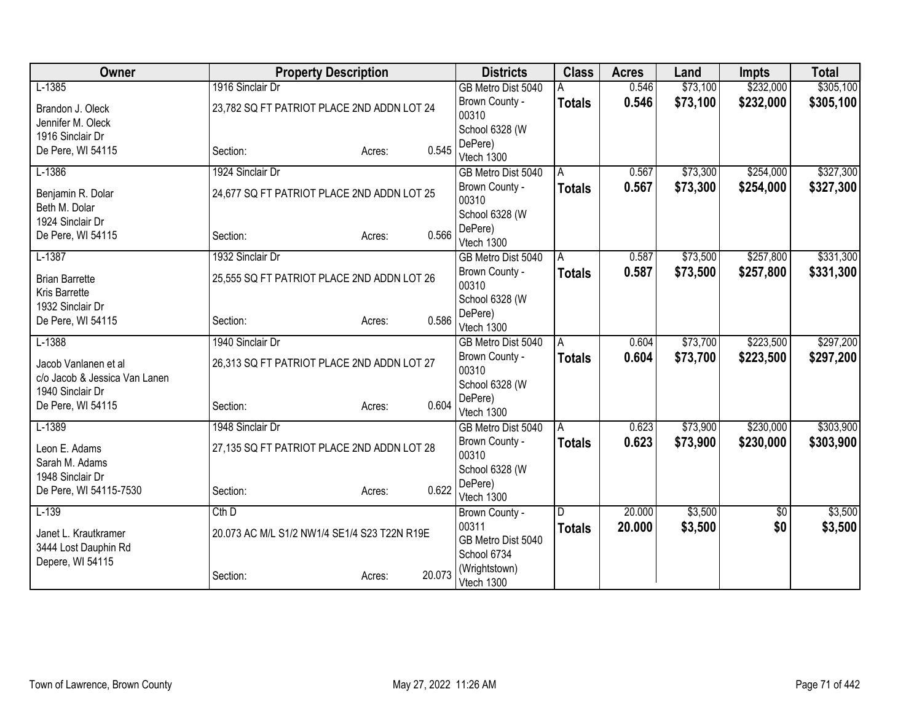| Owner                                             | <b>Property Description</b>                  |                  | <b>Districts</b>            | <b>Class</b>  | <b>Acres</b> | Land     | <b>Impts</b> | <b>Total</b> |
|---------------------------------------------------|----------------------------------------------|------------------|-----------------------------|---------------|--------------|----------|--------------|--------------|
| $L-1385$                                          | 1916 Sinclair Dr                             |                  | GB Metro Dist 5040          |               | 0.546        | \$73,100 | \$232,000    | \$305,100    |
| Brandon J. Oleck                                  | 23,782 SQ FT PATRIOT PLACE 2ND ADDN LOT 24   |                  | Brown County -              | <b>Totals</b> | 0.546        | \$73,100 | \$232,000    | \$305,100    |
| Jennifer M. Oleck                                 |                                              |                  | 00310                       |               |              |          |              |              |
| 1916 Sinclair Dr                                  |                                              |                  | School 6328 (W              |               |              |          |              |              |
| De Pere, WI 54115                                 | Section:                                     | 0.545<br>Acres:  | DePere)                     |               |              |          |              |              |
|                                                   |                                              |                  | Vtech 1300                  |               |              |          |              |              |
| $L-1386$                                          | 1924 Sinclair Dr                             |                  | GB Metro Dist 5040          | A             | 0.567        | \$73,300 | \$254,000    | \$327,300    |
| Benjamin R. Dolar<br>Beth M. Dolar                | 24,677 SQ FT PATRIOT PLACE 2ND ADDN LOT 25   |                  | Brown County -<br>00310     | <b>Totals</b> | 0.567        | \$73,300 | \$254,000    | \$327,300    |
| 1924 Sinclair Dr                                  |                                              |                  | School 6328 (W              |               |              |          |              |              |
| De Pere, WI 54115                                 | Section:                                     | 0.566<br>Acres:  | DePere)<br>Vtech 1300       |               |              |          |              |              |
| $L-1387$                                          | 1932 Sinclair Dr                             |                  | GB Metro Dist 5040          | A             | 0.587        | \$73,500 | \$257,800    | \$331,300    |
| <b>Brian Barrette</b>                             | 25,555 SQ FT PATRIOT PLACE 2ND ADDN LOT 26   |                  | Brown County -<br>00310     | <b>Totals</b> | 0.587        | \$73,500 | \$257,800    | \$331,300    |
| <b>Kris Barrette</b>                              |                                              |                  | School 6328 (W              |               |              |          |              |              |
| 1932 Sinclair Dr                                  |                                              | 0.586            | DePere)                     |               |              |          |              |              |
| De Pere, WI 54115                                 | Section:                                     | Acres:           | Vtech 1300                  |               |              |          |              |              |
| $L-1388$                                          | 1940 Sinclair Dr                             |                  | GB Metro Dist 5040          | A             | 0.604        | \$73,700 | \$223,500    | \$297,200    |
| Jacob Vanlanen et al                              | 26,313 SQ FT PATRIOT PLACE 2ND ADDN LOT 27   |                  | Brown County -<br>00310     | <b>Totals</b> | 0.604        | \$73,700 | \$223,500    | \$297,200    |
| c/o Jacob & Jessica Van Lanen<br>1940 Sinclair Dr |                                              |                  | School 6328 (W              |               |              |          |              |              |
| De Pere, WI 54115                                 |                                              | 0.604            | DePere)                     |               |              |          |              |              |
|                                                   | Section:                                     | Acres:           | Vtech 1300                  |               |              |          |              |              |
| $L-1389$                                          | 1948 Sinclair Dr                             |                  | GB Metro Dist 5040          | A             | 0.623        | \$73,900 | \$230,000    | \$303,900    |
| Leon E. Adams                                     | 27,135 SQ FT PATRIOT PLACE 2ND ADDN LOT 28   |                  | Brown County -<br>00310     | <b>Totals</b> | 0.623        | \$73,900 | \$230,000    | \$303,900    |
| Sarah M. Adams<br>1948 Sinclair Dr                |                                              |                  | School 6328 (W              |               |              |          |              |              |
| De Pere, WI 54115-7530                            | Section:                                     | 0.622<br>Acres:  | DePere)                     |               |              |          |              |              |
|                                                   |                                              |                  | Vtech 1300                  |               |              |          |              |              |
| $L-139$                                           | $Cth$ D                                      |                  | Brown County -              | D             | 20.000       | \$3,500  | \$0          | \$3,500      |
| Janet L. Krautkramer                              | 20.073 AC M/L S1/2 NW1/4 SE1/4 S23 T22N R19E |                  | 00311                       | <b>Totals</b> | 20.000       | \$3,500  | \$0          | \$3,500      |
| 3444 Lost Dauphin Rd                              |                                              |                  | GB Metro Dist 5040          |               |              |          |              |              |
| Depere, WI 54115                                  |                                              |                  | School 6734                 |               |              |          |              |              |
|                                                   | Section:                                     | 20.073<br>Acres: | (Wrightstown)<br>Vtech 1300 |               |              |          |              |              |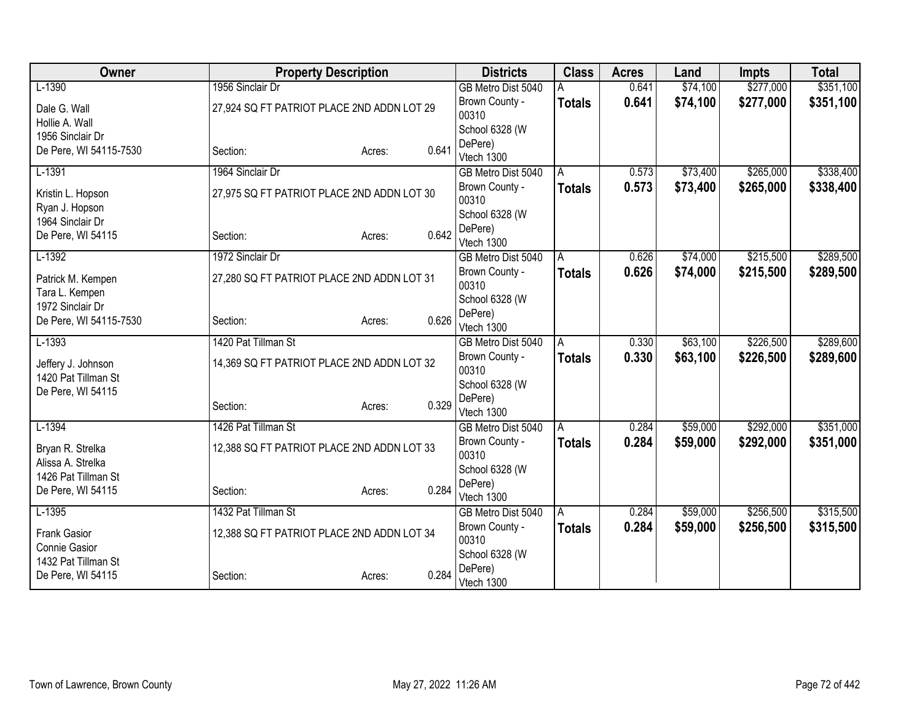| Owner                               | <b>Property Description</b>                |                 | <b>Districts</b>        | <b>Class</b>  | <b>Acres</b> | Land     | <b>Impts</b> | <b>Total</b> |
|-------------------------------------|--------------------------------------------|-----------------|-------------------------|---------------|--------------|----------|--------------|--------------|
| $L-1390$                            | 1956 Sinclair Dr                           |                 | GB Metro Dist 5040      |               | 0.641        | \$74,100 | \$277,000    | \$351,100    |
| Dale G. Wall                        | 27,924 SQ FT PATRIOT PLACE 2ND ADDN LOT 29 |                 | Brown County -          | <b>Totals</b> | 0.641        | \$74,100 | \$277,000    | \$351,100    |
| Hollie A. Wall                      |                                            |                 | 00310                   |               |              |          |              |              |
| 1956 Sinclair Dr                    |                                            |                 | School 6328 (W          |               |              |          |              |              |
| De Pere, WI 54115-7530              | Section:                                   | 0.641<br>Acres: | DePere)                 |               |              |          |              |              |
|                                     |                                            |                 | Vtech 1300              |               |              |          |              |              |
| $L-1391$                            | 1964 Sinclair Dr                           |                 | GB Metro Dist 5040      | A             | 0.573        | \$73,400 | \$265,000    | \$338,400    |
| Kristin L. Hopson<br>Ryan J. Hopson | 27,975 SQ FT PATRIOT PLACE 2ND ADDN LOT 30 |                 | Brown County -<br>00310 | <b>Totals</b> | 0.573        | \$73,400 | \$265,000    | \$338,400    |
| 1964 Sinclair Dr                    |                                            |                 | School 6328 (W          |               |              |          |              |              |
| De Pere, WI 54115                   | Section:                                   | 0.642<br>Acres: | DePere)                 |               |              |          |              |              |
|                                     |                                            |                 | Vtech 1300              |               |              |          |              |              |
| $L-1392$                            | 1972 Sinclair Dr                           |                 | GB Metro Dist 5040      | A             | 0.626        | \$74,000 | \$215,500    | \$289,500    |
| Patrick M. Kempen                   | 27,280 SQ FT PATRIOT PLACE 2ND ADDN LOT 31 |                 | Brown County -<br>00310 | <b>Totals</b> | 0.626        | \$74,000 | \$215,500    | \$289,500    |
| Tara L. Kempen                      |                                            |                 | School 6328 (W          |               |              |          |              |              |
| 1972 Sinclair Dr                    |                                            | 0.626           | DePere)                 |               |              |          |              |              |
| De Pere, WI 54115-7530              | Section:                                   | Acres:          | Vtech 1300              |               |              |          |              |              |
| $L-1393$                            | 1420 Pat Tillman St                        |                 | GB Metro Dist 5040      | A             | 0.330        | \$63,100 | \$226,500    | \$289,600    |
| Jeffery J. Johnson                  | 14,369 SQ FT PATRIOT PLACE 2ND ADDN LOT 32 |                 | Brown County -          | <b>Totals</b> | 0.330        | \$63,100 | \$226,500    | \$289,600    |
| 1420 Pat Tillman St                 |                                            |                 | 00310                   |               |              |          |              |              |
| De Pere, WI 54115                   |                                            |                 | School 6328 (W          |               |              |          |              |              |
|                                     | Section:                                   | 0.329<br>Acres: | DePere)                 |               |              |          |              |              |
|                                     |                                            |                 | Vtech 1300              |               |              |          |              |              |
| $L-1394$                            | 1426 Pat Tillman St                        |                 | GB Metro Dist 5040      | A             | 0.284        | \$59,000 | \$292,000    | \$351,000    |
| Bryan R. Strelka                    | 12,388 SQ FT PATRIOT PLACE 2ND ADDN LOT 33 |                 | Brown County -<br>00310 | <b>Totals</b> | 0.284        | \$59,000 | \$292,000    | \$351,000    |
| Alissa A. Strelka                   |                                            |                 | School 6328 (W          |               |              |          |              |              |
| 1426 Pat Tillman St                 |                                            |                 | DePere)                 |               |              |          |              |              |
| De Pere, WI 54115                   | Section:                                   | 0.284<br>Acres: | Vtech 1300              |               |              |          |              |              |
| $L-1395$                            | 1432 Pat Tillman St                        |                 | GB Metro Dist 5040      | A             | 0.284        | \$59,000 | \$256,500    | \$315,500    |
| <b>Frank Gasior</b>                 | 12,388 SQ FT PATRIOT PLACE 2ND ADDN LOT 34 |                 | Brown County -          | <b>Totals</b> | 0.284        | \$59,000 | \$256,500    | \$315,500    |
| Connie Gasior                       |                                            |                 | 00310                   |               |              |          |              |              |
| 1432 Pat Tillman St                 |                                            |                 | School 6328 (W          |               |              |          |              |              |
| De Pere, WI 54115                   | Section:                                   | 0.284<br>Acres: | DePere)                 |               |              |          |              |              |
|                                     |                                            |                 | Vtech 1300              |               |              |          |              |              |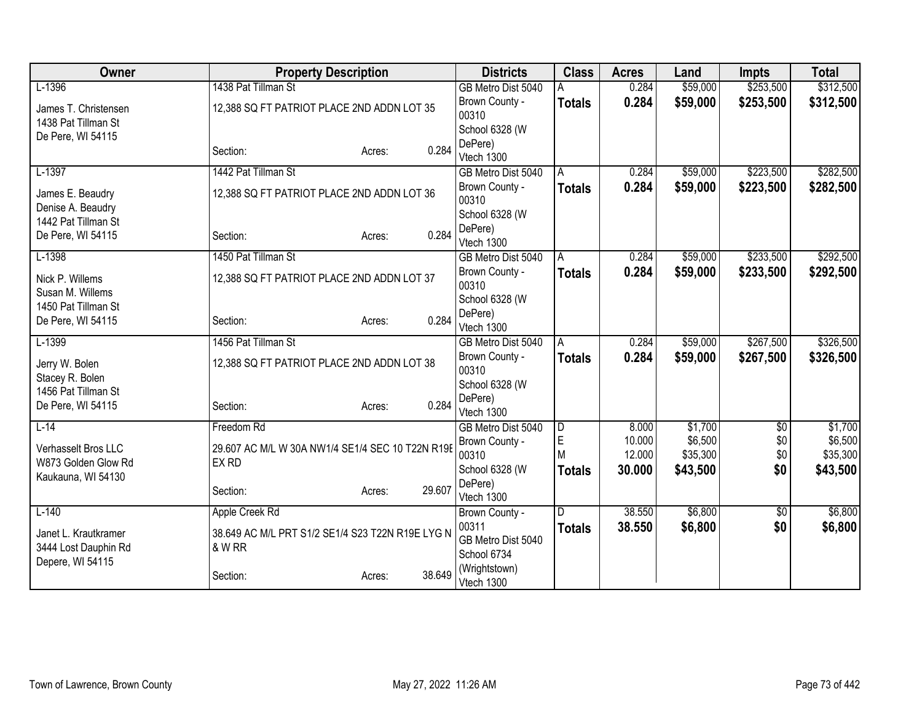| Owner                | <b>Property Description</b>                               |        |        | <b>Districts</b>                  | <b>Class</b>   | <b>Acres</b> | Land     | <b>Impts</b>    | <b>Total</b> |
|----------------------|-----------------------------------------------------------|--------|--------|-----------------------------------|----------------|--------------|----------|-----------------|--------------|
| $L-1396$             | 1438 Pat Tillman St                                       |        |        | GB Metro Dist 5040                |                | 0.284        | \$59,000 | \$253,500       | \$312,500    |
| James T. Christensen | 12,388 SQ FT PATRIOT PLACE 2ND ADDN LOT 35                |        |        | Brown County -                    | <b>Totals</b>  | 0.284        | \$59,000 | \$253,500       | \$312,500    |
| 1438 Pat Tillman St  |                                                           |        |        | 00310                             |                |              |          |                 |              |
| De Pere, WI 54115    |                                                           |        |        | School 6328 (W                    |                |              |          |                 |              |
|                      | Section:                                                  | Acres: | 0.284  | DePere)<br>Vtech 1300             |                |              |          |                 |              |
| $L-1397$             | 1442 Pat Tillman St                                       |        |        | GB Metro Dist 5040                | A              | 0.284        | \$59,000 | \$223,500       | \$282,500    |
|                      |                                                           |        |        | Brown County -                    | <b>Totals</b>  | 0.284        | \$59,000 | \$223,500       | \$282,500    |
| James E. Beaudry     | 12,388 SQ FT PATRIOT PLACE 2ND ADDN LOT 36                |        |        | 00310                             |                |              |          |                 |              |
| Denise A. Beaudry    |                                                           |        |        | School 6328 (W                    |                |              |          |                 |              |
| 1442 Pat Tillman St  |                                                           |        |        | DePere)                           |                |              |          |                 |              |
| De Pere, WI 54115    | Section:                                                  | Acres: | 0.284  | Vtech 1300                        |                |              |          |                 |              |
| $L-1398$             | 1450 Pat Tillman St                                       |        |        | GB Metro Dist 5040                | $\overline{A}$ | 0.284        | \$59,000 | \$233,500       | \$292,500    |
| Nick P. Willems      | 12,388 SQ FT PATRIOT PLACE 2ND ADDN LOT 37                |        |        | Brown County -                    | <b>Totals</b>  | 0.284        | \$59,000 | \$233,500       | \$292,500    |
| Susan M. Willems     |                                                           |        |        | 00310                             |                |              |          |                 |              |
| 1450 Pat Tillman St  |                                                           |        |        | School 6328 (W                    |                |              |          |                 |              |
| De Pere, WI 54115    | Section:                                                  | Acres: | 0.284  | DePere)                           |                |              |          |                 |              |
|                      |                                                           |        |        | Vtech 1300                        |                |              |          |                 |              |
| $L-1399$             | 1456 Pat Tillman St                                       |        |        | GB Metro Dist 5040                | A              | 0.284        | \$59,000 | \$267,500       | \$326,500    |
| Jerry W. Bolen       | 12,388 SQ FT PATRIOT PLACE 2ND ADDN LOT 38                |        |        | Brown County -<br>00310           | <b>Totals</b>  | 0.284        | \$59,000 | \$267,500       | \$326,500    |
| Stacey R. Bolen      |                                                           |        |        | School 6328 (W                    |                |              |          |                 |              |
| 1456 Pat Tillman St  |                                                           |        |        | DePere)                           |                |              |          |                 |              |
| De Pere, WI 54115    | Section:                                                  | Acres: | 0.284  | Vtech 1300                        |                |              |          |                 |              |
| $L-14$               | Freedom Rd                                                |        |        | GB Metro Dist 5040                | D              | 8.000        | \$1,700  | $\overline{$0}$ | \$1,700      |
| Verhasselt Bros LLC  |                                                           |        |        | Brown County -                    | E              | 10.000       | \$6,500  | \$0             | \$6,500      |
| W873 Golden Glow Rd  | 29.607 AC M/L W 30A NW1/4 SE1/4 SEC 10 T22N R19E<br>EX RD |        |        | 00310                             | M              | 12.000       | \$35,300 | \$0             | \$35,300     |
| Kaukauna, WI 54130   |                                                           |        |        | School 6328 (W                    | <b>Totals</b>  | 30.000       | \$43,500 | \$0             | \$43,500     |
|                      | Section:                                                  | Acres: | 29.607 | DePere)                           |                |              |          |                 |              |
|                      |                                                           |        |        | Vtech 1300                        |                |              |          |                 |              |
| $L-140$              | Apple Creek Rd                                            |        |        | Brown County -                    | D              | 38.550       | \$6,800  | \$0             | \$6,800      |
| Janet L. Krautkramer | 38.649 AC M/L PRT S1/2 SE1/4 S23 T22N R19E LYG N          |        |        | 00311                             | <b>Totals</b>  | 38.550       | \$6,800  | \$0             | \$6,800      |
| 3444 Lost Dauphin Rd | & W RR                                                    |        |        | GB Metro Dist 5040<br>School 6734 |                |              |          |                 |              |
| Depere, WI 54115     |                                                           |        |        | (Wrightstown)                     |                |              |          |                 |              |
|                      | Section:                                                  | Acres: | 38.649 | Vtech 1300                        |                |              |          |                 |              |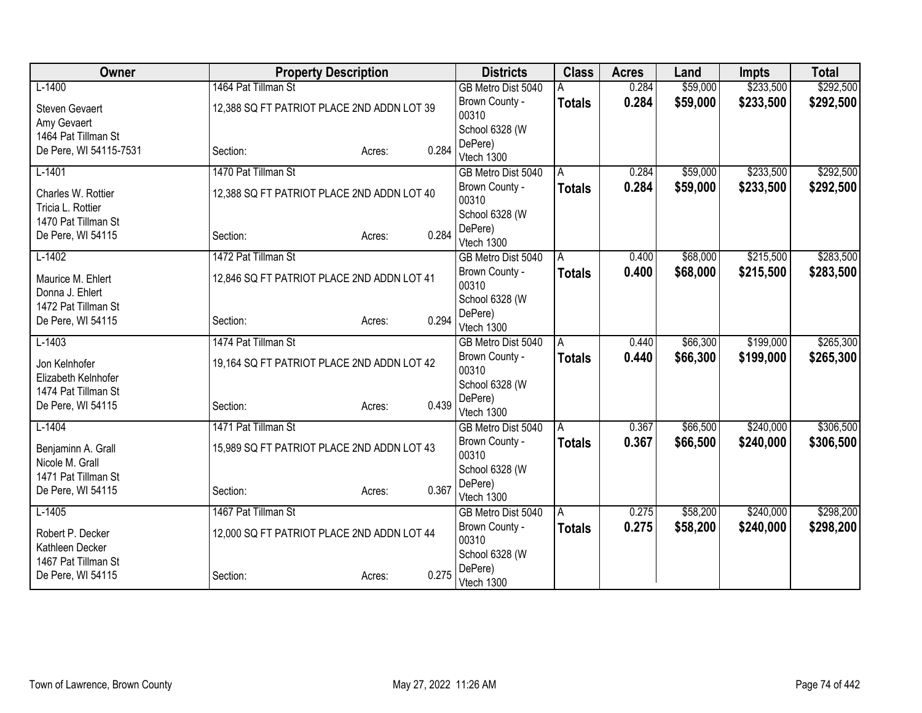| Owner                  | <b>Property Description</b>                |                 | <b>Districts</b>        | <b>Class</b>  | <b>Acres</b> | Land     | <b>Impts</b> | <b>Total</b> |
|------------------------|--------------------------------------------|-----------------|-------------------------|---------------|--------------|----------|--------------|--------------|
| $L-1400$               | 1464 Pat Tillman St                        |                 | GB Metro Dist 5040      |               | 0.284        | \$59,000 | \$233,500    | \$292,500    |
| <b>Steven Gevaert</b>  | 12,388 SQ FT PATRIOT PLACE 2ND ADDN LOT 39 |                 | Brown County -          | <b>Totals</b> | 0.284        | \$59,000 | \$233,500    | \$292,500    |
| Amy Gevaert            |                                            |                 | 00310                   |               |              |          |              |              |
| 1464 Pat Tillman St    |                                            |                 | School 6328 (W          |               |              |          |              |              |
| De Pere, WI 54115-7531 | Section:                                   | 0.284<br>Acres: | DePere)<br>Vtech 1300   |               |              |          |              |              |
| $L-1401$               | 1470 Pat Tillman St                        |                 | GB Metro Dist 5040      | A             | 0.284        | \$59,000 | \$233,500    | \$292,500    |
|                        |                                            |                 | Brown County -          | <b>Totals</b> | 0.284        | \$59,000 | \$233,500    | \$292,500    |
| Charles W. Rottier     | 12,388 SQ FT PATRIOT PLACE 2ND ADDN LOT 40 |                 | 00310                   |               |              |          |              |              |
| Tricia L. Rottier      |                                            |                 | School 6328 (W          |               |              |          |              |              |
| 1470 Pat Tillman St    |                                            |                 | DePere)                 |               |              |          |              |              |
| De Pere, WI 54115      | Section:                                   | 0.284<br>Acres: | Vtech 1300              |               |              |          |              |              |
| $L-1402$               | 1472 Pat Tillman St                        |                 | GB Metro Dist 5040      | A             | 0.400        | \$68,000 | \$215,500    | \$283,500    |
| Maurice M. Ehlert      | 12,846 SQ FT PATRIOT PLACE 2ND ADDN LOT 41 |                 | Brown County -          | <b>Totals</b> | 0.400        | \$68,000 | \$215,500    | \$283,500    |
| Donna J. Ehlert        |                                            |                 | 00310                   |               |              |          |              |              |
| 1472 Pat Tillman St    |                                            |                 | School 6328 (W          |               |              |          |              |              |
| De Pere, WI 54115      | Section:                                   | 0.294<br>Acres: | DePere)                 |               |              |          |              |              |
|                        | 1474 Pat Tillman St                        |                 | Vtech 1300              |               | 0.440        |          | \$199,000    | \$265,300    |
| $L-1403$               |                                            |                 | GB Metro Dist 5040      | A             |              | \$66,300 |              |              |
| Jon Kelnhofer          | 19,164 SQ FT PATRIOT PLACE 2ND ADDN LOT 42 |                 | Brown County -<br>00310 | <b>Totals</b> | 0.440        | \$66,300 | \$199,000    | \$265,300    |
| Elizabeth Kelnhofer    |                                            |                 | School 6328 (W          |               |              |          |              |              |
| 1474 Pat Tillman St    |                                            |                 | DePere)                 |               |              |          |              |              |
| De Pere, WI 54115      | Section:                                   | 0.439<br>Acres: | Vtech 1300              |               |              |          |              |              |
| $L-1404$               | 1471 Pat Tillman St                        |                 | GB Metro Dist 5040      | A             | 0.367        | \$66,500 | \$240,000    | \$306,500    |
| Benjaminn A. Grall     | 15,989 SQ FT PATRIOT PLACE 2ND ADDN LOT 43 |                 | Brown County -          | <b>Totals</b> | 0.367        | \$66,500 | \$240,000    | \$306,500    |
| Nicole M. Grall        |                                            |                 | 00310                   |               |              |          |              |              |
| 1471 Pat Tillman St    |                                            |                 | School 6328 (W          |               |              |          |              |              |
| De Pere, WI 54115      | Section:                                   | 0.367<br>Acres: | DePere)                 |               |              |          |              |              |
|                        |                                            |                 | Vtech 1300              |               |              |          |              |              |
| $L-1405$               | 1467 Pat Tillman St                        |                 | GB Metro Dist 5040      | A             | 0.275        | \$58,200 | \$240,000    | \$298,200    |
| Robert P. Decker       | 12,000 SQ FT PATRIOT PLACE 2ND ADDN LOT 44 |                 | Brown County -<br>00310 | <b>Totals</b> | 0.275        | \$58,200 | \$240,000    | \$298,200    |
| Kathleen Decker        |                                            |                 | School 6328 (W          |               |              |          |              |              |
| 1467 Pat Tillman St    |                                            |                 | DePere)                 |               |              |          |              |              |
| De Pere, WI 54115      | Section:                                   | 0.275<br>Acres: | Vtech 1300              |               |              |          |              |              |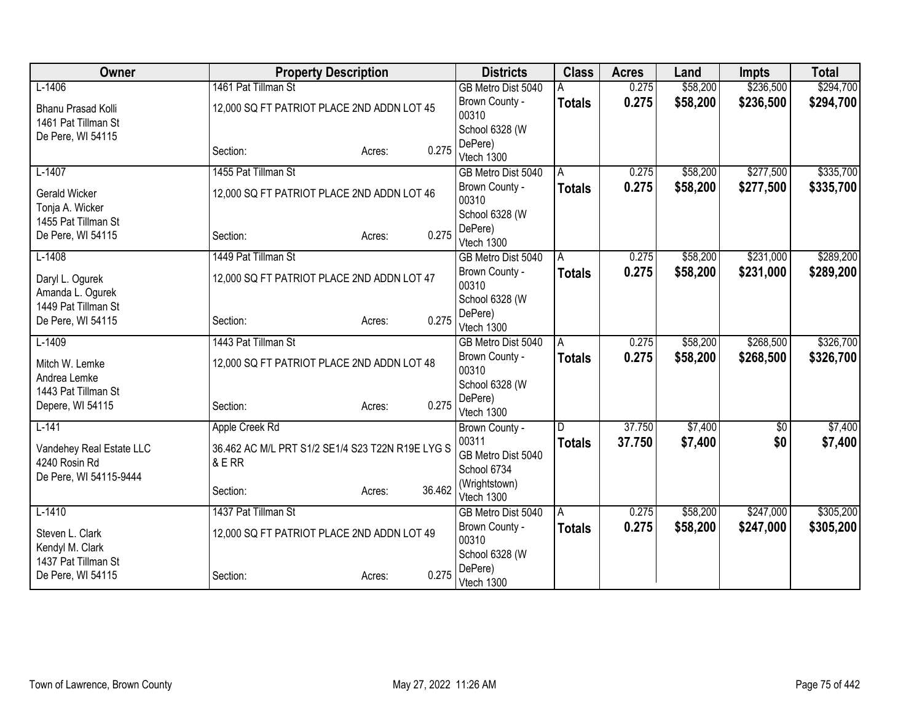| Owner                                  |                                                  | <b>Property Description</b> |        | <b>Districts</b>          | <b>Class</b>  | <b>Acres</b> | Land     | <b>Impts</b> | <b>Total</b> |
|----------------------------------------|--------------------------------------------------|-----------------------------|--------|---------------------------|---------------|--------------|----------|--------------|--------------|
| $L-1406$                               | 1461 Pat Tillman St                              |                             |        | GB Metro Dist 5040        |               | 0.275        | \$58,200 | \$236,500    | \$294,700    |
| <b>Bhanu Prasad Kolli</b>              | 12,000 SQ FT PATRIOT PLACE 2ND ADDN LOT 45       |                             |        | Brown County -            | <b>Totals</b> | 0.275        | \$58,200 | \$236,500    | \$294,700    |
| 1461 Pat Tillman St                    |                                                  |                             |        | 00310                     |               |              |          |              |              |
| De Pere, WI 54115                      |                                                  |                             |        | School 6328 (W            |               |              |          |              |              |
|                                        | Section:                                         | Acres:                      | 0.275  | DePere)<br>Vtech 1300     |               |              |          |              |              |
| $L-1407$                               | 1455 Pat Tillman St                              |                             |        | GB Metro Dist 5040        | A             | 0.275        | \$58,200 | \$277,500    | \$335,700    |
|                                        |                                                  |                             |        | Brown County -            | <b>Totals</b> | 0.275        | \$58,200 | \$277,500    | \$335,700    |
| Gerald Wicker                          | 12,000 SQ FT PATRIOT PLACE 2ND ADDN LOT 46       |                             |        | 00310                     |               |              |          |              |              |
| Tonja A. Wicker<br>1455 Pat Tillman St |                                                  |                             |        | School 6328 (W            |               |              |          |              |              |
| De Pere, WI 54115                      | Section:                                         | Acres:                      | 0.275  | DePere)                   |               |              |          |              |              |
|                                        |                                                  |                             |        | Vtech 1300                |               |              |          |              |              |
| $L-1408$                               | 1449 Pat Tillman St                              |                             |        | GB Metro Dist 5040        | A             | 0.275        | \$58,200 | \$231,000    | \$289,200    |
| Daryl L. Ogurek                        | 12,000 SQ FT PATRIOT PLACE 2ND ADDN LOT 47       |                             |        | Brown County -<br>00310   | <b>Totals</b> | 0.275        | \$58,200 | \$231,000    | \$289,200    |
| Amanda L. Ogurek                       |                                                  |                             |        | School 6328 (W            |               |              |          |              |              |
| 1449 Pat Tillman St                    |                                                  |                             |        | DePere)                   |               |              |          |              |              |
| De Pere, WI 54115                      | Section:                                         | Acres:                      | 0.275  | Vtech 1300                |               |              |          |              |              |
| $L-1409$                               | 1443 Pat Tillman St                              |                             |        | GB Metro Dist 5040        | A             | 0.275        | \$58,200 | \$268,500    | \$326,700    |
| Mitch W. Lemke                         | 12,000 SQ FT PATRIOT PLACE 2ND ADDN LOT 48       |                             |        | Brown County -            | <b>Totals</b> | 0.275        | \$58,200 | \$268,500    | \$326,700    |
| Andrea Lemke                           |                                                  |                             |        | 00310                     |               |              |          |              |              |
| 1443 Pat Tillman St                    |                                                  |                             |        | School 6328 (W            |               |              |          |              |              |
| Depere, WI 54115                       | Section:                                         | Acres:                      | 0.275  | DePere)<br>Vtech 1300     |               |              |          |              |              |
| $L-141$                                | Apple Creek Rd                                   |                             |        | Brown County -            | D             | 37.750       | \$7,400  | $\sqrt{$0}$  | \$7,400      |
|                                        |                                                  |                             |        | 00311                     | <b>Totals</b> | 37.750       | \$7,400  | \$0          | \$7,400      |
| Vandehey Real Estate LLC               | 36.462 AC M/L PRT S1/2 SE1/4 S23 T22N R19E LYG S |                             |        | GB Metro Dist 5040        |               |              |          |              |              |
| 4240 Rosin Rd                          | & E RR                                           |                             |        | School 6734               |               |              |          |              |              |
| De Pere, WI 54115-9444                 | Section:                                         |                             | 36.462 | (Wrightstown)             |               |              |          |              |              |
|                                        |                                                  | Acres:                      |        | Vtech 1300                |               |              |          |              |              |
| $L-1410$                               | 1437 Pat Tillman St                              |                             |        | GB Metro Dist 5040        | A             | 0.275        | \$58,200 | \$247,000    | \$305,200    |
| Steven L. Clark                        | 12,000 SQ FT PATRIOT PLACE 2ND ADDN LOT 49       |                             |        | Brown County -            | <b>Totals</b> | 0.275        | \$58,200 | \$247,000    | \$305,200    |
| Kendyl M. Clark                        |                                                  |                             |        | 00310                     |               |              |          |              |              |
| 1437 Pat Tillman St                    |                                                  |                             |        | School 6328 (W<br>DePere) |               |              |          |              |              |
| De Pere, WI 54115                      | Section:                                         | Acres:                      | 0.275  | Vtech 1300                |               |              |          |              |              |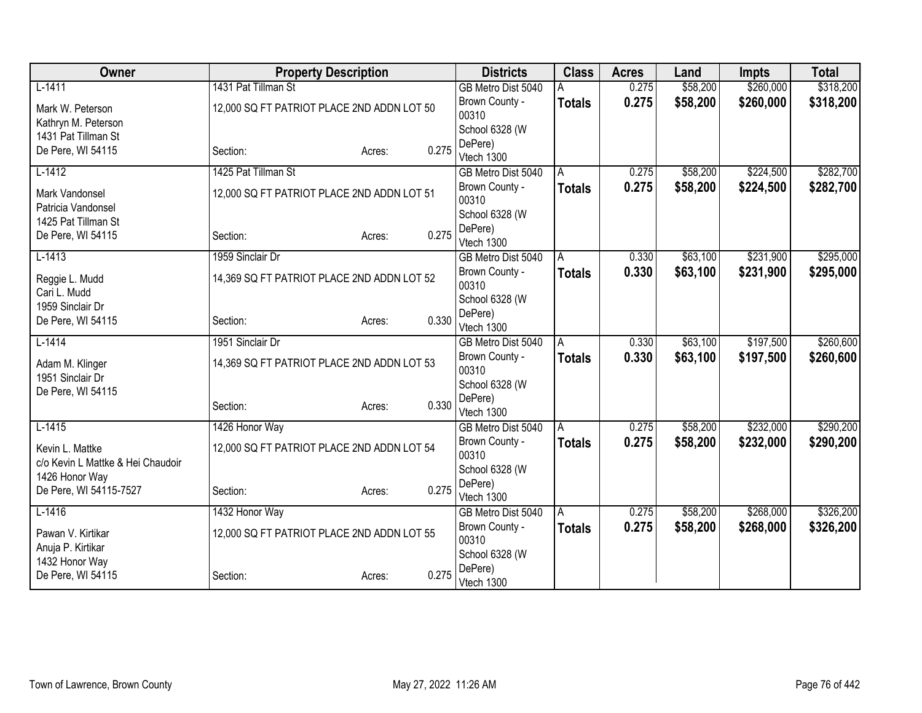| Owner                             |                                            | <b>Property Description</b> |       | <b>Districts</b>                 | <b>Class</b>  | <b>Acres</b> | Land     | <b>Impts</b> | <b>Total</b> |
|-----------------------------------|--------------------------------------------|-----------------------------|-------|----------------------------------|---------------|--------------|----------|--------------|--------------|
| $L-1411$                          | 1431 Pat Tillman St                        |                             |       | GB Metro Dist 5040               |               | 0.275        | \$58,200 | \$260,000    | \$318,200    |
| Mark W. Peterson                  | 12,000 SQ FT PATRIOT PLACE 2ND ADDN LOT 50 |                             |       | Brown County -                   | <b>Totals</b> | 0.275        | \$58,200 | \$260,000    | \$318,200    |
| Kathryn M. Peterson               |                                            |                             |       | 00310                            |               |              |          |              |              |
| 1431 Pat Tillman St               |                                            |                             |       | School 6328 (W                   |               |              |          |              |              |
| De Pere, WI 54115                 | Section:                                   | Acres:                      | 0.275 | DePere)                          |               |              |          |              |              |
| $L-1412$                          | 1425 Pat Tillman St                        |                             |       | Vtech 1300<br>GB Metro Dist 5040 | A             | 0.275        | \$58,200 | \$224,500    | \$282,700    |
|                                   |                                            |                             |       | Brown County -                   | <b>Totals</b> | 0.275        | \$58,200 | \$224,500    | \$282,700    |
| Mark Vandonsel                    | 12,000 SQ FT PATRIOT PLACE 2ND ADDN LOT 51 |                             |       | 00310                            |               |              |          |              |              |
| Patricia Vandonsel                |                                            |                             |       | School 6328 (W                   |               |              |          |              |              |
| 1425 Pat Tillman St               |                                            |                             |       | DePere)                          |               |              |          |              |              |
| De Pere, WI 54115                 | Section:                                   | Acres:                      | 0.275 | Vtech 1300                       |               |              |          |              |              |
| $L-1413$                          | 1959 Sinclair Dr                           |                             |       | GB Metro Dist 5040               | A             | 0.330        | \$63,100 | \$231,900    | \$295,000    |
| Reggie L. Mudd                    | 14,369 SQ FT PATRIOT PLACE 2ND ADDN LOT 52 |                             |       | Brown County -                   | <b>Totals</b> | 0.330        | \$63,100 | \$231,900    | \$295,000    |
| Cari L. Mudd                      |                                            |                             |       | 00310                            |               |              |          |              |              |
| 1959 Sinclair Dr                  |                                            |                             |       | School 6328 (W                   |               |              |          |              |              |
| De Pere, WI 54115                 | Section:                                   | Acres:                      | 0.330 | DePere)<br>Vtech 1300            |               |              |          |              |              |
| $L-1414$                          | 1951 Sinclair Dr                           |                             |       | GB Metro Dist 5040               | A             | 0.330        | \$63,100 | \$197,500    | \$260,600    |
|                                   |                                            |                             |       | Brown County -                   | <b>Totals</b> | 0.330        | \$63,100 | \$197,500    | \$260,600    |
| Adam M. Klinger                   | 14,369 SQ FT PATRIOT PLACE 2ND ADDN LOT 53 |                             |       | 00310                            |               |              |          |              |              |
| 1951 Sinclair Dr                  |                                            |                             |       | School 6328 (W                   |               |              |          |              |              |
| De Pere, WI 54115                 |                                            |                             | 0.330 | DePere)                          |               |              |          |              |              |
|                                   | Section:                                   | Acres:                      |       | Vtech 1300                       |               |              |          |              |              |
| $L-1415$                          | 1426 Honor Way                             |                             |       | GB Metro Dist 5040               | A             | 0.275        | \$58,200 | \$232,000    | \$290,200    |
| Kevin L. Mattke                   | 12,000 SQ FT PATRIOT PLACE 2ND ADDN LOT 54 |                             |       | Brown County -                   | <b>Totals</b> | 0.275        | \$58,200 | \$232,000    | \$290,200    |
| c/o Kevin L Mattke & Hei Chaudoir |                                            |                             |       | 00310                            |               |              |          |              |              |
| 1426 Honor Way                    |                                            |                             |       | School 6328 (W                   |               |              |          |              |              |
| De Pere, WI 54115-7527            | Section:                                   | Acres:                      | 0.275 | DePere)<br>Vtech 1300            |               |              |          |              |              |
| $L-1416$                          | 1432 Honor Way                             |                             |       | GB Metro Dist 5040               | l A           | 0.275        | \$58,200 | \$268,000    | \$326,200    |
|                                   |                                            |                             |       | Brown County -                   | <b>Totals</b> | 0.275        | \$58,200 | \$268,000    | \$326,200    |
| Pawan V. Kirtikar                 | 12,000 SQ FT PATRIOT PLACE 2ND ADDN LOT 55 |                             |       | 00310                            |               |              |          |              |              |
| Anuja P. Kirtikar                 |                                            |                             |       | School 6328 (W                   |               |              |          |              |              |
| 1432 Honor Way                    |                                            |                             |       | DePere)                          |               |              |          |              |              |
| De Pere, WI 54115                 | Section:                                   | Acres:                      | 0.275 | Vtech 1300                       |               |              |          |              |              |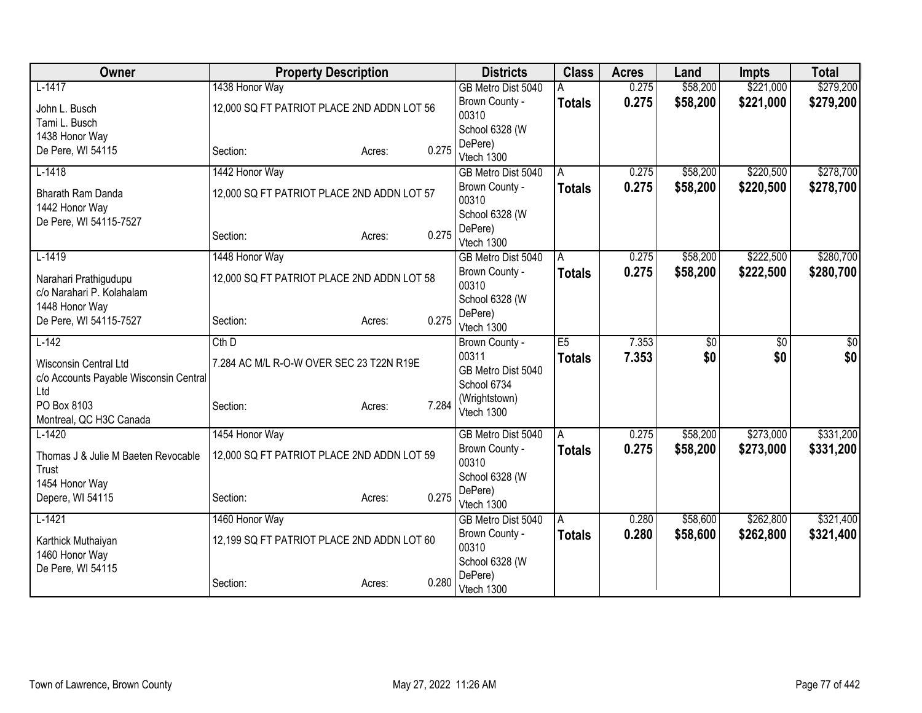| Owner                                         |                                            | <b>Property Description</b> |       | <b>Districts</b>          | <b>Class</b>  | <b>Acres</b> | Land            | <b>Impts</b> | <b>Total</b> |
|-----------------------------------------------|--------------------------------------------|-----------------------------|-------|---------------------------|---------------|--------------|-----------------|--------------|--------------|
| $L-1417$                                      | 1438 Honor Way                             |                             |       | GB Metro Dist 5040        |               | 0.275        | \$58,200        | \$221,000    | \$279,200    |
| John L. Busch                                 | 12,000 SQ FT PATRIOT PLACE 2ND ADDN LOT 56 |                             |       | Brown County -            | <b>Totals</b> | 0.275        | \$58,200        | \$221,000    | \$279,200    |
| Tami L. Busch                                 |                                            |                             |       | 00310                     |               |              |                 |              |              |
| 1438 Honor Way                                |                                            |                             |       | School 6328 (W            |               |              |                 |              |              |
| De Pere, WI 54115                             | Section:                                   | Acres:                      | 0.275 | DePere)<br>Vtech 1300     |               |              |                 |              |              |
| $L-1418$                                      | 1442 Honor Way                             |                             |       | GB Metro Dist 5040        | A             | 0.275        | \$58,200        | \$220,500    | \$278,700    |
|                                               |                                            |                             |       | Brown County -            | Totals        | 0.275        | \$58,200        | \$220,500    | \$278,700    |
| <b>Bharath Ram Danda</b>                      | 12,000 SQ FT PATRIOT PLACE 2ND ADDN LOT 57 |                             |       | 00310                     |               |              |                 |              |              |
| 1442 Honor Way<br>De Pere, WI 54115-7527      |                                            |                             |       | School 6328 (W            |               |              |                 |              |              |
|                                               | Section:                                   | Acres:                      | 0.275 | DePere)                   |               |              |                 |              |              |
|                                               |                                            |                             |       | Vtech 1300                |               |              |                 |              |              |
| $L-1419$                                      | 1448 Honor Way                             |                             |       | GB Metro Dist 5040        | A             | 0.275        | \$58,200        | \$222,500    | \$280,700    |
| Narahari Prathigudupu                         | 12,000 SQ FT PATRIOT PLACE 2ND ADDN LOT 58 |                             |       | Brown County -            | Totals        | 0.275        | \$58,200        | \$222,500    | \$280,700    |
| c/o Narahari P. Kolahalam                     |                                            |                             |       | 00310                     |               |              |                 |              |              |
| 1448 Honor Way                                |                                            |                             |       | School 6328 (W<br>DePere) |               |              |                 |              |              |
| De Pere, WI 54115-7527                        | Section:                                   | Acres:                      | 0.275 | Vtech 1300                |               |              |                 |              |              |
| $L-142$                                       | $Cth$ D                                    |                             |       | Brown County -            | E5            | 7.353        | $\overline{60}$ | \$0          | \$0          |
|                                               |                                            |                             |       | 00311                     | <b>Totals</b> | 7.353        | \$0             | \$0          | \$0          |
| Wisconsin Central Ltd                         | 7.284 AC M/L R-O-W OVER SEC 23 T22N R19E   |                             |       | GB Metro Dist 5040        |               |              |                 |              |              |
| c/o Accounts Payable Wisconsin Central<br>Ltd |                                            |                             |       | School 6734               |               |              |                 |              |              |
| PO Box 8103                                   | Section:                                   | Acres:                      | 7.284 | (Wrightstown)             |               |              |                 |              |              |
| Montreal, QC H3C Canada                       |                                            |                             |       | Vtech 1300                |               |              |                 |              |              |
| $L-1420$                                      | 1454 Honor Way                             |                             |       | GB Metro Dist 5040        | A             | 0.275        | \$58,200        | \$273,000    | \$331,200    |
|                                               |                                            |                             |       | Brown County -            | <b>Totals</b> | 0.275        | \$58,200        | \$273,000    | \$331,200    |
| Thomas J & Julie M Baeten Revocable           | 12,000 SQ FT PATRIOT PLACE 2ND ADDN LOT 59 |                             |       | 00310                     |               |              |                 |              |              |
| Trust<br>1454 Honor Way                       |                                            |                             |       | School 6328 (W            |               |              |                 |              |              |
| Depere, WI 54115                              | Section:                                   | Acres:                      | 0.275 | DePere)                   |               |              |                 |              |              |
|                                               |                                            |                             |       | Vtech 1300                |               |              |                 |              |              |
| $L-1421$                                      | 1460 Honor Way                             |                             |       | GB Metro Dist 5040        | A             | 0.280        | \$58,600        | \$262,800    | \$321,400    |
| Karthick Muthaiyan                            | 12,199 SQ FT PATRIOT PLACE 2ND ADDN LOT 60 |                             |       | Brown County -            | <b>Totals</b> | 0.280        | \$58,600        | \$262,800    | \$321,400    |
| 1460 Honor Way                                |                                            |                             |       | 00310                     |               |              |                 |              |              |
| De Pere, WI 54115                             |                                            |                             |       | School 6328 (W<br>DePere) |               |              |                 |              |              |
|                                               | Section:                                   | Acres:                      | 0.280 | Vtech 1300                |               |              |                 |              |              |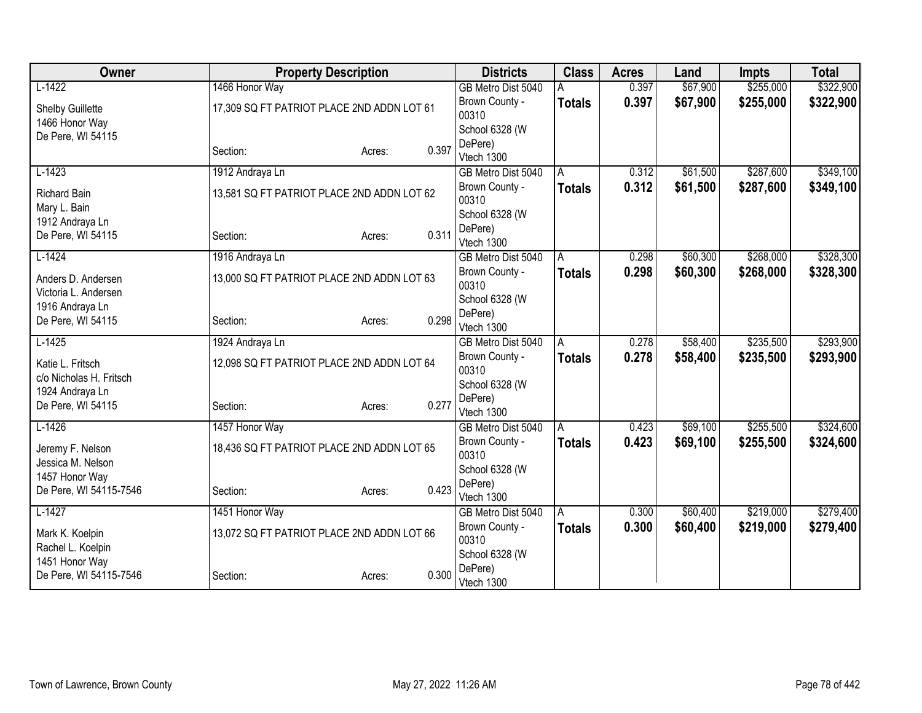| Owner                           |                                            | <b>Property Description</b> |       | <b>Districts</b>                 | <b>Class</b>  | <b>Acres</b> | Land     | <b>Impts</b> | <b>Total</b> |
|---------------------------------|--------------------------------------------|-----------------------------|-------|----------------------------------|---------------|--------------|----------|--------------|--------------|
| $L-1422$                        | 1466 Honor Way                             |                             |       | GB Metro Dist 5040               |               | 0.397        | \$67,900 | \$255,000    | \$322,900    |
| Shelby Guillette                | 17,309 SQ FT PATRIOT PLACE 2ND ADDN LOT 61 |                             |       | Brown County -                   | <b>Totals</b> | 0.397        | \$67,900 | \$255,000    | \$322,900    |
| 1466 Honor Way                  |                                            |                             |       | 00310                            |               |              |          |              |              |
| De Pere, WI 54115               |                                            |                             |       | School 6328 (W                   |               |              |          |              |              |
|                                 | Section:                                   | Acres:                      | 0.397 | DePere)                          |               |              |          |              |              |
| $L-1423$                        |                                            |                             |       | Vtech 1300<br>GB Metro Dist 5040 |               | 0.312        | \$61,500 | \$287,600    | \$349,100    |
|                                 | 1912 Andraya Ln                            |                             |       |                                  | A             |              |          |              |              |
| <b>Richard Bain</b>             | 13,581 SQ FT PATRIOT PLACE 2ND ADDN LOT 62 |                             |       | Brown County -<br>00310          | <b>Totals</b> | 0.312        | \$61,500 | \$287,600    | \$349,100    |
| Mary L. Bain<br>1912 Andraya Ln |                                            |                             |       | School 6328 (W                   |               |              |          |              |              |
| De Pere, WI 54115               | Section:                                   | Acres:                      | 0.311 | DePere)                          |               |              |          |              |              |
|                                 |                                            |                             |       | Vtech 1300                       |               |              |          |              |              |
| $L-1424$                        | 1916 Andraya Ln                            |                             |       | GB Metro Dist 5040               | A             | 0.298        | \$60,300 | \$268,000    | \$328,300    |
| Anders D. Andersen              | 13,000 SQ FT PATRIOT PLACE 2ND ADDN LOT 63 |                             |       | Brown County -<br>00310          | Totals        | 0.298        | \$60,300 | \$268,000    | \$328,300    |
| Victoria L. Andersen            |                                            |                             |       | School 6328 (W                   |               |              |          |              |              |
| 1916 Andraya Ln                 |                                            |                             |       | DePere)                          |               |              |          |              |              |
| De Pere, WI 54115               | Section:                                   | Acres:                      | 0.298 | Vtech 1300                       |               |              |          |              |              |
| $L-1425$                        | 1924 Andraya Ln                            |                             |       | GB Metro Dist 5040               | A             | 0.278        | \$58,400 | \$235,500    | \$293,900    |
| Katie L. Fritsch                | 12,098 SQ FT PATRIOT PLACE 2ND ADDN LOT 64 |                             |       | Brown County -                   | <b>Totals</b> | 0.278        | \$58,400 | \$235,500    | \$293,900    |
| c/o Nicholas H. Fritsch         |                                            |                             |       | 00310                            |               |              |          |              |              |
| 1924 Andraya Ln                 |                                            |                             |       | School 6328 (W                   |               |              |          |              |              |
| De Pere, WI 54115               | Section:                                   | Acres:                      | 0.277 | DePere)                          |               |              |          |              |              |
|                                 |                                            |                             |       | Vtech 1300                       |               |              |          |              |              |
| $L-1426$                        | 1457 Honor Way                             |                             |       | GB Metro Dist 5040               | A             | 0.423        | \$69,100 | \$255,500    | \$324,600    |
| Jeremy F. Nelson                | 18,436 SQ FT PATRIOT PLACE 2ND ADDN LOT 65 |                             |       | Brown County -<br>00310          | <b>Totals</b> | 0.423        | \$69,100 | \$255,500    | \$324,600    |
| Jessica M. Nelson               |                                            |                             |       | School 6328 (W                   |               |              |          |              |              |
| 1457 Honor Way                  |                                            |                             |       | DePere)                          |               |              |          |              |              |
| De Pere, WI 54115-7546          | Section:                                   | Acres:                      | 0.423 | Vtech 1300                       |               |              |          |              |              |
| $L-1427$                        | 1451 Honor Way                             |                             |       | GB Metro Dist 5040               | l A           | 0.300        | \$60,400 | \$219,000    | \$279,400    |
| Mark K. Koelpin                 | 13,072 SQ FT PATRIOT PLACE 2ND ADDN LOT 66 |                             |       | Brown County -                   | <b>Totals</b> | 0.300        | \$60,400 | \$219,000    | \$279,400    |
| Rachel L. Koelpin               |                                            |                             |       | 00310                            |               |              |          |              |              |
| 1451 Honor Way                  |                                            |                             |       | School 6328 (W                   |               |              |          |              |              |
| De Pere, WI 54115-7546          | Section:                                   | Acres:                      | 0.300 | DePere)<br>Vtech 1300            |               |              |          |              |              |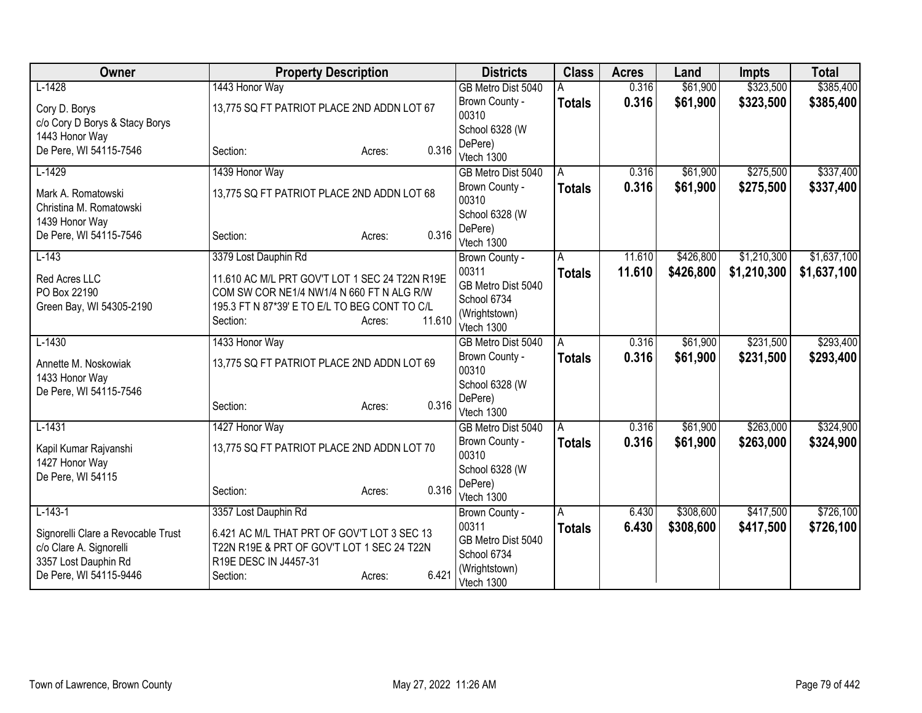| Owner                                           | <b>Property Description</b>                                                                 |                  | <b>Districts</b>          | <b>Class</b>  | <b>Acres</b> | Land      | <b>Impts</b> | <b>Total</b> |
|-------------------------------------------------|---------------------------------------------------------------------------------------------|------------------|---------------------------|---------------|--------------|-----------|--------------|--------------|
| $L-1428$                                        | 1443 Honor Way                                                                              |                  | GB Metro Dist 5040        |               | 0.316        | \$61,900  | \$323,500    | \$385,400    |
| Cory D. Borys                                   | 13,775 SQ FT PATRIOT PLACE 2ND ADDN LOT 67                                                  |                  | Brown County -            | <b>Totals</b> | 0.316        | \$61,900  | \$323,500    | \$385,400    |
| c/o Cory D Borys & Stacy Borys                  |                                                                                             |                  | 00310                     |               |              |           |              |              |
| 1443 Honor Way                                  |                                                                                             |                  | School 6328 (W<br>DePere) |               |              |           |              |              |
| De Pere, WI 54115-7546                          | Section:                                                                                    | 0.316<br>Acres:  | Vtech 1300                |               |              |           |              |              |
| $L-1429$                                        | 1439 Honor Way                                                                              |                  | GB Metro Dist 5040        | A             | 0.316        | \$61,900  | \$275,500    | \$337,400    |
| Mark A. Romatowski                              | 13,775 SQ FT PATRIOT PLACE 2ND ADDN LOT 68                                                  |                  | Brown County -            | <b>Totals</b> | 0.316        | \$61,900  | \$275,500    | \$337,400    |
| Christina M. Romatowski                         |                                                                                             |                  | 00310                     |               |              |           |              |              |
| 1439 Honor Way                                  |                                                                                             |                  | School 6328 (W            |               |              |           |              |              |
| De Pere, WI 54115-7546                          | Section:                                                                                    | 0.316<br>Acres:  | DePere)<br>Vtech 1300     |               |              |           |              |              |
| $L-143$                                         | 3379 Lost Dauphin Rd                                                                        |                  | Brown County -            | A             | 11.610       | \$426,800 | \$1,210,300  | \$1,637,100  |
|                                                 |                                                                                             |                  | 00311                     | <b>Totals</b> | 11.610       | \$426,800 | \$1,210,300  | \$1,637,100  |
| Red Acres LLC<br>PO Box 22190                   | 11.610 AC M/L PRT GOV'T LOT 1 SEC 24 T22N R19E<br>COM SW COR NE1/4 NW1/4 N 660 FT N ALG R/W |                  | GB Metro Dist 5040        |               |              |           |              |              |
| Green Bay, WI 54305-2190                        | 195.3 FT N 87*39' E TO E/L TO BEG CONT TO C/L                                               |                  | School 6734               |               |              |           |              |              |
|                                                 | Section:                                                                                    | 11.610<br>Acres: | (Wrightstown)             |               |              |           |              |              |
|                                                 |                                                                                             |                  | Vtech 1300                |               |              |           |              |              |
| $L-1430$                                        | 1433 Honor Way                                                                              |                  | GB Metro Dist 5040        | A             | 0.316        | \$61,900  | \$231,500    | \$293,400    |
| Annette M. Noskowiak                            | 13,775 SQ FT PATRIOT PLACE 2ND ADDN LOT 69                                                  |                  | Brown County -<br>00310   | <b>Totals</b> | 0.316        | \$61,900  | \$231,500    | \$293,400    |
| 1433 Honor Way                                  |                                                                                             |                  | School 6328 (W            |               |              |           |              |              |
| De Pere, WI 54115-7546                          |                                                                                             |                  | DePere)                   |               |              |           |              |              |
|                                                 | Section:                                                                                    | 0.316<br>Acres:  | Vtech 1300                |               |              |           |              |              |
| $L-1431$                                        | 1427 Honor Way                                                                              |                  | GB Metro Dist 5040        | l A           | 0.316        | \$61,900  | \$263,000    | \$324,900    |
| Kapil Kumar Rajvanshi                           | 13,775 SQ FT PATRIOT PLACE 2ND ADDN LOT 70                                                  |                  | Brown County -            | <b>Totals</b> | 0.316        | \$61,900  | \$263,000    | \$324,900    |
| 1427 Honor Way                                  |                                                                                             |                  | 00310                     |               |              |           |              |              |
| De Pere, WI 54115                               |                                                                                             |                  | School 6328 (W            |               |              |           |              |              |
|                                                 | Section:                                                                                    | 0.316<br>Acres:  | DePere)<br>Vtech 1300     |               |              |           |              |              |
| $L-143-1$                                       | 3357 Lost Dauphin Rd                                                                        |                  | Brown County -            | A             | 6.430        | \$308,600 | \$417,500    | \$726,100    |
|                                                 |                                                                                             |                  | 00311                     | <b>Totals</b> | 6.430        | \$308,600 | \$417,500    | \$726,100    |
| Signorelli Clare a Revocable Trust              | 6.421 AC M/L THAT PRT OF GOV'T LOT 3 SEC 13                                                 |                  | GB Metro Dist 5040        |               |              |           |              |              |
| c/o Clare A. Signorelli<br>3357 Lost Dauphin Rd | T22N R19E & PRT OF GOV'T LOT 1 SEC 24 T22N<br>R19E DESC IN J4457-31                         |                  | School 6734               |               |              |           |              |              |
| De Pere, WI 54115-9446                          | Section:                                                                                    | 6.421<br>Acres:  | (Wrightstown)             |               |              |           |              |              |
|                                                 |                                                                                             |                  | Vtech 1300                |               |              |           |              |              |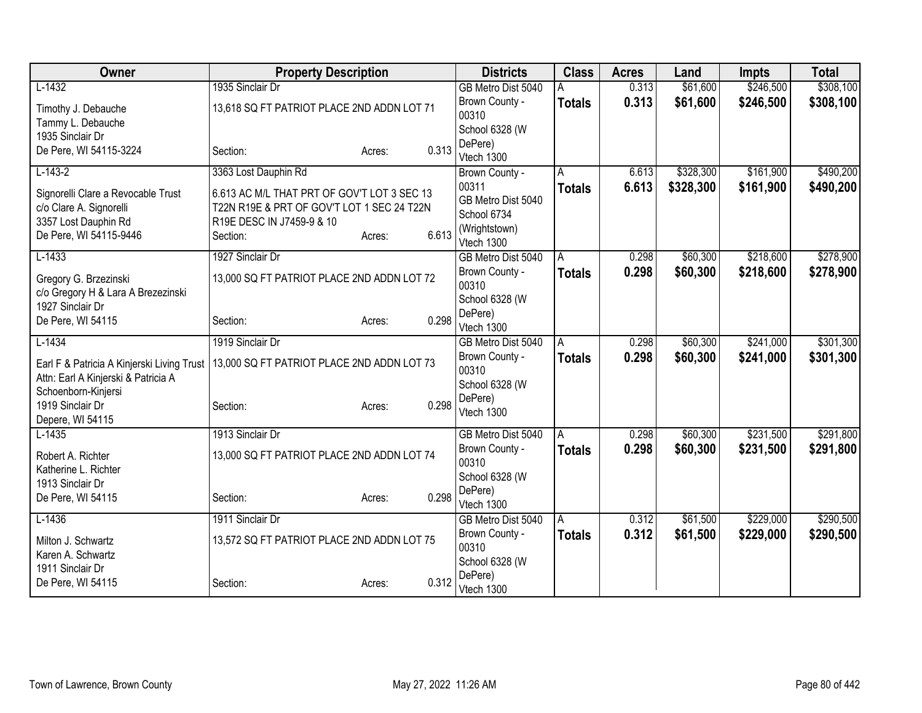| \$61,600<br>\$246,500<br>\$308,100<br>$L-1432$<br>1935 Sinclair Dr<br>0.313<br>GB Metro Dist 5040<br>0.313<br>\$61,600<br>Brown County -<br>\$246,500<br>\$308,100<br><b>Totals</b><br>13,618 SQ FT PATRIOT PLACE 2ND ADDN LOT 71<br>Timothy J. Debauche<br>00310<br>Tammy L. Debauche<br>School 6328 (W<br>1935 Sinclair Dr<br>DePere)<br>0.313<br>De Pere, WI 54115-3224<br>Section:<br>Acres:<br>Vtech 1300<br>\$161,900<br>$L-143-2$<br>3363 Lost Dauphin Rd<br>\$328,300<br>6.613<br>Brown County -<br>A<br>00311<br>6.613<br>\$328,300<br>\$161,900<br>\$490,200<br><b>Totals</b><br>Signorelli Clare a Revocable Trust<br>6.613 AC M/L THAT PRT OF GOV'T LOT 3 SEC 13<br>GB Metro Dist 5040<br>T22N R19E & PRT OF GOV'T LOT 1 SEC 24 T22N<br>c/o Clare A. Signorelli<br>School 6734<br>3357 Lost Dauphin Rd<br>R19E DESC IN J7459-9 & 10<br>(Wrightstown)<br>6.613<br>De Pere, WI 54115-9446<br>Section:<br>Acres:<br>Vtech 1300<br>$L-1433$<br>1927 Sinclair Dr<br>\$60,300<br>\$218,600<br>GB Metro Dist 5040<br>0.298<br>A<br>0.298<br>\$60,300<br>\$218,600<br>Brown County -<br>\$278,900<br><b>Totals</b><br>13,000 SQ FT PATRIOT PLACE 2ND ADDN LOT 72<br>Gregory G. Brzezinski<br>00310<br>c/o Gregory H & Lara A Brezezinski<br>School 6328 (W<br>1927 Sinclair Dr<br>DePere)<br>0.298<br>De Pere, WI 54115<br>Section:<br>Acres:<br>Vtech 1300<br>$L-1434$<br>1919 Sinclair Dr<br>\$60,300<br>\$241,000<br>0.298<br>GB Metro Dist 5040<br>A<br>0.298<br>\$60,300<br>\$241,000<br>\$301,300<br>Brown County -<br><b>Totals</b><br>13,000 SQ FT PATRIOT PLACE 2ND ADDN LOT 73<br>Earl F & Patricia A Kinjerski Living Trust<br>00310<br>Attn: Earl A Kinjerski & Patricia A<br>School 6328 (W<br>Schoenborn-Kinjersi<br>DePere)<br>1919 Sinclair Dr<br>0.298<br>Section:<br>Acres:<br>Vtech 1300<br>Depere, WI 54115<br>$L-1435$<br>1913 Sinclair Dr<br>\$60,300<br>\$231,500<br>GB Metro Dist 5040<br>0.298<br>A<br>0.298<br>\$60,300<br>Brown County -<br>\$231,500<br>\$291,800<br><b>Totals</b><br>Robert A. Richter<br>13,000 SQ FT PATRIOT PLACE 2ND ADDN LOT 74<br>00310<br>Katherine L. Richter<br>School 6328 (W<br>1913 Sinclair Dr<br>DePere)<br>0.298<br>De Pere, WI 54115<br>Section:<br>Acres:<br>Vtech 1300<br>\$61,500<br>\$229,000<br>$L-1436$<br>1911 Sinclair Dr<br>0.312<br>GB Metro Dist 5040<br>A<br>0.312<br>Brown County -<br>\$61,500<br>\$229,000<br><b>Totals</b><br>\$290,500<br>13,572 SQ FT PATRIOT PLACE 2ND ADDN LOT 75<br>Milton J. Schwartz<br>00310<br>Karen A. Schwartz<br>School 6328 (W<br>1911 Sinclair Dr<br>DePere) | Owner             | <b>Property Description</b> |        | <b>Districts</b> | <b>Class</b> | <b>Acres</b> | Land | Impts | <b>Total</b> |
|-----------------------------------------------------------------------------------------------------------------------------------------------------------------------------------------------------------------------------------------------------------------------------------------------------------------------------------------------------------------------------------------------------------------------------------------------------------------------------------------------------------------------------------------------------------------------------------------------------------------------------------------------------------------------------------------------------------------------------------------------------------------------------------------------------------------------------------------------------------------------------------------------------------------------------------------------------------------------------------------------------------------------------------------------------------------------------------------------------------------------------------------------------------------------------------------------------------------------------------------------------------------------------------------------------------------------------------------------------------------------------------------------------------------------------------------------------------------------------------------------------------------------------------------------------------------------------------------------------------------------------------------------------------------------------------------------------------------------------------------------------------------------------------------------------------------------------------------------------------------------------------------------------------------------------------------------------------------------------------------------------------------------------------------------------------------------------------------------------------------------------------------------------------------------------------------------------------------------------------------------------------------------------------------------------------------------------------------------------------------------------------------------------------------------------------------------------------------------------------------------------------------------------------------------------------------------------|-------------------|-----------------------------|--------|------------------|--------------|--------------|------|-------|--------------|
|                                                                                                                                                                                                                                                                                                                                                                                                                                                                                                                                                                                                                                                                                                                                                                                                                                                                                                                                                                                                                                                                                                                                                                                                                                                                                                                                                                                                                                                                                                                                                                                                                                                                                                                                                                                                                                                                                                                                                                                                                                                                                                                                                                                                                                                                                                                                                                                                                                                                                                                                                                             |                   |                             |        |                  |              |              |      |       |              |
|                                                                                                                                                                                                                                                                                                                                                                                                                                                                                                                                                                                                                                                                                                                                                                                                                                                                                                                                                                                                                                                                                                                                                                                                                                                                                                                                                                                                                                                                                                                                                                                                                                                                                                                                                                                                                                                                                                                                                                                                                                                                                                                                                                                                                                                                                                                                                                                                                                                                                                                                                                             |                   |                             |        |                  |              |              |      |       |              |
| \$490,200<br>\$278,900                                                                                                                                                                                                                                                                                                                                                                                                                                                                                                                                                                                                                                                                                                                                                                                                                                                                                                                                                                                                                                                                                                                                                                                                                                                                                                                                                                                                                                                                                                                                                                                                                                                                                                                                                                                                                                                                                                                                                                                                                                                                                                                                                                                                                                                                                                                                                                                                                                                                                                                                                      |                   |                             |        |                  |              |              |      |       |              |
|                                                                                                                                                                                                                                                                                                                                                                                                                                                                                                                                                                                                                                                                                                                                                                                                                                                                                                                                                                                                                                                                                                                                                                                                                                                                                                                                                                                                                                                                                                                                                                                                                                                                                                                                                                                                                                                                                                                                                                                                                                                                                                                                                                                                                                                                                                                                                                                                                                                                                                                                                                             |                   |                             |        |                  |              |              |      |       |              |
|                                                                                                                                                                                                                                                                                                                                                                                                                                                                                                                                                                                                                                                                                                                                                                                                                                                                                                                                                                                                                                                                                                                                                                                                                                                                                                                                                                                                                                                                                                                                                                                                                                                                                                                                                                                                                                                                                                                                                                                                                                                                                                                                                                                                                                                                                                                                                                                                                                                                                                                                                                             |                   |                             |        |                  |              |              |      |       |              |
|                                                                                                                                                                                                                                                                                                                                                                                                                                                                                                                                                                                                                                                                                                                                                                                                                                                                                                                                                                                                                                                                                                                                                                                                                                                                                                                                                                                                                                                                                                                                                                                                                                                                                                                                                                                                                                                                                                                                                                                                                                                                                                                                                                                                                                                                                                                                                                                                                                                                                                                                                                             |                   |                             |        |                  |              |              |      |       |              |
|                                                                                                                                                                                                                                                                                                                                                                                                                                                                                                                                                                                                                                                                                                                                                                                                                                                                                                                                                                                                                                                                                                                                                                                                                                                                                                                                                                                                                                                                                                                                                                                                                                                                                                                                                                                                                                                                                                                                                                                                                                                                                                                                                                                                                                                                                                                                                                                                                                                                                                                                                                             |                   |                             |        |                  |              |              |      |       |              |
|                                                                                                                                                                                                                                                                                                                                                                                                                                                                                                                                                                                                                                                                                                                                                                                                                                                                                                                                                                                                                                                                                                                                                                                                                                                                                                                                                                                                                                                                                                                                                                                                                                                                                                                                                                                                                                                                                                                                                                                                                                                                                                                                                                                                                                                                                                                                                                                                                                                                                                                                                                             |                   |                             |        |                  |              |              |      |       |              |
|                                                                                                                                                                                                                                                                                                                                                                                                                                                                                                                                                                                                                                                                                                                                                                                                                                                                                                                                                                                                                                                                                                                                                                                                                                                                                                                                                                                                                                                                                                                                                                                                                                                                                                                                                                                                                                                                                                                                                                                                                                                                                                                                                                                                                                                                                                                                                                                                                                                                                                                                                                             |                   |                             |        |                  |              |              |      |       |              |
|                                                                                                                                                                                                                                                                                                                                                                                                                                                                                                                                                                                                                                                                                                                                                                                                                                                                                                                                                                                                                                                                                                                                                                                                                                                                                                                                                                                                                                                                                                                                                                                                                                                                                                                                                                                                                                                                                                                                                                                                                                                                                                                                                                                                                                                                                                                                                                                                                                                                                                                                                                             |                   |                             |        |                  |              |              |      |       |              |
| \$301,300                                                                                                                                                                                                                                                                                                                                                                                                                                                                                                                                                                                                                                                                                                                                                                                                                                                                                                                                                                                                                                                                                                                                                                                                                                                                                                                                                                                                                                                                                                                                                                                                                                                                                                                                                                                                                                                                                                                                                                                                                                                                                                                                                                                                                                                                                                                                                                                                                                                                                                                                                                   |                   |                             |        |                  |              |              |      |       |              |
|                                                                                                                                                                                                                                                                                                                                                                                                                                                                                                                                                                                                                                                                                                                                                                                                                                                                                                                                                                                                                                                                                                                                                                                                                                                                                                                                                                                                                                                                                                                                                                                                                                                                                                                                                                                                                                                                                                                                                                                                                                                                                                                                                                                                                                                                                                                                                                                                                                                                                                                                                                             |                   |                             |        |                  |              |              |      |       |              |
|                                                                                                                                                                                                                                                                                                                                                                                                                                                                                                                                                                                                                                                                                                                                                                                                                                                                                                                                                                                                                                                                                                                                                                                                                                                                                                                                                                                                                                                                                                                                                                                                                                                                                                                                                                                                                                                                                                                                                                                                                                                                                                                                                                                                                                                                                                                                                                                                                                                                                                                                                                             |                   |                             |        |                  |              |              |      |       |              |
|                                                                                                                                                                                                                                                                                                                                                                                                                                                                                                                                                                                                                                                                                                                                                                                                                                                                                                                                                                                                                                                                                                                                                                                                                                                                                                                                                                                                                                                                                                                                                                                                                                                                                                                                                                                                                                                                                                                                                                                                                                                                                                                                                                                                                                                                                                                                                                                                                                                                                                                                                                             |                   |                             |        |                  |              |              |      |       |              |
|                                                                                                                                                                                                                                                                                                                                                                                                                                                                                                                                                                                                                                                                                                                                                                                                                                                                                                                                                                                                                                                                                                                                                                                                                                                                                                                                                                                                                                                                                                                                                                                                                                                                                                                                                                                                                                                                                                                                                                                                                                                                                                                                                                                                                                                                                                                                                                                                                                                                                                                                                                             |                   |                             |        |                  |              |              |      |       |              |
| \$291,800<br>\$290,500                                                                                                                                                                                                                                                                                                                                                                                                                                                                                                                                                                                                                                                                                                                                                                                                                                                                                                                                                                                                                                                                                                                                                                                                                                                                                                                                                                                                                                                                                                                                                                                                                                                                                                                                                                                                                                                                                                                                                                                                                                                                                                                                                                                                                                                                                                                                                                                                                                                                                                                                                      |                   |                             |        |                  |              |              |      |       |              |
|                                                                                                                                                                                                                                                                                                                                                                                                                                                                                                                                                                                                                                                                                                                                                                                                                                                                                                                                                                                                                                                                                                                                                                                                                                                                                                                                                                                                                                                                                                                                                                                                                                                                                                                                                                                                                                                                                                                                                                                                                                                                                                                                                                                                                                                                                                                                                                                                                                                                                                                                                                             |                   |                             |        |                  |              |              |      |       |              |
|                                                                                                                                                                                                                                                                                                                                                                                                                                                                                                                                                                                                                                                                                                                                                                                                                                                                                                                                                                                                                                                                                                                                                                                                                                                                                                                                                                                                                                                                                                                                                                                                                                                                                                                                                                                                                                                                                                                                                                                                                                                                                                                                                                                                                                                                                                                                                                                                                                                                                                                                                                             |                   |                             |        |                  |              |              |      |       |              |
|                                                                                                                                                                                                                                                                                                                                                                                                                                                                                                                                                                                                                                                                                                                                                                                                                                                                                                                                                                                                                                                                                                                                                                                                                                                                                                                                                                                                                                                                                                                                                                                                                                                                                                                                                                                                                                                                                                                                                                                                                                                                                                                                                                                                                                                                                                                                                                                                                                                                                                                                                                             |                   |                             |        |                  |              |              |      |       |              |
|                                                                                                                                                                                                                                                                                                                                                                                                                                                                                                                                                                                                                                                                                                                                                                                                                                                                                                                                                                                                                                                                                                                                                                                                                                                                                                                                                                                                                                                                                                                                                                                                                                                                                                                                                                                                                                                                                                                                                                                                                                                                                                                                                                                                                                                                                                                                                                                                                                                                                                                                                                             |                   |                             |        |                  |              |              |      |       |              |
|                                                                                                                                                                                                                                                                                                                                                                                                                                                                                                                                                                                                                                                                                                                                                                                                                                                                                                                                                                                                                                                                                                                                                                                                                                                                                                                                                                                                                                                                                                                                                                                                                                                                                                                                                                                                                                                                                                                                                                                                                                                                                                                                                                                                                                                                                                                                                                                                                                                                                                                                                                             |                   |                             |        |                  |              |              |      |       |              |
|                                                                                                                                                                                                                                                                                                                                                                                                                                                                                                                                                                                                                                                                                                                                                                                                                                                                                                                                                                                                                                                                                                                                                                                                                                                                                                                                                                                                                                                                                                                                                                                                                                                                                                                                                                                                                                                                                                                                                                                                                                                                                                                                                                                                                                                                                                                                                                                                                                                                                                                                                                             |                   |                             |        |                  |              |              |      |       |              |
|                                                                                                                                                                                                                                                                                                                                                                                                                                                                                                                                                                                                                                                                                                                                                                                                                                                                                                                                                                                                                                                                                                                                                                                                                                                                                                                                                                                                                                                                                                                                                                                                                                                                                                                                                                                                                                                                                                                                                                                                                                                                                                                                                                                                                                                                                                                                                                                                                                                                                                                                                                             |                   |                             |        |                  |              |              |      |       |              |
|                                                                                                                                                                                                                                                                                                                                                                                                                                                                                                                                                                                                                                                                                                                                                                                                                                                                                                                                                                                                                                                                                                                                                                                                                                                                                                                                                                                                                                                                                                                                                                                                                                                                                                                                                                                                                                                                                                                                                                                                                                                                                                                                                                                                                                                                                                                                                                                                                                                                                                                                                                             |                   |                             |        |                  |              |              |      |       |              |
|                                                                                                                                                                                                                                                                                                                                                                                                                                                                                                                                                                                                                                                                                                                                                                                                                                                                                                                                                                                                                                                                                                                                                                                                                                                                                                                                                                                                                                                                                                                                                                                                                                                                                                                                                                                                                                                                                                                                                                                                                                                                                                                                                                                                                                                                                                                                                                                                                                                                                                                                                                             |                   |                             |        |                  |              |              |      |       |              |
|                                                                                                                                                                                                                                                                                                                                                                                                                                                                                                                                                                                                                                                                                                                                                                                                                                                                                                                                                                                                                                                                                                                                                                                                                                                                                                                                                                                                                                                                                                                                                                                                                                                                                                                                                                                                                                                                                                                                                                                                                                                                                                                                                                                                                                                                                                                                                                                                                                                                                                                                                                             |                   |                             |        |                  |              |              |      |       |              |
|                                                                                                                                                                                                                                                                                                                                                                                                                                                                                                                                                                                                                                                                                                                                                                                                                                                                                                                                                                                                                                                                                                                                                                                                                                                                                                                                                                                                                                                                                                                                                                                                                                                                                                                                                                                                                                                                                                                                                                                                                                                                                                                                                                                                                                                                                                                                                                                                                                                                                                                                                                             |                   |                             |        |                  |              |              |      |       |              |
|                                                                                                                                                                                                                                                                                                                                                                                                                                                                                                                                                                                                                                                                                                                                                                                                                                                                                                                                                                                                                                                                                                                                                                                                                                                                                                                                                                                                                                                                                                                                                                                                                                                                                                                                                                                                                                                                                                                                                                                                                                                                                                                                                                                                                                                                                                                                                                                                                                                                                                                                                                             |                   |                             |        |                  |              |              |      |       |              |
|                                                                                                                                                                                                                                                                                                                                                                                                                                                                                                                                                                                                                                                                                                                                                                                                                                                                                                                                                                                                                                                                                                                                                                                                                                                                                                                                                                                                                                                                                                                                                                                                                                                                                                                                                                                                                                                                                                                                                                                                                                                                                                                                                                                                                                                                                                                                                                                                                                                                                                                                                                             |                   |                             |        |                  |              |              |      |       |              |
|                                                                                                                                                                                                                                                                                                                                                                                                                                                                                                                                                                                                                                                                                                                                                                                                                                                                                                                                                                                                                                                                                                                                                                                                                                                                                                                                                                                                                                                                                                                                                                                                                                                                                                                                                                                                                                                                                                                                                                                                                                                                                                                                                                                                                                                                                                                                                                                                                                                                                                                                                                             |                   |                             |        |                  |              |              |      |       |              |
|                                                                                                                                                                                                                                                                                                                                                                                                                                                                                                                                                                                                                                                                                                                                                                                                                                                                                                                                                                                                                                                                                                                                                                                                                                                                                                                                                                                                                                                                                                                                                                                                                                                                                                                                                                                                                                                                                                                                                                                                                                                                                                                                                                                                                                                                                                                                                                                                                                                                                                                                                                             |                   |                             |        |                  |              |              |      |       |              |
| 0.312<br>Vtech 1300                                                                                                                                                                                                                                                                                                                                                                                                                                                                                                                                                                                                                                                                                                                                                                                                                                                                                                                                                                                                                                                                                                                                                                                                                                                                                                                                                                                                                                                                                                                                                                                                                                                                                                                                                                                                                                                                                                                                                                                                                                                                                                                                                                                                                                                                                                                                                                                                                                                                                                                                                         | De Pere, WI 54115 | Section:                    | Acres: |                  |              |              |      |       |              |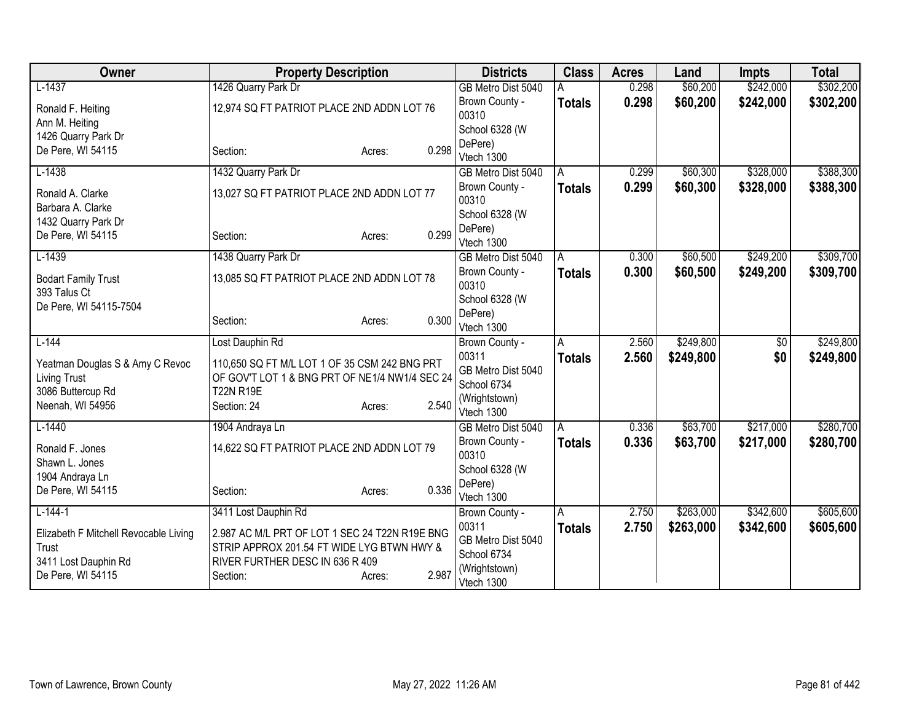| Owner                                                  | <b>Property Description</b>                                                                     |                 | <b>Districts</b>                           | <b>Class</b>  | <b>Acres</b> | Land      | <b>Impts</b>    | <b>Total</b> |
|--------------------------------------------------------|-------------------------------------------------------------------------------------------------|-----------------|--------------------------------------------|---------------|--------------|-----------|-----------------|--------------|
| $L-1437$                                               | 1426 Quarry Park Dr                                                                             |                 | GB Metro Dist 5040                         |               | 0.298        | \$60,200  | \$242,000       | \$302,200    |
| Ronald F. Heiting                                      | 12,974 SQ FT PATRIOT PLACE 2ND ADDN LOT 76                                                      |                 | Brown County -                             | <b>Totals</b> | 0.298        | \$60,200  | \$242,000       | \$302,200    |
| Ann M. Heiting                                         |                                                                                                 |                 | 00310                                      |               |              |           |                 |              |
| 1426 Quarry Park Dr                                    |                                                                                                 |                 | School 6328 (W<br>DePere)                  |               |              |           |                 |              |
| De Pere, WI 54115                                      | Section:                                                                                        | 0.298<br>Acres: | Vtech 1300                                 |               |              |           |                 |              |
| $L-1438$                                               | 1432 Quarry Park Dr                                                                             |                 | GB Metro Dist 5040                         | A             | 0.299        | \$60,300  | \$328,000       | \$388,300    |
| Ronald A. Clarke                                       | 13,027 SQ FT PATRIOT PLACE 2ND ADDN LOT 77                                                      |                 | Brown County -<br>00310                    | <b>Totals</b> | 0.299        | \$60,300  | \$328,000       | \$388,300    |
| Barbara A. Clarke<br>1432 Quarry Park Dr               |                                                                                                 |                 | School 6328 (W                             |               |              |           |                 |              |
| De Pere, WI 54115                                      | Section:                                                                                        | 0.299<br>Acres: | DePere)<br>Vtech 1300                      |               |              |           |                 |              |
| $L-1439$                                               | 1438 Quarry Park Dr                                                                             |                 | GB Metro Dist 5040                         | A             | 0.300        | \$60,500  | \$249,200       | \$309,700    |
| <b>Bodart Family Trust</b><br>393 Talus Ct             | 13,085 SQ FT PATRIOT PLACE 2ND ADDN LOT 78                                                      |                 | Brown County -<br>00310                    | <b>Totals</b> | 0.300        | \$60,500  | \$249,200       | \$309,700    |
| De Pere, WI 54115-7504                                 |                                                                                                 |                 | School 6328 (W                             |               |              |           |                 |              |
|                                                        | Section:                                                                                        | 0.300<br>Acres: | DePere)<br>Vtech 1300                      |               |              |           |                 |              |
| $L-144$                                                | Lost Dauphin Rd                                                                                 |                 | Brown County -                             | A             | 2.560        | \$249,800 | $\overline{60}$ | \$249,800    |
| Yeatman Douglas S & Amy C Revoc<br><b>Living Trust</b> | 110,650 SQ FT M/L LOT 1 OF 35 CSM 242 BNG PRT<br>OF GOV'T LOT 1 & BNG PRT OF NE1/4 NW1/4 SEC 24 |                 | 00311<br>GB Metro Dist 5040<br>School 6734 | <b>Totals</b> | 2.560        | \$249,800 | \$0             | \$249,800    |
| 3086 Buttercup Rd<br>Neenah, WI 54956                  | <b>T22N R19E</b><br>Section: 24                                                                 | 2.540<br>Acres: | (Wrightstown)                              |               |              |           |                 |              |
|                                                        |                                                                                                 |                 | Vtech 1300                                 |               |              |           |                 |              |
| $L-1440$                                               | 1904 Andraya Ln                                                                                 |                 | GB Metro Dist 5040                         | A             | 0.336        | \$63,700  | \$217,000       | \$280,700    |
| Ronald F. Jones                                        | 14,622 SQ FT PATRIOT PLACE 2ND ADDN LOT 79                                                      |                 | Brown County -<br>00310                    | <b>Totals</b> | 0.336        | \$63,700  | \$217,000       | \$280,700    |
| Shawn L. Jones                                         |                                                                                                 |                 | School 6328 (W                             |               |              |           |                 |              |
| 1904 Andraya Ln<br>De Pere, WI 54115                   | Section:                                                                                        | 0.336           | DePere)                                    |               |              |           |                 |              |
|                                                        |                                                                                                 | Acres:          | Vtech 1300                                 |               |              |           |                 |              |
| $L-144-1$                                              | 3411 Lost Dauphin Rd                                                                            |                 | Brown County -                             | A             | 2.750        | \$263,000 | \$342,600       | \$605,600    |
| Elizabeth F Mitchell Revocable Living                  | 2.987 AC M/L PRT OF LOT 1 SEC 24 T22N R19E BNG                                                  |                 | 00311<br>GB Metro Dist 5040                | <b>Totals</b> | 2.750        | \$263,000 | \$342,600       | \$605,600    |
| Trust                                                  | STRIP APPROX 201.54 FT WIDE LYG BTWN HWY &                                                      |                 | School 6734                                |               |              |           |                 |              |
| 3411 Lost Dauphin Rd                                   | RIVER FURTHER DESC IN 636 R 409                                                                 |                 | (Wrightstown)                              |               |              |           |                 |              |
| De Pere, WI 54115                                      | Section:                                                                                        | 2.987<br>Acres: | Vtech 1300                                 |               |              |           |                 |              |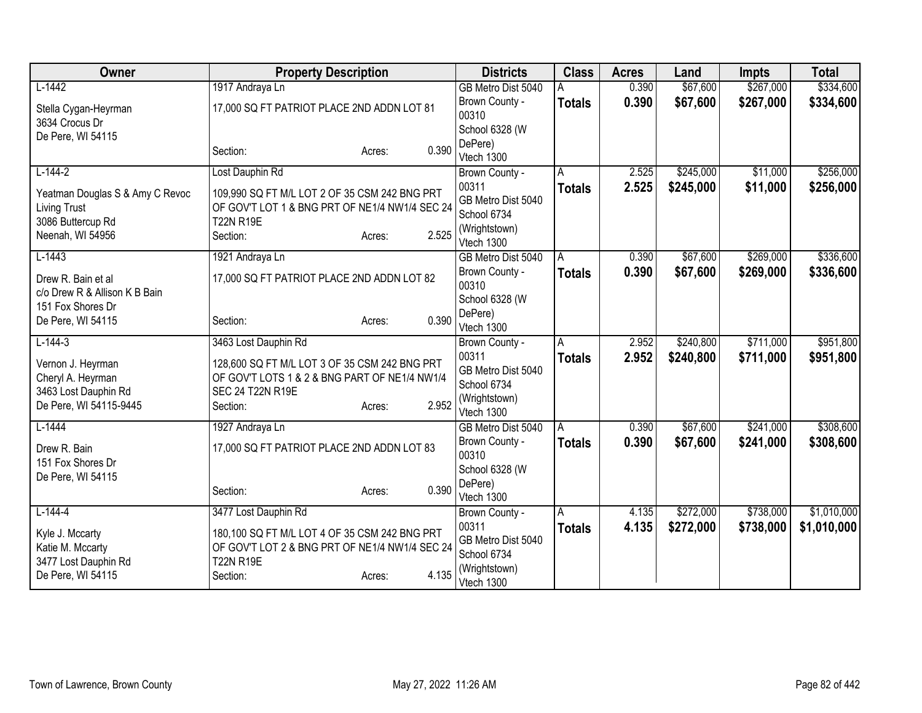| Owner                                  | <b>Property Description</b>                    |                 | <b>Districts</b>            | <b>Class</b>  | <b>Acres</b> | Land      | <b>Impts</b> | <b>Total</b> |
|----------------------------------------|------------------------------------------------|-----------------|-----------------------------|---------------|--------------|-----------|--------------|--------------|
| $L-1442$                               | 1917 Andraya Ln                                |                 | GB Metro Dist 5040          |               | 0.390        | \$67,600  | \$267,000    | \$334,600    |
| Stella Cygan-Heyrman                   | 17,000 SQ FT PATRIOT PLACE 2ND ADDN LOT 81     |                 | Brown County -              | <b>Totals</b> | 0.390        | \$67,600  | \$267,000    | \$334,600    |
| 3634 Crocus Dr                         |                                                |                 | 00310                       |               |              |           |              |              |
| De Pere, WI 54115                      |                                                |                 | School 6328 (W              |               |              |           |              |              |
|                                        | Section:                                       | 0.390<br>Acres: | DePere)                     |               |              |           |              |              |
|                                        |                                                |                 | Vtech 1300                  |               |              |           |              |              |
| $L-144-2$                              | Lost Dauphin Rd                                |                 | Brown County -              | A             | 2.525        | \$245,000 | \$11,000     | \$256,000    |
| Yeatman Douglas S & Amy C Revoc        | 109,990 SQ FT M/L LOT 2 OF 35 CSM 242 BNG PRT  |                 | 00311                       | <b>Totals</b> | 2.525        | \$245,000 | \$11,000     | \$256,000    |
| <b>Living Trust</b>                    | OF GOV'T LOT 1 & BNG PRT OF NE1/4 NW1/4 SEC 24 |                 | GB Metro Dist 5040          |               |              |           |              |              |
| 3086 Buttercup Rd                      | <b>T22N R19E</b>                               |                 | School 6734                 |               |              |           |              |              |
| Neenah, WI 54956                       | Section:                                       | 2.525<br>Acres: | (Wrightstown)<br>Vtech 1300 |               |              |           |              |              |
| $L-1443$                               | 1921 Andraya Ln                                |                 | GB Metro Dist 5040          | A             | 0.390        | \$67,600  | \$269,000    | \$336,600    |
|                                        |                                                |                 | Brown County -              | <b>Totals</b> | 0.390        | \$67,600  | \$269,000    | \$336,600    |
| Drew R. Bain et al                     | 17,000 SQ FT PATRIOT PLACE 2ND ADDN LOT 82     |                 | 00310                       |               |              |           |              |              |
| c/o Drew R & Allison K B Bain          |                                                |                 | School 6328 (W              |               |              |           |              |              |
| 151 Fox Shores Dr                      |                                                |                 | DePere)                     |               |              |           |              |              |
| De Pere, WI 54115                      | Section:                                       | 0.390<br>Acres: | Vtech 1300                  |               |              |           |              |              |
| $L-144-3$                              | 3463 Lost Dauphin Rd                           |                 | Brown County -              | A             | 2.952        | \$240,800 | \$711,000    | \$951,800    |
|                                        | 128,600 SQ FT M/L LOT 3 OF 35 CSM 242 BNG PRT  |                 | 00311                       | <b>Totals</b> | 2.952        | \$240,800 | \$711,000    | \$951,800    |
| Vernon J. Heyrman<br>Cheryl A. Heyrman | OF GOV'T LOTS 1 & 2 & BNG PART OF NE1/4 NW1/4  |                 | GB Metro Dist 5040          |               |              |           |              |              |
| 3463 Lost Dauphin Rd                   | <b>SEC 24 T22N R19E</b>                        |                 | School 6734                 |               |              |           |              |              |
| De Pere, WI 54115-9445                 | Section:                                       | 2.952<br>Acres: | (Wrightstown)               |               |              |           |              |              |
|                                        |                                                |                 | Vtech 1300                  |               |              |           |              |              |
| $L-1444$                               | 1927 Andraya Ln                                |                 | GB Metro Dist 5040          | A             | 0.390        | \$67,600  | \$241,000    | \$308,600    |
| Drew R. Bain                           | 17,000 SQ FT PATRIOT PLACE 2ND ADDN LOT 83     |                 | Brown County -              | <b>Totals</b> | 0.390        | \$67,600  | \$241,000    | \$308,600    |
| 151 Fox Shores Dr                      |                                                |                 | 00310                       |               |              |           |              |              |
| De Pere, WI 54115                      |                                                |                 | School 6328 (W              |               |              |           |              |              |
|                                        | Section:                                       | 0.390<br>Acres: | DePere)                     |               |              |           |              |              |
|                                        |                                                |                 | Vtech 1300                  |               |              |           |              |              |
| $L-144-4$                              | 3477 Lost Dauphin Rd                           |                 | Brown County -<br>00311     | A             | 4.135        | \$272,000 | \$738,000    | \$1,010,000  |
| Kyle J. Mccarty                        | 180,100 SQ FT M/L LOT 4 OF 35 CSM 242 BNG PRT  |                 | GB Metro Dist 5040          | <b>Totals</b> | 4.135        | \$272,000 | \$738,000    | \$1,010,000  |
| Katie M. Mccarty                       | OF GOV'T LOT 2 & BNG PRT OF NE1/4 NW1/4 SEC 24 |                 | School 6734                 |               |              |           |              |              |
| 3477 Lost Dauphin Rd                   | <b>T22N R19E</b>                               |                 | (Wrightstown)               |               |              |           |              |              |
| De Pere, WI 54115                      | Section:                                       | 4.135<br>Acres: | Vtech 1300                  |               |              |           |              |              |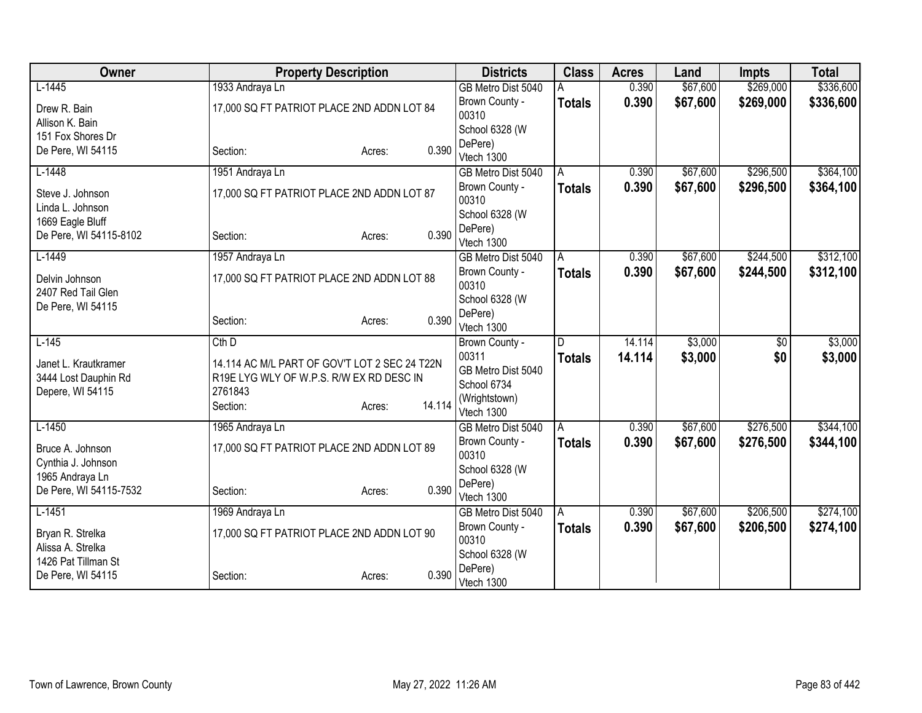| Owner                                |                                               | <b>Property Description</b> |        | <b>Districts</b>        | <b>Class</b>  | <b>Acres</b> | Land     | <b>Impts</b> | <b>Total</b> |
|--------------------------------------|-----------------------------------------------|-----------------------------|--------|-------------------------|---------------|--------------|----------|--------------|--------------|
| $L-1445$                             | 1933 Andraya Ln                               |                             |        | GB Metro Dist 5040      |               | 0.390        | \$67,600 | \$269,000    | \$336,600    |
| Drew R. Bain                         | 17,000 SQ FT PATRIOT PLACE 2ND ADDN LOT 84    |                             |        | Brown County -          | <b>Totals</b> | 0.390        | \$67,600 | \$269,000    | \$336,600    |
| Allison K. Bain                      |                                               |                             |        | 00310                   |               |              |          |              |              |
| 151 Fox Shores Dr                    |                                               |                             |        | School 6328 (W          |               |              |          |              |              |
| De Pere, WI 54115                    | Section:                                      | Acres:                      | 0.390  | DePere)                 |               |              |          |              |              |
|                                      |                                               |                             |        | Vtech 1300              |               | 0.390        | \$67,600 | \$296,500    | \$364,100    |
| $L-1448$                             | 1951 Andraya Ln                               |                             |        | GB Metro Dist 5040      | A             |              |          |              |              |
| Steve J. Johnson<br>Linda L. Johnson | 17,000 SQ FT PATRIOT PLACE 2ND ADDN LOT 87    |                             |        | Brown County -<br>00310 | <b>Totals</b> | 0.390        | \$67,600 | \$296,500    | \$364,100    |
| 1669 Eagle Bluff                     |                                               |                             |        | School 6328 (W          |               |              |          |              |              |
| De Pere, WI 54115-8102               | Section:                                      | Acres:                      | 0.390  | DePere)                 |               |              |          |              |              |
|                                      |                                               |                             |        | Vtech 1300              |               |              |          |              |              |
| $L-1449$                             | 1957 Andraya Ln                               |                             |        | GB Metro Dist 5040      | A             | 0.390        | \$67,600 | \$244,500    | \$312,100    |
| Delvin Johnson                       | 17,000 SQ FT PATRIOT PLACE 2ND ADDN LOT 88    |                             |        | Brown County -<br>00310 | Totals        | 0.390        | \$67,600 | \$244,500    | \$312,100    |
| 2407 Red Tail Glen                   |                                               |                             |        | School 6328 (W          |               |              |          |              |              |
| De Pere, WI 54115                    |                                               |                             | 0.390  | DePere)                 |               |              |          |              |              |
|                                      | Section:                                      | Acres:                      |        | Vtech 1300              |               |              |          |              |              |
| $L-145$                              | $Cth$ D                                       |                             |        | Brown County -          | D             | 14.114       | \$3,000  | \$0          | \$3,000      |
| Janet L. Krautkramer                 | 14.114 AC M/L PART OF GOV'T LOT 2 SEC 24 T22N |                             |        | 00311                   | <b>Totals</b> | 14.114       | \$3,000  | \$0          | \$3,000      |
| 3444 Lost Dauphin Rd                 | R19E LYG WLY OF W.P.S. R/W EX RD DESC IN      |                             |        | GB Metro Dist 5040      |               |              |          |              |              |
| Depere, WI 54115                     | 2761843                                       |                             |        | School 6734             |               |              |          |              |              |
|                                      | Section:                                      | Acres:                      | 14.114 | (Wrightstown)           |               |              |          |              |              |
| $L-1450$                             |                                               |                             |        | Vtech 1300              |               | 0.390        | \$67,600 | \$276,500    | \$344,100    |
|                                      | 1965 Andraya Ln                               |                             |        | GB Metro Dist 5040      | A             |              | \$67,600 |              |              |
| Bruce A. Johnson                     | 17,000 SQ FT PATRIOT PLACE 2ND ADDN LOT 89    |                             |        | Brown County -<br>00310 | <b>Totals</b> | 0.390        |          | \$276,500    | \$344,100    |
| Cynthia J. Johnson                   |                                               |                             |        | School 6328 (W          |               |              |          |              |              |
| 1965 Andraya Ln                      |                                               |                             |        | DePere)                 |               |              |          |              |              |
| De Pere, WI 54115-7532               | Section:                                      | Acres:                      | 0.390  | Vtech 1300              |               |              |          |              |              |
| $L-1451$                             | 1969 Andraya Ln                               |                             |        | GB Metro Dist 5040      | A             | 0.390        | \$67,600 | \$206,500    | \$274,100    |
| Bryan R. Strelka                     | 17,000 SQ FT PATRIOT PLACE 2ND ADDN LOT 90    |                             |        | Brown County -          | <b>Totals</b> | 0.390        | \$67,600 | \$206,500    | \$274,100    |
| Alissa A. Strelka                    |                                               |                             |        | 00310                   |               |              |          |              |              |
| 1426 Pat Tillman St                  |                                               |                             |        | School 6328 (W          |               |              |          |              |              |
| De Pere, WI 54115                    | Section:                                      | Acres:                      | 0.390  | DePere)<br>Vtech 1300   |               |              |          |              |              |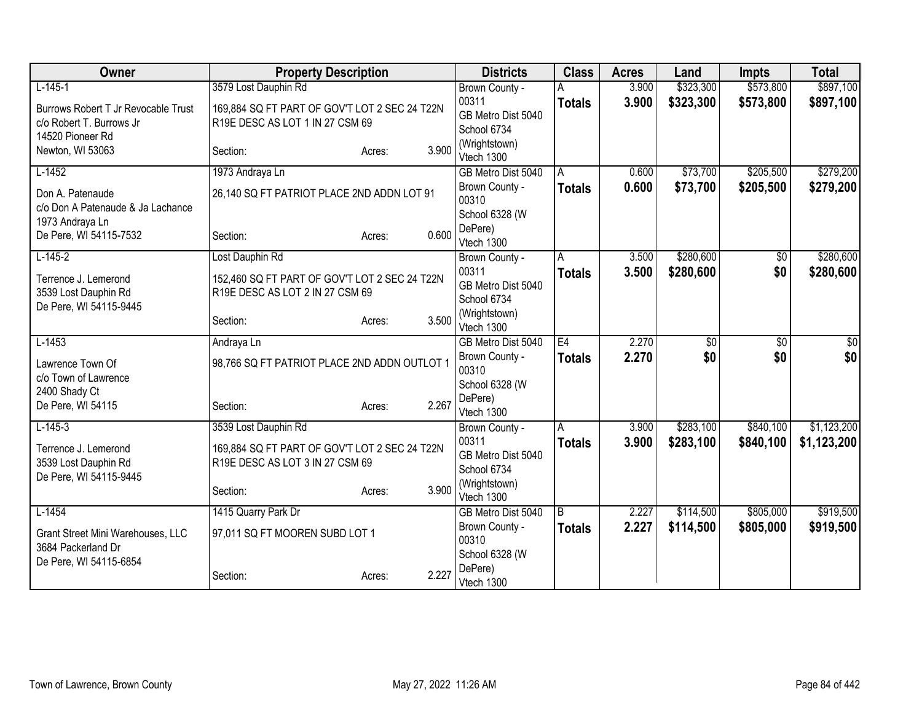| Owner                                                | <b>Property Description</b>                   |                 | <b>Districts</b>            | <b>Class</b>  | <b>Acres</b> | Land            | <b>Impts</b>    | <b>Total</b> |
|------------------------------------------------------|-----------------------------------------------|-----------------|-----------------------------|---------------|--------------|-----------------|-----------------|--------------|
| $L-145-1$                                            | 3579 Lost Dauphin Rd                          |                 | Brown County -              |               | 3.900        | \$323,300       | \$573,800       | \$897,100    |
| Burrows Robert T Jr Revocable Trust                  | 169,884 SQ FT PART OF GOV'T LOT 2 SEC 24 T22N |                 | 00311                       | <b>Totals</b> | 3.900        | \$323,300       | \$573,800       | \$897,100    |
| c/o Robert T. Burrows Jr                             | R19E DESC AS LOT 1 IN 27 CSM 69               |                 | GB Metro Dist 5040          |               |              |                 |                 |              |
| 14520 Pioneer Rd                                     |                                               |                 | School 6734                 |               |              |                 |                 |              |
| Newton, WI 53063                                     | Section:                                      | 3.900<br>Acres: | (Wrightstown)<br>Vtech 1300 |               |              |                 |                 |              |
| $L-1452$                                             | 1973 Andraya Ln                               |                 | GB Metro Dist 5040          | A             | 0.600        | \$73,700        | \$205,500       | \$279,200    |
| Don A. Patenaude                                     | 26,140 SQ FT PATRIOT PLACE 2ND ADDN LOT 91    |                 | Brown County -<br>00310     | <b>Totals</b> | 0.600        | \$73,700        | \$205,500       | \$279,200    |
| c/o Don A Patenaude & Ja Lachance<br>1973 Andraya Ln |                                               |                 | School 6328 (W              |               |              |                 |                 |              |
| De Pere, WI 54115-7532                               | Section:                                      | 0.600<br>Acres: | DePere)<br>Vtech 1300       |               |              |                 |                 |              |
| $L-145-2$                                            | Lost Dauphin Rd                               |                 | Brown County -              | A             | 3.500        | \$280,600       | \$0             | \$280,600    |
| Terrence J. Lemerond                                 | 152,460 SQ FT PART OF GOV'T LOT 2 SEC 24 T22N |                 | 00311                       | <b>Totals</b> | 3.500        | \$280,600       | \$0             | \$280,600    |
| 3539 Lost Dauphin Rd                                 | R19E DESC AS LOT 2 IN 27 CSM 69               |                 | GB Metro Dist 5040          |               |              |                 |                 |              |
| De Pere, WI 54115-9445                               |                                               |                 | School 6734                 |               |              |                 |                 |              |
|                                                      | Section:                                      | 3.500<br>Acres: | (Wrightstown)<br>Vtech 1300 |               |              |                 |                 |              |
| $L-1453$                                             | Andraya Ln                                    |                 | GB Metro Dist 5040          | E4            | 2.270        | $\overline{60}$ | $\overline{60}$ | \$0          |
| Lawrence Town Of                                     | 98,766 SQ FT PATRIOT PLACE 2ND ADDN OUTLOT 1  |                 | Brown County -<br>00310     | <b>Totals</b> | 2.270        | \$0             | \$0             | \$0          |
| c/o Town of Lawrence<br>2400 Shady Ct                |                                               |                 | School 6328 (W              |               |              |                 |                 |              |
| De Pere, WI 54115                                    | Section:                                      | 2.267<br>Acres: | DePere)                     |               |              |                 |                 |              |
|                                                      |                                               |                 | Vtech 1300                  |               |              |                 |                 |              |
| $L-145-3$                                            | 3539 Lost Dauphin Rd                          |                 | Brown County -              | A             | 3.900        | \$283,100       | \$840,100       | \$1,123,200  |
| Terrence J. Lemerond                                 | 169,884 SQ FT PART OF GOV'T LOT 2 SEC 24 T22N |                 | 00311<br>GB Metro Dist 5040 | <b>Totals</b> | 3.900        | \$283,100       | \$840,100       | \$1,123,200  |
| 3539 Lost Dauphin Rd                                 | R19E DESC AS LOT 3 IN 27 CSM 69               |                 | School 6734                 |               |              |                 |                 |              |
| De Pere, WI 54115-9445                               |                                               |                 | (Wrightstown)               |               |              |                 |                 |              |
|                                                      | Section:                                      | 3.900<br>Acres: | Vtech 1300                  |               |              |                 |                 |              |
| $L-1454$                                             | 1415 Quarry Park Dr                           |                 | GB Metro Dist 5040          | l B           | 2.227        | \$114,500       | \$805,000       | \$919,500    |
| Grant Street Mini Warehouses, LLC                    | 97,011 SQ FT MOOREN SUBD LOT 1                |                 | Brown County -<br>00310     | <b>Totals</b> | 2.227        | \$114,500       | \$805,000       | \$919,500    |
| 3684 Packerland Dr                                   |                                               |                 | School 6328 (W              |               |              |                 |                 |              |
| De Pere, WI 54115-6854                               | Section:                                      | 2.227<br>Acres: | DePere)<br>Vtech 1300       |               |              |                 |                 |              |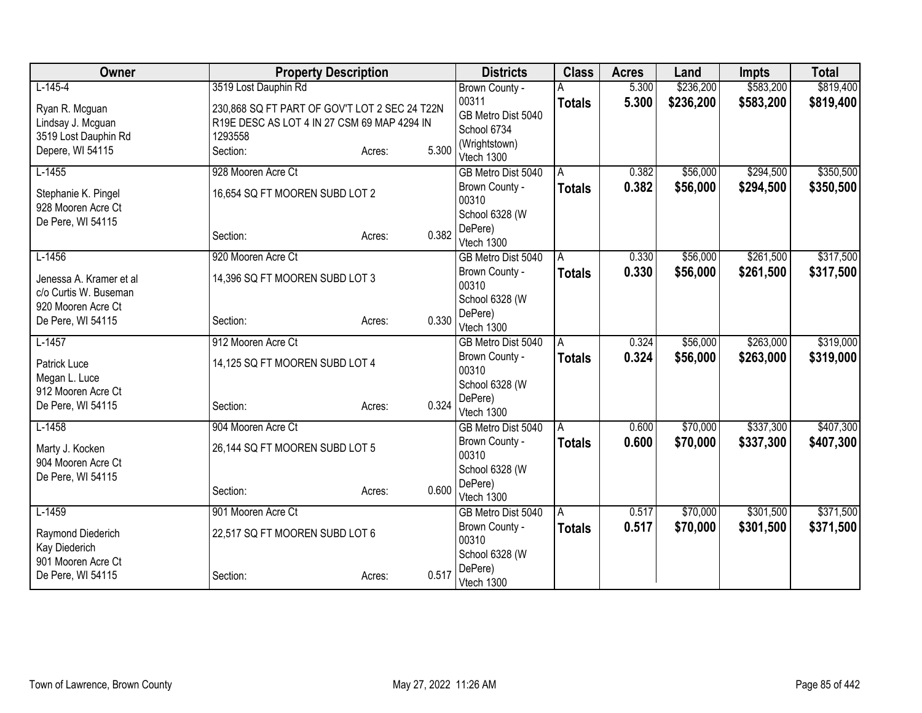| Owner                                            | <b>Property Description</b>                   |        |       | <b>Districts</b>          | <b>Class</b>  | <b>Acres</b> | Land      | <b>Impts</b> | <b>Total</b> |
|--------------------------------------------------|-----------------------------------------------|--------|-------|---------------------------|---------------|--------------|-----------|--------------|--------------|
| $L-145-4$                                        | 3519 Lost Dauphin Rd                          |        |       | Brown County -            |               | 5.300        | \$236,200 | \$583,200    | \$819,400    |
| Ryan R. Mcguan                                   | 230,868 SQ FT PART OF GOV'T LOT 2 SEC 24 T22N |        |       | 00311                     | <b>Totals</b> | 5.300        | \$236,200 | \$583,200    | \$819,400    |
| Lindsay J. Mcguan                                | R19E DESC AS LOT 4 IN 27 CSM 69 MAP 4294 IN   |        |       | GB Metro Dist 5040        |               |              |           |              |              |
| 3519 Lost Dauphin Rd                             | 1293558                                       |        |       | School 6734               |               |              |           |              |              |
| Depere, WI 54115                                 | Section:                                      | Acres: | 5.300 | (Wrightstown)             |               |              |           |              |              |
|                                                  |                                               |        |       | Vtech 1300                |               |              |           |              |              |
| $L-1455$                                         | 928 Mooren Acre Ct                            |        |       | GB Metro Dist 5040        | A             | 0.382        | \$56,000  | \$294,500    | \$350,500    |
| Stephanie K. Pingel                              | 16,654 SQ FT MOOREN SUBD LOT 2                |        |       | Brown County -<br>00310   | <b>Totals</b> | 0.382        | \$56,000  | \$294,500    | \$350,500    |
| 928 Mooren Acre Ct                               |                                               |        |       | School 6328 (W            |               |              |           |              |              |
| De Pere, WI 54115                                |                                               |        |       | DePere)                   |               |              |           |              |              |
|                                                  | Section:                                      | Acres: | 0.382 | Vtech 1300                |               |              |           |              |              |
| $L-1456$                                         | 920 Mooren Acre Ct                            |        |       | GB Metro Dist 5040        | A             | 0.330        | \$56,000  | \$261,500    | \$317,500    |
|                                                  |                                               |        |       | Brown County -            | <b>Totals</b> | 0.330        | \$56,000  | \$261,500    | \$317,500    |
| Jenessa A. Kramer et al<br>c/o Curtis W. Buseman | 14,396 SQ FT MOOREN SUBD LOT 3                |        |       | 00310                     |               |              |           |              |              |
| 920 Mooren Acre Ct                               |                                               |        |       | School 6328 (W            |               |              |           |              |              |
| De Pere, WI 54115                                | Section:                                      | Acres: | 0.330 | DePere)                   |               |              |           |              |              |
|                                                  |                                               |        |       | Vtech 1300                |               |              |           |              |              |
| $L-1457$                                         | 912 Mooren Acre Ct                            |        |       | GB Metro Dist 5040        | A             | 0.324        | \$56,000  | \$263,000    | \$319,000    |
| Patrick Luce                                     | 14,125 SQ FT MOOREN SUBD LOT 4                |        |       | Brown County -            | <b>Totals</b> | 0.324        | \$56,000  | \$263,000    | \$319,000    |
| Megan L. Luce                                    |                                               |        |       | 00310                     |               |              |           |              |              |
| 912 Mooren Acre Ct                               |                                               |        |       | School 6328 (W<br>DePere) |               |              |           |              |              |
| De Pere, WI 54115                                | Section:                                      | Acres: | 0.324 | Vtech 1300                |               |              |           |              |              |
| $L-1458$                                         | 904 Mooren Acre Ct                            |        |       | GB Metro Dist 5040        | A             | 0.600        | \$70,000  | \$337,300    | \$407,300    |
|                                                  |                                               |        |       | Brown County -            | <b>Totals</b> | 0.600        | \$70,000  | \$337,300    | \$407,300    |
| Marty J. Kocken                                  | 26,144 SQ FT MOOREN SUBD LOT 5                |        |       | 00310                     |               |              |           |              |              |
| 904 Mooren Acre Ct                               |                                               |        |       | School 6328 (W            |               |              |           |              |              |
| De Pere, WI 54115                                |                                               |        | 0.600 | DePere)                   |               |              |           |              |              |
|                                                  | Section:                                      | Acres: |       | Vtech 1300                |               |              |           |              |              |
| $L-1459$                                         | 901 Mooren Acre Ct                            |        |       | GB Metro Dist 5040        | A             | 0.517        | \$70,000  | \$301,500    | \$371,500    |
| Raymond Diederich                                | 22,517 SQ FT MOOREN SUBD LOT 6                |        |       | Brown County -            | <b>Totals</b> | 0.517        | \$70,000  | \$301,500    | \$371,500    |
| Kay Diederich                                    |                                               |        |       | 00310                     |               |              |           |              |              |
| 901 Mooren Acre Ct                               |                                               |        |       | School 6328 (W            |               |              |           |              |              |
| De Pere, WI 54115                                | Section:                                      | Acres: | 0.517 | DePere)<br>Vtech 1300     |               |              |           |              |              |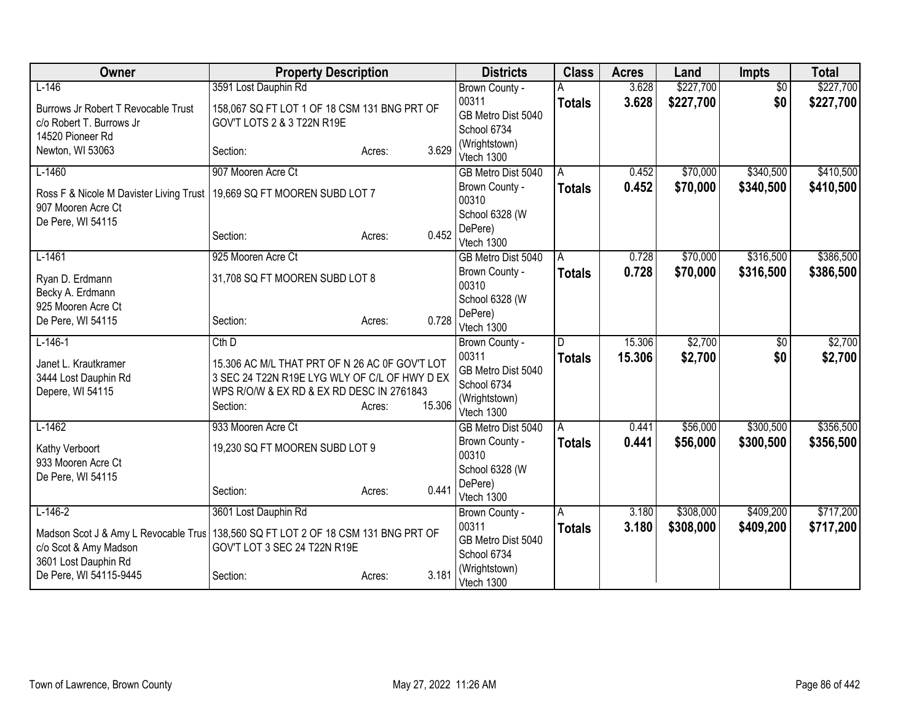| Owner                                                         | <b>Property Description</b>                                                  |                  | <b>Districts</b>                  | <b>Class</b>  | <b>Acres</b> | Land      | <b>Impts</b>    | <b>Total</b> |
|---------------------------------------------------------------|------------------------------------------------------------------------------|------------------|-----------------------------------|---------------|--------------|-----------|-----------------|--------------|
| $L-146$                                                       | 3591 Lost Dauphin Rd                                                         |                  | Brown County -                    |               | 3.628        | \$227,700 | $\overline{60}$ | \$227,700    |
| Burrows Jr Robert T Revocable Trust                           | 158,067 SQ FT LOT 1 OF 18 CSM 131 BNG PRT OF                                 |                  | 00311                             | <b>Totals</b> | 3.628        | \$227,700 | \$0             | \$227,700    |
| c/o Robert T. Burrows Jr                                      | GOV'T LOTS 2 & 3 T22N R19E                                                   |                  | GB Metro Dist 5040                |               |              |           |                 |              |
| 14520 Pioneer Rd                                              |                                                                              |                  | School 6734                       |               |              |           |                 |              |
| Newton, WI 53063                                              | Section:                                                                     | 3.629<br>Acres:  | (Wrightstown)<br>Vtech 1300       |               |              |           |                 |              |
| $L-1460$                                                      | 907 Mooren Acre Ct                                                           |                  | GB Metro Dist 5040                | A             | 0.452        | \$70,000  | \$340,500       | \$410,500    |
| Ross F & Nicole M Davister Living Trust<br>907 Mooren Acre Ct | 19,669 SQ FT MOOREN SUBD LOT 7                                               |                  | Brown County -<br>00310           | <b>Totals</b> | 0.452        | \$70,000  | \$340,500       | \$410,500    |
| De Pere, WI 54115                                             |                                                                              |                  | School 6328 (W                    |               |              |           |                 |              |
|                                                               | Section:                                                                     | 0.452<br>Acres:  | DePere)<br>Vtech 1300             |               |              |           |                 |              |
| $L-1461$                                                      | 925 Mooren Acre Ct                                                           |                  | GB Metro Dist 5040                | A             | 0.728        | \$70,000  | \$316,500       | \$386,500    |
| Ryan D. Erdmann                                               | 31,708 SQ FT MOOREN SUBD LOT 8                                               |                  | Brown County -<br>00310           | <b>Totals</b> | 0.728        | \$70,000  | \$316,500       | \$386,500    |
| Becky A. Erdmann                                              |                                                                              |                  | School 6328 (W                    |               |              |           |                 |              |
| 925 Mooren Acre Ct<br>De Pere, WI 54115                       | Section:                                                                     | 0.728<br>Acres:  | DePere)                           |               |              |           |                 |              |
|                                                               |                                                                              |                  | Vtech 1300                        |               |              |           |                 |              |
| $L-146-1$                                                     | $Cth$ $D$                                                                    |                  | Brown County -                    | D             | 15.306       | \$2,700   | \$0             | \$2,700      |
| Janet L. Krautkramer                                          | 15.306 AC M/L THAT PRT OF N 26 AC 0F GOV'T LOT                               |                  | 00311                             | <b>Totals</b> | 15.306       | \$2,700   | \$0             | \$2,700      |
| 3444 Lost Dauphin Rd                                          | 3 SEC 24 T22N R19E LYG WLY OF C/L OF HWY D EX                                |                  | GB Metro Dist 5040<br>School 6734 |               |              |           |                 |              |
| Depere, WI 54115                                              | WPS R/O/W & EX RD & EX RD DESC IN 2761843                                    |                  | (Wrightstown)                     |               |              |           |                 |              |
|                                                               | Section:                                                                     | 15.306<br>Acres: | Vtech 1300                        |               |              |           |                 |              |
| $L-1462$                                                      | 933 Mooren Acre Ct                                                           |                  | GB Metro Dist 5040                | l A           | 0.441        | \$56,000  | \$300,500       | \$356,500    |
| Kathy Verboort                                                | 19,230 SQ FT MOOREN SUBD LOT 9                                               |                  | Brown County -                    | <b>Totals</b> | 0.441        | \$56,000  | \$300,500       | \$356,500    |
| 933 Mooren Acre Ct                                            |                                                                              |                  | 00310                             |               |              |           |                 |              |
| De Pere, WI 54115                                             |                                                                              |                  | School 6328 (W                    |               |              |           |                 |              |
|                                                               | Section:                                                                     | 0.441<br>Acres:  | DePere)<br>Vtech 1300             |               |              |           |                 |              |
| $L-146-2$                                                     | 3601 Lost Dauphin Rd                                                         |                  | Brown County -                    | A             | 3.180        | \$308,000 | \$409,200       | \$717,200    |
|                                                               |                                                                              |                  | 00311                             | <b>Totals</b> | 3.180        | \$308,000 | \$409,200       | \$717,200    |
| Madson Scot J & Amy L Revocable Trus<br>c/o Scot & Amy Madson | 138,560 SQ FT LOT 2 OF 18 CSM 131 BNG PRT OF<br>GOV'T LOT 3 SEC 24 T22N R19E |                  | GB Metro Dist 5040                |               |              |           |                 |              |
| 3601 Lost Dauphin Rd                                          |                                                                              |                  | School 6734                       |               |              |           |                 |              |
| De Pere, WI 54115-9445                                        | Section:                                                                     | 3.181<br>Acres:  | (Wrightstown)<br>Vtech 1300       |               |              |           |                 |              |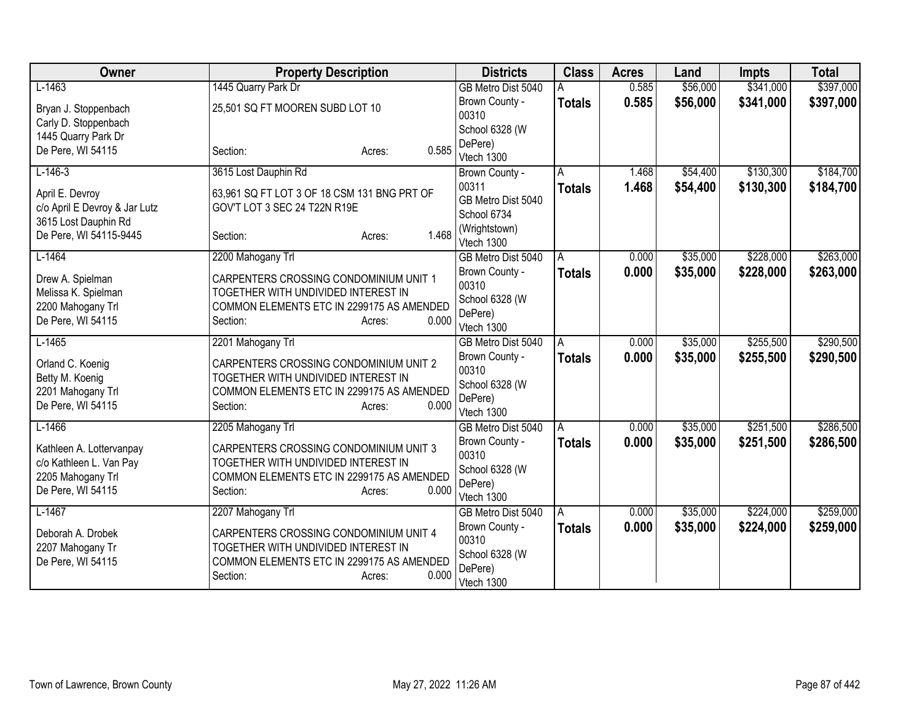| Owner                         | <b>Property Description</b>                 | <b>Districts</b>                     | <b>Class</b>       | <b>Acres</b> | Land     | <b>Impts</b> | <b>Total</b> |
|-------------------------------|---------------------------------------------|--------------------------------------|--------------------|--------------|----------|--------------|--------------|
| $L-1463$                      | 1445 Quarry Park Dr                         | GB Metro Dist 5040                   |                    | 0.585        | \$56,000 | \$341,000    | \$397,000    |
| Bryan J. Stoppenbach          | 25,501 SQ FT MOOREN SUBD LOT 10             | Brown County -                       | <b>Totals</b>      | 0.585        | \$56,000 | \$341,000    | \$397,000    |
| Carly D. Stoppenbach          |                                             | 00310                                |                    |              |          |              |              |
| 1445 Quarry Park Dr           |                                             | School 6328 (W                       |                    |              |          |              |              |
| De Pere, WI 54115             | 0.585<br>Section:<br>Acres:                 | DePere)<br>Vtech 1300                |                    |              |          |              |              |
| $L-146-3$                     | 3615 Lost Dauphin Rd                        | Brown County -                       | A                  | 1.468        | \$54,400 | \$130,300    | \$184,700    |
|                               |                                             | 00311                                | <b>Totals</b>      | 1.468        | \$54,400 | \$130,300    | \$184,700    |
| April E. Devroy               | 63,961 SQ FT LOT 3 OF 18 CSM 131 BNG PRT OF | GB Metro Dist 5040                   |                    |              |          |              |              |
| c/o April E Devroy & Jar Lutz | GOV'T LOT 3 SEC 24 T22N R19E                | School 6734                          |                    |              |          |              |              |
| 3615 Lost Dauphin Rd          |                                             | (Wrightstown)                        |                    |              |          |              |              |
| De Pere, WI 54115-9445        | 1.468<br>Section:<br>Acres:                 | Vtech 1300                           |                    |              |          |              |              |
| $L-1464$                      | 2200 Mahogany Trl                           | GB Metro Dist 5040                   | A                  | 0.000        | \$35,000 | \$228,000    | \$263,000    |
| Drew A. Spielman              | CARPENTERS CROSSING CONDOMINIUM UNIT 1      | Brown County -                       | <b>Totals</b>      | 0.000        | \$35,000 | \$228,000    | \$263,000    |
| Melissa K. Spielman           | TOGETHER WITH UNDIVIDED INTEREST IN         | 00310                                |                    |              |          |              |              |
| 2200 Mahogany Trl             | COMMON ELEMENTS ETC IN 2299175 AS AMENDED   | School 6328 (W                       |                    |              |          |              |              |
| De Pere, WI 54115             | 0.000<br>Section:<br>Acres:                 | DePere)                              |                    |              |          |              |              |
| $L-1465$                      |                                             | Vtech 1300                           |                    | 0.000        | \$35,000 | \$255,500    | \$290,500    |
|                               | 2201 Mahogany Trl                           | GB Metro Dist 5040<br>Brown County - | A                  | 0.000        | \$35,000 | \$255,500    | \$290,500    |
| Orland C. Koenig              | CARPENTERS CROSSING CONDOMINIUM UNIT 2      | 00310                                | <b>Totals</b>      |              |          |              |              |
| Betty M. Koenig               | TOGETHER WITH UNDIVIDED INTEREST IN         | School 6328 (W                       |                    |              |          |              |              |
| 2201 Mahogany Trl             | COMMON ELEMENTS ETC IN 2299175 AS AMENDED   | DePere)                              |                    |              |          |              |              |
| De Pere, WI 54115             | 0.000<br>Section:<br>Acres:                 | Vtech 1300                           |                    |              |          |              |              |
| $L-1466$                      | 2205 Mahogany Trl                           | GB Metro Dist 5040                   | A                  | 0.000        | \$35,000 | \$251,500    | \$286,500    |
| Kathleen A. Lottervanpay      | CARPENTERS CROSSING CONDOMINIUM UNIT 3      | Brown County -                       | <b>Totals</b>      | 0.000        | \$35,000 | \$251,500    | \$286,500    |
| c/o Kathleen L. Van Pay       | TOGETHER WITH UNDIVIDED INTEREST IN         | 00310                                |                    |              |          |              |              |
| 2205 Mahogany Trl             | COMMON ELEMENTS ETC IN 2299175 AS AMENDED   | School 6328 (W                       |                    |              |          |              |              |
| De Pere, WI 54115             | 0.000<br>Section:<br>Acres:                 | DePere)                              |                    |              |          |              |              |
| $L-1467$                      | 2207 Mahogany Trl                           | Vtech 1300<br>GB Metro Dist 5040     |                    | 0.000        | \$35,000 | \$224,000    | \$259,000    |
|                               |                                             | Brown County -                       | A<br><b>Totals</b> | 0.000        | \$35,000 | \$224,000    | \$259,000    |
| Deborah A. Drobek             | CARPENTERS CROSSING CONDOMINIUM UNIT 4      | 00310                                |                    |              |          |              |              |
| 2207 Mahogany Tr              | TOGETHER WITH UNDIVIDED INTEREST IN         | School 6328 (W                       |                    |              |          |              |              |
| De Pere, WI 54115             | COMMON ELEMENTS ETC IN 2299175 AS AMENDED   | DePere)                              |                    |              |          |              |              |
|                               | 0.000<br>Section:<br>Acres:                 | Vtech 1300                           |                    |              |          |              |              |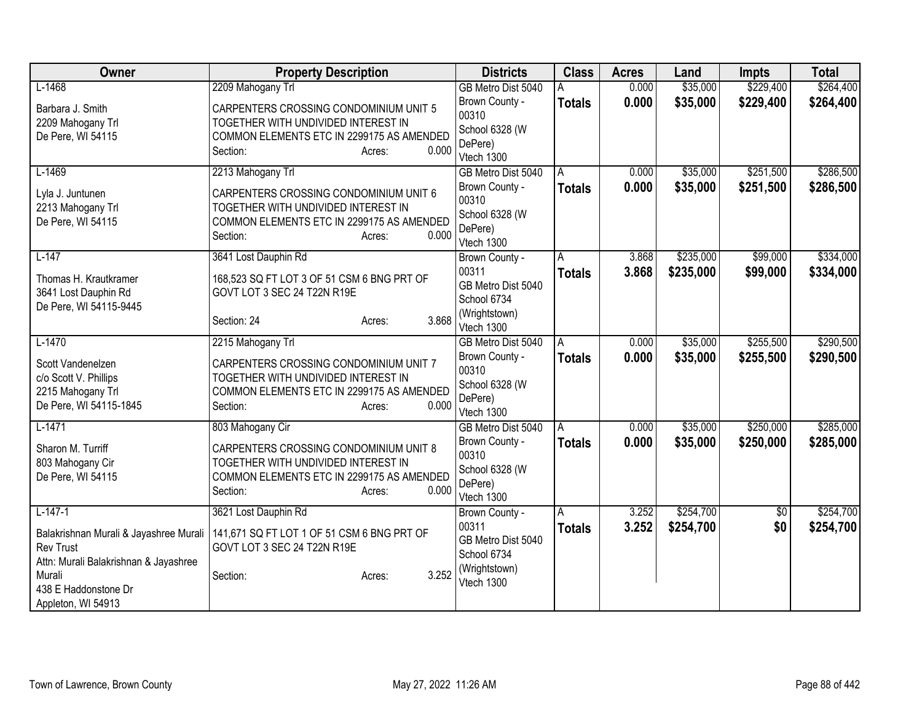| Owner                                  | <b>Property Description</b>                                                   | <b>Districts</b>          | <b>Class</b>  | <b>Acres</b> | Land      | <b>Impts</b> | <b>Total</b> |
|----------------------------------------|-------------------------------------------------------------------------------|---------------------------|---------------|--------------|-----------|--------------|--------------|
| $L-1468$                               | 2209 Mahogany Trl                                                             | GB Metro Dist 5040        |               | 0.000        | \$35,000  | \$229,400    | \$264,400    |
| Barbara J. Smith                       | CARPENTERS CROSSING CONDOMINIUM UNIT 5                                        | Brown County -            | <b>Totals</b> | 0.000        | \$35,000  | \$229,400    | \$264,400    |
| 2209 Mahogany Trl                      | TOGETHER WITH UNDIVIDED INTEREST IN                                           | 00310                     |               |              |           |              |              |
| De Pere, WI 54115                      | COMMON ELEMENTS ETC IN 2299175 AS AMENDED                                     | School 6328 (W            |               |              |           |              |              |
|                                        | 0.000<br>Section:<br>Acres:                                                   | DePere)<br>Vtech 1300     |               |              |           |              |              |
| $L-1469$                               | 2213 Mahogany Trl                                                             | GB Metro Dist 5040        | A             | 0.000        | \$35,000  | \$251,500    | \$286,500    |
| Lyla J. Juntunen                       | CARPENTERS CROSSING CONDOMINIUM UNIT 6                                        | Brown County -            | <b>Totals</b> | 0.000        | \$35,000  | \$251,500    | \$286,500    |
| 2213 Mahogany Trl                      | TOGETHER WITH UNDIVIDED INTEREST IN                                           | 00310                     |               |              |           |              |              |
| De Pere, WI 54115                      | COMMON ELEMENTS ETC IN 2299175 AS AMENDED                                     | School 6328 (W            |               |              |           |              |              |
|                                        | Section:<br>0.000<br>Acres:                                                   | DePere)<br>Vtech 1300     |               |              |           |              |              |
| $L-147$                                | 3641 Lost Dauphin Rd                                                          | Brown County -            | A             | 3.868        | \$235,000 | \$99,000     | \$334,000    |
|                                        |                                                                               | 00311                     | <b>Totals</b> | 3.868        | \$235,000 | \$99,000     | \$334,000    |
| Thomas H. Krautkramer                  | 168,523 SQ FT LOT 3 OF 51 CSM 6 BNG PRT OF                                    | GB Metro Dist 5040        |               |              |           |              |              |
| 3641 Lost Dauphin Rd                   | GOVT LOT 3 SEC 24 T22N R19E                                                   | School 6734               |               |              |           |              |              |
| De Pere, WI 54115-9445                 | 3.868<br>Section: 24                                                          | (Wrightstown)             |               |              |           |              |              |
|                                        | Acres:                                                                        | Vtech 1300                |               |              |           |              |              |
| $L-1470$                               | 2215 Mahogany Trl                                                             | GB Metro Dist 5040        | Α             | 0.000        | \$35,000  | \$255,500    | \$290,500    |
| Scott Vandenelzen                      | CARPENTERS CROSSING CONDOMINIUM UNIT 7                                        | Brown County -            | <b>Totals</b> | 0.000        | \$35,000  | \$255,500    | \$290,500    |
| c/o Scott V. Phillips                  | TOGETHER WITH UNDIVIDED INTEREST IN                                           | 00310                     |               |              |           |              |              |
| 2215 Mahogany Trl                      | COMMON ELEMENTS ETC IN 2299175 AS AMENDED                                     | School 6328 (W<br>DePere) |               |              |           |              |              |
| De Pere, WI 54115-1845                 | 0.000<br>Section:<br>Acres:                                                   | Vtech 1300                |               |              |           |              |              |
| $L-1471$                               | 803 Mahogany Cir                                                              | GB Metro Dist 5040        | A             | 0.000        | \$35,000  | \$250,000    | \$285,000    |
|                                        |                                                                               | Brown County -            | <b>Totals</b> | 0.000        | \$35,000  | \$250,000    | \$285,000    |
| Sharon M. Turriff<br>803 Mahogany Cir  | CARPENTERS CROSSING CONDOMINIUM UNIT 8<br>TOGETHER WITH UNDIVIDED INTEREST IN | 00310                     |               |              |           |              |              |
| De Pere, WI 54115                      | COMMON ELEMENTS ETC IN 2299175 AS AMENDED                                     | School 6328 (W            |               |              |           |              |              |
|                                        | 0.000<br>Section:<br>Acres:                                                   | DePere)                   |               |              |           |              |              |
|                                        |                                                                               | Vtech 1300                |               |              |           |              |              |
| $L-147-1$                              | 3621 Lost Dauphin Rd                                                          | Brown County -<br>00311   | A             | 3.252        | \$254,700 | $\sqrt[6]{}$ | \$254,700    |
| Balakrishnan Murali & Jayashree Murali | 141,671 SQ FT LOT 1 OF 51 CSM 6 BNG PRT OF                                    | GB Metro Dist 5040        | <b>Totals</b> | 3.252        | \$254,700 | \$0          | \$254,700    |
| <b>Rev Trust</b>                       | GOVT LOT 3 SEC 24 T22N R19E                                                   | School 6734               |               |              |           |              |              |
| Attn: Murali Balakrishnan & Jayashree  |                                                                               | (Wrightstown)             |               |              |           |              |              |
| Murali                                 | 3.252<br>Section:<br>Acres:                                                   | Vtech 1300                |               |              |           |              |              |
| 438 E Haddonstone Dr                   |                                                                               |                           |               |              |           |              |              |
| Appleton, WI 54913                     |                                                                               |                           |               |              |           |              |              |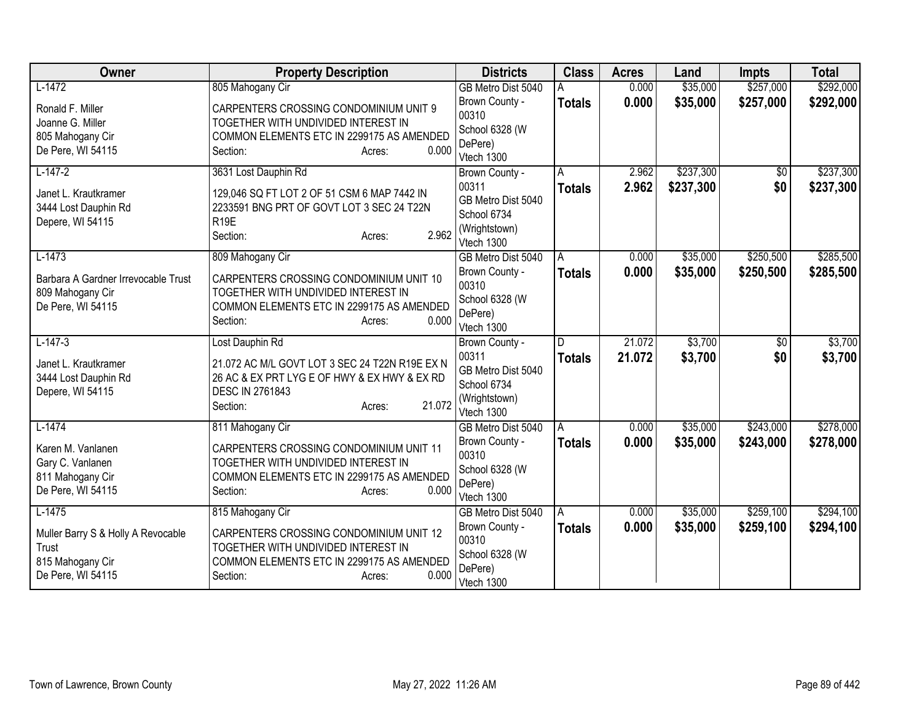| Owner                                        | <b>Property Description</b>                                                              | <b>Districts</b>          | <b>Class</b>  | <b>Acres</b> | Land      | <b>Impts</b>    | <b>Total</b> |
|----------------------------------------------|------------------------------------------------------------------------------------------|---------------------------|---------------|--------------|-----------|-----------------|--------------|
| $L-1472$                                     | 805 Mahogany Cir                                                                         | GB Metro Dist 5040        |               | 0.000        | \$35,000  | \$257,000       | \$292,000    |
| Ronald F. Miller                             | CARPENTERS CROSSING CONDOMINIUM UNIT 9                                                   | Brown County -            | <b>Totals</b> | 0.000        | \$35,000  | \$257,000       | \$292,000    |
| Joanne G. Miller                             | TOGETHER WITH UNDIVIDED INTEREST IN                                                      | 00310                     |               |              |           |                 |              |
| 805 Mahogany Cir                             | COMMON ELEMENTS ETC IN 2299175 AS AMENDED                                                | School 6328 (W<br>DePere) |               |              |           |                 |              |
| De Pere, WI 54115                            | 0.000<br>Section:<br>Acres:                                                              | Vtech 1300                |               |              |           |                 |              |
| $L-147-2$                                    | 3631 Lost Dauphin Rd                                                                     | Brown County -            | Α             | 2.962        | \$237,300 | $\overline{50}$ | \$237,300    |
|                                              |                                                                                          | 00311                     | <b>Totals</b> | 2.962        | \$237,300 | \$0             | \$237,300    |
| Janet L. Krautkramer<br>3444 Lost Dauphin Rd | 129,046 SQ FT LOT 2 OF 51 CSM 6 MAP 7442 IN<br>2233591 BNG PRT OF GOVT LOT 3 SEC 24 T22N | GB Metro Dist 5040        |               |              |           |                 |              |
| Depere, WI 54115                             | R <sub>19E</sub>                                                                         | School 6734               |               |              |           |                 |              |
|                                              | 2.962<br>Section:<br>Acres:                                                              | (Wrightstown)             |               |              |           |                 |              |
|                                              |                                                                                          | Vtech 1300                |               |              |           |                 |              |
| $L-1473$                                     | 809 Mahogany Cir                                                                         | GB Metro Dist 5040        | A             | 0.000        | \$35,000  | \$250,500       | \$285,500    |
| Barbara A Gardner Irrevocable Trust          | CARPENTERS CROSSING CONDOMINIUM UNIT 10                                                  | Brown County -            | <b>Totals</b> | 0.000        | \$35,000  | \$250,500       | \$285,500    |
| 809 Mahogany Cir                             | TOGETHER WITH UNDIVIDED INTEREST IN                                                      | 00310                     |               |              |           |                 |              |
| De Pere, WI 54115                            | COMMON ELEMENTS ETC IN 2299175 AS AMENDED                                                | School 6328 (W<br>DePere) |               |              |           |                 |              |
|                                              | 0.000<br>Section:<br>Acres:                                                              | Vtech 1300                |               |              |           |                 |              |
| $L-147-3$                                    | Lost Dauphin Rd                                                                          | Brown County -            | D             | 21.072       | \$3,700   | $\overline{50}$ | \$3,700      |
| Janet L. Krautkramer                         | 21.072 AC M/L GOVT LOT 3 SEC 24 T22N R19E EX N                                           | 00311                     | <b>Totals</b> | 21.072       | \$3,700   | \$0             | \$3,700      |
| 3444 Lost Dauphin Rd                         | 26 AC & EX PRT LYG E OF HWY & EX HWY & EX RD                                             | GB Metro Dist 5040        |               |              |           |                 |              |
| Depere, WI 54115                             | <b>DESC IN 2761843</b>                                                                   | School 6734               |               |              |           |                 |              |
|                                              | 21.072<br>Section:<br>Acres:                                                             | (Wrightstown)             |               |              |           |                 |              |
|                                              |                                                                                          | Vtech 1300                |               |              |           |                 |              |
| $L-1474$                                     | 811 Mahogany Cir                                                                         | GB Metro Dist 5040        | A             | 0.000        | \$35,000  | \$243,000       | \$278,000    |
| Karen M. Vanlanen                            | CARPENTERS CROSSING CONDOMINIUM UNIT 11                                                  | Brown County -<br>00310   | <b>Totals</b> | 0.000        | \$35,000  | \$243,000       | \$278,000    |
| Gary C. Vanlanen                             | TOGETHER WITH UNDIVIDED INTEREST IN                                                      | School 6328 (W            |               |              |           |                 |              |
| 811 Mahogany Cir                             | COMMON ELEMENTS ETC IN 2299175 AS AMENDED                                                | DePere)                   |               |              |           |                 |              |
| De Pere, WI 54115                            | 0.000<br>Section:<br>Acres:                                                              | Vtech 1300                |               |              |           |                 |              |
| $L-1475$                                     | 815 Mahogany Cir                                                                         | GB Metro Dist 5040        | A             | 0.000        | \$35,000  | \$259,100       | \$294,100    |
| Muller Barry S & Holly A Revocable           | CARPENTERS CROSSING CONDOMINIUM UNIT 12                                                  | Brown County -            | <b>Totals</b> | 0.000        | \$35,000  | \$259,100       | \$294,100    |
| Trust                                        | TOGETHER WITH UNDIVIDED INTEREST IN                                                      | 00310                     |               |              |           |                 |              |
| 815 Mahogany Cir                             | COMMON ELEMENTS ETC IN 2299175 AS AMENDED                                                | School 6328 (W            |               |              |           |                 |              |
| De Pere, WI 54115                            | 0.000<br>Section:<br>Acres:                                                              | DePere)                   |               |              |           |                 |              |
|                                              |                                                                                          | Vtech 1300                |               |              |           |                 |              |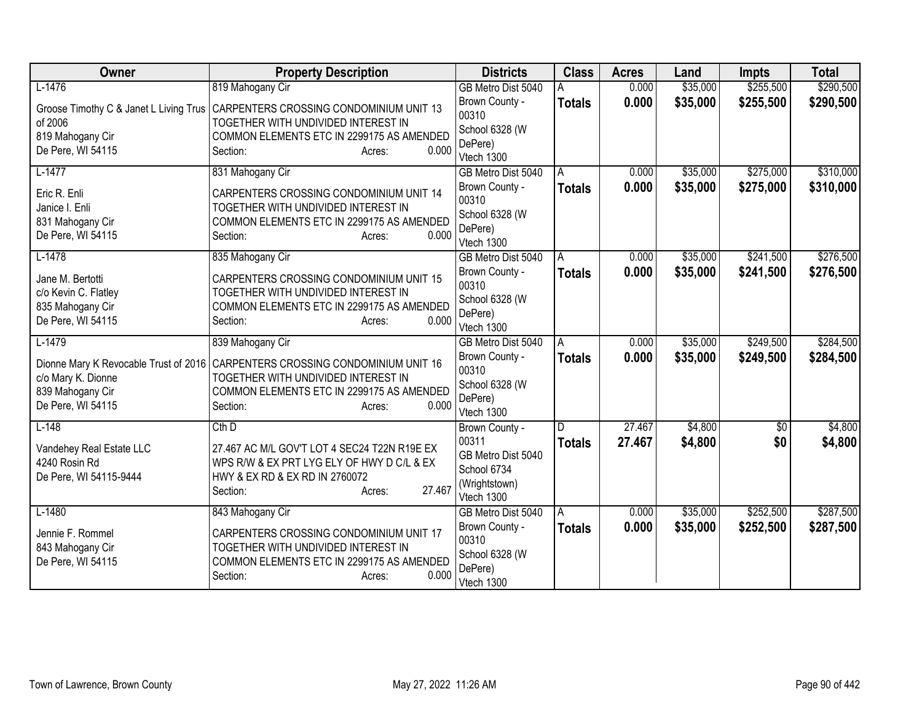| Owner                                  | <b>Property Description</b>                  | <b>Districts</b>                 | <b>Class</b>  | <b>Acres</b> | Land     | <b>Impts</b> | <b>Total</b> |
|----------------------------------------|----------------------------------------------|----------------------------------|---------------|--------------|----------|--------------|--------------|
| $L-1476$                               | 819 Mahogany Cir                             | GB Metro Dist 5040               |               | 0.000        | \$35,000 | \$255,500    | \$290,500    |
| Groose Timothy C & Janet L Living Trus | CARPENTERS CROSSING CONDOMINIUM UNIT 13      | Brown County -                   | <b>Totals</b> | 0.000        | \$35,000 | \$255,500    | \$290,500    |
| of 2006                                | TOGETHER WITH UNDIVIDED INTEREST IN          | 00310                            |               |              |          |              |              |
| 819 Mahogany Cir                       | COMMON ELEMENTS ETC IN 2299175 AS AMENDED    | School 6328 (W<br>DePere)        |               |              |          |              |              |
| De Pere, WI 54115                      | 0.000<br>Section:<br>Acres:                  | Vtech 1300                       |               |              |          |              |              |
| $L-1477$                               | 831 Mahogany Cir                             | GB Metro Dist 5040               | A             | 0.000        | \$35,000 | \$275,000    | \$310,000    |
| Eric R. Enli                           | CARPENTERS CROSSING CONDOMINIUM UNIT 14      | Brown County -                   | <b>Totals</b> | 0.000        | \$35,000 | \$275,000    | \$310,000    |
| Janice I. Enli                         | TOGETHER WITH UNDIVIDED INTEREST IN          | 00310                            |               |              |          |              |              |
| 831 Mahogany Cir                       | COMMON ELEMENTS ETC IN 2299175 AS AMENDED    | School 6328 (W                   |               |              |          |              |              |
| De Pere, WI 54115                      | Section:<br>0.000<br>Acres:                  | DePere)                          |               |              |          |              |              |
| $L-1478$                               | 835 Mahogany Cir                             | Vtech 1300<br>GB Metro Dist 5040 | A             | 0.000        | \$35,000 | \$241,500    | \$276,500    |
|                                        |                                              | Brown County -                   |               | 0.000        | \$35,000 | \$241,500    | \$276,500    |
| Jane M. Bertotti                       | CARPENTERS CROSSING CONDOMINIUM UNIT 15      | 00310                            | <b>Totals</b> |              |          |              |              |
| c/o Kevin C. Flatley                   | TOGETHER WITH UNDIVIDED INTEREST IN          | School 6328 (W                   |               |              |          |              |              |
| 835 Mahogany Cir                       | COMMON ELEMENTS ETC IN 2299175 AS AMENDED    | DePere)                          |               |              |          |              |              |
| De Pere, WI 54115                      | 0.000<br>Section:<br>Acres:                  | Vtech 1300                       |               |              |          |              |              |
| $L-1479$                               | 839 Mahogany Cir                             | GB Metro Dist 5040               | A             | 0.000        | \$35,000 | \$249,500    | \$284,500    |
| Dionne Mary K Revocable Trust of 2016  | CARPENTERS CROSSING CONDOMINIUM UNIT 16      | Brown County -                   | <b>Totals</b> | 0.000        | \$35,000 | \$249,500    | \$284,500    |
| c/o Mary K. Dionne                     | TOGETHER WITH UNDIVIDED INTEREST IN          | 00310                            |               |              |          |              |              |
| 839 Mahogany Cir                       | COMMON ELEMENTS ETC IN 2299175 AS AMENDED    | School 6328 (W                   |               |              |          |              |              |
| De Pere, WI 54115                      | 0.000<br>Section:<br>Acres:                  | DePere)                          |               |              |          |              |              |
| $L-148$                                | $Cth$ D                                      | Vtech 1300                       | D             | 27.467       | \$4,800  | $\sqrt{$0}$  | \$4,800      |
|                                        |                                              | Brown County -<br>00311          | <b>Totals</b> | 27.467       | \$4,800  | \$0          | \$4,800      |
| Vandehey Real Estate LLC               | 27.467 AC M/L GOV'T LOT 4 SEC24 T22N R19E EX | GB Metro Dist 5040               |               |              |          |              |              |
| 4240 Rosin Rd                          | WPS R/W & EX PRT LYG ELY OF HWY D C/L & EX   | School 6734                      |               |              |          |              |              |
| De Pere, WI 54115-9444                 | HWY & EX RD & EX RD IN 2760072               | (Wrightstown)                    |               |              |          |              |              |
|                                        | 27.467<br>Section:<br>Acres:                 | Vtech 1300                       |               |              |          |              |              |
| $L-1480$                               | 843 Mahogany Cir                             | GB Metro Dist 5040               | l A           | 0.000        | \$35,000 | \$252,500    | \$287,500    |
| Jennie F. Rommel                       | CARPENTERS CROSSING CONDOMINIUM UNIT 17      | Brown County -                   | <b>Totals</b> | 0.000        | \$35,000 | \$252,500    | \$287,500    |
| 843 Mahogany Cir                       | TOGETHER WITH UNDIVIDED INTEREST IN          | 00310                            |               |              |          |              |              |
| De Pere, WI 54115                      | COMMON ELEMENTS ETC IN 2299175 AS AMENDED    | School 6328 (W                   |               |              |          |              |              |
|                                        | 0.000<br>Section:<br>Acres:                  | DePere)                          |               |              |          |              |              |
|                                        |                                              | Vtech 1300                       |               |              |          |              |              |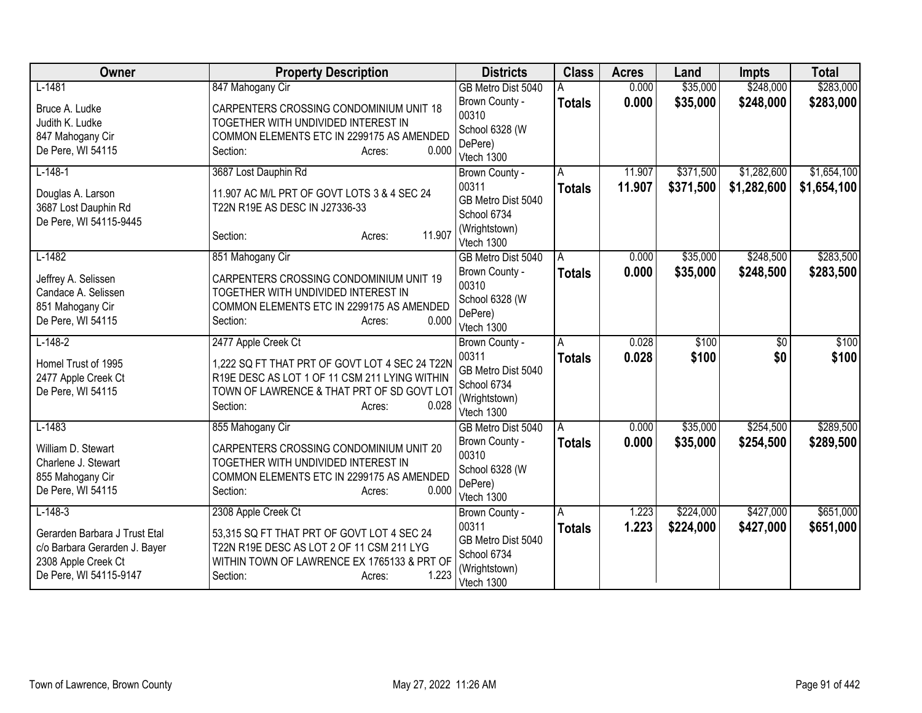| Owner                                                                                                                        | <b>Property Description</b>                                                                                                                                                                         | <b>Districts</b>                                                                            | <b>Class</b>       | <b>Acres</b>   | Land                   | <b>Impts</b>           | <b>Total</b>           |
|------------------------------------------------------------------------------------------------------------------------------|-----------------------------------------------------------------------------------------------------------------------------------------------------------------------------------------------------|---------------------------------------------------------------------------------------------|--------------------|----------------|------------------------|------------------------|------------------------|
| $L-1481$                                                                                                                     | 847 Mahogany Cir                                                                                                                                                                                    | GB Metro Dist 5040                                                                          |                    | 0.000          | \$35,000               | \$248,000              | \$283,000              |
| Bruce A. Ludke<br>Judith K. Ludke<br>847 Mahogany Cir<br>De Pere, WI 54115                                                   | CARPENTERS CROSSING CONDOMINIUM UNIT 18<br>TOGETHER WITH UNDIVIDED INTEREST IN<br>COMMON ELEMENTS ETC IN 2299175 AS AMENDED<br>0.000<br>Section:<br>Acres:                                          | Brown County -<br>00310<br>School 6328 (W<br>DePere)<br>Vtech 1300                          | <b>Totals</b>      | 0.000          | \$35,000               | \$248,000              | \$283,000              |
| $L-148-1$                                                                                                                    | 3687 Lost Dauphin Rd                                                                                                                                                                                | Brown County -                                                                              | A                  | 11.907         | \$371,500              | \$1,282,600            | \$1,654,100            |
| Douglas A. Larson<br>3687 Lost Dauphin Rd<br>De Pere, WI 54115-9445                                                          | 11.907 AC M/L PRT OF GOVT LOTS 3 & 4 SEC 24<br>T22N R19E AS DESC IN J27336-33<br>11.907<br>Section:<br>Acres:                                                                                       | 00311<br>GB Metro Dist 5040<br>School 6734<br>(Wrightstown)<br>Vtech 1300                   | <b>Totals</b>      | 11.907         | \$371,500              | \$1,282,600            | \$1,654,100            |
| $L-1482$                                                                                                                     | 851 Mahogany Cir                                                                                                                                                                                    | GB Metro Dist 5040                                                                          | A                  | 0.000          | \$35,000               | \$248,500              | \$283,500              |
| Jeffrey A. Selissen<br>Candace A. Selissen<br>851 Mahogany Cir<br>De Pere, WI 54115                                          | CARPENTERS CROSSING CONDOMINIUM UNIT 19<br>TOGETHER WITH UNDIVIDED INTEREST IN<br>COMMON ELEMENTS ETC IN 2299175 AS AMENDED<br>0.000<br>Section:<br>Acres:                                          | Brown County -<br>00310<br>School 6328 (W<br>DePere)<br>Vtech 1300                          | <b>Totals</b>      | 0.000          | \$35,000               | \$248,500              | \$283,500              |
| $L-148-2$<br>Homel Trust of 1995<br>2477 Apple Creek Ct<br>De Pere, WI 54115                                                 | 2477 Apple Creek Ct<br>1,222 SQ FT THAT PRT OF GOVT LOT 4 SEC 24 T22N<br>R19E DESC AS LOT 1 OF 11 CSM 211 LYING WITHIN<br>TOWN OF LAWRENCE & THAT PRT OF SD GOVT LOT<br>0.028<br>Section:<br>Acres: | Brown County -<br>00311<br>GB Metro Dist 5040<br>School 6734<br>(Wrightstown)<br>Vtech 1300 | A<br><b>Totals</b> | 0.028<br>0.028 | \$100<br>\$100         | $\overline{50}$<br>\$0 | \$100<br>\$100         |
| $L-1483$<br>William D. Stewart<br>Charlene J. Stewart<br>855 Mahogany Cir<br>De Pere, WI 54115                               | 855 Mahogany Cir<br>CARPENTERS CROSSING CONDOMINIUM UNIT 20<br>TOGETHER WITH UNDIVIDED INTEREST IN<br>COMMON ELEMENTS ETC IN 2299175 AS AMENDED<br>0.000<br>Section:<br>Acres:                      | GB Metro Dist 5040<br>Brown County -<br>00310<br>School 6328 (W<br>DePere)<br>Vtech 1300    | A<br><b>Totals</b> | 0.000<br>0.000 | \$35,000<br>\$35,000   | \$254,500<br>\$254,500 | \$289,500<br>\$289,500 |
| $L-148-3$<br>Gerarden Barbara J Trust Etal<br>c/o Barbara Gerarden J. Bayer<br>2308 Apple Creek Ct<br>De Pere, WI 54115-9147 | 2308 Apple Creek Ct<br>53,315 SQ FT THAT PRT OF GOVT LOT 4 SEC 24<br>T22N R19E DESC AS LOT 2 OF 11 CSM 211 LYG<br>WITHIN TOWN OF LAWRENCE EX 1765133 & PRT OF<br>1.223<br>Section:<br>Acres:        | Brown County -<br>00311<br>GB Metro Dist 5040<br>School 6734<br>(Wrightstown)<br>Vtech 1300 | A<br><b>Totals</b> | 1.223<br>1.223 | \$224,000<br>\$224,000 | \$427,000<br>\$427,000 | \$651,000<br>\$651,000 |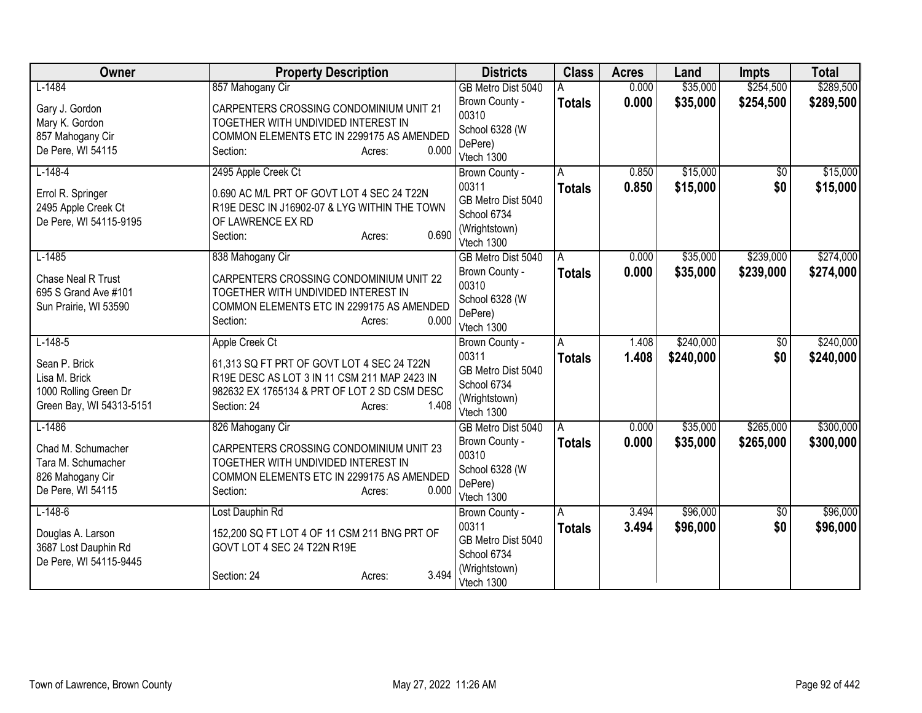| Owner                                                                                            | <b>Property Description</b>                                                                                                                                                                    | <b>Districts</b>                                                                            | <b>Class</b>       | <b>Acres</b>   | Land                   | <b>Impts</b>           | <b>Total</b>           |
|--------------------------------------------------------------------------------------------------|------------------------------------------------------------------------------------------------------------------------------------------------------------------------------------------------|---------------------------------------------------------------------------------------------|--------------------|----------------|------------------------|------------------------|------------------------|
| $L-1484$                                                                                         | 857 Mahogany Cir                                                                                                                                                                               | GB Metro Dist 5040                                                                          |                    | 0.000          | \$35,000               | \$254,500              | \$289,500              |
| Gary J. Gordon<br>Mary K. Gordon<br>857 Mahogany Cir<br>De Pere, WI 54115                        | CARPENTERS CROSSING CONDOMINIUM UNIT 21<br>TOGETHER WITH UNDIVIDED INTEREST IN<br>COMMON ELEMENTS ETC IN 2299175 AS AMENDED<br>0.000<br>Section:<br>Acres:                                     | Brown County -<br>00310<br>School 6328 (W<br>DePere)<br>Vtech 1300                          | <b>Totals</b>      | 0.000          | \$35,000               | \$254,500              | \$289,500              |
| $L-148-4$<br>Errol R. Springer<br>2495 Apple Creek Ct<br>De Pere, WI 54115-9195                  | 2495 Apple Creek Ct<br>0.690 AC M/L PRT OF GOVT LOT 4 SEC 24 T22N<br>R19E DESC IN J16902-07 & LYG WITHIN THE TOWN<br>OF LAWRENCE EX RD<br>0.690<br>Section:<br>Acres:                          | Brown County -<br>00311<br>GB Metro Dist 5040<br>School 6734<br>(Wrightstown)<br>Vtech 1300 | A<br><b>Totals</b> | 0.850<br>0.850 | \$15,000<br>\$15,000   | $\overline{50}$<br>\$0 | \$15,000<br>\$15,000   |
| $L-1485$<br>Chase Neal R Trust<br>695 S Grand Ave #101<br>Sun Prairie, WI 53590                  | 838 Mahogany Cir<br>CARPENTERS CROSSING CONDOMINIUM UNIT 22<br>TOGETHER WITH UNDIVIDED INTEREST IN<br>COMMON ELEMENTS ETC IN 2299175 AS AMENDED<br>0.000<br>Section:<br>Acres:                 | GB Metro Dist 5040<br>Brown County -<br>00310<br>School 6328 (W<br>DePere)<br>Vtech 1300    | A<br><b>Totals</b> | 0.000<br>0.000 | \$35,000<br>\$35,000   | \$239,000<br>\$239,000 | \$274,000<br>\$274,000 |
| $L-148-5$<br>Sean P. Brick<br>Lisa M. Brick<br>1000 Rolling Green Dr<br>Green Bay, WI 54313-5151 | Apple Creek Ct<br>61,313 SQ FT PRT OF GOVT LOT 4 SEC 24 T22N<br>R19E DESC AS LOT 3 IN 11 CSM 211 MAP 2423 IN<br>982632 EX 1765134 & PRT OF LOT 2 SD CSM DESC<br>1.408<br>Section: 24<br>Acres: | Brown County -<br>00311<br>GB Metro Dist 5040<br>School 6734<br>(Wrightstown)<br>Vtech 1300 | A<br><b>Totals</b> | 1.408<br>1.408 | \$240,000<br>\$240,000 | \$0<br>\$0             | \$240,000<br>\$240,000 |
| $L-1486$<br>Chad M. Schumacher<br>Tara M. Schumacher<br>826 Mahogany Cir<br>De Pere, WI 54115    | 826 Mahogany Cir<br>CARPENTERS CROSSING CONDOMINIUM UNIT 23<br>TOGETHER WITH UNDIVIDED INTEREST IN<br>COMMON ELEMENTS ETC IN 2299175 AS AMENDED<br>0.000<br>Section:<br>Acres:                 | GB Metro Dist 5040<br>Brown County -<br>00310<br>School 6328 (W<br>DePere)<br>Vtech 1300    | A<br><b>Totals</b> | 0.000<br>0.000 | \$35,000<br>\$35,000   | \$265,000<br>\$265,000 | \$300,000<br>\$300,000 |
| $L-148-6$<br>Douglas A. Larson<br>3687 Lost Dauphin Rd<br>De Pere, WI 54115-9445                 | Lost Dauphin Rd<br>152,200 SQ FT LOT 4 OF 11 CSM 211 BNG PRT OF<br>GOVT LOT 4 SEC 24 T22N R19E<br>3.494<br>Section: 24<br>Acres:                                                               | Brown County -<br>00311<br>GB Metro Dist 5040<br>School 6734<br>(Wrightstown)<br>Vtech 1300 | A<br><b>Totals</b> | 3.494<br>3.494 | \$96,000<br>\$96,000   | \$0<br>\$0             | \$96,000<br>\$96,000   |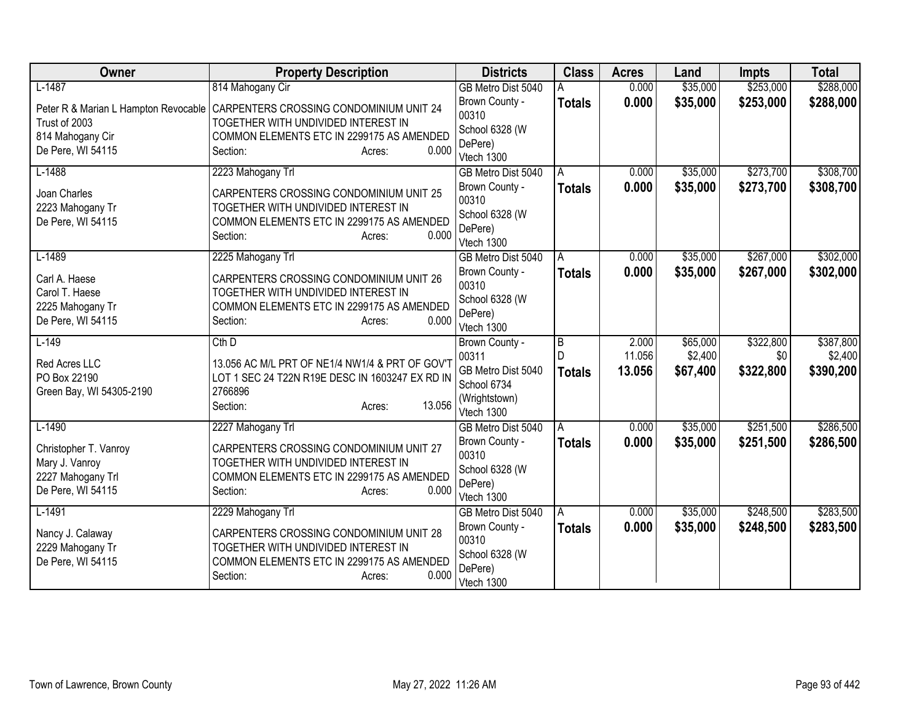| Owner                                | <b>Property Description</b>                     | <b>Districts</b>                     | <b>Class</b>       | <b>Acres</b> | Land     | <b>Impts</b> | <b>Total</b> |
|--------------------------------------|-------------------------------------------------|--------------------------------------|--------------------|--------------|----------|--------------|--------------|
| $L-1487$                             | 814 Mahogany Cir                                | GB Metro Dist 5040                   |                    | 0.000        | \$35,000 | \$253,000    | \$288,000    |
| Peter R & Marian L Hampton Revocable | CARPENTERS CROSSING CONDOMINIUM UNIT 24         | Brown County -                       | <b>Totals</b>      | 0.000        | \$35,000 | \$253,000    | \$288,000    |
| Trust of 2003                        | TOGETHER WITH UNDIVIDED INTEREST IN             | 00310                                |                    |              |          |              |              |
| 814 Mahogany Cir                     | COMMON ELEMENTS ETC IN 2299175 AS AMENDED       | School 6328 (W<br>DePere)            |                    |              |          |              |              |
| De Pere, WI 54115                    | 0.000<br>Section:<br>Acres:                     | Vtech 1300                           |                    |              |          |              |              |
| $L-1488$                             | 2223 Mahogany Trl                               | GB Metro Dist 5040                   | A                  | 0.000        | \$35,000 | \$273,700    | \$308,700    |
| Joan Charles                         | CARPENTERS CROSSING CONDOMINIUM UNIT 25         | Brown County -                       | <b>Totals</b>      | 0.000        | \$35,000 | \$273,700    | \$308,700    |
| 2223 Mahogany Tr                     | TOGETHER WITH UNDIVIDED INTEREST IN             | 00310                                |                    |              |          |              |              |
| De Pere, WI 54115                    | COMMON ELEMENTS ETC IN 2299175 AS AMENDED       | School 6328 (W                       |                    |              |          |              |              |
|                                      | Section:<br>0.000<br>Acres:                     | DePere)                              |                    |              |          |              |              |
| $L-1489$                             | 2225 Mahogany Trl                               | Vtech 1300<br>GB Metro Dist 5040     | A                  | 0.000        | \$35,000 | \$267,000    | \$302,000    |
|                                      |                                                 | Brown County -                       | <b>Totals</b>      | 0.000        | \$35,000 | \$267,000    | \$302,000    |
| Carl A. Haese                        | CARPENTERS CROSSING CONDOMINIUM UNIT 26         | 00310                                |                    |              |          |              |              |
| Carol T. Haese                       | TOGETHER WITH UNDIVIDED INTEREST IN             | School 6328 (W                       |                    |              |          |              |              |
| 2225 Mahogany Tr                     | COMMON ELEMENTS ETC IN 2299175 AS AMENDED       | DePere)                              |                    |              |          |              |              |
| De Pere, WI 54115                    | 0.000<br>Section:<br>Acres:                     | Vtech 1300                           |                    |              |          |              |              |
| $L-149$                              | $Cth$ D                                         | Brown County -                       | $\overline{B}$     | 2.000        | \$65,000 | \$322,800    | \$387,800    |
| Red Acres LLC                        | 13.056 AC M/L PRT OF NE1/4 NW1/4 & PRT OF GOV'T | 00311                                |                    | 11.056       | \$2,400  | \$0          | \$2,400      |
| PO Box 22190                         | LOT 1 SEC 24 T22N R19E DESC IN 1603247 EX RD IN | GB Metro Dist 5040                   | <b>Totals</b>      | 13.056       | \$67,400 | \$322,800    | \$390,200    |
| Green Bay, WI 54305-2190             | 2766896                                         | School 6734                          |                    |              |          |              |              |
|                                      | 13.056<br>Section:<br>Acres:                    | (Wrightstown)                        |                    |              |          |              |              |
| $L-1490$                             |                                                 | Vtech 1300                           |                    | 0.000        | \$35,000 | \$251,500    | \$286,500    |
|                                      | 2227 Mahogany Trl                               | GB Metro Dist 5040<br>Brown County - | A<br><b>Totals</b> | 0.000        | \$35,000 | \$251,500    | \$286,500    |
| Christopher T. Vanroy                | CARPENTERS CROSSING CONDOMINIUM UNIT 27         | 00310                                |                    |              |          |              |              |
| Mary J. Vanroy                       | TOGETHER WITH UNDIVIDED INTEREST IN             | School 6328 (W                       |                    |              |          |              |              |
| 2227 Mahogany Trl                    | COMMON ELEMENTS ETC IN 2299175 AS AMENDED       | DePere)                              |                    |              |          |              |              |
| De Pere, WI 54115                    | 0.000<br>Section:<br>Acres:                     | Vtech 1300                           |                    |              |          |              |              |
| $L-1491$                             | 2229 Mahogany Trl                               | GB Metro Dist 5040                   | A                  | 0.000        | \$35,000 | \$248,500    | \$283,500    |
| Nancy J. Calaway                     | CARPENTERS CROSSING CONDOMINIUM UNIT 28         | Brown County -                       | <b>Totals</b>      | 0.000        | \$35,000 | \$248,500    | \$283,500    |
| 2229 Mahogany Tr                     | TOGETHER WITH UNDIVIDED INTEREST IN             | 00310                                |                    |              |          |              |              |
| De Pere, WI 54115                    | COMMON ELEMENTS ETC IN 2299175 AS AMENDED       | School 6328 (W                       |                    |              |          |              |              |
|                                      | 0.000<br>Section:<br>Acres:                     | DePere)                              |                    |              |          |              |              |
|                                      |                                                 | Vtech 1300                           |                    |              |          |              |              |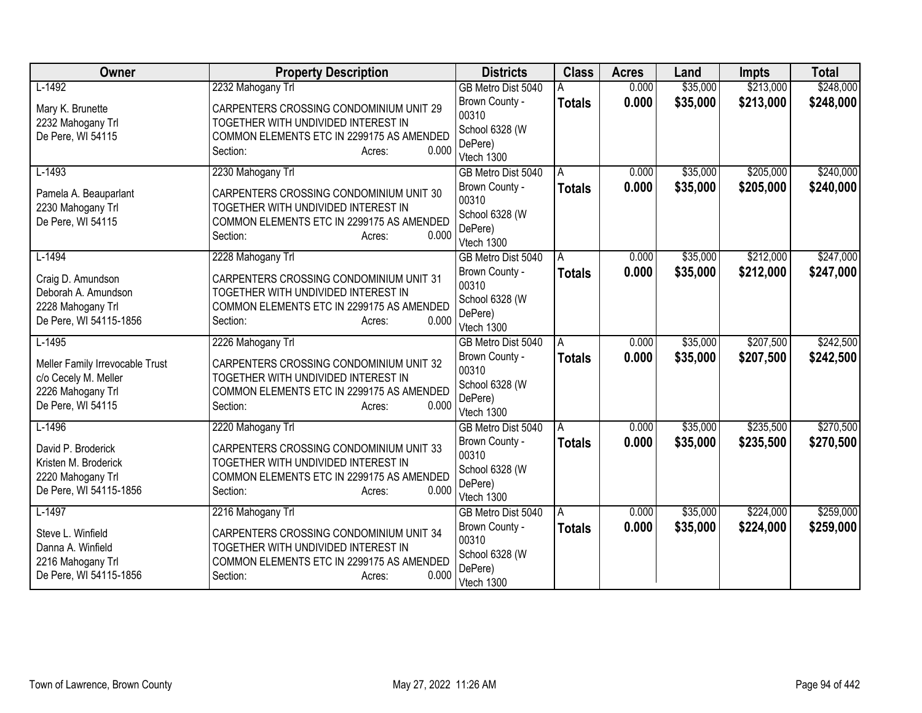| Owner                           | <b>Property Description</b>               | <b>Districts</b>                 | <b>Class</b>  | <b>Acres</b> | Land     | <b>Impts</b> | <b>Total</b> |
|---------------------------------|-------------------------------------------|----------------------------------|---------------|--------------|----------|--------------|--------------|
| $L-1492$                        | 2232 Mahogany Trl                         | GB Metro Dist 5040               |               | 0.000        | \$35,000 | \$213,000    | \$248,000    |
| Mary K. Brunette                | CARPENTERS CROSSING CONDOMINIUM UNIT 29   | Brown County -                   | <b>Totals</b> | 0.000        | \$35,000 | \$213,000    | \$248,000    |
| 2232 Mahogany Trl               | TOGETHER WITH UNDIVIDED INTEREST IN       | 00310                            |               |              |          |              |              |
| De Pere, WI 54115               | COMMON ELEMENTS ETC IN 2299175 AS AMENDED | School 6328 (W                   |               |              |          |              |              |
|                                 | 0.000<br>Section:<br>Acres:               | DePere)<br>Vtech 1300            |               |              |          |              |              |
| $L-1493$                        | 2230 Mahogany Trl                         | GB Metro Dist 5040               | A             | 0.000        | \$35,000 | \$205,000    | \$240,000    |
|                                 |                                           | Brown County -                   | <b>Totals</b> | 0.000        | \$35,000 | \$205,000    | \$240,000    |
| Pamela A. Beauparlant           | CARPENTERS CROSSING CONDOMINIUM UNIT 30   | 00310                            |               |              |          |              |              |
| 2230 Mahogany Trl               | TOGETHER WITH UNDIVIDED INTEREST IN       | School 6328 (W                   |               |              |          |              |              |
| De Pere, WI 54115               | COMMON ELEMENTS ETC IN 2299175 AS AMENDED | DePere)                          |               |              |          |              |              |
|                                 | Section:<br>0.000<br>Acres:               | Vtech 1300                       |               |              |          |              |              |
| $L-1494$                        | 2228 Mahogany Trl                         | GB Metro Dist 5040               | A             | 0.000        | \$35,000 | \$212,000    | \$247,000    |
| Craig D. Amundson               | CARPENTERS CROSSING CONDOMINIUM UNIT 31   | Brown County -                   | <b>Totals</b> | 0.000        | \$35,000 | \$212,000    | \$247,000    |
| Deborah A. Amundson             | TOGETHER WITH UNDIVIDED INTEREST IN       | 00310                            |               |              |          |              |              |
| 2228 Mahogany Trl               | COMMON ELEMENTS ETC IN 2299175 AS AMENDED | School 6328 (W                   |               |              |          |              |              |
| De Pere, WI 54115-1856          | 0.000<br>Section:<br>Acres:               | DePere)<br>Vtech 1300            |               |              |          |              |              |
| $L-1495$                        | 2226 Mahogany Trl                         | GB Metro Dist 5040               | А             | 0.000        | \$35,000 | \$207,500    | \$242,500    |
|                                 |                                           | Brown County -                   | <b>Totals</b> | 0.000        | \$35,000 | \$207,500    | \$242,500    |
| Meller Family Irrevocable Trust | CARPENTERS CROSSING CONDOMINIUM UNIT 32   | 00310                            |               |              |          |              |              |
| c/o Cecely M. Meller            | TOGETHER WITH UNDIVIDED INTEREST IN       | School 6328 (W                   |               |              |          |              |              |
| 2226 Mahogany Trl               | COMMON ELEMENTS ETC IN 2299175 AS AMENDED | DePere)                          |               |              |          |              |              |
| De Pere, WI 54115               | 0.000<br>Section:<br>Acres:               | Vtech 1300                       |               |              |          |              |              |
| $L-1496$                        | 2220 Mahogany Trl                         | GB Metro Dist 5040               | A             | 0.000        | \$35,000 | \$235,500    | \$270,500    |
| David P. Broderick              | CARPENTERS CROSSING CONDOMINIUM UNIT 33   | Brown County -                   | <b>Totals</b> | 0.000        | \$35,000 | \$235,500    | \$270,500    |
| Kristen M. Broderick            | TOGETHER WITH UNDIVIDED INTEREST IN       | 00310                            |               |              |          |              |              |
| 2220 Mahogany Trl               | COMMON ELEMENTS ETC IN 2299175 AS AMENDED | School 6328 (W                   |               |              |          |              |              |
| De Pere, WI 54115-1856          | 0.000<br>Section:<br>Acres:               | DePere)                          |               |              |          |              |              |
| $L-1497$                        | 2216 Mahogany Trl                         | Vtech 1300<br>GB Metro Dist 5040 | A             | 0.000        | \$35,000 | \$224,000    | \$259,000    |
|                                 |                                           | Brown County -                   | <b>Totals</b> | 0.000        | \$35,000 | \$224,000    | \$259,000    |
| Steve L. Winfield               | CARPENTERS CROSSING CONDOMINIUM UNIT 34   | 00310                            |               |              |          |              |              |
| Danna A. Winfield               | TOGETHER WITH UNDIVIDED INTEREST IN       | School 6328 (W                   |               |              |          |              |              |
| 2216 Mahogany Trl               | COMMON ELEMENTS ETC IN 2299175 AS AMENDED | DePere)                          |               |              |          |              |              |
| De Pere, WI 54115-1856          | 0.000<br>Section:<br>Acres:               | Vtech 1300                       |               |              |          |              |              |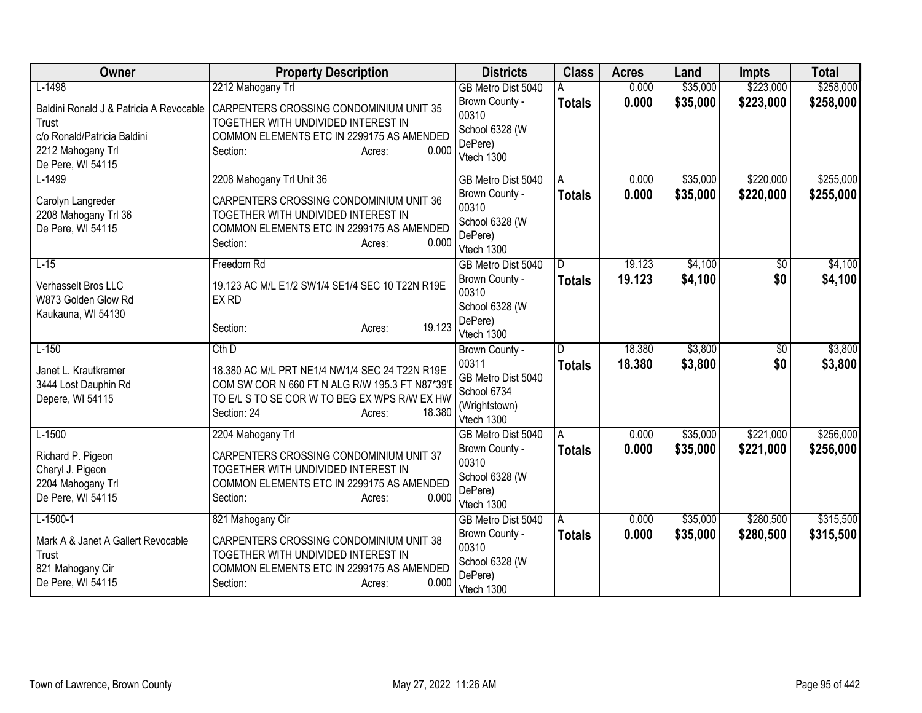| Owner                                   | <b>Property Description</b>                                                      | <b>Districts</b>            | <b>Class</b>  | <b>Acres</b> | Land     | <b>Impts</b> | <b>Total</b> |
|-----------------------------------------|----------------------------------------------------------------------------------|-----------------------------|---------------|--------------|----------|--------------|--------------|
| $L-1498$                                | 2212 Mahogany Trl                                                                | GB Metro Dist 5040          |               | 0.000        | \$35,000 | \$223,000    | \$258,000    |
| Baldini Ronald J & Patricia A Revocable | CARPENTERS CROSSING CONDOMINIUM UNIT 35                                          | Brown County -<br>00310     | <b>Totals</b> | 0.000        | \$35,000 | \$223,000    | \$258,000    |
| Trust                                   | TOGETHER WITH UNDIVIDED INTEREST IN                                              | School 6328 (W              |               |              |          |              |              |
| c/o Ronald/Patricia Baldini             | COMMON ELEMENTS ETC IN 2299175 AS AMENDED                                        | DePere)                     |               |              |          |              |              |
| 2212 Mahogany Trl                       | 0.000<br>Section:<br>Acres:                                                      | Vtech 1300                  |               |              |          |              |              |
| De Pere, WI 54115<br>$L-1499$           | 2208 Mahogany Trl Unit 36                                                        | GB Metro Dist 5040          | A             | 0.000        | \$35,000 | \$220,000    | \$255,000    |
|                                         |                                                                                  | Brown County -              | <b>Totals</b> | 0.000        | \$35,000 | \$220,000    | \$255,000    |
| Carolyn Langreder                       | CARPENTERS CROSSING CONDOMINIUM UNIT 36                                          | 00310                       |               |              |          |              |              |
| 2208 Mahogany Trl 36                    | TOGETHER WITH UNDIVIDED INTEREST IN                                              | School 6328 (W              |               |              |          |              |              |
| De Pere, WI 54115                       | COMMON ELEMENTS ETC IN 2299175 AS AMENDED<br>0.000<br>Section:                   | DePere)                     |               |              |          |              |              |
|                                         | Acres:                                                                           | Vtech 1300                  |               |              |          |              |              |
| $L-15$                                  | Freedom Rd                                                                       | GB Metro Dist 5040          | D             | 19.123       | \$4,100  | \$0          | \$4,100      |
| <b>Verhasselt Bros LLC</b>              | 19.123 AC M/L E1/2 SW1/4 SE1/4 SEC 10 T22N R19E                                  | Brown County -              | Totals        | 19.123       | \$4,100  | \$0          | \$4,100      |
| W873 Golden Glow Rd                     | EX RD                                                                            | 00310                       |               |              |          |              |              |
| Kaukauna, WI 54130                      |                                                                                  | School 6328 (W<br>DePere)   |               |              |          |              |              |
|                                         | 19.123<br>Section:<br>Acres:                                                     | Vtech 1300                  |               |              |          |              |              |
| $L-150$                                 | $Cth$ D                                                                          | Brown County -              | D             | 18.380       | \$3,800  | $\sqrt{6}$   | \$3,800      |
| Janet L. Krautkramer                    | 18.380 AC M/L PRT NE1/4 NW1/4 SEC 24 T22N R19E                                   | 00311                       | <b>Totals</b> | 18.380       | \$3,800  | \$0          | \$3,800      |
| 3444 Lost Dauphin Rd                    | COM SW COR N 660 FT N ALG R/W 195.3 FT N87*39'E                                  | GB Metro Dist 5040          |               |              |          |              |              |
| Depere, WI 54115                        | TO E/L S TO SE COR W TO BEG EX WPS R/W EX HW                                     | School 6734                 |               |              |          |              |              |
|                                         | Section: 24<br>18.380<br>Acres:                                                  | (Wrightstown)<br>Vtech 1300 |               |              |          |              |              |
| $L-1500$                                | 2204 Mahogany Trl                                                                | GB Metro Dist 5040          | A             | 0.000        | \$35,000 | \$221,000    | \$256,000    |
|                                         |                                                                                  | Brown County -              | <b>Totals</b> | 0.000        | \$35,000 | \$221,000    | \$256,000    |
| Richard P. Pigeon                       | CARPENTERS CROSSING CONDOMINIUM UNIT 37                                          | 00310                       |               |              |          |              |              |
| Cheryl J. Pigeon<br>2204 Mahogany Trl   | TOGETHER WITH UNDIVIDED INTEREST IN<br>COMMON ELEMENTS ETC IN 2299175 AS AMENDED | School 6328 (W              |               |              |          |              |              |
| De Pere, WI 54115                       | 0.000<br>Section:<br>Acres:                                                      | DePere)                     |               |              |          |              |              |
|                                         |                                                                                  | Vtech 1300                  |               |              |          |              |              |
| $L-1500-1$                              | 821 Mahogany Cir                                                                 | GB Metro Dist 5040          | A             | 0.000        | \$35,000 | \$280,500    | \$315,500    |
| Mark A & Janet A Gallert Revocable      | CARPENTERS CROSSING CONDOMINIUM UNIT 38                                          | Brown County -<br>00310     | <b>Totals</b> | 0.000        | \$35,000 | \$280,500    | \$315,500    |
| Trust                                   | TOGETHER WITH UNDIVIDED INTEREST IN                                              | School 6328 (W              |               |              |          |              |              |
| 821 Mahogany Cir                        | COMMON ELEMENTS ETC IN 2299175 AS AMENDED                                        | DePere)                     |               |              |          |              |              |
| De Pere, WI 54115                       | 0.000<br>Section:<br>Acres:                                                      | Vtech 1300                  |               |              |          |              |              |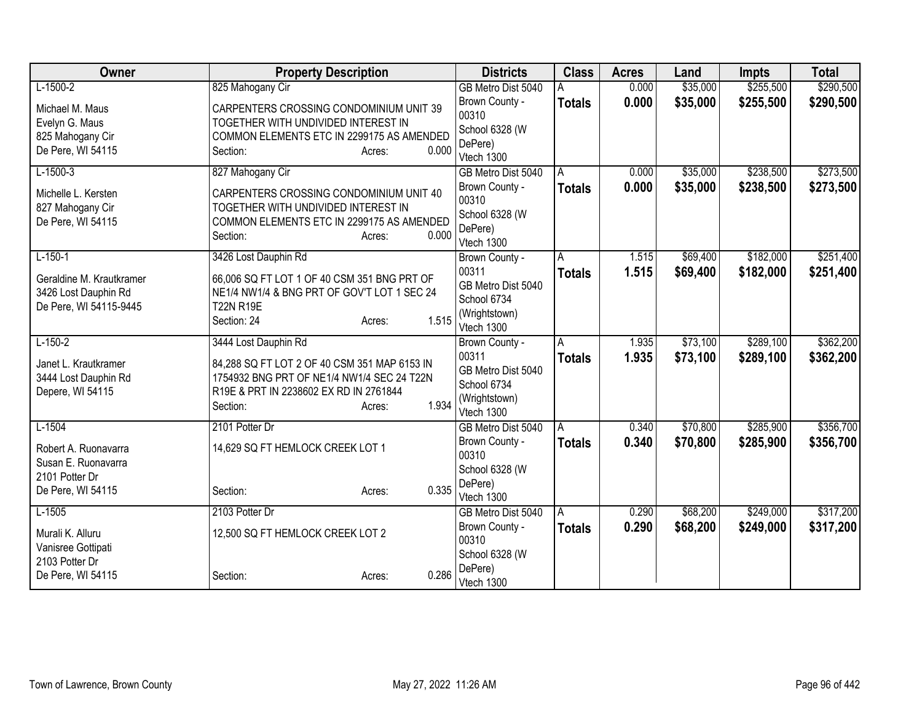| Owner                    | <b>Property Description</b>                           |                 | <b>Districts</b>            | <b>Class</b>  | <b>Acres</b> | Land     | <b>Impts</b> | <b>Total</b> |
|--------------------------|-------------------------------------------------------|-----------------|-----------------------------|---------------|--------------|----------|--------------|--------------|
| $L-1500-2$               | 825 Mahogany Cir                                      |                 | GB Metro Dist 5040          |               | 0.000        | \$35,000 | \$255,500    | \$290,500    |
| Michael M. Maus          | CARPENTERS CROSSING CONDOMINIUM UNIT 39               |                 | Brown County -              | <b>Totals</b> | 0.000        | \$35,000 | \$255,500    | \$290,500    |
| Evelyn G. Maus           | TOGETHER WITH UNDIVIDED INTEREST IN                   |                 | 00310                       |               |              |          |              |              |
| 825 Mahogany Cir         | COMMON ELEMENTS ETC IN 2299175 AS AMENDED             |                 | School 6328 (W              |               |              |          |              |              |
| De Pere, WI 54115        | Section:                                              | 0.000<br>Acres: | DePere)<br>Vtech 1300       |               |              |          |              |              |
| $L-1500-3$               | 827 Mahogany Cir                                      |                 | GB Metro Dist 5040          | A             | 0.000        | \$35,000 | \$238,500    | \$273,500    |
|                          |                                                       |                 | Brown County -              | <b>Totals</b> | 0.000        | \$35,000 | \$238,500    | \$273,500    |
| Michelle L. Kersten      | CARPENTERS CROSSING CONDOMINIUM UNIT 40               |                 | 00310                       |               |              |          |              |              |
| 827 Mahogany Cir         | TOGETHER WITH UNDIVIDED INTEREST IN                   |                 | School 6328 (W              |               |              |          |              |              |
| De Pere, WI 54115        | COMMON ELEMENTS ETC IN 2299175 AS AMENDED<br>Section: | 0.000           | DePere)                     |               |              |          |              |              |
|                          |                                                       | Acres:          | Vtech 1300                  |               |              |          |              |              |
| $L-150-1$                | 3426 Lost Dauphin Rd                                  |                 | Brown County -              | A             | 1.515        | \$69,400 | \$182,000    | \$251,400    |
| Geraldine M. Krautkramer | 66,006 SQ FT LOT 1 OF 40 CSM 351 BNG PRT OF           |                 | 00311                       | <b>Totals</b> | 1.515        | \$69,400 | \$182,000    | \$251,400    |
| 3426 Lost Dauphin Rd     | NE1/4 NW1/4 & BNG PRT OF GOV'T LOT 1 SEC 24           |                 | GB Metro Dist 5040          |               |              |          |              |              |
| De Pere, WI 54115-9445   | <b>T22N R19E</b>                                      |                 | School 6734                 |               |              |          |              |              |
|                          | Section: 24                                           | 1.515<br>Acres: | (Wrightstown)<br>Vtech 1300 |               |              |          |              |              |
| $L-150-2$                | 3444 Lost Dauphin Rd                                  |                 | Brown County -              | A             | 1.935        | \$73,100 | \$289,100    | \$362,200    |
|                          |                                                       |                 | 00311                       | <b>Totals</b> | 1.935        | \$73,100 | \$289,100    | \$362,200    |
| Janet L. Krautkramer     | 84,288 SQ FT LOT 2 OF 40 CSM 351 MAP 6153 IN          |                 | GB Metro Dist 5040          |               |              |          |              |              |
| 3444 Lost Dauphin Rd     | 1754932 BNG PRT OF NE1/4 NW1/4 SEC 24 T22N            |                 | School 6734                 |               |              |          |              |              |
| Depere, WI 54115         | R19E & PRT IN 2238602 EX RD IN 2761844<br>Section:    | 1.934           | (Wrightstown)               |               |              |          |              |              |
|                          |                                                       | Acres:          | Vtech 1300                  |               |              |          |              |              |
| $L-1504$                 | 2101 Potter Dr                                        |                 | GB Metro Dist 5040          | Α             | 0.340        | \$70,800 | \$285,900    | \$356,700    |
| Robert A. Ruonavarra     | 14,629 SQ FT HEMLOCK CREEK LOT 1                      |                 | Brown County -              | <b>Totals</b> | 0.340        | \$70,800 | \$285,900    | \$356,700    |
| Susan E. Ruonavarra      |                                                       |                 | 00310                       |               |              |          |              |              |
| 2101 Potter Dr           |                                                       |                 | School 6328 (W              |               |              |          |              |              |
| De Pere, WI 54115        | Section:                                              | 0.335<br>Acres: | DePere)<br>Vtech 1300       |               |              |          |              |              |
| $L-1505$                 | 2103 Potter Dr                                        |                 | GB Metro Dist 5040          | A             | 0.290        | \$68,200 | \$249,000    | \$317,200    |
|                          |                                                       |                 | Brown County -              | <b>Totals</b> | 0.290        | \$68,200 | \$249,000    | \$317,200    |
| Murali K. Alluru         | 12,500 SQ FT HEMLOCK CREEK LOT 2                      |                 | 00310                       |               |              |          |              |              |
| Vanisree Gottipati       |                                                       |                 | School 6328 (W              |               |              |          |              |              |
| 2103 Potter Dr           |                                                       | 0.286           | DePere)                     |               |              |          |              |              |
| De Pere, WI 54115        | Section:                                              | Acres:          | Vtech 1300                  |               |              |          |              |              |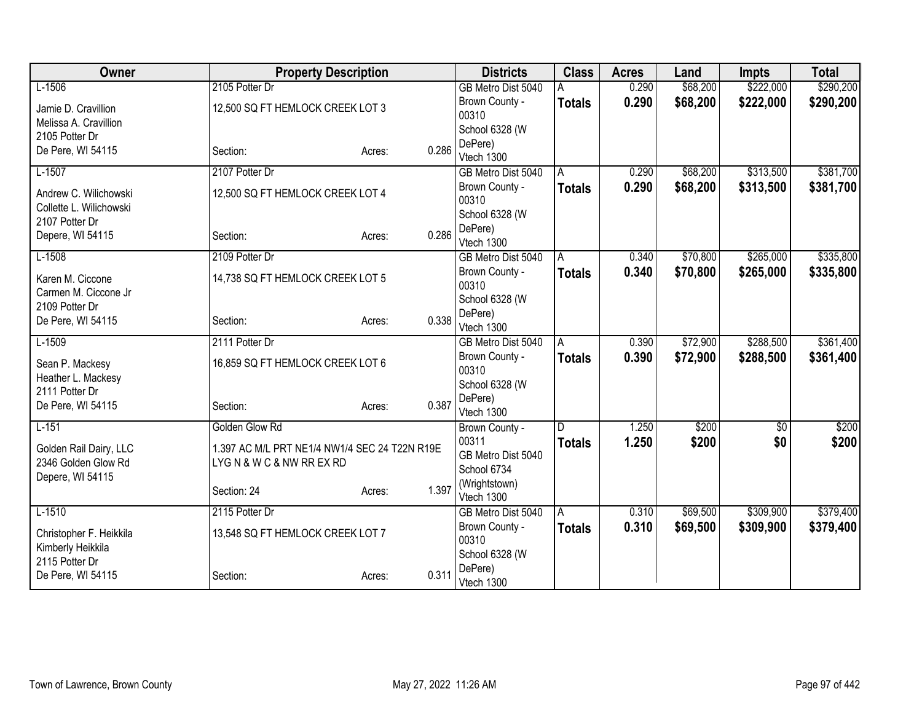| Owner                                            | <b>Property Description</b>                   |                 | <b>Districts</b>          | <b>Class</b>  | <b>Acres</b> | Land     | <b>Impts</b>    | <b>Total</b> |
|--------------------------------------------------|-----------------------------------------------|-----------------|---------------------------|---------------|--------------|----------|-----------------|--------------|
| $L-1506$                                         | 2105 Potter Dr                                |                 | GB Metro Dist 5040        |               | 0.290        | \$68,200 | \$222,000       | \$290,200    |
| Jamie D. Cravillion                              | 12,500 SQ FT HEMLOCK CREEK LOT 3              |                 | Brown County -            | <b>Totals</b> | 0.290        | \$68,200 | \$222,000       | \$290,200    |
| Melissa A. Cravillion                            |                                               |                 | 00310                     |               |              |          |                 |              |
| 2105 Potter Dr                                   |                                               |                 | School 6328 (W            |               |              |          |                 |              |
| De Pere, WI 54115                                | Section:                                      | 0.286<br>Acres: | DePere)                   |               |              |          |                 |              |
|                                                  |                                               |                 | Vtech 1300                |               |              |          |                 |              |
| $L-1507$                                         | 2107 Potter Dr                                |                 | GB Metro Dist 5040        | A             | 0.290        | \$68,200 | \$313,500       | \$381,700    |
| Andrew C. Wilichowski<br>Collette L. Wilichowski | 12,500 SQ FT HEMLOCK CREEK LOT 4              |                 | Brown County -<br>00310   | <b>Totals</b> | 0.290        | \$68,200 | \$313,500       | \$381,700    |
| 2107 Potter Dr                                   |                                               |                 | School 6328 (W            |               |              |          |                 |              |
| Depere, WI 54115                                 | Section:                                      | 0.286<br>Acres: | DePere)                   |               |              |          |                 |              |
|                                                  |                                               |                 | Vtech 1300                |               |              |          |                 |              |
| $L-1508$                                         | 2109 Potter Dr                                |                 | GB Metro Dist 5040        | A             | 0.340        | \$70,800 | \$265,000       | \$335,800    |
| Karen M. Ciccone                                 | 14,738 SQ FT HEMLOCK CREEK LOT 5              |                 | Brown County -            | <b>Totals</b> | 0.340        | \$70,800 | \$265,000       | \$335,800    |
| Carmen M. Ciccone Jr                             |                                               |                 | 00310                     |               |              |          |                 |              |
| 2109 Potter Dr                                   |                                               |                 | School 6328 (W            |               |              |          |                 |              |
| De Pere, WI 54115                                | Section:                                      | 0.338<br>Acres: | DePere)                   |               |              |          |                 |              |
|                                                  |                                               |                 | Vtech 1300                |               |              |          |                 |              |
| $L-1509$                                         | 2111 Potter Dr                                |                 | GB Metro Dist 5040        | A             | 0.390        | \$72,900 | \$288,500       | \$361,400    |
| Sean P. Mackesy                                  | 16,859 SQ FT HEMLOCK CREEK LOT 6              |                 | Brown County -<br>00310   | <b>Totals</b> | 0.390        | \$72,900 | \$288,500       | \$361,400    |
| Heather L. Mackesy                               |                                               |                 |                           |               |              |          |                 |              |
| 2111 Potter Dr                                   |                                               |                 | School 6328 (W<br>DePere) |               |              |          |                 |              |
| De Pere, WI 54115                                | Section:                                      | 0.387<br>Acres: | Vtech 1300                |               |              |          |                 |              |
| $L-151$                                          | Golden Glow Rd                                |                 | Brown County -            | D             | 1.250        | \$200    | $\overline{60}$ | \$200        |
|                                                  |                                               |                 | 00311                     | <b>Totals</b> | 1.250        | \$200    | \$0             | \$200        |
| Golden Rail Dairy, LLC                           | 1.397 AC M/L PRT NE1/4 NW1/4 SEC 24 T22N R19E |                 | GB Metro Dist 5040        |               |              |          |                 |              |
| 2346 Golden Glow Rd                              | LYGN & WC & NW RR EX RD                       |                 | School 6734               |               |              |          |                 |              |
| Depere, WI 54115                                 |                                               |                 | (Wrightstown)             |               |              |          |                 |              |
|                                                  | Section: 24                                   | 1.397<br>Acres: | Vtech 1300                |               |              |          |                 |              |
| $L-1510$                                         | 2115 Potter Dr                                |                 | GB Metro Dist 5040        | A             | 0.310        | \$69,500 | \$309,900       | \$379,400    |
| Christopher F. Heikkila                          | 13,548 SQ FT HEMLOCK CREEK LOT 7              |                 | Brown County -            | Totals        | 0.310        | \$69,500 | \$309,900       | \$379,400    |
| Kimberly Heikkila                                |                                               |                 | 00310                     |               |              |          |                 |              |
| 2115 Potter Dr                                   |                                               |                 | School 6328 (W            |               |              |          |                 |              |
| De Pere, WI 54115                                | Section:                                      | 0.311<br>Acres: | DePere)                   |               |              |          |                 |              |
|                                                  |                                               |                 | Vtech 1300                |               |              |          |                 |              |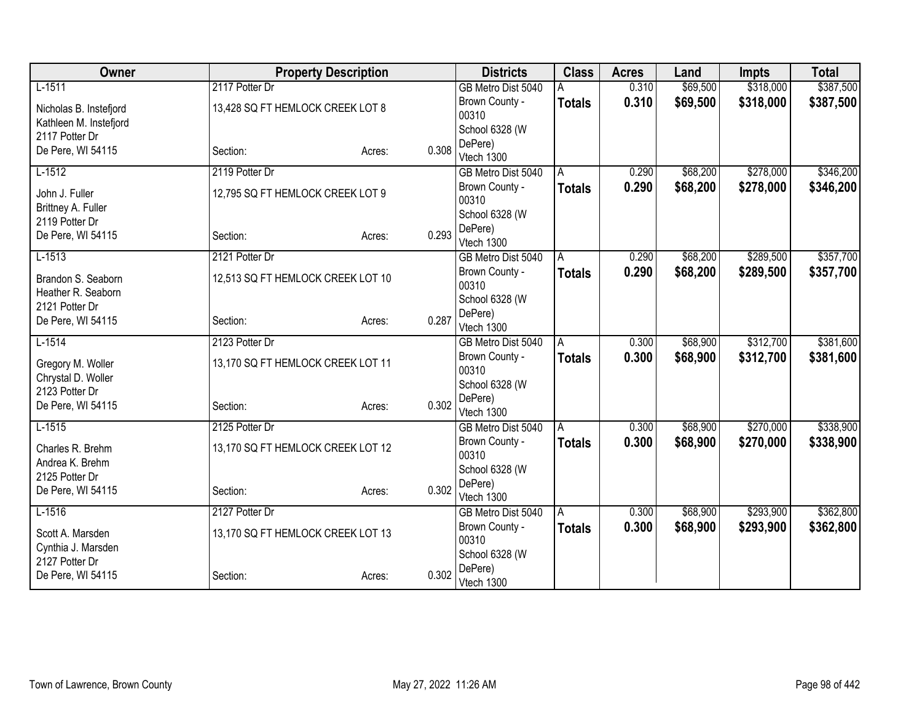| Owner                                | <b>Property Description</b>       |                 | <b>Districts</b>        | <b>Class</b>  | <b>Acres</b> | Land     | <b>Impts</b> | <b>Total</b> |
|--------------------------------------|-----------------------------------|-----------------|-------------------------|---------------|--------------|----------|--------------|--------------|
| $L-1511$                             | 2117 Potter Dr                    |                 | GB Metro Dist 5040      |               | 0.310        | \$69,500 | \$318,000    | \$387,500    |
| Nicholas B. Instefjord               | 13,428 SQ FT HEMLOCK CREEK LOT 8  |                 | Brown County -          | <b>Totals</b> | 0.310        | \$69,500 | \$318,000    | \$387,500    |
| Kathleen M. Instefjord               |                                   |                 | 00310                   |               |              |          |              |              |
| 2117 Potter Dr                       |                                   |                 | School 6328 (W          |               |              |          |              |              |
| De Pere, WI 54115                    | Section:                          | 0.308<br>Acres: | DePere)                 |               |              |          |              |              |
|                                      |                                   |                 | Vtech 1300              |               |              |          |              |              |
| $L-1512$                             | 2119 Potter Dr                    |                 | GB Metro Dist 5040      | A             | 0.290        | \$68,200 | \$278,000    | \$346,200    |
| John J. Fuller<br>Brittney A. Fuller | 12,795 SQ FT HEMLOCK CREEK LOT 9  |                 | Brown County -<br>00310 | <b>Totals</b> | 0.290        | \$68,200 | \$278,000    | \$346,200    |
| 2119 Potter Dr                       |                                   |                 | School 6328 (W          |               |              |          |              |              |
| De Pere, WI 54115                    | Section:                          | 0.293<br>Acres: | DePere)                 |               |              |          |              |              |
|                                      |                                   |                 | Vtech 1300              |               |              |          |              |              |
| $L-1513$                             | 2121 Potter Dr                    |                 | GB Metro Dist 5040      | A             | 0.290        | \$68,200 | \$289,500    | \$357,700    |
| Brandon S. Seaborn                   | 12,513 SQ FT HEMLOCK CREEK LOT 10 |                 | Brown County -          | <b>Totals</b> | 0.290        | \$68,200 | \$289,500    | \$357,700    |
| Heather R. Seaborn                   |                                   |                 | 00310                   |               |              |          |              |              |
| 2121 Potter Dr                       |                                   |                 | School 6328 (W          |               |              |          |              |              |
| De Pere, WI 54115                    | Section:                          | 0.287<br>Acres: | DePere)                 |               |              |          |              |              |
|                                      |                                   |                 | Vtech 1300              |               |              |          |              |              |
| $L-1514$                             | 2123 Potter Dr                    |                 | GB Metro Dist 5040      | A             | 0.300        | \$68,900 | \$312,700    | \$381,600    |
| Gregory M. Woller                    | 13,170 SQ FT HEMLOCK CREEK LOT 11 |                 | Brown County -<br>00310 | <b>Totals</b> | 0.300        | \$68,900 | \$312,700    | \$381,600    |
| Chrystal D. Woller                   |                                   |                 | School 6328 (W          |               |              |          |              |              |
| 2123 Potter Dr                       |                                   |                 | DePere)                 |               |              |          |              |              |
| De Pere, WI 54115                    | Section:                          | 0.302<br>Acres: | Vtech 1300              |               |              |          |              |              |
| $L-1515$                             | 2125 Potter Dr                    |                 | GB Metro Dist 5040      | A             | 0.300        | \$68,900 | \$270,000    | \$338,900    |
|                                      |                                   |                 | Brown County -          | <b>Totals</b> | 0.300        | \$68,900 | \$270,000    | \$338,900    |
| Charles R. Brehm                     | 13,170 SQ FT HEMLOCK CREEK LOT 12 |                 | 00310                   |               |              |          |              |              |
| Andrea K. Brehm                      |                                   |                 | School 6328 (W          |               |              |          |              |              |
| 2125 Potter Dr                       |                                   |                 | DePere)                 |               |              |          |              |              |
| De Pere, WI 54115                    | Section:                          | 0.302<br>Acres: | Vtech 1300              |               |              |          |              |              |
| $L-1516$                             | 2127 Potter Dr                    |                 | GB Metro Dist 5040      | A             | 0.300        | \$68,900 | \$293,900    | \$362,800    |
| Scott A. Marsden                     | 13,170 SQ FT HEMLOCK CREEK LOT 13 |                 | Brown County -          | <b>Totals</b> | 0.300        | \$68,900 | \$293,900    | \$362,800    |
| Cynthia J. Marsden                   |                                   |                 | 00310                   |               |              |          |              |              |
| 2127 Potter Dr                       |                                   |                 | School 6328 (W          |               |              |          |              |              |
| De Pere, WI 54115                    | Section:                          | 0.302<br>Acres: | DePere)                 |               |              |          |              |              |
|                                      |                                   |                 | Vtech 1300              |               |              |          |              |              |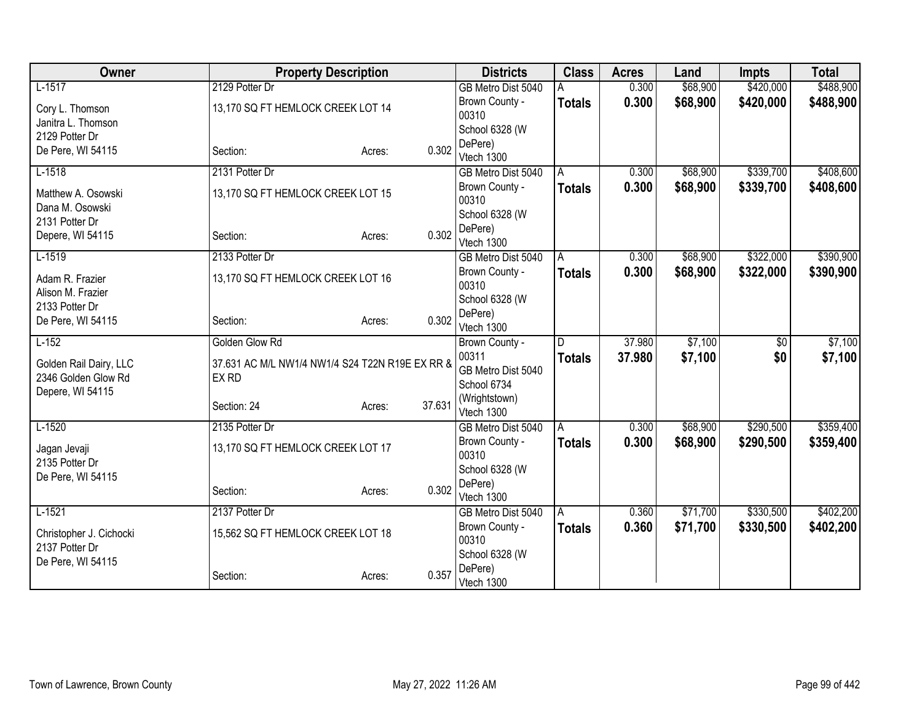| Owner                                     | <b>Property Description</b>                     |                  | <b>Districts</b>            | <b>Class</b>  | <b>Acres</b> | Land     | <b>Impts</b>    | <b>Total</b> |
|-------------------------------------------|-------------------------------------------------|------------------|-----------------------------|---------------|--------------|----------|-----------------|--------------|
| $L-1517$                                  | 2129 Potter Dr                                  |                  | GB Metro Dist 5040          |               | 0.300        | \$68,900 | \$420,000       | \$488,900    |
| Cory L. Thomson                           | 13,170 SQ FT HEMLOCK CREEK LOT 14               |                  | Brown County -              | <b>Totals</b> | 0.300        | \$68,900 | \$420,000       | \$488,900    |
| Janitra L. Thomson                        |                                                 |                  | 00310                       |               |              |          |                 |              |
| 2129 Potter Dr                            |                                                 |                  | School 6328 (W              |               |              |          |                 |              |
| De Pere, WI 54115                         | Section:                                        | 0.302<br>Acres:  | DePere)                     |               |              |          |                 |              |
|                                           |                                                 |                  | Vtech 1300                  |               |              |          |                 |              |
| $L-1518$                                  | 2131 Potter Dr                                  |                  | GB Metro Dist 5040          | A             | 0.300        | \$68,900 | \$339,700       | \$408,600    |
| Matthew A. Osowski                        | 13,170 SQ FT HEMLOCK CREEK LOT 15               |                  | Brown County -<br>00310     | <b>Totals</b> | 0.300        | \$68,900 | \$339,700       | \$408,600    |
| Dana M. Osowski                           |                                                 |                  | School 6328 (W              |               |              |          |                 |              |
| 2131 Potter Dr                            |                                                 |                  | DePere)                     |               |              |          |                 |              |
| Depere, WI 54115                          | Section:                                        | 0.302<br>Acres:  | Vtech 1300                  |               |              |          |                 |              |
| $L-1519$                                  | 2133 Potter Dr                                  |                  | GB Metro Dist 5040          | A             | 0.300        | \$68,900 | \$322,000       | \$390,900    |
| Adam R. Frazier                           | 13,170 SQ FT HEMLOCK CREEK LOT 16               |                  | Brown County -              | <b>Totals</b> | 0.300        | \$68,900 | \$322,000       | \$390,900    |
| Alison M. Frazier                         |                                                 |                  | 00310                       |               |              |          |                 |              |
| 2133 Potter Dr                            |                                                 |                  | School 6328 (W              |               |              |          |                 |              |
| De Pere, WI 54115                         | Section:                                        | 0.302<br>Acres:  | DePere)                     |               |              |          |                 |              |
|                                           |                                                 |                  | Vtech 1300                  |               |              |          |                 |              |
| $L-152$                                   | Golden Glow Rd                                  |                  | Brown County -              | D             | 37.980       | \$7,100  | $\overline{50}$ | \$7,100      |
| Golden Rail Dairy, LLC                    | 37.631 AC M/L NW1/4 NW1/4 S24 T22N R19E EX RR & |                  | 00311                       | <b>Totals</b> | 37.980       | \$7,100  | \$0             | \$7,100      |
| 2346 Golden Glow Rd                       | EX RD                                           |                  | GB Metro Dist 5040          |               |              |          |                 |              |
| Depere, WI 54115                          |                                                 |                  | School 6734                 |               |              |          |                 |              |
|                                           | Section: 24                                     | 37.631<br>Acres: | (Wrightstown)<br>Vtech 1300 |               |              |          |                 |              |
| $L-1520$                                  | 2135 Potter Dr                                  |                  | GB Metro Dist 5040          | A             | 0.300        | \$68,900 | \$290,500       | \$359,400    |
|                                           |                                                 |                  | Brown County -              | <b>Totals</b> | 0.300        | \$68,900 | \$290,500       | \$359,400    |
| Jagan Jevaji                              | 13,170 SQ FT HEMLOCK CREEK LOT 17               |                  | 00310                       |               |              |          |                 |              |
| 2135 Potter Dr                            |                                                 |                  | School 6328 (W              |               |              |          |                 |              |
| De Pere, WI 54115                         |                                                 |                  | DePere)                     |               |              |          |                 |              |
|                                           | Section:                                        | 0.302<br>Acres:  | Vtech 1300                  |               |              |          |                 |              |
| $L-1521$                                  | 2137 Potter Dr                                  |                  | GB Metro Dist 5040          | A             | 0.360        | \$71,700 | \$330,500       | \$402,200    |
|                                           | 15,562 SQ FT HEMLOCK CREEK LOT 18               |                  | Brown County -              | Totals        | 0.360        | \$71,700 | \$330,500       | \$402,200    |
| Christopher J. Cichocki<br>2137 Potter Dr |                                                 |                  | 00310                       |               |              |          |                 |              |
| De Pere, WI 54115                         |                                                 |                  | School 6328 (W              |               |              |          |                 |              |
|                                           | Section:                                        | 0.357<br>Acres:  | DePere)                     |               |              |          |                 |              |
|                                           |                                                 |                  | Vtech 1300                  |               |              |          |                 |              |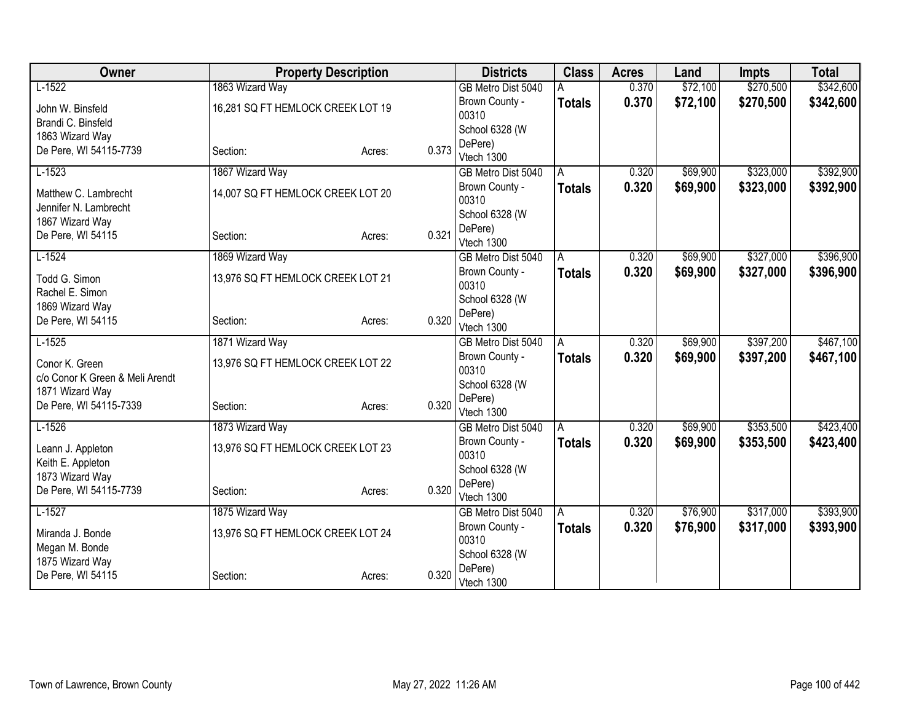| Owner                                         |                                   | <b>Property Description</b> |       | <b>Districts</b>          | <b>Class</b>  | <b>Acres</b> | Land     | <b>Impts</b> | <b>Total</b> |
|-----------------------------------------------|-----------------------------------|-----------------------------|-------|---------------------------|---------------|--------------|----------|--------------|--------------|
| $L-1522$                                      | 1863 Wizard Way                   |                             |       | GB Metro Dist 5040        |               | 0.370        | \$72,100 | \$270,500    | \$342,600    |
| John W. Binsfeld                              | 16,281 SQ FT HEMLOCK CREEK LOT 19 |                             |       | Brown County -            | <b>Totals</b> | 0.370        | \$72,100 | \$270,500    | \$342,600    |
| Brandi C. Binsfeld                            |                                   |                             |       | 00310                     |               |              |          |              |              |
| 1863 Wizard Way                               |                                   |                             |       | School 6328 (W            |               |              |          |              |              |
| De Pere, WI 54115-7739                        | Section:                          | Acres:                      | 0.373 | DePere)                   |               |              |          |              |              |
|                                               |                                   |                             |       | Vtech 1300                |               |              |          |              |              |
| $L-1523$                                      | 1867 Wizard Way                   |                             |       | GB Metro Dist 5040        | A             | 0.320        | \$69,900 | \$323,000    | \$392,900    |
| Matthew C. Lambrecht<br>Jennifer N. Lambrecht | 14,007 SQ FT HEMLOCK CREEK LOT 20 |                             |       | Brown County -<br>00310   | <b>Totals</b> | 0.320        | \$69,900 | \$323,000    | \$392,900    |
| 1867 Wizard Way                               |                                   |                             |       | School 6328 (W            |               |              |          |              |              |
| De Pere, WI 54115                             | Section:                          | Acres:                      | 0.321 | DePere)                   |               |              |          |              |              |
|                                               |                                   |                             |       | Vtech 1300                |               |              |          |              |              |
| $L-1524$                                      | 1869 Wizard Way                   |                             |       | GB Metro Dist 5040        | A             | 0.320        | \$69,900 | \$327,000    | \$396,900    |
| Todd G. Simon                                 | 13,976 SQ FT HEMLOCK CREEK LOT 21 |                             |       | Brown County -<br>00310   | Totals        | 0.320        | \$69,900 | \$327,000    | \$396,900    |
| Rachel E. Simon                               |                                   |                             |       | School 6328 (W            |               |              |          |              |              |
| 1869 Wizard Way                               |                                   |                             |       | DePere)                   |               |              |          |              |              |
| De Pere, WI 54115                             | Section:                          | Acres:                      | 0.320 | Vtech 1300                |               |              |          |              |              |
| $L-1525$                                      | 1871 Wizard Way                   |                             |       | GB Metro Dist 5040        | A             | 0.320        | \$69,900 | \$397,200    | \$467,100    |
| Conor K. Green                                | 13,976 SQ FT HEMLOCK CREEK LOT 22 |                             |       | Brown County -            | <b>Totals</b> | 0.320        | \$69,900 | \$397,200    | \$467,100    |
| c/o Conor K Green & Meli Arendt               |                                   |                             |       | 00310                     |               |              |          |              |              |
| 1871 Wizard Way                               |                                   |                             |       | School 6328 (W            |               |              |          |              |              |
| De Pere, WI 54115-7339                        | Section:                          | Acres:                      | 0.320 | DePere)                   |               |              |          |              |              |
|                                               |                                   |                             |       | Vtech 1300                |               |              |          |              |              |
| $L-1526$                                      | 1873 Wizard Way                   |                             |       | GB Metro Dist 5040        | A             | 0.320        | \$69,900 | \$353,500    | \$423,400    |
| Leann J. Appleton                             | 13,976 SQ FT HEMLOCK CREEK LOT 23 |                             |       | Brown County -            | <b>Totals</b> | 0.320        | \$69,900 | \$353,500    | \$423,400    |
| Keith E. Appleton                             |                                   |                             |       | 00310                     |               |              |          |              |              |
| 1873 Wizard Way                               |                                   |                             |       | School 6328 (W<br>DePere) |               |              |          |              |              |
| De Pere, WI 54115-7739                        | Section:                          | Acres:                      | 0.320 | Vtech 1300                |               |              |          |              |              |
| $L-1527$                                      | 1875 Wizard Way                   |                             |       | GB Metro Dist 5040        | l A           | 0.320        | \$76,900 | \$317,000    | \$393,900    |
|                                               |                                   |                             |       | Brown County -            | <b>Totals</b> | 0.320        | \$76,900 | \$317,000    | \$393,900    |
| Miranda J. Bonde                              | 13,976 SQ FT HEMLOCK CREEK LOT 24 |                             |       | 00310                     |               |              |          |              |              |
| Megan M. Bonde<br>1875 Wizard Way             |                                   |                             |       | School 6328 (W            |               |              |          |              |              |
| De Pere, WI 54115                             | Section:                          |                             | 0.320 | DePere)                   |               |              |          |              |              |
|                                               |                                   | Acres:                      |       | Vtech 1300                |               |              |          |              |              |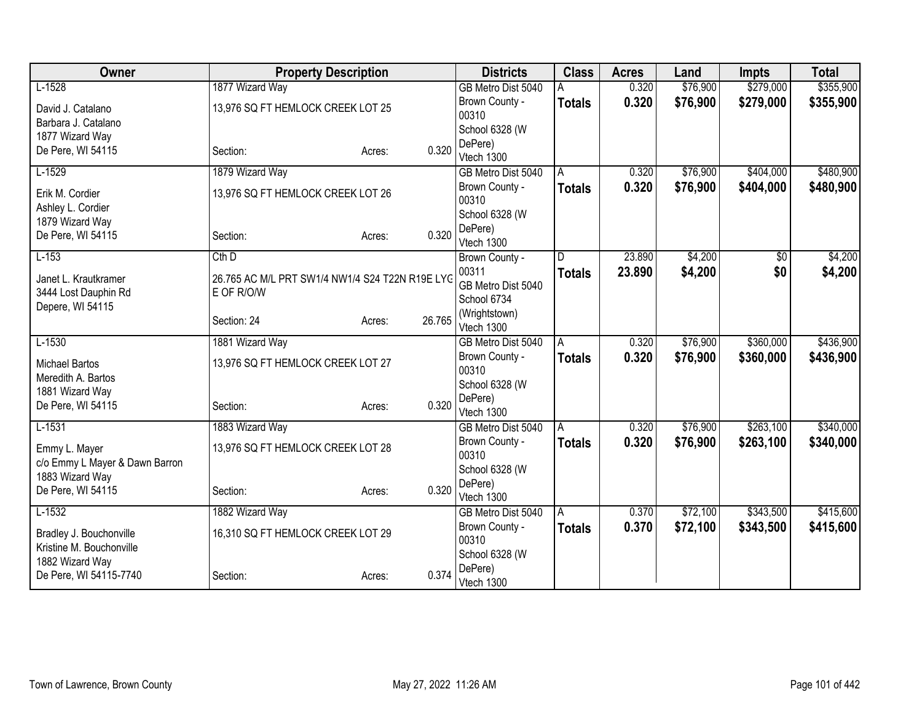| Owner                          |                                                 | <b>Property Description</b> |        | <b>Districts</b>        | <b>Class</b>  | <b>Acres</b> | Land     | <b>Impts</b> | <b>Total</b> |
|--------------------------------|-------------------------------------------------|-----------------------------|--------|-------------------------|---------------|--------------|----------|--------------|--------------|
| $L-1528$                       | 1877 Wizard Way                                 |                             |        | GB Metro Dist 5040      |               | 0.320        | \$76,900 | \$279,000    | \$355,900    |
| David J. Catalano              | 13,976 SQ FT HEMLOCK CREEK LOT 25               |                             |        | Brown County -          | <b>Totals</b> | 0.320        | \$76,900 | \$279,000    | \$355,900    |
| Barbara J. Catalano            |                                                 |                             |        | 00310                   |               |              |          |              |              |
| 1877 Wizard Way                |                                                 |                             |        | School 6328 (W          |               |              |          |              |              |
| De Pere, WI 54115              | Section:                                        | Acres:                      | 0.320  | DePere)<br>Vtech 1300   |               |              |          |              |              |
| $L-1529$                       | 1879 Wizard Way                                 |                             |        | GB Metro Dist 5040      | A             | 0.320        | \$76,900 | \$404,000    | \$480,900    |
|                                |                                                 |                             |        | Brown County -          | <b>Totals</b> | 0.320        | \$76,900 | \$404,000    | \$480,900    |
| Erik M. Cordier                | 13,976 SQ FT HEMLOCK CREEK LOT 26               |                             |        | 00310                   |               |              |          |              |              |
| Ashley L. Cordier              |                                                 |                             |        | School 6328 (W          |               |              |          |              |              |
| 1879 Wizard Way                |                                                 |                             |        | DePere)                 |               |              |          |              |              |
| De Pere, WI 54115              | Section:                                        | Acres:                      | 0.320  | Vtech 1300              |               |              |          |              |              |
| $L-153$                        | $Cth$ $D$                                       |                             |        | Brown County -          | D             | 23.890       | \$4,200  | \$0          | \$4,200      |
| Janet L. Krautkramer           | 26.765 AC M/L PRT SW1/4 NW1/4 S24 T22N R19E LYC |                             |        | 00311                   | <b>Totals</b> | 23.890       | \$4,200  | \$0          | \$4,200      |
| 3444 Lost Dauphin Rd           | E OF R/O/W                                      |                             |        | GB Metro Dist 5040      |               |              |          |              |              |
| Depere, WI 54115               |                                                 |                             |        | School 6734             |               |              |          |              |              |
|                                | Section: 24                                     | Acres:                      | 26.765 | (Wrightstown)           |               |              |          |              |              |
|                                |                                                 |                             |        | Vtech 1300              |               |              |          |              |              |
| $L-1530$                       | 1881 Wizard Way                                 |                             |        | GB Metro Dist 5040      | A             | 0.320        | \$76,900 | \$360,000    | \$436,900    |
| <b>Michael Bartos</b>          | 13,976 SQ FT HEMLOCK CREEK LOT 27               |                             |        | Brown County -<br>00310 | <b>Totals</b> | 0.320        | \$76,900 | \$360,000    | \$436,900    |
| Meredith A. Bartos             |                                                 |                             |        | School 6328 (W          |               |              |          |              |              |
| 1881 Wizard Way                |                                                 |                             |        | DePere)                 |               |              |          |              |              |
| De Pere, WI 54115              | Section:                                        | Acres:                      | 0.320  | Vtech 1300              |               |              |          |              |              |
| $L-1531$                       | 1883 Wizard Way                                 |                             |        | GB Metro Dist 5040      | A             | 0.320        | \$76,900 | \$263,100    | \$340,000    |
| Emmy L. Mayer                  | 13,976 SQ FT HEMLOCK CREEK LOT 28               |                             |        | Brown County -          | <b>Totals</b> | 0.320        | \$76,900 | \$263,100    | \$340,000    |
| c/o Emmy L Mayer & Dawn Barron |                                                 |                             |        | 00310                   |               |              |          |              |              |
| 1883 Wizard Way                |                                                 |                             |        | School 6328 (W          |               |              |          |              |              |
| De Pere, WI 54115              | Section:                                        | Acres:                      | 0.320  | DePere)                 |               |              |          |              |              |
|                                |                                                 |                             |        | Vtech 1300              |               |              |          |              |              |
| $L-1532$                       | 1882 Wizard Way                                 |                             |        | GB Metro Dist 5040      | l A           | 0.370        | \$72,100 | \$343,500    | \$415,600    |
| Bradley J. Bouchonville        | 16,310 SQ FT HEMLOCK CREEK LOT 29               |                             |        | Brown County -<br>00310 | <b>Totals</b> | 0.370        | \$72,100 | \$343,500    | \$415,600    |
| Kristine M. Bouchonville       |                                                 |                             |        | School 6328 (W          |               |              |          |              |              |
| 1882 Wizard Way                |                                                 |                             |        | DePere)                 |               |              |          |              |              |
| De Pere, WI 54115-7740         | Section:                                        | Acres:                      | 0.374  | Vtech 1300              |               |              |          |              |              |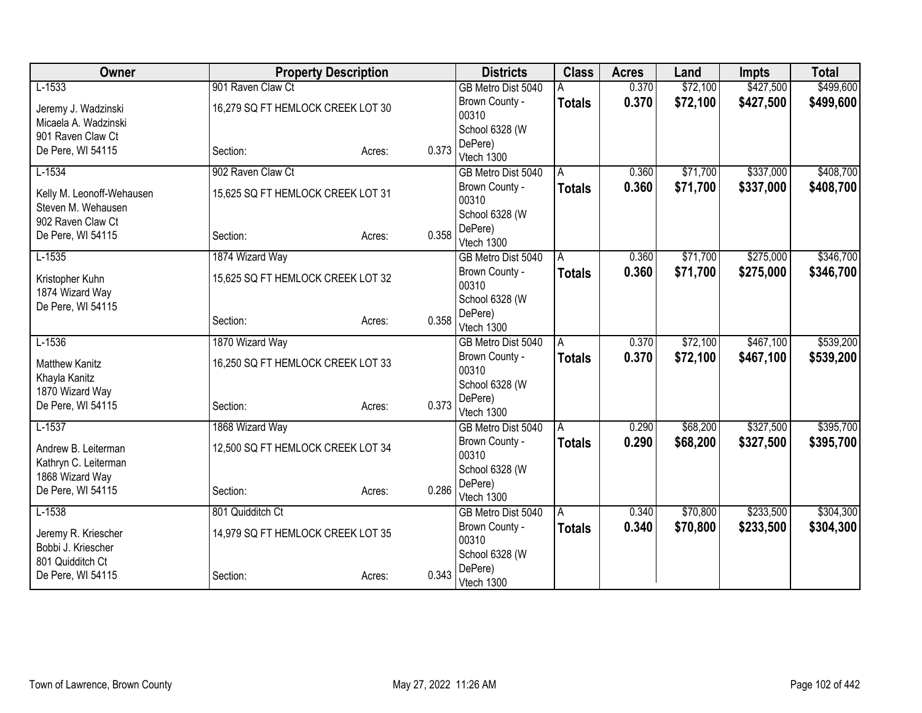| Owner                     |                                   | <b>Property Description</b> |       | <b>Districts</b>        | <b>Class</b>  | <b>Acres</b> | Land     | <b>Impts</b> | <b>Total</b> |
|---------------------------|-----------------------------------|-----------------------------|-------|-------------------------|---------------|--------------|----------|--------------|--------------|
| $L-1533$                  | 901 Raven Claw Ct                 |                             |       | GB Metro Dist 5040      |               | 0.370        | \$72,100 | \$427,500    | \$499,600    |
| Jeremy J. Wadzinski       | 16,279 SQ FT HEMLOCK CREEK LOT 30 |                             |       | Brown County -          | <b>Totals</b> | 0.370        | \$72,100 | \$427,500    | \$499,600    |
| Micaela A. Wadzinski      |                                   |                             |       | 00310                   |               |              |          |              |              |
| 901 Raven Claw Ct         |                                   |                             |       | School 6328 (W          |               |              |          |              |              |
| De Pere, WI 54115         | Section:                          | Acres:                      | 0.373 | DePere)<br>Vtech 1300   |               |              |          |              |              |
| $L-1534$                  | 902 Raven Claw Ct                 |                             |       | GB Metro Dist 5040      | A             | 0.360        | \$71,700 | \$337,000    | \$408,700    |
|                           |                                   |                             |       | Brown County -          | <b>Totals</b> | 0.360        | \$71,700 | \$337,000    | \$408,700    |
| Kelly M. Leonoff-Wehausen | 15,625 SQ FT HEMLOCK CREEK LOT 31 |                             |       | 00310                   |               |              |          |              |              |
| Steven M. Wehausen        |                                   |                             |       | School 6328 (W          |               |              |          |              |              |
| 902 Raven Claw Ct         |                                   |                             |       | DePere)                 |               |              |          |              |              |
| De Pere, WI 54115         | Section:                          | Acres:                      | 0.358 | Vtech 1300              |               |              |          |              |              |
| $L-1535$                  | 1874 Wizard Way                   |                             |       | GB Metro Dist 5040      | A             | 0.360        | \$71,700 | \$275,000    | \$346,700    |
| Kristopher Kuhn           | 15,625 SQ FT HEMLOCK CREEK LOT 32 |                             |       | Brown County -          | <b>Totals</b> | 0.360        | \$71,700 | \$275,000    | \$346,700    |
| 1874 Wizard Way           |                                   |                             |       | 00310                   |               |              |          |              |              |
| De Pere, WI 54115         |                                   |                             |       | School 6328 (W          |               |              |          |              |              |
|                           | Section:                          | Acres:                      | 0.358 | DePere)                 |               |              |          |              |              |
|                           |                                   |                             |       | Vtech 1300              |               |              |          |              |              |
| $L-1536$                  | 1870 Wizard Way                   |                             |       | GB Metro Dist 5040      | A             | 0.370        | \$72,100 | \$467,100    | \$539,200    |
| <b>Matthew Kanitz</b>     | 16,250 SQ FT HEMLOCK CREEK LOT 33 |                             |       | Brown County -<br>00310 | <b>Totals</b> | 0.370        | \$72,100 | \$467,100    | \$539,200    |
| Khayla Kanitz             |                                   |                             |       | School 6328 (W          |               |              |          |              |              |
| 1870 Wizard Way           |                                   |                             |       | DePere)                 |               |              |          |              |              |
| De Pere, WI 54115         | Section:                          | Acres:                      | 0.373 | Vtech 1300              |               |              |          |              |              |
| $L-1537$                  | 1868 Wizard Way                   |                             |       | GB Metro Dist 5040      | A             | 0.290        | \$68,200 | \$327,500    | \$395,700    |
| Andrew B. Leiterman       | 12,500 SQ FT HEMLOCK CREEK LOT 34 |                             |       | Brown County -          | <b>Totals</b> | 0.290        | \$68,200 | \$327,500    | \$395,700    |
| Kathryn C. Leiterman      |                                   |                             |       | 00310                   |               |              |          |              |              |
| 1868 Wizard Way           |                                   |                             |       | School 6328 (W          |               |              |          |              |              |
| De Pere, WI 54115         | Section:                          | Acres:                      | 0.286 | DePere)                 |               |              |          |              |              |
|                           |                                   |                             |       | Vtech 1300              |               |              |          |              |              |
| $L-1538$                  | 801 Quidditch Ct                  |                             |       | GB Metro Dist 5040      | A             | 0.340        | \$70,800 | \$233,500    | \$304,300    |
| Jeremy R. Kriescher       | 14,979 SQ FT HEMLOCK CREEK LOT 35 |                             |       | Brown County -<br>00310 | <b>Totals</b> | 0.340        | \$70,800 | \$233,500    | \$304,300    |
| Bobbi J. Kriescher        |                                   |                             |       | School 6328 (W          |               |              |          |              |              |
| 801 Quidditch Ct          |                                   |                             |       | DePere)                 |               |              |          |              |              |
| De Pere, WI 54115         | Section:                          | Acres:                      | 0.343 | Vtech 1300              |               |              |          |              |              |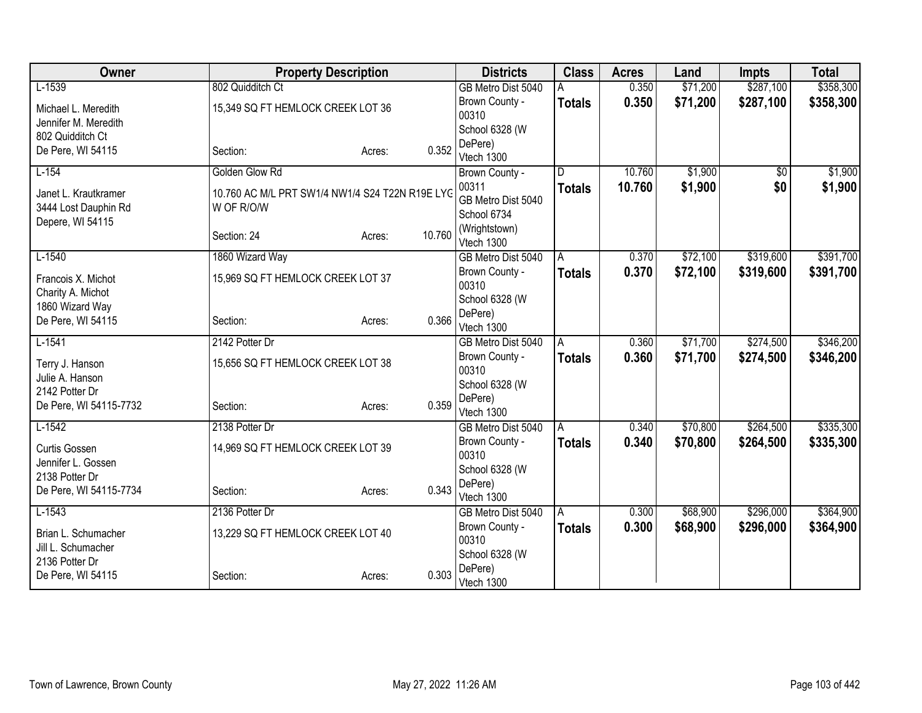| Owner                              | <b>Property Description</b>                     |        |        | <b>Districts</b>            | <b>Class</b>  | <b>Acres</b> | Land     | <b>Impts</b>    | <b>Total</b> |
|------------------------------------|-------------------------------------------------|--------|--------|-----------------------------|---------------|--------------|----------|-----------------|--------------|
| $L-1539$                           | 802 Quidditch Ct                                |        |        | GB Metro Dist 5040          |               | 0.350        | \$71,200 | \$287,100       | \$358,300    |
| Michael L. Meredith                | 15,349 SQ FT HEMLOCK CREEK LOT 36               |        |        | Brown County -              | <b>Totals</b> | 0.350        | \$71,200 | \$287,100       | \$358,300    |
| Jennifer M. Meredith               |                                                 |        |        | 00310                       |               |              |          |                 |              |
| 802 Quidditch Ct                   |                                                 |        |        | School 6328 (W              |               |              |          |                 |              |
| De Pere, WI 54115                  | Section:                                        | Acres: | 0.352  | DePere)                     |               |              |          |                 |              |
|                                    |                                                 |        |        | Vtech 1300                  |               |              |          |                 |              |
| $L-154$                            | Golden Glow Rd                                  |        |        | Brown County -              | D.            | 10.760       | \$1,900  | $\overline{50}$ | \$1,900      |
| Janet L. Krautkramer               | 10.760 AC M/L PRT SW1/4 NW1/4 S24 T22N R19E LYG |        |        | 00311                       | <b>Totals</b> | 10.760       | \$1,900  | \$0             | \$1,900      |
| 3444 Lost Dauphin Rd               | W OF R/O/W                                      |        |        | GB Metro Dist 5040          |               |              |          |                 |              |
| Depere, WI 54115                   |                                                 |        |        | School 6734                 |               |              |          |                 |              |
|                                    | Section: 24                                     | Acres: | 10.760 | (Wrightstown)<br>Vtech 1300 |               |              |          |                 |              |
| $L-1540$                           | 1860 Wizard Way                                 |        |        | GB Metro Dist 5040          | A             | 0.370        | \$72,100 | \$319,600       | \$391,700    |
|                                    |                                                 |        |        | Brown County -              |               |              |          |                 |              |
| Francois X. Michot                 | 15,969 SQ FT HEMLOCK CREEK LOT 37               |        |        | 00310                       | <b>Totals</b> | 0.370        | \$72,100 | \$319,600       | \$391,700    |
| Charity A. Michot                  |                                                 |        |        | School 6328 (W              |               |              |          |                 |              |
| 1860 Wizard Way                    |                                                 |        |        | DePere)                     |               |              |          |                 |              |
| De Pere, WI 54115                  | Section:                                        | Acres: | 0.366  | Vtech 1300                  |               |              |          |                 |              |
| $L-1541$                           | 2142 Potter Dr                                  |        |        | GB Metro Dist 5040          | A             | 0.360        | \$71,700 | \$274,500       | \$346,200    |
|                                    | 15,656 SQ FT HEMLOCK CREEK LOT 38               |        |        | Brown County -              | <b>Totals</b> | 0.360        | \$71,700 | \$274,500       | \$346,200    |
| Terry J. Hanson<br>Julie A. Hanson |                                                 |        |        | 00310                       |               |              |          |                 |              |
| 2142 Potter Dr                     |                                                 |        |        | School 6328 (W              |               |              |          |                 |              |
| De Pere, WI 54115-7732             | Section:                                        | Acres: | 0.359  | DePere)                     |               |              |          |                 |              |
|                                    |                                                 |        |        | Vtech 1300                  |               |              |          |                 |              |
| $L-1542$                           | 2138 Potter Dr                                  |        |        | GB Metro Dist 5040          | l A           | 0.340        | \$70,800 | \$264,500       | \$335,300    |
| <b>Curtis Gossen</b>               | 14,969 SQ FT HEMLOCK CREEK LOT 39               |        |        | Brown County -              | <b>Totals</b> | 0.340        | \$70,800 | \$264,500       | \$335,300    |
| Jennifer L. Gossen                 |                                                 |        |        | 00310                       |               |              |          |                 |              |
| 2138 Potter Dr                     |                                                 |        |        | School 6328 (W              |               |              |          |                 |              |
| De Pere, WI 54115-7734             | Section:                                        | Acres: | 0.343  | DePere)                     |               |              |          |                 |              |
|                                    |                                                 |        |        | Vtech 1300                  |               |              |          |                 |              |
| $L-1543$                           | 2136 Potter Dr                                  |        |        | GB Metro Dist 5040          | ۱Ā            | 0.300        | \$68,900 | \$296,000       | \$364,900    |
| Brian L. Schumacher                | 13,229 SQ FT HEMLOCK CREEK LOT 40               |        |        | Brown County -              | <b>Totals</b> | 0.300        | \$68,900 | \$296,000       | \$364,900    |
| Jill L. Schumacher                 |                                                 |        |        | 00310<br>School 6328 (W     |               |              |          |                 |              |
| 2136 Potter Dr                     |                                                 |        |        | DePere)                     |               |              |          |                 |              |
| De Pere, WI 54115                  | Section:                                        | Acres: | 0.303  | Vtech 1300                  |               |              |          |                 |              |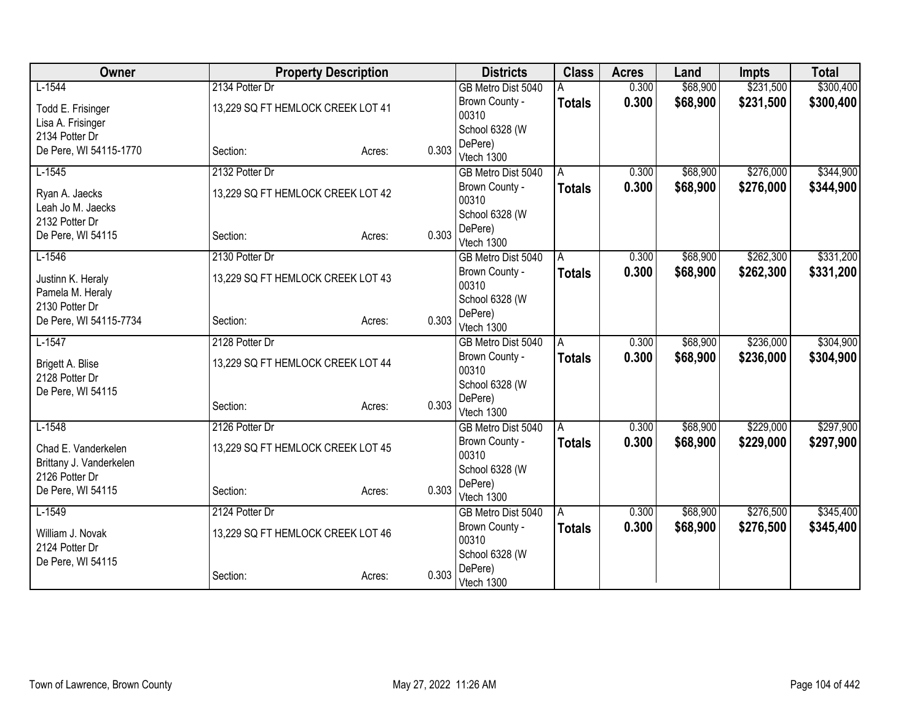| Owner                   | <b>Property Description</b>       |        |       | <b>Districts</b>                 | <b>Class</b>  | <b>Acres</b> | Land     | <b>Impts</b> | <b>Total</b> |
|-------------------------|-----------------------------------|--------|-------|----------------------------------|---------------|--------------|----------|--------------|--------------|
| $L-1544$                | 2134 Potter Dr                    |        |       | GB Metro Dist 5040               |               | 0.300        | \$68,900 | \$231,500    | \$300,400    |
| Todd E. Frisinger       | 13,229 SQ FT HEMLOCK CREEK LOT 41 |        |       | Brown County -                   | <b>Totals</b> | 0.300        | \$68,900 | \$231,500    | \$300,400    |
| Lisa A. Frisinger       |                                   |        |       | 00310                            |               |              |          |              |              |
| 2134 Potter Dr          |                                   |        |       | School 6328 (W                   |               |              |          |              |              |
| De Pere, WI 54115-1770  | Section:                          | Acres: | 0.303 | DePere)<br>Vtech 1300            |               |              |          |              |              |
| $L-1545$                | 2132 Potter Dr                    |        |       | GB Metro Dist 5040               | A             | 0.300        | \$68,900 | \$276,000    | \$344,900    |
|                         |                                   |        |       | Brown County -                   | <b>Totals</b> | 0.300        | \$68,900 | \$276,000    | \$344,900    |
| Ryan A. Jaecks          | 13,229 SQ FT HEMLOCK CREEK LOT 42 |        |       | 00310                            |               |              |          |              |              |
| Leah Jo M. Jaecks       |                                   |        |       | School 6328 (W                   |               |              |          |              |              |
| 2132 Potter Dr          |                                   |        | 0.303 | DePere)                          |               |              |          |              |              |
| De Pere, WI 54115       | Section:                          | Acres: |       | Vtech 1300                       |               |              |          |              |              |
| $L-1546$                | 2130 Potter Dr                    |        |       | GB Metro Dist 5040               | A             | 0.300        | \$68,900 | \$262,300    | \$331,200    |
| Justinn K. Heraly       | 13,229 SQ FT HEMLOCK CREEK LOT 43 |        |       | Brown County -                   | <b>Totals</b> | 0.300        | \$68,900 | \$262,300    | \$331,200    |
| Pamela M. Heraly        |                                   |        |       | 00310                            |               |              |          |              |              |
| 2130 Potter Dr          |                                   |        |       | School 6328 (W                   |               |              |          |              |              |
| De Pere, WI 54115-7734  | Section:                          | Acres: | 0.303 | DePere)                          |               |              |          |              |              |
| $L-1547$                | 2128 Potter Dr                    |        |       | Vtech 1300<br>GB Metro Dist 5040 | A             | 0.300        | \$68,900 | \$236,000    | \$304,900    |
|                         |                                   |        |       | Brown County -                   |               | 0.300        | \$68,900 | \$236,000    | \$304,900    |
| Brigett A. Blise        | 13,229 SQ FT HEMLOCK CREEK LOT 44 |        |       | 00310                            | <b>Totals</b> |              |          |              |              |
| 2128 Potter Dr          |                                   |        |       | School 6328 (W                   |               |              |          |              |              |
| De Pere, WI 54115       |                                   |        |       | DePere)                          |               |              |          |              |              |
|                         | Section:                          | Acres: | 0.303 | Vtech 1300                       |               |              |          |              |              |
| $L-1548$                | 2126 Potter Dr                    |        |       | GB Metro Dist 5040               | A             | 0.300        | \$68,900 | \$229,000    | \$297,900    |
| Chad E. Vanderkelen     | 13,229 SQ FT HEMLOCK CREEK LOT 45 |        |       | Brown County -                   | <b>Totals</b> | 0.300        | \$68,900 | \$229,000    | \$297,900    |
| Brittany J. Vanderkelen |                                   |        |       | 00310                            |               |              |          |              |              |
| 2126 Potter Dr          |                                   |        |       | School 6328 (W                   |               |              |          |              |              |
| De Pere, WI 54115       | Section:                          | Acres: | 0.303 | DePere)                          |               |              |          |              |              |
|                         |                                   |        |       | Vtech 1300                       |               |              |          |              |              |
| $L-1549$                | 2124 Potter Dr                    |        |       | GB Metro Dist 5040               | A             | 0.300        | \$68,900 | \$276,500    | \$345,400    |
| William J. Novak        | 13,229 SQ FT HEMLOCK CREEK LOT 46 |        |       | Brown County -<br>00310          | <b>Totals</b> | 0.300        | \$68,900 | \$276,500    | \$345,400    |
| 2124 Potter Dr          |                                   |        |       | School 6328 (W                   |               |              |          |              |              |
| De Pere, WI 54115       |                                   |        |       | DePere)                          |               |              |          |              |              |
|                         | Section:                          | Acres: | 0.303 | Vtech 1300                       |               |              |          |              |              |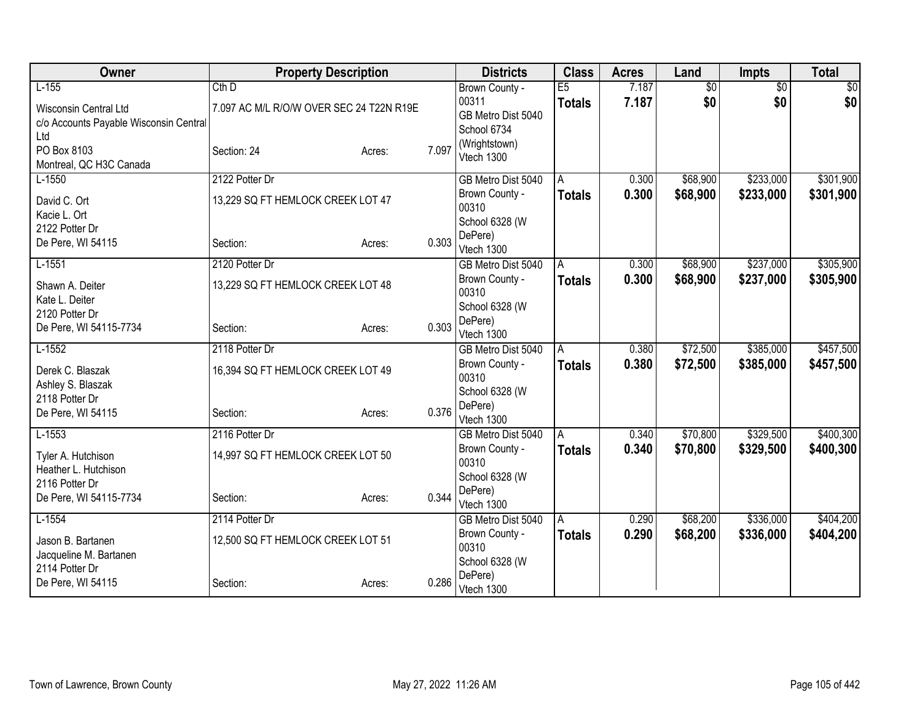| Owner                                  | <b>Property Description</b>              |                 | <b>Districts</b>                     | <b>Class</b>       | <b>Acres</b> | Land            | <b>Impts</b>    | <b>Total</b> |
|----------------------------------------|------------------------------------------|-----------------|--------------------------------------|--------------------|--------------|-----------------|-----------------|--------------|
| $L-155$                                | $Cth$ $D$                                |                 | Brown County -                       | E5                 | 7.187        | $\overline{50}$ | $\overline{50}$ | \$0          |
| <b>Wisconsin Central Ltd</b>           | 7.097 AC M/L R/O/W OVER SEC 24 T22N R19E |                 | 00311                                | <b>Totals</b>      | 7.187        | \$0             | \$0             | \$0          |
| c/o Accounts Payable Wisconsin Central |                                          |                 | GB Metro Dist 5040<br>School 6734    |                    |              |                 |                 |              |
| Ltd                                    |                                          |                 | (Wrightstown)                        |                    |              |                 |                 |              |
| PO Box 8103                            | Section: 24                              | 7.097<br>Acres: | Vtech 1300                           |                    |              |                 |                 |              |
| Montreal, QC H3C Canada                |                                          |                 |                                      |                    |              |                 |                 |              |
| $L-1550$                               | 2122 Potter Dr                           |                 | GB Metro Dist 5040                   | A                  | 0.300        | \$68,900        | \$233,000       | \$301,900    |
| David C. Ort                           | 13,229 SQ FT HEMLOCK CREEK LOT 47        |                 | Brown County -<br>00310              | <b>Totals</b>      | 0.300        | \$68,900        | \$233,000       | \$301,900    |
| Kacie L. Ort                           |                                          |                 | School 6328 (W                       |                    |              |                 |                 |              |
| 2122 Potter Dr                         |                                          |                 | DePere)                              |                    |              |                 |                 |              |
| De Pere, WI 54115                      | Section:                                 | 0.303<br>Acres: | Vtech 1300                           |                    |              |                 |                 |              |
| $L-1551$                               | 2120 Potter Dr                           |                 | GB Metro Dist 5040                   | A                  | 0.300        | \$68,900        | \$237,000       | \$305,900    |
| Shawn A. Deiter                        | 13,229 SQ FT HEMLOCK CREEK LOT 48        |                 | Brown County -                       | <b>Totals</b>      | 0.300        | \$68,900        | \$237,000       | \$305,900    |
| Kate L. Deiter                         |                                          |                 | 00310                                |                    |              |                 |                 |              |
| 2120 Potter Dr                         |                                          |                 | School 6328 (W                       |                    |              |                 |                 |              |
| De Pere, WI 54115-7734                 | Section:                                 | 0.303<br>Acres: | DePere)                              |                    |              |                 |                 |              |
|                                        | 2118 Potter Dr                           |                 | Vtech 1300                           |                    |              |                 |                 |              |
| $L-1552$                               |                                          |                 | GB Metro Dist 5040<br>Brown County - | A                  | 0.380        | \$72,500        | \$385,000       | \$457,500    |
| Derek C. Blaszak                       | 16,394 SQ FT HEMLOCK CREEK LOT 49        |                 | 00310                                | <b>Totals</b>      | 0.380        | \$72,500        | \$385,000       | \$457,500    |
| Ashley S. Blaszak                      |                                          |                 | School 6328 (W                       |                    |              |                 |                 |              |
| 2118 Potter Dr                         |                                          |                 | DePere)                              |                    |              |                 |                 |              |
| De Pere, WI 54115                      | Section:                                 | 0.376<br>Acres: | Vtech 1300                           |                    |              |                 |                 |              |
| $L-1553$                               | 2116 Potter Dr                           |                 | GB Metro Dist 5040                   | A                  | 0.340        | \$70,800        | \$329,500       | \$400,300    |
| Tyler A. Hutchison                     | 14,997 SQ FT HEMLOCK CREEK LOT 50        |                 | Brown County -                       | <b>Totals</b>      | 0.340        | \$70,800        | \$329,500       | \$400,300    |
| Heather L. Hutchison                   |                                          |                 | 00310                                |                    |              |                 |                 |              |
| 2116 Potter Dr                         |                                          |                 | School 6328 (W                       |                    |              |                 |                 |              |
| De Pere, WI 54115-7734                 | Section:                                 | 0.344<br>Acres: | DePere)                              |                    |              |                 |                 |              |
| $L-1554$                               | 2114 Potter Dr                           |                 | Vtech 1300                           |                    | 0.290        | \$68,200        | \$336,000       | \$404,200    |
|                                        |                                          |                 | GB Metro Dist 5040<br>Brown County - | A<br><b>Totals</b> | 0.290        | \$68,200        | \$336,000       | \$404,200    |
| Jason B. Bartanen                      | 12,500 SQ FT HEMLOCK CREEK LOT 51        |                 | 00310                                |                    |              |                 |                 |              |
| Jacqueline M. Bartanen                 |                                          |                 | School 6328 (W                       |                    |              |                 |                 |              |
| 2114 Potter Dr                         |                                          |                 | DePere)                              |                    |              |                 |                 |              |
| De Pere, WI 54115                      | Section:                                 | 0.286<br>Acres: | Vtech 1300                           |                    |              |                 |                 |              |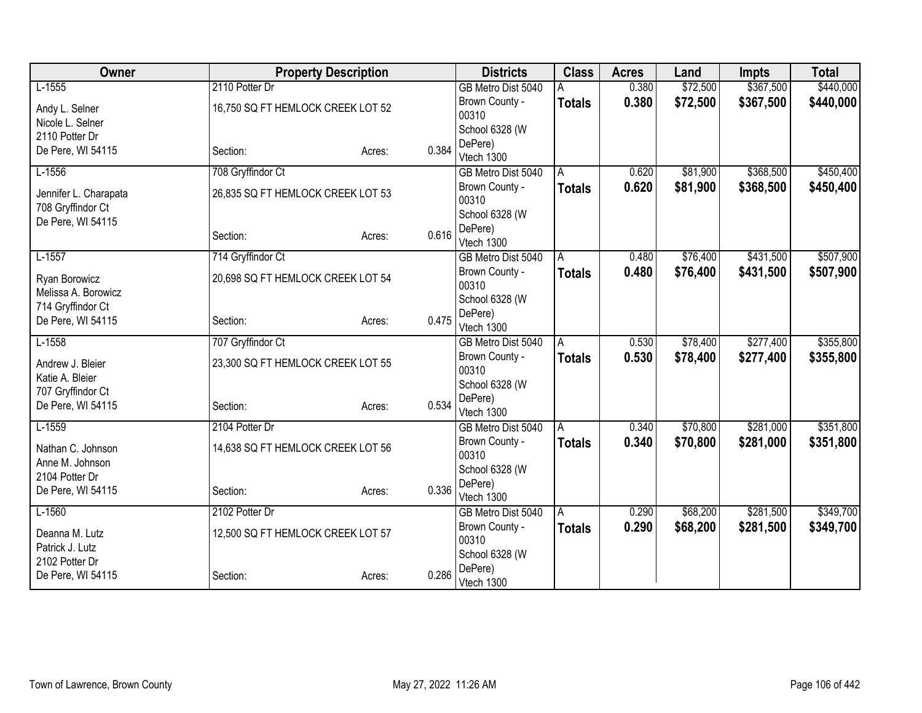| Owner                                      |                                   | <b>Property Description</b> |       | <b>Districts</b>        | <b>Class</b>  | <b>Acres</b> | Land     | <b>Impts</b> | <b>Total</b> |
|--------------------------------------------|-----------------------------------|-----------------------------|-------|-------------------------|---------------|--------------|----------|--------------|--------------|
| $L-1555$                                   | 2110 Potter Dr                    |                             |       | GB Metro Dist 5040      |               | 0.380        | \$72,500 | \$367,500    | \$440,000    |
| Andy L. Selner                             | 16,750 SQ FT HEMLOCK CREEK LOT 52 |                             |       | Brown County -          | <b>Totals</b> | 0.380        | \$72,500 | \$367,500    | \$440,000    |
| Nicole L. Selner                           |                                   |                             |       | 00310                   |               |              |          |              |              |
| 2110 Potter Dr                             |                                   |                             |       | School 6328 (W          |               |              |          |              |              |
| De Pere, WI 54115                          | Section:                          | Acres:                      | 0.384 | DePere)                 |               |              |          |              |              |
|                                            |                                   |                             |       | Vtech 1300              |               |              |          |              |              |
| $L-1556$                                   | 708 Gryffindor Ct                 |                             |       | GB Metro Dist 5040      | A             | 0.620        | \$81,900 | \$368,500    | \$450,400    |
| Jennifer L. Charapata<br>708 Gryffindor Ct | 26,835 SQ FT HEMLOCK CREEK LOT 53 |                             |       | Brown County -<br>00310 | <b>Totals</b> | 0.620        | \$81,900 | \$368,500    | \$450,400    |
| De Pere, WI 54115                          |                                   |                             |       | School 6328 (W          |               |              |          |              |              |
|                                            | Section:                          | Acres:                      | 0.616 | DePere)<br>Vtech 1300   |               |              |          |              |              |
| $L-1557$                                   | 714 Gryffindor Ct                 |                             |       | GB Metro Dist 5040      | A             | 0.480        | \$76,400 | \$431,500    | \$507,900    |
| Ryan Borowicz                              | 20,698 SQ FT HEMLOCK CREEK LOT 54 |                             |       | Brown County -<br>00310 | <b>Totals</b> | 0.480        | \$76,400 | \$431,500    | \$507,900    |
| Melissa A. Borowicz                        |                                   |                             |       | School 6328 (W          |               |              |          |              |              |
| 714 Gryffindor Ct<br>De Pere, WI 54115     | Section:                          |                             | 0.475 | DePere)                 |               |              |          |              |              |
|                                            |                                   | Acres:                      |       | Vtech 1300              |               |              |          |              |              |
| $L-1558$                                   | 707 Gryffindor Ct                 |                             |       | GB Metro Dist 5040      | A             | 0.530        | \$78,400 | \$277,400    | \$355,800    |
| Andrew J. Bleier                           | 23,300 SQ FT HEMLOCK CREEK LOT 55 |                             |       | Brown County -<br>00310 | <b>Totals</b> | 0.530        | \$78,400 | \$277,400    | \$355,800    |
| Katie A. Bleier                            |                                   |                             |       | School 6328 (W          |               |              |          |              |              |
| 707 Gryffindor Ct                          |                                   |                             | 0.534 | DePere)                 |               |              |          |              |              |
| De Pere, WI 54115                          | Section:                          | Acres:                      |       | Vtech 1300              |               |              |          |              |              |
| $L-1559$                                   | 2104 Potter Dr                    |                             |       | GB Metro Dist 5040      | A             | 0.340        | \$70,800 | \$281,000    | \$351,800    |
| Nathan C. Johnson<br>Anne M. Johnson       | 14,638 SQ FT HEMLOCK CREEK LOT 56 |                             |       | Brown County -<br>00310 | <b>Totals</b> | 0.340        | \$70,800 | \$281,000    | \$351,800    |
| 2104 Potter Dr                             |                                   |                             |       | School 6328 (W          |               |              |          |              |              |
| De Pere, WI 54115                          | Section:                          | Acres:                      | 0.336 | DePere)                 |               |              |          |              |              |
|                                            |                                   |                             |       | Vtech 1300              |               |              |          |              |              |
| $L-1560$                                   | 2102 Potter Dr                    |                             |       | GB Metro Dist 5040      | A             | 0.290        | \$68,200 | \$281,500    | \$349,700    |
| Deanna M. Lutz                             | 12,500 SQ FT HEMLOCK CREEK LOT 57 |                             |       | Brown County -<br>00310 | <b>Totals</b> | 0.290        | \$68,200 | \$281,500    | \$349,700    |
| Patrick J. Lutz                            |                                   |                             |       | School 6328 (W          |               |              |          |              |              |
| 2102 Potter Dr<br>De Pere, WI 54115        | Section:                          | Acres:                      | 0.286 | DePere)<br>Vtech 1300   |               |              |          |              |              |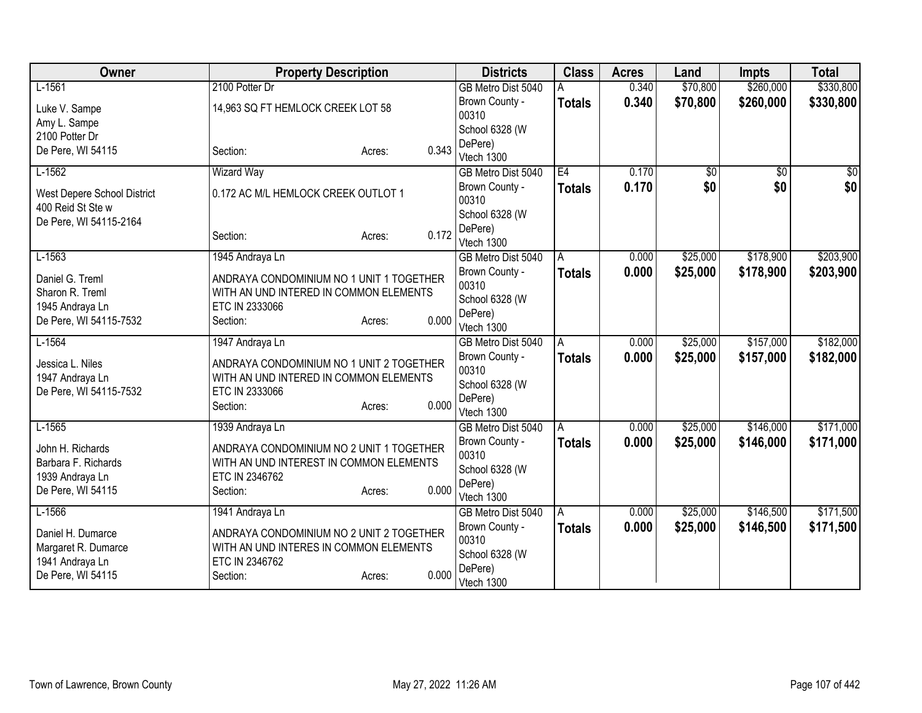| Owner                       | <b>Property Description</b>              | <b>Districts</b>      | <b>Class</b>  | <b>Acres</b> | Land            | <b>Impts</b>    | <b>Total</b>    |
|-----------------------------|------------------------------------------|-----------------------|---------------|--------------|-----------------|-----------------|-----------------|
| $L-1561$                    | 2100 Potter Dr                           | GB Metro Dist 5040    |               | 0.340        | \$70,800        | \$260,000       | \$330,800       |
| Luke V. Sampe               | 14,963 SQ FT HEMLOCK CREEK LOT 58        | Brown County -        | <b>Totals</b> | 0.340        | \$70,800        | \$260,000       | \$330,800       |
| Amy L. Sampe                |                                          | 00310                 |               |              |                 |                 |                 |
| 2100 Potter Dr              |                                          | School 6328 (W        |               |              |                 |                 |                 |
| De Pere, WI 54115           | 0.343<br>Section:<br>Acres:              | DePere)<br>Vtech 1300 |               |              |                 |                 |                 |
| $L-1562$                    | <b>Wizard Way</b>                        | GB Metro Dist 5040    | E4            | 0.170        | $\overline{50}$ | $\overline{50}$ | $\overline{50}$ |
|                             |                                          | Brown County -        | <b>Totals</b> | 0.170        | \$0             | \$0             | \$0             |
| West Depere School District | 0.172 AC M/L HEMLOCK CREEK OUTLOT 1      | 00310                 |               |              |                 |                 |                 |
| 400 Reid St Ste w           |                                          | School 6328 (W        |               |              |                 |                 |                 |
| De Pere, WI 54115-2164      |                                          | DePere)               |               |              |                 |                 |                 |
|                             | 0.172<br>Section:<br>Acres:              | Vtech 1300            |               |              |                 |                 |                 |
| $L-1563$                    | 1945 Andraya Ln                          | GB Metro Dist 5040    | A             | 0.000        | \$25,000        | \$178,900       | \$203,900       |
| Daniel G. Treml             | ANDRAYA CONDOMINIUM NO 1 UNIT 1 TOGETHER | Brown County -        | <b>Totals</b> | 0.000        | \$25,000        | \$178,900       | \$203,900       |
| Sharon R. Treml             | WITH AN UND INTERED IN COMMON ELEMENTS   | 00310                 |               |              |                 |                 |                 |
| 1945 Andraya Ln             | ETC IN 2333066                           | School 6328 (W        |               |              |                 |                 |                 |
| De Pere, WI 54115-7532      | 0.000<br>Section:<br>Acres:              | DePere)<br>Vtech 1300 |               |              |                 |                 |                 |
| $L-1564$                    | 1947 Andraya Ln                          | GB Metro Dist 5040    | A             | 0.000        | \$25,000        | \$157,000       | \$182,000       |
|                             |                                          | Brown County -        | <b>Totals</b> | 0.000        | \$25,000        | \$157,000       | \$182,000       |
| Jessica L. Niles            | ANDRAYA CONDOMINIUM NO 1 UNIT 2 TOGETHER | 00310                 |               |              |                 |                 |                 |
| 1947 Andraya Ln             | WITH AN UND INTERED IN COMMON ELEMENTS   | School 6328 (W        |               |              |                 |                 |                 |
| De Pere, WI 54115-7532      | ETC IN 2333066<br>0.000                  | DePere)               |               |              |                 |                 |                 |
|                             | Section:<br>Acres:                       | Vtech 1300            |               |              |                 |                 |                 |
| $L-1565$                    | 1939 Andraya Ln                          | GB Metro Dist 5040    | A             | 0.000        | \$25,000        | \$146,000       | \$171,000       |
| John H. Richards            | ANDRAYA CONDOMINIUM NO 2 UNIT 1 TOGETHER | Brown County -        | <b>Totals</b> | 0.000        | \$25,000        | \$146,000       | \$171,000       |
| Barbara F. Richards         | WITH AN UND INTEREST IN COMMON ELEMENTS  | 00310                 |               |              |                 |                 |                 |
| 1939 Andraya Ln             | ETC IN 2346762                           | School 6328 (W        |               |              |                 |                 |                 |
| De Pere, WI 54115           | 0.000<br>Section:<br>Acres:              | DePere)<br>Vtech 1300 |               |              |                 |                 |                 |
| $L-1566$                    | 1941 Andraya Ln                          | GB Metro Dist 5040    | A             | 0.000        | \$25,000        | \$146,500       | \$171,500       |
|                             |                                          | Brown County -        | <b>Totals</b> | 0.000        | \$25,000        | \$146,500       | \$171,500       |
| Daniel H. Dumarce           | ANDRAYA CONDOMINIUM NO 2 UNIT 2 TOGETHER | 00310                 |               |              |                 |                 |                 |
| Margaret R. Dumarce         | WITH AN UND INTERES IN COMMON ELEMENTS   | School 6328 (W        |               |              |                 |                 |                 |
| 1941 Andraya Ln             | ETC IN 2346762<br>0.000                  | DePere)               |               |              |                 |                 |                 |
| De Pere, WI 54115           | Section:<br>Acres:                       | Vtech 1300            |               |              |                 |                 |                 |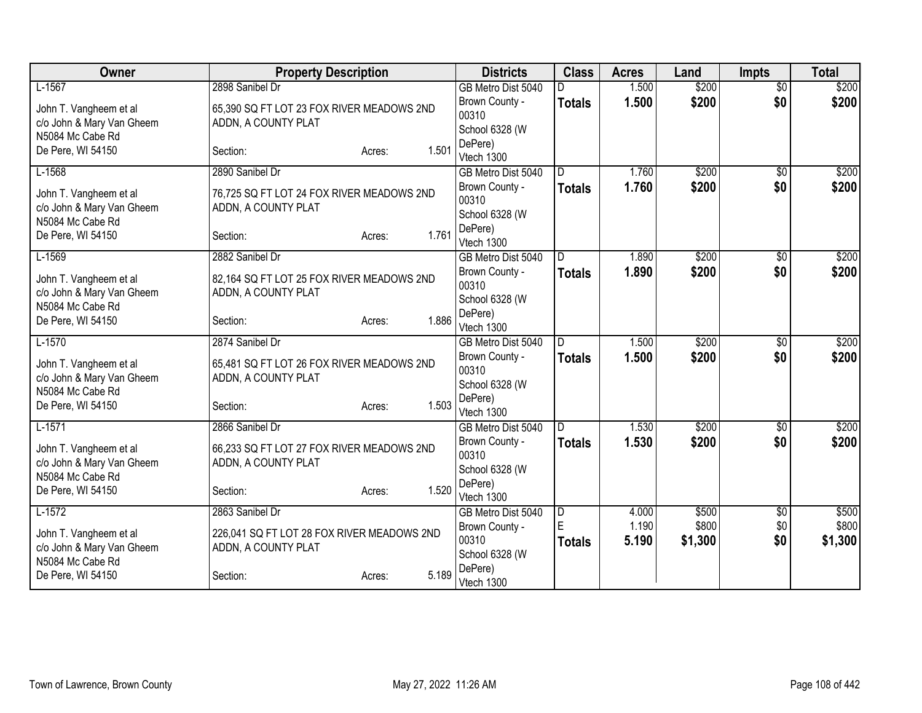| Owner                     | <b>Property Description</b>                |                 | <b>Districts</b>        | <b>Class</b>  | <b>Acres</b>   | Land           | <b>Impts</b>           | <b>Total</b>   |
|---------------------------|--------------------------------------------|-----------------|-------------------------|---------------|----------------|----------------|------------------------|----------------|
| $L-1567$                  | 2898 Sanibel Dr                            |                 | GB Metro Dist 5040      |               | 1.500          | \$200          | $\overline{50}$        | \$200          |
| John T. Vangheem et al    | 65,390 SQ FT LOT 23 FOX RIVER MEADOWS 2ND  |                 | Brown County -          | <b>Totals</b> | 1.500          | \$200          | \$0                    | \$200          |
| c/o John & Mary Van Gheem | ADDN, A COUNTY PLAT                        |                 | 00310                   |               |                |                |                        |                |
| N5084 Mc Cabe Rd          |                                            |                 | School 6328 (W          |               |                |                |                        |                |
| De Pere, WI 54150         | Section:                                   | 1.501<br>Acres: | DePere)<br>Vtech 1300   |               |                |                |                        |                |
| $L-1568$                  | 2890 Sanibel Dr                            |                 | GB Metro Dist 5040      | D.            | 1.760          | \$200          | $\overline{50}$        | \$200          |
|                           |                                            |                 | Brown County -          | <b>Totals</b> | 1.760          | \$200          | \$0                    | \$200          |
| John T. Vangheem et al    | 76,725 SQ FT LOT 24 FOX RIVER MEADOWS 2ND  |                 | 00310                   |               |                |                |                        |                |
| c/o John & Mary Van Gheem | ADDN, A COUNTY PLAT                        |                 | School 6328 (W          |               |                |                |                        |                |
| N5084 Mc Cabe Rd          |                                            |                 | DePere)                 |               |                |                |                        |                |
| De Pere, WI 54150         | Section:                                   | 1.761<br>Acres: | Vtech 1300              |               |                |                |                        |                |
| $L-1569$                  | 2882 Sanibel Dr                            |                 | GB Metro Dist 5040      | D.            | 1.890          | \$200          | \$0                    | \$200          |
| John T. Vangheem et al    | 82,164 SQ FT LOT 25 FOX RIVER MEADOWS 2ND  |                 | Brown County -          | <b>Totals</b> | 1.890          | \$200          | \$0                    | \$200          |
| c/o John & Mary Van Gheem | ADDN, A COUNTY PLAT                        |                 | 00310                   |               |                |                |                        |                |
| N5084 Mc Cabe Rd          |                                            |                 | School 6328 (W          |               |                |                |                        |                |
| De Pere, WI 54150         | Section:                                   | 1.886<br>Acres: | DePere)                 |               |                |                |                        |                |
|                           | 2874 Sanibel Dr                            |                 | Vtech 1300              | D             |                | \$200          |                        |                |
| $L-1570$                  |                                            |                 | GB Metro Dist 5040      |               | 1.500<br>1.500 | \$200          | $\overline{50}$<br>\$0 | \$200<br>\$200 |
| John T. Vangheem et al    | 65,481 SQ FT LOT 26 FOX RIVER MEADOWS 2ND  |                 | Brown County -<br>00310 | <b>Totals</b> |                |                |                        |                |
| c/o John & Mary Van Gheem | ADDN, A COUNTY PLAT                        |                 | School 6328 (W          |               |                |                |                        |                |
| N5084 Mc Cabe Rd          |                                            |                 | DePere)                 |               |                |                |                        |                |
| De Pere, WI 54150         | Section:                                   | 1.503<br>Acres: | Vtech 1300              |               |                |                |                        |                |
| $L-1571$                  | 2866 Sanibel Dr                            |                 | GB Metro Dist 5040      | D             | 1.530          | \$200          | \$0                    | \$200          |
| John T. Vangheem et al    | 66,233 SQ FT LOT 27 FOX RIVER MEADOWS 2ND  |                 | Brown County -          | <b>Totals</b> | 1.530          | \$200          | \$0                    | \$200          |
| c/o John & Mary Van Gheem | ADDN, A COUNTY PLAT                        |                 | 00310                   |               |                |                |                        |                |
| N5084 Mc Cabe Rd          |                                            |                 | School 6328 (W          |               |                |                |                        |                |
| De Pere, WI 54150         | Section:                                   | 1.520<br>Acres: | DePere)                 |               |                |                |                        |                |
|                           |                                            |                 | Vtech 1300              |               |                |                |                        |                |
| $L-1572$                  | 2863 Sanibel Dr                            |                 | GB Metro Dist 5040      | D<br>E        | 4.000<br>1.190 | \$500<br>\$800 | \$0<br>\$0             | \$500<br>\$800 |
| John T. Vangheem et al    | 226,041 SQ FT LOT 28 FOX RIVER MEADOWS 2ND |                 | Brown County -<br>00310 |               | 5.190          | \$1,300        | \$0                    | \$1,300        |
| c/o John & Mary Van Gheem | ADDN, A COUNTY PLAT                        |                 | School 6328 (W          | <b>Totals</b> |                |                |                        |                |
| N5084 Mc Cabe Rd          |                                            |                 | DePere)                 |               |                |                |                        |                |
| De Pere, WI 54150         | Section:                                   | 5.189<br>Acres: | Vtech 1300              |               |                |                |                        |                |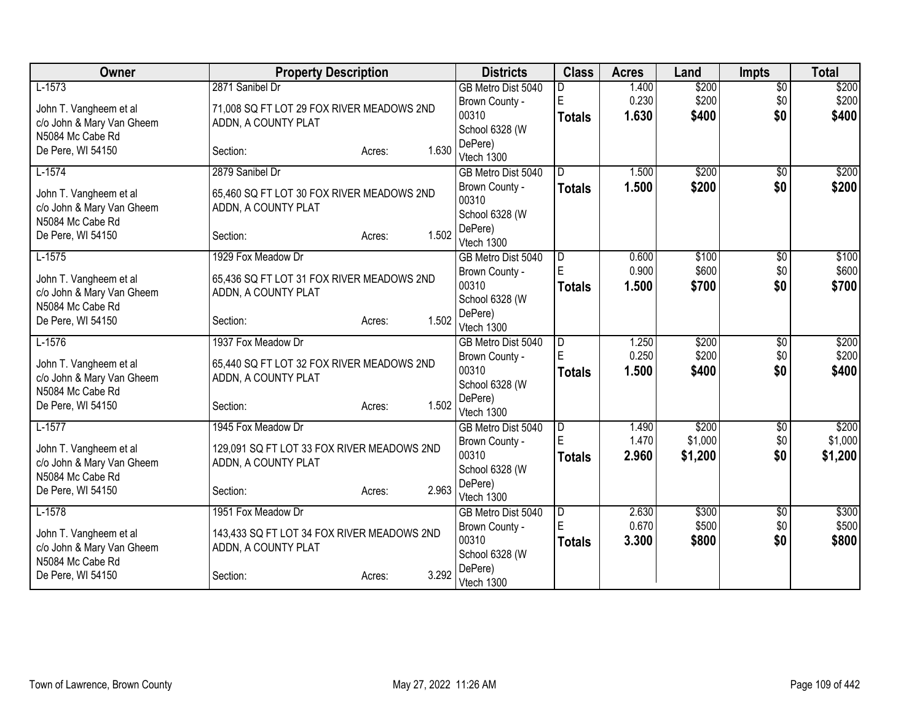| Owner                                         | <b>Property Description</b>                |                 | <b>Districts</b>        | <b>Class</b>            | <b>Acres</b> | Land    | <b>Impts</b>    | <b>Total</b> |
|-----------------------------------------------|--------------------------------------------|-----------------|-------------------------|-------------------------|--------------|---------|-----------------|--------------|
| $L-1573$                                      | 2871 Sanibel Dr                            |                 | GB Metro Dist 5040      |                         | 1.400        | \$200   | $\overline{50}$ | \$200        |
| John T. Vangheem et al                        | 71,008 SQ FT LOT 29 FOX RIVER MEADOWS 2ND  |                 | Brown County -          | E                       | 0.230        | \$200   | \$0             | \$200        |
| c/o John & Mary Van Gheem                     | ADDN, A COUNTY PLAT                        |                 | 00310                   | <b>Totals</b>           | 1.630        | \$400   | \$0             | \$400        |
| N5084 Mc Cabe Rd                              |                                            |                 | School 6328 (W          |                         |              |         |                 |              |
| De Pere, WI 54150                             | Section:                                   | 1.630<br>Acres: | DePere)                 |                         |              |         |                 |              |
|                                               |                                            |                 | Vtech 1300              |                         |              |         |                 |              |
| $L-1574$                                      | 2879 Sanibel Dr                            |                 | GB Metro Dist 5040      | D.                      | 1.500        | \$200   | $\overline{50}$ | \$200        |
| John T. Vangheem et al                        | 65,460 SQ FT LOT 30 FOX RIVER MEADOWS 2ND  |                 | Brown County -<br>00310 | <b>Totals</b>           | 1.500        | \$200   | \$0             | \$200        |
| c/o John & Mary Van Gheem                     | ADDN, A COUNTY PLAT                        |                 | School 6328 (W          |                         |              |         |                 |              |
| N5084 Mc Cabe Rd                              |                                            |                 | DePere)                 |                         |              |         |                 |              |
| De Pere, WI 54150                             | Section:                                   | 1.502<br>Acres: | Vtech 1300              |                         |              |         |                 |              |
| $L-1575$                                      | 1929 Fox Meadow Dr                         |                 | GB Metro Dist 5040      | D                       | 0.600        | \$100   | \$0             | \$100        |
|                                               |                                            |                 | Brown County -          | E                       | 0.900        | \$600   | \$0             | \$600        |
| John T. Vangheem et al                        | 65,436 SQ FT LOT 31 FOX RIVER MEADOWS 2ND  |                 | 00310                   | <b>Totals</b>           | 1.500        | \$700   | \$0             | \$700        |
| c/o John & Mary Van Gheem<br>N5084 Mc Cabe Rd | ADDN, A COUNTY PLAT                        |                 | School 6328 (W          |                         |              |         |                 |              |
| De Pere, WI 54150                             | Section:                                   | 1.502<br>Acres: | DePere)                 |                         |              |         |                 |              |
|                                               |                                            |                 | Vtech 1300              |                         |              |         |                 |              |
| $L-1576$                                      | 1937 Fox Meadow Dr                         |                 | GB Metro Dist 5040      | $\overline{\mathsf{D}}$ | 1.250        | \$200   | $\overline{50}$ | \$200        |
| John T. Vangheem et al                        | 65,440 SQ FT LOT 32 FOX RIVER MEADOWS 2ND  |                 | Brown County -          | E                       | 0.250        | \$200   | \$0             | \$200        |
| c/o John & Mary Van Gheem                     | ADDN, A COUNTY PLAT                        |                 | 00310                   | <b>Totals</b>           | 1.500        | \$400   | \$0             | \$400        |
| N5084 Mc Cabe Rd                              |                                            |                 | School 6328 (W          |                         |              |         |                 |              |
| De Pere, WI 54150                             | Section:                                   | 1.502<br>Acres: | DePere)<br>Vtech 1300   |                         |              |         |                 |              |
| $L-1577$                                      | 1945 Fox Meadow Dr                         |                 | GB Metro Dist 5040      |                         | 1.490        | \$200   | $\sqrt{6}$      | \$200        |
|                                               |                                            |                 | Brown County -          | $\overline{D}$<br>E     | 1.470        | \$1,000 | \$0             | \$1,000      |
| John T. Vangheem et al                        | 129,091 SQ FT LOT 33 FOX RIVER MEADOWS 2ND |                 | 00310                   | <b>Totals</b>           | 2.960        | \$1,200 | \$0             | \$1,200      |
| c/o John & Mary Van Gheem                     | ADDN, A COUNTY PLAT                        |                 | School 6328 (W          |                         |              |         |                 |              |
| N5084 Mc Cabe Rd                              |                                            |                 | DePere)                 |                         |              |         |                 |              |
| De Pere, WI 54150                             | Section:                                   | 2.963<br>Acres: | Vtech 1300              |                         |              |         |                 |              |
| $L-1578$                                      | 1951 Fox Meadow Dr                         |                 | GB Metro Dist 5040      | D                       | 2.630        | \$300   | \$0             | \$300        |
| John T. Vangheem et al                        | 143,433 SQ FT LOT 34 FOX RIVER MEADOWS 2ND |                 | Brown County -          | E                       | 0.670        | \$500   | \$0             | \$500        |
| c/o John & Mary Van Gheem                     | ADDN, A COUNTY PLAT                        |                 | 00310                   | <b>Totals</b>           | 3.300        | \$800   | \$0             | \$800        |
| N5084 Mc Cabe Rd                              |                                            |                 | School 6328 (W          |                         |              |         |                 |              |
| De Pere, WI 54150                             | Section:                                   | 3.292<br>Acres: | DePere)                 |                         |              |         |                 |              |
|                                               |                                            |                 | Vtech 1300              |                         |              |         |                 |              |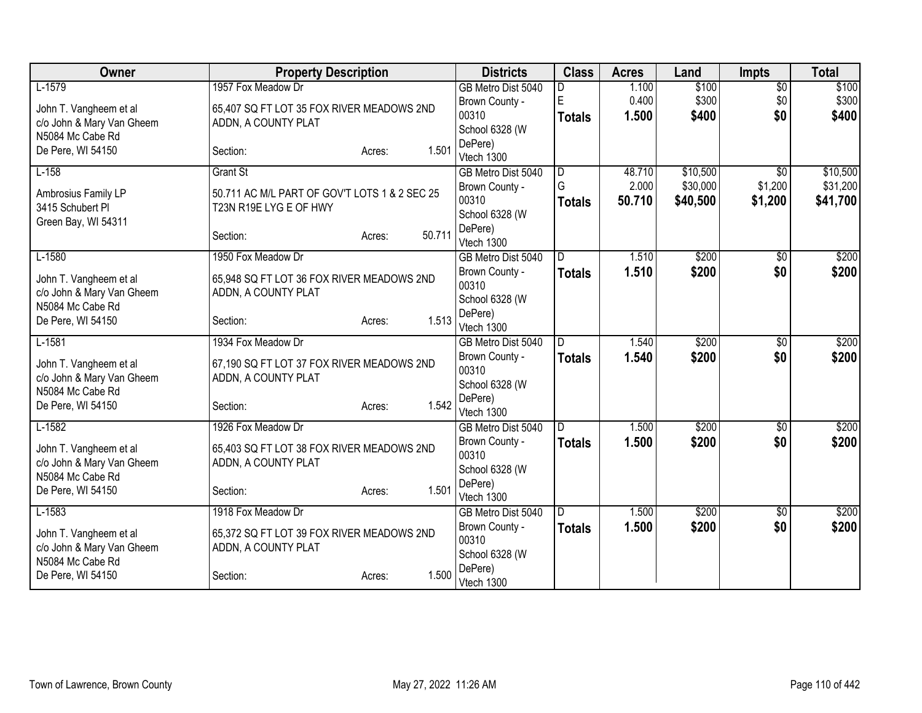| Owner                     | <b>Property Description</b>                   |                  | <b>Districts</b>        | <b>Class</b>            | <b>Acres</b> | Land     | <b>Impts</b>           | <b>Total</b> |
|---------------------------|-----------------------------------------------|------------------|-------------------------|-------------------------|--------------|----------|------------------------|--------------|
| $L-1579$                  | 1957 Fox Meadow Dr                            |                  | GB Metro Dist 5040      | D                       | 1.100        | \$100    | $\overline{50}$        | \$100        |
| John T. Vangheem et al    | 65,407 SQ FT LOT 35 FOX RIVER MEADOWS 2ND     |                  | Brown County -          | E                       | 0.400        | \$300    | \$0                    | \$300        |
| c/o John & Mary Van Gheem | ADDN, A COUNTY PLAT                           |                  | 00310                   | <b>Totals</b>           | 1.500        | \$400    | \$0                    | \$400        |
| N5084 Mc Cabe Rd          |                                               |                  | School 6328 (W          |                         |              |          |                        |              |
| De Pere, WI 54150         | Section:                                      | 1.501<br>Acres:  | DePere)<br>Vtech 1300   |                         |              |          |                        |              |
| $L-158$                   | <b>Grant St</b>                               |                  | GB Metro Dist 5040      | D                       | 48.710       | \$10,500 | $\overline{50}$        | \$10,500     |
|                           |                                               |                  | Brown County -          | G                       | 2.000        | \$30,000 | \$1,200                | \$31,200     |
| Ambrosius Family LP       | 50.711 AC M/L PART OF GOV'T LOTS 1 & 2 SEC 25 |                  | 00310                   | <b>Totals</b>           | 50.710       | \$40,500 | \$1,200                | \$41,700     |
| 3415 Schubert Pl          | T23N R19E LYG E OF HWY                        |                  | School 6328 (W          |                         |              |          |                        |              |
| Green Bay, WI 54311       |                                               |                  | DePere)                 |                         |              |          |                        |              |
|                           | Section:                                      | 50.711<br>Acres: | Vtech 1300              |                         |              |          |                        |              |
| $L-1580$                  | 1950 Fox Meadow Dr                            |                  | GB Metro Dist 5040      | D                       | 1.510        | \$200    | \$0                    | \$200        |
| John T. Vangheem et al    | 65,948 SQ FT LOT 36 FOX RIVER MEADOWS 2ND     |                  | Brown County -          | <b>Totals</b>           | 1.510        | \$200    | \$0                    | \$200        |
| c/o John & Mary Van Gheem | ADDN, A COUNTY PLAT                           |                  | 00310                   |                         |              |          |                        |              |
| N5084 Mc Cabe Rd          |                                               |                  | School 6328 (W          |                         |              |          |                        |              |
| De Pere, WI 54150         | Section:                                      | 1.513<br>Acres:  | DePere)                 |                         |              |          |                        |              |
|                           |                                               |                  | Vtech 1300              |                         |              |          |                        |              |
| $L-1581$                  | 1934 Fox Meadow Dr                            |                  | GB Metro Dist 5040      | D                       | 1.540        | \$200    | $\overline{50}$<br>\$0 | \$200        |
| John T. Vangheem et al    | 67,190 SQ FT LOT 37 FOX RIVER MEADOWS 2ND     |                  | Brown County -<br>00310 | <b>Totals</b>           | 1.540        | \$200    |                        | \$200        |
| c/o John & Mary Van Gheem | ADDN, A COUNTY PLAT                           |                  | School 6328 (W          |                         |              |          |                        |              |
| N5084 Mc Cabe Rd          |                                               |                  | DePere)                 |                         |              |          |                        |              |
| De Pere, WI 54150         | Section:                                      | 1.542<br>Acres:  | Vtech 1300              |                         |              |          |                        |              |
| $L-1582$                  | 1926 Fox Meadow Dr                            |                  | GB Metro Dist 5040      | $\overline{\mathsf{D}}$ | 1.500        | \$200    | $\overline{50}$        | \$200        |
| John T. Vangheem et al    | 65,403 SQ FT LOT 38 FOX RIVER MEADOWS 2ND     |                  | Brown County -          | <b>Totals</b>           | 1.500        | \$200    | \$0                    | \$200        |
| c/o John & Mary Van Gheem | ADDN, A COUNTY PLAT                           |                  | 00310                   |                         |              |          |                        |              |
| N5084 Mc Cabe Rd          |                                               |                  | School 6328 (W          |                         |              |          |                        |              |
| De Pere, WI 54150         | Section:                                      | 1.501<br>Acres:  | DePere)                 |                         |              |          |                        |              |
|                           |                                               |                  | Vtech 1300              |                         |              |          |                        |              |
| $L-1583$                  | 1918 Fox Meadow Dr                            |                  | GB Metro Dist 5040      | D                       | 1.500        | \$200    | \$0                    | \$200        |
| John T. Vangheem et al    | 65,372 SQ FT LOT 39 FOX RIVER MEADOWS 2ND     |                  | Brown County -<br>00310 | <b>Totals</b>           | 1.500        | \$200    | \$0                    | \$200        |
| c/o John & Mary Van Gheem | ADDN, A COUNTY PLAT                           |                  | School 6328 (W          |                         |              |          |                        |              |
| N5084 Mc Cabe Rd          |                                               |                  | DePere)                 |                         |              |          |                        |              |
| De Pere, WI 54150         | Section:                                      | 1.500<br>Acres:  | Vtech 1300              |                         |              |          |                        |              |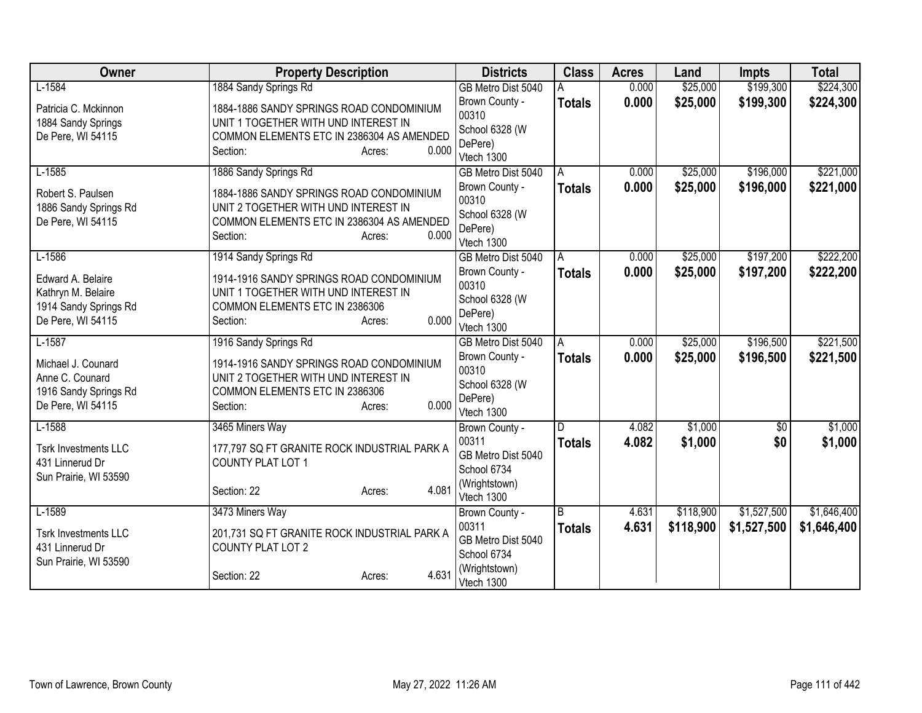| Owner                                                                                 | <b>Property Description</b>                                                                                                                                  | <b>Districts</b>                                                   | <b>Class</b>  | <b>Acres</b> | Land      | <b>Impts</b>    | <b>Total</b> |
|---------------------------------------------------------------------------------------|--------------------------------------------------------------------------------------------------------------------------------------------------------------|--------------------------------------------------------------------|---------------|--------------|-----------|-----------------|--------------|
| $L-1584$                                                                              | 1884 Sandy Springs Rd                                                                                                                                        | GB Metro Dist 5040                                                 |               | 0.000        | \$25,000  | \$199,300       | \$224,300    |
| Patricia C. Mckinnon<br>1884 Sandy Springs<br>De Pere, WI 54115                       | 1884-1886 SANDY SPRINGS ROAD CONDOMINIUM<br>UNIT 1 TOGETHER WITH UND INTEREST IN<br>COMMON ELEMENTS ETC IN 2386304 AS AMENDED<br>Section:<br>0.000<br>Acres: | Brown County -<br>00310<br>School 6328 (W<br>DePere)<br>Vtech 1300 | <b>Totals</b> | 0.000        | \$25,000  | \$199,300       | \$224,300    |
| $L-1585$                                                                              | 1886 Sandy Springs Rd                                                                                                                                        | GB Metro Dist 5040                                                 | A             | 0.000        | \$25,000  | \$196,000       | \$221,000    |
| Robert S. Paulsen<br>1886 Sandy Springs Rd<br>De Pere, WI 54115                       | 1884-1886 SANDY SPRINGS ROAD CONDOMINIUM<br>UNIT 2 TOGETHER WITH UND INTEREST IN<br>COMMON ELEMENTS ETC IN 2386304 AS AMENDED<br>Section:<br>0.000<br>Acres: | Brown County -<br>00310<br>School 6328 (W<br>DePere)<br>Vtech 1300 | <b>Totals</b> | 0.000        | \$25,000  | \$196,000       | \$221,000    |
| $L-1586$                                                                              | 1914 Sandy Springs Rd                                                                                                                                        | GB Metro Dist 5040                                                 | A             | 0.000        | \$25,000  | \$197,200       | \$222,200    |
| Edward A. Belaire<br>Kathryn M. Belaire<br>1914 Sandy Springs Rd<br>De Pere, WI 54115 | 1914-1916 SANDY SPRINGS ROAD CONDOMINIUM<br>UNIT 1 TOGETHER WITH UND INTEREST IN<br>COMMON ELEMENTS ETC IN 2386306<br>0.000<br>Section:<br>Acres:            | Brown County -<br>00310<br>School 6328 (W<br>DePere)<br>Vtech 1300 | <b>Totals</b> | 0.000        | \$25,000  | \$197,200       | \$222,200    |
| $L-1587$                                                                              | 1916 Sandy Springs Rd                                                                                                                                        | GB Metro Dist 5040                                                 | А             | 0.000        | \$25,000  | \$196,500       | \$221,500    |
| Michael J. Counard<br>Anne C. Counard<br>1916 Sandy Springs Rd<br>De Pere, WI 54115   | 1914-1916 SANDY SPRINGS ROAD CONDOMINIUM<br>UNIT 2 TOGETHER WITH UND INTEREST IN<br>COMMON ELEMENTS ETC IN 2386306<br>0.000<br>Section:<br>Acres:            | Brown County -<br>00310<br>School 6328 (W<br>DePere)<br>Vtech 1300 | <b>Totals</b> | 0.000        | \$25,000  | \$196,500       | \$221,500    |
| $L-1588$                                                                              | 3465 Miners Way                                                                                                                                              | Brown County -                                                     | D             | 4.082        | \$1,000   | $\overline{60}$ | \$1,000      |
| <b>Tsrk Investments LLC</b><br>431 Linnerud Dr<br>Sun Prairie, WI 53590               | 177,797 SQ FT GRANITE ROCK INDUSTRIAL PARK A<br>COUNTY PLAT LOT 1                                                                                            | 00311<br>GB Metro Dist 5040<br>School 6734<br>(Wrightstown)        | <b>Totals</b> | 4.082        | \$1,000   | \$0             | \$1,000      |
|                                                                                       | 4.081<br>Section: 22<br>Acres:                                                                                                                               | Vtech 1300                                                         |               |              |           |                 |              |
| $L-1589$                                                                              | 3473 Miners Way                                                                                                                                              | Brown County -                                                     | B             | 4.631        | \$118,900 | \$1,527,500     | \$1,646,400  |
| <b>Tsrk Investments LLC</b><br>431 Linnerud Dr<br>Sun Prairie, WI 53590               | 201,731 SQ FT GRANITE ROCK INDUSTRIAL PARK A<br><b>COUNTY PLAT LOT 2</b>                                                                                     | 00311<br>GB Metro Dist 5040<br>School 6734                         | <b>Totals</b> | 4.631        | \$118,900 | \$1,527,500     | \$1,646,400  |
|                                                                                       | 4.631<br>Section: 22<br>Acres:                                                                                                                               | (Wrightstown)<br>Vtech 1300                                        |               |              |           |                 |              |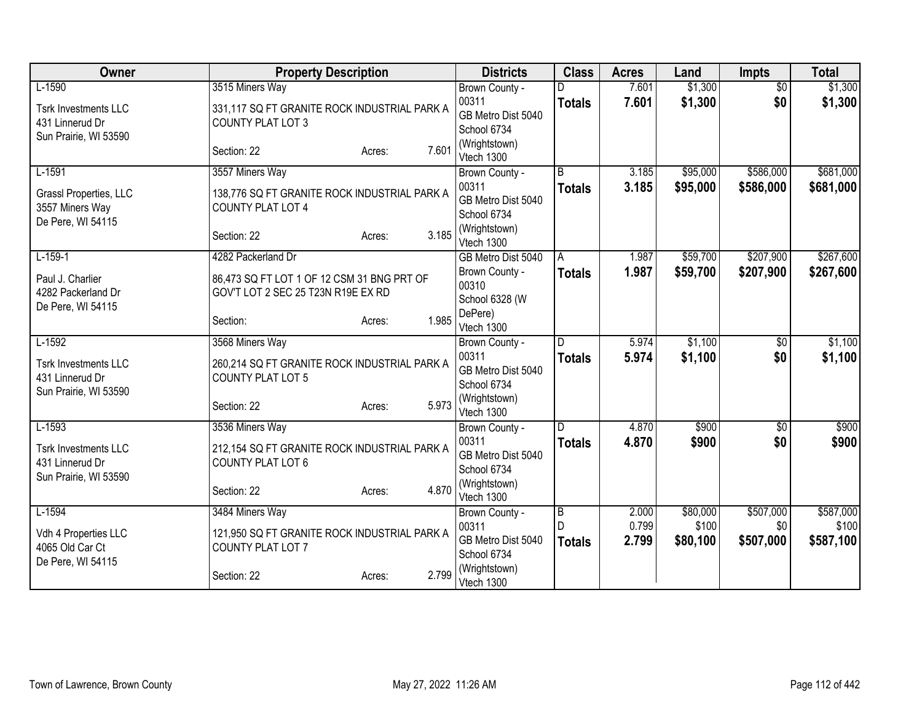| Owner                       | <b>Property Description</b>                  |       | <b>Districts</b>            | <b>Class</b>   | <b>Acres</b> | Land     | <b>Impts</b>    | <b>Total</b> |
|-----------------------------|----------------------------------------------|-------|-----------------------------|----------------|--------------|----------|-----------------|--------------|
| $L-1590$                    | 3515 Miners Way                              |       | Brown County -              |                | 7.601        | \$1,300  | $\overline{50}$ | \$1,300      |
| <b>Tsrk Investments LLC</b> | 331,117 SQ FT GRANITE ROCK INDUSTRIAL PARK A |       | 00311                       | <b>Totals</b>  | 7.601        | \$1,300  | \$0             | \$1,300      |
| 431 Linnerud Dr             | COUNTY PLAT LOT 3                            |       | GB Metro Dist 5040          |                |              |          |                 |              |
| Sun Prairie, WI 53590       |                                              |       | School 6734                 |                |              |          |                 |              |
|                             | Section: 22<br>Acres:                        | 7.601 | (Wrightstown)<br>Vtech 1300 |                |              |          |                 |              |
| $L-1591$                    | 3557 Miners Way                              |       | Brown County -              | $\overline{B}$ | 3.185        | \$95,000 | \$586,000       | \$681,000    |
| Grassl Properties, LLC      | 138,776 SQ FT GRANITE ROCK INDUSTRIAL PARK A |       | 00311                       | <b>Totals</b>  | 3.185        | \$95,000 | \$586,000       | \$681,000    |
| 3557 Miners Way             | COUNTY PLAT LOT 4                            |       | GB Metro Dist 5040          |                |              |          |                 |              |
| De Pere, WI 54115           |                                              |       | School 6734                 |                |              |          |                 |              |
|                             | Section: 22<br>Acres:                        | 3.185 | (Wrightstown)<br>Vtech 1300 |                |              |          |                 |              |
| $L-159-1$                   | 4282 Packerland Dr                           |       | GB Metro Dist 5040          | A              | 1.987        | \$59,700 | \$207,900       | \$267,600    |
| Paul J. Charlier            | 86,473 SQ FT LOT 1 OF 12 CSM 31 BNG PRT OF   |       | Brown County -              | <b>Totals</b>  | 1.987        | \$59,700 | \$207,900       | \$267,600    |
| 4282 Packerland Dr          | GOV'T LOT 2 SEC 25 T23N R19E EX RD           |       | 00310                       |                |              |          |                 |              |
| De Pere, WI 54115           |                                              |       | School 6328 (W<br>DePere)   |                |              |          |                 |              |
|                             | Section:<br>Acres:                           | 1.985 | Vtech 1300                  |                |              |          |                 |              |
| $L-1592$                    | 3568 Miners Way                              |       | Brown County -              | D.             | 5.974        | \$1,100  | $\overline{50}$ | \$1,100      |
| <b>Tsrk Investments LLC</b> | 260,214 SQ FT GRANITE ROCK INDUSTRIAL PARK A |       | 00311                       | <b>Totals</b>  | 5.974        | \$1,100  | \$0             | \$1,100      |
| 431 Linnerud Dr             | <b>COUNTY PLAT LOT 5</b>                     |       | GB Metro Dist 5040          |                |              |          |                 |              |
| Sun Prairie, WI 53590       |                                              |       | School 6734                 |                |              |          |                 |              |
|                             | Section: 22<br>Acres:                        | 5.973 | (Wrightstown)<br>Vtech 1300 |                |              |          |                 |              |
| $L-1593$                    | 3536 Miners Way                              |       | Brown County -              | D.             | 4.870        | \$900    | $\sqrt{6}$      | \$900        |
| <b>Tsrk Investments LLC</b> | 212,154 SQ FT GRANITE ROCK INDUSTRIAL PARK A |       | 00311                       | <b>Totals</b>  | 4.870        | \$900    | \$0             | \$900        |
| 431 Linnerud Dr             | COUNTY PLAT LOT 6                            |       | GB Metro Dist 5040          |                |              |          |                 |              |
| Sun Prairie, WI 53590       |                                              |       | School 6734                 |                |              |          |                 |              |
|                             | Section: 22<br>Acres:                        | 4.870 | (Wrightstown)               |                |              |          |                 |              |
| $L-1594$                    | 3484 Miners Way                              |       | Vtech 1300                  | $\overline{B}$ | 2.000        | \$80,000 | \$507,000       | \$587,000    |
|                             |                                              |       | Brown County -<br>00311     | D              | 0.799        | \$100    | \$0             | \$100        |
| Vdh 4 Properties LLC        | 121,950 SQ FT GRANITE ROCK INDUSTRIAL PARK A |       | GB Metro Dist 5040          | <b>Totals</b>  | 2.799        | \$80,100 | \$507,000       | \$587,100    |
| 4065 Old Car Ct             | COUNTY PLAT LOT 7                            |       | School 6734                 |                |              |          |                 |              |
| De Pere, WI 54115           | Section: 22<br>Acres:                        | 2.799 | (Wrightstown)<br>Vtech 1300 |                |              |          |                 |              |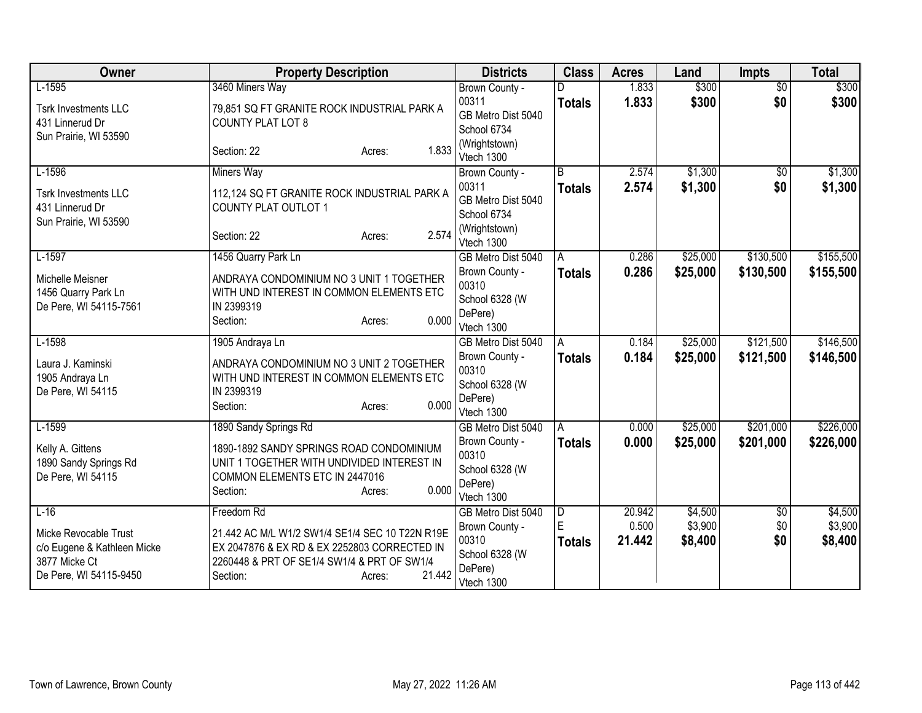| Owner                                                                                           | <b>Property Description</b>                                                                                                                                                    | <b>Districts</b>                                                   | <b>Class</b>       | <b>Acres</b>    | Land               | <b>Impts</b>    | <b>Total</b>       |
|-------------------------------------------------------------------------------------------------|--------------------------------------------------------------------------------------------------------------------------------------------------------------------------------|--------------------------------------------------------------------|--------------------|-----------------|--------------------|-----------------|--------------------|
| $L-1595$                                                                                        | 3460 Miners Way                                                                                                                                                                | Brown County -                                                     |                    | 1.833           | \$300              | $\overline{30}$ | \$300              |
| <b>Tsrk Investments LLC</b><br>431 Linnerud Dr                                                  | 79,851 SQ FT GRANITE ROCK INDUSTRIAL PARK A<br><b>COUNTY PLAT LOT 8</b>                                                                                                        | 00311<br>GB Metro Dist 5040<br>School 6734                         | <b>Totals</b>      | 1.833           | \$300              | \$0             | \$300              |
| Sun Prairie, WI 53590                                                                           | 1.833<br>Section: 22<br>Acres:                                                                                                                                                 | (Wrightstown)<br>Vtech 1300                                        |                    |                 |                    |                 |                    |
| $L-1596$                                                                                        | <b>Miners Way</b>                                                                                                                                                              | Brown County -                                                     | $\overline{B}$     | 2.574           | \$1,300            | $\overline{50}$ | \$1,300            |
| <b>Tsrk Investments LLC</b><br>431 Linnerud Dr                                                  | 112,124 SQ FT GRANITE ROCK INDUSTRIAL PARK A<br>COUNTY PLAT OUTLOT 1                                                                                                           | 00311<br>GB Metro Dist 5040<br>School 6734                         | <b>Totals</b>      | 2.574           | \$1,300            | \$0             | \$1,300            |
| Sun Prairie, WI 53590                                                                           | 2.574<br>Section: 22<br>Acres:                                                                                                                                                 | (Wrightstown)<br>Vtech 1300                                        |                    |                 |                    |                 |                    |
| $L-1597$                                                                                        | 1456 Quarry Park Ln                                                                                                                                                            | GB Metro Dist 5040                                                 | A                  | 0.286           | \$25,000           | \$130,500       | \$155,500          |
| Michelle Meisner<br>1456 Quarry Park Ln<br>De Pere, WI 54115-7561                               | ANDRAYA CONDOMINIUM NO 3 UNIT 1 TOGETHER<br>WITH UND INTEREST IN COMMON ELEMENTS ETC<br>IN 2399319                                                                             | Brown County -<br>00310<br>School 6328 (W                          | <b>Totals</b>      | 0.286           | \$25,000           | \$130,500       | \$155,500          |
|                                                                                                 | 0.000<br>Section:<br>Acres:                                                                                                                                                    | DePere)<br>Vtech 1300                                              |                    |                 |                    |                 |                    |
| $L-1598$                                                                                        | 1905 Andraya Ln                                                                                                                                                                | GB Metro Dist 5040                                                 | A                  | 0.184           | \$25,000           | \$121,500       | \$146,500          |
| Laura J. Kaminski<br>1905 Andraya Ln<br>De Pere, WI 54115                                       | ANDRAYA CONDOMINIUM NO 3 UNIT 2 TOGETHER<br>WITH UND INTEREST IN COMMON ELEMENTS ETC<br>IN 2399319<br>0.000<br>Section:<br>Acres:                                              | Brown County -<br>00310<br>School 6328 (W<br>DePere)<br>Vtech 1300 | <b>Totals</b>      | 0.184           | \$25,000           | \$121,500       | \$146,500          |
| $L-1599$                                                                                        | 1890 Sandy Springs Rd                                                                                                                                                          | GB Metro Dist 5040                                                 | Α                  | 0.000           | \$25,000           | \$201,000       | \$226,000          |
| Kelly A. Gittens<br>1890 Sandy Springs Rd<br>De Pere, WI 54115                                  | 1890-1892 SANDY SPRINGS ROAD CONDOMINIUM<br>UNIT 1 TOGETHER WITH UNDIVIDED INTEREST IN<br>COMMON ELEMENTS ETC IN 2447016<br>0.000<br>Section:<br>Acres:                        | Brown County -<br>00310<br>School 6328 (W<br>DePere)<br>Vtech 1300 | <b>Totals</b>      | 0.000           | \$25,000           | \$201,000       | \$226,000          |
| $L-16$                                                                                          | Freedom Rd                                                                                                                                                                     | GB Metro Dist 5040                                                 | $\overline{D}$     | 20.942          | \$4,500            | \$0             | \$4,500            |
| Micke Revocable Trust<br>c/o Eugene & Kathleen Micke<br>3877 Micke Ct<br>De Pere, WI 54115-9450 | 21.442 AC M/L W1/2 SW1/4 SE1/4 SEC 10 T22N R19E<br>EX 2047876 & EX RD & EX 2252803 CORRECTED IN<br>2260448 & PRT OF SE1/4 SW1/4 & PRT OF SW1/4<br>21.442<br>Section:<br>Acres: | Brown County -<br>00310<br>School 6328 (W<br>DePere)<br>Vtech 1300 | Ė<br><b>Totals</b> | 0.500<br>21.442 | \$3,900<br>\$8,400 | \$0<br>\$0      | \$3,900<br>\$8,400 |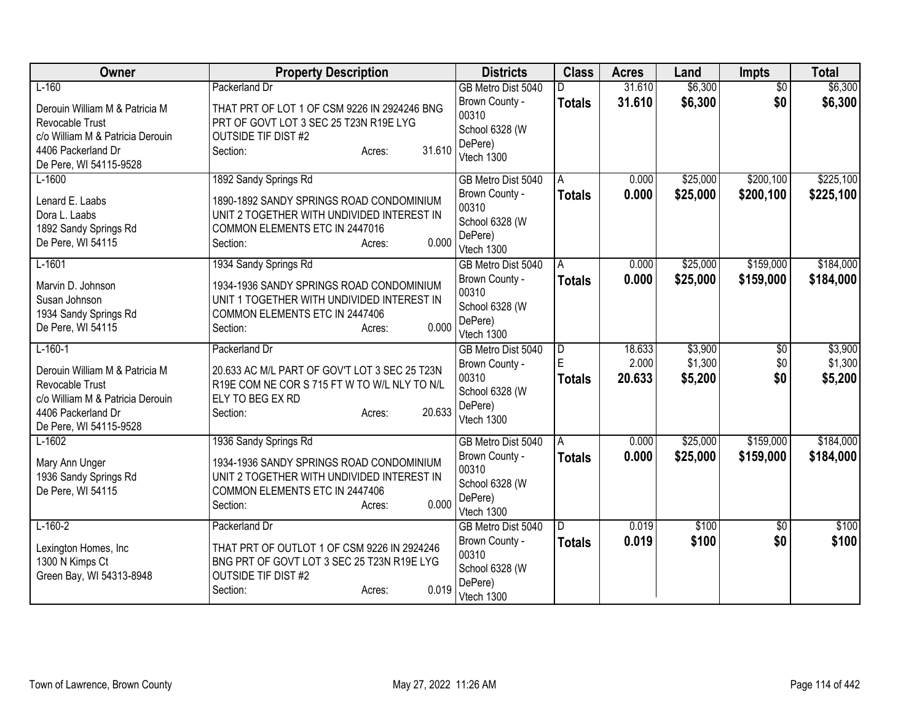| Owner                                                                                                                                                     | <b>Property Description</b>                                                                                                                                                      | <b>Districts</b>                                                                         | <b>Class</b>                         | <b>Acres</b>              | Land                          | <b>Impts</b>           | <b>Total</b>                  |
|-----------------------------------------------------------------------------------------------------------------------------------------------------------|----------------------------------------------------------------------------------------------------------------------------------------------------------------------------------|------------------------------------------------------------------------------------------|--------------------------------------|---------------------------|-------------------------------|------------------------|-------------------------------|
| $L-160$<br>Derouin William M & Patricia M<br>Revocable Trust<br>c/o William M & Patricia Derouin<br>4406 Packerland Dr<br>De Pere, WI 54115-9528          | <b>Packerland Dr</b><br>THAT PRT OF LOT 1 OF CSM 9226 IN 2924246 BNG<br>PRT OF GOVT LOT 3 SEC 25 T23N R19E LYG<br><b>OUTSIDE TIF DIST #2</b><br>31.610<br>Section:<br>Acres:     | GB Metro Dist 5040<br>Brown County -<br>00310<br>School 6328 (W<br>DePere)<br>Vtech 1300 | D.<br><b>Totals</b>                  | 31.610<br>31.610          | \$6,300<br>\$6,300            | $\overline{50}$<br>\$0 | \$6,300<br>\$6,300            |
| $L-1600$<br>Lenard E. Laabs<br>Dora L. Laabs<br>1892 Sandy Springs Rd<br>De Pere, WI 54115                                                                | 1892 Sandy Springs Rd<br>1890-1892 SANDY SPRINGS ROAD CONDOMINIUM<br>UNIT 2 TOGETHER WITH UNDIVIDED INTEREST IN<br>COMMON ELEMENTS ETC IN 2447016<br>0.000<br>Section:<br>Acres: | GB Metro Dist 5040<br>Brown County -<br>00310<br>School 6328 (W<br>DePere)<br>Vtech 1300 | A<br><b>Totals</b>                   | 0.000<br>0.000            | \$25,000<br>\$25,000          | \$200,100<br>\$200,100 | \$225,100<br>\$225,100        |
| $L-1601$<br>Marvin D. Johnson<br>Susan Johnson<br>1934 Sandy Springs Rd<br>De Pere, WI 54115                                                              | 1934 Sandy Springs Rd<br>1934-1936 SANDY SPRINGS ROAD CONDOMINIUM<br>UNIT 1 TOGETHER WITH UNDIVIDED INTEREST IN<br>COMMON ELEMENTS ETC IN 2447406<br>0.000<br>Section:<br>Acres: | GB Metro Dist 5040<br>Brown County -<br>00310<br>School 6328 (W<br>DePere)<br>Vtech 1300 | A<br><b>Totals</b>                   | 0.000<br>0.000            | \$25,000<br>\$25,000          | \$159,000<br>\$159,000 | \$184,000<br>\$184,000        |
| $L-160-1$<br>Derouin William M & Patricia M<br><b>Revocable Trust</b><br>c/o William M & Patricia Derouin<br>4406 Packerland Dr<br>De Pere, WI 54115-9528 | Packerland Dr<br>20.633 AC M/L PART OF GOV'T LOT 3 SEC 25 T23N<br>R19E COM NE COR S 715 FT W TO W/L NLY TO N/L<br>ELY TO BEG EX RD<br>20.633<br>Section:<br>Acres:               | GB Metro Dist 5040<br>Brown County -<br>00310<br>School 6328 (W<br>DePere)<br>Vtech 1300 | $\overline{D}$<br>E<br><b>Totals</b> | 18.633<br>2.000<br>20.633 | \$3,900<br>\$1,300<br>\$5,200 | \$0<br>\$0<br>\$0      | \$3,900<br>\$1,300<br>\$5,200 |
| $L-1602$<br>Mary Ann Unger<br>1936 Sandy Springs Rd<br>De Pere, WI 54115                                                                                  | 1936 Sandy Springs Rd<br>1934-1936 SANDY SPRINGS ROAD CONDOMINIUM<br>UNIT 2 TOGETHER WITH UNDIVIDED INTEREST IN<br>COMMON ELEMENTS ETC IN 2447406<br>0.000<br>Section:<br>Acres: | GB Metro Dist 5040<br>Brown County -<br>00310<br>School 6328 (W<br>DePere)<br>Vtech 1300 | A<br><b>Totals</b>                   | 0.000<br>0.000            | \$25,000<br>\$25,000          | \$159,000<br>\$159,000 | \$184,000<br>\$184,000        |
| $L-160-2$<br>Lexington Homes, Inc<br>1300 N Kimps Ct<br>Green Bay, WI 54313-8948                                                                          | Packerland Dr<br>THAT PRT OF OUTLOT 1 OF CSM 9226 IN 2924246<br>BNG PRT OF GOVT LOT 3 SEC 25 T23N R19E LYG<br>OUTSIDE TIF DIST #2<br>0.019<br>Section:<br>Acres:                 | GB Metro Dist 5040<br>Brown County -<br>00310<br>School 6328 (W<br>DePere)<br>Vtech 1300 | D<br><b>Totals</b>                   | 0.019<br>0.019            | \$100<br>\$100                | \$0<br>\$0             | \$100<br>\$100                |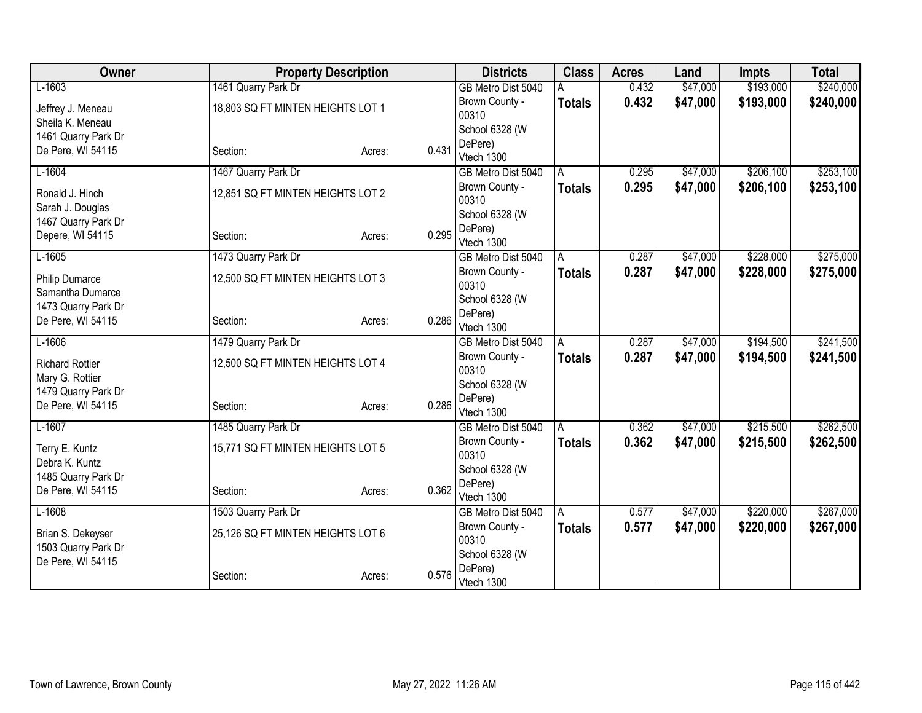| Owner                  |                                   | <b>Property Description</b> |       | <b>Districts</b>        | <b>Class</b>  | <b>Acres</b> | Land     | <b>Impts</b> | <b>Total</b> |
|------------------------|-----------------------------------|-----------------------------|-------|-------------------------|---------------|--------------|----------|--------------|--------------|
| $L-1603$               | 1461 Quarry Park Dr               |                             |       | GB Metro Dist 5040      |               | 0.432        | \$47,000 | \$193,000    | \$240,000    |
| Jeffrey J. Meneau      | 18,803 SQ FT MINTEN HEIGHTS LOT 1 |                             |       | Brown County -          | <b>Totals</b> | 0.432        | \$47,000 | \$193,000    | \$240,000    |
| Sheila K. Meneau       |                                   |                             |       | 00310                   |               |              |          |              |              |
| 1461 Quarry Park Dr    |                                   |                             |       | School 6328 (W          |               |              |          |              |              |
| De Pere, WI 54115      | Section:                          | Acres:                      | 0.431 | DePere)                 |               |              |          |              |              |
| $L-1604$               |                                   |                             |       | Vtech 1300              |               | 0.295        | \$47,000 | \$206,100    | \$253,100    |
|                        | 1467 Quarry Park Dr               |                             |       | GB Metro Dist 5040      | A             |              |          |              |              |
| Ronald J. Hinch        | 12,851 SQ FT MINTEN HEIGHTS LOT 2 |                             |       | Brown County -<br>00310 | <b>Totals</b> | 0.295        | \$47,000 | \$206,100    | \$253,100    |
| Sarah J. Douglas       |                                   |                             |       | School 6328 (W          |               |              |          |              |              |
| 1467 Quarry Park Dr    |                                   |                             |       | DePere)                 |               |              |          |              |              |
| Depere, WI 54115       | Section:                          | Acres:                      | 0.295 | Vtech 1300              |               |              |          |              |              |
| $L-1605$               | 1473 Quarry Park Dr               |                             |       | GB Metro Dist 5040      | A             | 0.287        | \$47,000 | \$228,000    | \$275,000    |
| <b>Philip Dumarce</b>  | 12,500 SQ FT MINTEN HEIGHTS LOT 3 |                             |       | Brown County -          | Totals        | 0.287        | \$47,000 | \$228,000    | \$275,000    |
| Samantha Dumarce       |                                   |                             |       | 00310                   |               |              |          |              |              |
| 1473 Quarry Park Dr    |                                   |                             |       | School 6328 (W          |               |              |          |              |              |
| De Pere, WI 54115      | Section:                          | Acres:                      | 0.286 | DePere)                 |               |              |          |              |              |
|                        |                                   |                             |       | Vtech 1300              |               |              |          |              |              |
| $L-1606$               | 1479 Quarry Park Dr               |                             |       | GB Metro Dist 5040      | A             | 0.287        | \$47,000 | \$194,500    | \$241,500    |
| <b>Richard Rottier</b> | 12,500 SQ FT MINTEN HEIGHTS LOT 4 |                             |       | Brown County -<br>00310 | Totals        | 0.287        | \$47,000 | \$194,500    | \$241,500    |
| Mary G. Rottier        |                                   |                             |       | School 6328 (W          |               |              |          |              |              |
| 1479 Quarry Park Dr    |                                   |                             |       | DePere)                 |               |              |          |              |              |
| De Pere, WI 54115      | Section:                          | Acres:                      | 0.286 | Vtech 1300              |               |              |          |              |              |
| $L-1607$               | 1485 Quarry Park Dr               |                             |       | GB Metro Dist 5040      | A             | 0.362        | \$47,000 | \$215,500    | \$262,500    |
| Terry E. Kuntz         | 15,771 SQ FT MINTEN HEIGHTS LOT 5 |                             |       | Brown County -          | <b>Totals</b> | 0.362        | \$47,000 | \$215,500    | \$262,500    |
| Debra K. Kuntz         |                                   |                             |       | 00310                   |               |              |          |              |              |
| 1485 Quarry Park Dr    |                                   |                             |       | School 6328 (W          |               |              |          |              |              |
| De Pere, WI 54115      | Section:                          | Acres:                      | 0.362 | DePere)                 |               |              |          |              |              |
|                        |                                   |                             |       | Vtech 1300              |               |              |          |              |              |
| $L-1608$               | 1503 Quarry Park Dr               |                             |       | GB Metro Dist 5040      | l A           | 0.577        | \$47,000 | \$220,000    | \$267,000    |
| Brian S. Dekeyser      | 25,126 SQ FT MINTEN HEIGHTS LOT 6 |                             |       | Brown County -          | <b>Totals</b> | 0.577        | \$47,000 | \$220,000    | \$267,000    |
| 1503 Quarry Park Dr    |                                   |                             |       | 00310<br>School 6328 (W |               |              |          |              |              |
| De Pere, WI 54115      |                                   |                             |       | DePere)                 |               |              |          |              |              |
|                        | Section:                          | Acres:                      | 0.576 | Vtech 1300              |               |              |          |              |              |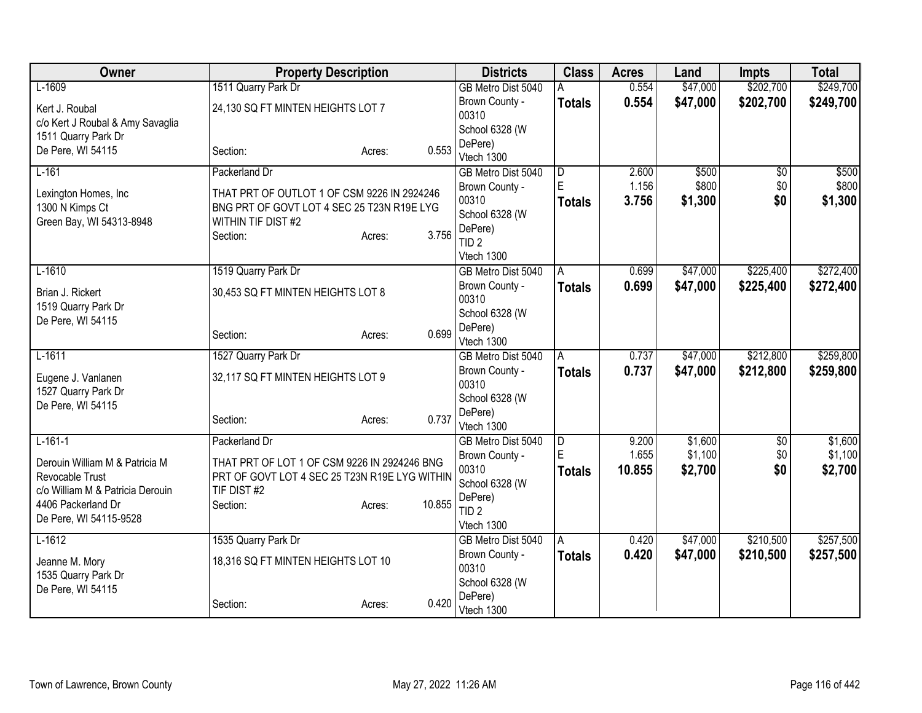| Owner                                    | <b>Property Description</b>                   |                  | <b>Districts</b>          | <b>Class</b>        | <b>Acres</b> | Land     | <b>Impts</b>    | <b>Total</b> |
|------------------------------------------|-----------------------------------------------|------------------|---------------------------|---------------------|--------------|----------|-----------------|--------------|
| $L-1609$                                 | 1511 Quarry Park Dr                           |                  | GB Metro Dist 5040        | А                   | 0.554        | \$47,000 | \$202,700       | \$249,700    |
| Kert J. Roubal                           | 24,130 SQ FT MINTEN HEIGHTS LOT 7             |                  | Brown County -            | <b>Totals</b>       | 0.554        | \$47,000 | \$202,700       | \$249,700    |
| c/o Kert J Roubal & Amy Savaglia         |                                               |                  | 00310                     |                     |              |          |                 |              |
| 1511 Quarry Park Dr                      |                                               |                  | School 6328 (W            |                     |              |          |                 |              |
| De Pere, WI 54115                        | Section:                                      | 0.553<br>Acres:  | DePere)<br>Vtech 1300     |                     |              |          |                 |              |
| $L-161$                                  | Packerland Dr                                 |                  | GB Metro Dist 5040        | $\overline{D}$      | 2.600        | \$500    | $\overline{60}$ | \$500        |
|                                          |                                               |                  | Brown County -            | ΙE                  | 1.156        | \$800    | \$0             | \$800        |
| Lexington Homes, Inc                     | THAT PRT OF OUTLOT 1 OF CSM 9226 IN 2924246   |                  | 00310                     | <b>Totals</b>       | 3.756        | \$1,300  | \$0             | \$1,300      |
| 1300 N Kimps Ct                          | BNG PRT OF GOVT LOT 4 SEC 25 T23N R19E LYG    |                  | School 6328 (W            |                     |              |          |                 |              |
| Green Bay, WI 54313-8948                 | WITHIN TIF DIST #2                            | 3.756            | DePere)                   |                     |              |          |                 |              |
|                                          | Section:                                      | Acres:           | TID <sub>2</sub>          |                     |              |          |                 |              |
|                                          |                                               |                  | Vtech 1300                |                     |              |          |                 |              |
| $L-1610$                                 | 1519 Quarry Park Dr                           |                  | GB Metro Dist 5040        | A                   | 0.699        | \$47,000 | \$225,400       | \$272,400    |
| Brian J. Rickert                         | 30,453 SQ FT MINTEN HEIGHTS LOT 8             |                  | Brown County -            | <b>Totals</b>       | 0.699        | \$47,000 | \$225,400       | \$272,400    |
| 1519 Quarry Park Dr                      |                                               |                  | 00310                     |                     |              |          |                 |              |
| De Pere, WI 54115                        |                                               |                  | School 6328 (W<br>DePere) |                     |              |          |                 |              |
|                                          | Section:                                      | 0.699<br>Acres:  | Vtech 1300                |                     |              |          |                 |              |
| $L-1611$                                 | 1527 Quarry Park Dr                           |                  | GB Metro Dist 5040        | A                   | 0.737        | \$47,000 | \$212,800       | \$259,800    |
|                                          |                                               |                  | Brown County -            | <b>Totals</b>       | 0.737        | \$47,000 | \$212,800       | \$259,800    |
| Eugene J. Vanlanen                       | 32,117 SQ FT MINTEN HEIGHTS LOT 9             |                  | 00310                     |                     |              |          |                 |              |
| 1527 Quarry Park Dr<br>De Pere, WI 54115 |                                               |                  | School 6328 (W            |                     |              |          |                 |              |
|                                          | Section:                                      | 0.737<br>Acres:  | DePere)                   |                     |              |          |                 |              |
|                                          |                                               |                  | Vtech 1300                |                     |              |          |                 |              |
| $L-161-1$                                | Packerland Dr                                 |                  | GB Metro Dist 5040        | $\overline{D}$<br>E | 9.200        | \$1,600  | $\overline{60}$ | \$1,600      |
| Derouin William M & Patricia M           | THAT PRT OF LOT 1 OF CSM 9226 IN 2924246 BNG  |                  | Brown County -            |                     | 1.655        | \$1,100  | \$0             | \$1,100      |
| Revocable Trust                          | PRT OF GOVT LOT 4 SEC 25 T23N R19E LYG WITHIN |                  | 00310<br>School 6328 (W   | <b>Totals</b>       | 10.855       | \$2,700  | \$0             | \$2,700      |
| c/o William M & Patricia Derouin         | TIF DIST#2                                    |                  | DePere)                   |                     |              |          |                 |              |
| 4406 Packerland Dr                       | Section:                                      | 10.855<br>Acres: | TID <sub>2</sub>          |                     |              |          |                 |              |
| De Pere, WI 54115-9528                   |                                               |                  | Vtech 1300                |                     |              |          |                 |              |
| $L-1612$                                 | 1535 Quarry Park Dr                           |                  | GB Metro Dist 5040        | A                   | 0.420        | \$47,000 | \$210,500       | \$257,500    |
| Jeanne M. Mory                           | 18,316 SQ FT MINTEN HEIGHTS LOT 10            |                  | Brown County -            | <b>Totals</b>       | 0.420        | \$47,000 | \$210,500       | \$257,500    |
| 1535 Quarry Park Dr                      |                                               |                  | 00310                     |                     |              |          |                 |              |
| De Pere, WI 54115                        |                                               |                  | School 6328 (W            |                     |              |          |                 |              |
|                                          | Section:                                      | 0.420<br>Acres:  | DePere)                   |                     |              |          |                 |              |
|                                          |                                               |                  | Vtech 1300                |                     |              |          |                 |              |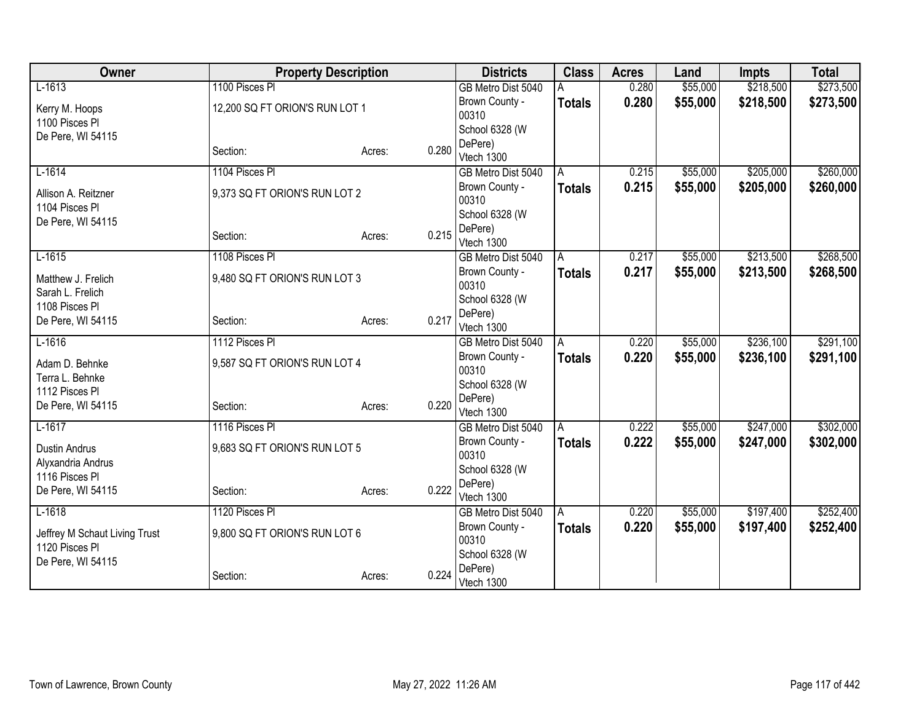| Owner                                           |                                | <b>Property Description</b> |       | <b>Districts</b>        | <b>Class</b>  | <b>Acres</b> | Land     | <b>Impts</b> | <b>Total</b> |
|-------------------------------------------------|--------------------------------|-----------------------------|-------|-------------------------|---------------|--------------|----------|--------------|--------------|
| $L-1613$                                        | 1100 Pisces PI                 |                             |       | GB Metro Dist 5040      |               | 0.280        | \$55,000 | \$218,500    | \$273,500    |
| Kerry M. Hoops                                  | 12,200 SQ FT ORION'S RUN LOT 1 |                             |       | Brown County -          | <b>Totals</b> | 0.280        | \$55,000 | \$218,500    | \$273,500    |
| 1100 Pisces PI                                  |                                |                             |       | 00310                   |               |              |          |              |              |
| De Pere, WI 54115                               |                                |                             |       | School 6328 (W          |               |              |          |              |              |
|                                                 | Section:                       | Acres:                      | 0.280 | DePere)                 |               |              |          |              |              |
|                                                 |                                |                             |       | Vtech 1300              |               |              |          |              |              |
| $L-1614$                                        | 1104 Pisces PI                 |                             |       | GB Metro Dist 5040      | A             | 0.215        | \$55,000 | \$205,000    | \$260,000    |
| Allison A. Reitzner                             | 9,373 SQ FT ORION'S RUN LOT 2  |                             |       | Brown County -<br>00310 | <b>Totals</b> | 0.215        | \$55,000 | \$205,000    | \$260,000    |
| 1104 Pisces PI                                  |                                |                             |       | School 6328 (W          |               |              |          |              |              |
| De Pere, WI 54115                               |                                |                             |       | DePere)                 |               |              |          |              |              |
|                                                 | Section:                       | Acres:                      | 0.215 | Vtech 1300              |               |              |          |              |              |
| $L-1615$                                        | 1108 Pisces PI                 |                             |       | GB Metro Dist 5040      | A             | 0.217        | \$55,000 | \$213,500    | \$268,500    |
|                                                 |                                |                             |       | Brown County -          | <b>Totals</b> | 0.217        | \$55,000 | \$213,500    | \$268,500    |
| Matthew J. Frelich<br>Sarah L. Frelich          | 9,480 SQ FT ORION'S RUN LOT 3  |                             |       | 00310                   |               |              |          |              |              |
| 1108 Pisces PI                                  |                                |                             |       | School 6328 (W          |               |              |          |              |              |
| De Pere, WI 54115                               | Section:                       | Acres:                      | 0.217 | DePere)                 |               |              |          |              |              |
|                                                 |                                |                             |       | Vtech 1300              |               |              |          |              |              |
| $L-1616$                                        | 1112 Pisces PI                 |                             |       | GB Metro Dist 5040      | Α             | 0.220        | \$55,000 | \$236,100    | \$291,100    |
| Adam D. Behnke                                  | 9,587 SQ FT ORION'S RUN LOT 4  |                             |       | Brown County -          | <b>Totals</b> | 0.220        | \$55,000 | \$236,100    | \$291,100    |
| Terra L. Behnke                                 |                                |                             |       | 00310                   |               |              |          |              |              |
| 1112 Pisces PI                                  |                                |                             |       | School 6328 (W          |               |              |          |              |              |
| De Pere, WI 54115                               | Section:                       | Acres:                      | 0.220 | DePere)                 |               |              |          |              |              |
| $L-1617$                                        | 1116 Pisces PI                 |                             |       | Vtech 1300              |               |              | \$55,000 | \$247,000    | \$302,000    |
|                                                 |                                |                             |       | GB Metro Dist 5040      | A             | 0.222        |          |              |              |
| <b>Dustin Andrus</b>                            | 9,683 SQ FT ORION'S RUN LOT 5  |                             |       | Brown County -<br>00310 | <b>Totals</b> | 0.222        | \$55,000 | \$247,000    | \$302,000    |
| Alyxandria Andrus                               |                                |                             |       | School 6328 (W          |               |              |          |              |              |
| 1116 Pisces Pl                                  |                                |                             |       | DePere)                 |               |              |          |              |              |
| De Pere, WI 54115                               | Section:                       | Acres:                      | 0.222 | Vtech 1300              |               |              |          |              |              |
| $L-1618$                                        | 1120 Pisces PI                 |                             |       | GB Metro Dist 5040      | A             | 0.220        | \$55,000 | \$197,400    | \$252,400    |
|                                                 | 9,800 SQ FT ORION'S RUN LOT 6  |                             |       | Brown County -          | <b>Totals</b> | 0.220        | \$55,000 | \$197,400    | \$252,400    |
| Jeffrey M Schaut Living Trust<br>1120 Pisces PI |                                |                             |       | 00310                   |               |              |          |              |              |
| De Pere, WI 54115                               |                                |                             |       | School 6328 (W          |               |              |          |              |              |
|                                                 | Section:                       | Acres:                      | 0.224 | DePere)                 |               |              |          |              |              |
|                                                 |                                |                             |       | Vtech 1300              |               |              |          |              |              |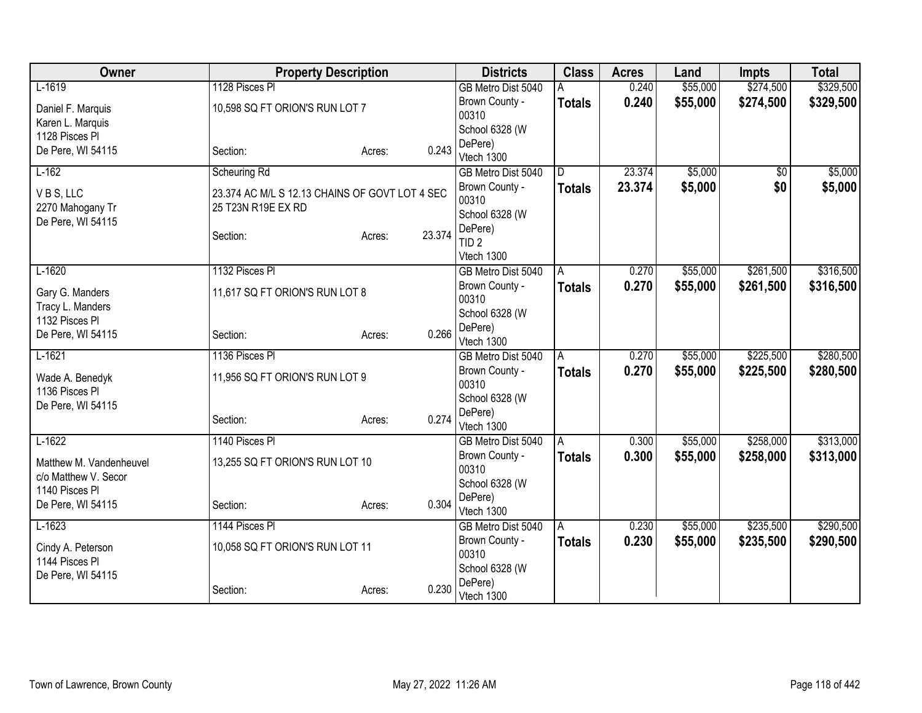| Owner                               | <b>Property Description</b>                    |        |        | <b>Districts</b>        | <b>Class</b>  | <b>Acres</b> | Land     | <b>Impts</b> | <b>Total</b> |
|-------------------------------------|------------------------------------------------|--------|--------|-------------------------|---------------|--------------|----------|--------------|--------------|
| $L-1619$                            | 1128 Pisces Pl                                 |        |        | GB Metro Dist 5040      |               | 0.240        | \$55,000 | \$274,500    | \$329,500    |
| Daniel F. Marquis                   | 10,598 SQ FT ORION'S RUN LOT 7                 |        |        | Brown County -          | <b>Totals</b> | 0.240        | \$55,000 | \$274,500    | \$329,500    |
| Karen L. Marquis                    |                                                |        |        | 00310                   |               |              |          |              |              |
| 1128 Pisces PI                      |                                                |        |        | School 6328 (W          |               |              |          |              |              |
| De Pere, WI 54115                   | Section:                                       | Acres: | 0.243  | DePere)                 |               |              |          |              |              |
|                                     |                                                |        |        | Vtech 1300              |               |              |          |              |              |
| $L-162$                             | Scheuring Rd                                   |        |        | GB Metro Dist 5040      | D             | 23.374       | \$5,000  | $\sqrt{6}$   | \$5,000      |
| VBS, LLC                            | 23.374 AC M/L S 12.13 CHAINS OF GOVT LOT 4 SEC |        |        | Brown County -<br>00310 | <b>Totals</b> | 23.374       | \$5,000  | \$0          | \$5,000      |
| 2270 Mahogany Tr                    | 25 T23N R19E EX RD                             |        |        | School 6328 (W          |               |              |          |              |              |
| De Pere, WI 54115                   |                                                |        |        | DePere)                 |               |              |          |              |              |
|                                     | Section:                                       | Acres: | 23.374 | TID <sub>2</sub>        |               |              |          |              |              |
|                                     |                                                |        |        | Vtech 1300              |               |              |          |              |              |
| $L-1620$                            | 1132 Pisces PI                                 |        |        | GB Metro Dist 5040      | A             | 0.270        | \$55,000 | \$261,500    | \$316,500    |
|                                     |                                                |        |        | Brown County -          | <b>Totals</b> | 0.270        | \$55,000 | \$261,500    | \$316,500    |
| Gary G. Manders                     | 11,617 SQ FT ORION'S RUN LOT 8                 |        |        | 00310                   |               |              |          |              |              |
| Tracy L. Manders<br>1132 Pisces PI  |                                                |        |        | School 6328 (W          |               |              |          |              |              |
| De Pere, WI 54115                   | Section:                                       | Acres: | 0.266  | DePere)                 |               |              |          |              |              |
|                                     |                                                |        |        | Vtech 1300              |               |              |          |              |              |
| $L-1621$                            | 1136 Pisces PI                                 |        |        | GB Metro Dist 5040      | A             | 0.270        | \$55,000 | \$225,500    | \$280,500    |
| Wade A. Benedyk                     | 11,956 SQ FT ORION'S RUN LOT 9                 |        |        | Brown County -          | <b>Totals</b> | 0.270        | \$55,000 | \$225,500    | \$280,500    |
| 1136 Pisces Pl                      |                                                |        |        | 00310                   |               |              |          |              |              |
| De Pere, WI 54115                   |                                                |        |        | School 6328 (W          |               |              |          |              |              |
|                                     | Section:                                       | Acres: | 0.274  | DePere)<br>Vtech 1300   |               |              |          |              |              |
| $L-1622$                            | 1140 Pisces PI                                 |        |        | GB Metro Dist 5040      | A             | 0.300        | \$55,000 | \$258,000    | \$313,000    |
|                                     |                                                |        |        | Brown County -          |               | 0.300        | \$55,000 | \$258,000    | \$313,000    |
| Matthew M. Vandenheuvel             | 13,255 SQ FT ORION'S RUN LOT 10                |        |        | 00310                   | <b>Totals</b> |              |          |              |              |
| c/o Matthew V. Secor                |                                                |        |        | School 6328 (W          |               |              |          |              |              |
| 1140 Pisces PI                      |                                                |        |        | DePere)                 |               |              |          |              |              |
| De Pere, WI 54115                   | Section:                                       | Acres: | 0.304  | Vtech 1300              |               |              |          |              |              |
| $L-1623$                            | 1144 Pisces PI                                 |        |        | GB Metro Dist 5040      | A             | 0.230        | \$55,000 | \$235,500    | \$290,500    |
|                                     |                                                |        |        | Brown County -          | <b>Totals</b> | 0.230        | \$55,000 | \$235,500    | \$290,500    |
| Cindy A. Peterson<br>1144 Pisces Pl | 10,058 SQ FT ORION'S RUN LOT 11                |        |        | 00310                   |               |              |          |              |              |
| De Pere, WI 54115                   |                                                |        |        | School 6328 (W          |               |              |          |              |              |
|                                     | Section:                                       | Acres: | 0.230  | DePere)                 |               |              |          |              |              |
|                                     |                                                |        |        | Vtech 1300              |               |              |          |              |              |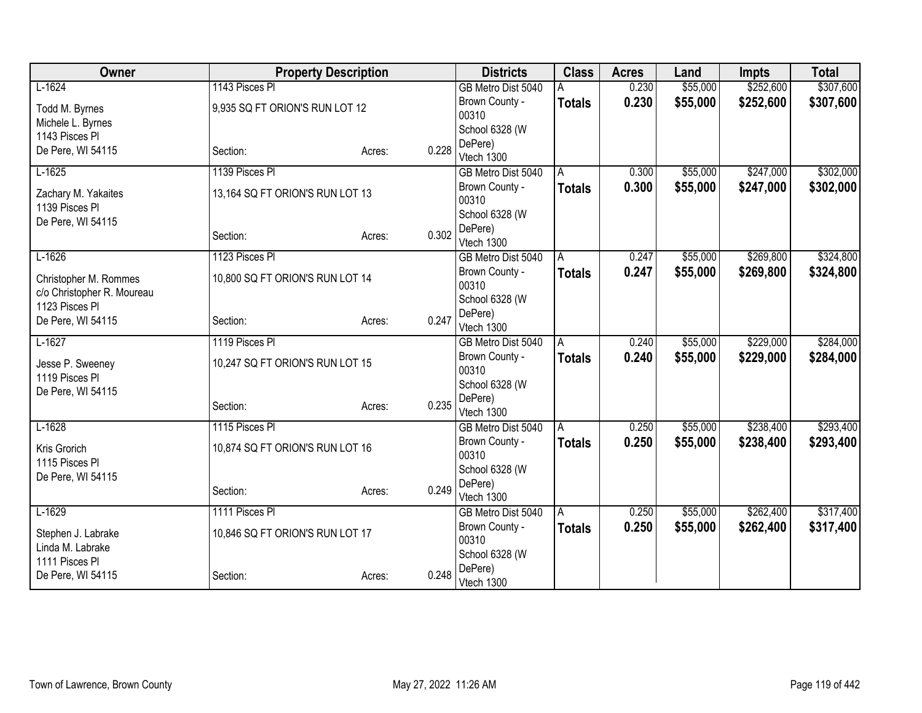| Owner                                        | <b>Property Description</b>     |                 | <b>Districts</b>        | <b>Class</b>  | <b>Acres</b> | Land     | <b>Impts</b> | <b>Total</b> |
|----------------------------------------------|---------------------------------|-----------------|-------------------------|---------------|--------------|----------|--------------|--------------|
| $L-1624$                                     | 1143 Pisces PI                  |                 | GB Metro Dist 5040      |               | 0.230        | \$55,000 | \$252,600    | \$307,600    |
| Todd M. Byrnes                               | 9,935 SQ FT ORION'S RUN LOT 12  |                 | Brown County -          | <b>Totals</b> | 0.230        | \$55,000 | \$252,600    | \$307,600    |
| Michele L. Byrnes                            |                                 |                 | 00310                   |               |              |          |              |              |
| 1143 Pisces Pl                               |                                 |                 | School 6328 (W          |               |              |          |              |              |
| De Pere, WI 54115                            | Section:                        | 0.228<br>Acres: | DePere)                 |               |              |          |              |              |
|                                              |                                 |                 | Vtech 1300              |               |              |          |              |              |
| $L-1625$                                     | 1139 Pisces PI                  |                 | GB Metro Dist 5040      | A             | 0.300        | \$55,000 | \$247,000    | \$302,000    |
| Zachary M. Yakaites<br>1139 Pisces PI        | 13,164 SQ FT ORION'S RUN LOT 13 |                 | Brown County -<br>00310 | <b>Totals</b> | 0.300        | \$55,000 | \$247,000    | \$302,000    |
| De Pere, WI 54115                            |                                 |                 | School 6328 (W          |               |              |          |              |              |
|                                              | Section:                        | 0.302<br>Acres: | DePere)<br>Vtech 1300   |               |              |          |              |              |
| $L-1626$                                     | 1123 Pisces PI                  |                 | GB Metro Dist 5040      | A             | 0.247        | \$55,000 | \$269,800    | \$324,800    |
| Christopher M. Rommes                        | 10,800 SQ FT ORION'S RUN LOT 14 |                 | Brown County -<br>00310 | <b>Totals</b> | 0.247        | \$55,000 | \$269,800    | \$324,800    |
| c/o Christopher R. Moureau<br>1123 Pisces PI |                                 |                 | School 6328 (W          |               |              |          |              |              |
| De Pere, WI 54115                            | Section:                        | 0.247<br>Acres: | DePere)                 |               |              |          |              |              |
|                                              |                                 |                 | Vtech 1300              |               |              |          |              |              |
| $L-1627$                                     | 1119 Pisces PI                  |                 | GB Metro Dist 5040      | A             | 0.240        | \$55,000 | \$229,000    | \$284,000    |
| Jesse P. Sweeney                             | 10,247 SQ FT ORION'S RUN LOT 15 |                 | Brown County -          | <b>Totals</b> | 0.240        | \$55,000 | \$229,000    | \$284,000    |
| 1119 Pisces Pl                               |                                 |                 | 00310                   |               |              |          |              |              |
| De Pere, WI 54115                            |                                 |                 | School 6328 (W          |               |              |          |              |              |
|                                              | Section:                        | 0.235<br>Acres: | DePere)<br>Vtech 1300   |               |              |          |              |              |
| $L-1628$                                     | 1115 Pisces PI                  |                 | GB Metro Dist 5040      | A             | 0.250        | \$55,000 | \$238,400    | \$293,400    |
|                                              |                                 |                 | Brown County -          | <b>Totals</b> | 0.250        | \$55,000 | \$238,400    | \$293,400    |
| Kris Grorich                                 | 10,874 SQ FT ORION'S RUN LOT 16 |                 | 00310                   |               |              |          |              |              |
| 1115 Pisces PI                               |                                 |                 | School 6328 (W          |               |              |          |              |              |
| De Pere, WI 54115                            |                                 |                 | DePere)                 |               |              |          |              |              |
|                                              | Section:                        | 0.249<br>Acres: | Vtech 1300              |               |              |          |              |              |
| $L-1629$                                     | 1111 Pisces PI                  |                 | GB Metro Dist 5040      | A             | 0.250        | \$55,000 | \$262,400    | \$317,400    |
| Stephen J. Labrake                           | 10,846 SQ FT ORION'S RUN LOT 17 |                 | Brown County -          | <b>Totals</b> | 0.250        | \$55,000 | \$262,400    | \$317,400    |
| Linda M. Labrake                             |                                 |                 | 00310                   |               |              |          |              |              |
| 1111 Pisces Pl                               |                                 |                 | School 6328 (W          |               |              |          |              |              |
| De Pere, WI 54115                            | Section:                        | 0.248<br>Acres: | DePere)<br>Vtech 1300   |               |              |          |              |              |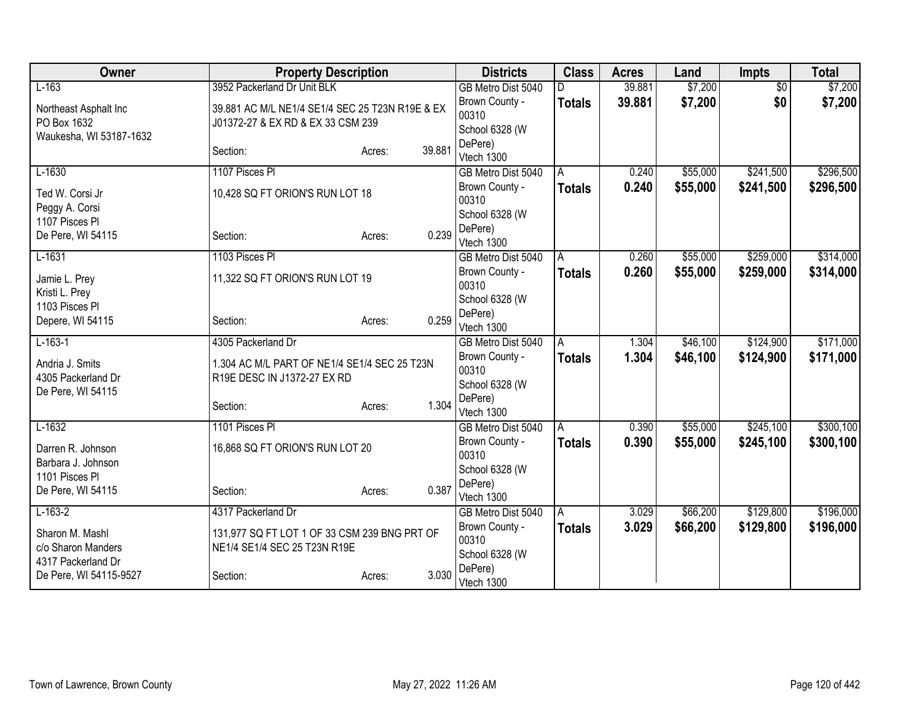| Owner                            | <b>Property Description</b>                     |                  | <b>Districts</b>          | <b>Class</b>  | <b>Acres</b> | Land     | <b>Impts</b>    | <b>Total</b> |
|----------------------------------|-------------------------------------------------|------------------|---------------------------|---------------|--------------|----------|-----------------|--------------|
| $L-163$                          | 3952 Packerland Dr Unit BLK                     |                  | GB Metro Dist 5040        |               | 39.881       | \$7,200  | $\overline{30}$ | \$7,200      |
| Northeast Asphalt Inc            | 39.881 AC M/L NE1/4 SE1/4 SEC 25 T23N R19E & EX |                  | Brown County -            | <b>Totals</b> | 39.881       | \$7,200  | \$0             | \$7,200      |
| PO Box 1632                      | J01372-27 & EX RD & EX 33 CSM 239               |                  | 00310                     |               |              |          |                 |              |
| Waukesha, WI 53187-1632          |                                                 |                  | School 6328 (W<br>DePere) |               |              |          |                 |              |
|                                  | Section:                                        | 39.881<br>Acres: | Vtech 1300                |               |              |          |                 |              |
| $L-1630$                         | 1107 Pisces PI                                  |                  | GB Metro Dist 5040        | A             | 0.240        | \$55,000 | \$241,500       | \$296,500    |
| Ted W. Corsi Jr                  | 10,428 SQ FT ORION'S RUN LOT 18                 |                  | Brown County -            | <b>Totals</b> | 0.240        | \$55,000 | \$241,500       | \$296,500    |
| Peggy A. Corsi                   |                                                 |                  | 00310                     |               |              |          |                 |              |
| 1107 Pisces PI                   |                                                 |                  | School 6328 (W            |               |              |          |                 |              |
| De Pere, WI 54115                | Section:                                        | 0.239<br>Acres:  | DePere)<br>Vtech 1300     |               |              |          |                 |              |
| $L-1631$                         | 1103 Pisces PI                                  |                  | GB Metro Dist 5040        | A             | 0.260        | \$55,000 | \$259,000       | \$314,000    |
|                                  |                                                 |                  | Brown County -            | <b>Totals</b> | 0.260        | \$55,000 | \$259,000       | \$314,000    |
| Jamie L. Prey                    | 11,322 SQ FT ORION'S RUN LOT 19                 |                  | 00310                     |               |              |          |                 |              |
| Kristi L. Prey<br>1103 Pisces PI |                                                 |                  | School 6328 (W            |               |              |          |                 |              |
| Depere, WI 54115                 | Section:                                        | 0.259<br>Acres:  | DePere)                   |               |              |          |                 |              |
|                                  |                                                 |                  | Vtech 1300                |               |              |          |                 |              |
| $L-163-1$                        | 4305 Packerland Dr                              |                  | GB Metro Dist 5040        | A             | 1.304        | \$46,100 | \$124,900       | \$171,000    |
| Andria J. Smits                  | 1.304 AC M/L PART OF NE1/4 SE1/4 SEC 25 T23N    |                  | Brown County -<br>00310   | <b>Totals</b> | 1.304        | \$46,100 | \$124,900       | \$171,000    |
| 4305 Packerland Dr               | R19E DESC IN J1372-27 EX RD                     |                  | School 6328 (W            |               |              |          |                 |              |
| De Pere, WI 54115                |                                                 |                  | DePere)                   |               |              |          |                 |              |
|                                  | Section:                                        | 1.304<br>Acres:  | Vtech 1300                |               |              |          |                 |              |
| $L-1632$                         | 1101 Pisces PI                                  |                  | GB Metro Dist 5040        | A             | 0.390        | \$55,000 | \$245,100       | \$300,100    |
| Darren R. Johnson                | 16,868 SQ FT ORION'S RUN LOT 20                 |                  | Brown County -            | <b>Totals</b> | 0.390        | \$55,000 | \$245,100       | \$300,100    |
| Barbara J. Johnson               |                                                 |                  | 00310                     |               |              |          |                 |              |
| 1101 Pisces Pl                   |                                                 |                  | School 6328 (W<br>DePere) |               |              |          |                 |              |
| De Pere, WI 54115                | Section:                                        | 0.387<br>Acres:  | Vtech 1300                |               |              |          |                 |              |
| $L-163-2$                        | 4317 Packerland Dr                              |                  | GB Metro Dist 5040        | A             | 3.029        | \$66,200 | \$129,800       | \$196,000    |
| Sharon M. Mashl                  | 131,977 SQ FT LOT 1 OF 33 CSM 239 BNG PRT OF    |                  | Brown County -            | <b>Totals</b> | 3.029        | \$66,200 | \$129,800       | \$196,000    |
| c/o Sharon Manders               | NE1/4 SE1/4 SEC 25 T23N R19E                    |                  | 00310                     |               |              |          |                 |              |
| 4317 Packerland Dr               |                                                 |                  | School 6328 (W            |               |              |          |                 |              |
| De Pere, WI 54115-9527           | Section:                                        | 3.030<br>Acres:  | DePere)<br>Vtech 1300     |               |              |          |                 |              |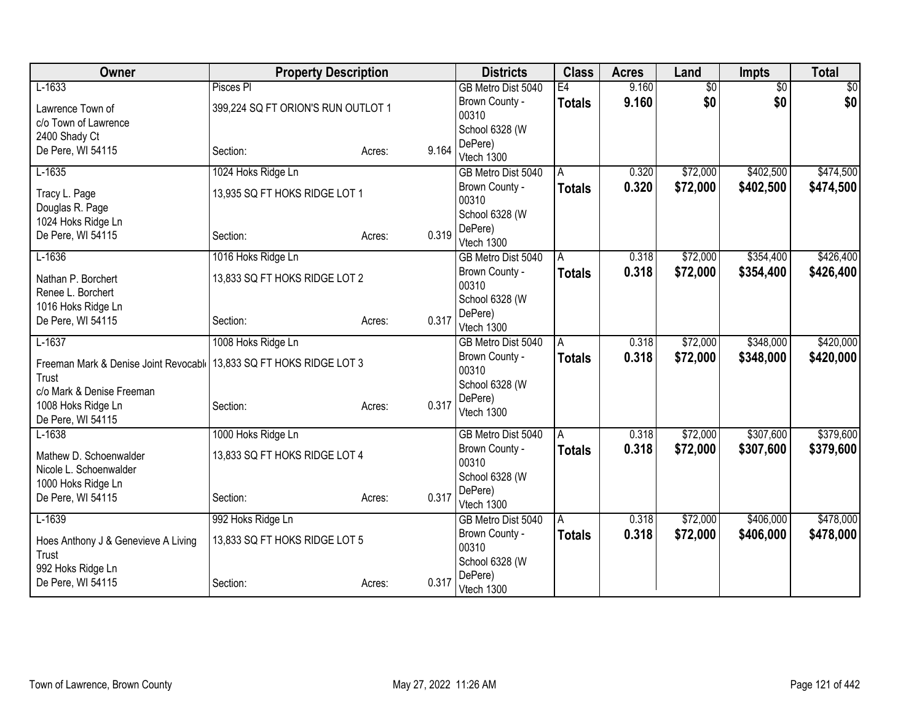| Owner                                 | <b>Property Description</b>        |                 | <b>Districts</b>                     | <b>Class</b>  | <b>Acres</b>   | Land                 | <b>Impts</b>           | <b>Total</b> |
|---------------------------------------|------------------------------------|-----------------|--------------------------------------|---------------|----------------|----------------------|------------------------|--------------|
| $L-1633$                              | Pisces PI                          |                 | GB Metro Dist 5040                   | E4            | 9.160          | $\overline{60}$      | $\overline{50}$        | \$0          |
| Lawrence Town of                      | 399,224 SQ FT ORION'S RUN OUTLOT 1 |                 | Brown County -                       | <b>Totals</b> | 9.160          | \$0                  | \$0                    | \$0          |
| c/o Town of Lawrence                  |                                    |                 | 00310                                |               |                |                      |                        |              |
| 2400 Shady Ct                         |                                    |                 | School 6328 (W                       |               |                |                      |                        |              |
| De Pere, WI 54115                     | Section:                           | 9.164<br>Acres: | DePere)<br>Vtech 1300                |               |                |                      |                        |              |
| $L-1635$                              | 1024 Hoks Ridge Ln                 |                 | GB Metro Dist 5040                   | A             | 0.320          | \$72,000             | \$402,500              | \$474,500    |
|                                       |                                    |                 | Brown County -                       | Totals        | 0.320          | \$72,000             | \$402,500              | \$474,500    |
| Tracy L. Page<br>Douglas R. Page      | 13,935 SQ FT HOKS RIDGE LOT 1      |                 | 00310                                |               |                |                      |                        |              |
| 1024 Hoks Ridge Ln                    |                                    |                 | School 6328 (W                       |               |                |                      |                        |              |
| De Pere, WI 54115                     | Section:                           | 0.319<br>Acres: | DePere)                              |               |                |                      |                        |              |
|                                       |                                    |                 | Vtech 1300                           |               |                |                      |                        |              |
| $L-1636$                              | 1016 Hoks Ridge Ln                 |                 | GB Metro Dist 5040                   | A             | 0.318          | \$72,000             | \$354,400              | \$426,400    |
| Nathan P. Borchert                    | 13,833 SQ FT HOKS RIDGE LOT 2      |                 | Brown County -                       | Totals        | 0.318          | \$72,000             | \$354,400              | \$426,400    |
| Renee L. Borchert                     |                                    |                 | 00310<br>School 6328 (W              |               |                |                      |                        |              |
| 1016 Hoks Ridge Ln                    |                                    |                 | DePere)                              |               |                |                      |                        |              |
| De Pere, WI 54115                     | Section:                           | 0.317<br>Acres: | Vtech 1300                           |               |                |                      |                        |              |
| $L-1637$                              | 1008 Hoks Ridge Ln                 |                 | GB Metro Dist 5040                   | A             | 0.318          | \$72,000             | \$348,000              | \$420,000    |
| Freeman Mark & Denise Joint Revocable | 13,833 SQ FT HOKS RIDGE LOT 3      |                 | Brown County -                       | <b>Totals</b> | 0.318          | \$72,000             | \$348,000              | \$420,000    |
| Trust                                 |                                    |                 | 00310                                |               |                |                      |                        |              |
| c/o Mark & Denise Freeman             |                                    |                 | School 6328 (W                       |               |                |                      |                        |              |
| 1008 Hoks Ridge Ln                    | Section:                           | 0.317<br>Acres: | DePere)                              |               |                |                      |                        |              |
| De Pere, WI 54115                     |                                    |                 | Vtech 1300                           |               |                |                      |                        |              |
| $L-1638$                              | 1000 Hoks Ridge Ln                 |                 | GB Metro Dist 5040                   | A             | 0.318          | \$72,000             | \$307,600              | \$379,600    |
| Mathew D. Schoenwalder                | 13,833 SQ FT HOKS RIDGE LOT 4      |                 | Brown County -                       | <b>Totals</b> | 0.318          | \$72,000             | \$307,600              | \$379,600    |
| Nicole L. Schoenwalder                |                                    |                 | 00310                                |               |                |                      |                        |              |
| 1000 Hoks Ridge Ln                    |                                    |                 | School 6328 (W                       |               |                |                      |                        |              |
| De Pere, WI 54115                     | Section:                           | 0.317<br>Acres: | DePere)                              |               |                |                      |                        |              |
|                                       |                                    |                 | Vtech 1300                           |               |                |                      |                        |              |
| $L-1639$                              | 992 Hoks Ridge Ln                  |                 | GB Metro Dist 5040<br>Brown County - | A             | 0.318<br>0.318 | \$72,000<br>\$72,000 | \$406,000<br>\$406,000 | \$478,000    |
| Hoes Anthony J & Genevieve A Living   | 13,833 SQ FT HOKS RIDGE LOT 5      |                 | 00310                                | <b>Totals</b> |                |                      |                        | \$478,000    |
| Trust                                 |                                    |                 | School 6328 (W                       |               |                |                      |                        |              |
| 992 Hoks Ridge Ln                     |                                    |                 | DePere)                              |               |                |                      |                        |              |
| De Pere, WI 54115                     | Section:                           | 0.317<br>Acres: | Vtech 1300                           |               |                |                      |                        |              |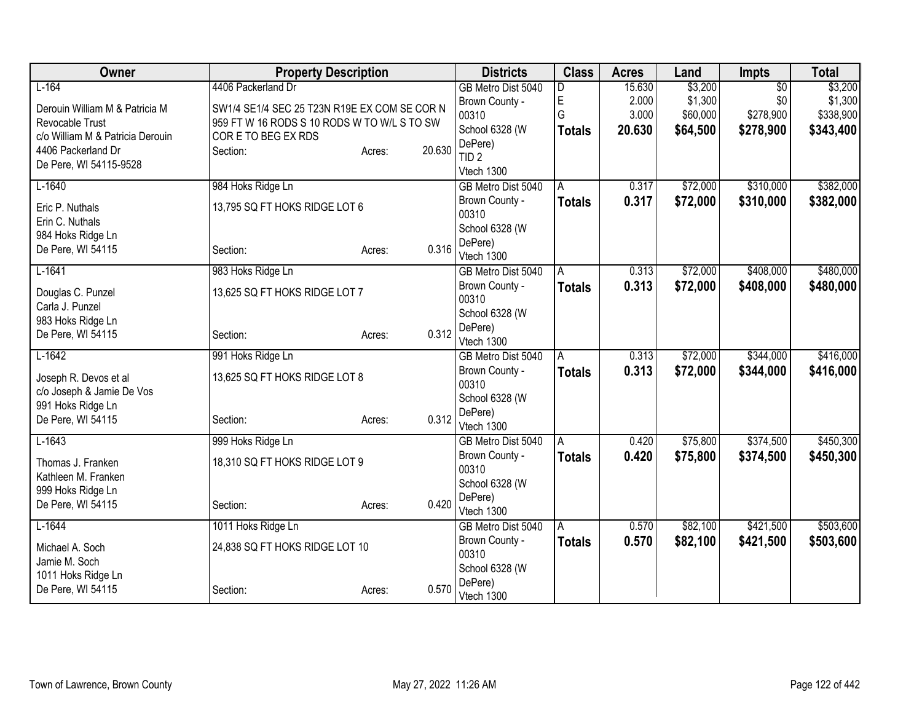| Owner                                  | <b>Property Description</b>                  |                  | <b>Districts</b>            | <b>Class</b>  | <b>Acres</b> | Land     | <b>Impts</b> | <b>Total</b> |
|----------------------------------------|----------------------------------------------|------------------|-----------------------------|---------------|--------------|----------|--------------|--------------|
| $L-164$                                | 4406 Packerland Dr                           |                  | GB Metro Dist 5040          | D             | 15.630       | \$3,200  | \$0          | \$3,200      |
| Derouin William M & Patricia M         | SW1/4 SE1/4 SEC 25 T23N R19E EX COM SE COR N |                  | Brown County -              | $\mathsf E$   | 2.000        | \$1,300  | \$0          | \$1,300      |
| Revocable Trust                        | 959 FT W 16 RODS S 10 RODS W TO W/L S TO SW  |                  | 00310                       | G             | 3.000        | \$60,000 | \$278,900    | \$338,900    |
| c/o William M & Patricia Derouin       | COR E TO BEG EX RDS                          |                  | School 6328 (W              | <b>Totals</b> | 20.630       | \$64,500 | \$278,900    | \$343,400    |
| 4406 Packerland Dr                     | Section:                                     | 20.630<br>Acres: | DePere)<br>TID <sub>2</sub> |               |              |          |              |              |
| De Pere, WI 54115-9528                 |                                              |                  | Vtech 1300                  |               |              |          |              |              |
| $L-1640$                               | 984 Hoks Ridge Ln                            |                  | GB Metro Dist 5040          | A             | 0.317        | \$72,000 | \$310,000    | \$382,000    |
|                                        |                                              |                  | Brown County -              | <b>Totals</b> | 0.317        | \$72,000 | \$310,000    | \$382,000    |
| Eric P. Nuthals                        | 13,795 SQ FT HOKS RIDGE LOT 6                |                  | 00310                       |               |              |          |              |              |
| Erin C. Nuthals                        |                                              |                  | School 6328 (W              |               |              |          |              |              |
| 984 Hoks Ridge Ln<br>De Pere, WI 54115 | Section:                                     | 0.316<br>Acres:  | DePere)                     |               |              |          |              |              |
|                                        |                                              |                  | Vtech 1300                  |               |              |          |              |              |
| $L-1641$                               | 983 Hoks Ridge Ln                            |                  | GB Metro Dist 5040          | A             | 0.313        | \$72,000 | \$408,000    | \$480,000    |
| Douglas C. Punzel                      | 13,625 SQ FT HOKS RIDGE LOT 7                |                  | Brown County -              | <b>Totals</b> | 0.313        | \$72,000 | \$408,000    | \$480,000    |
| Carla J. Punzel                        |                                              |                  | 00310<br>School 6328 (W     |               |              |          |              |              |
| 983 Hoks Ridge Ln                      |                                              |                  | DePere)                     |               |              |          |              |              |
| De Pere, WI 54115                      | Section:                                     | 0.312<br>Acres:  | Vtech 1300                  |               |              |          |              |              |
| $L-1642$                               | 991 Hoks Ridge Ln                            |                  | GB Metro Dist 5040          | A             | 0.313        | \$72,000 | \$344,000    | \$416,000    |
| Joseph R. Devos et al                  | 13,625 SQ FT HOKS RIDGE LOT 8                |                  | Brown County -              | <b>Totals</b> | 0.313        | \$72,000 | \$344,000    | \$416,000    |
| c/o Joseph & Jamie De Vos              |                                              |                  | 00310                       |               |              |          |              |              |
| 991 Hoks Ridge Ln                      |                                              |                  | School 6328 (W              |               |              |          |              |              |
| De Pere, WI 54115                      | Section:                                     | 0.312<br>Acres:  | DePere)                     |               |              |          |              |              |
|                                        |                                              |                  | Vtech 1300                  |               |              |          |              |              |
| $L-1643$                               | 999 Hoks Ridge Ln                            |                  | GB Metro Dist 5040          | A             | 0.420        | \$75,800 | \$374,500    | \$450,300    |
| Thomas J. Franken                      | 18,310 SQ FT HOKS RIDGE LOT 9                |                  | Brown County -<br>00310     | <b>Totals</b> | 0.420        | \$75,800 | \$374,500    | \$450,300    |
| Kathleen M. Franken                    |                                              |                  | School 6328 (W              |               |              |          |              |              |
| 999 Hoks Ridge Ln                      |                                              |                  | DePere)                     |               |              |          |              |              |
| De Pere, WI 54115                      | Section:                                     | 0.420<br>Acres:  | Vtech 1300                  |               |              |          |              |              |
| $L-1644$                               | 1011 Hoks Ridge Ln                           |                  | GB Metro Dist 5040          | A             | 0.570        | \$82,100 | \$421,500    | \$503,600    |
| Michael A. Soch                        | 24,838 SQ FT HOKS RIDGE LOT 10               |                  | Brown County -              | <b>Totals</b> | 0.570        | \$82,100 | \$421,500    | \$503,600    |
| Jamie M. Soch                          |                                              |                  | 00310                       |               |              |          |              |              |
| 1011 Hoks Ridge Ln                     |                                              |                  | School 6328 (W              |               |              |          |              |              |
| De Pere, WI 54115                      | Section:                                     | 0.570<br>Acres:  | DePere)<br>Vtech 1300       |               |              |          |              |              |
|                                        |                                              |                  |                             |               |              |          |              |              |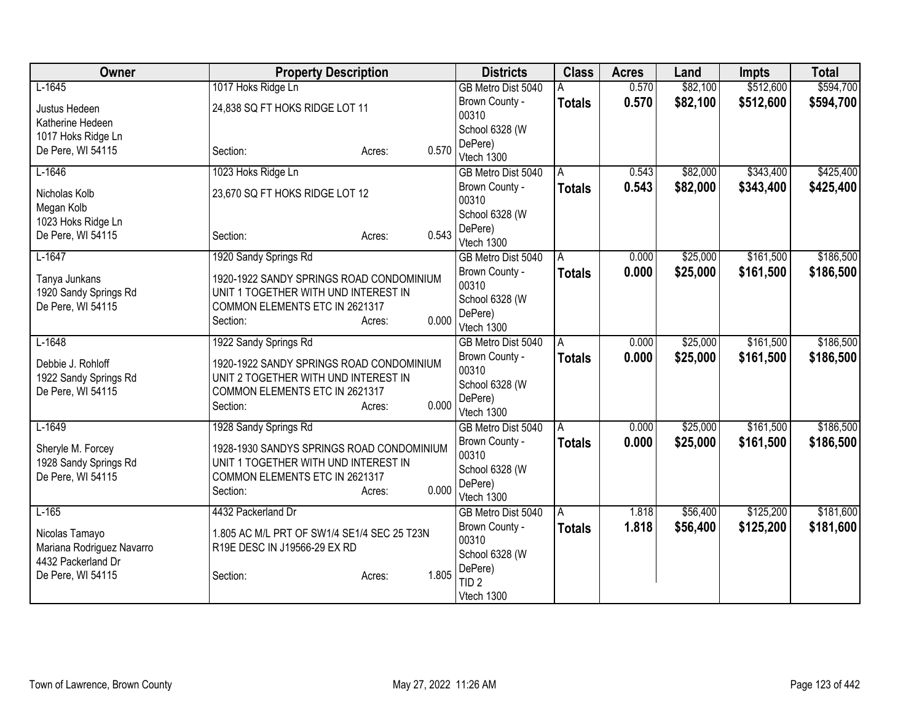| Owner                                   | <b>Property Description</b>                                                      | <b>Districts</b>        | <b>Class</b>  | <b>Acres</b> | Land     | Impts     | <b>Total</b> |
|-----------------------------------------|----------------------------------------------------------------------------------|-------------------------|---------------|--------------|----------|-----------|--------------|
| $L-1645$                                | 1017 Hoks Ridge Ln                                                               | GB Metro Dist 5040      |               | 0.570        | \$82,100 | \$512,600 | \$594,700    |
| Justus Hedeen                           | 24,838 SQ FT HOKS RIDGE LOT 11                                                   | Brown County -<br>00310 | <b>Totals</b> | 0.570        | \$82,100 | \$512,600 | \$594,700    |
| Katherine Hedeen                        |                                                                                  | School 6328 (W          |               |              |          |           |              |
| 1017 Hoks Ridge Ln<br>De Pere, WI 54115 | 0.570<br>Section:<br>Acres:                                                      | DePere)<br>Vtech 1300   |               |              |          |           |              |
| $L-1646$                                | 1023 Hoks Ridge Ln                                                               | GB Metro Dist 5040      | A             | 0.543        | \$82,000 | \$343,400 | \$425,400    |
| Nicholas Kolb<br>Megan Kolb             | 23,670 SQ FT HOKS RIDGE LOT 12                                                   | Brown County -<br>00310 | <b>Totals</b> | 0.543        | \$82,000 | \$343,400 | \$425,400    |
| 1023 Hoks Ridge Ln                      |                                                                                  | School 6328 (W          |               |              |          |           |              |
| De Pere, WI 54115                       | 0.543<br>Section:<br>Acres:                                                      | DePere)<br>Vtech 1300   |               |              |          |           |              |
| $L-1647$                                | 1920 Sandy Springs Rd                                                            | GB Metro Dist 5040      | A             | 0.000        | \$25,000 | \$161,500 | \$186,500    |
| Tanya Junkans<br>1920 Sandy Springs Rd  | 1920-1922 SANDY SPRINGS ROAD CONDOMINIUM<br>UNIT 1 TOGETHER WITH UND INTEREST IN | Brown County -<br>00310 | <b>Totals</b> | 0.000        | \$25,000 | \$161,500 | \$186,500    |
| De Pere, WI 54115                       | COMMON ELEMENTS ETC IN 2621317                                                   | School 6328 (W          |               |              |          |           |              |
|                                         | 0.000<br>Section:<br>Acres:                                                      | DePere)<br>Vtech 1300   |               |              |          |           |              |
| $L-1648$                                | 1922 Sandy Springs Rd                                                            | GB Metro Dist 5040      | A             | 0.000        | \$25,000 | \$161,500 | \$186,500    |
| Debbie J. Rohloff                       | 1920-1922 SANDY SPRINGS ROAD CONDOMINIUM                                         | Brown County -<br>00310 | <b>Totals</b> | 0.000        | \$25,000 | \$161,500 | \$186,500    |
| 1922 Sandy Springs Rd                   | UNIT 2 TOGETHER WITH UND INTEREST IN                                             | School 6328 (W          |               |              |          |           |              |
| De Pere, WI 54115                       | COMMON ELEMENTS ETC IN 2621317                                                   | DePere)                 |               |              |          |           |              |
|                                         | 0.000<br>Section:<br>Acres:                                                      | Vtech 1300              |               |              |          |           |              |
| $L-1649$                                | 1928 Sandy Springs Rd                                                            | GB Metro Dist 5040      | Α             | 0.000        | \$25,000 | \$161,500 | \$186,500    |
| Sheryle M. Forcey                       | 1928-1930 SANDYS SPRINGS ROAD CONDOMINIUM                                        | Brown County -          | <b>Totals</b> | 0.000        | \$25,000 | \$161,500 | \$186,500    |
| 1928 Sandy Springs Rd                   | UNIT 1 TOGETHER WITH UND INTEREST IN                                             | 00310<br>School 6328 (W |               |              |          |           |              |
| De Pere, WI 54115                       | COMMON ELEMENTS ETC IN 2621317                                                   | DePere)                 |               |              |          |           |              |
|                                         | 0.000<br>Section:<br>Acres:                                                      | Vtech 1300              |               |              |          |           |              |
| $L-165$                                 | 4432 Packerland Dr                                                               | GB Metro Dist 5040      | A             | 1.818        | \$56,400 | \$125,200 | \$181,600    |
| Nicolas Tamayo                          | 1.805 AC M/L PRT OF SW1/4 SE1/4 SEC 25 T23N                                      | Brown County -          | <b>Totals</b> | 1.818        | \$56,400 | \$125,200 | \$181,600    |
| Mariana Rodriguez Navarro               | R19E DESC IN J19566-29 EX RD                                                     | 00310<br>School 6328 (W |               |              |          |           |              |
| 4432 Packerland Dr                      |                                                                                  | DePere)                 |               |              |          |           |              |
| De Pere, WI 54115                       | 1.805<br>Section:<br>Acres:                                                      | TID <sub>2</sub>        |               |              |          |           |              |
|                                         |                                                                                  | Vtech 1300              |               |              |          |           |              |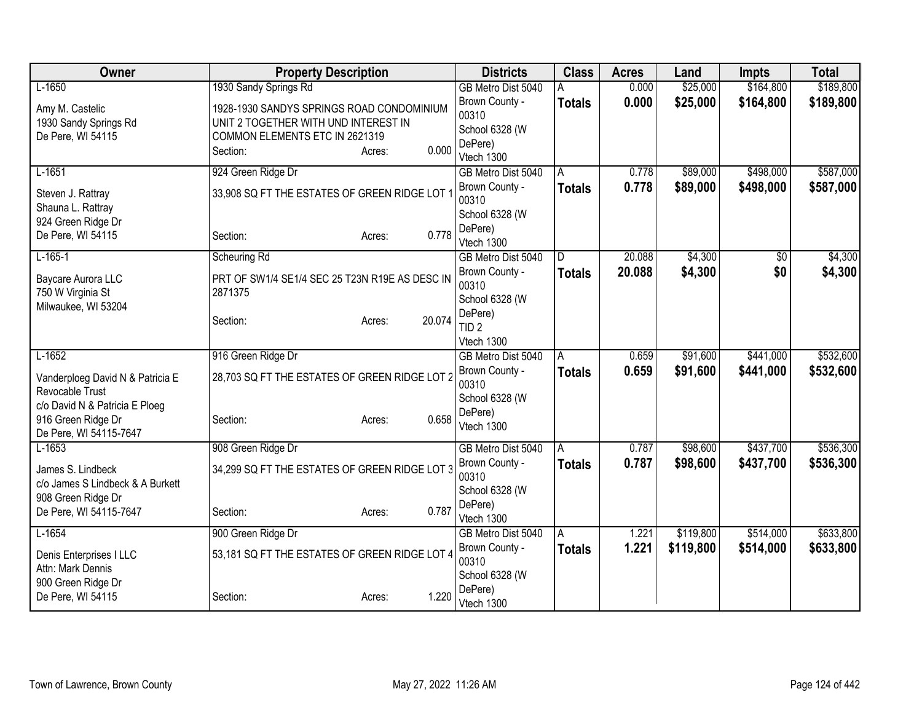| Owner                                               | <b>Property Description</b>                    |                  | <b>Districts</b>            | <b>Class</b>  | <b>Acres</b> | Land      | <b>Impts</b> | <b>Total</b> |
|-----------------------------------------------------|------------------------------------------------|------------------|-----------------------------|---------------|--------------|-----------|--------------|--------------|
| $L-1650$                                            | 1930 Sandy Springs Rd                          |                  | GB Metro Dist 5040          |               | 0.000        | \$25,000  | \$164,800    | \$189,800    |
| Amy M. Castelic                                     | 1928-1930 SANDYS SPRINGS ROAD CONDOMINIUM      |                  | Brown County -              | <b>Totals</b> | 0.000        | \$25,000  | \$164,800    | \$189,800    |
| 1930 Sandy Springs Rd                               | UNIT 2 TOGETHER WITH UND INTEREST IN           |                  | 00310                       |               |              |           |              |              |
| De Pere, WI 54115                                   | COMMON ELEMENTS ETC IN 2621319                 |                  | School 6328 (W              |               |              |           |              |              |
|                                                     | Section:                                       | 0.000<br>Acres:  | DePere)<br>Vtech 1300       |               |              |           |              |              |
| $L-1651$                                            | 924 Green Ridge Dr                             |                  | GB Metro Dist 5040          | A             | 0.778        | \$89,000  | \$498,000    | \$587,000    |
| Steven J. Rattray                                   | 33,908 SQ FT THE ESTATES OF GREEN RIDGE LOT    |                  | Brown County -              | <b>Totals</b> | 0.778        | \$89,000  | \$498,000    | \$587,000    |
| Shauna L. Rattray                                   |                                                |                  | 00310<br>School 6328 (W     |               |              |           |              |              |
| 924 Green Ridge Dr                                  |                                                |                  | DePere)                     |               |              |           |              |              |
| De Pere, WI 54115                                   | Section:                                       | 0.778<br>Acres:  | Vtech 1300                  |               |              |           |              |              |
| $L-165-1$                                           | Scheuring Rd                                   |                  | GB Metro Dist 5040          | D.            | 20.088       | \$4,300   | \$0          | \$4,300      |
| Baycare Aurora LLC                                  | PRT OF SW1/4 SE1/4 SEC 25 T23N R19E AS DESC IN |                  | Brown County -              | <b>Totals</b> | 20.088       | \$4,300   | \$0          | \$4,300      |
| 750 W Virginia St                                   | 2871375                                        |                  | 00310                       |               |              |           |              |              |
| Milwaukee, WI 53204                                 |                                                |                  | School 6328 (W              |               |              |           |              |              |
|                                                     | Section:                                       | 20.074<br>Acres: | DePere)<br>TID <sub>2</sub> |               |              |           |              |              |
|                                                     |                                                |                  | Vtech 1300                  |               |              |           |              |              |
| $L-1652$                                            | 916 Green Ridge Dr                             |                  | GB Metro Dist 5040          | A             | 0.659        | \$91,600  | \$441,000    | \$532,600    |
|                                                     |                                                |                  | Brown County -              | <b>Totals</b> | 0.659        | \$91,600  | \$441,000    | \$532,600    |
| Vanderploeg David N & Patricia E<br>Revocable Trust | 28,703 SQ FT THE ESTATES OF GREEN RIDGE LOT 2  |                  | 00310                       |               |              |           |              |              |
| c/o David N & Patricia E Ploeg                      |                                                |                  | School 6328 (W              |               |              |           |              |              |
| 916 Green Ridge Dr                                  | Section:                                       | 0.658<br>Acres:  | DePere)                     |               |              |           |              |              |
| De Pere, WI 54115-7647                              |                                                |                  | Vtech 1300                  |               |              |           |              |              |
| $L-1653$                                            | 908 Green Ridge Dr                             |                  | GB Metro Dist 5040          | A             | 0.787        | \$98,600  | \$437,700    | \$536,300    |
| James S. Lindbeck                                   | 34,299 SQ FT THE ESTATES OF GREEN RIDGE LOT 3  |                  | Brown County -              | <b>Totals</b> | 0.787        | \$98,600  | \$437,700    | \$536,300    |
| c/o James S Lindbeck & A Burkett                    |                                                |                  | 00310                       |               |              |           |              |              |
| 908 Green Ridge Dr                                  |                                                |                  | School 6328 (W<br>DePere)   |               |              |           |              |              |
| De Pere, WI 54115-7647                              | Section:                                       | 0.787<br>Acres:  | Vtech 1300                  |               |              |           |              |              |
| $L-1654$                                            | 900 Green Ridge Dr                             |                  | GB Metro Dist 5040          | A             | 1.221        | \$119,800 | \$514,000    | \$633,800    |
| Denis Enterprises I LLC                             | 53,181 SQ FT THE ESTATES OF GREEN RIDGE LOT 4  |                  | Brown County -              | <b>Totals</b> | 1.221        | \$119,800 | \$514,000    | \$633,800    |
| Attn: Mark Dennis                                   |                                                |                  | 00310                       |               |              |           |              |              |
| 900 Green Ridge Dr                                  |                                                |                  | School 6328 (W              |               |              |           |              |              |
| De Pere, WI 54115                                   | Section:                                       | 1.220<br>Acres:  | DePere)<br>Vtech 1300       |               |              |           |              |              |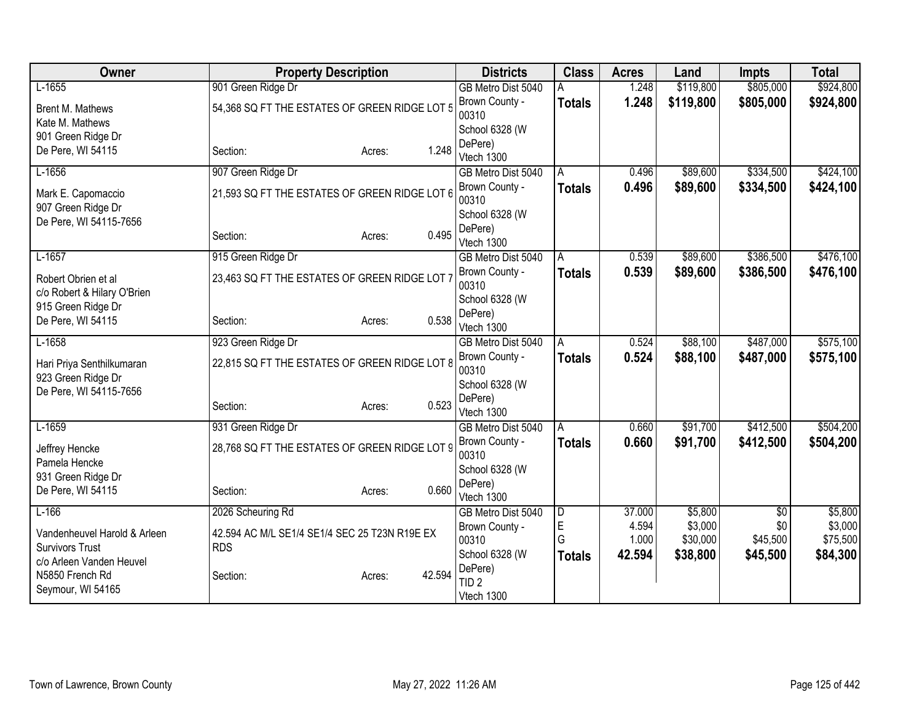| Owner                                              | <b>Property Description</b>                   |        |        | <b>Districts</b>            | <b>Class</b>            | <b>Acres</b> | Land      | <b>Impts</b> | <b>Total</b> |
|----------------------------------------------------|-----------------------------------------------|--------|--------|-----------------------------|-------------------------|--------------|-----------|--------------|--------------|
| $L-1655$                                           | 901 Green Ridge Dr                            |        |        | GB Metro Dist 5040          | Α                       | 1.248        | \$119,800 | \$805,000    | \$924,800    |
| Brent M. Mathews<br>Kate M. Mathews                | 54,368 SQ FT THE ESTATES OF GREEN RIDGE LOT 5 |        |        | Brown County -<br>00310     | <b>Totals</b>           | 1.248        | \$119,800 | \$805,000    | \$924,800    |
| 901 Green Ridge Dr                                 |                                               |        |        | School 6328 (W              |                         |              |           |              |              |
| De Pere, WI 54115                                  | Section:                                      | Acres: | 1.248  | DePere)<br>Vtech 1300       |                         |              |           |              |              |
| $L-1656$                                           | 907 Green Ridge Dr                            |        |        | GB Metro Dist 5040          | A                       | 0.496        | \$89,600  | \$334,500    | \$424,100    |
| Mark E. Capomaccio<br>907 Green Ridge Dr           | 21,593 SQ FT THE ESTATES OF GREEN RIDGE LOT 6 |        |        | Brown County -<br>00310     | <b>Totals</b>           | 0.496        | \$89,600  | \$334,500    | \$424,100    |
| De Pere, WI 54115-7656                             |                                               |        |        | School 6328 (W              |                         |              |           |              |              |
|                                                    | Section:                                      | Acres: | 0.495  | DePere)<br>Vtech 1300       |                         |              |           |              |              |
| $L-1657$                                           | 915 Green Ridge Dr                            |        |        | GB Metro Dist 5040          | A                       | 0.539        | \$89,600  | \$386,500    | \$476,100    |
| Robert Obrien et al<br>c/o Robert & Hilary O'Brien | 23,463 SQ FT THE ESTATES OF GREEN RIDGE LOT 7 |        |        | Brown County -<br>00310     | <b>Totals</b>           | 0.539        | \$89,600  | \$386,500    | \$476,100    |
| 915 Green Ridge Dr                                 |                                               |        |        | School 6328 (W              |                         |              |           |              |              |
| De Pere, WI 54115                                  | Section:                                      | Acres: | 0.538  | DePere)<br>Vtech 1300       |                         |              |           |              |              |
| $L-1658$                                           | 923 Green Ridge Dr                            |        |        | GB Metro Dist 5040          | A                       | 0.524        | \$88,100  | \$487,000    | \$575,100    |
| Hari Priya Senthilkumaran<br>923 Green Ridge Dr    | 22,815 SQ FT THE ESTATES OF GREEN RIDGE LOT 8 |        |        | Brown County -<br>00310     | <b>Totals</b>           | 0.524        | \$88,100  | \$487,000    | \$575,100    |
| De Pere, WI 54115-7656                             |                                               |        |        | School 6328 (W              |                         |              |           |              |              |
|                                                    | Section:                                      | Acres: | 0.523  | DePere)<br>Vtech 1300       |                         |              |           |              |              |
| $L-1659$                                           | 931 Green Ridge Dr                            |        |        | GB Metro Dist 5040          | A                       | 0.660        | \$91,700  | \$412,500    | \$504,200    |
| Jeffrey Hencke<br>Pamela Hencke                    | 28,768 SQ FT THE ESTATES OF GREEN RIDGE LOT 9 |        |        | Brown County -<br>00310     | <b>Totals</b>           | 0.660        | \$91,700  | \$412,500    | \$504,200    |
| 931 Green Ridge Dr                                 |                                               |        |        | School 6328 (W              |                         |              |           |              |              |
| De Pere, WI 54115                                  | Section:                                      | Acres: | 0.660  | DePere)<br>Vtech 1300       |                         |              |           |              |              |
| $L-166$                                            | 2026 Scheuring Rd                             |        |        | GB Metro Dist 5040          | $\overline{\mathsf{D}}$ | 37.000       | \$5,800   | $\sqrt{$0}$  | \$5,800      |
| Vandenheuvel Harold & Arleen                       | 42.594 AC M/L SE1/4 SE1/4 SEC 25 T23N R19E EX |        |        | Brown County -              | E                       | 4.594        | \$3,000   | \$0          | \$3,000      |
| <b>Survivors Trust</b>                             | <b>RDS</b>                                    |        |        | 00310                       | G                       | 1.000        | \$30,000  | \$45,500     | \$75,500     |
| c/o Arleen Vanden Heuvel                           |                                               |        |        | School 6328 (W              | <b>Totals</b>           | 42.594       | \$38,800  | \$45,500     | \$84,300     |
| N5850 French Rd                                    | Section:                                      | Acres: | 42.594 | DePere)<br>TID <sub>2</sub> |                         |              |           |              |              |
| Seymour, WI 54165                                  |                                               |        |        | Vtech 1300                  |                         |              |           |              |              |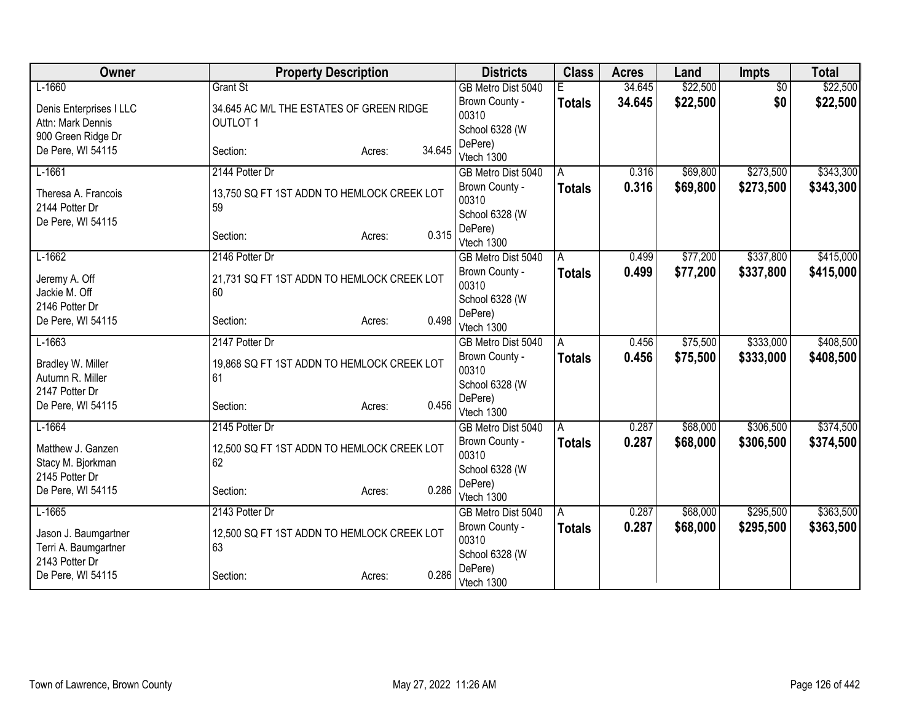| Owner                                  | <b>Property Description</b>                      |                  | <b>Districts</b>                 | <b>Class</b>  | <b>Acres</b> | Land     | <b>Impts</b>    | <b>Total</b> |
|----------------------------------------|--------------------------------------------------|------------------|----------------------------------|---------------|--------------|----------|-----------------|--------------|
| $L-1660$                               | <b>Grant St</b>                                  |                  | GB Metro Dist 5040               |               | 34.645       | \$22,500 | $\overline{50}$ | \$22,500     |
| Denis Enterprises I LLC                | 34.645 AC M/L THE ESTATES OF GREEN RIDGE         |                  | Brown County -                   | <b>Totals</b> | 34.645       | \$22,500 | \$0             | \$22,500     |
| Attn: Mark Dennis                      | <b>OUTLOT 1</b>                                  |                  | 00310                            |               |              |          |                 |              |
| 900 Green Ridge Dr                     |                                                  |                  | School 6328 (W                   |               |              |          |                 |              |
| De Pere, WI 54115                      | Section:                                         | 34.645<br>Acres: | DePere)                          |               |              |          |                 |              |
| $L-1661$                               | 2144 Potter Dr                                   |                  | Vtech 1300<br>GB Metro Dist 5040 | A             | 0.316        | \$69,800 | \$273,500       | \$343,300    |
|                                        |                                                  |                  |                                  |               |              |          |                 |              |
| Theresa A. Francois                    | 13,750 SQ FT 1ST ADDN TO HEMLOCK CREEK LOT       |                  | Brown County -<br>00310          | <b>Totals</b> | 0.316        | \$69,800 | \$273,500       | \$343,300    |
| 2144 Potter Dr                         | 59                                               |                  | School 6328 (W                   |               |              |          |                 |              |
| De Pere, WI 54115                      |                                                  |                  | DePere)                          |               |              |          |                 |              |
|                                        | Section:                                         | 0.315<br>Acres:  | Vtech 1300                       |               |              |          |                 |              |
| $L-1662$                               | 2146 Potter Dr                                   |                  | GB Metro Dist 5040               | A             | 0.499        | \$77,200 | \$337,800       | \$415,000    |
|                                        |                                                  |                  | Brown County -                   | Totals        | 0.499        | \$77,200 | \$337,800       | \$415,000    |
| Jeremy A. Off                          | 21,731 SQ FT 1ST ADDN TO HEMLOCK CREEK LOT<br>60 |                  | 00310                            |               |              |          |                 |              |
| Jackie M. Off<br>2146 Potter Dr        |                                                  |                  | School 6328 (W                   |               |              |          |                 |              |
| De Pere, WI 54115                      | Section:                                         | 0.498<br>Acres:  | DePere)                          |               |              |          |                 |              |
|                                        |                                                  |                  | Vtech 1300                       |               |              |          |                 |              |
| $L-1663$                               | 2147 Potter Dr                                   |                  | GB Metro Dist 5040               | A             | 0.456        | \$75,500 | \$333,000       | \$408,500    |
| Bradley W. Miller                      | 19,868 SQ FT 1ST ADDN TO HEMLOCK CREEK LOT       |                  | Brown County -                   | <b>Totals</b> | 0.456        | \$75,500 | \$333,000       | \$408,500    |
| Autumn R. Miller                       | 61                                               |                  | 00310                            |               |              |          |                 |              |
| 2147 Potter Dr                         |                                                  |                  | School 6328 (W                   |               |              |          |                 |              |
| De Pere, WI 54115                      | Section:                                         | 0.456<br>Acres:  | DePere)<br>Vtech 1300            |               |              |          |                 |              |
| $L-1664$                               | 2145 Potter Dr                                   |                  | GB Metro Dist 5040               |               | 0.287        | \$68,000 | \$306,500       | \$374,500    |
|                                        |                                                  |                  | Brown County -                   | A             | 0.287        | \$68,000 | \$306,500       |              |
| Matthew J. Ganzen                      | 12,500 SQ FT 1ST ADDN TO HEMLOCK CREEK LOT       |                  | 00310                            | <b>Totals</b> |              |          |                 | \$374,500    |
| Stacy M. Bjorkman                      | 62                                               |                  | School 6328 (W                   |               |              |          |                 |              |
| 2145 Potter Dr                         |                                                  |                  | DePere)                          |               |              |          |                 |              |
| De Pere, WI 54115                      | Section:                                         | 0.286<br>Acres:  | Vtech 1300                       |               |              |          |                 |              |
| $L-1665$                               | 2143 Potter Dr                                   |                  | GB Metro Dist 5040               | A             | 0.287        | \$68,000 | \$295,500       | \$363,500    |
|                                        |                                                  |                  | Brown County -                   | <b>Totals</b> | 0.287        | \$68,000 | \$295,500       | \$363,500    |
| Jason J. Baumgartner                   | 12,500 SQ FT 1ST ADDN TO HEMLOCK CREEK LOT<br>63 |                  | 00310                            |               |              |          |                 |              |
| Terri A. Baumgartner<br>2143 Potter Dr |                                                  |                  | School 6328 (W                   |               |              |          |                 |              |
| De Pere, WI 54115                      | Section:                                         | 0.286<br>Acres:  | DePere)                          |               |              |          |                 |              |
|                                        |                                                  |                  | Vtech 1300                       |               |              |          |                 |              |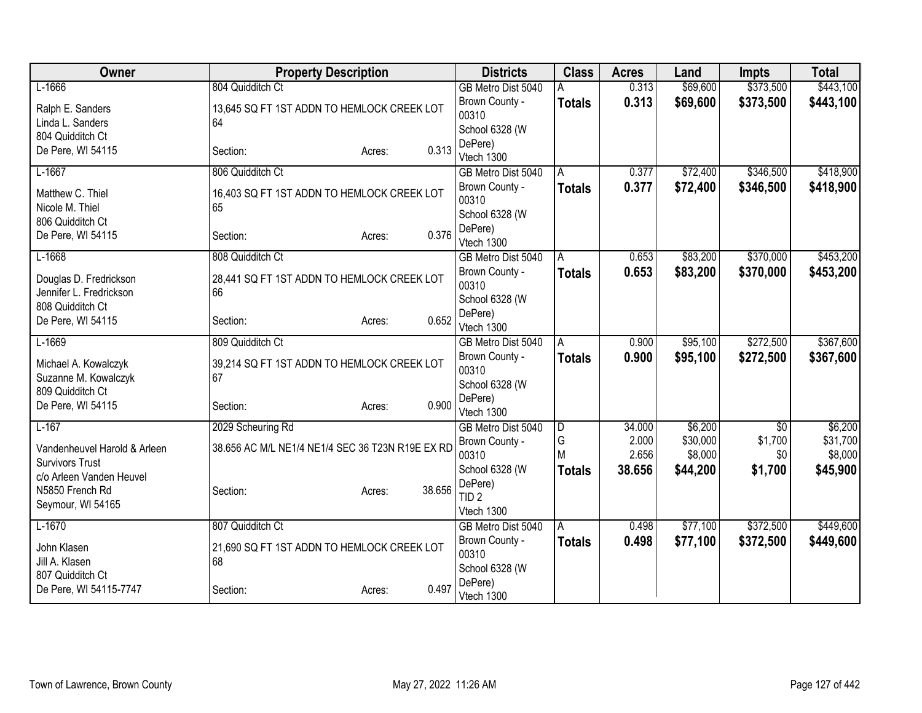| Owner                                              | <b>Property Description</b>                      |                  | <b>Districts</b>          | <b>Class</b>  | <b>Acres</b> | Land     | <b>Impts</b>    | <b>Total</b> |
|----------------------------------------------------|--------------------------------------------------|------------------|---------------------------|---------------|--------------|----------|-----------------|--------------|
| $L-1666$                                           | 804 Quidditch Ct                                 |                  | GB Metro Dist 5040        | Α             | 0.313        | \$69,600 | \$373,500       | \$443,100    |
| Ralph E. Sanders                                   | 13,645 SQ FT 1ST ADDN TO HEMLOCK CREEK LOT       |                  | Brown County -            | <b>Totals</b> | 0.313        | \$69,600 | \$373,500       | \$443,100    |
| Linda L. Sanders                                   | 64                                               |                  | 00310                     |               |              |          |                 |              |
| 804 Quidditch Ct                                   |                                                  |                  | School 6328 (W<br>DePere) |               |              |          |                 |              |
| De Pere, WI 54115                                  | Section:                                         | 0.313<br>Acres:  | Vtech 1300                |               |              |          |                 |              |
| $L-1667$                                           | 806 Quidditch Ct                                 |                  | GB Metro Dist 5040        | A             | 0.377        | \$72,400 | \$346,500       | \$418,900    |
| Matthew C. Thiel                                   | 16,403 SQ FT 1ST ADDN TO HEMLOCK CREEK LOT       |                  | Brown County -            | <b>Totals</b> | 0.377        | \$72,400 | \$346,500       | \$418,900    |
| Nicole M. Thiel                                    | 65                                               |                  | 00310                     |               |              |          |                 |              |
| 806 Quidditch Ct                                   |                                                  |                  | School 6328 (W            |               |              |          |                 |              |
| De Pere, WI 54115                                  | Section:                                         | 0.376<br>Acres:  | DePere)<br>Vtech 1300     |               |              |          |                 |              |
| $L-1668$                                           | 808 Quidditch Ct                                 |                  | GB Metro Dist 5040        | A             | 0.653        | \$83,200 | \$370,000       | \$453,200    |
|                                                    |                                                  |                  | Brown County -            | <b>Totals</b> | 0.653        | \$83,200 | \$370,000       | \$453,200    |
| Douglas D. Fredrickson                             | 28,441 SQ FT 1ST ADDN TO HEMLOCK CREEK LOT       |                  | 00310                     |               |              |          |                 |              |
| Jennifer L. Fredrickson                            | 66                                               |                  | School 6328 (W            |               |              |          |                 |              |
| 808 Quidditch Ct                                   |                                                  | 0.652            | DePere)                   |               |              |          |                 |              |
| De Pere, WI 54115                                  | Section:                                         | Acres:           | Vtech 1300                |               |              |          |                 |              |
| $L-1669$                                           | 809 Quidditch Ct                                 |                  | GB Metro Dist 5040        | A             | 0.900        | \$95,100 | \$272,500       | \$367,600    |
| Michael A. Kowalczyk                               | 39,214 SQ FT 1ST ADDN TO HEMLOCK CREEK LOT       |                  | Brown County -            | <b>Totals</b> | 0.900        | \$95,100 | \$272,500       | \$367,600    |
| Suzanne M. Kowalczyk                               | 67                                               |                  | 00310                     |               |              |          |                 |              |
| 809 Quidditch Ct                                   |                                                  |                  | School 6328 (W            |               |              |          |                 |              |
| De Pere, WI 54115                                  | Section:                                         | 0.900<br>Acres:  | DePere)<br>Vtech 1300     |               |              |          |                 |              |
| $L-167$                                            | 2029 Scheuring Rd                                |                  | GB Metro Dist 5040        | D             | 34.000       | \$6,200  | $\overline{50}$ | \$6,200      |
|                                                    |                                                  |                  | Brown County -            | G             | 2.000        | \$30,000 | \$1,700         | \$31,700     |
| Vandenheuvel Harold & Arleen                       | 38.656 AC M/L NE1/4 NE1/4 SEC 36 T23N R19E EX RD |                  | 00310                     | M             | 2.656        | \$8,000  | \$0             | \$8,000      |
| <b>Survivors Trust</b><br>c/o Arleen Vanden Heuvel |                                                  |                  | School 6328 (W            | <b>Totals</b> | 38.656       | \$44,200 | \$1,700         | \$45,900     |
| N5850 French Rd                                    | Section:                                         | 38.656<br>Acres: | DePere)                   |               |              |          |                 |              |
| Seymour, WI 54165                                  |                                                  |                  | TID <sub>2</sub>          |               |              |          |                 |              |
|                                                    |                                                  |                  | Vtech 1300                |               |              |          |                 |              |
| $L-1670$                                           | 807 Quidditch Ct                                 |                  | GB Metro Dist 5040        | l A           | 0.498        | \$77,100 | \$372,500       | \$449,600    |
| John Klasen                                        | 21,690 SQ FT 1ST ADDN TO HEMLOCK CREEK LOT       |                  | Brown County -            | <b>Totals</b> | 0.498        | \$77,100 | \$372,500       | \$449,600    |
| Jill A. Klasen                                     | 68                                               |                  | 00310<br>School 6328 (W   |               |              |          |                 |              |
| 807 Quidditch Ct                                   |                                                  |                  | DePere)                   |               |              |          |                 |              |
| De Pere, WI 54115-7747                             | Section:                                         | 0.497<br>Acres:  | Vtech 1300                |               |              |          |                 |              |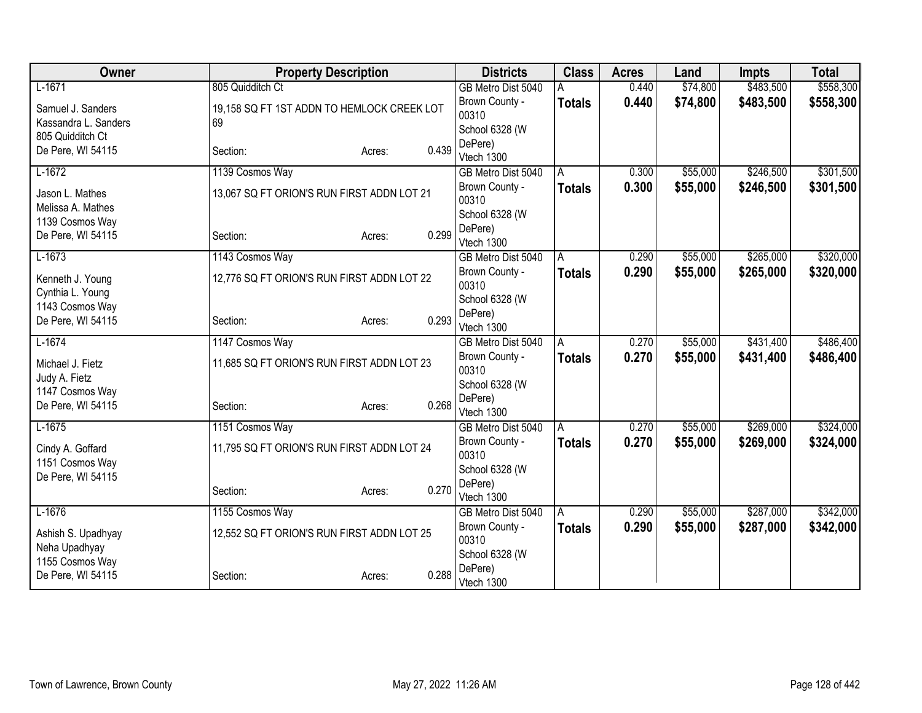| Owner                                | <b>Property Description</b>                |                         | <b>Districts</b>        | <b>Class</b>  | <b>Acres</b> | Land      | <b>Impts</b> | <b>Total</b> |
|--------------------------------------|--------------------------------------------|-------------------------|-------------------------|---------------|--------------|-----------|--------------|--------------|
| $L-1671$                             | 805 Quidditch Ct                           |                         | GB Metro Dist 5040      |               | 0.440        | \$74,800  | \$483,500    | \$558,300    |
| Samuel J. Sanders                    | 19,158 SQ FT 1ST ADDN TO HEMLOCK CREEK LOT |                         | Brown County -          | <b>Totals</b> | 0.440        | \$74,800  | \$483,500    | \$558,300    |
| Kassandra L. Sanders                 | 69                                         |                         | 00310                   |               |              |           |              |              |
| 805 Quidditch Ct                     |                                            |                         | School 6328 (W          |               |              |           |              |              |
| De Pere, WI 54115                    | Section:                                   | 0.439<br>Acres:         | DePere)<br>Vtech 1300   |               |              |           |              |              |
| $L-1672$                             | 1139 Cosmos Way                            |                         | GB Metro Dist 5040      | A             | 0.300        | \$55,000  | \$246,500    | \$301,500    |
| Jason L. Mathes<br>Melissa A. Mathes | 13,067 SQ FT ORION'S RUN FIRST ADDN LOT 21 | Brown County -<br>00310 | <b>Totals</b>           | 0.300         | \$55,000     | \$246,500 | \$301,500    |              |
| 1139 Cosmos Way                      |                                            |                         | School 6328 (W          |               |              |           |              |              |
| De Pere, WI 54115                    | Section:                                   | 0.299<br>Acres:         | DePere)<br>Vtech 1300   |               |              |           |              |              |
| $L-1673$                             | 1143 Cosmos Way                            |                         | GB Metro Dist 5040      | A             | 0.290        | \$55,000  | \$265,000    | \$320,000    |
| Kenneth J. Young<br>Cynthia L. Young | 12,776 SQ FT ORION'S RUN FIRST ADDN LOT 22 |                         | Brown County -<br>00310 | Totals        | 0.290        | \$55,000  | \$265,000    | \$320,000    |
| 1143 Cosmos Way                      |                                            |                         | School 6328 (W          |               |              |           |              |              |
| De Pere, WI 54115                    | Section:                                   | 0.293<br>Acres:         | DePere)<br>Vtech 1300   |               |              |           |              |              |
| $L-1674$                             | 1147 Cosmos Way                            |                         | GB Metro Dist 5040      | A             | 0.270        | \$55,000  | \$431,400    | \$486,400    |
| Michael J. Fietz<br>Judy A. Fietz    | 11,685 SQ FT ORION'S RUN FIRST ADDN LOT 23 |                         | Brown County -<br>00310 | <b>Totals</b> | 0.270        | \$55,000  | \$431,400    | \$486,400    |
| 1147 Cosmos Way                      |                                            |                         | School 6328 (W          |               |              |           |              |              |
| De Pere, WI 54115                    | Section:                                   | 0.268<br>Acres:         | DePere)<br>Vtech 1300   |               |              |           |              |              |
| $L-1675$                             | 1151 Cosmos Way                            |                         | GB Metro Dist 5040      | A             | 0.270        | \$55,000  | \$269,000    | \$324,000    |
| Cindy A. Goffard<br>1151 Cosmos Way  | 11,795 SQ FT ORION'S RUN FIRST ADDN LOT 24 |                         | Brown County -<br>00310 | <b>Totals</b> | 0.270        | \$55,000  | \$269,000    | \$324,000    |
| De Pere, WI 54115                    |                                            |                         | School 6328 (W          |               |              |           |              |              |
|                                      | Section:                                   | 0.270<br>Acres:         | DePere)<br>Vtech 1300   |               |              |           |              |              |
| $L-1676$                             | 1155 Cosmos Way                            |                         | GB Metro Dist 5040      | l A           | 0.290        | \$55,000  | \$287,000    | \$342,000    |
| Ashish S. Upadhyay<br>Neha Upadhyay  | 12,552 SQ FT ORION'S RUN FIRST ADDN LOT 25 |                         | Brown County -<br>00310 | <b>Totals</b> | 0.290        | \$55,000  | \$287,000    | \$342,000    |
| 1155 Cosmos Way                      |                                            |                         | School 6328 (W          |               |              |           |              |              |
| De Pere, WI 54115                    | Section:                                   | 0.288<br>Acres:         | DePere)<br>Vtech 1300   |               |              |           |              |              |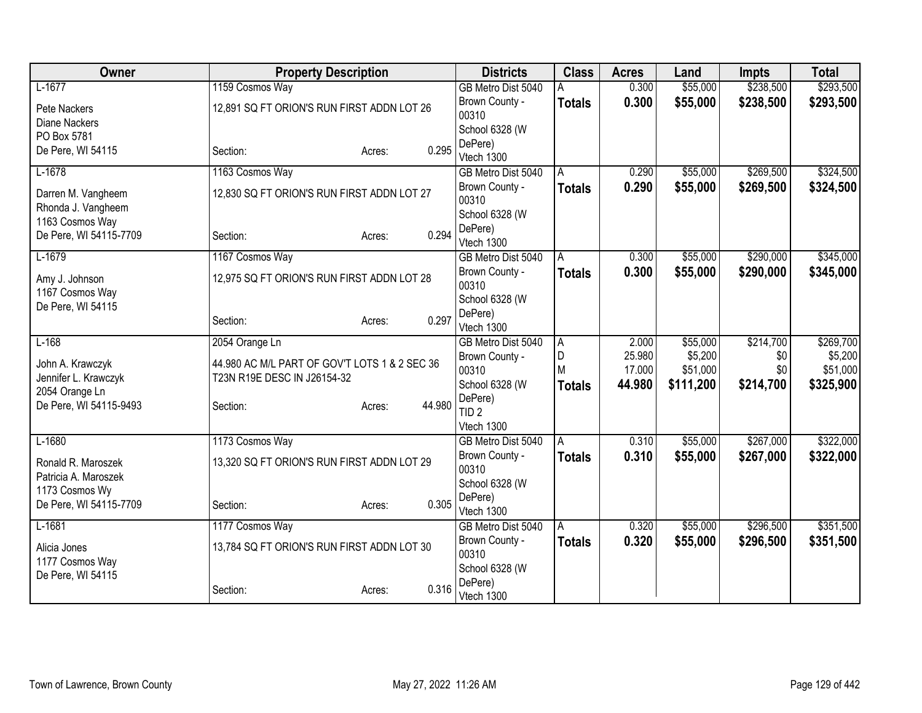| Owner                                      | <b>Property Description</b>                                                  |                         | <b>Districts</b>            | <b>Class</b>   | <b>Acres</b>     | Land                | <b>Impts</b> | <b>Total</b>        |
|--------------------------------------------|------------------------------------------------------------------------------|-------------------------|-----------------------------|----------------|------------------|---------------------|--------------|---------------------|
| $L-1677$                                   | 1159 Cosmos Way                                                              |                         | GB Metro Dist 5040          |                | 0.300            | \$55,000            | \$238,500    | \$293,500           |
| Pete Nackers                               | 12,891 SQ FT ORION'S RUN FIRST ADDN LOT 26                                   |                         | Brown County -<br>00310     | <b>Totals</b>  | 0.300            | \$55,000            | \$238,500    | \$293,500           |
| Diane Nackers<br>PO Box 5781               |                                                                              |                         | School 6328 (W              |                |                  |                     |              |                     |
| De Pere, WI 54115                          | Section:                                                                     | 0.295<br>Acres:         | DePere)<br>Vtech 1300       |                |                  |                     |              |                     |
| $L-1678$                                   | 1163 Cosmos Way                                                              |                         | GB Metro Dist 5040          | A              | 0.290            | \$55,000            | \$269,500    | \$324,500           |
| Darren M. Vangheem<br>Rhonda J. Vangheem   | 12,830 SQ FT ORION'S RUN FIRST ADDN LOT 27                                   | Brown County -<br>00310 | <b>Totals</b>               | 0.290          | \$55,000         | \$269,500           | \$324,500    |                     |
| 1163 Cosmos Way                            |                                                                              |                         | School 6328 (W              |                |                  |                     |              |                     |
| De Pere, WI 54115-7709                     | Section:                                                                     | 0.294<br>Acres:         | DePere)<br>Vtech 1300       |                |                  |                     |              |                     |
| $L-1679$                                   | 1167 Cosmos Way                                                              |                         | GB Metro Dist 5040          | A              | 0.300            | \$55,000            | \$290,000    | \$345,000           |
| Amy J. Johnson<br>1167 Cosmos Way          | 12,975 SQ FT ORION'S RUN FIRST ADDN LOT 28                                   |                         | Brown County -<br>00310     | <b>Totals</b>  | 0.300            | \$55,000            | \$290,000    | \$345,000           |
| De Pere, WI 54115                          |                                                                              |                         | School 6328 (W              |                |                  |                     |              |                     |
|                                            | Section:                                                                     | 0.297<br>Acres:         | DePere)<br>Vtech 1300       |                |                  |                     |              |                     |
| $L-168$                                    | 2054 Orange Ln                                                               |                         | GB Metro Dist 5040          | $\overline{A}$ | 2.000            | \$55,000            | \$214,700    | \$269,700           |
| John A. Krawczyk<br>Jennifer L. Krawczyk   | 44.980 AC M/L PART OF GOV'T LOTS 1 & 2 SEC 36<br>T23N R19E DESC IN J26154-32 |                         | Brown County -<br>00310     | D<br>M         | 25.980<br>17.000 | \$5,200<br>\$51,000 | \$0<br>\$0   | \$5,200<br>\$51,000 |
| 2054 Orange Ln                             |                                                                              |                         | School 6328 (W              | <b>Totals</b>  | 44.980           | \$111,200           | \$214,700    | \$325,900           |
| De Pere, WI 54115-9493                     | Section:                                                                     | 44.980<br>Acres:        | DePere)<br>TID <sub>2</sub> |                |                  |                     |              |                     |
|                                            |                                                                              |                         | Vtech 1300                  |                |                  |                     |              |                     |
| $L-1680$                                   | 1173 Cosmos Way                                                              |                         | GB Metro Dist 5040          | l A            | 0.310            | \$55,000            | \$267,000    | \$322,000           |
| Ronald R. Maroszek<br>Patricia A. Maroszek | 13,320 SQ FT ORION'S RUN FIRST ADDN LOT 29                                   |                         | Brown County -<br>00310     | <b>Totals</b>  | 0.310            | \$55,000            | \$267,000    | \$322,000           |
| 1173 Cosmos Wy                             |                                                                              |                         | School 6328 (W              |                |                  |                     |              |                     |
| De Pere, WI 54115-7709                     | Section:                                                                     | 0.305<br>Acres:         | DePere)<br>Vtech 1300       |                |                  |                     |              |                     |
| $L-1681$                                   | 1177 Cosmos Way                                                              |                         | GB Metro Dist 5040          | A              | 0.320            | \$55,000            | \$296,500    | \$351,500           |
| Alicia Jones<br>1177 Cosmos Way            | 13,784 SQ FT ORION'S RUN FIRST ADDN LOT 30                                   |                         | Brown County -<br>00310     | <b>Totals</b>  | 0.320            | \$55,000            | \$296,500    | \$351,500           |
| De Pere, WI 54115                          |                                                                              |                         | School 6328 (W              |                |                  |                     |              |                     |
|                                            | Section:                                                                     | 0.316<br>Acres:         | DePere)<br>Vtech 1300       |                |                  |                     |              |                     |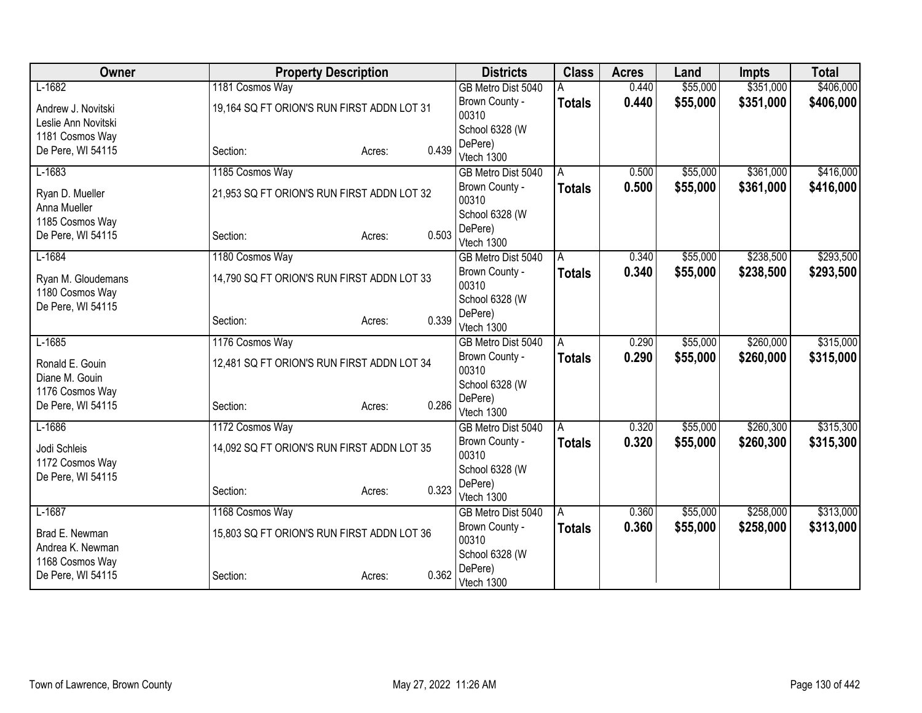| Owner                           | <b>Property Description</b>                |                         | <b>Districts</b>                     | <b>Class</b>       | <b>Acres</b> | Land      | <b>Impts</b> | <b>Total</b> |
|---------------------------------|--------------------------------------------|-------------------------|--------------------------------------|--------------------|--------------|-----------|--------------|--------------|
| $L-1682$                        | 1181 Cosmos Way                            |                         | GB Metro Dist 5040                   |                    | 0.440        | \$55,000  | \$351,000    | \$406,000    |
| Andrew J. Novitski              | 19,164 SQ FT ORION'S RUN FIRST ADDN LOT 31 |                         | Brown County -                       | <b>Totals</b>      | 0.440        | \$55,000  | \$351,000    | \$406,000    |
| Leslie Ann Novitski             |                                            |                         | 00310                                |                    |              |           |              |              |
| 1181 Cosmos Way                 |                                            |                         | School 6328 (W                       |                    |              |           |              |              |
| De Pere, WI 54115               | Section:                                   | 0.439<br>Acres:         | DePere)<br>Vtech 1300                |                    |              |           |              |              |
| $L-1683$                        | 1185 Cosmos Way                            |                         | GB Metro Dist 5040                   | A                  | 0.500        | \$55,000  | \$361,000    | \$416,000    |
|                                 |                                            | Brown County -          | <b>Totals</b>                        | 0.500              | \$55,000     | \$361,000 | \$416,000    |              |
| Ryan D. Mueller                 | 21,953 SQ FT ORION'S RUN FIRST ADDN LOT 32 | 00310                   |                                      |                    |              |           |              |              |
| Anna Mueller<br>1185 Cosmos Way |                                            |                         | School 6328 (W                       |                    |              |           |              |              |
| De Pere, WI 54115               | Section:                                   | 0.503<br>Acres:         | DePere)                              |                    |              |           |              |              |
|                                 |                                            |                         | Vtech 1300                           |                    |              |           |              |              |
| $L-1684$                        | 1180 Cosmos Way                            |                         | GB Metro Dist 5040                   | A                  | 0.340        | \$55,000  | \$238,500    | \$293,500    |
| Ryan M. Gloudemans              | 14,790 SQ FT ORION'S RUN FIRST ADDN LOT 33 | Brown County -<br>00310 | <b>Totals</b>                        | 0.340              | \$55,000     | \$238,500 | \$293,500    |              |
| 1180 Cosmos Way                 |                                            |                         | School 6328 (W                       |                    |              |           |              |              |
| De Pere, WI 54115               |                                            |                         | DePere)                              |                    |              |           |              |              |
|                                 | Section:                                   | 0.339<br>Acres:         | Vtech 1300                           |                    |              |           |              |              |
| $L-1685$                        | 1176 Cosmos Way                            |                         | GB Metro Dist 5040                   | A                  | 0.290        | \$55,000  | \$260,000    | \$315,000    |
| Ronald E. Gouin                 | 12,481 SQ FT ORION'S RUN FIRST ADDN LOT 34 |                         | Brown County -                       | <b>Totals</b>      | 0.290        | \$55,000  | \$260,000    | \$315,000    |
| Diane M. Gouin                  |                                            |                         | 00310                                |                    |              |           |              |              |
| 1176 Cosmos Way                 |                                            |                         | School 6328 (W                       |                    |              |           |              |              |
| De Pere, WI 54115               | Section:                                   | 0.286<br>Acres:         | DePere)                              |                    |              |           |              |              |
| $L-1686$                        | 1172 Cosmos Way                            |                         | Vtech 1300                           |                    | 0.320        | \$55,000  | \$260,300    | \$315,300    |
|                                 |                                            |                         | GB Metro Dist 5040<br>Brown County - | A<br><b>Totals</b> | 0.320        | \$55,000  | \$260,300    | \$315,300    |
| Jodi Schleis                    | 14,092 SQ FT ORION'S RUN FIRST ADDN LOT 35 |                         | 00310                                |                    |              |           |              |              |
| 1172 Cosmos Way                 |                                            |                         | School 6328 (W                       |                    |              |           |              |              |
| De Pere, WI 54115               |                                            |                         | DePere)                              |                    |              |           |              |              |
|                                 | Section:                                   | 0.323<br>Acres:         | Vtech 1300                           |                    |              |           |              |              |
| $L-1687$                        | 1168 Cosmos Way                            |                         | GB Metro Dist 5040                   | A                  | 0.360        | \$55,000  | \$258,000    | \$313,000    |
| Brad E. Newman                  | 15,803 SQ FT ORION'S RUN FIRST ADDN LOT 36 |                         | Brown County -                       | <b>Totals</b>      | 0.360        | \$55,000  | \$258,000    | \$313,000    |
| Andrea K. Newman                |                                            |                         | 00310                                |                    |              |           |              |              |
| 1168 Cosmos Way                 |                                            |                         | School 6328 (W<br>DePere)            |                    |              |           |              |              |
| De Pere, WI 54115               | Section:                                   | 0.362<br>Acres:         | Vtech 1300                           |                    |              |           |              |              |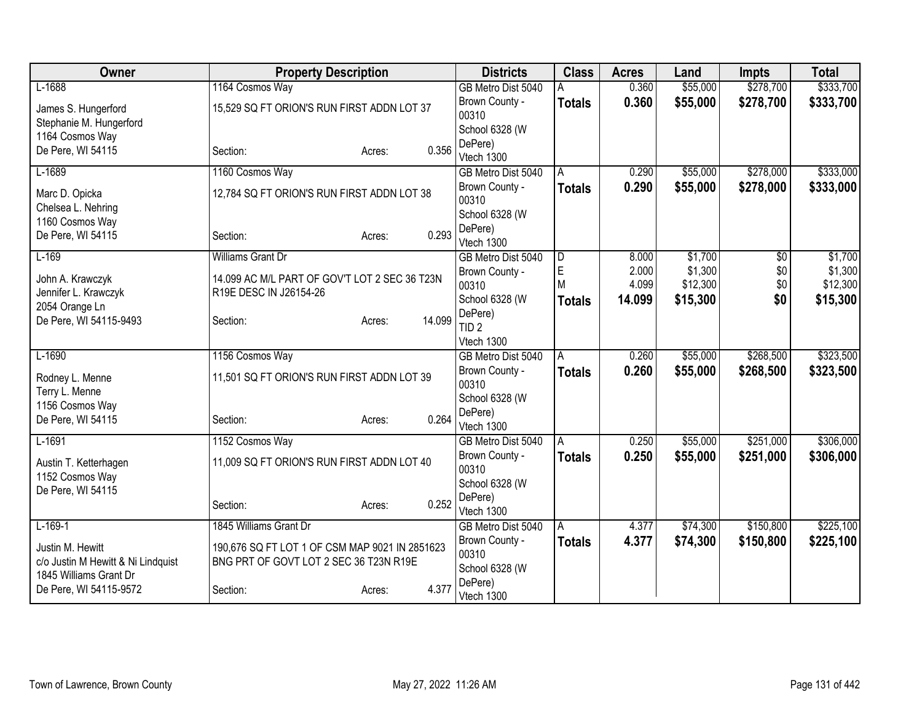| Owner                                                  | <b>Property Description</b>                                                              |                  | <b>Districts</b>            | <b>Class</b>  | <b>Acres</b>   | Land                | <b>Impts</b> | <b>Total</b>        |
|--------------------------------------------------------|------------------------------------------------------------------------------------------|------------------|-----------------------------|---------------|----------------|---------------------|--------------|---------------------|
| $L-1688$                                               | 1164 Cosmos Way                                                                          |                  | GB Metro Dist 5040          |               | 0.360          | \$55,000            | \$278,700    | \$333,700           |
| James S. Hungerford<br>Stephanie M. Hungerford         | 15,529 SQ FT ORION'S RUN FIRST ADDN LOT 37                                               |                  | Brown County -<br>00310     | <b>Totals</b> | 0.360          | \$55,000            | \$278,700    | \$333,700           |
| 1164 Cosmos Way                                        |                                                                                          |                  | School 6328 (W              |               |                |                     |              |                     |
| De Pere, WI 54115                                      | Section:                                                                                 | 0.356<br>Acres:  | DePere)<br>Vtech 1300       |               |                |                     |              |                     |
| $L-1689$                                               | 1160 Cosmos Way                                                                          |                  | GB Metro Dist 5040          | A             | 0.290          | \$55,000            | \$278,000    | \$333,000           |
| Marc D. Opicka<br>Chelsea L. Nehring                   | 12,784 SQ FT ORION'S RUN FIRST ADDN LOT 38                                               |                  | Brown County -<br>00310     | <b>Totals</b> | 0.290          | \$55,000            | \$278,000    | \$333,000           |
| 1160 Cosmos Way                                        |                                                                                          |                  | School 6328 (W              |               |                |                     |              |                     |
| De Pere, WI 54115                                      | Section:                                                                                 | 0.293<br>Acres:  | DePere)<br>Vtech 1300       |               |                |                     |              |                     |
| $L-169$                                                | <b>Williams Grant Dr</b>                                                                 |                  | GB Metro Dist 5040          | D             | 8.000          | \$1,700             | $\sqrt{$0}$  | \$1,700             |
| John A. Krawczyk                                       | 14.099 AC M/L PART OF GOV'T LOT 2 SEC 36 T23N                                            |                  | Brown County -<br>00310     | E<br>M        | 2.000<br>4.099 | \$1,300<br>\$12,300 | \$0<br>\$0   | \$1,300<br>\$12,300 |
| Jennifer L. Krawczyk                                   | R19E DESC IN J26154-26                                                                   |                  | School 6328 (W              | <b>Totals</b> | 14.099         | \$15,300            | \$0          | \$15,300            |
| 2054 Orange Ln<br>De Pere, WI 54115-9493               | Section:                                                                                 | 14.099<br>Acres: | DePere)<br>TID <sub>2</sub> |               |                |                     |              |                     |
|                                                        |                                                                                          |                  | Vtech 1300                  |               |                |                     |              |                     |
| $L-1690$                                               | 1156 Cosmos Way                                                                          |                  | GB Metro Dist 5040          | A             | 0.260          | \$55,000            | \$268,500    | \$323,500           |
| Rodney L. Menne                                        | 11,501 SQ FT ORION'S RUN FIRST ADDN LOT 39                                               |                  | Brown County -<br>00310     | <b>Totals</b> | 0.260          | \$55,000            | \$268,500    | \$323,500           |
| Terry L. Menne<br>1156 Cosmos Way                      |                                                                                          |                  | School 6328 (W              |               |                |                     |              |                     |
| De Pere, WI 54115                                      | Section:                                                                                 | 0.264<br>Acres:  | DePere)<br>Vtech 1300       |               |                |                     |              |                     |
| $L-1691$                                               | 1152 Cosmos Way                                                                          |                  | GB Metro Dist 5040          | A             | 0.250          | \$55,000            | \$251,000    | \$306,000           |
| Austin T. Ketterhagen<br>1152 Cosmos Way               | 11,009 SQ FT ORION'S RUN FIRST ADDN LOT 40                                               |                  | Brown County -<br>00310     | Totals        | 0.250          | \$55,000            | \$251,000    | \$306,000           |
| De Pere, WI 54115                                      |                                                                                          |                  | School 6328 (W              |               |                |                     |              |                     |
|                                                        | Section:                                                                                 | 0.252<br>Acres:  | DePere)<br>Vtech 1300       |               |                |                     |              |                     |
| $L-169-1$                                              | 1845 Williams Grant Dr                                                                   |                  | GB Metro Dist 5040          | A             | 4.377          | \$74,300            | \$150,800    | \$225,100           |
| Justin M. Hewitt<br>c/o Justin M Hewitt & Ni Lindquist | 190,676 SQ FT LOT 1 OF CSM MAP 9021 IN 2851623<br>BNG PRT OF GOVT LOT 2 SEC 36 T23N R19E |                  | Brown County -<br>00310     | <b>Totals</b> | 4.377          | \$74,300            | \$150,800    | \$225,100           |
| 1845 Williams Grant Dr                                 |                                                                                          |                  | School 6328 (W<br>DePere)   |               |                |                     |              |                     |
| De Pere, WI 54115-9572                                 | Section:                                                                                 | 4.377<br>Acres:  | Vtech 1300                  |               |                |                     |              |                     |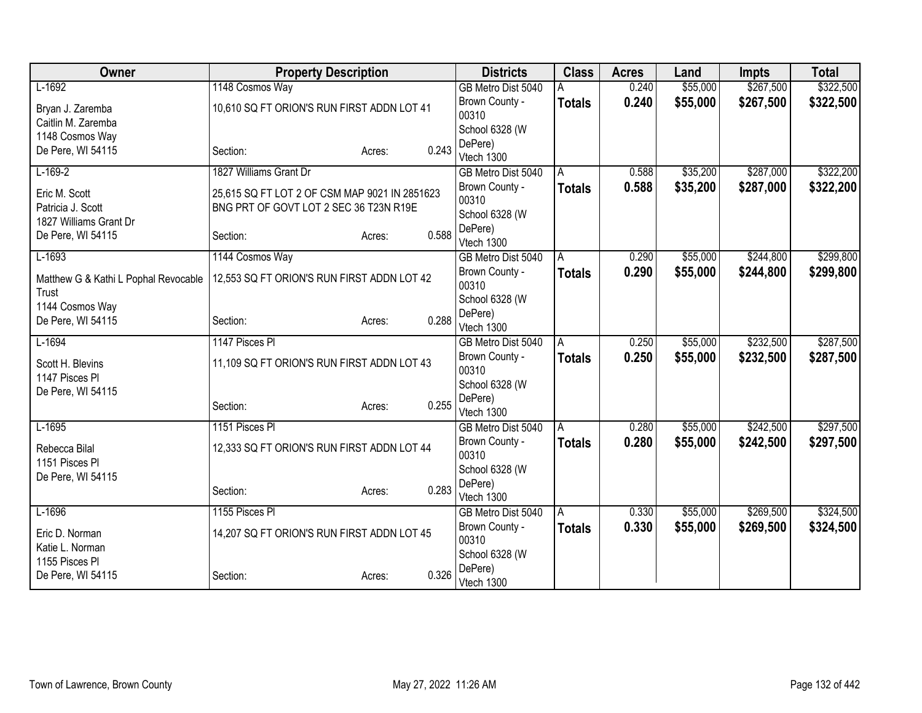| Owner                                | <b>Property Description</b>                   |                 | <b>Districts</b>                     | <b>Class</b>  | <b>Acres</b> | Land                 | <b>Impts</b> | <b>Total</b> |
|--------------------------------------|-----------------------------------------------|-----------------|--------------------------------------|---------------|--------------|----------------------|--------------|--------------|
| $L-1692$                             | 1148 Cosmos Way                               |                 | GB Metro Dist 5040                   |               | 0.240        | \$55,000             | \$267,500    | \$322,500    |
| Bryan J. Zaremba                     | 10,610 SQ FT ORION'S RUN FIRST ADDN LOT 41    |                 | Brown County -                       | <b>Totals</b> | 0.240        | \$55,000             | \$267,500    | \$322,500    |
| Caitlin M. Zaremba                   |                                               |                 | 00310                                |               |              |                      |              |              |
| 1148 Cosmos Way                      |                                               |                 | School 6328 (W                       |               |              |                      |              |              |
| De Pere, WI 54115                    | Section:                                      | 0.243<br>Acres: | DePere)                              |               |              |                      |              |              |
| $L-169-2$                            | 1827 Williams Grant Dr                        |                 | Vtech 1300<br>GB Metro Dist 5040     | A             | 0.588        | \$35,200             | \$287,000    | \$322,200    |
|                                      |                                               |                 | Brown County -                       |               | 0.588        | \$35,200             | \$287,000    |              |
| Eric M. Scott                        | 25,615 SQ FT LOT 2 OF CSM MAP 9021 IN 2851623 |                 | 00310                                | <b>Totals</b> |              |                      |              | \$322,200    |
| Patricia J. Scott                    | BNG PRT OF GOVT LOT 2 SEC 36 T23N R19E        |                 | School 6328 (W                       |               |              |                      |              |              |
| 1827 Williams Grant Dr               |                                               |                 | DePere)                              |               |              |                      |              |              |
| De Pere, WI 54115                    | Section:                                      | 0.588<br>Acres: | Vtech 1300                           |               |              |                      |              |              |
| $L-1693$                             | 1144 Cosmos Way                               |                 | GB Metro Dist 5040                   | A             | 0.290        | \$55,000             | \$244,800    | \$299,800    |
| Matthew G & Kathi L Pophal Revocable | 12,553 SQ FT ORION'S RUN FIRST ADDN LOT 42    |                 | Brown County -                       | <b>Totals</b> | 0.290        | \$55,000             | \$244,800    | \$299,800    |
| Trust                                |                                               |                 | 00310                                |               |              |                      |              |              |
| 1144 Cosmos Way                      |                                               |                 | School 6328 (W                       |               |              |                      |              |              |
| De Pere, WI 54115                    | Section:                                      | 0.288<br>Acres: | DePere)                              |               |              |                      |              |              |
|                                      | 1147 Pisces PI                                |                 | Vtech 1300                           |               | 0.250        |                      | \$232,500    | \$287,500    |
| $L-1694$                             |                                               |                 | GB Metro Dist 5040<br>Brown County - | A             | 0.250        | \$55,000<br>\$55,000 |              |              |
| Scott H. Blevins                     | 11,109 SQ FT ORION'S RUN FIRST ADDN LOT 43    |                 | 00310                                | <b>Totals</b> |              |                      | \$232,500    | \$287,500    |
| 1147 Pisces Pl                       |                                               |                 | School 6328 (W                       |               |              |                      |              |              |
| De Pere, WI 54115                    |                                               |                 | DePere)                              |               |              |                      |              |              |
|                                      | Section:                                      | 0.255<br>Acres: | Vtech 1300                           |               |              |                      |              |              |
| $L-1695$                             | 1151 Pisces PI                                |                 | GB Metro Dist 5040                   | A             | 0.280        | \$55,000             | \$242,500    | \$297,500    |
| Rebecca Bilal                        | 12,333 SQ FT ORION'S RUN FIRST ADDN LOT 44    |                 | Brown County -                       | <b>Totals</b> | 0.280        | \$55,000             | \$242,500    | \$297,500    |
| 1151 Pisces Pl                       |                                               |                 | 00310                                |               |              |                      |              |              |
| De Pere, WI 54115                    |                                               |                 | School 6328 (W                       |               |              |                      |              |              |
|                                      | Section:                                      | 0.283<br>Acres: | DePere)                              |               |              |                      |              |              |
|                                      |                                               |                 | Vtech 1300                           |               |              |                      |              |              |
| $L-1696$                             | 1155 Pisces PI                                |                 | GB Metro Dist 5040                   | A             | 0.330        | \$55,000             | \$269,500    | \$324,500    |
| Eric D. Norman                       | 14,207 SQ FT ORION'S RUN FIRST ADDN LOT 45    |                 | Brown County -<br>00310              | <b>Totals</b> | 0.330        | \$55,000             | \$269,500    | \$324,500    |
| Katie L. Norman                      |                                               |                 | School 6328 (W                       |               |              |                      |              |              |
| 1155 Pisces Pl                       |                                               |                 | DePere)                              |               |              |                      |              |              |
| De Pere, WI 54115                    | Section:                                      | 0.326<br>Acres: | Vtech 1300                           |               |              |                      |              |              |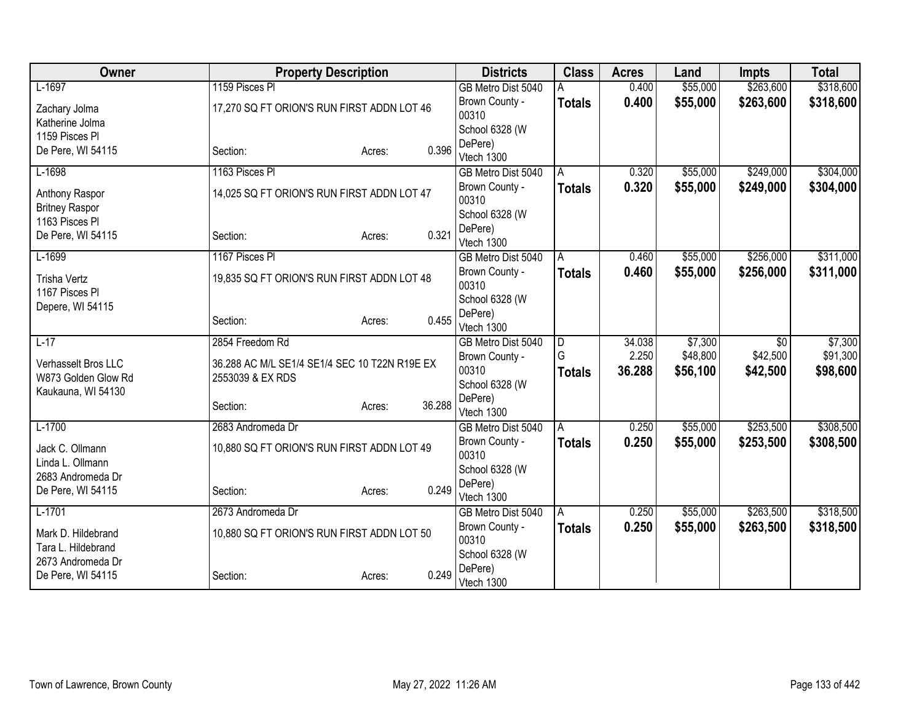| Owner                 | <b>Property Description</b>                   |                  | <b>Districts</b>                 | <b>Class</b>        | <b>Acres</b>    | Land                | <b>Impts</b>                | <b>Total</b>        |
|-----------------------|-----------------------------------------------|------------------|----------------------------------|---------------------|-----------------|---------------------|-----------------------------|---------------------|
| $L-1697$              | 1159 Pisces PI                                |                  | GB Metro Dist 5040               |                     | 0.400           | \$55,000            | \$263,600                   | \$318,600           |
| Zachary Jolma         | 17,270 SQ FT ORION'S RUN FIRST ADDN LOT 46    |                  | Brown County -                   | <b>Totals</b>       | 0.400           | \$55,000            | \$263,600                   | \$318,600           |
| Katherine Jolma       |                                               |                  | 00310                            |                     |                 |                     |                             |                     |
| 1159 Pisces Pl        |                                               |                  | School 6328 (W                   |                     |                 |                     |                             |                     |
| De Pere, WI 54115     | Section:                                      | 0.396<br>Acres:  | DePere)                          |                     |                 |                     |                             |                     |
| $L-1698$              | 1163 Pisces PI                                |                  | Vtech 1300<br>GB Metro Dist 5040 | A                   | 0.320           | \$55,000            | \$249,000                   | \$304,000           |
|                       |                                               |                  | Brown County -                   |                     | 0.320           | \$55,000            | \$249,000                   |                     |
| Anthony Raspor        | 14,025 SQ FT ORION'S RUN FIRST ADDN LOT 47    |                  | 00310                            | <b>Totals</b>       |                 |                     |                             | \$304,000           |
| <b>Britney Raspor</b> |                                               |                  | School 6328 (W                   |                     |                 |                     |                             |                     |
| 1163 Pisces Pl        |                                               |                  | DePere)                          |                     |                 |                     |                             |                     |
| De Pere, WI 54115     | Section:                                      | 0.321<br>Acres:  | Vtech 1300                       |                     |                 |                     |                             |                     |
| $L-1699$              | 1167 Pisces PI                                |                  | GB Metro Dist 5040               | A                   | 0.460           | \$55,000            | \$256,000                   | \$311,000           |
| <b>Trisha Vertz</b>   | 19,835 SQ FT ORION'S RUN FIRST ADDN LOT 48    | Brown County -   | <b>Totals</b>                    | 0.460               | \$55,000        | \$256,000           | \$311,000                   |                     |
| 1167 Pisces PI        |                                               | 00310            |                                  |                     |                 |                     |                             |                     |
| Depere, WI 54115      |                                               |                  | School 6328 (W                   |                     |                 |                     |                             |                     |
|                       | Section:                                      | 0.455<br>Acres:  | DePere)                          |                     |                 |                     |                             |                     |
|                       |                                               |                  | Vtech 1300                       |                     |                 |                     |                             |                     |
| $L-17$                | 2854 Freedom Rd                               |                  | GB Metro Dist 5040               | $\overline{D}$<br>G | 34.038<br>2.250 | \$7,300<br>\$48,800 | $\overline{50}$<br>\$42,500 | \$7,300<br>\$91,300 |
| Verhasselt Bros LLC   | 36.288 AC M/L SE1/4 SE1/4 SEC 10 T22N R19E EX |                  | Brown County -<br>00310          |                     | 36.288          | \$56,100            | \$42,500                    | \$98,600            |
| W873 Golden Glow Rd   | 2553039 & EX RDS                              |                  | School 6328 (W                   | <b>Totals</b>       |                 |                     |                             |                     |
| Kaukauna, WI 54130    |                                               |                  | DePere)                          |                     |                 |                     |                             |                     |
|                       | Section:                                      | 36.288<br>Acres: | Vtech 1300                       |                     |                 |                     |                             |                     |
| $L-1700$              | 2683 Andromeda Dr                             |                  | GB Metro Dist 5040               | A                   | 0.250           | \$55,000            | \$253,500                   | \$308,500           |
| Jack C. Ollmann       | 10,880 SQ FT ORION'S RUN FIRST ADDN LOT 49    |                  | Brown County -                   | <b>Totals</b>       | 0.250           | \$55,000            | \$253,500                   | \$308,500           |
| Linda L. Ollmann      |                                               |                  | 00310                            |                     |                 |                     |                             |                     |
| 2683 Andromeda Dr     |                                               |                  | School 6328 (W                   |                     |                 |                     |                             |                     |
| De Pere, WI 54115     | Section:                                      | 0.249<br>Acres:  | DePere)                          |                     |                 |                     |                             |                     |
| $L-1701$              |                                               |                  | Vtech 1300                       |                     |                 |                     | \$263,500                   | \$318,500           |
|                       | 2673 Andromeda Dr                             |                  | GB Metro Dist 5040               | A                   | 0.250           | \$55,000            |                             |                     |
| Mark D. Hildebrand    | 10,880 SQ FT ORION'S RUN FIRST ADDN LOT 50    |                  | Brown County -<br>00310          | <b>Totals</b>       | 0.250           | \$55,000            | \$263,500                   | \$318,500           |
| Tara L. Hildebrand    |                                               |                  | School 6328 (W                   |                     |                 |                     |                             |                     |
| 2673 Andromeda Dr     |                                               |                  | DePere)                          |                     |                 |                     |                             |                     |
| De Pere, WI 54115     | Section:                                      | 0.249<br>Acres:  | Vtech 1300                       |                     |                 |                     |                             |                     |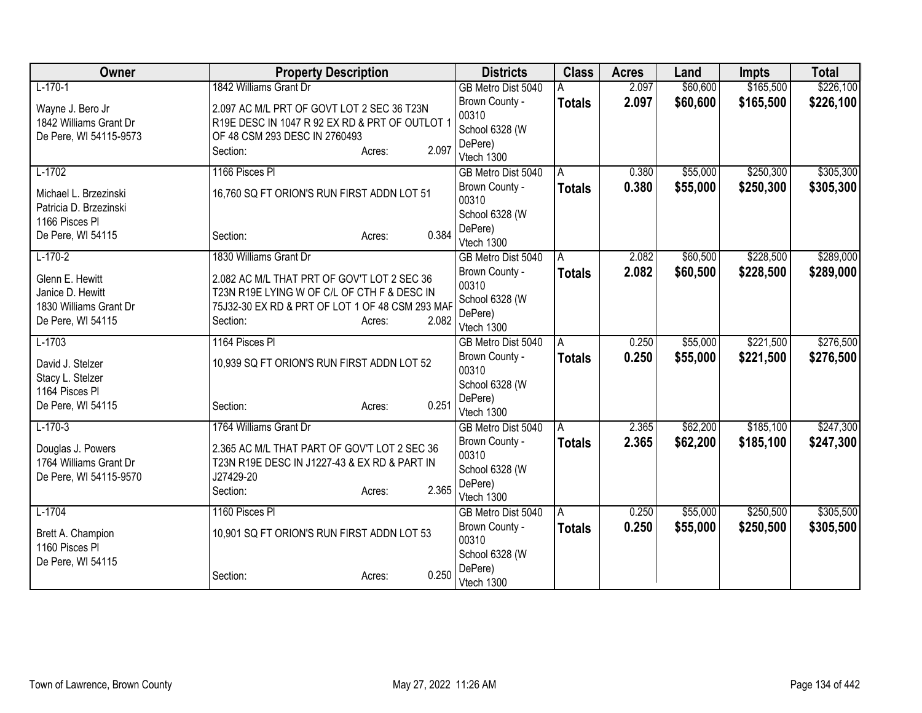| Owner                                    | <b>Property Description</b>                     |                 | <b>Districts</b>          | <b>Class</b>  | <b>Acres</b> | Land     | <b>Impts</b> | <b>Total</b> |
|------------------------------------------|-------------------------------------------------|-----------------|---------------------------|---------------|--------------|----------|--------------|--------------|
| $L-170-1$                                | 1842 Williams Grant Dr                          |                 | GB Metro Dist 5040        |               | 2.097        | \$60,600 | \$165,500    | \$226,100    |
| Wayne J. Bero Jr                         | 2.097 AC M/L PRT OF GOVT LOT 2 SEC 36 T23N      |                 | Brown County -            | <b>Totals</b> | 2.097        | \$60,600 | \$165,500    | \$226,100    |
| 1842 Williams Grant Dr                   | R19E DESC IN 1047 R 92 EX RD & PRT OF OUTLOT 1  |                 | 00310                     |               |              |          |              |              |
| De Pere, WI 54115-9573                   | OF 48 CSM 293 DESC IN 2760493                   |                 | School 6328 (W            |               |              |          |              |              |
|                                          | Section:                                        | 2.097<br>Acres: | DePere)<br>Vtech 1300     |               |              |          |              |              |
| $L-1702$                                 | 1166 Pisces PI                                  |                 | GB Metro Dist 5040        | A             | 0.380        | \$55,000 | \$250,300    | \$305,300    |
|                                          |                                                 |                 | Brown County -            | <b>Totals</b> | 0.380        | \$55,000 | \$250,300    | \$305,300    |
| Michael L. Brzezinski                    | 16,760 SQ FT ORION'S RUN FIRST ADDN LOT 51      |                 | 00310                     |               |              |          |              |              |
| Patricia D. Brzezinski<br>1166 Pisces Pl |                                                 |                 | School 6328 (W            |               |              |          |              |              |
| De Pere, WI 54115                        | Section:                                        | 0.384<br>Acres: | DePere)                   |               |              |          |              |              |
|                                          |                                                 |                 | Vtech 1300                |               |              |          |              |              |
| $L-170-2$                                | 1830 Williams Grant Dr                          |                 | GB Metro Dist 5040        | A             | 2.082        | \$60,500 | \$228,500    | \$289,000    |
| Glenn E. Hewitt                          | 2.082 AC M/L THAT PRT OF GOV'T LOT 2 SEC 36     |                 | Brown County -            | <b>Totals</b> | 2.082        | \$60,500 | \$228,500    | \$289,000    |
| Janice D. Hewitt                         | T23N R19E LYING W OF C/L OF CTH F & DESC IN     |                 | 00310                     |               |              |          |              |              |
| 1830 Williams Grant Dr                   | 75J32-30 EX RD & PRT OF LOT 1 OF 48 CSM 293 MAF |                 | School 6328 (W<br>DePere) |               |              |          |              |              |
| De Pere, WI 54115                        | Section:                                        | 2.082<br>Acres: | Vtech 1300                |               |              |          |              |              |
| $L-1703$                                 | 1164 Pisces PI                                  |                 | GB Metro Dist 5040        | A             | 0.250        | \$55,000 | \$221,500    | \$276,500    |
|                                          |                                                 |                 | Brown County -            | <b>Totals</b> | 0.250        | \$55,000 | \$221,500    | \$276,500    |
| David J. Stelzer<br>Stacy L. Stelzer     | 10,939 SQ FT ORION'S RUN FIRST ADDN LOT 52      |                 | 00310                     |               |              |          |              |              |
| 1164 Pisces Pl                           |                                                 |                 | School 6328 (W            |               |              |          |              |              |
| De Pere, WI 54115                        | Section:                                        | 0.251<br>Acres: | DePere)                   |               |              |          |              |              |
|                                          |                                                 |                 | Vtech 1300                |               |              |          |              |              |
| $L-170-3$                                | 1764 Williams Grant Dr                          |                 | GB Metro Dist 5040        | A             | 2.365        | \$62,200 | \$185,100    | \$247,300    |
| Douglas J. Powers                        | 2.365 AC M/L THAT PART OF GOV'T LOT 2 SEC 36    |                 | Brown County -            | <b>Totals</b> | 2.365        | \$62,200 | \$185,100    | \$247,300    |
| 1764 Williams Grant Dr                   | T23N R19E DESC IN J1227-43 & EX RD & PART IN    |                 | 00310<br>School 6328 (W   |               |              |          |              |              |
| De Pere, WI 54115-9570                   | J27429-20                                       |                 | DePere)                   |               |              |          |              |              |
|                                          | Section:                                        | 2.365<br>Acres: | Vtech 1300                |               |              |          |              |              |
| $L-1704$                                 | 1160 Pisces PI                                  |                 | GB Metro Dist 5040        | A             | 0.250        | \$55,000 | \$250,500    | \$305,500    |
|                                          | 10,901 SQ FT ORION'S RUN FIRST ADDN LOT 53      |                 | Brown County -            | <b>Totals</b> | 0.250        | \$55,000 | \$250,500    | \$305,500    |
| Brett A. Champion<br>1160 Pisces Pl      |                                                 |                 | 00310                     |               |              |          |              |              |
| De Pere, WI 54115                        |                                                 |                 | School 6328 (W            |               |              |          |              |              |
|                                          | Section:                                        | 0.250<br>Acres: | DePere)                   |               |              |          |              |              |
|                                          |                                                 |                 | Vtech 1300                |               |              |          |              |              |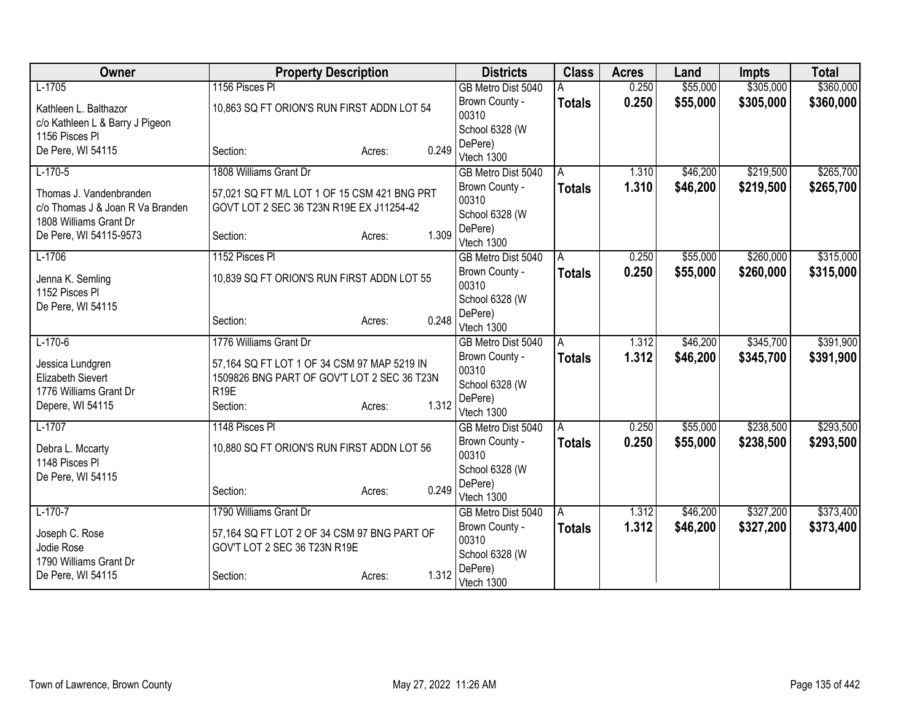| Owner                            | <b>Property Description</b>                                                 |                 | <b>Districts</b>        | <b>Class</b>  | <b>Acres</b> | Land     | <b>Impts</b> | <b>Total</b> |
|----------------------------------|-----------------------------------------------------------------------------|-----------------|-------------------------|---------------|--------------|----------|--------------|--------------|
| $L-1705$                         | 1156 Pisces Pl                                                              |                 | GB Metro Dist 5040      |               | 0.250        | \$55,000 | \$305,000    | \$360,000    |
| Kathleen L. Balthazor            | 10,863 SQ FT ORION'S RUN FIRST ADDN LOT 54                                  |                 | Brown County -          | <b>Totals</b> | 0.250        | \$55,000 | \$305,000    | \$360,000    |
| c/o Kathleen L & Barry J Pigeon  |                                                                             |                 | 00310                   |               |              |          |              |              |
| 1156 Pisces Pl                   |                                                                             |                 | School 6328 (W          |               |              |          |              |              |
| De Pere, WI 54115                | Section:                                                                    | 0.249<br>Acres: | DePere)                 |               |              |          |              |              |
|                                  |                                                                             |                 | Vtech 1300              |               |              |          | \$219,500    |              |
| $L-170-5$                        | 1808 Williams Grant Dr                                                      |                 | GB Metro Dist 5040      | A             | 1.310        | \$46,200 |              | \$265,700    |
| Thomas J. Vandenbranden          | 57,021 SQ FT M/L LOT 1 OF 15 CSM 421 BNG PRT                                |                 | Brown County -<br>00310 | <b>Totals</b> | 1.310        | \$46,200 | \$219,500    | \$265,700    |
| c/o Thomas J & Joan R Va Branden | GOVT LOT 2 SEC 36 T23N R19E EX J11254-42                                    |                 | School 6328 (W          |               |              |          |              |              |
| 1808 Williams Grant Dr           |                                                                             |                 | DePere)                 |               |              |          |              |              |
| De Pere, WI 54115-9573           | Section:                                                                    | 1.309<br>Acres: | Vtech 1300              |               |              |          |              |              |
| $L-1706$                         | 1152 Pisces PI                                                              |                 | GB Metro Dist 5040      | A             | 0.250        | \$55,000 | \$260,000    | \$315,000    |
|                                  |                                                                             |                 | Brown County -          | <b>Totals</b> | 0.250        | \$55,000 | \$260,000    | \$315,000    |
| Jenna K. Semling                 | 10,839 SQ FT ORION'S RUN FIRST ADDN LOT 55                                  |                 | 00310                   |               |              |          |              |              |
| 1152 Pisces Pl                   |                                                                             |                 | School 6328 (W          |               |              |          |              |              |
| De Pere, WI 54115                | Section:                                                                    | 0.248<br>Acres: | DePere)                 |               |              |          |              |              |
|                                  |                                                                             |                 | Vtech 1300              |               |              |          |              |              |
| $L-170-6$                        | 1776 Williams Grant Dr                                                      |                 | GB Metro Dist 5040      | A             | 1.312        | \$46,200 | \$345,700    | \$391,900    |
| Jessica Lundgren                 | 57,164 SQ FT LOT 1 OF 34 CSM 97 MAP 5219 IN                                 |                 | Brown County -          | <b>Totals</b> | 1.312        | \$46,200 | \$345,700    | \$391,900    |
| <b>Elizabeth Sievert</b>         | 1509826 BNG PART OF GOV'T LOT 2 SEC 36 T23N                                 |                 | 00310                   |               |              |          |              |              |
| 1776 Williams Grant Dr           | R <sub>19E</sub>                                                            |                 | School 6328 (W          |               |              |          |              |              |
| Depere, WI 54115                 | Section:                                                                    | 1.312<br>Acres: | DePere)<br>Vtech 1300   |               |              |          |              |              |
| $L-1707$                         | 1148 Pisces PI                                                              |                 | GB Metro Dist 5040      | A             | 0.250        | \$55,000 | \$238,500    | \$293,500    |
|                                  |                                                                             |                 | Brown County -          | <b>Totals</b> | 0.250        | \$55,000 | \$238,500    | \$293,500    |
| Debra L. Mccarty                 | 10,880 SQ FT ORION'S RUN FIRST ADDN LOT 56                                  |                 | 00310                   |               |              |          |              |              |
| 1148 Pisces Pl                   |                                                                             |                 | School 6328 (W          |               |              |          |              |              |
| De Pere, WI 54115                |                                                                             |                 | DePere)                 |               |              |          |              |              |
|                                  | Section:                                                                    | 0.249<br>Acres: | Vtech 1300              |               |              |          |              |              |
| $L-170-7$                        | 1790 Williams Grant Dr                                                      |                 | GB Metro Dist 5040      | ΙA            | 1.312        | \$46,200 | \$327,200    | \$373,400    |
|                                  |                                                                             |                 | Brown County -          | <b>Totals</b> | 1.312        | \$46,200 | \$327,200    | \$373,400    |
| Joseph C. Rose<br>Jodie Rose     | 57,164 SQ FT LOT 2 OF 34 CSM 97 BNG PART OF<br>GOV'T LOT 2 SEC 36 T23N R19E |                 | 00310                   |               |              |          |              |              |
| 1790 Williams Grant Dr           |                                                                             |                 | School 6328 (W          |               |              |          |              |              |
| De Pere, WI 54115                | Section:                                                                    | 1.312<br>Acres: | DePere)                 |               |              |          |              |              |
|                                  |                                                                             |                 | Vtech 1300              |               |              |          |              |              |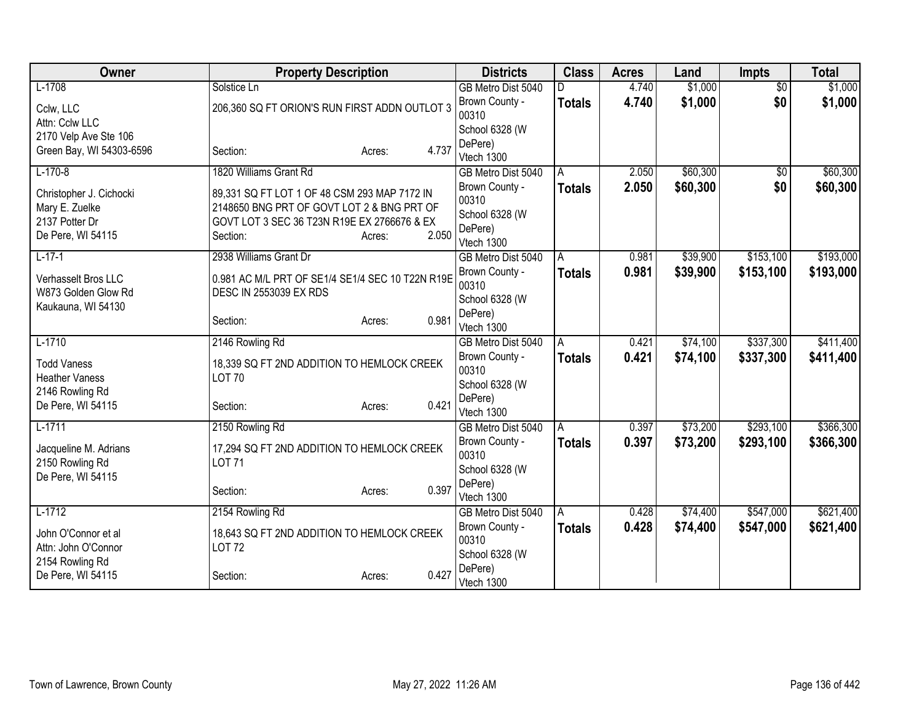| Owner                               | <b>Property Description</b>                             |                 | <b>Districts</b>                 | <b>Class</b>  | <b>Acres</b> | Land     | Impts           | <b>Total</b> |
|-------------------------------------|---------------------------------------------------------|-----------------|----------------------------------|---------------|--------------|----------|-----------------|--------------|
| $L-1708$                            | Solstice Ln                                             |                 | GB Metro Dist 5040               |               | 4.740        | \$1,000  | $\overline{30}$ | \$1,000      |
| Cclw, LLC                           | 206,360 SQ FT ORION'S RUN FIRST ADDN OUTLOT 3           |                 | Brown County -                   | <b>Totals</b> | 4.740        | \$1,000  | \$0             | \$1,000      |
| Attn: Cclw LLC                      |                                                         |                 | 00310                            |               |              |          |                 |              |
| 2170 Velp Ave Ste 106               |                                                         |                 | School 6328 (W                   |               |              |          |                 |              |
| Green Bay, WI 54303-6596            | Section:                                                | 4.737<br>Acres: | DePere)<br>Vtech 1300            |               |              |          |                 |              |
| $L-170-8$                           | 1820 Williams Grant Rd                                  |                 | GB Metro Dist 5040               | A             | 2.050        | \$60,300 | $\overline{50}$ | \$60,300     |
|                                     |                                                         |                 | Brown County -                   | <b>Totals</b> | 2.050        | \$60,300 | \$0             | \$60,300     |
| Christopher J. Cichocki             | 89,331 SQ FT LOT 1 OF 48 CSM 293 MAP 7172 IN            |                 | 00310                            |               |              |          |                 |              |
| Mary E. Zuelke                      | 2148650 BNG PRT OF GOVT LOT 2 & BNG PRT OF              |                 | School 6328 (W                   |               |              |          |                 |              |
| 2137 Potter Dr<br>De Pere, WI 54115 | GOVT LOT 3 SEC 36 T23N R19E EX 2766676 & EX<br>Section: | 2.050           | DePere)                          |               |              |          |                 |              |
|                                     |                                                         | Acres:          | Vtech 1300                       |               |              |          |                 |              |
| $L-17-1$                            | 2938 Williams Grant Dr                                  |                 | GB Metro Dist 5040               | A             | 0.981        | \$39,900 | \$153,100       | \$193,000    |
| Verhasselt Bros LLC                 | 0.981 AC M/L PRT OF SE1/4 SE1/4 SEC 10 T22N R19E        |                 | Brown County -                   | <b>Totals</b> | 0.981        | \$39,900 | \$153,100       | \$193,000    |
| W873 Golden Glow Rd                 | <b>DESC IN 2553039 EX RDS</b>                           |                 | 00310                            |               |              |          |                 |              |
| Kaukauna, WI 54130                  |                                                         |                 | School 6328 (W                   |               |              |          |                 |              |
|                                     | Section:                                                | 0.981<br>Acres: | DePere)                          |               |              |          |                 |              |
| $L-1710$                            |                                                         |                 | Vtech 1300<br>GB Metro Dist 5040 |               | 0.421        | \$74,100 | \$337,300       | \$411,400    |
|                                     | 2146 Rowling Rd                                         |                 |                                  | A             |              |          |                 |              |
| <b>Todd Vaness</b>                  | 18,339 SQ FT 2ND ADDITION TO HEMLOCK CREEK              |                 | Brown County -<br>00310          | <b>Totals</b> | 0.421        | \$74,100 | \$337,300       | \$411,400    |
| <b>Heather Vaness</b>               | <b>LOT 70</b>                                           |                 | School 6328 (W                   |               |              |          |                 |              |
| 2146 Rowling Rd                     |                                                         |                 | DePere)                          |               |              |          |                 |              |
| De Pere, WI 54115                   | Section:                                                | 0.421<br>Acres: | Vtech 1300                       |               |              |          |                 |              |
| $L-1711$                            | 2150 Rowling Rd                                         |                 | GB Metro Dist 5040               | A             | 0.397        | \$73,200 | \$293,100       | \$366,300    |
| Jacqueline M. Adrians               | 17,294 SQ FT 2ND ADDITION TO HEMLOCK CREEK              |                 | Brown County -                   | <b>Totals</b> | 0.397        | \$73,200 | \$293,100       | \$366,300    |
| 2150 Rowling Rd                     | <b>LOT 71</b>                                           |                 | 00310                            |               |              |          |                 |              |
| De Pere, WI 54115                   |                                                         |                 | School 6328 (W                   |               |              |          |                 |              |
|                                     | Section:                                                | 0.397<br>Acres: | DePere)                          |               |              |          |                 |              |
|                                     |                                                         |                 | Vtech 1300                       |               |              |          |                 |              |
| $L-1712$                            | 2154 Rowling Rd                                         |                 | GB Metro Dist 5040               | A             | 0.428        | \$74,400 | \$547,000       | \$621,400    |
| John O'Connor et al                 | 18,643 SQ FT 2ND ADDITION TO HEMLOCK CREEK              |                 | Brown County -<br>00310          | <b>Totals</b> | 0.428        | \$74,400 | \$547,000       | \$621,400    |
| Attn: John O'Connor                 | LOT 72                                                  |                 | School 6328 (W                   |               |              |          |                 |              |
| 2154 Rowling Rd                     |                                                         |                 | DePere)                          |               |              |          |                 |              |
| De Pere, WI 54115                   | Section:                                                | 0.427<br>Acres: | Vtech 1300                       |               |              |          |                 |              |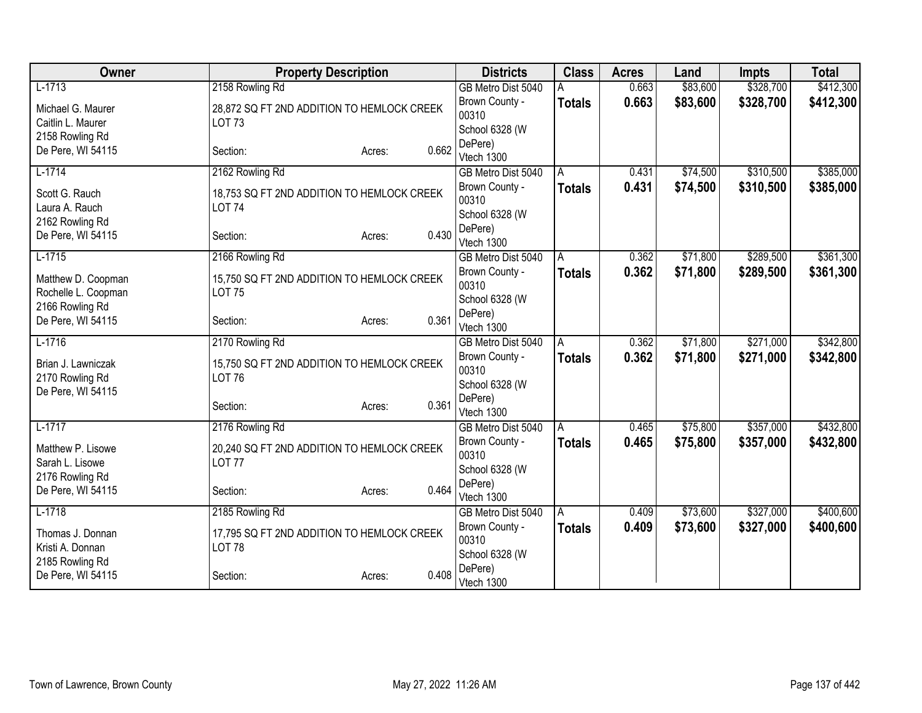| Owner                                | <b>Property Description</b>                                 |                 | <b>Districts</b>        | <b>Class</b>  | <b>Acres</b> | Land     | <b>Impts</b> | <b>Total</b> |
|--------------------------------------|-------------------------------------------------------------|-----------------|-------------------------|---------------|--------------|----------|--------------|--------------|
| $L-1713$                             | 2158 Rowling Rd                                             |                 | GB Metro Dist 5040      |               | 0.663        | \$83,600 | \$328,700    | \$412,300    |
| Michael G. Maurer                    | 28,872 SQ FT 2ND ADDITION TO HEMLOCK CREEK                  |                 | Brown County -          | <b>Totals</b> | 0.663        | \$83,600 | \$328,700    | \$412,300    |
| Caitlin L. Maurer                    | <b>LOT 73</b>                                               |                 | 00310                   |               |              |          |              |              |
| 2158 Rowling Rd                      |                                                             |                 | School 6328 (W          |               |              |          |              |              |
| De Pere, WI 54115                    | Section:                                                    | 0.662<br>Acres: | DePere)                 |               |              |          |              |              |
|                                      |                                                             |                 | Vtech 1300              |               |              |          |              |              |
| $L-1714$                             | 2162 Rowling Rd                                             |                 | GB Metro Dist 5040      | A             | 0.431        | \$74,500 | \$310,500    | \$385,000    |
| Scott G. Rauch<br>Laura A. Rauch     | 18,753 SQ FT 2ND ADDITION TO HEMLOCK CREEK<br><b>LOT 74</b> |                 | Brown County -<br>00310 | <b>Totals</b> | 0.431        | \$74,500 | \$310,500    | \$385,000    |
|                                      |                                                             |                 | School 6328 (W          |               |              |          |              |              |
| 2162 Rowling Rd<br>De Pere, WI 54115 | Section:                                                    | 0.430<br>Acres: | DePere)                 |               |              |          |              |              |
|                                      |                                                             |                 | Vtech 1300              |               |              |          |              |              |
| $L-1715$                             | 2166 Rowling Rd                                             |                 | GB Metro Dist 5040      | A             | 0.362        | \$71,800 | \$289,500    | \$361,300    |
| Matthew D. Coopman                   | 15,750 SQ FT 2ND ADDITION TO HEMLOCK CREEK                  |                 | Brown County -          | <b>Totals</b> | 0.362        | \$71,800 | \$289,500    | \$361,300    |
| Rochelle L. Coopman                  | <b>LOT 75</b>                                               |                 | 00310                   |               |              |          |              |              |
| 2166 Rowling Rd                      |                                                             |                 | School 6328 (W          |               |              |          |              |              |
| De Pere, WI 54115                    | Section:                                                    | 0.361<br>Acres: | DePere)                 |               |              |          |              |              |
|                                      |                                                             |                 | Vtech 1300              |               |              |          |              |              |
| $L-1716$                             | 2170 Rowling Rd                                             |                 | GB Metro Dist 5040      | A             | 0.362        | \$71,800 | \$271,000    | \$342,800    |
| Brian J. Lawniczak                   | 15,750 SQ FT 2ND ADDITION TO HEMLOCK CREEK                  |                 | Brown County -          | <b>Totals</b> | 0.362        | \$71,800 | \$271,000    | \$342,800    |
| 2170 Rowling Rd                      | <b>LOT 76</b>                                               |                 | 00310                   |               |              |          |              |              |
| De Pere, WI 54115                    |                                                             |                 | School 6328 (W          |               |              |          |              |              |
|                                      | Section:                                                    | 0.361<br>Acres: | DePere)<br>Vtech 1300   |               |              |          |              |              |
| $L-1717$                             | 2176 Rowling Rd                                             |                 | GB Metro Dist 5040      | A             | 0.465        | \$75,800 | \$357,000    | \$432,800    |
|                                      |                                                             |                 | Brown County -          | <b>Totals</b> | 0.465        | \$75,800 | \$357,000    | \$432,800    |
| Matthew P. Lisowe                    | 20,240 SQ FT 2ND ADDITION TO HEMLOCK CREEK                  |                 | 00310                   |               |              |          |              |              |
| Sarah L. Lisowe                      | <b>LOT 77</b>                                               |                 | School 6328 (W          |               |              |          |              |              |
| 2176 Rowling Rd                      |                                                             |                 | DePere)                 |               |              |          |              |              |
| De Pere, WI 54115                    | Section:                                                    | 0.464<br>Acres: | Vtech 1300              |               |              |          |              |              |
| $L-1718$                             | 2185 Rowling Rd                                             |                 | GB Metro Dist 5040      | A             | 0.409        | \$73,600 | \$327,000    | \$400,600    |
| Thomas J. Donnan                     |                                                             |                 | Brown County -          | <b>Totals</b> | 0.409        | \$73,600 | \$327,000    | \$400,600    |
| Kristi A. Donnan                     | 17,795 SQ FT 2ND ADDITION TO HEMLOCK CREEK<br><b>LOT 78</b> |                 | 00310                   |               |              |          |              |              |
| 2185 Rowling Rd                      |                                                             |                 | School 6328 (W          |               |              |          |              |              |
| De Pere, WI 54115                    | Section:                                                    | 0.408<br>Acres: | DePere)                 |               |              |          |              |              |
|                                      |                                                             |                 | Vtech 1300              |               |              |          |              |              |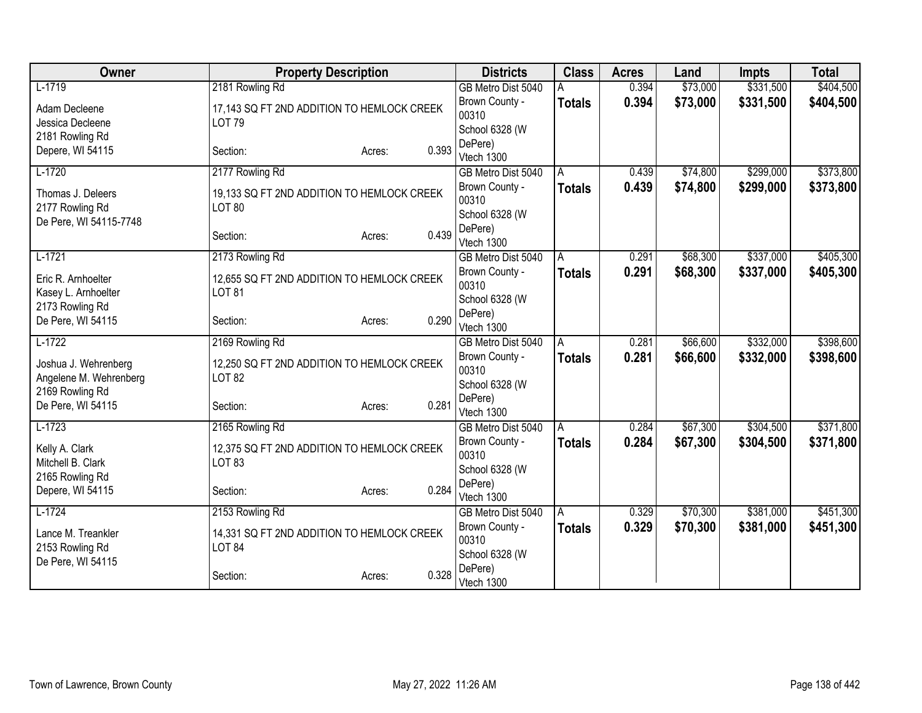| Owner                                     | <b>Property Description</b>                |                 | <b>Districts</b>          | <b>Class</b>  | <b>Acres</b> | Land     | <b>Impts</b> | <b>Total</b> |
|-------------------------------------------|--------------------------------------------|-----------------|---------------------------|---------------|--------------|----------|--------------|--------------|
| $L-1719$                                  | 2181 Rowling Rd                            |                 | GB Metro Dist 5040        |               | 0.394        | \$73,000 | \$331,500    | \$404,500    |
| Adam Decleene                             | 17,143 SQ FT 2ND ADDITION TO HEMLOCK CREEK |                 | Brown County -            | <b>Totals</b> | 0.394        | \$73,000 | \$331,500    | \$404,500    |
| Jessica Decleene                          | <b>LOT 79</b>                              |                 | 00310                     |               |              |          |              |              |
| 2181 Rowling Rd                           |                                            |                 | School 6328 (W<br>DePere) |               |              |          |              |              |
| Depere, WI 54115                          | Section:                                   | 0.393<br>Acres: | Vtech 1300                |               |              |          |              |              |
| $L-1720$                                  | 2177 Rowling Rd                            |                 | GB Metro Dist 5040        | A             | 0.439        | \$74,800 | \$299,000    | \$373,800    |
|                                           |                                            |                 | Brown County -            | <b>Totals</b> | 0.439        | \$74,800 | \$299,000    | \$373,800    |
| Thomas J. Deleers                         | 19,133 SQ FT 2ND ADDITION TO HEMLOCK CREEK |                 | 00310                     |               |              |          |              |              |
| 2177 Rowling Rd<br>De Pere, WI 54115-7748 | <b>LOT 80</b>                              |                 | School 6328 (W            |               |              |          |              |              |
|                                           | Section:                                   | 0.439<br>Acres: | DePere)                   |               |              |          |              |              |
|                                           |                                            |                 | Vtech 1300                |               |              |          |              |              |
| $L-1721$                                  | 2173 Rowling Rd                            |                 | GB Metro Dist 5040        | A             | 0.291        | \$68,300 | \$337,000    | \$405,300    |
| Eric R. Arnhoelter                        | 12,655 SQ FT 2ND ADDITION TO HEMLOCK CREEK |                 | Brown County -<br>00310   | <b>Totals</b> | 0.291        | \$68,300 | \$337,000    | \$405,300    |
| Kasey L. Arnhoelter                       | <b>LOT 81</b>                              |                 | School 6328 (W            |               |              |          |              |              |
| 2173 Rowling Rd                           |                                            |                 | DePere)                   |               |              |          |              |              |
| De Pere, WI 54115                         | Section:                                   | 0.290<br>Acres: | Vtech 1300                |               |              |          |              |              |
| $L-1722$                                  | 2169 Rowling Rd                            |                 | GB Metro Dist 5040        | A             | 0.281        | \$66,600 | \$332,000    | \$398,600    |
| Joshua J. Wehrenberg                      | 12,250 SQ FT 2ND ADDITION TO HEMLOCK CREEK |                 | Brown County -            | <b>Totals</b> | 0.281        | \$66,600 | \$332,000    | \$398,600    |
| Angelene M. Wehrenberg                    | <b>LOT 82</b>                              |                 | 00310                     |               |              |          |              |              |
| 2169 Rowling Rd                           |                                            |                 | School 6328 (W            |               |              |          |              |              |
| De Pere, WI 54115                         | Section:                                   | 0.281<br>Acres: | DePere)<br>Vtech 1300     |               |              |          |              |              |
| $L-1723$                                  | 2165 Rowling Rd                            |                 | GB Metro Dist 5040        | A             | 0.284        | \$67,300 | \$304,500    | \$371,800    |
|                                           |                                            |                 | Brown County -            | <b>Totals</b> | 0.284        | \$67,300 | \$304,500    | \$371,800    |
| Kelly A. Clark                            | 12,375 SQ FT 2ND ADDITION TO HEMLOCK CREEK |                 | 00310                     |               |              |          |              |              |
| Mitchell B. Clark                         | <b>LOT 83</b>                              |                 | School 6328 (W            |               |              |          |              |              |
| 2165 Rowling Rd                           |                                            | 0.284           | DePere)                   |               |              |          |              |              |
| Depere, WI 54115                          | Section:                                   | Acres:          | Vtech 1300                |               |              |          |              |              |
| $L-1724$                                  | 2153 Rowling Rd                            |                 | GB Metro Dist 5040        | A             | 0.329        | \$70,300 | \$381,000    | \$451,300    |
| Lance M. Treankler                        | 14,331 SQ FT 2ND ADDITION TO HEMLOCK CREEK |                 | Brown County -            | <b>Totals</b> | 0.329        | \$70,300 | \$381,000    | \$451,300    |
| 2153 Rowling Rd                           | <b>LOT 84</b>                              |                 | 00310                     |               |              |          |              |              |
| De Pere, WI 54115                         |                                            |                 | School 6328 (W<br>DePere) |               |              |          |              |              |
|                                           | Section:                                   | 0.328<br>Acres: | Vtech 1300                |               |              |          |              |              |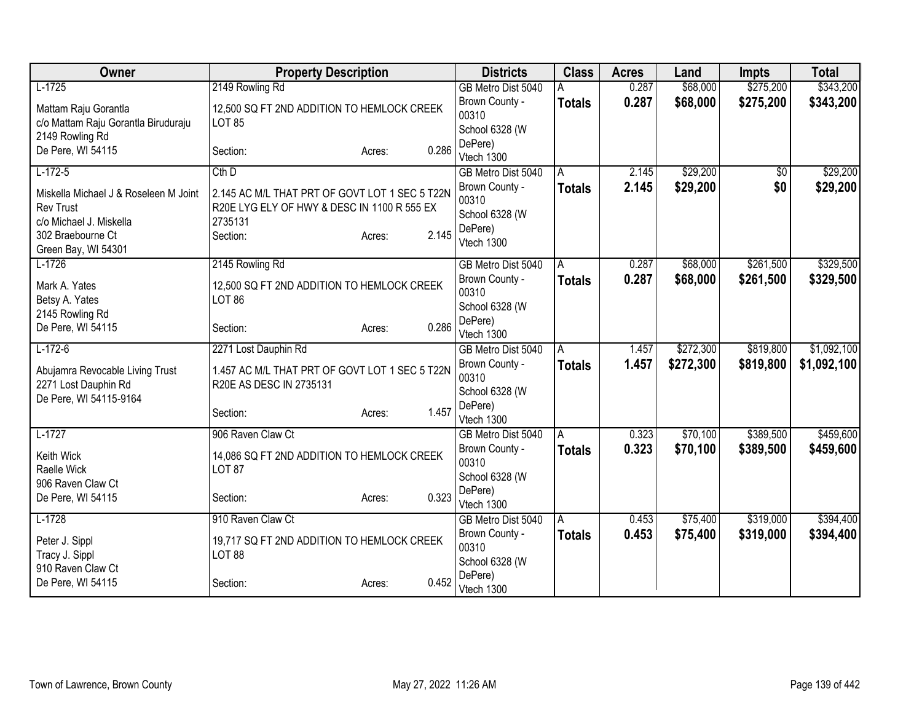| Owner                                                                                                                            | <b>Property Description</b>                                                                                          |                 | <b>Districts</b>                                                   | <b>Class</b>  | <b>Acres</b> | Land      | <b>Impts</b> | <b>Total</b> |
|----------------------------------------------------------------------------------------------------------------------------------|----------------------------------------------------------------------------------------------------------------------|-----------------|--------------------------------------------------------------------|---------------|--------------|-----------|--------------|--------------|
| $L-1725$                                                                                                                         | 2149 Rowling Rd                                                                                                      |                 | GB Metro Dist 5040                                                 | А             | 0.287        | \$68,000  | \$275,200    | \$343,200    |
| Mattam Raju Gorantla<br>c/o Mattam Raju Gorantla Biruduraju                                                                      | 12,500 SQ FT 2ND ADDITION TO HEMLOCK CREEK<br><b>LOT 85</b>                                                          |                 | Brown County -<br>00310<br>School 6328 (W                          | <b>Totals</b> | 0.287        | \$68,000  | \$275,200    | \$343,200    |
| 2149 Rowling Rd<br>De Pere, WI 54115                                                                                             | Section:                                                                                                             | 0.286<br>Acres: | DePere)<br>Vtech 1300                                              |               |              |           |              |              |
| $L-172-5$                                                                                                                        | $Cth$ $D$                                                                                                            |                 | GB Metro Dist 5040                                                 | A             | 2.145        | \$29,200  | \$0          | \$29,200     |
| Miskella Michael J & Roseleen M Joint<br><b>Rev Trust</b><br>c/o Michael J. Miskella<br>302 Braebourne Ct<br>Green Bay, WI 54301 | 2.145 AC M/L THAT PRT OF GOVT LOT 1 SEC 5 T22N<br>R20E LYG ELY OF HWY & DESC IN 1100 R 555 EX<br>2735131<br>Section: | 2.145<br>Acres: | Brown County -<br>00310<br>School 6328 (W<br>DePere)<br>Vtech 1300 | <b>Totals</b> | 2.145        | \$29,200  | \$0          | \$29,200     |
| $L-1726$                                                                                                                         | 2145 Rowling Rd                                                                                                      |                 | GB Metro Dist 5040                                                 | A             | 0.287        | \$68,000  | \$261,500    | \$329,500    |
| Mark A. Yates<br>Betsy A. Yates<br>2145 Rowling Rd                                                                               | 12,500 SQ FT 2ND ADDITION TO HEMLOCK CREEK<br><b>LOT 86</b>                                                          |                 | Brown County -<br>00310<br>School 6328 (W                          | <b>Totals</b> | 0.287        | \$68,000  | \$261,500    | \$329,500    |
| De Pere, WI 54115                                                                                                                | Section:                                                                                                             | 0.286<br>Acres: | DePere)<br>Vtech 1300                                              |               |              |           |              |              |
| $L-172-6$                                                                                                                        | 2271 Lost Dauphin Rd                                                                                                 |                 | GB Metro Dist 5040                                                 | A             | 1.457        | \$272,300 | \$819,800    | \$1,092,100  |
| Abujamra Revocable Living Trust<br>2271 Lost Dauphin Rd<br>De Pere, WI 54115-9164                                                | 1.457 AC M/L THAT PRT OF GOVT LOT 1 SEC 5 T22N<br>R20E AS DESC IN 2735131                                            |                 | Brown County -<br>00310<br>School 6328 (W                          | Totals        | 1.457        | \$272,300 | \$819,800    | \$1,092,100  |
|                                                                                                                                  | Section:                                                                                                             | 1.457<br>Acres: | DePere)<br>Vtech 1300                                              |               |              |           |              |              |
| $L-1727$                                                                                                                         | 906 Raven Claw Ct                                                                                                    |                 | GB Metro Dist 5040                                                 | A             | 0.323        | \$70,100  | \$389,500    | \$459,600    |
| Keith Wick<br>Raelle Wick<br>906 Raven Claw Ct                                                                                   | 14,086 SQ FT 2ND ADDITION TO HEMLOCK CREEK<br><b>LOT 87</b>                                                          |                 | Brown County -<br>00310<br>School 6328 (W                          | Totals        | 0.323        | \$70,100  | \$389,500    | \$459,600    |
| De Pere, WI 54115                                                                                                                | Section:                                                                                                             | 0.323<br>Acres: | DePere)<br>Vtech 1300                                              |               |              |           |              |              |
| $L-1728$                                                                                                                         | 910 Raven Claw Ct                                                                                                    |                 | GB Metro Dist 5040                                                 | A             | 0.453        | \$75,400  | \$319,000    | \$394,400    |
| Peter J. Sippl<br>Tracy J. Sippl<br>910 Raven Claw Ct                                                                            | 19,717 SQ FT 2ND ADDITION TO HEMLOCK CREEK<br><b>LOT 88</b>                                                          |                 | Brown County -<br>00310<br>School 6328 (W                          | <b>Totals</b> | 0.453        | \$75,400  | \$319,000    | \$394,400    |
| De Pere, WI 54115                                                                                                                | Section:                                                                                                             | 0.452<br>Acres: | DePere)<br>Vtech 1300                                              |               |              |           |              |              |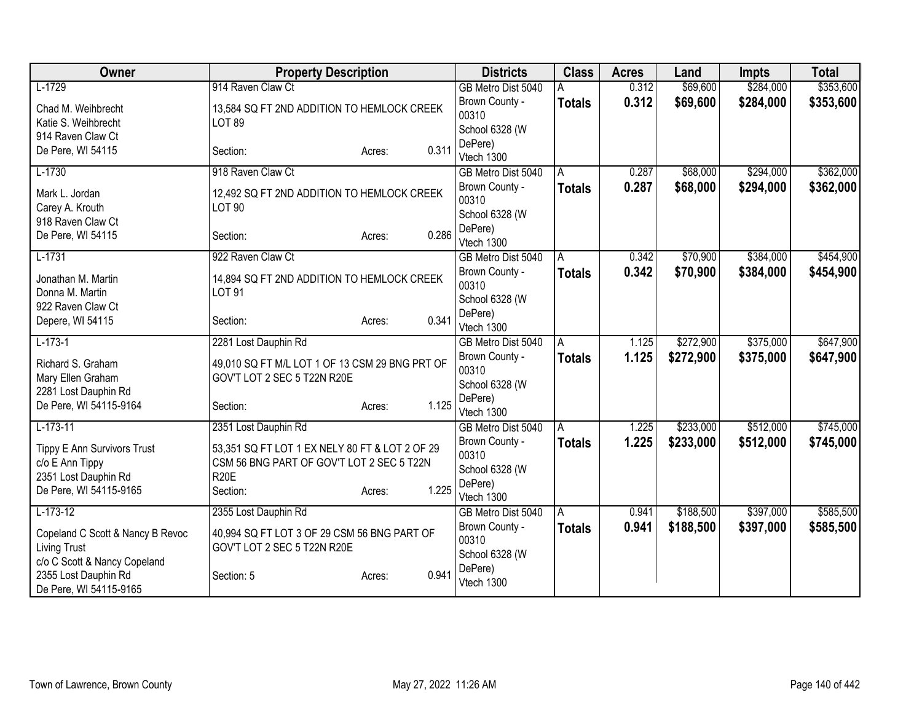| Owner                                                                                            | <b>Property Description</b>                                                                                                      |       | <b>Districts</b>                                                   | <b>Class</b>       | <b>Acres</b>   | Land                 | <b>Impts</b>           | <b>Total</b>           |
|--------------------------------------------------------------------------------------------------|----------------------------------------------------------------------------------------------------------------------------------|-------|--------------------------------------------------------------------|--------------------|----------------|----------------------|------------------------|------------------------|
| $L-1729$                                                                                         | 914 Raven Claw Ct                                                                                                                |       | GB Metro Dist 5040                                                 |                    | 0.312          | \$69,600             | \$284,000              | \$353,600              |
| Chad M. Weihbrecht<br>Katie S. Weihbrecht                                                        | 13,584 SQ FT 2ND ADDITION TO HEMLOCK CREEK<br><b>LOT 89</b>                                                                      |       | Brown County -<br>00310                                            | <b>Totals</b>      | 0.312          | \$69,600             | \$284,000              | \$353,600              |
| 914 Raven Claw Ct<br>De Pere, WI 54115                                                           | Section:<br>Acres:                                                                                                               | 0.311 | School 6328 (W<br>DePere)<br>Vtech 1300                            |                    |                |                      |                        |                        |
| $L-1730$                                                                                         | 918 Raven Claw Ct                                                                                                                |       | GB Metro Dist 5040                                                 | A                  | 0.287          | \$68,000             | \$294,000              | \$362,000              |
| Mark L. Jordan<br>Carey A. Krouth                                                                | 12,492 SQ FT 2ND ADDITION TO HEMLOCK CREEK<br><b>LOT 90</b>                                                                      |       | Brown County -<br>00310<br>School 6328 (W                          | <b>Totals</b>      | 0.287          | \$68,000             | \$294,000              | \$362,000              |
| 918 Raven Claw Ct<br>De Pere, WI 54115                                                           | Section:<br>Acres:                                                                                                               | 0.286 | DePere)<br>Vtech 1300                                              |                    |                |                      |                        |                        |
| $L-1731$<br>Jonathan M. Martin<br>Donna M. Martin<br>922 Raven Claw Ct                           | 922 Raven Claw Ct<br>14,894 SQ FT 2ND ADDITION TO HEMLOCK CREEK<br><b>LOT 91</b>                                                 |       | GB Metro Dist 5040<br>Brown County -<br>00310<br>School 6328 (W    | A<br><b>Totals</b> | 0.342<br>0.342 | \$70,900<br>\$70,900 | \$384,000<br>\$384,000 | \$454,900<br>\$454,900 |
| Depere, WI 54115                                                                                 | Section:<br>Acres:                                                                                                               | 0.341 | DePere)<br>Vtech 1300                                              |                    |                |                      |                        |                        |
| $L-173-1$                                                                                        | 2281 Lost Dauphin Rd                                                                                                             |       | GB Metro Dist 5040                                                 | A                  | 1.125          | \$272,900            | \$375,000              | \$647,900              |
| Richard S. Graham<br>Mary Ellen Graham<br>2281 Lost Dauphin Rd                                   | 49,010 SQ FT M/L LOT 1 OF 13 CSM 29 BNG PRT OF<br>GOV'T LOT 2 SEC 5 T22N R20E                                                    |       | Brown County -<br>00310<br>School 6328 (W                          | <b>Totals</b>      | 1.125          | \$272,900            | \$375,000              | \$647,900              |
| De Pere, WI 54115-9164                                                                           | Section:<br>Acres:                                                                                                               | 1.125 | DePere)<br>Vtech 1300                                              |                    |                |                      |                        |                        |
| $L-173-11$                                                                                       | 2351 Lost Dauphin Rd                                                                                                             |       | GB Metro Dist 5040                                                 | A                  | 1.225          | \$233,000            | \$512,000              | \$745,000              |
| Tippy E Ann Survivors Trust<br>c/o E Ann Tippy<br>2351 Lost Dauphin Rd<br>De Pere, WI 54115-9165 | 53,351 SQ FT LOT 1 EX NELY 80 FT & LOT 2 OF 29<br>CSM 56 BNG PART OF GOV'T LOT 2 SEC 5 T22N<br><b>R20E</b><br>Section:<br>Acres: | 1.225 | Brown County -<br>00310<br>School 6328 (W<br>DePere)<br>Vtech 1300 | <b>Totals</b>      | 1.225          | \$233,000            | \$512,000              | \$745,000              |
| $L-173-12$                                                                                       | 2355 Lost Dauphin Rd                                                                                                             |       | GB Metro Dist 5040                                                 | l A                | 0.941          | \$188,500            | \$397,000              | \$585,500              |
| Copeland C Scott & Nancy B Revoc<br><b>Living Trust</b>                                          | 40,994 SQ FT LOT 3 OF 29 CSM 56 BNG PART OF<br>GOV'T LOT 2 SEC 5 T22N R20E                                                       |       | Brown County -<br>00310<br>School 6328 (W                          | <b>Totals</b>      | 0.941          | \$188,500            | \$397,000              | \$585,500              |
| c/o C Scott & Nancy Copeland<br>2355 Lost Dauphin Rd<br>De Pere, WI 54115-9165                   | Section: 5<br>Acres:                                                                                                             | 0.941 | DePere)<br>Vtech 1300                                              |                    |                |                      |                        |                        |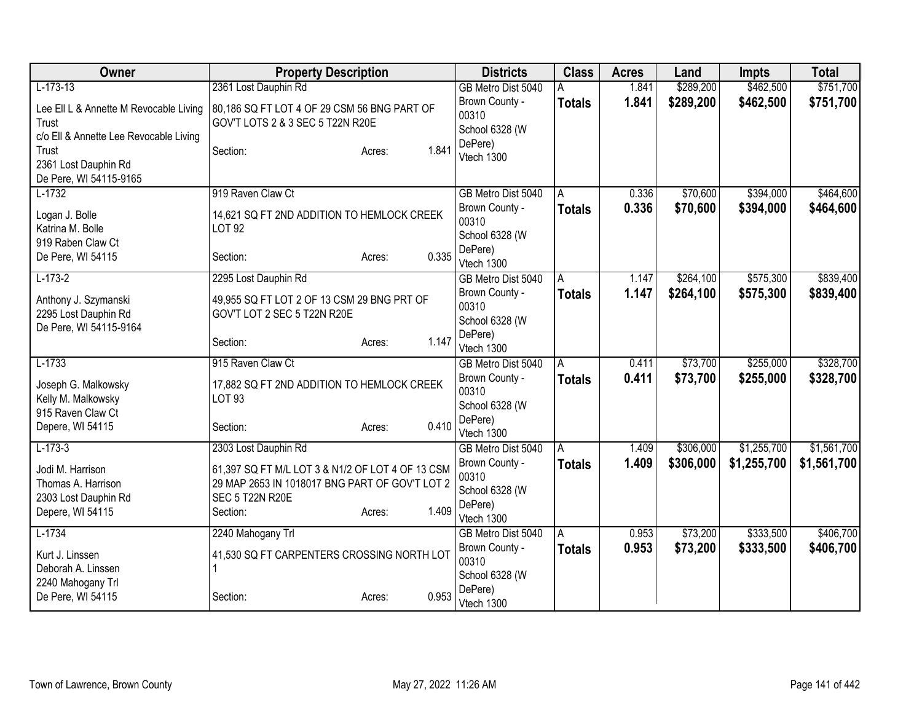| Owner                                                                                             | <b>Property Description</b>                                                                                                              |                 | <b>Districts</b>                                                   | <b>Class</b>       | <b>Acres</b>   | Land                   | <b>Impts</b>           | <b>Total</b>           |
|---------------------------------------------------------------------------------------------------|------------------------------------------------------------------------------------------------------------------------------------------|-----------------|--------------------------------------------------------------------|--------------------|----------------|------------------------|------------------------|------------------------|
| $L-173-13$                                                                                        | 2361 Lost Dauphin Rd                                                                                                                     |                 | GB Metro Dist 5040                                                 | Α                  | 1.841          | \$289,200              | \$462,500              | \$751,700              |
| Lee Ell L & Annette M Revocable Living<br>Trust                                                   | 80,186 SQ FT LOT 4 OF 29 CSM 56 BNG PART OF<br>GOV'T LOTS 2 & 3 SEC 5 T22N R20E                                                          |                 | Brown County -<br>00310<br>School 6328 (W                          | <b>Totals</b>      | 1.841          | \$289,200              | \$462,500              | \$751,700              |
| c/o Ell & Annette Lee Revocable Living<br>Trust<br>2361 Lost Dauphin Rd<br>De Pere, WI 54115-9165 | Section:                                                                                                                                 | 1.841<br>Acres: | DePere)<br>Vtech 1300                                              |                    |                |                        |                        |                        |
| $L-1732$                                                                                          | 919 Raven Claw Ct                                                                                                                        |                 | GB Metro Dist 5040                                                 | A                  | 0.336          | \$70,600               | \$394,000              | \$464,600              |
| Logan J. Bolle<br>Katrina M. Bolle<br>919 Raben Claw Ct                                           | 14,621 SQ FT 2ND ADDITION TO HEMLOCK CREEK<br><b>LOT 92</b>                                                                              |                 | Brown County -<br>00310<br>School 6328 (W<br>DePere)               | <b>Totals</b>      | 0.336          | \$70,600               | \$394,000              | \$464,600              |
| De Pere, WI 54115                                                                                 | Section:                                                                                                                                 | 0.335<br>Acres: | Vtech 1300                                                         |                    |                |                        |                        |                        |
| $L-173-2$                                                                                         | 2295 Lost Dauphin Rd                                                                                                                     |                 | GB Metro Dist 5040<br>Brown County -                               | A<br><b>Totals</b> | 1.147<br>1.147 | \$264,100<br>\$264,100 | \$575,300<br>\$575,300 | \$839,400<br>\$839,400 |
| Anthony J. Szymanski<br>2295 Lost Dauphin Rd<br>De Pere, WI 54115-9164                            | 49,955 SQ FT LOT 2 OF 13 CSM 29 BNG PRT OF<br>GOV'T LOT 2 SEC 5 T22N R20E                                                                |                 | 00310<br>School 6328 (W                                            |                    |                |                        |                        |                        |
|                                                                                                   | Section:                                                                                                                                 | 1.147<br>Acres: | DePere)<br>Vtech 1300                                              |                    |                |                        |                        |                        |
| $L-1733$                                                                                          | 915 Raven Claw Ct                                                                                                                        |                 | GB Metro Dist 5040                                                 | A                  | 0.411          | \$73,700               | \$255,000              | \$328,700              |
| Joseph G. Malkowsky<br>Kelly M. Malkowsky                                                         | 17,882 SQ FT 2ND ADDITION TO HEMLOCK CREEK<br>LOT 93                                                                                     |                 | Brown County -<br>00310<br>School 6328 (W                          | Totals             | 0.411          | \$73,700               | \$255,000              | \$328,700              |
| 915 Raven Claw Ct<br>Depere, WI 54115                                                             | Section:                                                                                                                                 | 0.410<br>Acres: | DePere)<br>Vtech 1300                                              |                    |                |                        |                        |                        |
| $L-173-3$                                                                                         | 2303 Lost Dauphin Rd                                                                                                                     |                 | GB Metro Dist 5040                                                 | A                  | 1.409          | \$306,000              | \$1,255,700            | \$1,561,700            |
| Jodi M. Harrison<br>Thomas A. Harrison<br>2303 Lost Dauphin Rd<br>Depere, WI 54115                | 61,397 SQ FT M/L LOT 3 & N1/2 OF LOT 4 OF 13 CSM<br>29 MAP 2653 IN 1018017 BNG PART OF GOV'T LOT 2<br><b>SEC 5 T22N R20E</b><br>Section: | 1.409<br>Acres: | Brown County -<br>00310<br>School 6328 (W<br>DePere)<br>Vtech 1300 | <b>Totals</b>      | 1.409          | \$306,000              | \$1,255,700            | \$1,561,700            |
| $L-1734$                                                                                          | 2240 Mahogany Trl                                                                                                                        |                 | GB Metro Dist 5040                                                 | A                  | 0.953          | \$73,200               | \$333,500              | \$406,700              |
| Kurt J. Linssen<br>Deborah A. Linssen<br>2240 Mahogany Trl                                        | 41,530 SQ FT CARPENTERS CROSSING NORTH LOT                                                                                               |                 | Brown County -<br>00310<br>School 6328 (W                          | <b>Totals</b>      | 0.953          | \$73,200               | \$333,500              | \$406,700              |
| De Pere, WI 54115                                                                                 | Section:                                                                                                                                 | 0.953<br>Acres: | DePere)<br>Vtech 1300                                              |                    |                |                        |                        |                        |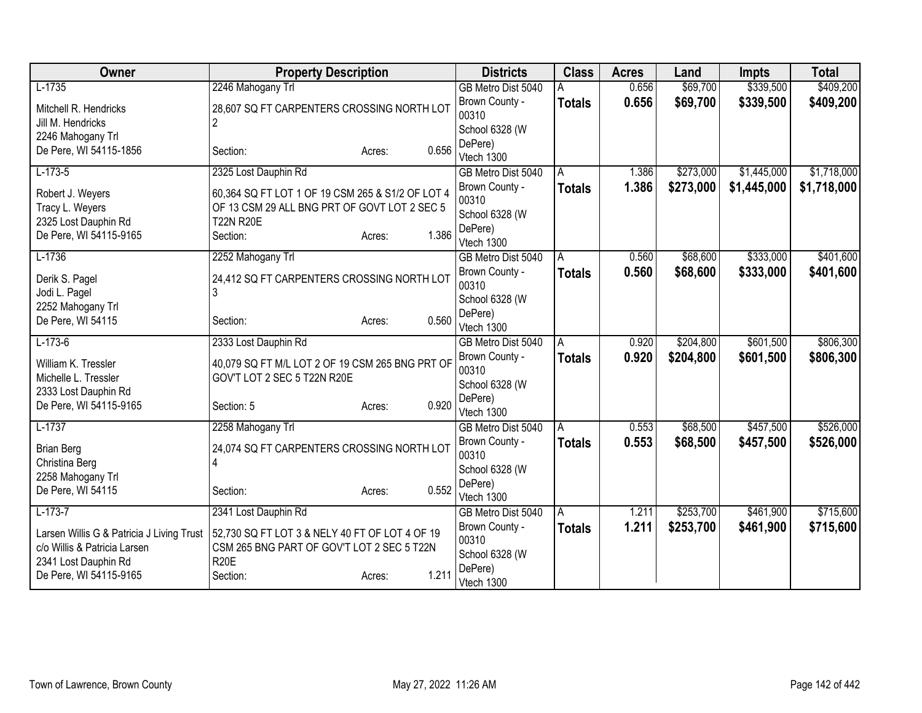| $L-1735$<br>\$69,700<br>\$339,500<br>\$409,200<br>2246 Mahogany Trl<br>0.656<br>GB Metro Dist 5040<br>0.656<br>\$69,700<br>\$339,500<br>Brown County -<br>\$409,200<br><b>Totals</b><br>Mitchell R. Hendricks<br>28,607 SQ FT CARPENTERS CROSSING NORTH LOT<br>00310<br>$\overline{2}$<br>Jill M. Hendricks<br>School 6328 (W<br>2246 Mahogany Trl<br>DePere)<br>0.656<br>De Pere, WI 54115-1856<br>Section:<br>Acres:<br>Vtech 1300<br>$L-173-5$<br>\$273,000<br>\$1,718,000<br>2325 Lost Dauphin Rd<br>\$1,445,000<br>1.386<br>GB Metro Dist 5040<br>A<br>1.386<br>\$273,000<br>\$1,445,000<br>\$1,718,000<br>Brown County -<br><b>Totals</b><br>60,364 SQ FT LOT 1 OF 19 CSM 265 & S1/2 OF LOT 4<br>Robert J. Weyers<br>00310<br>OF 13 CSM 29 ALL BNG PRT OF GOVT LOT 2 SEC 5<br>Tracy L. Weyers<br>School 6328 (W<br><b>T22N R20E</b><br>2325 Lost Dauphin Rd<br>DePere)<br>1.386<br>De Pere, WI 54115-9165<br>Section:<br>Acres:<br>Vtech 1300<br>$L-1736$<br>\$333,000<br>2252 Mahogany Trl<br>\$68,600<br>0.560<br>GB Metro Dist 5040<br>A<br>\$68,600<br>\$333,000<br>Brown County -<br>0.560<br>Totals<br>Derik S. Pagel<br>24,412 SQ FT CARPENTERS CROSSING NORTH LOT<br>00310<br>3<br>Jodi L. Pagel<br>School 6328 (W<br>2252 Mahogany Trl<br>DePere)<br>0.560<br>De Pere, WI 54115<br>Section:<br>Acres:<br>Vtech 1300<br>$L-173-6$<br>\$601,500<br>\$806,300<br>2333 Lost Dauphin Rd<br>\$204,800<br>0.920<br>GB Metro Dist 5040<br>A<br>0.920<br>\$204,800<br>\$601,500<br>Brown County -<br><b>Totals</b><br>40,079 SQ FT M/L LOT 2 OF 19 CSM 265 BNG PRT OF<br>William K. Tressler<br>00310<br>GOV'T LOT 2 SEC 5 T22N R20E<br>Michelle L. Tressler<br>School 6328 (W<br>2333 Lost Dauphin Rd<br>DePere)<br>0.920<br>De Pere, WI 54115-9165<br>Section: 5<br>Acres:<br>Vtech 1300<br>$L-1737$<br>\$68,500<br>\$457,500<br>2258 Mahogany Trl<br>0.553<br>GB Metro Dist 5040<br>A<br>0.553<br>\$68,500<br>\$457,500<br>Brown County -<br>Totals<br>24,074 SQ FT CARPENTERS CROSSING NORTH LOT<br><b>Brian Berg</b><br>00310<br>4<br>Christina Berg<br>School 6328 (W<br>2258 Mahogany Trl<br>DePere)<br>0.552<br>De Pere, WI 54115<br>Section:<br>Acres:<br>Vtech 1300<br>\$253,700<br>\$461,900<br>$L-173-7$<br>2341 Lost Dauphin Rd<br>1.211<br>GB Metro Dist 5040<br>A<br>Brown County -<br>1.211<br>\$253,700<br>\$461,900<br><b>Totals</b><br>Larsen Willis G & Patricia J Living Trust<br>52,730 SQ FT LOT 3 & NELY 40 FT OF LOT 4 OF 19<br>00310<br>CSM 265 BNG PART OF GOV'T LOT 2 SEC 5 T22N<br>c/o Willis & Patricia Larsen<br>School 6328 (W<br><b>R20E</b><br>2341 Lost Dauphin Rd<br>DePere)<br>1.211<br>De Pere, WI 54115-9165<br>Section:<br>Acres:<br>Vtech 1300 | Owner | <b>Property Description</b> | <b>Districts</b> | <b>Class</b> | <b>Acres</b> | Land | <b>Impts</b> | <b>Total</b> |
|-----------------------------------------------------------------------------------------------------------------------------------------------------------------------------------------------------------------------------------------------------------------------------------------------------------------------------------------------------------------------------------------------------------------------------------------------------------------------------------------------------------------------------------------------------------------------------------------------------------------------------------------------------------------------------------------------------------------------------------------------------------------------------------------------------------------------------------------------------------------------------------------------------------------------------------------------------------------------------------------------------------------------------------------------------------------------------------------------------------------------------------------------------------------------------------------------------------------------------------------------------------------------------------------------------------------------------------------------------------------------------------------------------------------------------------------------------------------------------------------------------------------------------------------------------------------------------------------------------------------------------------------------------------------------------------------------------------------------------------------------------------------------------------------------------------------------------------------------------------------------------------------------------------------------------------------------------------------------------------------------------------------------------------------------------------------------------------------------------------------------------------------------------------------------------------------------------------------------------------------------------------------------------------------------------------------------------------------------------------------------------------------------------------------------------------------------------------------------------------------------------------------------------------------------------------------------------------------------------------------------------------------------------------------------------------------------|-------|-----------------------------|------------------|--------------|--------------|------|--------------|--------------|
|                                                                                                                                                                                                                                                                                                                                                                                                                                                                                                                                                                                                                                                                                                                                                                                                                                                                                                                                                                                                                                                                                                                                                                                                                                                                                                                                                                                                                                                                                                                                                                                                                                                                                                                                                                                                                                                                                                                                                                                                                                                                                                                                                                                                                                                                                                                                                                                                                                                                                                                                                                                                                                                                                               |       |                             |                  |              |              |      |              |              |
|                                                                                                                                                                                                                                                                                                                                                                                                                                                                                                                                                                                                                                                                                                                                                                                                                                                                                                                                                                                                                                                                                                                                                                                                                                                                                                                                                                                                                                                                                                                                                                                                                                                                                                                                                                                                                                                                                                                                                                                                                                                                                                                                                                                                                                                                                                                                                                                                                                                                                                                                                                                                                                                                                               |       |                             |                  |              |              |      |              |              |
| \$401,600<br>\$401,600<br>\$806,300<br>\$526,000<br>\$526,000<br>\$715,600<br>\$715,600                                                                                                                                                                                                                                                                                                                                                                                                                                                                                                                                                                                                                                                                                                                                                                                                                                                                                                                                                                                                                                                                                                                                                                                                                                                                                                                                                                                                                                                                                                                                                                                                                                                                                                                                                                                                                                                                                                                                                                                                                                                                                                                                                                                                                                                                                                                                                                                                                                                                                                                                                                                                       |       |                             |                  |              |              |      |              |              |
|                                                                                                                                                                                                                                                                                                                                                                                                                                                                                                                                                                                                                                                                                                                                                                                                                                                                                                                                                                                                                                                                                                                                                                                                                                                                                                                                                                                                                                                                                                                                                                                                                                                                                                                                                                                                                                                                                                                                                                                                                                                                                                                                                                                                                                                                                                                                                                                                                                                                                                                                                                                                                                                                                               |       |                             |                  |              |              |      |              |              |
|                                                                                                                                                                                                                                                                                                                                                                                                                                                                                                                                                                                                                                                                                                                                                                                                                                                                                                                                                                                                                                                                                                                                                                                                                                                                                                                                                                                                                                                                                                                                                                                                                                                                                                                                                                                                                                                                                                                                                                                                                                                                                                                                                                                                                                                                                                                                                                                                                                                                                                                                                                                                                                                                                               |       |                             |                  |              |              |      |              |              |
|                                                                                                                                                                                                                                                                                                                                                                                                                                                                                                                                                                                                                                                                                                                                                                                                                                                                                                                                                                                                                                                                                                                                                                                                                                                                                                                                                                                                                                                                                                                                                                                                                                                                                                                                                                                                                                                                                                                                                                                                                                                                                                                                                                                                                                                                                                                                                                                                                                                                                                                                                                                                                                                                                               |       |                             |                  |              |              |      |              |              |
|                                                                                                                                                                                                                                                                                                                                                                                                                                                                                                                                                                                                                                                                                                                                                                                                                                                                                                                                                                                                                                                                                                                                                                                                                                                                                                                                                                                                                                                                                                                                                                                                                                                                                                                                                                                                                                                                                                                                                                                                                                                                                                                                                                                                                                                                                                                                                                                                                                                                                                                                                                                                                                                                                               |       |                             |                  |              |              |      |              |              |
|                                                                                                                                                                                                                                                                                                                                                                                                                                                                                                                                                                                                                                                                                                                                                                                                                                                                                                                                                                                                                                                                                                                                                                                                                                                                                                                                                                                                                                                                                                                                                                                                                                                                                                                                                                                                                                                                                                                                                                                                                                                                                                                                                                                                                                                                                                                                                                                                                                                                                                                                                                                                                                                                                               |       |                             |                  |              |              |      |              |              |
|                                                                                                                                                                                                                                                                                                                                                                                                                                                                                                                                                                                                                                                                                                                                                                                                                                                                                                                                                                                                                                                                                                                                                                                                                                                                                                                                                                                                                                                                                                                                                                                                                                                                                                                                                                                                                                                                                                                                                                                                                                                                                                                                                                                                                                                                                                                                                                                                                                                                                                                                                                                                                                                                                               |       |                             |                  |              |              |      |              |              |
|                                                                                                                                                                                                                                                                                                                                                                                                                                                                                                                                                                                                                                                                                                                                                                                                                                                                                                                                                                                                                                                                                                                                                                                                                                                                                                                                                                                                                                                                                                                                                                                                                                                                                                                                                                                                                                                                                                                                                                                                                                                                                                                                                                                                                                                                                                                                                                                                                                                                                                                                                                                                                                                                                               |       |                             |                  |              |              |      |              |              |
|                                                                                                                                                                                                                                                                                                                                                                                                                                                                                                                                                                                                                                                                                                                                                                                                                                                                                                                                                                                                                                                                                                                                                                                                                                                                                                                                                                                                                                                                                                                                                                                                                                                                                                                                                                                                                                                                                                                                                                                                                                                                                                                                                                                                                                                                                                                                                                                                                                                                                                                                                                                                                                                                                               |       |                             |                  |              |              |      |              |              |
|                                                                                                                                                                                                                                                                                                                                                                                                                                                                                                                                                                                                                                                                                                                                                                                                                                                                                                                                                                                                                                                                                                                                                                                                                                                                                                                                                                                                                                                                                                                                                                                                                                                                                                                                                                                                                                                                                                                                                                                                                                                                                                                                                                                                                                                                                                                                                                                                                                                                                                                                                                                                                                                                                               |       |                             |                  |              |              |      |              |              |
|                                                                                                                                                                                                                                                                                                                                                                                                                                                                                                                                                                                                                                                                                                                                                                                                                                                                                                                                                                                                                                                                                                                                                                                                                                                                                                                                                                                                                                                                                                                                                                                                                                                                                                                                                                                                                                                                                                                                                                                                                                                                                                                                                                                                                                                                                                                                                                                                                                                                                                                                                                                                                                                                                               |       |                             |                  |              |              |      |              |              |
|                                                                                                                                                                                                                                                                                                                                                                                                                                                                                                                                                                                                                                                                                                                                                                                                                                                                                                                                                                                                                                                                                                                                                                                                                                                                                                                                                                                                                                                                                                                                                                                                                                                                                                                                                                                                                                                                                                                                                                                                                                                                                                                                                                                                                                                                                                                                                                                                                                                                                                                                                                                                                                                                                               |       |                             |                  |              |              |      |              |              |
|                                                                                                                                                                                                                                                                                                                                                                                                                                                                                                                                                                                                                                                                                                                                                                                                                                                                                                                                                                                                                                                                                                                                                                                                                                                                                                                                                                                                                                                                                                                                                                                                                                                                                                                                                                                                                                                                                                                                                                                                                                                                                                                                                                                                                                                                                                                                                                                                                                                                                                                                                                                                                                                                                               |       |                             |                  |              |              |      |              |              |
|                                                                                                                                                                                                                                                                                                                                                                                                                                                                                                                                                                                                                                                                                                                                                                                                                                                                                                                                                                                                                                                                                                                                                                                                                                                                                                                                                                                                                                                                                                                                                                                                                                                                                                                                                                                                                                                                                                                                                                                                                                                                                                                                                                                                                                                                                                                                                                                                                                                                                                                                                                                                                                                                                               |       |                             |                  |              |              |      |              |              |
|                                                                                                                                                                                                                                                                                                                                                                                                                                                                                                                                                                                                                                                                                                                                                                                                                                                                                                                                                                                                                                                                                                                                                                                                                                                                                                                                                                                                                                                                                                                                                                                                                                                                                                                                                                                                                                                                                                                                                                                                                                                                                                                                                                                                                                                                                                                                                                                                                                                                                                                                                                                                                                                                                               |       |                             |                  |              |              |      |              |              |
|                                                                                                                                                                                                                                                                                                                                                                                                                                                                                                                                                                                                                                                                                                                                                                                                                                                                                                                                                                                                                                                                                                                                                                                                                                                                                                                                                                                                                                                                                                                                                                                                                                                                                                                                                                                                                                                                                                                                                                                                                                                                                                                                                                                                                                                                                                                                                                                                                                                                                                                                                                                                                                                                                               |       |                             |                  |              |              |      |              |              |
|                                                                                                                                                                                                                                                                                                                                                                                                                                                                                                                                                                                                                                                                                                                                                                                                                                                                                                                                                                                                                                                                                                                                                                                                                                                                                                                                                                                                                                                                                                                                                                                                                                                                                                                                                                                                                                                                                                                                                                                                                                                                                                                                                                                                                                                                                                                                                                                                                                                                                                                                                                                                                                                                                               |       |                             |                  |              |              |      |              |              |
|                                                                                                                                                                                                                                                                                                                                                                                                                                                                                                                                                                                                                                                                                                                                                                                                                                                                                                                                                                                                                                                                                                                                                                                                                                                                                                                                                                                                                                                                                                                                                                                                                                                                                                                                                                                                                                                                                                                                                                                                                                                                                                                                                                                                                                                                                                                                                                                                                                                                                                                                                                                                                                                                                               |       |                             |                  |              |              |      |              |              |
|                                                                                                                                                                                                                                                                                                                                                                                                                                                                                                                                                                                                                                                                                                                                                                                                                                                                                                                                                                                                                                                                                                                                                                                                                                                                                                                                                                                                                                                                                                                                                                                                                                                                                                                                                                                                                                                                                                                                                                                                                                                                                                                                                                                                                                                                                                                                                                                                                                                                                                                                                                                                                                                                                               |       |                             |                  |              |              |      |              |              |
|                                                                                                                                                                                                                                                                                                                                                                                                                                                                                                                                                                                                                                                                                                                                                                                                                                                                                                                                                                                                                                                                                                                                                                                                                                                                                                                                                                                                                                                                                                                                                                                                                                                                                                                                                                                                                                                                                                                                                                                                                                                                                                                                                                                                                                                                                                                                                                                                                                                                                                                                                                                                                                                                                               |       |                             |                  |              |              |      |              |              |
|                                                                                                                                                                                                                                                                                                                                                                                                                                                                                                                                                                                                                                                                                                                                                                                                                                                                                                                                                                                                                                                                                                                                                                                                                                                                                                                                                                                                                                                                                                                                                                                                                                                                                                                                                                                                                                                                                                                                                                                                                                                                                                                                                                                                                                                                                                                                                                                                                                                                                                                                                                                                                                                                                               |       |                             |                  |              |              |      |              |              |
|                                                                                                                                                                                                                                                                                                                                                                                                                                                                                                                                                                                                                                                                                                                                                                                                                                                                                                                                                                                                                                                                                                                                                                                                                                                                                                                                                                                                                                                                                                                                                                                                                                                                                                                                                                                                                                                                                                                                                                                                                                                                                                                                                                                                                                                                                                                                                                                                                                                                                                                                                                                                                                                                                               |       |                             |                  |              |              |      |              |              |
|                                                                                                                                                                                                                                                                                                                                                                                                                                                                                                                                                                                                                                                                                                                                                                                                                                                                                                                                                                                                                                                                                                                                                                                                                                                                                                                                                                                                                                                                                                                                                                                                                                                                                                                                                                                                                                                                                                                                                                                                                                                                                                                                                                                                                                                                                                                                                                                                                                                                                                                                                                                                                                                                                               |       |                             |                  |              |              |      |              |              |
|                                                                                                                                                                                                                                                                                                                                                                                                                                                                                                                                                                                                                                                                                                                                                                                                                                                                                                                                                                                                                                                                                                                                                                                                                                                                                                                                                                                                                                                                                                                                                                                                                                                                                                                                                                                                                                                                                                                                                                                                                                                                                                                                                                                                                                                                                                                                                                                                                                                                                                                                                                                                                                                                                               |       |                             |                  |              |              |      |              |              |
|                                                                                                                                                                                                                                                                                                                                                                                                                                                                                                                                                                                                                                                                                                                                                                                                                                                                                                                                                                                                                                                                                                                                                                                                                                                                                                                                                                                                                                                                                                                                                                                                                                                                                                                                                                                                                                                                                                                                                                                                                                                                                                                                                                                                                                                                                                                                                                                                                                                                                                                                                                                                                                                                                               |       |                             |                  |              |              |      |              |              |
|                                                                                                                                                                                                                                                                                                                                                                                                                                                                                                                                                                                                                                                                                                                                                                                                                                                                                                                                                                                                                                                                                                                                                                                                                                                                                                                                                                                                                                                                                                                                                                                                                                                                                                                                                                                                                                                                                                                                                                                                                                                                                                                                                                                                                                                                                                                                                                                                                                                                                                                                                                                                                                                                                               |       |                             |                  |              |              |      |              |              |
|                                                                                                                                                                                                                                                                                                                                                                                                                                                                                                                                                                                                                                                                                                                                                                                                                                                                                                                                                                                                                                                                                                                                                                                                                                                                                                                                                                                                                                                                                                                                                                                                                                                                                                                                                                                                                                                                                                                                                                                                                                                                                                                                                                                                                                                                                                                                                                                                                                                                                                                                                                                                                                                                                               |       |                             |                  |              |              |      |              |              |
|                                                                                                                                                                                                                                                                                                                                                                                                                                                                                                                                                                                                                                                                                                                                                                                                                                                                                                                                                                                                                                                                                                                                                                                                                                                                                                                                                                                                                                                                                                                                                                                                                                                                                                                                                                                                                                                                                                                                                                                                                                                                                                                                                                                                                                                                                                                                                                                                                                                                                                                                                                                                                                                                                               |       |                             |                  |              |              |      |              |              |
|                                                                                                                                                                                                                                                                                                                                                                                                                                                                                                                                                                                                                                                                                                                                                                                                                                                                                                                                                                                                                                                                                                                                                                                                                                                                                                                                                                                                                                                                                                                                                                                                                                                                                                                                                                                                                                                                                                                                                                                                                                                                                                                                                                                                                                                                                                                                                                                                                                                                                                                                                                                                                                                                                               |       |                             |                  |              |              |      |              |              |
|                                                                                                                                                                                                                                                                                                                                                                                                                                                                                                                                                                                                                                                                                                                                                                                                                                                                                                                                                                                                                                                                                                                                                                                                                                                                                                                                                                                                                                                                                                                                                                                                                                                                                                                                                                                                                                                                                                                                                                                                                                                                                                                                                                                                                                                                                                                                                                                                                                                                                                                                                                                                                                                                                               |       |                             |                  |              |              |      |              |              |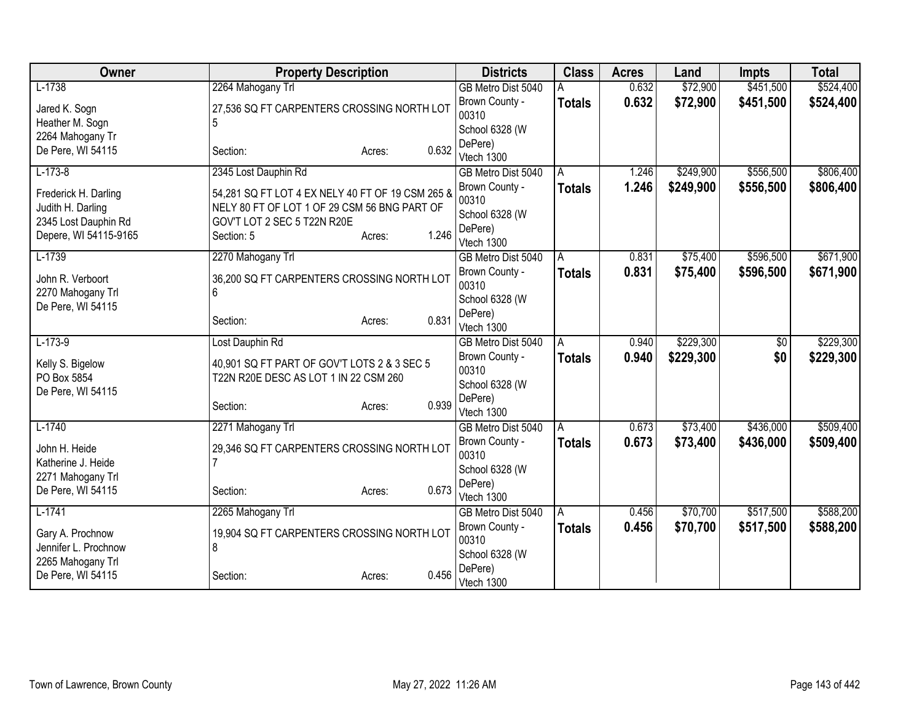| Owner                 | <b>Property Description</b>                      |                 | <b>Districts</b>        | <b>Class</b>  | <b>Acres</b> | Land      | <b>Impts</b>    | <b>Total</b> |
|-----------------------|--------------------------------------------------|-----------------|-------------------------|---------------|--------------|-----------|-----------------|--------------|
| $L-1738$              | 2264 Mahogany Trl                                |                 | GB Metro Dist 5040      |               | 0.632        | \$72,900  | \$451,500       | \$524,400    |
| Jared K. Sogn         | 27,536 SQ FT CARPENTERS CROSSING NORTH LOT       |                 | Brown County -          | <b>Totals</b> | 0.632        | \$72,900  | \$451,500       | \$524,400    |
| Heather M. Sogn       | 5                                                |                 | 00310                   |               |              |           |                 |              |
| 2264 Mahogany Tr      |                                                  |                 | School 6328 (W          |               |              |           |                 |              |
| De Pere, WI 54115     | Section:                                         | 0.632<br>Acres: | DePere)<br>Vtech 1300   |               |              |           |                 |              |
| $L-173-8$             | 2345 Lost Dauphin Rd                             |                 | GB Metro Dist 5040      | A             | 1.246        | \$249,900 | \$556,500       | \$806,400    |
|                       |                                                  |                 | Brown County -          | <b>Totals</b> | 1.246        | \$249,900 | \$556,500       | \$806,400    |
| Frederick H. Darling  | 54,281 SQ FT LOT 4 EX NELY 40 FT OF 19 CSM 265 & |                 | 00310                   |               |              |           |                 |              |
| Judith H. Darling     | NELY 80 FT OF LOT 1 OF 29 CSM 56 BNG PART OF     |                 | School 6328 (W          |               |              |           |                 |              |
| 2345 Lost Dauphin Rd  | GOV'T LOT 2 SEC 5 T22N R20E                      |                 | DePere)                 |               |              |           |                 |              |
| Depere, WI 54115-9165 | Section: 5                                       | 1.246<br>Acres: | Vtech 1300              |               |              |           |                 |              |
| $L-1739$              | 2270 Mahogany Trl                                |                 | GB Metro Dist 5040      | A             | 0.831        | \$75,400  | \$596,500       | \$671,900    |
| John R. Verboort      | 36,200 SQ FT CARPENTERS CROSSING NORTH LOT       |                 | Brown County -          | <b>Totals</b> | 0.831        | \$75,400  | \$596,500       | \$671,900    |
| 2270 Mahogany Trl     |                                                  |                 | 00310                   |               |              |           |                 |              |
| De Pere, WI 54115     |                                                  |                 | School 6328 (W          |               |              |           |                 |              |
|                       | Section:                                         | 0.831<br>Acres: | DePere)                 |               |              |           |                 |              |
|                       |                                                  |                 | Vtech 1300              |               |              |           |                 |              |
| $L-173-9$             | Lost Dauphin Rd                                  |                 | GB Metro Dist 5040      | A             | 0.940        | \$229,300 | $\overline{60}$ | \$229,300    |
| Kelly S. Bigelow      | 40,901 SQ FT PART OF GOV'T LOTS 2 & 3 SEC 5      |                 | Brown County -<br>00310 | <b>Totals</b> | 0.940        | \$229,300 | \$0             | \$229,300    |
| PO Box 5854           | T22N R20E DESC AS LOT 1 IN 22 CSM 260            |                 | School 6328 (W          |               |              |           |                 |              |
| De Pere, WI 54115     |                                                  |                 | DePere)                 |               |              |           |                 |              |
|                       | Section:                                         | 0.939<br>Acres: | Vtech 1300              |               |              |           |                 |              |
| $L-1740$              | 2271 Mahogany Trl                                |                 | GB Metro Dist 5040      | A             | 0.673        | \$73,400  | \$436,000       | \$509,400    |
| John H. Heide         | 29,346 SQ FT CARPENTERS CROSSING NORTH LOT       |                 | Brown County -          | <b>Totals</b> | 0.673        | \$73,400  | \$436,000       | \$509,400    |
| Katherine J. Heide    |                                                  |                 | 00310                   |               |              |           |                 |              |
| 2271 Mahogany Trl     |                                                  |                 | School 6328 (W          |               |              |           |                 |              |
| De Pere, WI 54115     | Section:                                         | 0.673<br>Acres: | DePere)                 |               |              |           |                 |              |
|                       |                                                  |                 | Vtech 1300              |               |              |           |                 |              |
| $L-1741$              | 2265 Mahogany Trl                                |                 | GB Metro Dist 5040      | A             | 0.456        | \$70,700  | \$517,500       | \$588,200    |
| Gary A. Prochnow      | 19,904 SQ FT CARPENTERS CROSSING NORTH LOT       |                 | Brown County -<br>00310 | <b>Totals</b> | 0.456        | \$70,700  | \$517,500       | \$588,200    |
| Jennifer L. Prochnow  | 8                                                |                 | School 6328 (W          |               |              |           |                 |              |
| 2265 Mahogany Trl     |                                                  |                 | DePere)                 |               |              |           |                 |              |
| De Pere, WI 54115     | Section:                                         | 0.456<br>Acres: | Vtech 1300              |               |              |           |                 |              |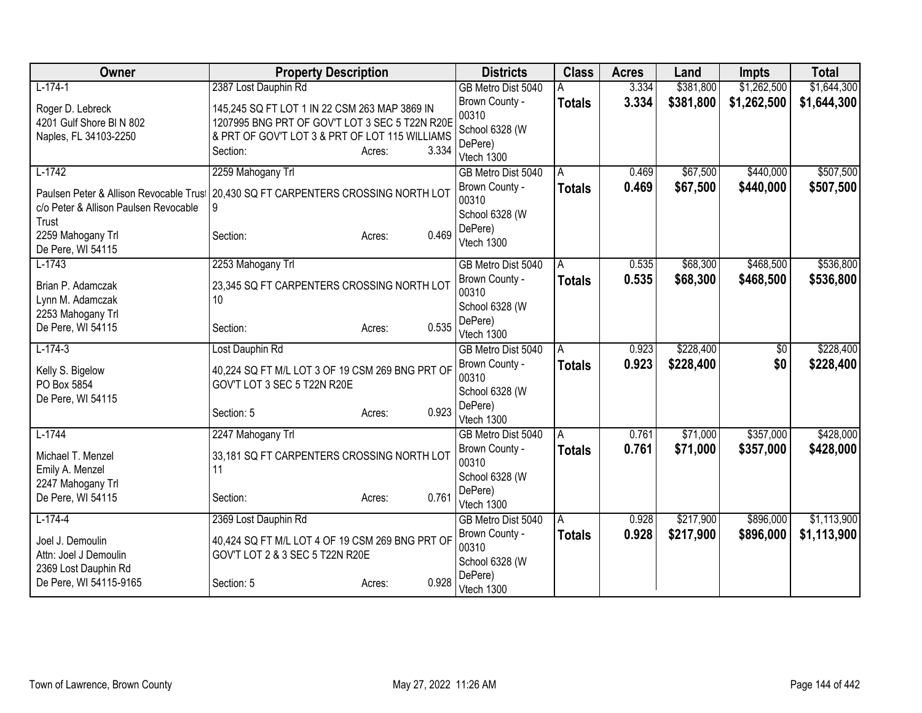| Owner                                                                                                                               | <b>Property Description</b>                                                                                                                                   |                 | <b>Districts</b>                                                           | <b>Class</b>       | <b>Acres</b>   | Land                 | <b>Impts</b>           | <b>Total</b>           |
|-------------------------------------------------------------------------------------------------------------------------------------|---------------------------------------------------------------------------------------------------------------------------------------------------------------|-----------------|----------------------------------------------------------------------------|--------------------|----------------|----------------------|------------------------|------------------------|
| $L-174-1$                                                                                                                           | 2387 Lost Dauphin Rd                                                                                                                                          |                 | GB Metro Dist 5040                                                         | A                  | 3.334          | \$381,800            | \$1,262,500            | \$1,644,300            |
| Roger D. Lebreck<br>4201 Gulf Shore BI N 802<br>Naples, FL 34103-2250                                                               | 145,245 SQ FT LOT 1 IN 22 CSM 263 MAP 3869 IN<br>1207995 BNG PRT OF GOV'T LOT 3 SEC 5 T22N R20E<br>& PRT OF GOV'T LOT 3 & PRT OF LOT 115 WILLIAMS<br>Section: | 3.334<br>Acres: | Brown County -<br>00310<br>School 6328 (W<br>DePere)                       | <b>Totals</b>      | 3.334          | \$381,800            | \$1,262,500            | \$1,644,300            |
| $L-1742$                                                                                                                            | 2259 Mahogany Trl                                                                                                                                             |                 | Vtech 1300<br>GB Metro Dist 5040                                           |                    | 0.469          | \$67,500             | \$440,000              | \$507,500              |
| Paulsen Peter & Allison Revocable Trust<br>c/o Peter & Allison Paulsen Revocable<br>Trust<br>2259 Mahogany Trl<br>De Pere, WI 54115 | 20,430 SQ FT CARPENTERS CROSSING NORTH LOT<br>9<br>Section:                                                                                                   | 0.469<br>Acres: | Brown County -<br>00310<br>School 6328 (W<br>DePere)<br>Vtech 1300         | A<br><b>Totals</b> | 0.469          | \$67,500             | \$440,000              | \$507,500              |
| $L-1743$<br>Brian P. Adamczak<br>Lynn M. Adamczak                                                                                   | 2253 Mahogany Trl<br>23,345 SQ FT CARPENTERS CROSSING NORTH LOT<br>10                                                                                         |                 | GB Metro Dist 5040<br>Brown County -<br>00310<br>School 6328 (W            | A<br>Totals        | 0.535<br>0.535 | \$68,300<br>\$68,300 | \$468,500<br>\$468,500 | \$536,800<br>\$536,800 |
| 2253 Mahogany Trl<br>De Pere, WI 54115                                                                                              | Section:                                                                                                                                                      | 0.535<br>Acres: | DePere)<br>Vtech 1300                                                      |                    |                |                      |                        |                        |
| $L-174-3$                                                                                                                           | Lost Dauphin Rd                                                                                                                                               |                 | GB Metro Dist 5040                                                         | A                  | 0.923          | \$228,400            | $\sqrt[6]{30}$         | \$228,400              |
| Kelly S. Bigelow<br>PO Box 5854<br>De Pere, WI 54115                                                                                | 40,224 SQ FT M/L LOT 3 OF 19 CSM 269 BNG PRT OF<br>GOV'T LOT 3 SEC 5 T22N R20E<br>Section: 5                                                                  | 0.923<br>Acres: | Brown County -<br>00310<br>School 6328 (W<br>DePere)                       | <b>Totals</b>      | 0.923          | \$228,400            | \$0                    | \$228,400              |
|                                                                                                                                     |                                                                                                                                                               |                 | Vtech 1300                                                                 |                    |                |                      |                        |                        |
| $L-1744$<br>Michael T. Menzel<br>Emily A. Menzel<br>2247 Mahogany Trl                                                               | 2247 Mahogany Trl<br>33,181 SQ FT CARPENTERS CROSSING NORTH LOT<br>11                                                                                         |                 | GB Metro Dist 5040<br>Brown County -<br>00310<br>School 6328 (W<br>DePere) | A<br>Totals        | 0.761<br>0.761 | \$71,000<br>\$71,000 | \$357,000<br>\$357,000 | \$428,000<br>\$428,000 |
| De Pere, WI 54115                                                                                                                   | Section:                                                                                                                                                      | 0.761<br>Acres: | Vtech 1300                                                                 |                    |                |                      |                        |                        |
| $L-174-4$                                                                                                                           | 2369 Lost Dauphin Rd                                                                                                                                          |                 | GB Metro Dist 5040                                                         | A                  | 0.928          | \$217,900            | \$896,000              | \$1,113,900            |
| Joel J. Demoulin<br>Attn: Joel J Demoulin<br>2369 Lost Dauphin Rd                                                                   | 40,424 SQ FT M/L LOT 4 OF 19 CSM 269 BNG PRT OF<br>GOV'T LOT 2 & 3 SEC 5 T22N R20E                                                                            |                 | Brown County -<br>00310<br>School 6328 (W                                  | <b>Totals</b>      | 0.928          | \$217,900            | \$896,000              | \$1,113,900            |
| De Pere, WI 54115-9165                                                                                                              | Section: 5                                                                                                                                                    | 0.928<br>Acres: | DePere)<br>Vtech 1300                                                      |                    |                |                      |                        |                        |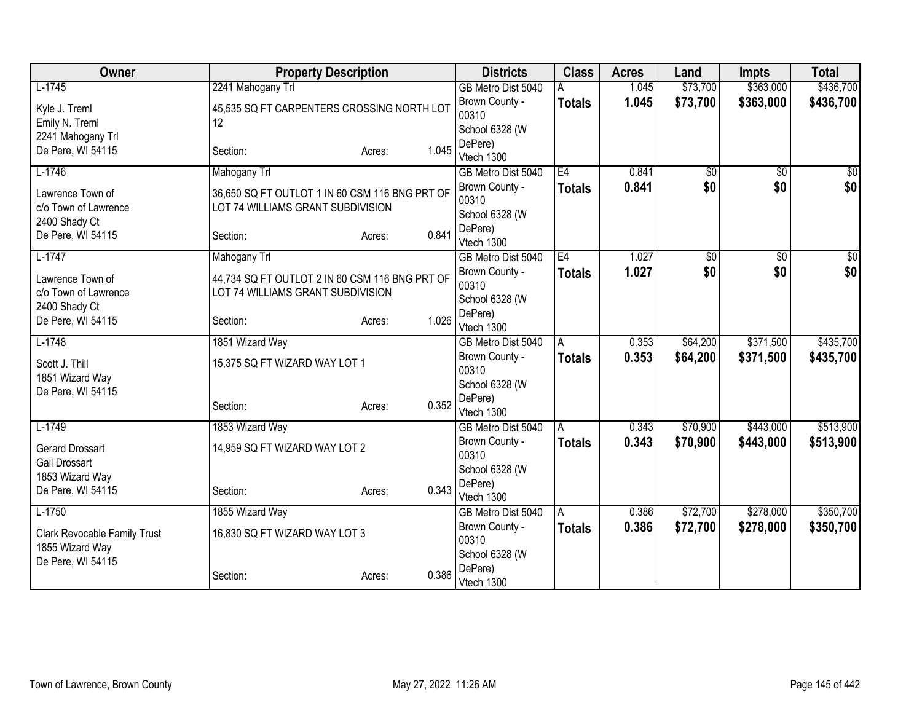| <b>Owner</b>                        | <b>Property Description</b>                    |                 | <b>Districts</b>        | <b>Class</b>  | <b>Acres</b> | Land            | <b>Impts</b>    | <b>Total</b> |
|-------------------------------------|------------------------------------------------|-----------------|-------------------------|---------------|--------------|-----------------|-----------------|--------------|
| $L-1745$                            | 2241 Mahogany Trl                              |                 | GB Metro Dist 5040      |               | 1.045        | \$73,700        | \$363,000       | \$436,700    |
| Kyle J. Treml                       | 45,535 SQ FT CARPENTERS CROSSING NORTH LOT     |                 | Brown County -          | <b>Totals</b> | 1.045        | \$73,700        | \$363,000       | \$436,700    |
| Emily N. Treml                      | 12                                             |                 | 00310                   |               |              |                 |                 |              |
| 2241 Mahogany Trl                   |                                                |                 | School 6328 (W          |               |              |                 |                 |              |
| De Pere, WI 54115                   | Section:                                       | 1.045<br>Acres: | DePere)<br>Vtech 1300   |               |              |                 |                 |              |
| $L-1746$                            | <b>Mahogany Trl</b>                            |                 | GB Metro Dist 5040      | E4            | 0.841        | $\overline{50}$ | $\overline{50}$ | \$0          |
|                                     |                                                |                 | Brown County -          |               | 0.841        | \$0             | \$0             | \$0          |
| Lawrence Town of                    | 36,650 SQ FT OUTLOT 1 IN 60 CSM 116 BNG PRT OF |                 | 00310                   | <b>Totals</b> |              |                 |                 |              |
| c/o Town of Lawrence                | LOT 74 WILLIAMS GRANT SUBDIVISION              |                 | School 6328 (W          |               |              |                 |                 |              |
| 2400 Shady Ct                       |                                                |                 | DePere)                 |               |              |                 |                 |              |
| De Pere, WI 54115                   | Section:                                       | 0.841<br>Acres: | Vtech 1300              |               |              |                 |                 |              |
| $L-1747$                            | Mahogany Trl                                   |                 | GB Metro Dist 5040      | E4            | 1.027        | \$0             | \$0             | \$0          |
| Lawrence Town of                    | 44,734 SQ FT OUTLOT 2 IN 60 CSM 116 BNG PRT OF |                 | Brown County -          | <b>Totals</b> | 1.027        | \$0             | \$0             | \$0          |
| c/o Town of Lawrence                | LOT 74 WILLIAMS GRANT SUBDIVISION              |                 | 00310                   |               |              |                 |                 |              |
| 2400 Shady Ct                       |                                                |                 | School 6328 (W          |               |              |                 |                 |              |
| De Pere, WI 54115                   | Section:                                       | 1.026<br>Acres: | DePere)                 |               |              |                 |                 |              |
|                                     |                                                |                 | Vtech 1300              |               |              |                 |                 |              |
| $L-1748$                            | 1851 Wizard Way                                |                 | GB Metro Dist 5040      | A             | 0.353        | \$64,200        | \$371,500       | \$435,700    |
| Scott J. Thill                      | 15,375 SQ FT WIZARD WAY LOT 1                  |                 | Brown County -<br>00310 | <b>Totals</b> | 0.353        | \$64,200        | \$371,500       | \$435,700    |
| 1851 Wizard Way                     |                                                |                 | School 6328 (W          |               |              |                 |                 |              |
| De Pere, WI 54115                   |                                                |                 | DePere)                 |               |              |                 |                 |              |
|                                     | Section:                                       | 0.352<br>Acres: | Vtech 1300              |               |              |                 |                 |              |
| $L-1749$                            | 1853 Wizard Way                                |                 | GB Metro Dist 5040      | A             | 0.343        | \$70,900        | \$443,000       | \$513,900    |
| <b>Gerard Drossart</b>              | 14,959 SQ FT WIZARD WAY LOT 2                  |                 | Brown County -          | <b>Totals</b> | 0.343        | \$70,900        | \$443,000       | \$513,900    |
| Gail Drossart                       |                                                |                 | 00310                   |               |              |                 |                 |              |
| 1853 Wizard Way                     |                                                |                 | School 6328 (W          |               |              |                 |                 |              |
| De Pere, WI 54115                   | Section:                                       | 0.343<br>Acres: | DePere)                 |               |              |                 |                 |              |
|                                     |                                                |                 | Vtech 1300              |               |              |                 |                 |              |
| $L-1750$                            | 1855 Wizard Way                                |                 | GB Metro Dist 5040      | A             | 0.386        | \$72,700        | \$278,000       | \$350,700    |
| <b>Clark Revocable Family Trust</b> | 16,830 SQ FT WIZARD WAY LOT 3                  |                 | Brown County -<br>00310 | <b>Totals</b> | 0.386        | \$72,700        | \$278,000       | \$350,700    |
| 1855 Wizard Way                     |                                                |                 | School 6328 (W          |               |              |                 |                 |              |
| De Pere, WI 54115                   |                                                |                 | DePere)                 |               |              |                 |                 |              |
|                                     | Section:                                       | 0.386<br>Acres: | Vtech 1300              |               |              |                 |                 |              |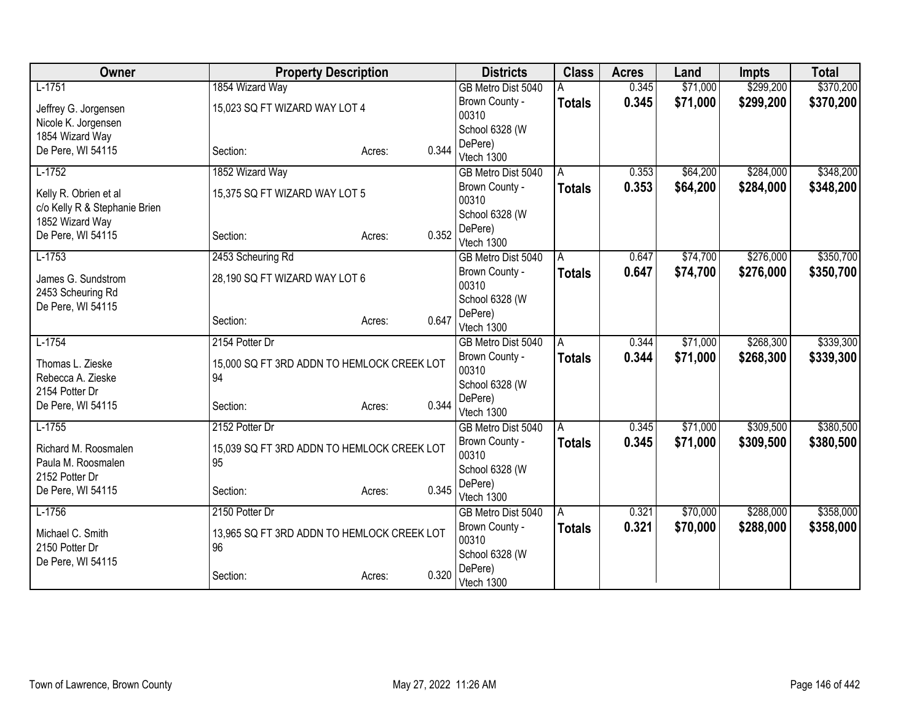| Owner                         | <b>Property Description</b>                |                 | <b>Districts</b>          | <b>Class</b>  | <b>Acres</b> | Land     | <b>Impts</b> | <b>Total</b> |
|-------------------------------|--------------------------------------------|-----------------|---------------------------|---------------|--------------|----------|--------------|--------------|
| $L-1751$                      | 1854 Wizard Way                            |                 | GB Metro Dist 5040        |               | 0.345        | \$71,000 | \$299,200    | \$370,200    |
| Jeffrey G. Jorgensen          | 15,023 SQ FT WIZARD WAY LOT 4              |                 | Brown County -            | <b>Totals</b> | 0.345        | \$71,000 | \$299,200    | \$370,200    |
| Nicole K. Jorgensen           |                                            |                 | 00310                     |               |              |          |              |              |
| 1854 Wizard Way               |                                            |                 | School 6328 (W            |               |              |          |              |              |
| De Pere, WI 54115             | Section:                                   | 0.344<br>Acres: | DePere)                   |               |              |          |              |              |
|                               |                                            |                 | Vtech 1300                |               |              |          |              |              |
| $L-1752$                      | 1852 Wizard Way                            |                 | GB Metro Dist 5040        | A             | 0.353        | \$64,200 | \$284,000    | \$348,200    |
| Kelly R. Obrien et al         | 15,375 SQ FT WIZARD WAY LOT 5              |                 | Brown County -            | <b>Totals</b> | 0.353        | \$64,200 | \$284,000    | \$348,200    |
| c/o Kelly R & Stephanie Brien |                                            |                 | 00310                     |               |              |          |              |              |
| 1852 Wizard Way               |                                            |                 | School 6328 (W<br>DePere) |               |              |          |              |              |
| De Pere, WI 54115             | Section:                                   | 0.352<br>Acres: | Vtech 1300                |               |              |          |              |              |
| $L-1753$                      | 2453 Scheuring Rd                          |                 | GB Metro Dist 5040        | A             | 0.647        | \$74,700 | \$276,000    | \$350,700    |
|                               |                                            |                 | Brown County -            | <b>Totals</b> | 0.647        | \$74,700 | \$276,000    | \$350,700    |
| James G. Sundstrom            | 28,190 SQ FT WIZARD WAY LOT 6              |                 | 00310                     |               |              |          |              |              |
| 2453 Scheuring Rd             |                                            |                 | School 6328 (W            |               |              |          |              |              |
| De Pere, WI 54115             |                                            |                 | DePere)                   |               |              |          |              |              |
|                               | Section:                                   | 0.647<br>Acres: | Vtech 1300                |               |              |          |              |              |
| $L-1754$                      | 2154 Potter Dr                             |                 | GB Metro Dist 5040        | A             | 0.344        | \$71,000 | \$268,300    | \$339,300    |
| Thomas L. Zieske              | 15,000 SQ FT 3RD ADDN TO HEMLOCK CREEK LOT |                 | Brown County -            | <b>Totals</b> | 0.344        | \$71,000 | \$268,300    | \$339,300    |
| Rebecca A. Zieske             | 94                                         |                 | 00310                     |               |              |          |              |              |
| 2154 Potter Dr                |                                            |                 | School 6328 (W            |               |              |          |              |              |
| De Pere, WI 54115             | Section:                                   | 0.344<br>Acres: | DePere)                   |               |              |          |              |              |
|                               |                                            |                 | Vtech 1300                |               |              |          |              |              |
| $L-1755$                      | 2152 Potter Dr                             |                 | GB Metro Dist 5040        | A             | 0.345        | \$71,000 | \$309,500    | \$380,500    |
| Richard M. Roosmalen          | 15,039 SQ FT 3RD ADDN TO HEMLOCK CREEK LOT |                 | Brown County -            | <b>Totals</b> | 0.345        | \$71,000 | \$309,500    | \$380,500    |
| Paula M. Roosmalen            | 95                                         |                 | 00310                     |               |              |          |              |              |
| 2152 Potter Dr                |                                            |                 | School 6328 (W            |               |              |          |              |              |
| De Pere, WI 54115             | Section:                                   | 0.345<br>Acres: | DePere)<br>Vtech 1300     |               |              |          |              |              |
| $L-1756$                      | 2150 Potter Dr                             |                 | GB Metro Dist 5040        | A             | 0.321        | \$70,000 | \$288,000    | \$358,000    |
|                               |                                            |                 | Brown County -            | <b>Totals</b> | 0.321        | \$70,000 | \$288,000    | \$358,000    |
| Michael C. Smith              | 13,965 SQ FT 3RD ADDN TO HEMLOCK CREEK LOT |                 | 00310                     |               |              |          |              |              |
| 2150 Potter Dr                | 96                                         |                 | School 6328 (W            |               |              |          |              |              |
| De Pere, WI 54115             |                                            |                 | DePere)                   |               |              |          |              |              |
|                               | Section:                                   | 0.320<br>Acres: | Vtech 1300                |               |              |          |              |              |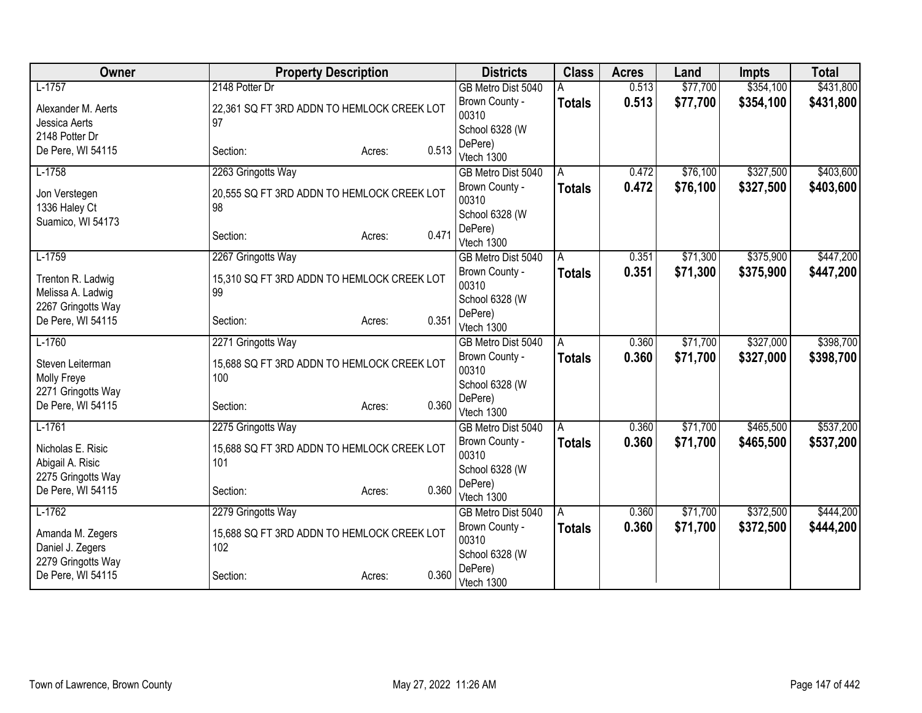| Owner                          | <b>Property Description</b>                      |       | <b>Districts</b>        | <b>Class</b>   | <b>Acres</b> | Land     | <b>Impts</b> | <b>Total</b> |
|--------------------------------|--------------------------------------------------|-------|-------------------------|----------------|--------------|----------|--------------|--------------|
| $L-1757$                       | 2148 Potter Dr                                   |       | GB Metro Dist 5040      |                | 0.513        | \$77,700 | \$354,100    | \$431,800    |
| Alexander M. Aerts             | 22,361 SQ FT 3RD ADDN TO HEMLOCK CREEK LOT       |       | Brown County -          | <b>Totals</b>  | 0.513        | \$77,700 | \$354,100    | \$431,800    |
| Jessica Aerts                  | 97                                               |       | 00310                   |                |              |          |              |              |
| 2148 Potter Dr                 |                                                  |       | School 6328 (W          |                |              |          |              |              |
| De Pere, WI 54115              | Section:<br>Acres:                               | 0.513 | DePere)                 |                |              |          |              |              |
|                                |                                                  |       | Vtech 1300              |                |              |          |              |              |
| $L-1758$                       | 2263 Gringotts Way                               |       | GB Metro Dist 5040      | A              | 0.472        | \$76,100 | \$327,500    | \$403,600    |
| Jon Verstegen<br>1336 Haley Ct | 20,555 SQ FT 3RD ADDN TO HEMLOCK CREEK LOT<br>98 |       | Brown County -<br>00310 | <b>Totals</b>  | 0.472        | \$76,100 | \$327,500    | \$403,600    |
| Suamico, WI 54173              |                                                  |       | School 6328 (W          |                |              |          |              |              |
|                                | Section:<br>Acres:                               | 0.471 | DePere)<br>Vtech 1300   |                |              |          |              |              |
| $L-1759$                       | 2267 Gringotts Way                               |       | GB Metro Dist 5040      | $\overline{A}$ | 0.351        | \$71,300 | \$375,900    | \$447,200    |
| Trenton R. Ladwig              | 15,310 SQ FT 3RD ADDN TO HEMLOCK CREEK LOT       |       | Brown County -<br>00310 | <b>Totals</b>  | 0.351        | \$71,300 | \$375,900    | \$447,200    |
| Melissa A. Ladwig              | 99                                               |       | School 6328 (W          |                |              |          |              |              |
| 2267 Gringotts Way             |                                                  | 0.351 | DePere)                 |                |              |          |              |              |
| De Pere, WI 54115              | Section:<br>Acres:                               |       | Vtech 1300              |                |              |          |              |              |
| $L-1760$                       | 2271 Gringotts Way                               |       | GB Metro Dist 5040      | A              | 0.360        | \$71,700 | \$327,000    | \$398,700    |
| Steven Leiterman               | 15,688 SQ FT 3RD ADDN TO HEMLOCK CREEK LOT       |       | Brown County -          | <b>Totals</b>  | 0.360        | \$71,700 | \$327,000    | \$398,700    |
| Molly Freye                    | 100                                              |       | 00310                   |                |              |          |              |              |
| 2271 Gringotts Way             |                                                  |       | School 6328 (W          |                |              |          |              |              |
| De Pere, WI 54115              | Section:<br>Acres:                               | 0.360 | DePere)                 |                |              |          |              |              |
|                                |                                                  |       | Vtech 1300              |                |              |          |              |              |
| $L-1761$                       | 2275 Gringotts Way                               |       | GB Metro Dist 5040      | A              | 0.360        | \$71,700 | \$465,500    | \$537,200    |
| Nicholas E. Risic              | 15,688 SQ FT 3RD ADDN TO HEMLOCK CREEK LOT       |       | Brown County -<br>00310 | <b>Totals</b>  | 0.360        | \$71,700 | \$465,500    | \$537,200    |
| Abigail A. Risic               | 101                                              |       | School 6328 (W          |                |              |          |              |              |
| 2275 Gringotts Way             |                                                  |       | DePere)                 |                |              |          |              |              |
| De Pere, WI 54115              | Section:<br>Acres:                               | 0.360 | Vtech 1300              |                |              |          |              |              |
| $L-1762$                       | 2279 Gringotts Way                               |       | GB Metro Dist 5040      | A              | 0.360        | \$71,700 | \$372,500    | \$444,200    |
|                                |                                                  |       | Brown County -          | <b>Totals</b>  | 0.360        | \$71,700 | \$372,500    | \$444,200    |
| Amanda M. Zegers               | 15,688 SQ FT 3RD ADDN TO HEMLOCK CREEK LOT       |       | 00310                   |                |              |          |              |              |
| Daniel J. Zegers               | 102                                              |       | School 6328 (W          |                |              |          |              |              |
| 2279 Gringotts Way             |                                                  | 0.360 | DePere)                 |                |              |          |              |              |
| De Pere, WI 54115              | Section:<br>Acres:                               |       | Vtech 1300              |                |              |          |              |              |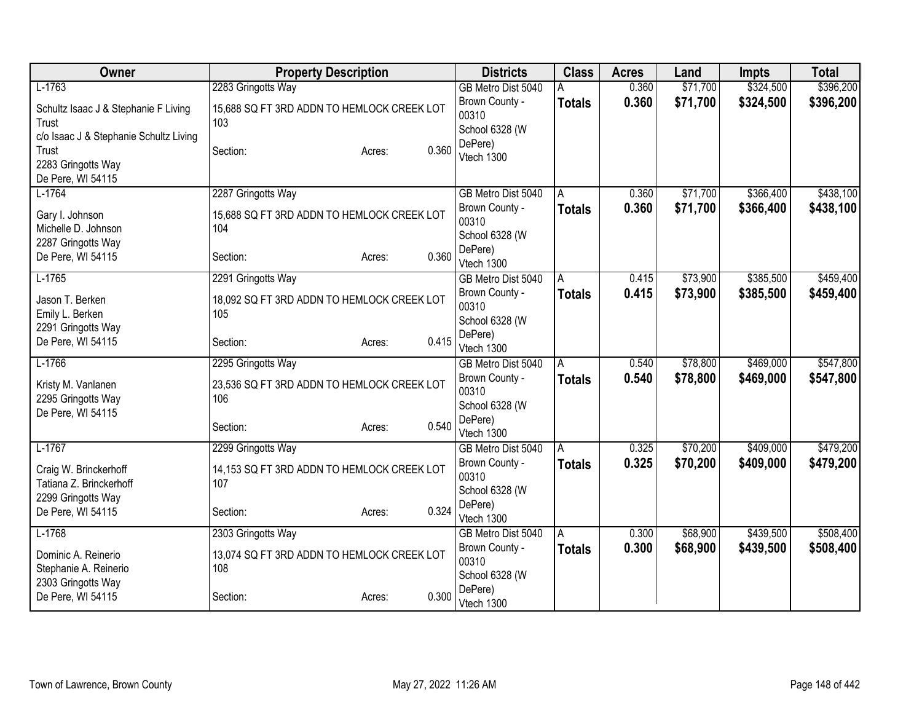| $L-1763$<br>2283 Gringotts Way<br>\$71,700<br>\$324,500<br>0.360<br>GB Metro Dist 5040<br>А<br>0.360<br>\$71,700<br>\$324,500<br>Brown County -<br><b>Totals</b> | \$396,200<br>\$396,200 |
|------------------------------------------------------------------------------------------------------------------------------------------------------------------|------------------------|
|                                                                                                                                                                  |                        |
| Schultz Isaac J & Stephanie F Living<br>15,688 SQ FT 3RD ADDN TO HEMLOCK CREEK LOT                                                                               |                        |
| 00310<br>Trust<br>103                                                                                                                                            |                        |
| School 6328 (W<br>c/o Isaac J & Stephanie Schultz Living<br>DePere)                                                                                              |                        |
| 0.360<br>Trust<br>Section:<br>Acres:<br>Vtech 1300                                                                                                               |                        |
| 2283 Gringotts Way                                                                                                                                               |                        |
| De Pere, WI 54115                                                                                                                                                |                        |
| 2287 Gringotts Way<br>\$71,700<br>\$366,400<br>$L-1764$<br>GB Metro Dist 5040<br>0.360<br>A                                                                      | \$438,100              |
| \$71,700<br>0.360<br>\$366,400<br>Brown County -<br>Totals<br>15,688 SQ FT 3RD ADDN TO HEMLOCK CREEK LOT<br>Gary I. Johnson                                      | \$438,100              |
| 00310<br>Michelle D. Johnson<br>104                                                                                                                              |                        |
| School 6328 (W<br>2287 Gringotts Way<br>DePere)                                                                                                                  |                        |
| 0.360<br>De Pere, WI 54115<br>Section:<br>Acres:<br>Vtech 1300                                                                                                   |                        |
| \$385,500<br>$L-1765$<br>\$73,900<br>2291 Gringotts Way<br>0.415<br>GB Metro Dist 5040<br>A                                                                      | \$459,400              |
| 0.415<br>\$73,900<br>\$385,500<br>Brown County -<br><b>Totals</b>                                                                                                | \$459,400              |
| Jason T. Berken<br>18,092 SQ FT 3RD ADDN TO HEMLOCK CREEK LOT<br>00310                                                                                           |                        |
| Emily L. Berken<br>105<br>School 6328 (W                                                                                                                         |                        |
| 2291 Gringotts Way<br>DePere)<br>0.415                                                                                                                           |                        |
| De Pere, WI 54115<br>Section:<br>Acres:<br>Vtech 1300                                                                                                            |                        |
| $L-1766$<br>\$78,800<br>\$469,000<br>2295 Gringotts Way<br>0.540<br>GB Metro Dist 5040<br>A                                                                      | \$547,800              |
| Brown County -<br>0.540<br>\$78,800<br>\$469,000<br><b>Totals</b><br>Kristy M. Vanlanen<br>23,536 SQ FT 3RD ADDN TO HEMLOCK CREEK LOT                            | \$547,800              |
| 00310<br>2295 Gringotts Way<br>106                                                                                                                               |                        |
| School 6328 (W<br>De Pere, WI 54115                                                                                                                              |                        |
| DePere)<br>0.540<br>Section:<br>Acres:<br>Vtech 1300                                                                                                             |                        |
| \$409,000<br>$L-1767$<br>2299 Gringotts Way<br>0.325<br>\$70,200<br>GB Metro Dist 5040<br>A                                                                      | \$479,200              |
| 0.325<br>\$70,200<br>\$409,000<br>Brown County -<br>Totals                                                                                                       | \$479,200              |
| 14,153 SQ FT 3RD ADDN TO HEMLOCK CREEK LOT<br>Craig W. Brinckerhoff<br>00310                                                                                     |                        |
| Tatiana Z. Brinckerhoff<br>107<br>School 6328 (W                                                                                                                 |                        |
| 2299 Gringotts Way<br>DePere)<br>0.324                                                                                                                           |                        |
| De Pere, WI 54115<br>Section:<br>Acres:<br>Vtech 1300                                                                                                            |                        |
| \$68,900<br>\$439,500<br>$L-1768$<br>0.300<br>2303 Gringotts Way<br>GB Metro Dist 5040<br>A                                                                      | \$508,400              |
| 0.300<br>\$68,900<br>\$439,500<br>Brown County -<br>Totals<br>13,074 SQ FT 3RD ADDN TO HEMLOCK CREEK LOT<br>Dominic A. Reinerio                                  | \$508,400              |
| 00310<br>Stephanie A. Reinerio<br>108                                                                                                                            |                        |
| School 6328 (W<br>2303 Gringotts Way                                                                                                                             |                        |
| DePere)<br>0.300<br>De Pere, WI 54115<br>Section:<br>Acres:<br>Vtech 1300                                                                                        |                        |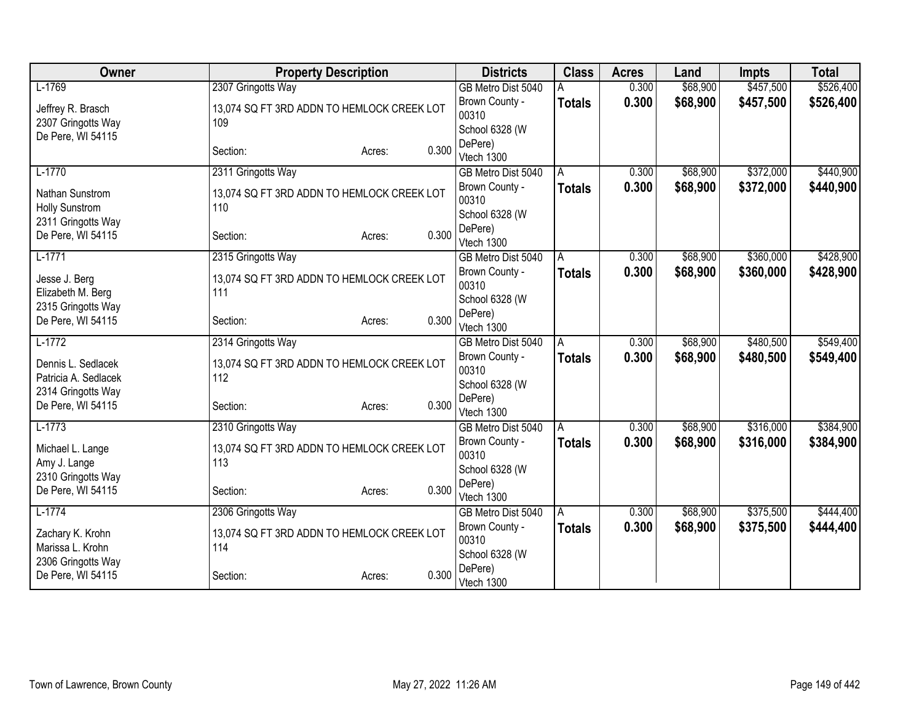| Owner                              | <b>Property Description</b>                       |                 | <b>Districts</b>          | <b>Class</b>  | <b>Acres</b> | Land     | <b>Impts</b> | <b>Total</b> |
|------------------------------------|---------------------------------------------------|-----------------|---------------------------|---------------|--------------|----------|--------------|--------------|
| $L-1769$                           | 2307 Gringotts Way                                |                 | GB Metro Dist 5040        |               | 0.300        | \$68,900 | \$457,500    | \$526,400    |
| Jeffrey R. Brasch                  | 13,074 SQ FT 3RD ADDN TO HEMLOCK CREEK LOT        |                 | Brown County -            | <b>Totals</b> | 0.300        | \$68,900 | \$457,500    | \$526,400    |
| 2307 Gringotts Way                 | 109                                               |                 | 00310                     |               |              |          |              |              |
| De Pere, WI 54115                  |                                                   |                 | School 6328 (W            |               |              |          |              |              |
|                                    | Section:                                          | 0.300<br>Acres: | DePere)<br>Vtech 1300     |               |              |          |              |              |
| $L-1770$                           | 2311 Gringotts Way                                |                 | GB Metro Dist 5040        | A             | 0.300        | \$68,900 | \$372,000    | \$440,900    |
|                                    |                                                   |                 | Brown County -            |               | 0.300        | \$68,900 | \$372,000    |              |
| Nathan Sunstrom                    | 13,074 SQ FT 3RD ADDN TO HEMLOCK CREEK LOT        |                 | 00310                     | <b>Totals</b> |              |          |              | \$440,900    |
| <b>Holly Sunstrom</b>              | 110                                               |                 | School 6328 (W            |               |              |          |              |              |
| 2311 Gringotts Way                 |                                                   |                 | DePere)                   |               |              |          |              |              |
| De Pere, WI 54115                  | Section:                                          | 0.300<br>Acres: | Vtech 1300                |               |              |          |              |              |
| $L-1771$                           | 2315 Gringotts Way                                |                 | GB Metro Dist 5040        | A             | 0.300        | \$68,900 | \$360,000    | \$428,900    |
|                                    | 13,074 SQ FT 3RD ADDN TO HEMLOCK CREEK LOT        |                 | Brown County -            | <b>Totals</b> | 0.300        | \$68,900 | \$360,000    | \$428,900    |
| Jesse J. Berg<br>Elizabeth M. Berg | 111                                               |                 | 00310                     |               |              |          |              |              |
| 2315 Gringotts Way                 |                                                   |                 | School 6328 (W            |               |              |          |              |              |
| De Pere, WI 54115                  | Section:                                          | 0.300<br>Acres: | DePere)                   |               |              |          |              |              |
|                                    |                                                   |                 | Vtech 1300                |               |              |          |              |              |
| $L-1772$                           | 2314 Gringotts Way                                |                 | GB Metro Dist 5040        | A             | 0.300        | \$68,900 | \$480,500    | \$549,400    |
| Dennis L. Sedlacek                 | 13,074 SQ FT 3RD ADDN TO HEMLOCK CREEK LOT        |                 | Brown County -<br>00310   | <b>Totals</b> | 0.300        | \$68,900 | \$480,500    | \$549,400    |
| Patricia A. Sedlacek               | 112                                               |                 | School 6328 (W            |               |              |          |              |              |
| 2314 Gringotts Way                 |                                                   |                 | DePere)                   |               |              |          |              |              |
| De Pere, WI 54115                  | Section:                                          | 0.300<br>Acres: | Vtech 1300                |               |              |          |              |              |
| $L-1773$                           | 2310 Gringotts Way                                |                 | GB Metro Dist 5040        | A             | 0.300        | \$68,900 | \$316,000    | \$384,900    |
|                                    |                                                   |                 | Brown County -            | <b>Totals</b> | 0.300        | \$68,900 | \$316,000    | \$384,900    |
| Michael L. Lange                   | 13,074 SQ FT 3RD ADDN TO HEMLOCK CREEK LOT<br>113 |                 | 00310                     |               |              |          |              |              |
| Amy J. Lange<br>2310 Gringotts Way |                                                   |                 | School 6328 (W            |               |              |          |              |              |
| De Pere, WI 54115                  | Section:                                          | 0.300<br>Acres: | DePere)                   |               |              |          |              |              |
|                                    |                                                   |                 | Vtech 1300                |               |              |          |              |              |
| $L-1774$                           | 2306 Gringotts Way                                |                 | GB Metro Dist 5040        | A             | 0.300        | \$68,900 | \$375,500    | \$444,400    |
| Zachary K. Krohn                   | 13,074 SQ FT 3RD ADDN TO HEMLOCK CREEK LOT        |                 | Brown County -            | <b>Totals</b> | 0.300        | \$68,900 | \$375,500    | \$444,400    |
| Marissa L. Krohn                   | 114                                               |                 | 00310                     |               |              |          |              |              |
| 2306 Gringotts Way                 |                                                   |                 | School 6328 (W<br>DePere) |               |              |          |              |              |
| De Pere, WI 54115                  | Section:                                          | 0.300<br>Acres: | Vtech 1300                |               |              |          |              |              |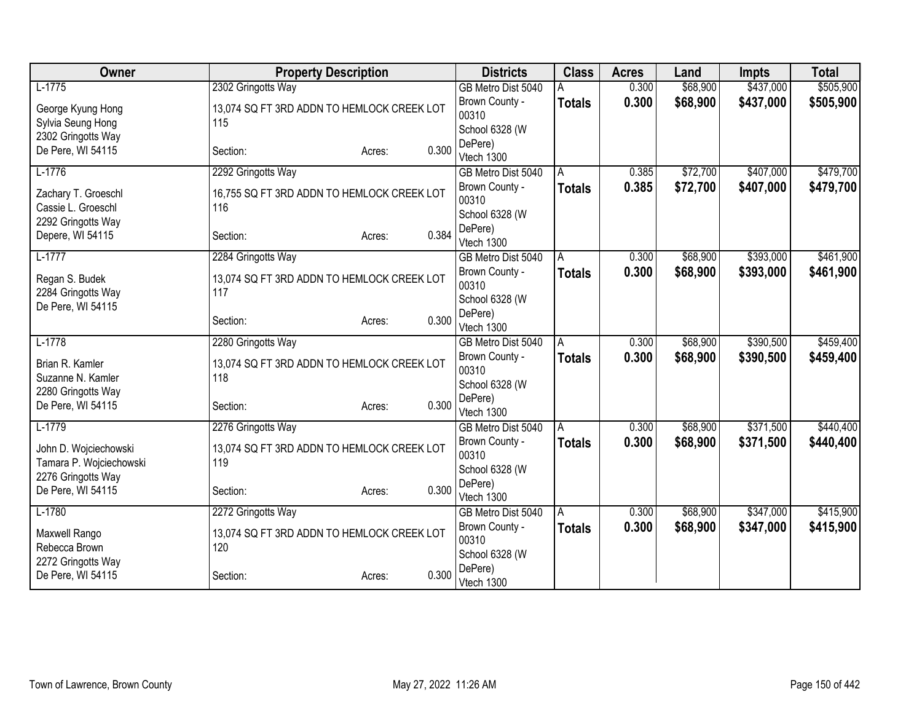| Owner                   | <b>Property Description</b>                |                 | <b>Districts</b>                     | <b>Class</b>  | <b>Acres</b>   | Land                 | <b>Impts</b> | <b>Total</b> |
|-------------------------|--------------------------------------------|-----------------|--------------------------------------|---------------|----------------|----------------------|--------------|--------------|
| $L-1775$                | 2302 Gringotts Way                         |                 | GB Metro Dist 5040                   |               | 0.300          | \$68,900             | \$437,000    | \$505,900    |
| George Kyung Hong       | 13,074 SQ FT 3RD ADDN TO HEMLOCK CREEK LOT |                 | Brown County -                       | <b>Totals</b> | 0.300          | \$68,900             | \$437,000    | \$505,900    |
| Sylvia Seung Hong       | 115                                        |                 | 00310                                |               |                |                      |              |              |
| 2302 Gringotts Way      |                                            |                 | School 6328 (W                       |               |                |                      |              |              |
| De Pere, WI 54115       | Section:                                   | 0.300<br>Acres: | DePere)<br>Vtech 1300                |               |                |                      |              |              |
| $L-1776$                | 2292 Gringotts Way                         |                 | GB Metro Dist 5040                   | A             | 0.385          | \$72,700             | \$407,000    | \$479,700    |
|                         |                                            |                 | Brown County -                       | <b>Totals</b> | 0.385          | \$72,700             | \$407,000    | \$479,700    |
| Zachary T. Groeschl     | 16,755 SQ FT 3RD ADDN TO HEMLOCK CREEK LOT |                 | 00310                                |               |                |                      |              |              |
| Cassie L. Groeschl      | 116                                        |                 | School 6328 (W                       |               |                |                      |              |              |
| 2292 Gringotts Way      |                                            |                 | DePere)                              |               |                |                      |              |              |
| Depere, WI 54115        | Section:                                   | 0.384<br>Acres: | Vtech 1300                           |               |                |                      |              |              |
| $L-1777$                | 2284 Gringotts Way                         |                 | GB Metro Dist 5040                   | A             | 0.300          | \$68,900             | \$393,000    | \$461,900    |
| Regan S. Budek          | 13,074 SQ FT 3RD ADDN TO HEMLOCK CREEK LOT |                 | Brown County -                       | <b>Totals</b> | 0.300          | \$68,900             | \$393,000    | \$461,900    |
| 2284 Gringotts Way      | 117                                        |                 | 00310                                |               |                |                      |              |              |
| De Pere, WI 54115       |                                            |                 | School 6328 (W                       |               |                |                      |              |              |
|                         | Section:                                   | 0.300<br>Acres: | DePere)                              |               |                |                      |              |              |
| $L-1778$                |                                            |                 | Vtech 1300                           |               |                |                      | \$390,500    | \$459,400    |
|                         | 2280 Gringotts Way                         |                 | GB Metro Dist 5040<br>Brown County - | A             | 0.300<br>0.300 | \$68,900<br>\$68,900 | \$390,500    |              |
| Brian R. Kamler         | 13,074 SQ FT 3RD ADDN TO HEMLOCK CREEK LOT |                 | 00310                                | <b>Totals</b> |                |                      |              | \$459,400    |
| Suzanne N. Kamler       | 118                                        |                 | School 6328 (W                       |               |                |                      |              |              |
| 2280 Gringotts Way      |                                            |                 | DePere)                              |               |                |                      |              |              |
| De Pere, WI 54115       | Section:                                   | 0.300<br>Acres: | Vtech 1300                           |               |                |                      |              |              |
| $L-1779$                | 2276 Gringotts Way                         |                 | GB Metro Dist 5040                   | A             | 0.300          | \$68,900             | \$371,500    | \$440,400    |
| John D. Wojciechowski   | 13,074 SQ FT 3RD ADDN TO HEMLOCK CREEK LOT |                 | Brown County -                       | <b>Totals</b> | 0.300          | \$68,900             | \$371,500    | \$440,400    |
| Tamara P. Wojciechowski | 119                                        |                 | 00310                                |               |                |                      |              |              |
| 2276 Gringotts Way      |                                            |                 | School 6328 (W                       |               |                |                      |              |              |
| De Pere, WI 54115       | Section:                                   | 0.300<br>Acres: | DePere)                              |               |                |                      |              |              |
| $L-1780$                |                                            |                 | Vtech 1300                           |               | 0.300          | \$68,900             | \$347,000    | \$415,900    |
|                         | 2272 Gringotts Way                         |                 | GB Metro Dist 5040<br>Brown County - | A             |                |                      |              |              |
| Maxwell Rango           | 13,074 SQ FT 3RD ADDN TO HEMLOCK CREEK LOT |                 | 00310                                | Totals        | 0.300          | \$68,900             | \$347,000    | \$415,900    |
| Rebecca Brown           | 120                                        |                 | School 6328 (W                       |               |                |                      |              |              |
| 2272 Gringotts Way      |                                            |                 | DePere)                              |               |                |                      |              |              |
| De Pere, WI 54115       | Section:                                   | 0.300<br>Acres: | Vtech 1300                           |               |                |                      |              |              |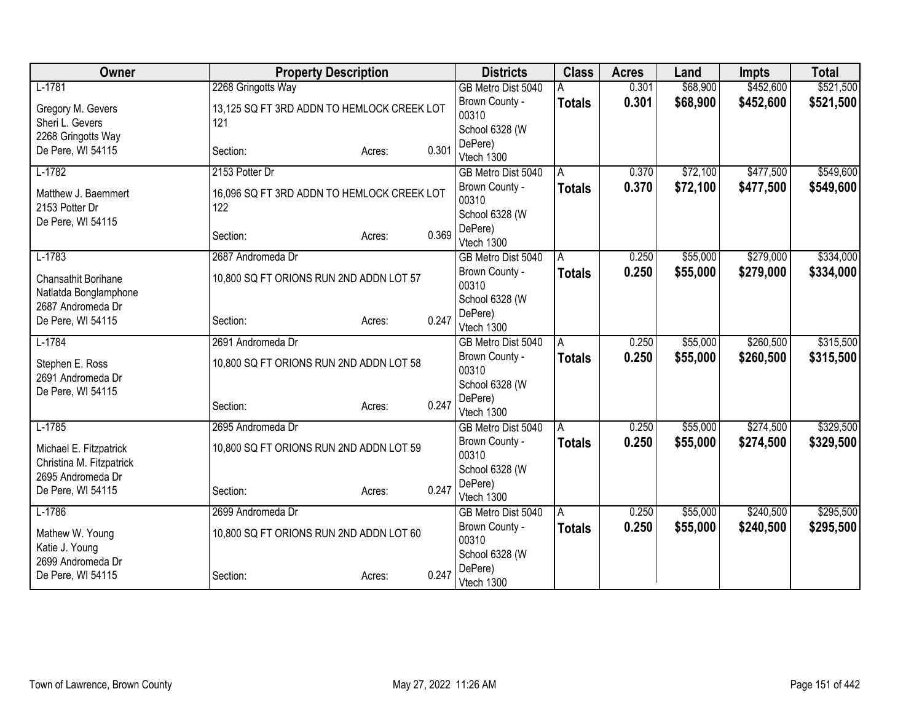| Owner                               | <b>Property Description</b>                |        |       | <b>Districts</b>          | <b>Class</b>  | <b>Acres</b> | Land     | <b>Impts</b> | <b>Total</b> |
|-------------------------------------|--------------------------------------------|--------|-------|---------------------------|---------------|--------------|----------|--------------|--------------|
| $L-1781$                            | 2268 Gringotts Way                         |        |       | GB Metro Dist 5040        |               | 0.301        | \$68,900 | \$452,600    | \$521,500    |
| Gregory M. Gevers                   | 13,125 SQ FT 3RD ADDN TO HEMLOCK CREEK LOT |        |       | Brown County -            | <b>Totals</b> | 0.301        | \$68,900 | \$452,600    | \$521,500    |
| Sheri L. Gevers                     | 121                                        |        |       | 00310                     |               |              |          |              |              |
| 2268 Gringotts Way                  |                                            |        |       | School 6328 (W            |               |              |          |              |              |
| De Pere, WI 54115                   | Section:                                   | Acres: | 0.301 | DePere)<br>Vtech 1300     |               |              |          |              |              |
| $L-1782$                            | 2153 Potter Dr                             |        |       | GB Metro Dist 5040        | A             | 0.370        | \$72,100 | \$477,500    | \$549,600    |
|                                     |                                            |        |       | Brown County -            | <b>Totals</b> | 0.370        | \$72,100 | \$477,500    | \$549,600    |
| Matthew J. Baemmert                 | 16,096 SQ FT 3RD ADDN TO HEMLOCK CREEK LOT |        |       | 00310                     |               |              |          |              |              |
| 2153 Potter Dr<br>De Pere, WI 54115 | 122                                        |        |       | School 6328 (W            |               |              |          |              |              |
|                                     | Section:                                   | Acres: | 0.369 | DePere)                   |               |              |          |              |              |
|                                     |                                            |        |       | Vtech 1300                |               |              |          |              |              |
| $L-1783$                            | 2687 Andromeda Dr                          |        |       | GB Metro Dist 5040        | A             | 0.250        | \$55,000 | \$279,000    | \$334,000    |
| Chansathit Borihane                 | 10,800 SQ FT ORIONS RUN 2ND ADDN LOT 57    |        |       | Brown County -            | Totals        | 0.250        | \$55,000 | \$279,000    | \$334,000    |
| Natlatda Bonglamphone               |                                            |        |       | 00310                     |               |              |          |              |              |
| 2687 Andromeda Dr                   |                                            |        |       | School 6328 (W<br>DePere) |               |              |          |              |              |
| De Pere, WI 54115                   | Section:                                   | Acres: | 0.247 | Vtech 1300                |               |              |          |              |              |
| $L-1784$                            | 2691 Andromeda Dr                          |        |       | GB Metro Dist 5040        | A             | 0.250        | \$55,000 | \$260,500    | \$315,500    |
| Stephen E. Ross                     | 10,800 SQ FT ORIONS RUN 2ND ADDN LOT 58    |        |       | Brown County -            | <b>Totals</b> | 0.250        | \$55,000 | \$260,500    | \$315,500    |
| 2691 Andromeda Dr                   |                                            |        |       | 00310                     |               |              |          |              |              |
| De Pere, WI 54115                   |                                            |        |       | School 6328 (W            |               |              |          |              |              |
|                                     | Section:                                   | Acres: | 0.247 | DePere)                   |               |              |          |              |              |
|                                     |                                            |        |       | Vtech 1300                |               |              |          |              |              |
| $L-1785$                            | 2695 Andromeda Dr                          |        |       | GB Metro Dist 5040        | A             | 0.250        | \$55,000 | \$274,500    | \$329,500    |
| Michael E. Fitzpatrick              | 10,800 SQ FT ORIONS RUN 2ND ADDN LOT 59    |        |       | Brown County -<br>00310   | <b>Totals</b> | 0.250        | \$55,000 | \$274,500    | \$329,500    |
| Christina M. Fitzpatrick            |                                            |        |       | School 6328 (W            |               |              |          |              |              |
| 2695 Andromeda Dr                   |                                            |        |       | DePere)                   |               |              |          |              |              |
| De Pere, WI 54115                   | Section:                                   | Acres: | 0.247 | Vtech 1300                |               |              |          |              |              |
| $L-1786$                            | 2699 Andromeda Dr                          |        |       | GB Metro Dist 5040        | l A           | 0.250        | \$55,000 | \$240,500    | \$295,500    |
| Mathew W. Young                     | 10,800 SQ FT ORIONS RUN 2ND ADDN LOT 60    |        |       | Brown County -            | <b>Totals</b> | 0.250        | \$55,000 | \$240,500    | \$295,500    |
| Katie J. Young                      |                                            |        |       | 00310                     |               |              |          |              |              |
| 2699 Andromeda Dr                   |                                            |        |       | School 6328 (W            |               |              |          |              |              |
| De Pere, WI 54115                   | Section:                                   | Acres: | 0.247 | DePere)                   |               |              |          |              |              |
|                                     |                                            |        |       | Vtech 1300                |               |              |          |              |              |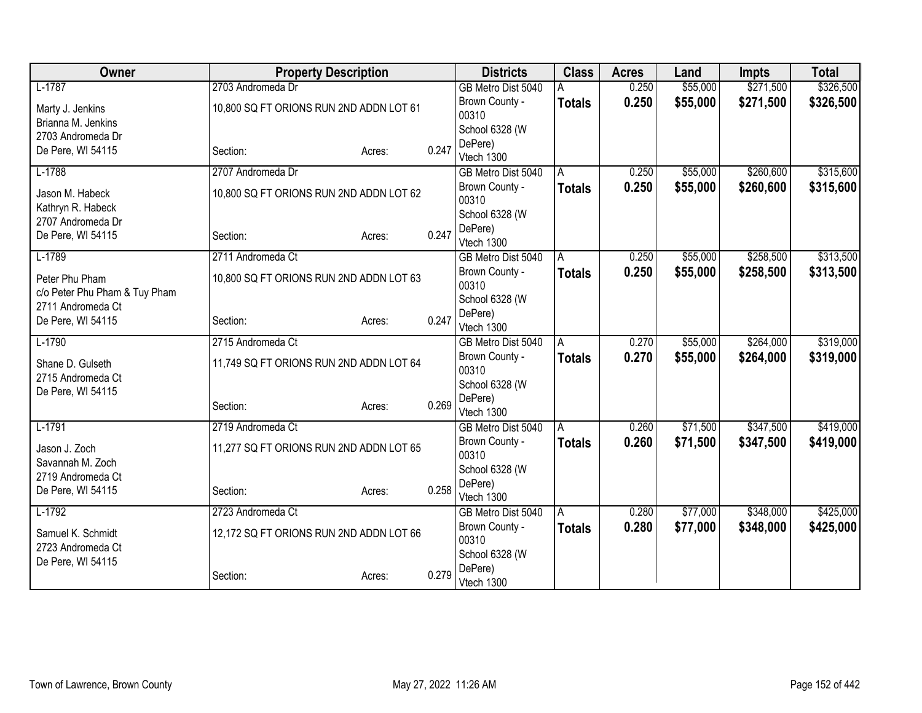| Owner                                              | <b>Property Description</b>             |        |       | <b>Districts</b>        | <b>Class</b>  | <b>Acres</b> | Land     | <b>Impts</b> | <b>Total</b> |
|----------------------------------------------------|-----------------------------------------|--------|-------|-------------------------|---------------|--------------|----------|--------------|--------------|
| $L-1787$                                           | 2703 Andromeda Dr                       |        |       | GB Metro Dist 5040      |               | 0.250        | \$55,000 | \$271,500    | \$326,500    |
| Marty J. Jenkins                                   | 10,800 SQ FT ORIONS RUN 2ND ADDN LOT 61 |        |       | Brown County -          | <b>Totals</b> | 0.250        | \$55,000 | \$271,500    | \$326,500    |
| Brianna M. Jenkins                                 |                                         |        |       | 00310                   |               |              |          |              |              |
| 2703 Andromeda Dr                                  |                                         |        |       | School 6328 (W          |               |              |          |              |              |
| De Pere, WI 54115                                  | Section:                                | Acres: | 0.247 | DePere)                 |               |              |          |              |              |
|                                                    |                                         |        |       | Vtech 1300              |               |              |          |              |              |
| $L-1788$                                           | 2707 Andromeda Dr                       |        |       | GB Metro Dist 5040      | A             | 0.250        | \$55,000 | \$260,600    | \$315,600    |
| Jason M. Habeck<br>Kathryn R. Habeck               | 10,800 SQ FT ORIONS RUN 2ND ADDN LOT 62 |        |       | Brown County -<br>00310 | <b>Totals</b> | 0.250        | \$55,000 | \$260,600    | \$315,600    |
| 2707 Andromeda Dr                                  |                                         |        |       | School 6328 (W          |               |              |          |              |              |
| De Pere, WI 54115                                  | Section:                                | Acres: | 0.247 | DePere)<br>Vtech 1300   |               |              |          |              |              |
| $L-1789$                                           | 2711 Andromeda Ct                       |        |       | GB Metro Dist 5040      | A             | 0.250        | \$55,000 | \$258,500    | \$313,500    |
|                                                    |                                         |        |       | Brown County -          | <b>Totals</b> | 0.250        | \$55,000 | \$258,500    | \$313,500    |
| Peter Phu Pham                                     | 10,800 SQ FT ORIONS RUN 2ND ADDN LOT 63 |        |       | 00310                   |               |              |          |              |              |
| c/o Peter Phu Pham & Tuy Pham<br>2711 Andromeda Ct |                                         |        |       | School 6328 (W          |               |              |          |              |              |
| De Pere, WI 54115                                  | Section:                                | Acres: | 0.247 | DePere)                 |               |              |          |              |              |
|                                                    |                                         |        |       | Vtech 1300              |               |              |          |              |              |
| $L-1790$                                           | 2715 Andromeda Ct                       |        |       | GB Metro Dist 5040      | A             | 0.270        | \$55,000 | \$264,000    | \$319,000    |
| Shane D. Gulseth                                   | 11,749 SQ FT ORIONS RUN 2ND ADDN LOT 64 |        |       | Brown County -<br>00310 | <b>Totals</b> | 0.270        | \$55,000 | \$264,000    | \$319,000    |
| 2715 Andromeda Ct                                  |                                         |        |       | School 6328 (W          |               |              |          |              |              |
| De Pere, WI 54115                                  |                                         |        |       | DePere)                 |               |              |          |              |              |
|                                                    | Section:                                | Acres: | 0.269 | Vtech 1300              |               |              |          |              |              |
| $L-1791$                                           | 2719 Andromeda Ct                       |        |       | GB Metro Dist 5040      | A             | 0.260        | \$71,500 | \$347,500    | \$419,000    |
| Jason J. Zoch                                      | 11,277 SQ FT ORIONS RUN 2ND ADDN LOT 65 |        |       | Brown County -          | <b>Totals</b> | 0.260        | \$71,500 | \$347,500    | \$419,000    |
| Savannah M. Zoch                                   |                                         |        |       | 00310                   |               |              |          |              |              |
| 2719 Andromeda Ct                                  |                                         |        |       | School 6328 (W          |               |              |          |              |              |
| De Pere, WI 54115                                  | Section:                                | Acres: | 0.258 | DePere)                 |               |              |          |              |              |
|                                                    |                                         |        |       | Vtech 1300              |               |              |          |              |              |
| $L-1792$                                           | 2723 Andromeda Ct                       |        |       | GB Metro Dist 5040      | ΙA            | 0.280        | \$77,000 | \$348,000    | \$425,000    |
| Samuel K. Schmidt<br>2723 Andromeda Ct             | 12,172 SQ FT ORIONS RUN 2ND ADDN LOT 66 |        |       | Brown County -<br>00310 | <b>Totals</b> | 0.280        | \$77,000 | \$348,000    | \$425,000    |
| De Pere, WI 54115                                  |                                         |        |       | School 6328 (W          |               |              |          |              |              |
|                                                    | Section:                                | Acres: | 0.279 | DePere)<br>Vtech 1300   |               |              |          |              |              |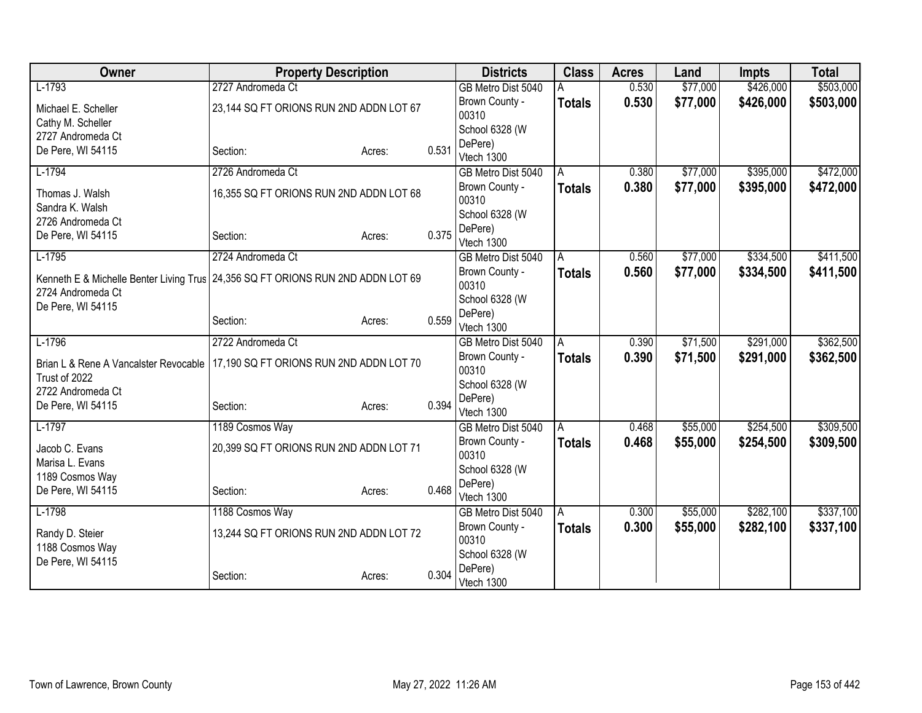| Owner                                                                                                | <b>Property Description</b>             |        | <b>Districts</b> | <b>Class</b>            | <b>Acres</b>  | Land  | <b>Impts</b> | <b>Total</b> |           |
|------------------------------------------------------------------------------------------------------|-----------------------------------------|--------|------------------|-------------------------|---------------|-------|--------------|--------------|-----------|
| $L-1793$                                                                                             | 2727 Andromeda Ct                       |        |                  | GB Metro Dist 5040      |               | 0.530 | \$77,000     | \$426,000    | \$503,000 |
| Michael E. Scheller                                                                                  | 23,144 SQ FT ORIONS RUN 2ND ADDN LOT 67 |        |                  | Brown County -          | <b>Totals</b> | 0.530 | \$77,000     | \$426,000    | \$503,000 |
| Cathy M. Scheller                                                                                    |                                         |        |                  | 00310                   |               |       |              |              |           |
| 2727 Andromeda Ct                                                                                    |                                         |        |                  | School 6328 (W          |               |       |              |              |           |
| De Pere, WI 54115                                                                                    | Section:                                | Acres: | 0.531            | DePere)                 |               |       |              |              |           |
|                                                                                                      |                                         |        |                  | Vtech 1300              |               |       |              |              |           |
| $L-1794$                                                                                             | 2726 Andromeda Ct                       |        |                  | GB Metro Dist 5040      | A             | 0.380 | \$77,000     | \$395,000    | \$472,000 |
| Thomas J. Walsh<br>Sandra K. Walsh                                                                   | 16,355 SQ FT ORIONS RUN 2ND ADDN LOT 68 |        |                  | Brown County -<br>00310 | <b>Totals</b> | 0.380 | \$77,000     | \$395,000    | \$472,000 |
| 2726 Andromeda Ct                                                                                    |                                         |        |                  | School 6328 (W          |               |       |              |              |           |
| De Pere, WI 54115                                                                                    | Section:                                | Acres: | 0.375            | DePere)<br>Vtech 1300   |               |       |              |              |           |
| $L-1795$                                                                                             | 2724 Andromeda Ct                       |        |                  | GB Metro Dist 5040      | A             | 0.560 | \$77,000     | \$334,500    | \$411,500 |
| Kenneth E & Michelle Benter Living Trus 24,356 SQ FT ORIONS RUN 2ND ADDN LOT 69<br>2724 Andromeda Ct |                                         |        |                  | Brown County -<br>00310 | <b>Totals</b> | 0.560 | \$77,000     | \$334,500    | \$411,500 |
| De Pere, WI 54115                                                                                    |                                         |        |                  | School 6328 (W          |               |       |              |              |           |
|                                                                                                      | Section:                                | Acres: | 0.559            | DePere)                 |               |       |              |              |           |
|                                                                                                      |                                         |        |                  | Vtech 1300              |               |       |              |              |           |
| $L-1796$                                                                                             | 2722 Andromeda Ct                       |        |                  | GB Metro Dist 5040      | A             | 0.390 | \$71,500     | \$291,000    | \$362,500 |
| Brian L & Rene A Vancalster Revocable<br>Trust of 2022                                               | 17,190 SQ FT ORIONS RUN 2ND ADDN LOT 70 |        |                  | Brown County -<br>00310 | <b>Totals</b> | 0.390 | \$71,500     | \$291,000    | \$362,500 |
| 2722 Andromeda Ct                                                                                    |                                         |        |                  | School 6328 (W          |               |       |              |              |           |
| De Pere, WI 54115                                                                                    | Section:                                | Acres: | 0.394            | DePere)                 |               |       |              |              |           |
|                                                                                                      |                                         |        |                  | Vtech 1300              |               |       |              |              |           |
| $L-1797$                                                                                             | 1189 Cosmos Way                         |        |                  | GB Metro Dist 5040      | l A           | 0.468 | \$55,000     | \$254,500    | \$309,500 |
| Jacob C. Evans                                                                                       | 20,399 SQ FT ORIONS RUN 2ND ADDN LOT 71 |        |                  | Brown County -<br>00310 | <b>Totals</b> | 0.468 | \$55,000     | \$254,500    | \$309,500 |
| Marisa L. Evans                                                                                      |                                         |        |                  | School 6328 (W          |               |       |              |              |           |
| 1189 Cosmos Way<br>De Pere, WI 54115                                                                 | Section:                                | Acres: | 0.468            | DePere)                 |               |       |              |              |           |
|                                                                                                      |                                         |        |                  | Vtech 1300              |               |       |              |              |           |
| $L-1798$                                                                                             | 1188 Cosmos Way                         |        |                  | GB Metro Dist 5040      | l A           | 0.300 | \$55,000     | \$282,100    | \$337,100 |
| Randy D. Steier                                                                                      | 13,244 SQ FT ORIONS RUN 2ND ADDN LOT 72 |        |                  | Brown County -<br>00310 | <b>Totals</b> | 0.300 | \$55,000     | \$282,100    | \$337,100 |
| 1188 Cosmos Way<br>De Pere, WI 54115                                                                 |                                         |        |                  | School 6328 (W          |               |       |              |              |           |
|                                                                                                      | Section:                                | Acres: | 0.304            | DePere)<br>Vtech 1300   |               |       |              |              |           |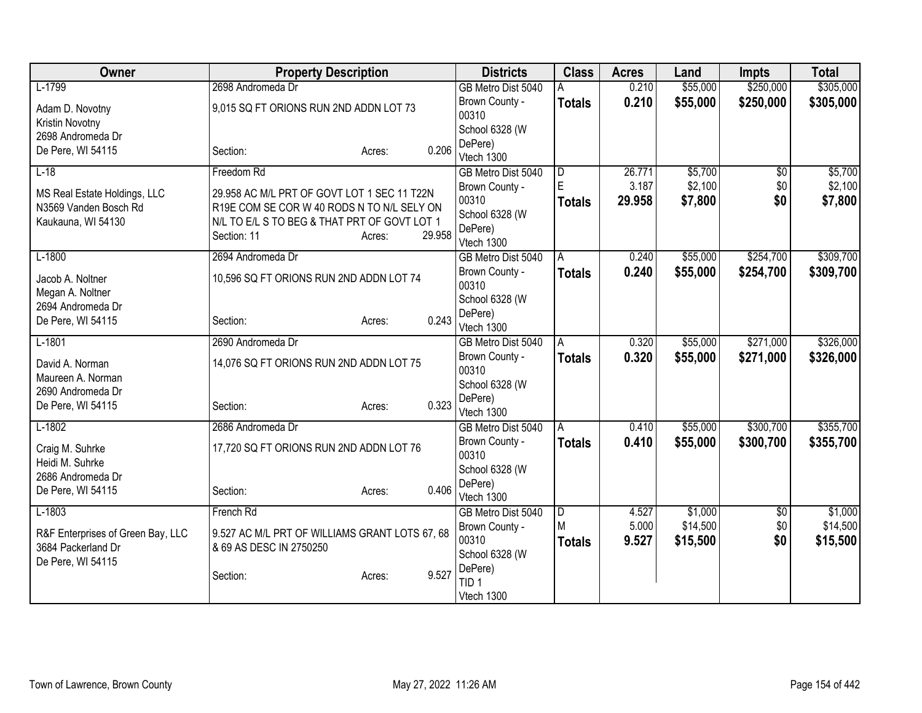| Owner                                       | <b>Property Description</b>                                                                |                  | <b>Districts</b>               | <b>Class</b>   | <b>Acres</b> | Land     | <b>Impts</b>    | <b>Total</b> |
|---------------------------------------------|--------------------------------------------------------------------------------------------|------------------|--------------------------------|----------------|--------------|----------|-----------------|--------------|
| $L-1799$                                    | 2698 Andromeda Dr                                                                          |                  | GB Metro Dist 5040             | Α              | 0.210        | \$55,000 | \$250,000       | \$305,000    |
| Adam D. Novotny                             | 9,015 SQ FT ORIONS RUN 2ND ADDN LOT 73                                                     |                  | Brown County -                 | <b>Totals</b>  | 0.210        | \$55,000 | \$250,000       | \$305,000    |
| Kristin Novotny                             |                                                                                            |                  | 00310                          |                |              |          |                 |              |
| 2698 Andromeda Dr                           |                                                                                            |                  | School 6328 (W                 |                |              |          |                 |              |
| De Pere, WI 54115                           | Section:                                                                                   | Acres:           | DePere)<br>0.206<br>Vtech 1300 |                |              |          |                 |              |
| $L-18$                                      | Freedom Rd                                                                                 |                  | GB Metro Dist 5040             | D              | 26.771       | \$5,700  | $\overline{50}$ | \$5,700      |
|                                             |                                                                                            |                  | Brown County -                 | ΙE             | 3.187        | \$2,100  | \$0             | \$2,100      |
| MS Real Estate Holdings, LLC                | 29.958 AC M/L PRT OF GOVT LOT 1 SEC 11 T22N                                                |                  | 00310                          | <b>Totals</b>  | 29.958       | \$7,800  | \$0             | \$7,800      |
| N3569 Vanden Bosch Rd<br>Kaukauna, WI 54130 | R19E COM SE COR W 40 RODS N TO N/L SELY ON<br>N/L TO E/L S TO BEG & THAT PRT OF GOVT LOT 1 |                  | School 6328 (W                 |                |              |          |                 |              |
|                                             | Section: 11                                                                                | 29.958<br>Acres: | DePere)                        |                |              |          |                 |              |
|                                             |                                                                                            |                  | Vtech 1300                     |                |              |          |                 |              |
| $L-1800$                                    | 2694 Andromeda Dr                                                                          |                  | GB Metro Dist 5040             | l A            | 0.240        | \$55,000 | \$254,700       | \$309,700    |
| Jacob A. Noltner                            | 10,596 SQ FT ORIONS RUN 2ND ADDN LOT 74                                                    |                  | Brown County -<br>00310        | <b>Totals</b>  | 0.240        | \$55,000 | \$254,700       | \$309,700    |
| Megan A. Noltner                            |                                                                                            |                  | School 6328 (W                 |                |              |          |                 |              |
| 2694 Andromeda Dr                           |                                                                                            |                  | DePere)                        |                |              |          |                 |              |
| De Pere, WI 54115                           | Section:                                                                                   | Acres:           | 0.243<br>Vtech 1300            |                |              |          |                 |              |
| $L-1801$                                    | 2690 Andromeda Dr                                                                          |                  | GB Metro Dist 5040             | A              | 0.320        | \$55,000 | \$271,000       | \$326,000    |
| David A. Norman                             | 14,076 SQ FT ORIONS RUN 2ND ADDN LOT 75                                                    |                  | Brown County -                 | Totals         | 0.320        | \$55,000 | \$271,000       | \$326,000    |
| Maureen A. Norman                           |                                                                                            |                  | 00310                          |                |              |          |                 |              |
| 2690 Andromeda Dr                           |                                                                                            |                  | School 6328 (W                 |                |              |          |                 |              |
| De Pere, WI 54115                           | Section:                                                                                   | Acres:           | DePere)<br>0.323<br>Vtech 1300 |                |              |          |                 |              |
| $L-1802$                                    | 2686 Andromeda Dr                                                                          |                  | GB Metro Dist 5040             | A              | 0.410        | \$55,000 | \$300,700       | \$355,700    |
|                                             |                                                                                            |                  | Brown County -                 | <b>Totals</b>  | 0.410        | \$55,000 | \$300,700       | \$355,700    |
| Craig M. Suhrke                             | 17,720 SQ FT ORIONS RUN 2ND ADDN LOT 76                                                    |                  | 00310                          |                |              |          |                 |              |
| Heidi M. Suhrke                             |                                                                                            |                  | School 6328 (W                 |                |              |          |                 |              |
| 2686 Andromeda Dr<br>De Pere, WI 54115      | Section:                                                                                   | Acres:           | DePere)<br>0.406               |                |              |          |                 |              |
|                                             |                                                                                            |                  | Vtech 1300                     |                |              |          |                 |              |
| $L-1803$                                    | French Rd                                                                                  |                  | GB Metro Dist 5040             | $\overline{D}$ | 4.527        | \$1,000  | $\sqrt{$0}$     | \$1,000      |
| R&F Enterprises of Green Bay, LLC           | 9.527 AC M/L PRT OF WILLIAMS GRANT LOTS 67, 68                                             |                  | Brown County -                 | M              | 5.000        | \$14,500 | \$0             | \$14,500     |
| 3684 Packerland Dr                          | & 69 AS DESC IN 2750250                                                                    |                  | 00310                          | Totals         | 9.527        | \$15,500 | \$0             | \$15,500     |
| De Pere, WI 54115                           |                                                                                            |                  | School 6328 (W<br>DePere)      |                |              |          |                 |              |
|                                             | Section:                                                                                   | 9.527<br>Acres:  | TID <sub>1</sub>               |                |              |          |                 |              |
|                                             |                                                                                            |                  | Vtech 1300                     |                |              |          |                 |              |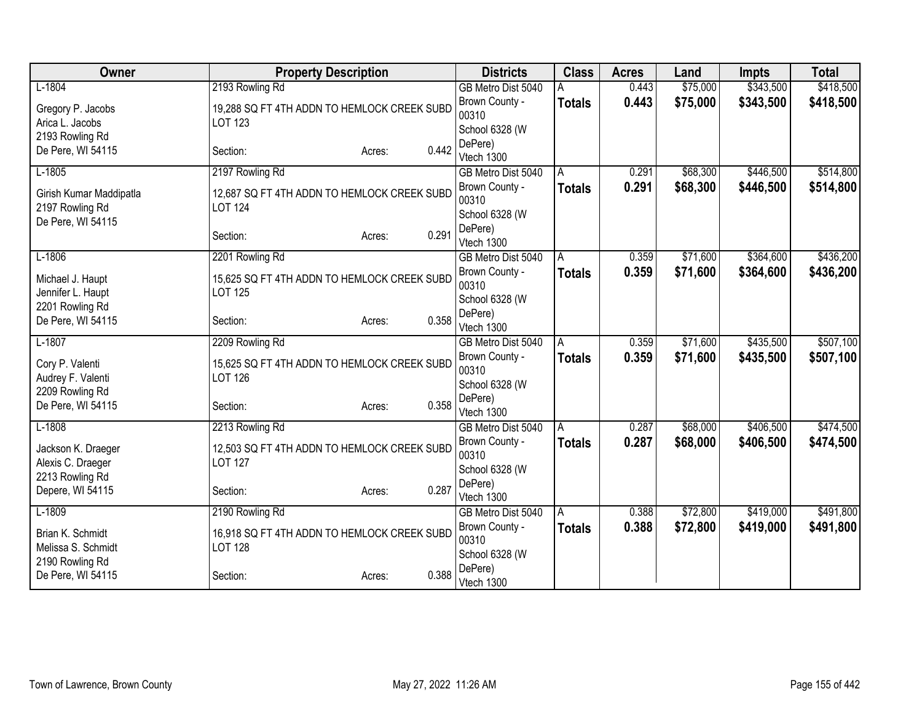| Owner                   | <b>Property Description</b>                 |                 | <b>Districts</b>                 | <b>Class</b>  | <b>Acres</b> | Land     | <b>Impts</b> | <b>Total</b> |
|-------------------------|---------------------------------------------|-----------------|----------------------------------|---------------|--------------|----------|--------------|--------------|
| $L-1804$                | 2193 Rowling Rd                             |                 | GB Metro Dist 5040               |               | 0.443        | \$75,000 | \$343,500    | \$418,500    |
| Gregory P. Jacobs       | 19,288 SQ FT 4TH ADDN TO HEMLOCK CREEK SUBD |                 | Brown County -                   | <b>Totals</b> | 0.443        | \$75,000 | \$343,500    | \$418,500    |
| Arica L. Jacobs         | <b>LOT 123</b>                              |                 | 00310                            |               |              |          |              |              |
| 2193 Rowling Rd         |                                             |                 | School 6328 (W                   |               |              |          |              |              |
| De Pere, WI 54115       | Section:                                    | 0.442<br>Acres: | DePere)<br>Vtech 1300            |               |              |          |              |              |
| $L-1805$                | 2197 Rowling Rd                             |                 | GB Metro Dist 5040               | A             | 0.291        | \$68,300 | \$446,500    | \$514,800    |
|                         |                                             |                 | Brown County -                   | <b>Totals</b> | 0.291        | \$68,300 | \$446,500    | \$514,800    |
| Girish Kumar Maddipatla | 12,687 SQ FT 4TH ADDN TO HEMLOCK CREEK SUBD |                 | 00310                            |               |              |          |              |              |
| 2197 Rowling Rd         | <b>LOT 124</b>                              |                 | School 6328 (W                   |               |              |          |              |              |
| De Pere, WI 54115       | Section:                                    | 0.291<br>Acres: | DePere)                          |               |              |          |              |              |
|                         |                                             |                 | Vtech 1300                       |               |              |          |              |              |
| $L-1806$                | 2201 Rowling Rd                             |                 | GB Metro Dist 5040               | A             | 0.359        | \$71,600 | \$364,600    | \$436,200    |
| Michael J. Haupt        | 15,625 SQ FT 4TH ADDN TO HEMLOCK CREEK SUBD |                 | Brown County -                   | <b>Totals</b> | 0.359        | \$71,600 | \$364,600    | \$436,200    |
| Jennifer L. Haupt       | <b>LOT 125</b>                              |                 | 00310<br>School 6328 (W          |               |              |          |              |              |
| 2201 Rowling Rd         |                                             |                 | DePere)                          |               |              |          |              |              |
| De Pere, WI 54115       | Section:                                    | 0.358<br>Acres: | Vtech 1300                       |               |              |          |              |              |
| $L-1807$                | 2209 Rowling Rd                             |                 | GB Metro Dist 5040               | A             | 0.359        | \$71,600 | \$435,500    | \$507,100    |
| Cory P. Valenti         | 15,625 SQ FT 4TH ADDN TO HEMLOCK CREEK SUBD |                 | Brown County -                   | <b>Totals</b> | 0.359        | \$71,600 | \$435,500    | \$507,100    |
| Audrey F. Valenti       | <b>LOT 126</b>                              |                 | 00310                            |               |              |          |              |              |
| 2209 Rowling Rd         |                                             |                 | School 6328 (W                   |               |              |          |              |              |
| De Pere, WI 54115       | Section:                                    | 0.358<br>Acres: | DePere)                          |               |              |          |              |              |
| $L-1808$                | 2213 Rowling Rd                             |                 | Vtech 1300<br>GB Metro Dist 5040 | A             | 0.287        | \$68,000 | \$406,500    | \$474,500    |
|                         |                                             |                 | Brown County -                   | <b>Totals</b> | 0.287        | \$68,000 | \$406,500    | \$474,500    |
| Jackson K. Draeger      | 12,503 SQ FT 4TH ADDN TO HEMLOCK CREEK SUBD |                 | 00310                            |               |              |          |              |              |
| Alexis C. Draeger       | <b>LOT 127</b>                              |                 | School 6328 (W                   |               |              |          |              |              |
| 2213 Rowling Rd         |                                             | 0.287           | DePere)                          |               |              |          |              |              |
| Depere, WI 54115        | Section:                                    | Acres:          | Vtech 1300                       |               |              |          |              |              |
| $L-1809$                | 2190 Rowling Rd                             |                 | GB Metro Dist 5040               | A             | 0.388        | \$72,800 | \$419,000    | \$491,800    |
| Brian K. Schmidt        | 16,918 SQ FT 4TH ADDN TO HEMLOCK CREEK SUBD |                 | Brown County -                   | <b>Totals</b> | 0.388        | \$72,800 | \$419,000    | \$491,800    |
| Melissa S. Schmidt      | <b>LOT 128</b>                              |                 | 00310                            |               |              |          |              |              |
| 2190 Rowling Rd         |                                             |                 | School 6328 (W<br>DePere)        |               |              |          |              |              |
| De Pere, WI 54115       | Section:                                    | 0.388<br>Acres: | Vtech 1300                       |               |              |          |              |              |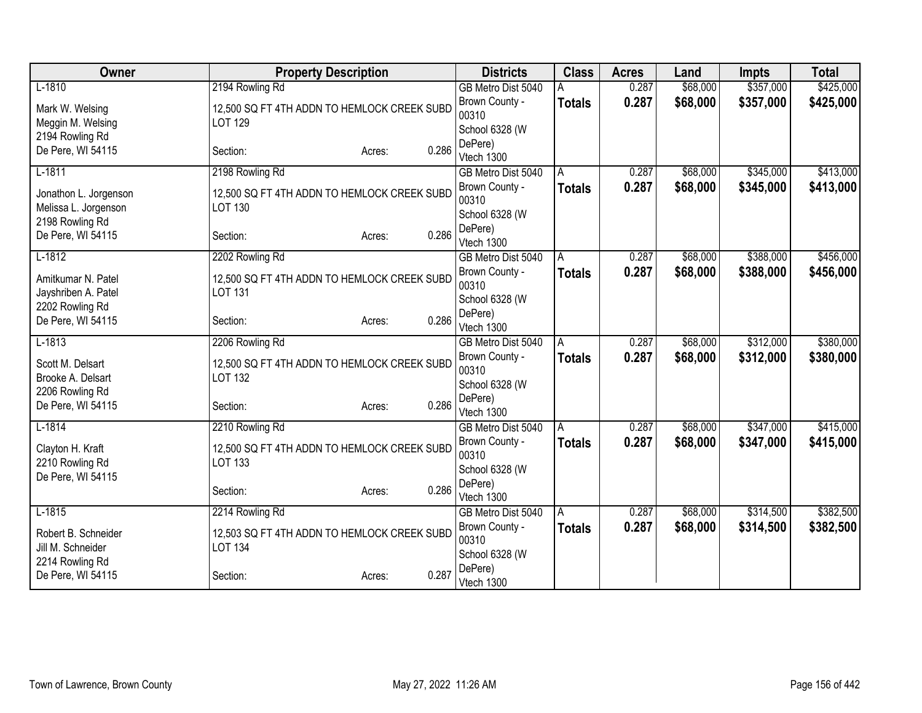| Owner                                         | <b>Property Description</b>                                   |                 | <b>Districts</b>          | <b>Class</b>  | <b>Acres</b> | Land     | <b>Impts</b> | <b>Total</b> |
|-----------------------------------------------|---------------------------------------------------------------|-----------------|---------------------------|---------------|--------------|----------|--------------|--------------|
| $L-1810$                                      | 2194 Rowling Rd                                               |                 | GB Metro Dist 5040        |               | 0.287        | \$68,000 | \$357,000    | \$425,000    |
| Mark W. Welsing                               | 12,500 SQ FT 4TH ADDN TO HEMLOCK CREEK SUBD                   |                 | Brown County -            | <b>Totals</b> | 0.287        | \$68,000 | \$357,000    | \$425,000    |
| Meggin M. Welsing                             | <b>LOT 129</b>                                                |                 | 00310                     |               |              |          |              |              |
| 2194 Rowling Rd                               |                                                               |                 | School 6328 (W<br>DePere) |               |              |          |              |              |
| De Pere, WI 54115                             | Section:                                                      | 0.286<br>Acres: | Vtech 1300                |               |              |          |              |              |
| $L-1811$                                      | 2198 Rowling Rd                                               |                 | GB Metro Dist 5040        | A             | 0.287        | \$68,000 | \$345,000    | \$413,000    |
|                                               |                                                               |                 | Brown County -            | <b>Totals</b> | 0.287        | \$68,000 | \$345,000    | \$413,000    |
| Jonathon L. Jorgenson<br>Melissa L. Jorgenson | 12,500 SQ FT 4TH ADDN TO HEMLOCK CREEK SUBD<br><b>LOT 130</b> |                 | 00310                     |               |              |          |              |              |
| 2198 Rowling Rd                               |                                                               |                 | School 6328 (W            |               |              |          |              |              |
| De Pere, WI 54115                             | Section:                                                      | 0.286<br>Acres: | DePere)                   |               |              |          |              |              |
|                                               |                                                               |                 | Vtech 1300                |               |              |          |              |              |
| $L-1812$                                      | 2202 Rowling Rd                                               |                 | GB Metro Dist 5040        | A             | 0.287        | \$68,000 | \$388,000    | \$456,000    |
| Amitkumar N. Patel                            | 12,500 SQ FT 4TH ADDN TO HEMLOCK CREEK SUBD                   |                 | Brown County -<br>00310   | Totals        | 0.287        | \$68,000 | \$388,000    | \$456,000    |
| Jayshriben A. Patel                           | <b>LOT 131</b>                                                |                 | School 6328 (W            |               |              |          |              |              |
| 2202 Rowling Rd                               |                                                               |                 | DePere)                   |               |              |          |              |              |
| De Pere, WI 54115                             | Section:                                                      | 0.286<br>Acres: | Vtech 1300                |               |              |          |              |              |
| $L-1813$                                      | 2206 Rowling Rd                                               |                 | GB Metro Dist 5040        | A             | 0.287        | \$68,000 | \$312,000    | \$380,000    |
| Scott M. Delsart                              | 12,500 SQ FT 4TH ADDN TO HEMLOCK CREEK SUBD                   |                 | Brown County -            | <b>Totals</b> | 0.287        | \$68,000 | \$312,000    | \$380,000    |
| Brooke A. Delsart                             | <b>LOT 132</b>                                                |                 | 00310                     |               |              |          |              |              |
| 2206 Rowling Rd                               |                                                               |                 | School 6328 (W            |               |              |          |              |              |
| De Pere, WI 54115                             | Section:                                                      | 0.286<br>Acres: | DePere)<br>Vtech 1300     |               |              |          |              |              |
| $L-1814$                                      | 2210 Rowling Rd                                               |                 | GB Metro Dist 5040        | A             | 0.287        | \$68,000 | \$347,000    | \$415,000    |
|                                               |                                                               |                 | Brown County -            | <b>Totals</b> | 0.287        | \$68,000 | \$347,000    | \$415,000    |
| Clayton H. Kraft                              | 12,500 SQ FT 4TH ADDN TO HEMLOCK CREEK SUBD                   |                 | 00310                     |               |              |          |              |              |
| 2210 Rowling Rd<br>De Pere, WI 54115          | <b>LOT 133</b>                                                |                 | School 6328 (W            |               |              |          |              |              |
|                                               | Section:                                                      | 0.286<br>Acres: | DePere)                   |               |              |          |              |              |
|                                               |                                                               |                 | Vtech 1300                |               |              |          |              |              |
| $L-1815$                                      | 2214 Rowling Rd                                               |                 | GB Metro Dist 5040        | A             | 0.287        | \$68,000 | \$314,500    | \$382,500    |
| Robert B. Schneider                           | 12,503 SQ FT 4TH ADDN TO HEMLOCK CREEK SUBD                   |                 | Brown County -            | <b>Totals</b> | 0.287        | \$68,000 | \$314,500    | \$382,500    |
| Jill M. Schneider                             | <b>LOT 134</b>                                                |                 | 00310<br>School 6328 (W   |               |              |          |              |              |
| 2214 Rowling Rd                               |                                                               |                 | DePere)                   |               |              |          |              |              |
| De Pere, WI 54115                             | Section:                                                      | 0.287<br>Acres: | Vtech 1300                |               |              |          |              |              |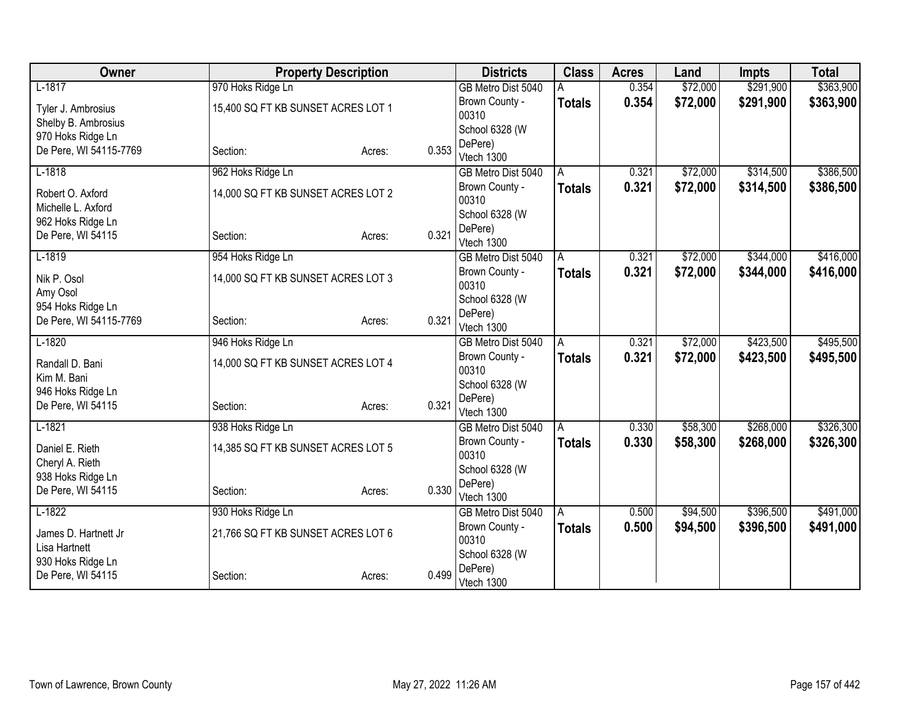| Owner                                   |                                    | <b>Property Description</b> |       | <b>Districts</b>        | <b>Class</b>  | <b>Acres</b> | Land     | <b>Impts</b> | <b>Total</b> |
|-----------------------------------------|------------------------------------|-----------------------------|-------|-------------------------|---------------|--------------|----------|--------------|--------------|
| $L-1817$                                | 970 Hoks Ridge Ln                  |                             |       | GB Metro Dist 5040      |               | 0.354        | \$72,000 | \$291,900    | \$363,900    |
| Tyler J. Ambrosius                      | 15,400 SQ FT KB SUNSET ACRES LOT 1 |                             |       | Brown County -          | <b>Totals</b> | 0.354        | \$72,000 | \$291,900    | \$363,900    |
| Shelby B. Ambrosius                     |                                    |                             |       | 00310                   |               |              |          |              |              |
| 970 Hoks Ridge Ln                       |                                    |                             |       | School 6328 (W          |               |              |          |              |              |
| De Pere, WI 54115-7769                  | Section:                           | Acres:                      | 0.353 | DePere)<br>Vtech 1300   |               |              |          |              |              |
| $L-1818$                                | 962 Hoks Ridge Ln                  |                             |       | GB Metro Dist 5040      | A             | 0.321        | \$72,000 | \$314,500    | \$386,500    |
|                                         |                                    |                             |       | Brown County -          | <b>Totals</b> | 0.321        | \$72,000 | \$314,500    | \$386,500    |
| Robert O. Axford                        | 14,000 SQ FT KB SUNSET ACRES LOT 2 |                             |       | 00310                   |               |              |          |              |              |
| Michelle L. Axford<br>962 Hoks Ridge Ln |                                    |                             |       | School 6328 (W          |               |              |          |              |              |
| De Pere, WI 54115                       | Section:                           | Acres:                      | 0.321 | DePere)                 |               |              |          |              |              |
|                                         |                                    |                             |       | Vtech 1300              |               |              |          |              |              |
| $L-1819$                                | 954 Hoks Ridge Ln                  |                             |       | GB Metro Dist 5040      | A             | 0.321        | \$72,000 | \$344,000    | \$416,000    |
| Nik P. Osol                             | 14,000 SQ FT KB SUNSET ACRES LOT 3 |                             |       | Brown County -<br>00310 | <b>Totals</b> | 0.321        | \$72,000 | \$344,000    | \$416,000    |
| Amy Osol                                |                                    |                             |       | School 6328 (W          |               |              |          |              |              |
| 954 Hoks Ridge Ln                       |                                    |                             |       | DePere)                 |               |              |          |              |              |
| De Pere, WI 54115-7769                  | Section:                           | Acres:                      | 0.321 | Vtech 1300              |               |              |          |              |              |
| $L-1820$                                | 946 Hoks Ridge Ln                  |                             |       | GB Metro Dist 5040      | A             | 0.321        | \$72,000 | \$423,500    | \$495,500    |
| Randall D. Bani                         | 14,000 SQ FT KB SUNSET ACRES LOT 4 |                             |       | Brown County -          | <b>Totals</b> | 0.321        | \$72,000 | \$423,500    | \$495,500    |
| Kim M. Bani                             |                                    |                             |       | 00310                   |               |              |          |              |              |
| 946 Hoks Ridge Ln                       |                                    |                             |       | School 6328 (W          |               |              |          |              |              |
| De Pere, WI 54115                       | Section:                           | Acres:                      | 0.321 | DePere)<br>Vtech 1300   |               |              |          |              |              |
| $L-1821$                                | 938 Hoks Ridge Ln                  |                             |       | GB Metro Dist 5040      | A             | 0.330        | \$58,300 | \$268,000    | \$326,300    |
|                                         |                                    |                             |       | Brown County -          | <b>Totals</b> | 0.330        | \$58,300 | \$268,000    | \$326,300    |
| Daniel E. Rieth                         | 14,385 SQ FT KB SUNSET ACRES LOT 5 |                             |       | 00310                   |               |              |          |              |              |
| Cheryl A. Rieth                         |                                    |                             |       | School 6328 (W          |               |              |          |              |              |
| 938 Hoks Ridge Ln<br>De Pere, WI 54115  | Section:                           | Acres:                      | 0.330 | DePere)                 |               |              |          |              |              |
|                                         |                                    |                             |       | Vtech 1300              |               |              |          |              |              |
| $L-1822$                                | 930 Hoks Ridge Ln                  |                             |       | GB Metro Dist 5040      | A             | 0.500        | \$94,500 | \$396,500    | \$491,000    |
| James D. Hartnett Jr                    | 21,766 SQ FT KB SUNSET ACRES LOT 6 |                             |       | Brown County -          | Totals        | 0.500        | \$94,500 | \$396,500    | \$491,000    |
| Lisa Hartnett                           |                                    |                             |       | 00310<br>School 6328 (W |               |              |          |              |              |
| 930 Hoks Ridge Ln                       |                                    |                             |       | DePere)                 |               |              |          |              |              |
| De Pere, WI 54115                       | Section:                           | Acres:                      | 0.499 | Vtech 1300              |               |              |          |              |              |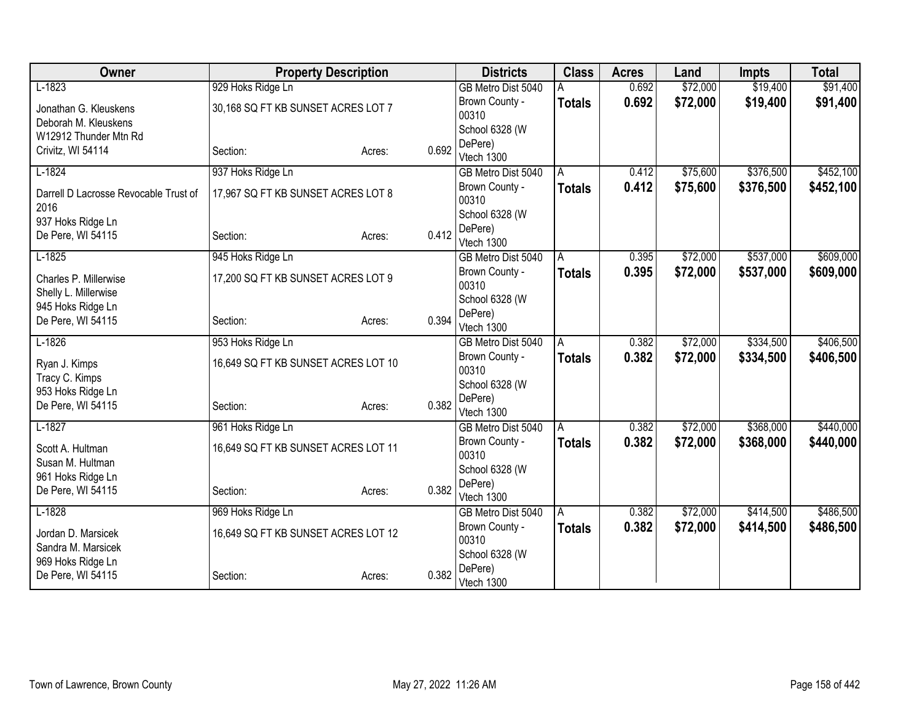| Owner                                         |                                     | <b>Property Description</b> |       | <b>Districts</b>        | <b>Class</b>  | <b>Acres</b> | Land     | Impts     | <b>Total</b> |
|-----------------------------------------------|-------------------------------------|-----------------------------|-------|-------------------------|---------------|--------------|----------|-----------|--------------|
| $L-1823$                                      | 929 Hoks Ridge Ln                   |                             |       | GB Metro Dist 5040      |               | 0.692        | \$72,000 | \$19,400  | \$91,400     |
| Jonathan G. Kleuskens                         | 30,168 SQ FT KB SUNSET ACRES LOT 7  |                             |       | Brown County -          | <b>Totals</b> | 0.692        | \$72,000 | \$19,400  | \$91,400     |
| Deborah M. Kleuskens                          |                                     |                             |       | 00310                   |               |              |          |           |              |
| W12912 Thunder Mtn Rd                         |                                     |                             |       | School 6328 (W          |               |              |          |           |              |
| Crivitz, WI 54114                             | Section:                            | Acres:                      | 0.692 | DePere)<br>Vtech 1300   |               |              |          |           |              |
| $L-1824$                                      | 937 Hoks Ridge Ln                   |                             |       | GB Metro Dist 5040      | A             | 0.412        | \$75,600 | \$376,500 | \$452,100    |
|                                               |                                     |                             |       | Brown County -          |               | 0.412        | \$75,600 |           |              |
| Darrell D Lacrosse Revocable Trust of<br>2016 | 17,967 SQ FT KB SUNSET ACRES LOT 8  |                             |       | 00310                   | <b>Totals</b> |              |          | \$376,500 | \$452,100    |
| 937 Hoks Ridge Ln                             |                                     |                             |       | School 6328 (W          |               |              |          |           |              |
| De Pere, WI 54115                             | Section:                            | Acres:                      | 0.412 | DePere)<br>Vtech 1300   |               |              |          |           |              |
| $L-1825$                                      | 945 Hoks Ridge Ln                   |                             |       | GB Metro Dist 5040      | A             | 0.395        | \$72,000 | \$537,000 | \$609,000    |
|                                               |                                     |                             |       | Brown County -          | <b>Totals</b> | 0.395        | \$72,000 | \$537,000 | \$609,000    |
| Charles P. Millerwise                         | 17,200 SQ FT KB SUNSET ACRES LOT 9  |                             |       | 00310                   |               |              |          |           |              |
| Shelly L. Millerwise                          |                                     |                             |       | School 6328 (W          |               |              |          |           |              |
| 945 Hoks Ridge Ln                             |                                     |                             | 0.394 | DePere)                 |               |              |          |           |              |
| De Pere, WI 54115                             | Section:                            | Acres:                      |       | Vtech 1300              |               |              |          |           |              |
| $L-1826$                                      | 953 Hoks Ridge Ln                   |                             |       | GB Metro Dist 5040      | A             | 0.382        | \$72,000 | \$334,500 | \$406,500    |
| Ryan J. Kimps                                 | 16,649 SQ FT KB SUNSET ACRES LOT 10 |                             |       | Brown County -          | <b>Totals</b> | 0.382        | \$72,000 | \$334,500 | \$406,500    |
| Tracy C. Kimps                                |                                     |                             |       | 00310                   |               |              |          |           |              |
| 953 Hoks Ridge Ln                             |                                     |                             |       | School 6328 (W          |               |              |          |           |              |
| De Pere, WI 54115                             | Section:                            | Acres:                      | 0.382 | DePere)                 |               |              |          |           |              |
| $L-1827$                                      |                                     |                             |       | Vtech 1300              |               | 0.382        | \$72,000 | \$368,000 | \$440,000    |
|                                               | 961 Hoks Ridge Ln                   |                             |       | GB Metro Dist 5040      | A             |              |          |           |              |
| Scott A. Hultman                              | 16,649 SQ FT KB SUNSET ACRES LOT 11 |                             |       | Brown County -<br>00310 | <b>Totals</b> | 0.382        | \$72,000 | \$368,000 | \$440,000    |
| Susan M. Hultman                              |                                     |                             |       | School 6328 (W          |               |              |          |           |              |
| 961 Hoks Ridge Ln                             |                                     |                             |       | DePere)                 |               |              |          |           |              |
| De Pere, WI 54115                             | Section:                            | Acres:                      | 0.382 | Vtech 1300              |               |              |          |           |              |
| $L-1828$                                      | 969 Hoks Ridge Ln                   |                             |       | GB Metro Dist 5040      | A             | 0.382        | \$72,000 | \$414,500 | \$486,500    |
| Jordan D. Marsicek                            | 16,649 SQ FT KB SUNSET ACRES LOT 12 |                             |       | Brown County -          | <b>Totals</b> | 0.382        | \$72,000 | \$414,500 | \$486,500    |
| Sandra M. Marsicek                            |                                     |                             |       | 00310                   |               |              |          |           |              |
| 969 Hoks Ridge Ln                             |                                     |                             |       | School 6328 (W          |               |              |          |           |              |
| De Pere, WI 54115                             | Section:                            | Acres:                      | 0.382 | DePere)<br>Vtech 1300   |               |              |          |           |              |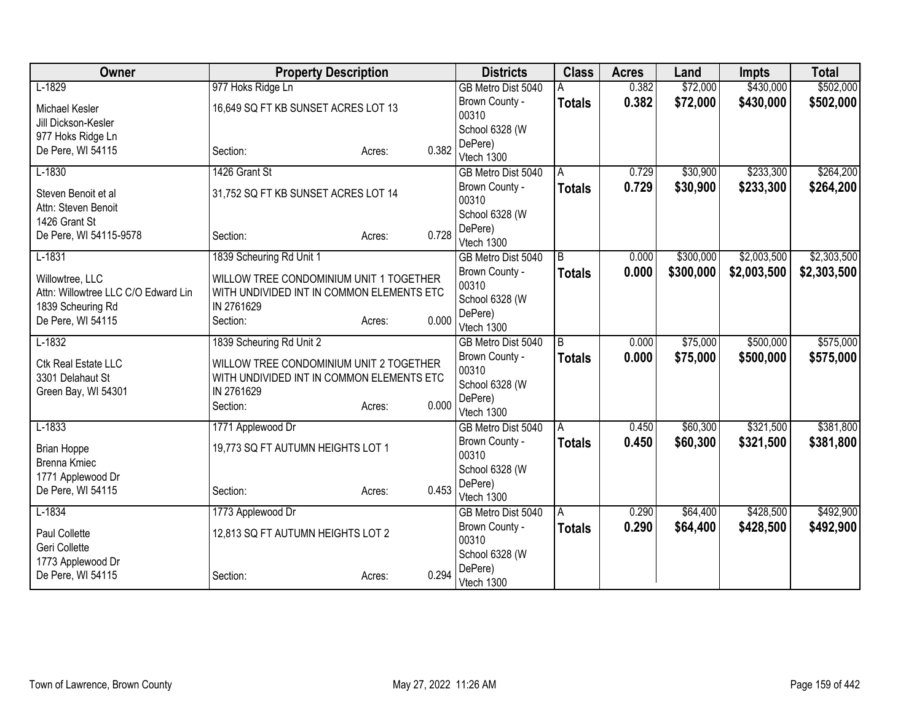| Owner                               | <b>Property Description</b>               |        |       | <b>Districts</b>                 | <b>Class</b>  | <b>Acres</b> | Land      | <b>Impts</b> | <b>Total</b> |
|-------------------------------------|-------------------------------------------|--------|-------|----------------------------------|---------------|--------------|-----------|--------------|--------------|
| $L-1829$                            | 977 Hoks Ridge Ln                         |        |       | GB Metro Dist 5040               |               | 0.382        | \$72,000  | \$430,000    | \$502,000    |
| Michael Kesler                      | 16,649 SQ FT KB SUNSET ACRES LOT 13       |        |       | Brown County -                   | <b>Totals</b> | 0.382        | \$72,000  | \$430,000    | \$502,000    |
| Jill Dickson-Kesler                 |                                           |        |       | 00310                            |               |              |           |              |              |
| 977 Hoks Ridge Ln                   |                                           |        |       | School 6328 (W                   |               |              |           |              |              |
| De Pere, WI 54115                   | Section:                                  | Acres: | 0.382 | DePere)                          |               |              |           |              |              |
|                                     |                                           |        |       | Vtech 1300                       |               |              |           |              |              |
| $L-1830$                            | 1426 Grant St                             |        |       | GB Metro Dist 5040               | A             | 0.729        | \$30,900  | \$233,300    | \$264,200    |
| Steven Benoit et al                 | 31,752 SQ FT KB SUNSET ACRES LOT 14       |        |       | Brown County -                   | <b>Totals</b> | 0.729        | \$30,900  | \$233,300    | \$264,200    |
| Attn: Steven Benoit                 |                                           |        |       | 00310                            |               |              |           |              |              |
| 1426 Grant St                       |                                           |        |       | School 6328 (W<br>DePere)        |               |              |           |              |              |
| De Pere, WI 54115-9578              | Section:                                  | Acres: | 0.728 | Vtech 1300                       |               |              |           |              |              |
| $L-1831$                            | 1839 Scheuring Rd Unit 1                  |        |       | GB Metro Dist 5040               | B             | 0.000        | \$300,000 | \$2,003,500  | \$2,303,500  |
|                                     |                                           |        |       | Brown County -                   | <b>Totals</b> | 0.000        | \$300,000 | \$2,003,500  | \$2,303,500  |
| Willowtree, LLC                     | WILLOW TREE CONDOMINIUM UNIT 1 TOGETHER   |        |       | 00310                            |               |              |           |              |              |
| Attn: Willowtree LLC C/O Edward Lin | WITH UNDIVIDED INT IN COMMON ELEMENTS ETC |        |       | School 6328 (W                   |               |              |           |              |              |
| 1839 Scheuring Rd                   | IN 2761629                                |        |       | DePere)                          |               |              |           |              |              |
| De Pere, WI 54115                   | Section:                                  | Acres: | 0.000 | Vtech 1300                       |               |              |           |              |              |
| $L-1832$                            | 1839 Scheuring Rd Unit 2                  |        |       | GB Metro Dist 5040               | B             | 0.000        | \$75,000  | \$500,000    | \$575,000    |
| Ctk Real Estate LLC                 | WILLOW TREE CONDOMINIUM UNIT 2 TOGETHER   |        |       | Brown County -                   | <b>Totals</b> | 0.000        | \$75,000  | \$500,000    | \$575,000    |
| 3301 Delahaut St                    | WITH UNDIVIDED INT IN COMMON ELEMENTS ETC |        |       | 00310                            |               |              |           |              |              |
| Green Bay, WI 54301                 | IN 2761629                                |        |       | School 6328 (W                   |               |              |           |              |              |
|                                     | Section:                                  | Acres: | 0.000 | DePere)                          |               |              |           |              |              |
|                                     |                                           |        |       | Vtech 1300                       |               |              |           |              |              |
| $L-1833$                            | 1771 Applewood Dr                         |        |       | GB Metro Dist 5040               | A             | 0.450        | \$60,300  | \$321,500    | \$381,800    |
| <b>Brian Hoppe</b>                  | 19,773 SQ FT AUTUMN HEIGHTS LOT 1         |        |       | Brown County -                   | <b>Totals</b> | 0.450        | \$60,300  | \$321,500    | \$381,800    |
| <b>Brenna Kmiec</b>                 |                                           |        |       | 00310                            |               |              |           |              |              |
| 1771 Applewood Dr                   |                                           |        |       | School 6328 (W                   |               |              |           |              |              |
| De Pere, WI 54115                   | Section:                                  | Acres: | 0.453 | DePere)                          |               |              |           |              |              |
| $L-1834$                            | 1773 Applewood Dr                         |        |       | Vtech 1300<br>GB Metro Dist 5040 | l A           | 0.290        | \$64,400  | \$428,500    | \$492,900    |
|                                     |                                           |        |       | Brown County -                   |               | 0.290        | \$64,400  | \$428,500    |              |
| Paul Collette                       | 12,813 SQ FT AUTUMN HEIGHTS LOT 2         |        |       | 00310                            | <b>Totals</b> |              |           |              | \$492,900    |
| Geri Collette                       |                                           |        |       | School 6328 (W                   |               |              |           |              |              |
| 1773 Applewood Dr                   |                                           |        |       | DePere)                          |               |              |           |              |              |
| De Pere, WI 54115                   | Section:                                  | Acres: | 0.294 | Vtech 1300                       |               |              |           |              |              |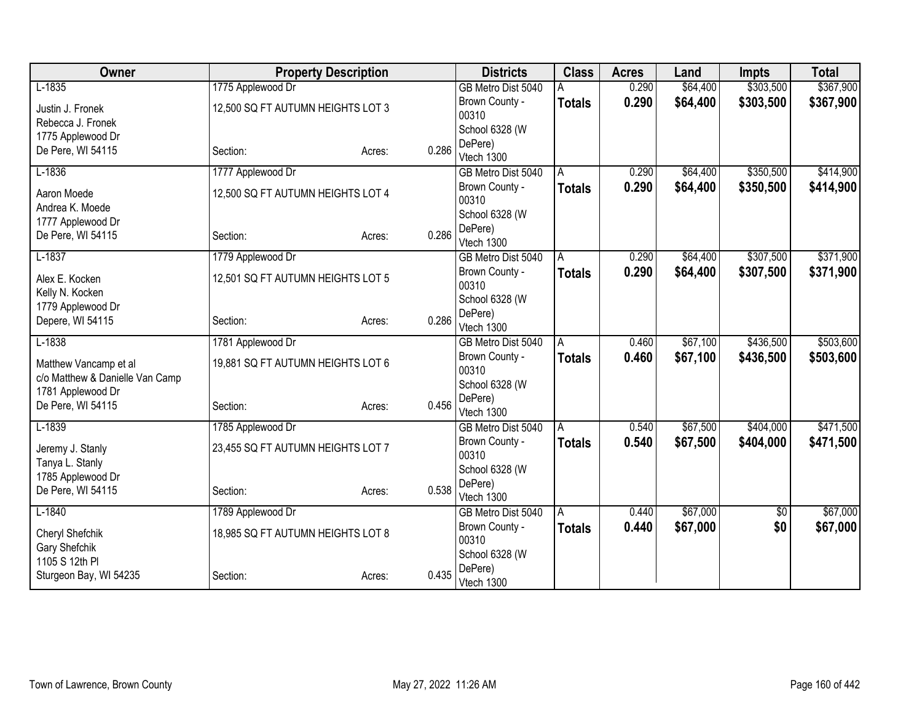| Owner                           | <b>Property Description</b>       |        |       | <b>Districts</b>                 | <b>Class</b>  | <b>Acres</b> | Land     | <b>Impts</b> | <b>Total</b> |
|---------------------------------|-----------------------------------|--------|-------|----------------------------------|---------------|--------------|----------|--------------|--------------|
| $L-1835$                        | 1775 Applewood Dr                 |        |       | GB Metro Dist 5040               |               | 0.290        | \$64,400 | \$303,500    | \$367,900    |
| Justin J. Fronek                | 12,500 SQ FT AUTUMN HEIGHTS LOT 3 |        |       | Brown County -                   | <b>Totals</b> | 0.290        | \$64,400 | \$303,500    | \$367,900    |
| Rebecca J. Fronek               |                                   |        |       | 00310                            |               |              |          |              |              |
| 1775 Applewood Dr               |                                   |        |       | School 6328 (W                   |               |              |          |              |              |
| De Pere, WI 54115               | Section:                          | Acres: | 0.286 | DePere)                          |               |              |          |              |              |
| $L-1836$                        | 1777 Applewood Dr                 |        |       | Vtech 1300<br>GB Metro Dist 5040 | A             | 0.290        | \$64,400 | \$350,500    | \$414,900    |
|                                 |                                   |        |       | Brown County -                   |               | 0.290        | \$64,400 | \$350,500    | \$414,900    |
| Aaron Moede                     | 12,500 SQ FT AUTUMN HEIGHTS LOT 4 |        |       | 00310                            | <b>Totals</b> |              |          |              |              |
| Andrea K. Moede                 |                                   |        |       | School 6328 (W                   |               |              |          |              |              |
| 1777 Applewood Dr               |                                   |        |       | DePere)                          |               |              |          |              |              |
| De Pere, WI 54115               | Section:                          | Acres: | 0.286 | Vtech 1300                       |               |              |          |              |              |
| $L-1837$                        | 1779 Applewood Dr                 |        |       | GB Metro Dist 5040               | A             | 0.290        | \$64,400 | \$307,500    | \$371,900    |
| Alex E. Kocken                  | 12,501 SQ FT AUTUMN HEIGHTS LOT 5 |        |       | Brown County -                   | <b>Totals</b> | 0.290        | \$64,400 | \$307,500    | \$371,900    |
| Kelly N. Kocken                 |                                   |        |       | 00310                            |               |              |          |              |              |
| 1779 Applewood Dr               |                                   |        |       | School 6328 (W                   |               |              |          |              |              |
| Depere, WI 54115                | Section:                          | Acres: | 0.286 | DePere)                          |               |              |          |              |              |
|                                 |                                   |        |       | Vtech 1300                       |               |              |          |              |              |
| $L-1838$                        | 1781 Applewood Dr                 |        |       | GB Metro Dist 5040               | A             | 0.460        | \$67,100 | \$436,500    | \$503,600    |
| Matthew Vancamp et al           | 19,881 SQ FT AUTUMN HEIGHTS LOT 6 |        |       | Brown County -<br>00310          | <b>Totals</b> | 0.460        | \$67,100 | \$436,500    | \$503,600    |
| c/o Matthew & Danielle Van Camp |                                   |        |       | School 6328 (W                   |               |              |          |              |              |
| 1781 Applewood Dr               |                                   |        |       | DePere)                          |               |              |          |              |              |
| De Pere, WI 54115               | Section:                          | Acres: | 0.456 | Vtech 1300                       |               |              |          |              |              |
| $L-1839$                        | 1785 Applewood Dr                 |        |       | GB Metro Dist 5040               | A             | 0.540        | \$67,500 | \$404,000    | \$471,500    |
| Jeremy J. Stanly                | 23,455 SQ FT AUTUMN HEIGHTS LOT 7 |        |       | Brown County -                   | <b>Totals</b> | 0.540        | \$67,500 | \$404,000    | \$471,500    |
| Tanya L. Stanly                 |                                   |        |       | 00310                            |               |              |          |              |              |
| 1785 Applewood Dr               |                                   |        |       | School 6328 (W                   |               |              |          |              |              |
| De Pere, WI 54115               | Section:                          | Acres: | 0.538 | DePere)                          |               |              |          |              |              |
|                                 |                                   |        |       | Vtech 1300                       |               |              |          |              |              |
| $L-1840$                        | 1789 Applewood Dr                 |        |       | GB Metro Dist 5040               | A             | 0.440        | \$67,000 | \$0          | \$67,000     |
| Cheryl Shefchik                 | 18,985 SQ FT AUTUMN HEIGHTS LOT 8 |        |       | Brown County -<br>00310          | <b>Totals</b> | 0.440        | \$67,000 | \$0          | \$67,000     |
| Gary Shefchik                   |                                   |        |       | School 6328 (W                   |               |              |          |              |              |
| 1105 S 12th PI                  |                                   |        |       | DePere)                          |               |              |          |              |              |
| Sturgeon Bay, WI 54235          | Section:                          | Acres: | 0.435 | Vtech 1300                       |               |              |          |              |              |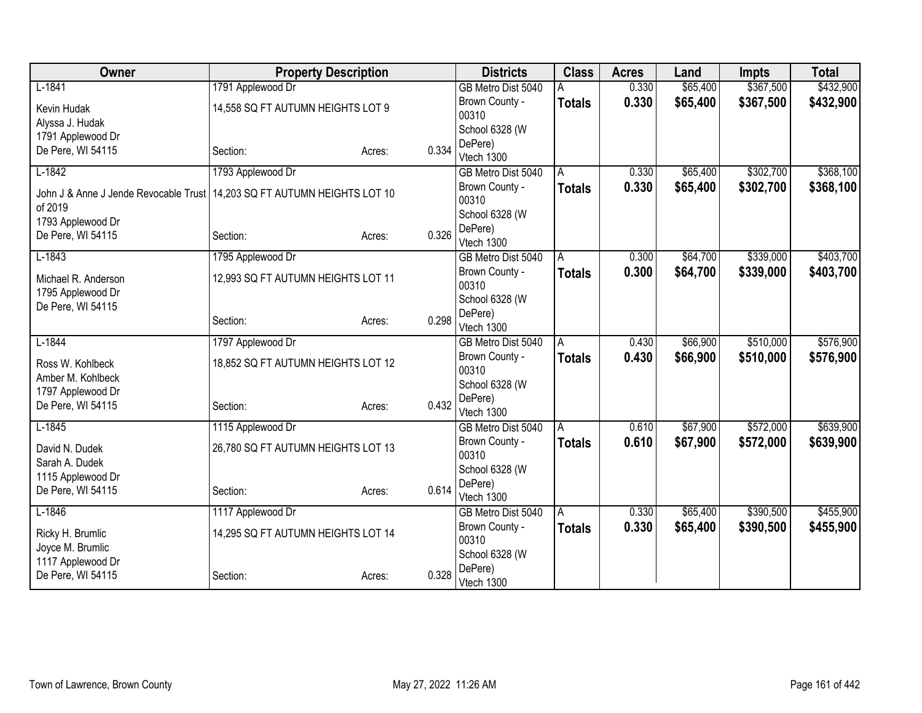| Owner                                                                               | <b>Property Description</b>        |        |       | <b>Districts</b>        | <b>Class</b>  | <b>Acres</b> | Land     | <b>Impts</b> | <b>Total</b> |
|-------------------------------------------------------------------------------------|------------------------------------|--------|-------|-------------------------|---------------|--------------|----------|--------------|--------------|
| $L-1841$                                                                            | 1791 Applewood Dr                  |        |       | GB Metro Dist 5040      |               | 0.330        | \$65,400 | \$367,500    | \$432,900    |
| Kevin Hudak                                                                         | 14,558 SQ FT AUTUMN HEIGHTS LOT 9  |        |       | Brown County -          | <b>Totals</b> | 0.330        | \$65,400 | \$367,500    | \$432,900    |
| Alyssa J. Hudak                                                                     |                                    |        |       | 00310                   |               |              |          |              |              |
| 1791 Applewood Dr                                                                   |                                    |        |       | School 6328 (W          |               |              |          |              |              |
| De Pere, WI 54115                                                                   | Section:                           | Acres: | 0.334 | DePere)                 |               |              |          |              |              |
|                                                                                     |                                    |        |       | Vtech 1300              |               |              |          |              |              |
| $L-1842$                                                                            | 1793 Applewood Dr                  |        |       | GB Metro Dist 5040      | A             | 0.330        | \$65,400 | \$302,700    | \$368,100    |
| John J & Anne J Jende Revocable Trust 14,203 SQ FT AUTUMN HEIGHTS LOT 10<br>of 2019 |                                    |        |       | Brown County -<br>00310 | <b>Totals</b> | 0.330        | \$65,400 | \$302,700    | \$368,100    |
| 1793 Applewood Dr                                                                   |                                    |        |       | School 6328 (W          |               |              |          |              |              |
| De Pere, WI 54115                                                                   | Section:                           | Acres: | 0.326 | DePere)<br>Vtech 1300   |               |              |          |              |              |
| $L-1843$                                                                            | 1795 Applewood Dr                  |        |       | GB Metro Dist 5040      | A             | 0.300        | \$64,700 | \$339,000    | \$403,700    |
| Michael R. Anderson                                                                 | 12,993 SQ FT AUTUMN HEIGHTS LOT 11 |        |       | Brown County -<br>00310 | <b>Totals</b> | 0.300        | \$64,700 | \$339,000    | \$403,700    |
| 1795 Applewood Dr                                                                   |                                    |        |       | School 6328 (W          |               |              |          |              |              |
| De Pere, WI 54115                                                                   | Section:                           | Acres: | 0.298 | DePere)                 |               |              |          |              |              |
|                                                                                     |                                    |        |       | Vtech 1300              |               |              |          |              |              |
| $L-1844$                                                                            | 1797 Applewood Dr                  |        |       | GB Metro Dist 5040      | A             | 0.430        | \$66,900 | \$510,000    | \$576,900    |
| Ross W. Kohlbeck                                                                    | 18,852 SQ FT AUTUMN HEIGHTS LOT 12 |        |       | Brown County -<br>00310 | <b>Totals</b> | 0.430        | \$66,900 | \$510,000    | \$576,900    |
| Amber M. Kohlbeck                                                                   |                                    |        |       | School 6328 (W          |               |              |          |              |              |
| 1797 Applewood Dr<br>De Pere, WI 54115                                              | Section:                           |        | 0.432 | DePere)                 |               |              |          |              |              |
|                                                                                     |                                    | Acres: |       | Vtech 1300              |               |              |          |              |              |
| $L-1845$                                                                            | 1115 Applewood Dr                  |        |       | GB Metro Dist 5040      | A             | 0.610        | \$67,900 | \$572,000    | \$639,900    |
| David N. Dudek                                                                      | 26,780 SQ FT AUTUMN HEIGHTS LOT 13 |        |       | Brown County -<br>00310 | <b>Totals</b> | 0.610        | \$67,900 | \$572,000    | \$639,900    |
| Sarah A. Dudek                                                                      |                                    |        |       | School 6328 (W          |               |              |          |              |              |
| 1115 Applewood Dr<br>De Pere, WI 54115                                              | Section:                           |        | 0.614 | DePere)                 |               |              |          |              |              |
|                                                                                     |                                    | Acres: |       | Vtech 1300              |               |              |          |              |              |
| $L-1846$                                                                            | 1117 Applewood Dr                  |        |       | GB Metro Dist 5040      | A             | 0.330        | \$65,400 | \$390,500    | \$455,900    |
| Ricky H. Brumlic                                                                    | 14,295 SQ FT AUTUMN HEIGHTS LOT 14 |        |       | Brown County -<br>00310 | <b>Totals</b> | 0.330        | \$65,400 | \$390,500    | \$455,900    |
| Joyce M. Brumlic                                                                    |                                    |        |       | School 6328 (W          |               |              |          |              |              |
| 1117 Applewood Dr                                                                   |                                    |        |       | DePere)                 |               |              |          |              |              |
| De Pere, WI 54115                                                                   | Section:                           | Acres: | 0.328 | Vtech 1300              |               |              |          |              |              |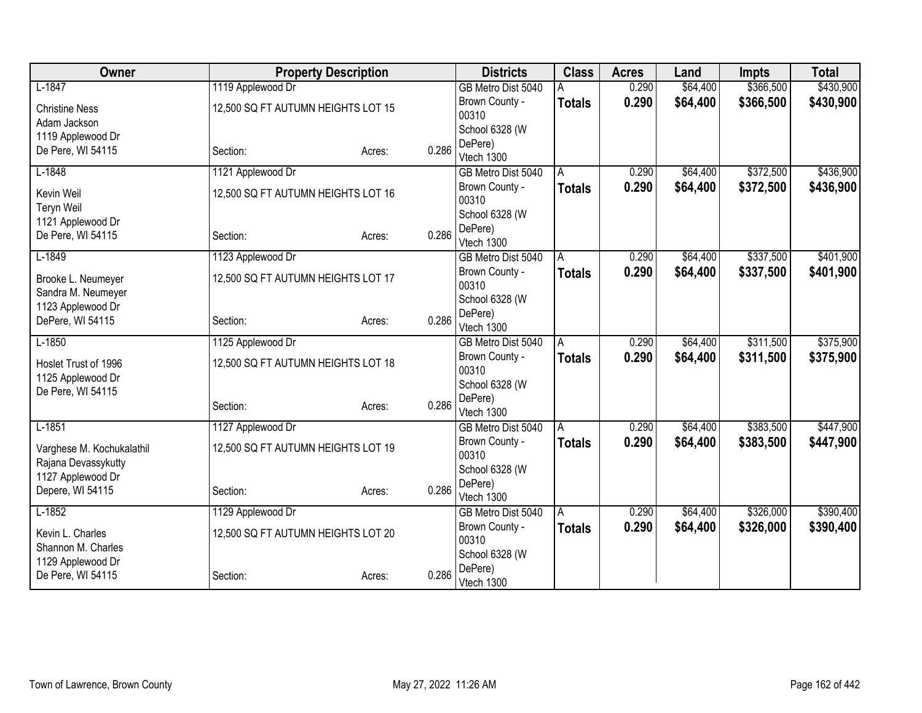| Owner                           |                                    | <b>Property Description</b> |       | <b>Districts</b>                 | <b>Class</b>  | <b>Acres</b> | Land     | <b>Impts</b> | <b>Total</b> |
|---------------------------------|------------------------------------|-----------------------------|-------|----------------------------------|---------------|--------------|----------|--------------|--------------|
| $L-1847$                        | 1119 Applewood Dr                  |                             |       | GB Metro Dist 5040               |               | 0.290        | \$64,400 | \$366,500    | \$430,900    |
| <b>Christine Ness</b>           | 12,500 SQ FT AUTUMN HEIGHTS LOT 15 |                             |       | Brown County -                   | <b>Totals</b> | 0.290        | \$64,400 | \$366,500    | \$430,900    |
| Adam Jackson                    |                                    |                             |       | 00310                            |               |              |          |              |              |
| 1119 Applewood Dr               |                                    |                             |       | School 6328 (W                   |               |              |          |              |              |
| De Pere, WI 54115               | Section:                           | Acres:                      | 0.286 | DePere)<br>Vtech 1300            |               |              |          |              |              |
| $L-1848$                        | 1121 Applewood Dr                  |                             |       | GB Metro Dist 5040               | A             | 0.290        | \$64,400 | \$372,500    | \$436,900    |
|                                 |                                    |                             |       | Brown County -                   | <b>Totals</b> | 0.290        | \$64,400 | \$372,500    | \$436,900    |
| Kevin Weil<br><b>Teryn Weil</b> | 12,500 SQ FT AUTUMN HEIGHTS LOT 16 |                             |       | 00310                            |               |              |          |              |              |
| 1121 Applewood Dr               |                                    |                             |       | School 6328 (W                   |               |              |          |              |              |
| De Pere, WI 54115               | Section:                           | Acres:                      | 0.286 | DePere)                          |               |              |          |              |              |
|                                 |                                    |                             |       | Vtech 1300                       |               |              |          |              |              |
| $L-1849$                        | 1123 Applewood Dr                  |                             |       | GB Metro Dist 5040               | A             | 0.290        | \$64,400 | \$337,500    | \$401,900    |
| Brooke L. Neumeyer              | 12,500 SQ FT AUTUMN HEIGHTS LOT 17 |                             |       | Brown County -<br>00310          | <b>Totals</b> | 0.290        | \$64,400 | \$337,500    | \$401,900    |
| Sandra M. Neumeyer              |                                    |                             |       | School 6328 (W                   |               |              |          |              |              |
| 1123 Applewood Dr               |                                    |                             |       | DePere)                          |               |              |          |              |              |
| DePere, WI 54115                | Section:                           | Acres:                      | 0.286 | Vtech 1300                       |               |              |          |              |              |
| $L-1850$                        | 1125 Applewood Dr                  |                             |       | GB Metro Dist 5040               | A             | 0.290        | \$64,400 | \$311,500    | \$375,900    |
| Hoslet Trust of 1996            | 12,500 SQ FT AUTUMN HEIGHTS LOT 18 |                             |       | Brown County -                   | <b>Totals</b> | 0.290        | \$64,400 | \$311,500    | \$375,900    |
| 1125 Applewood Dr               |                                    |                             |       | 00310                            |               |              |          |              |              |
| De Pere, WI 54115               |                                    |                             |       | School 6328 (W                   |               |              |          |              |              |
|                                 | Section:                           | Acres:                      | 0.286 | DePere)                          |               |              |          |              |              |
| $L-1851$                        | 1127 Applewood Dr                  |                             |       | Vtech 1300<br>GB Metro Dist 5040 | A             | 0.290        | \$64,400 | \$383,500    | \$447,900    |
|                                 |                                    |                             |       | Brown County -                   | <b>Totals</b> | 0.290        | \$64,400 | \$383,500    | \$447,900    |
| Varghese M. Kochukalathil       | 12,500 SQ FT AUTUMN HEIGHTS LOT 19 |                             |       | 00310                            |               |              |          |              |              |
| Rajana Devassykutty             |                                    |                             |       | School 6328 (W                   |               |              |          |              |              |
| 1127 Applewood Dr               |                                    |                             |       | DePere)                          |               |              |          |              |              |
| Depere, WI 54115                | Section:                           | Acres:                      | 0.286 | Vtech 1300                       |               |              |          |              |              |
| $L-1852$                        | 1129 Applewood Dr                  |                             |       | GB Metro Dist 5040               | A             | 0.290        | \$64,400 | \$326,000    | \$390,400    |
| Kevin L. Charles                | 12,500 SQ FT AUTUMN HEIGHTS LOT 20 |                             |       | Brown County -                   | <b>Totals</b> | 0.290        | \$64,400 | \$326,000    | \$390,400    |
| Shannon M. Charles              |                                    |                             |       | 00310                            |               |              |          |              |              |
| 1129 Applewood Dr               |                                    |                             |       | School 6328 (W                   |               |              |          |              |              |
| De Pere, WI 54115               | Section:                           | Acres:                      | 0.286 | DePere)<br>Vtech 1300            |               |              |          |              |              |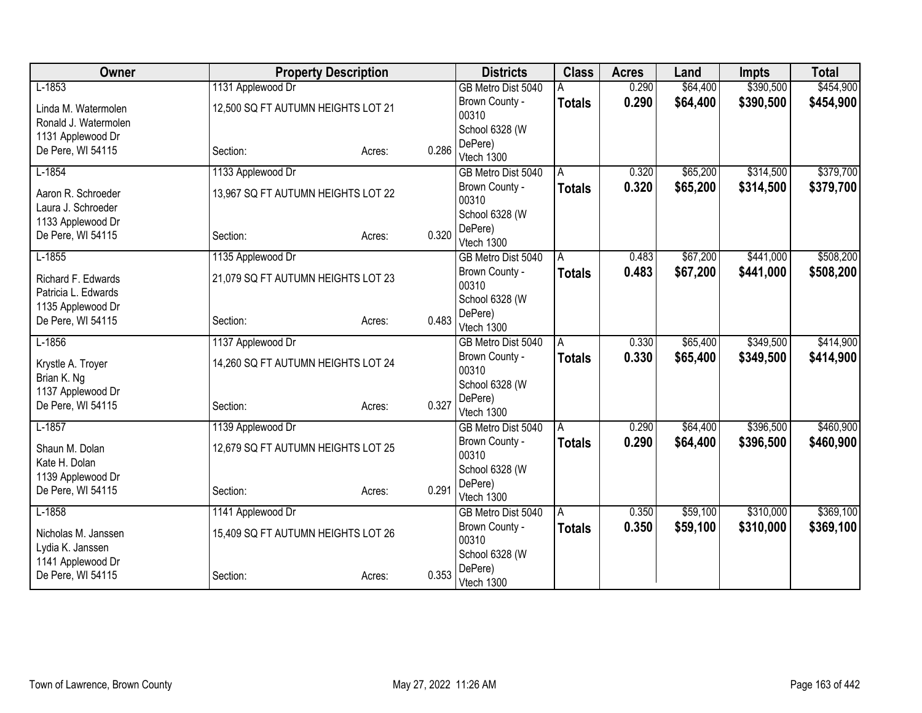| Owner                |                                    | <b>Property Description</b> |       | <b>Districts</b>        | <b>Class</b>  | <b>Acres</b> | Land     | <b>Impts</b> | <b>Total</b> |
|----------------------|------------------------------------|-----------------------------|-------|-------------------------|---------------|--------------|----------|--------------|--------------|
| $L-1853$             | 1131 Applewood Dr                  |                             |       | GB Metro Dist 5040      |               | 0.290        | \$64,400 | \$390,500    | \$454,900    |
| Linda M. Watermolen  | 12,500 SQ FT AUTUMN HEIGHTS LOT 21 |                             |       | Brown County -          | <b>Totals</b> | 0.290        | \$64,400 | \$390,500    | \$454,900    |
| Ronald J. Watermolen |                                    |                             |       | 00310                   |               |              |          |              |              |
| 1131 Applewood Dr    |                                    |                             |       | School 6328 (W          |               |              |          |              |              |
| De Pere, WI 54115    | Section:                           | Acres:                      | 0.286 | DePere)<br>Vtech 1300   |               |              |          |              |              |
| $L-1854$             | 1133 Applewood Dr                  |                             |       | GB Metro Dist 5040      | A             | 0.320        | \$65,200 | \$314,500    | \$379,700    |
|                      |                                    |                             |       | Brown County -          | <b>Totals</b> | 0.320        | \$65,200 | \$314,500    | \$379,700    |
| Aaron R. Schroeder   | 13,967 SQ FT AUTUMN HEIGHTS LOT 22 |                             |       | 00310                   |               |              |          |              |              |
| Laura J. Schroeder   |                                    |                             |       | School 6328 (W          |               |              |          |              |              |
| 1133 Applewood Dr    |                                    |                             |       | DePere)                 |               |              |          |              |              |
| De Pere, WI 54115    | Section:                           | Acres:                      | 0.320 | Vtech 1300              |               |              |          |              |              |
| $L-1855$             | 1135 Applewood Dr                  |                             |       | GB Metro Dist 5040      | A             | 0.483        | \$67,200 | \$441,000    | \$508,200    |
| Richard F. Edwards   | 21,079 SQ FT AUTUMN HEIGHTS LOT 23 |                             |       | Brown County -          | <b>Totals</b> | 0.483        | \$67,200 | \$441,000    | \$508,200    |
| Patricia L. Edwards  |                                    |                             |       | 00310                   |               |              |          |              |              |
| 1135 Applewood Dr    |                                    |                             |       | School 6328 (W          |               |              |          |              |              |
| De Pere, WI 54115    | Section:                           | Acres:                      | 0.483 | DePere)                 |               |              |          |              |              |
|                      |                                    |                             |       | Vtech 1300              |               |              |          |              |              |
| $L-1856$             | 1137 Applewood Dr                  |                             |       | GB Metro Dist 5040      | A             | 0.330        | \$65,400 | \$349,500    | \$414,900    |
| Krystle A. Troyer    | 14,260 SQ FT AUTUMN HEIGHTS LOT 24 |                             |       | Brown County -<br>00310 | <b>Totals</b> | 0.330        | \$65,400 | \$349,500    | \$414,900    |
| Brian K. Ng          |                                    |                             |       | School 6328 (W          |               |              |          |              |              |
| 1137 Applewood Dr    |                                    |                             |       | DePere)                 |               |              |          |              |              |
| De Pere, WI 54115    | Section:                           | Acres:                      | 0.327 | Vtech 1300              |               |              |          |              |              |
| $L-1857$             | 1139 Applewood Dr                  |                             |       | GB Metro Dist 5040      | A             | 0.290        | \$64,400 | \$396,500    | \$460,900    |
| Shaun M. Dolan       | 12,679 SQ FT AUTUMN HEIGHTS LOT 25 |                             |       | Brown County -          | <b>Totals</b> | 0.290        | \$64,400 | \$396,500    | \$460,900    |
| Kate H. Dolan        |                                    |                             |       | 00310                   |               |              |          |              |              |
| 1139 Applewood Dr    |                                    |                             |       | School 6328 (W          |               |              |          |              |              |
| De Pere, WI 54115    | Section:                           | Acres:                      | 0.291 | DePere)                 |               |              |          |              |              |
|                      |                                    |                             |       | Vtech 1300              |               |              |          |              |              |
| $L-1858$             | 1141 Applewood Dr                  |                             |       | GB Metro Dist 5040      | A             | 0.350        | \$59,100 | \$310,000    | \$369,100    |
| Nicholas M. Janssen  | 15,409 SQ FT AUTUMN HEIGHTS LOT 26 |                             |       | Brown County -          | <b>Totals</b> | 0.350        | \$59,100 | \$310,000    | \$369,100    |
| Lydia K. Janssen     |                                    |                             |       | 00310<br>School 6328 (W |               |              |          |              |              |
| 1141 Applewood Dr    |                                    |                             |       | DePere)                 |               |              |          |              |              |
| De Pere, WI 54115    | Section:                           | Acres:                      | 0.353 | Vtech 1300              |               |              |          |              |              |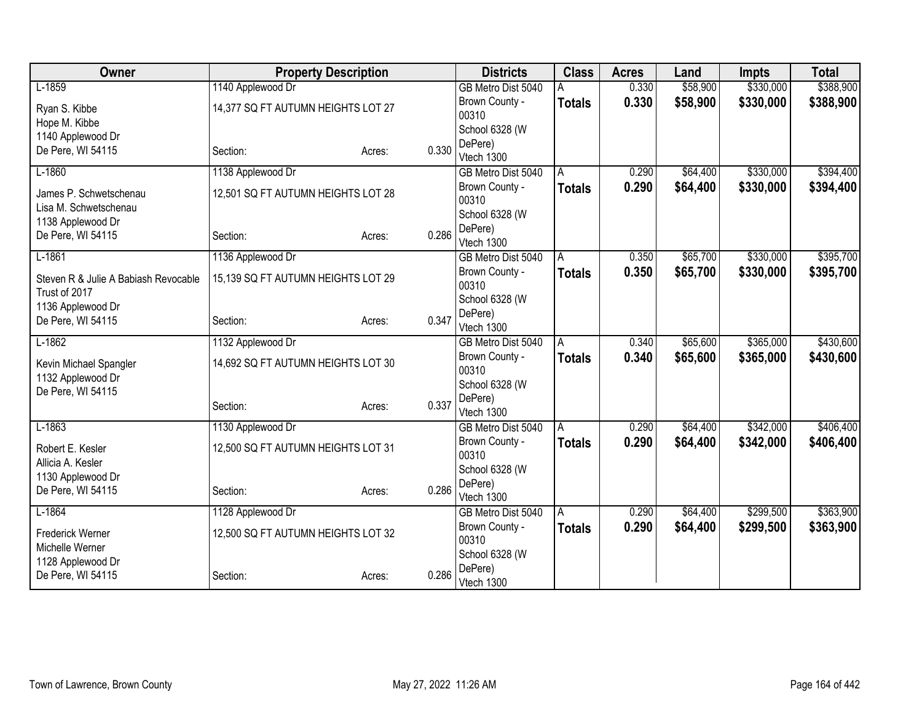| Owner                                  |                                    | <b>Property Description</b> |       | <b>Districts</b>                 | <b>Class</b>  | <b>Acres</b> | Land     | <b>Impts</b> | <b>Total</b> |
|----------------------------------------|------------------------------------|-----------------------------|-------|----------------------------------|---------------|--------------|----------|--------------|--------------|
| $L-1859$                               | 1140 Applewood Dr                  |                             |       | GB Metro Dist 5040               |               | 0.330        | \$58,900 | \$330,000    | \$388,900    |
| Ryan S. Kibbe                          | 14,377 SQ FT AUTUMN HEIGHTS LOT 27 |                             |       | Brown County -                   | <b>Totals</b> | 0.330        | \$58,900 | \$330,000    | \$388,900    |
| Hope M. Kibbe                          |                                    |                             |       | 00310                            |               |              |          |              |              |
| 1140 Applewood Dr                      |                                    |                             |       | School 6328 (W                   |               |              |          |              |              |
| De Pere, WI 54115                      | Section:                           | Acres:                      | 0.330 | DePere)<br>Vtech 1300            |               |              |          |              |              |
| $L-1860$                               | 1138 Applewood Dr                  |                             |       | GB Metro Dist 5040               | A             | 0.290        | \$64,400 | \$330,000    | \$394,400    |
|                                        |                                    |                             |       | Brown County -                   | <b>Totals</b> | 0.290        | \$64,400 | \$330,000    | \$394,400    |
| James P. Schwetschenau                 | 12,501 SQ FT AUTUMN HEIGHTS LOT 28 |                             |       | 00310                            |               |              |          |              |              |
| Lisa M. Schwetschenau                  |                                    |                             |       | School 6328 (W                   |               |              |          |              |              |
| 1138 Applewood Dr<br>De Pere, WI 54115 | Section:                           | Acres:                      | 0.286 | DePere)                          |               |              |          |              |              |
|                                        |                                    |                             |       | Vtech 1300                       |               |              |          |              |              |
| $L-1861$                               | 1136 Applewood Dr                  |                             |       | GB Metro Dist 5040               | A             | 0.350        | \$65,700 | \$330,000    | \$395,700    |
| Steven R & Julie A Babiash Revocable   | 15,139 SQ FT AUTUMN HEIGHTS LOT 29 |                             |       | Brown County -                   | <b>Totals</b> | 0.350        | \$65,700 | \$330,000    | \$395,700    |
| Trust of 2017                          |                                    |                             |       | 00310                            |               |              |          |              |              |
| 1136 Applewood Dr                      |                                    |                             |       | School 6328 (W                   |               |              |          |              |              |
| De Pere, WI 54115                      | Section:                           | Acres:                      | 0.347 | DePere)<br>Vtech 1300            |               |              |          |              |              |
| $L-1862$                               | 1132 Applewood Dr                  |                             |       | GB Metro Dist 5040               | A             | 0.340        | \$65,600 | \$365,000    | \$430,600    |
|                                        |                                    |                             |       | Brown County -                   | <b>Totals</b> | 0.340        | \$65,600 | \$365,000    | \$430,600    |
| Kevin Michael Spangler                 | 14,692 SQ FT AUTUMN HEIGHTS LOT 30 |                             |       | 00310                            |               |              |          |              |              |
| 1132 Applewood Dr                      |                                    |                             |       | School 6328 (W                   |               |              |          |              |              |
| De Pere, WI 54115                      |                                    |                             |       | DePere)                          |               |              |          |              |              |
|                                        | Section:                           | Acres:                      | 0.337 | Vtech 1300                       |               |              |          |              |              |
| $L-1863$                               | 1130 Applewood Dr                  |                             |       | GB Metro Dist 5040               | A             | 0.290        | \$64,400 | \$342,000    | \$406,400    |
| Robert E. Kesler                       | 12,500 SQ FT AUTUMN HEIGHTS LOT 31 |                             |       | Brown County -                   | <b>Totals</b> | 0.290        | \$64,400 | \$342,000    | \$406,400    |
| Allicia A. Kesler                      |                                    |                             |       | 00310                            |               |              |          |              |              |
| 1130 Applewood Dr                      |                                    |                             |       | School 6328 (W                   |               |              |          |              |              |
| De Pere, WI 54115                      | Section:                           | Acres:                      | 0.286 | DePere)                          |               |              |          |              |              |
| $L-1864$                               | 1128 Applewood Dr                  |                             |       | Vtech 1300<br>GB Metro Dist 5040 | A             | 0.290        | \$64,400 | \$299,500    | \$363,900    |
|                                        |                                    |                             |       | Brown County -                   | <b>Totals</b> | 0.290        | \$64,400 | \$299,500    | \$363,900    |
| Frederick Werner                       | 12,500 SQ FT AUTUMN HEIGHTS LOT 32 |                             |       | 00310                            |               |              |          |              |              |
| Michelle Werner                        |                                    |                             |       | School 6328 (W                   |               |              |          |              |              |
| 1128 Applewood Dr                      |                                    |                             |       | DePere)                          |               |              |          |              |              |
| De Pere, WI 54115                      | Section:                           | Acres:                      | 0.286 | Vtech 1300                       |               |              |          |              |              |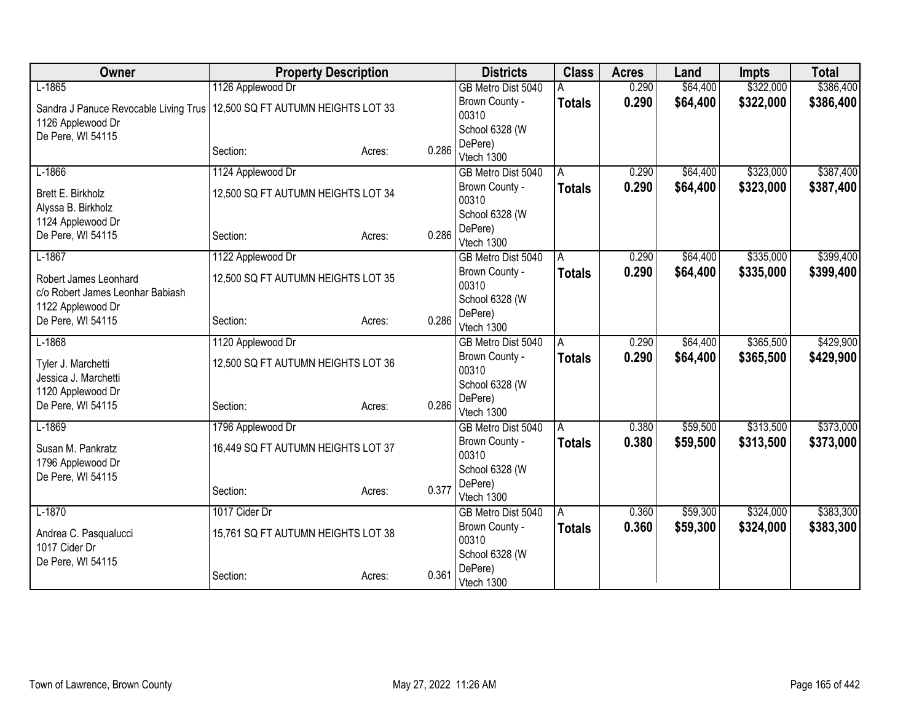| Owner                                   | <b>Property Description</b>        |        |       | <b>Districts</b>        | <b>Class</b>  | <b>Acres</b> | Land     | <b>Impts</b> | <b>Total</b> |
|-----------------------------------------|------------------------------------|--------|-------|-------------------------|---------------|--------------|----------|--------------|--------------|
| $L-1865$                                | 1126 Applewood Dr                  |        |       | GB Metro Dist 5040      |               | 0.290        | \$64,400 | \$322,000    | \$386,400    |
| Sandra J Panuce Revocable Living Trus   | 12,500 SQ FT AUTUMN HEIGHTS LOT 33 |        |       | Brown County -          | <b>Totals</b> | 0.290        | \$64,400 | \$322,000    | \$386,400    |
| 1126 Applewood Dr                       |                                    |        |       | 00310                   |               |              |          |              |              |
| De Pere, WI 54115                       |                                    |        |       | School 6328 (W          |               |              |          |              |              |
|                                         | Section:                           | Acres: | 0.286 | DePere)<br>Vtech 1300   |               |              |          |              |              |
| $L-1866$                                | 1124 Applewood Dr                  |        |       | GB Metro Dist 5040      | Α             | 0.290        | \$64,400 | \$323,000    | \$387,400    |
|                                         |                                    |        |       | Brown County -          | <b>Totals</b> | 0.290        | \$64,400 | \$323,000    | \$387,400    |
| Brett E. Birkholz<br>Alyssa B. Birkholz | 12,500 SQ FT AUTUMN HEIGHTS LOT 34 |        |       | 00310                   |               |              |          |              |              |
| 1124 Applewood Dr                       |                                    |        |       | School 6328 (W          |               |              |          |              |              |
| De Pere, WI 54115                       | Section:                           | Acres: | 0.286 | DePere)                 |               |              |          |              |              |
|                                         |                                    |        |       | Vtech 1300              |               |              |          |              |              |
| $L-1867$                                | 1122 Applewood Dr                  |        |       | GB Metro Dist 5040      | A             | 0.290        | \$64,400 | \$335,000    | \$399,400    |
| Robert James Leonhard                   | 12,500 SQ FT AUTUMN HEIGHTS LOT 35 |        |       | Brown County -<br>00310 | <b>Totals</b> | 0.290        | \$64,400 | \$335,000    | \$399,400    |
| c/o Robert James Leonhar Babiash        |                                    |        |       | School 6328 (W          |               |              |          |              |              |
| 1122 Applewood Dr                       |                                    |        |       | DePere)                 |               |              |          |              |              |
| De Pere, WI 54115                       | Section:                           | Acres: | 0.286 | Vtech 1300              |               |              |          |              |              |
| $L-1868$                                | 1120 Applewood Dr                  |        |       | GB Metro Dist 5040      | A             | 0.290        | \$64,400 | \$365,500    | \$429,900    |
| Tyler J. Marchetti                      | 12,500 SQ FT AUTUMN HEIGHTS LOT 36 |        |       | Brown County -          | <b>Totals</b> | 0.290        | \$64,400 | \$365,500    | \$429,900    |
| Jessica J. Marchetti                    |                                    |        |       | 00310                   |               |              |          |              |              |
| 1120 Applewood Dr                       |                                    |        |       | School 6328 (W          |               |              |          |              |              |
| De Pere, WI 54115                       | Section:                           | Acres: | 0.286 | DePere)                 |               |              |          |              |              |
|                                         |                                    |        |       | Vtech 1300              |               |              |          |              |              |
| $L-1869$                                | 1796 Applewood Dr                  |        |       | GB Metro Dist 5040      | Α             | 0.380        | \$59,500 | \$313,500    | \$373,000    |
| Susan M. Pankratz                       | 16,449 SQ FT AUTUMN HEIGHTS LOT 37 |        |       | Brown County -<br>00310 | <b>Totals</b> | 0.380        | \$59,500 | \$313,500    | \$373,000    |
| 1796 Applewood Dr                       |                                    |        |       | School 6328 (W          |               |              |          |              |              |
| De Pere, WI 54115                       |                                    |        |       | DePere)                 |               |              |          |              |              |
|                                         | Section:                           | Acres: | 0.377 | Vtech 1300              |               |              |          |              |              |
| $L-1870$                                | 1017 Cider Dr                      |        |       | GB Metro Dist 5040      | A             | 0.360        | \$59,300 | \$324,000    | \$383,300    |
| Andrea C. Pasqualucci                   | 15,761 SQ FT AUTUMN HEIGHTS LOT 38 |        |       | Brown County -          | <b>Totals</b> | 0.360        | \$59,300 | \$324,000    | \$383,300    |
| 1017 Cider Dr                           |                                    |        |       | 00310                   |               |              |          |              |              |
| De Pere, WI 54115                       |                                    |        |       | School 6328 (W          |               |              |          |              |              |
|                                         | Section:                           | Acres: | 0.361 | DePere)                 |               |              |          |              |              |
|                                         |                                    |        |       | Vtech 1300              |               |              |          |              |              |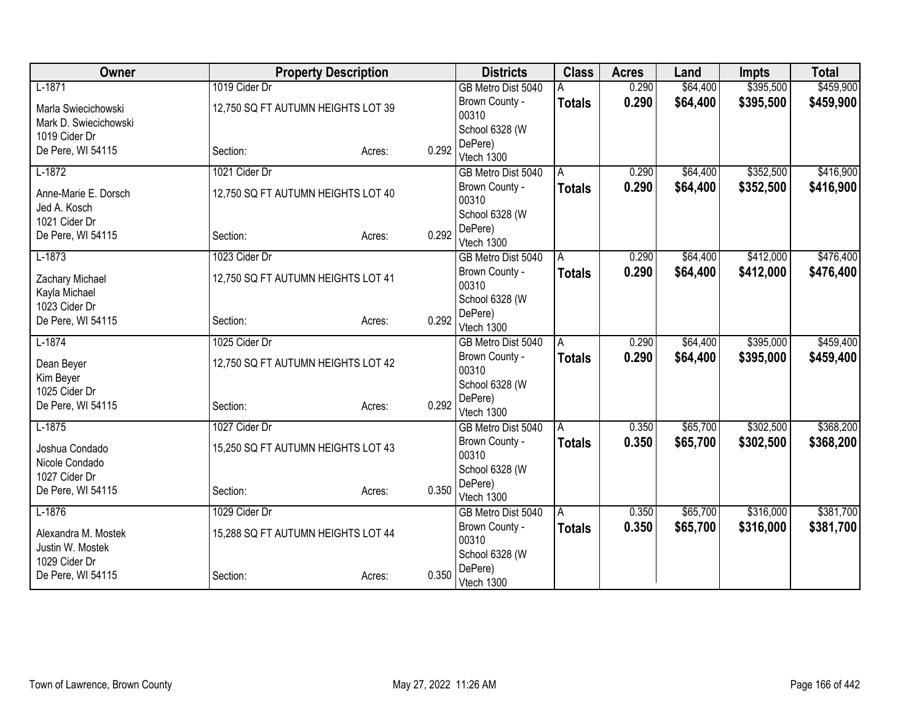| Owner                 | <b>Property Description</b>        |        |       | <b>Districts</b>                     | <b>Class</b>  | <b>Acres</b> | Land                 | <b>Impts</b> | <b>Total</b> |
|-----------------------|------------------------------------|--------|-------|--------------------------------------|---------------|--------------|----------------------|--------------|--------------|
| $L-1871$              | 1019 Cider Dr                      |        |       | GB Metro Dist 5040                   |               | 0.290        | \$64,400             | \$395,500    | \$459,900    |
| Marla Swiecichowski   | 12,750 SQ FT AUTUMN HEIGHTS LOT 39 |        |       | Brown County -                       | <b>Totals</b> | 0.290        | \$64,400             | \$395,500    | \$459,900    |
| Mark D. Swiecichowski |                                    |        |       | 00310                                |               |              |                      |              |              |
| 1019 Cider Dr         |                                    |        |       | School 6328 (W                       |               |              |                      |              |              |
| De Pere, WI 54115     | Section:                           | Acres: | 0.292 | DePere)<br>Vtech 1300                |               |              |                      |              |              |
| $L-1872$              | 1021 Cider Dr                      |        |       | GB Metro Dist 5040                   | A             | 0.290        | \$64,400             | \$352,500    | \$416,900    |
|                       |                                    |        |       | Brown County -                       | <b>Totals</b> | 0.290        | \$64,400             | \$352,500    | \$416,900    |
| Anne-Marie E. Dorsch  | 12,750 SQ FT AUTUMN HEIGHTS LOT 40 |        |       | 00310                                |               |              |                      |              |              |
| Jed A. Kosch          |                                    |        |       | School 6328 (W                       |               |              |                      |              |              |
| 1021 Cider Dr         |                                    |        |       | DePere)                              |               |              |                      |              |              |
| De Pere, WI 54115     | Section:                           | Acres: | 0.292 | Vtech 1300                           |               |              |                      |              |              |
| $L-1873$              | 1023 Cider Dr                      |        |       | GB Metro Dist 5040                   | A             | 0.290        | \$64,400             | \$412,000    | \$476,400    |
| Zachary Michael       | 12,750 SQ FT AUTUMN HEIGHTS LOT 41 |        |       | Brown County -                       | <b>Totals</b> | 0.290        | \$64,400             | \$412,000    | \$476,400    |
| Kayla Michael         |                                    |        |       | 00310                                |               |              |                      |              |              |
| 1023 Cider Dr         |                                    |        |       | School 6328 (W                       |               |              |                      |              |              |
| De Pere, WI 54115     | Section:                           | Acres: | 0.292 | DePere)                              |               |              |                      |              |              |
| $L-1874$              | 1025 Cider Dr                      |        |       | Vtech 1300                           |               | 0.290        |                      | \$395,000    | \$459,400    |
|                       |                                    |        |       | GB Metro Dist 5040<br>Brown County - | A             | 0.290        | \$64,400<br>\$64,400 | \$395,000    |              |
| Dean Beyer            | 12,750 SQ FT AUTUMN HEIGHTS LOT 42 |        |       | 00310                                | <b>Totals</b> |              |                      |              | \$459,400    |
| Kim Beyer             |                                    |        |       | School 6328 (W                       |               |              |                      |              |              |
| 1025 Cider Dr         |                                    |        |       | DePere)                              |               |              |                      |              |              |
| De Pere, WI 54115     | Section:                           | Acres: | 0.292 | Vtech 1300                           |               |              |                      |              |              |
| $L-1875$              | 1027 Cider Dr                      |        |       | GB Metro Dist 5040                   | A             | 0.350        | \$65,700             | \$302,500    | \$368,200    |
| Joshua Condado        | 15,250 SQ FT AUTUMN HEIGHTS LOT 43 |        |       | Brown County -                       | <b>Totals</b> | 0.350        | \$65,700             | \$302,500    | \$368,200    |
| Nicole Condado        |                                    |        |       | 00310                                |               |              |                      |              |              |
| 1027 Cider Dr         |                                    |        |       | School 6328 (W                       |               |              |                      |              |              |
| De Pere, WI 54115     | Section:                           | Acres: | 0.350 | DePere)                              |               |              |                      |              |              |
| $L-1876$              | 1029 Cider Dr                      |        |       | Vtech 1300                           |               | 0.350        | \$65,700             | \$316,000    | \$381,700    |
|                       |                                    |        |       | GB Metro Dist 5040<br>Brown County - | A             |              |                      |              |              |
| Alexandra M. Mostek   | 15,288 SQ FT AUTUMN HEIGHTS LOT 44 |        |       | 00310                                | Totals        | 0.350        | \$65,700             | \$316,000    | \$381,700    |
| Justin W. Mostek      |                                    |        |       | School 6328 (W                       |               |              |                      |              |              |
| 1029 Cider Dr         |                                    |        |       | DePere)                              |               |              |                      |              |              |
| De Pere, WI 54115     | Section:                           | Acres: | 0.350 | Vtech 1300                           |               |              |                      |              |              |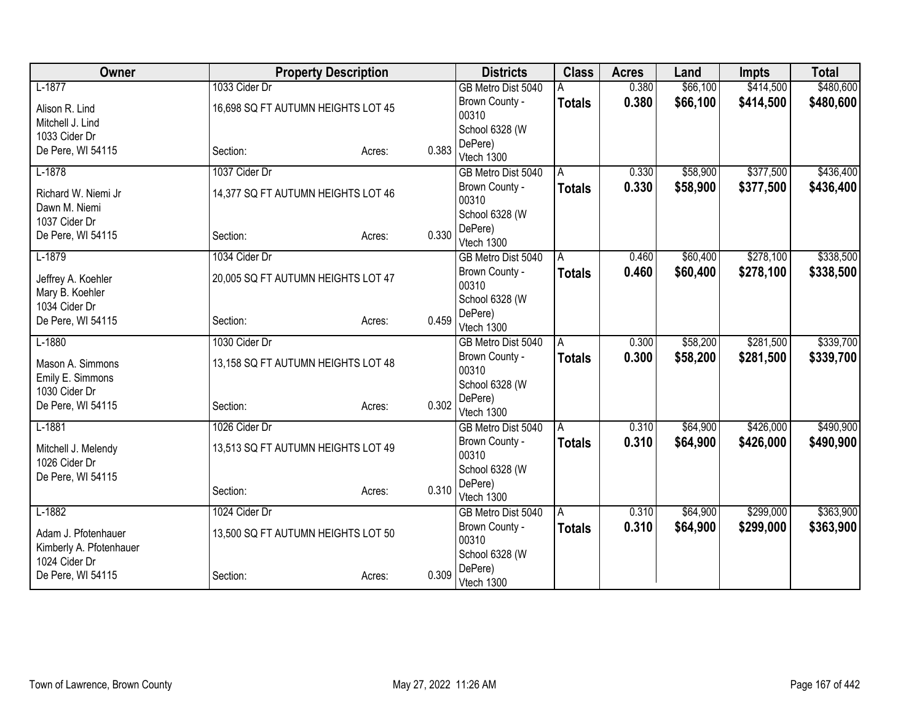| Owner                                |                                    | <b>Property Description</b> |       | <b>Districts</b>        | <b>Class</b>  | <b>Acres</b> | Land     | <b>Impts</b> | <b>Total</b> |
|--------------------------------------|------------------------------------|-----------------------------|-------|-------------------------|---------------|--------------|----------|--------------|--------------|
| $L-1877$                             | 1033 Cider Dr                      |                             |       | GB Metro Dist 5040      |               | 0.380        | \$66,100 | \$414,500    | \$480,600    |
| Alison R. Lind                       | 16,698 SQ FT AUTUMN HEIGHTS LOT 45 |                             |       | Brown County -          | <b>Totals</b> | 0.380        | \$66,100 | \$414,500    | \$480,600    |
| Mitchell J. Lind                     |                                    |                             |       | 00310                   |               |              |          |              |              |
| 1033 Cider Dr                        |                                    |                             |       | School 6328 (W          |               |              |          |              |              |
| De Pere, WI 54115                    | Section:                           | Acres:                      | 0.383 | DePere)                 |               |              |          |              |              |
| $L-1878$                             | 1037 Cider Dr                      |                             |       | Vtech 1300              |               | 0.330        | \$58,900 | \$377,500    | \$436,400    |
|                                      |                                    |                             |       | GB Metro Dist 5040      | A             |              |          |              |              |
| Richard W. Niemi Jr<br>Dawn M. Niemi | 14,377 SQ FT AUTUMN HEIGHTS LOT 46 |                             |       | Brown County -<br>00310 | <b>Totals</b> | 0.330        | \$58,900 | \$377,500    | \$436,400    |
| 1037 Cider Dr                        |                                    |                             |       | School 6328 (W          |               |              |          |              |              |
| De Pere, WI 54115                    | Section:                           | Acres:                      | 0.330 | DePere)                 |               |              |          |              |              |
|                                      |                                    |                             |       | Vtech 1300              |               |              |          |              |              |
| $L-1879$                             | 1034 Cider Dr                      |                             |       | GB Metro Dist 5040      | Α             | 0.460        | \$60,400 | \$278,100    | \$338,500    |
| Jeffrey A. Koehler                   | 20,005 SQ FT AUTUMN HEIGHTS LOT 47 |                             |       | Brown County -          | <b>Totals</b> | 0.460        | \$60,400 | \$278,100    | \$338,500    |
| Mary B. Koehler                      |                                    |                             |       | 00310                   |               |              |          |              |              |
| 1034 Cider Dr                        |                                    |                             |       | School 6328 (W          |               |              |          |              |              |
| De Pere, WI 54115                    | Section:                           | Acres:                      | 0.459 | DePere)<br>Vtech 1300   |               |              |          |              |              |
| $L-1880$                             | 1030 Cider Dr                      |                             |       | GB Metro Dist 5040      | A             | 0.300        | \$58,200 | \$281,500    | \$339,700    |
|                                      |                                    |                             |       | Brown County -          | <b>Totals</b> | 0.300        | \$58,200 | \$281,500    | \$339,700    |
| Mason A. Simmons                     | 13,158 SQ FT AUTUMN HEIGHTS LOT 48 |                             |       | 00310                   |               |              |          |              |              |
| Emily E. Simmons                     |                                    |                             |       | School 6328 (W          |               |              |          |              |              |
| 1030 Cider Dr                        |                                    |                             |       | DePere)                 |               |              |          |              |              |
| De Pere, WI 54115                    | Section:                           | Acres:                      | 0.302 | Vtech 1300              |               |              |          |              |              |
| $L-1881$                             | 1026 Cider Dr                      |                             |       | GB Metro Dist 5040      | A             | 0.310        | \$64,900 | \$426,000    | \$490,900    |
| Mitchell J. Melendy                  | 13,513 SQ FT AUTUMN HEIGHTS LOT 49 |                             |       | Brown County -          | <b>Totals</b> | 0.310        | \$64,900 | \$426,000    | \$490,900    |
| 1026 Cider Dr                        |                                    |                             |       | 00310                   |               |              |          |              |              |
| De Pere, WI 54115                    |                                    |                             |       | School 6328 (W          |               |              |          |              |              |
|                                      | Section:                           | Acres:                      | 0.310 | DePere)                 |               |              |          |              |              |
|                                      |                                    |                             |       | Vtech 1300              |               |              |          |              |              |
| $L-1882$                             | 1024 Cider Dr                      |                             |       | GB Metro Dist 5040      | A             | 0.310        | \$64,900 | \$299,000    | \$363,900    |
| Adam J. Pfotenhauer                  | 13,500 SQ FT AUTUMN HEIGHTS LOT 50 |                             |       | Brown County -<br>00310 | <b>Totals</b> | 0.310        | \$64,900 | \$299,000    | \$363,900    |
| Kimberly A. Pfotenhauer              |                                    |                             |       | School 6328 (W          |               |              |          |              |              |
| 1024 Cider Dr                        |                                    |                             |       | DePere)                 |               |              |          |              |              |
| De Pere, WI 54115                    | Section:                           | Acres:                      | 0.309 | Vtech 1300              |               |              |          |              |              |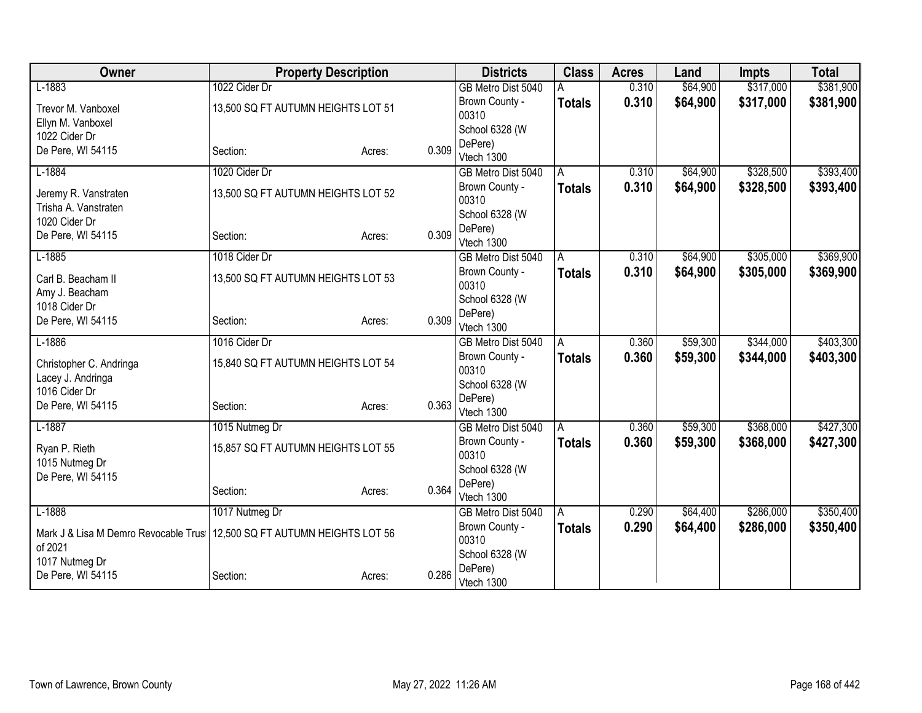| Owner                                | <b>Property Description</b>        |                 | <b>Districts</b>      | <b>Class</b>  | <b>Acres</b> | Land     | <b>Impts</b> | <b>Total</b> |
|--------------------------------------|------------------------------------|-----------------|-----------------------|---------------|--------------|----------|--------------|--------------|
| $L-1883$                             | 1022 Cider Dr                      |                 | GB Metro Dist 5040    |               | 0.310        | \$64,900 | \$317,000    | \$381,900    |
| Trevor M. Vanboxel                   | 13,500 SQ FT AUTUMN HEIGHTS LOT 51 |                 | Brown County -        | <b>Totals</b> | 0.310        | \$64,900 | \$317,000    | \$381,900    |
| Ellyn M. Vanboxel                    |                                    |                 | 00310                 |               |              |          |              |              |
| 1022 Cider Dr                        |                                    |                 | School 6328 (W        |               |              |          |              |              |
| De Pere, WI 54115                    | Section:                           | 0.309<br>Acres: | DePere)<br>Vtech 1300 |               |              |          |              |              |
| $L-1884$                             | 1020 Cider Dr                      |                 | GB Metro Dist 5040    | Α             | 0.310        | \$64,900 | \$328,500    | \$393,400    |
|                                      |                                    |                 | Brown County -        | <b>Totals</b> | 0.310        | \$64,900 | \$328,500    | \$393,400    |
| Jeremy R. Vanstraten                 | 13,500 SQ FT AUTUMN HEIGHTS LOT 52 |                 | 00310                 |               |              |          |              |              |
| Trisha A. Vanstraten                 |                                    |                 | School 6328 (W        |               |              |          |              |              |
| 1020 Cider Dr                        |                                    |                 | DePere)               |               |              |          |              |              |
| De Pere, WI 54115                    | Section:                           | 0.309<br>Acres: | Vtech 1300            |               |              |          |              |              |
| $L-1885$                             | 1018 Cider Dr                      |                 | GB Metro Dist 5040    | Α             | 0.310        | \$64,900 | \$305,000    | \$369,900    |
| Carl B. Beacham II                   | 13,500 SQ FT AUTUMN HEIGHTS LOT 53 |                 | Brown County -        | <b>Totals</b> | 0.310        | \$64,900 | \$305,000    | \$369,900    |
| Amy J. Beacham                       |                                    |                 | 00310                 |               |              |          |              |              |
| 1018 Cider Dr                        |                                    |                 | School 6328 (W        |               |              |          |              |              |
| De Pere, WI 54115                    | Section:                           | 0.309<br>Acres: | DePere)<br>Vtech 1300 |               |              |          |              |              |
| $L-1886$                             | 1016 Cider Dr                      |                 | GB Metro Dist 5040    | Α             | 0.360        | \$59,300 | \$344,000    | \$403,300    |
|                                      |                                    |                 | Brown County -        | <b>Totals</b> | 0.360        | \$59,300 | \$344,000    | \$403,300    |
| Christopher C. Andringa              | 15,840 SQ FT AUTUMN HEIGHTS LOT 54 |                 | 00310                 |               |              |          |              |              |
| Lacey J. Andringa                    |                                    |                 | School 6328 (W        |               |              |          |              |              |
| 1016 Cider Dr                        |                                    | 0.363           | DePere)               |               |              |          |              |              |
| De Pere, WI 54115                    | Section:                           | Acres:          | Vtech 1300            |               |              |          |              |              |
| $L-1887$                             | 1015 Nutmeg Dr                     |                 | GB Metro Dist 5040    | A             | 0.360        | \$59,300 | \$368,000    | \$427,300    |
| Ryan P. Rieth                        | 15,857 SQ FT AUTUMN HEIGHTS LOT 55 |                 | Brown County -        | <b>Totals</b> | 0.360        | \$59,300 | \$368,000    | \$427,300    |
| 1015 Nutmeg Dr                       |                                    |                 | 00310                 |               |              |          |              |              |
| De Pere, WI 54115                    |                                    |                 | School 6328 (W        |               |              |          |              |              |
|                                      | Section:                           | 0.364<br>Acres: | DePere)<br>Vtech 1300 |               |              |          |              |              |
| $L-1888$                             | 1017 Nutmeg Dr                     |                 | GB Metro Dist 5040    | A             | 0.290        | \$64,400 | \$286,000    | \$350,400    |
|                                      |                                    |                 | Brown County -        | <b>Totals</b> | 0.290        | \$64,400 | \$286,000    | \$350,400    |
| Mark J & Lisa M Demro Revocable Trus | 12,500 SQ FT AUTUMN HEIGHTS LOT 56 |                 | 00310                 |               |              |          |              |              |
| of 2021                              |                                    |                 | School 6328 (W        |               |              |          |              |              |
| 1017 Nutmeg Dr                       |                                    |                 | DePere)               |               |              |          |              |              |
| De Pere, WI 54115                    | Section:                           | 0.286<br>Acres: | Vtech 1300            |               |              |          |              |              |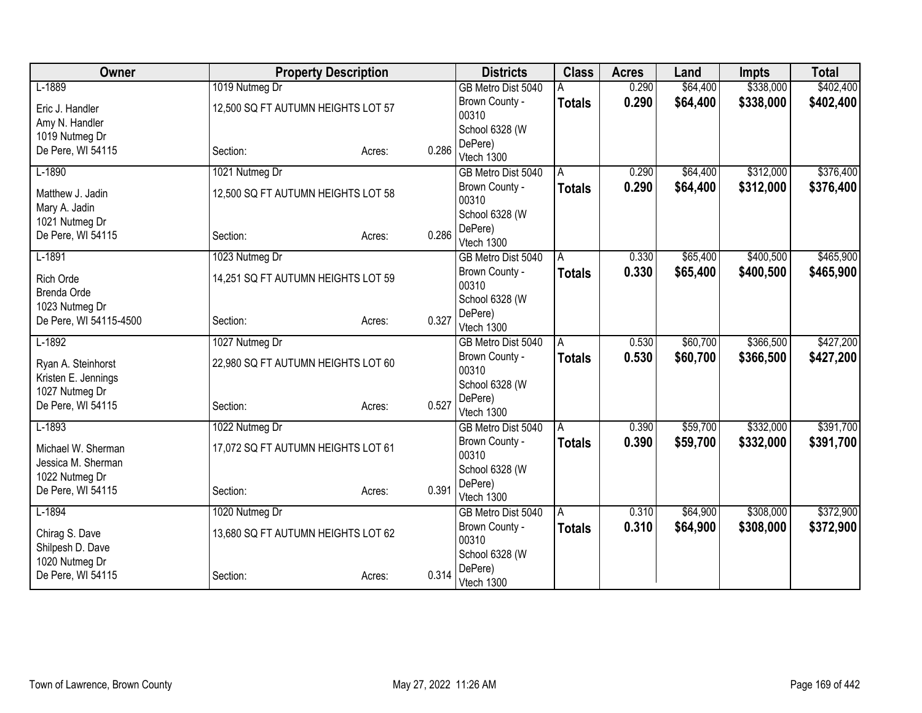| Owner                  |                                    | <b>Property Description</b> |       | <b>Districts</b>        | <b>Class</b>  | <b>Acres</b> | Land     | <b>Impts</b> | <b>Total</b> |
|------------------------|------------------------------------|-----------------------------|-------|-------------------------|---------------|--------------|----------|--------------|--------------|
| $L-1889$               | 1019 Nutmeg Dr                     |                             |       | GB Metro Dist 5040      |               | 0.290        | \$64,400 | \$338,000    | \$402,400    |
| Eric J. Handler        | 12,500 SQ FT AUTUMN HEIGHTS LOT 57 |                             |       | Brown County -          | <b>Totals</b> | 0.290        | \$64,400 | \$338,000    | \$402,400    |
| Amy N. Handler         |                                    |                             |       | 00310                   |               |              |          |              |              |
| 1019 Nutmeg Dr         |                                    |                             |       | School 6328 (W          |               |              |          |              |              |
| De Pere, WI 54115      | Section:                           | Acres:                      | 0.286 | DePere)<br>Vtech 1300   |               |              |          |              |              |
| $L-1890$               | 1021 Nutmeg Dr                     |                             |       | GB Metro Dist 5040      | A             | 0.290        | \$64,400 | \$312,000    | \$376,400    |
|                        |                                    |                             |       | Brown County -          | <b>Totals</b> | 0.290        | \$64,400 | \$312,000    | \$376,400    |
| Matthew J. Jadin       | 12,500 SQ FT AUTUMN HEIGHTS LOT 58 |                             |       | 00310                   |               |              |          |              |              |
| Mary A. Jadin          |                                    |                             |       | School 6328 (W          |               |              |          |              |              |
| 1021 Nutmeg Dr         |                                    |                             | 0.286 | DePere)                 |               |              |          |              |              |
| De Pere, WI 54115      | Section:                           | Acres:                      |       | Vtech 1300              |               |              |          |              |              |
| $L-1891$               | 1023 Nutmeg Dr                     |                             |       | GB Metro Dist 5040      | A             | 0.330        | \$65,400 | \$400,500    | \$465,900    |
| <b>Rich Orde</b>       | 14,251 SQ FT AUTUMN HEIGHTS LOT 59 |                             |       | Brown County -          | <b>Totals</b> | 0.330        | \$65,400 | \$400,500    | \$465,900    |
| Brenda Orde            |                                    |                             |       | 00310                   |               |              |          |              |              |
| 1023 Nutmeg Dr         |                                    |                             |       | School 6328 (W          |               |              |          |              |              |
| De Pere, WI 54115-4500 | Section:                           | Acres:                      | 0.327 | DePere)                 |               |              |          |              |              |
| $L-1892$               |                                    |                             |       | Vtech 1300              |               | 0.530        | \$60,700 | \$366,500    | \$427,200    |
|                        | 1027 Nutmeg Dr                     |                             |       | GB Metro Dist 5040      | Α             |              |          |              |              |
| Ryan A. Steinhorst     | 22,980 SQ FT AUTUMN HEIGHTS LOT 60 |                             |       | Brown County -<br>00310 | <b>Totals</b> | 0.530        | \$60,700 | \$366,500    | \$427,200    |
| Kristen E. Jennings    |                                    |                             |       | School 6328 (W          |               |              |          |              |              |
| 1027 Nutmeg Dr         |                                    |                             |       | DePere)                 |               |              |          |              |              |
| De Pere, WI 54115      | Section:                           | Acres:                      | 0.527 | Vtech 1300              |               |              |          |              |              |
| $L-1893$               | 1022 Nutmeg Dr                     |                             |       | GB Metro Dist 5040      | Α             | 0.390        | \$59,700 | \$332,000    | \$391,700    |
| Michael W. Sherman     | 17,072 SQ FT AUTUMN HEIGHTS LOT 61 |                             |       | Brown County -          | <b>Totals</b> | 0.390        | \$59,700 | \$332,000    | \$391,700    |
| Jessica M. Sherman     |                                    |                             |       | 00310                   |               |              |          |              |              |
| 1022 Nutmeg Dr         |                                    |                             |       | School 6328 (W          |               |              |          |              |              |
| De Pere, WI 54115      | Section:                           | Acres:                      | 0.391 | DePere)                 |               |              |          |              |              |
|                        |                                    |                             |       | Vtech 1300              |               |              |          |              |              |
| $L-1894$               | 1020 Nutmeg Dr                     |                             |       | GB Metro Dist 5040      | A             | 0.310        | \$64,900 | \$308,000    | \$372,900    |
| Chirag S. Dave         | 13,680 SQ FT AUTUMN HEIGHTS LOT 62 |                             |       | Brown County -<br>00310 | <b>Totals</b> | 0.310        | \$64,900 | \$308,000    | \$372,900    |
| Shilpesh D. Dave       |                                    |                             |       | School 6328 (W          |               |              |          |              |              |
| 1020 Nutmeg Dr         |                                    |                             |       | DePere)                 |               |              |          |              |              |
| De Pere, WI 54115      | Section:                           | Acres:                      | 0.314 | Vtech 1300              |               |              |          |              |              |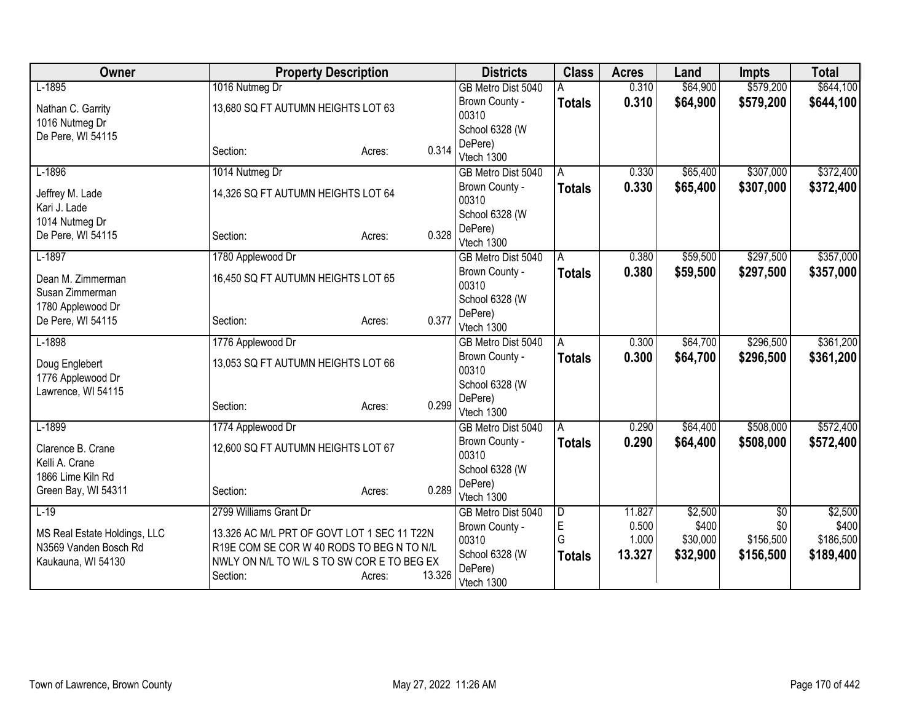| Owner                               | <b>Property Description</b>                 |                  | <b>Districts</b>                     | <b>Class</b>  | <b>Acres</b>    | Land             | <b>Impts</b> | <b>Total</b>     |
|-------------------------------------|---------------------------------------------|------------------|--------------------------------------|---------------|-----------------|------------------|--------------|------------------|
| $L-1895$                            | 1016 Nutmeg Dr                              |                  | GB Metro Dist 5040                   |               | 0.310           | \$64,900         | \$579,200    | \$644,100        |
| Nathan C. Garrity                   | 13,680 SQ FT AUTUMN HEIGHTS LOT 63          |                  | Brown County -                       | <b>Totals</b> | 0.310           | \$64,900         | \$579,200    | \$644,100        |
| 1016 Nutmeg Dr                      |                                             |                  | 00310                                |               |                 |                  |              |                  |
| De Pere, WI 54115                   |                                             |                  | School 6328 (W<br>DePere)            |               |                 |                  |              |                  |
|                                     | Section:                                    | 0.314<br>Acres:  | Vtech 1300                           |               |                 |                  |              |                  |
| $L-1896$                            | 1014 Nutmeg Dr                              |                  | GB Metro Dist 5040                   | A             | 0.330           | \$65,400         | \$307,000    | \$372,400        |
|                                     |                                             |                  | Brown County -                       | <b>Totals</b> | 0.330           | \$65,400         | \$307,000    | \$372,400        |
| Jeffrey M. Lade<br>Kari J. Lade     | 14,326 SQ FT AUTUMN HEIGHTS LOT 64          |                  | 00310                                |               |                 |                  |              |                  |
| 1014 Nutmeg Dr                      |                                             |                  | School 6328 (W                       |               |                 |                  |              |                  |
| De Pere, WI 54115                   | Section:                                    | 0.328<br>Acres:  | DePere)                              |               |                 |                  |              |                  |
| $L-1897$                            |                                             |                  | Vtech 1300                           |               | 0.380           | \$59,500         | \$297,500    | \$357,000        |
|                                     | 1780 Applewood Dr                           |                  | GB Metro Dist 5040<br>Brown County - | A             | 0.380           |                  |              |                  |
| Dean M. Zimmerman                   | 16,450 SQ FT AUTUMN HEIGHTS LOT 65          |                  | 00310                                | <b>Totals</b> |                 | \$59,500         | \$297,500    | \$357,000        |
| Susan Zimmerman                     |                                             |                  | School 6328 (W                       |               |                 |                  |              |                  |
| 1780 Applewood Dr                   |                                             |                  | DePere)                              |               |                 |                  |              |                  |
| De Pere, WI 54115                   | Section:                                    | 0.377<br>Acres:  | Vtech 1300                           |               |                 |                  |              |                  |
| $L-1898$                            | 1776 Applewood Dr                           |                  | GB Metro Dist 5040                   | A             | 0.300           | \$64,700         | \$296,500    | \$361,200        |
| Doug Englebert                      | 13,053 SQ FT AUTUMN HEIGHTS LOT 66          |                  | Brown County -                       | <b>Totals</b> | 0.300           | \$64,700         | \$296,500    | \$361,200        |
| 1776 Applewood Dr                   |                                             |                  | 00310                                |               |                 |                  |              |                  |
| Lawrence, WI 54115                  |                                             |                  | School 6328 (W<br>DePere)            |               |                 |                  |              |                  |
|                                     | Section:                                    | 0.299<br>Acres:  | Vtech 1300                           |               |                 |                  |              |                  |
| $L-1899$                            | 1774 Applewood Dr                           |                  | GB Metro Dist 5040                   | Α             | 0.290           | \$64,400         | \$508,000    | \$572,400        |
|                                     |                                             |                  | Brown County -                       | <b>Totals</b> | 0.290           | \$64,400         | \$508,000    | \$572,400        |
| Clarence B. Crane<br>Kelli A. Crane | 12,600 SQ FT AUTUMN HEIGHTS LOT 67          |                  | 00310                                |               |                 |                  |              |                  |
| 1866 Lime Kiln Rd                   |                                             |                  | School 6328 (W                       |               |                 |                  |              |                  |
| Green Bay, WI 54311                 | Section:                                    | 0.289<br>Acres:  | DePere)                              |               |                 |                  |              |                  |
|                                     |                                             |                  | Vtech 1300                           |               |                 |                  |              |                  |
| $L-19$                              | 2799 Williams Grant Dr                      |                  | GB Metro Dist 5040<br>Brown County - | D<br>E        | 11.827<br>0.500 | \$2,500<br>\$400 | \$0<br>\$0   | \$2,500<br>\$400 |
| MS Real Estate Holdings, LLC        | 13.326 AC M/L PRT OF GOVT LOT 1 SEC 11 T22N |                  | 00310                                | G             | 1.000           | \$30,000         | \$156,500    | \$186,500        |
| N3569 Vanden Bosch Rd               | R19E COM SE COR W 40 RODS TO BEG N TO N/L   |                  | School 6328 (W                       | <b>Totals</b> | 13.327          | \$32,900         | \$156,500    | \$189,400        |
| Kaukauna, WI 54130                  | NWLY ON N/L TO W/L S TO SW COR E TO BEG EX  |                  | DePere)                              |               |                 |                  |              |                  |
|                                     | Section:                                    | 13.326<br>Acres: | Vtech 1300                           |               |                 |                  |              |                  |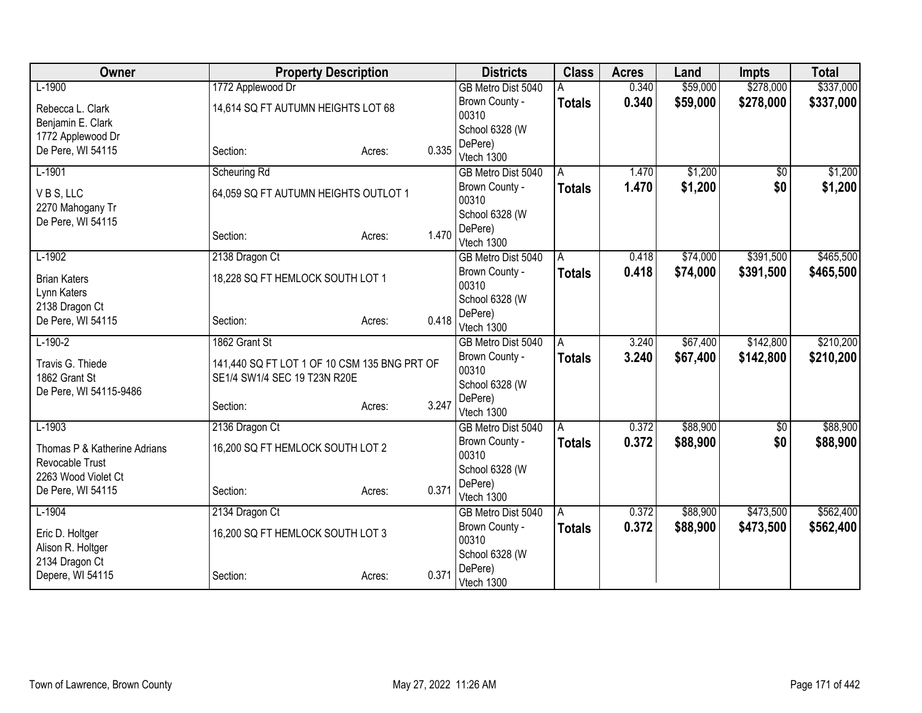| Owner                        | <b>Property Description</b>                  |                 | <b>Districts</b>                     | <b>Class</b>  | <b>Acres</b> | Land     | <b>Impts</b>    | <b>Total</b> |
|------------------------------|----------------------------------------------|-----------------|--------------------------------------|---------------|--------------|----------|-----------------|--------------|
| $L-1900$                     | 1772 Applewood Dr                            |                 | GB Metro Dist 5040                   |               | 0.340        | \$59,000 | \$278,000       | \$337,000    |
| Rebecca L. Clark             | 14,614 SQ FT AUTUMN HEIGHTS LOT 68           |                 | Brown County -                       | <b>Totals</b> | 0.340        | \$59,000 | \$278,000       | \$337,000    |
| Benjamin E. Clark            |                                              |                 | 00310                                |               |              |          |                 |              |
| 1772 Applewood Dr            |                                              |                 | School 6328 (W                       |               |              |          |                 |              |
| De Pere, WI 54115            | Section:                                     | 0.335<br>Acres: | DePere)<br>Vtech 1300                |               |              |          |                 |              |
| $L-1901$                     | Scheuring Rd                                 |                 | GB Metro Dist 5040                   | A             | 1.470        | \$1,200  | $\overline{50}$ | \$1,200      |
|                              |                                              |                 | Brown County -                       | <b>Totals</b> | 1.470        | \$1,200  | \$0             | \$1,200      |
| VBS, LLC                     | 64,059 SQ FT AUTUMN HEIGHTS OUTLOT 1         |                 | 00310                                |               |              |          |                 |              |
| 2270 Mahogany Tr             |                                              |                 | School 6328 (W                       |               |              |          |                 |              |
| De Pere, WI 54115            |                                              |                 | DePere)                              |               |              |          |                 |              |
|                              | Section:                                     | 1.470<br>Acres: | Vtech 1300                           |               |              |          |                 |              |
| $L-1902$                     | 2138 Dragon Ct                               |                 | GB Metro Dist 5040                   | A             | 0.418        | \$74,000 | \$391,500       | \$465,500    |
| <b>Brian Katers</b>          | 18,228 SQ FT HEMLOCK SOUTH LOT 1             |                 | Brown County -                       | <b>Totals</b> | 0.418        | \$74,000 | \$391,500       | \$465,500    |
| Lynn Katers                  |                                              |                 | 00310                                |               |              |          |                 |              |
| 2138 Dragon Ct               |                                              |                 | School 6328 (W                       |               |              |          |                 |              |
| De Pere, WI 54115            | Section:                                     | 0.418<br>Acres: | DePere)                              |               |              |          |                 |              |
| $L-190-2$                    | 1862 Grant St                                |                 | Vtech 1300                           |               | 3.240        | \$67,400 | \$142,800       | \$210,200    |
|                              |                                              |                 | GB Metro Dist 5040<br>Brown County - | A             | 3.240        | \$67,400 | \$142,800       |              |
| Travis G. Thiede             | 141,440 SQ FT LOT 1 OF 10 CSM 135 BNG PRT OF |                 | 00310                                | <b>Totals</b> |              |          |                 | \$210,200    |
| 1862 Grant St                | SE1/4 SW1/4 SEC 19 T23N R20E                 |                 | School 6328 (W                       |               |              |          |                 |              |
| De Pere, WI 54115-9486       |                                              |                 | DePere)                              |               |              |          |                 |              |
|                              | Section:                                     | 3.247<br>Acres: | Vtech 1300                           |               |              |          |                 |              |
| $L-1903$                     | 2136 Dragon Ct                               |                 | GB Metro Dist 5040                   | A             | 0.372        | \$88,900 | $\sqrt{6}$      | \$88,900     |
| Thomas P & Katherine Adrians | 16,200 SQ FT HEMLOCK SOUTH LOT 2             |                 | Brown County -                       | <b>Totals</b> | 0.372        | \$88,900 | \$0             | \$88,900     |
| Revocable Trust              |                                              |                 | 00310                                |               |              |          |                 |              |
| 2263 Wood Violet Ct          |                                              |                 | School 6328 (W                       |               |              |          |                 |              |
| De Pere, WI 54115            | Section:                                     | 0.371<br>Acres: | DePere)                              |               |              |          |                 |              |
| $L-1904$                     | 2134 Dragon Ct                               |                 | Vtech 1300<br>GB Metro Dist 5040     |               | 0.372        | \$88,900 | \$473,500       | \$562,400    |
|                              |                                              |                 | Brown County -                       | A             |              |          |                 |              |
| Eric D. Holtger              | 16,200 SQ FT HEMLOCK SOUTH LOT 3             |                 | 00310                                | Totals        | 0.372        | \$88,900 | \$473,500       | \$562,400    |
| Alison R. Holtger            |                                              |                 | School 6328 (W                       |               |              |          |                 |              |
| 2134 Dragon Ct               |                                              |                 | DePere)                              |               |              |          |                 |              |
| Depere, WI 54115             | Section:                                     | 0.371<br>Acres: | Vtech 1300                           |               |              |          |                 |              |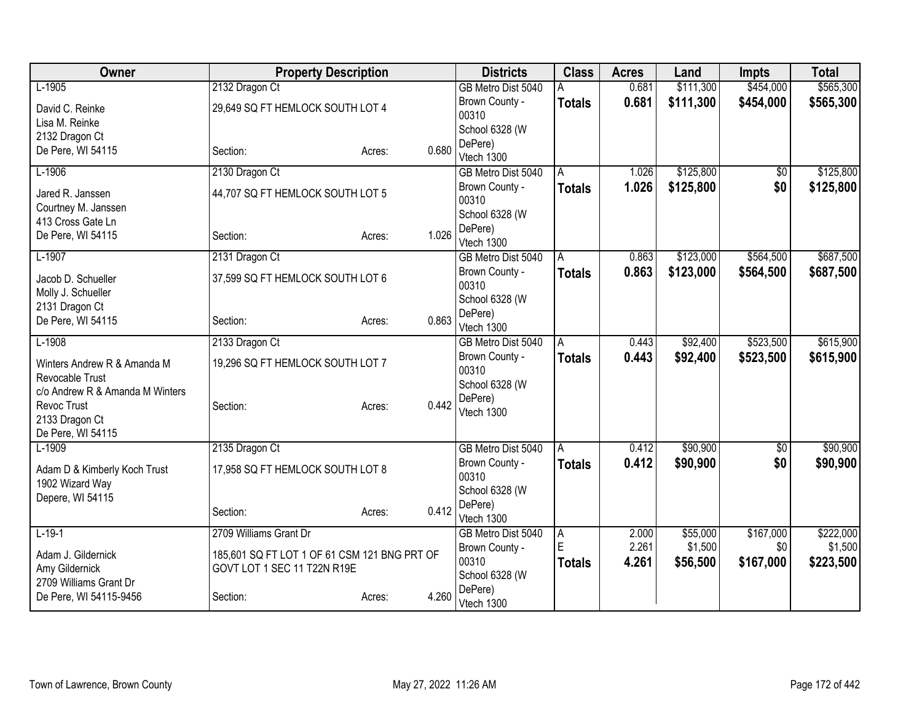| Owner                           | <b>Property Description</b>                  |                 | <b>Districts</b>          | <b>Class</b>   | <b>Acres</b> | Land      | <b>Impts</b>    | <b>Total</b> |
|---------------------------------|----------------------------------------------|-----------------|---------------------------|----------------|--------------|-----------|-----------------|--------------|
| $L-1905$                        | 2132 Dragon Ct                               |                 | GB Metro Dist 5040        | А              | 0.681        | \$111,300 | \$454,000       | \$565,300    |
| David C. Reinke                 | 29,649 SQ FT HEMLOCK SOUTH LOT 4             |                 | Brown County -            | <b>Totals</b>  | 0.681        | \$111,300 | \$454,000       | \$565,300    |
| Lisa M. Reinke                  |                                              |                 | 00310                     |                |              |           |                 |              |
| 2132 Dragon Ct                  |                                              |                 | School 6328 (W<br>DePere) |                |              |           |                 |              |
| De Pere, WI 54115               | Section:                                     | 0.680<br>Acres: | Vtech 1300                |                |              |           |                 |              |
| $L-1906$                        | 2130 Dragon Ct                               |                 | GB Metro Dist 5040        | A              | 1.026        | \$125,800 | $\sqrt{$0}$     | \$125,800    |
| Jared R. Janssen                | 44,707 SQ FT HEMLOCK SOUTH LOT 5             |                 | Brown County -            | <b>Totals</b>  | 1.026        | \$125,800 | \$0             | \$125,800    |
| Courtney M. Janssen             |                                              |                 | 00310                     |                |              |           |                 |              |
| 413 Cross Gate Ln               |                                              |                 | School 6328 (W<br>DePere) |                |              |           |                 |              |
| De Pere, WI 54115               | Section:                                     | 1.026<br>Acres: | Vtech 1300                |                |              |           |                 |              |
| $L-1907$                        | 2131 Dragon Ct                               |                 | GB Metro Dist 5040        | A              | 0.863        | \$123,000 | \$564,500       | \$687,500    |
| Jacob D. Schueller              | 37,599 SQ FT HEMLOCK SOUTH LOT 6             |                 | Brown County -            | <b>Totals</b>  | 0.863        | \$123,000 | \$564,500       | \$687,500    |
| Molly J. Schueller              |                                              |                 | 00310                     |                |              |           |                 |              |
| 2131 Dragon Ct                  |                                              |                 | School 6328 (W            |                |              |           |                 |              |
| De Pere, WI 54115               | Section:                                     | 0.863<br>Acres: | DePere)<br>Vtech 1300     |                |              |           |                 |              |
| $L-1908$                        | 2133 Dragon Ct                               |                 | GB Metro Dist 5040        | A              | 0.443        | \$92,400  | \$523,500       | \$615,900    |
| Winters Andrew R & Amanda M     | 19,296 SQ FT HEMLOCK SOUTH LOT 7             |                 | Brown County -            | <b>Totals</b>  | 0.443        | \$92,400  | \$523,500       | \$615,900    |
| Revocable Trust                 |                                              |                 | 00310                     |                |              |           |                 |              |
| c/o Andrew R & Amanda M Winters |                                              |                 | School 6328 (W            |                |              |           |                 |              |
| Revoc Trust                     | Section:                                     | 0.442<br>Acres: | DePere)                   |                |              |           |                 |              |
| 2133 Dragon Ct                  |                                              |                 | Vtech 1300                |                |              |           |                 |              |
| De Pere, WI 54115               |                                              |                 |                           |                |              |           |                 |              |
| $L-1909$                        | 2135 Dragon Ct                               |                 | GB Metro Dist 5040        | A              | 0.412        | \$90,900  | $\overline{50}$ | \$90,900     |
| Adam D & Kimberly Koch Trust    | 17,958 SQ FT HEMLOCK SOUTH LOT 8             |                 | Brown County -<br>00310   | <b>Totals</b>  | 0.412        | \$90,900  | \$0             | \$90,900     |
| 1902 Wizard Way                 |                                              |                 | School 6328 (W            |                |              |           |                 |              |
| Depere, WI 54115                |                                              |                 | DePere)                   |                |              |           |                 |              |
|                                 | Section:                                     | 0.412<br>Acres: | Vtech 1300                |                |              |           |                 |              |
| $L-19-1$                        | 2709 Williams Grant Dr                       |                 | GB Metro Dist 5040        | $\overline{A}$ | 2.000        | \$55,000  | \$167,000       | \$222,000    |
| Adam J. Gildernick              | 185,601 SQ FT LOT 1 OF 61 CSM 121 BNG PRT OF |                 | Brown County -            | E              | 2.261        | \$1,500   | \$0             | \$1,500      |
| Amy Gildernick                  | GOVT LOT 1 SEC 11 T22N R19E                  |                 | 00310                     | <b>Totals</b>  | 4.261        | \$56,500  | \$167,000       | \$223,500    |
| 2709 Williams Grant Dr          |                                              |                 | School 6328 (W            |                |              |           |                 |              |
| De Pere, WI 54115-9456          | Section:                                     | 4.260<br>Acres: | DePere)<br>Vtech 1300     |                |              |           |                 |              |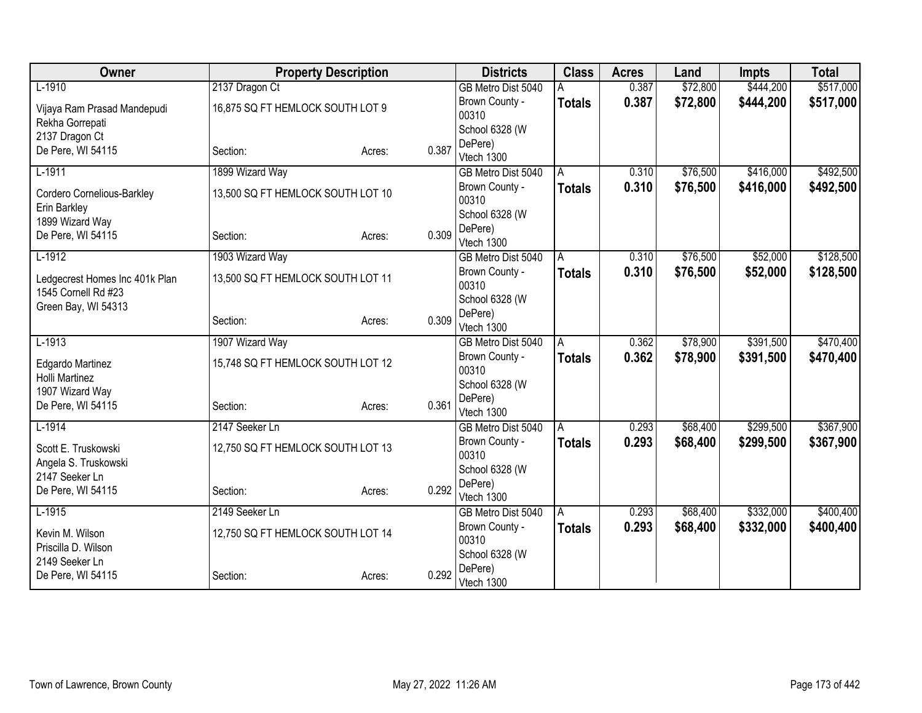| Owner                          |                                   | <b>Property Description</b> |       | <b>Districts</b>        | <b>Class</b>  | <b>Acres</b> | Land     | <b>Impts</b> | <b>Total</b> |
|--------------------------------|-----------------------------------|-----------------------------|-------|-------------------------|---------------|--------------|----------|--------------|--------------|
| $L-1910$                       | 2137 Dragon Ct                    |                             |       | GB Metro Dist 5040      |               | 0.387        | \$72,800 | \$444,200    | \$517,000    |
| Vijaya Ram Prasad Mandepudi    | 16,875 SQ FT HEMLOCK SOUTH LOT 9  |                             |       | Brown County -          | <b>Totals</b> | 0.387        | \$72,800 | \$444,200    | \$517,000    |
| Rekha Gorrepati                |                                   |                             |       | 00310                   |               |              |          |              |              |
| 2137 Dragon Ct                 |                                   |                             |       | School 6328 (W          |               |              |          |              |              |
| De Pere, WI 54115              | Section:                          | Acres:                      | 0.387 | DePere)<br>Vtech 1300   |               |              |          |              |              |
| $L-1911$                       | 1899 Wizard Way                   |                             |       | GB Metro Dist 5040      | A             | 0.310        | \$76,500 | \$416,000    | \$492,500    |
|                                |                                   |                             |       | Brown County -          | <b>Totals</b> | 0.310        | \$76,500 | \$416,000    | \$492,500    |
| Cordero Cornelious-Barkley     | 13,500 SQ FT HEMLOCK SOUTH LOT 10 |                             |       | 00310                   |               |              |          |              |              |
| Erin Barkley                   |                                   |                             |       | School 6328 (W          |               |              |          |              |              |
| 1899 Wizard Way                |                                   |                             |       | DePere)                 |               |              |          |              |              |
| De Pere, WI 54115              | Section:                          | Acres:                      | 0.309 | Vtech 1300              |               |              |          |              |              |
| $L-1912$                       | 1903 Wizard Way                   |                             |       | GB Metro Dist 5040      | A             | 0.310        | \$76,500 | \$52,000     | \$128,500    |
| Ledgecrest Homes Inc 401k Plan | 13,500 SQ FT HEMLOCK SOUTH LOT 11 |                             |       | Brown County -          | <b>Totals</b> | 0.310        | \$76,500 | \$52,000     | \$128,500    |
| 1545 Cornell Rd #23            |                                   |                             |       | 00310                   |               |              |          |              |              |
| Green Bay, WI 54313            |                                   |                             |       | School 6328 (W          |               |              |          |              |              |
|                                | Section:                          | Acres:                      | 0.309 | DePere)                 |               |              |          |              |              |
| $L-1913$                       |                                   |                             |       | Vtech 1300              |               | 0.362        | \$78,900 | \$391,500    | \$470,400    |
|                                | 1907 Wizard Way                   |                             |       | GB Metro Dist 5040      | A             | 0.362        |          |              |              |
| Edgardo Martinez               | 15,748 SQ FT HEMLOCK SOUTH LOT 12 |                             |       | Brown County -<br>00310 | <b>Totals</b> |              | \$78,900 | \$391,500    | \$470,400    |
| Holli Martinez                 |                                   |                             |       | School 6328 (W          |               |              |          |              |              |
| 1907 Wizard Way                |                                   |                             |       | DePere)                 |               |              |          |              |              |
| De Pere, WI 54115              | Section:                          | Acres:                      | 0.361 | Vtech 1300              |               |              |          |              |              |
| $L-1914$                       | 2147 Seeker Ln                    |                             |       | GB Metro Dist 5040      | A             | 0.293        | \$68,400 | \$299,500    | \$367,900    |
| Scott E. Truskowski            | 12,750 SQ FT HEMLOCK SOUTH LOT 13 |                             |       | Brown County -          | <b>Totals</b> | 0.293        | \$68,400 | \$299,500    | \$367,900    |
| Angela S. Truskowski           |                                   |                             |       | 00310                   |               |              |          |              |              |
| 2147 Seeker Ln                 |                                   |                             |       | School 6328 (W          |               |              |          |              |              |
| De Pere, WI 54115              | Section:                          | Acres:                      | 0.292 | DePere)                 |               |              |          |              |              |
|                                |                                   |                             |       | Vtech 1300              |               |              |          |              |              |
| $L-1915$                       | 2149 Seeker Ln                    |                             |       | GB Metro Dist 5040      | A             | 0.293        | \$68,400 | \$332,000    | \$400,400    |
| Kevin M. Wilson                | 12,750 SQ FT HEMLOCK SOUTH LOT 14 |                             |       | Brown County -<br>00310 | <b>Totals</b> | 0.293        | \$68,400 | \$332,000    | \$400,400    |
| Priscilla D. Wilson            |                                   |                             |       | School 6328 (W          |               |              |          |              |              |
| 2149 Seeker Ln                 |                                   |                             |       | DePere)                 |               |              |          |              |              |
| De Pere, WI 54115              | Section:                          | Acres:                      | 0.292 | Vtech 1300              |               |              |          |              |              |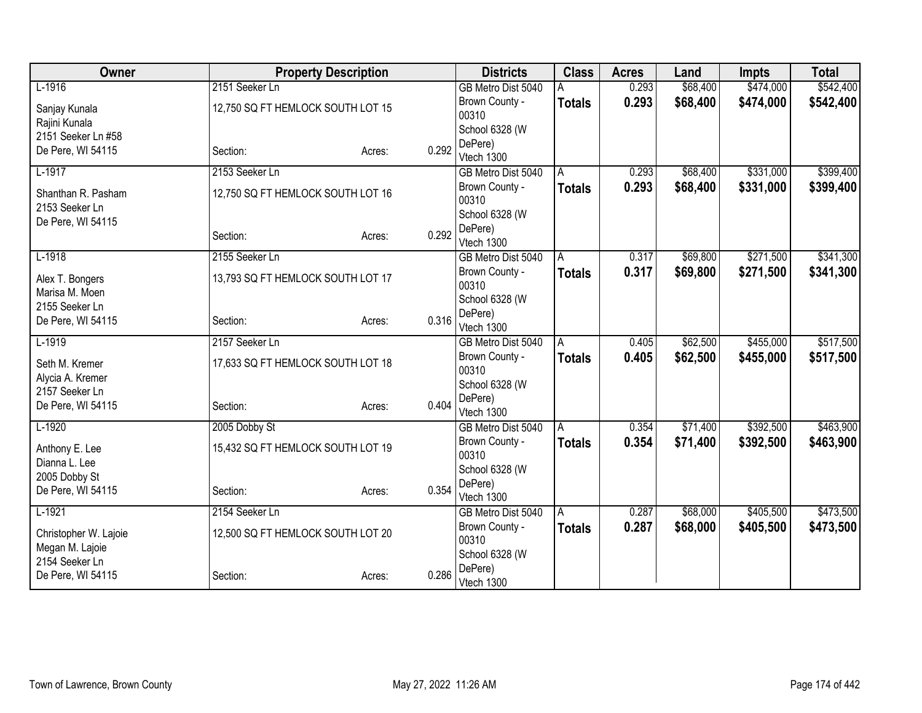| Owner                 |                                   | <b>Property Description</b> |       | <b>Districts</b>        | <b>Class</b>  | <b>Acres</b> | Land     | <b>Impts</b> | <b>Total</b> |
|-----------------------|-----------------------------------|-----------------------------|-------|-------------------------|---------------|--------------|----------|--------------|--------------|
| $L-1916$              | 2151 Seeker Ln                    |                             |       | GB Metro Dist 5040      |               | 0.293        | \$68,400 | \$474,000    | \$542,400    |
| Sanjay Kunala         | 12,750 SQ FT HEMLOCK SOUTH LOT 15 |                             |       | Brown County -          | <b>Totals</b> | 0.293        | \$68,400 | \$474,000    | \$542,400    |
| Rajini Kunala         |                                   |                             |       | 00310                   |               |              |          |              |              |
| 2151 Seeker Ln #58    |                                   |                             |       | School 6328 (W          |               |              |          |              |              |
| De Pere, WI 54115     | Section:                          | Acres:                      | 0.292 | DePere)                 |               |              |          |              |              |
|                       |                                   |                             |       | Vtech 1300              |               |              |          |              |              |
| $L-1917$              | 2153 Seeker Ln                    |                             |       | GB Metro Dist 5040      | A             | 0.293        | \$68,400 | \$331,000    | \$399,400    |
| Shanthan R. Pasham    | 12,750 SQ FT HEMLOCK SOUTH LOT 16 |                             |       | Brown County -<br>00310 | <b>Totals</b> | 0.293        | \$68,400 | \$331,000    | \$399,400    |
| 2153 Seeker Ln        |                                   |                             |       | School 6328 (W          |               |              |          |              |              |
| De Pere, WI 54115     | Section:                          |                             | 0.292 | DePere)                 |               |              |          |              |              |
|                       |                                   | Acres:                      |       | Vtech 1300              |               |              |          |              |              |
| $L-1918$              | 2155 Seeker Ln                    |                             |       | GB Metro Dist 5040      | A             | 0.317        | \$69,800 | \$271,500    | \$341,300    |
| Alex T. Bongers       | 13,793 SQ FT HEMLOCK SOUTH LOT 17 |                             |       | Brown County -          | <b>Totals</b> | 0.317        | \$69,800 | \$271,500    | \$341,300    |
| Marisa M. Moen        |                                   |                             |       | 00310                   |               |              |          |              |              |
| 2155 Seeker Ln        |                                   |                             |       | School 6328 (W          |               |              |          |              |              |
| De Pere, WI 54115     | Section:                          | Acres:                      | 0.316 | DePere)                 |               |              |          |              |              |
|                       |                                   |                             |       | Vtech 1300              |               |              |          |              |              |
| $L-1919$              | 2157 Seeker Ln                    |                             |       | GB Metro Dist 5040      | A             | 0.405        | \$62,500 | \$455,000    | \$517,500    |
| Seth M. Kremer        | 17,633 SQ FT HEMLOCK SOUTH LOT 18 |                             |       | Brown County -<br>00310 | <b>Totals</b> | 0.405        | \$62,500 | \$455,000    | \$517,500    |
| Alycia A. Kremer      |                                   |                             |       | School 6328 (W          |               |              |          |              |              |
| 2157 Seeker Ln        |                                   |                             |       | DePere)                 |               |              |          |              |              |
| De Pere, WI 54115     | Section:                          | Acres:                      | 0.404 | Vtech 1300              |               |              |          |              |              |
| $L-1920$              | 2005 Dobby St                     |                             |       | GB Metro Dist 5040      | A             | 0.354        | \$71,400 | \$392,500    | \$463,900    |
|                       |                                   |                             |       | Brown County -          | <b>Totals</b> | 0.354        | \$71,400 | \$392,500    | \$463,900    |
| Anthony E. Lee        | 15,432 SQ FT HEMLOCK SOUTH LOT 19 |                             |       | 00310                   |               |              |          |              |              |
| Dianna L. Lee         |                                   |                             |       | School 6328 (W          |               |              |          |              |              |
| 2005 Dobby St         |                                   |                             | 0.354 | DePere)                 |               |              |          |              |              |
| De Pere, WI 54115     | Section:                          | Acres:                      |       | Vtech 1300              |               |              |          |              |              |
| $L-1921$              | 2154 Seeker Ln                    |                             |       | GB Metro Dist 5040      | l A           | 0.287        | \$68,000 | \$405,500    | \$473,500    |
| Christopher W. Lajoie | 12,500 SQ FT HEMLOCK SOUTH LOT 20 |                             |       | Brown County -          | <b>Totals</b> | 0.287        | \$68,000 | \$405,500    | \$473,500    |
| Megan M. Lajoie       |                                   |                             |       | 00310                   |               |              |          |              |              |
| 2154 Seeker Ln        |                                   |                             |       | School 6328 (W          |               |              |          |              |              |
| De Pere, WI 54115     | Section:                          | Acres:                      | 0.286 | DePere)<br>Vtech 1300   |               |              |          |              |              |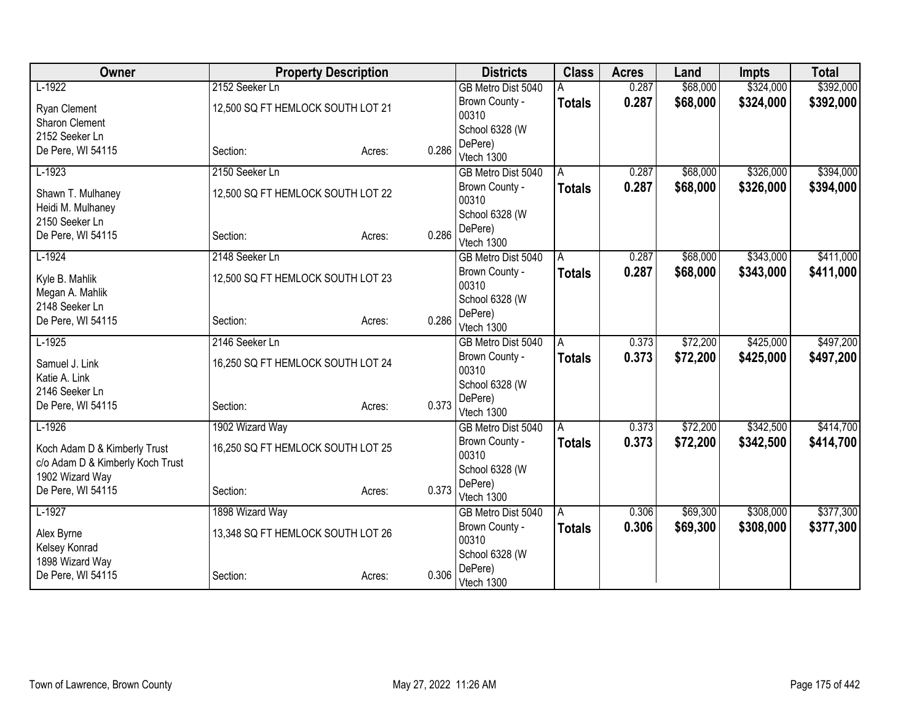| Owner                                  |                                   | <b>Property Description</b> |       | <b>Districts</b>        | <b>Class</b>  | <b>Acres</b> | Land     | <b>Impts</b> | <b>Total</b> |
|----------------------------------------|-----------------------------------|-----------------------------|-------|-------------------------|---------------|--------------|----------|--------------|--------------|
| $L-1922$                               | 2152 Seeker Ln                    |                             |       | GB Metro Dist 5040      |               | 0.287        | \$68,000 | \$324,000    | \$392,000    |
| <b>Ryan Clement</b>                    | 12,500 SQ FT HEMLOCK SOUTH LOT 21 |                             |       | Brown County -          | <b>Totals</b> | 0.287        | \$68,000 | \$324,000    | \$392,000    |
| <b>Sharon Clement</b>                  |                                   |                             |       | 00310                   |               |              |          |              |              |
| 2152 Seeker Ln                         |                                   |                             |       | School 6328 (W          |               |              |          |              |              |
| De Pere, WI 54115                      | Section:                          | Acres:                      | 0.286 | DePere)                 |               |              |          |              |              |
|                                        |                                   |                             |       | Vtech 1300              |               |              |          |              |              |
| $L-1923$                               | 2150 Seeker Ln                    |                             |       | GB Metro Dist 5040      | A             | 0.287        | \$68,000 | \$326,000    | \$394,000    |
| Shawn T. Mulhaney<br>Heidi M. Mulhaney | 12,500 SQ FT HEMLOCK SOUTH LOT 22 |                             |       | Brown County -<br>00310 | <b>Totals</b> | 0.287        | \$68,000 | \$326,000    | \$394,000    |
| 2150 Seeker Ln                         |                                   |                             |       | School 6328 (W          |               |              |          |              |              |
| De Pere, WI 54115                      | Section:                          | Acres:                      | 0.286 | DePere)                 |               |              |          |              |              |
|                                        |                                   |                             |       | Vtech 1300              |               |              |          |              |              |
| $L-1924$                               | 2148 Seeker Ln                    |                             |       | GB Metro Dist 5040      | A             | 0.287        | \$68,000 | \$343,000    | \$411,000    |
| Kyle B. Mahlik                         | 12,500 SQ FT HEMLOCK SOUTH LOT 23 |                             |       | Brown County -          | Totals        | 0.287        | \$68,000 | \$343,000    | \$411,000    |
| Megan A. Mahlik                        |                                   |                             |       | 00310                   |               |              |          |              |              |
| 2148 Seeker Ln                         |                                   |                             |       | School 6328 (W          |               |              |          |              |              |
| De Pere, WI 54115                      | Section:                          | Acres:                      | 0.286 | DePere)                 |               |              |          |              |              |
|                                        |                                   |                             |       | Vtech 1300              |               |              |          |              |              |
| $L-1925$                               | 2146 Seeker Ln                    |                             |       | GB Metro Dist 5040      | A             | 0.373        | \$72,200 | \$425,000    | \$497,200    |
| Samuel J. Link                         | 16,250 SQ FT HEMLOCK SOUTH LOT 24 |                             |       | Brown County -          | Totals        | 0.373        | \$72,200 | \$425,000    | \$497,200    |
| Katie A. Link                          |                                   |                             |       | 00310<br>School 6328 (W |               |              |          |              |              |
| 2146 Seeker Ln                         |                                   |                             |       | DePere)                 |               |              |          |              |              |
| De Pere, WI 54115                      | Section:                          | Acres:                      | 0.373 | Vtech 1300              |               |              |          |              |              |
| $L-1926$                               | 1902 Wizard Way                   |                             |       | GB Metro Dist 5040      | A             | 0.373        | \$72,200 | \$342,500    | \$414,700    |
|                                        |                                   |                             |       | Brown County -          | <b>Totals</b> | 0.373        | \$72,200 | \$342,500    | \$414,700    |
| Koch Adam D & Kimberly Trust           | 16,250 SQ FT HEMLOCK SOUTH LOT 25 |                             |       | 00310                   |               |              |          |              |              |
| c/o Adam D & Kimberly Koch Trust       |                                   |                             |       | School 6328 (W          |               |              |          |              |              |
| 1902 Wizard Way                        |                                   |                             | 0.373 | DePere)                 |               |              |          |              |              |
| De Pere, WI 54115                      | Section:                          | Acres:                      |       | Vtech 1300              |               |              |          |              |              |
| $L-1927$                               | 1898 Wizard Way                   |                             |       | GB Metro Dist 5040      | l A           | 0.306        | \$69,300 | \$308,000    | \$377,300    |
| Alex Byrne                             | 13,348 SQ FT HEMLOCK SOUTH LOT 26 |                             |       | Brown County -          | <b>Totals</b> | 0.306        | \$69,300 | \$308,000    | \$377,300    |
| Kelsey Konrad                          |                                   |                             |       | 00310                   |               |              |          |              |              |
| 1898 Wizard Way                        |                                   |                             |       | School 6328 (W          |               |              |          |              |              |
| De Pere, WI 54115                      | Section:                          | Acres:                      | 0.306 | DePere)<br>Vtech 1300   |               |              |          |              |              |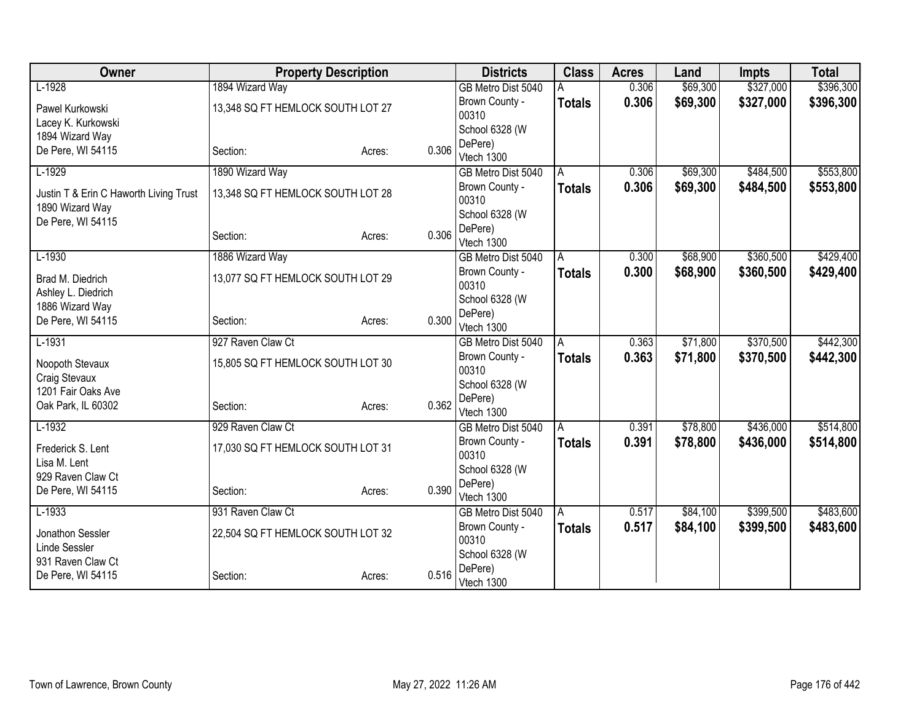| Owner                                                     | <b>Property Description</b>       |                 | <b>Districts</b>        | <b>Class</b>  | <b>Acres</b> | Land     | <b>Impts</b> | <b>Total</b> |
|-----------------------------------------------------------|-----------------------------------|-----------------|-------------------------|---------------|--------------|----------|--------------|--------------|
| $L-1928$                                                  | 1894 Wizard Way                   |                 | GB Metro Dist 5040      |               | 0.306        | \$69,300 | \$327,000    | \$396,300    |
| Pawel Kurkowski                                           | 13,348 SQ FT HEMLOCK SOUTH LOT 27 |                 | Brown County -          | <b>Totals</b> | 0.306        | \$69,300 | \$327,000    | \$396,300    |
| Lacey K. Kurkowski                                        |                                   |                 | 00310                   |               |              |          |              |              |
| 1894 Wizard Way                                           |                                   |                 | School 6328 (W          |               |              |          |              |              |
| De Pere, WI 54115                                         | Section:                          | 0.306<br>Acres: | DePere)                 |               |              |          |              |              |
|                                                           |                                   |                 | Vtech 1300              |               |              |          |              |              |
| $L-1929$                                                  | 1890 Wizard Way                   |                 | GB Metro Dist 5040      | A             | 0.306        | \$69,300 | \$484,500    | \$553,800    |
| Justin T & Erin C Haworth Living Trust<br>1890 Wizard Way | 13,348 SQ FT HEMLOCK SOUTH LOT 28 |                 | Brown County -<br>00310 | <b>Totals</b> | 0.306        | \$69,300 | \$484,500    | \$553,800    |
| De Pere, WI 54115                                         |                                   |                 | School 6328 (W          |               |              |          |              |              |
|                                                           | Section:                          | 0.306<br>Acres: | DePere)<br>Vtech 1300   |               |              |          |              |              |
| $L-1930$                                                  | 1886 Wizard Way                   |                 | GB Metro Dist 5040      | A             | 0.300        | \$68,900 | \$360,500    | \$429,400    |
| Brad M. Diedrich                                          | 13,077 SQ FT HEMLOCK SOUTH LOT 29 |                 | Brown County -<br>00310 | <b>Totals</b> | 0.300        | \$68,900 | \$360,500    | \$429,400    |
| Ashley L. Diedrich                                        |                                   |                 | School 6328 (W          |               |              |          |              |              |
| 1886 Wizard Way                                           |                                   | 0.300           | DePere)                 |               |              |          |              |              |
| De Pere, WI 54115                                         | Section:                          | Acres:          | Vtech 1300              |               |              |          |              |              |
| $L-1931$                                                  | 927 Raven Claw Ct                 |                 | GB Metro Dist 5040      | A             | 0.363        | \$71,800 | \$370,500    | \$442,300    |
| Noopoth Stevaux                                           | 15,805 SQ FT HEMLOCK SOUTH LOT 30 |                 | Brown County -<br>00310 | <b>Totals</b> | 0.363        | \$71,800 | \$370,500    | \$442,300    |
| Craig Stevaux                                             |                                   |                 | School 6328 (W          |               |              |          |              |              |
| 1201 Fair Oaks Ave<br>Oak Park, IL 60302                  |                                   | 0.362           | DePere)                 |               |              |          |              |              |
|                                                           | Section:                          | Acres:          | Vtech 1300              |               |              |          |              |              |
| $L-1932$                                                  | 929 Raven Claw Ct                 |                 | GB Metro Dist 5040      | A             | 0.391        | \$78,800 | \$436,000    | \$514,800    |
| Frederick S. Lent<br>Lisa M. Lent                         | 17,030 SQ FT HEMLOCK SOUTH LOT 31 |                 | Brown County -<br>00310 | <b>Totals</b> | 0.391        | \$78,800 | \$436,000    | \$514,800    |
| 929 Raven Claw Ct                                         |                                   |                 | School 6328 (W          |               |              |          |              |              |
| De Pere, WI 54115                                         | Section:                          | 0.390<br>Acres: | DePere)                 |               |              |          |              |              |
|                                                           |                                   |                 | Vtech 1300              |               |              |          |              |              |
| $L-1933$                                                  | 931 Raven Claw Ct                 |                 | GB Metro Dist 5040      | A             | 0.517        | \$84,100 | \$399,500    | \$483,600    |
| Jonathon Sessler                                          | 22,504 SQ FT HEMLOCK SOUTH LOT 32 |                 | Brown County -<br>00310 | <b>Totals</b> | 0.517        | \$84,100 | \$399,500    | \$483,600    |
| Linde Sessler<br>931 Raven Claw Ct                        |                                   |                 | School 6328 (W          |               |              |          |              |              |
| De Pere, WI 54115                                         | Section:                          | 0.516<br>Acres: | DePere)<br>Vtech 1300   |               |              |          |              |              |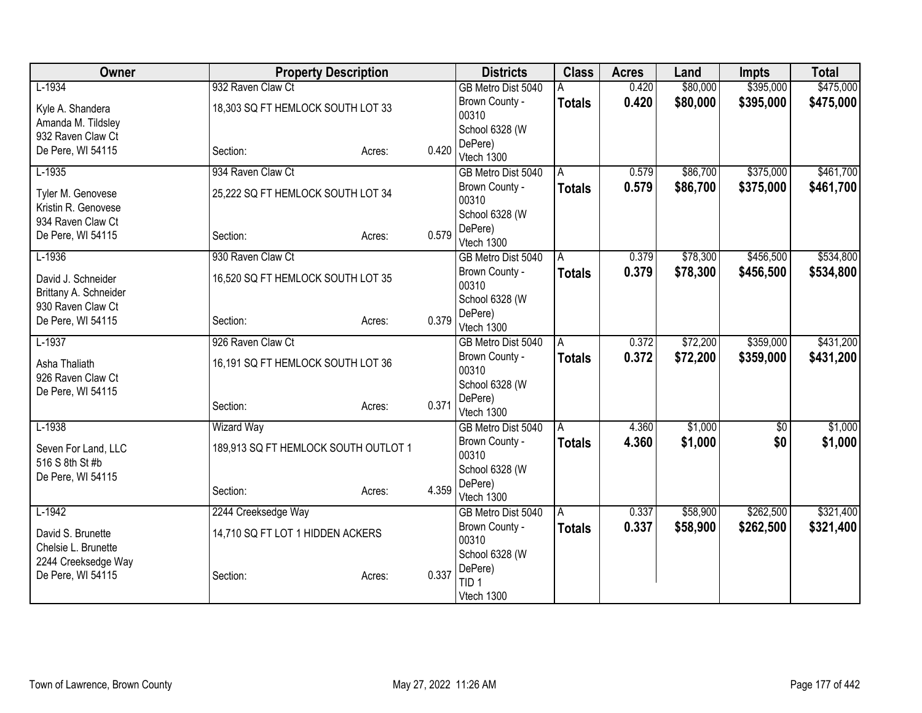| Owner                                      |                                      | <b>Property Description</b> |       | <b>Districts</b>                 | <b>Class</b>  | <b>Acres</b> | Land     | <b>Impts</b> | <b>Total</b> |
|--------------------------------------------|--------------------------------------|-----------------------------|-------|----------------------------------|---------------|--------------|----------|--------------|--------------|
| $L-1934$                                   | 932 Raven Claw Ct                    |                             |       | GB Metro Dist 5040               | Α             | 0.420        | \$80,000 | \$395,000    | \$475,000    |
| Kyle A. Shandera                           | 18,303 SQ FT HEMLOCK SOUTH LOT 33    |                             |       | Brown County -                   | <b>Totals</b> | 0.420        | \$80,000 | \$395,000    | \$475,000    |
| Amanda M. Tildsley                         |                                      |                             |       | 00310                            |               |              |          |              |              |
| 932 Raven Claw Ct                          |                                      |                             |       | School 6328 (W<br>DePere)        |               |              |          |              |              |
| De Pere, WI 54115                          | Section:                             | Acres:                      | 0.420 | Vtech 1300                       |               |              |          |              |              |
| $L-1935$                                   | 934 Raven Claw Ct                    |                             |       | GB Metro Dist 5040               | A             | 0.579        | \$86,700 | \$375,000    | \$461,700    |
| Tyler M. Genovese                          | 25,222 SQ FT HEMLOCK SOUTH LOT 34    |                             |       | Brown County -                   | <b>Totals</b> | 0.579        | \$86,700 | \$375,000    | \$461,700    |
| Kristin R. Genovese                        |                                      |                             |       | 00310                            |               |              |          |              |              |
| 934 Raven Claw Ct                          |                                      |                             |       | School 6328 (W                   |               |              |          |              |              |
| De Pere, WI 54115                          | Section:                             | Acres:                      | 0.579 | DePere)<br>Vtech 1300            |               |              |          |              |              |
| $L-1936$                                   | 930 Raven Claw Ct                    |                             |       | GB Metro Dist 5040               | A             | 0.379        | \$78,300 | \$456,500    | \$534,800    |
|                                            |                                      |                             |       | Brown County -                   | <b>Totals</b> | 0.379        | \$78,300 | \$456,500    | \$534,800    |
| David J. Schneider                         | 16,520 SQ FT HEMLOCK SOUTH LOT 35    |                             |       | 00310                            |               |              |          |              |              |
| Brittany A. Schneider<br>930 Raven Claw Ct |                                      |                             |       | School 6328 (W                   |               |              |          |              |              |
| De Pere, WI 54115                          | Section:                             | Acres:                      | 0.379 | DePere)                          |               |              |          |              |              |
|                                            |                                      |                             |       | Vtech 1300                       |               |              |          |              |              |
| $L-1937$                                   | 926 Raven Claw Ct                    |                             |       | GB Metro Dist 5040               | A             | 0.372        | \$72,200 | \$359,000    | \$431,200    |
| Asha Thaliath                              | 16,191 SQ FT HEMLOCK SOUTH LOT 36    |                             |       | Brown County -                   | Totals        | 0.372        | \$72,200 | \$359,000    | \$431,200    |
| 926 Raven Claw Ct                          |                                      |                             |       | 00310<br>School 6328 (W          |               |              |          |              |              |
| De Pere, WI 54115                          |                                      |                             |       | DePere)                          |               |              |          |              |              |
|                                            | Section:                             | Acres:                      | 0.371 | Vtech 1300                       |               |              |          |              |              |
| $L-1938$                                   | <b>Wizard Way</b>                    |                             |       | GB Metro Dist 5040               | A             | 4.360        | \$1,000  | $\sqrt{$0}$  | \$1,000      |
| Seven For Land, LLC                        | 189,913 SQ FT HEMLOCK SOUTH OUTLOT 1 |                             |       | Brown County -                   | <b>Totals</b> | 4.360        | \$1,000  | \$0          | \$1,000      |
| 516 S 8th St #b                            |                                      |                             |       | 00310                            |               |              |          |              |              |
| De Pere, WI 54115                          |                                      |                             |       | School 6328 (W                   |               |              |          |              |              |
|                                            | Section:                             | Acres:                      | 4.359 | DePere)                          |               |              |          |              |              |
| $L-1942$                                   | 2244 Creeksedge Way                  |                             |       | Vtech 1300<br>GB Metro Dist 5040 | A             | 0.337        | \$58,900 | \$262,500    | \$321,400    |
|                                            |                                      |                             |       | Brown County -                   | Totals        | 0.337        | \$58,900 | \$262,500    | \$321,400    |
| David S. Brunette                          | 14,710 SQ FT LOT 1 HIDDEN ACKERS     |                             |       | 00310                            |               |              |          |              |              |
| Chelsie L. Brunette                        |                                      |                             |       | School 6328 (W                   |               |              |          |              |              |
| 2244 Creeksedge Way<br>De Pere, WI 54115   |                                      |                             | 0.337 | DePere)                          |               |              |          |              |              |
|                                            | Section:                             | Acres:                      |       | TID <sub>1</sub>                 |               |              |          |              |              |
|                                            |                                      |                             |       | Vtech 1300                       |               |              |          |              |              |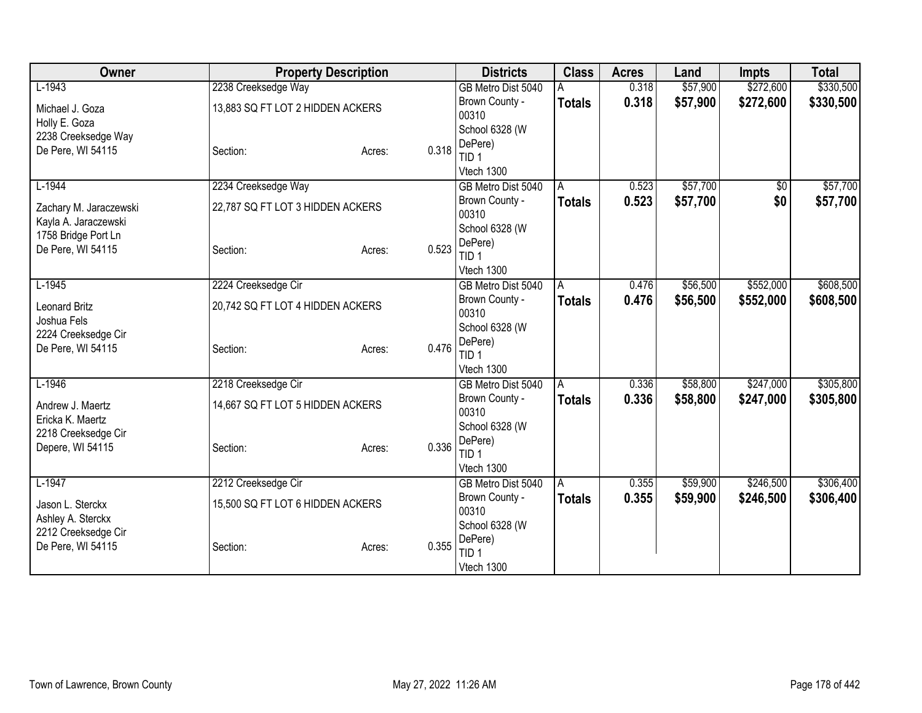| Owner                                    | <b>Property Description</b>      |        |       | <b>Districts</b>            | <b>Class</b>  | <b>Acres</b> | Land     | <b>Impts</b> | <b>Total</b> |
|------------------------------------------|----------------------------------|--------|-------|-----------------------------|---------------|--------------|----------|--------------|--------------|
| $L-1943$                                 | 2238 Creeksedge Way              |        |       | GB Metro Dist 5040          |               | 0.318        | \$57,900 | \$272,600    | \$330,500    |
| Michael J. Goza                          | 13,883 SQ FT LOT 2 HIDDEN ACKERS |        |       | Brown County -              | <b>Totals</b> | 0.318        | \$57,900 | \$272,600    | \$330,500    |
| Holly E. Goza                            |                                  |        |       | 00310                       |               |              |          |              |              |
| 2238 Creeksedge Way                      |                                  |        |       | School 6328 (W              |               |              |          |              |              |
| De Pere, WI 54115                        | Section:                         | Acres: | 0.318 | DePere)<br>TID 1            |               |              |          |              |              |
|                                          |                                  |        |       | Vtech 1300                  |               |              |          |              |              |
| $L-1944$                                 | 2234 Creeksedge Way              |        |       | GB Metro Dist 5040          | A             | 0.523        | \$57,700 | $\sqrt{6}$   | \$57,700     |
|                                          |                                  |        |       | Brown County -              | <b>Totals</b> | 0.523        | \$57,700 | \$0          | \$57,700     |
| Zachary M. Jaraczewski                   | 22,787 SQ FT LOT 3 HIDDEN ACKERS |        |       | 00310                       |               |              |          |              |              |
| Kayla A. Jaraczewski                     |                                  |        |       | School 6328 (W              |               |              |          |              |              |
| 1758 Bridge Port Ln<br>De Pere, WI 54115 |                                  |        | 0.523 | DePere)                     |               |              |          |              |              |
|                                          | Section:                         | Acres: |       | TID <sub>1</sub>            |               |              |          |              |              |
|                                          |                                  |        |       | Vtech 1300                  |               |              |          |              |              |
| $L-1945$                                 | 2224 Creeksedge Cir              |        |       | GB Metro Dist 5040          | A             | 0.476        | \$56,500 | \$552,000    | \$608,500    |
| <b>Leonard Britz</b>                     | 20,742 SQ FT LOT 4 HIDDEN ACKERS |        |       | Brown County -              | Totals        | 0.476        | \$56,500 | \$552,000    | \$608,500    |
| Joshua Fels                              |                                  |        |       | 00310                       |               |              |          |              |              |
| 2224 Creeksedge Cir                      |                                  |        |       | School 6328 (W              |               |              |          |              |              |
| De Pere, WI 54115                        | Section:                         | Acres: | 0.476 | DePere)<br>TID <sub>1</sub> |               |              |          |              |              |
|                                          |                                  |        |       | Vtech 1300                  |               |              |          |              |              |
| $L-1946$                                 | 2218 Creeksedge Cir              |        |       | GB Metro Dist 5040          | A             | 0.336        | \$58,800 | \$247,000    | \$305,800    |
|                                          |                                  |        |       | Brown County -              | <b>Totals</b> | 0.336        | \$58,800 | \$247,000    | \$305,800    |
| Andrew J. Maertz                         | 14,667 SQ FT LOT 5 HIDDEN ACKERS |        |       | 00310                       |               |              |          |              |              |
| Ericka K. Maertz                         |                                  |        |       | School 6328 (W              |               |              |          |              |              |
| 2218 Creeksedge Cir<br>Depere, WI 54115  | Section:                         | Acres: | 0.336 | DePere)                     |               |              |          |              |              |
|                                          |                                  |        |       | TID <sub>1</sub>            |               |              |          |              |              |
|                                          |                                  |        |       | Vtech 1300                  |               |              |          |              |              |
| $L-1947$                                 | 2212 Creeksedge Cir              |        |       | GB Metro Dist 5040          | A             | 0.355        | \$59,900 | \$246,500    | \$306,400    |
| Jason L. Sterckx                         | 15,500 SQ FT LOT 6 HIDDEN ACKERS |        |       | Brown County -              | <b>Totals</b> | 0.355        | \$59,900 | \$246,500    | \$306,400    |
| Ashley A. Sterckx                        |                                  |        |       | 00310                       |               |              |          |              |              |
| 2212 Creeksedge Cir                      |                                  |        |       | School 6328 (W<br>DePere)   |               |              |          |              |              |
| De Pere, WI 54115                        | Section:                         | Acres: | 0.355 | TID <sub>1</sub>            |               |              |          |              |              |
|                                          |                                  |        |       | Vtech 1300                  |               |              |          |              |              |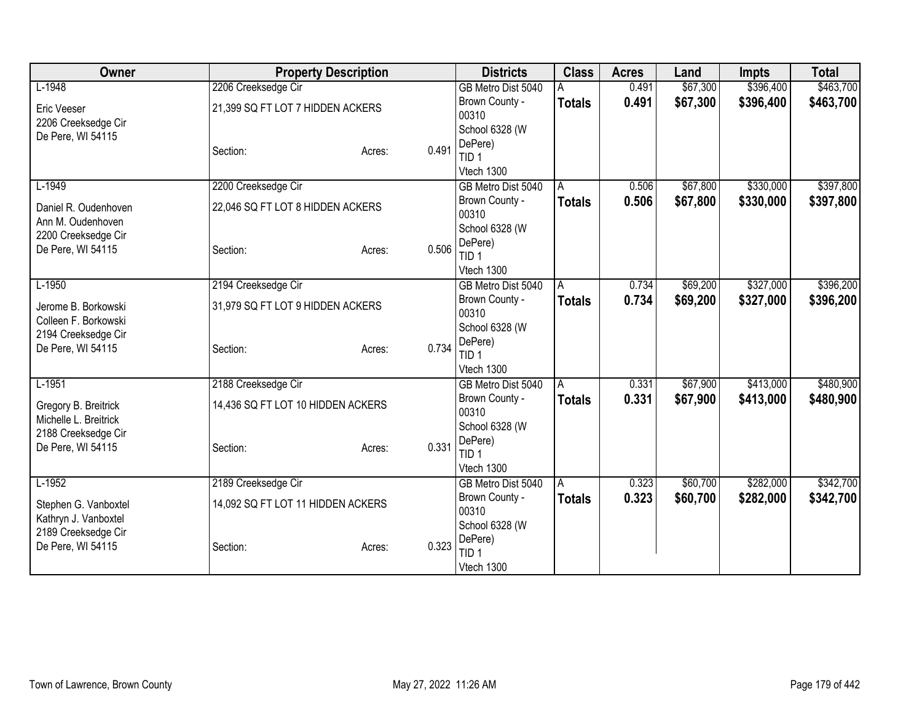| Owner                                    | <b>Property Description</b>       |        |       | <b>Districts</b>                 | <b>Class</b>  | <b>Acres</b> | Land     | <b>Impts</b> | <b>Total</b> |
|------------------------------------------|-----------------------------------|--------|-------|----------------------------------|---------------|--------------|----------|--------------|--------------|
| $L-1948$                                 | 2206 Creeksedge Cir               |        |       | GB Metro Dist 5040               |               | 0.491        | \$67,300 | \$396,400    | \$463,700    |
| Eric Veeser                              | 21,399 SQ FT LOT 7 HIDDEN ACKERS  |        |       | Brown County -                   | <b>Totals</b> | 0.491        | \$67,300 | \$396,400    | \$463,700    |
| 2206 Creeksedge Cir                      |                                   |        |       | 00310                            |               |              |          |              |              |
| De Pere, WI 54115                        |                                   |        |       | School 6328 (W                   |               |              |          |              |              |
|                                          | Section:                          | Acres: | 0.491 | DePere)<br>TID <sub>1</sub>      |               |              |          |              |              |
|                                          |                                   |        |       | Vtech 1300                       |               |              |          |              |              |
| $L-1949$                                 | 2200 Creeksedge Cir               |        |       | GB Metro Dist 5040               | A             | 0.506        | \$67,800 | \$330,000    | \$397,800    |
|                                          |                                   |        |       | Brown County -                   | <b>Totals</b> | 0.506        | \$67,800 | \$330,000    | \$397,800    |
| Daniel R. Oudenhoven                     | 22,046 SQ FT LOT 8 HIDDEN ACKERS  |        |       | 00310                            |               |              |          |              |              |
| Ann M. Oudenhoven                        |                                   |        |       | School 6328 (W                   |               |              |          |              |              |
| 2200 Creeksedge Cir<br>De Pere, WI 54115 | Section:                          | Acres: | 0.506 | DePere)                          |               |              |          |              |              |
|                                          |                                   |        |       | TID <sub>1</sub>                 |               |              |          |              |              |
|                                          |                                   |        |       | Vtech 1300                       |               |              |          |              |              |
| $L-1950$                                 | 2194 Creeksedge Cir               |        |       | GB Metro Dist 5040               | A             | 0.734        | \$69,200 | \$327,000    | \$396,200    |
| Jerome B. Borkowski                      | 31,979 SQ FT LOT 9 HIDDEN ACKERS  |        |       | Brown County -<br>00310          | <b>Totals</b> | 0.734        | \$69,200 | \$327,000    | \$396,200    |
| Colleen F. Borkowski                     |                                   |        |       | School 6328 (W                   |               |              |          |              |              |
| 2194 Creeksedge Cir                      |                                   |        |       | DePere)                          |               |              |          |              |              |
| De Pere, WI 54115                        | Section:                          | Acres: | 0.734 | TID <sub>1</sub>                 |               |              |          |              |              |
|                                          |                                   |        |       | Vtech 1300                       |               |              |          |              |              |
| $L-1951$                                 | 2188 Creeksedge Cir               |        |       | GB Metro Dist 5040               | A             | 0.331        | \$67,900 | \$413,000    | \$480,900    |
| Gregory B. Breitrick                     | 14,436 SQ FT LOT 10 HIDDEN ACKERS |        |       | Brown County -                   | <b>Totals</b> | 0.331        | \$67,900 | \$413,000    | \$480,900    |
| Michelle L. Breitrick                    |                                   |        |       | 00310                            |               |              |          |              |              |
| 2188 Creeksedge Cir                      |                                   |        |       | School 6328 (W                   |               |              |          |              |              |
| De Pere, WI 54115                        | Section:                          | Acres: | 0.331 | DePere)                          |               |              |          |              |              |
|                                          |                                   |        |       | TID <sub>1</sub>                 |               |              |          |              |              |
| $L-1952$                                 | 2189 Creeksedge Cir               |        |       | Vtech 1300<br>GB Metro Dist 5040 | A             | 0.323        | \$60,700 | \$282,000    | \$342,700    |
|                                          |                                   |        |       | Brown County -                   | <b>Totals</b> | 0.323        | \$60,700 | \$282,000    | \$342,700    |
| Stephen G. Vanboxtel                     | 14,092 SQ FT LOT 11 HIDDEN ACKERS |        |       | 00310                            |               |              |          |              |              |
| Kathryn J. Vanboxtel                     |                                   |        |       | School 6328 (W                   |               |              |          |              |              |
| 2189 Creeksedge Cir                      |                                   |        |       | DePere)                          |               |              |          |              |              |
| De Pere, WI 54115                        | Section:                          | Acres: | 0.323 | TID <sub>1</sub>                 |               |              |          |              |              |
|                                          |                                   |        |       | Vtech 1300                       |               |              |          |              |              |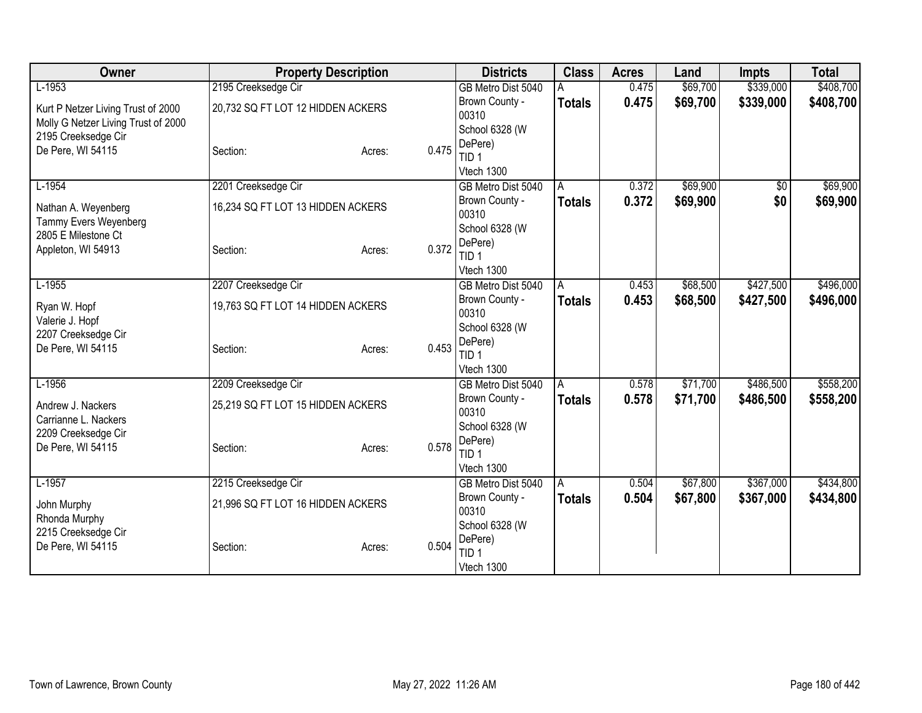| Owner                               | <b>Property Description</b>       |                 | <b>Districts</b>   | <b>Class</b>   | <b>Acres</b> | Land     | <b>Impts</b> | <b>Total</b> |
|-------------------------------------|-----------------------------------|-----------------|--------------------|----------------|--------------|----------|--------------|--------------|
| $L-1953$                            | 2195 Creeksedge Cir               |                 | GB Metro Dist 5040 |                | 0.475        | \$69,700 | \$339,000    | \$408,700    |
| Kurt P Netzer Living Trust of 2000  | 20,732 SQ FT LOT 12 HIDDEN ACKERS |                 | Brown County -     | <b>Totals</b>  | 0.475        | \$69,700 | \$339,000    | \$408,700    |
| Molly G Netzer Living Trust of 2000 |                                   |                 | 00310              |                |              |          |              |              |
| 2195 Creeksedge Cir                 |                                   |                 | School 6328 (W     |                |              |          |              |              |
| De Pere, WI 54115                   | Section:                          | 0.475<br>Acres: | DePere)<br>TID 1   |                |              |          |              |              |
|                                     |                                   |                 | Vtech 1300         |                |              |          |              |              |
| $L-1954$                            | 2201 Creeksedge Cir               |                 | GB Metro Dist 5040 | A              | 0.372        | \$69,900 | \$0          | \$69,900     |
|                                     |                                   |                 | Brown County -     | <b>Totals</b>  | 0.372        | \$69,900 | \$0          | \$69,900     |
| Nathan A. Weyenberg                 | 16,234 SQ FT LOT 13 HIDDEN ACKERS |                 | 00310              |                |              |          |              |              |
| Tammy Evers Weyenberg               |                                   |                 | School 6328 (W     |                |              |          |              |              |
| 2805 E Milestone Ct                 |                                   | 0.372           | DePere)            |                |              |          |              |              |
| Appleton, WI 54913                  | Section:                          | Acres:          | TID <sub>1</sub>   |                |              |          |              |              |
|                                     |                                   |                 | Vtech 1300         |                |              |          |              |              |
| $L-1955$                            | 2207 Creeksedge Cir               |                 | GB Metro Dist 5040 | A              | 0.453        | \$68,500 | \$427,500    | \$496,000    |
| Ryan W. Hopf                        | 19,763 SQ FT LOT 14 HIDDEN ACKERS |                 | Brown County -     | <b>Totals</b>  | 0.453        | \$68,500 | \$427,500    | \$496,000    |
| Valerie J. Hopf                     |                                   |                 | 00310              |                |              |          |              |              |
| 2207 Creeksedge Cir                 |                                   |                 | School 6328 (W     |                |              |          |              |              |
| De Pere, WI 54115                   | Section:                          | 0.453<br>Acres: | DePere)<br>TID 1   |                |              |          |              |              |
|                                     |                                   |                 | Vtech 1300         |                |              |          |              |              |
| $L-1956$                            | 2209 Creeksedge Cir               |                 | GB Metro Dist 5040 | l A            | 0.578        | \$71,700 | \$486,500    | \$558,200    |
|                                     |                                   |                 | Brown County -     | <b>Totals</b>  | 0.578        | \$71,700 | \$486,500    | \$558,200    |
| Andrew J. Nackers                   | 25,219 SQ FT LOT 15 HIDDEN ACKERS |                 | 00310              |                |              |          |              |              |
| Carrianne L. Nackers                |                                   |                 | School 6328 (W     |                |              |          |              |              |
| 2209 Creeksedge Cir                 |                                   |                 | DePere)            |                |              |          |              |              |
| De Pere, WI 54115                   | Section:                          | 0.578<br>Acres: | TID <sub>1</sub>   |                |              |          |              |              |
|                                     |                                   |                 | Vtech 1300         |                |              |          |              |              |
| $L-1957$                            | 2215 Creeksedge Cir               |                 | GB Metro Dist 5040 | $\overline{A}$ | 0.504        | \$67,800 | \$367,000    | \$434,800    |
| John Murphy                         | 21,996 SQ FT LOT 16 HIDDEN ACKERS |                 | Brown County -     | <b>Totals</b>  | 0.504        | \$67,800 | \$367,000    | \$434,800    |
| Rhonda Murphy                       |                                   |                 | 00310              |                |              |          |              |              |
| 2215 Creeksedge Cir                 |                                   |                 | School 6328 (W     |                |              |          |              |              |
| De Pere, WI 54115                   | Section:                          | 0.504<br>Acres: | DePere)            |                |              |          |              |              |
|                                     |                                   |                 | TID <sub>1</sub>   |                |              |          |              |              |
|                                     |                                   |                 | Vtech 1300         |                |              |          |              |              |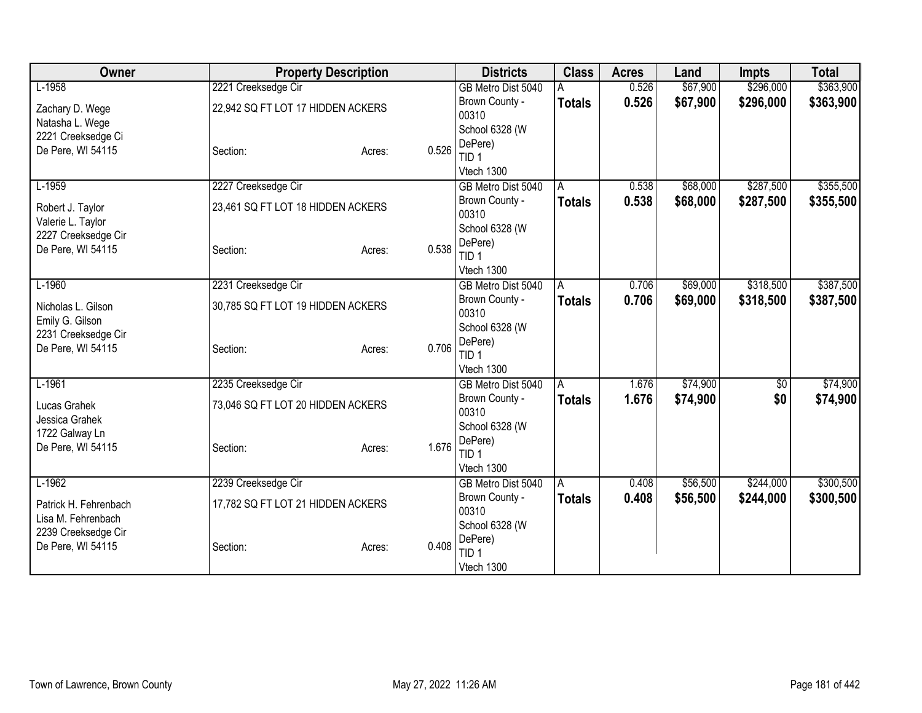| Owner                                    | <b>Property Description</b>       |                 | <b>Districts</b>               | <b>Class</b>  | <b>Acres</b> | Land     | <b>Impts</b> | <b>Total</b> |
|------------------------------------------|-----------------------------------|-----------------|--------------------------------|---------------|--------------|----------|--------------|--------------|
| $L-1958$                                 | 2221 Creeksedge Cir               |                 | GB Metro Dist 5040             |               | 0.526        | \$67,900 | \$296,000    | \$363,900    |
| Zachary D. Wege                          | 22,942 SQ FT LOT 17 HIDDEN ACKERS |                 | Brown County -                 | <b>Totals</b> | 0.526        | \$67,900 | \$296,000    | \$363,900    |
| Natasha L. Wege                          |                                   |                 | 00310                          |               |              |          |              |              |
| 2221 Creeksedge Ci                       |                                   |                 | School 6328 (W                 |               |              |          |              |              |
| De Pere, WI 54115                        | Section:                          | 0.526<br>Acres: | DePere)<br>TID <sub>1</sub>    |               |              |          |              |              |
|                                          |                                   |                 | Vtech 1300                     |               |              |          |              |              |
| $L-1959$                                 | 2227 Creeksedge Cir               |                 | GB Metro Dist 5040             | A             | 0.538        | \$68,000 | \$287,500    | \$355,500    |
|                                          |                                   |                 | Brown County -                 | <b>Totals</b> | 0.538        | \$68,000 | \$287,500    | \$355,500    |
| Robert J. Taylor                         | 23,461 SQ FT LOT 18 HIDDEN ACKERS |                 | 00310                          |               |              |          |              |              |
| Valerie L. Taylor<br>2227 Creeksedge Cir |                                   |                 | School 6328 (W                 |               |              |          |              |              |
| De Pere, WI 54115                        | Section:                          | 0.538<br>Acres: | DePere)                        |               |              |          |              |              |
|                                          |                                   |                 | TID <sub>1</sub>               |               |              |          |              |              |
|                                          |                                   |                 | Vtech 1300                     |               |              |          |              |              |
| $L-1960$                                 | 2231 Creeksedge Cir               |                 | GB Metro Dist 5040             | A             | 0.706        | \$69,000 | \$318,500    | \$387,500    |
| Nicholas L. Gilson                       | 30,785 SQ FT LOT 19 HIDDEN ACKERS |                 | Brown County -                 | <b>Totals</b> | 0.706        | \$69,000 | \$318,500    | \$387,500    |
| Emily G. Gilson                          |                                   |                 | 00310<br>School 6328 (W        |               |              |          |              |              |
| 2231 Creeksedge Cir                      |                                   |                 | DePere)                        |               |              |          |              |              |
| De Pere, WI 54115                        | Section:                          | 0.706<br>Acres: | TID <sub>1</sub>               |               |              |          |              |              |
|                                          |                                   |                 | Vtech 1300                     |               |              |          |              |              |
| $L-1961$                                 | 2235 Creeksedge Cir               |                 | GB Metro Dist 5040             | A             | 1.676        | \$74,900 | \$0          | \$74,900     |
| Lucas Grahek                             | 73,046 SQ FT LOT 20 HIDDEN ACKERS |                 | Brown County -                 | <b>Totals</b> | 1.676        | \$74,900 | \$0          | \$74,900     |
| Jessica Grahek                           |                                   |                 | 00310                          |               |              |          |              |              |
| 1722 Galway Ln                           |                                   |                 | School 6328 (W                 |               |              |          |              |              |
| De Pere, WI 54115                        | Section:                          | Acres:          | DePere)<br>1.676               |               |              |          |              |              |
|                                          |                                   |                 | TID <sub>1</sub><br>Vtech 1300 |               |              |          |              |              |
| $L-1962$                                 | 2239 Creeksedge Cir               |                 | GB Metro Dist 5040             | A             | 0.408        | \$56,500 | \$244,000    | \$300,500    |
|                                          |                                   |                 | Brown County -                 | <b>Totals</b> | 0.408        | \$56,500 | \$244,000    | \$300,500    |
| Patrick H. Fehrenbach                    | 17,782 SQ FT LOT 21 HIDDEN ACKERS |                 | 00310                          |               |              |          |              |              |
| Lisa M. Fehrenbach                       |                                   |                 | School 6328 (W                 |               |              |          |              |              |
| 2239 Creeksedge Cir                      |                                   |                 | DePere)                        |               |              |          |              |              |
| De Pere, WI 54115                        | Section:                          | 0.408<br>Acres: | TID <sub>1</sub>               |               |              |          |              |              |
|                                          |                                   |                 | Vtech 1300                     |               |              |          |              |              |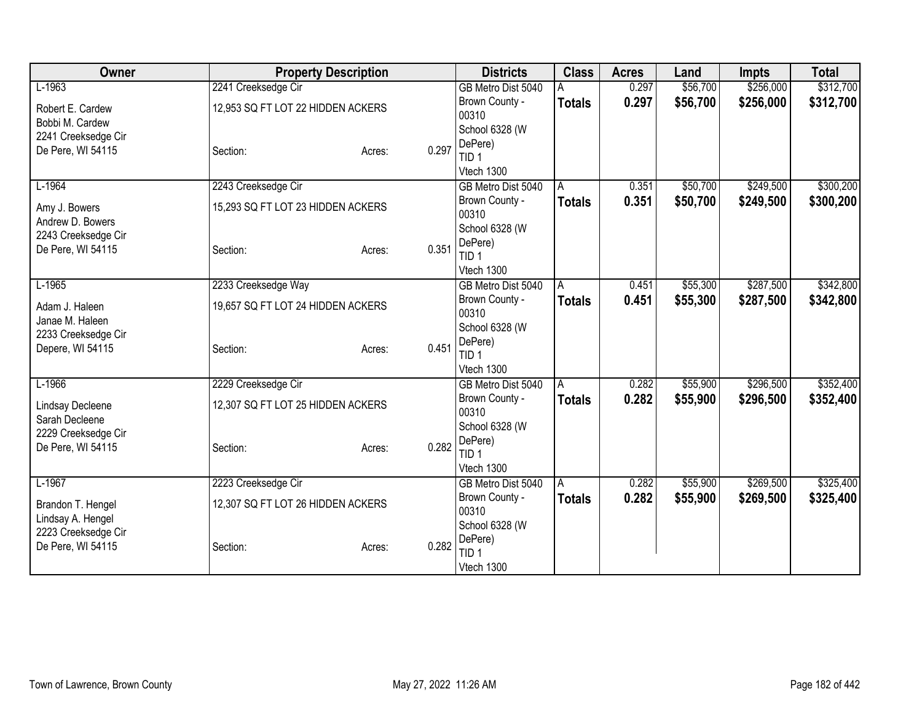| Owner                                    | <b>Property Description</b>       |                 | <b>Districts</b>            | <b>Class</b>  | <b>Acres</b> | Land     | <b>Impts</b> | <b>Total</b> |
|------------------------------------------|-----------------------------------|-----------------|-----------------------------|---------------|--------------|----------|--------------|--------------|
| $L-1963$                                 | 2241 Creeksedge Cir               |                 | GB Metro Dist 5040          |               | 0.297        | \$56,700 | \$256,000    | \$312,700    |
| Robert E. Cardew                         | 12,953 SQ FT LOT 22 HIDDEN ACKERS |                 | Brown County -              | <b>Totals</b> | 0.297        | \$56,700 | \$256,000    | \$312,700    |
| Bobbi M. Cardew                          |                                   |                 | 00310                       |               |              |          |              |              |
| 2241 Creeksedge Cir                      |                                   |                 | School 6328 (W              |               |              |          |              |              |
| De Pere, WI 54115                        | Section:                          | 0.297<br>Acres: | DePere)                     |               |              |          |              |              |
|                                          |                                   |                 | TID 1<br>Vtech 1300         |               |              |          |              |              |
| $L-1964$                                 | 2243 Creeksedge Cir               |                 | GB Metro Dist 5040          | A             | 0.351        | \$50,700 | \$249,500    | \$300,200    |
|                                          |                                   |                 | Brown County -              | <b>Totals</b> | 0.351        | \$50,700 | \$249,500    | \$300,200    |
| Amy J. Bowers                            | 15,293 SQ FT LOT 23 HIDDEN ACKERS |                 | 00310                       |               |              |          |              |              |
| Andrew D. Bowers                         |                                   |                 | School 6328 (W              |               |              |          |              |              |
| 2243 Creeksedge Cir                      |                                   |                 | DePere)                     |               |              |          |              |              |
| De Pere, WI 54115                        | Section:                          | 0.351<br>Acres: | TID <sub>1</sub>            |               |              |          |              |              |
|                                          |                                   |                 | Vtech 1300                  |               |              |          |              |              |
| $L-1965$                                 | 2233 Creeksedge Way               |                 | GB Metro Dist 5040          | A             | 0.451        | \$55,300 | \$287,500    | \$342,800    |
| Adam J. Haleen                           | 19,657 SQ FT LOT 24 HIDDEN ACKERS |                 | Brown County -              | <b>Totals</b> | 0.451        | \$55,300 | \$287,500    | \$342,800    |
| Janae M. Haleen                          |                                   |                 | 00310                       |               |              |          |              |              |
| 2233 Creeksedge Cir                      |                                   |                 | School 6328 (W              |               |              |          |              |              |
| Depere, WI 54115                         | Section:                          | 0.451<br>Acres: | DePere)<br>TID <sub>1</sub> |               |              |          |              |              |
|                                          |                                   |                 | Vtech 1300                  |               |              |          |              |              |
| $L-1966$                                 | 2229 Creeksedge Cir               |                 | GB Metro Dist 5040          | A             | 0.282        | \$55,900 | \$296,500    | \$352,400    |
|                                          |                                   |                 | Brown County -              | <b>Totals</b> | 0.282        | \$55,900 | \$296,500    | \$352,400    |
| <b>Lindsay Decleene</b>                  | 12,307 SQ FT LOT 25 HIDDEN ACKERS |                 | 00310                       |               |              |          |              |              |
| Sarah Decleene                           |                                   |                 | School 6328 (W              |               |              |          |              |              |
| 2229 Creeksedge Cir<br>De Pere, WI 54115 | Section:                          | 0.282           | DePere)                     |               |              |          |              |              |
|                                          |                                   | Acres:          | TID <sub>1</sub>            |               |              |          |              |              |
|                                          |                                   |                 | Vtech 1300                  |               |              |          |              |              |
| $L-1967$                                 | 2223 Creeksedge Cir               |                 | GB Metro Dist 5040          | A             | 0.282        | \$55,900 | \$269,500    | \$325,400    |
| Brandon T. Hengel                        | 12,307 SQ FT LOT 26 HIDDEN ACKERS |                 | Brown County -              | <b>Totals</b> | 0.282        | \$55,900 | \$269,500    | \$325,400    |
| Lindsay A. Hengel                        |                                   |                 | 00310                       |               |              |          |              |              |
| 2223 Creeksedge Cir                      |                                   |                 | School 6328 (W<br>DePere)   |               |              |          |              |              |
| De Pere, WI 54115                        | Section:                          | 0.282<br>Acres: | TID <sub>1</sub>            |               |              |          |              |              |
|                                          |                                   |                 | Vtech 1300                  |               |              |          |              |              |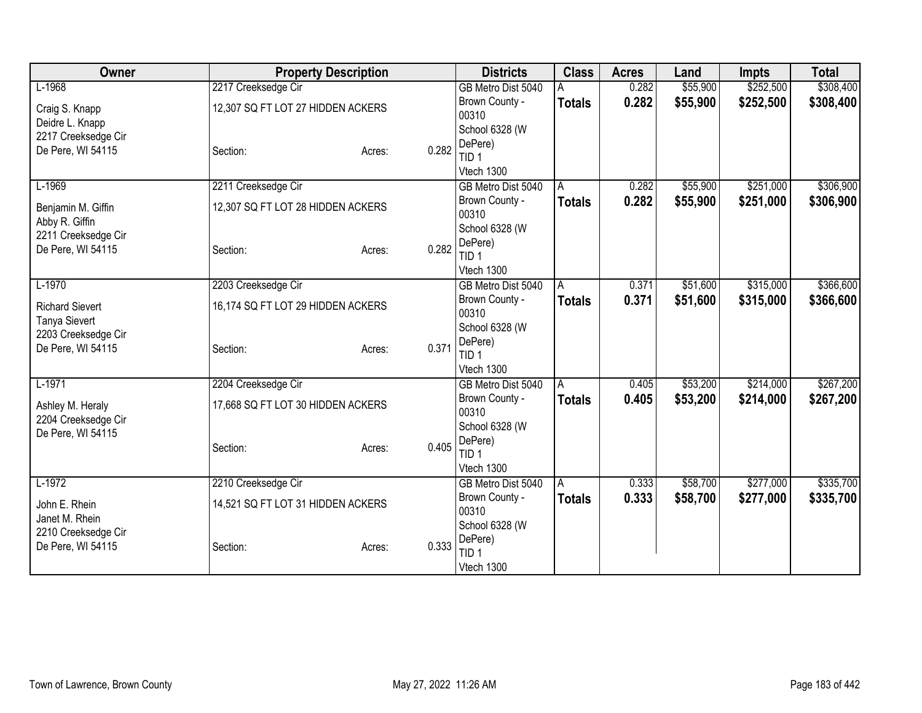| Owner                                    |                                   | <b>Property Description</b> |       | <b>Districts</b>            | <b>Class</b>  | <b>Acres</b> | Land     | <b>Impts</b> | <b>Total</b> |
|------------------------------------------|-----------------------------------|-----------------------------|-------|-----------------------------|---------------|--------------|----------|--------------|--------------|
| $L-1968$                                 | 2217 Creeksedge Cir               |                             |       | GB Metro Dist 5040          |               | 0.282        | \$55,900 | \$252,500    | \$308,400    |
| Craig S. Knapp                           | 12,307 SQ FT LOT 27 HIDDEN ACKERS |                             |       | Brown County -              | <b>Totals</b> | 0.282        | \$55,900 | \$252,500    | \$308,400    |
| Deidre L. Knapp                          |                                   |                             |       | 00310                       |               |              |          |              |              |
| 2217 Creeksedge Cir                      |                                   |                             |       | School 6328 (W              |               |              |          |              |              |
| De Pere, WI 54115                        | Section:                          | Acres:                      | 0.282 | DePere)<br>TID <sub>1</sub> |               |              |          |              |              |
|                                          |                                   |                             |       | Vtech 1300                  |               |              |          |              |              |
| $L-1969$                                 | 2211 Creeksedge Cir               |                             |       | GB Metro Dist 5040          | A             | 0.282        | \$55,900 | \$251,000    | \$306,900    |
|                                          |                                   |                             |       | Brown County -              | <b>Totals</b> | 0.282        | \$55,900 | \$251,000    | \$306,900    |
| Benjamin M. Giffin                       | 12,307 SQ FT LOT 28 HIDDEN ACKERS |                             |       | 00310                       |               |              |          |              |              |
| Abby R. Giffin                           |                                   |                             |       | School 6328 (W              |               |              |          |              |              |
| 2211 Creeksedge Cir<br>De Pere, WI 54115 | Section:                          | Acres:                      | 0.282 | DePere)                     |               |              |          |              |              |
|                                          |                                   |                             |       | TID <sub>1</sub>            |               |              |          |              |              |
|                                          |                                   |                             |       | Vtech 1300                  |               |              |          |              |              |
| $L-1970$                                 | 2203 Creeksedge Cir               |                             |       | GB Metro Dist 5040          | A             | 0.371        | \$51,600 | \$315,000    | \$366,600    |
| <b>Richard Sievert</b>                   | 16,174 SQ FT LOT 29 HIDDEN ACKERS |                             |       | Brown County -              | <b>Totals</b> | 0.371        | \$51,600 | \$315,000    | \$366,600    |
| <b>Tanya Sievert</b>                     |                                   |                             |       | 00310<br>School 6328 (W     |               |              |          |              |              |
| 2203 Creeksedge Cir                      |                                   |                             |       | DePere)                     |               |              |          |              |              |
| De Pere, WI 54115                        | Section:                          | Acres:                      | 0.371 | TID <sub>1</sub>            |               |              |          |              |              |
|                                          |                                   |                             |       | Vtech 1300                  |               |              |          |              |              |
| $L-1971$                                 | 2204 Creeksedge Cir               |                             |       | GB Metro Dist 5040          | A             | 0.405        | \$53,200 | \$214,000    | \$267,200    |
|                                          | 17,668 SQ FT LOT 30 HIDDEN ACKERS |                             |       | Brown County -              | <b>Totals</b> | 0.405        | \$53,200 | \$214,000    | \$267,200    |
| Ashley M. Heraly<br>2204 Creeksedge Cir  |                                   |                             |       | 00310                       |               |              |          |              |              |
| De Pere, WI 54115                        |                                   |                             |       | School 6328 (W              |               |              |          |              |              |
|                                          | Section:                          | Acres:                      | 0.405 | DePere)                     |               |              |          |              |              |
|                                          |                                   |                             |       | TID <sub>1</sub>            |               |              |          |              |              |
|                                          |                                   |                             |       | Vtech 1300                  |               |              |          |              |              |
| $L-1972$                                 | 2210 Creeksedge Cir               |                             |       | GB Metro Dist 5040          | A             | 0.333        | \$58,700 | \$277,000    | \$335,700    |
| John E. Rhein                            | 14,521 SQ FT LOT 31 HIDDEN ACKERS |                             |       | Brown County -<br>00310     | <b>Totals</b> | 0.333        | \$58,700 | \$277,000    | \$335,700    |
| Janet M. Rhein                           |                                   |                             |       | School 6328 (W              |               |              |          |              |              |
| 2210 Creeksedge Cir                      |                                   |                             |       | DePere)                     |               |              |          |              |              |
| De Pere, WI 54115                        | Section:                          | Acres:                      | 0.333 | TID <sub>1</sub>            |               |              |          |              |              |
|                                          |                                   |                             |       | Vtech 1300                  |               |              |          |              |              |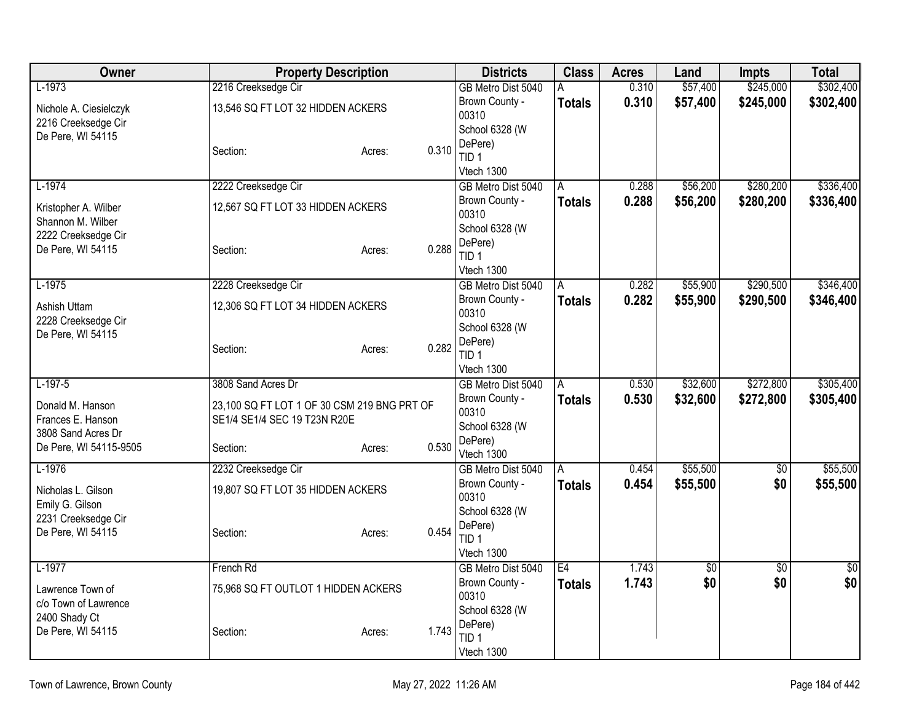| Owner                                     |                                             | <b>Property Description</b> |       | <b>Districts</b>            | <b>Class</b>  | <b>Acres</b> | Land     | <b>Impts</b>    | <b>Total</b> |
|-------------------------------------------|---------------------------------------------|-----------------------------|-------|-----------------------------|---------------|--------------|----------|-----------------|--------------|
| $L-1973$                                  | 2216 Creeksedge Cir                         |                             |       | GB Metro Dist 5040          | A             | 0.310        | \$57,400 | \$245,000       | \$302,400    |
| Nichole A. Ciesielczyk                    | 13,546 SQ FT LOT 32 HIDDEN ACKERS           |                             |       | Brown County -<br>00310     | <b>Totals</b> | 0.310        | \$57,400 | \$245,000       | \$302,400    |
| 2216 Creeksedge Cir<br>De Pere, WI 54115  |                                             |                             |       | School 6328 (W              |               |              |          |                 |              |
|                                           | Section:                                    | Acres:                      | 0.310 | DePere)<br>TID <sub>1</sub> |               |              |          |                 |              |
|                                           |                                             |                             |       | Vtech 1300                  |               |              |          |                 |              |
| $L-1974$                                  | 2222 Creeksedge Cir                         |                             |       | GB Metro Dist 5040          | A             | 0.288        | \$56,200 | \$280,200       | \$336,400    |
| Kristopher A. Wilber<br>Shannon M. Wilber | 12,567 SQ FT LOT 33 HIDDEN ACKERS           |                             |       | Brown County -<br>00310     | <b>Totals</b> | 0.288        | \$56,200 | \$280,200       | \$336,400    |
| 2222 Creeksedge Cir                       |                                             |                             |       | School 6328 (W              |               |              |          |                 |              |
| De Pere, WI 54115                         | Section:                                    | Acres:                      | 0.288 | DePere)<br>TID <sub>1</sub> |               |              |          |                 |              |
|                                           |                                             |                             |       | Vtech 1300                  |               |              |          |                 |              |
| $L-1975$                                  | 2228 Creeksedge Cir                         |                             |       | GB Metro Dist 5040          | A             | 0.282        | \$55,900 | \$290,500       | \$346,400    |
| Ashish Uttam<br>2228 Creeksedge Cir       | 12,306 SQ FT LOT 34 HIDDEN ACKERS           |                             |       | Brown County -<br>00310     | <b>Totals</b> | 0.282        | \$55,900 | \$290,500       | \$346,400    |
| De Pere, WI 54115                         |                                             |                             |       | School 6328 (W              |               |              |          |                 |              |
|                                           | Section:                                    | Acres:                      | 0.282 | DePere)<br>TID <sub>1</sub> |               |              |          |                 |              |
|                                           |                                             |                             |       | Vtech 1300                  |               |              |          |                 |              |
| $L-197-5$                                 | 3808 Sand Acres Dr                          |                             |       | GB Metro Dist 5040          | Α             | 0.530        | \$32,600 | \$272,800       | \$305,400    |
| Donald M. Hanson                          | 23,100 SQ FT LOT 1 OF 30 CSM 219 BNG PRT OF |                             |       | Brown County -<br>00310     | <b>Totals</b> | 0.530        | \$32,600 | \$272,800       | \$305,400    |
| Frances E. Hanson                         | SE1/4 SE1/4 SEC 19 T23N R20E                |                             |       | School 6328 (W              |               |              |          |                 |              |
| 3808 Sand Acres Dr                        |                                             |                             |       | DePere)                     |               |              |          |                 |              |
| De Pere, WI 54115-9505                    | Section:                                    | Acres:                      | 0.530 | Vtech 1300                  |               |              |          |                 |              |
| $L-1976$                                  | 2232 Creeksedge Cir                         |                             |       | GB Metro Dist 5040          | A             | 0.454        | \$55,500 | $\overline{50}$ | \$55,500     |
| Nicholas L. Gilson                        | 19,807 SQ FT LOT 35 HIDDEN ACKERS           |                             |       | Brown County -              | <b>Totals</b> | 0.454        | \$55,500 | \$0             | \$55,500     |
| Emily G. Gilson                           |                                             |                             |       | 00310                       |               |              |          |                 |              |
| 2231 Creeksedge Cir                       |                                             |                             |       | School 6328 (W<br>DePere)   |               |              |          |                 |              |
| De Pere, WI 54115                         | Section:                                    | Acres:                      | 0.454 | TID <sub>1</sub>            |               |              |          |                 |              |
|                                           |                                             |                             |       | Vtech 1300                  |               |              |          |                 |              |
| $L-1977$                                  | French Rd                                   |                             |       | GB Metro Dist 5040          | E4            | 1.743        | \$0      | \$0             | \$0          |
| Lawrence Town of                          | 75,968 SQ FT OUTLOT 1 HIDDEN ACKERS         |                             |       | Brown County -              | <b>Totals</b> | 1.743        | \$0      | \$0             | \$0          |
| c/o Town of Lawrence                      |                                             |                             |       | 00310                       |               |              |          |                 |              |
| 2400 Shady Ct                             |                                             |                             |       | School 6328 (W<br>DePere)   |               |              |          |                 |              |
| De Pere, WI 54115                         | Section:                                    | Acres:                      | 1.743 | TID <sub>1</sub>            |               |              |          |                 |              |
|                                           |                                             |                             |       | Vtech 1300                  |               |              |          |                 |              |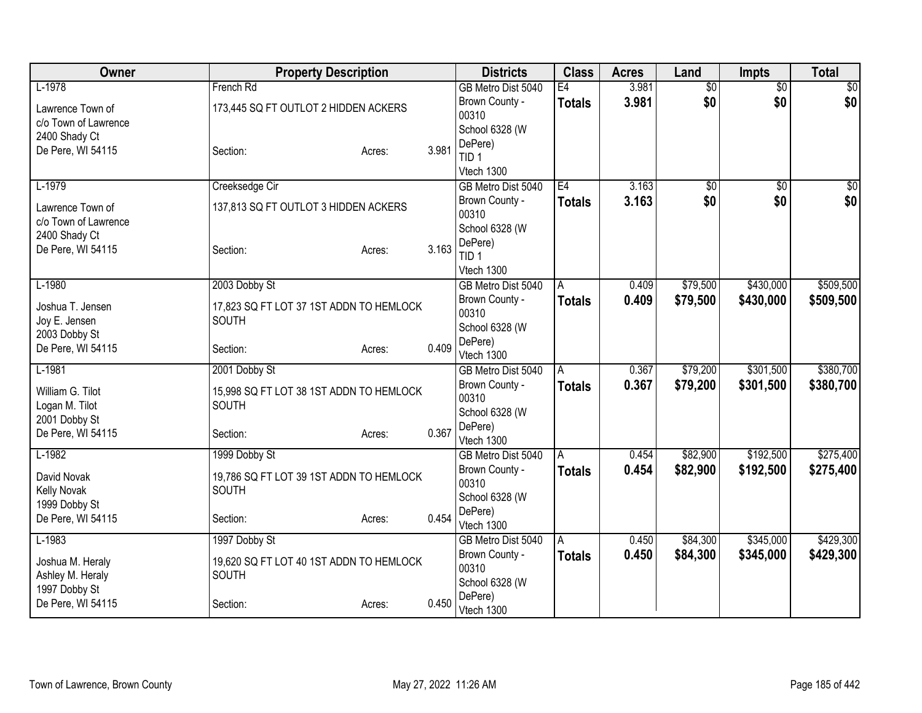| Owner                | <b>Property Description</b>             |        |       | <b>Districts</b>            | <b>Class</b>   | <b>Acres</b> | Land            | Impts           | <b>Total</b> |
|----------------------|-----------------------------------------|--------|-------|-----------------------------|----------------|--------------|-----------------|-----------------|--------------|
| $L-1978$             | French Rd                               |        |       | GB Metro Dist 5040          | E4             | 3.981        | $\overline{50}$ | $\overline{50}$ | \$0          |
| Lawrence Town of     | 173,445 SQ FT OUTLOT 2 HIDDEN ACKERS    |        |       | Brown County -              | <b>Totals</b>  | 3.981        | \$0             | \$0             | \$0          |
| c/o Town of Lawrence |                                         |        |       | 00310                       |                |              |                 |                 |              |
| 2400 Shady Ct        |                                         |        |       | School 6328 (W              |                |              |                 |                 |              |
| De Pere, WI 54115    | Section:                                | Acres: | 3.981 | DePere)<br>TID <sub>1</sub> |                |              |                 |                 |              |
|                      |                                         |        |       | Vtech 1300                  |                |              |                 |                 |              |
| $L-1979$             | Creeksedge Cir                          |        |       | GB Metro Dist 5040          | E4             | 3.163        | $\overline{50}$ | $\overline{50}$ | \$0          |
|                      |                                         |        |       | Brown County -              | <b>Totals</b>  | 3.163        | \$0             | \$0             | \$0          |
| Lawrence Town of     | 137,813 SQ FT OUTLOT 3 HIDDEN ACKERS    |        |       | 00310                       |                |              |                 |                 |              |
| c/o Town of Lawrence |                                         |        |       | School 6328 (W              |                |              |                 |                 |              |
| 2400 Shady Ct        |                                         |        |       | DePere)                     |                |              |                 |                 |              |
| De Pere, WI 54115    | Section:                                | Acres: | 3.163 | TID <sub>1</sub>            |                |              |                 |                 |              |
|                      |                                         |        |       | Vtech 1300                  |                |              |                 |                 |              |
| $L-1980$             | 2003 Dobby St                           |        |       | GB Metro Dist 5040          | l A            | 0.409        | \$79,500        | \$430,000       | \$509,500    |
| Joshua T. Jensen     | 17,823 SQ FT LOT 37 1ST ADDN TO HEMLOCK |        |       | Brown County -              | <b>Totals</b>  | 0.409        | \$79,500        | \$430,000       | \$509,500    |
| Joy E. Jensen        | <b>SOUTH</b>                            |        |       | 00310                       |                |              |                 |                 |              |
| 2003 Dobby St        |                                         |        |       | School 6328 (W              |                |              |                 |                 |              |
| De Pere, WI 54115    | Section:                                | Acres: | 0.409 | DePere)<br>Vtech 1300       |                |              |                 |                 |              |
| $L-1981$             | 2001 Dobby St                           |        |       | GB Metro Dist 5040          | $\overline{A}$ | 0.367        | \$79,200        | \$301,500       | \$380,700    |
|                      |                                         |        |       | Brown County -              | <b>Totals</b>  | 0.367        | \$79,200        | \$301,500       | \$380,700    |
| William G. Tilot     | 15,998 SQ FT LOT 38 1ST ADDN TO HEMLOCK |        |       | 00310                       |                |              |                 |                 |              |
| Logan M. Tilot       | SOUTH                                   |        |       | School 6328 (W              |                |              |                 |                 |              |
| 2001 Dobby St        |                                         |        |       | DePere)                     |                |              |                 |                 |              |
| De Pere, WI 54115    | Section:                                | Acres: | 0.367 | Vtech 1300                  |                |              |                 |                 |              |
| $L-1982$             | 1999 Dobby St                           |        |       | GB Metro Dist 5040          | A              | 0.454        | \$82,900        | \$192,500       | \$275,400    |
| David Novak          | 19,786 SQ FT LOT 39 1ST ADDN TO HEMLOCK |        |       | Brown County -              | <b>Totals</b>  | 0.454        | \$82,900        | \$192,500       | \$275,400    |
| Kelly Novak          | <b>SOUTH</b>                            |        |       | 00310                       |                |              |                 |                 |              |
| 1999 Dobby St        |                                         |        |       | School 6328 (W              |                |              |                 |                 |              |
| De Pere, WI 54115    | Section:                                | Acres: | 0.454 | DePere)                     |                |              |                 |                 |              |
|                      |                                         |        |       | Vtech 1300                  |                |              |                 |                 |              |
| $L-1983$             | 1997 Dobby St                           |        |       | GB Metro Dist 5040          | l A            | 0.450        | \$84,300        | \$345,000       | \$429,300    |
| Joshua M. Heraly     | 19,620 SQ FT LOT 40 1ST ADDN TO HEMLOCK |        |       | Brown County -<br>00310     | <b>Totals</b>  | 0.450        | \$84,300        | \$345,000       | \$429,300    |
| Ashley M. Heraly     | SOUTH                                   |        |       | School 6328 (W              |                |              |                 |                 |              |
| 1997 Dobby St        |                                         |        |       | DePere)                     |                |              |                 |                 |              |
| De Pere, WI 54115    | Section:                                | Acres: | 0.450 | Vtech 1300                  |                |              |                 |                 |              |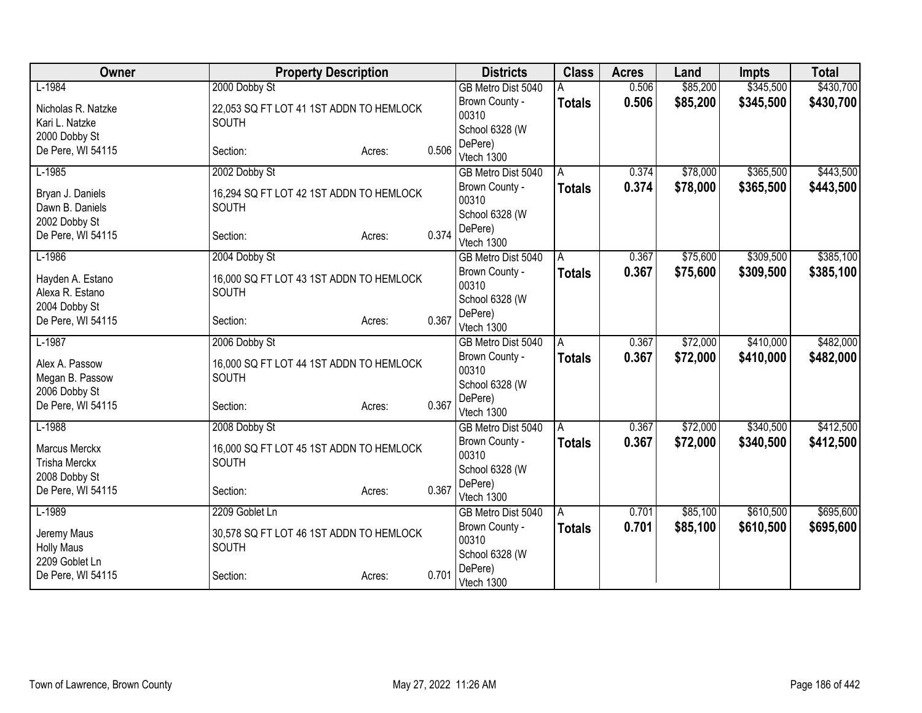| Owner                               | <b>Property Description</b>                      |        |       | <b>Districts</b>          | <b>Class</b>  | <b>Acres</b> | Land     | <b>Impts</b> | <b>Total</b> |
|-------------------------------------|--------------------------------------------------|--------|-------|---------------------------|---------------|--------------|----------|--------------|--------------|
| $L-1984$                            | 2000 Dobby St                                    |        |       | GB Metro Dist 5040        |               | 0.506        | \$85,200 | \$345,500    | \$430,700    |
| Nicholas R. Natzke                  | 22,053 SQ FT LOT 41 1ST ADDN TO HEMLOCK          |        |       | Brown County -            | <b>Totals</b> | 0.506        | \$85,200 | \$345,500    | \$430,700    |
| Kari L. Natzke                      | <b>SOUTH</b>                                     |        |       | 00310                     |               |              |          |              |              |
| 2000 Dobby St                       |                                                  |        |       | School 6328 (W<br>DePere) |               |              |          |              |              |
| De Pere, WI 54115                   | Section:                                         | Acres: | 0.506 | Vtech 1300                |               |              |          |              |              |
| $L-1985$                            | 2002 Dobby St                                    |        |       | GB Metro Dist 5040        | A             | 0.374        | \$78,000 | \$365,500    | \$443,500    |
| Bryan J. Daniels                    | 16,294 SQ FT LOT 42 1ST ADDN TO HEMLOCK          |        |       | Brown County -            | <b>Totals</b> | 0.374        | \$78,000 | \$365,500    | \$443,500    |
| Dawn B. Daniels                     | SOUTH                                            |        |       | 00310                     |               |              |          |              |              |
| 2002 Dobby St                       |                                                  |        |       | School 6328 (W            |               |              |          |              |              |
| De Pere, WI 54115                   | Section:                                         | Acres: | 0.374 | DePere)<br>Vtech 1300     |               |              |          |              |              |
| $L-1986$                            | 2004 Dobby St                                    |        |       | GB Metro Dist 5040        | A             | 0.367        | \$75,600 | \$309,500    | \$385,100    |
| Hayden A. Estano                    | 16,000 SQ FT LOT 43 1ST ADDN TO HEMLOCK          |        |       | Brown County -            | <b>Totals</b> | 0.367        | \$75,600 | \$309,500    | \$385,100    |
| Alexa R. Estano                     | <b>SOUTH</b>                                     |        |       | 00310                     |               |              |          |              |              |
| 2004 Dobby St                       |                                                  |        |       | School 6328 (W            |               |              |          |              |              |
| De Pere, WI 54115                   | Section:                                         | Acres: | 0.367 | DePere)<br>Vtech 1300     |               |              |          |              |              |
| $L-1987$                            | 2006 Dobby St                                    |        |       | GB Metro Dist 5040        | A             | 0.367        | \$72,000 | \$410,000    | \$482,000    |
|                                     |                                                  |        |       | Brown County -            | <b>Totals</b> | 0.367        | \$72,000 | \$410,000    | \$482,000    |
| Alex A. Passow                      | 16,000 SQ FT LOT 44 1ST ADDN TO HEMLOCK          |        |       | 00310                     |               |              |          |              |              |
| Megan B. Passow                     | <b>SOUTH</b>                                     |        |       | School 6328 (W            |               |              |          |              |              |
| 2006 Dobby St                       |                                                  |        | 0.367 | DePere)                   |               |              |          |              |              |
| De Pere, WI 54115                   | Section:                                         | Acres: |       | Vtech 1300                |               |              |          |              |              |
| $L-1988$                            | 2008 Dobby St                                    |        |       | GB Metro Dist 5040        | A             | 0.367        | \$72,000 | \$340,500    | \$412,500    |
| Marcus Merckx                       | 16,000 SQ FT LOT 45 1ST ADDN TO HEMLOCK          |        |       | Brown County -            | <b>Totals</b> | 0.367        | \$72,000 | \$340,500    | \$412,500    |
| <b>Trisha Merckx</b>                | SOUTH                                            |        |       | 00310                     |               |              |          |              |              |
| 2008 Dobby St                       |                                                  |        |       | School 6328 (W<br>DePere) |               |              |          |              |              |
| De Pere, WI 54115                   | Section:                                         | Acres: | 0.367 | Vtech 1300                |               |              |          |              |              |
| $L-1989$                            | 2209 Goblet Ln                                   |        |       | GB Metro Dist 5040        | A             | 0.701        | \$85,100 | \$610,500    | \$695,600    |
|                                     |                                                  |        |       | Brown County -            | <b>Totals</b> | 0.701        | \$85,100 | \$610,500    | \$695,600    |
| Jeremy Maus                         | 30,578 SQ FT LOT 46 1ST ADDN TO HEMLOCK<br>SOUTH |        |       | 00310                     |               |              |          |              |              |
| <b>Holly Maus</b><br>2209 Goblet Ln |                                                  |        |       | School 6328 (W            |               |              |          |              |              |
| De Pere, WI 54115                   | Section:                                         | Acres: | 0.701 | DePere)                   |               |              |          |              |              |
|                                     |                                                  |        |       | Vtech 1300                |               |              |          |              |              |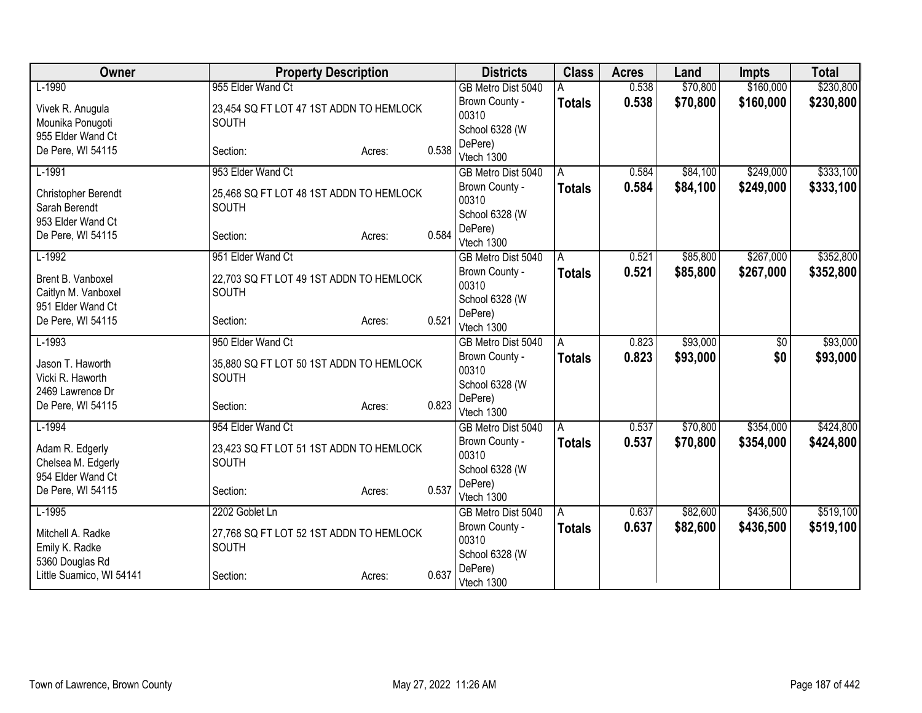| Owner                                                      | <b>Property Description</b>                             |        |       | <b>Districts</b>                          | <b>Class</b>  | <b>Acres</b> | Land     | <b>Impts</b>    | <b>Total</b> |
|------------------------------------------------------------|---------------------------------------------------------|--------|-------|-------------------------------------------|---------------|--------------|----------|-----------------|--------------|
| $L-1990$                                                   | 955 Elder Wand Ct                                       |        |       | GB Metro Dist 5040                        |               | 0.538        | \$70,800 | \$160,000       | \$230,800    |
| Vivek R. Anugula<br>Mounika Ponugoti<br>955 Elder Wand Ct  | 23,454 SQ FT LOT 47 1ST ADDN TO HEMLOCK<br><b>SOUTH</b> |        |       | Brown County -<br>00310<br>School 6328 (W | <b>Totals</b> | 0.538        | \$70,800 | \$160,000       | \$230,800    |
| De Pere, WI 54115                                          | Section:                                                | Acres: | 0.538 | DePere)<br>Vtech 1300                     |               |              |          |                 |              |
| $L-1991$                                                   | 953 Elder Wand Ct                                       |        |       | GB Metro Dist 5040                        | A             | 0.584        | \$84,100 | \$249,000       | \$333,100    |
| Christopher Berendt<br>Sarah Berendt                       | 25,468 SQ FT LOT 48 1ST ADDN TO HEMLOCK<br>SOUTH        |        |       | Brown County -<br>00310<br>School 6328 (W | <b>Totals</b> | 0.584        | \$84,100 | \$249,000       | \$333,100    |
| 953 Elder Wand Ct<br>De Pere, WI 54115                     | Section:                                                | Acres: | 0.584 | DePere)<br>Vtech 1300                     |               |              |          |                 |              |
| $L-1992$                                                   | 951 Elder Wand Ct                                       |        |       | GB Metro Dist 5040                        | A             | 0.521        | \$85,800 | \$267,000       | \$352,800    |
| Brent B. Vanboxel<br>Caitlyn M. Vanboxel                   | 22,703 SQ FT LOT 49 1ST ADDN TO HEMLOCK<br><b>SOUTH</b> |        |       | Brown County -<br>00310<br>School 6328 (W | <b>Totals</b> | 0.521        | \$85,800 | \$267,000       | \$352,800    |
| 951 Elder Wand Ct<br>De Pere, WI 54115                     | Section:                                                | Acres: | 0.521 | DePere)<br>Vtech 1300                     |               |              |          |                 |              |
| $L-1993$                                                   | 950 Elder Wand Ct                                       |        |       | GB Metro Dist 5040                        | A             | 0.823        | \$93,000 | $\overline{50}$ | \$93,000     |
| Jason T. Haworth<br>Vicki R. Haworth<br>2469 Lawrence Dr   | 35,880 SQ FT LOT 50 1ST ADDN TO HEMLOCK<br><b>SOUTH</b> |        |       | Brown County -<br>00310<br>School 6328 (W | <b>Totals</b> | 0.823        | \$93,000 | \$0             | \$93,000     |
| De Pere, WI 54115                                          | Section:                                                | Acres: | 0.823 | DePere)<br>Vtech 1300                     |               |              |          |                 |              |
| $L-1994$                                                   | 954 Elder Wand Ct                                       |        |       | GB Metro Dist 5040                        | A             | 0.537        | \$70,800 | \$354,000       | \$424,800    |
| Adam R. Edgerly<br>Chelsea M. Edgerly<br>954 Elder Wand Ct | 23,423 SQ FT LOT 51 1ST ADDN TO HEMLOCK<br>SOUTH        |        |       | Brown County -<br>00310<br>School 6328 (W | <b>Totals</b> | 0.537        | \$70,800 | \$354,000       | \$424,800    |
| De Pere, WI 54115                                          | Section:                                                | Acres: | 0.537 | DePere)<br>Vtech 1300                     |               |              |          |                 |              |
| $L-1995$                                                   | 2202 Goblet Ln                                          |        |       | GB Metro Dist 5040                        | A             | 0.637        | \$82,600 | \$436,500       | \$519,100    |
| Mitchell A. Radke<br>Emily K. Radke                        | 27,768 SQ FT LOT 52 1ST ADDN TO HEMLOCK<br>SOUTH        |        |       | Brown County -<br>00310                   | <b>Totals</b> | 0.637        | \$82,600 | \$436,500       | \$519,100    |
| 5360 Douglas Rd<br>Little Suamico, WI 54141                | Section:                                                | Acres: | 0.637 | School 6328 (W<br>DePere)<br>Vtech 1300   |               |              |          |                 |              |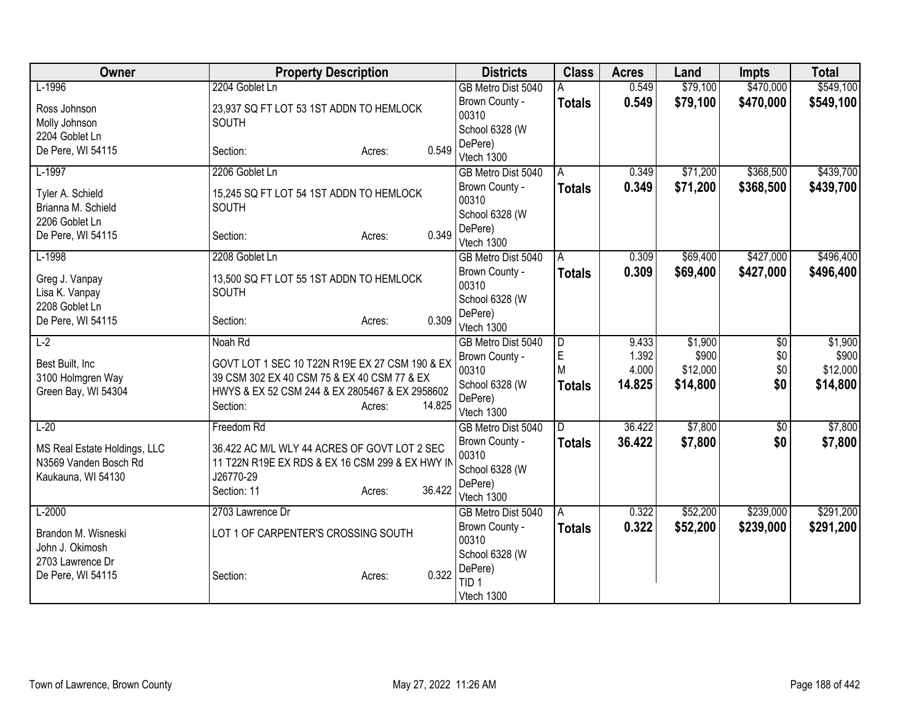| Owner                                                                       | <b>Property Description</b>                                                                                                                                 |        |        | <b>Districts</b>                                                   | <b>Class</b>     | <b>Acres</b>             | Land                          | <b>Impts</b>      | <b>Total</b>                  |
|-----------------------------------------------------------------------------|-------------------------------------------------------------------------------------------------------------------------------------------------------------|--------|--------|--------------------------------------------------------------------|------------------|--------------------------|-------------------------------|-------------------|-------------------------------|
| $L-1996$                                                                    | 2204 Goblet Ln                                                                                                                                              |        |        | GB Metro Dist 5040                                                 | Α                | 0.549                    | \$79,100                      | \$470,000         | \$549,100                     |
| Ross Johnson<br>Molly Johnson                                               | 23,937 SQ FT LOT 53 1ST ADDN TO HEMLOCK<br>SOUTH                                                                                                            |        |        | Brown County -<br>00310                                            | <b>Totals</b>    | 0.549                    | \$79,100                      | \$470,000         | \$549,100                     |
| 2204 Goblet Ln<br>De Pere, WI 54115                                         | Section:                                                                                                                                                    | Acres: | 0.549  | School 6328 (W<br>DePere)<br>Vtech 1300                            |                  |                          |                               |                   |                               |
| $L-1997$                                                                    | 2206 Goblet Ln                                                                                                                                              |        |        | GB Metro Dist 5040                                                 | A                | 0.349                    | \$71,200                      | \$368,500         | \$439,700                     |
| Tyler A. Schield<br>Brianna M. Schield<br>2206 Goblet Ln                    | 15,245 SQ FT LOT 54 1ST ADDN TO HEMLOCK<br>SOUTH                                                                                                            |        |        | Brown County -<br>00310<br>School 6328 (W                          | <b>Totals</b>    | 0.349                    | \$71,200                      | \$368,500         | \$439,700                     |
| De Pere, WI 54115                                                           | Section:                                                                                                                                                    | Acres: | 0.349  | DePere)<br>Vtech 1300                                              |                  |                          |                               |                   |                               |
| $L-1998$                                                                    | 2208 Goblet Ln                                                                                                                                              |        |        | GB Metro Dist 5040                                                 | A                | 0.309                    | \$69,400                      | \$427,000         | \$496,400                     |
| Greg J. Vanpay<br>Lisa K. Vanpay<br>2208 Goblet Ln                          | 13,500 SQ FT LOT 55 1ST ADDN TO HEMLOCK<br>SOUTH                                                                                                            |        |        | Brown County -<br>00310<br>School 6328 (W                          | <b>Totals</b>    | 0.309                    | \$69,400                      | \$427,000         | \$496,400                     |
| De Pere, WI 54115                                                           | Section:                                                                                                                                                    | Acres: | 0.309  | DePere)<br>Vtech 1300                                              |                  |                          |                               |                   |                               |
| $L-2$                                                                       | Noah Rd                                                                                                                                                     |        |        | GB Metro Dist 5040                                                 | $\overline{D}$   | 9.433                    | \$1,900                       | $\overline{50}$   | \$1,900                       |
| Best Built, Inc.<br>3100 Holmgren Way<br>Green Bay, WI 54304                | GOVT LOT 1 SEC 10 T22N R19E EX 27 CSM 190 & EX<br>39 CSM 302 EX 40 CSM 75 & EX 40 CSM 77 & EX<br>HWYS & EX 52 CSM 244 & EX 2805467 & EX 2958602<br>Section: | Acres: | 14.825 | Brown County -<br>00310<br>School 6328 (W<br>DePere)<br>Vtech 1300 | E<br>M<br>Totals | 1.392<br>4.000<br>14.825 | \$900<br>\$12,000<br>\$14,800 | \$0<br>\$0<br>\$0 | \$900<br>\$12,000<br>\$14,800 |
| $L-20$                                                                      | Freedom Rd                                                                                                                                                  |        |        | GB Metro Dist 5040                                                 | D.               | 36.422                   | \$7,800                       | \$0               | \$7,800                       |
| MS Real Estate Holdings, LLC<br>N3569 Vanden Bosch Rd<br>Kaukauna, WI 54130 | 36.422 AC M/L WLY 44 ACRES OF GOVT LOT 2 SEC<br>11 T22N R19E EX RDS & EX 16 CSM 299 & EX HWY IN<br>J26770-29<br>Section: 11                                 | Acres: | 36.422 | Brown County -<br>00310<br>School 6328 (W<br>DePere)<br>Vtech 1300 | <b>Totals</b>    | 36.422                   | \$7,800                       | \$0               | \$7,800                       |
| $L-2000$                                                                    | 2703 Lawrence Dr                                                                                                                                            |        |        | GB Metro Dist 5040                                                 | A                | 0.322                    | \$52,200                      | \$239,000         | \$291,200                     |
| Brandon M. Wisneski<br>John J. Okimosh                                      | LOT 1 OF CARPENTER'S CROSSING SOUTH                                                                                                                         |        |        | Brown County -<br>00310                                            | <b>Totals</b>    | 0.322                    | \$52,200                      | \$239,000         | \$291,200                     |
| 2703 Lawrence Dr<br>De Pere, WI 54115                                       | Section:                                                                                                                                                    | Acres: | 0.322  | School 6328 (W<br>DePere)<br>TID <sub>1</sub><br>Vtech 1300        |                  |                          |                               |                   |                               |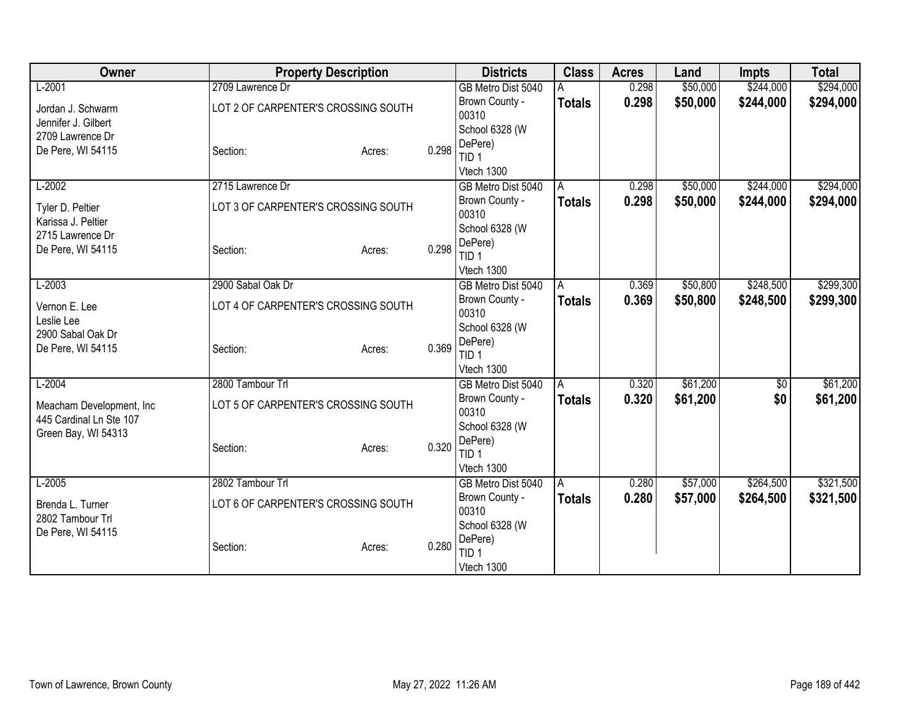| Owner<br><b>Property Description</b><br><b>Class</b><br><b>Districts</b><br><b>Acres</b><br>Land                 | <b>Impts</b> | <b>Total</b> |
|------------------------------------------------------------------------------------------------------------------|--------------|--------------|
| $L-2001$<br>2709 Lawrence Dr<br>\$50,000<br>0.298<br>GB Metro Dist 5040                                          | \$244,000    | \$294,000    |
| 0.298<br>\$50,000<br>Brown County -<br><b>Totals</b><br>LOT 2 OF CARPENTER'S CROSSING SOUTH<br>Jordan J. Schwarm | \$244,000    | \$294,000    |
| 00310<br>Jennifer J. Gilbert                                                                                     |              |              |
| School 6328 (W<br>2709 Lawrence Dr                                                                               |              |              |
| DePere)<br>0.298<br>De Pere, WI 54115<br>Section:<br>Acres:<br>TID 1                                             |              |              |
| Vtech 1300                                                                                                       |              |              |
| \$50,000<br>$L-2002$<br>2715 Lawrence Dr<br>0.298<br>GB Metro Dist 5040<br>A                                     | \$244,000    | \$294,000    |
| 0.298<br>\$50,000<br>Brown County -<br>Totals                                                                    | \$244,000    | \$294,000    |
| LOT 3 OF CARPENTER'S CROSSING SOUTH<br>Tyler D. Peltier<br>00310                                                 |              |              |
| Karissa J. Peltier<br>School 6328 (W<br>2715 Lawrence Dr                                                         |              |              |
| DePere)<br>0.298<br>De Pere, WI 54115<br>Section:<br>Acres:                                                      |              |              |
| TID <sub>1</sub>                                                                                                 |              |              |
| Vtech 1300                                                                                                       |              |              |
| $L-2003$<br>2900 Sabal Oak Dr<br>\$50,800<br>GB Metro Dist 5040<br>0.369<br>IA.                                  | \$248,500    | \$299,300    |
| Brown County -<br>0.369<br>\$50,800<br><b>Totals</b><br>LOT 4 OF CARPENTER'S CROSSING SOUTH<br>Vernon E. Lee     | \$248,500    | \$299,300    |
| 00310<br>Leslie Lee                                                                                              |              |              |
| School 6328 (W<br>2900 Sabal Oak Dr<br>DePere)                                                                   |              |              |
| 0.369<br>De Pere, WI 54115<br>Section:<br>Acres:<br>TID 1                                                        |              |              |
| Vtech 1300                                                                                                       |              |              |
| \$61,200<br>$L-2004$<br>2800 Tambour Trl<br>GB Metro Dist 5040<br>0.320<br>l A                                   | $\sqrt{$0}$  | \$61,200     |
| 0.320<br>\$61,200<br>Brown County -<br><b>Totals</b>                                                             | \$0          | \$61,200     |
| LOT 5 OF CARPENTER'S CROSSING SOUTH<br>Meacham Development, Inc.<br>00310<br>445 Cardinal Ln Ste 107             |              |              |
| School 6328 (W<br>Green Bay, WI 54313                                                                            |              |              |
| DePere)<br>0.320<br>Section:<br>Acres:                                                                           |              |              |
| TID <sub>1</sub>                                                                                                 |              |              |
| Vtech 1300                                                                                                       |              |              |
| $L-2005$<br>2802 Tambour Trl<br>\$57,000<br>GB Metro Dist 5040<br>0.280<br>$\overline{A}$                        | \$264,500    | \$321,500    |
| 0.280<br>Brown County -<br><b>Totals</b><br>\$57,000<br>LOT 6 OF CARPENTER'S CROSSING SOUTH<br>Brenda L. Turner  | \$264,500    | \$321,500    |
| 00310<br>2802 Tambour Trl<br>School 6328 (W                                                                      |              |              |
| De Pere, WI 54115<br>DePere)                                                                                     |              |              |
| 0.280<br>Section:<br>Acres:<br>TID <sub>1</sub>                                                                  |              |              |
| Vtech 1300                                                                                                       |              |              |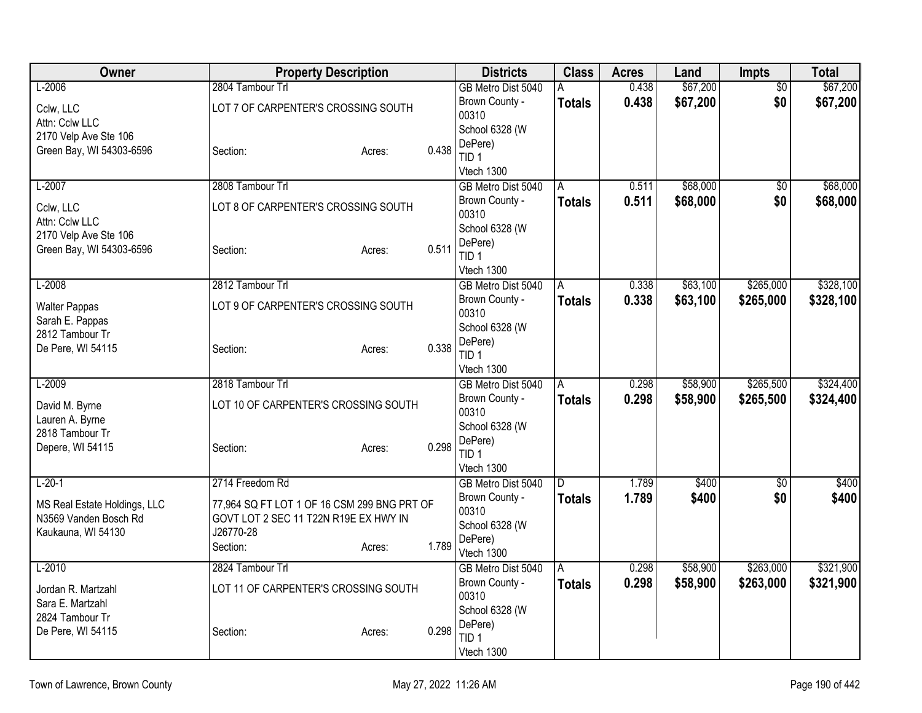| Owner                                                 |                                                                                      | <b>Property Description</b> |       | <b>Districts</b>                     | <b>Class</b>  | <b>Acres</b>   | Land     | <b>Impts</b>    | <b>Total</b> |
|-------------------------------------------------------|--------------------------------------------------------------------------------------|-----------------------------|-------|--------------------------------------|---------------|----------------|----------|-----------------|--------------|
| $L-2006$                                              | 2804 Tambour Trl                                                                     |                             |       | GB Metro Dist 5040                   | A             | 0.438          | \$67,200 | \$0             | \$67,200     |
| Cclw, LLC<br>Attn: Cclw LLC                           | LOT 7 OF CARPENTER'S CROSSING SOUTH                                                  |                             |       | Brown County -<br>00310              | <b>Totals</b> | 0.438          | \$67,200 | \$0             | \$67,200     |
| 2170 Velp Ave Ste 106                                 |                                                                                      |                             |       | School 6328 (W                       |               |                |          |                 |              |
| Green Bay, WI 54303-6596                              | Section:                                                                             | Acres:                      | 0.438 | DePere)<br>TID <sub>1</sub>          |               |                |          |                 |              |
|                                                       |                                                                                      |                             |       | Vtech 1300                           |               |                |          |                 |              |
| $L-2007$                                              | 2808 Tambour Trl                                                                     |                             |       | GB Metro Dist 5040                   | A             | 0.511          | \$68,000 | $\sqrt{6}$      | \$68,000     |
| Cclw, LLC<br>Attn: Cclw LLC                           | LOT 8 OF CARPENTER'S CROSSING SOUTH                                                  |                             |       | Brown County -<br>00310              | <b>Totals</b> | 0.511          | \$68,000 | \$0             | \$68,000     |
| 2170 Velp Ave Ste 106                                 |                                                                                      |                             |       | School 6328 (W                       |               |                |          |                 |              |
| Green Bay, WI 54303-6596                              | Section:                                                                             | Acres:                      | 0.511 | DePere)<br>TID <sub>1</sub>          |               |                |          |                 |              |
|                                                       |                                                                                      |                             |       | Vtech 1300                           |               |                |          |                 |              |
| $L-2008$                                              | 2812 Tambour Trl                                                                     |                             |       | GB Metro Dist 5040                   | A             | 0.338          | \$63,100 | \$265,000       | \$328,100    |
| <b>Walter Pappas</b><br>Sarah E. Pappas               | LOT 9 OF CARPENTER'S CROSSING SOUTH                                                  |                             |       | Brown County -<br>00310              | <b>Totals</b> | 0.338          | \$63,100 | \$265,000       | \$328,100    |
| 2812 Tambour Tr                                       |                                                                                      |                             |       | School 6328 (W                       |               |                |          |                 |              |
| De Pere, WI 54115                                     | Section:                                                                             | Acres:                      | 0.338 | DePere)<br>TID <sub>1</sub>          |               |                |          |                 |              |
|                                                       |                                                                                      |                             |       | Vtech 1300                           |               |                |          |                 |              |
| $L-2009$                                              | 2818 Tambour Trl                                                                     |                             |       | GB Metro Dist 5040                   | Α             | 0.298          | \$58,900 | \$265,500       | \$324,400    |
| David M. Byrne<br>Lauren A. Byrne                     | LOT 10 OF CARPENTER'S CROSSING SOUTH                                                 |                             |       | Brown County -<br>00310              | <b>Totals</b> | 0.298          | \$58,900 | \$265,500       | \$324,400    |
| 2818 Tambour Tr                                       |                                                                                      |                             |       | School 6328 (W                       |               |                |          |                 |              |
| Depere, WI 54115                                      | Section:                                                                             | Acres:                      | 0.298 | DePere)                              |               |                |          |                 |              |
|                                                       |                                                                                      |                             |       | TID 1<br>Vtech 1300                  |               |                |          |                 |              |
| $L-20-1$                                              | 2714 Freedom Rd                                                                      |                             |       | GB Metro Dist 5040                   | D.            | 1.789          | \$400    | $\overline{50}$ | \$400        |
|                                                       |                                                                                      |                             |       | Brown County -                       | <b>Totals</b> | 1.789          | \$400    | \$0             | \$400        |
| MS Real Estate Holdings, LLC<br>N3569 Vanden Bosch Rd | 77,964 SQ FT LOT 1 OF 16 CSM 299 BNG PRT OF<br>GOVT LOT 2 SEC 11 T22N R19E EX HWY IN |                             |       | 00310                                |               |                |          |                 |              |
| Kaukauna, WI 54130                                    | J26770-28                                                                            |                             |       | School 6328 (W                       |               |                |          |                 |              |
|                                                       | Section:                                                                             | Acres:                      | 1.789 | DePere)                              |               |                |          |                 |              |
| $L-2010$                                              | 2824 Tambour Trl                                                                     |                             |       | Vtech 1300                           |               |                | \$58,900 | \$263,000       |              |
|                                                       |                                                                                      |                             |       | GB Metro Dist 5040<br>Brown County - | A             | 0.298<br>0.298 | \$58,900 |                 | \$321,900    |
| Jordan R. Martzahl                                    | LOT 11 OF CARPENTER'S CROSSING SOUTH                                                 |                             |       | 00310                                | <b>Totals</b> |                |          | \$263,000       | \$321,900    |
| Sara E. Martzahl                                      |                                                                                      |                             |       | School 6328 (W                       |               |                |          |                 |              |
| 2824 Tambour Tr                                       |                                                                                      |                             | 0.298 | DePere)                              |               |                |          |                 |              |
| De Pere, WI 54115                                     | Section:                                                                             | Acres:                      |       | TID 1                                |               |                |          |                 |              |
|                                                       |                                                                                      |                             |       | Vtech 1300                           |               |                |          |                 |              |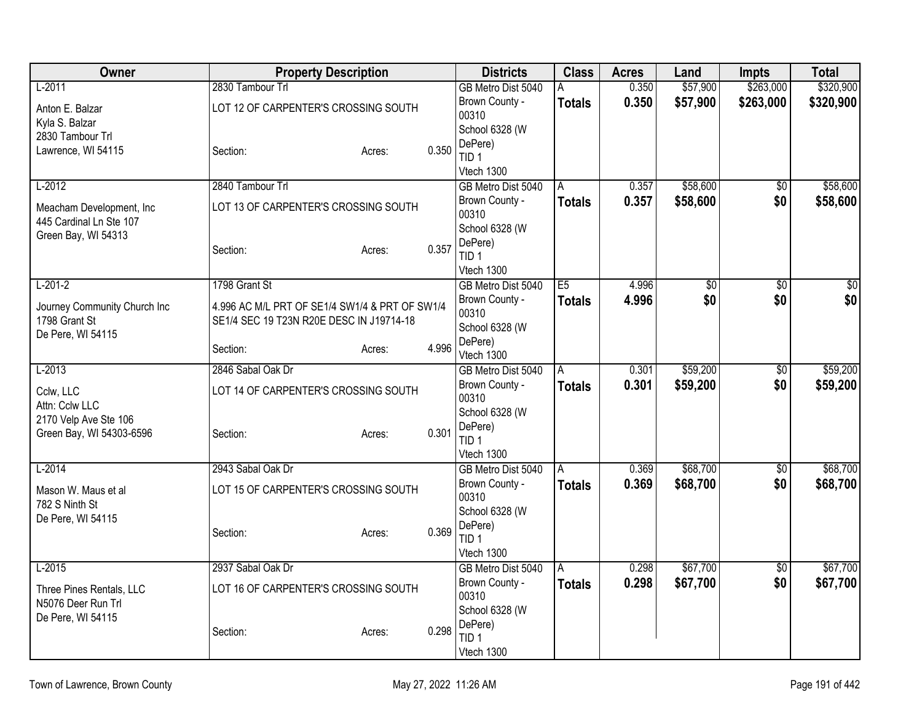| \$57,900<br>\$263,000<br>\$320,900<br>0.350<br>$L-2011$<br>2830 Tambour Trl<br>GB Metro Dist 5040<br>0.350<br>\$57,900<br>\$263,000<br>\$320,900<br>Brown County -<br><b>Totals</b><br>LOT 12 OF CARPENTER'S CROSSING SOUTH<br>Anton E. Balzar<br>00310<br>Kyla S. Balzar<br>School 6328 (W<br>2830 Tambour Trl<br>DePere)<br>0.350<br>Lawrence, WI 54115<br>Section:<br>Acres:<br>TID <sub>1</sub><br>Vtech 1300<br>$L-2012$<br>\$58,600<br>\$58,600<br>2840 Tambour Trl<br>0.357<br>$\overline{50}$<br>GB Metro Dist 5040<br>A |
|----------------------------------------------------------------------------------------------------------------------------------------------------------------------------------------------------------------------------------------------------------------------------------------------------------------------------------------------------------------------------------------------------------------------------------------------------------------------------------------------------------------------------------|
|                                                                                                                                                                                                                                                                                                                                                                                                                                                                                                                                  |
|                                                                                                                                                                                                                                                                                                                                                                                                                                                                                                                                  |
|                                                                                                                                                                                                                                                                                                                                                                                                                                                                                                                                  |
|                                                                                                                                                                                                                                                                                                                                                                                                                                                                                                                                  |
|                                                                                                                                                                                                                                                                                                                                                                                                                                                                                                                                  |
|                                                                                                                                                                                                                                                                                                                                                                                                                                                                                                                                  |
| \$0<br>0.357<br>\$58,600<br>Brown County -<br><b>Totals</b><br>\$58,600<br>LOT 13 OF CARPENTER'S CROSSING SOUTH<br>Meacham Development, Inc.<br>00310<br>445 Cardinal Ln Ste 107                                                                                                                                                                                                                                                                                                                                                 |
| School 6328 (W<br>Green Bay, WI 54313                                                                                                                                                                                                                                                                                                                                                                                                                                                                                            |
| DePere)<br>0.357<br>Section:<br>Acres:<br>TID <sub>1</sub>                                                                                                                                                                                                                                                                                                                                                                                                                                                                       |
| Vtech 1300                                                                                                                                                                                                                                                                                                                                                                                                                                                                                                                       |
| $L-201-2$<br>1798 Grant St<br>E5<br>4.996<br>$\overline{50}$<br>$\overline{50}$<br>GB Metro Dist 5040<br>\$0                                                                                                                                                                                                                                                                                                                                                                                                                     |
| \$0 <br>\$0<br>Brown County -<br>4.996<br>\$0<br><b>Totals</b><br>4.996 AC M/L PRT OF SE1/4 SW1/4 & PRT OF SW1/4                                                                                                                                                                                                                                                                                                                                                                                                                 |
| Journey Community Church Inc<br>00310<br>1798 Grant St<br>SE1/4 SEC 19 T23N R20E DESC IN J19714-18                                                                                                                                                                                                                                                                                                                                                                                                                               |
| School 6328 (W<br>De Pere, WI 54115                                                                                                                                                                                                                                                                                                                                                                                                                                                                                              |
| DePere)<br>4.996<br>Section:<br>Acres:                                                                                                                                                                                                                                                                                                                                                                                                                                                                                           |
| Vtech 1300<br>\$59,200<br>$L-2013$<br>$\overline{50}$<br>\$59,200<br>2846 Sabal Oak Dr<br>A<br>0.301<br>GB Metro Dist 5040                                                                                                                                                                                                                                                                                                                                                                                                       |
| \$0<br>0.301<br>\$59,200<br>Brown County -<br>\$59,200<br><b>Totals</b>                                                                                                                                                                                                                                                                                                                                                                                                                                                          |
| Cclw, LLC<br>LOT 14 OF CARPENTER'S CROSSING SOUTH<br>00310                                                                                                                                                                                                                                                                                                                                                                                                                                                                       |
| Attn: Cclw LLC<br>School 6328 (W                                                                                                                                                                                                                                                                                                                                                                                                                                                                                                 |
| 2170 Velp Ave Ste 106<br>DePere)<br>0.301                                                                                                                                                                                                                                                                                                                                                                                                                                                                                        |
| Green Bay, WI 54303-6596<br>Section:<br>Acres:<br>TID <sub>1</sub>                                                                                                                                                                                                                                                                                                                                                                                                                                                               |
| Vtech 1300                                                                                                                                                                                                                                                                                                                                                                                                                                                                                                                       |
| \$68,700<br>\$68,700<br>$L-2014$<br>2943 Sabal Oak Dr<br>GB Metro Dist 5040<br>0.369<br>$\overline{60}$<br>A                                                                                                                                                                                                                                                                                                                                                                                                                     |
| 0.369<br>\$68,700<br>Brown County -<br>\$0<br>\$68,700<br><b>Totals</b><br>LOT 15 OF CARPENTER'S CROSSING SOUTH<br>Mason W. Maus et al<br>00310                                                                                                                                                                                                                                                                                                                                                                                  |
| 782 S Ninth St<br>School 6328 (W                                                                                                                                                                                                                                                                                                                                                                                                                                                                                                 |
| De Pere, WI 54115<br>DePere)                                                                                                                                                                                                                                                                                                                                                                                                                                                                                                     |
| 0.369<br>Section:<br>Acres:<br>TID <sub>1</sub>                                                                                                                                                                                                                                                                                                                                                                                                                                                                                  |
| Vtech 1300                                                                                                                                                                                                                                                                                                                                                                                                                                                                                                                       |
| \$67,700<br>$L-2015$<br>2937 Sabal Oak Dr<br>\$67,700<br>GB Metro Dist 5040<br>0.298<br>\$0<br>A                                                                                                                                                                                                                                                                                                                                                                                                                                 |
| Brown County -<br>\$67,700<br>\$0<br>0.298<br>\$67,700<br><b>Totals</b><br>Three Pines Rentals, LLC<br>LOT 16 OF CARPENTER'S CROSSING SOUTH                                                                                                                                                                                                                                                                                                                                                                                      |
| 00310<br>N5076 Deer Run Trl                                                                                                                                                                                                                                                                                                                                                                                                                                                                                                      |
| School 6328 (W<br>De Pere, WI 54115                                                                                                                                                                                                                                                                                                                                                                                                                                                                                              |
| DePere)<br>0.298<br>Section:<br>Acres:<br>TID 1                                                                                                                                                                                                                                                                                                                                                                                                                                                                                  |
| Vtech 1300                                                                                                                                                                                                                                                                                                                                                                                                                                                                                                                       |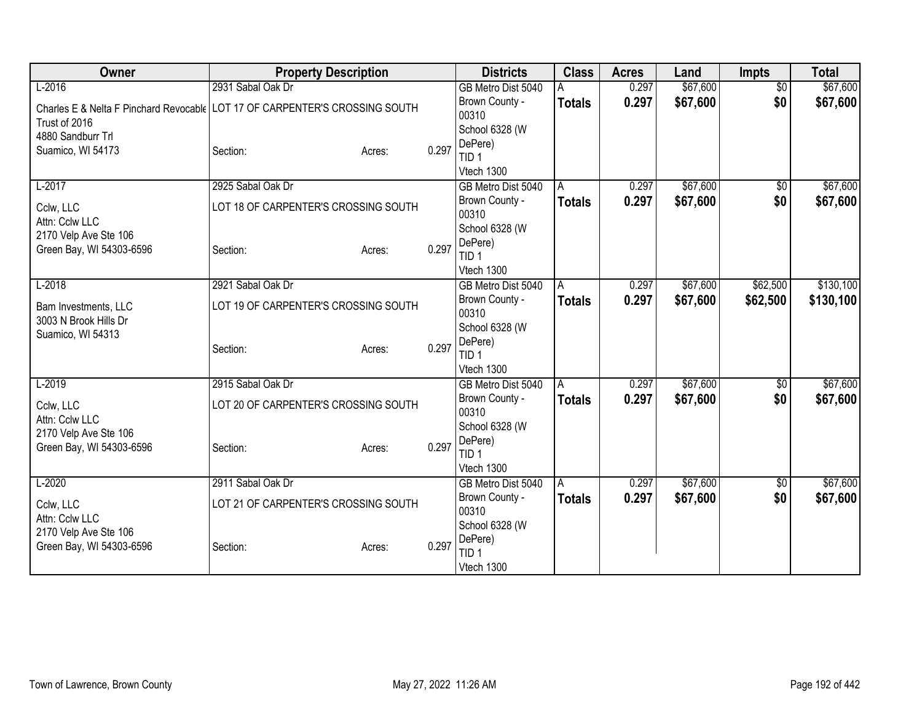| Owner                                                                       | <b>Property Description</b>          |        |       | <b>Districts</b>            | <b>Class</b>   | <b>Acres</b> | Land     | Impts           | <b>Total</b> |
|-----------------------------------------------------------------------------|--------------------------------------|--------|-------|-----------------------------|----------------|--------------|----------|-----------------|--------------|
| $L-2016$                                                                    | 2931 Sabal Oak Dr                    |        |       | GB Metro Dist 5040          |                | 0.297        | \$67,600 | $\overline{60}$ | \$67,600     |
| Charles E & Nelta F Pinchard Revocable LOT 17 OF CARPENTER'S CROSSING SOUTH |                                      |        |       | Brown County -              | <b>Totals</b>  | 0.297        | \$67,600 | \$0             | \$67,600     |
| Trust of 2016                                                               |                                      |        |       | 00310                       |                |              |          |                 |              |
| 4880 Sandburr Trl                                                           |                                      |        |       | School 6328 (W              |                |              |          |                 |              |
| Suamico, WI 54173                                                           | Section:                             | Acres: | 0.297 | DePere)<br>TID <sub>1</sub> |                |              |          |                 |              |
|                                                                             |                                      |        |       | Vtech 1300                  |                |              |          |                 |              |
| $L-2017$                                                                    | 2925 Sabal Oak Dr                    |        |       | GB Metro Dist 5040          | A              | 0.297        | \$67,600 | \$0             | \$67,600     |
|                                                                             |                                      |        |       | Brown County -              | <b>Totals</b>  | 0.297        | \$67,600 | \$0             | \$67,600     |
| Cclw, LLC                                                                   | LOT 18 OF CARPENTER'S CROSSING SOUTH |        |       | 00310                       |                |              |          |                 |              |
| Attn: Cclw LLC                                                              |                                      |        |       | School 6328 (W              |                |              |          |                 |              |
| 2170 Velp Ave Ste 106                                                       | Section:                             |        | 0.297 | DePere)                     |                |              |          |                 |              |
| Green Bay, WI 54303-6596                                                    |                                      | Acres: |       | TID <sub>1</sub>            |                |              |          |                 |              |
|                                                                             |                                      |        |       | Vtech 1300                  |                |              |          |                 |              |
| $L-2018$                                                                    | 2921 Sabal Oak Dr                    |        |       | GB Metro Dist 5040          | l A            | 0.297        | \$67,600 | \$62,500        | \$130,100    |
| Bam Investments, LLC                                                        | LOT 19 OF CARPENTER'S CROSSING SOUTH |        |       | Brown County -              | <b>Totals</b>  | 0.297        | \$67,600 | \$62,500        | \$130,100    |
| 3003 N Brook Hills Dr                                                       |                                      |        |       | 00310                       |                |              |          |                 |              |
| Suamico, WI 54313                                                           |                                      |        |       | School 6328 (W              |                |              |          |                 |              |
|                                                                             | Section:                             | Acres: | 0.297 | DePere)<br>TID <sub>1</sub> |                |              |          |                 |              |
|                                                                             |                                      |        |       | Vtech 1300                  |                |              |          |                 |              |
| $L-2019$                                                                    | 2915 Sabal Oak Dr                    |        |       | GB Metro Dist 5040          | $\overline{A}$ | 0.297        | \$67,600 | \$0             | \$67,600     |
|                                                                             |                                      |        |       | Brown County -              | <b>Totals</b>  | 0.297        | \$67,600 | \$0             | \$67,600     |
| Cclw, LLC                                                                   | LOT 20 OF CARPENTER'S CROSSING SOUTH |        |       | 00310                       |                |              |          |                 |              |
| Attn: Cclw LLC<br>2170 Velp Ave Ste 106                                     |                                      |        |       | School 6328 (W              |                |              |          |                 |              |
| Green Bay, WI 54303-6596                                                    | Section:                             | Acres: | 0.297 | DePere)                     |                |              |          |                 |              |
|                                                                             |                                      |        |       | TID <sub>1</sub>            |                |              |          |                 |              |
|                                                                             |                                      |        |       | Vtech 1300                  |                |              |          |                 |              |
| $L-2020$                                                                    | 2911 Sabal Oak Dr                    |        |       | GB Metro Dist 5040          | A              | 0.297        | \$67,600 | $\sqrt{$0}$     | \$67,600     |
| Cclw, LLC                                                                   | LOT 21 OF CARPENTER'S CROSSING SOUTH |        |       | Brown County -              | <b>Totals</b>  | 0.297        | \$67,600 | \$0             | \$67,600     |
| Attn: Cclw LLC                                                              |                                      |        |       | 00310                       |                |              |          |                 |              |
| 2170 Velp Ave Ste 106                                                       |                                      |        |       | School 6328 (W<br>DePere)   |                |              |          |                 |              |
| Green Bay, WI 54303-6596                                                    | Section:                             | Acres: | 0.297 | TID <sub>1</sub>            |                |              |          |                 |              |
|                                                                             |                                      |        |       | Vtech 1300                  |                |              |          |                 |              |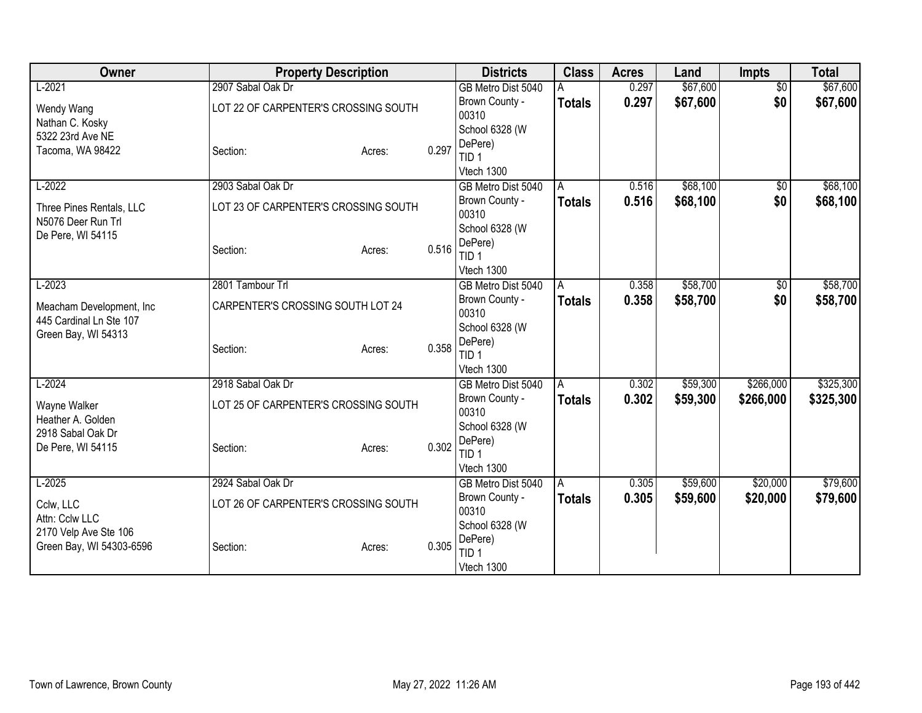| Owner                                  | <b>Property Description</b>          |                                   |       | <b>Districts</b>            | <b>Class</b>  | <b>Acres</b> | Land     | <b>Impts</b>    | <b>Total</b> |
|----------------------------------------|--------------------------------------|-----------------------------------|-------|-----------------------------|---------------|--------------|----------|-----------------|--------------|
| $L-2021$                               | 2907 Sabal Oak Dr                    |                                   |       | GB Metro Dist 5040          |               | 0.297        | \$67,600 | $\overline{50}$ | \$67,600     |
| Wendy Wang                             | LOT 22 OF CARPENTER'S CROSSING SOUTH |                                   |       | Brown County -              | <b>Totals</b> | 0.297        | \$67,600 | \$0             | \$67,600     |
| Nathan C. Kosky                        |                                      |                                   |       | 00310                       |               |              |          |                 |              |
| 5322 23rd Ave NE                       |                                      |                                   |       | School 6328 (W              |               |              |          |                 |              |
| Tacoma, WA 98422                       | Section:                             | Acres:                            | 0.297 | DePere)<br>TID <sub>1</sub> |               |              |          |                 |              |
|                                        |                                      |                                   |       | Vtech 1300                  |               |              |          |                 |              |
| $L-2022$                               | 2903 Sabal Oak Dr                    |                                   |       | GB Metro Dist 5040          | A             | 0.516        | \$68,100 | $\overline{30}$ | \$68,100     |
|                                        |                                      |                                   |       | Brown County -              | <b>Totals</b> | 0.516        | \$68,100 | \$0             | \$68,100     |
| Three Pines Rentals, LLC               | LOT 23 OF CARPENTER'S CROSSING SOUTH |                                   |       | 00310                       |               |              |          |                 |              |
| N5076 Deer Run Trl                     |                                      |                                   |       | School 6328 (W              |               |              |          |                 |              |
| De Pere, WI 54115                      |                                      |                                   |       | DePere)                     |               |              |          |                 |              |
|                                        | Section:                             | Acres:                            | 0.516 | TID <sub>1</sub>            |               |              |          |                 |              |
|                                        |                                      |                                   |       | Vtech 1300                  |               |              |          |                 |              |
| $L-2023$                               | 2801 Tambour Trl                     |                                   |       | GB Metro Dist 5040          | A             | 0.358        | \$58,700 | \$0             | \$58,700     |
| Meacham Development, Inc               |                                      | CARPENTER'S CROSSING SOUTH LOT 24 |       | Brown County -              | <b>Totals</b> | 0.358        | \$58,700 | \$0             | \$58,700     |
| 445 Cardinal Ln Ste 107                |                                      |                                   |       | 00310                       |               |              |          |                 |              |
| Green Bay, WI 54313                    |                                      |                                   |       | School 6328 (W              |               |              |          |                 |              |
|                                        | Section:                             | Acres:                            | 0.358 | DePere)<br>TID <sub>1</sub> |               |              |          |                 |              |
|                                        |                                      |                                   |       | Vtech 1300                  |               |              |          |                 |              |
| $L-2024$                               | 2918 Sabal Oak Dr                    |                                   |       | GB Metro Dist 5040          | A             | 0.302        | \$59,300 | \$266,000       | \$325,300    |
|                                        |                                      |                                   |       | Brown County -              | <b>Totals</b> | 0.302        | \$59,300 | \$266,000       | \$325,300    |
| Wayne Walker                           | LOT 25 OF CARPENTER'S CROSSING SOUTH |                                   |       | 00310                       |               |              |          |                 |              |
| Heather A. Golden<br>2918 Sabal Oak Dr |                                      |                                   |       | School 6328 (W              |               |              |          |                 |              |
| De Pere, WI 54115                      | Section:                             | Acres:                            | 0.302 | DePere)                     |               |              |          |                 |              |
|                                        |                                      |                                   |       | TID <sub>1</sub>            |               |              |          |                 |              |
|                                        |                                      |                                   |       | Vtech 1300                  |               |              |          |                 |              |
| $L-2025$                               | 2924 Sabal Oak Dr                    |                                   |       | GB Metro Dist 5040          | A             | 0.305        | \$59,600 | \$20,000        | \$79,600     |
| Cclw, LLC                              | LOT 26 OF CARPENTER'S CROSSING SOUTH |                                   |       | Brown County -              | <b>Totals</b> | 0.305        | \$59,600 | \$20,000        | \$79,600     |
| Attn: Cclw LLC                         |                                      |                                   |       | 00310                       |               |              |          |                 |              |
| 2170 Velp Ave Ste 106                  |                                      |                                   |       | School 6328 (W<br>DePere)   |               |              |          |                 |              |
| Green Bay, WI 54303-6596               | Section:                             | Acres:                            | 0.305 | TID <sub>1</sub>            |               |              |          |                 |              |
|                                        |                                      |                                   |       | Vtech 1300                  |               |              |          |                 |              |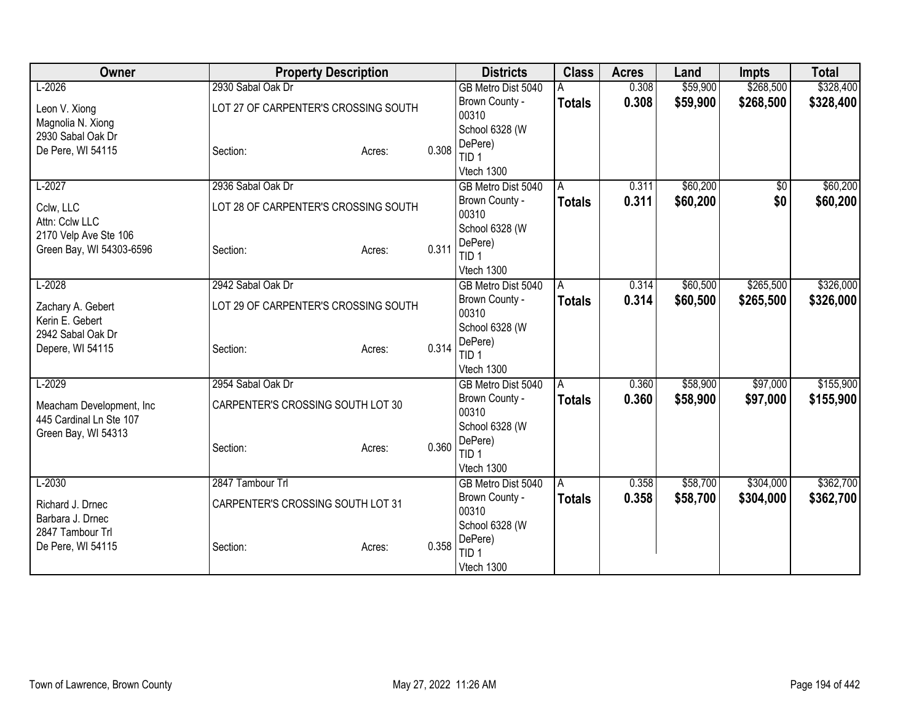| <b>Owner</b>                                      |                                      | <b>Property Description</b>          |                         | <b>Districts</b>                 | <b>Class</b>  | <b>Acres</b> | Land      | <b>Impts</b> | <b>Total</b> |
|---------------------------------------------------|--------------------------------------|--------------------------------------|-------------------------|----------------------------------|---------------|--------------|-----------|--------------|--------------|
| $L-2026$                                          | 2930 Sabal Oak Dr                    |                                      |                         | GB Metro Dist 5040               |               | 0.308        | \$59,900  | \$268,500    | \$328,400    |
| Leon V. Xiong                                     | LOT 27 OF CARPENTER'S CROSSING SOUTH |                                      |                         | Brown County -                   | <b>Totals</b> | 0.308        | \$59,900  | \$268,500    | \$328,400    |
| Magnolia N. Xiong                                 |                                      |                                      |                         | 00310                            |               |              |           |              |              |
| 2930 Sabal Oak Dr                                 |                                      |                                      |                         | School 6328 (W                   |               |              |           |              |              |
| De Pere, WI 54115                                 | Section:                             | Acres:                               | 0.308                   | DePere)<br>TID <sub>1</sub>      |               |              |           |              |              |
|                                                   |                                      |                                      |                         | Vtech 1300                       |               |              |           |              |              |
| $L-2027$                                          | 2936 Sabal Oak Dr                    |                                      |                         | GB Metro Dist 5040               | A             | 0.311        | \$60,200  | $\sqrt{6}$   | \$60,200     |
|                                                   |                                      |                                      |                         | Brown County -                   | <b>Totals</b> | 0.311        | \$60,200  | \$0          | \$60,200     |
| Cclw, LLC                                         |                                      | LOT 28 OF CARPENTER'S CROSSING SOUTH |                         | 00310                            |               |              |           |              |              |
| Attn: Cclw LLC                                    |                                      |                                      |                         | School 6328 (W                   |               |              |           |              |              |
| 2170 Velp Ave Ste 106<br>Green Bay, WI 54303-6596 | Section:                             | Acres:                               | 0.311                   | DePere)                          |               |              |           |              |              |
|                                                   |                                      |                                      |                         | TID <sub>1</sub>                 |               |              |           |              |              |
|                                                   |                                      |                                      |                         | Vtech 1300                       |               |              |           |              |              |
| $L-2028$                                          | 2942 Sabal Oak Dr                    |                                      | GB Metro Dist 5040      | A                                | 0.314         | \$60,500     | \$265,500 | \$326,000    |              |
| Zachary A. Gebert                                 | LOT 29 OF CARPENTER'S CROSSING SOUTH |                                      | Brown County -<br>00310 | <b>Totals</b>                    | 0.314         | \$60,500     | \$265,500 | \$326,000    |              |
| Kerin E. Gebert                                   |                                      |                                      |                         | School 6328 (W                   |               |              |           |              |              |
| 2942 Sabal Oak Dr                                 |                                      |                                      |                         | DePere)                          |               |              |           |              |              |
| Depere, WI 54115                                  | Section:                             | Acres:                               | 0.314                   | TID 1                            |               |              |           |              |              |
|                                                   |                                      |                                      |                         | Vtech 1300                       |               |              |           |              |              |
| $L-2029$                                          | 2954 Sabal Oak Dr                    |                                      |                         | GB Metro Dist 5040               | A             | 0.360        | \$58,900  | \$97,000     | \$155,900    |
| Meacham Development, Inc                          | CARPENTER'S CROSSING SOUTH LOT 30    |                                      |                         | Brown County -                   | <b>Totals</b> | 0.360        | \$58,900  | \$97,000     | \$155,900    |
| 445 Cardinal Ln Ste 107                           |                                      |                                      |                         | 00310                            |               |              |           |              |              |
| Green Bay, WI 54313                               |                                      |                                      |                         | School 6328 (W                   |               |              |           |              |              |
|                                                   | Section:                             | Acres:                               | 0.360                   | DePere)                          |               |              |           |              |              |
|                                                   |                                      |                                      |                         | TID <sub>1</sub>                 |               |              |           |              |              |
| $L-2030$                                          | 2847 Tambour Trl                     |                                      |                         | Vtech 1300<br>GB Metro Dist 5040 | A             | 0.358        | \$58,700  | \$304,000    | \$362,700    |
|                                                   |                                      |                                      |                         | Brown County -                   | <b>Totals</b> | 0.358        | \$58,700  | \$304,000    | \$362,700    |
| Richard J. Drnec                                  | CARPENTER'S CROSSING SOUTH LOT 31    |                                      |                         | 00310                            |               |              |           |              |              |
| Barbara J. Drnec                                  |                                      |                                      |                         | School 6328 (W                   |               |              |           |              |              |
| 2847 Tambour Trl                                  |                                      |                                      |                         | DePere)                          |               |              |           |              |              |
| De Pere, WI 54115                                 | Section:                             | Acres:                               | 0.358                   | TID <sub>1</sub>                 |               |              |           |              |              |
|                                                   |                                      |                                      |                         | Vtech 1300                       |               |              |           |              |              |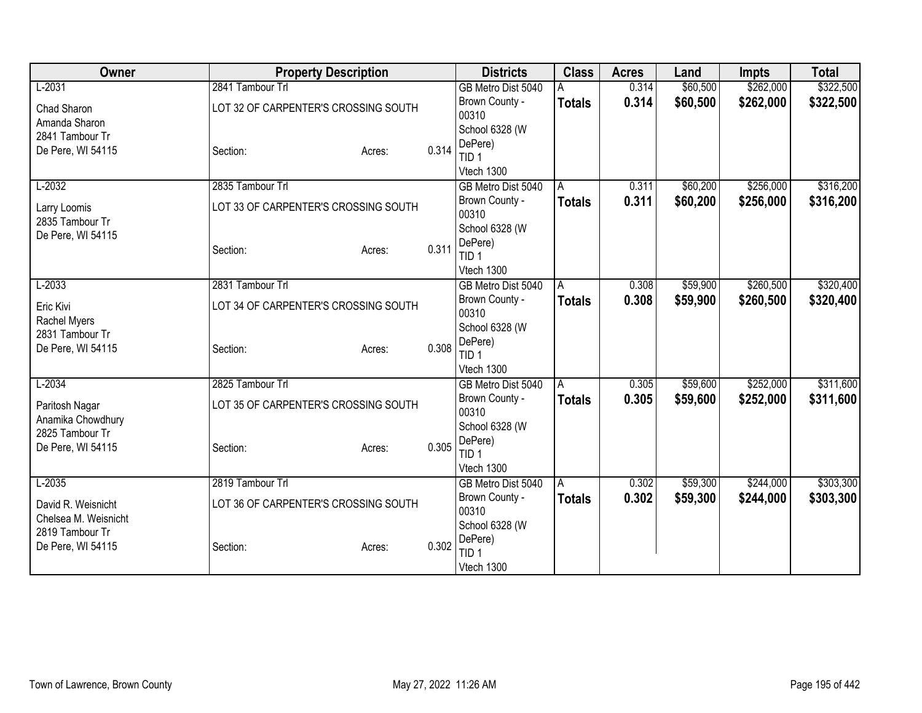| Owner                                | <b>Property Description</b>          |        |                         | <b>Districts</b>               | <b>Class</b>   | <b>Acres</b> | Land      | <b>Impts</b> | <b>Total</b> |
|--------------------------------------|--------------------------------------|--------|-------------------------|--------------------------------|----------------|--------------|-----------|--------------|--------------|
| $L-2031$                             | 2841 Tambour Trl                     |        |                         | GB Metro Dist 5040             |                | 0.314        | \$60,500  | \$262,000    | \$322,500    |
| Chad Sharon                          | LOT 32 OF CARPENTER'S CROSSING SOUTH |        |                         | Brown County -                 | <b>Totals</b>  | 0.314        | \$60,500  | \$262,000    | \$322,500    |
| Amanda Sharon                        |                                      |        |                         | 00310                          |                |              |           |              |              |
| 2841 Tambour Tr                      |                                      |        |                         | School 6328 (W                 |                |              |           |              |              |
| De Pere, WI 54115                    | Section:                             | Acres: | 0.314                   | DePere)<br>TID <sub>1</sub>    |                |              |           |              |              |
|                                      |                                      |        |                         | Vtech 1300                     |                |              |           |              |              |
| $L-2032$                             | 2835 Tambour Trl                     |        |                         | GB Metro Dist 5040             | A              | 0.311        | \$60,200  | \$256,000    | \$316,200    |
|                                      |                                      |        |                         | Brown County -                 | <b>Totals</b>  | 0.311        | \$60,200  | \$256,000    | \$316,200    |
| Larry Loomis                         | LOT 33 OF CARPENTER'S CROSSING SOUTH |        |                         | 00310                          |                |              |           |              |              |
| 2835 Tambour Tr<br>De Pere, WI 54115 |                                      |        |                         | School 6328 (W                 |                |              |           |              |              |
|                                      | Section:                             | Acres: | 0.311                   | DePere)                        |                |              |           |              |              |
|                                      |                                      |        |                         | TID <sub>1</sub>               |                |              |           |              |              |
|                                      |                                      |        |                         | Vtech 1300                     |                |              |           |              |              |
| $L-2033$                             | 2831 Tambour Trl                     |        |                         | GB Metro Dist 5040             | $\overline{A}$ | 0.308        | \$59,900  | \$260,500    | \$320,400    |
| Eric Kivi                            | LOT 34 OF CARPENTER'S CROSSING SOUTH |        | Brown County -<br>00310 | <b>Totals</b>                  | 0.308          | \$59,900     | \$260,500 | \$320,400    |              |
| Rachel Myers                         |                                      |        |                         | School 6328 (W                 |                |              |           |              |              |
| 2831 Tambour Tr                      |                                      |        |                         | DePere)                        |                |              |           |              |              |
| De Pere, WI 54115                    | Section:                             | Acres: | 0.308                   | TID <sub>1</sub>               |                |              |           |              |              |
|                                      |                                      |        |                         | Vtech 1300                     |                |              |           |              |              |
| $L-2034$                             | 2825 Tambour Trl                     |        |                         | GB Metro Dist 5040             | l A            | 0.305        | \$59,600  | \$252,000    | \$311,600    |
| Paritosh Nagar                       | LOT 35 OF CARPENTER'S CROSSING SOUTH |        |                         | Brown County -                 | <b>Totals</b>  | 0.305        | \$59,600  | \$252,000    | \$311,600    |
| Anamika Chowdhury                    |                                      |        |                         | 00310                          |                |              |           |              |              |
| 2825 Tambour Tr                      |                                      |        |                         | School 6328 (W                 |                |              |           |              |              |
| De Pere, WI 54115                    | Section:                             | Acres: | 0.305                   | DePere)                        |                |              |           |              |              |
|                                      |                                      |        |                         | TID <sub>1</sub><br>Vtech 1300 |                |              |           |              |              |
| $L-2035$                             | 2819 Tambour Trl                     |        |                         | GB Metro Dist 5040             | l A            | 0.302        | \$59,300  | \$244,000    | \$303,300    |
|                                      |                                      |        |                         | Brown County -                 | <b>Totals</b>  | 0.302        | \$59,300  | \$244,000    | \$303,300    |
| David R. Weisnicht                   | LOT 36 OF CARPENTER'S CROSSING SOUTH |        |                         | 00310                          |                |              |           |              |              |
| Chelsea M. Weisnicht                 |                                      |        |                         | School 6328 (W                 |                |              |           |              |              |
| 2819 Tambour Tr                      |                                      |        |                         | DePere)                        |                |              |           |              |              |
| De Pere, WI 54115                    | Section:                             | Acres: | 0.302                   | TID <sub>1</sub>               |                |              |           |              |              |
|                                      |                                      |        |                         | Vtech 1300                     |                |              |           |              |              |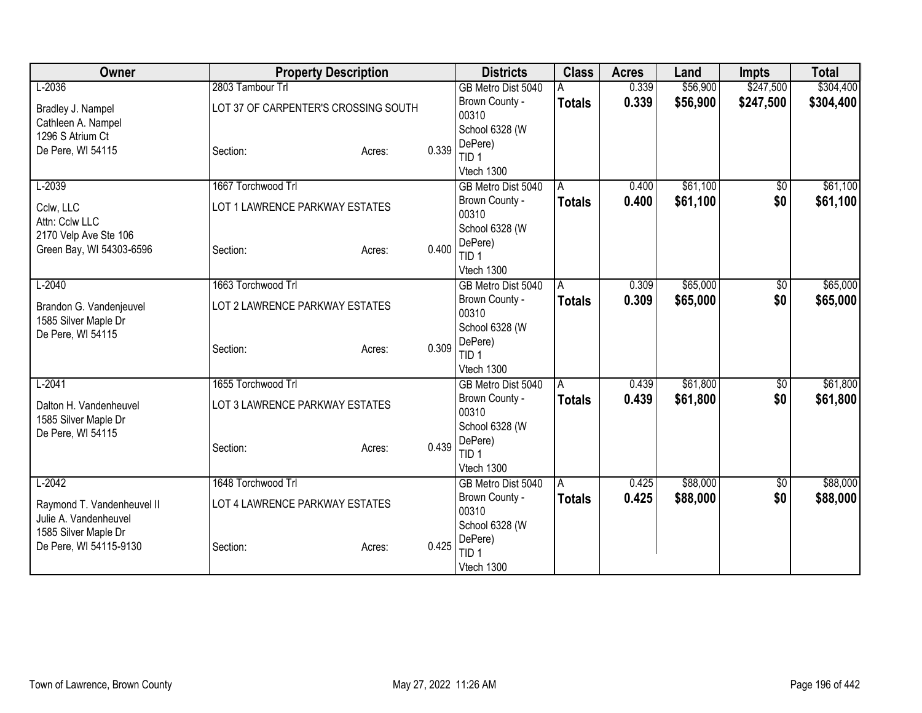| Owner                                   | <b>Property Description</b>          |                                | <b>Districts</b>                     | <b>Class</b>  | <b>Acres</b> | Land     | <b>Impts</b> | <b>Total</b> |
|-----------------------------------------|--------------------------------------|--------------------------------|--------------------------------------|---------------|--------------|----------|--------------|--------------|
| $L-2036$                                | 2803 Tambour Trl                     |                                | GB Metro Dist 5040                   |               | 0.339        | \$56,900 | \$247,500    | \$304,400    |
| Bradley J. Nampel                       | LOT 37 OF CARPENTER'S CROSSING SOUTH |                                | Brown County -                       | <b>Totals</b> | 0.339        | \$56,900 | \$247,500    | \$304,400    |
| Cathleen A. Nampel                      |                                      |                                | 00310                                |               |              |          |              |              |
| 1296 S Atrium Ct                        |                                      |                                | School 6328 (W                       |               |              |          |              |              |
| De Pere, WI 54115                       | Section:                             | 0.339<br>Acres:                | DePere)<br>TID <sub>1</sub>          |               |              |          |              |              |
|                                         |                                      |                                | Vtech 1300                           |               |              |          |              |              |
| $L-2039$                                | 1667 Torchwood Trl                   |                                | GB Metro Dist 5040                   | A             | 0.400        | \$61,100 | $\sqrt{6}$   | \$61,100     |
|                                         |                                      |                                | Brown County -                       | <b>Totals</b> | 0.400        | \$61,100 | \$0          | \$61,100     |
| Cclw, LLC                               | LOT 1 LAWRENCE PARKWAY ESTATES       |                                | 00310                                |               |              |          |              |              |
| Attn: Cclw LLC<br>2170 Velp Ave Ste 106 |                                      |                                | School 6328 (W                       |               |              |          |              |              |
| Green Bay, WI 54303-6596                | Section:                             | 0.400<br>Acres:                | DePere)                              |               |              |          |              |              |
|                                         |                                      |                                | TID <sub>1</sub>                     |               |              |          |              |              |
|                                         |                                      |                                | Vtech 1300                           |               |              |          |              |              |
| $L-2040$                                | 1663 Torchwood Trl                   |                                | GB Metro Dist 5040<br>Brown County - | A             | 0.309        | \$65,000 | \$0          | \$65,000     |
| Brandon G. Vandenjeuvel                 |                                      | LOT 2 LAWRENCE PARKWAY ESTATES |                                      | <b>Totals</b> | 0.309        | \$65,000 | \$0          | \$65,000     |
| 1585 Silver Maple Dr                    |                                      |                                | 00310<br>School 6328 (W              |               |              |          |              |              |
| De Pere, WI 54115                       |                                      |                                | DePere)                              |               |              |          |              |              |
|                                         | Section:                             | 0.309<br>Acres:                | TID <sub>1</sub>                     |               |              |          |              |              |
|                                         |                                      |                                | Vtech 1300                           |               |              |          |              |              |
| $L-2041$                                | 1655 Torchwood Trl                   |                                | GB Metro Dist 5040                   | A             | 0.439        | \$61,800 | \$0          | \$61,800     |
| Dalton H. Vandenheuvel                  | LOT 3 LAWRENCE PARKWAY ESTATES       |                                | Brown County -                       | <b>Totals</b> | 0.439        | \$61,800 | \$0          | \$61,800     |
| 1585 Silver Maple Dr                    |                                      |                                | 00310                                |               |              |          |              |              |
| De Pere, WI 54115                       |                                      |                                | School 6328 (W                       |               |              |          |              |              |
|                                         | Section:                             | 0.439<br>Acres:                | DePere)                              |               |              |          |              |              |
|                                         |                                      |                                | TID <sub>1</sub>                     |               |              |          |              |              |
| $L-2042$                                | 1648 Torchwood Trl                   |                                | Vtech 1300<br>GB Metro Dist 5040     | A             | 0.425        | \$88,000 | $\sqrt{6}$   | \$88,000     |
|                                         |                                      |                                | Brown County -                       | <b>Totals</b> | 0.425        | \$88,000 | \$0          | \$88,000     |
| Raymond T. Vandenheuvel II              | LOT 4 LAWRENCE PARKWAY ESTATES       |                                | 00310                                |               |              |          |              |              |
| Julie A. Vandenheuvel                   |                                      |                                | School 6328 (W                       |               |              |          |              |              |
| 1585 Silver Maple Dr                    |                                      |                                | DePere)                              |               |              |          |              |              |
| De Pere, WI 54115-9130                  | Section:                             | 0.425<br>Acres:                | TID <sub>1</sub>                     |               |              |          |              |              |
|                                         |                                      |                                | Vtech 1300                           |               |              |          |              |              |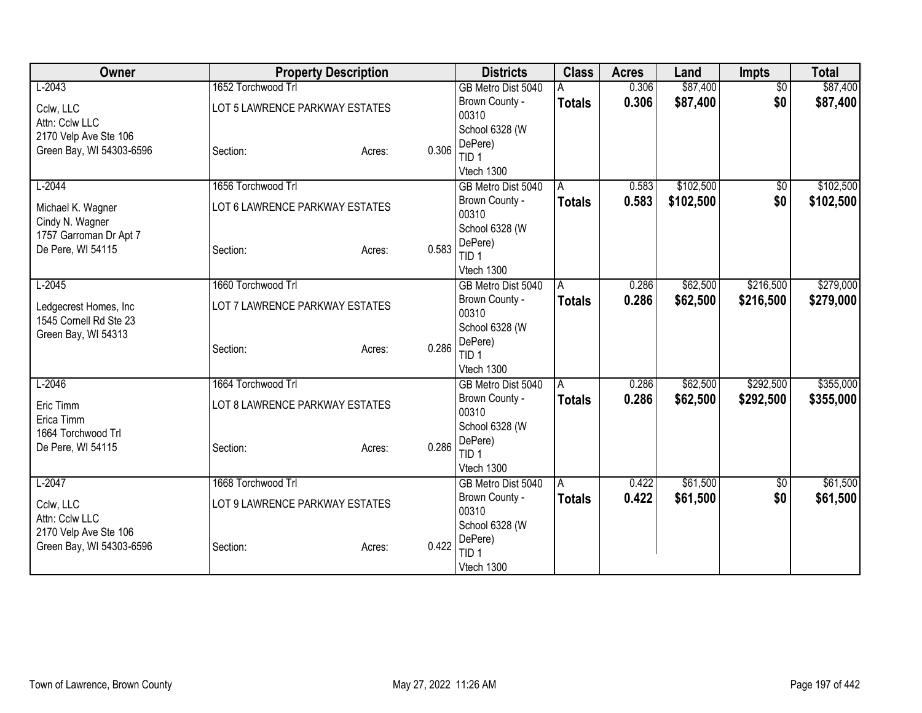| Owner                    |                                | <b>Property Description</b>    |       | <b>Districts</b>            | <b>Class</b>  | <b>Acres</b> | Land      | <b>Impts</b>    | <b>Total</b> |
|--------------------------|--------------------------------|--------------------------------|-------|-----------------------------|---------------|--------------|-----------|-----------------|--------------|
| $L-2043$                 | 1652 Torchwood Trl             |                                |       | GB Metro Dist 5040          |               | 0.306        | \$87,400  | $\overline{50}$ | \$87,400     |
| Cclw, LLC                | LOT 5 LAWRENCE PARKWAY ESTATES |                                |       | Brown County -              | <b>Totals</b> | 0.306        | \$87,400  | \$0             | \$87,400     |
| Attn: Cclw LLC           |                                |                                |       | 00310                       |               |              |           |                 |              |
| 2170 Velp Ave Ste 106    |                                |                                |       | School 6328 (W              |               |              |           |                 |              |
| Green Bay, WI 54303-6596 | Section:                       | Acres:                         | 0.306 | DePere)                     |               |              |           |                 |              |
|                          |                                |                                |       | TID 1                       |               |              |           |                 |              |
|                          |                                |                                |       | Vtech 1300                  |               |              |           |                 |              |
| $L-2044$                 | 1656 Torchwood Trl             |                                |       | GB Metro Dist 5040          | A             | 0.583        | \$102,500 | $\sqrt{6}$      | \$102,500    |
| Michael K. Wagner        | LOT 6 LAWRENCE PARKWAY ESTATES |                                |       | Brown County -<br>00310     | <b>Totals</b> | 0.583        | \$102,500 | \$0             | \$102,500    |
| Cindy N. Wagner          |                                |                                |       | School 6328 (W              |               |              |           |                 |              |
| 1757 Garroman Dr Apt 7   |                                |                                |       | DePere)                     |               |              |           |                 |              |
| De Pere, WI 54115        | Section:                       | Acres:                         | 0.583 | TID <sub>1</sub>            |               |              |           |                 |              |
|                          |                                |                                |       | Vtech 1300                  |               |              |           |                 |              |
| $L-2045$                 | 1660 Torchwood Trl             |                                |       | GB Metro Dist 5040          | l A           | 0.286        | \$62,500  | \$216,500       | \$279,000    |
|                          |                                |                                |       | Brown County -              | <b>Totals</b> | 0.286        | \$62,500  | \$216,500       | \$279,000    |
| Ledgecrest Homes, Inc    |                                | LOT 7 LAWRENCE PARKWAY ESTATES |       | 00310                       |               |              |           |                 |              |
| 1545 Cornell Rd Ste 23   |                                |                                |       | School 6328 (W              |               |              |           |                 |              |
| Green Bay, WI 54313      | Section:                       |                                | 0.286 | DePere)                     |               |              |           |                 |              |
|                          |                                | Acres:                         |       | TID <sub>1</sub>            |               |              |           |                 |              |
|                          |                                |                                |       | Vtech 1300                  |               |              |           |                 |              |
| $L-2046$                 | 1664 Torchwood Trl             |                                |       | GB Metro Dist 5040          | l A           | 0.286        | \$62,500  | \$292,500       | \$355,000    |
| Eric Timm                | LOT 8 LAWRENCE PARKWAY ESTATES |                                |       | Brown County -              | <b>Totals</b> | 0.286        | \$62,500  | \$292,500       | \$355,000    |
| Erica Timm               |                                |                                |       | 00310                       |               |              |           |                 |              |
| 1664 Torchwood Trl       |                                |                                |       | School 6328 (W              |               |              |           |                 |              |
| De Pere, WI 54115        | Section:                       | Acres:                         | 0.286 | DePere)<br>TID <sub>1</sub> |               |              |           |                 |              |
|                          |                                |                                |       | Vtech 1300                  |               |              |           |                 |              |
| $L-2047$                 | 1668 Torchwood Trl             |                                |       | GB Metro Dist 5040          | IA.           | 0.422        | \$61,500  | \$0             | \$61,500     |
|                          |                                |                                |       | Brown County -              | <b>Totals</b> | 0.422        | \$61,500  | \$0             | \$61,500     |
| Cclw, LLC                | LOT 9 LAWRENCE PARKWAY ESTATES |                                |       | 00310                       |               |              |           |                 |              |
| Attn: Cclw LLC           |                                |                                |       | School 6328 (W              |               |              |           |                 |              |
| 2170 Velp Ave Ste 106    |                                |                                |       | DePere)                     |               |              |           |                 |              |
| Green Bay, WI 54303-6596 | Section:                       | Acres:                         | 0.422 | TID <sub>1</sub>            |               |              |           |                 |              |
|                          |                                |                                |       | Vtech 1300                  |               |              |           |                 |              |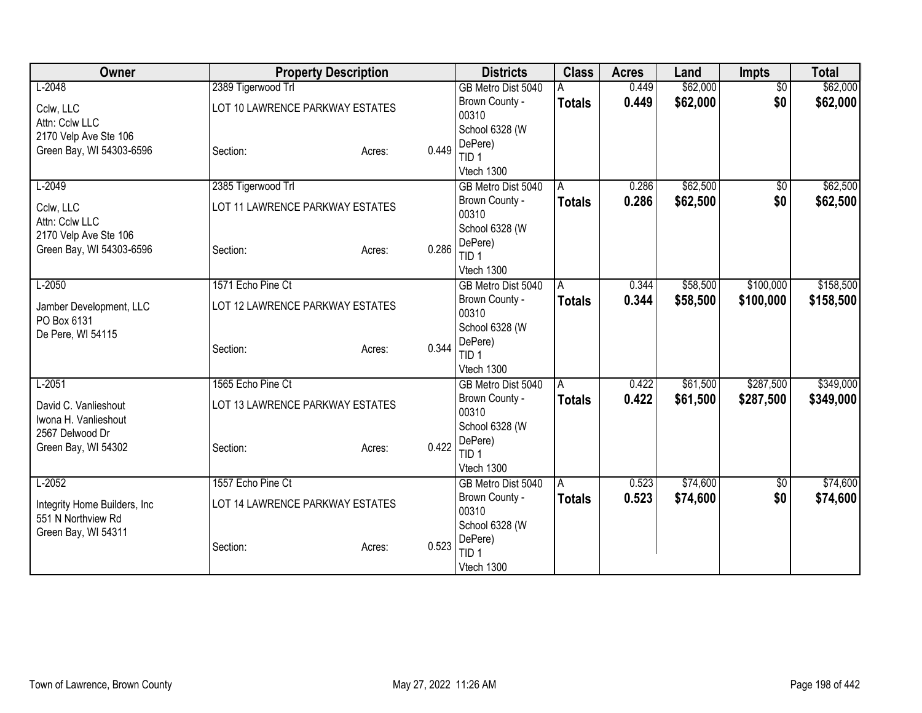| <b>Owner</b>                                      | <b>Property Description</b>     |                 | <b>Districts</b>            | <b>Class</b>  | <b>Acres</b> | Land     | <b>Impts</b>    | <b>Total</b> |
|---------------------------------------------------|---------------------------------|-----------------|-----------------------------|---------------|--------------|----------|-----------------|--------------|
| $L-2048$                                          | 2389 Tigerwood Trl              |                 | GB Metro Dist 5040          |               | 0.449        | \$62,000 | $\overline{50}$ | \$62,000     |
| Cclw, LLC                                         | LOT 10 LAWRENCE PARKWAY ESTATES |                 | Brown County -              | Totals        | 0.449        | \$62,000 | \$0             | \$62,000     |
| Attn: Cclw LLC                                    |                                 |                 | 00310                       |               |              |          |                 |              |
| 2170 Velp Ave Ste 106                             |                                 |                 | School 6328 (W              |               |              |          |                 |              |
| Green Bay, WI 54303-6596                          | Section:                        | 0.449<br>Acres: | DePere)<br>TID 1            |               |              |          |                 |              |
|                                                   |                                 |                 | Vtech 1300                  |               |              |          |                 |              |
| $L-2049$                                          | 2385 Tigerwood Trl              |                 | GB Metro Dist 5040          | A             | 0.286        | \$62,500 | $\sqrt{6}$      | \$62,500     |
|                                                   |                                 |                 | Brown County -              | <b>Totals</b> | 0.286        | \$62,500 | \$0             | \$62,500     |
| Cclw, LLC                                         | LOT 11 LAWRENCE PARKWAY ESTATES |                 | 00310                       |               |              |          |                 |              |
| Attn: Cclw LLC                                    |                                 |                 | School 6328 (W              |               |              |          |                 |              |
| 2170 Velp Ave Ste 106<br>Green Bay, WI 54303-6596 | Section:                        | Acres:          | DePere)<br>0.286            |               |              |          |                 |              |
|                                                   |                                 |                 | TID <sub>1</sub>            |               |              |          |                 |              |
|                                                   |                                 |                 | Vtech 1300                  |               |              |          |                 |              |
| $L-2050$                                          | 1571 Echo Pine Ct               |                 | GB Metro Dist 5040          | A             | 0.344        | \$58,500 | \$100,000       | \$158,500    |
| Jamber Development, LLC                           | LOT 12 LAWRENCE PARKWAY ESTATES |                 | Brown County -              | <b>Totals</b> | 0.344        | \$58,500 | \$100,000       | \$158,500    |
| PO Box 6131                                       |                                 |                 | 00310                       |               |              |          |                 |              |
| De Pere, WI 54115                                 |                                 |                 | School 6328 (W              |               |              |          |                 |              |
|                                                   | Section:                        | 0.344<br>Acres: | DePere)<br>TID <sub>1</sub> |               |              |          |                 |              |
|                                                   |                                 |                 | Vtech 1300                  |               |              |          |                 |              |
| $L-2051$                                          | 1565 Echo Pine Ct               |                 | GB Metro Dist 5040          | A             | 0.422        | \$61,500 | \$287,500       | \$349,000    |
|                                                   |                                 |                 | Brown County -              | <b>Totals</b> | 0.422        | \$61,500 | \$287,500       | \$349,000    |
| David C. Vanlieshout<br>Iwona H. Vanlieshout      | LOT 13 LAWRENCE PARKWAY ESTATES |                 | 00310                       |               |              |          |                 |              |
| 2567 Delwood Dr                                   |                                 |                 | School 6328 (W              |               |              |          |                 |              |
| Green Bay, WI 54302                               | Section:                        | 0.422<br>Acres: | DePere)                     |               |              |          |                 |              |
|                                                   |                                 |                 | TID <sub>1</sub>            |               |              |          |                 |              |
|                                                   |                                 |                 | Vtech 1300                  |               |              |          |                 |              |
| $L-2052$                                          | 1557 Echo Pine Ct               |                 | GB Metro Dist 5040          | A             | 0.523        | \$74,600 | \$0             | \$74,600     |
| Integrity Home Builders, Inc.                     | LOT 14 LAWRENCE PARKWAY ESTATES |                 | Brown County -              | <b>Totals</b> | 0.523        | \$74,600 | \$0             | \$74,600     |
| 551 N Northview Rd                                |                                 |                 | 00310                       |               |              |          |                 |              |
| Green Bay, WI 54311                               |                                 |                 | School 6328 (W<br>DePere)   |               |              |          |                 |              |
|                                                   | Section:                        | 0.523<br>Acres: | TID <sub>1</sub>            |               |              |          |                 |              |
|                                                   |                                 |                 | Vtech 1300                  |               |              |          |                 |              |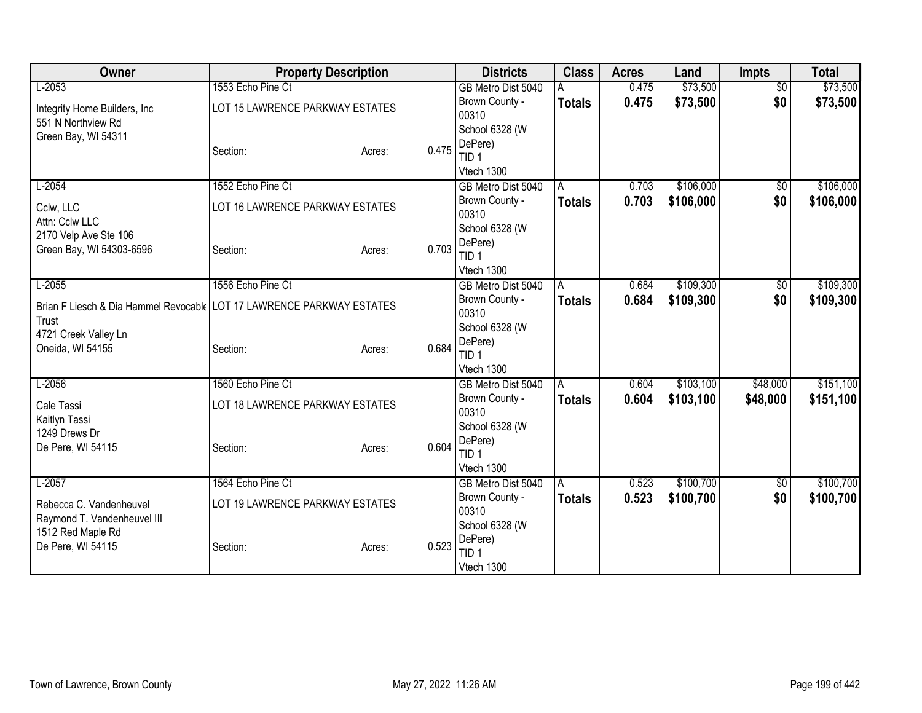| Owner                                                                 | <b>Property Description</b>     |                 | <b>Districts</b>        | <b>Class</b>  | <b>Acres</b> | Land      | <b>Impts</b>    | <b>Total</b> |
|-----------------------------------------------------------------------|---------------------------------|-----------------|-------------------------|---------------|--------------|-----------|-----------------|--------------|
| $L-2053$                                                              | 1553 Echo Pine Ct               |                 | GB Metro Dist 5040      |               | 0.475        | \$73,500  | $\overline{50}$ | \$73,500     |
| Integrity Home Builders, Inc.                                         | LOT 15 LAWRENCE PARKWAY ESTATES |                 | Brown County -          | <b>Totals</b> | 0.475        | \$73,500  | \$0             | \$73,500     |
| 551 N Northview Rd                                                    |                                 |                 | 00310                   |               |              |           |                 |              |
| Green Bay, WI 54311                                                   |                                 |                 | School 6328 (W          |               |              |           |                 |              |
|                                                                       | Section:                        | 0.475<br>Acres: | DePere)<br>TID 1        |               |              |           |                 |              |
|                                                                       |                                 |                 | Vtech 1300              |               |              |           |                 |              |
| $L-2054$                                                              | 1552 Echo Pine Ct               |                 | GB Metro Dist 5040      | A             | 0.703        | \$106,000 | $\sqrt{6}$      | \$106,000    |
|                                                                       |                                 |                 | Brown County -          | <b>Totals</b> | 0.703        | \$106,000 | \$0             | \$106,000    |
| Cclw, LLC                                                             | LOT 16 LAWRENCE PARKWAY ESTATES |                 | 00310                   |               |              |           |                 |              |
| Attn: Cclw LLC                                                        |                                 |                 | School 6328 (W          |               |              |           |                 |              |
| 2170 Velp Ave Ste 106                                                 |                                 |                 | DePere)                 |               |              |           |                 |              |
| Green Bay, WI 54303-6596                                              | Section:                        | 0.703<br>Acres: | TID <sub>1</sub>        |               |              |           |                 |              |
|                                                                       |                                 |                 | Vtech 1300              |               |              |           |                 |              |
| $L-2055$                                                              | 1556 Echo Pine Ct               |                 | GB Metro Dist 5040      | A             | 0.684        | \$109,300 | \$0             | \$109,300    |
| Brian F Liesch & Dia Hammel Revocable LOT 17 LAWRENCE PARKWAY ESTATES |                                 |                 | Brown County -          | Totals        | 0.684        | \$109,300 | \$0             | \$109,300    |
| Trust                                                                 |                                 |                 | 00310                   |               |              |           |                 |              |
| 4721 Creek Valley Ln                                                  |                                 |                 | School 6328 (W          |               |              |           |                 |              |
| Oneida, WI 54155                                                      | Section:                        | 0.684<br>Acres: | DePere)                 |               |              |           |                 |              |
|                                                                       |                                 |                 | TID <sub>1</sub>        |               |              |           |                 |              |
|                                                                       |                                 |                 | Vtech 1300              |               |              |           |                 |              |
| $L-2056$                                                              | 1560 Echo Pine Ct               |                 | GB Metro Dist 5040      | A             | 0.604        | \$103,100 | \$48,000        | \$151,100    |
| Cale Tassi                                                            | LOT 18 LAWRENCE PARKWAY ESTATES |                 | Brown County -<br>00310 | <b>Totals</b> | 0.604        | \$103,100 | \$48,000        | \$151,100    |
| Kaitlyn Tassi                                                         |                                 |                 | School 6328 (W          |               |              |           |                 |              |
| 1249 Drews Dr                                                         |                                 |                 | DePere)                 |               |              |           |                 |              |
| De Pere, WI 54115                                                     | Section:                        | 0.604<br>Acres: | TID <sub>1</sub>        |               |              |           |                 |              |
|                                                                       |                                 |                 | Vtech 1300              |               |              |           |                 |              |
| $L-2057$                                                              | 1564 Echo Pine Ct               |                 | GB Metro Dist 5040      | A.            | 0.523        | \$100,700 | \$0             | \$100,700    |
|                                                                       |                                 |                 | Brown County -          | <b>Totals</b> | 0.523        | \$100,700 | \$0             | \$100,700    |
| Rebecca C. Vandenheuvel                                               | LOT 19 LAWRENCE PARKWAY ESTATES |                 | 00310                   |               |              |           |                 |              |
| Raymond T. Vandenheuvel III                                           |                                 |                 | School 6328 (W          |               |              |           |                 |              |
| 1512 Red Maple Rd<br>De Pere, WI 54115                                | Section:                        | 0.523<br>Acres: | DePere)                 |               |              |           |                 |              |
|                                                                       |                                 |                 | TID <sub>1</sub>        |               |              |           |                 |              |
|                                                                       |                                 |                 | Vtech 1300              |               |              |           |                 |              |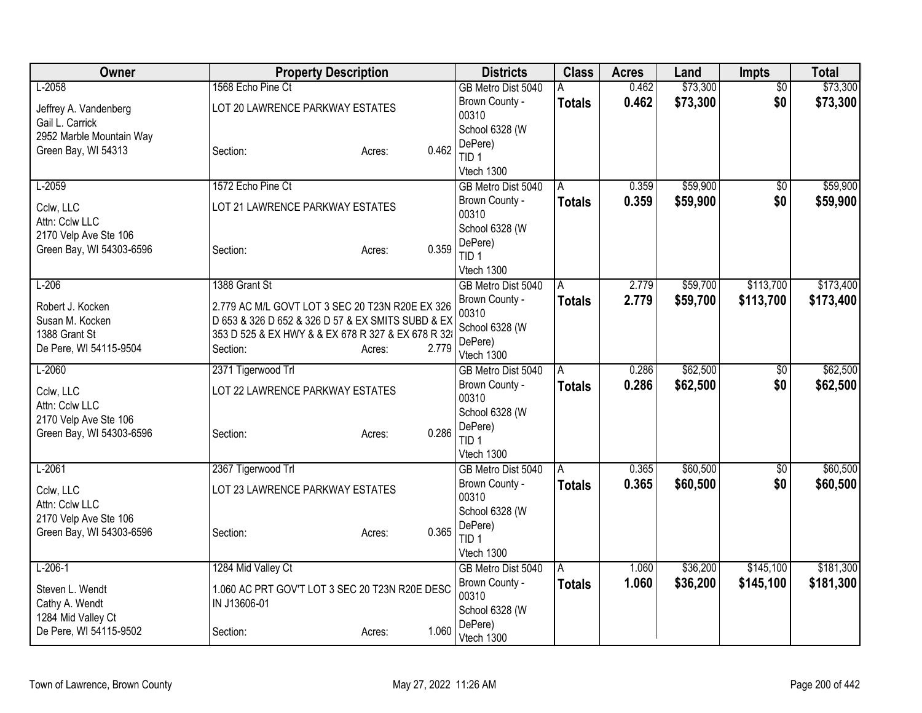| Owner                            |                                                                                                      | <b>Property Description</b> | <b>Districts</b>            | <b>Class</b>  | <b>Acres</b> | Land     | <b>Impts</b>    | <b>Total</b> |
|----------------------------------|------------------------------------------------------------------------------------------------------|-----------------------------|-----------------------------|---------------|--------------|----------|-----------------|--------------|
| $L-2058$                         | 1568 Echo Pine Ct                                                                                    |                             | GB Metro Dist 5040          | Α             | 0.462        | \$73,300 | $\overline{50}$ | \$73,300     |
| Jeffrey A. Vandenberg            | LOT 20 LAWRENCE PARKWAY ESTATES                                                                      |                             | Brown County -              | <b>Totals</b> | 0.462        | \$73,300 | \$0             | \$73,300     |
| Gail L. Carrick                  |                                                                                                      |                             | 00310<br>School 6328 (W     |               |              |          |                 |              |
| 2952 Marble Mountain Way         |                                                                                                      |                             | DePere)                     |               |              |          |                 |              |
| Green Bay, WI 54313              | Section:                                                                                             | 0.462<br>Acres:             | TID <sub>1</sub>            |               |              |          |                 |              |
|                                  |                                                                                                      |                             | Vtech 1300                  |               |              |          |                 |              |
| $L-2059$                         | 1572 Echo Pine Ct                                                                                    |                             | GB Metro Dist 5040          | Α             | 0.359        | \$59,900 | $\overline{50}$ | \$59,900     |
| Cclw, LLC                        | LOT 21 LAWRENCE PARKWAY ESTATES                                                                      |                             | Brown County -              | <b>Totals</b> | 0.359        | \$59,900 | \$0             | \$59,900     |
| Attn: Cclw LLC                   |                                                                                                      |                             | 00310                       |               |              |          |                 |              |
| 2170 Velp Ave Ste 106            |                                                                                                      |                             | School 6328 (W              |               |              |          |                 |              |
| Green Bay, WI 54303-6596         | Section:                                                                                             | 0.359<br>Acres:             | DePere)<br>TID <sub>1</sub> |               |              |          |                 |              |
|                                  |                                                                                                      |                             | Vtech 1300                  |               |              |          |                 |              |
| $L-206$                          | 1388 Grant St                                                                                        |                             | GB Metro Dist 5040          | A             | 2.779        | \$59,700 | \$113,700       | \$173,400    |
|                                  |                                                                                                      |                             | Brown County -              | Totals        | 2.779        | \$59,700 | \$113,700       | \$173,400    |
| Robert J. Kocken                 | 2.779 AC M/L GOVT LOT 3 SEC 20 T23N R20E EX 326<br>D 653 & 326 D 652 & 326 D 57 & EX SMITS SUBD & EX |                             | 00310                       |               |              |          |                 |              |
| Susan M. Kocken<br>1388 Grant St | 353 D 525 & EX HWY & & EX 678 R 327 & EX 678 R 328                                                   |                             | School 6328 (W              |               |              |          |                 |              |
| De Pere, WI 54115-9504           | Section:                                                                                             | 2.779<br>Acres:             | DePere)                     |               |              |          |                 |              |
|                                  |                                                                                                      |                             | Vtech 1300                  |               |              |          |                 |              |
| $L-2060$                         | 2371 Tigerwood Trl                                                                                   |                             | GB Metro Dist 5040          | A             | 0.286        | \$62,500 | $\overline{50}$ | \$62,500     |
| Cclw, LLC                        | LOT 22 LAWRENCE PARKWAY ESTATES                                                                      |                             | Brown County -<br>00310     | <b>Totals</b> | 0.286        | \$62,500 | \$0             | \$62,500     |
| Attn: Cclw LLC                   |                                                                                                      |                             | School 6328 (W              |               |              |          |                 |              |
| 2170 Velp Ave Ste 106            |                                                                                                      |                             | DePere)                     |               |              |          |                 |              |
| Green Bay, WI 54303-6596         | Section:                                                                                             | 0.286<br>Acres:             | TID <sub>1</sub>            |               |              |          |                 |              |
|                                  |                                                                                                      |                             | Vtech 1300                  |               |              |          |                 |              |
| $L-2061$                         | 2367 Tigerwood Trl                                                                                   |                             | GB Metro Dist 5040          | A             | 0.365        | \$60,500 | $\overline{60}$ | \$60,500     |
| Cclw, LLC                        | LOT 23 LAWRENCE PARKWAY ESTATES                                                                      |                             | Brown County -              | <b>Totals</b> | 0.365        | \$60,500 | \$0             | \$60,500     |
| Attn: Cclw LLC                   |                                                                                                      |                             | 00310                       |               |              |          |                 |              |
| 2170 Velp Ave Ste 106            |                                                                                                      |                             | School 6328 (W<br>DePere)   |               |              |          |                 |              |
| Green Bay, WI 54303-6596         | Section:                                                                                             | 0.365<br>Acres:             | TID <sub>1</sub>            |               |              |          |                 |              |
|                                  |                                                                                                      |                             | Vtech 1300                  |               |              |          |                 |              |
| $L-206-1$                        | 1284 Mid Valley Ct                                                                                   |                             | GB Metro Dist 5040          | A             | 1.060        | \$36,200 | \$145,100       | \$181,300    |
| Steven L. Wendt                  | 1.060 AC PRT GOV'T LOT 3 SEC 20 T23N R20E DESC                                                       |                             | Brown County -              | Totals        | 1.060        | \$36,200 | \$145,100       | \$181,300    |
| Cathy A. Wendt                   | IN J13606-01                                                                                         |                             | 00310                       |               |              |          |                 |              |
| 1284 Mid Valley Ct               |                                                                                                      |                             | School 6328 (W              |               |              |          |                 |              |
| De Pere, WI 54115-9502           | Section:                                                                                             | 1.060<br>Acres:             | DePere)                     |               |              |          |                 |              |
|                                  |                                                                                                      |                             | Vtech 1300                  |               |              |          |                 |              |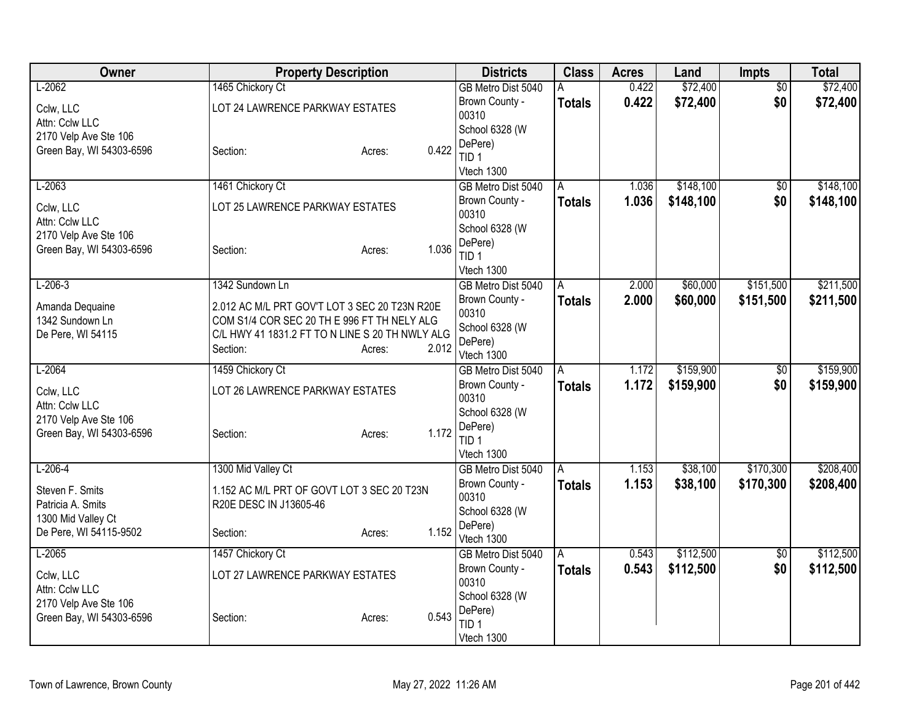| Owner                                | <b>Property Description</b>                                                                    |                 | <b>Districts</b>            | <b>Class</b>  | <b>Acres</b> | Land      | <b>Impts</b>    | <b>Total</b> |
|--------------------------------------|------------------------------------------------------------------------------------------------|-----------------|-----------------------------|---------------|--------------|-----------|-----------------|--------------|
| $L-2062$                             | 1465 Chickory Ct                                                                               |                 | GB Metro Dist 5040          | Α             | 0.422        | \$72,400  | $\overline{50}$ | \$72,400     |
| Cclw, LLC                            | LOT 24 LAWRENCE PARKWAY ESTATES                                                                |                 | Brown County -              | <b>Totals</b> | 0.422        | \$72,400  | \$0             | \$72,400     |
| Attn: Cclw LLC                       |                                                                                                |                 | 00310<br>School 6328 (W     |               |              |           |                 |              |
| 2170 Velp Ave Ste 106                |                                                                                                |                 | DePere)                     |               |              |           |                 |              |
| Green Bay, WI 54303-6596             | Section:                                                                                       | 0.422<br>Acres: | TID <sub>1</sub>            |               |              |           |                 |              |
|                                      |                                                                                                |                 | Vtech 1300                  |               |              |           |                 |              |
| $L-2063$                             | 1461 Chickory Ct                                                                               |                 | GB Metro Dist 5040          | A             | 1.036        | \$148,100 | $\sqrt{6}$      | \$148,100    |
| Cclw, LLC                            | LOT 25 LAWRENCE PARKWAY ESTATES                                                                |                 | Brown County -              | <b>Totals</b> | 1.036        | \$148,100 | \$0             | \$148,100    |
| Attn: Cclw LLC                       |                                                                                                |                 | 00310                       |               |              |           |                 |              |
| 2170 Velp Ave Ste 106                |                                                                                                |                 | School 6328 (W              |               |              |           |                 |              |
| Green Bay, WI 54303-6596             | Section:                                                                                       | 1.036<br>Acres: | DePere)<br>TID <sub>1</sub> |               |              |           |                 |              |
|                                      |                                                                                                |                 | Vtech 1300                  |               |              |           |                 |              |
| $L-206-3$                            | 1342 Sundown Ln                                                                                |                 | GB Metro Dist 5040          | A             | 2.000        | \$60,000  | \$151,500       | \$211,500    |
|                                      |                                                                                                |                 | Brown County -              | <b>Totals</b> | 2.000        | \$60,000  | \$151,500       | \$211,500    |
| Amanda Dequaine                      | 2.012 AC M/L PRT GOV'T LOT 3 SEC 20 T23N R20E                                                  |                 | 00310                       |               |              |           |                 |              |
| 1342 Sundown Ln<br>De Pere, WI 54115 | COM S1/4 COR SEC 20 TH E 996 FT TH NELY ALG<br>C/L HWY 41 1831.2 FT TO N LINE S 20 TH NWLY ALG |                 | School 6328 (W              |               |              |           |                 |              |
|                                      | Section:                                                                                       | 2.012<br>Acres: | DePere)                     |               |              |           |                 |              |
|                                      |                                                                                                |                 | Vtech 1300                  |               |              |           |                 |              |
| $L-2064$                             | 1459 Chickory Ct                                                                               |                 | GB Metro Dist 5040          | A             | 1.172        | \$159,900 | $\overline{50}$ | \$159,900    |
| Cclw, LLC                            | LOT 26 LAWRENCE PARKWAY ESTATES                                                                |                 | Brown County -<br>00310     | <b>Totals</b> | 1.172        | \$159,900 | \$0             | \$159,900    |
| Attn: Cclw LLC                       |                                                                                                |                 | School 6328 (W              |               |              |           |                 |              |
| 2170 Velp Ave Ste 106                |                                                                                                |                 | DePere)                     |               |              |           |                 |              |
| Green Bay, WI 54303-6596             | Section:                                                                                       | 1.172<br>Acres: | TID <sub>1</sub>            |               |              |           |                 |              |
|                                      |                                                                                                |                 | Vtech 1300                  |               |              |           |                 |              |
| $L-206-4$                            | 1300 Mid Valley Ct                                                                             |                 | GB Metro Dist 5040          | A             | 1.153        | \$38,100  | \$170,300       | \$208,400    |
| Steven F. Smits                      | 1.152 AC M/L PRT OF GOVT LOT 3 SEC 20 T23N                                                     |                 | Brown County -              | <b>Totals</b> | 1.153        | \$38,100  | \$170,300       | \$208,400    |
| Patricia A. Smits                    | R20E DESC IN J13605-46                                                                         |                 | 00310                       |               |              |           |                 |              |
| 1300 Mid Valley Ct                   |                                                                                                |                 | School 6328 (W<br>DePere)   |               |              |           |                 |              |
| De Pere, WI 54115-9502               | Section:                                                                                       | 1.152<br>Acres: | Vtech 1300                  |               |              |           |                 |              |
| $L-2065$                             | 1457 Chickory Ct                                                                               |                 | GB Metro Dist 5040          | A             | 0.543        | \$112,500 | $\sqrt{$0}$     | \$112,500    |
|                                      | LOT 27 LAWRENCE PARKWAY ESTATES                                                                |                 | Brown County -              | <b>Totals</b> | 0.543        | \$112,500 | \$0             | \$112,500    |
| Cclw, LLC<br>Attn: Cclw LLC          |                                                                                                |                 | 00310                       |               |              |           |                 |              |
| 2170 Velp Ave Ste 106                |                                                                                                |                 | School 6328 (W              |               |              |           |                 |              |
| Green Bay, WI 54303-6596             | Section:                                                                                       | 0.543<br>Acres: | DePere)                     |               |              |           |                 |              |
|                                      |                                                                                                |                 | TID <sub>1</sub>            |               |              |           |                 |              |
|                                      |                                                                                                |                 | Vtech 1300                  |               |              |           |                 |              |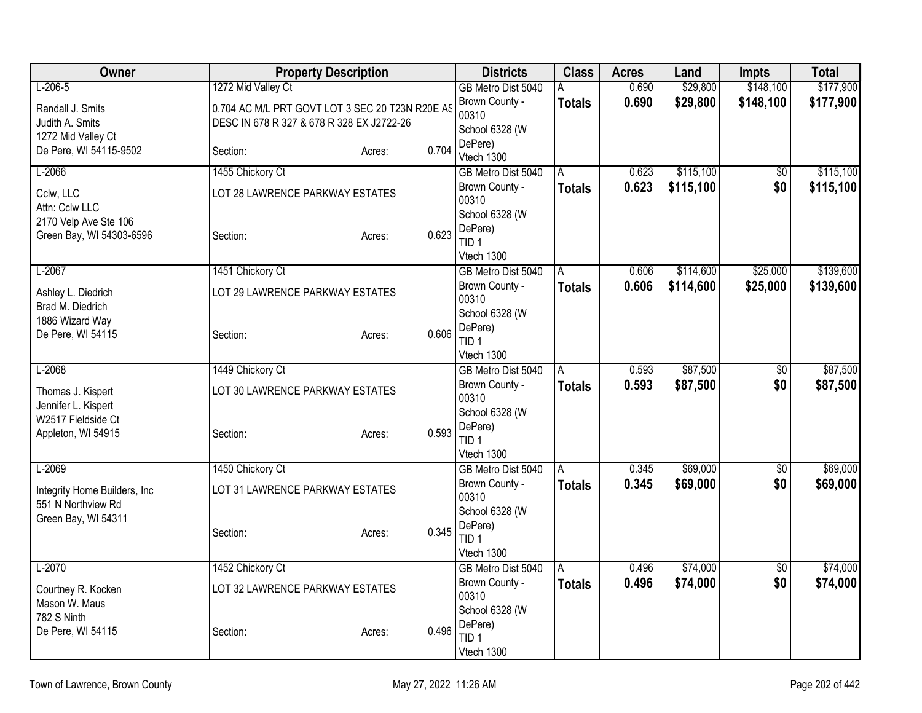| Owner                                             | <b>Property Description</b>                                                                  |                 | <b>Districts</b>                              | <b>Class</b>  | <b>Acres</b>   | Land                   | <b>Impts</b>         | <b>Total</b>           |
|---------------------------------------------------|----------------------------------------------------------------------------------------------|-----------------|-----------------------------------------------|---------------|----------------|------------------------|----------------------|------------------------|
| $L-206-5$                                         | 1272 Mid Valley Ct                                                                           |                 | GB Metro Dist 5040                            | A             | 0.690          | \$29,800               | \$148,100            | \$177,900              |
| Randall J. Smits<br>Judith A. Smits               | 0.704 AC M/L PRT GOVT LOT 3 SEC 20 T23N R20E AS<br>DESC IN 678 R 327 & 678 R 328 EX J2722-26 |                 | Brown County -<br>00310                       | <b>Totals</b> | 0.690          | \$29,800               | \$148,100            | \$177,900              |
| 1272 Mid Valley Ct                                |                                                                                              |                 | School 6328 (W                                |               |                |                        |                      |                        |
| De Pere, WI 54115-9502                            | Section:                                                                                     | 0.704<br>Acres: | DePere)<br>Vtech 1300                         |               |                |                        |                      |                        |
| $L-2066$                                          | 1455 Chickory Ct                                                                             |                 | GB Metro Dist 5040                            | A             | 0.623          | \$115,100              | $\sqrt{6}$           | \$115,100              |
| Cclw, LLC<br>Attn: Cclw LLC                       | LOT 28 LAWRENCE PARKWAY ESTATES                                                              |                 | Brown County -<br>00310                       | <b>Totals</b> | 0.623          | \$115,100              | \$0                  | \$115,100              |
| 2170 Velp Ave Ste 106<br>Green Bay, WI 54303-6596 | Section:                                                                                     | 0.623<br>Acres: | School 6328 (W<br>DePere)<br>TID <sub>1</sub> |               |                |                        |                      |                        |
|                                                   |                                                                                              |                 | Vtech 1300                                    |               |                |                        |                      |                        |
| $L-2067$                                          | 1451 Chickory Ct                                                                             |                 | GB Metro Dist 5040<br>Brown County -          | A             | 0.606<br>0.606 | \$114,600<br>\$114,600 | \$25,000<br>\$25,000 | \$139,600<br>\$139,600 |
| Ashley L. Diedrich                                | LOT 29 LAWRENCE PARKWAY ESTATES                                                              |                 | 00310                                         | <b>Totals</b> |                |                        |                      |                        |
| Brad M. Diedrich                                  |                                                                                              |                 | School 6328 (W                                |               |                |                        |                      |                        |
| 1886 Wizard Way<br>De Pere, WI 54115              | Section:                                                                                     | 0.606           | DePere)                                       |               |                |                        |                      |                        |
|                                                   |                                                                                              | Acres:          | TID <sub>1</sub>                              |               |                |                        |                      |                        |
|                                                   |                                                                                              |                 | Vtech 1300                                    |               |                |                        |                      |                        |
| $L-2068$                                          | 1449 Chickory Ct                                                                             |                 | GB Metro Dist 5040                            | A             | 0.593          | \$87,500               | $\overline{50}$      | \$87,500               |
| Thomas J. Kispert                                 | LOT 30 LAWRENCE PARKWAY ESTATES                                                              |                 | Brown County -<br>00310                       | <b>Totals</b> | 0.593          | \$87,500               | \$0                  | \$87,500               |
| Jennifer L. Kispert                               |                                                                                              |                 | School 6328 (W                                |               |                |                        |                      |                        |
| W2517 Fieldside Ct                                |                                                                                              |                 | DePere)                                       |               |                |                        |                      |                        |
| Appleton, WI 54915                                | Section:                                                                                     | 0.593<br>Acres: | TID <sub>1</sub>                              |               |                |                        |                      |                        |
|                                                   |                                                                                              |                 | Vtech 1300                                    |               |                |                        |                      |                        |
| $L-2069$                                          | 1450 Chickory Ct                                                                             |                 | GB Metro Dist 5040                            | A             | 0.345          | \$69,000               | $\overline{50}$      | \$69,000               |
| Integrity Home Builders, Inc.                     | LOT 31 LAWRENCE PARKWAY ESTATES                                                              |                 | Brown County -<br>00310                       | <b>Totals</b> | 0.345          | \$69,000               | \$0                  | \$69,000               |
| 551 N Northview Rd                                |                                                                                              |                 | School 6328 (W                                |               |                |                        |                      |                        |
| Green Bay, WI 54311                               |                                                                                              |                 | DePere)                                       |               |                |                        |                      |                        |
|                                                   | Section:                                                                                     | 0.345<br>Acres: | TID <sub>1</sub>                              |               |                |                        |                      |                        |
|                                                   |                                                                                              |                 | Vtech 1300                                    |               |                |                        |                      |                        |
| $L-2070$                                          | 1452 Chickory Ct                                                                             |                 | GB Metro Dist 5040                            | A             | 0.496          | \$74,000               | \$0                  | \$74,000               |
| Courtney R. Kocken                                | LOT 32 LAWRENCE PARKWAY ESTATES                                                              |                 | Brown County -                                | <b>Totals</b> | 0.496          | \$74,000               | \$0                  | \$74,000               |
| Mason W. Maus                                     |                                                                                              |                 | 00310                                         |               |                |                        |                      |                        |
| 782 S Ninth                                       |                                                                                              |                 | School 6328 (W<br>DePere)                     |               |                |                        |                      |                        |
| De Pere, WI 54115                                 | Section:                                                                                     | 0.496<br>Acres: | TID <sub>1</sub>                              |               |                |                        |                      |                        |
|                                                   |                                                                                              |                 | Vtech 1300                                    |               |                |                        |                      |                        |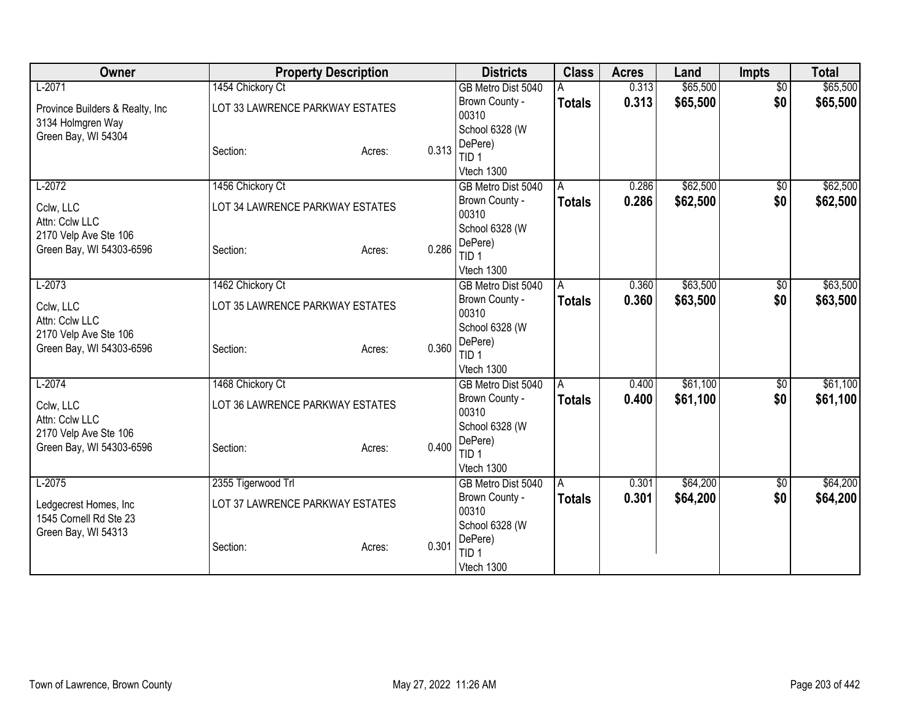| Owner                            | <b>Property Description</b>     |                 | <b>Districts</b>            | <b>Class</b>  | <b>Acres</b> | Land     | Impts           | <b>Total</b> |
|----------------------------------|---------------------------------|-----------------|-----------------------------|---------------|--------------|----------|-----------------|--------------|
| $L-2071$                         | 1454 Chickory Ct                |                 | GB Metro Dist 5040          |               | 0.313        | \$65,500 | $\overline{50}$ | \$65,500     |
| Province Builders & Realty, Inc. | LOT 33 LAWRENCE PARKWAY ESTATES |                 | Brown County -              | <b>Totals</b> | 0.313        | \$65,500 | \$0             | \$65,500     |
| 3134 Holmgren Way                |                                 |                 | 00310                       |               |              |          |                 |              |
| Green Bay, WI 54304              |                                 |                 | School 6328 (W              |               |              |          |                 |              |
|                                  | Section:                        | 0.313<br>Acres: | DePere)<br>TID <sub>1</sub> |               |              |          |                 |              |
|                                  |                                 |                 | Vtech 1300                  |               |              |          |                 |              |
| $L-2072$                         | 1456 Chickory Ct                |                 | GB Metro Dist 5040          | A             | 0.286        | \$62,500 | $\sqrt{$0}$     | \$62,500     |
|                                  |                                 |                 | Brown County -              | <b>Totals</b> | 0.286        | \$62,500 | \$0             | \$62,500     |
| Cclw, LLC<br>Attn: Cclw LLC      | LOT 34 LAWRENCE PARKWAY ESTATES |                 | 00310                       |               |              |          |                 |              |
| 2170 Velp Ave Ste 106            |                                 |                 | School 6328 (W              |               |              |          |                 |              |
| Green Bay, WI 54303-6596         | Section:                        | 0.286<br>Acres: | DePere)                     |               |              |          |                 |              |
|                                  |                                 |                 | TID <sub>1</sub>            |               |              |          |                 |              |
|                                  |                                 |                 | Vtech 1300                  |               |              |          |                 |              |
| $L-2073$                         | 1462 Chickory Ct                |                 | GB Metro Dist 5040          | A             | 0.360        | \$63,500 | \$0             | \$63,500     |
| Cclw, LLC                        | LOT 35 LAWRENCE PARKWAY ESTATES |                 | Brown County -<br>00310     | <b>Totals</b> | 0.360        | \$63,500 | \$0             | \$63,500     |
| Attn: Cclw LLC                   |                                 |                 | School 6328 (W              |               |              |          |                 |              |
| 2170 Velp Ave Ste 106            |                                 |                 | DePere)                     |               |              |          |                 |              |
| Green Bay, WI 54303-6596         | Section:                        | 0.360<br>Acres: | TID 1                       |               |              |          |                 |              |
|                                  |                                 |                 | Vtech 1300                  |               |              |          |                 |              |
| $L-2074$                         | 1468 Chickory Ct                |                 | GB Metro Dist 5040          | A             | 0.400        | \$61,100 | $\sqrt{$0}$     | \$61,100     |
| Cclw, LLC                        | LOT 36 LAWRENCE PARKWAY ESTATES |                 | Brown County -              | <b>Totals</b> | 0.400        | \$61,100 | \$0             | \$61,100     |
| Attn: Cclw LLC                   |                                 |                 | 00310                       |               |              |          |                 |              |
| 2170 Velp Ave Ste 106            |                                 |                 | School 6328 (W              |               |              |          |                 |              |
| Green Bay, WI 54303-6596         | Section:                        | 0.400<br>Acres: | DePere)<br>TID <sub>1</sub> |               |              |          |                 |              |
|                                  |                                 |                 | Vtech 1300                  |               |              |          |                 |              |
| $L-2075$                         | 2355 Tigerwood Trl              |                 | GB Metro Dist 5040          | l A           | 0.301        | \$64,200 | \$0             | \$64,200     |
|                                  |                                 |                 | Brown County -              | <b>Totals</b> | 0.301        | \$64,200 | \$0             | \$64,200     |
| Ledgecrest Homes, Inc.           | LOT 37 LAWRENCE PARKWAY ESTATES |                 | 00310                       |               |              |          |                 |              |
| 1545 Cornell Rd Ste 23           |                                 |                 | School 6328 (W              |               |              |          |                 |              |
| Green Bay, WI 54313              | Section:                        | 0.301           | DePere)                     |               |              |          |                 |              |
|                                  |                                 | Acres:          | TID <sub>1</sub>            |               |              |          |                 |              |
|                                  |                                 |                 | Vtech 1300                  |               |              |          |                 |              |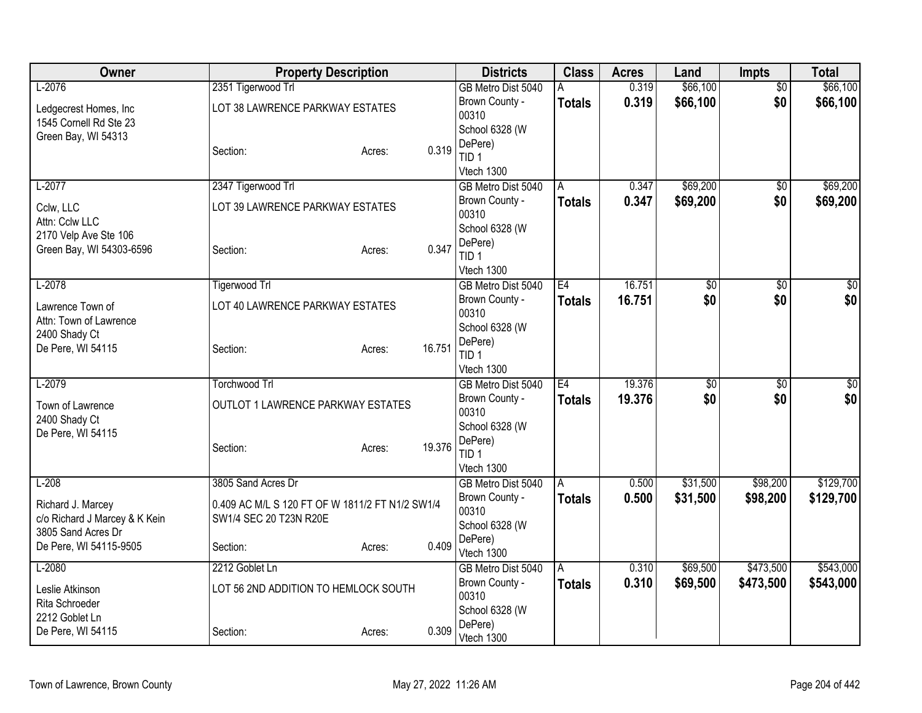| Owner                             | <b>Property Description</b>                     |        |        | <b>Districts</b>            | <b>Class</b>  | <b>Acres</b> | Land     | <b>Impts</b>    | <b>Total</b> |
|-----------------------------------|-------------------------------------------------|--------|--------|-----------------------------|---------------|--------------|----------|-----------------|--------------|
| $L-2076$                          | 2351 Tigerwood Trl                              |        |        | GB Metro Dist 5040          |               | 0.319        | \$66,100 | $\overline{50}$ | \$66,100     |
| Ledgecrest Homes, Inc             | LOT 38 LAWRENCE PARKWAY ESTATES                 |        |        | Brown County -              | <b>Totals</b> | 0.319        | \$66,100 | \$0             | \$66,100     |
| 1545 Cornell Rd Ste 23            |                                                 |        |        | 00310<br>School 6328 (W     |               |              |          |                 |              |
| Green Bay, WI 54313               |                                                 |        |        | DePere)                     |               |              |          |                 |              |
|                                   | Section:                                        | Acres: | 0.319  | TID <sub>1</sub>            |               |              |          |                 |              |
|                                   |                                                 |        |        | Vtech 1300                  |               |              |          |                 |              |
| $L-2077$                          | 2347 Tigerwood Trl                              |        |        | GB Metro Dist 5040          | A             | 0.347        | \$69,200 | $\sqrt{6}$      | \$69,200     |
| Cclw, LLC                         | LOT 39 LAWRENCE PARKWAY ESTATES                 |        |        | Brown County -              | <b>Totals</b> | 0.347        | \$69,200 | \$0             | \$69,200     |
| Attn: Cclw LLC                    |                                                 |        |        | 00310                       |               |              |          |                 |              |
| 2170 Velp Ave Ste 106             |                                                 |        |        | School 6328 (W<br>DePere)   |               |              |          |                 |              |
| Green Bay, WI 54303-6596          | Section:                                        | Acres: | 0.347  | TID <sub>1</sub>            |               |              |          |                 |              |
|                                   |                                                 |        |        | Vtech 1300                  |               |              |          |                 |              |
| $L-2078$                          | <b>Tigerwood Trl</b>                            |        |        | GB Metro Dist 5040          | E4            | 16.751       | \$0      | $\overline{50}$ | \$0          |
| Lawrence Town of                  | LOT 40 LAWRENCE PARKWAY ESTATES                 |        |        | Brown County -              | <b>Totals</b> | 16.751       | \$0      | \$0             | \$0          |
| Attn: Town of Lawrence            |                                                 |        |        | 00310                       |               |              |          |                 |              |
| 2400 Shady Ct                     |                                                 |        |        | School 6328 (W              |               |              |          |                 |              |
| De Pere, WI 54115                 | Section:                                        | Acres: | 16.751 | DePere)<br>TID <sub>1</sub> |               |              |          |                 |              |
|                                   |                                                 |        |        | Vtech 1300                  |               |              |          |                 |              |
| $L-2079$                          | <b>Torchwood Trl</b>                            |        |        | GB Metro Dist 5040          | E4            | 19.376       | \$0      | $\overline{50}$ | \$0          |
| Town of Lawrence                  | <b>OUTLOT 1 LAWRENCE PARKWAY ESTATES</b>        |        |        | Brown County -              | <b>Totals</b> | 19.376       | \$0      | \$0             | \$0          |
| 2400 Shady Ct                     |                                                 |        |        | 00310                       |               |              |          |                 |              |
| De Pere, WI 54115                 |                                                 |        |        | School 6328 (W              |               |              |          |                 |              |
|                                   | Section:                                        | Acres: | 19.376 | DePere)<br>TID <sub>1</sub> |               |              |          |                 |              |
|                                   |                                                 |        |        | Vtech 1300                  |               |              |          |                 |              |
| $L-208$                           | 3805 Sand Acres Dr                              |        |        | GB Metro Dist 5040          | A             | 0.500        | \$31,500 | \$98,200        | \$129,700    |
| Richard J. Marcey                 | 0.409 AC M/L S 120 FT OF W 1811/2 FT N1/2 SW1/4 |        |        | Brown County -              | <b>Totals</b> | 0.500        | \$31,500 | \$98,200        | \$129,700    |
| c/o Richard J Marcey & K Kein     | SW1/4 SEC 20 T23N R20E                          |        |        | 00310                       |               |              |          |                 |              |
| 3805 Sand Acres Dr                |                                                 |        |        | School 6328 (W              |               |              |          |                 |              |
| De Pere, WI 54115-9505            | Section:                                        | Acres: | 0.409  | DePere)<br>Vtech 1300       |               |              |          |                 |              |
| $L-2080$                          | 2212 Goblet Ln                                  |        |        | GB Metro Dist 5040          | A             | 0.310        | \$69,500 | \$473,500       | \$543,000    |
|                                   |                                                 |        |        | Brown County -              | <b>Totals</b> | 0.310        | \$69,500 | \$473,500       | \$543,000    |
| Leslie Atkinson<br>Rita Schroeder | LOT 56 2ND ADDITION TO HEMLOCK SOUTH            |        |        | 00310                       |               |              |          |                 |              |
| 2212 Goblet Ln                    |                                                 |        |        | School 6328 (W              |               |              |          |                 |              |
| De Pere, WI 54115                 | Section:                                        | Acres: | 0.309  | DePere)                     |               |              |          |                 |              |
|                                   |                                                 |        |        | Vtech 1300                  |               |              |          |                 |              |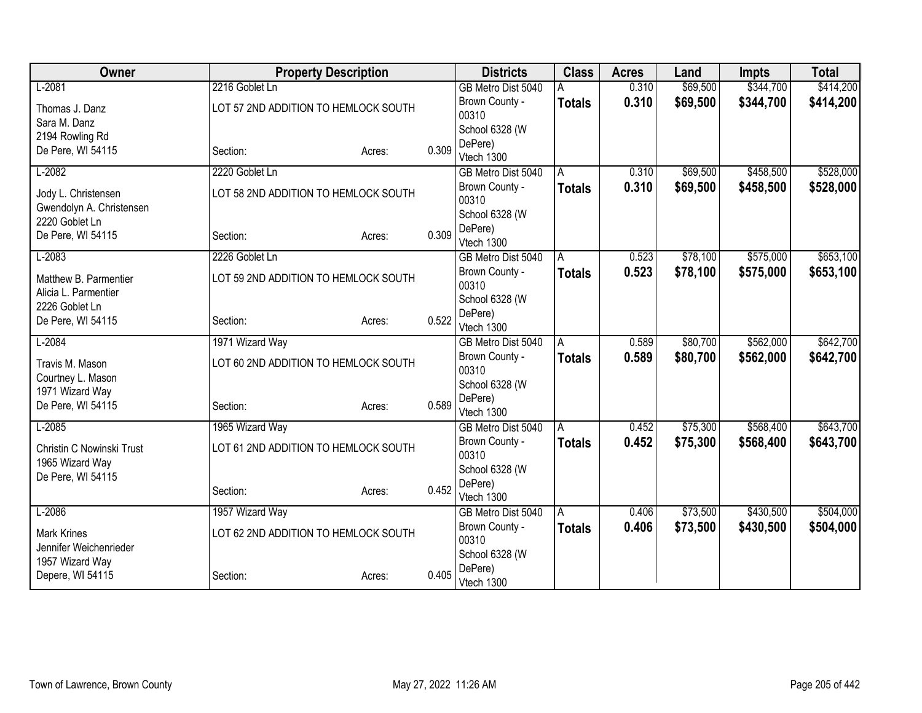| Owner                     | <b>Property Description</b>          |        |       | <b>Districts</b>                     | <b>Class</b>  | <b>Acres</b> | Land     | <b>Impts</b> | <b>Total</b> |
|---------------------------|--------------------------------------|--------|-------|--------------------------------------|---------------|--------------|----------|--------------|--------------|
| $L-2081$                  | 2216 Goblet Ln                       |        |       | GB Metro Dist 5040                   |               | 0.310        | \$69,500 | \$344,700    | \$414,200    |
| Thomas J. Danz            | LOT 57 2ND ADDITION TO HEMLOCK SOUTH |        |       | Brown County -                       | <b>Totals</b> | 0.310        | \$69,500 | \$344,700    | \$414,200    |
| Sara M. Danz              |                                      |        |       | 00310                                |               |              |          |              |              |
| 2194 Rowling Rd           |                                      |        |       | School 6328 (W                       |               |              |          |              |              |
| De Pere, WI 54115         | Section:                             | Acres: | 0.309 | DePere)<br>Vtech 1300                |               |              |          |              |              |
| $L-2082$                  | 2220 Goblet Ln                       |        |       | GB Metro Dist 5040                   | A             | 0.310        | \$69,500 | \$458,500    | \$528,000    |
| Jody L. Christensen       | LOT 58 2ND ADDITION TO HEMLOCK SOUTH |        |       | Brown County -                       | <b>Totals</b> | 0.310        | \$69,500 | \$458,500    | \$528,000    |
| Gwendolyn A. Christensen  |                                      |        |       | 00310                                |               |              |          |              |              |
| 2220 Goblet Ln            |                                      |        |       | School 6328 (W                       |               |              |          |              |              |
| De Pere, WI 54115         | Section:                             | Acres: | 0.309 | DePere)<br>Vtech 1300                |               |              |          |              |              |
| $L-2083$                  | 2226 Goblet Ln                       |        |       | GB Metro Dist 5040                   | Α             | 0.523        | \$78,100 | \$575,000    | \$653,100    |
|                           |                                      |        |       | Brown County -                       | <b>Totals</b> | 0.523        | \$78,100 | \$575,000    | \$653,100    |
| Matthew B. Parmentier     | LOT 59 2ND ADDITION TO HEMLOCK SOUTH |        |       | 00310                                |               |              |          |              |              |
| Alicia L. Parmentier      |                                      |        |       | School 6328 (W                       |               |              |          |              |              |
| 2226 Goblet Ln            |                                      |        | 0.522 | DePere)                              |               |              |          |              |              |
| De Pere, WI 54115         | Section:                             | Acres: |       | Vtech 1300                           |               |              |          |              |              |
| $L-2084$                  | 1971 Wizard Way                      |        |       | GB Metro Dist 5040                   | A             | 0.589        | \$80,700 | \$562,000    | \$642,700    |
| Travis M. Mason           | LOT 60 2ND ADDITION TO HEMLOCK SOUTH |        |       | Brown County -                       | <b>Totals</b> | 0.589        | \$80,700 | \$562,000    | \$642,700    |
| Courtney L. Mason         |                                      |        |       | 00310                                |               |              |          |              |              |
| 1971 Wizard Way           |                                      |        |       | School 6328 (W<br>DePere)            |               |              |          |              |              |
| De Pere, WI 54115         | Section:                             | Acres: | 0.589 | Vtech 1300                           |               |              |          |              |              |
| $L-2085$                  | 1965 Wizard Way                      |        |       | GB Metro Dist 5040                   | l A           | 0.452        | \$75,300 | \$568,400    | \$643,700    |
| Christin C Nowinski Trust | LOT 61 2ND ADDITION TO HEMLOCK SOUTH |        |       | Brown County -                       | <b>Totals</b> | 0.452        | \$75,300 | \$568,400    | \$643,700    |
| 1965 Wizard Way           |                                      |        |       | 00310                                |               |              |          |              |              |
| De Pere, WI 54115         |                                      |        |       | School 6328 (W                       |               |              |          |              |              |
|                           | Section:                             | Acres: | 0.452 | DePere)                              |               |              |          |              |              |
| $L-2086$                  |                                      |        |       | Vtech 1300                           |               |              |          | \$430,500    | \$504,000    |
|                           | 1957 Wizard Way                      |        |       | GB Metro Dist 5040<br>Brown County - | A             | 0.406        | \$73,500 |              |              |
| <b>Mark Krines</b>        | LOT 62 2ND ADDITION TO HEMLOCK SOUTH |        |       | 00310                                | <b>Totals</b> | 0.406        | \$73,500 | \$430,500    | \$504,000    |
| Jennifer Weichenrieder    |                                      |        |       | School 6328 (W                       |               |              |          |              |              |
| 1957 Wizard Way           |                                      |        |       | DePere)                              |               |              |          |              |              |
| Depere, WI 54115          | Section:                             | Acres: | 0.405 | Vtech 1300                           |               |              |          |              |              |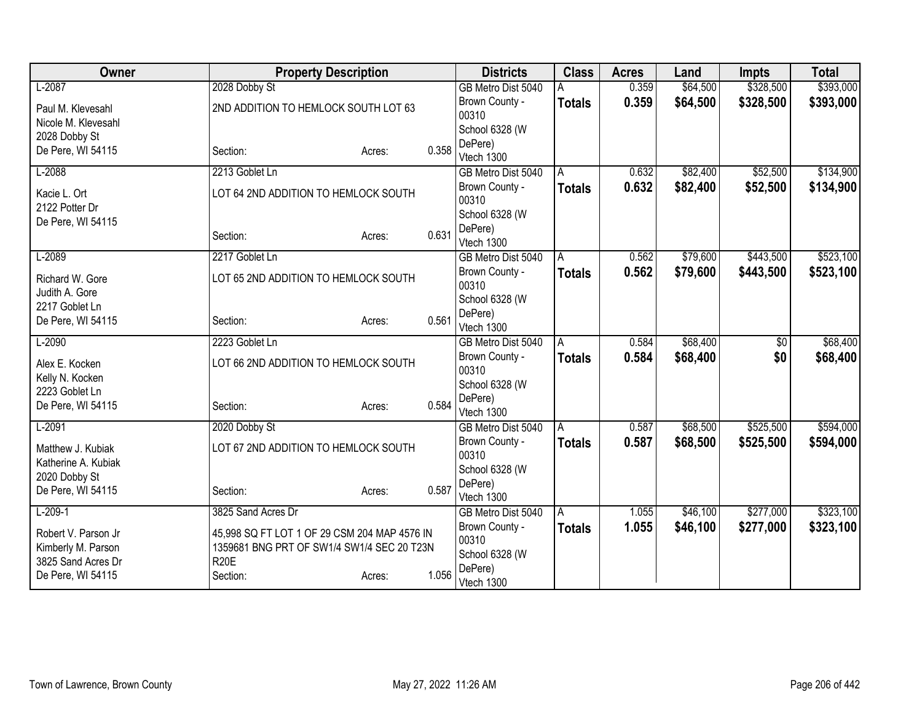| Owner                                    | <b>Property Description</b>                  |        |       | <b>Districts</b>        | <b>Class</b>  | <b>Acres</b> | Land     | <b>Impts</b> | <b>Total</b> |
|------------------------------------------|----------------------------------------------|--------|-------|-------------------------|---------------|--------------|----------|--------------|--------------|
| $L-2087$                                 | 2028 Dobby St                                |        |       | GB Metro Dist 5040      |               | 0.359        | \$64,500 | \$328,500    | \$393,000    |
| Paul M. Klevesahl                        | 2ND ADDITION TO HEMLOCK SOUTH LOT 63         |        |       | Brown County -          | <b>Totals</b> | 0.359        | \$64,500 | \$328,500    | \$393,000    |
| Nicole M. Klevesahl                      |                                              |        |       | 00310                   |               |              |          |              |              |
| 2028 Dobby St                            |                                              |        |       | School 6328 (W          |               |              |          |              |              |
| De Pere, WI 54115                        | Section:                                     | Acres: | 0.358 | DePere)                 |               |              |          |              |              |
|                                          |                                              |        |       | Vtech 1300              |               |              |          |              |              |
| $L-2088$                                 | 2213 Goblet Ln                               |        |       | GB Metro Dist 5040      | A             | 0.632        | \$82,400 | \$52,500     | \$134,900    |
| Kacie L. Ort<br>2122 Potter Dr           | LOT 64 2ND ADDITION TO HEMLOCK SOUTH         |        |       | Brown County -<br>00310 | <b>Totals</b> | 0.632        | \$82,400 | \$52,500     | \$134,900    |
| De Pere, WI 54115                        |                                              |        |       | School 6328 (W          |               |              |          |              |              |
|                                          | Section:                                     | Acres: | 0.631 | DePere)<br>Vtech 1300   |               |              |          |              |              |
| $L-2089$                                 | 2217 Goblet Ln                               |        |       | GB Metro Dist 5040      | A             | 0.562        | \$79,600 | \$443,500    | \$523,100    |
| Richard W. Gore                          | LOT 65 2ND ADDITION TO HEMLOCK SOUTH         |        |       | Brown County -<br>00310 | <b>Totals</b> | 0.562        | \$79,600 | \$443,500    | \$523,100    |
| Judith A. Gore<br>2217 Goblet Ln         |                                              |        |       | School 6328 (W          |               |              |          |              |              |
| De Pere, WI 54115                        | Section:                                     | Acres: | 0.561 | DePere)                 |               |              |          |              |              |
|                                          |                                              |        |       | Vtech 1300              |               |              |          |              |              |
| $L-2090$                                 | 2223 Goblet Ln                               |        |       | GB Metro Dist 5040      | A             | 0.584        | \$68,400 | \$0          | \$68,400     |
| Alex E. Kocken                           | LOT 66 2ND ADDITION TO HEMLOCK SOUTH         |        |       | Brown County -<br>00310 | <b>Totals</b> | 0.584        | \$68,400 | \$0          | \$68,400     |
| Kelly N. Kocken<br>2223 Goblet Ln        |                                              |        |       | School 6328 (W          |               |              |          |              |              |
| De Pere, WI 54115                        | Section:                                     | Acres: | 0.584 | DePere)                 |               |              |          |              |              |
|                                          |                                              |        |       | Vtech 1300              |               |              |          |              |              |
| $L-2091$                                 | 2020 Dobby St                                |        |       | GB Metro Dist 5040      | A             | 0.587        | \$68,500 | \$525,500    | \$594,000    |
| Matthew J. Kubiak<br>Katherine A. Kubiak | LOT 67 2ND ADDITION TO HEMLOCK SOUTH         |        |       | Brown County -<br>00310 | <b>Totals</b> | 0.587        | \$68,500 | \$525,500    | \$594,000    |
| 2020 Dobby St                            |                                              |        |       | School 6328 (W          |               |              |          |              |              |
| De Pere, WI 54115                        | Section:                                     | Acres: | 0.587 | DePere)                 |               |              |          |              |              |
|                                          |                                              |        |       | Vtech 1300              |               |              |          |              |              |
| $L-209-1$                                | 3825 Sand Acres Dr                           |        |       | GB Metro Dist 5040      | ΙA            | 1.055        | \$46,100 | \$277,000    | \$323,100    |
| Robert V. Parson Jr                      | 45,998 SQ FT LOT 1 OF 29 CSM 204 MAP 4576 IN |        |       | Brown County -          | <b>Totals</b> | 1.055        | \$46,100 | \$277,000    | \$323,100    |
| Kimberly M. Parson                       | 1359681 BNG PRT OF SW1/4 SW1/4 SEC 20 T23N   |        |       | 00310<br>School 6328 (W |               |              |          |              |              |
| 3825 Sand Acres Dr                       | <b>R20E</b>                                  |        |       | DePere)                 |               |              |          |              |              |
| De Pere, WI 54115                        | Section:                                     | Acres: | 1.056 | Vtech 1300              |               |              |          |              |              |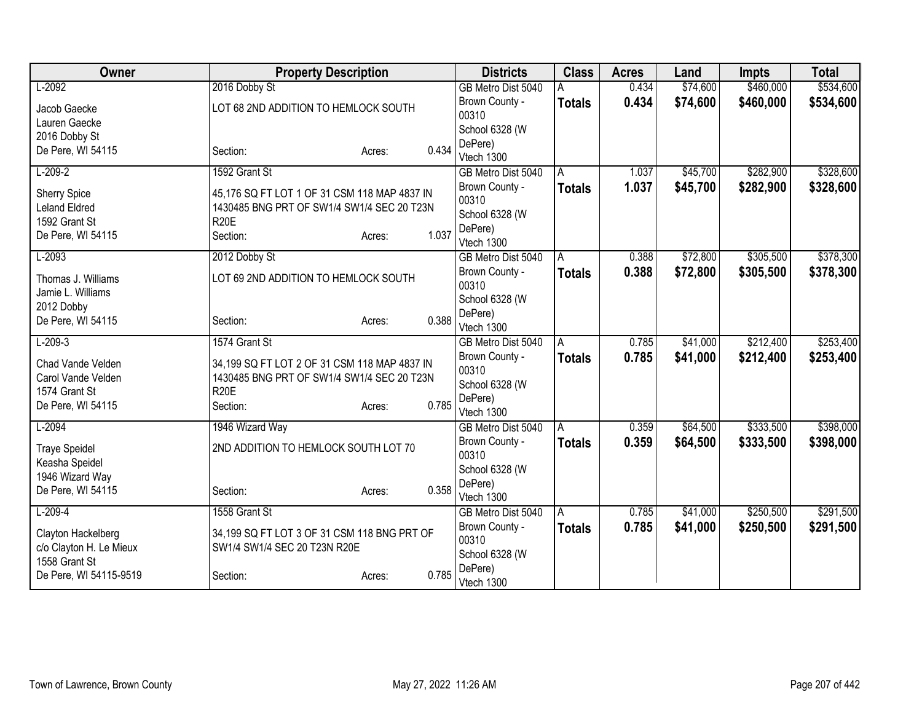| Owner                   | <b>Property Description</b>                  |        |       | <b>Districts</b>                 | <b>Class</b>  | <b>Acres</b> | Land     | <b>Impts</b> | <b>Total</b> |
|-------------------------|----------------------------------------------|--------|-------|----------------------------------|---------------|--------------|----------|--------------|--------------|
| $L-2092$                | 2016 Dobby St                                |        |       | GB Metro Dist 5040               |               | 0.434        | \$74,600 | \$460,000    | \$534,600    |
| Jacob Gaecke            | LOT 68 2ND ADDITION TO HEMLOCK SOUTH         |        |       | Brown County -                   | <b>Totals</b> | 0.434        | \$74,600 | \$460,000    | \$534,600    |
| Lauren Gaecke           |                                              |        |       | 00310                            |               |              |          |              |              |
| 2016 Dobby St           |                                              |        |       | School 6328 (W                   |               |              |          |              |              |
| De Pere, WI 54115       | Section:                                     | Acres: | 0.434 | DePere)                          |               |              |          |              |              |
|                         |                                              |        |       | Vtech 1300                       |               |              |          |              |              |
| $L-209-2$               | 1592 Grant St                                |        |       | GB Metro Dist 5040               | A             | 1.037        | \$45,700 | \$282,900    | \$328,600    |
| <b>Sherry Spice</b>     | 45,176 SQ FT LOT 1 OF 31 CSM 118 MAP 4837 IN |        |       | Brown County -                   | <b>Totals</b> | 1.037        | \$45,700 | \$282,900    | \$328,600    |
| <b>Leland Eldred</b>    | 1430485 BNG PRT OF SW1/4 SW1/4 SEC 20 T23N   |        |       | 00310                            |               |              |          |              |              |
| 1592 Grant St           | <b>R20E</b>                                  |        |       | School 6328 (W                   |               |              |          |              |              |
| De Pere, WI 54115       | Section:                                     | Acres: | 1.037 | DePere)<br>Vtech 1300            |               |              |          |              |              |
| $L-2093$                | 2012 Dobby St                                |        |       | GB Metro Dist 5040               | A             | 0.388        | \$72,800 | \$305,500    | \$378,300    |
|                         |                                              |        |       | Brown County -                   |               | 0.388        | \$72,800 | \$305,500    |              |
| Thomas J. Williams      | LOT 69 2ND ADDITION TO HEMLOCK SOUTH         |        |       | 00310                            | <b>Totals</b> |              |          |              | \$378,300    |
| Jamie L. Williams       |                                              |        |       | School 6328 (W                   |               |              |          |              |              |
| 2012 Dobby              |                                              |        |       | DePere)                          |               |              |          |              |              |
| De Pere, WI 54115       | Section:                                     | Acres: | 0.388 | Vtech 1300                       |               |              |          |              |              |
| $L-209-3$               | 1574 Grant St                                |        |       | GB Metro Dist 5040               | A             | 0.785        | \$41,000 | \$212,400    | \$253,400    |
| Chad Vande Velden       | 34,199 SQ FT LOT 2 OF 31 CSM 118 MAP 4837 IN |        |       | Brown County -                   | <b>Totals</b> | 0.785        | \$41,000 | \$212,400    | \$253,400    |
| Carol Vande Velden      | 1430485 BNG PRT OF SW1/4 SW1/4 SEC 20 T23N   |        |       | 00310                            |               |              |          |              |              |
| 1574 Grant St           | <b>R20E</b>                                  |        |       | School 6328 (W                   |               |              |          |              |              |
| De Pere, WI 54115       | Section:                                     | Acres: | 0.785 | DePere)                          |               |              |          |              |              |
|                         |                                              |        |       | Vtech 1300                       |               |              |          |              |              |
| $L-2094$                | 1946 Wizard Way                              |        |       | GB Metro Dist 5040               | A             | 0.359        | \$64,500 | \$333,500    | \$398,000    |
| <b>Traye Speidel</b>    | 2ND ADDITION TO HEMLOCK SOUTH LOT 70         |        |       | Brown County -                   | <b>Totals</b> | 0.359        | \$64,500 | \$333,500    | \$398,000    |
| Keasha Speidel          |                                              |        |       | 00310                            |               |              |          |              |              |
| 1946 Wizard Way         |                                              |        |       | School 6328 (W                   |               |              |          |              |              |
| De Pere, WI 54115       | Section:                                     | Acres: | 0.358 | DePere)                          |               |              |          |              |              |
| $L-209-4$               | 1558 Grant St                                |        |       | Vtech 1300<br>GB Metro Dist 5040 | l A           | 0.785        | \$41,000 | \$250,500    | \$291,500    |
|                         |                                              |        |       | Brown County -                   |               | 0.785        | \$41,000 | \$250,500    | \$291,500    |
| Clayton Hackelberg      | 34,199 SQ FT LOT 3 OF 31 CSM 118 BNG PRT OF  |        |       | 00310                            | <b>Totals</b> |              |          |              |              |
| c/o Clayton H. Le Mieux | SW1/4 SW1/4 SEC 20 T23N R20E                 |        |       | School 6328 (W                   |               |              |          |              |              |
| 1558 Grant St           |                                              |        |       | DePere)                          |               |              |          |              |              |
| De Pere, WI 54115-9519  | Section:                                     | Acres: | 0.785 | Vtech 1300                       |               |              |          |              |              |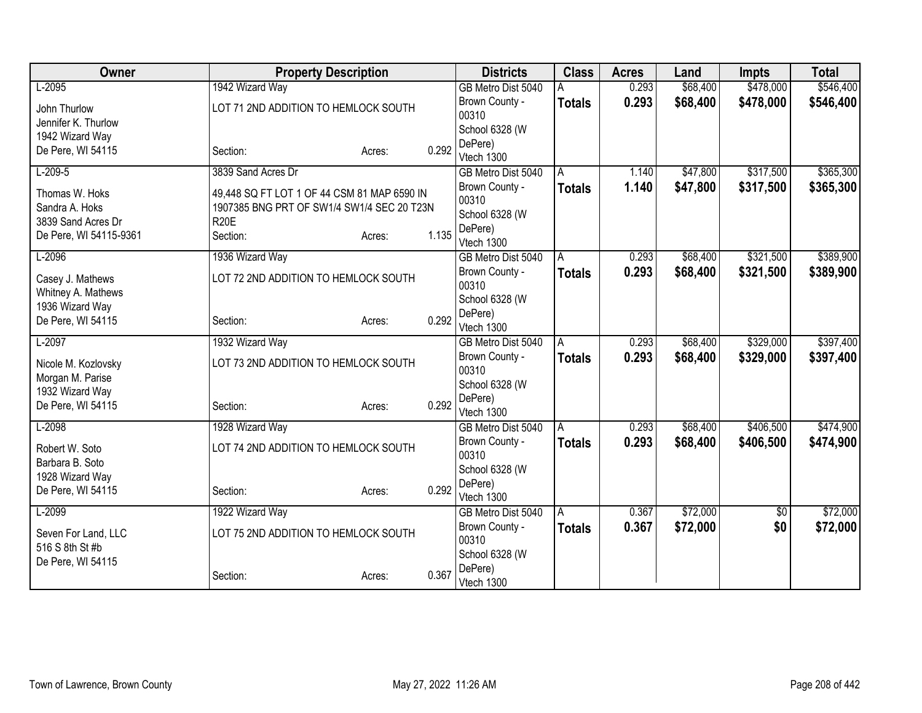| Owner                                 | <b>Property Description</b>                 |        |       | <b>Districts</b>        | <b>Class</b>  | <b>Acres</b> | Land     | <b>Impts</b> | <b>Total</b> |
|---------------------------------------|---------------------------------------------|--------|-------|-------------------------|---------------|--------------|----------|--------------|--------------|
| $L-2095$                              | 1942 Wizard Way                             |        |       | GB Metro Dist 5040      |               | 0.293        | \$68,400 | \$478,000    | \$546,400    |
| John Thurlow                          | LOT 71 2ND ADDITION TO HEMLOCK SOUTH        |        |       | Brown County -          | <b>Totals</b> | 0.293        | \$68,400 | \$478,000    | \$546,400    |
| Jennifer K. Thurlow                   |                                             |        |       | 00310                   |               |              |          |              |              |
| 1942 Wizard Way                       |                                             |        |       | School 6328 (W          |               |              |          |              |              |
| De Pere, WI 54115                     | Section:                                    | Acres: | 0.292 | DePere)                 |               |              |          |              |              |
| $L-209-5$                             | 3839 Sand Acres Dr                          |        |       | Vtech 1300              |               | 1.140        | \$47,800 | \$317,500    | \$365,300    |
|                                       |                                             |        |       | GB Metro Dist 5040      | A             |              |          |              |              |
| Thomas W. Hoks                        | 49,448 SQ FT LOT 1 OF 44 CSM 81 MAP 6590 IN |        |       | Brown County -<br>00310 | <b>Totals</b> | 1.140        | \$47,800 | \$317,500    | \$365,300    |
| Sandra A. Hoks                        | 1907385 BNG PRT OF SW1/4 SW1/4 SEC 20 T23N  |        |       | School 6328 (W          |               |              |          |              |              |
| 3839 Sand Acres Dr                    | <b>R20E</b>                                 |        |       | DePere)                 |               |              |          |              |              |
| De Pere, WI 54115-9361                | Section:                                    | Acres: | 1.135 | Vtech 1300              |               |              |          |              |              |
| $L-2096$                              | 1936 Wizard Way                             |        |       | GB Metro Dist 5040      | Α             | 0.293        | \$68,400 | \$321,500    | \$389,900    |
|                                       | LOT 72 2ND ADDITION TO HEMLOCK SOUTH        |        |       | Brown County -          | <b>Totals</b> | 0.293        | \$68,400 | \$321,500    | \$389,900    |
| Casey J. Mathews                      |                                             |        |       | 00310                   |               |              |          |              |              |
| Whitney A. Mathews<br>1936 Wizard Way |                                             |        |       | School 6328 (W          |               |              |          |              |              |
| De Pere, WI 54115                     | Section:                                    | Acres: | 0.292 | DePere)                 |               |              |          |              |              |
|                                       |                                             |        |       | Vtech 1300              |               |              |          |              |              |
| $L-2097$                              | 1932 Wizard Way                             |        |       | GB Metro Dist 5040      | A             | 0.293        | \$68,400 | \$329,000    | \$397,400    |
| Nicole M. Kozlovsky                   | LOT 73 2ND ADDITION TO HEMLOCK SOUTH        |        |       | Brown County -          | <b>Totals</b> | 0.293        | \$68,400 | \$329,000    | \$397,400    |
| Morgan M. Parise                      |                                             |        |       | 00310                   |               |              |          |              |              |
| 1932 Wizard Way                       |                                             |        |       | School 6328 (W          |               |              |          |              |              |
| De Pere, WI 54115                     | Section:                                    | Acres: | 0.292 | DePere)<br>Vtech 1300   |               |              |          |              |              |
| $L-2098$                              | 1928 Wizard Way                             |        |       | GB Metro Dist 5040      | A             | 0.293        | \$68,400 | \$406,500    | \$474,900    |
|                                       |                                             |        |       | Brown County -          | <b>Totals</b> | 0.293        | \$68,400 | \$406,500    | \$474,900    |
| Robert W. Soto                        | LOT 74 2ND ADDITION TO HEMLOCK SOUTH        |        |       | 00310                   |               |              |          |              |              |
| Barbara B. Soto                       |                                             |        |       | School 6328 (W          |               |              |          |              |              |
| 1928 Wizard Way                       |                                             |        |       | DePere)                 |               |              |          |              |              |
| De Pere, WI 54115                     | Section:                                    | Acres: | 0.292 | Vtech 1300              |               |              |          |              |              |
| $L-2099$                              | 1922 Wizard Way                             |        |       | GB Metro Dist 5040      | A             | 0.367        | \$72,000 | \$0          | \$72,000     |
| Seven For Land, LLC                   | LOT 75 2ND ADDITION TO HEMLOCK SOUTH        |        |       | Brown County -          | <b>Totals</b> | 0.367        | \$72,000 | \$0          | \$72,000     |
| 516 S 8th St #b                       |                                             |        |       | 00310                   |               |              |          |              |              |
| De Pere, WI 54115                     |                                             |        |       | School 6328 (W          |               |              |          |              |              |
|                                       | Section:                                    | Acres: | 0.367 | DePere)<br>Vtech 1300   |               |              |          |              |              |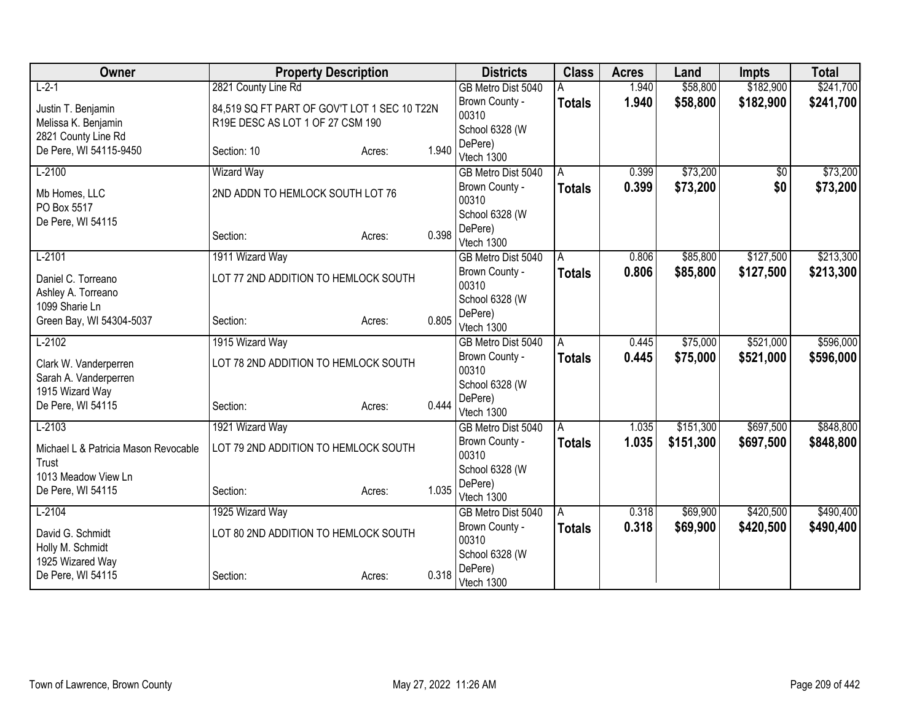| Owner                                    | <b>Property Description</b>                  |        |       | <b>Districts</b>          | <b>Class</b>  | <b>Acres</b> | Land      | <b>Impts</b>    | <b>Total</b> |
|------------------------------------------|----------------------------------------------|--------|-------|---------------------------|---------------|--------------|-----------|-----------------|--------------|
| $L-2-1$                                  | 2821 County Line Rd                          |        |       | GB Metro Dist 5040        |               | 1.940        | \$58,800  | \$182,900       | \$241,700    |
| Justin T. Benjamin                       | 84,519 SQ FT PART OF GOV'T LOT 1 SEC 10 T22N |        |       | Brown County -            | <b>Totals</b> | 1.940        | \$58,800  | \$182,900       | \$241,700    |
| Melissa K. Benjamin                      | R19E DESC AS LOT 1 OF 27 CSM 190             |        |       | 00310                     |               |              |           |                 |              |
| 2821 County Line Rd                      |                                              |        |       | School 6328 (W            |               |              |           |                 |              |
| De Pere, WI 54115-9450                   | Section: 10                                  | Acres: | 1.940 | DePere)<br>Vtech 1300     |               |              |           |                 |              |
| $L-2100$                                 | <b>Wizard Way</b>                            |        |       | GB Metro Dist 5040        | A             | 0.399        | \$73,200  | $\overline{50}$ | \$73,200     |
|                                          |                                              |        |       | Brown County -            | <b>Totals</b> | 0.399        | \$73,200  | \$0             | \$73,200     |
| Mb Homes, LLC                            | 2ND ADDN TO HEMLOCK SOUTH LOT 76             |        |       | 00310                     |               |              |           |                 |              |
| PO Box 5517                              |                                              |        |       | School 6328 (W            |               |              |           |                 |              |
| De Pere, WI 54115                        | Section:                                     |        | 0.398 | DePere)                   |               |              |           |                 |              |
|                                          |                                              | Acres: |       | Vtech 1300                |               |              |           |                 |              |
| $L-2101$                                 | 1911 Wizard Way                              |        |       | GB Metro Dist 5040        | A             | 0.806        | \$85,800  | \$127,500       | \$213,300    |
| Daniel C. Torreano                       | LOT 77 2ND ADDITION TO HEMLOCK SOUTH         |        |       | Brown County -            | <b>Totals</b> | 0.806        | \$85,800  | \$127,500       | \$213,300    |
| Ashley A. Torreano                       |                                              |        |       | 00310                     |               |              |           |                 |              |
| 1099 Sharie Ln                           |                                              |        |       | School 6328 (W<br>DePere) |               |              |           |                 |              |
| Green Bay, WI 54304-5037                 | Section:                                     | Acres: | 0.805 | Vtech 1300                |               |              |           |                 |              |
| $L-2102$                                 | 1915 Wizard Way                              |        |       | GB Metro Dist 5040        | A             | 0.445        | \$75,000  | \$521,000       | \$596,000    |
|                                          |                                              |        |       | Brown County -            | <b>Totals</b> | 0.445        | \$75,000  | \$521,000       | \$596,000    |
| Clark W. Vanderperren                    | LOT 78 2ND ADDITION TO HEMLOCK SOUTH         |        |       | 00310                     |               |              |           |                 |              |
| Sarah A. Vanderperren<br>1915 Wizard Way |                                              |        |       | School 6328 (W            |               |              |           |                 |              |
| De Pere, WI 54115                        | Section:                                     | Acres: | 0.444 | DePere)                   |               |              |           |                 |              |
|                                          |                                              |        |       | Vtech 1300                |               |              |           |                 |              |
| $L-2103$                                 | 1921 Wizard Way                              |        |       | GB Metro Dist 5040        | A             | 1.035        | \$151,300 | \$697,500       | \$848,800    |
| Michael L & Patricia Mason Revocable     | LOT 79 2ND ADDITION TO HEMLOCK SOUTH         |        |       | Brown County -<br>00310   | <b>Totals</b> | 1.035        | \$151,300 | \$697,500       | \$848,800    |
| Trust                                    |                                              |        |       | School 6328 (W            |               |              |           |                 |              |
| 1013 Meadow View Ln                      |                                              |        |       | DePere)                   |               |              |           |                 |              |
| De Pere, WI 54115                        | Section:                                     | Acres: | 1.035 | Vtech 1300                |               |              |           |                 |              |
| $L-2104$                                 | 1925 Wizard Way                              |        |       | GB Metro Dist 5040        | ΙA            | 0.318        | \$69,900  | \$420,500       | \$490,400    |
| David G. Schmidt                         | LOT 80 2ND ADDITION TO HEMLOCK SOUTH         |        |       | Brown County -            | <b>Totals</b> | 0.318        | \$69,900  | \$420,500       | \$490,400    |
| Holly M. Schmidt                         |                                              |        |       | 00310                     |               |              |           |                 |              |
| 1925 Wizared Way                         |                                              |        |       | School 6328 (W            |               |              |           |                 |              |
| De Pere, WI 54115                        | Section:                                     | Acres: | 0.318 | DePere)                   |               |              |           |                 |              |
|                                          |                                              |        |       | Vtech 1300                |               |              |           |                 |              |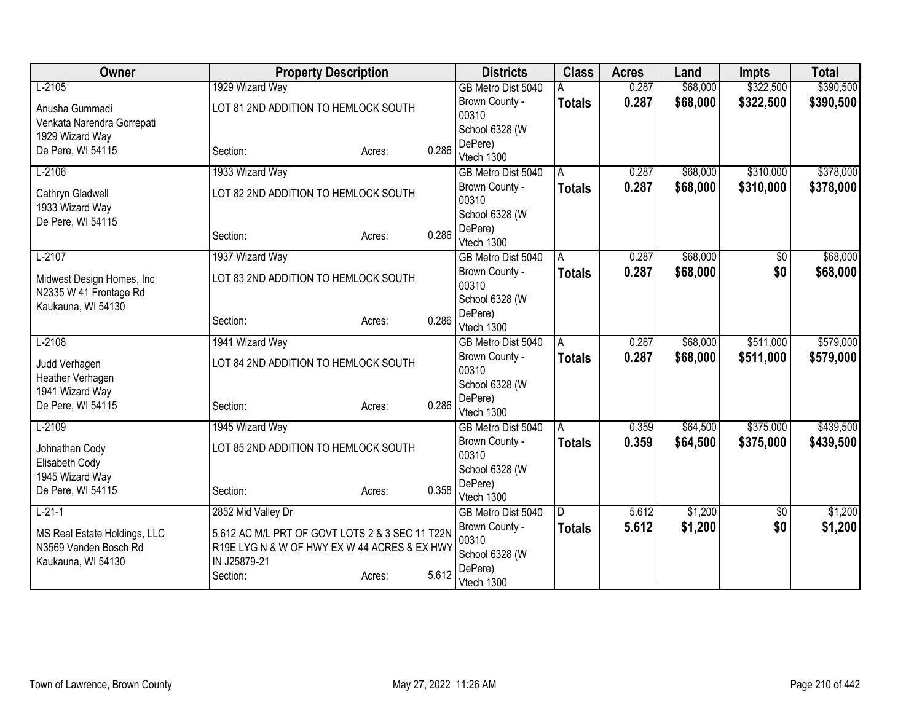| Owner                                | <b>Property Description</b>                     |        |       | <b>Districts</b>          | <b>Class</b>  | <b>Acres</b> | Land     | <b>Impts</b> | <b>Total</b> |
|--------------------------------------|-------------------------------------------------|--------|-------|---------------------------|---------------|--------------|----------|--------------|--------------|
| $L-2105$                             | 1929 Wizard Way                                 |        |       | GB Metro Dist 5040        |               | 0.287        | \$68,000 | \$322,500    | \$390,500    |
| Anusha Gummadi                       | LOT 81 2ND ADDITION TO HEMLOCK SOUTH            |        |       | Brown County -            | <b>Totals</b> | 0.287        | \$68,000 | \$322,500    | \$390,500    |
| Venkata Narendra Gorrepati           |                                                 |        |       | 00310                     |               |              |          |              |              |
| 1929 Wizard Way                      |                                                 |        |       | School 6328 (W            |               |              |          |              |              |
| De Pere, WI 54115                    | Section:                                        | Acres: | 0.286 | DePere)<br>Vtech 1300     |               |              |          |              |              |
| $L-2106$                             | 1933 Wizard Way                                 |        |       | GB Metro Dist 5040        | A             | 0.287        | \$68,000 | \$310,000    | \$378,000    |
|                                      |                                                 |        |       | Brown County -            | <b>Totals</b> | 0.287        | \$68,000 | \$310,000    | \$378,000    |
| Cathryn Gladwell                     | LOT 82 2ND ADDITION TO HEMLOCK SOUTH            |        |       | 00310                     |               |              |          |              |              |
| 1933 Wizard Way<br>De Pere, WI 54115 |                                                 |        |       | School 6328 (W            |               |              |          |              |              |
|                                      | Section:                                        | Acres: | 0.286 | DePere)                   |               |              |          |              |              |
|                                      |                                                 |        |       | Vtech 1300                |               |              |          |              |              |
| $L-2107$                             | 1937 Wizard Way                                 |        |       | GB Metro Dist 5040        | A             | 0.287        | \$68,000 | \$0          | \$68,000     |
| Midwest Design Homes, Inc.           | LOT 83 2ND ADDITION TO HEMLOCK SOUTH            |        |       | Brown County -<br>00310   | <b>Totals</b> | 0.287        | \$68,000 | \$0          | \$68,000     |
| N2335 W 41 Frontage Rd               |                                                 |        |       | School 6328 (W            |               |              |          |              |              |
| Kaukauna, WI 54130                   |                                                 |        |       | DePere)                   |               |              |          |              |              |
|                                      | Section:                                        | Acres: | 0.286 | Vtech 1300                |               |              |          |              |              |
| $L-2108$                             | 1941 Wizard Way                                 |        |       | GB Metro Dist 5040        | A             | 0.287        | \$68,000 | \$511,000    | \$579,000    |
| Judd Verhagen                        | LOT 84 2ND ADDITION TO HEMLOCK SOUTH            |        |       | Brown County -            | <b>Totals</b> | 0.287        | \$68,000 | \$511,000    | \$579,000    |
| Heather Verhagen                     |                                                 |        |       | 00310                     |               |              |          |              |              |
| 1941 Wizard Way                      |                                                 |        |       | School 6328 (W            |               |              |          |              |              |
| De Pere, WI 54115                    | Section:                                        | Acres: | 0.286 | DePere)<br>Vtech 1300     |               |              |          |              |              |
| $L-2109$                             | 1945 Wizard Way                                 |        |       | GB Metro Dist 5040        | A             | 0.359        | \$64,500 | \$375,000    | \$439,500    |
|                                      |                                                 |        |       | Brown County -            | <b>Totals</b> | 0.359        | \$64,500 | \$375,000    | \$439,500    |
| Johnathan Cody                       | LOT 85 2ND ADDITION TO HEMLOCK SOUTH            |        |       | 00310                     |               |              |          |              |              |
| Elisabeth Cody                       |                                                 |        |       | School 6328 (W            |               |              |          |              |              |
| 1945 Wizard Way<br>De Pere, WI 54115 | Section:                                        |        | 0.358 | DePere)                   |               |              |          |              |              |
|                                      |                                                 | Acres: |       | Vtech 1300                |               |              |          |              |              |
| $L-21-1$                             | 2852 Mid Valley Dr                              |        |       | GB Metro Dist 5040        | D             | 5.612        | \$1,200  | \$0          | \$1,200      |
| MS Real Estate Holdings, LLC         | 5.612 AC M/L PRT OF GOVT LOTS 2 & 3 SEC 11 T22N |        |       | Brown County -            | Totals        | 5.612        | \$1,200  | \$0          | \$1,200      |
| N3569 Vanden Bosch Rd                | R19E LYGN & W OF HWY EXW 44 ACRES & EXHWY       |        |       | 00310                     |               |              |          |              |              |
| Kaukauna, WI 54130                   | IN J25879-21                                    |        |       | School 6328 (W<br>DePere) |               |              |          |              |              |
|                                      | Section:                                        | Acres: | 5.612 | Vtech 1300                |               |              |          |              |              |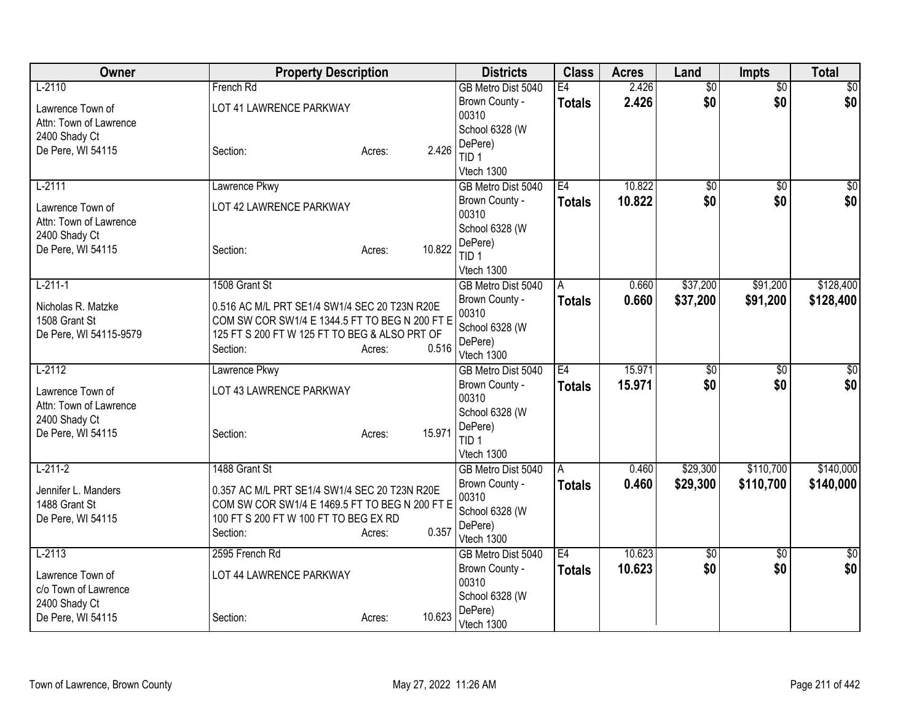| Owner                  | <b>Property Description</b>                                                             |                  | <b>Districts</b>        | <b>Class</b>  | <b>Acres</b> | Land            | <b>Impts</b>    | <b>Total</b>    |
|------------------------|-----------------------------------------------------------------------------------------|------------------|-------------------------|---------------|--------------|-----------------|-----------------|-----------------|
| $L-2110$               | French Rd                                                                               |                  | GB Metro Dist 5040      | E4            | 2.426        | $\overline{60}$ | $\overline{50}$ | \$0             |
| Lawrence Town of       | LOT 41 LAWRENCE PARKWAY                                                                 |                  | Brown County -          | Totals        | 2.426        | \$0             | \$0             | \$0             |
| Attn: Town of Lawrence |                                                                                         |                  | 00310                   |               |              |                 |                 |                 |
| 2400 Shady Ct          |                                                                                         |                  | School 6328 (W          |               |              |                 |                 |                 |
| De Pere, WI 54115      | Section:                                                                                | 2.426<br>Acres:  | DePere)                 |               |              |                 |                 |                 |
|                        |                                                                                         |                  | TID <sub>1</sub>        |               |              |                 |                 |                 |
|                        |                                                                                         |                  | Vtech 1300              |               |              |                 |                 |                 |
| $L-2111$               | Lawrence Pkwy                                                                           |                  | GB Metro Dist 5040      | E4            | 10.822       | $\overline{50}$ | $\overline{50}$ | $\overline{50}$ |
| Lawrence Town of       | LOT 42 LAWRENCE PARKWAY                                                                 |                  | Brown County -          | <b>Totals</b> | 10.822       | \$0             | \$0             | \$0             |
| Attn: Town of Lawrence |                                                                                         |                  | 00310                   |               |              |                 |                 |                 |
| 2400 Shady Ct          |                                                                                         |                  | School 6328 (W          |               |              |                 |                 |                 |
| De Pere, WI 54115      | Section:                                                                                | 10.822<br>Acres: | DePere)                 |               |              |                 |                 |                 |
|                        |                                                                                         |                  | TID <sub>1</sub>        |               |              |                 |                 |                 |
|                        |                                                                                         |                  | Vtech 1300              |               |              |                 |                 |                 |
| $L-211-1$              | 1508 Grant St                                                                           |                  | GB Metro Dist 5040      | A             | 0.660        | \$37,200        | \$91,200        | \$128,400       |
| Nicholas R. Matzke     | 0.516 AC M/L PRT SE1/4 SW1/4 SEC 20 T23N R20E                                           |                  | Brown County -          | Totals        | 0.660        | \$37,200        | \$91,200        | \$128,400       |
| 1508 Grant St          | COM SW COR SW1/4 E 1344.5 FT TO BEG N 200 FT E                                          |                  | 00310<br>School 6328 (W |               |              |                 |                 |                 |
| De Pere, WI 54115-9579 | 125 FT S 200 FT W 125 FT TO BEG & ALSO PRT OF                                           |                  | DePere)                 |               |              |                 |                 |                 |
|                        | Section:                                                                                | 0.516<br>Acres:  | Vtech 1300              |               |              |                 |                 |                 |
| $L-2112$               | Lawrence Pkwy                                                                           |                  | GB Metro Dist 5040      | E4            | 15.971       | $\overline{60}$ | $\overline{50}$ | \$0             |
|                        |                                                                                         |                  | Brown County -          | <b>Totals</b> | 15.971       | \$0             | \$0             | \$0             |
| Lawrence Town of       | LOT 43 LAWRENCE PARKWAY                                                                 |                  | 00310                   |               |              |                 |                 |                 |
| Attn: Town of Lawrence |                                                                                         |                  | School 6328 (W          |               |              |                 |                 |                 |
| 2400 Shady Ct          |                                                                                         |                  | DePere)                 |               |              |                 |                 |                 |
| De Pere, WI 54115      | Section:                                                                                | 15.971<br>Acres: | TID <sub>1</sub>        |               |              |                 |                 |                 |
|                        |                                                                                         |                  | Vtech 1300              |               |              |                 |                 |                 |
| $L-211-2$              | 1488 Grant St                                                                           |                  | GB Metro Dist 5040      | A             | 0.460        | \$29,300        | \$110,700       | \$140,000       |
|                        |                                                                                         |                  | Brown County -          | Totals        | 0.460        | \$29,300        | \$110,700       | \$140,000       |
| Jennifer L. Manders    | 0.357 AC M/L PRT SE1/4 SW1/4 SEC 20 T23N R20E                                           |                  | 00310                   |               |              |                 |                 |                 |
| 1488 Grant St          | COM SW COR SW1/4 E 1469.5 FT TO BEG N 200 FT E<br>100 FT S 200 FT W 100 FT TO BEG EX RD |                  | School 6328 (W          |               |              |                 |                 |                 |
| De Pere, WI 54115      |                                                                                         | 0.357            | DePere)                 |               |              |                 |                 |                 |
|                        | Section:                                                                                | Acres:           | Vtech 1300              |               |              |                 |                 |                 |
| $L-2113$               | 2595 French Rd                                                                          |                  | GB Metro Dist 5040      | E4            | 10.623       | \$0             | $\overline{50}$ | \$0             |
| Lawrence Town of       | LOT 44 LAWRENCE PARKWAY                                                                 |                  | Brown County -          | Totals        | 10.623       | \$0             | \$0             | \$0             |
| c/o Town of Lawrence   |                                                                                         |                  | 00310                   |               |              |                 |                 |                 |
| 2400 Shady Ct          |                                                                                         |                  | School 6328 (W          |               |              |                 |                 |                 |
| De Pere, WI 54115      | Section:                                                                                | 10.623<br>Acres: | DePere)                 |               |              |                 |                 |                 |
|                        |                                                                                         |                  | Vtech 1300              |               |              |                 |                 |                 |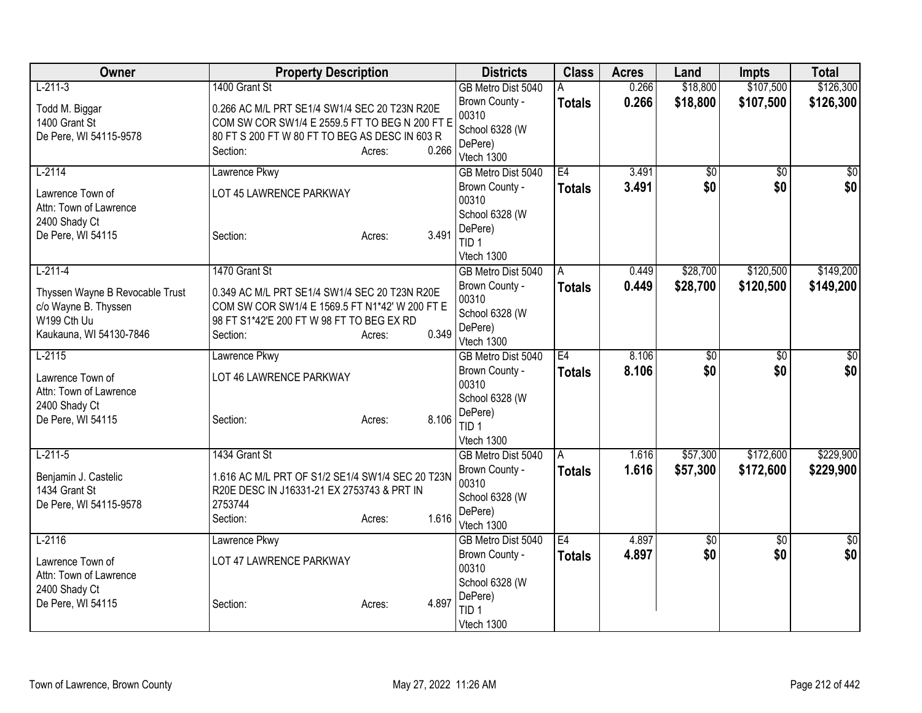| Owner                                   | <b>Property Description</b>                      |                 | <b>Districts</b>          | <b>Class</b>  | <b>Acres</b> | Land     | <b>Impts</b>    | <b>Total</b>    |
|-----------------------------------------|--------------------------------------------------|-----------------|---------------------------|---------------|--------------|----------|-----------------|-----------------|
| $L-211-3$                               | 1400 Grant St                                    |                 | GB Metro Dist 5040        | A             | 0.266        | \$18,800 | \$107,500       | \$126,300       |
| Todd M. Biggar                          | 0.266 AC M/L PRT SE1/4 SW1/4 SEC 20 T23N R20E    |                 | Brown County -            | <b>Totals</b> | 0.266        | \$18,800 | \$107,500       | \$126,300       |
| 1400 Grant St                           | COM SW COR SW1/4 E 2559.5 FT TO BEG N 200 FT E   |                 | 00310                     |               |              |          |                 |                 |
| De Pere, WI 54115-9578                  | 80 FT S 200 FT W 80 FT TO BEG AS DESC IN 603 R   |                 | School 6328 (W<br>DePere) |               |              |          |                 |                 |
|                                         | Section:                                         | 0.266<br>Acres: | Vtech 1300                |               |              |          |                 |                 |
| $L-2114$                                | Lawrence Pkwy                                    |                 | GB Metro Dist 5040        | E4            | 3.491        | \$0      | $\overline{30}$ | $\overline{50}$ |
| Lawrence Town of                        | LOT 45 LAWRENCE PARKWAY                          |                 | Brown County -            | <b>Totals</b> | 3.491        | \$0      | \$0             | \$0             |
| Attn: Town of Lawrence                  |                                                  |                 | 00310                     |               |              |          |                 |                 |
| 2400 Shady Ct                           |                                                  |                 | School 6328 (W            |               |              |          |                 |                 |
| De Pere, WI 54115                       | Section:                                         | 3.491<br>Acres: | DePere)                   |               |              |          |                 |                 |
|                                         |                                                  |                 | TID <sub>1</sub>          |               |              |          |                 |                 |
|                                         |                                                  |                 | Vtech 1300                |               |              |          |                 |                 |
| $L-211-4$                               | 1470 Grant St                                    |                 | GB Metro Dist 5040        | A             | 0.449        | \$28,700 | \$120,500       | \$149,200       |
| Thyssen Wayne B Revocable Trust         | 0.349 AC M/L PRT SE1/4 SW1/4 SEC 20 T23N R20E    |                 | Brown County -            | <b>Totals</b> | 0.449        | \$28,700 | \$120,500       | \$149,200       |
| c/o Wayne B. Thyssen                    | COM SW COR SW1/4 E 1569.5 FT N1*42' W 200 FT E   |                 | 00310                     |               |              |          |                 |                 |
| W199 Cth Uu                             | 98 FT S1*42'E 200 FT W 98 FT TO BEG EX RD        |                 | School 6328 (W<br>DePere) |               |              |          |                 |                 |
| Kaukauna, WI 54130-7846                 | Section:                                         | 0.349<br>Acres: | Vtech 1300                |               |              |          |                 |                 |
| $L-2115$                                | Lawrence Pkwy                                    |                 | GB Metro Dist 5040        | E4            | 8.106        | \$0      | $\overline{50}$ | \$0             |
|                                         |                                                  |                 | Brown County -            | <b>Totals</b> | 8.106        | \$0      | \$0             | \$0             |
| Lawrence Town of                        | LOT 46 LAWRENCE PARKWAY                          |                 | 00310                     |               |              |          |                 |                 |
| Attn: Town of Lawrence<br>2400 Shady Ct |                                                  |                 | School 6328 (W            |               |              |          |                 |                 |
| De Pere, WI 54115                       | Section:                                         | 8.106<br>Acres: | DePere)                   |               |              |          |                 |                 |
|                                         |                                                  |                 | TID <sub>1</sub>          |               |              |          |                 |                 |
|                                         |                                                  |                 | Vtech 1300                |               |              |          |                 |                 |
| $L-211-5$                               | 1434 Grant St                                    |                 | GB Metro Dist 5040        | A             | 1.616        | \$57,300 | \$172,600       | \$229,900       |
| Benjamin J. Castelic                    | 1.616 AC M/L PRT OF S1/2 SE1/4 SW1/4 SEC 20 T23N |                 | Brown County -            | <b>Totals</b> | 1.616        | \$57,300 | \$172,600       | \$229,900       |
| 1434 Grant St                           | R20E DESC IN J16331-21 EX 2753743 & PRT IN       |                 | 00310                     |               |              |          |                 |                 |
| De Pere, WI 54115-9578                  | 2753744                                          |                 | School 6328 (W            |               |              |          |                 |                 |
|                                         | Section:                                         | 1.616<br>Acres: | DePere)<br>Vtech 1300     |               |              |          |                 |                 |
| $L-2116$                                | Lawrence Pkwy                                    |                 | GB Metro Dist 5040        | E4            | 4.897        | \$0      | $\overline{50}$ | \$0             |
|                                         |                                                  |                 | Brown County -            | <b>Totals</b> | 4.897        | \$0      | \$0             | \$0             |
| Lawrence Town of                        | LOT 47 LAWRENCE PARKWAY                          |                 | 00310                     |               |              |          |                 |                 |
| Attn: Town of Lawrence<br>2400 Shady Ct |                                                  |                 | School 6328 (W            |               |              |          |                 |                 |
| De Pere, WI 54115                       | Section:                                         | 4.897<br>Acres: | DePere)                   |               |              |          |                 |                 |
|                                         |                                                  |                 | TID <sub>1</sub>          |               |              |          |                 |                 |
|                                         |                                                  |                 | Vtech 1300                |               |              |          |                 |                 |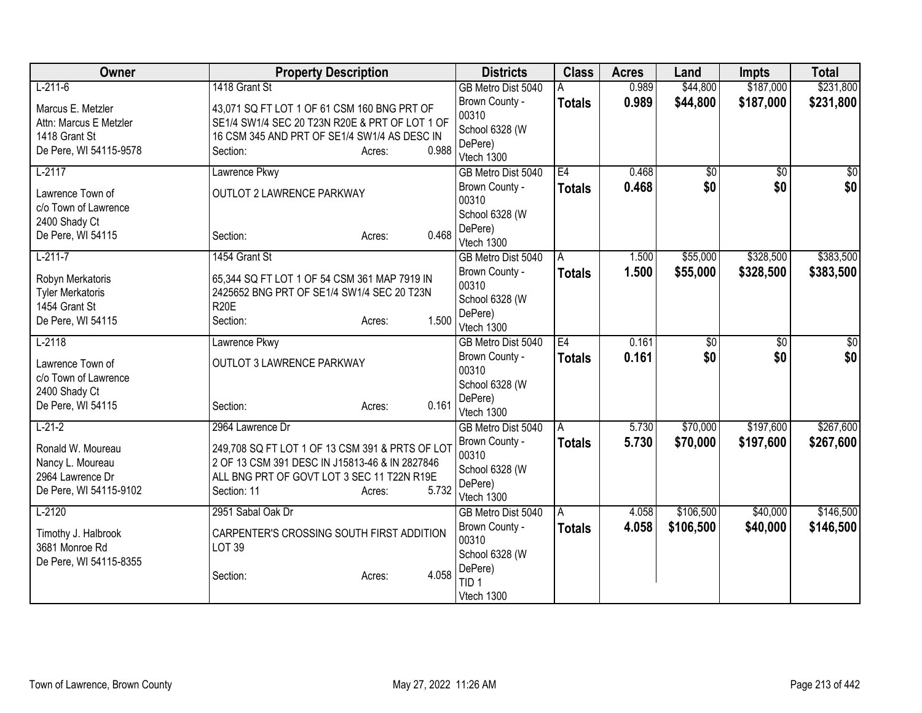| Owner                   | <b>Property Description</b>                     |       | <b>Districts</b>                     | <b>Class</b>  | <b>Acres</b>   | Land                   | <b>Impts</b>           | <b>Total</b> |
|-------------------------|-------------------------------------------------|-------|--------------------------------------|---------------|----------------|------------------------|------------------------|--------------|
| $L-211-6$               | 1418 Grant St                                   |       | GB Metro Dist 5040                   | Α             | 0.989          | \$44,800               | \$187,000              | \$231,800    |
| Marcus E. Metzler       | 43,071 SQ FT LOT 1 OF 61 CSM 160 BNG PRT OF     |       | Brown County -                       | <b>Totals</b> | 0.989          | \$44,800               | \$187,000              | \$231,800    |
| Attn: Marcus E Metzler  | SE1/4 SW1/4 SEC 20 T23N R20E & PRT OF LOT 1 OF  |       | 00310                                |               |                |                        |                        |              |
| 1418 Grant St           | 16 CSM 345 AND PRT OF SE1/4 SW1/4 AS DESC IN    |       | School 6328 (W                       |               |                |                        |                        |              |
| De Pere, WI 54115-9578  | Section:<br>Acres:                              | 0.988 | DePere)<br>Vtech 1300                |               |                |                        |                        |              |
| $L-2117$                | Lawrence Pkwy                                   |       | GB Metro Dist 5040                   | E4            | 0.468          | \$0                    | $\overline{50}$        | \$0          |
|                         |                                                 |       | Brown County -                       | <b>Totals</b> | 0.468          | \$0                    | \$0                    | \$0          |
| Lawrence Town of        | OUTLOT 2 LAWRENCE PARKWAY                       |       | 00310                                |               |                |                        |                        |              |
| c/o Town of Lawrence    |                                                 |       | School 6328 (W                       |               |                |                        |                        |              |
| 2400 Shady Ct           |                                                 |       | DePere)                              |               |                |                        |                        |              |
| De Pere, WI 54115       | Section:<br>Acres:                              | 0.468 | Vtech 1300                           |               |                |                        |                        |              |
| $L-211-7$               | 1454 Grant St                                   |       | GB Metro Dist 5040                   | A             | 1.500          | \$55,000               | \$328,500              | \$383,500    |
| Robyn Merkatoris        | 65,344 SQ FT LOT 1 OF 54 CSM 361 MAP 7919 IN    |       | Brown County -                       | <b>Totals</b> | 1.500          | \$55,000               | \$328,500              | \$383,500    |
| <b>Tyler Merkatoris</b> | 2425652 BNG PRT OF SE1/4 SW1/4 SEC 20 T23N      |       | 00310                                |               |                |                        |                        |              |
| 1454 Grant St           | <b>R20E</b>                                     |       | School 6328 (W                       |               |                |                        |                        |              |
| De Pere, WI 54115       | Section:<br>Acres:                              | 1.500 | DePere)                              |               |                |                        |                        |              |
|                         |                                                 |       | Vtech 1300                           | E4            |                |                        |                        |              |
| $L-2118$                | Lawrence Pkwy                                   |       | GB Metro Dist 5040<br>Brown County - |               | 0.161<br>0.161 | $\overline{50}$<br>\$0 | $\overline{50}$<br>\$0 | \$0<br>\$0   |
| Lawrence Town of        | <b>OUTLOT 3 LAWRENCE PARKWAY</b>                |       | 00310                                | <b>Totals</b> |                |                        |                        |              |
| c/o Town of Lawrence    |                                                 |       | School 6328 (W                       |               |                |                        |                        |              |
| 2400 Shady Ct           |                                                 |       | DePere)                              |               |                |                        |                        |              |
| De Pere, WI 54115       | Section:<br>Acres:                              | 0.161 | Vtech 1300                           |               |                |                        |                        |              |
| $L-21-2$                | 2964 Lawrence Dr                                |       | GB Metro Dist 5040                   | A             | 5.730          | \$70,000               | \$197,600              | \$267,600    |
| Ronald W. Moureau       | 249,708 SQ FT LOT 1 OF 13 CSM 391 & PRTS OF LOT |       | Brown County -                       | Totals        | 5.730          | \$70,000               | \$197,600              | \$267,600    |
| Nancy L. Moureau        | 2 OF 13 CSM 391 DESC IN J15813-46 & IN 2827846  |       | 00310                                |               |                |                        |                        |              |
| 2964 Lawrence Dr        | ALL BNG PRT OF GOVT LOT 3 SEC 11 T22N R19E      |       | School 6328 (W                       |               |                |                        |                        |              |
| De Pere, WI 54115-9102  | Section: 11<br>Acres:                           | 5.732 | DePere)                              |               |                |                        |                        |              |
|                         |                                                 |       | Vtech 1300                           |               |                |                        |                        |              |
| $L-2120$                | 2951 Sabal Oak Dr                               |       | GB Metro Dist 5040                   | A             | 4.058          | \$106,500              | \$40,000               | \$146,500    |
| Timothy J. Halbrook     | CARPENTER'S CROSSING SOUTH FIRST ADDITION       |       | Brown County -<br>00310              | <b>Totals</b> | 4.058          | \$106,500              | \$40,000               | \$146,500    |
| 3681 Monroe Rd          | <b>LOT 39</b>                                   |       | School 6328 (W                       |               |                |                        |                        |              |
| De Pere, WI 54115-8355  |                                                 |       | DePere)                              |               |                |                        |                        |              |
|                         | Section:<br>Acres:                              | 4.058 | TID 1                                |               |                |                        |                        |              |
|                         |                                                 |       | Vtech 1300                           |               |                |                        |                        |              |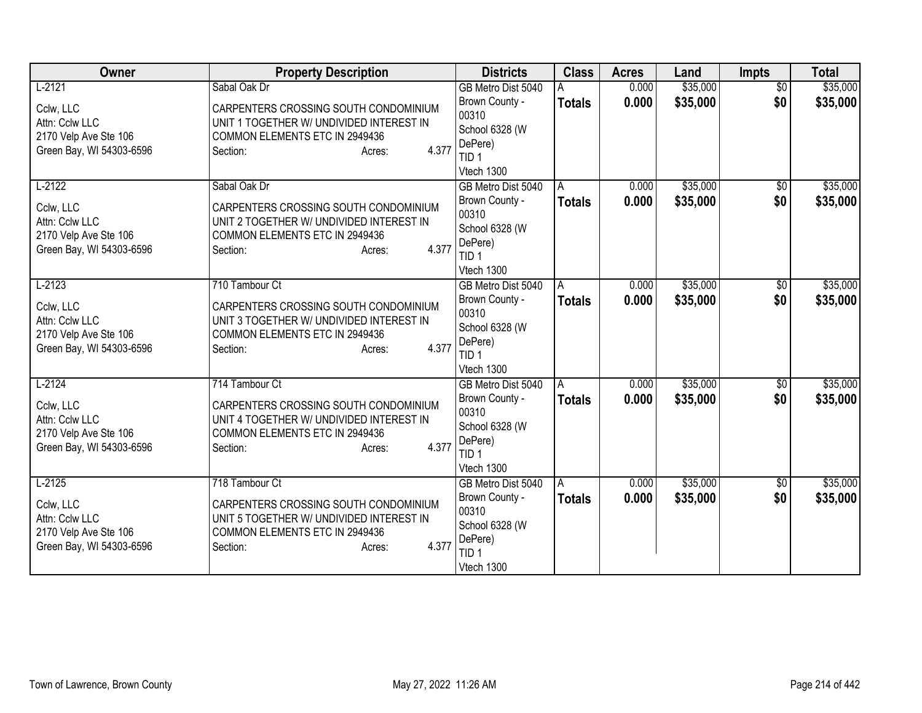| Owner                                             | <b>Property Description</b>                                   | <b>Districts</b>               | <b>Class</b>  | <b>Acres</b> | Land     | Impts                  | <b>Total</b> |
|---------------------------------------------------|---------------------------------------------------------------|--------------------------------|---------------|--------------|----------|------------------------|--------------|
| $L-2121$                                          | Sabal Oak Dr                                                  | GB Metro Dist 5040             |               | 0.000        | \$35,000 | $\overline{50}$        | \$35,000     |
| Cclw, LLC                                         | CARPENTERS CROSSING SOUTH CONDOMINIUM                         | Brown County -                 | <b>Totals</b> | 0.000        | \$35,000 | \$0                    | \$35,000     |
| Attn: Cclw LLC                                    | UNIT 1 TOGETHER W/ UNDIVIDED INTEREST IN                      | 00310                          |               |              |          |                        |              |
| 2170 Velp Ave Ste 106                             | COMMON ELEMENTS ETC IN 2949436                                | School 6328 (W<br>DePere)      |               |              |          |                        |              |
| Green Bay, WI 54303-6596                          | 4.377<br>Section:<br>Acres:                                   | TID <sub>1</sub>               |               |              |          |                        |              |
|                                                   |                                                               | Vtech 1300                     |               |              |          |                        |              |
| $L-2122$                                          | Sabal Oak Dr                                                  | GB Metro Dist 5040             | A             | 0.000        | \$35,000 | \$0                    | \$35,000     |
| Cclw, LLC                                         | CARPENTERS CROSSING SOUTH CONDOMINIUM                         | Brown County -                 | <b>Totals</b> | 0.000        | \$35,000 | \$0                    | \$35,000     |
| Attn: Cclw LLC                                    | UNIT 2 TOGETHER W/ UNDIVIDED INTEREST IN                      | 00310                          |               |              |          |                        |              |
| 2170 Velp Ave Ste 106                             | COMMON ELEMENTS ETC IN 2949436                                | School 6328 (W                 |               |              |          |                        |              |
| Green Bay, WI 54303-6596                          | 4.377<br>Section:<br>Acres:                                   | DePere)                        |               |              |          |                        |              |
|                                                   |                                                               | TID <sub>1</sub><br>Vtech 1300 |               |              |          |                        |              |
| $L-2123$                                          | 710 Tambour Ct                                                | GB Metro Dist 5040             | A             | 0.000        | \$35,000 | \$0                    | \$35,000     |
|                                                   |                                                               | Brown County -                 | <b>Totals</b> | 0.000        | \$35,000 | \$0                    | \$35,000     |
| Cclw, LLC                                         | CARPENTERS CROSSING SOUTH CONDOMINIUM                         | 00310                          |               |              |          |                        |              |
| Attn: Cclw LLC                                    | UNIT 3 TOGETHER W/ UNDIVIDED INTEREST IN                      | School 6328 (W                 |               |              |          |                        |              |
| 2170 Velp Ave Ste 106<br>Green Bay, WI 54303-6596 | COMMON ELEMENTS ETC IN 2949436<br>4.377<br>Section:<br>Acres: | DePere)                        |               |              |          |                        |              |
|                                                   |                                                               | TID <sub>1</sub>               |               |              |          |                        |              |
|                                                   |                                                               | Vtech 1300                     |               |              |          |                        |              |
| $L-2124$                                          | 714 Tambour Ct                                                | GB Metro Dist 5040             | A             | 0.000        | \$35,000 | $\overline{50}$<br>\$0 | \$35,000     |
| Cclw, LLC                                         | CARPENTERS CROSSING SOUTH CONDOMINIUM                         | Brown County -<br>00310        | <b>Totals</b> | 0.000        | \$35,000 |                        | \$35,000     |
| Attn: Cclw LLC                                    | UNIT 4 TOGETHER W/ UNDIVIDED INTEREST IN                      | School 6328 (W                 |               |              |          |                        |              |
| 2170 Velp Ave Ste 106                             | COMMON ELEMENTS ETC IN 2949436                                | DePere)                        |               |              |          |                        |              |
| Green Bay, WI 54303-6596                          | 4.377<br>Section:<br>Acres:                                   | TID <sub>1</sub>               |               |              |          |                        |              |
|                                                   |                                                               | Vtech 1300                     |               |              |          |                        |              |
| $L-2125$                                          | 718 Tambour Ct                                                | GB Metro Dist 5040             | A             | 0.000        | \$35,000 | \$0                    | \$35,000     |
| Cclw, LLC                                         | CARPENTERS CROSSING SOUTH CONDOMINIUM                         | Brown County -                 | <b>Totals</b> | 0.000        | \$35,000 | \$0                    | \$35,000     |
| Attn: Cclw LLC                                    | UNIT 5 TOGETHER W/ UNDIVIDED INTEREST IN                      | 00310                          |               |              |          |                        |              |
| 2170 Velp Ave Ste 106                             | COMMON ELEMENTS ETC IN 2949436                                | School 6328 (W<br>DePere)      |               |              |          |                        |              |
| Green Bay, WI 54303-6596                          | 4.377<br>Section:<br>Acres:                                   | TID 1                          |               |              |          |                        |              |
|                                                   |                                                               | Vtech 1300                     |               |              |          |                        |              |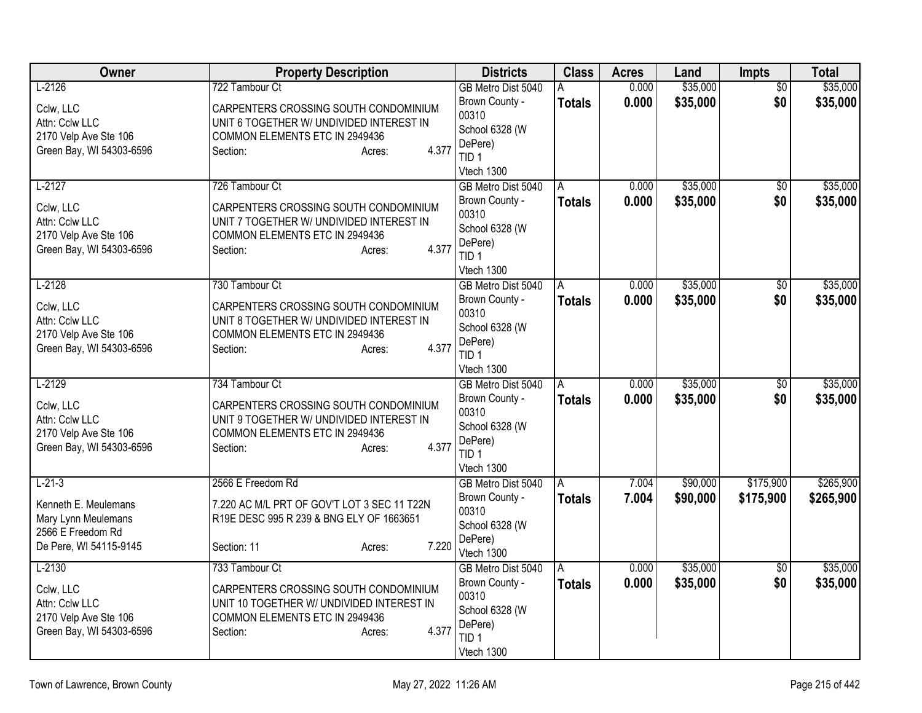| Owner                                                                                        | <b>Property Description</b>                                                                                                                                          | <b>Districts</b>                                                                                             | <b>Class</b>       | <b>Acres</b>   | Land                 | <b>Impts</b>           | <b>Total</b>         |
|----------------------------------------------------------------------------------------------|----------------------------------------------------------------------------------------------------------------------------------------------------------------------|--------------------------------------------------------------------------------------------------------------|--------------------|----------------|----------------------|------------------------|----------------------|
| $L-2126$                                                                                     | 722 Tambour Ct                                                                                                                                                       | GB Metro Dist 5040                                                                                           | A                  | 0.000          | \$35,000             | $\overline{50}$        | \$35,000             |
| Cclw, LLC<br>Attn: Cclw LLC<br>2170 Velp Ave Ste 106<br>Green Bay, WI 54303-6596             | CARPENTERS CROSSING SOUTH CONDOMINIUM<br>UNIT 6 TOGETHER W/ UNDIVIDED INTEREST IN<br>COMMON ELEMENTS ETC IN 2949436<br>4.377<br>Section:<br>Acres:                   | Brown County -<br>00310<br>School 6328 (W<br>DePere)<br>TID <sub>1</sub>                                     | <b>Totals</b>      | 0.000          | \$35,000             | \$0                    | \$35,000             |
|                                                                                              |                                                                                                                                                                      | Vtech 1300                                                                                                   |                    |                |                      |                        |                      |
| $L-2127$<br>Cclw, LLC<br>Attn: Cclw LLC<br>2170 Velp Ave Ste 106<br>Green Bay, WI 54303-6596 | 726 Tambour Ct<br>CARPENTERS CROSSING SOUTH CONDOMINIUM<br>UNIT 7 TOGETHER W/ UNDIVIDED INTEREST IN<br>COMMON ELEMENTS ETC IN 2949436<br>4.377<br>Section:<br>Acres: | GB Metro Dist 5040<br>Brown County -<br>00310<br>School 6328 (W<br>DePere)<br>TID <sub>1</sub><br>Vtech 1300 | A<br><b>Totals</b> | 0.000<br>0.000 | \$35,000<br>\$35,000 | $\overline{50}$<br>\$0 | \$35,000<br>\$35,000 |
| $L-2128$                                                                                     | 730 Tambour Ct                                                                                                                                                       | GB Metro Dist 5040                                                                                           | A                  | 0.000          | \$35,000             | \$0                    | \$35,000             |
| Cclw, LLC<br>Attn: Cclw LLC<br>2170 Velp Ave Ste 106<br>Green Bay, WI 54303-6596             | CARPENTERS CROSSING SOUTH CONDOMINIUM<br>UNIT 8 TOGETHER W/ UNDIVIDED INTEREST IN<br>COMMON ELEMENTS ETC IN 2949436<br>4.377<br>Section:<br>Acres:                   | Brown County -<br>00310<br>School 6328 (W<br>DePere)<br>TID <sub>1</sub><br>Vtech 1300                       | <b>Totals</b>      | 0.000          | \$35,000             | \$0                    | \$35,000             |
| $L-2129$                                                                                     | 734 Tambour Ct                                                                                                                                                       | GB Metro Dist 5040                                                                                           | A                  | 0.000          | \$35,000             | $\overline{50}$        | \$35,000             |
| Cclw, LLC<br>Attn: Cclw LLC<br>2170 Velp Ave Ste 106<br>Green Bay, WI 54303-6596             | CARPENTERS CROSSING SOUTH CONDOMINIUM<br>UNIT 9 TOGETHER W/ UNDIVIDED INTEREST IN<br>COMMON ELEMENTS ETC IN 2949436<br>4.377<br>Section:<br>Acres:                   | Brown County -<br>00310<br>School 6328 (W<br>DePere)<br>TID <sub>1</sub><br>Vtech 1300                       | <b>Totals</b>      | 0.000          | \$35,000             | \$0                    | \$35,000             |
| $L - 21 - 3$                                                                                 | 2566 E Freedom Rd                                                                                                                                                    | GB Metro Dist 5040                                                                                           |                    | 7.004          | \$90,000             | \$175,900              | \$265,900            |
| Kenneth E. Meulemans<br>Mary Lynn Meulemans<br>2566 E Freedom Rd<br>De Pere, WI 54115-9145   | 7.220 AC M/L PRT OF GOV'T LOT 3 SEC 11 T22N<br>R19E DESC 995 R 239 & BNG ELY OF 1663651<br>7.220<br>Section: 11<br>Acres:                                            | Brown County -<br>00310<br>School 6328 (W<br>DePere)<br>Vtech 1300                                           | Totals             | 7.004          | \$90,000             | \$175,900              | \$265,900            |
| $L-2130$                                                                                     | 733 Tambour Ct                                                                                                                                                       | GB Metro Dist 5040                                                                                           | A                  | 0.000          | \$35,000             | $\overline{50}$        | \$35,000             |
| Cclw, LLC<br>Attn: Cclw LLC<br>2170 Velp Ave Ste 106<br>Green Bay, WI 54303-6596             | CARPENTERS CROSSING SOUTH CONDOMINIUM<br>UNIT 10 TOGETHER W/ UNDIVIDED INTEREST IN<br>COMMON ELEMENTS ETC IN 2949436<br>4.377<br>Section:<br>Acres:                  | Brown County -<br>00310<br>School 6328 (W<br>DePere)<br>TID <sub>1</sub><br>Vtech 1300                       | <b>Totals</b>      | 0.000          | \$35,000             | \$0                    | \$35,000             |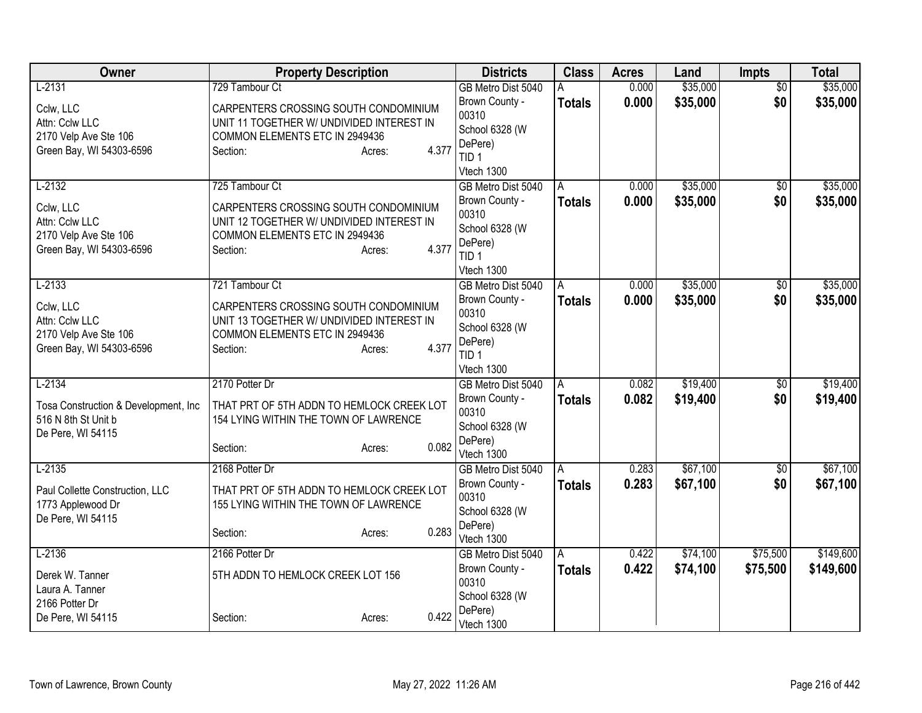| Owner                                | <b>Property Description</b>               | <b>Districts</b>            | <b>Class</b>  | <b>Acres</b> | Land     | Impts           | <b>Total</b> |
|--------------------------------------|-------------------------------------------|-----------------------------|---------------|--------------|----------|-----------------|--------------|
| $L-2131$                             | 729 Tambour Ct                            | GB Metro Dist 5040          |               | 0.000        | \$35,000 | $\overline{50}$ | \$35,000     |
| Cclw, LLC                            | CARPENTERS CROSSING SOUTH CONDOMINIUM     | Brown County -              | <b>Totals</b> | 0.000        | \$35,000 | \$0             | \$35,000     |
| Attn: Cclw LLC                       | UNIT 11 TOGETHER W/ UNDIVIDED INTEREST IN | 00310                       |               |              |          |                 |              |
| 2170 Velp Ave Ste 106                | COMMON ELEMENTS ETC IN 2949436            | School 6328 (W              |               |              |          |                 |              |
| Green Bay, WI 54303-6596             | 4.377<br>Section:<br>Acres:               | DePere)<br>TID <sub>1</sub> |               |              |          |                 |              |
|                                      |                                           | Vtech 1300                  |               |              |          |                 |              |
| $L-2132$                             | 725 Tambour Ct                            | GB Metro Dist 5040          | A             | 0.000        | \$35,000 | $\sqrt{6}$      | \$35,000     |
|                                      |                                           | Brown County -              | <b>Totals</b> | 0.000        | \$35,000 | \$0             | \$35,000     |
| Cclw, LLC                            | CARPENTERS CROSSING SOUTH CONDOMINIUM     | 00310                       |               |              |          |                 |              |
| Attn: Cclw LLC                       | UNIT 12 TOGETHER W/ UNDIVIDED INTEREST IN | School 6328 (W              |               |              |          |                 |              |
| 2170 Velp Ave Ste 106                | COMMON ELEMENTS ETC IN 2949436<br>4.377   | DePere)                     |               |              |          |                 |              |
| Green Bay, WI 54303-6596             | Section:<br>Acres:                        | TID <sub>1</sub>            |               |              |          |                 |              |
|                                      |                                           | Vtech 1300                  |               |              |          |                 |              |
| $L-2133$                             | 721 Tambour Ct                            | GB Metro Dist 5040          | A             | 0.000        | \$35,000 | \$0             | \$35,000     |
| Cclw, LLC                            | CARPENTERS CROSSING SOUTH CONDOMINIUM     | Brown County -              | <b>Totals</b> | 0.000        | \$35,000 | \$0             | \$35,000     |
| Attn: Cclw LLC                       | UNIT 13 TOGETHER W/ UNDIVIDED INTEREST IN | 00310                       |               |              |          |                 |              |
| 2170 Velp Ave Ste 106                | COMMON ELEMENTS ETC IN 2949436            | School 6328 (W              |               |              |          |                 |              |
| Green Bay, WI 54303-6596             | 4.377<br>Section:<br>Acres:               | DePere)<br>TID <sub>1</sub> |               |              |          |                 |              |
|                                      |                                           | Vtech 1300                  |               |              |          |                 |              |
| $L-2134$                             | 2170 Potter Dr                            | GB Metro Dist 5040          | A             | 0.082        | \$19,400 | $\overline{50}$ | \$19,400     |
|                                      |                                           | Brown County -              | <b>Totals</b> | 0.082        | \$19,400 | \$0             | \$19,400     |
| Tosa Construction & Development, Inc | THAT PRT OF 5TH ADDN TO HEMLOCK CREEK LOT | 00310                       |               |              |          |                 |              |
| 516 N 8th St Unit b                  | 154 LYING WITHIN THE TOWN OF LAWRENCE     | School 6328 (W              |               |              |          |                 |              |
| De Pere, WI 54115                    | 0.082<br>Section:<br>Acres:               | DePere)                     |               |              |          |                 |              |
|                                      |                                           | Vtech 1300                  |               |              |          |                 |              |
| $L-2135$                             | 2168 Potter Dr                            | GB Metro Dist 5040          | A             | 0.283        | \$67,100 | $\overline{50}$ | \$67,100     |
| Paul Collette Construction, LLC      | THAT PRT OF 5TH ADDN TO HEMLOCK CREEK LOT | Brown County -              | <b>Totals</b> | 0.283        | \$67,100 | \$0             | \$67,100     |
| 1773 Applewood Dr                    | 155 LYING WITHIN THE TOWN OF LAWRENCE     | 00310                       |               |              |          |                 |              |
| De Pere, WI 54115                    |                                           | School 6328 (W<br>DePere)   |               |              |          |                 |              |
|                                      | 0.283<br>Section:<br>Acres:               | Vtech 1300                  |               |              |          |                 |              |
| $L-2136$                             | 2166 Potter Dr                            | GB Metro Dist 5040          | A             | 0.422        | \$74,100 | \$75,500        | \$149,600    |
|                                      |                                           | Brown County -              | <b>Totals</b> | 0.422        | \$74,100 | \$75,500        | \$149,600    |
| Derek W. Tanner                      | 5TH ADDN TO HEMLOCK CREEK LOT 156         | 00310                       |               |              |          |                 |              |
| Laura A. Tanner<br>2166 Potter Dr    |                                           | School 6328 (W              |               |              |          |                 |              |
| De Pere, WI 54115                    | 0.422<br>Section:<br>Acres:               | DePere)                     |               |              |          |                 |              |
|                                      |                                           | Vtech 1300                  |               |              |          |                 |              |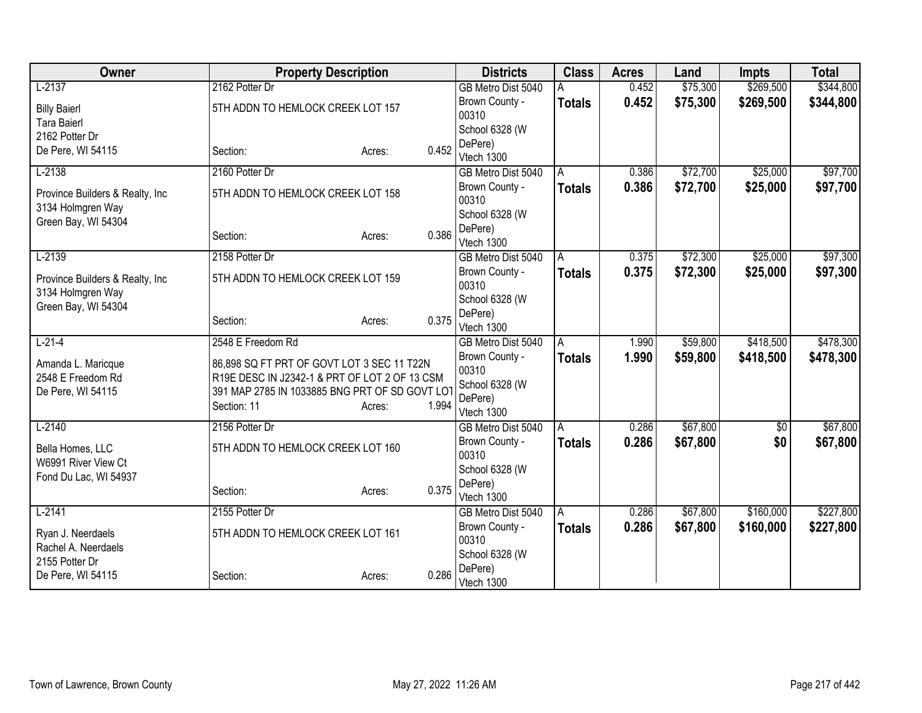| Owner                                                 | <b>Property Description</b>                    |                 | <b>Districts</b>        | <b>Class</b>  | <b>Acres</b> | Land     | <b>Impts</b> | <b>Total</b> |
|-------------------------------------------------------|------------------------------------------------|-----------------|-------------------------|---------------|--------------|----------|--------------|--------------|
| $L-2137$                                              | 2162 Potter Dr                                 |                 | GB Metro Dist 5040      |               | 0.452        | \$75,300 | \$269,500    | \$344,800    |
| <b>Billy Baierl</b>                                   | 5TH ADDN TO HEMLOCK CREEK LOT 157              |                 | Brown County -          | <b>Totals</b> | 0.452        | \$75,300 | \$269,500    | \$344,800    |
| <b>Tara Baierl</b>                                    |                                                |                 | 00310                   |               |              |          |              |              |
| 2162 Potter Dr                                        |                                                |                 | School 6328 (W          |               |              |          |              |              |
| De Pere, WI 54115                                     | Section:                                       | 0.452<br>Acres: | DePere)                 |               |              |          |              |              |
|                                                       |                                                |                 | Vtech 1300              |               |              |          |              |              |
| $L-2138$                                              | 2160 Potter Dr                                 |                 | GB Metro Dist 5040      | A             | 0.386        | \$72,700 | \$25,000     | \$97,700     |
| Province Builders & Realty, Inc.<br>3134 Holmgren Way | 5TH ADDN TO HEMLOCK CREEK LOT 158              |                 | Brown County -<br>00310 | <b>Totals</b> | 0.386        | \$72,700 | \$25,000     | \$97,700     |
| Green Bay, WI 54304                                   |                                                |                 | School 6328 (W          |               |              |          |              |              |
|                                                       | Section:                                       | 0.386<br>Acres: | DePere)<br>Vtech 1300   |               |              |          |              |              |
| $L-2139$                                              | 2158 Potter Dr                                 |                 | GB Metro Dist 5040      | A             | 0.375        | \$72,300 | \$25,000     | \$97,300     |
|                                                       |                                                |                 | Brown County -          | <b>Totals</b> | 0.375        | \$72,300 | \$25,000     | \$97,300     |
| Province Builders & Realty, Inc.                      | 5TH ADDN TO HEMLOCK CREEK LOT 159              |                 | 00310                   |               |              |          |              |              |
| 3134 Holmgren Way                                     |                                                |                 | School 6328 (W          |               |              |          |              |              |
| Green Bay, WI 54304                                   | Section:                                       | 0.375<br>Acres: | DePere)                 |               |              |          |              |              |
|                                                       |                                                |                 | Vtech 1300              |               |              |          |              |              |
| $L-21-4$                                              | 2548 E Freedom Rd                              |                 | GB Metro Dist 5040      | A             | 1.990        | \$59,800 | \$418,500    | \$478,300    |
| Amanda L. Maricque                                    | 86,898 SQ FT PRT OF GOVT LOT 3 SEC 11 T22N     |                 | Brown County -          | <b>Totals</b> | 1.990        | \$59,800 | \$418,500    | \$478,300    |
| 2548 E Freedom Rd                                     | R19E DESC IN J2342-1 & PRT OF LOT 2 OF 13 CSM  |                 | 00310                   |               |              |          |              |              |
| De Pere, WI 54115                                     | 391 MAP 2785 IN 1033885 BNG PRT OF SD GOVT LOT |                 | School 6328 (W          |               |              |          |              |              |
|                                                       | Section: 11                                    | 1.994<br>Acres: | DePere)<br>Vtech 1300   |               |              |          |              |              |
| $L-2140$                                              | 2156 Potter Dr                                 |                 | GB Metro Dist 5040      | A             | 0.286        | \$67,800 | $\sqrt{$0}$  | \$67,800     |
|                                                       |                                                |                 | Brown County -          | <b>Totals</b> | 0.286        | \$67,800 | \$0          | \$67,800     |
| Bella Homes, LLC                                      | 5TH ADDN TO HEMLOCK CREEK LOT 160              |                 | 00310                   |               |              |          |              |              |
| W6991 River View Ct                                   |                                                |                 | School 6328 (W          |               |              |          |              |              |
| Fond Du Lac, WI 54937                                 |                                                |                 | DePere)                 |               |              |          |              |              |
|                                                       | Section:                                       | 0.375<br>Acres: | Vtech 1300              |               |              |          |              |              |
| $L-2141$                                              | 2155 Potter Dr                                 |                 | GB Metro Dist 5040      | l A           | 0.286        | \$67,800 | \$160,000    | \$227,800    |
| Ryan J. Neerdaels                                     | 5TH ADDN TO HEMLOCK CREEK LOT 161              |                 | Brown County -          | <b>Totals</b> | 0.286        | \$67,800 | \$160,000    | \$227,800    |
| Rachel A. Neerdaels                                   |                                                |                 | 00310                   |               |              |          |              |              |
| 2155 Potter Dr                                        |                                                |                 | School 6328 (W          |               |              |          |              |              |
| De Pere, WI 54115                                     | Section:                                       | 0.286<br>Acres: | DePere)<br>Vtech 1300   |               |              |          |              |              |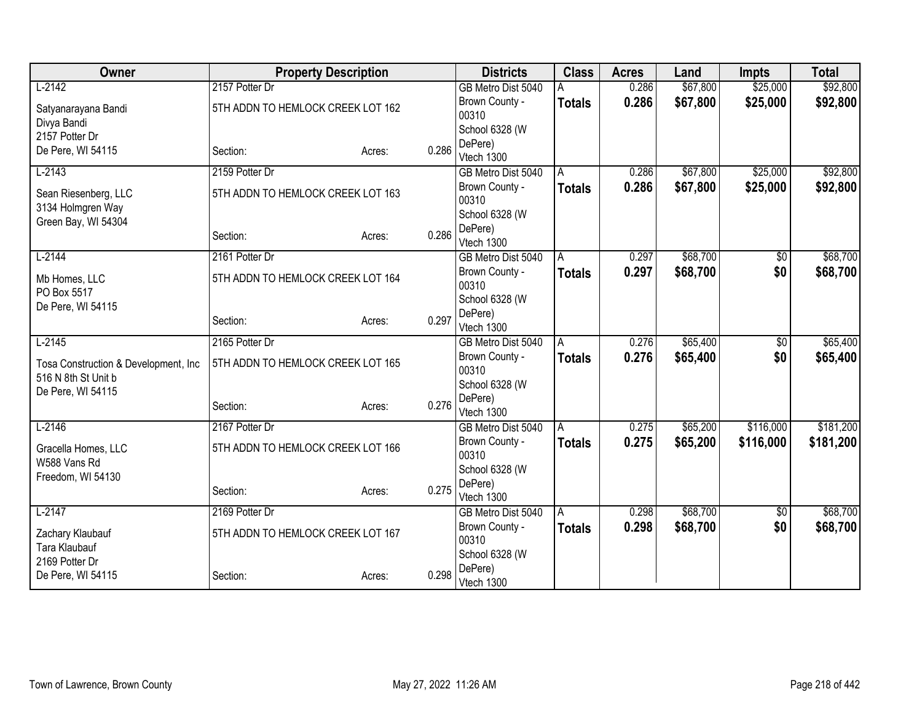| Owner                                |                                   | <b>Property Description</b> |       | <b>Districts</b>                 | <b>Class</b>  | <b>Acres</b> | Land     | <b>Impts</b> | <b>Total</b> |
|--------------------------------------|-----------------------------------|-----------------------------|-------|----------------------------------|---------------|--------------|----------|--------------|--------------|
| $L-2142$                             | 2157 Potter Dr                    |                             |       | GB Metro Dist 5040               |               | 0.286        | \$67,800 | \$25,000     | \$92,800     |
| Satyanarayana Bandi                  | 5TH ADDN TO HEMLOCK CREEK LOT 162 |                             |       | Brown County -                   | <b>Totals</b> | 0.286        | \$67,800 | \$25,000     | \$92,800     |
| Divya Bandi                          |                                   |                             |       | 00310                            |               |              |          |              |              |
| 2157 Potter Dr                       |                                   |                             |       | School 6328 (W                   |               |              |          |              |              |
| De Pere, WI 54115                    | Section:                          | Acres:                      | 0.286 | DePere)<br>Vtech 1300            |               |              |          |              |              |
| $L-2143$                             | 2159 Potter Dr                    |                             |       | GB Metro Dist 5040               | A             | 0.286        | \$67,800 | \$25,000     | \$92,800     |
|                                      |                                   |                             |       | Brown County -                   | <b>Totals</b> | 0.286        | \$67,800 | \$25,000     | \$92,800     |
| Sean Riesenberg, LLC                 | 5TH ADDN TO HEMLOCK CREEK LOT 163 |                             |       | 00310                            |               |              |          |              |              |
| 3134 Holmgren Way                    |                                   |                             |       | School 6328 (W                   |               |              |          |              |              |
| Green Bay, WI 54304                  |                                   |                             |       | DePere)                          |               |              |          |              |              |
|                                      | Section:                          | Acres:                      | 0.286 | Vtech 1300                       |               |              |          |              |              |
| $L-2144$                             | 2161 Potter Dr                    |                             |       | GB Metro Dist 5040               | A             | 0.297        | \$68,700 | \$0          | \$68,700     |
| Mb Homes, LLC                        | 5TH ADDN TO HEMLOCK CREEK LOT 164 |                             |       | Brown County -                   | <b>Totals</b> | 0.297        | \$68,700 | \$0          | \$68,700     |
| PO Box 5517                          |                                   |                             |       | 00310                            |               |              |          |              |              |
| De Pere, WI 54115                    |                                   |                             |       | School 6328 (W                   |               |              |          |              |              |
|                                      | Section:                          | Acres:                      | 0.297 | DePere)                          |               |              |          |              |              |
|                                      |                                   |                             |       | Vtech 1300                       |               |              |          |              |              |
| $L-2145$                             | 2165 Potter Dr                    |                             |       | GB Metro Dist 5040               | A             | 0.276        | \$65,400 | \$0          | \$65,400     |
| Tosa Construction & Development, Inc | 5TH ADDN TO HEMLOCK CREEK LOT 165 |                             |       | Brown County -<br>00310          | <b>Totals</b> | 0.276        | \$65,400 | \$0          | \$65,400     |
| 516 N 8th St Unit b                  |                                   |                             |       | School 6328 (W                   |               |              |          |              |              |
| De Pere, WI 54115                    |                                   |                             |       | DePere)                          |               |              |          |              |              |
|                                      | Section:                          | Acres:                      | 0.276 | Vtech 1300                       |               |              |          |              |              |
| $L-2146$                             | 2167 Potter Dr                    |                             |       | GB Metro Dist 5040               | A             | 0.275        | \$65,200 | \$116,000    | \$181,200    |
| Gracella Homes, LLC                  | 5TH ADDN TO HEMLOCK CREEK LOT 166 |                             |       | Brown County -                   | <b>Totals</b> | 0.275        | \$65,200 | \$116,000    | \$181,200    |
| W588 Vans Rd                         |                                   |                             |       | 00310                            |               |              |          |              |              |
| Freedom, WI 54130                    |                                   |                             |       | School 6328 (W                   |               |              |          |              |              |
|                                      | Section:                          | Acres:                      | 0.275 | DePere)                          |               |              |          |              |              |
| $L-2147$                             | 2169 Potter Dr                    |                             |       | Vtech 1300<br>GB Metro Dist 5040 |               | 0.298        | \$68,700 |              | \$68,700     |
|                                      |                                   |                             |       | Brown County -                   | l A           |              |          | \$0<br>\$0   |              |
| Zachary Klaubauf                     | 5TH ADDN TO HEMLOCK CREEK LOT 167 |                             |       | 00310                            | <b>Totals</b> | 0.298        | \$68,700 |              | \$68,700     |
| Tara Klaubauf                        |                                   |                             |       | School 6328 (W                   |               |              |          |              |              |
| 2169 Potter Dr                       |                                   |                             |       | DePere)                          |               |              |          |              |              |
| De Pere, WI 54115                    | Section:                          | Acres:                      | 0.298 | Vtech 1300                       |               |              |          |              |              |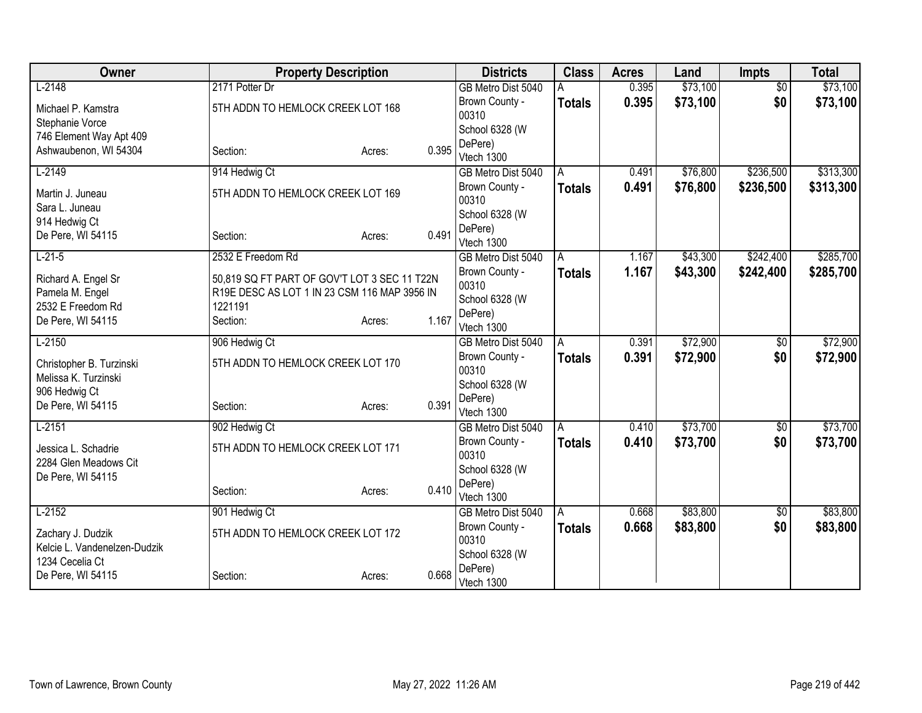| Owner                                  | <b>Property Description</b>                                                                  |        |       | <b>Districts</b>        | <b>Class</b>  | <b>Acres</b> | Land     | <b>Impts</b>    | <b>Total</b> |
|----------------------------------------|----------------------------------------------------------------------------------------------|--------|-------|-------------------------|---------------|--------------|----------|-----------------|--------------|
| $L-2148$                               | 2171 Potter Dr                                                                               |        |       | GB Metro Dist 5040      |               | 0.395        | \$73,100 | $\overline{50}$ | \$73,100     |
| Michael P. Kamstra                     | 5TH ADDN TO HEMLOCK CREEK LOT 168                                                            |        |       | Brown County -          | <b>Totals</b> | 0.395        | \$73,100 | \$0             | \$73,100     |
| Stephanie Vorce                        |                                                                                              |        |       | 00310                   |               |              |          |                 |              |
| 746 Element Way Apt 409                |                                                                                              |        |       | School 6328 (W          |               |              |          |                 |              |
| Ashwaubenon, WI 54304                  | Section:                                                                                     | Acres: | 0.395 | DePere)<br>Vtech 1300   |               |              |          |                 |              |
| $L-2149$                               | 914 Hedwig Ct                                                                                |        |       | GB Metro Dist 5040      | A             | 0.491        | \$76,800 | \$236,500       | \$313,300    |
|                                        |                                                                                              |        |       |                         |               |              |          |                 |              |
| Martin J. Juneau                       | 5TH ADDN TO HEMLOCK CREEK LOT 169                                                            |        |       | Brown County -<br>00310 | <b>Totals</b> | 0.491        | \$76,800 | \$236,500       | \$313,300    |
| Sara L. Juneau                         |                                                                                              |        |       | School 6328 (W          |               |              |          |                 |              |
| 914 Hedwig Ct                          |                                                                                              |        |       | DePere)                 |               |              |          |                 |              |
| De Pere, WI 54115                      | Section:                                                                                     | Acres: | 0.491 | Vtech 1300              |               |              |          |                 |              |
| $L-21-5$                               | 2532 E Freedom Rd                                                                            |        |       | GB Metro Dist 5040      | A             | 1.167        | \$43,300 | \$242,400       | \$285,700    |
|                                        |                                                                                              |        |       | Brown County -          | <b>Totals</b> | 1.167        | \$43,300 | \$242,400       | \$285,700    |
| Richard A. Engel Sr<br>Pamela M. Engel | 50,819 SQ FT PART OF GOV'T LOT 3 SEC 11 T22N<br>R19E DESC AS LOT 1 IN 23 CSM 116 MAP 3956 IN |        |       | 00310                   |               |              |          |                 |              |
| 2532 E Freedom Rd                      | 1221191                                                                                      |        |       | School 6328 (W          |               |              |          |                 |              |
| De Pere, WI 54115                      | Section:                                                                                     | Acres: | 1.167 | DePere)                 |               |              |          |                 |              |
|                                        |                                                                                              |        |       | Vtech 1300              |               |              |          |                 |              |
| $L-2150$                               | 906 Hedwig Ct                                                                                |        |       | GB Metro Dist 5040      | A             | 0.391        | \$72,900 | \$0             | \$72,900     |
| Christopher B. Turzinski               | 5TH ADDN TO HEMLOCK CREEK LOT 170                                                            |        |       | Brown County -          | <b>Totals</b> | 0.391        | \$72,900 | \$0             | \$72,900     |
| Melissa K. Turzinski                   |                                                                                              |        |       | 00310<br>School 6328 (W |               |              |          |                 |              |
| 906 Hedwig Ct                          |                                                                                              |        |       | DePere)                 |               |              |          |                 |              |
| De Pere, WI 54115                      | Section:                                                                                     | Acres: | 0.391 | Vtech 1300              |               |              |          |                 |              |
| $L-2151$                               | 902 Hedwig Ct                                                                                |        |       | GB Metro Dist 5040      | A             | 0.410        | \$73,700 | $\sqrt{$0}$     | \$73,700     |
|                                        |                                                                                              |        |       | Brown County -          | <b>Totals</b> | 0.410        | \$73,700 | \$0             | \$73,700     |
| Jessica L. Schadrie                    | 5TH ADDN TO HEMLOCK CREEK LOT 171                                                            |        |       | 00310                   |               |              |          |                 |              |
| 2284 Glen Meadows Cit                  |                                                                                              |        |       | School 6328 (W          |               |              |          |                 |              |
| De Pere, WI 54115                      | Section:                                                                                     | Acres: | 0.410 | DePere)                 |               |              |          |                 |              |
|                                        |                                                                                              |        |       | Vtech 1300              |               |              |          |                 |              |
| $L-2152$                               | 901 Hedwig Ct                                                                                |        |       | GB Metro Dist 5040      | A             | 0.668        | \$83,800 | \$0             | \$83,800     |
| Zachary J. Dudzik                      | 5TH ADDN TO HEMLOCK CREEK LOT 172                                                            |        |       | Brown County -          | Totals        | 0.668        | \$83,800 | \$0             | \$83,800     |
| Kelcie L. Vandenelzen-Dudzik           |                                                                                              |        |       | 00310                   |               |              |          |                 |              |
| 1234 Cecelia Ct                        |                                                                                              |        |       | School 6328 (W          |               |              |          |                 |              |
| De Pere, WI 54115                      | Section:                                                                                     | Acres: | 0.668 | DePere)<br>Vtech 1300   |               |              |          |                 |              |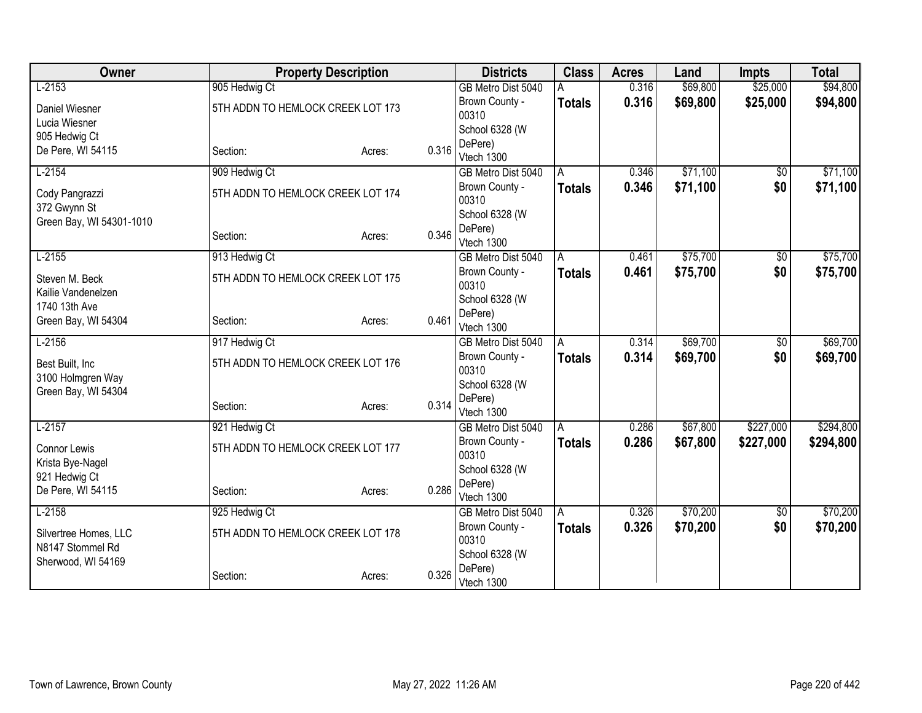| Owner                             |                                   | <b>Property Description</b> |       | <b>Districts</b>        | <b>Class</b>  | <b>Acres</b> | Land     | <b>Impts</b>    | <b>Total</b> |
|-----------------------------------|-----------------------------------|-----------------------------|-------|-------------------------|---------------|--------------|----------|-----------------|--------------|
| $L-2153$                          | 905 Hedwig Ct                     |                             |       | GB Metro Dist 5040      |               | 0.316        | \$69,800 | \$25,000        | \$94,800     |
| Daniel Wiesner                    | 5TH ADDN TO HEMLOCK CREEK LOT 173 |                             |       | Brown County -          | <b>Totals</b> | 0.316        | \$69,800 | \$25,000        | \$94,800     |
| Lucia Wiesner                     |                                   |                             |       | 00310                   |               |              |          |                 |              |
| 905 Hedwig Ct                     |                                   |                             |       | School 6328 (W          |               |              |          |                 |              |
| De Pere, WI 54115                 | Section:                          | Acres:                      | 0.316 | DePere)<br>Vtech 1300   |               |              |          |                 |              |
| $L-2154$                          | 909 Hedwig Ct                     |                             |       | GB Metro Dist 5040      | A             | 0.346        | \$71,100 | $\overline{50}$ | \$71,100     |
|                                   |                                   |                             |       | Brown County -          | <b>Totals</b> | 0.346        | \$71,100 | \$0             | \$71,100     |
| Cody Pangrazzi<br>372 Gwynn St    | 5TH ADDN TO HEMLOCK CREEK LOT 174 |                             |       | 00310                   |               |              |          |                 |              |
| Green Bay, WI 54301-1010          |                                   |                             |       | School 6328 (W          |               |              |          |                 |              |
|                                   | Section:                          | Acres:                      | 0.346 | DePere)                 |               |              |          |                 |              |
|                                   |                                   |                             |       | Vtech 1300              |               |              |          |                 |              |
| $L-2155$                          | 913 Hedwig Ct                     |                             |       | GB Metro Dist 5040      | A             | 0.461        | \$75,700 | \$0             | \$75,700     |
| Steven M. Beck                    | 5TH ADDN TO HEMLOCK CREEK LOT 175 |                             |       | Brown County -<br>00310 | <b>Totals</b> | 0.461        | \$75,700 | \$0             | \$75,700     |
| Kailie Vandenelzen                |                                   |                             |       | School 6328 (W          |               |              |          |                 |              |
| 1740 13th Ave                     |                                   |                             |       | DePere)                 |               |              |          |                 |              |
| Green Bay, WI 54304               | Section:                          | Acres:                      | 0.461 | Vtech 1300              |               |              |          |                 |              |
| $L-2156$                          | 917 Hedwig Ct                     |                             |       | GB Metro Dist 5040      | A             | 0.314        | \$69,700 | $\overline{$0}$ | \$69,700     |
| Best Built, Inc                   | 5TH ADDN TO HEMLOCK CREEK LOT 176 |                             |       | Brown County -          | <b>Totals</b> | 0.314        | \$69,700 | \$0             | \$69,700     |
| 3100 Holmgren Way                 |                                   |                             |       | 00310                   |               |              |          |                 |              |
| Green Bay, WI 54304               |                                   |                             |       | School 6328 (W          |               |              |          |                 |              |
|                                   | Section:                          | Acres:                      | 0.314 | DePere)<br>Vtech 1300   |               |              |          |                 |              |
| $L-2157$                          | 921 Hedwig Ct                     |                             |       | GB Metro Dist 5040      | Α             | 0.286        | \$67,800 | \$227,000       | \$294,800    |
|                                   |                                   |                             |       | Brown County -          | <b>Totals</b> | 0.286        | \$67,800 | \$227,000       | \$294,800    |
| Connor Lewis                      | 5TH ADDN TO HEMLOCK CREEK LOT 177 |                             |       | 00310                   |               |              |          |                 |              |
| Krista Bye-Nagel<br>921 Hedwig Ct |                                   |                             |       | School 6328 (W          |               |              |          |                 |              |
| De Pere, WI 54115                 | Section:                          | Acres:                      | 0.286 | DePere)                 |               |              |          |                 |              |
|                                   |                                   |                             |       | Vtech 1300              |               |              |          |                 |              |
| $L-2158$                          | 925 Hedwig Ct                     |                             |       | GB Metro Dist 5040      | A             | 0.326        | \$70,200 | \$0             | \$70,200     |
| Silvertree Homes, LLC             | 5TH ADDN TO HEMLOCK CREEK LOT 178 |                             |       | Brown County -<br>00310 | <b>Totals</b> | 0.326        | \$70,200 | \$0             | \$70,200     |
| N8147 Stommel Rd                  |                                   |                             |       | School 6328 (W          |               |              |          |                 |              |
| Sherwood, WI 54169                |                                   |                             |       | DePere)                 |               |              |          |                 |              |
|                                   | Section:                          | Acres:                      | 0.326 | Vtech 1300              |               |              |          |                 |              |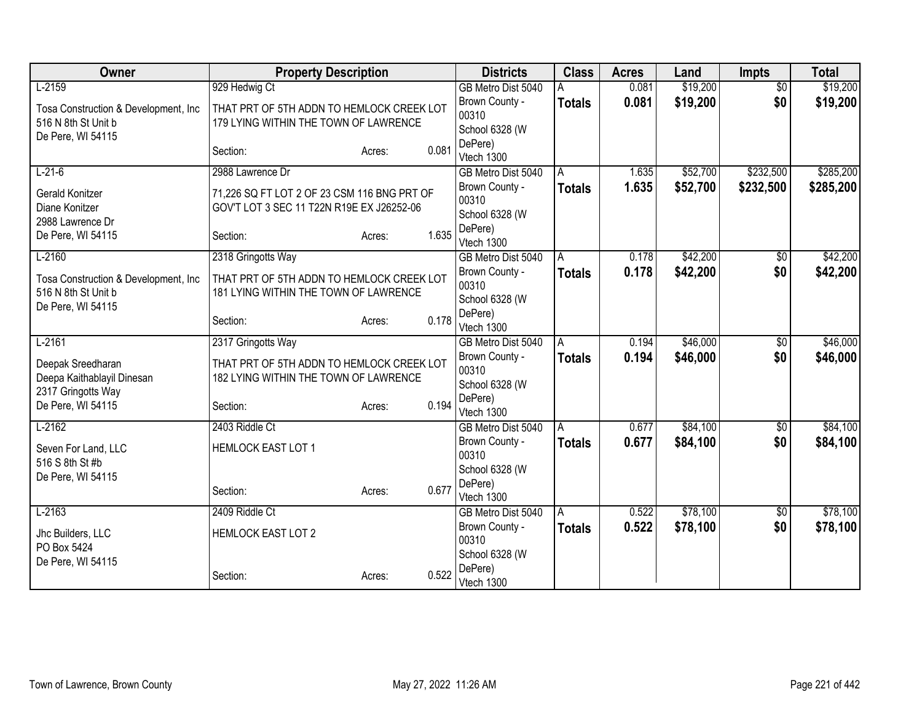| Owner                                 | <b>Property Description</b>                 |                 | <b>Districts</b>          | <b>Class</b>  | <b>Acres</b> | Land     | <b>Impts</b>    | <b>Total</b> |
|---------------------------------------|---------------------------------------------|-----------------|---------------------------|---------------|--------------|----------|-----------------|--------------|
| $L-2159$                              | 929 Hedwig Ct                               |                 | GB Metro Dist 5040        |               | 0.081        | \$19,200 | $\overline{50}$ | \$19,200     |
| Tosa Construction & Development, Inc. | THAT PRT OF 5TH ADDN TO HEMLOCK CREEK LOT   |                 | Brown County -            | <b>Totals</b> | 0.081        | \$19,200 | \$0             | \$19,200     |
| 516 N 8th St Unit b                   | 179 LYING WITHIN THE TOWN OF LAWRENCE       |                 | 00310                     |               |              |          |                 |              |
| De Pere, WI 54115                     |                                             |                 | School 6328 (W            |               |              |          |                 |              |
|                                       | Section:                                    | 0.081<br>Acres: | DePere)<br>Vtech 1300     |               |              |          |                 |              |
| $L-21-6$                              | 2988 Lawrence Dr                            |                 | GB Metro Dist 5040        | A             | 1.635        | \$52,700 | \$232,500       | \$285,200    |
|                                       |                                             |                 | Brown County -            | <b>Totals</b> | 1.635        | \$52,700 | \$232,500       | \$285,200    |
| Gerald Konitzer                       | 71,226 SQ FT LOT 2 OF 23 CSM 116 BNG PRT OF |                 | 00310                     |               |              |          |                 |              |
| Diane Konitzer<br>2988 Lawrence Dr    | GOV'T LOT 3 SEC 11 T22N R19E EX J26252-06   |                 | School 6328 (W            |               |              |          |                 |              |
| De Pere, WI 54115                     | Section:                                    | 1.635<br>Acres: | DePere)                   |               |              |          |                 |              |
|                                       |                                             |                 | Vtech 1300                |               |              |          |                 |              |
| $L-2160$                              | 2318 Gringotts Way                          |                 | GB Metro Dist 5040        | l A           | 0.178        | \$42,200 | $\sqrt[6]{}$    | \$42,200     |
| Tosa Construction & Development, Inc. | THAT PRT OF 5TH ADDN TO HEMLOCK CREEK LOT   |                 | Brown County -            | <b>Totals</b> | 0.178        | \$42,200 | \$0             | \$42,200     |
| 516 N 8th St Unit b                   | 181 LYING WITHIN THE TOWN OF LAWRENCE       |                 | 00310                     |               |              |          |                 |              |
| De Pere, WI 54115                     |                                             |                 | School 6328 (W<br>DePere) |               |              |          |                 |              |
|                                       | Section:                                    | 0.178<br>Acres: | Vtech 1300                |               |              |          |                 |              |
| $L-2161$                              | 2317 Gringotts Way                          |                 | GB Metro Dist 5040        | A             | 0.194        | \$46,000 | $\overline{50}$ | \$46,000     |
| Deepak Sreedharan                     | THAT PRT OF 5TH ADDN TO HEMLOCK CREEK LOT   |                 | Brown County -            | <b>Totals</b> | 0.194        | \$46,000 | \$0             | \$46,000     |
| Deepa Kaithablayil Dinesan            | 182 LYING WITHIN THE TOWN OF LAWRENCE       |                 | 00310                     |               |              |          |                 |              |
| 2317 Gringotts Way                    |                                             |                 | School 6328 (W            |               |              |          |                 |              |
| De Pere, WI 54115                     | Section:                                    | 0.194<br>Acres: | DePere)                   |               |              |          |                 |              |
|                                       |                                             |                 | Vtech 1300                |               |              |          |                 |              |
| $L-2162$                              | 2403 Riddle Ct                              |                 | GB Metro Dist 5040        | Α             | 0.677        | \$84,100 | \$0             | \$84,100     |
| Seven For Land, LLC                   | <b>HEMLOCK EAST LOT 1</b>                   |                 | Brown County -<br>00310   | <b>Totals</b> | 0.677        | \$84,100 | \$0             | \$84,100     |
| 516 S 8th St #b                       |                                             |                 | School 6328 (W            |               |              |          |                 |              |
| De Pere, WI 54115                     |                                             |                 | DePere)                   |               |              |          |                 |              |
|                                       | Section:                                    | 0.677<br>Acres: | Vtech 1300                |               |              |          |                 |              |
| $L-2163$                              | 2409 Riddle Ct                              |                 | GB Metro Dist 5040        | l A           | 0.522        | \$78,100 | $\sqrt[6]{}$    | \$78,100     |
| Jhc Builders, LLC                     | <b>HEMLOCK EAST LOT 2</b>                   |                 | Brown County -            | <b>Totals</b> | 0.522        | \$78,100 | \$0             | \$78,100     |
| PO Box 5424                           |                                             |                 | 00310                     |               |              |          |                 |              |
| De Pere, WI 54115                     |                                             |                 | School 6328 (W            |               |              |          |                 |              |
|                                       | Section:                                    | 0.522<br>Acres: | DePere)                   |               |              |          |                 |              |
|                                       |                                             |                 | Vtech 1300                |               |              |          |                 |              |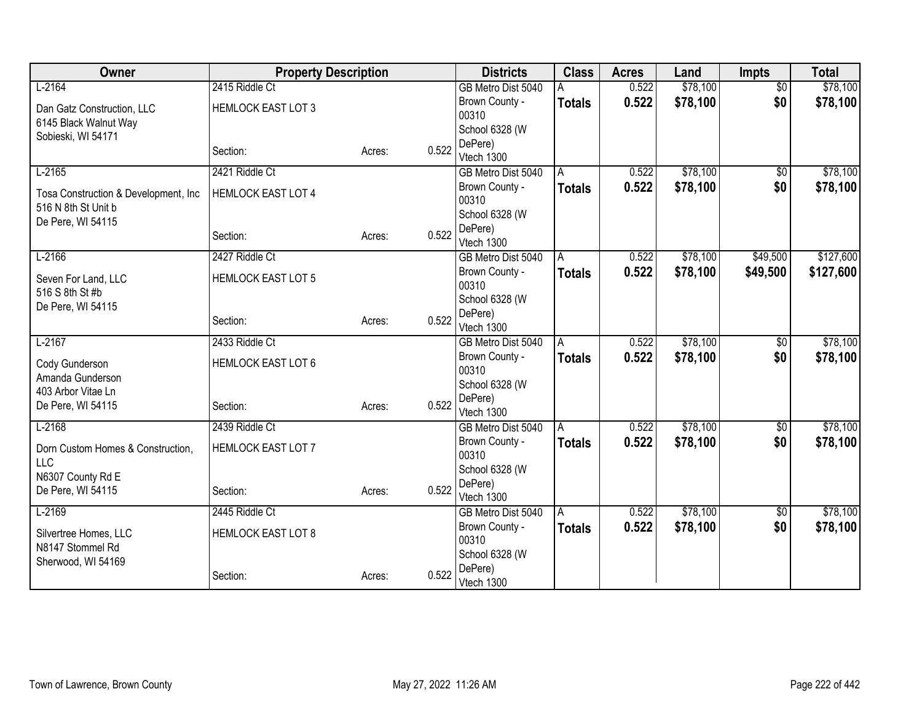| Owner                                 | <b>Property Description</b> |        |       | <b>Districts</b>          | <b>Class</b>  | <b>Acres</b> | Land     | <b>Impts</b>    | <b>Total</b> |
|---------------------------------------|-----------------------------|--------|-------|---------------------------|---------------|--------------|----------|-----------------|--------------|
| $L-2164$                              | 2415 Riddle Ct              |        |       | GB Metro Dist 5040        |               | 0.522        | \$78,100 | $\overline{50}$ | \$78,100     |
| Dan Gatz Construction, LLC            | <b>HEMLOCK EAST LOT 3</b>   |        |       | Brown County -            | <b>Totals</b> | 0.522        | \$78,100 | \$0             | \$78,100     |
| 6145 Black Walnut Way                 |                             |        |       | 00310                     |               |              |          |                 |              |
| Sobieski, WI 54171                    |                             |        |       | School 6328 (W            |               |              |          |                 |              |
|                                       | Section:                    | Acres: | 0.522 | DePere)                   |               |              |          |                 |              |
|                                       |                             |        |       | Vtech 1300                |               |              |          |                 |              |
| $L-2165$                              | 2421 Riddle Ct              |        |       | GB Metro Dist 5040        | A             | 0.522        | \$78,100 | $\overline{50}$ | \$78,100     |
| Tosa Construction & Development, Inc. | <b>HEMLOCK EAST LOT 4</b>   |        |       | Brown County -<br>00310   | <b>Totals</b> | 0.522        | \$78,100 | \$0             | \$78,100     |
| 516 N 8th St Unit b                   |                             |        |       | School 6328 (W            |               |              |          |                 |              |
| De Pere, WI 54115                     |                             |        |       | DePere)                   |               |              |          |                 |              |
|                                       | Section:                    | Acres: | 0.522 | Vtech 1300                |               |              |          |                 |              |
| $L-2166$                              | 2427 Riddle Ct              |        |       | GB Metro Dist 5040        | A             | 0.522        | \$78,100 | \$49,500        | \$127,600    |
|                                       |                             |        |       | Brown County -            | <b>Totals</b> | 0.522        | \$78,100 | \$49,500        | \$127,600    |
| Seven For Land, LLC                   | <b>HEMLOCK EAST LOT 5</b>   |        |       | 00310                     |               |              |          |                 |              |
| 516 S 8th St #b                       |                             |        |       | School 6328 (W            |               |              |          |                 |              |
| De Pere, WI 54115                     |                             |        | 0.522 | DePere)                   |               |              |          |                 |              |
|                                       | Section:                    | Acres: |       | Vtech 1300                |               |              |          |                 |              |
| $L-2167$                              | 2433 Riddle Ct              |        |       | GB Metro Dist 5040        | A             | 0.522        | \$78,100 | \$0             | \$78,100     |
| Cody Gunderson                        | <b>HEMLOCK EAST LOT 6</b>   |        |       | Brown County -            | <b>Totals</b> | 0.522        | \$78,100 | \$0             | \$78,100     |
| Amanda Gunderson                      |                             |        |       | 00310                     |               |              |          |                 |              |
| 403 Arbor Vitae Ln                    |                             |        |       | School 6328 (W            |               |              |          |                 |              |
| De Pere, WI 54115                     | Section:                    | Acres: | 0.522 | DePere)                   |               |              |          |                 |              |
|                                       |                             |        |       | Vtech 1300                |               |              |          |                 |              |
| $L-2168$                              | 2439 Riddle Ct              |        |       | GB Metro Dist 5040        | A             | 0.522        | \$78,100 | $\sqrt{6}$      | \$78,100     |
| Dorn Custom Homes & Construction,     | <b>HEMLOCK EAST LOT 7</b>   |        |       | Brown County -            | <b>Totals</b> | 0.522        | \$78,100 | \$0             | \$78,100     |
| <b>LLC</b>                            |                             |        |       | 00310                     |               |              |          |                 |              |
| N6307 County Rd E                     |                             |        |       | School 6328 (W<br>DePere) |               |              |          |                 |              |
| De Pere, WI 54115                     | Section:                    | Acres: | 0.522 | Vtech 1300                |               |              |          |                 |              |
| $L-2169$                              | 2445 Riddle Ct              |        |       | GB Metro Dist 5040        | A             | 0.522        | \$78,100 | \$0             | \$78,100     |
|                                       |                             |        |       | Brown County -            | Totals        | 0.522        | \$78,100 | \$0             | \$78,100     |
| Silvertree Homes, LLC                 | <b>HEMLOCK EAST LOT 8</b>   |        |       | 00310                     |               |              |          |                 |              |
| N8147 Stommel Rd                      |                             |        |       | School 6328 (W            |               |              |          |                 |              |
| Sherwood, WI 54169                    |                             |        |       | DePere)                   |               |              |          |                 |              |
|                                       | Section:                    | Acres: | 0.522 | Vtech 1300                |               |              |          |                 |              |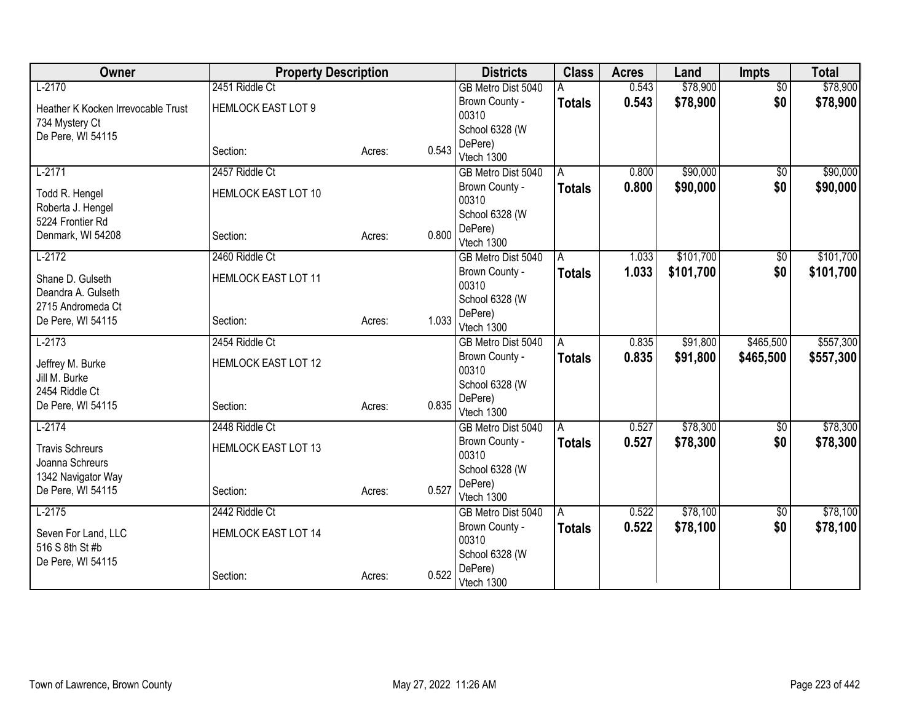| Owner                                   | <b>Property Description</b> |        |       | <b>Districts</b>          | <b>Class</b>  | <b>Acres</b> | Land      | <b>Impts</b>    | <b>Total</b> |
|-----------------------------------------|-----------------------------|--------|-------|---------------------------|---------------|--------------|-----------|-----------------|--------------|
| $L-2170$                                | 2451 Riddle Ct              |        |       | GB Metro Dist 5040        |               | 0.543        | \$78,900  | $\overline{50}$ | \$78,900     |
| Heather K Kocken Irrevocable Trust      | <b>HEMLOCK EAST LOT 9</b>   |        |       | Brown County -            | <b>Totals</b> | 0.543        | \$78,900  | \$0             | \$78,900     |
| 734 Mystery Ct                          |                             |        |       | 00310                     |               |              |           |                 |              |
| De Pere, WI 54115                       |                             |        |       | School 6328 (W            |               |              |           |                 |              |
|                                         | Section:                    | Acres: | 0.543 | DePere)<br>Vtech 1300     |               |              |           |                 |              |
| $L-2171$                                | 2457 Riddle Ct              |        |       | GB Metro Dist 5040        | A             | 0.800        | \$90,000  | $\overline{50}$ | \$90,000     |
|                                         |                             |        |       |                           |               |              |           |                 |              |
| Todd R. Hengel                          | <b>HEMLOCK EAST LOT 10</b>  |        |       | Brown County -<br>00310   | <b>Totals</b> | 0.800        | \$90,000  | \$0             | \$90,000     |
| Roberta J. Hengel                       |                             |        |       | School 6328 (W            |               |              |           |                 |              |
| 5224 Frontier Rd                        |                             |        |       | DePere)                   |               |              |           |                 |              |
| Denmark, WI 54208                       | Section:                    | Acres: | 0.800 | Vtech 1300                |               |              |           |                 |              |
| $L-2172$                                | 2460 Riddle Ct              |        |       | GB Metro Dist 5040        | A             | 1.033        | \$101,700 | \$0             | \$101,700    |
| Shane D. Gulseth                        | <b>HEMLOCK EAST LOT 11</b>  |        |       | Brown County -            | <b>Totals</b> | 1.033        | \$101,700 | \$0             | \$101,700    |
| Deandra A. Gulseth                      |                             |        |       | 00310                     |               |              |           |                 |              |
| 2715 Andromeda Ct                       |                             |        |       | School 6328 (W            |               |              |           |                 |              |
| De Pere, WI 54115                       | Section:                    | Acres: | 1.033 | DePere)                   |               |              |           |                 |              |
|                                         |                             |        |       | Vtech 1300                |               |              |           |                 |              |
| $L-2173$                                | 2454 Riddle Ct              |        |       | GB Metro Dist 5040        | A             | 0.835        | \$91,800  | \$465,500       | \$557,300    |
| Jeffrey M. Burke                        | <b>HEMLOCK EAST LOT 12</b>  |        |       | Brown County -            | <b>Totals</b> | 0.835        | \$91,800  | \$465,500       | \$557,300    |
| Jill M. Burke                           |                             |        |       | 00310                     |               |              |           |                 |              |
| 2454 Riddle Ct                          |                             |        |       | School 6328 (W<br>DePere) |               |              |           |                 |              |
| De Pere, WI 54115                       | Section:                    | Acres: | 0.835 | Vtech 1300                |               |              |           |                 |              |
| $L-2174$                                | 2448 Riddle Ct              |        |       | GB Metro Dist 5040        | A             | 0.527        | \$78,300  | $\overline{50}$ | \$78,300     |
|                                         |                             |        |       | Brown County -            | <b>Totals</b> | 0.527        | \$78,300  | \$0             | \$78,300     |
| <b>Travis Schreurs</b>                  | <b>HEMLOCK EAST LOT 13</b>  |        |       | 00310                     |               |              |           |                 |              |
| Joanna Schreurs                         |                             |        |       | School 6328 (W            |               |              |           |                 |              |
| 1342 Navigator Way<br>De Pere, WI 54115 | Section:                    |        | 0.527 | DePere)                   |               |              |           |                 |              |
|                                         |                             | Acres: |       | Vtech 1300                |               |              |           |                 |              |
| $L-2175$                                | 2442 Riddle Ct              |        |       | GB Metro Dist 5040        | ΙA            | 0.522        | \$78,100  | \$0             | \$78,100     |
| Seven For Land, LLC                     | <b>HEMLOCK EAST LOT 14</b>  |        |       | Brown County -            | <b>Totals</b> | 0.522        | \$78,100  | \$0             | \$78,100     |
| 516 S 8th St #b                         |                             |        |       | 00310                     |               |              |           |                 |              |
| De Pere, WI 54115                       |                             |        |       | School 6328 (W            |               |              |           |                 |              |
|                                         | Section:                    | Acres: | 0.522 | DePere)                   |               |              |           |                 |              |
|                                         |                             |        |       | Vtech 1300                |               |              |           |                 |              |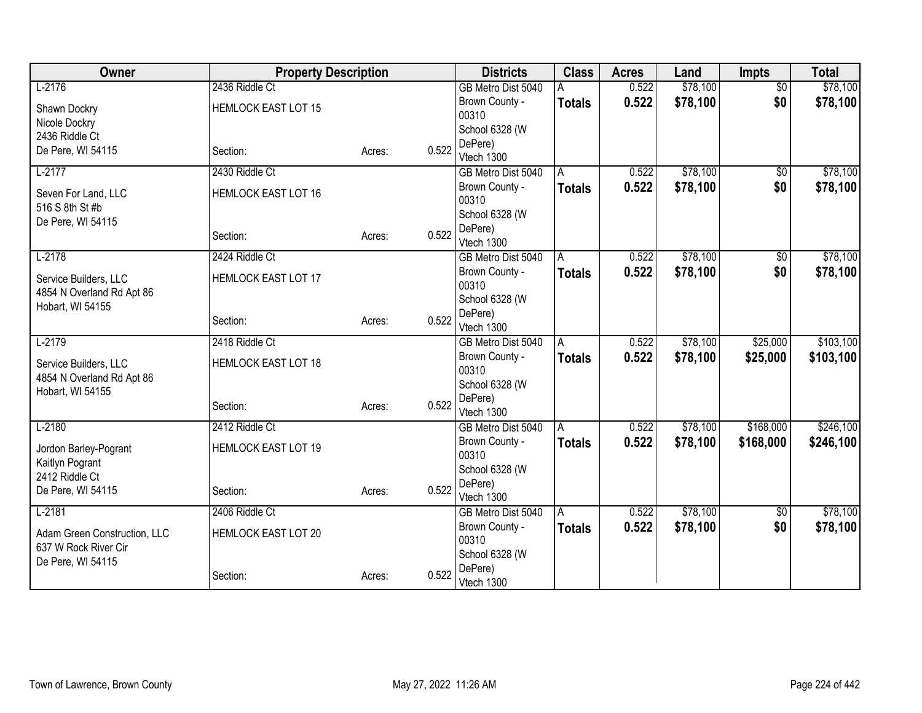| Owner                                                | <b>Property Description</b> |        |       | <b>Districts</b>          | <b>Class</b>  | <b>Acres</b> | Land     | <b>Impts</b>    | <b>Total</b> |
|------------------------------------------------------|-----------------------------|--------|-------|---------------------------|---------------|--------------|----------|-----------------|--------------|
| $L-2176$                                             | 2436 Riddle Ct              |        |       | GB Metro Dist 5040        |               | 0.522        | \$78,100 | $\overline{50}$ | \$78,100     |
| Shawn Dockry                                         | <b>HEMLOCK EAST LOT 15</b>  |        |       | Brown County -            | <b>Totals</b> | 0.522        | \$78,100 | \$0             | \$78,100     |
| Nicole Dockry                                        |                             |        |       | 00310                     |               |              |          |                 |              |
| 2436 Riddle Ct                                       |                             |        |       | School 6328 (W            |               |              |          |                 |              |
| De Pere, WI 54115                                    | Section:                    | Acres: | 0.522 | DePere)<br>Vtech 1300     |               |              |          |                 |              |
| $L-2177$                                             | 2430 Riddle Ct              |        |       | GB Metro Dist 5040        | A             | 0.522        | \$78,100 | $\sqrt{6}$      | \$78,100     |
|                                                      |                             |        |       | Brown County -            | <b>Totals</b> | 0.522        | \$78,100 | \$0             | \$78,100     |
| Seven For Land, LLC<br>516 S 8th St #b               | <b>HEMLOCK EAST LOT 16</b>  |        |       | 00310                     |               |              |          |                 |              |
| De Pere, WI 54115                                    |                             |        |       | School 6328 (W            |               |              |          |                 |              |
|                                                      | Section:                    | Acres: | 0.522 | DePere)                   |               |              |          |                 |              |
|                                                      |                             |        |       | Vtech 1300                |               |              |          |                 |              |
| $L-2178$                                             | 2424 Riddle Ct              |        |       | GB Metro Dist 5040        | A             | 0.522        | \$78,100 | $\overline{50}$ | \$78,100     |
| Service Builders, LLC                                | <b>HEMLOCK EAST LOT 17</b>  |        |       | Brown County -            | <b>Totals</b> | 0.522        | \$78,100 | \$0             | \$78,100     |
| 4854 N Overland Rd Apt 86                            |                             |        |       | 00310                     |               |              |          |                 |              |
| Hobart, WI 54155                                     |                             |        |       | School 6328 (W<br>DePere) |               |              |          |                 |              |
|                                                      | Section:                    | Acres: | 0.522 | Vtech 1300                |               |              |          |                 |              |
| $L-2179$                                             | 2418 Riddle Ct              |        |       | GB Metro Dist 5040        | A             | 0.522        | \$78,100 | \$25,000        | \$103,100    |
| Service Builders, LLC                                | <b>HEMLOCK EAST LOT 18</b>  |        |       | Brown County -            | <b>Totals</b> | 0.522        | \$78,100 | \$25,000        | \$103,100    |
| 4854 N Overland Rd Apt 86                            |                             |        |       | 00310                     |               |              |          |                 |              |
| Hobart, WI 54155                                     |                             |        |       | School 6328 (W            |               |              |          |                 |              |
|                                                      | Section:                    | Acres: | 0.522 | DePere)                   |               |              |          |                 |              |
|                                                      |                             |        |       | Vtech 1300                |               |              |          |                 |              |
| $L-2180$                                             | 2412 Riddle Ct              |        |       | GB Metro Dist 5040        | A             | 0.522        | \$78,100 | \$168,000       | \$246,100    |
| Jordon Barley-Pogrant                                | <b>HEMLOCK EAST LOT 19</b>  |        |       | Brown County -<br>00310   | <b>Totals</b> | 0.522        | \$78,100 | \$168,000       | \$246,100    |
| Kaitlyn Pogrant                                      |                             |        |       | School 6328 (W            |               |              |          |                 |              |
| 2412 Riddle Ct                                       |                             |        |       | DePere)                   |               |              |          |                 |              |
| De Pere, WI 54115                                    | Section:                    | Acres: | 0.522 | Vtech 1300                |               |              |          |                 |              |
| $L-2181$                                             | 2406 Riddle Ct              |        |       | GB Metro Dist 5040        | A             | 0.522        | \$78,100 | \$0             | \$78,100     |
|                                                      | <b>HEMLOCK EAST LOT 20</b>  |        |       | Brown County -            | <b>Totals</b> | 0.522        | \$78,100 | \$0             | \$78,100     |
| Adam Green Construction, LLC<br>637 W Rock River Cir |                             |        |       | 00310                     |               |              |          |                 |              |
| De Pere, WI 54115                                    |                             |        |       | School 6328 (W            |               |              |          |                 |              |
|                                                      | Section:                    | Acres: | 0.522 | DePere)                   |               |              |          |                 |              |
|                                                      |                             |        |       | Vtech 1300                |               |              |          |                 |              |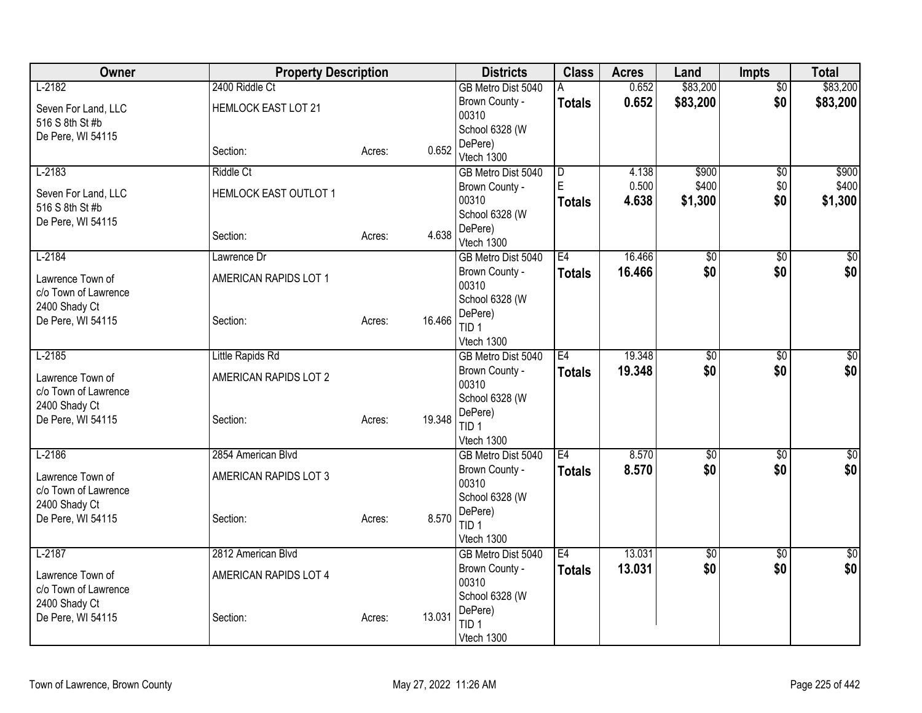| Owner                                    | <b>Property Description</b> |        |        | <b>Districts</b>               | <b>Class</b>   | <b>Acres</b> | Land            | <b>Impts</b>    | <b>Total</b>    |
|------------------------------------------|-----------------------------|--------|--------|--------------------------------|----------------|--------------|-----------------|-----------------|-----------------|
| $L-2182$                                 | 2400 Riddle Ct              |        |        | GB Metro Dist 5040             | A              | 0.652        | \$83,200        | $\overline{50}$ | \$83,200        |
| Seven For Land, LLC                      | <b>HEMLOCK EAST LOT 21</b>  |        |        | Brown County -                 | <b>Totals</b>  | 0.652        | \$83,200        | \$0             | \$83,200        |
| 516 S 8th St #b                          |                             |        |        | 00310<br>School 6328 (W        |                |              |                 |                 |                 |
| De Pere, WI 54115                        |                             |        |        | DePere)                        |                |              |                 |                 |                 |
|                                          | Section:                    | Acres: | 0.652  | Vtech 1300                     |                |              |                 |                 |                 |
| $L-2183$                                 | <b>Riddle Ct</b>            |        |        | GB Metro Dist 5040             | $\overline{D}$ | 4.138        | \$900           | $\overline{50}$ | \$900           |
| Seven For Land, LLC                      | HEMLOCK EAST OUTLOT 1       |        |        | Brown County -                 | E              | 0.500        | \$400           | \$0             | \$400           |
| 516 S 8th St #b                          |                             |        |        | 00310                          | <b>Totals</b>  | 4.638        | \$1,300         | \$0             | \$1,300         |
| De Pere, WI 54115                        |                             |        |        | School 6328 (W<br>DePere)      |                |              |                 |                 |                 |
|                                          | Section:                    | Acres: | 4.638  | Vtech 1300                     |                |              |                 |                 |                 |
| $L-2184$                                 | Lawrence Dr                 |        |        | GB Metro Dist 5040             | E4             | 16.466       | $\overline{50}$ | \$0             | $\sqrt{50}$     |
| Lawrence Town of                         | AMERICAN RAPIDS LOT 1       |        |        | Brown County -                 | <b>Totals</b>  | 16.466       | \$0             | \$0             | \$0             |
| c/o Town of Lawrence                     |                             |        |        | 00310                          |                |              |                 |                 |                 |
| 2400 Shady Ct                            |                             |        |        | School 6328 (W                 |                |              |                 |                 |                 |
| De Pere, WI 54115                        | Section:                    | Acres: | 16.466 | DePere)<br>TID <sub>1</sub>    |                |              |                 |                 |                 |
|                                          |                             |        |        | Vtech 1300                     |                |              |                 |                 |                 |
| $L-2185$                                 | Little Rapids Rd            |        |        | GB Metro Dist 5040             | E4             | 19.348       | $\overline{60}$ | $\overline{50}$ | $\overline{50}$ |
| Lawrence Town of                         | AMERICAN RAPIDS LOT 2       |        |        | Brown County -                 | <b>Totals</b>  | 19.348       | \$0             | \$0             | \$0             |
| c/o Town of Lawrence                     |                             |        |        | 00310                          |                |              |                 |                 |                 |
| 2400 Shady Ct                            |                             |        |        | School 6328 (W                 |                |              |                 |                 |                 |
| De Pere, WI 54115                        | Section:                    | Acres: | 19.348 | DePere)<br>TID <sub>1</sub>    |                |              |                 |                 |                 |
|                                          |                             |        |        | Vtech 1300                     |                |              |                 |                 |                 |
| $L-2186$                                 | 2854 American Blvd          |        |        | GB Metro Dist 5040             | E4             | 8.570        | $\overline{60}$ | $\overline{50}$ | $\sqrt{50}$     |
|                                          |                             |        |        | Brown County -                 | <b>Totals</b>  | 8.570        | \$0             | \$0             | \$0             |
| Lawrence Town of<br>c/o Town of Lawrence | AMERICAN RAPIDS LOT 3       |        |        | 00310                          |                |              |                 |                 |                 |
| 2400 Shady Ct                            |                             |        |        | School 6328 (W                 |                |              |                 |                 |                 |
| De Pere, WI 54115                        | Section:                    | Acres: | 8.570  | DePere)                        |                |              |                 |                 |                 |
|                                          |                             |        |        | TID <sub>1</sub><br>Vtech 1300 |                |              |                 |                 |                 |
| $L-2187$                                 | 2812 American Blvd          |        |        | GB Metro Dist 5040             | E <sub>4</sub> | 13.031       | $\overline{50}$ | \$0             | \$0             |
|                                          |                             |        |        | Brown County -                 | <b>Totals</b>  | 13.031       | \$0             | \$0             | \$0             |
| Lawrence Town of<br>c/o Town of Lawrence | AMERICAN RAPIDS LOT 4       |        |        | 00310                          |                |              |                 |                 |                 |
| 2400 Shady Ct                            |                             |        |        | School 6328 (W                 |                |              |                 |                 |                 |
| De Pere, WI 54115                        | Section:                    | Acres: | 13.031 | DePere)                        |                |              |                 |                 |                 |
|                                          |                             |        |        | TID <sub>1</sub>               |                |              |                 |                 |                 |
|                                          |                             |        |        | Vtech 1300                     |                |              |                 |                 |                 |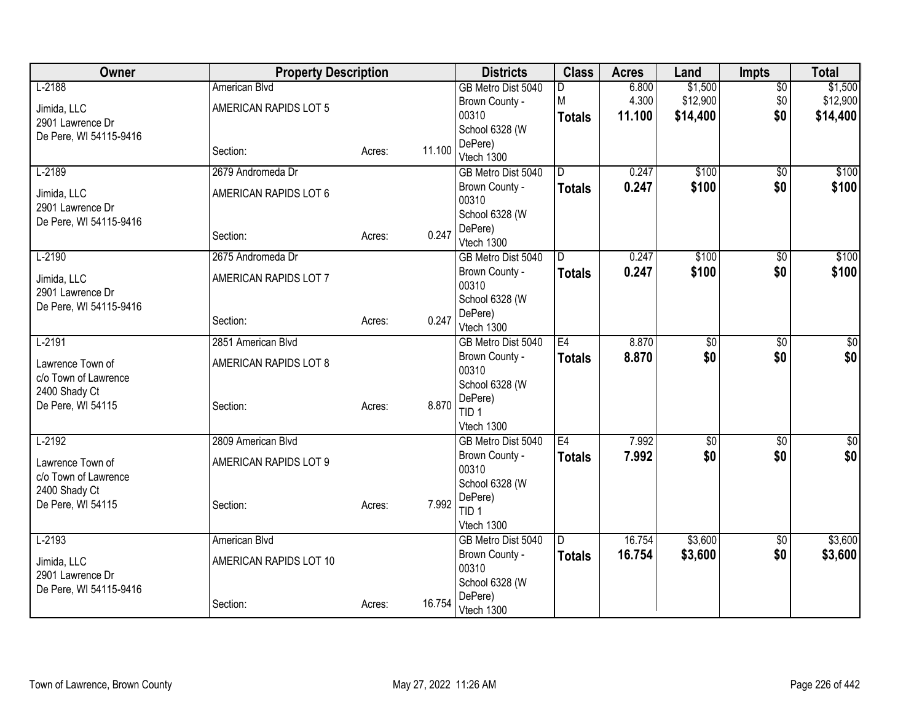| Owner                                    | <b>Property Description</b> |        |        | <b>Districts</b>            | <b>Class</b>  | <b>Acres</b> | Land            | <b>Impts</b>    | <b>Total</b>    |
|------------------------------------------|-----------------------------|--------|--------|-----------------------------|---------------|--------------|-----------------|-----------------|-----------------|
| $L-2188$                                 | American Blvd               |        |        | GB Metro Dist 5040          | D.            | 6.800        | \$1,500         | $\overline{50}$ | \$1,500         |
| Jimida, LLC                              | AMERICAN RAPIDS LOT 5       |        |        | Brown County -              | lм            | 4.300        | \$12,900        | \$0             | \$12,900        |
| 2901 Lawrence Dr                         |                             |        |        | 00310                       | <b>Totals</b> | 11.100       | \$14,400        | \$0             | \$14,400        |
| De Pere, WI 54115-9416                   |                             |        |        | School 6328 (W              |               |              |                 |                 |                 |
|                                          | Section:                    | Acres: | 11.100 | DePere)<br>Vtech 1300       |               |              |                 |                 |                 |
| $L-2189$                                 | 2679 Andromeda Dr           |        |        | GB Metro Dist 5040          | D.            | 0.247        | \$100           | $\overline{60}$ | \$100           |
| Jimida, LLC                              | AMERICAN RAPIDS LOT 6       |        |        | Brown County -              | <b>Totals</b> | 0.247        | \$100           | \$0             | \$100           |
| 2901 Lawrence Dr                         |                             |        |        | 00310                       |               |              |                 |                 |                 |
| De Pere, WI 54115-9416                   |                             |        |        | School 6328 (W              |               |              |                 |                 |                 |
|                                          | Section:                    | Acres: | 0.247  | DePere)<br>Vtech 1300       |               |              |                 |                 |                 |
| $L-2190$                                 | 2675 Andromeda Dr           |        |        | GB Metro Dist 5040          | D             | 0.247        | \$100           | $\sqrt{6}$      | \$100           |
|                                          |                             |        |        | Brown County -              | <b>Totals</b> | 0.247        | \$100           | \$0             | \$100           |
| Jimida, LLC                              | AMERICAN RAPIDS LOT 7       |        |        | 00310                       |               |              |                 |                 |                 |
| 2901 Lawrence Dr                         |                             |        |        | School 6328 (W              |               |              |                 |                 |                 |
| De Pere, WI 54115-9416                   |                             |        |        | DePere)                     |               |              |                 |                 |                 |
|                                          | Section:                    | Acres: | 0.247  | Vtech 1300                  |               |              |                 |                 |                 |
| $L-2191$                                 | 2851 American Blvd          |        |        | GB Metro Dist 5040          | E4            | 8.870        | $\overline{50}$ | $\overline{50}$ | $\sqrt{30}$     |
| Lawrence Town of                         | AMERICAN RAPIDS LOT 8       |        |        | Brown County -              | <b>Totals</b> | 8.870        | \$0             | \$0             | \$0             |
| c/o Town of Lawrence                     |                             |        |        | 00310                       |               |              |                 |                 |                 |
| 2400 Shady Ct                            |                             |        |        | School 6328 (W              |               |              |                 |                 |                 |
| De Pere, WI 54115                        | Section:                    | Acres: | 8.870  | DePere)<br>TID <sub>1</sub> |               |              |                 |                 |                 |
|                                          |                             |        |        | Vtech 1300                  |               |              |                 |                 |                 |
| $L-2192$                                 | 2809 American Blvd          |        |        | GB Metro Dist 5040          | E4            | 7.992        | $\sqrt{50}$     | $\overline{50}$ | $\overline{30}$ |
|                                          |                             |        |        | Brown County -              | <b>Totals</b> | 7.992        | \$0             | \$0             | \$0             |
| Lawrence Town of<br>c/o Town of Lawrence | AMERICAN RAPIDS LOT 9       |        |        | 00310                       |               |              |                 |                 |                 |
| 2400 Shady Ct                            |                             |        |        | School 6328 (W              |               |              |                 |                 |                 |
| De Pere, WI 54115                        | Section:                    | Acres: | 7.992  | DePere)                     |               |              |                 |                 |                 |
|                                          |                             |        |        | TID <sub>1</sub>            |               |              |                 |                 |                 |
|                                          |                             |        |        | Vtech 1300                  |               |              |                 |                 |                 |
| $L-2193$                                 | American Blvd               |        |        | GB Metro Dist 5040          | D             | 16.754       | \$3,600         | \$0             | \$3,600         |
| Jimida, LLC                              | AMERICAN RAPIDS LOT 10      |        |        | Brown County -<br>00310     | <b>Totals</b> | 16.754       | \$3,600         | \$0             | \$3,600         |
| 2901 Lawrence Dr                         |                             |        |        | School 6328 (W              |               |              |                 |                 |                 |
| De Pere, WI 54115-9416                   |                             |        |        | DePere)                     |               |              |                 |                 |                 |
|                                          | Section:                    | Acres: | 16.754 | Vtech 1300                  |               |              |                 |                 |                 |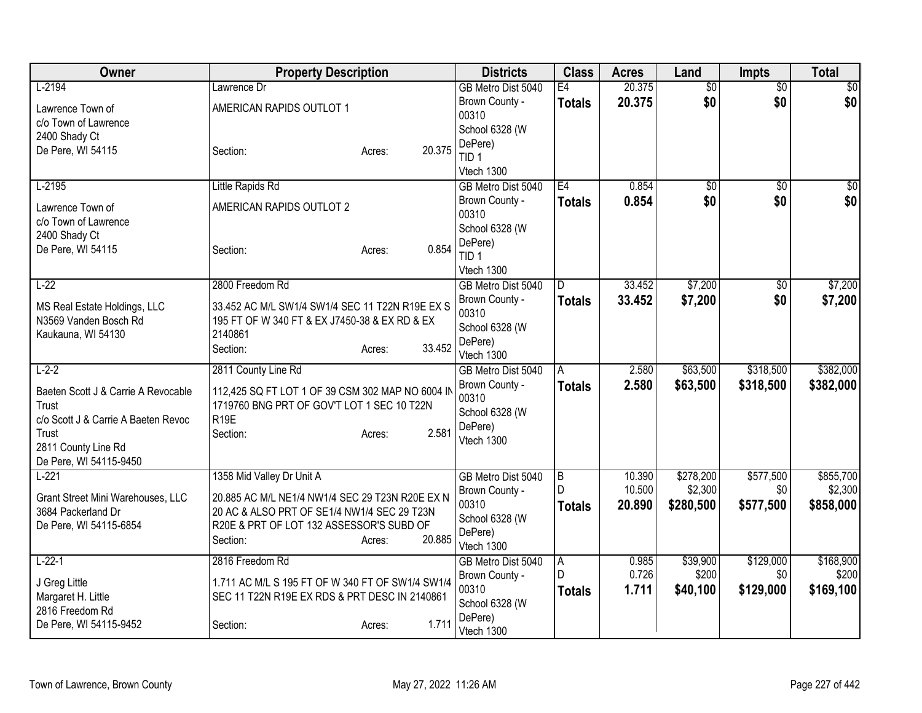| Owner                                                                                                                                                    | <b>Property Description</b>                                                                                                                                                                             | <b>Districts</b>                                                                                       | <b>Class</b>                         | <b>Acres</b>               | Land                              | <b>Impts</b>                  | <b>Total</b>                      |
|----------------------------------------------------------------------------------------------------------------------------------------------------------|---------------------------------------------------------------------------------------------------------------------------------------------------------------------------------------------------------|--------------------------------------------------------------------------------------------------------|--------------------------------------|----------------------------|-----------------------------------|-------------------------------|-----------------------------------|
| $L-2194$<br>Lawrence Town of<br>c/o Town of Lawrence<br>2400 Shady Ct                                                                                    | Lawrence Dr<br>AMERICAN RAPIDS OUTLOT 1                                                                                                                                                                 | GB Metro Dist 5040<br>Brown County -<br>00310<br>School 6328 (W<br>DePere)                             | E4<br><b>Totals</b>                  | 20.375<br>20.375           | $\overline{50}$<br>\$0            | \$0<br>\$0                    | $\sqrt{30}$<br>\$0                |
| De Pere, WI 54115                                                                                                                                        | 20.375<br>Section:<br>Acres:                                                                                                                                                                            | TID <sub>1</sub><br>Vtech 1300                                                                         |                                      |                            |                                   |                               |                                   |
| $L-2195$<br>Lawrence Town of<br>c/o Town of Lawrence<br>2400 Shady Ct<br>De Pere, WI 54115                                                               | Little Rapids Rd<br>AMERICAN RAPIDS OUTLOT 2<br>0.854<br>Section:<br>Acres:                                                                                                                             | GB Metro Dist 5040<br>Brown County -<br>00310<br>School 6328 (W<br>DePere)<br>TID <sub>1</sub>         | E4<br><b>Totals</b>                  | 0.854<br>0.854             | $\sqrt{50}$<br>\$0                | $\overline{50}$<br>\$0        | $\overline{30}$<br>\$0            |
| $L-22$<br>MS Real Estate Holdings, LLC<br>N3569 Vanden Bosch Rd<br>Kaukauna, WI 54130                                                                    | 2800 Freedom Rd<br>33.452 AC M/L SW1/4 SW1/4 SEC 11 T22N R19E EX S<br>195 FT OF W 340 FT & EX J7450-38 & EX RD & EX<br>2140861<br>33.452<br>Section:<br>Acres:                                          | Vtech 1300<br>GB Metro Dist 5040<br>Brown County -<br>00310<br>School 6328 (W<br>DePere)<br>Vtech 1300 | D.<br><b>Totals</b>                  | 33.452<br>33.452           | \$7,200<br>\$7,200                | $\sqrt{6}$<br>\$0             | \$7,200<br>\$7,200                |
| $L-2-2$<br>Baeten Scott J & Carrie A Revocable<br>Trust<br>c/o Scott J & Carrie A Baeten Revoc<br>Trust<br>2811 County Line Rd<br>De Pere, WI 54115-9450 | 2811 County Line Rd<br>112,425 SQ FT LOT 1 OF 39 CSM 302 MAP NO 6004 IN<br>1719760 BNG PRT OF GOV'T LOT 1 SEC 10 T22N<br>R <sub>19E</sub><br>Section:<br>2.581<br>Acres:                                | GB Metro Dist 5040<br>Brown County -<br>00310<br>School 6328 (W<br>DePere)<br>Vtech 1300               | A<br><b>Totals</b>                   | 2.580<br>2.580             | \$63,500<br>\$63,500              | \$318,500<br>\$318,500        | \$382,000<br>\$382,000            |
| $L-221$<br>Grant Street Mini Warehouses, LLC<br>3684 Packerland Dr<br>De Pere, WI 54115-6854                                                             | 1358 Mid Valley Dr Unit A<br>20.885 AC M/L NE1/4 NW1/4 SEC 29 T23N R20E EX N<br>20 AC & ALSO PRT OF SE1/4 NW1/4 SEC 29 T23N<br>R20E & PRT OF LOT 132 ASSESSOR'S SUBD OF<br>20.885<br>Section:<br>Acres: | GB Metro Dist 5040<br>Brown County -<br>00310<br>School 6328 (W<br>DePere)<br>Vtech 1300               | $\overline{B}$<br>D<br><b>Totals</b> | 10.390<br>10.500<br>20.890 | \$278,200<br>\$2,300<br>\$280,500 | \$577,500<br>\$0<br>\$577,500 | \$855,700<br>\$2,300<br>\$858,000 |
| $L-22-1$<br>J Greg Little<br>Margaret H. Little<br>2816 Freedom Rd<br>De Pere, WI 54115-9452                                                             | 2816 Freedom Rd<br>1.711 AC M/L S 195 FT OF W 340 FT OF SW1/4 SW1/4<br>SEC 11 T22N R19E EX RDS & PRT DESC IN 2140861<br>1.711<br>Section:<br>Acres:                                                     | GB Metro Dist 5040<br>Brown County -<br>00310<br>School 6328 (W<br>DePere)<br>Vtech 1300               | $\overline{A}$<br>D<br><b>Totals</b> | 0.985<br>0.726<br>1.711    | \$39,900<br>\$200<br>\$40,100     | \$129,000<br>\$0<br>\$129,000 | \$168,900<br>\$200<br>\$169,100   |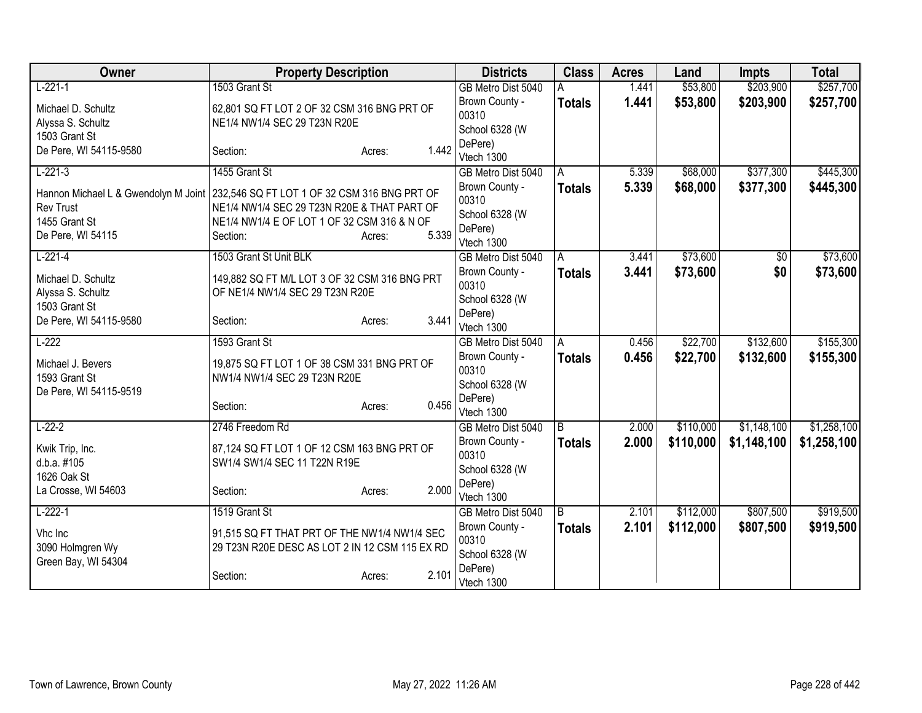| Owner                                                        | <b>Property Description</b>                                                                    |                 | <b>Districts</b>                          | <b>Class</b>   | <b>Acres</b> | Land      | <b>Impts</b> | <b>Total</b> |
|--------------------------------------------------------------|------------------------------------------------------------------------------------------------|-----------------|-------------------------------------------|----------------|--------------|-----------|--------------|--------------|
| $L-221-1$                                                    | 1503 Grant St                                                                                  |                 | GB Metro Dist 5040                        |                | 1.441        | \$53,800  | \$203,900    | \$257,700    |
| Michael D. Schultz                                           | 62,801 SQ FT LOT 2 OF 32 CSM 316 BNG PRT OF                                                    |                 | Brown County -<br>00310                   | <b>Totals</b>  | 1.441        | \$53,800  | \$203,900    | \$257,700    |
| Alyssa S. Schultz<br>1503 Grant St                           | NE1/4 NW1/4 SEC 29 T23N R20E                                                                   |                 | School 6328 (W                            |                |              |           |              |              |
| De Pere, WI 54115-9580                                       | Section:                                                                                       | 1.442<br>Acres: | DePere)<br>Vtech 1300                     |                |              |           |              |              |
| $L-221-3$                                                    | 1455 Grant St                                                                                  |                 | GB Metro Dist 5040                        | A              | 5.339        | \$68,000  | \$377,300    | \$445,300    |
| Hannon Michael L & Gwendolyn M Joint<br><b>Rev Trust</b>     | 232,546 SQ FT LOT 1 OF 32 CSM 316 BNG PRT OF<br>NE1/4 NW1/4 SEC 29 T23N R20E & THAT PART OF    |                 | Brown County -<br>00310                   | <b>Totals</b>  | 5.339        | \$68,000  | \$377,300    | \$445,300    |
| 1455 Grant St                                                | NE1/4 NW1/4 E OF LOT 1 OF 32 CSM 316 & N OF                                                    |                 | School 6328 (W                            |                |              |           |              |              |
| De Pere, WI 54115                                            | Section:                                                                                       | 5.339<br>Acres: | DePere)<br>Vtech 1300                     |                |              |           |              |              |
| $L-221-4$                                                    | 1503 Grant St Unit BLK                                                                         |                 | GB Metro Dist 5040                        | $\overline{A}$ | 3.441        | \$73,600  | \$0          | \$73,600     |
| Michael D. Schultz                                           | 149,882 SQ FT M/L LOT 3 OF 32 CSM 316 BNG PRT                                                  |                 | Brown County -<br>00310                   | <b>Totals</b>  | 3.441        | \$73,600  | \$0          | \$73,600     |
| Alyssa S. Schultz<br>1503 Grant St                           | OF NE1/4 NW1/4 SEC 29 T23N R20E                                                                |                 | School 6328 (W                            |                |              |           |              |              |
| De Pere, WI 54115-9580                                       | Section:                                                                                       | 3.441<br>Acres: | DePere)<br>Vtech 1300                     |                |              |           |              |              |
| $L-222$                                                      | 1593 Grant St                                                                                  |                 | GB Metro Dist 5040                        | A              | 0.456        | \$22,700  | \$132,600    | \$155,300    |
| Michael J. Bevers<br>1593 Grant St<br>De Pere, WI 54115-9519 | 19,875 SQ FT LOT 1 OF 38 CSM 331 BNG PRT OF<br>NW1/4 NW1/4 SEC 29 T23N R20E                    |                 | Brown County -<br>00310<br>School 6328 (W | <b>Totals</b>  | 0.456        | \$22,700  | \$132,600    | \$155,300    |
|                                                              | Section:                                                                                       | 0.456<br>Acres: | DePere)<br>Vtech 1300                     |                |              |           |              |              |
| $L-22-2$                                                     | 2746 Freedom Rd                                                                                |                 | GB Metro Dist 5040                        | B              | 2.000        | \$110,000 | \$1,148,100  | \$1,258,100  |
| Kwik Trip, Inc.<br>d.b.a. #105<br>1626 Oak St                | 87,124 SQ FT LOT 1 OF 12 CSM 163 BNG PRT OF<br>SW1/4 SW1/4 SEC 11 T22N R19E                    |                 | Brown County -<br>00310<br>School 6328 (W | <b>Totals</b>  | 2.000        | \$110,000 | \$1,148,100  | \$1,258,100  |
| La Crosse, WI 54603                                          | Section:                                                                                       | 2.000<br>Acres: | DePere)<br>Vtech 1300                     |                |              |           |              |              |
| $L-222-1$                                                    | 1519 Grant St                                                                                  |                 | GB Metro Dist 5040                        | B              | 2.101        | \$112,000 | \$807,500    | \$919,500    |
| Vhc Inc<br>3090 Holmgren Wy<br>Green Bay, WI 54304           | 91,515 SQ FT THAT PRT OF THE NW1/4 NW1/4 SEC<br>29 T23N R20E DESC AS LOT 2 IN 12 CSM 115 EX RD |                 | Brown County -<br>00310<br>School 6328 (W | <b>Totals</b>  | 2.101        | \$112,000 | \$807,500    | \$919,500    |
|                                                              | Section:                                                                                       | 2.101<br>Acres: | DePere)<br>Vtech 1300                     |                |              |           |              |              |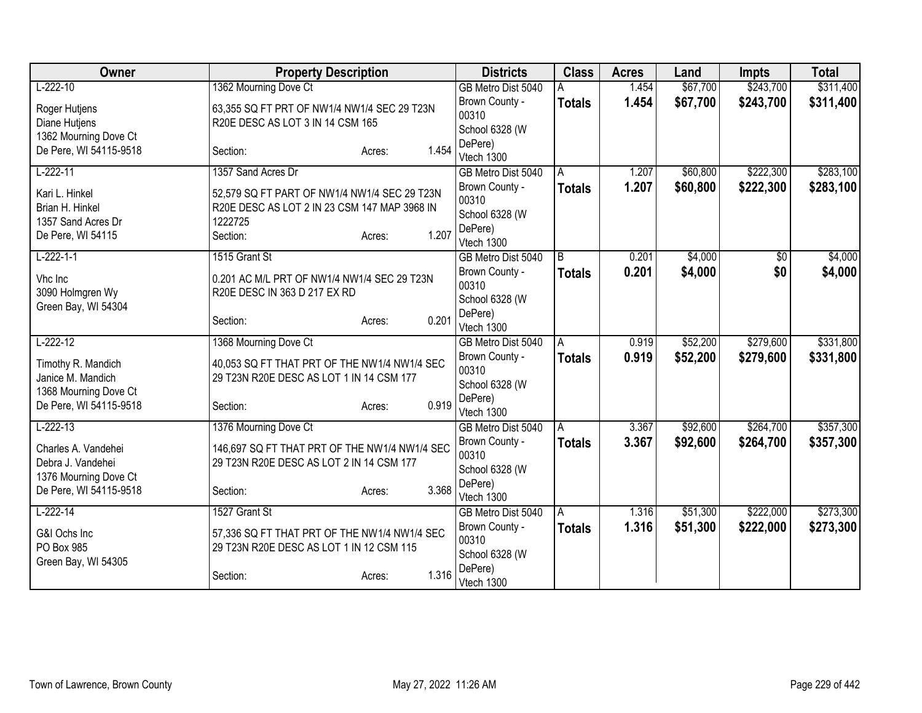| Owner                                   | <b>Property Description</b>                   |                 | <b>Districts</b>                 | <b>Class</b>  | <b>Acres</b> | Land     | <b>Impts</b> | <b>Total</b> |
|-----------------------------------------|-----------------------------------------------|-----------------|----------------------------------|---------------|--------------|----------|--------------|--------------|
| $L-222-10$                              | 1362 Mourning Dove Ct                         |                 | GB Metro Dist 5040               |               | 1.454        | \$67,700 | \$243,700    | \$311,400    |
| Roger Hutjens                           | 63,355 SQ FT PRT OF NW1/4 NW1/4 SEC 29 T23N   |                 | Brown County -                   | <b>Totals</b> | 1.454        | \$67,700 | \$243,700    | \$311,400    |
| Diane Hutjens                           | R20E DESC AS LOT 3 IN 14 CSM 165              |                 | 00310                            |               |              |          |              |              |
| 1362 Mourning Dove Ct                   |                                               |                 | School 6328 (W                   |               |              |          |              |              |
| De Pere, WI 54115-9518                  | Section:                                      | 1.454<br>Acres: | DePere)                          |               |              |          |              |              |
|                                         |                                               |                 | Vtech 1300                       |               |              |          |              |              |
| $L-222-11$                              | 1357 Sand Acres Dr                            |                 | GB Metro Dist 5040               | A             | 1.207        | \$60,800 | \$222,300    | \$283,100    |
| Kari L. Hinkel                          | 52,579 SQ FT PART OF NW1/4 NW1/4 SEC 29 T23N  |                 | Brown County -<br>00310          | <b>Totals</b> | 1.207        | \$60,800 | \$222,300    | \$283,100    |
| Brian H. Hinkel                         | R20E DESC AS LOT 2 IN 23 CSM 147 MAP 3968 IN  |                 | School 6328 (W                   |               |              |          |              |              |
| 1357 Sand Acres Dr                      | 1222725                                       |                 | DePere)                          |               |              |          |              |              |
| De Pere, WI 54115                       | Section:                                      | 1.207<br>Acres: | Vtech 1300                       |               |              |          |              |              |
| $L-222-1-1$                             | 1515 Grant St                                 |                 | GB Metro Dist 5040               | B             | 0.201        | \$4,000  | \$0          | \$4,000      |
|                                         |                                               |                 | Brown County -                   | <b>Totals</b> | 0.201        | \$4,000  | \$0          | \$4,000      |
| Vhc Inc                                 | 0.201 AC M/L PRT OF NW1/4 NW1/4 SEC 29 T23N   |                 | 00310                            |               |              |          |              |              |
| 3090 Holmgren Wy<br>Green Bay, WI 54304 | R20E DESC IN 363 D 217 EX RD                  |                 | School 6328 (W                   |               |              |          |              |              |
|                                         | Section:                                      | 0.201<br>Acres: | DePere)                          |               |              |          |              |              |
|                                         |                                               |                 | Vtech 1300                       |               |              |          |              |              |
| $L-222-12$                              | 1368 Mourning Dove Ct                         |                 | GB Metro Dist 5040               | A             | 0.919        | \$52,200 | \$279,600    | \$331,800    |
| Timothy R. Mandich                      | 40,053 SQ FT THAT PRT OF THE NW1/4 NW1/4 SEC  |                 | Brown County -                   | <b>Totals</b> | 0.919        | \$52,200 | \$279,600    | \$331,800    |
| Janice M. Mandich                       | 29 T23N R20E DESC AS LOT 1 IN 14 CSM 177      |                 | 00310                            |               |              |          |              |              |
| 1368 Mourning Dove Ct                   |                                               |                 | School 6328 (W                   |               |              |          |              |              |
| De Pere, WI 54115-9518                  | Section:                                      | 0.919<br>Acres: | DePere)                          |               |              |          |              |              |
| $L-222-13$                              | 1376 Mourning Dove Ct                         |                 | Vtech 1300<br>GB Metro Dist 5040 |               | 3.367        | \$92,600 | \$264,700    | \$357,300    |
|                                         |                                               |                 | Brown County -                   | A             | 3.367        | \$92,600 | \$264,700    |              |
| Charles A. Vandehei                     | 146,697 SQ FT THAT PRT OF THE NW1/4 NW1/4 SEC |                 | 00310                            | <b>Totals</b> |              |          |              | \$357,300    |
| Debra J. Vandehei                       | 29 T23N R20E DESC AS LOT 2 IN 14 CSM 177      |                 | School 6328 (W                   |               |              |          |              |              |
| 1376 Mourning Dove Ct                   |                                               |                 | DePere)                          |               |              |          |              |              |
| De Pere, WI 54115-9518                  | Section:                                      | 3.368<br>Acres: | Vtech 1300                       |               |              |          |              |              |
| $L-222-14$                              | 1527 Grant St                                 |                 | GB Metro Dist 5040               | A             | 1.316        | \$51,300 | \$222,000    | \$273,300    |
| G&I Ochs Inc                            | 57,336 SQ FT THAT PRT OF THE NW1/4 NW1/4 SEC  |                 | Brown County -                   | <b>Totals</b> | 1.316        | \$51,300 | \$222,000    | \$273,300    |
| PO Box 985                              | 29 T23N R20E DESC AS LOT 1 IN 12 CSM 115      |                 | 00310                            |               |              |          |              |              |
| Green Bay, WI 54305                     |                                               |                 | School 6328 (W                   |               |              |          |              |              |
|                                         | Section:                                      | 1.316<br>Acres: | DePere)                          |               |              |          |              |              |
|                                         |                                               |                 | Vtech 1300                       |               |              |          |              |              |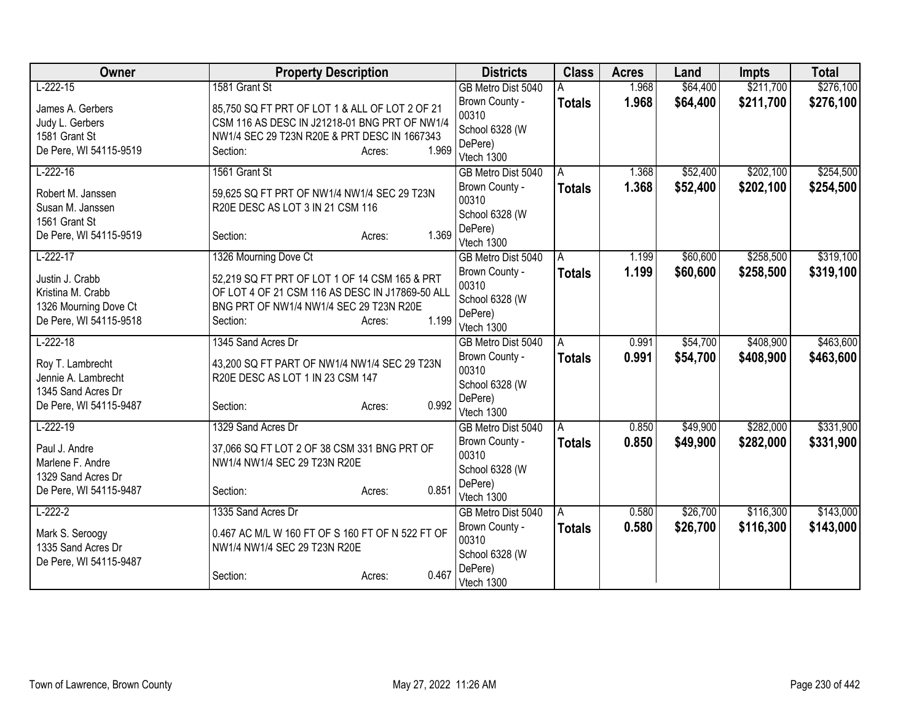| Owner                                   | <b>Property Description</b>                                                      |                 | <b>Districts</b>          | <b>Class</b>  | <b>Acres</b> | Land     | <b>Impts</b> | <b>Total</b> |
|-----------------------------------------|----------------------------------------------------------------------------------|-----------------|---------------------------|---------------|--------------|----------|--------------|--------------|
| $L-222-15$                              | 1581 Grant St                                                                    |                 | GB Metro Dist 5040        |               | 1.968        | \$64,400 | \$211,700    | \$276,100    |
| James A. Gerbers                        | 85,750 SQ FT PRT OF LOT 1 & ALL OF LOT 2 OF 21                                   |                 | Brown County -            | <b>Totals</b> | 1.968        | \$64,400 | \$211,700    | \$276,100    |
| Judy L. Gerbers                         | CSM 116 AS DESC IN J21218-01 BNG PRT OF NW1/4                                    |                 | 00310                     |               |              |          |              |              |
| 1581 Grant St                           | NW1/4 SEC 29 T23N R20E & PRT DESC IN 1667343                                     |                 | School 6328 (W            |               |              |          |              |              |
| De Pere, WI 54115-9519                  | Section:                                                                         | 1.969<br>Acres: | DePere)                   |               |              |          |              |              |
|                                         |                                                                                  |                 | Vtech 1300                |               |              |          |              |              |
| $L-222-16$                              | 1561 Grant St                                                                    |                 | GB Metro Dist 5040        | A             | 1.368        | \$52,400 | \$202,100    | \$254,500    |
| Robert M. Janssen                       | 59,625 SQ FT PRT OF NW1/4 NW1/4 SEC 29 T23N                                      |                 | Brown County -<br>00310   | <b>Totals</b> | 1.368        | \$52,400 | \$202,100    | \$254,500    |
| Susan M. Janssen                        | R20E DESC AS LOT 3 IN 21 CSM 116                                                 |                 |                           |               |              |          |              |              |
| 1561 Grant St                           |                                                                                  |                 | School 6328 (W<br>DePere) |               |              |          |              |              |
| De Pere, WI 54115-9519                  | Section:                                                                         | 1.369<br>Acres: | Vtech 1300                |               |              |          |              |              |
| $L-222-17$                              | 1326 Mourning Dove Ct                                                            |                 | GB Metro Dist 5040        | A             | 1.199        | \$60,600 | \$258,500    | \$319,100    |
|                                         |                                                                                  |                 | Brown County -            | <b>Totals</b> | 1.199        | \$60,600 | \$258,500    | \$319,100    |
| Justin J. Crabb                         | 52,219 SQ FT PRT OF LOT 1 OF 14 CSM 165 & PRT                                    |                 | 00310                     |               |              |          |              |              |
| Kristina M. Crabb                       | OF LOT 4 OF 21 CSM 116 AS DESC IN J17869-50 ALL                                  |                 | School 6328 (W            |               |              |          |              |              |
| 1326 Mourning Dove Ct                   | BNG PRT OF NW1/4 NW1/4 SEC 29 T23N R20E                                          |                 | DePere)                   |               |              |          |              |              |
| De Pere, WI 54115-9518                  | Section:                                                                         | 1.199<br>Acres: | Vtech 1300                |               |              |          |              |              |
| $L-222-18$                              | 1345 Sand Acres Dr                                                               |                 | GB Metro Dist 5040        | A             | 0.991        | \$54,700 | \$408,900    | \$463,600    |
|                                         |                                                                                  |                 | Brown County -            | <b>Totals</b> | 0.991        | \$54,700 | \$408,900    | \$463,600    |
| Roy T. Lambrecht<br>Jennie A. Lambrecht | 43,200 SQ FT PART OF NW1/4 NW1/4 SEC 29 T23N<br>R20E DESC AS LOT 1 IN 23 CSM 147 |                 | 00310                     |               |              |          |              |              |
| 1345 Sand Acres Dr                      |                                                                                  |                 | School 6328 (W            |               |              |          |              |              |
| De Pere, WI 54115-9487                  | Section:                                                                         | 0.992<br>Acres: | DePere)                   |               |              |          |              |              |
|                                         |                                                                                  |                 | Vtech 1300                |               |              |          |              |              |
| $L-222-19$                              | 1329 Sand Acres Dr                                                               |                 | GB Metro Dist 5040        | A             | 0.850        | \$49,900 | \$282,000    | \$331,900    |
| Paul J. Andre                           | 37,066 SQ FT LOT 2 OF 38 CSM 331 BNG PRT OF                                      |                 | Brown County -            | <b>Totals</b> | 0.850        | \$49,900 | \$282,000    | \$331,900    |
| Marlene F. Andre                        | NW1/4 NW1/4 SEC 29 T23N R20E                                                     |                 | 00310                     |               |              |          |              |              |
| 1329 Sand Acres Dr                      |                                                                                  |                 | School 6328 (W            |               |              |          |              |              |
| De Pere, WI 54115-9487                  | Section:                                                                         | 0.851<br>Acres: | DePere)                   |               |              |          |              |              |
|                                         |                                                                                  |                 | Vtech 1300                |               |              |          |              |              |
| $L-222-2$                               | 1335 Sand Acres Dr                                                               |                 | GB Metro Dist 5040        | A             | 0.580        | \$26,700 | \$116,300    | \$143,000    |
| Mark S. Seroogy                         | 0.467 AC M/L W 160 FT OF S 160 FT OF N 522 FT OF                                 |                 | Brown County -<br>00310   | <b>Totals</b> | 0.580        | \$26,700 | \$116,300    | \$143,000    |
| 1335 Sand Acres Dr                      | NW1/4 NW1/4 SEC 29 T23N R20E                                                     |                 | School 6328 (W            |               |              |          |              |              |
| De Pere, WI 54115-9487                  |                                                                                  |                 | DePere)                   |               |              |          |              |              |
|                                         | Section:                                                                         | 0.467<br>Acres: | Vtech 1300                |               |              |          |              |              |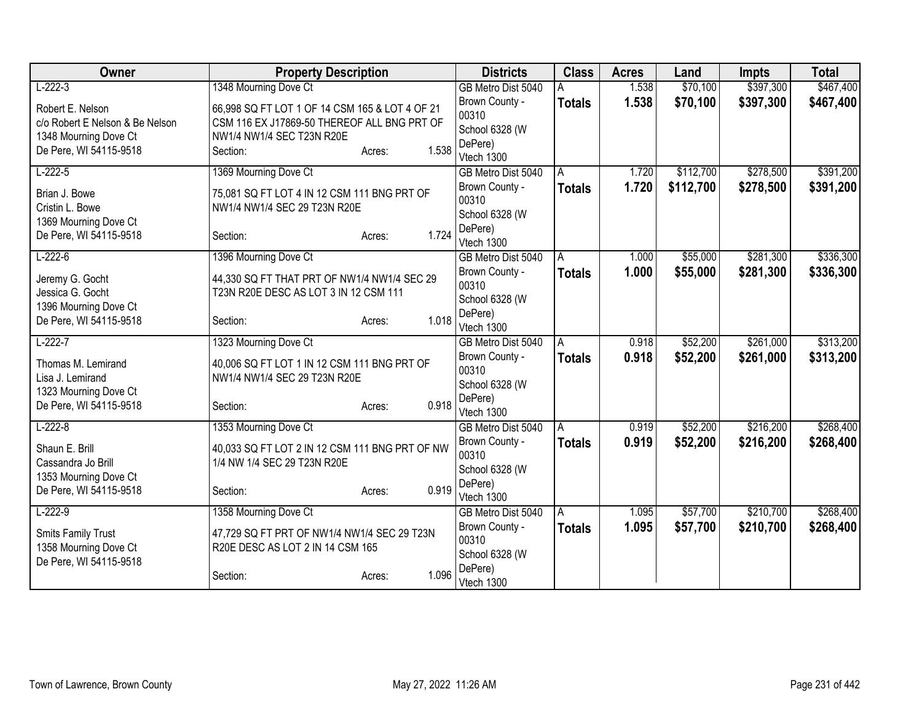| Owner                           | <b>Property Description</b>                    |                 | <b>Districts</b>      | <b>Class</b>  | <b>Acres</b> | Land      | <b>Impts</b> | <b>Total</b> |
|---------------------------------|------------------------------------------------|-----------------|-----------------------|---------------|--------------|-----------|--------------|--------------|
| $L-222-3$                       | 1348 Mourning Dove Ct                          |                 | GB Metro Dist 5040    |               | 1.538        | \$70,100  | \$397,300    | \$467,400    |
| Robert E. Nelson                | 66,998 SQ FT LOT 1 OF 14 CSM 165 & LOT 4 OF 21 |                 | Brown County -        | <b>Totals</b> | 1.538        | \$70,100  | \$397,300    | \$467,400    |
| c/o Robert E Nelson & Be Nelson | CSM 116 EX J17869-50 THEREOF ALL BNG PRT OF    |                 | 00310                 |               |              |           |              |              |
| 1348 Mourning Dove Ct           | NW1/4 NW1/4 SEC T23N R20E                      |                 | School 6328 (W        |               |              |           |              |              |
| De Pere, WI 54115-9518          | Section:                                       | 1.538<br>Acres: | DePere)<br>Vtech 1300 |               |              |           |              |              |
| $L-222-5$                       | 1369 Mourning Dove Ct                          |                 | GB Metro Dist 5040    | A             | 1.720        | \$112,700 | \$278,500    | \$391,200    |
|                                 |                                                |                 | Brown County -        | <b>Totals</b> | 1.720        | \$112,700 | \$278,500    | \$391,200    |
| Brian J. Bowe                   | 75,081 SQ FT LOT 4 IN 12 CSM 111 BNG PRT OF    |                 | 00310                 |               |              |           |              |              |
| Cristin L. Bowe                 | NW1/4 NW1/4 SEC 29 T23N R20E                   |                 | School 6328 (W        |               |              |           |              |              |
| 1369 Mourning Dove Ct           |                                                |                 | DePere)               |               |              |           |              |              |
| De Pere, WI 54115-9518          | Section:                                       | 1.724<br>Acres: | Vtech 1300            |               |              |           |              |              |
| $L-222-6$                       | 1396 Mourning Dove Ct                          |                 | GB Metro Dist 5040    | A             | 1.000        | \$55,000  | \$281,300    | \$336,300    |
| Jeremy G. Gocht                 | 44,330 SQ FT THAT PRT OF NW1/4 NW1/4 SEC 29    |                 | Brown County -        | <b>Totals</b> | 1.000        | \$55,000  | \$281,300    | \$336,300    |
| Jessica G. Gocht                | T23N R20E DESC AS LOT 3 IN 12 CSM 111          |                 | 00310                 |               |              |           |              |              |
| 1396 Mourning Dove Ct           |                                                |                 | School 6328 (W        |               |              |           |              |              |
| De Pere, WI 54115-9518          | Section:                                       | 1.018<br>Acres: | DePere)<br>Vtech 1300 |               |              |           |              |              |
| $L-222-7$                       | 1323 Mourning Dove Ct                          |                 | GB Metro Dist 5040    | A             | 0.918        | \$52,200  | \$261,000    | \$313,200    |
|                                 |                                                |                 | Brown County -        | <b>Totals</b> | 0.918        | \$52,200  | \$261,000    | \$313,200    |
| Thomas M. Lemirand              | 40,006 SQ FT LOT 1 IN 12 CSM 111 BNG PRT OF    |                 | 00310                 |               |              |           |              |              |
| Lisa J. Lemirand                | NW1/4 NW1/4 SEC 29 T23N R20E                   |                 | School 6328 (W        |               |              |           |              |              |
| 1323 Mourning Dove Ct           |                                                | 0.918           | DePere)               |               |              |           |              |              |
| De Pere, WI 54115-9518          | Section:                                       | Acres:          | Vtech 1300            |               |              |           |              |              |
| $L-222-8$                       | 1353 Mourning Dove Ct                          |                 | GB Metro Dist 5040    | A             | 0.919        | \$52,200  | \$216,200    | \$268,400    |
| Shaun E. Brill                  | 40,033 SQ FT LOT 2 IN 12 CSM 111 BNG PRT OF NW |                 | Brown County -        | <b>Totals</b> | 0.919        | \$52,200  | \$216,200    | \$268,400    |
| Cassandra Jo Brill              | 1/4 NW 1/4 SEC 29 T23N R20E                    |                 | 00310                 |               |              |           |              |              |
| 1353 Mourning Dove Ct           |                                                |                 | School 6328 (W        |               |              |           |              |              |
| De Pere, WI 54115-9518          | Section:                                       | 0.919<br>Acres: | DePere)<br>Vtech 1300 |               |              |           |              |              |
| $L-222-9$                       | 1358 Mourning Dove Ct                          |                 | GB Metro Dist 5040    | Α             | 1.095        | \$57,700  | \$210,700    | \$268,400    |
|                                 |                                                |                 | Brown County -        | <b>Totals</b> | 1.095        | \$57,700  | \$210,700    | \$268,400    |
| Smits Family Trust              | 47,729 SQ FT PRT OF NW1/4 NW1/4 SEC 29 T23N    |                 | 00310                 |               |              |           |              |              |
| 1358 Mourning Dove Ct           | R20E DESC AS LOT 2 IN 14 CSM 165               |                 | School 6328 (W        |               |              |           |              |              |
| De Pere, WI 54115-9518          |                                                |                 | DePere)               |               |              |           |              |              |
|                                 | Section:                                       | 1.096<br>Acres: | Vtech 1300            |               |              |           |              |              |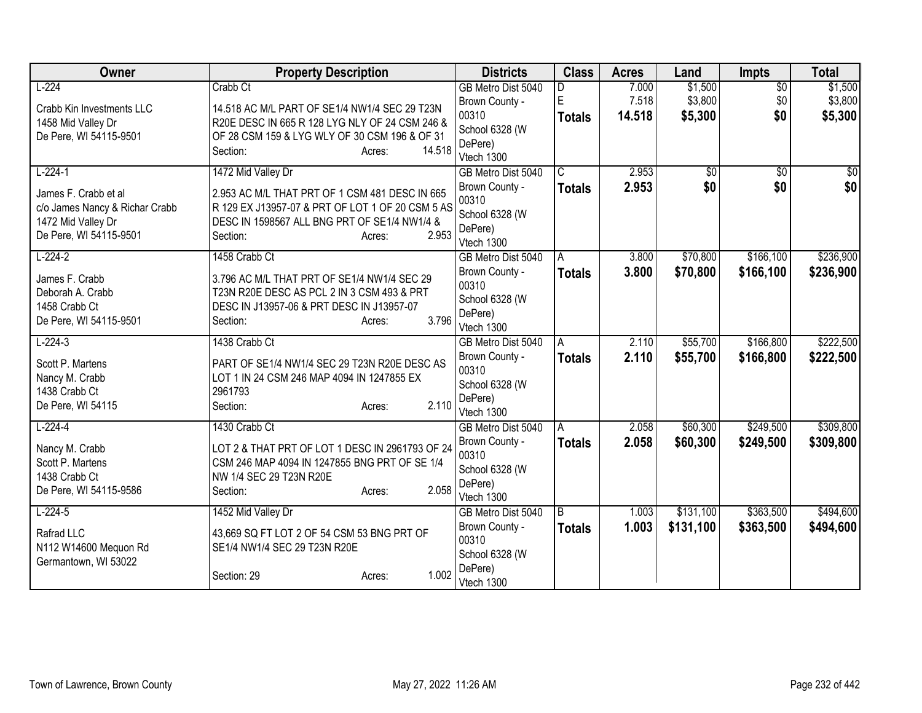| Owner                          | <b>Property Description</b>                      |        | <b>Districts</b>          | <b>Class</b>   | <b>Acres</b> | Land            | Impts           | <b>Total</b>    |
|--------------------------------|--------------------------------------------------|--------|---------------------------|----------------|--------------|-----------------|-----------------|-----------------|
| $L-224$                        | Crabb Ct                                         |        | GB Metro Dist 5040        |                | 7.000        | \$1,500         | $\overline{50}$ | \$1,500         |
| Crabb Kin Investments LLC      | 14.518 AC M/L PART OF SE1/4 NW1/4 SEC 29 T23N    |        | Brown County -            | E              | 7.518        | \$3,800         | \$0             | \$3,800         |
| 1458 Mid Valley Dr             | R20E DESC IN 665 R 128 LYG NLY OF 24 CSM 246 &   |        | 00310                     | <b>Totals</b>  | 14.518       | \$5,300         | \$0             | \$5,300         |
| De Pere, WI 54115-9501         | OF 28 CSM 159 & LYG WLY OF 30 CSM 196 & OF 31    |        | School 6328 (W            |                |              |                 |                 |                 |
|                                | Section:<br>Acres:                               | 14.518 | DePere)                   |                |              |                 |                 |                 |
|                                |                                                  |        | Vtech 1300                |                |              |                 |                 |                 |
| $L-224-1$                      | 1472 Mid Valley Dr                               |        | GB Metro Dist 5040        | $\overline{C}$ | 2.953        | $\overline{50}$ | $\overline{50}$ | $\overline{50}$ |
| James F. Crabb et al           | 2.953 AC M/L THAT PRT OF 1 CSM 481 DESC IN 665   |        | Brown County -<br>00310   | <b>Totals</b>  | 2.953        | \$0             | \$0             | \$0             |
| c/o James Nancy & Richar Crabb | R 129 EX J13957-07 & PRT OF LOT 1 OF 20 CSM 5 AS |        | School 6328 (W            |                |              |                 |                 |                 |
| 1472 Mid Valley Dr             | DESC IN 1598567 ALL BNG PRT OF SE1/4 NW1/4 &     |        | DePere)                   |                |              |                 |                 |                 |
| De Pere, WI 54115-9501         | Section:<br>Acres:                               | 2.953  | Vtech 1300                |                |              |                 |                 |                 |
| $L-224-2$                      | 1458 Crabb Ct                                    |        | GB Metro Dist 5040        | A              | 3.800        | \$70,800        | \$166,100       | \$236,900       |
|                                |                                                  |        | Brown County -            | <b>Totals</b>  | 3.800        | \$70,800        | \$166,100       | \$236,900       |
| James F. Crabb                 | 3.796 AC M/L THAT PRT OF SE1/4 NW1/4 SEC 29      |        | 00310                     |                |              |                 |                 |                 |
| Deborah A. Crabb               | T23N R20E DESC AS PCL 2 IN 3 CSM 493 & PRT       |        | School 6328 (W            |                |              |                 |                 |                 |
| 1458 Crabb Ct                  | DESC IN J13957-06 & PRT DESC IN J13957-07        |        | DePere)                   |                |              |                 |                 |                 |
| De Pere, WI 54115-9501         | Section:<br>Acres:                               | 3.796  | Vtech 1300                |                |              |                 |                 |                 |
| $L-224-3$                      | 1438 Crabb Ct                                    |        | GB Metro Dist 5040        | A              | 2.110        | \$55,700        | \$166,800       | \$222,500       |
| Scott P. Martens               | PART OF SE1/4 NW1/4 SEC 29 T23N R20E DESC AS     |        | Brown County -            | <b>Totals</b>  | 2.110        | \$55,700        | \$166,800       | \$222,500       |
| Nancy M. Crabb                 | LOT 1 IN 24 CSM 246 MAP 4094 IN 1247855 EX       |        | 00310                     |                |              |                 |                 |                 |
| 1438 Crabb Ct                  | 2961793                                          |        | School 6328 (W            |                |              |                 |                 |                 |
| De Pere, WI 54115              | Section:<br>Acres:                               | 2.110  | DePere)                   |                |              |                 |                 |                 |
|                                |                                                  |        | Vtech 1300                |                |              |                 |                 |                 |
| $L-224-4$                      | 1430 Crabb Ct                                    |        | GB Metro Dist 5040        | A              | 2.058        | \$60,300        | \$249,500       | \$309,800       |
| Nancy M. Crabb                 | LOT 2 & THAT PRT OF LOT 1 DESC IN 2961793 OF 24  |        | Brown County -            | <b>Totals</b>  | 2.058        | \$60,300        | \$249,500       | \$309,800       |
| Scott P. Martens               | CSM 246 MAP 4094 IN 1247855 BNG PRT OF SE 1/4    |        | 00310                     |                |              |                 |                 |                 |
| 1438 Crabb Ct                  | NW 1/4 SEC 29 T23N R20E                          |        | School 6328 (W<br>DePere) |                |              |                 |                 |                 |
| De Pere, WI 54115-9586         | Section:<br>Acres:                               | 2.058  | Vtech 1300                |                |              |                 |                 |                 |
| $L-224-5$                      | 1452 Mid Valley Dr                               |        | GB Metro Dist 5040        | B              | 1.003        | \$131,100       | \$363,500       | \$494,600       |
|                                |                                                  |        | Brown County -            | <b>Totals</b>  | 1.003        | \$131,100       | \$363,500       | \$494,600       |
| Rafrad LLC                     | 43,669 SQ FT LOT 2 OF 54 CSM 53 BNG PRT OF       |        | 00310                     |                |              |                 |                 |                 |
| N112 W14600 Mequon Rd          | SE1/4 NW1/4 SEC 29 T23N R20E                     |        | School 6328 (W            |                |              |                 |                 |                 |
| Germantown, WI 53022           |                                                  |        | DePere)                   |                |              |                 |                 |                 |
|                                | Section: 29<br>Acres:                            | 1.002  | Vtech 1300                |                |              |                 |                 |                 |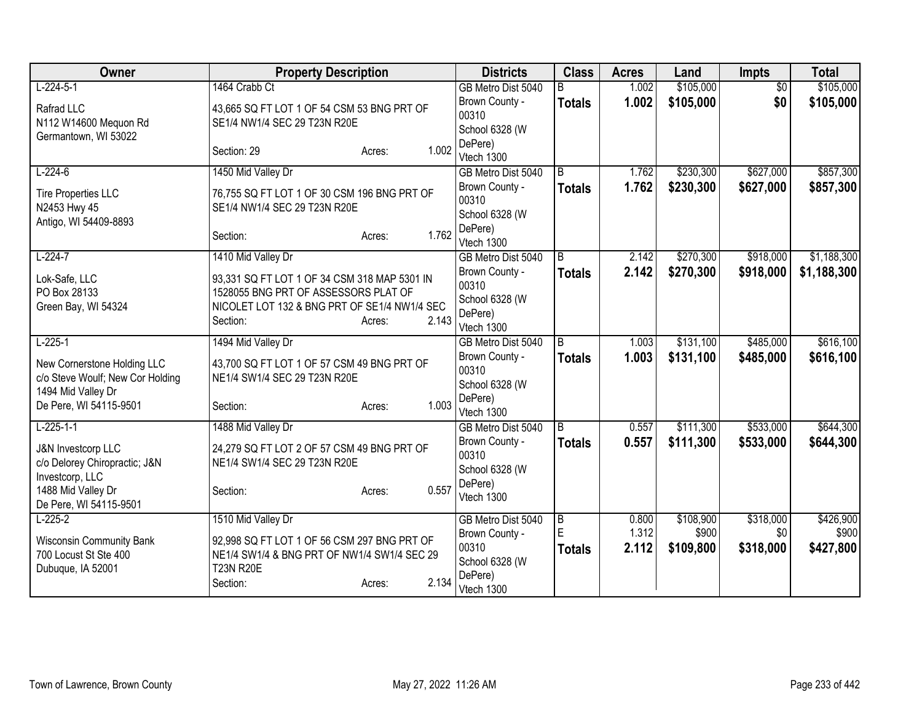| Owner                            | <b>Property Description</b>                                                          | <b>Districts</b>          | <b>Class</b>        | <b>Acres</b>   | Land               | <b>Impts</b>     | <b>Total</b>       |
|----------------------------------|--------------------------------------------------------------------------------------|---------------------------|---------------------|----------------|--------------------|------------------|--------------------|
| $L-224-5-1$                      | 1464 Crabb Ct                                                                        | GB Metro Dist 5040        | B                   | 1.002          | \$105,000          | $\overline{50}$  | \$105,000          |
| Rafrad LLC                       | 43,665 SQ FT LOT 1 OF 54 CSM 53 BNG PRT OF                                           | Brown County -            | <b>Totals</b>       | 1.002          | \$105,000          | \$0              | \$105,000          |
| N112 W14600 Mequon Rd            | SE1/4 NW1/4 SEC 29 T23N R20E                                                         | 00310                     |                     |                |                    |                  |                    |
| Germantown, WI 53022             |                                                                                      | School 6328 (W<br>DePere) |                     |                |                    |                  |                    |
|                                  | 1.002<br>Section: 29<br>Acres:                                                       | Vtech 1300                |                     |                |                    |                  |                    |
| $L-224-6$                        | 1450 Mid Valley Dr                                                                   | GB Metro Dist 5040        | B                   | 1.762          | \$230,300          | \$627,000        | \$857,300          |
| <b>Tire Properties LLC</b>       | 76,755 SQ FT LOT 1 OF 30 CSM 196 BNG PRT OF                                          | Brown County -            | <b>Totals</b>       | 1.762          | \$230,300          | \$627,000        | \$857,300          |
| N2453 Hwy 45                     | SE1/4 NW1/4 SEC 29 T23N R20E                                                         | 00310                     |                     |                |                    |                  |                    |
| Antigo, WI 54409-8893            |                                                                                      | School 6328 (W            |                     |                |                    |                  |                    |
|                                  | 1.762<br>Section:<br>Acres:                                                          | DePere)<br>Vtech 1300     |                     |                |                    |                  |                    |
| $L-224-7$                        | 1410 Mid Valley Dr                                                                   | GB Metro Dist 5040        | B.                  | 2.142          | \$270,300          | \$918,000        | \$1,188,300        |
|                                  |                                                                                      | Brown County -            | <b>Totals</b>       | 2.142          | \$270,300          | \$918,000        | \$1,188,300        |
| Lok-Safe, LLC                    | 93,331 SQ FT LOT 1 OF 34 CSM 318 MAP 5301 IN                                         | 00310                     |                     |                |                    |                  |                    |
| PO Box 28133                     | 1528055 BNG PRT OF ASSESSORS PLAT OF<br>NICOLET LOT 132 & BNG PRT OF SE1/4 NW1/4 SEC | School 6328 (W            |                     |                |                    |                  |                    |
| Green Bay, WI 54324              | 2.143<br>Section:<br>Acres:                                                          | DePere)                   |                     |                |                    |                  |                    |
|                                  |                                                                                      | Vtech 1300                |                     |                |                    |                  |                    |
| $L-225-1$                        | 1494 Mid Valley Dr                                                                   | GB Metro Dist 5040        | B                   | 1.003          | \$131,100          | \$485,000        | \$616,100          |
| New Cornerstone Holding LLC      | 43,700 SQ FT LOT 1 OF 57 CSM 49 BNG PRT OF                                           | Brown County -<br>00310   | <b>Totals</b>       | 1.003          | \$131,100          | \$485,000        | \$616,100          |
| c/o Steve Woulf; New Cor Holding | NE1/4 SW1/4 SEC 29 T23N R20E                                                         | School 6328 (W            |                     |                |                    |                  |                    |
| 1494 Mid Valley Dr               |                                                                                      | DePere)                   |                     |                |                    |                  |                    |
| De Pere, WI 54115-9501           | 1.003<br>Section:<br>Acres:                                                          | Vtech 1300                |                     |                |                    |                  |                    |
| $L-225-1-1$                      | 1488 Mid Valley Dr                                                                   | GB Metro Dist 5040        | $\overline{B}$      | 0.557          | \$111,300          | \$533,000        | \$644,300          |
| <b>J&amp;N Investcorp LLC</b>    | 24,279 SQ FT LOT 2 OF 57 CSM 49 BNG PRT OF                                           | Brown County -            | <b>Totals</b>       | 0.557          | \$111,300          | \$533,000        | \$644,300          |
| c/o Delorey Chiropractic; J&N    | NE1/4 SW1/4 SEC 29 T23N R20E                                                         | 00310                     |                     |                |                    |                  |                    |
| Investcorp, LLC                  |                                                                                      | School 6328 (W<br>DePere) |                     |                |                    |                  |                    |
| 1488 Mid Valley Dr               | 0.557<br>Section:<br>Acres:                                                          | Vtech 1300                |                     |                |                    |                  |                    |
| De Pere, WI 54115-9501           |                                                                                      |                           |                     |                |                    |                  |                    |
| $L-225-2$                        | 1510 Mid Valley Dr                                                                   | GB Metro Dist 5040        | $\overline{B}$<br>E | 0.800<br>1.312 | \$108,900<br>\$900 | \$318,000<br>\$0 | \$426,900<br>\$900 |
| <b>Wisconsin Community Bank</b>  | 92,998 SQ FT LOT 1 OF 56 CSM 297 BNG PRT OF                                          | Brown County -<br>00310   | <b>Totals</b>       | 2.112          | \$109,800          | \$318,000        | \$427,800          |
| 700 Locust St Ste 400            | NE1/4 SW1/4 & BNG PRT OF NW1/4 SW1/4 SEC 29                                          | School 6328 (W            |                     |                |                    |                  |                    |
| Dubuque, IA 52001                | <b>T23N R20E</b>                                                                     | DePere)                   |                     |                |                    |                  |                    |
|                                  | 2.134<br>Section:<br>Acres:                                                          | Vtech 1300                |                     |                |                    |                  |                    |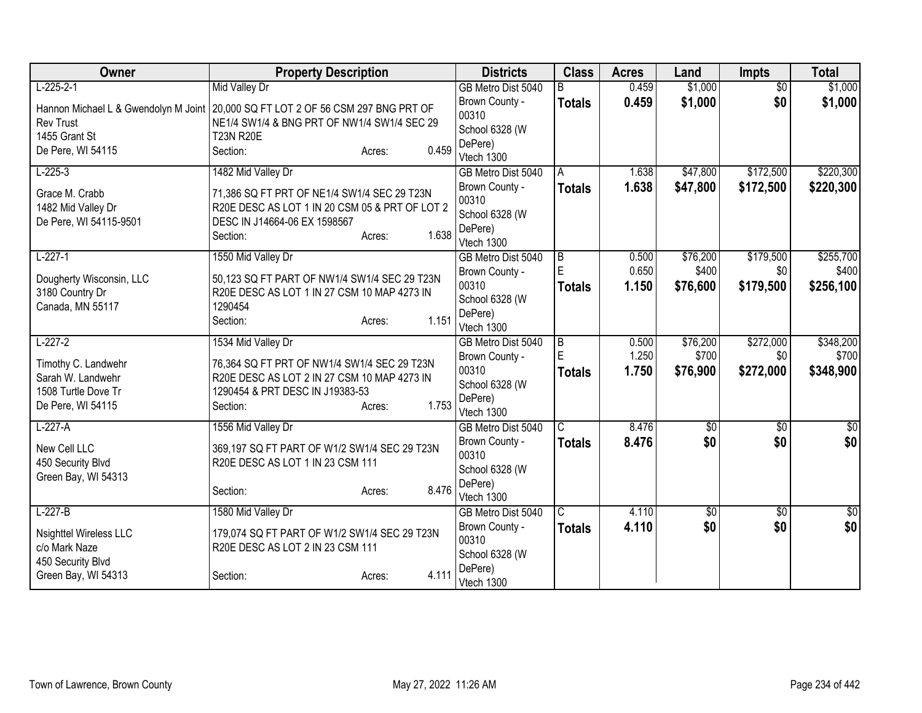| Owner                                | <b>Property Description</b>                    |                 | <b>Districts</b>          | <b>Class</b>            | <b>Acres</b> | Land            | <b>Impts</b>    | <b>Total</b>     |
|--------------------------------------|------------------------------------------------|-----------------|---------------------------|-------------------------|--------------|-----------------|-----------------|------------------|
| $L-225-2-1$                          | Mid Valley Dr                                  |                 | GB Metro Dist 5040        |                         | 0.459        | \$1,000         | $\overline{50}$ | \$1,000          |
| Hannon Michael L & Gwendolyn M Joint | 20,000 SQ FT LOT 2 OF 56 CSM 297 BNG PRT OF    |                 | Brown County -            | <b>Totals</b>           | 0.459        | \$1,000         | \$0             | \$1,000          |
| <b>Rev Trust</b>                     | NE1/4 SW1/4 & BNG PRT OF NW1/4 SW1/4 SEC 29    |                 | 00310                     |                         |              |                 |                 |                  |
| 1455 Grant St                        | <b>T23N R20E</b>                               |                 | School 6328 (W<br>DePere) |                         |              |                 |                 |                  |
| De Pere, WI 54115                    | Section:                                       | 0.459<br>Acres: | Vtech 1300                |                         |              |                 |                 |                  |
| $L-225-3$                            | 1482 Mid Valley Dr                             |                 | GB Metro Dist 5040        | A                       | 1.638        | \$47,800        | \$172,500       | \$220,300        |
| Grace M. Crabb                       | 71,386 SQ FT PRT OF NE1/4 SW1/4 SEC 29 T23N    |                 | Brown County -            | <b>Totals</b>           | 1.638        | \$47,800        | \$172,500       | \$220,300        |
| 1482 Mid Valley Dr                   | R20E DESC AS LOT 1 IN 20 CSM 05 & PRT OF LOT 2 |                 | 00310                     |                         |              |                 |                 |                  |
| De Pere, WI 54115-9501               | DESC IN J14664-06 EX 1598567                   |                 | School 6328 (W            |                         |              |                 |                 |                  |
|                                      | Section:                                       | 1.638<br>Acres: | DePere)                   |                         |              |                 |                 |                  |
|                                      |                                                |                 | Vtech 1300                |                         |              |                 |                 |                  |
| $L-227-1$                            | 1550 Mid Valley Dr                             |                 | GB Metro Dist 5040        | $\overline{B}$<br>E     | 0.500        | \$76,200        | \$179,500       | \$255,700        |
| Dougherty Wisconsin, LLC             | 50,123 SQ FT PART OF NW1/4 SW1/4 SEC 29 T23N   |                 | Brown County -<br>00310   |                         | 0.650        | \$400           | \$0             | \$400            |
| 3180 Country Dr                      | R20E DESC AS LOT 1 IN 27 CSM 10 MAP 4273 IN    |                 |                           | <b>Totals</b>           | 1.150        | \$76,600        | \$179,500       | \$256,100        |
| Canada, MN 55117                     | 1290454                                        |                 | School 6328 (W            |                         |              |                 |                 |                  |
|                                      | Section:                                       | 1.151<br>Acres: | DePere)<br>Vtech 1300     |                         |              |                 |                 |                  |
| $L-227-2$                            | 1534 Mid Valley Dr                             |                 | GB Metro Dist 5040        | $\overline{B}$          | 0.500        | \$76,200        | \$272,000       | \$348,200        |
|                                      |                                                |                 | Brown County -            | E                       | 1.250        | \$700           | \$0             | \$700            |
| Timothy C. Landwehr                  | 76,364 SQ FT PRT OF NW1/4 SW1/4 SEC 29 T23N    |                 | 00310                     | <b>Totals</b>           | 1.750        | \$76,900        | \$272,000       | \$348,900        |
| Sarah W. Landwehr                    | R20E DESC AS LOT 2 IN 27 CSM 10 MAP 4273 IN    |                 | School 6328 (W            |                         |              |                 |                 |                  |
| 1508 Turtle Dove Tr                  | 1290454 & PRT DESC IN J19383-53                |                 | DePere)                   |                         |              |                 |                 |                  |
| De Pere, WI 54115                    | Section:                                       | 1.753<br>Acres: | Vtech 1300                |                         |              |                 |                 |                  |
| $L-227-A$                            | 1556 Mid Valley Dr                             |                 | GB Metro Dist 5040        | $\overline{\mathsf{C}}$ | 8.476        | $\overline{50}$ | \$0             | $\overline{\$0}$ |
| New Cell LLC                         | 369,197 SQ FT PART OF W1/2 SW1/4 SEC 29 T23N   |                 | Brown County -            | <b>Totals</b>           | 8.476        | \$0             | \$0             | \$0              |
| 450 Security Blvd                    | R20E DESC AS LOT 1 IN 23 CSM 111               |                 | 00310                     |                         |              |                 |                 |                  |
| Green Bay, WI 54313                  |                                                |                 | School 6328 (W            |                         |              |                 |                 |                  |
|                                      | Section:                                       | 8.476<br>Acres: | DePere)                   |                         |              |                 |                 |                  |
|                                      |                                                |                 | Vtech 1300                |                         |              |                 |                 |                  |
| $L-227-B$                            | 1580 Mid Valley Dr                             |                 | GB Metro Dist 5040        | $\overline{C}$          | 4.110        | \$0             | \$0             | $\overline{\$0}$ |
| <b>Nsighttel Wireless LLC</b>        | 179,074 SQ FT PART OF W1/2 SW1/4 SEC 29 T23N   |                 | Brown County -            | <b>Totals</b>           | 4.110        | \$0             | \$0             | \$0              |
| c/o Mark Naze                        | R20E DESC AS LOT 2 IN 23 CSM 111               |                 | 00310                     |                         |              |                 |                 |                  |
| 450 Security Blvd                    |                                                |                 | School 6328 (W            |                         |              |                 |                 |                  |
| Green Bay, WI 54313                  | Section:                                       | 4.111<br>Acres: | DePere)                   |                         |              |                 |                 |                  |
|                                      |                                                |                 | Vtech 1300                |                         |              |                 |                 |                  |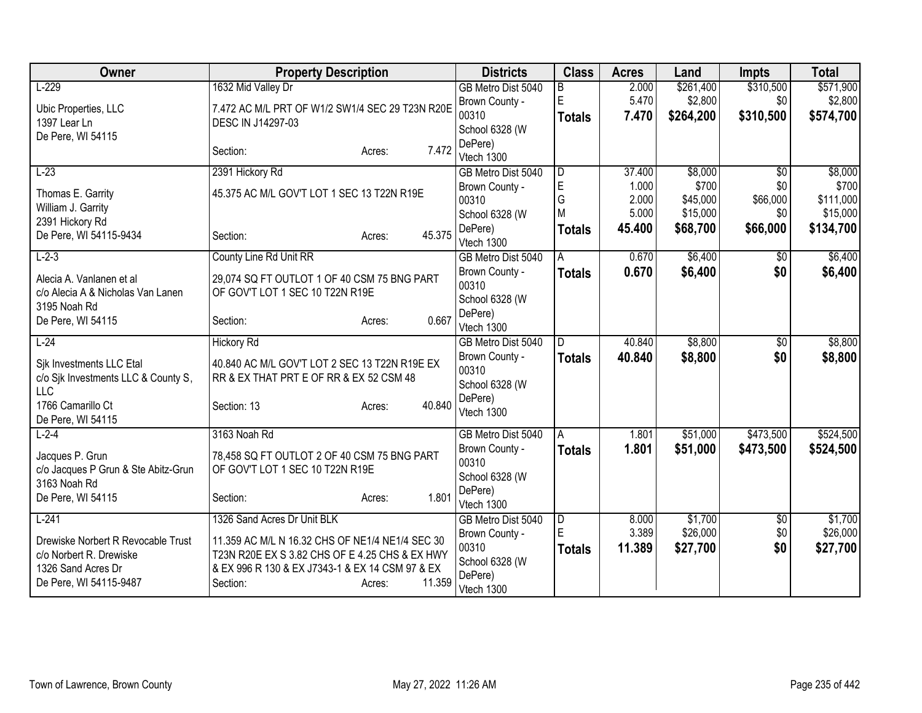| Owner                                         | <b>Property Description</b>                                                                       | <b>Districts</b>        | <b>Class</b>   | <b>Acres</b> | Land      | <b>Impts</b>    | <b>Total</b> |
|-----------------------------------------------|---------------------------------------------------------------------------------------------------|-------------------------|----------------|--------------|-----------|-----------------|--------------|
| $L-229$                                       | 1632 Mid Valley Dr                                                                                | GB Metro Dist 5040      | $\overline{B}$ | 2.000        | \$261,400 | \$310,500       | \$571,900    |
| Ubic Properties, LLC                          | 7.472 AC M/L PRT OF W1/2 SW1/4 SEC 29 T23N R20E                                                   | Brown County -          | $\mathsf E$    | 5.470        | \$2,800   | \$0             | \$2,800      |
| 1397 Lear Ln                                  | DESC IN J14297-03                                                                                 | 00310                   | <b>Totals</b>  | 7.470        | \$264,200 | \$310,500       | \$574,700    |
| De Pere, WI 54115                             |                                                                                                   | School 6328 (W          |                |              |           |                 |              |
|                                               | 7.472<br>Section:<br>Acres:                                                                       | DePere)<br>Vtech 1300   |                |              |           |                 |              |
| $L-23$                                        | 2391 Hickory Rd                                                                                   | GB Metro Dist 5040      | D              | 37.400       | \$8,000   | $\overline{50}$ | \$8,000      |
|                                               |                                                                                                   | Brown County -          | $\mathsf E$    | 1.000        | \$700     | \$0             | \$700        |
| Thomas E. Garrity                             | 45.375 AC M/L GOV'T LOT 1 SEC 13 T22N R19E                                                        | 00310                   | G              | 2.000        | \$45,000  | \$66,000        | \$111,000    |
| William J. Garrity                            |                                                                                                   | School 6328 (W          | M              | 5.000        | \$15,000  | \$0             | \$15,000     |
| 2391 Hickory Rd                               |                                                                                                   | DePere)                 | <b>Totals</b>  | 45.400       | \$68,700  | \$66,000        | \$134,700    |
| De Pere, WI 54115-9434                        | 45.375<br>Section:<br>Acres:                                                                      | Vtech 1300              |                |              |           |                 |              |
| $L-2-3$                                       | County Line Rd Unit RR                                                                            | GB Metro Dist 5040      | A              | 0.670        | \$6,400   | \$0             | \$6,400      |
| Alecia A. Vanlanen et al                      | 29,074 SQ FT OUTLOT 1 OF 40 CSM 75 BNG PART                                                       | Brown County -          | <b>Totals</b>  | 0.670        | \$6,400   | \$0             | \$6,400      |
| c/o Alecia A & Nicholas Van Lanen             | OF GOV'T LOT 1 SEC 10 T22N R19E                                                                   | 00310                   |                |              |           |                 |              |
| 3195 Noah Rd                                  |                                                                                                   | School 6328 (W          |                |              |           |                 |              |
| De Pere, WI 54115                             | 0.667<br>Section:<br>Acres:                                                                       | DePere)                 |                |              |           |                 |              |
|                                               |                                                                                                   | Vtech 1300              |                |              |           |                 |              |
| $L-24$                                        | <b>Hickory Rd</b>                                                                                 | GB Metro Dist 5040      | ID.            | 40.840       | \$8,800   | \$0             | \$8,800      |
| Sik Investments LLC Etal                      | 40.840 AC M/L GOV'T LOT 2 SEC 13 T22N R19E EX                                                     | Brown County -<br>00310 | <b>Totals</b>  | 40.840       | \$8,800   | \$0             | \$8,800      |
| c/o Sjk Investments LLC & County S,           | RR & EX THAT PRT E OF RR & EX 52 CSM 48                                                           | School 6328 (W          |                |              |           |                 |              |
| <b>LLC</b>                                    |                                                                                                   | DePere)                 |                |              |           |                 |              |
| 1766 Camarillo Ct                             | 40.840<br>Section: 13<br>Acres:                                                                   | Vtech 1300              |                |              |           |                 |              |
| De Pere, WI 54115                             |                                                                                                   |                         |                |              |           |                 |              |
| $L - 2 - 4$                                   | 3163 Noah Rd                                                                                      | GB Metro Dist 5040      | A              | 1.801        | \$51,000  | \$473,500       | \$524,500    |
| Jacques P. Grun                               | 78,458 SQ FT OUTLOT 2 OF 40 CSM 75 BNG PART                                                       | Brown County -<br>00310 | <b>Totals</b>  | 1.801        | \$51,000  | \$473,500       | \$524,500    |
| c/o Jacques P Grun & Ste Abitz-Grun           | OF GOV'T LOT 1 SEC 10 T22N R19E                                                                   | School 6328 (W          |                |              |           |                 |              |
| 3163 Noah Rd                                  |                                                                                                   | DePere)                 |                |              |           |                 |              |
| De Pere, WI 54115                             | 1.801<br>Section:<br>Acres:                                                                       | Vtech 1300              |                |              |           |                 |              |
| $L-241$                                       | 1326 Sand Acres Dr Unit BLK                                                                       | GB Metro Dist 5040      | $\overline{D}$ | 8.000        | \$1,700   | $\sqrt{$0}$     | \$1,700      |
|                                               |                                                                                                   | Brown County -          | E              | 3.389        | \$26,000  | \$0             | \$26,000     |
| Drewiske Norbert R Revocable Trust            | 11.359 AC M/L N 16.32 CHS OF NE1/4 NE1/4 SEC 30                                                   | 00310                   | Totals         | 11.389       | \$27,700  | \$0             | \$27,700     |
| c/o Norbert R. Drewiske<br>1326 Sand Acres Dr | T23N R20E EX S 3.82 CHS OF E 4.25 CHS & EX HWY<br>& EX 996 R 130 & EX J7343-1 & EX 14 CSM 97 & EX | School 6328 (W          |                |              |           |                 |              |
| De Pere, WI 54115-9487                        | 11.359<br>Section:<br>Acres:                                                                      | DePere)                 |                |              |           |                 |              |
|                                               |                                                                                                   | Vtech 1300              |                |              |           |                 |              |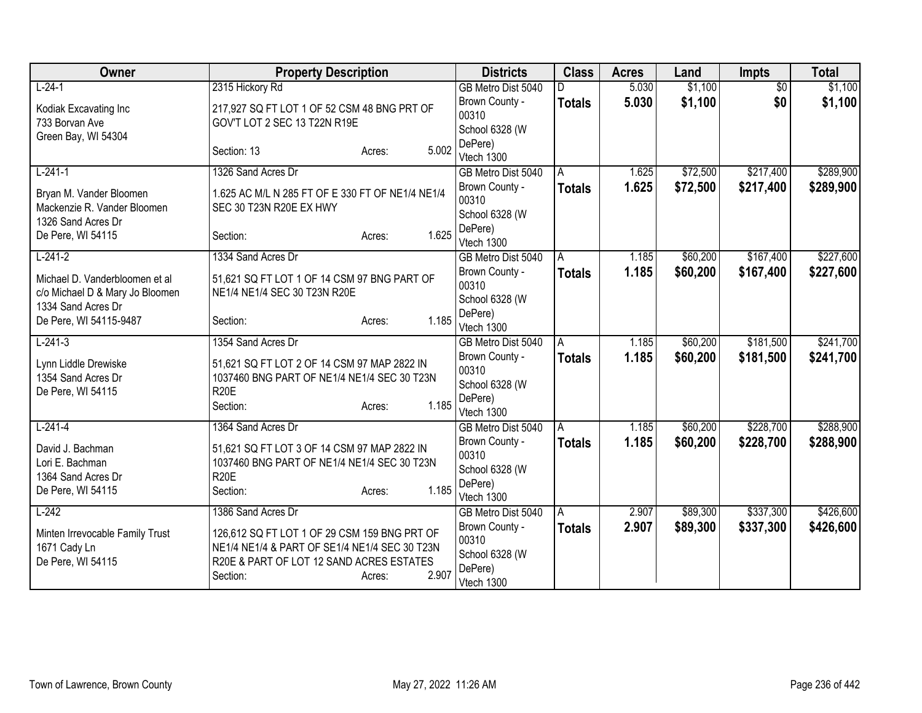| Owner                           | <b>Property Description</b>                      | <b>Districts</b>                 | <b>Class</b>  | <b>Acres</b> | Land     | <b>Impts</b>    | <b>Total</b> |
|---------------------------------|--------------------------------------------------|----------------------------------|---------------|--------------|----------|-----------------|--------------|
| $L-24-1$                        | 2315 Hickory Rd                                  | GB Metro Dist 5040               |               | 5.030        | \$1,100  | $\overline{50}$ | \$1,100      |
| Kodiak Excavating Inc           | 217,927 SQ FT LOT 1 OF 52 CSM 48 BNG PRT OF      | Brown County -                   | <b>Totals</b> | 5.030        | \$1,100  | \$0             | \$1,100      |
| 733 Borvan Ave                  | GOV'T LOT 2 SEC 13 T22N R19E                     | 00310                            |               |              |          |                 |              |
| Green Bay, WI 54304             |                                                  | School 6328 (W                   |               |              |          |                 |              |
|                                 | 5.002<br>Section: 13<br>Acres:                   | DePere)<br>Vtech 1300            |               |              |          |                 |              |
| $L-241-1$                       | 1326 Sand Acres Dr                               | GB Metro Dist 5040               | A             | 1.625        | \$72,500 | \$217,400       | \$289,900    |
|                                 |                                                  | Brown County -                   | <b>Totals</b> | 1.625        | \$72,500 | \$217,400       | \$289,900    |
| Bryan M. Vander Bloomen         | 1.625 AC M/L N 285 FT OF E 330 FT OF NE1/4 NE1/4 | 00310                            |               |              |          |                 |              |
| Mackenzie R. Vander Bloomen     | SEC 30 T23N R20E EX HWY                          | School 6328 (W                   |               |              |          |                 |              |
| 1326 Sand Acres Dr              |                                                  | DePere)                          |               |              |          |                 |              |
| De Pere, WI 54115               | 1.625<br>Section:<br>Acres:                      | Vtech 1300                       |               |              |          |                 |              |
| $L-241-2$                       | 1334 Sand Acres Dr                               | GB Metro Dist 5040               | A             | 1.185        | \$60,200 | \$167,400       | \$227,600    |
| Michael D. Vanderbloomen et al  | 51,621 SQ FT LOT 1 OF 14 CSM 97 BNG PART OF      | Brown County -                   | <b>Totals</b> | 1.185        | \$60,200 | \$167,400       | \$227,600    |
| c/o Michael D & Mary Jo Bloomen | NE1/4 NE1/4 SEC 30 T23N R20E                     | 00310                            |               |              |          |                 |              |
| 1334 Sand Acres Dr              |                                                  | School 6328 (W                   |               |              |          |                 |              |
| De Pere, WI 54115-9487          | 1.185<br>Section:<br>Acres:                      | DePere)<br>Vtech 1300            |               |              |          |                 |              |
| $L-241-3$                       | 1354 Sand Acres Dr                               | GB Metro Dist 5040               | A             | 1.185        | \$60,200 | \$181,500       | \$241,700    |
|                                 |                                                  | Brown County -                   | <b>Totals</b> | 1.185        | \$60,200 | \$181,500       | \$241,700    |
| Lynn Liddle Drewiske            | 51,621 SQ FT LOT 2 OF 14 CSM 97 MAP 2822 IN      | 00310                            |               |              |          |                 |              |
| 1354 Sand Acres Dr              | 1037460 BNG PART OF NE1/4 NE1/4 SEC 30 T23N      | School 6328 (W                   |               |              |          |                 |              |
| De Pere, WI 54115               | <b>R20E</b>                                      | DePere)                          |               |              |          |                 |              |
|                                 | 1.185<br>Section:<br>Acres:                      | Vtech 1300                       |               |              |          |                 |              |
| $L-241-4$                       | 1364 Sand Acres Dr                               | GB Metro Dist 5040               | A             | 1.185        | \$60,200 | \$228,700       | \$288,900    |
| David J. Bachman                | 51,621 SQ FT LOT 3 OF 14 CSM 97 MAP 2822 IN      | Brown County -                   | <b>Totals</b> | 1.185        | \$60,200 | \$228,700       | \$288,900    |
| Lori E. Bachman                 | 1037460 BNG PART OF NE1/4 NE1/4 SEC 30 T23N      | 00310                            |               |              |          |                 |              |
| 1364 Sand Acres Dr              | <b>R20E</b>                                      | School 6328 (W                   |               |              |          |                 |              |
| De Pere, WI 54115               | 1.185<br>Section:<br>Acres:                      | DePere)                          |               |              |          |                 |              |
| $L-242$                         | 1386 Sand Acres Dr                               | Vtech 1300<br>GB Metro Dist 5040 | A             | 2.907        | \$89,300 | \$337,300       | \$426,600    |
|                                 |                                                  | Brown County -                   |               | 2.907        | \$89,300 | \$337,300       | \$426,600    |
| Minten Irrevocable Family Trust | 126,612 SQ FT LOT 1 OF 29 CSM 159 BNG PRT OF     | 00310                            | <b>Totals</b> |              |          |                 |              |
| 1671 Cady Ln                    | NE1/4 NE1/4 & PART OF SE1/4 NE1/4 SEC 30 T23N    | School 6328 (W                   |               |              |          |                 |              |
| De Pere, WI 54115               | R20E & PART OF LOT 12 SAND ACRES ESTATES         | DePere)                          |               |              |          |                 |              |
|                                 | 2.907<br>Section:<br>Acres:                      | Vtech 1300                       |               |              |          |                 |              |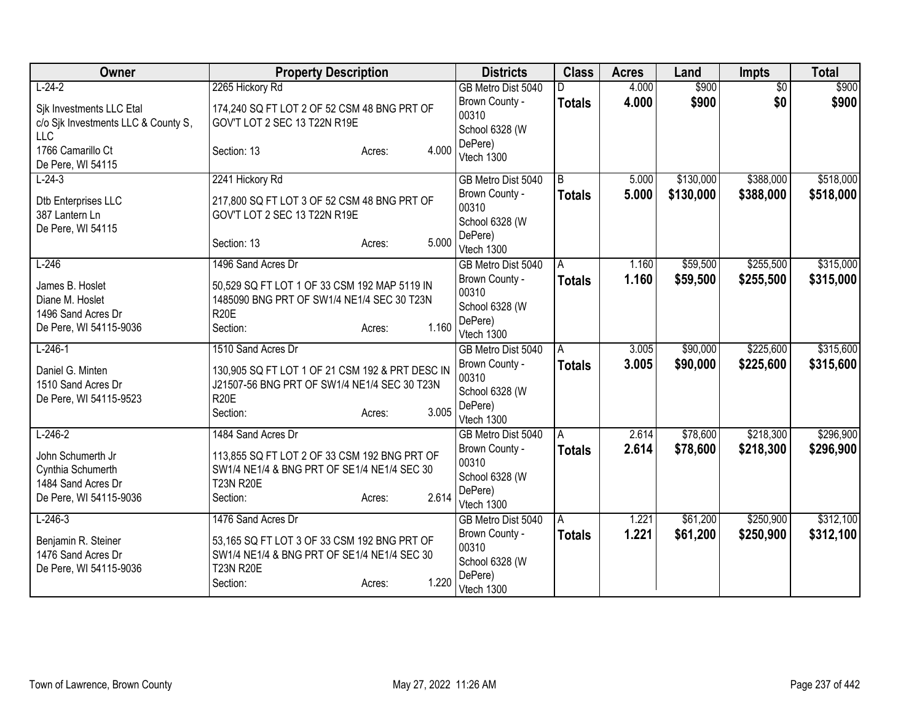| Owner                                                                                  | <b>Property Description</b>                                                                                                                    | <b>Districts</b>                                                   | <b>Class</b>  | <b>Acres</b> | Land      | <b>Impts</b>    | <b>Total</b> |
|----------------------------------------------------------------------------------------|------------------------------------------------------------------------------------------------------------------------------------------------|--------------------------------------------------------------------|---------------|--------------|-----------|-----------------|--------------|
| $L-24-2$                                                                               | 2265 Hickory Rd                                                                                                                                | GB Metro Dist 5040                                                 | D.            | 4.000        | \$900     | $\overline{50}$ | \$900        |
| Sik Investments LLC Etal<br>c/o Sjk Investments LLC & County S,<br><b>LLC</b>          | 174,240 SQ FT LOT 2 OF 52 CSM 48 BNG PRT OF<br>GOV'T LOT 2 SEC 13 T22N R19E                                                                    | Brown County -<br>00310<br>School 6328 (W                          | <b>Totals</b> | 4.000        | \$900     | \$0             | \$900        |
| 1766 Camarillo Ct<br>De Pere, WI 54115                                                 | 4.000<br>Section: 13<br>Acres:                                                                                                                 | DePere)<br>Vtech 1300                                              |               |              |           |                 |              |
| $L-24-3$                                                                               | 2241 Hickory Rd                                                                                                                                | GB Metro Dist 5040                                                 | B             | 5.000        | \$130,000 | \$388,000       | \$518,000    |
| Dtb Enterprises LLC<br>387 Lantern Ln<br>De Pere, WI 54115                             | 217,800 SQ FT LOT 3 OF 52 CSM 48 BNG PRT OF<br>GOV'T LOT 2 SEC 13 T22N R19E                                                                    | Brown County -<br>00310<br>School 6328 (W                          | <b>Totals</b> | 5.000        | \$130,000 | \$388,000       | \$518,000    |
|                                                                                        | 5.000<br>Section: 13<br>Acres:                                                                                                                 | DePere)<br>Vtech 1300                                              |               |              |           |                 |              |
| $L-246$                                                                                | 1496 Sand Acres Dr                                                                                                                             | GB Metro Dist 5040                                                 | A             | 1.160        | \$59,500  | \$255,500       | \$315,000    |
| James B. Hoslet<br>Diane M. Hoslet<br>1496 Sand Acres Dr<br>De Pere, WI 54115-9036     | 50,529 SQ FT LOT 1 OF 33 CSM 192 MAP 5119 IN<br>1485090 BNG PRT OF SW1/4 NE1/4 SEC 30 T23N<br><b>R20E</b><br>1.160<br>Section:<br>Acres:       | Brown County -<br>00310<br>School 6328 (W<br>DePere)               | <b>Totals</b> | 1.160        | \$59,500  | \$255,500       | \$315,000    |
| $L-246-1$                                                                              | 1510 Sand Acres Dr                                                                                                                             | Vtech 1300<br>GB Metro Dist 5040                                   | l A           | 3.005        | \$90,000  | \$225,600       | \$315,600    |
| Daniel G. Minten<br>1510 Sand Acres Dr<br>De Pere, WI 54115-9523                       | 130,905 SQ FT LOT 1 OF 21 CSM 192 & PRT DESC IN<br>J21507-56 BNG PRT OF SW1/4 NE1/4 SEC 30 T23N<br><b>R20E</b><br>3.005<br>Section:<br>Acres:  | Brown County -<br>00310<br>School 6328 (W<br>DePere)<br>Vtech 1300 | <b>Totals</b> | 3.005        | \$90,000  | \$225,600       | \$315,600    |
| $L-246-2$                                                                              | 1484 Sand Acres Dr                                                                                                                             | GB Metro Dist 5040                                                 | A             | 2.614        | \$78,600  | \$218,300       | \$296,900    |
| John Schumerth Jr<br>Cynthia Schumerth<br>1484 Sand Acres Dr<br>De Pere, WI 54115-9036 | 113,855 SQ FT LOT 2 OF 33 CSM 192 BNG PRT OF<br>SW1/4 NE1/4 & BNG PRT OF SE1/4 NE1/4 SEC 30<br><b>T23N R20E</b><br>2.614<br>Section:<br>Acres: | Brown County -<br>00310<br>School 6328 (W<br>DePere)<br>Vtech 1300 | <b>Totals</b> | 2.614        | \$78,600  | \$218,300       | \$296,900    |
| $L-246-3$                                                                              | 1476 Sand Acres Dr                                                                                                                             | GB Metro Dist 5040                                                 | A             | 1.221        | \$61,200  | \$250,900       | \$312,100    |
| Benjamin R. Steiner<br>1476 Sand Acres Dr<br>De Pere, WI 54115-9036                    | 53,165 SQ FT LOT 3 OF 33 CSM 192 BNG PRT OF<br>SW1/4 NE1/4 & BNG PRT OF SE1/4 NE1/4 SEC 30<br><b>T23N R20E</b><br>1.220<br>Section:<br>Acres:  | Brown County -<br>00310<br>School 6328 (W<br>DePere)<br>Vtech 1300 | <b>Totals</b> | 1.221        | \$61,200  | \$250,900       | \$312,100    |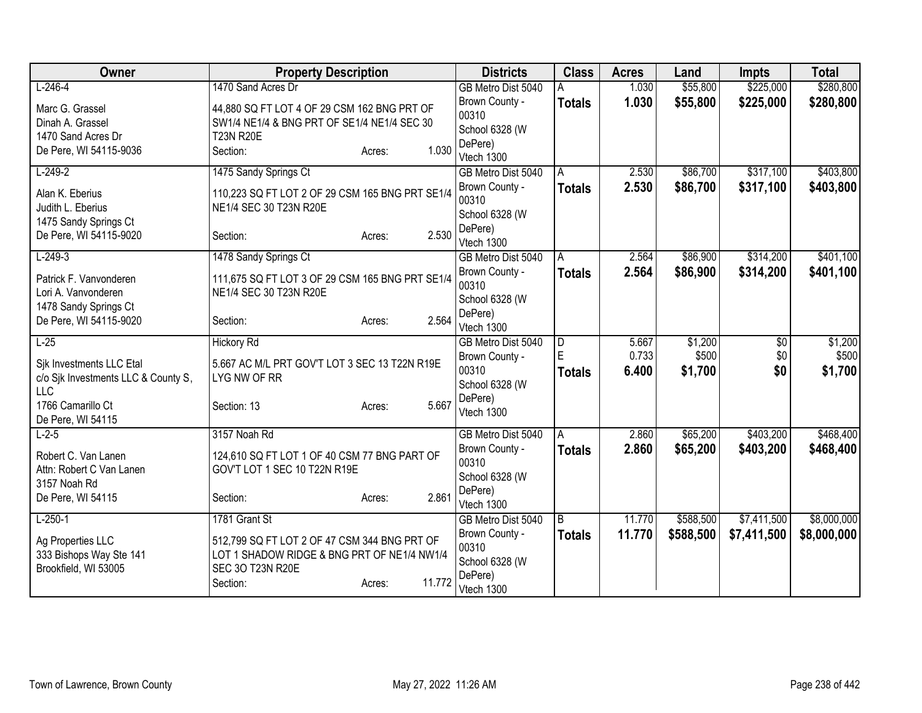| Owner                                                                         | <b>Property Description</b>                                                                                                                            | <b>Districts</b>                                     | <b>Class</b>       | <b>Acres</b>   | Land             | <b>Impts</b> | <b>Total</b>     |
|-------------------------------------------------------------------------------|--------------------------------------------------------------------------------------------------------------------------------------------------------|------------------------------------------------------|--------------------|----------------|------------------|--------------|------------------|
| $L-246-4$                                                                     | 1470 Sand Acres Dr                                                                                                                                     | GB Metro Dist 5040                                   |                    | 1.030          | \$55,800         | \$225,000    | \$280,800        |
| Marc G. Grassel<br>Dinah A. Grassel                                           | 44,880 SQ FT LOT 4 OF 29 CSM 162 BNG PRT OF<br>SW1/4 NE1/4 & BNG PRT OF SE1/4 NE1/4 SEC 30                                                             | Brown County -<br>00310<br>School 6328 (W            | <b>Totals</b>      | 1.030          | \$55,800         | \$225,000    | \$280,800        |
| 1470 Sand Acres Dr<br>De Pere, WI 54115-9036                                  | <b>T23N R20E</b><br>1.030<br>Section:<br>Acres:                                                                                                        | DePere)<br>Vtech 1300                                |                    |                |                  |              |                  |
| $L-249-2$                                                                     | 1475 Sandy Springs Ct                                                                                                                                  | GB Metro Dist 5040                                   | Α                  | 2.530          | \$86,700         | \$317,100    | \$403,800        |
| Alan K. Eberius<br>Judith L. Eberius                                          | 110,223 SQ FT LOT 2 OF 29 CSM 165 BNG PRT SE1/4<br>NE1/4 SEC 30 T23N R20E                                                                              | Brown County -<br>00310<br>School 6328 (W            | Totals             | 2.530          | \$86,700         | \$317,100    | \$403,800        |
| 1475 Sandy Springs Ct<br>De Pere, WI 54115-9020                               | 2.530<br>Section:<br>Acres:                                                                                                                            | DePere)<br>Vtech 1300                                |                    |                |                  |              |                  |
| $L-249-3$                                                                     | 1478 Sandy Springs Ct                                                                                                                                  | GB Metro Dist 5040                                   | A                  | 2.564          | \$86,900         | \$314,200    | \$401,100        |
| Patrick F. Vanvonderen<br>Lori A. Vanvonderen<br>1478 Sandy Springs Ct        | 111,675 SQ FT LOT 3 OF 29 CSM 165 BNG PRT SE1/4<br>NE1/4 SEC 30 T23N R20E                                                                              | Brown County -<br>00310<br>School 6328 (W            | Totals             | 2.564          | \$86,900         | \$314,200    | \$401,100        |
| De Pere, WI 54115-9020                                                        | 2.564<br>Section:<br>Acres:                                                                                                                            | DePere)<br>Vtech 1300                                |                    |                |                  |              |                  |
| $L-25$                                                                        | <b>Hickory Rd</b>                                                                                                                                      | GB Metro Dist 5040                                   | $\overline{D}$     | 5.667          | \$1,200          | \$0          | \$1,200          |
| Sik Investments LLC Etal<br>c/o Sjk Investments LLC & County S,<br><b>LLC</b> | 5.667 AC M/L PRT GOV'T LOT 3 SEC 13 T22N R19E<br>LYG NW OF RR                                                                                          | Brown County -<br>00310<br>School 6328 (W            | E<br><b>Totals</b> | 0.733<br>6.400 | \$500<br>\$1,700 | \$0<br>\$0   | \$500<br>\$1,700 |
| 1766 Camarillo Ct<br>De Pere, WI 54115                                        | 5.667<br>Section: 13<br>Acres:                                                                                                                         | DePere)<br>Vtech 1300                                |                    |                |                  |              |                  |
| $L-2-5$                                                                       | 3157 Noah Rd                                                                                                                                           | GB Metro Dist 5040                                   | A                  | 2.860          | \$65,200         | \$403,200    | \$468,400        |
| Robert C. Van Lanen<br>Attn: Robert C Van Lanen<br>3157 Noah Rd               | 124,610 SQ FT LOT 1 OF 40 CSM 77 BNG PART OF<br>GOV'T LOT 1 SEC 10 T22N R19E                                                                           | Brown County -<br>00310<br>School 6328 (W            | <b>Totals</b>      | 2.860          | \$65,200         | \$403,200    | \$468,400        |
| De Pere, WI 54115                                                             | 2.861<br>Section:<br>Acres:                                                                                                                            | DePere)<br>Vtech 1300                                |                    |                |                  |              |                  |
| $L-250-1$                                                                     | 1781 Grant St                                                                                                                                          | GB Metro Dist 5040                                   | B                  | 11.770         | \$588,500        | \$7,411,500  | \$8,000,000      |
| Ag Properties LLC<br>333 Bishops Way Ste 141<br>Brookfield, WI 53005          | 512,799 SQ FT LOT 2 OF 47 CSM 344 BNG PRT OF<br>LOT 1 SHADOW RIDGE & BNG PRT OF NE1/4 NW1/4<br><b>SEC 30 T23N R20E</b><br>11.772<br>Section:<br>Acres: | Brown County -<br>00310<br>School 6328 (W<br>DePere) | <b>Totals</b>      | 11.770         | \$588,500        | \$7,411,500  | \$8,000,000      |
|                                                                               |                                                                                                                                                        | Vtech 1300                                           |                    |                |                  |              |                  |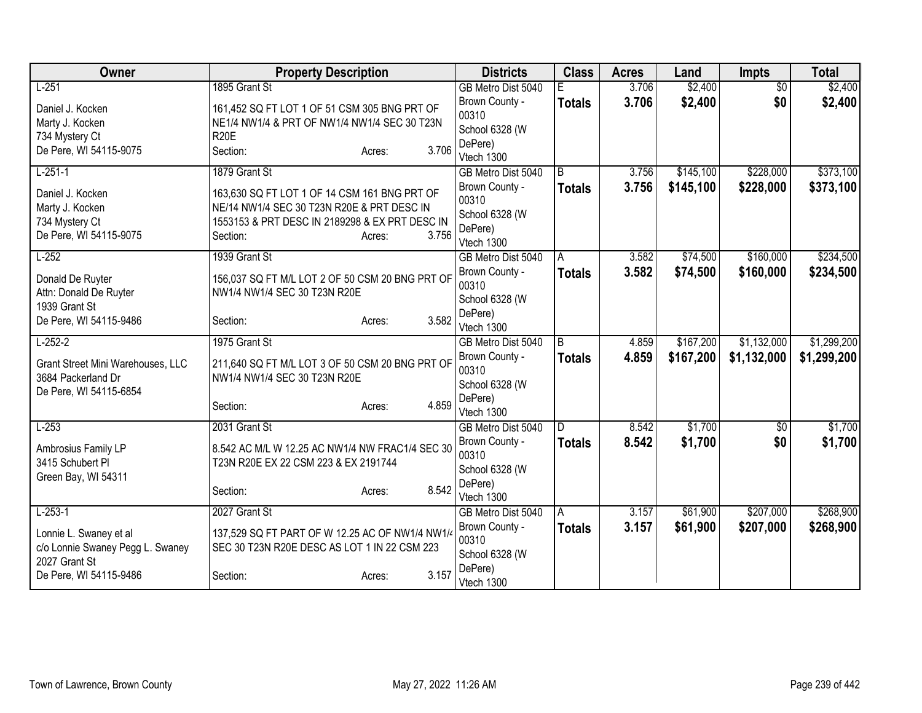| Owner                             | <b>Property Description</b>                     |                 | <b>Districts</b>        | <b>Class</b>  | <b>Acres</b> | Land      | <b>Impts</b>    | <b>Total</b> |
|-----------------------------------|-------------------------------------------------|-----------------|-------------------------|---------------|--------------|-----------|-----------------|--------------|
| $L-251$                           | 1895 Grant St                                   |                 | GB Metro Dist 5040      |               | 3.706        | \$2,400   | $\overline{50}$ | \$2,400      |
| Daniel J. Kocken                  | 161,452 SQ FT LOT 1 OF 51 CSM 305 BNG PRT OF    |                 | Brown County -          | <b>Totals</b> | 3.706        | \$2,400   | \$0             | \$2,400      |
| Marty J. Kocken                   | NE1/4 NW1/4 & PRT OF NW1/4 NW1/4 SEC 30 T23N    |                 | 00310                   |               |              |           |                 |              |
| 734 Mystery Ct                    | <b>R20E</b>                                     |                 | School 6328 (W          |               |              |           |                 |              |
| De Pere, WI 54115-9075            | Section:                                        | 3.706<br>Acres: | DePere)                 |               |              |           |                 |              |
|                                   |                                                 |                 | Vtech 1300              |               |              |           |                 |              |
| $L-251-1$                         | 1879 Grant St                                   |                 | GB Metro Dist 5040      | B             | 3.756        | \$145,100 | \$228,000       | \$373,100    |
| Daniel J. Kocken                  | 163,630 SQ FT LOT 1 OF 14 CSM 161 BNG PRT OF    |                 | Brown County -<br>00310 | <b>Totals</b> | 3.756        | \$145,100 | \$228,000       | \$373,100    |
| Marty J. Kocken                   | NE/14 NW1/4 SEC 30 T23N R20E & PRT DESC IN      |                 | School 6328 (W          |               |              |           |                 |              |
| 734 Mystery Ct                    | 1553153 & PRT DESC IN 2189298 & EX PRT DESC IN  |                 | DePere)                 |               |              |           |                 |              |
| De Pere, WI 54115-9075            | Section:                                        | 3.756<br>Acres: | Vtech 1300              |               |              |           |                 |              |
| $L-252$                           | 1939 Grant St                                   |                 | GB Metro Dist 5040      | A             | 3.582        | \$74,500  | \$160,000       | \$234,500    |
|                                   |                                                 |                 | Brown County -          | <b>Totals</b> | 3.582        | \$74,500  | \$160,000       | \$234,500    |
| Donald De Ruyter                  | 156,037 SQ FT M/L LOT 2 OF 50 CSM 20 BNG PRT OF |                 | 00310                   |               |              |           |                 |              |
| Attn: Donald De Ruyter            | NW1/4 NW1/4 SEC 30 T23N R20E                    |                 | School 6328 (W          |               |              |           |                 |              |
| 1939 Grant St                     |                                                 |                 | DePere)                 |               |              |           |                 |              |
| De Pere, WI 54115-9486            | Section:                                        | 3.582<br>Acres: | Vtech 1300              |               |              |           |                 |              |
| $L-252-2$                         | 1975 Grant St                                   |                 | GB Metro Dist 5040      | B             | 4.859        | \$167,200 | \$1,132,000     | \$1,299,200  |
| Grant Street Mini Warehouses, LLC | 211,640 SQ FT M/L LOT 3 OF 50 CSM 20 BNG PRT OF |                 | Brown County -          | <b>Totals</b> | 4.859        | \$167,200 | \$1,132,000     | \$1,299,200  |
| 3684 Packerland Dr                | NW1/4 NW1/4 SEC 30 T23N R20E                    |                 | 00310                   |               |              |           |                 |              |
| De Pere, WI 54115-6854            |                                                 |                 | School 6328 (W          |               |              |           |                 |              |
|                                   | Section:                                        | 4.859<br>Acres: | DePere)                 |               |              |           |                 |              |
|                                   |                                                 |                 | Vtech 1300              |               |              |           |                 |              |
| $L-253$                           | 2031 Grant St                                   |                 | GB Metro Dist 5040      | D             | 8.542        | \$1,700   | $\overline{50}$ | \$1,700      |
| Ambrosius Family LP               | 8.542 AC M/L W 12.25 AC NW1/4 NW FRAC1/4 SEC 30 |                 | Brown County -          | <b>Totals</b> | 8.542        | \$1,700   | \$0             | \$1,700      |
| 3415 Schubert Pl                  | T23N R20E EX 22 CSM 223 & EX 2191744            |                 | 00310                   |               |              |           |                 |              |
| Green Bay, WI 54311               |                                                 |                 | School 6328 (W          |               |              |           |                 |              |
|                                   | Section:                                        | 8.542<br>Acres: | DePere)<br>Vtech 1300   |               |              |           |                 |              |
| $L-253-1$                         | 2027 Grant St                                   |                 | GB Metro Dist 5040      | A             | 3.157        | \$61,900  | \$207,000       | \$268,900    |
|                                   |                                                 |                 | Brown County -          |               | 3.157        | \$61,900  | \$207,000       | \$268,900    |
| Lonnie L. Swaney et al            | 137,529 SQ FT PART OF W 12.25 AC OF NW1/4 NW1/4 |                 | 00310                   | <b>Totals</b> |              |           |                 |              |
| c/o Lonnie Swaney Pegg L. Swaney  | SEC 30 T23N R20E DESC AS LOT 1 IN 22 CSM 223    |                 | School 6328 (W          |               |              |           |                 |              |
| 2027 Grant St                     |                                                 |                 | DePere)                 |               |              |           |                 |              |
| De Pere, WI 54115-9486            | Section:                                        | 3.157<br>Acres: | Vtech 1300              |               |              |           |                 |              |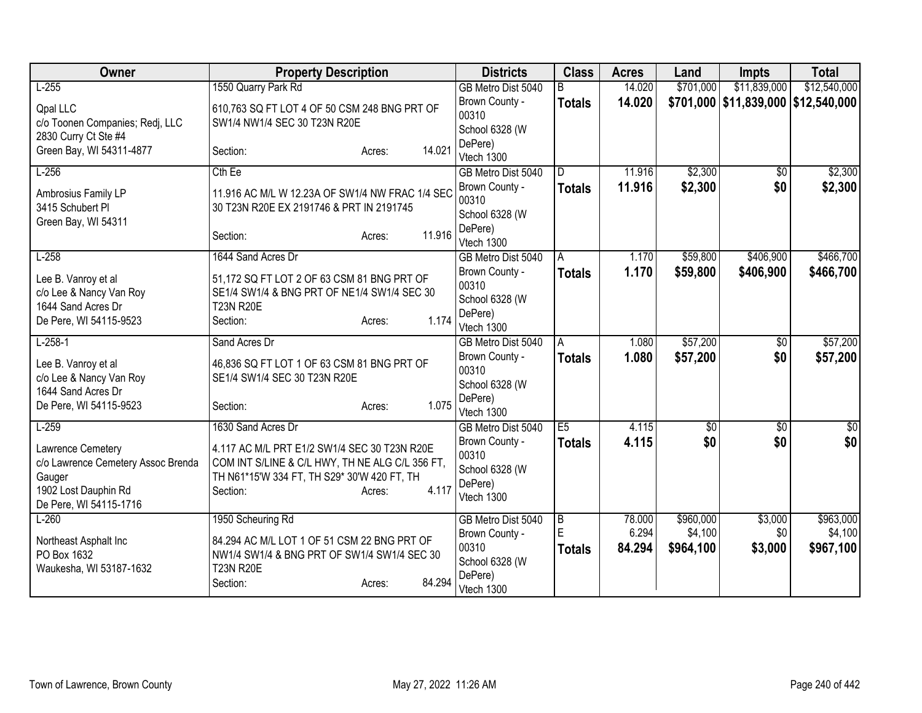| Owner                                                                                                               | <b>Property Description</b>                                                                                                                                                   | <b>Districts</b>                                                   | <b>Class</b>       | <b>Acres</b>    | Land                 | <b>Impts</b>                            | <b>Total</b>           |
|---------------------------------------------------------------------------------------------------------------------|-------------------------------------------------------------------------------------------------------------------------------------------------------------------------------|--------------------------------------------------------------------|--------------------|-----------------|----------------------|-----------------------------------------|------------------------|
| $L-255$                                                                                                             | 1550 Quarry Park Rd                                                                                                                                                           | GB Metro Dist 5040                                                 | R                  | 14.020          | \$701,000            | \$11,839,000                            | \$12,540,000           |
| <b>Qpal LLC</b><br>c/o Toonen Companies; Redj, LLC                                                                  | 610,763 SQ FT LOT 4 OF 50 CSM 248 BNG PRT OF<br>SW1/4 NW1/4 SEC 30 T23N R20E                                                                                                  | Brown County -<br>00310                                            | <b>Totals</b>      | 14.020          |                      | \$701,000   \$11,839,000   \$12,540,000 |                        |
| 2830 Curry Ct Ste #4<br>Green Bay, WI 54311-4877                                                                    | 14.021<br>Section:<br>Acres:                                                                                                                                                  | School 6328 (W<br>DePere)<br>Vtech 1300                            |                    |                 |                      |                                         |                        |
| $L-256$                                                                                                             | $Cth$ Ee                                                                                                                                                                      | GB Metro Dist 5040                                                 | D                  | 11.916          | \$2,300              | \$0                                     | \$2,300                |
| Ambrosius Family LP<br>3415 Schubert PI<br>Green Bay, WI 54311                                                      | 11.916 AC M/L W 12.23A OF SW1/4 NW FRAC 1/4 SEC<br>30 T23N R20E EX 2191746 & PRT IN 2191745                                                                                   | Brown County -<br>00310<br>School 6328 (W<br>DePere)               | <b>Totals</b>      | 11.916          | \$2,300              | \$0                                     | \$2,300                |
|                                                                                                                     | 11.916<br>Section:<br>Acres:                                                                                                                                                  | Vtech 1300                                                         |                    |                 |                      |                                         |                        |
| $L-258$<br>Lee B. Vanroy et al                                                                                      | 1644 Sand Acres Dr<br>51,172 SQ FT LOT 2 OF 63 CSM 81 BNG PRT OF                                                                                                              | GB Metro Dist 5040<br>Brown County -                               | A<br><b>Totals</b> | 1.170<br>1.170  | \$59,800<br>\$59,800 | \$406,900<br>\$406,900                  | \$466,700<br>\$466,700 |
| c/o Lee & Nancy Van Roy<br>1644 Sand Acres Dr<br>De Pere, WI 54115-9523                                             | SE1/4 SW1/4 & BNG PRT OF NE1/4 SW1/4 SEC 30<br><b>T23N R20E</b><br>1.174<br>Section:<br>Acres:                                                                                | 00310<br>School 6328 (W<br>DePere)<br>Vtech 1300                   |                    |                 |                      |                                         |                        |
| $L-258-1$                                                                                                           | Sand Acres Dr                                                                                                                                                                 | GB Metro Dist 5040                                                 | A                  | 1.080           | \$57,200             | \$0                                     | \$57,200               |
| Lee B. Vanroy et al<br>c/o Lee & Nancy Van Roy<br>1644 Sand Acres Dr<br>De Pere, WI 54115-9523                      | 46,836 SQ FT LOT 1 OF 63 CSM 81 BNG PRT OF<br>SE1/4 SW1/4 SEC 30 T23N R20E<br>1.075<br>Section:<br>Acres:                                                                     | Brown County -<br>00310<br>School 6328 (W<br>DePere)<br>Vtech 1300 | <b>Totals</b>      | 1.080           | \$57,200             | \$0                                     | \$57,200               |
| $L-259$                                                                                                             | 1630 Sand Acres Dr                                                                                                                                                            | GB Metro Dist 5040                                                 | E5                 | 4.115           | $\overline{50}$      | $\overline{50}$                         | $\overline{50}$        |
| Lawrence Cemetery<br>c/o Lawrence Cemetery Assoc Brenda<br>Gauger<br>1902 Lost Dauphin Rd<br>De Pere, WI 54115-1716 | 4.117 AC M/L PRT E1/2 SW1/4 SEC 30 T23N R20E<br>COM INT S/LINE & C/L HWY, TH NE ALG C/L 356 FT,<br>TH N61*15'W 334 FT, TH S29* 30'W 420 FT, TH<br>4.117<br>Section:<br>Acres: | Brown County -<br>00310<br>School 6328 (W<br>DePere)<br>Vtech 1300 | <b>Totals</b>      | 4.115           | \$0                  | \$0                                     | \$0                    |
| $L-260$                                                                                                             | 1950 Scheuring Rd                                                                                                                                                             | GB Metro Dist 5040                                                 | $\overline{B}$     | 78.000          | \$960,000            | \$3,000                                 | \$963,000              |
| Northeast Asphalt Inc<br>PO Box 1632<br>Waukesha, WI 53187-1632                                                     | 84.294 AC M/L LOT 1 OF 51 CSM 22 BNG PRT OF<br>NW1/4 SW1/4 & BNG PRT OF SW1/4 SW1/4 SEC 30<br><b>T23N R20E</b><br>84.294<br>Section:<br>Acres:                                | Brown County -<br>00310<br>School 6328 (W<br>DePere)<br>Vtech 1300 | E<br><b>Totals</b> | 6.294<br>84.294 | \$4,100<br>\$964,100 | \$0<br>\$3,000                          | \$4,100<br>\$967,100   |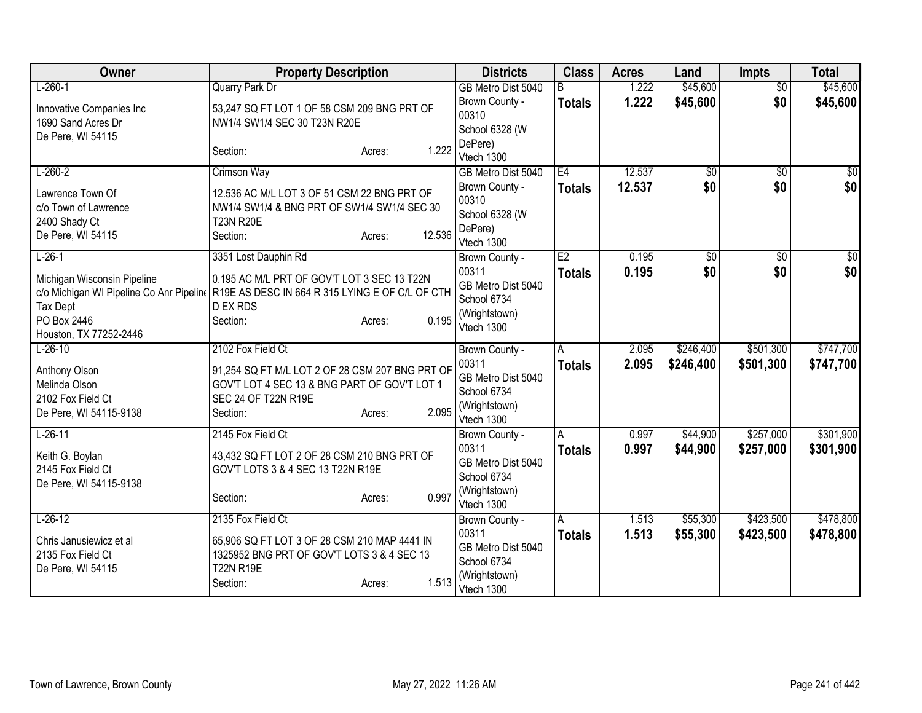| Owner                                                                                                                                           | <b>Property Description</b>                                                                                                                                                | <b>Districts</b>                                                                            | <b>Class</b>        | <b>Acres</b>   | Land                   | <b>Impts</b>           | <b>Total</b>           |
|-------------------------------------------------------------------------------------------------------------------------------------------------|----------------------------------------------------------------------------------------------------------------------------------------------------------------------------|---------------------------------------------------------------------------------------------|---------------------|----------------|------------------------|------------------------|------------------------|
| $L-260-1$                                                                                                                                       | <b>Quarry Park Dr</b>                                                                                                                                                      | GB Metro Dist 5040                                                                          | R                   | 1.222          | \$45,600               | $\overline{50}$        | \$45,600               |
| Innovative Companies Inc<br>1690 Sand Acres Dr<br>De Pere, WI 54115                                                                             | 53,247 SQ FT LOT 1 OF 58 CSM 209 BNG PRT OF<br>NW1/4 SW1/4 SEC 30 T23N R20E                                                                                                | Brown County -<br>00310<br>School 6328 (W                                                   | <b>Totals</b>       | 1.222          | \$45,600               | \$0                    | \$45,600               |
|                                                                                                                                                 | 1.222<br>Section:<br>Acres:                                                                                                                                                | DePere)<br>Vtech 1300                                                                       |                     |                |                        |                        |                        |
| $L-260-2$                                                                                                                                       | <b>Crimson Way</b>                                                                                                                                                         | GB Metro Dist 5040                                                                          | E4                  | 12.537         | \$0                    | \$0                    | $\overline{50}$        |
| Lawrence Town Of<br>c/o Town of Lawrence<br>2400 Shady Ct<br>De Pere, WI 54115                                                                  | 12.536 AC M/L LOT 3 OF 51 CSM 22 BNG PRT OF<br>NW1/4 SW1/4 & BNG PRT OF SW1/4 SW1/4 SEC 30<br><b>T23N R20E</b><br>12.536<br>Section:<br>Acres:                             | Brown County -<br>00310<br>School 6328 (W<br>DePere)<br>Vtech 1300                          | <b>Totals</b>       | 12.537         | \$0                    | \$0                    | \$0                    |
| $L-26-1$<br>Michigan Wisconsin Pipeline<br>c/o Michigan WI Pipeline Co Anr Pipeline<br><b>Tax Dept</b><br>PO Box 2446<br>Houston, TX 77252-2446 | 3351 Lost Dauphin Rd<br>0.195 AC M/L PRT OF GOV'T LOT 3 SEC 13 T22N<br>R19E AS DESC IN 664 R 315 LYING E OF C/L OF CTH<br><b>D EX RDS</b><br>0.195<br>Section:<br>Acres:   | Brown County -<br>00311<br>GB Metro Dist 5040<br>School 6734<br>(Wrightstown)<br>Vtech 1300 | E2<br><b>Totals</b> | 0.195<br>0.195 | \$0<br>\$0             | \$0<br>\$0             | \$0<br>\$0             |
| $L-26-10$<br>Anthony Olson<br>Melinda Olson<br>2102 Fox Field Ct<br>De Pere, WI 54115-9138                                                      | 2102 Fox Field Ct<br>91,254 SQ FT M/L LOT 2 OF 28 CSM 207 BNG PRT OF<br>GOV'T LOT 4 SEC 13 & BNG PART OF GOV'T LOT 1<br>SEC 24 OF T22N R19E<br>2.095<br>Section:<br>Acres: | Brown County -<br>00311<br>GB Metro Dist 5040<br>School 6734<br>(Wrightstown)<br>Vtech 1300 | A<br><b>Totals</b>  | 2.095<br>2.095 | \$246,400<br>\$246,400 | \$501,300<br>\$501,300 | \$747,700<br>\$747,700 |
| $L-26-11$<br>Keith G. Boylan<br>2145 Fox Field Ct<br>De Pere, WI 54115-9138                                                                     | 2145 Fox Field Ct<br>43,432 SQ FT LOT 2 OF 28 CSM 210 BNG PRT OF<br>GOV'T LOTS 3 & 4 SEC 13 T22N R19E<br>0.997<br>Section:<br>Acres:                                       | Brown County -<br>00311<br>GB Metro Dist 5040<br>School 6734<br>(Wrightstown)<br>Vtech 1300 | A<br><b>Totals</b>  | 0.997<br>0.997 | \$44,900<br>\$44,900   | \$257,000<br>\$257,000 | \$301,900<br>\$301,900 |
| $L-26-12$<br>Chris Janusiewicz et al<br>2135 Fox Field Ct<br>De Pere, WI 54115                                                                  | 2135 Fox Field Ct<br>65,906 SQ FT LOT 3 OF 28 CSM 210 MAP 4441 IN<br>1325952 BNG PRT OF GOV'T LOTS 3 & 4 SEC 13<br><b>T22N R19E</b><br>1.513<br>Section:<br>Acres:         | Brown County -<br>00311<br>GB Metro Dist 5040<br>School 6734<br>(Wrightstown)<br>Vtech 1300 | A<br><b>Totals</b>  | 1.513<br>1.513 | \$55,300<br>\$55,300   | \$423,500<br>\$423,500 | \$478,800<br>\$478,800 |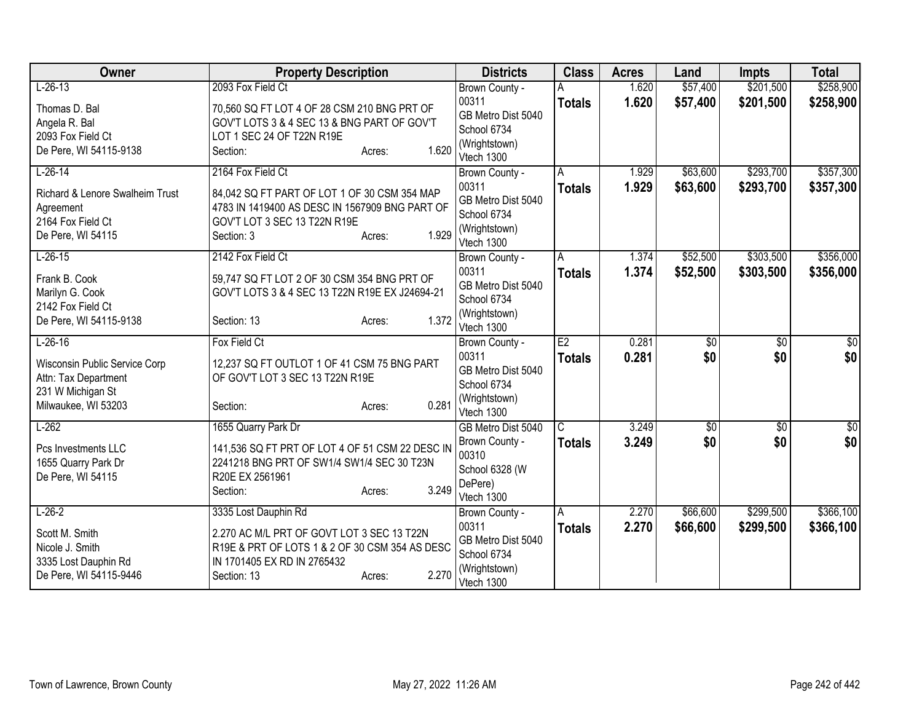| Owner                                      | <b>Property Description</b>                                                                   | <b>Districts</b>             | <b>Class</b>  | <b>Acres</b> | Land            | <b>Impts</b>    | <b>Total</b>     |
|--------------------------------------------|-----------------------------------------------------------------------------------------------|------------------------------|---------------|--------------|-----------------|-----------------|------------------|
| $L-26-13$                                  | 2093 Fox Field Ct                                                                             | Brown County -               |               | 1.620        | \$57,400        | \$201,500       | \$258,900        |
| Thomas D. Bal                              | 70,560 SQ FT LOT 4 OF 28 CSM 210 BNG PRT OF                                                   | 00311                        | <b>Totals</b> | 1.620        | \$57,400        | \$201,500       | \$258,900        |
| Angela R. Bal                              | GOV'T LOTS 3 & 4 SEC 13 & BNG PART OF GOV'T                                                   | GB Metro Dist 5040           |               |              |                 |                 |                  |
| 2093 Fox Field Ct                          | LOT 1 SEC 24 OF T22N R19E                                                                     | School 6734                  |               |              |                 |                 |                  |
| De Pere, WI 54115-9138                     | 1.620<br>Section:<br>Acres:                                                                   | (Wrightstown)<br>Vtech 1300  |               |              |                 |                 |                  |
| $L-26-14$                                  | 2164 Fox Field Ct                                                                             | Brown County -               | A             | 1.929        | \$63,600        | \$293,700       | \$357,300        |
| <b>Richard &amp; Lenore Swalheim Trust</b> | 84,042 SQ FT PART OF LOT 1 OF 30 CSM 354 MAP                                                  | 00311                        | <b>Totals</b> | 1.929        | \$63,600        | \$293,700       | \$357,300        |
| Agreement                                  | 4783 IN 1419400 AS DESC IN 1567909 BNG PART OF                                                | GB Metro Dist 5040           |               |              |                 |                 |                  |
| 2164 Fox Field Ct                          | GOV'T LOT 3 SEC 13 T22N R19E                                                                  | School 6734                  |               |              |                 |                 |                  |
| De Pere, WI 54115                          | 1.929<br>Section: 3<br>Acres:                                                                 | (Wrightstown)<br>Vtech 1300  |               |              |                 |                 |                  |
| $L-26-15$                                  | 2142 Fox Field Ct                                                                             | Brown County -               | A             | 1.374        | \$52,500        | \$303,500       | \$356,000        |
|                                            |                                                                                               | 00311                        | <b>Totals</b> | 1.374        | \$52,500        | \$303,500       | \$356,000        |
| Frank B. Cook                              | 59,747 SQ FT LOT 2 OF 30 CSM 354 BNG PRT OF<br>GOV'T LOTS 3 & 4 SEC 13 T22N R19E EX J24694-21 | GB Metro Dist 5040           |               |              |                 |                 |                  |
| Marilyn G. Cook<br>2142 Fox Field Ct       |                                                                                               | School 6734                  |               |              |                 |                 |                  |
| De Pere, WI 54115-9138                     | 1.372<br>Section: 13<br>Acres:                                                                | (Wrightstown)                |               |              |                 |                 |                  |
|                                            |                                                                                               | Vtech 1300                   |               |              |                 |                 |                  |
| $L-26-16$                                  | Fox Field Ct                                                                                  | Brown County -               | E2            | 0.281        | $\overline{60}$ | $\overline{50}$ | \$0              |
| Wisconsin Public Service Corp              | 12,237 SQ FT OUTLOT 1 OF 41 CSM 75 BNG PART                                                   | 00311                        | <b>Totals</b> | 0.281        | \$0             | \$0             | \$0              |
| Attn: Tax Department                       | OF GOV'T LOT 3 SEC 13 T22N R19E                                                               | GB Metro Dist 5040           |               |              |                 |                 |                  |
| 231 W Michigan St                          |                                                                                               | School 6734<br>(Wrightstown) |               |              |                 |                 |                  |
| Milwaukee, WI 53203                        | 0.281<br>Section:<br>Acres:                                                                   | Vtech 1300                   |               |              |                 |                 |                  |
| $L-262$                                    | 1655 Quarry Park Dr                                                                           | GB Metro Dist 5040           | C             | 3.249        | $\overline{50}$ | $\overline{60}$ | $\overline{\$0}$ |
| Pcs Investments LLC                        | 141,536 SQ FT PRT OF LOT 4 OF 51 CSM 22 DESC IN                                               | Brown County -               | <b>Totals</b> | 3.249        | \$0             | \$0             | \$0              |
| 1655 Quarry Park Dr                        | 2241218 BNG PRT OF SW1/4 SW1/4 SEC 30 T23N                                                    | 00310                        |               |              |                 |                 |                  |
| De Pere, WI 54115                          | R20E EX 2561961                                                                               | School 6328 (W               |               |              |                 |                 |                  |
|                                            | 3.249<br>Section:<br>Acres:                                                                   | DePere)                      |               |              |                 |                 |                  |
|                                            |                                                                                               | Vtech 1300                   |               |              |                 |                 |                  |
| $L-26-2$                                   | 3335 Lost Dauphin Rd                                                                          | Brown County -               | A             | 2.270        | \$66,600        | \$299,500       | \$366,100        |
| Scott M. Smith                             | 2.270 AC M/L PRT OF GOVT LOT 3 SEC 13 T22N                                                    | 00311<br>GB Metro Dist 5040  | <b>Totals</b> | 2.270        | \$66,600        | \$299,500       | \$366,100        |
| Nicole J. Smith                            | R19E & PRT OF LOTS 1 & 2 OF 30 CSM 354 AS DESC                                                | School 6734                  |               |              |                 |                 |                  |
| 3335 Lost Dauphin Rd                       | IN 1701405 EX RD IN 2765432                                                                   | (Wrightstown)                |               |              |                 |                 |                  |
| De Pere, WI 54115-9446                     | 2.270<br>Section: 13<br>Acres:                                                                | Vtech 1300                   |               |              |                 |                 |                  |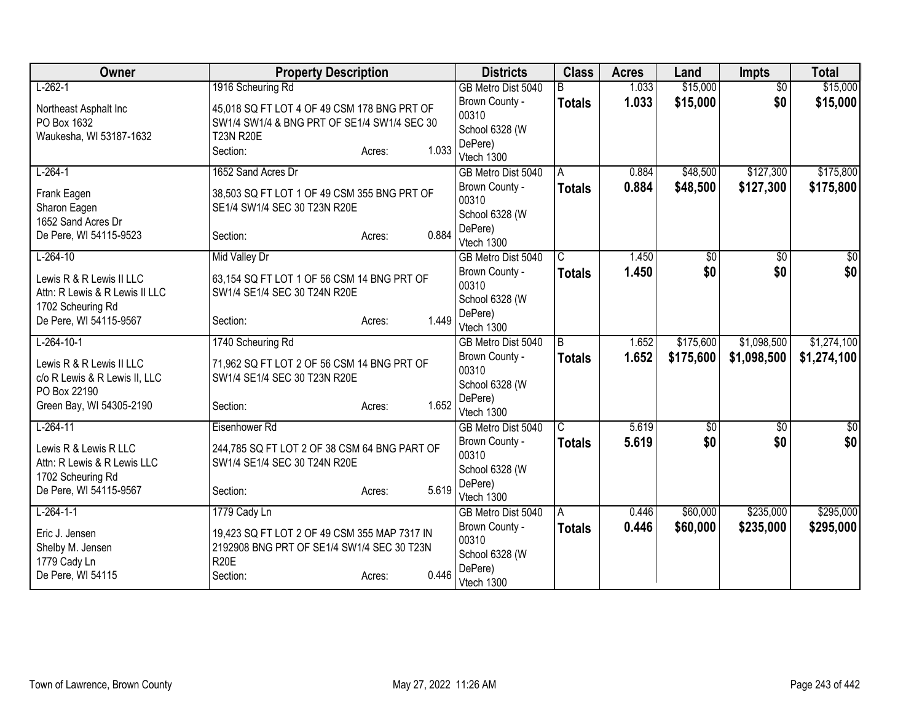| Owner                          | <b>Property Description</b>                  |                 | <b>Districts</b>                 | <b>Class</b>            | <b>Acres</b> | Land            | <b>Impts</b>    | <b>Total</b>    |
|--------------------------------|----------------------------------------------|-----------------|----------------------------------|-------------------------|--------------|-----------------|-----------------|-----------------|
| $L-262-1$                      | 1916 Scheuring Rd                            |                 | GB Metro Dist 5040               |                         | 1.033        | \$15,000        | $\overline{50}$ | \$15,000        |
| Northeast Asphalt Inc          | 45,018 SQ FT LOT 4 OF 49 CSM 178 BNG PRT OF  |                 | Brown County -                   | <b>Totals</b>           | 1.033        | \$15,000        | \$0             | \$15,000        |
| PO Box 1632                    | SW1/4 SW1/4 & BNG PRT OF SE1/4 SW1/4 SEC 30  |                 | 00310                            |                         |              |                 |                 |                 |
| Waukesha, WI 53187-1632        | <b>T23N R20E</b>                             |                 | School 6328 (W                   |                         |              |                 |                 |                 |
|                                | Section:                                     | 1.033<br>Acres: | DePere)<br>Vtech 1300            |                         |              |                 |                 |                 |
| $L-264-1$                      | 1652 Sand Acres Dr                           |                 | GB Metro Dist 5040               | A                       | 0.884        | \$48,500        | \$127,300       | \$175,800       |
|                                |                                              |                 | Brown County -                   | <b>Totals</b>           | 0.884        | \$48,500        | \$127,300       | \$175,800       |
| Frank Eagen                    | 38,503 SQ FT LOT 1 OF 49 CSM 355 BNG PRT OF  |                 | 00310                            |                         |              |                 |                 |                 |
| Sharon Eagen                   | SE1/4 SW1/4 SEC 30 T23N R20E                 |                 | School 6328 (W                   |                         |              |                 |                 |                 |
| 1652 Sand Acres Dr             |                                              |                 | DePere)                          |                         |              |                 |                 |                 |
| De Pere, WI 54115-9523         | Section:                                     | 0.884<br>Acres: | Vtech 1300                       |                         |              |                 |                 |                 |
| $L-264-10$                     | Mid Valley Dr                                |                 | GB Metro Dist 5040               | $\overline{\mathsf{C}}$ | 1.450        | \$0             | \$0             | \$0             |
| Lewis R & R Lewis II LLC       | 63,154 SQ FT LOT 1 OF 56 CSM 14 BNG PRT OF   |                 | Brown County -                   | <b>Totals</b>           | 1.450        | \$0             | \$0             | \$0             |
| Attn: R Lewis & R Lewis II LLC | SW1/4 SE1/4 SEC 30 T24N R20E                 |                 | 00310                            |                         |              |                 |                 |                 |
| 1702 Scheuring Rd              |                                              |                 | School 6328 (W                   |                         |              |                 |                 |                 |
| De Pere, WI 54115-9567         | Section:                                     | 1.449<br>Acres: | DePere)<br>Vtech 1300            |                         |              |                 |                 |                 |
| $L-264-10-1$                   | 1740 Scheuring Rd                            |                 | GB Metro Dist 5040               | B                       | 1.652        | \$175,600       | \$1,098,500     | \$1,274,100     |
|                                |                                              |                 | Brown County -                   |                         | 1.652        | \$175,600       | \$1,098,500     | \$1,274,100     |
| Lewis R & R Lewis II LLC       | 71,962 SQ FT LOT 2 OF 56 CSM 14 BNG PRT OF   |                 | 00310                            | <b>Totals</b>           |              |                 |                 |                 |
| c/o R Lewis & R Lewis II, LLC  | SW1/4 SE1/4 SEC 30 T23N R20E                 |                 | School 6328 (W                   |                         |              |                 |                 |                 |
| PO Box 22190                   |                                              |                 | DePere)                          |                         |              |                 |                 |                 |
| Green Bay, WI 54305-2190       | Section:                                     | 1.652<br>Acres: | Vtech 1300                       |                         |              |                 |                 |                 |
| $L-264-11$                     | Eisenhower Rd                                |                 | GB Metro Dist 5040               | $\overline{C}$          | 5.619        | $\overline{50}$ | $\overline{50}$ | $\overline{30}$ |
| Lewis R & Lewis R LLC          | 244,785 SQ FT LOT 2 OF 38 CSM 64 BNG PART OF |                 | Brown County -                   | <b>Totals</b>           | 5.619        | \$0             | \$0             | \$0             |
| Attn: R Lewis & R Lewis LLC    | SW1/4 SE1/4 SEC 30 T24N R20E                 |                 | 00310                            |                         |              |                 |                 |                 |
| 1702 Scheuring Rd              |                                              |                 | School 6328 (W                   |                         |              |                 |                 |                 |
| De Pere, WI 54115-9567         | Section:                                     | 5.619<br>Acres: | DePere)                          |                         |              |                 |                 |                 |
| $L-264-1-1$                    | 1779 Cady Ln                                 |                 | Vtech 1300<br>GB Metro Dist 5040 | A                       | 0.446        | \$60,000        | \$235,000       | \$295,000       |
|                                |                                              |                 | Brown County -                   | <b>Totals</b>           | 0.446        | \$60,000        | \$235,000       | \$295,000       |
| Eric J. Jensen                 | 19,423 SQ FT LOT 2 OF 49 CSM 355 MAP 7317 IN |                 | 00310                            |                         |              |                 |                 |                 |
| Shelby M. Jensen               | 2192908 BNG PRT OF SE1/4 SW1/4 SEC 30 T23N   |                 | School 6328 (W                   |                         |              |                 |                 |                 |
| 1779 Cady Ln                   | <b>R20E</b>                                  |                 | DePere)                          |                         |              |                 |                 |                 |
| De Pere, WI 54115              | Section:                                     | 0.446<br>Acres: | Vtech 1300                       |                         |              |                 |                 |                 |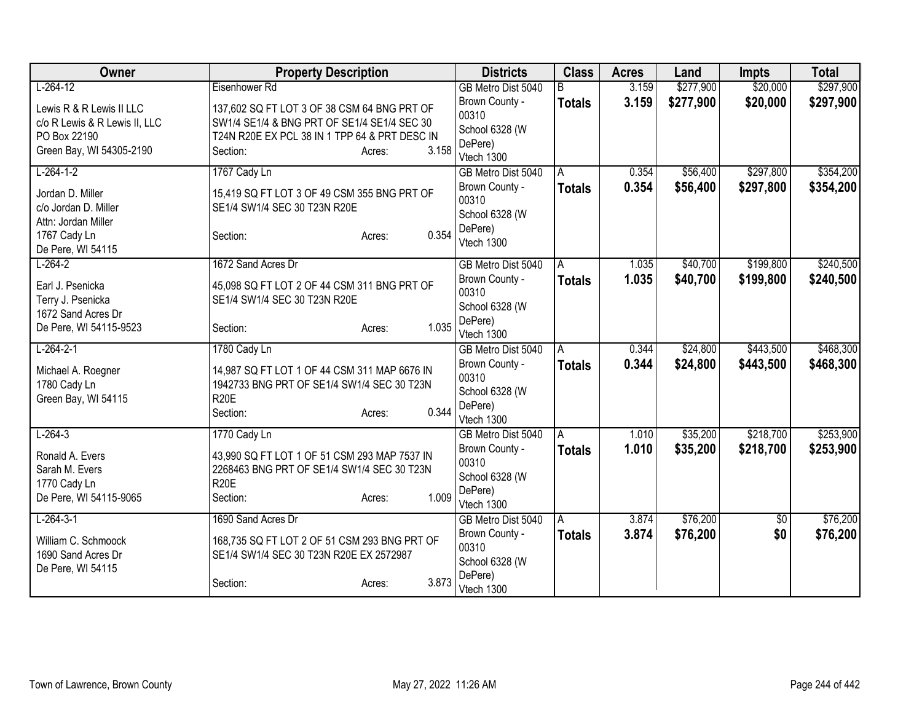| Owner                         | <b>Property Description</b>                   |                 | <b>Districts</b>                     | <b>Class</b>  | <b>Acres</b> | Land      | <b>Impts</b>    | <b>Total</b> |
|-------------------------------|-----------------------------------------------|-----------------|--------------------------------------|---------------|--------------|-----------|-----------------|--------------|
| $L-264-12$                    | Eisenhower Rd                                 |                 | GB Metro Dist 5040                   | B             | 3.159        | \$277,900 | \$20,000        | \$297,900    |
| Lewis R & R Lewis II LLC      | 137,602 SQ FT LOT 3 OF 38 CSM 64 BNG PRT OF   |                 | Brown County -<br>00310              | <b>Totals</b> | 3.159        | \$277,900 | \$20,000        | \$297,900    |
| c/o R Lewis & R Lewis II, LLC | SW1/4 SE1/4 & BNG PRT OF SE1/4 SE1/4 SEC 30   |                 | School 6328 (W                       |               |              |           |                 |              |
| PO Box 22190                  | T24N R20E EX PCL 38 IN 1 TPP 64 & PRT DESC IN |                 | DePere)                              |               |              |           |                 |              |
| Green Bay, WI 54305-2190      | Section:                                      | 3.158<br>Acres: | Vtech 1300                           |               |              |           |                 |              |
| $L-264-1-2$                   | 1767 Cady Ln                                  |                 | GB Metro Dist 5040                   | A             | 0.354        | \$56,400  | \$297,800       | \$354,200    |
| Jordan D. Miller              | 15,419 SQ FT LOT 3 OF 49 CSM 355 BNG PRT OF   |                 | Brown County -                       | <b>Totals</b> | 0.354        | \$56,400  | \$297,800       | \$354,200    |
| c/o Jordan D. Miller          | SE1/4 SW1/4 SEC 30 T23N R20E                  |                 | 00310                                |               |              |           |                 |              |
| Attn: Jordan Miller           |                                               |                 | School 6328 (W<br>DePere)            |               |              |           |                 |              |
| 1767 Cady Ln                  | Section:                                      | 0.354<br>Acres: | Vtech 1300                           |               |              |           |                 |              |
| De Pere, WI 54115             |                                               |                 |                                      |               |              |           |                 |              |
| $L-264-2$                     | 1672 Sand Acres Dr                            |                 | GB Metro Dist 5040                   | A             | 1.035        | \$40,700  | \$199,800       | \$240,500    |
| Earl J. Psenicka              | 45,098 SQ FT LOT 2 OF 44 CSM 311 BNG PRT OF   |                 | Brown County -                       | <b>Totals</b> | 1.035        | \$40,700  | \$199,800       | \$240,500    |
| Terry J. Psenicka             | SE1/4 SW1/4 SEC 30 T23N R20E                  |                 | 00310                                |               |              |           |                 |              |
| 1672 Sand Acres Dr            |                                               |                 | School 6328 (W                       |               |              |           |                 |              |
| De Pere, WI 54115-9523        | Section:                                      | 1.035<br>Acres: | DePere)                              |               |              |           |                 |              |
| $L-264-2-1$                   | 1780 Cady Ln                                  |                 | Vtech 1300                           |               | 0.344        | \$24,800  | \$443,500       | \$468,300    |
|                               |                                               |                 | GB Metro Dist 5040<br>Brown County - | A             | 0.344        |           |                 |              |
| Michael A. Roegner            | 14,987 SQ FT LOT 1 OF 44 CSM 311 MAP 6676 IN  |                 | 00310                                | <b>Totals</b> |              | \$24,800  | \$443,500       | \$468,300    |
| 1780 Cady Ln                  | 1942733 BNG PRT OF SE1/4 SW1/4 SEC 30 T23N    |                 | School 6328 (W                       |               |              |           |                 |              |
| Green Bay, WI 54115           | <b>R20E</b>                                   |                 | DePere)                              |               |              |           |                 |              |
|                               | Section:                                      | 0.344<br>Acres: | Vtech 1300                           |               |              |           |                 |              |
| $L-264-3$                     | 1770 Cady Ln                                  |                 | GB Metro Dist 5040                   | A             | 1.010        | \$35,200  | \$218,700       | \$253,900    |
| Ronald A. Evers               | 43,990 SQ FT LOT 1 OF 51 CSM 293 MAP 7537 IN  |                 | Brown County -                       | <b>Totals</b> | 1.010        | \$35,200  | \$218,700       | \$253,900    |
| Sarah M. Evers                | 2268463 BNG PRT OF SE1/4 SW1/4 SEC 30 T23N    |                 | 00310                                |               |              |           |                 |              |
| 1770 Cady Ln                  | <b>R20E</b>                                   |                 | School 6328 (W                       |               |              |           |                 |              |
| De Pere, WI 54115-9065        | Section:                                      | 1.009<br>Acres: | DePere)                              |               |              |           |                 |              |
|                               |                                               |                 | Vtech 1300                           |               |              |           |                 |              |
| $L-264-3-1$                   | 1690 Sand Acres Dr                            |                 | GB Metro Dist 5040                   | A             | 3.874        | \$76,200  | $\overline{50}$ | \$76,200     |
| William C. Schmoock           | 168,735 SQ FT LOT 2 OF 51 CSM 293 BNG PRT OF  |                 | Brown County -                       | <b>Totals</b> | 3.874        | \$76,200  | \$0             | \$76,200     |
| 1690 Sand Acres Dr            | SE1/4 SW1/4 SEC 30 T23N R20E EX 2572987       |                 | 00310                                |               |              |           |                 |              |
| De Pere, WI 54115             |                                               |                 | School 6328 (W                       |               |              |           |                 |              |
|                               | Section:                                      | 3.873<br>Acres: | DePere)<br>Vtech 1300                |               |              |           |                 |              |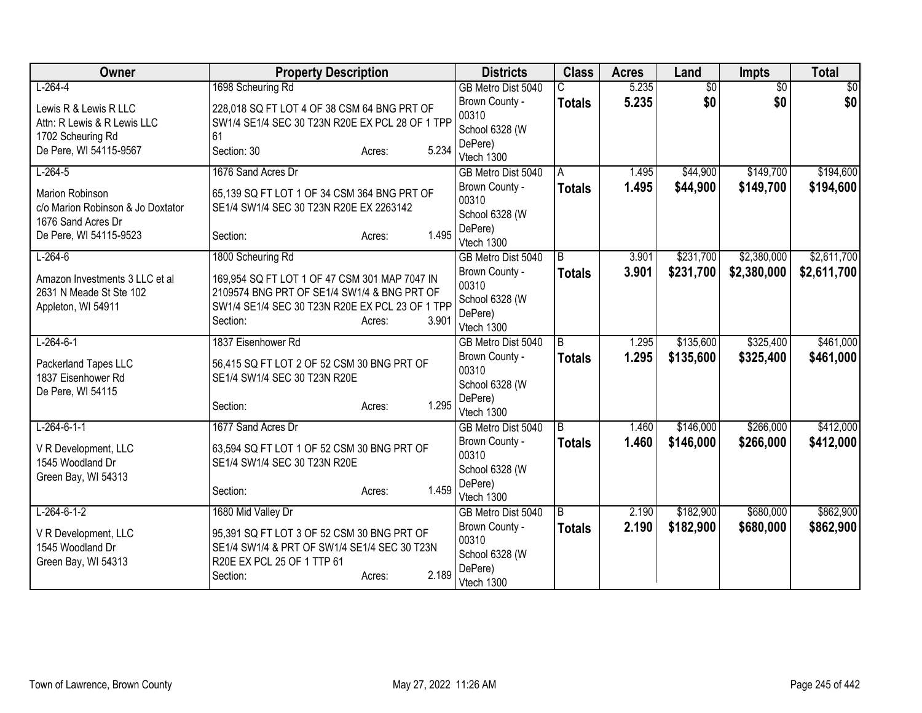| Owner                                                           | <b>Property Description</b>                                                                                              | <b>Districts</b>                                     | <b>Class</b>   | <b>Acres</b> | Land            | <b>Impts</b>    | <b>Total</b> |
|-----------------------------------------------------------------|--------------------------------------------------------------------------------------------------------------------------|------------------------------------------------------|----------------|--------------|-----------------|-----------------|--------------|
| $L-264-4$                                                       | 1698 Scheuring Rd                                                                                                        | GB Metro Dist 5040                                   |                | 5.235        | $\overline{50}$ | $\overline{30}$ | \$0          |
| Lewis R & Lewis R LLC<br>Attn: R Lewis & R Lewis LLC            | 228,018 SQ FT LOT 4 OF 38 CSM 64 BNG PRT OF<br>SW1/4 SE1/4 SEC 30 T23N R20E EX PCL 28 OF 1 TPP                           | Brown County -<br>00310                              | <b>Totals</b>  | 5.235        | \$0             | \$0             | \$0          |
| 1702 Scheuring Rd                                               | 61                                                                                                                       | School 6328 (W                                       |                |              |                 |                 |              |
| De Pere, WI 54115-9567                                          | 5.234<br>Section: 30<br>Acres:                                                                                           | DePere)<br>Vtech 1300                                |                |              |                 |                 |              |
| $L-264-5$                                                       | 1676 Sand Acres Dr                                                                                                       | GB Metro Dist 5040                                   | A              | 1.495        | \$44,900        | \$149,700       | \$194,600    |
| Marion Robinson<br>c/o Marion Robinson & Jo Doxtator            | 65,139 SQ FT LOT 1 OF 34 CSM 364 BNG PRT OF<br>SE1/4 SW1/4 SEC 30 T23N R20E EX 2263142                                   | Brown County -<br>00310                              | <b>Totals</b>  | 1.495        | \$44,900        | \$149,700       | \$194,600    |
| 1676 Sand Acres Dr<br>De Pere, WI 54115-9523                    | 1.495<br>Section:<br>Acres:                                                                                              | School 6328 (W<br>DePere)<br>Vtech 1300              |                |              |                 |                 |              |
| $L-264-6$                                                       | 1800 Scheuring Rd                                                                                                        | GB Metro Dist 5040                                   | $\overline{B}$ | 3.901        | \$231,700       | \$2,380,000     | \$2,611,700  |
| Amazon Investments 3 LLC et al<br>2631 N Meade St Ste 102       | 169,954 SQ FT LOT 1 OF 47 CSM 301 MAP 7047 IN<br>2109574 BNG PRT OF SE1/4 SW1/4 & BNG PRT OF                             | Brown County -<br>00310                              | <b>Totals</b>  | 3.901        | \$231,700       | \$2,380,000     | \$2,611,700  |
| Appleton, WI 54911                                              | SW1/4 SE1/4 SEC 30 T23N R20E EX PCL 23 OF 1 TPP<br>3.901<br>Section:<br>Acres:                                           | School 6328 (W<br>DePere)<br>Vtech 1300              |                |              |                 |                 |              |
| $L-264-6-1$                                                     | 1837 Eisenhower Rd                                                                                                       | GB Metro Dist 5040                                   | B              | 1.295        | \$135,600       | \$325,400       | \$461,000    |
| Packerland Tapes LLC<br>1837 Eisenhower Rd<br>De Pere, WI 54115 | 56,415 SQ FT LOT 2 OF 52 CSM 30 BNG PRT OF<br>SE1/4 SW1/4 SEC 30 T23N R20E                                               | Brown County -<br>00310<br>School 6328 (W            | <b>Totals</b>  | 1.295        | \$135,600       | \$325,400       | \$461,000    |
|                                                                 | 1.295<br>Section:<br>Acres:                                                                                              | DePere)<br>Vtech 1300                                |                |              |                 |                 |              |
| $L-264-6-1-1$                                                   | 1677 Sand Acres Dr                                                                                                       | GB Metro Dist 5040                                   | $\overline{B}$ | 1.460        | \$146,000       | \$266,000       | \$412,000    |
| V R Development, LLC<br>1545 Woodland Dr<br>Green Bay, WI 54313 | 63,594 SQ FT LOT 1 OF 52 CSM 30 BNG PRT OF<br>SE1/4 SW1/4 SEC 30 T23N R20E                                               | Brown County -<br>00310<br>School 6328 (W            | <b>Totals</b>  | 1.460        | \$146,000       | \$266,000       | \$412,000    |
|                                                                 | 1.459<br>Section:<br>Acres:                                                                                              | DePere)<br>Vtech 1300                                |                |              |                 |                 |              |
| $L-264-6-1-2$                                                   | 1680 Mid Valley Dr                                                                                                       | GB Metro Dist 5040                                   | B              | 2.190        | \$182,900       | \$680,000       | \$862,900    |
| V R Development, LLC<br>1545 Woodland Dr<br>Green Bay, WI 54313 | 95,391 SQ FT LOT 3 OF 52 CSM 30 BNG PRT OF<br>SE1/4 SW1/4 & PRT OF SW1/4 SE1/4 SEC 30 T23N<br>R20E EX PCL 25 OF 1 TTP 61 | Brown County -<br>00310<br>School 6328 (W<br>DePere) | <b>Totals</b>  | 2.190        | \$182,900       | \$680,000       | \$862,900    |
|                                                                 | 2.189<br>Section:<br>Acres:                                                                                              | Vtech 1300                                           |                |              |                 |                 |              |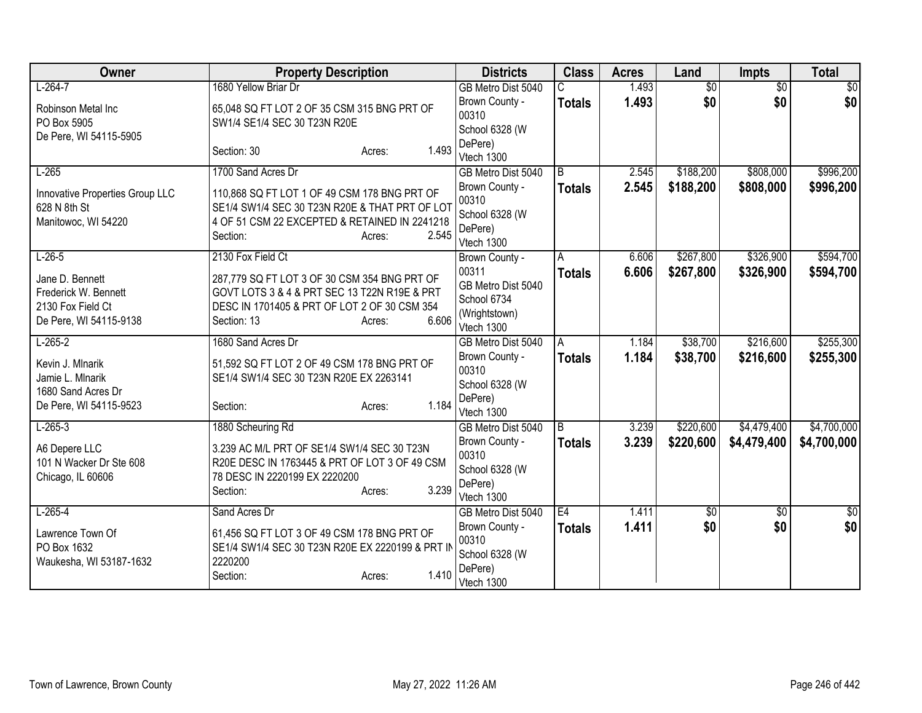| Owner                                                                                  | <b>Property Description</b>                                                                                                                                                    | <b>Districts</b>                                                          | <b>Class</b>   | <b>Acres</b> | Land            | <b>Impts</b>    | <b>Total</b> |
|----------------------------------------------------------------------------------------|--------------------------------------------------------------------------------------------------------------------------------------------------------------------------------|---------------------------------------------------------------------------|----------------|--------------|-----------------|-----------------|--------------|
| $L-264-7$                                                                              | 1680 Yellow Briar Dr                                                                                                                                                           | GB Metro Dist 5040                                                        |                | 1.493        | $\overline{60}$ | $\overline{30}$ | \$0          |
| Robinson Metal Inc<br>PO Box 5905<br>De Pere, WI 54115-5905                            | 65,048 SQ FT LOT 2 OF 35 CSM 315 BNG PRT OF<br>SW1/4 SE1/4 SEC 30 T23N R20E                                                                                                    | Brown County -<br>00310<br>School 6328 (W                                 | <b>Totals</b>  | 1.493        | \$0             | \$0             | \$0          |
|                                                                                        | 1.493<br>Section: 30<br>Acres:                                                                                                                                                 | DePere)<br>Vtech 1300                                                     |                |              |                 |                 |              |
| $L-265$                                                                                | 1700 Sand Acres Dr                                                                                                                                                             | GB Metro Dist 5040                                                        | $\overline{B}$ | 2.545        | \$188,200       | \$808,000       | \$996,200    |
| Innovative Properties Group LLC<br>628 N 8th St<br>Manitowoc, WI 54220                 | 110,868 SQ FT LOT 1 OF 49 CSM 178 BNG PRT OF<br>SE1/4 SW1/4 SEC 30 T23N R20E & THAT PRT OF LOT<br>4 OF 51 CSM 22 EXCEPTED & RETAINED IN 2241218<br>2.545<br>Section:<br>Acres: | Brown County -<br>00310<br>School 6328 (W<br>DePere)<br>Vtech 1300        | <b>Totals</b>  | 2.545        | \$188,200       | \$808,000       | \$996,200    |
| $L-26-5$                                                                               | 2130 Fox Field Ct                                                                                                                                                              | Brown County -                                                            | A              | 6.606        | \$267,800       | \$326,900       | \$594,700    |
| Jane D. Bennett<br>Frederick W. Bennett<br>2130 Fox Field Ct<br>De Pere, WI 54115-9138 | 287,779 SQ FT LOT 3 OF 30 CSM 354 BNG PRT OF<br>GOVT LOTS 3 & 4 & PRT SEC 13 T22N R19E & PRT<br>DESC IN 1701405 & PRT OF LOT 2 OF 30 CSM 354<br>6.606<br>Section: 13<br>Acres: | 00311<br>GB Metro Dist 5040<br>School 6734<br>(Wrightstown)<br>Vtech 1300 | <b>Totals</b>  | 6.606        | \$267,800       | \$326,900       | \$594,700    |
| $L-265-2$                                                                              | 1680 Sand Acres Dr                                                                                                                                                             | GB Metro Dist 5040                                                        | A              | 1.184        | \$38,700        | \$216,600       | \$255,300    |
| Kevin J. Mlnarik<br>Jamie L. Mlnarik<br>1680 Sand Acres Dr<br>De Pere, WI 54115-9523   | 51,592 SQ FT LOT 2 OF 49 CSM 178 BNG PRT OF<br>SE1/4 SW1/4 SEC 30 T23N R20E EX 2263141<br>1.184<br>Section:<br>Acres:                                                          | Brown County -<br>00310<br>School 6328 (W<br>DePere)<br>Vtech 1300        | <b>Totals</b>  | 1.184        | \$38,700        | \$216,600       | \$255,300    |
| $L-265-3$                                                                              | 1880 Scheuring Rd                                                                                                                                                              | GB Metro Dist 5040                                                        | B              | 3.239        | \$220,600       | \$4,479,400     | \$4,700,000  |
| A6 Depere LLC<br>101 N Wacker Dr Ste 608<br>Chicago, IL 60606                          | 3.239 AC M/L PRT OF SE1/4 SW1/4 SEC 30 T23N<br>R20E DESC IN 1763445 & PRT OF LOT 3 OF 49 CSM<br>78 DESC IN 2220199 EX 2220200<br>3.239<br>Section:<br>Acres:                   | Brown County -<br>00310<br>School 6328 (W<br>DePere)<br>Vtech 1300        | <b>Totals</b>  | 3.239        | \$220,600       | \$4,479,400     | \$4,700,000  |
| $L-265-4$                                                                              | Sand Acres Dr                                                                                                                                                                  | GB Metro Dist 5040                                                        | E4             | 1.411        | 30              | $\sqrt{$0}$     | $\sqrt{50}$  |
| Lawrence Town Of<br>PO Box 1632<br>Waukesha, WI 53187-1632                             | 61,456 SQ FT LOT 3 OF 49 CSM 178 BNG PRT OF<br>SE1/4 SW1/4 SEC 30 T23N R20E EX 2220199 & PRT IN<br>2220200<br>1.410<br>Section:<br>Acres:                                      | Brown County -<br>00310<br>School 6328 (W<br>DePere)<br>Vtech 1300        | <b>Totals</b>  | 1.411        | \$0             | \$0             | \$0          |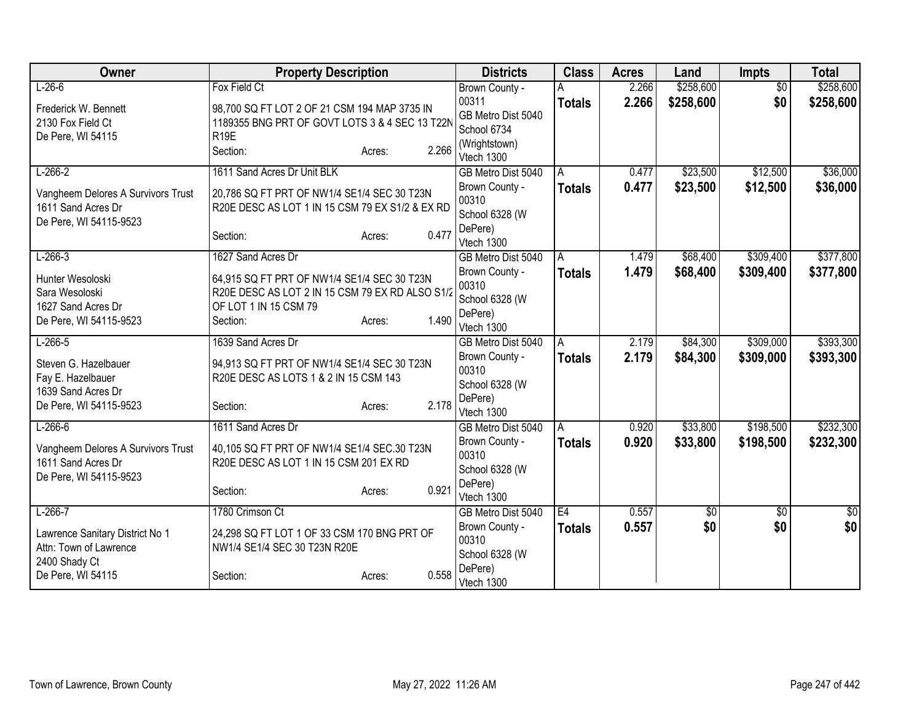| Owner                                                    | <b>Property Description</b>                                                           |                 | <b>Districts</b>            | <b>Class</b>  | <b>Acres</b> | Land      | <b>Impts</b>    | <b>Total</b>    |
|----------------------------------------------------------|---------------------------------------------------------------------------------------|-----------------|-----------------------------|---------------|--------------|-----------|-----------------|-----------------|
| $L-26-6$                                                 | Fox Field Ct                                                                          |                 | Brown County -              |               | 2.266        | \$258,600 | $\overline{50}$ | \$258,600       |
| Frederick W. Bennett                                     | 98,700 SQ FT LOT 2 OF 21 CSM 194 MAP 3735 IN                                          |                 | 00311                       | <b>Totals</b> | 2.266        | \$258,600 | \$0             | \$258,600       |
| 2130 Fox Field Ct                                        | 1189355 BNG PRT OF GOVT LOTS 3 & 4 SEC 13 T22N                                        |                 | GB Metro Dist 5040          |               |              |           |                 |                 |
| De Pere, WI 54115                                        | R <sub>19E</sub>                                                                      |                 | School 6734                 |               |              |           |                 |                 |
|                                                          | Section:                                                                              | 2.266<br>Acres: | (Wrightstown)<br>Vtech 1300 |               |              |           |                 |                 |
| $L-266-2$                                                | 1611 Sand Acres Dr Unit BLK                                                           |                 | GB Metro Dist 5040          | A             | 0.477        | \$23,500  | \$12,500        | \$36,000        |
|                                                          |                                                                                       |                 | Brown County -              |               | 0.477        | \$23,500  | \$12,500        | \$36,000        |
| Vangheem Delores A Survivors Trust                       | 20,786 SQ FT PRT OF NW1/4 SE1/4 SEC 30 T23N                                           |                 | 00310                       | <b>Totals</b> |              |           |                 |                 |
| 1611 Sand Acres Dr                                       | R20E DESC AS LOT 1 IN 15 CSM 79 EX S1/2 & EX RD                                       |                 | School 6328 (W              |               |              |           |                 |                 |
| De Pere, WI 54115-9523                                   |                                                                                       |                 | DePere)                     |               |              |           |                 |                 |
|                                                          | Section:                                                                              | 0.477<br>Acres: | Vtech 1300                  |               |              |           |                 |                 |
| $L-266-3$                                                | 1627 Sand Acres Dr                                                                    |                 | GB Metro Dist 5040          | A             | 1.479        | \$68,400  | \$309,400       | \$377,800       |
| Hunter Wesoloski                                         | 64,915 SQ FT PRT OF NW1/4 SE1/4 SEC 30 T23N                                           |                 | Brown County -              | <b>Totals</b> | 1.479        | \$68,400  | \$309,400       | \$377,800       |
| Sara Wesoloski                                           | R20E DESC AS LOT 2 IN 15 CSM 79 EX RD ALSO S1/2                                       |                 | 00310                       |               |              |           |                 |                 |
| 1627 Sand Acres Dr                                       | OF LOT 1 IN 15 CSM 79                                                                 |                 | School 6328 (W              |               |              |           |                 |                 |
| De Pere, WI 54115-9523                                   | Section:                                                                              | 1.490<br>Acres: | DePere)                     |               |              |           |                 |                 |
|                                                          |                                                                                       |                 | Vtech 1300                  |               |              |           |                 |                 |
| $L-266-5$                                                | 1639 Sand Acres Dr                                                                    |                 | GB Metro Dist 5040          | A             | 2.179        | \$84,300  | \$309,000       | \$393,300       |
| Steven G. Hazelbauer                                     | 94,913 SQ FT PRT OF NW1/4 SE1/4 SEC 30 T23N                                           |                 | Brown County -<br>00310     | <b>Totals</b> | 2.179        | \$84,300  | \$309,000       | \$393,300       |
| Fay E. Hazelbauer                                        | R20E DESC AS LOTS 1 & 2 IN 15 CSM 143                                                 |                 | School 6328 (W              |               |              |           |                 |                 |
| 1639 Sand Acres Dr                                       |                                                                                       |                 | DePere)                     |               |              |           |                 |                 |
| De Pere, WI 54115-9523                                   | Section:                                                                              | 2.178<br>Acres: | Vtech 1300                  |               |              |           |                 |                 |
| $L-266-6$                                                | 1611 Sand Acres Dr                                                                    |                 | GB Metro Dist 5040          | A             | 0.920        | \$33,800  | \$198,500       | \$232,300       |
|                                                          |                                                                                       |                 | Brown County -              | <b>Totals</b> | 0.920        | \$33,800  | \$198,500       | \$232,300       |
| Vangheem Delores A Survivors Trust<br>1611 Sand Acres Dr | 40,105 SQ FT PRT OF NW1/4 SE1/4 SEC.30 T23N<br>R20E DESC AS LOT 1 IN 15 CSM 201 EX RD |                 | 00310                       |               |              |           |                 |                 |
| De Pere, WI 54115-9523                                   |                                                                                       |                 | School 6328 (W              |               |              |           |                 |                 |
|                                                          | Section:                                                                              | 0.921<br>Acres: | DePere)                     |               |              |           |                 |                 |
|                                                          |                                                                                       |                 | Vtech 1300                  |               |              |           |                 |                 |
| $L-266-7$                                                | 1780 Crimson Ct                                                                       |                 | GB Metro Dist 5040          | E4            | 0.557        | \$0       | \$0             | $\overline{50}$ |
| Lawrence Sanitary District No 1                          | 24,298 SQ FT LOT 1 OF 33 CSM 170 BNG PRT OF                                           |                 | Brown County -              | <b>Totals</b> | 0.557        | \$0       | \$0             | \$0             |
| Attn: Town of Lawrence                                   | NW1/4 SE1/4 SEC 30 T23N R20E                                                          |                 | 00310                       |               |              |           |                 |                 |
| 2400 Shady Ct                                            |                                                                                       |                 | School 6328 (W<br>DePere)   |               |              |           |                 |                 |
| De Pere, WI 54115                                        | Section:                                                                              | 0.558<br>Acres: | Vtech 1300                  |               |              |           |                 |                 |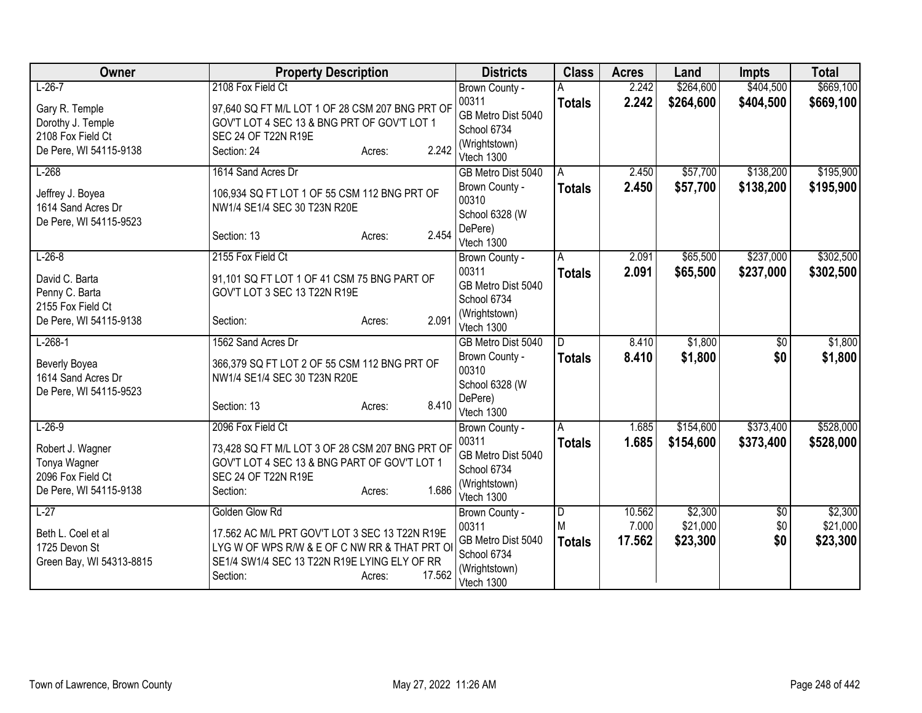| Owner                                        | <b>Property Description</b>                                                  | <b>Districts</b>            | <b>Class</b>  | <b>Acres</b> | Land      | <b>Impts</b>  | <b>Total</b> |
|----------------------------------------------|------------------------------------------------------------------------------|-----------------------------|---------------|--------------|-----------|---------------|--------------|
| $L-26-7$                                     | 2108 Fox Field Ct                                                            | Brown County -              |               | 2.242        | \$264,600 | \$404,500     | \$669,100    |
| Gary R. Temple                               | 97,640 SQ FT M/L LOT 1 OF 28 CSM 207 BNG PRT OF                              | 00311                       | <b>Totals</b> | 2.242        | \$264,600 | \$404,500     | \$669,100    |
| Dorothy J. Temple                            | GOV'T LOT 4 SEC 13 & BNG PRT OF GOV'T LOT 1                                  | GB Metro Dist 5040          |               |              |           |               |              |
| 2108 Fox Field Ct                            | SEC 24 OF T22N R19E                                                          | School 6734                 |               |              |           |               |              |
| De Pere, WI 54115-9138                       | 2.242<br>Section: 24<br>Acres:                                               | (Wrightstown)<br>Vtech 1300 |               |              |           |               |              |
| $L-268$                                      | 1614 Sand Acres Dr                                                           | GB Metro Dist 5040          | A             | 2.450        | \$57,700  | \$138,200     | \$195,900    |
| Jeffrey J. Boyea                             | 106,934 SQ FT LOT 1 OF 55 CSM 112 BNG PRT OF                                 | Brown County -<br>00310     | <b>Totals</b> | 2.450        | \$57,700  | \$138,200     | \$195,900    |
| 1614 Sand Acres Dr<br>De Pere, WI 54115-9523 | NW1/4 SE1/4 SEC 30 T23N R20E                                                 | School 6328 (W              |               |              |           |               |              |
|                                              | 2.454<br>Section: 13<br>Acres:                                               | DePere)<br>Vtech 1300       |               |              |           |               |              |
| $L-26-8$                                     | 2155 Fox Field Ct                                                            | Brown County -              | A             | 2.091        | \$65,500  | \$237,000     | \$302,500    |
| David C. Barta                               | 91,101 SQ FT LOT 1 OF 41 CSM 75 BNG PART OF                                  | 00311                       | <b>Totals</b> | 2.091        | \$65,500  | \$237,000     | \$302,500    |
| Penny C. Barta                               | GOV'T LOT 3 SEC 13 T22N R19E                                                 | GB Metro Dist 5040          |               |              |           |               |              |
| 2155 Fox Field Ct                            |                                                                              | School 6734                 |               |              |           |               |              |
| De Pere, WI 54115-9138                       | 2.091<br>Section:<br>Acres:                                                  | (Wrightstown)<br>Vtech 1300 |               |              |           |               |              |
| $L-268-1$                                    | 1562 Sand Acres Dr                                                           | GB Metro Dist 5040          | D.            | 8.410        | \$1,800   | \$0           | \$1,800      |
| <b>Beverly Boyea</b><br>1614 Sand Acres Dr   | 366,379 SQ FT LOT 2 OF 55 CSM 112 BNG PRT OF<br>NW1/4 SE1/4 SEC 30 T23N R20E | Brown County -<br>00310     | <b>Totals</b> | 8.410        | \$1,800   | \$0           | \$1,800      |
| De Pere, WI 54115-9523                       |                                                                              | School 6328 (W              |               |              |           |               |              |
|                                              | 8.410<br>Section: 13<br>Acres:                                               | DePere)<br>Vtech 1300       |               |              |           |               |              |
| $L-26-9$                                     | 2096 Fox Field Ct                                                            | Brown County -              | A             | 1.685        | \$154,600 | \$373,400     | \$528,000    |
| Robert J. Wagner                             | 73,428 SQ FT M/L LOT 3 OF 28 CSM 207 BNG PRT OF                              | 00311                       | <b>Totals</b> | 1.685        | \$154,600 | \$373,400     | \$528,000    |
| Tonya Wagner                                 | GOV'T LOT 4 SEC 13 & BNG PART OF GOV'T LOT 1                                 | GB Metro Dist 5040          |               |              |           |               |              |
| 2096 Fox Field Ct                            | SEC 24 OF T22N R19E                                                          | School 6734                 |               |              |           |               |              |
| De Pere, WI 54115-9138                       | 1.686<br>Section:<br>Acres:                                                  | (Wrightstown)<br>Vtech 1300 |               |              |           |               |              |
| $L-27$                                       | Golden Glow Rd                                                               | Brown County -              | D             | 10.562       | \$2,300   | $\sqrt[6]{3}$ | \$2,300      |
| Beth L. Coel et al                           | 17.562 AC M/L PRT GOV'T LOT 3 SEC 13 T22N R19E                               | 00311                       | M             | 7.000        | \$21,000  | \$0           | \$21,000     |
| 1725 Devon St                                | LYG W OF WPS R/W & E OF C NW RR & THAT PRT OI                                | GB Metro Dist 5040          | <b>Totals</b> | 17.562       | \$23,300  | \$0           | \$23,300     |
| Green Bay, WI 54313-8815                     | SE1/4 SW1/4 SEC 13 T22N R19E LYING ELY OF RR                                 | School 6734                 |               |              |           |               |              |
|                                              | 17.562<br>Section:<br>Acres:                                                 | (Wrightstown)<br>Vtech 1300 |               |              |           |               |              |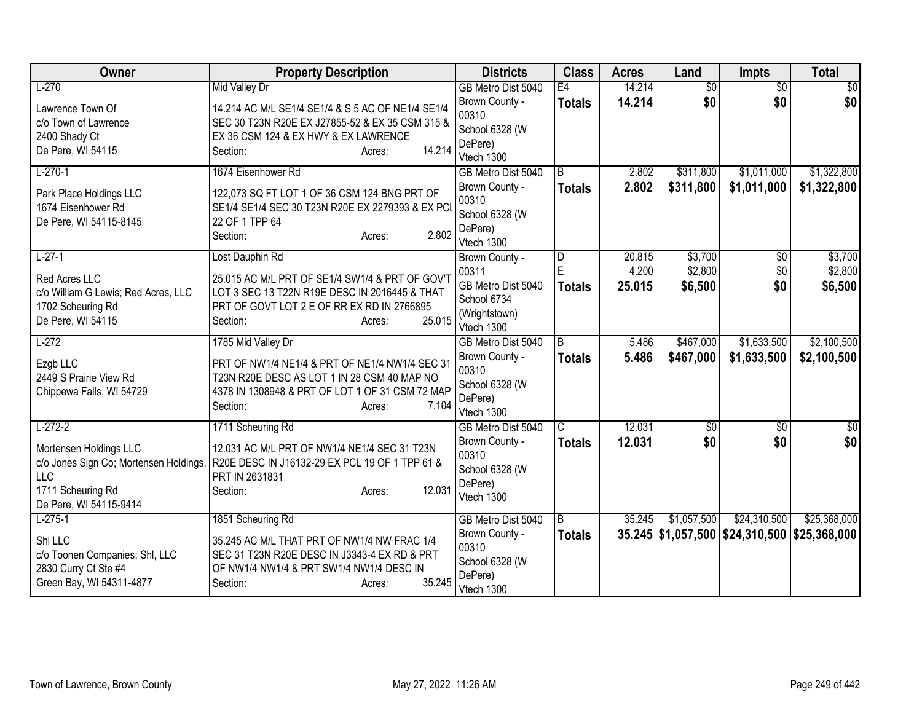| Owner                                                | <b>Property Description</b>                                      | <b>Districts</b>             | <b>Class</b>   | <b>Acres</b> | Land            | <b>Impts</b>                                 | <b>Total</b>     |
|------------------------------------------------------|------------------------------------------------------------------|------------------------------|----------------|--------------|-----------------|----------------------------------------------|------------------|
| $L-270$                                              | <b>Mid Valley Dr</b>                                             | GB Metro Dist 5040           | E4             | 14.214       | $\overline{50}$ | $\overline{50}$                              | $\overline{50}$  |
| Lawrence Town Of                                     | 14.214 AC M/L SE1/4 SE1/4 & S 5 AC OF NE1/4 SE1/4                | Brown County -               | <b>Totals</b>  | 14.214       | \$0             | \$0                                          | \$0              |
| c/o Town of Lawrence                                 | SEC 30 T23N R20E EX J27855-52 & EX 35 CSM 315 &                  | 00310                        |                |              |                 |                                              |                  |
| 2400 Shady Ct                                        | EX 36 CSM 124 & EX HWY & EX LAWRENCE                             | School 6328 (W<br>DePere)    |                |              |                 |                                              |                  |
| De Pere, WI 54115                                    | 14.214<br>Section:<br>Acres:                                     | Vtech 1300                   |                |              |                 |                                              |                  |
| $L-270-1$                                            | 1674 Eisenhower Rd                                               | GB Metro Dist 5040           | $\overline{B}$ | 2.802        | \$311,800       | \$1,011,000                                  | \$1,322,800      |
| Park Place Holdings LLC                              | 122,073 SQ FT LOT 1 OF 36 CSM 124 BNG PRT OF                     | Brown County -               | <b>Totals</b>  | 2.802        | \$311,800       | \$1,011,000                                  | \$1,322,800      |
| 1674 Eisenhower Rd                                   | SE1/4 SE1/4 SEC 30 T23N R20E EX 2279393 & EX PCI                 | 00310                        |                |              |                 |                                              |                  |
| De Pere, WI 54115-8145                               | 22 OF 1 TPP 64                                                   | School 6328 (W               |                |              |                 |                                              |                  |
|                                                      | 2.802<br>Section:<br>Acres:                                      | DePere)                      |                |              |                 |                                              |                  |
| $L-27-1$                                             | Lost Dauphin Rd                                                  | Vtech 1300<br>Brown County - | D              | 20.815       | \$3,700         | \$0                                          | \$3,700          |
|                                                      |                                                                  | 00311                        | E              | 4.200        | \$2,800         | \$0                                          | \$2,800          |
| Red Acres LLC                                        | 25.015 AC M/L PRT OF SE1/4 SW1/4 & PRT OF GOV'T                  | GB Metro Dist 5040           | <b>Totals</b>  | 25.015       | \$6,500         | \$0                                          | \$6,500          |
| c/o William G Lewis; Red Acres, LLC                  | LOT 3 SEC 13 T22N R19E DESC IN 2016445 & THAT                    | School 6734                  |                |              |                 |                                              |                  |
| 1702 Scheuring Rd                                    | PRT OF GOVT LOT 2 E OF RR EX RD IN 2766895                       | (Wrightstown)                |                |              |                 |                                              |                  |
| De Pere, WI 54115                                    | 25.015<br>Section:<br>Acres:                                     | Vtech 1300                   |                |              |                 |                                              |                  |
| $L-272$                                              | 1785 Mid Valley Dr                                               | GB Metro Dist 5040           | B              | 5.486        | \$467,000       | \$1,633,500                                  | \$2,100,500      |
| Ezgb LLC                                             | PRT OF NW1/4 NE1/4 & PRT OF NE1/4 NW1/4 SEC 31                   | Brown County -               | <b>Totals</b>  | 5.486        | \$467,000       | \$1,633,500                                  | \$2,100,500      |
| 2449 S Prairie View Rd                               | T23N R20E DESC AS LOT 1 IN 28 CSM 40 MAP NO                      | 00310                        |                |              |                 |                                              |                  |
| Chippewa Falls, WI 54729                             | 4378 IN 1308948 & PRT OF LOT 1 OF 31 CSM 72 MAP                  | School 6328 (W<br>DePere)    |                |              |                 |                                              |                  |
|                                                      | 7.104<br>Section:<br>Acres:                                      | Vtech 1300                   |                |              |                 |                                              |                  |
| $L-272-2$                                            | 1711 Scheuring Rd                                                | GB Metro Dist 5040           | C              | 12.031       | \$0             | \$0                                          | $\overline{\$0}$ |
|                                                      |                                                                  | Brown County -               | <b>Totals</b>  | 12.031       | \$0             | \$0                                          | \$0              |
| Mortensen Holdings LLC                               | 12.031 AC M/L PRT OF NW1/4 NE1/4 SEC 31 T23N                     | 00310                        |                |              |                 |                                              |                  |
| c/o Jones Sign Co; Mortensen Holdings,<br><b>LLC</b> | R20E DESC IN J16132-29 EX PCL 19 OF 1 TPP 61 &<br>PRT IN 2631831 | School 6328 (W               |                |              |                 |                                              |                  |
| 1711 Scheuring Rd                                    | 12.031<br>Section:<br>Acres:                                     | DePere)                      |                |              |                 |                                              |                  |
| De Pere, WI 54115-9414                               |                                                                  | Vtech 1300                   |                |              |                 |                                              |                  |
| $L-275-1$                                            | 1851 Scheuring Rd                                                | GB Metro Dist 5040           | B              | 35.245       | \$1,057,500     | \$24,310,500                                 | \$25,368,000     |
| Shi LLC                                              | 35.245 AC M/L THAT PRT OF NW1/4 NW FRAC 1/4                      | Brown County -               | <b>Totals</b>  |              |                 | 35.245 \$1,057,500 \$24,310,500 \$25,368,000 |                  |
| c/o Toonen Companies; Shl, LLC                       | SEC 31 T23N R20E DESC IN J3343-4 EX RD & PRT                     | 00310                        |                |              |                 |                                              |                  |
| 2830 Curry Ct Ste #4                                 | OF NW1/4 NW1/4 & PRT SW1/4 NW1/4 DESC IN                         | School 6328 (W               |                |              |                 |                                              |                  |
| Green Bay, WI 54311-4877                             | 35.245<br>Section:<br>Acres:                                     | DePere)                      |                |              |                 |                                              |                  |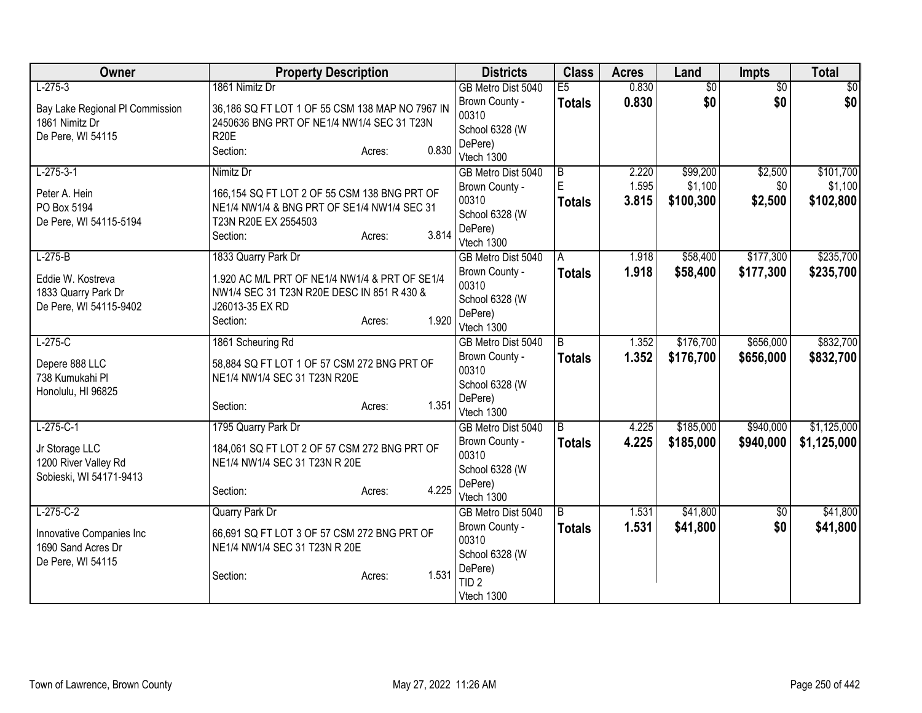| Owner                           | <b>Property Description</b>                                                                 | <b>Districts</b>          | <b>Class</b>   | <b>Acres</b> | Land            | <b>Impts</b>    | <b>Total</b> |
|---------------------------------|---------------------------------------------------------------------------------------------|---------------------------|----------------|--------------|-----------------|-----------------|--------------|
| $L-275-3$                       | 1861 Nimitz Dr                                                                              | GB Metro Dist 5040        | E5             | 0.830        | $\overline{50}$ | $\overline{50}$ | \$0          |
| Bay Lake Regional PI Commission | 36,186 SQ FT LOT 1 OF 55 CSM 138 MAP NO 7967 IN                                             | Brown County -            | <b>Totals</b>  | 0.830        | \$0             | \$0             | \$0          |
| 1861 Nimitz Dr                  | 2450636 BNG PRT OF NE1/4 NW1/4 SEC 31 T23N                                                  | 00310                     |                |              |                 |                 |              |
| De Pere, WI 54115               | <b>R20E</b>                                                                                 | School 6328 (W<br>DePere) |                |              |                 |                 |              |
|                                 | 0.830<br>Section:<br>Acres:                                                                 | Vtech 1300                |                |              |                 |                 |              |
| $L-275-3-1$                     | Nimitz Dr                                                                                   | GB Metro Dist 5040        | $\overline{B}$ | 2.220        | \$99,200        | \$2,500         | \$101,700    |
|                                 |                                                                                             | Brown County -            | E              | 1.595        | \$1,100         | \$0             | \$1,100      |
| Peter A. Hein<br>PO Box 5194    | 166,154 SQ FT LOT 2 OF 55 CSM 138 BNG PRT OF<br>NE1/4 NW1/4 & BNG PRT OF SE1/4 NW1/4 SEC 31 | 00310                     | <b>Totals</b>  | 3.815        | \$100,300       | \$2,500         | \$102,800    |
| De Pere, WI 54115-5194          | T23N R20E EX 2554503                                                                        | School 6328 (W            |                |              |                 |                 |              |
|                                 | 3.814<br>Section:<br>Acres:                                                                 | DePere)                   |                |              |                 |                 |              |
|                                 |                                                                                             | Vtech 1300                |                |              |                 |                 |              |
| $L-275-B$                       | 1833 Quarry Park Dr                                                                         | GB Metro Dist 5040        | A              | 1.918        | \$58,400        | \$177,300       | \$235,700    |
| Eddie W. Kostreva               | 1.920 AC M/L PRT OF NE1/4 NW1/4 & PRT OF SE1/4                                              | Brown County -<br>00310   | <b>Totals</b>  | 1.918        | \$58,400        | \$177,300       | \$235,700    |
| 1833 Quarry Park Dr             | NW1/4 SEC 31 T23N R20E DESC IN 851 R 430 &                                                  | School 6328 (W            |                |              |                 |                 |              |
| De Pere, WI 54115-9402          | J26013-35 EX RD                                                                             | DePere)                   |                |              |                 |                 |              |
|                                 | 1.920<br>Section:<br>Acres:                                                                 | Vtech 1300                |                |              |                 |                 |              |
| $L-275-C$                       | 1861 Scheuring Rd                                                                           | GB Metro Dist 5040        | $\overline{B}$ | 1.352        | \$176,700       | \$656,000       | \$832,700    |
| Depere 888 LLC                  | 58,884 SQ FT LOT 1 OF 57 CSM 272 BNG PRT OF                                                 | Brown County -            | <b>Totals</b>  | 1.352        | \$176,700       | \$656,000       | \$832,700    |
| 738 Kumukahi Pl                 | NE1/4 NW1/4 SEC 31 T23N R20E                                                                | 00310                     |                |              |                 |                 |              |
| Honolulu, HI 96825              |                                                                                             | School 6328 (W            |                |              |                 |                 |              |
|                                 | 1.351<br>Section:<br>Acres:                                                                 | DePere)<br>Vtech 1300     |                |              |                 |                 |              |
| $L-275-C-1$                     | 1795 Quarry Park Dr                                                                         | GB Metro Dist 5040        | $\overline{B}$ | 4.225        | \$185,000       | \$940,000       | \$1,125,000  |
|                                 |                                                                                             | Brown County -            | <b>Totals</b>  | 4.225        | \$185,000       | \$940,000       | \$1,125,000  |
| Jr Storage LLC                  | 184,061 SQ FT LOT 2 OF 57 CSM 272 BNG PRT OF                                                | 00310                     |                |              |                 |                 |              |
| 1200 River Valley Rd            | NE1/4 NW1/4 SEC 31 T23N R 20E                                                               | School 6328 (W            |                |              |                 |                 |              |
| Sobieski, WI 54171-9413         | 4.225<br>Section:<br>Acres:                                                                 | DePere)                   |                |              |                 |                 |              |
|                                 |                                                                                             | Vtech 1300                |                |              |                 |                 |              |
| $L-275-C-2$                     | Quarry Park Dr                                                                              | GB Metro Dist 5040        | B              | 1.531        | \$41,800        | \$0             | \$41,800     |
| Innovative Companies Inc        | 66,691 SQ FT LOT 3 OF 57 CSM 272 BNG PRT OF                                                 | Brown County -            | <b>Totals</b>  | 1.531        | \$41,800        | \$0             | \$41,800     |
| 1690 Sand Acres Dr              | NE1/4 NW1/4 SEC 31 T23N R 20E                                                               | 00310                     |                |              |                 |                 |              |
| De Pere, WI 54115               |                                                                                             | School 6328 (W<br>DePere) |                |              |                 |                 |              |
|                                 | 1.531<br>Section:<br>Acres:                                                                 | TID <sub>2</sub>          |                |              |                 |                 |              |
|                                 |                                                                                             | Vtech 1300                |                |              |                 |                 |              |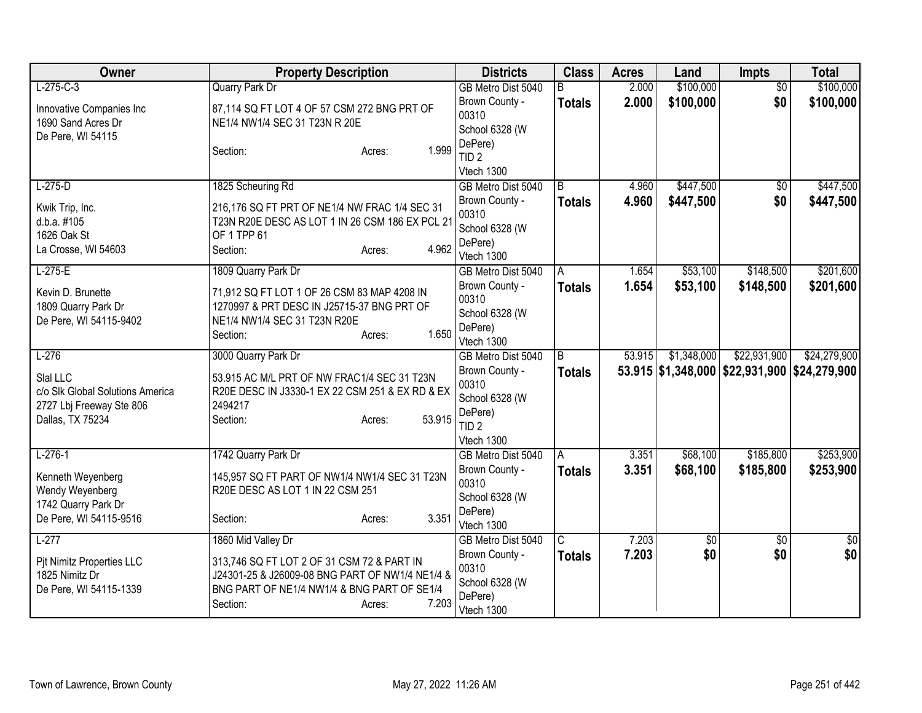| Owner                                        | <b>Property Description</b>                                    | <b>Districts</b>            | <b>Class</b>   | <b>Acres</b> | Land        | Impts                                        | <b>Total</b> |
|----------------------------------------------|----------------------------------------------------------------|-----------------------------|----------------|--------------|-------------|----------------------------------------------|--------------|
| $L-275-C-3$                                  | <b>Quarry Park Dr</b>                                          | GB Metro Dist 5040          | B.             | 2.000        | \$100,000   | $\overline{50}$                              | \$100,000    |
| Innovative Companies Inc                     | 87,114 SQ FT LOT 4 OF 57 CSM 272 BNG PRT OF                    | Brown County -              | <b>Totals</b>  | 2.000        | \$100,000   | \$0                                          | \$100,000    |
| 1690 Sand Acres Dr                           | NE1/4 NW1/4 SEC 31 T23N R 20E                                  | 00310                       |                |              |             |                                              |              |
| De Pere, WI 54115                            |                                                                | School 6328 (W              |                |              |             |                                              |              |
|                                              | 1.999<br>Section:<br>Acres:                                    | DePere)<br>TID <sub>2</sub> |                |              |             |                                              |              |
|                                              |                                                                | Vtech 1300                  |                |              |             |                                              |              |
| $L-275-D$                                    | 1825 Scheuring Rd                                              | GB Metro Dist 5040          | $\overline{B}$ | 4.960        | \$447,500   | $\overline{50}$                              | \$447,500    |
|                                              |                                                                | Brown County -              | <b>Totals</b>  | 4.960        | \$447,500   | \$0                                          | \$447,500    |
| Kwik Trip, Inc.                              | 216,176 SQ FT PRT OF NE1/4 NW FRAC 1/4 SEC 31                  | 00310                       |                |              |             |                                              |              |
| d.b.a. #105<br>1626 Oak St                   | T23N R20E DESC AS LOT 1 IN 26 CSM 186 EX PCL 21<br>OF 1 TPP 61 | School 6328 (W              |                |              |             |                                              |              |
| La Crosse, WI 54603                          | 4.962<br>Section:<br>Acres:                                    | DePere)                     |                |              |             |                                              |              |
|                                              |                                                                | Vtech 1300                  |                |              |             |                                              |              |
| $L-275-E$                                    | 1809 Quarry Park Dr                                            | GB Metro Dist 5040          | A              | 1.654        | \$53,100    | \$148,500                                    | \$201,600    |
| Kevin D. Brunette                            | 71,912 SQ FT LOT 1 OF 26 CSM 83 MAP 4208 IN                    | Brown County -              | <b>Totals</b>  | 1.654        | \$53,100    | \$148,500                                    | \$201,600    |
| 1809 Quarry Park Dr                          | 1270997 & PRT DESC IN J25715-37 BNG PRT OF                     | 00310                       |                |              |             |                                              |              |
| De Pere, WI 54115-9402                       | NE1/4 NW1/4 SEC 31 T23N R20E                                   | School 6328 (W              |                |              |             |                                              |              |
|                                              | 1.650<br>Section:<br>Acres:                                    | DePere)<br>Vtech 1300       |                |              |             |                                              |              |
| $L-276$                                      | 3000 Quarry Park Dr                                            | GB Metro Dist 5040          | $\overline{B}$ | 53.915       | \$1,348,000 | \$22,931,900                                 | \$24,279,900 |
|                                              |                                                                | Brown County -              | <b>Totals</b>  |              |             | 53.915 \$1,348,000 \$22,931,900 \$24,279,900 |              |
| Slal LLC                                     | 53.915 AC M/L PRT OF NW FRAC1/4 SEC 31 T23N                    | 00310                       |                |              |             |                                              |              |
| c/o SIk Global Solutions America             | R20E DESC IN J3330-1 EX 22 CSM 251 & EX RD & EX                | School 6328 (W              |                |              |             |                                              |              |
| 2727 Lbj Freeway Ste 806<br>Dallas, TX 75234 | 2494217<br>53.915<br>Section:<br>Acres:                        | DePere)                     |                |              |             |                                              |              |
|                                              |                                                                | TID <sub>2</sub>            |                |              |             |                                              |              |
|                                              |                                                                | Vtech 1300                  |                |              |             |                                              |              |
| $L-276-1$                                    | 1742 Quarry Park Dr                                            | GB Metro Dist 5040          | A              | 3.351        | \$68,100    | \$185,800                                    | \$253,900    |
| Kenneth Weyenberg                            | 145,957 SQ FT PART OF NW1/4 NW1/4 SEC 31 T23N                  | Brown County -              | <b>Totals</b>  | 3.351        | \$68,100    | \$185,800                                    | \$253,900    |
| Wendy Weyenberg                              | R20E DESC AS LOT 1 IN 22 CSM 251                               | 00310                       |                |              |             |                                              |              |
| 1742 Quarry Park Dr                          |                                                                | School 6328 (W<br>DePere)   |                |              |             |                                              |              |
| De Pere, WI 54115-9516                       | 3.351<br>Section:<br>Acres:                                    | Vtech 1300                  |                |              |             |                                              |              |
| $L-277$                                      | 1860 Mid Valley Dr                                             | GB Metro Dist 5040          | C              | 7.203        | \$0         | \$0                                          | \$0          |
| Pit Nimitz Properties LLC                    | 313,746 SQ FT LOT 2 OF 31 CSM 72 & PART IN                     | Brown County -              | <b>Totals</b>  | 7.203        | \$0         | \$0                                          | \$0          |
| 1825 Nimitz Dr                               | J24301-25 & J26009-08 BNG PART OF NW1/4 NE1/4 &                | 00310                       |                |              |             |                                              |              |
| De Pere, WI 54115-1339                       | BNG PART OF NE1/4 NW1/4 & BNG PART OF SE1/4                    | School 6328 (W              |                |              |             |                                              |              |
|                                              | 7.203<br>Section:<br>Acres:                                    | DePere)                     |                |              |             |                                              |              |
|                                              |                                                                | Vtech 1300                  |                |              |             |                                              |              |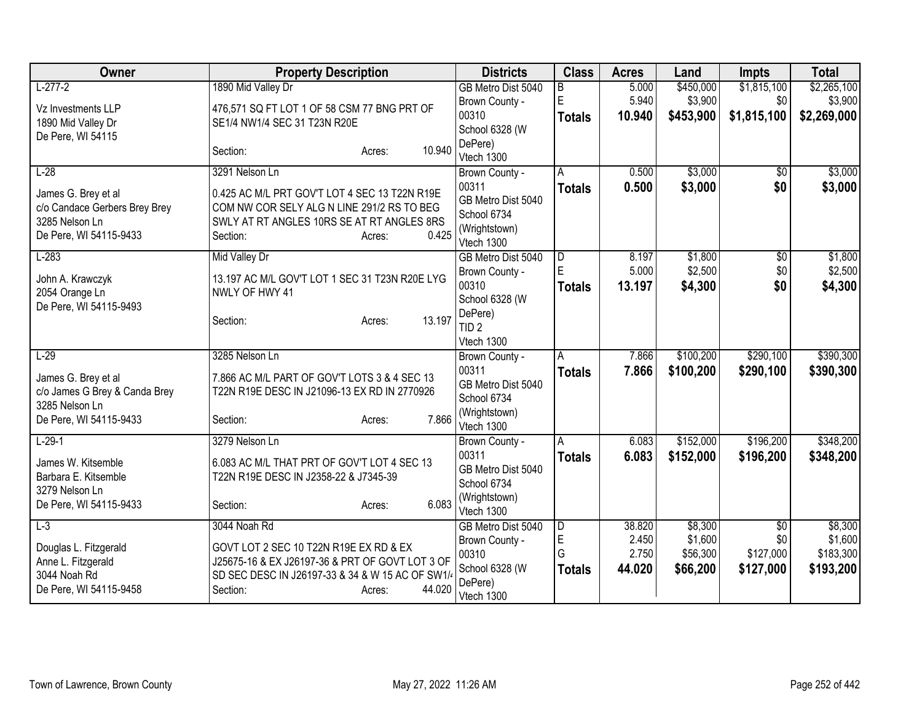| Owner                                    | <b>Property Description</b>                                      | <b>Districts</b>                  | <b>Class</b>  | <b>Acres</b> | Land      | Impts       | <b>Total</b> |
|------------------------------------------|------------------------------------------------------------------|-----------------------------------|---------------|--------------|-----------|-------------|--------------|
| $L-277-2$                                | 1890 Mid Valley Dr                                               | GB Metro Dist 5040                | В             | 5.000        | \$450,000 | \$1,815,100 | \$2,265,100  |
| Vz Investments LLP                       | 476,571 SQ FT LOT 1 OF 58 CSM 77 BNG PRT OF                      | Brown County -                    | E             | 5.940        | \$3,900   | \$0         | \$3,900      |
| 1890 Mid Valley Dr                       | SE1/4 NW1/4 SEC 31 T23N R20E                                     | 00310                             | <b>Totals</b> | 10.940       | \$453,900 | \$1,815,100 | \$2,269,000  |
| De Pere, WI 54115                        |                                                                  | School 6328 (W<br>DePere)         |               |              |           |             |              |
|                                          | 10.940<br>Section:<br>Acres:                                     | Vtech 1300                        |               |              |           |             |              |
| $L-28$                                   | 3291 Nelson Ln                                                   | Brown County -                    | A             | 0.500        | \$3,000   | $\sqrt{$0}$ | \$3,000      |
| James G. Brey et al                      | 0.425 AC M/L PRT GOV'T LOT 4 SEC 13 T22N R19E                    | 00311                             | <b>Totals</b> | 0.500        | \$3,000   | \$0         | \$3,000      |
| c/o Candace Gerbers Brey Brey            | COM NW COR SELY ALG N LINE 291/2 RS TO BEG                       | GB Metro Dist 5040                |               |              |           |             |              |
| 3285 Nelson Ln                           | SWLY AT RT ANGLES 10RS SE AT RT ANGLES 8RS                       | School 6734                       |               |              |           |             |              |
| De Pere, WI 54115-9433                   | 0.425<br>Section:<br>Acres:                                      | (Wrightstown)<br>Vtech 1300       |               |              |           |             |              |
| $L-283$                                  | Mid Valley Dr                                                    | GB Metro Dist 5040                | D             | 8.197        | \$1,800   | \$0         | \$1,800      |
|                                          |                                                                  | Brown County -                    | E             | 5.000        | \$2,500   | \$0         | \$2,500      |
| John A. Krawczyk<br>2054 Orange Ln       | 13.197 AC M/L GOV'T LOT 1 SEC 31 T23N R20E LYG<br>NWLY OF HWY 41 | 00310                             | <b>Totals</b> | 13.197       | \$4,300   | \$0         | \$4,300      |
| De Pere, WI 54115-9493                   |                                                                  | School 6328 (W                    |               |              |           |             |              |
|                                          | 13.197<br>Section:<br>Acres:                                     | DePere)                           |               |              |           |             |              |
|                                          |                                                                  | TID <sub>2</sub>                  |               |              |           |             |              |
| $L-29$                                   | 3285 Nelson Ln                                                   | Vtech 1300<br>Brown County -      | A             | 7.866        | \$100,200 | \$290,100   | \$390,300    |
|                                          |                                                                  | 00311                             | <b>Totals</b> | 7.866        | \$100,200 | \$290,100   | \$390,300    |
| James G. Brey et al                      | 7.866 AC M/L PART OF GOV'T LOTS 3 & 4 SEC 13                     | GB Metro Dist 5040                |               |              |           |             |              |
| c/o James G Brey & Canda Brey            | T22N R19E DESC IN J21096-13 EX RD IN 2770926                     | School 6734                       |               |              |           |             |              |
| 3285 Nelson Ln<br>De Pere, WI 54115-9433 | 7.866<br>Section:<br>Acres:                                      | (Wrightstown)                     |               |              |           |             |              |
|                                          |                                                                  | Vtech 1300                        |               |              |           |             |              |
| $L-29-1$                                 | 3279 Nelson Ln                                                   | Brown County -                    | A             | 6.083        | \$152,000 | \$196,200   | \$348,200    |
| James W. Kitsemble                       | 6.083 AC M/L THAT PRT OF GOV'T LOT 4 SEC 13                      | 00311                             | <b>Totals</b> | 6.083        | \$152,000 | \$196,200   | \$348,200    |
| Barbara E. Kitsemble                     | T22N R19E DESC IN J2358-22 & J7345-39                            | GB Metro Dist 5040<br>School 6734 |               |              |           |             |              |
| 3279 Nelson Ln                           |                                                                  | (Wrightstown)                     |               |              |           |             |              |
| De Pere, WI 54115-9433                   | 6.083<br>Section:<br>Acres:                                      | Vtech 1300                        |               |              |           |             |              |
| $L-3$                                    | 3044 Noah Rd                                                     | GB Metro Dist 5040                | D             | 38.820       | \$8,300   | \$0         | \$8,300      |
| Douglas L. Fitzgerald                    | GOVT LOT 2 SEC 10 T22N R19E EX RD & EX                           | Brown County -                    | E             | 2.450        | \$1,600   | \$0         | \$1,600      |
| Anne L. Fitzgerald                       | J25675-16 & EX J26197-36 & PRT OF GOVT LOT 3 OF                  | 00310                             | G             | 2.750        | \$56,300  | \$127,000   | \$183,300    |
| 3044 Noah Rd                             | SD SEC DESC IN J26197-33 & 34 & W 15 AC OF SW1/4                 | School 6328 (W<br>DePere)         | <b>Totals</b> | 44.020       | \$66,200  | \$127,000   | \$193,200    |
| De Pere, WI 54115-9458                   | 44.020<br>Section:<br>Acres:                                     | Vtech 1300                        |               |              |           |             |              |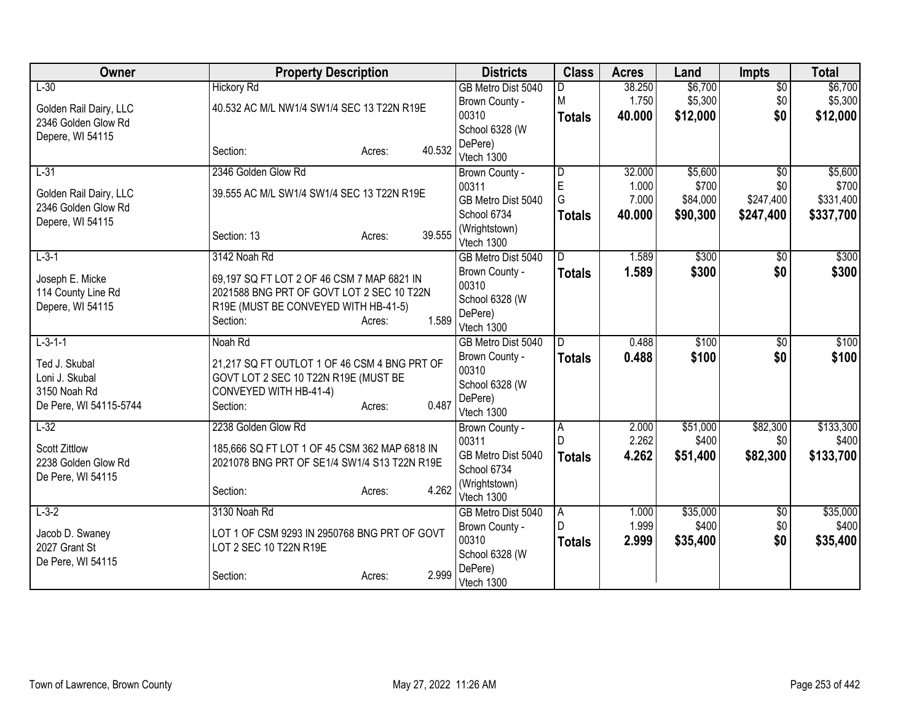| Owner                  | <b>Property Description</b>                   | <b>Districts</b>          | <b>Class</b>   | <b>Acres</b> | Land     | <b>Impts</b>    | <b>Total</b> |
|------------------------|-----------------------------------------------|---------------------------|----------------|--------------|----------|-----------------|--------------|
| $L-30$                 | <b>Hickory Rd</b>                             | GB Metro Dist 5040        |                | 38.250       | \$6,700  | $\overline{50}$ | \$6,700      |
| Golden Rail Dairy, LLC | 40.532 AC M/L NW1/4 SW1/4 SEC 13 T22N R19E    | Brown County -            | M              | 1.750        | \$5,300  | \$0             | \$5,300      |
| 2346 Golden Glow Rd    |                                               | 00310                     | <b>Totals</b>  | 40.000       | \$12,000 | \$0             | \$12,000     |
| Depere, WI 54115       |                                               | School 6328 (W            |                |              |          |                 |              |
|                        | 40.532<br>Section:<br>Acres:                  | DePere)                   |                |              |          |                 |              |
|                        |                                               | Vtech 1300                |                |              |          |                 |              |
| $L-31$                 | 2346 Golden Glow Rd                           | Brown County -            | $\overline{D}$ | 32.000       | \$5,600  | $\overline{30}$ | \$5,600      |
| Golden Rail Dairy, LLC | 39.555 AC M/L SW1/4 SW1/4 SEC 13 T22N R19E    | 00311                     | E              | 1.000        | \$700    | \$0             | \$700        |
| 2346 Golden Glow Rd    |                                               | GB Metro Dist 5040        | G              | 7.000        | \$84,000 | \$247,400       | \$331,400    |
| Depere, WI 54115       |                                               | School 6734               | <b>Totals</b>  | 40.000       | \$90,300 | \$247,400       | \$337,700    |
|                        | 39.555<br>Section: 13<br>Acres:               | (Wrightstown)             |                |              |          |                 |              |
|                        |                                               | Vtech 1300                | D.             |              |          |                 |              |
| $L - 3 - 1$            | 3142 Noah Rd                                  | GB Metro Dist 5040        |                | 1.589        | \$300    | \$0             | \$300        |
| Joseph E. Micke        | 69,197 SQ FT LOT 2 OF 46 CSM 7 MAP 6821 IN    | Brown County -<br>00310   | <b>Totals</b>  | 1.589        | \$300    | \$0             | \$300        |
| 114 County Line Rd     | 2021588 BNG PRT OF GOVT LOT 2 SEC 10 T22N     |                           |                |              |          |                 |              |
| Depere, WI 54115       | R19E (MUST BE CONVEYED WITH HB-41-5)          | School 6328 (W<br>DePere) |                |              |          |                 |              |
|                        | 1.589<br>Section:<br>Acres:                   | Vtech 1300                |                |              |          |                 |              |
| $L-3-1-1$              | Noah Rd                                       | GB Metro Dist 5040        | D              | 0.488        | \$100    | $\overline{50}$ | \$100        |
|                        |                                               | Brown County -            | <b>Totals</b>  | 0.488        | \$100    | \$0             | \$100        |
| Ted J. Skubal          | 21,217 SQ FT OUTLOT 1 OF 46 CSM 4 BNG PRT OF  | 00310                     |                |              |          |                 |              |
| Loni J. Skubal         | GOVT LOT 2 SEC 10 T22N R19E (MUST BE          | School 6328 (W            |                |              |          |                 |              |
| 3150 Noah Rd           | CONVEYED WITH HB-41-4)                        | DePere)                   |                |              |          |                 |              |
| De Pere, WI 54115-5744 | 0.487<br>Section:<br>Acres:                   | Vtech 1300                |                |              |          |                 |              |
| $L-32$                 | 2238 Golden Glow Rd                           | Brown County -            | A              | 2.000        | \$51,000 | \$82,300        | \$133,300    |
|                        |                                               | 00311                     |                | 2.262        | \$400    | \$0             | \$400        |
| <b>Scott Zittlow</b>   | 185,666 SQ FT LOT 1 OF 45 CSM 362 MAP 6818 IN | GB Metro Dist 5040        | <b>Totals</b>  | 4.262        | \$51,400 | \$82,300        | \$133,700    |
| 2238 Golden Glow Rd    | 2021078 BNG PRT OF SE1/4 SW1/4 S13 T22N R19E  | School 6734               |                |              |          |                 |              |
| De Pere, WI 54115      |                                               | (Wrightstown)             |                |              |          |                 |              |
|                        | 4.262<br>Section:<br>Acres:                   | Vtech 1300                |                |              |          |                 |              |
| $L-3-2$                | 3130 Noah Rd                                  | GB Metro Dist 5040        | A.             | 1.000        | \$35,000 | $\frac{1}{20}$  | \$35,000     |
| Jacob D. Swaney        | LOT 1 OF CSM 9293 IN 2950768 BNG PRT OF GOVT  | Brown County -            |                | 1.999        | \$400    | \$0             | \$400        |
| 2027 Grant St          | LOT 2 SEC 10 T22N R19E                        | 00310                     | <b>Totals</b>  | 2.999        | \$35,400 | \$0             | \$35,400     |
| De Pere, WI 54115      |                                               | School 6328 (W            |                |              |          |                 |              |
|                        | 2.999<br>Section:<br>Acres:                   | DePere)                   |                |              |          |                 |              |
|                        |                                               | Vtech 1300                |                |              |          |                 |              |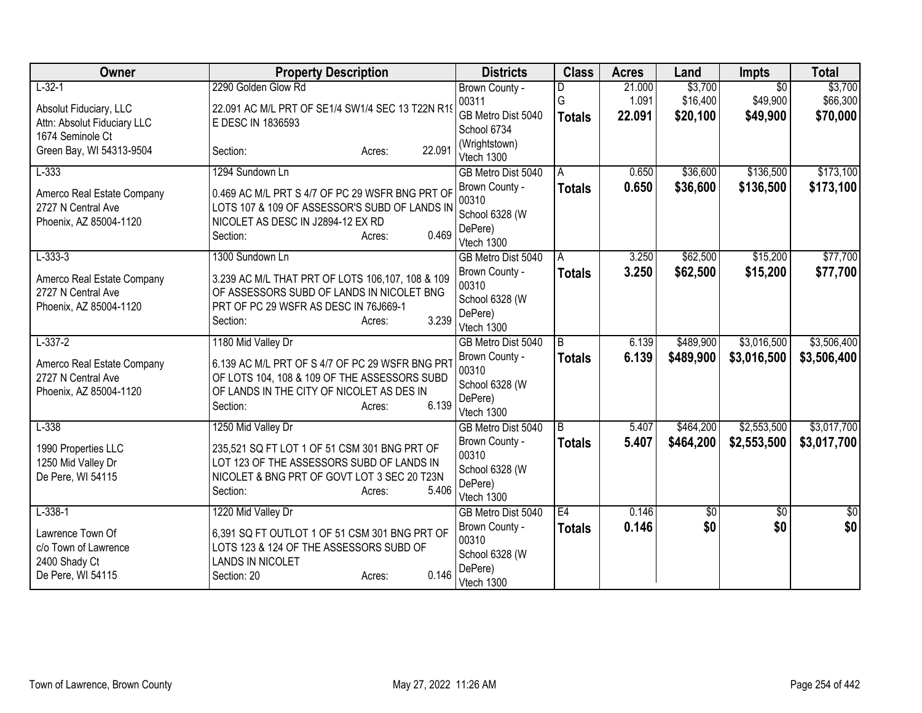| Owner                                 | <b>Property Description</b>                                              | <b>Districts</b>            | <b>Class</b>  | <b>Acres</b> | Land      | <b>Impts</b>    | <b>Total</b> |
|---------------------------------------|--------------------------------------------------------------------------|-----------------------------|---------------|--------------|-----------|-----------------|--------------|
| $L-32-1$                              | 2290 Golden Glow Rd                                                      | Brown County -              | D             | 21.000       | \$3,700   | $\overline{50}$ | \$3,700      |
| Absolut Fiduciary, LLC                | 22.091 AC M/L PRT OF SE1/4 SW1/4 SEC 13 T22N R19                         | 00311                       | G             | 1.091        | \$16,400  | \$49,900        | \$66,300     |
| Attn: Absolut Fiduciary LLC           | E DESC IN 1836593                                                        | GB Metro Dist 5040          | <b>Totals</b> | 22.091       | \$20,100  | \$49,900        | \$70,000     |
| 1674 Seminole Ct                      |                                                                          | School 6734                 |               |              |           |                 |              |
| Green Bay, WI 54313-9504              | 22.091<br>Section:<br>Acres:                                             | (Wrightstown)<br>Vtech 1300 |               |              |           |                 |              |
| $L-333$                               | 1294 Sundown Ln                                                          | GB Metro Dist 5040          | A             | 0.650        | \$36,600  | \$136,500       | \$173,100    |
|                                       |                                                                          | Brown County -              | <b>Totals</b> | 0.650        | \$36,600  | \$136,500       | \$173,100    |
| Amerco Real Estate Company            | 0.469 AC M/L PRT S 4/7 OF PC 29 WSFR BNG PRT OF                          | 00310                       |               |              |           |                 |              |
| 2727 N Central Ave                    | LOTS 107 & 109 OF ASSESSOR'S SUBD OF LANDS IN                            | School 6328 (W              |               |              |           |                 |              |
| Phoenix, AZ 85004-1120                | NICOLET AS DESC IN J2894-12 EX RD                                        | DePere)                     |               |              |           |                 |              |
|                                       | 0.469<br>Section:<br>Acres:                                              | Vtech 1300                  |               |              |           |                 |              |
| $L - 333 - 3$                         | 1300 Sundown Ln                                                          | GB Metro Dist 5040          | A             | 3.250        | \$62,500  | \$15,200        | \$77,700     |
| Amerco Real Estate Company            | 3.239 AC M/L THAT PRT OF LOTS 106,107, 108 & 109                         | Brown County -              | <b>Totals</b> | 3.250        | \$62,500  | \$15,200        | \$77,700     |
| 2727 N Central Ave                    | OF ASSESSORS SUBD OF LANDS IN NICOLET BNG                                | 00310                       |               |              |           |                 |              |
| Phoenix, AZ 85004-1120                | PRT OF PC 29 WSFR AS DESC IN 76J669-1                                    | School 6328 (W              |               |              |           |                 |              |
|                                       | 3.239<br>Section:<br>Acres:                                              | DePere)<br>Vtech 1300       |               |              |           |                 |              |
| $L-337-2$                             | 1180 Mid Valley Dr                                                       | GB Metro Dist 5040          | B             | 6.139        | \$489,900 | \$3,016,500     | \$3,506,400  |
|                                       |                                                                          | Brown County -              | <b>Totals</b> | 6.139        | \$489,900 | \$3,016,500     | \$3,506,400  |
| Amerco Real Estate Company            | 6.139 AC M/L PRT OF S 4/7 OF PC 29 WSFR BNG PRT                          | 00310                       |               |              |           |                 |              |
| 2727 N Central Ave                    | OF LOTS 104, 108 & 109 OF THE ASSESSORS SUBD                             | School 6328 (W              |               |              |           |                 |              |
| Phoenix, AZ 85004-1120                | OF LANDS IN THE CITY OF NICOLET AS DES IN<br>6.139<br>Section:<br>Acres: | DePere)                     |               |              |           |                 |              |
|                                       |                                                                          | Vtech 1300                  |               |              |           |                 |              |
| $L-338$                               | 1250 Mid Valley Dr                                                       | GB Metro Dist 5040          | l B           | 5.407        | \$464,200 | \$2,553,500     | \$3,017,700  |
| 1990 Properties LLC                   | 235,521 SQ FT LOT 1 OF 51 CSM 301 BNG PRT OF                             | Brown County -              | <b>Totals</b> | 5.407        | \$464,200 | \$2,553,500     | \$3,017,700  |
| 1250 Mid Valley Dr                    | LOT 123 OF THE ASSESSORS SUBD OF LANDS IN                                | 00310                       |               |              |           |                 |              |
| De Pere, WI 54115                     | NICOLET & BNG PRT OF GOVT LOT 3 SEC 20 T23N                              | School 6328 (W              |               |              |           |                 |              |
|                                       | 5.406<br>Section:<br>Acres:                                              | DePere)<br>Vtech 1300       |               |              |           |                 |              |
| $L-338-1$                             | 1220 Mid Valley Dr                                                       | GB Metro Dist 5040          | E4            | 0.146        | \$0       | \$0             | $\sqrt{50}$  |
|                                       |                                                                          | Brown County -              | <b>Totals</b> | 0.146        | \$0       | \$0             | \$0          |
| Lawrence Town Of                      | 6,391 SQ FT OUTLOT 1 OF 51 CSM 301 BNG PRT OF                            | 00310                       |               |              |           |                 |              |
| c/o Town of Lawrence<br>2400 Shady Ct | LOTS 123 & 124 OF THE ASSESSORS SUBD OF<br><b>LANDS IN NICOLET</b>       | School 6328 (W              |               |              |           |                 |              |
| De Pere, WI 54115                     | 0.146<br>Section: 20<br>Acres:                                           | DePere)                     |               |              |           |                 |              |
|                                       |                                                                          | Vtech 1300                  |               |              |           |                 |              |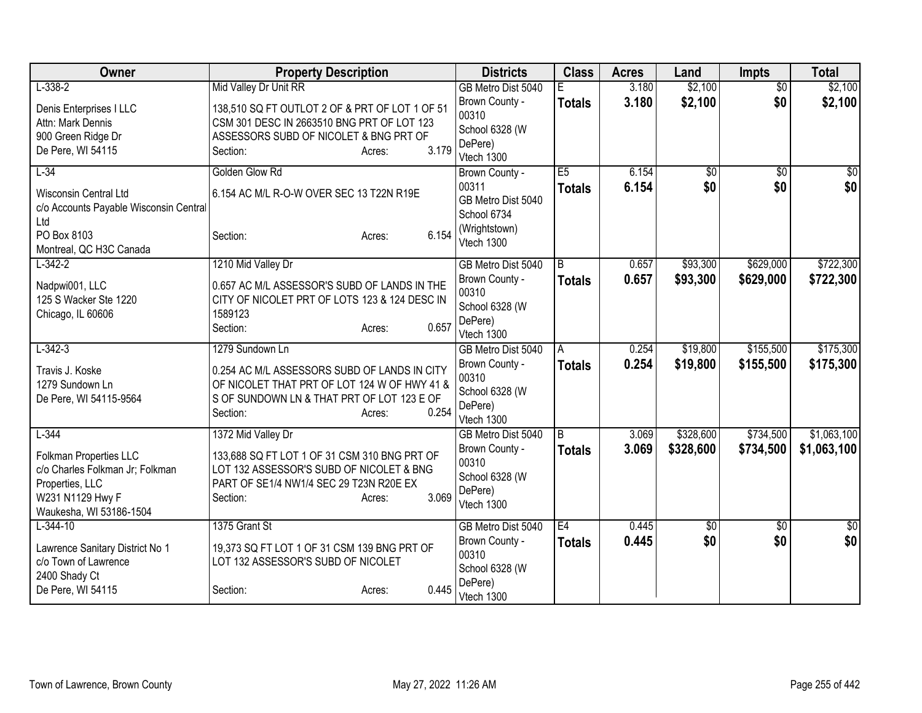| Owner                                                                                                                                  | <b>Property Description</b>                                                                                                                                                                  | <b>Districts</b>                                                                            | <b>Class</b>             | <b>Acres</b>   | Land                   | <b>Impts</b>           | <b>Total</b>               |
|----------------------------------------------------------------------------------------------------------------------------------------|----------------------------------------------------------------------------------------------------------------------------------------------------------------------------------------------|---------------------------------------------------------------------------------------------|--------------------------|----------------|------------------------|------------------------|----------------------------|
| $L - 338 - 2$                                                                                                                          | Mid Valley Dr Unit RR                                                                                                                                                                        | GB Metro Dist 5040                                                                          | F                        | 3.180          | \$2,100                | $\overline{50}$        | \$2,100                    |
| Denis Enterprises I LLC<br>Attn: Mark Dennis<br>900 Green Ridge Dr<br>De Pere, WI 54115                                                | 138,510 SQ FT OUTLOT 2 OF & PRT OF LOT 1 OF 51<br>CSM 301 DESC IN 2663510 BNG PRT OF LOT 123<br>ASSESSORS SUBD OF NICOLET & BNG PRT OF<br>3.179<br>Section:<br>Acres:                        | Brown County -<br>00310<br>School 6328 (W<br>DePere)<br>Vtech 1300                          | <b>Totals</b>            | 3.180          | \$2,100                | \$0                    | \$2,100                    |
| $L-34$<br>Wisconsin Central Ltd<br>c/o Accounts Payable Wisconsin Central<br>Ltd<br>PO Box 8103<br>Montreal, QC H3C Canada             | Golden Glow Rd<br>6.154 AC M/L R-O-W OVER SEC 13 T22N R19E<br>6.154<br>Section:<br>Acres:                                                                                                    | Brown County -<br>00311<br>GB Metro Dist 5040<br>School 6734<br>(Wrightstown)<br>Vtech 1300 | E5<br><b>Totals</b>      | 6.154<br>6.154 | \$0<br>\$0             | $\sqrt{$0}$<br>\$0     | \$0<br>\$0                 |
| $L-342-2$<br>Nadpwi001, LLC<br>125 S Wacker Ste 1220<br>Chicago, IL 60606                                                              | 1210 Mid Valley Dr<br>0.657 AC M/L ASSESSOR'S SUBD OF LANDS IN THE<br>CITY OF NICOLET PRT OF LOTS 123 & 124 DESC IN<br>1589123<br>0.657<br>Section:<br>Acres:                                | GB Metro Dist 5040<br>Brown County -<br>00310<br>School 6328 (W<br>DePere)<br>Vtech 1300    | B<br><b>Totals</b>       | 0.657<br>0.657 | \$93,300<br>\$93,300   | \$629,000<br>\$629,000 | \$722,300<br>\$722,300     |
| $L-342-3$<br>Travis J. Koske<br>1279 Sundown Ln<br>De Pere, WI 54115-9564                                                              | 1279 Sundown Ln<br>0.254 AC M/L ASSESSORS SUBD OF LANDS IN CITY<br>OF NICOLET THAT PRT OF LOT 124 W OF HWY 41 &<br>S OF SUNDOWN LN & THAT PRT OF LOT 123 E OF<br>0.254<br>Section:<br>Acres: | GB Metro Dist 5040<br>Brown County -<br>00310<br>School 6328 (W<br>DePere)<br>Vtech 1300    | A<br>Totals              | 0.254<br>0.254 | \$19,800<br>\$19,800   | \$155,500<br>\$155,500 | \$175,300<br>\$175,300     |
| $L-344$<br>Folkman Properties LLC<br>c/o Charles Folkman Jr; Folkman<br>Properties, LLC<br>W231 N1129 Hwy F<br>Waukesha, WI 53186-1504 | 1372 Mid Valley Dr<br>133,688 SQ FT LOT 1 OF 31 CSM 310 BNG PRT OF<br>LOT 132 ASSESSOR'S SUBD OF NICOLET & BNG<br>PART OF SE1/4 NW1/4 SEC 29 T23N R20E EX<br>3.069<br>Section:<br>Acres:     | GB Metro Dist 5040<br>Brown County -<br>00310<br>School 6328 (W<br>DePere)<br>Vtech 1300    | $\overline{B}$<br>Totals | 3.069<br>3.069 | \$328,600<br>\$328,600 | \$734,500<br>\$734,500 | \$1,063,100<br>\$1,063,100 |
| $L - 344 - 10$<br>Lawrence Sanitary District No 1<br>c/o Town of Lawrence<br>2400 Shady Ct<br>De Pere, WI 54115                        | 1375 Grant St<br>19,373 SQ FT LOT 1 OF 31 CSM 139 BNG PRT OF<br>LOT 132 ASSESSOR'S SUBD OF NICOLET<br>0.445<br>Section:<br>Acres:                                                            | GB Metro Dist 5040<br>Brown County -<br>00310<br>School 6328 (W<br>DePere)<br>Vtech 1300    | E4<br><b>Totals</b>      | 0.445<br>0.445 | $\overline{50}$<br>\$0 | $\overline{50}$<br>\$0 | $\overline{30}$<br>\$0     |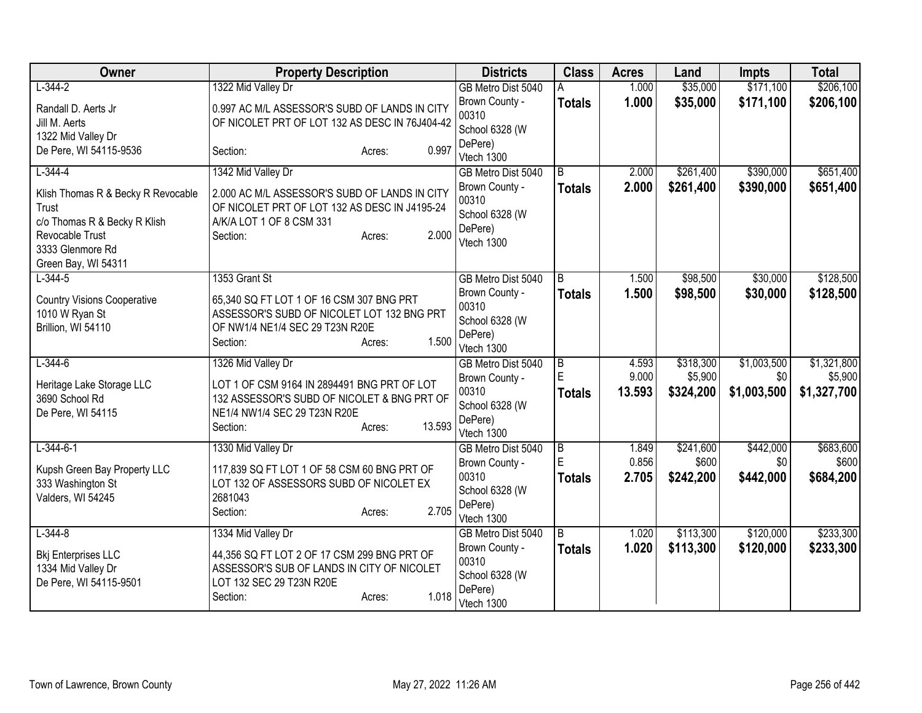| Owner                              | <b>Property Description</b>                        | <b>Districts</b>        | <b>Class</b>        | <b>Acres</b>   | Land                 | <b>Impts</b>       | <b>Total</b>           |
|------------------------------------|----------------------------------------------------|-------------------------|---------------------|----------------|----------------------|--------------------|------------------------|
| $L - 344 - 2$                      | 1322 Mid Valley Dr                                 | GB Metro Dist 5040      | А                   | 1.000          | \$35,000             | \$171,100          | \$206,100              |
| Randall D. Aerts Jr                | 0.997 AC M/L ASSESSOR'S SUBD OF LANDS IN CITY      | Brown County -          | <b>Totals</b>       | 1.000          | \$35,000             | \$171,100          | \$206,100              |
| Jill M. Aerts                      | OF NICOLET PRT OF LOT 132 AS DESC IN 76J404-42     | 00310                   |                     |                |                      |                    |                        |
| 1322 Mid Valley Dr                 |                                                    | School 6328 (W          |                     |                |                      |                    |                        |
| De Pere, WI 54115-9536             | 0.997<br>Section:<br>Acres:                        | DePere)                 |                     |                |                      |                    |                        |
|                                    |                                                    | Vtech 1300              |                     |                |                      |                    |                        |
| $L - 344 - 4$                      | 1342 Mid Valley Dr                                 | GB Metro Dist 5040      | $\overline{B}$      | 2.000          | \$261,400            | \$390,000          | \$651,400              |
| Klish Thomas R & Becky R Revocable | 2.000 AC M/L ASSESSOR'S SUBD OF LANDS IN CITY      | Brown County -          | <b>Totals</b>       | 2.000          | \$261,400            | \$390,000          | \$651,400              |
| Trust                              | OF NICOLET PRT OF LOT 132 AS DESC IN J4195-24      | 00310<br>School 6328 (W |                     |                |                      |                    |                        |
| c/o Thomas R & Becky R Klish       | A/K/A LOT 1 OF 8 CSM 331                           | DePere)                 |                     |                |                      |                    |                        |
| Revocable Trust                    | 2.000<br>Section:<br>Acres:                        | Vtech 1300              |                     |                |                      |                    |                        |
| 3333 Glenmore Rd                   |                                                    |                         |                     |                |                      |                    |                        |
| Green Bay, WI 54311                |                                                    |                         |                     |                |                      |                    |                        |
| $L - 344 - 5$                      | 1353 Grant St                                      | GB Metro Dist 5040      | B                   | 1.500          | \$98,500             | \$30,000           | \$128,500              |
| <b>Country Visions Cooperative</b> | 65,340 SQ FT LOT 1 OF 16 CSM 307 BNG PRT           | Brown County -          | <b>Totals</b>       | 1.500          | \$98,500             | \$30,000           | \$128,500              |
| 1010 W Ryan St                     | ASSESSOR'S SUBD OF NICOLET LOT 132 BNG PRT         | 00310                   |                     |                |                      |                    |                        |
| Brillion, WI 54110                 | OF NW1/4 NE1/4 SEC 29 T23N R20E                    | School 6328 (W          |                     |                |                      |                    |                        |
|                                    | 1.500<br>Section:<br>Acres:                        | DePere)                 |                     |                |                      |                    |                        |
|                                    |                                                    | Vtech 1300              |                     |                |                      |                    |                        |
| $L - 344 - 6$                      | 1326 Mid Valley Dr                                 | GB Metro Dist 5040      | $\overline{B}$<br>E | 4.593<br>9.000 | \$318,300<br>\$5,900 | \$1,003,500<br>\$0 | \$1,321,800<br>\$5,900 |
| Heritage Lake Storage LLC          | LOT 1 OF CSM 9164 IN 2894491 BNG PRT OF LOT        | Brown County -<br>00310 |                     | 13.593         |                      | \$1,003,500        |                        |
| 3690 School Rd                     | 132 ASSESSOR'S SUBD OF NICOLET & BNG PRT OF        | School 6328 (W          | <b>Totals</b>       |                | \$324,200            |                    | \$1,327,700            |
| De Pere, WI 54115                  | NE1/4 NW1/4 SEC 29 T23N R20E                       | DePere)                 |                     |                |                      |                    |                        |
|                                    | 13.593<br>Section:<br>Acres:                       | Vtech 1300              |                     |                |                      |                    |                        |
| $L-344-6-1$                        | 1330 Mid Valley Dr                                 | GB Metro Dist 5040      | $\overline{B}$      | 1.849          | \$241,600            | \$442,000          | \$683,600              |
|                                    |                                                    | Brown County -          | E                   | 0.856          | \$600                | \$0                | \$600                  |
| Kupsh Green Bay Property LLC       | 117,839 SQ FT LOT 1 OF 58 CSM 60 BNG PRT OF        | 00310                   | <b>Totals</b>       | 2.705          | \$242,200            | \$442,000          | \$684,200              |
| 333 Washington St                  | LOT 132 OF ASSESSORS SUBD OF NICOLET EX<br>2681043 | School 6328 (W          |                     |                |                      |                    |                        |
| Valders, WI 54245                  | 2.705<br>Section:                                  | DePere)                 |                     |                |                      |                    |                        |
|                                    | Acres:                                             | Vtech 1300              |                     |                |                      |                    |                        |
| $L - 344 - 8$                      | 1334 Mid Valley Dr                                 | GB Metro Dist 5040      | B                   | 1.020          | \$113,300            | \$120,000          | \$233,300              |
| <b>Bkj Enterprises LLC</b>         | 44,356 SQ FT LOT 2 OF 17 CSM 299 BNG PRT OF        | Brown County -          | <b>Totals</b>       | 1.020          | \$113,300            | \$120,000          | \$233,300              |
| 1334 Mid Valley Dr                 | ASSESSOR'S SUB OF LANDS IN CITY OF NICOLET         | 00310                   |                     |                |                      |                    |                        |
| De Pere, WI 54115-9501             | LOT 132 SEC 29 T23N R20E                           | School 6328 (W          |                     |                |                      |                    |                        |
|                                    | 1.018<br>Section:<br>Acres:                        | DePere)                 |                     |                |                      |                    |                        |
|                                    |                                                    | Vtech 1300              |                     |                |                      |                    |                        |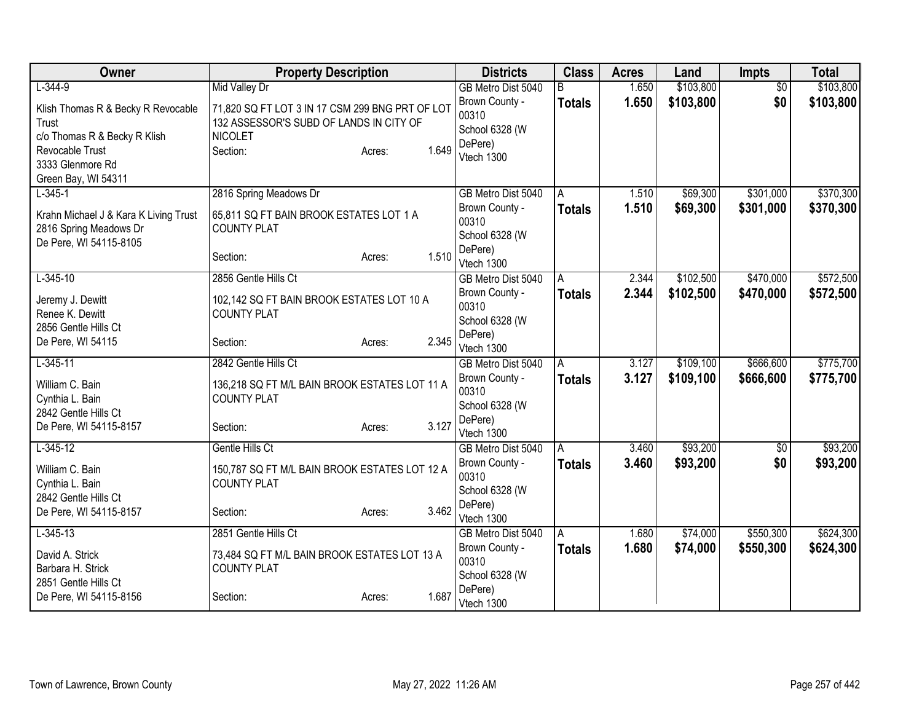| Owner                                                                                                                                                  | <b>Property Description</b>                                                                                                                                         | <b>Districts</b>                                                                         | <b>Class</b>         | <b>Acres</b>   | Land                   | <b>Impts</b>           | <b>Total</b>           |
|--------------------------------------------------------------------------------------------------------------------------------------------------------|---------------------------------------------------------------------------------------------------------------------------------------------------------------------|------------------------------------------------------------------------------------------|----------------------|----------------|------------------------|------------------------|------------------------|
| $L-344-9$<br>Klish Thomas R & Becky R Revocable<br>Trust<br>c/o Thomas R & Becky R Klish<br>Revocable Trust<br>3333 Glenmore Rd<br>Green Bay, WI 54311 | <b>Mid Valley Dr</b><br>71,820 SQ FT LOT 3 IN 17 CSM 299 BNG PRT OF LOT<br>132 ASSESSOR'S SUBD OF LANDS IN CITY OF<br><b>NICOLET</b><br>1.649<br>Section:<br>Acres: | GB Metro Dist 5040<br>Brown County -<br>00310<br>School 6328 (W<br>DePere)<br>Vtech 1300 | B<br><b>Totals</b>   | 1.650<br>1.650 | \$103,800<br>\$103,800 | \$0<br>\$0             | \$103,800<br>\$103,800 |
| $L-345-1$<br>Krahn Michael J & Kara K Living Trust<br>2816 Spring Meadows Dr<br>De Pere, WI 54115-8105                                                 | 2816 Spring Meadows Dr<br>65,811 SQ FT BAIN BROOK ESTATES LOT 1 A<br><b>COUNTY PLAT</b><br>1.510<br>Section:<br>Acres:                                              | GB Metro Dist 5040<br>Brown County -<br>00310<br>School 6328 (W<br>DePere)<br>Vtech 1300 | A<br><b>Totals</b>   | 1.510<br>1.510 | \$69,300<br>\$69,300   | \$301,000<br>\$301,000 | \$370,300<br>\$370,300 |
| $L-345-10$<br>Jeremy J. Dewitt<br>Renee K. Dewitt<br>2856 Gentle Hills Ct<br>De Pere, WI 54115                                                         | 2856 Gentle Hills Ct<br>102,142 SQ FT BAIN BROOK ESTATES LOT 10 A<br><b>COUNTY PLAT</b><br>2.345<br>Section:<br>Acres:                                              | GB Metro Dist 5040<br>Brown County -<br>00310<br>School 6328 (W<br>DePere)<br>Vtech 1300 | A<br><b>Totals</b>   | 2.344<br>2.344 | \$102,500<br>\$102,500 | \$470,000<br>\$470,000 | \$572,500<br>\$572,500 |
| $L-345-11$<br>William C. Bain<br>Cynthia L. Bain<br>2842 Gentle Hills Ct<br>De Pere, WI 54115-8157                                                     | 2842 Gentle Hills Ct<br>136,218 SQ FT M/L BAIN BROOK ESTATES LOT 11 A<br><b>COUNTY PLAT</b><br>3.127<br>Section:<br>Acres:                                          | GB Metro Dist 5040<br>Brown County -<br>00310<br>School 6328 (W<br>DePere)<br>Vtech 1300 | A<br><b>Totals</b>   | 3.127<br>3.127 | \$109,100<br>\$109,100 | \$666,600<br>\$666,600 | \$775,700<br>\$775,700 |
| $L-345-12$<br>William C. Bain<br>Cynthia L. Bain<br>2842 Gentle Hills Ct<br>De Pere, WI 54115-8157                                                     | Gentle Hills Ct<br>150,787 SQ FT M/L BAIN BROOK ESTATES LOT 12 A<br><b>COUNTY PLAT</b><br>3.462<br>Section:<br>Acres:                                               | GB Metro Dist 5040<br>Brown County -<br>00310<br>School 6328 (W<br>DePere)<br>Vtech 1300 | A<br><b>Totals</b>   | 3.460<br>3.460 | \$93,200<br>\$93,200   | $\overline{50}$<br>\$0 | \$93,200<br>\$93,200   |
| $L-345-13$<br>David A. Strick<br>Barbara H. Strick<br>2851 Gentle Hills Ct<br>De Pere, WI 54115-8156                                                   | 2851 Gentle Hills Ct<br>73,484 SQ FT M/L BAIN BROOK ESTATES LOT 13 A<br><b>COUNTY PLAT</b><br>1.687<br>Section:<br>Acres:                                           | GB Metro Dist 5040<br>Brown County -<br>00310<br>School 6328 (W<br>DePere)<br>Vtech 1300 | l A<br><b>Totals</b> | 1.680<br>1.680 | \$74,000<br>\$74,000   | \$550,300<br>\$550,300 | \$624,300<br>\$624,300 |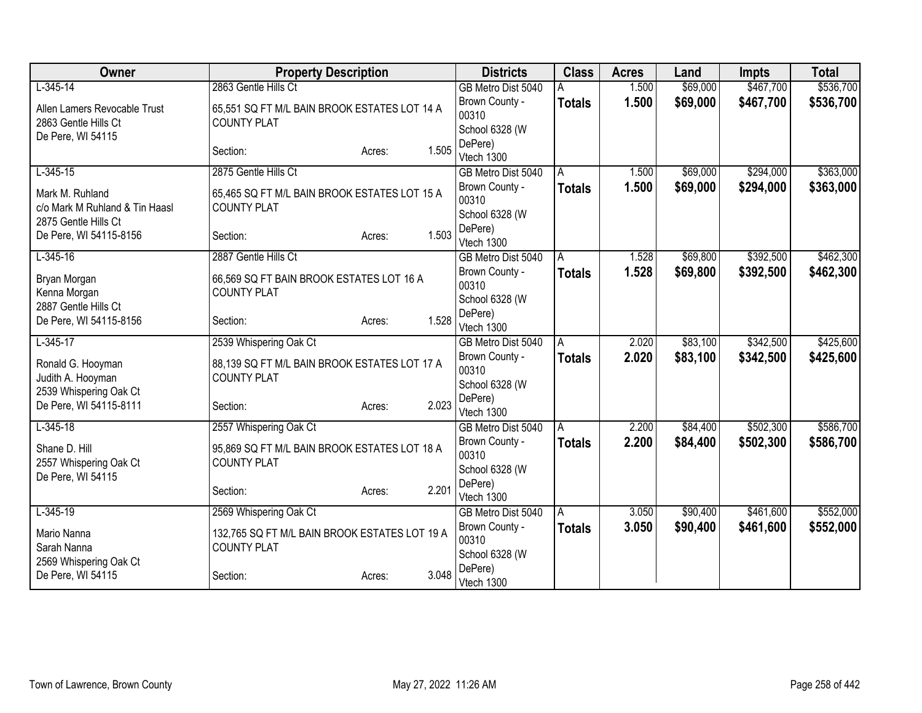| Owner                                             | <b>Property Description</b>                                        |        |       | <b>Districts</b>          | <b>Class</b>  | <b>Acres</b> | Land     | <b>Impts</b> | <b>Total</b> |
|---------------------------------------------------|--------------------------------------------------------------------|--------|-------|---------------------------|---------------|--------------|----------|--------------|--------------|
| $L-345-14$                                        | 2863 Gentle Hills Ct                                               |        |       | GB Metro Dist 5040        |               | 1.500        | \$69,000 | \$467,700    | \$536,700    |
| Allen Lamers Revocable Trust                      | 65,551 SQ FT M/L BAIN BROOK ESTATES LOT 14 A                       |        |       | Brown County -            | <b>Totals</b> | 1.500        | \$69,000 | \$467,700    | \$536,700    |
| 2863 Gentle Hills Ct                              | <b>COUNTY PLAT</b>                                                 |        |       | 00310                     |               |              |          |              |              |
| De Pere, WI 54115                                 |                                                                    |        |       | School 6328 (W<br>DePere) |               |              |          |              |              |
|                                                   | Section:                                                           | Acres: | 1.505 | Vtech 1300                |               |              |          |              |              |
| $L-345-15$                                        | 2875 Gentle Hills Ct                                               |        |       | GB Metro Dist 5040        | A             | 1.500        | \$69,000 | \$294,000    | \$363,000    |
|                                                   |                                                                    |        |       | Brown County -            | <b>Totals</b> | 1.500        | \$69,000 | \$294,000    | \$363,000    |
| Mark M. Ruhland<br>c/o Mark M Ruhland & Tin Haasl | 65,465 SQ FT M/L BAIN BROOK ESTATES LOT 15 A<br><b>COUNTY PLAT</b> |        |       | 00310                     |               |              |          |              |              |
| 2875 Gentle Hills Ct                              |                                                                    |        |       | School 6328 (W            |               |              |          |              |              |
| De Pere, WI 54115-8156                            | Section:                                                           | Acres: | 1.503 | DePere)                   |               |              |          |              |              |
|                                                   |                                                                    |        |       | Vtech 1300                |               |              |          |              |              |
| $L-345-16$                                        | 2887 Gentle Hills Ct                                               |        |       | GB Metro Dist 5040        | Α             | 1.528        | \$69,800 | \$392,500    | \$462,300    |
| Bryan Morgan                                      | 66,569 SQ FT BAIN BROOK ESTATES LOT 16 A                           |        |       | Brown County -<br>00310   | <b>Totals</b> | 1.528        | \$69,800 | \$392,500    | \$462,300    |
| Kenna Morgan                                      | <b>COUNTY PLAT</b>                                                 |        |       | School 6328 (W            |               |              |          |              |              |
| 2887 Gentle Hills Ct                              |                                                                    |        |       | DePere)                   |               |              |          |              |              |
| De Pere, WI 54115-8156                            | Section:                                                           | Acres: | 1.528 | Vtech 1300                |               |              |          |              |              |
| $L-345-17$                                        | 2539 Whispering Oak Ct                                             |        |       | GB Metro Dist 5040        | A             | 2.020        | \$83,100 | \$342,500    | \$425,600    |
| Ronald G. Hooyman                                 | 88,139 SQ FT M/L BAIN BROOK ESTATES LOT 17 A                       |        |       | Brown County -            | <b>Totals</b> | 2.020        | \$83,100 | \$342,500    | \$425,600    |
| Judith A. Hooyman                                 | <b>COUNTY PLAT</b>                                                 |        |       | 00310                     |               |              |          |              |              |
| 2539 Whispering Oak Ct                            |                                                                    |        |       | School 6328 (W            |               |              |          |              |              |
| De Pere, WI 54115-8111                            | Section:                                                           | Acres: | 2.023 | DePere)<br>Vtech 1300     |               |              |          |              |              |
| $L-345-18$                                        | 2557 Whispering Oak Ct                                             |        |       | GB Metro Dist 5040        | A             | 2.200        | \$84,400 | \$502,300    | \$586,700    |
|                                                   |                                                                    |        |       | Brown County -            | <b>Totals</b> | 2.200        | \$84,400 | \$502,300    | \$586,700    |
| Shane D. Hill                                     | 95,869 SQ FT M/L BAIN BROOK ESTATES LOT 18 A                       |        |       | 00310                     |               |              |          |              |              |
| 2557 Whispering Oak Ct<br>De Pere, WI 54115       | <b>COUNTY PLAT</b>                                                 |        |       | School 6328 (W            |               |              |          |              |              |
|                                                   | Section:                                                           | Acres: | 2.201 | DePere)                   |               |              |          |              |              |
|                                                   |                                                                    |        |       | Vtech 1300                |               |              |          |              |              |
| $L-345-19$                                        | 2569 Whispering Oak Ct                                             |        |       | GB Metro Dist 5040        | A             | 3.050        | \$90,400 | \$461,600    | \$552,000    |
| Mario Nanna                                       | 132,765 SQ FT M/L BAIN BROOK ESTATES LOT 19 A                      |        |       | Brown County -<br>00310   | <b>Totals</b> | 3.050        | \$90,400 | \$461,600    | \$552,000    |
| Sarah Nanna                                       | <b>COUNTY PLAT</b>                                                 |        |       | School 6328 (W            |               |              |          |              |              |
| 2569 Whispering Oak Ct                            |                                                                    |        |       | DePere)                   |               |              |          |              |              |
| De Pere, WI 54115                                 | Section:                                                           | Acres: | 3.048 | Vtech 1300                |               |              |          |              |              |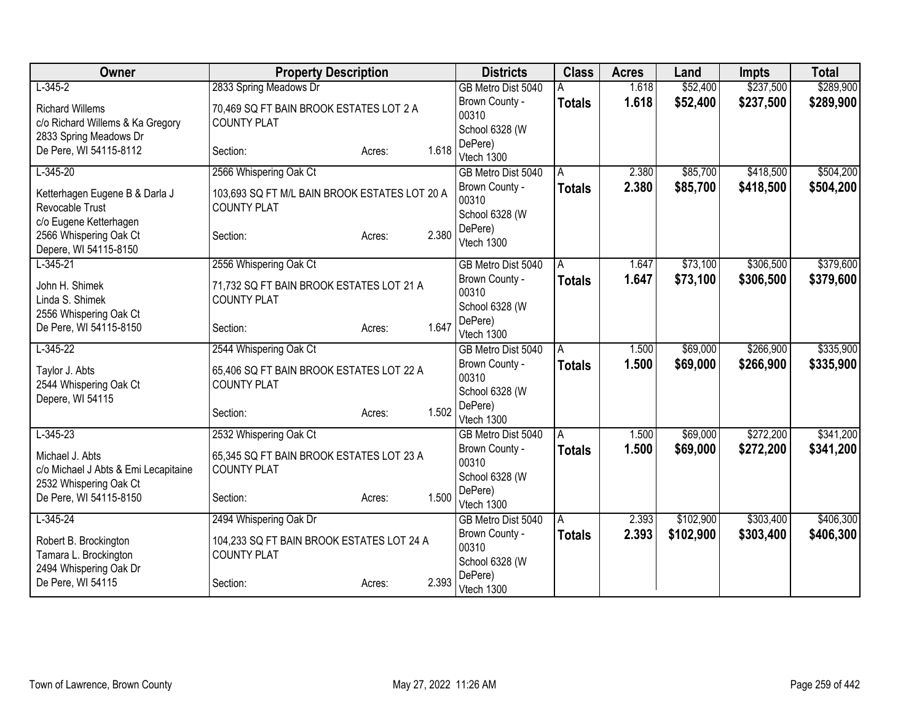| Owner                                                                                | <b>Property Description</b>                                         |                 | <b>Districts</b>                                     | <b>Class</b>  | <b>Acres</b> | Land      | <b>Impts</b> | <b>Total</b> |
|--------------------------------------------------------------------------------------|---------------------------------------------------------------------|-----------------|------------------------------------------------------|---------------|--------------|-----------|--------------|--------------|
| $L-345-2$                                                                            | 2833 Spring Meadows Dr                                              |                 | GB Metro Dist 5040                                   |               | 1.618        | \$52,400  | \$237,500    | \$289,900    |
| <b>Richard Willems</b><br>c/o Richard Willems & Ka Gregory<br>2833 Spring Meadows Dr | 70,469 SQ FT BAIN BROOK ESTATES LOT 2 A<br><b>COUNTY PLAT</b>       |                 | Brown County -<br>00310<br>School 6328 (W            | <b>Totals</b> | 1.618        | \$52,400  | \$237,500    | \$289,900    |
| De Pere, WI 54115-8112                                                               | Section:                                                            | 1.618<br>Acres: | DePere)<br>Vtech 1300                                |               |              |           |              |              |
| $L-345-20$                                                                           | 2566 Whispering Oak Ct                                              |                 | GB Metro Dist 5040                                   | A             | 2.380        | \$85,700  | \$418,500    | \$504,200    |
| Ketterhagen Eugene B & Darla J<br>Revocable Trust<br>c/o Eugene Ketterhagen          | 103,693 SQ FT M/L BAIN BROOK ESTATES LOT 20 A<br><b>COUNTY PLAT</b> |                 | Brown County -<br>00310<br>School 6328 (W<br>DePere) | <b>Totals</b> | 2.380        | \$85,700  | \$418,500    | \$504,200    |
| 2566 Whispering Oak Ct<br>Depere, WI 54115-8150                                      | Section:                                                            | 2.380<br>Acres: | Vtech 1300                                           |               |              |           |              |              |
| $L - 345 - 21$                                                                       | 2556 Whispering Oak Ct                                              |                 | GB Metro Dist 5040                                   | A             | 1.647        | \$73,100  | \$306,500    | \$379,600    |
| John H. Shimek<br>Linda S. Shimek                                                    | 71,732 SQ FT BAIN BROOK ESTATES LOT 21 A<br><b>COUNTY PLAT</b>      |                 | Brown County -<br>00310<br>School 6328 (W            | <b>Totals</b> | 1.647        | \$73,100  | \$306,500    | \$379,600    |
| 2556 Whispering Oak Ct<br>De Pere, WI 54115-8150                                     | Section:                                                            | 1.647<br>Acres: | DePere)<br>Vtech 1300                                |               |              |           |              |              |
| $L-345-22$                                                                           | 2544 Whispering Oak Ct                                              |                 | GB Metro Dist 5040                                   | A             | 1.500        | \$69,000  | \$266,900    | \$335,900    |
| Taylor J. Abts<br>2544 Whispering Oak Ct<br>Depere, WI 54115                         | 65,406 SQ FT BAIN BROOK ESTATES LOT 22 A<br><b>COUNTY PLAT</b>      |                 | Brown County -<br>00310<br>School 6328 (W            | <b>Totals</b> | 1.500        | \$69,000  | \$266,900    | \$335,900    |
|                                                                                      | Section:                                                            | 1.502<br>Acres: | DePere)<br>Vtech 1300                                |               |              |           |              |              |
| $L-345-23$                                                                           | 2532 Whispering Oak Ct                                              |                 | GB Metro Dist 5040                                   | A             | 1.500        | \$69,000  | \$272,200    | \$341,200    |
| Michael J. Abts<br>c/o Michael J Abts & Emi Lecapitaine<br>2532 Whispering Oak Ct    | 65,345 SQ FT BAIN BROOK ESTATES LOT 23 A<br><b>COUNTY PLAT</b>      |                 | Brown County -<br>00310<br>School 6328 (W            | <b>Totals</b> | 1.500        | \$69,000  | \$272,200    | \$341,200    |
| De Pere, WI 54115-8150                                                               | Section:                                                            | 1.500<br>Acres: | DePere)<br>Vtech 1300                                |               |              |           |              |              |
| $L-345-24$                                                                           | 2494 Whispering Oak Dr                                              |                 | GB Metro Dist 5040                                   | A             | 2.393        | \$102,900 | \$303,400    | \$406,300    |
| Robert B. Brockington<br>Tamara L. Brockington<br>2494 Whispering Oak Dr             | 104,233 SQ FT BAIN BROOK ESTATES LOT 24 A<br><b>COUNTY PLAT</b>     |                 | Brown County -<br>00310<br>School 6328 (W            | <b>Totals</b> | 2.393        | \$102,900 | \$303,400    | \$406,300    |
| De Pere, WI 54115                                                                    | Section:                                                            | 2.393<br>Acres: | DePere)<br>Vtech 1300                                |               |              |           |              |              |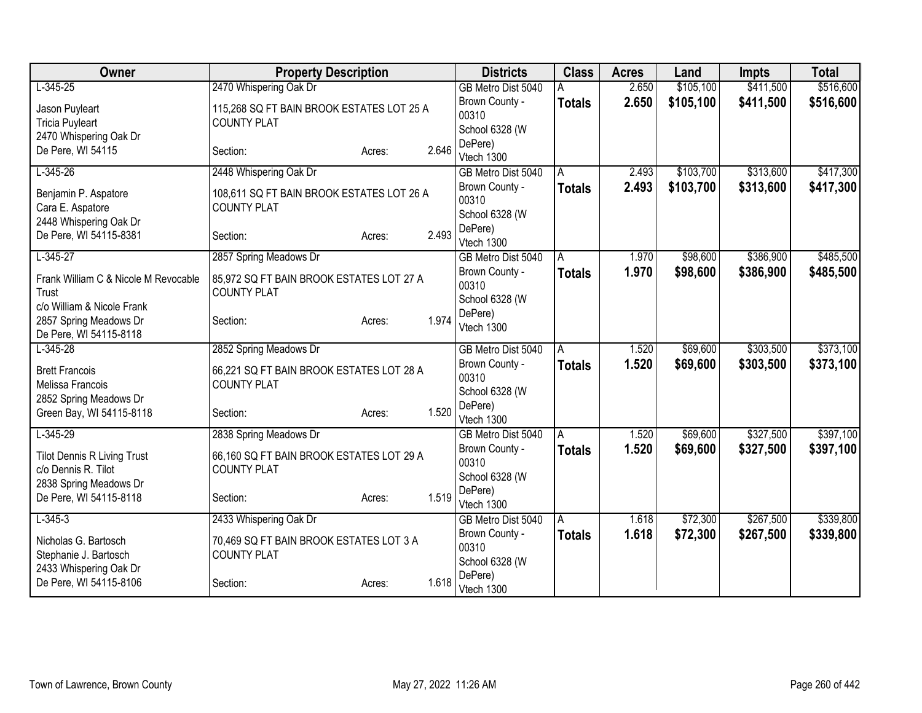| Owner                                            | <b>Property Description</b>               |        |       | <b>Districts</b>          | <b>Class</b>  | <b>Acres</b> | Land      | <b>Impts</b> | <b>Total</b> |
|--------------------------------------------------|-------------------------------------------|--------|-------|---------------------------|---------------|--------------|-----------|--------------|--------------|
| $L-345-25$                                       | 2470 Whispering Oak Dr                    |        |       | GB Metro Dist 5040        |               | 2.650        | \$105,100 | \$411,500    | \$516,600    |
| Jason Puyleart                                   | 115,268 SQ FT BAIN BROOK ESTATES LOT 25 A |        |       | Brown County -            | <b>Totals</b> | 2.650        | \$105,100 | \$411,500    | \$516,600    |
| <b>Tricia Puyleart</b>                           | <b>COUNTY PLAT</b>                        |        |       | 00310                     |               |              |           |              |              |
| 2470 Whispering Oak Dr                           |                                           |        |       | School 6328 (W            |               |              |           |              |              |
| De Pere, WI 54115                                | Section:                                  | Acres: | 2.646 | DePere)<br>Vtech 1300     |               |              |           |              |              |
| $L-345-26$                                       | 2448 Whispering Oak Dr                    |        |       | GB Metro Dist 5040        | A             | 2.493        | \$103,700 | \$313,600    | \$417,300    |
|                                                  |                                           |        |       | Brown County -            | <b>Totals</b> | 2.493        | \$103,700 | \$313,600    | \$417,300    |
| Benjamin P. Aspatore                             | 108,611 SQ FT BAIN BROOK ESTATES LOT 26 A |        |       | 00310                     |               |              |           |              |              |
| Cara E. Aspatore                                 | <b>COUNTY PLAT</b>                        |        |       | School 6328 (W            |               |              |           |              |              |
| 2448 Whispering Oak Dr<br>De Pere, WI 54115-8381 | Section:                                  | Acres: | 2.493 | DePere)                   |               |              |           |              |              |
|                                                  |                                           |        |       | Vtech 1300                |               |              |           |              |              |
| $L-345-27$                                       | 2857 Spring Meadows Dr                    |        |       | GB Metro Dist 5040        | A             | 1.970        | \$98,600  | \$386,900    | \$485,500    |
| Frank William C & Nicole M Revocable             | 85,972 SQ FT BAIN BROOK ESTATES LOT 27 A  |        |       | Brown County -            | <b>Totals</b> | 1.970        | \$98,600  | \$386,900    | \$485,500    |
| Trust                                            | <b>COUNTY PLAT</b>                        |        |       | 00310                     |               |              |           |              |              |
| c/o William & Nicole Frank                       |                                           |        |       | School 6328 (W<br>DePere) |               |              |           |              |              |
| 2857 Spring Meadows Dr                           | Section:                                  | Acres: | 1.974 | Vtech 1300                |               |              |           |              |              |
| De Pere, WI 54115-8118                           |                                           |        |       |                           |               |              |           |              |              |
| $L-345-28$                                       | 2852 Spring Meadows Dr                    |        |       | GB Metro Dist 5040        | A             | 1.520        | \$69,600  | \$303,500    | \$373,100    |
| <b>Brett Francois</b>                            | 66,221 SQ FT BAIN BROOK ESTATES LOT 28 A  |        |       | Brown County -            | <b>Totals</b> | 1.520        | \$69,600  | \$303,500    | \$373,100    |
| Melissa Francois                                 | <b>COUNTY PLAT</b>                        |        |       | 00310                     |               |              |           |              |              |
| 2852 Spring Meadows Dr                           |                                           |        |       | School 6328 (W            |               |              |           |              |              |
| Green Bay, WI 54115-8118                         | Section:                                  | Acres: | 1.520 | DePere)<br>Vtech 1300     |               |              |           |              |              |
| $L-345-29$                                       | 2838 Spring Meadows Dr                    |        |       | GB Metro Dist 5040        | A             | 1.520        | \$69,600  | \$327,500    | \$397,100    |
|                                                  |                                           |        |       | Brown County -            | <b>Totals</b> | 1.520        | \$69,600  | \$327,500    | \$397,100    |
| <b>Tilot Dennis R Living Trust</b>               | 66,160 SQ FT BAIN BROOK ESTATES LOT 29 A  |        |       | 00310                     |               |              |           |              |              |
| c/o Dennis R. Tilot                              | <b>COUNTY PLAT</b>                        |        |       | School 6328 (W            |               |              |           |              |              |
| 2838 Spring Meadows Dr<br>De Pere, WI 54115-8118 | Section:                                  |        | 1.519 | DePere)                   |               |              |           |              |              |
|                                                  |                                           | Acres: |       | Vtech 1300                |               |              |           |              |              |
| $L-345-3$                                        | 2433 Whispering Oak Dr                    |        |       | GB Metro Dist 5040        | A             | 1.618        | \$72,300  | \$267,500    | \$339,800    |
| Nicholas G. Bartosch                             | 70,469 SQ FT BAIN BROOK ESTATES LOT 3 A   |        |       | Brown County -            | <b>Totals</b> | 1.618        | \$72,300  | \$267,500    | \$339,800    |
| Stephanie J. Bartosch                            | <b>COUNTY PLAT</b>                        |        |       | 00310                     |               |              |           |              |              |
| 2433 Whispering Oak Dr                           |                                           |        |       | School 6328 (W<br>DePere) |               |              |           |              |              |
| De Pere, WI 54115-8106                           | Section:                                  | Acres: | 1.618 | Vtech 1300                |               |              |           |              |              |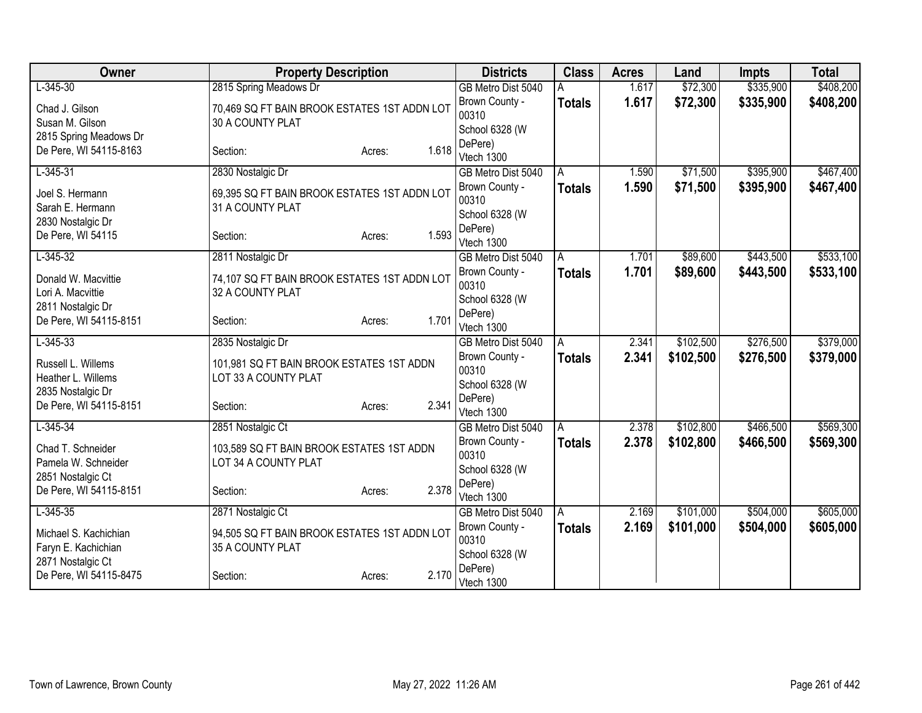| Owner                                    | <b>Property Description</b>                                       |                 | <b>Districts</b>                     | <b>Class</b>  | <b>Acres</b> | Land      | <b>Impts</b> | <b>Total</b> |
|------------------------------------------|-------------------------------------------------------------------|-----------------|--------------------------------------|---------------|--------------|-----------|--------------|--------------|
| $L-345-30$                               | 2815 Spring Meadows Dr                                            |                 | GB Metro Dist 5040                   |               | 1.617        | \$72,300  | \$335,900    | \$408,200    |
| Chad J. Gilson                           | 70,469 SQ FT BAIN BROOK ESTATES 1ST ADDN LOT                      |                 | Brown County -                       | <b>Totals</b> | 1.617        | \$72,300  | \$335,900    | \$408,200    |
| Susan M. Gilson                          | 30 A COUNTY PLAT                                                  |                 | 00310                                |               |              |           |              |              |
| 2815 Spring Meadows Dr                   |                                                                   |                 | School 6328 (W<br>DePere)            |               |              |           |              |              |
| De Pere, WI 54115-8163                   | Section:                                                          | 1.618<br>Acres: | Vtech 1300                           |               |              |           |              |              |
| $L - 345 - 31$                           | 2830 Nostalgic Dr                                                 |                 | GB Metro Dist 5040                   | A             | 1.590        | \$71,500  | \$395,900    | \$467,400    |
| Joel S. Hermann                          | 69,395 SQ FT BAIN BROOK ESTATES 1ST ADDN LOT                      |                 | Brown County -                       | <b>Totals</b> | 1.590        | \$71,500  | \$395,900    | \$467,400    |
| Sarah E. Hermann                         | 31 A COUNTY PLAT                                                  |                 | 00310                                |               |              |           |              |              |
| 2830 Nostalgic Dr                        |                                                                   |                 | School 6328 (W                       |               |              |           |              |              |
| De Pere, WI 54115                        | Section:                                                          | 1.593<br>Acres: | DePere)                              |               |              |           |              |              |
| $L-345-32$                               | 2811 Nostalgic Dr                                                 |                 | Vtech 1300<br>GB Metro Dist 5040     | A             | 1.701        | \$89,600  | \$443,500    | \$533,100    |
|                                          |                                                                   |                 | Brown County -                       | <b>Totals</b> | 1.701        | \$89,600  | \$443,500    | \$533,100    |
| Donald W. Macvittie                      | 74,107 SQ FT BAIN BROOK ESTATES 1ST ADDN LOT                      |                 | 00310                                |               |              |           |              |              |
| Lori A. Macvittie                        | 32 A COUNTY PLAT                                                  |                 | School 6328 (W                       |               |              |           |              |              |
| 2811 Nostalgic Dr                        |                                                                   | 1.701           | DePere)                              |               |              |           |              |              |
| De Pere, WI 54115-8151                   | Section:                                                          | Acres:          | Vtech 1300                           |               |              |           |              |              |
| $L - 345 - 33$                           | 2835 Nostalgic Dr                                                 |                 | GB Metro Dist 5040                   | A             | 2.341        | \$102,500 | \$276,500    | \$379,000    |
| Russell L. Willems                       | 101,981 SQ FT BAIN BROOK ESTATES 1ST ADDN                         |                 | Brown County -                       | <b>Totals</b> | 2.341        | \$102,500 | \$276,500    | \$379,000    |
| Heather L. Willems                       | LOT 33 A COUNTY PLAT                                              |                 | 00310                                |               |              |           |              |              |
| 2835 Nostalgic Dr                        |                                                                   |                 | School 6328 (W<br>DePere)            |               |              |           |              |              |
| De Pere, WI 54115-8151                   | Section:                                                          | 2.341<br>Acres: | Vtech 1300                           |               |              |           |              |              |
| $L - 345 - 34$                           | 2851 Nostalgic Ct                                                 |                 | GB Metro Dist 5040                   | A             | 2.378        | \$102,800 | \$466,500    | \$569,300    |
|                                          |                                                                   |                 | Brown County -                       | <b>Totals</b> | 2.378        | \$102,800 | \$466,500    | \$569,300    |
| Chad T. Schneider<br>Pamela W. Schneider | 103,589 SQ FT BAIN BROOK ESTATES 1ST ADDN<br>LOT 34 A COUNTY PLAT |                 | 00310                                |               |              |           |              |              |
| 2851 Nostalgic Ct                        |                                                                   |                 | School 6328 (W                       |               |              |           |              |              |
| De Pere, WI 54115-8151                   | Section:                                                          | 2.378<br>Acres: | DePere)                              |               |              |           |              |              |
|                                          |                                                                   |                 | Vtech 1300                           |               |              |           |              |              |
| $L-345-35$                               | 2871 Nostalgic Ct                                                 |                 | GB Metro Dist 5040<br>Brown County - | A             | 2.169        | \$101,000 | \$504,000    | \$605,000    |
| Michael S. Kachichian                    | 94,505 SQ FT BAIN BROOK ESTATES 1ST ADDN LOT                      |                 | 00310                                | <b>Totals</b> | 2.169        | \$101,000 | \$504,000    | \$605,000    |
| Faryn E. Kachichian                      | 35 A COUNTY PLAT                                                  |                 | School 6328 (W                       |               |              |           |              |              |
| 2871 Nostalgic Ct                        |                                                                   |                 | DePere)                              |               |              |           |              |              |
| De Pere, WI 54115-8475                   | Section:                                                          | 2.170<br>Acres: | Vtech 1300                           |               |              |           |              |              |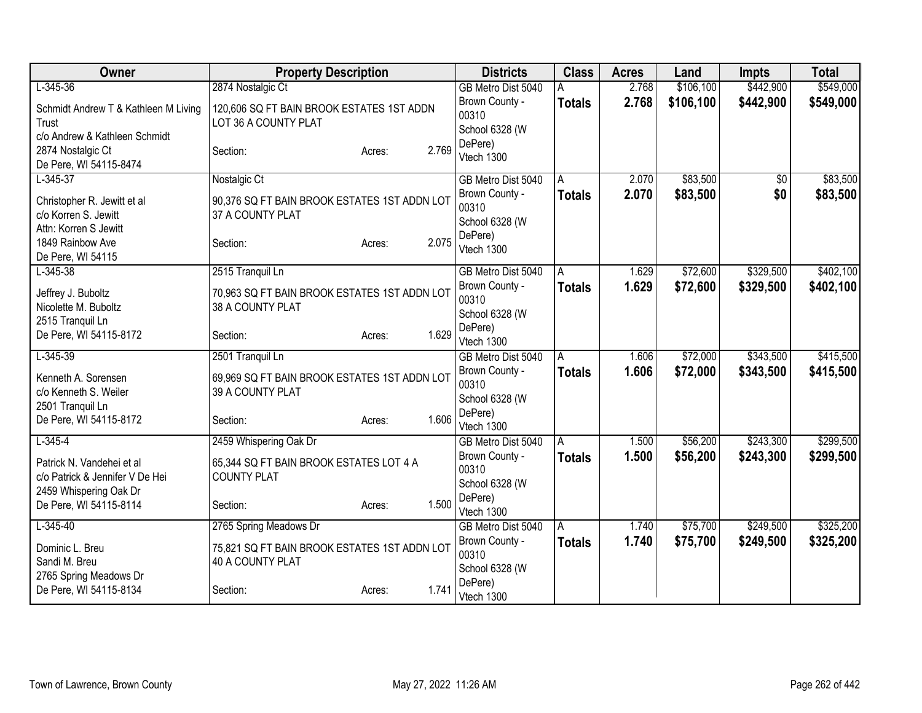| Owner                                                                                   | <b>Property Description</b>                                       |                 | <b>Districts</b>                          | <b>Class</b>   | <b>Acres</b> | Land      | <b>Impts</b> | <b>Total</b> |
|-----------------------------------------------------------------------------------------|-------------------------------------------------------------------|-----------------|-------------------------------------------|----------------|--------------|-----------|--------------|--------------|
| $L - 345 - 36$                                                                          | 2874 Nostalgic Ct                                                 |                 | GB Metro Dist 5040                        | A              | 2.768        | \$106,100 | \$442,900    | \$549,000    |
| Schmidt Andrew T & Kathleen M Living<br>Trust<br>c/o Andrew & Kathleen Schmidt          | 120,606 SQ FT BAIN BROOK ESTATES 1ST ADDN<br>LOT 36 A COUNTY PLAT |                 | Brown County -<br>00310<br>School 6328 (W | <b>Totals</b>  | 2.768        | \$106,100 | \$442,900    | \$549,000    |
| 2874 Nostalgic Ct<br>De Pere, WI 54115-8474                                             | Section:                                                          | 2.769<br>Acres: | DePere)<br>Vtech 1300                     |                |              |           |              |              |
| $L - 345 - 37$                                                                          | Nostalgic Ct                                                      |                 | GB Metro Dist 5040                        | A              | 2.070        | \$83,500  | \$0          | \$83,500     |
| Christopher R. Jewitt et al<br>c/o Korren S. Jewitt<br>Attn: Korren S Jewitt            | 90,376 SQ FT BAIN BROOK ESTATES 1ST ADDN LOT<br>37 A COUNTY PLAT  |                 | Brown County -<br>00310<br>School 6328 (W | Totals         | 2.070        | \$83,500  | \$0          | \$83,500     |
| 1849 Rainbow Ave<br>De Pere, WI 54115                                                   | Section:                                                          | 2.075<br>Acres: | DePere)<br>Vtech 1300                     |                |              |           |              |              |
| $L - 345 - 38$                                                                          | 2515 Tranquil Ln                                                  |                 | GB Metro Dist 5040                        | $\overline{A}$ | 1.629        | \$72,600  | \$329,500    | \$402,100    |
| Jeffrey J. Buboltz<br>Nicolette M. Buboltz                                              | 70,963 SQ FT BAIN BROOK ESTATES 1ST ADDN LOT<br>38 A COUNTY PLAT  |                 | Brown County -<br>00310<br>School 6328 (W | <b>Totals</b>  | 1.629        | \$72,600  | \$329,500    | \$402,100    |
| 2515 Tranquil Ln<br>De Pere, WI 54115-8172                                              | Section:                                                          | 1.629<br>Acres: | DePere)<br>Vtech 1300                     |                |              |           |              |              |
| $L-345-39$                                                                              | 2501 Tranquil Ln                                                  |                 | GB Metro Dist 5040                        | A              | 1.606        | \$72,000  | \$343,500    | \$415,500    |
| Kenneth A. Sorensen<br>c/o Kenneth S. Weiler<br>2501 Tranquil Ln                        | 69,969 SQ FT BAIN BROOK ESTATES 1ST ADDN LOT<br>39 A COUNTY PLAT  |                 | Brown County -<br>00310<br>School 6328 (W | <b>Totals</b>  | 1.606        | \$72,000  | \$343,500    | \$415,500    |
| De Pere, WI 54115-8172                                                                  | Section:                                                          | 1.606<br>Acres: | DePere)<br>Vtech 1300                     |                |              |           |              |              |
| $L - 345 - 4$                                                                           | 2459 Whispering Oak Dr                                            |                 | GB Metro Dist 5040                        | A              | 1.500        | \$56,200  | \$243,300    | \$299,500    |
| Patrick N. Vandehei et al.<br>c/o Patrick & Jennifer V De Hei<br>2459 Whispering Oak Dr | 65,344 SQ FT BAIN BROOK ESTATES LOT 4 A<br><b>COUNTY PLAT</b>     |                 | Brown County -<br>00310<br>School 6328 (W | <b>Totals</b>  | 1.500        | \$56,200  | \$243,300    | \$299,500    |
| De Pere, WI 54115-8114                                                                  | Section:                                                          | 1.500<br>Acres: | DePere)<br>Vtech 1300                     |                |              |           |              |              |
| $L-345-40$                                                                              | 2765 Spring Meadows Dr                                            |                 | GB Metro Dist 5040                        | A              | 1.740        | \$75,700  | \$249,500    | \$325,200    |
| Dominic L. Breu<br>Sandi M. Breu<br>2765 Spring Meadows Dr                              | 75,821 SQ FT BAIN BROOK ESTATES 1ST ADDN LOT<br>40 A COUNTY PLAT  |                 | Brown County -<br>00310<br>School 6328 (W | Totals         | 1.740        | \$75,700  | \$249,500    | \$325,200    |
| De Pere, WI 54115-8134                                                                  | Section:                                                          | 1.741<br>Acres: | DePere)<br>Vtech 1300                     |                |              |           |              |              |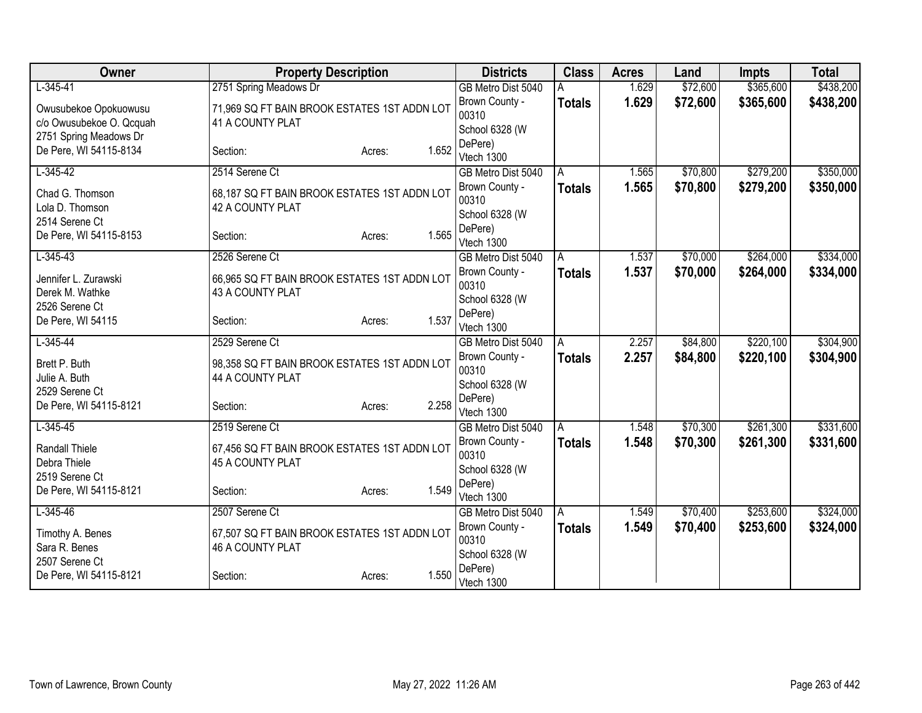| Owner                              | <b>Property Description</b>                                      |                 | <b>Districts</b>          | <b>Class</b>  | <b>Acres</b> | Land     | <b>Impts</b> | <b>Total</b> |
|------------------------------------|------------------------------------------------------------------|-----------------|---------------------------|---------------|--------------|----------|--------------|--------------|
| $L-345-41$                         | 2751 Spring Meadows Dr                                           |                 | GB Metro Dist 5040        |               | 1.629        | \$72,600 | \$365,600    | \$438,200    |
| Owusubekoe Opokuowusu              | 71,969 SQ FT BAIN BROOK ESTATES 1ST ADDN LOT                     |                 | Brown County -            | <b>Totals</b> | 1.629        | \$72,600 | \$365,600    | \$438,200    |
| c/o Owusubekoe O. Qcquah           | 41 A COUNTY PLAT                                                 |                 | 00310                     |               |              |          |              |              |
| 2751 Spring Meadows Dr             |                                                                  |                 | School 6328 (W<br>DePere) |               |              |          |              |              |
| De Pere, WI 54115-8134             | Section:                                                         | 1.652<br>Acres: | Vtech 1300                |               |              |          |              |              |
| $L-345-42$                         | 2514 Serene Ct                                                   |                 | GB Metro Dist 5040        | A             | 1.565        | \$70,800 | \$279,200    | \$350,000    |
|                                    |                                                                  |                 | Brown County -            | <b>Totals</b> | 1.565        | \$70,800 | \$279,200    | \$350,000    |
| Chad G. Thomson<br>Lola D. Thomson | 68,187 SQ FT BAIN BROOK ESTATES 1ST ADDN LOT<br>42 A COUNTY PLAT |                 | 00310                     |               |              |          |              |              |
| 2514 Serene Ct                     |                                                                  |                 | School 6328 (W            |               |              |          |              |              |
| De Pere, WI 54115-8153             | Section:                                                         | 1.565<br>Acres: | DePere)                   |               |              |          |              |              |
|                                    |                                                                  |                 | Vtech 1300                |               |              |          |              |              |
| $L-345-43$                         | 2526 Serene Ct                                                   |                 | GB Metro Dist 5040        | A             | 1.537        | \$70,000 | \$264,000    | \$334,000    |
| Jennifer L. Zurawski               | 66,965 SQ FT BAIN BROOK ESTATES 1ST ADDN LOT                     |                 | Brown County -<br>00310   | <b>Totals</b> | 1.537        | \$70,000 | \$264,000    | \$334,000    |
| Derek M. Wathke                    | 43 A COUNTY PLAT                                                 |                 | School 6328 (W            |               |              |          |              |              |
| 2526 Serene Ct                     |                                                                  |                 | DePere)                   |               |              |          |              |              |
| De Pere, WI 54115                  | Section:                                                         | 1.537<br>Acres: | Vtech 1300                |               |              |          |              |              |
| $L-345-44$                         | 2529 Serene Ct                                                   |                 | GB Metro Dist 5040        | A             | 2.257        | \$84,800 | \$220,100    | \$304,900    |
| Brett P. Buth                      | 98,358 SQ FT BAIN BROOK ESTATES 1ST ADDN LOT                     |                 | Brown County -            | <b>Totals</b> | 2.257        | \$84,800 | \$220,100    | \$304,900    |
| Julie A. Buth                      | 44 A COUNTY PLAT                                                 |                 | 00310                     |               |              |          |              |              |
| 2529 Serene Ct                     |                                                                  |                 | School 6328 (W            |               |              |          |              |              |
| De Pere, WI 54115-8121             | Section:                                                         | 2.258<br>Acres: | DePere)<br>Vtech 1300     |               |              |          |              |              |
| $L - 345 - 45$                     | 2519 Serene Ct                                                   |                 | GB Metro Dist 5040        | A             | 1.548        | \$70,300 | \$261,300    | \$331,600    |
|                                    |                                                                  |                 | Brown County -            | <b>Totals</b> | 1.548        | \$70,300 | \$261,300    | \$331,600    |
| Randall Thiele                     | 67,456 SQ FT BAIN BROOK ESTATES 1ST ADDN LOT                     |                 | 00310                     |               |              |          |              |              |
| Debra Thiele<br>2519 Serene Ct     | 45 A COUNTY PLAT                                                 |                 | School 6328 (W            |               |              |          |              |              |
| De Pere, WI 54115-8121             | Section:                                                         | 1.549<br>Acres: | DePere)                   |               |              |          |              |              |
|                                    |                                                                  |                 | Vtech 1300                |               |              |          |              |              |
| $L-345-46$                         | 2507 Serene Ct                                                   |                 | GB Metro Dist 5040        | A             | 1.549        | \$70,400 | \$253,600    | \$324,000    |
| Timothy A. Benes                   | 67,507 SQ FT BAIN BROOK ESTATES 1ST ADDN LOT                     |                 | Brown County -            | <b>Totals</b> | 1.549        | \$70,400 | \$253,600    | \$324,000    |
| Sara R. Benes                      | 46 A COUNTY PLAT                                                 |                 | 00310<br>School 6328 (W   |               |              |          |              |              |
| 2507 Serene Ct                     |                                                                  |                 | DePere)                   |               |              |          |              |              |
| De Pere, WI 54115-8121             | Section:                                                         | 1.550<br>Acres: | Vtech 1300                |               |              |          |              |              |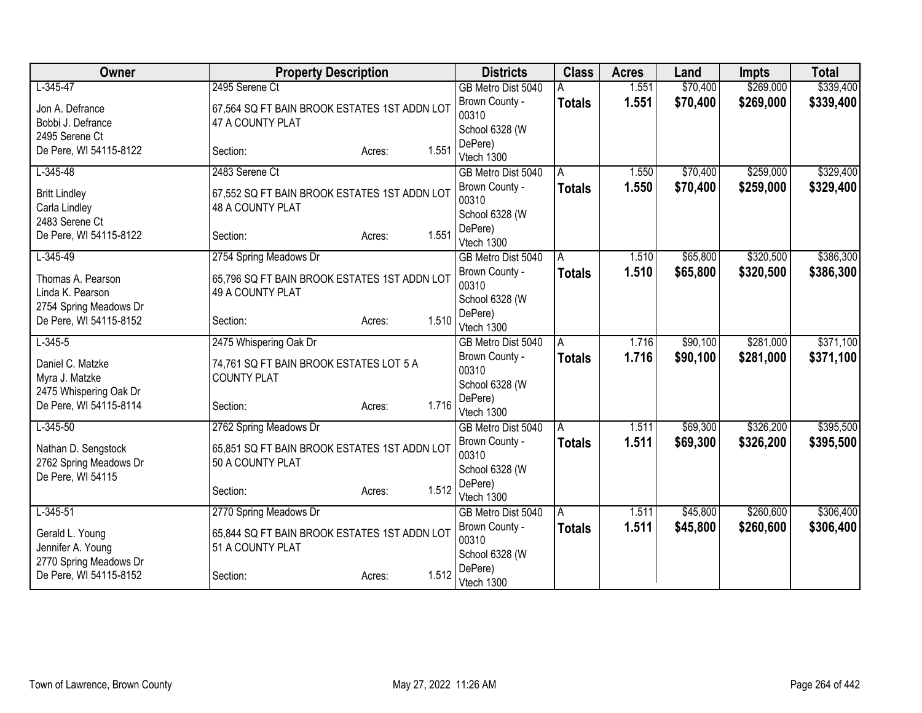| Owner                                            | <b>Property Description</b>                  |                 | <b>Districts</b>                 | <b>Class</b>  | <b>Acres</b> | Land     | <b>Impts</b> | <b>Total</b> |
|--------------------------------------------------|----------------------------------------------|-----------------|----------------------------------|---------------|--------------|----------|--------------|--------------|
| $L-345-47$                                       | 2495 Serene Ct                               |                 | GB Metro Dist 5040               |               | 1.551        | \$70,400 | \$269,000    | \$339,400    |
| Jon A. Defrance                                  | 67,564 SQ FT BAIN BROOK ESTATES 1ST ADDN LOT |                 | Brown County -                   | <b>Totals</b> | 1.551        | \$70,400 | \$269,000    | \$339,400    |
| Bobbi J. Defrance                                | 47 A COUNTY PLAT                             |                 | 00310                            |               |              |          |              |              |
| 2495 Serene Ct                                   |                                              |                 | School 6328 (W<br>DePere)        |               |              |          |              |              |
| De Pere, WI 54115-8122                           | Section:                                     | 1.551<br>Acres: | Vtech 1300                       |               |              |          |              |              |
| $L-345-48$                                       | 2483 Serene Ct                               |                 | GB Metro Dist 5040               | A             | 1.550        | \$70,400 | \$259,000    | \$329,400    |
| <b>Britt Lindley</b>                             | 67,552 SQ FT BAIN BROOK ESTATES 1ST ADDN LOT |                 | Brown County -                   | <b>Totals</b> | 1.550        | \$70,400 | \$259,000    | \$329,400    |
| Carla Lindley                                    | 48 A COUNTY PLAT                             |                 | 00310                            |               |              |          |              |              |
| 2483 Serene Ct                                   |                                              |                 | School 6328 (W                   |               |              |          |              |              |
| De Pere, WI 54115-8122                           | Section:                                     | 1.551<br>Acres: | DePere)                          |               |              |          |              |              |
| $L-345-49$                                       | 2754 Spring Meadows Dr                       |                 | Vtech 1300<br>GB Metro Dist 5040 | A             | 1.510        | \$65,800 | \$320,500    | \$386,300    |
|                                                  |                                              |                 | Brown County -                   | <b>Totals</b> | 1.510        | \$65,800 | \$320,500    | \$386,300    |
| Thomas A. Pearson                                | 65,796 SQ FT BAIN BROOK ESTATES 1ST ADDN LOT |                 | 00310                            |               |              |          |              |              |
| Linda K. Pearson                                 | 49 A COUNTY PLAT                             |                 | School 6328 (W                   |               |              |          |              |              |
| 2754 Spring Meadows Dr<br>De Pere, WI 54115-8152 | Section:                                     | 1.510           | DePere)                          |               |              |          |              |              |
|                                                  |                                              | Acres:          | Vtech 1300                       |               |              |          |              |              |
| $L-345-5$                                        | 2475 Whispering Oak Dr                       |                 | GB Metro Dist 5040               | Α             | 1.716        | \$90,100 | \$281,000    | \$371,100    |
| Daniel C. Matzke                                 | 74,761 SQ FT BAIN BROOK ESTATES LOT 5 A      |                 | Brown County -                   | <b>Totals</b> | 1.716        | \$90,100 | \$281,000    | \$371,100    |
| Myra J. Matzke                                   | <b>COUNTY PLAT</b>                           |                 | 00310<br>School 6328 (W          |               |              |          |              |              |
| 2475 Whispering Oak Dr                           |                                              |                 | DePere)                          |               |              |          |              |              |
| De Pere, WI 54115-8114                           | Section:                                     | 1.716<br>Acres: | Vtech 1300                       |               |              |          |              |              |
| $L-345-50$                                       | 2762 Spring Meadows Dr                       |                 | GB Metro Dist 5040               | Α             | 1.511        | \$69,300 | \$326,200    | \$395,500    |
| Nathan D. Sengstock                              | 65,851 SQ FT BAIN BROOK ESTATES 1ST ADDN LOT |                 | Brown County -                   | <b>Totals</b> | 1.511        | \$69,300 | \$326,200    | \$395,500    |
| 2762 Spring Meadows Dr                           | 50 A COUNTY PLAT                             |                 | 00310                            |               |              |          |              |              |
| De Pere, WI 54115                                |                                              |                 | School 6328 (W                   |               |              |          |              |              |
|                                                  | Section:                                     | 1.512<br>Acres: | DePere)                          |               |              |          |              |              |
| $L-345-51$                                       | 2770 Spring Meadows Dr                       |                 | Vtech 1300<br>GB Metro Dist 5040 | A             | 1.511        | \$45,800 | \$260,600    | \$306,400    |
|                                                  |                                              |                 | Brown County -                   | <b>Totals</b> | 1.511        | \$45,800 | \$260,600    | \$306,400    |
| Gerald L. Young                                  | 65,844 SQ FT BAIN BROOK ESTATES 1ST ADDN LOT |                 | 00310                            |               |              |          |              |              |
| Jennifer A. Young                                | 51 A COUNTY PLAT                             |                 | School 6328 (W                   |               |              |          |              |              |
| 2770 Spring Meadows Dr<br>De Pere, WI 54115-8152 | Section:                                     | 1.512           | DePere)                          |               |              |          |              |              |
|                                                  |                                              | Acres:          | Vtech 1300                       |               |              |          |              |              |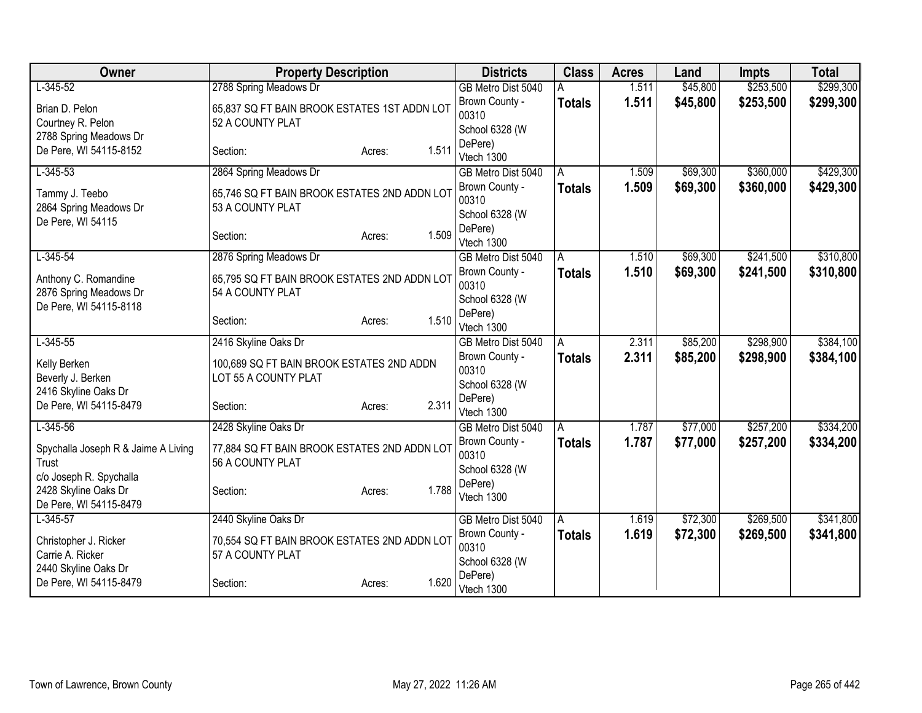| Owner                                                                   | <b>Property Description</b>                                                                |                 | <b>Districts</b>                                                | <b>Class</b>       | <b>Acres</b>   | Land                 | <b>Impts</b>           | <b>Total</b>           |
|-------------------------------------------------------------------------|--------------------------------------------------------------------------------------------|-----------------|-----------------------------------------------------------------|--------------------|----------------|----------------------|------------------------|------------------------|
| $L-345-52$                                                              | 2788 Spring Meadows Dr                                                                     |                 | GB Metro Dist 5040                                              |                    | 1.511          | \$45,800             | \$253,500              | \$299,300              |
| Brian D. Pelon<br>Courtney R. Pelon                                     | 65,837 SQ FT BAIN BROOK ESTATES 1ST ADDN LOT<br>52 A COUNTY PLAT                           |                 | Brown County -<br>00310                                         | <b>Totals</b>      | 1.511          | \$45,800             | \$253,500              | \$299,300              |
| 2788 Spring Meadows Dr<br>De Pere, WI 54115-8152                        | Section:                                                                                   | 1.511<br>Acres: | School 6328 (W<br>DePere)<br>Vtech 1300                         |                    |                |                      |                        |                        |
| $L-345-53$                                                              | 2864 Spring Meadows Dr                                                                     |                 | GB Metro Dist 5040                                              | A                  | 1.509          | \$69,300             | \$360,000              | \$429,300              |
| Tammy J. Teebo<br>2864 Spring Meadows Dr                                | 65,746 SQ FT BAIN BROOK ESTATES 2ND ADDN LOT<br>53 A COUNTY PLAT                           |                 | Brown County -<br>00310<br>School 6328 (W                       | <b>Totals</b>      | 1.509          | \$69,300             | \$360,000              | \$429,300              |
| De Pere, WI 54115                                                       | Section:                                                                                   | 1.509<br>Acres: | DePere)<br>Vtech 1300                                           |                    |                |                      |                        |                        |
| $L-345-54$<br>Anthony C. Romandine<br>2876 Spring Meadows Dr            | 2876 Spring Meadows Dr<br>65,795 SQ FT BAIN BROOK ESTATES 2ND ADDN LOT<br>54 A COUNTY PLAT |                 | GB Metro Dist 5040<br>Brown County -<br>00310<br>School 6328 (W | A<br><b>Totals</b> | 1.510<br>1.510 | \$69,300<br>\$69,300 | \$241,500<br>\$241,500 | \$310,800<br>\$310,800 |
| De Pere, WI 54115-8118                                                  | Section:                                                                                   | 1.510<br>Acres: | DePere)<br>Vtech 1300                                           |                    |                |                      |                        |                        |
| $L-345-55$                                                              | 2416 Skyline Oaks Dr                                                                       |                 | GB Metro Dist 5040                                              | A                  | 2.311          | \$85,200             | \$298,900              | \$384,100              |
| Kelly Berken<br>Beverly J. Berken<br>2416 Skyline Oaks Dr               | 100,689 SQ FT BAIN BROOK ESTATES 2ND ADDN<br>LOT 55 A COUNTY PLAT                          |                 | Brown County -<br>00310<br>School 6328 (W                       | Totals             | 2.311          | \$85,200             | \$298,900              | \$384,100              |
| De Pere, WI 54115-8479                                                  | Section:                                                                                   | 2.311<br>Acres: | DePere)<br>Vtech 1300                                           |                    |                |                      |                        |                        |
| $L-345-56$                                                              | 2428 Skyline Oaks Dr                                                                       |                 | GB Metro Dist 5040                                              | A                  | 1.787          | \$77,000             | \$257,200              | \$334,200              |
| Spychalla Joseph R & Jaime A Living<br>Trust<br>c/o Joseph R. Spychalla | 77,884 SQ FT BAIN BROOK ESTATES 2ND ADDN LOT<br>56 A COUNTY PLAT                           |                 | Brown County -<br>00310<br>School 6328 (W                       | <b>Totals</b>      | 1.787          | \$77,000             | \$257,200              | \$334,200              |
| 2428 Skyline Oaks Dr<br>De Pere, WI 54115-8479                          | Section:                                                                                   | 1.788<br>Acres: | DePere)<br>Vtech 1300                                           |                    |                |                      |                        |                        |
| $L-345-57$                                                              | 2440 Skyline Oaks Dr                                                                       |                 | GB Metro Dist 5040                                              | A                  | 1.619          | \$72,300             | \$269,500              | \$341,800              |
| Christopher J. Ricker<br>Carrie A. Ricker<br>2440 Skyline Oaks Dr       | 70,554 SQ FT BAIN BROOK ESTATES 2ND ADDN LOT<br>57 A COUNTY PLAT                           |                 | Brown County -<br>00310<br>School 6328 (W                       | <b>Totals</b>      | 1.619          | \$72,300             | \$269,500              | \$341,800              |
| De Pere, WI 54115-8479                                                  | Section:                                                                                   | 1.620<br>Acres: | DePere)<br>Vtech 1300                                           |                    |                |                      |                        |                        |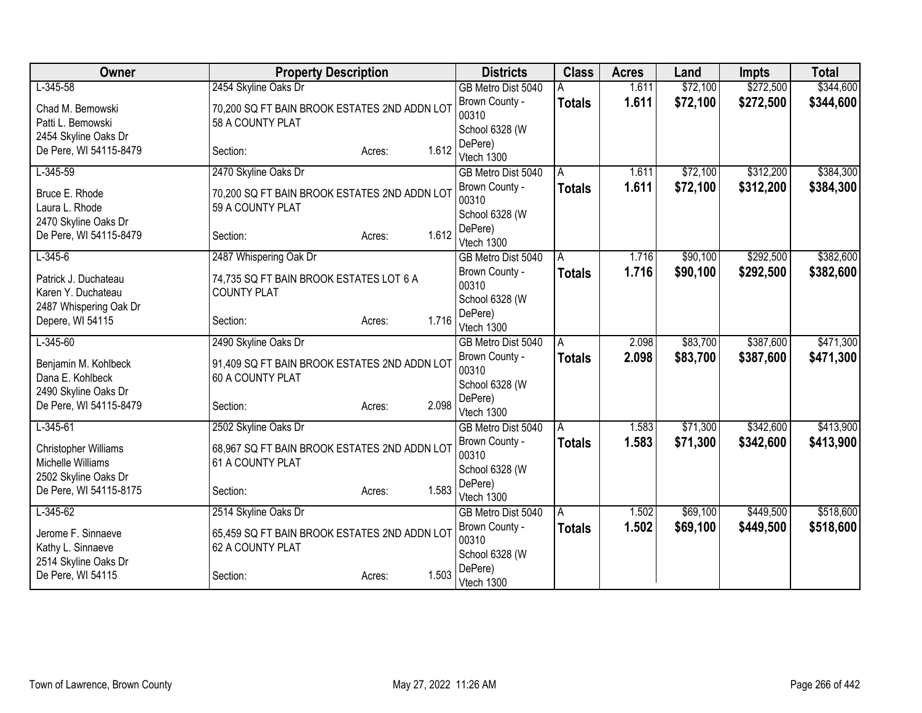| Owner                  | <b>Property Description</b>                  |                 | <b>Districts</b>                     | <b>Class</b>       | <b>Acres</b> | Land     | <b>Impts</b> | <b>Total</b> |
|------------------------|----------------------------------------------|-----------------|--------------------------------------|--------------------|--------------|----------|--------------|--------------|
| $L-345-58$             | 2454 Skyline Oaks Dr                         |                 | GB Metro Dist 5040                   |                    | 1.611        | \$72,100 | \$272,500    | \$344,600    |
| Chad M. Bemowski       | 70,200 SQ FT BAIN BROOK ESTATES 2ND ADDN LOT |                 | Brown County -                       | <b>Totals</b>      | 1.611        | \$72,100 | \$272,500    | \$344,600    |
| Patti L. Bemowski      | 58 A COUNTY PLAT                             |                 | 00310                                |                    |              |          |              |              |
| 2454 Skyline Oaks Dr   |                                              |                 | School 6328 (W<br>DePere)            |                    |              |          |              |              |
| De Pere, WI 54115-8479 | Section:                                     | 1.612<br>Acres: | Vtech 1300                           |                    |              |          |              |              |
| $L-345-59$             | 2470 Skyline Oaks Dr                         |                 | GB Metro Dist 5040                   | A                  | 1.611        | \$72,100 | \$312,200    | \$384,300    |
| Bruce E. Rhode         | 70,200 SQ FT BAIN BROOK ESTATES 2ND ADDN LOT |                 | Brown County -                       | <b>Totals</b>      | 1.611        | \$72,100 | \$312,200    | \$384,300    |
| Laura L. Rhode         | 59 A COUNTY PLAT                             |                 | 00310                                |                    |              |          |              |              |
| 2470 Skyline Oaks Dr   |                                              |                 | School 6328 (W                       |                    |              |          |              |              |
| De Pere, WI 54115-8479 | Section:                                     | 1.612<br>Acres: | DePere)                              |                    |              |          |              |              |
| $L-345-6$              | 2487 Whispering Oak Dr                       |                 | Vtech 1300<br>GB Metro Dist 5040     | A                  | 1.716        | \$90,100 | \$292,500    | \$382,600    |
|                        |                                              |                 | Brown County -                       | <b>Totals</b>      | 1.716        | \$90,100 | \$292,500    | \$382,600    |
| Patrick J. Duchateau   | 74,735 SQ FT BAIN BROOK ESTATES LOT 6 A      |                 | 00310                                |                    |              |          |              |              |
| Karen Y. Duchateau     | <b>COUNTY PLAT</b>                           |                 | School 6328 (W                       |                    |              |          |              |              |
| 2487 Whispering Oak Dr | Section:                                     | 1.716           | DePere)                              |                    |              |          |              |              |
| Depere, WI 54115       |                                              | Acres:          | Vtech 1300                           |                    |              |          |              |              |
| $L - 345 - 60$         | 2490 Skyline Oaks Dr                         |                 | GB Metro Dist 5040                   | A                  | 2.098        | \$83,700 | \$387,600    | \$471,300    |
| Benjamin M. Kohlbeck   | 91,409 SQ FT BAIN BROOK ESTATES 2ND ADDN LOT |                 | Brown County -                       | <b>Totals</b>      | 2.098        | \$83,700 | \$387,600    | \$471,300    |
| Dana E. Kohlbeck       | 60 A COUNTY PLAT                             |                 | 00310<br>School 6328 (W              |                    |              |          |              |              |
| 2490 Skyline Oaks Dr   |                                              |                 | DePere)                              |                    |              |          |              |              |
| De Pere, WI 54115-8479 | Section:                                     | 2.098<br>Acres: | Vtech 1300                           |                    |              |          |              |              |
| $L-345-61$             | 2502 Skyline Oaks Dr                         |                 | GB Metro Dist 5040                   | Α                  | 1.583        | \$71,300 | \$342,600    | \$413,900    |
| Christopher Williams   | 68,967 SQ FT BAIN BROOK ESTATES 2ND ADDN LOT |                 | Brown County -                       | <b>Totals</b>      | 1.583        | \$71,300 | \$342,600    | \$413,900    |
| Michelle Williams      | 61 A COUNTY PLAT                             |                 | 00310                                |                    |              |          |              |              |
| 2502 Skyline Oaks Dr   |                                              |                 | School 6328 (W                       |                    |              |          |              |              |
| De Pere, WI 54115-8175 | Section:                                     | 1.583<br>Acres: | DePere)                              |                    |              |          |              |              |
| $L - 345 - 62$         | 2514 Skyline Oaks Dr                         |                 | Vtech 1300                           |                    | 1.502        | \$69,100 | \$449,500    | \$518,600    |
|                        |                                              |                 | GB Metro Dist 5040<br>Brown County - | A<br><b>Totals</b> | 1.502        | \$69,100 | \$449,500    | \$518,600    |
| Jerome F. Sinnaeve     | 65,459 SQ FT BAIN BROOK ESTATES 2ND ADDN LOT |                 | 00310                                |                    |              |          |              |              |
| Kathy L. Sinnaeve      | 62 A COUNTY PLAT                             |                 | School 6328 (W                       |                    |              |          |              |              |
| 2514 Skyline Oaks Dr   |                                              | 1.503           | DePere)                              |                    |              |          |              |              |
| De Pere, WI 54115      | Section:                                     | Acres:          | Vtech 1300                           |                    |              |          |              |              |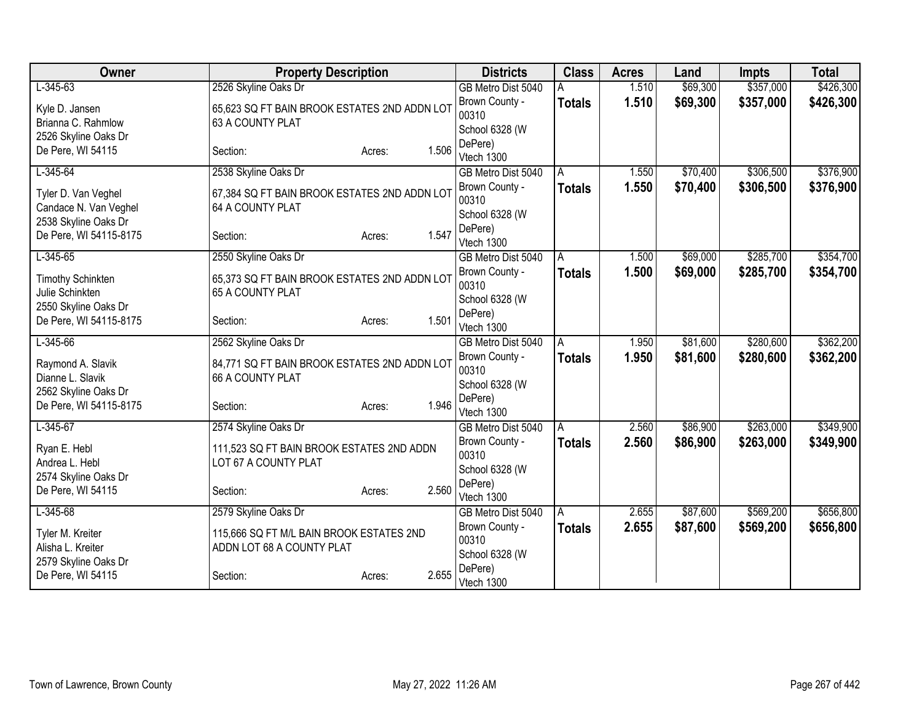| Owner                                          | <b>Property Description</b>                                      |                 | <b>Districts</b>                     | <b>Class</b>  | <b>Acres</b> | Land     | <b>Impts</b> | <b>Total</b> |
|------------------------------------------------|------------------------------------------------------------------|-----------------|--------------------------------------|---------------|--------------|----------|--------------|--------------|
| $L-345-63$                                     | 2526 Skyline Oaks Dr                                             |                 | GB Metro Dist 5040                   |               | 1.510        | \$69,300 | \$357,000    | \$426,300    |
| Kyle D. Jansen                                 | 65,623 SQ FT BAIN BROOK ESTATES 2ND ADDN LOT                     |                 | Brown County -                       | <b>Totals</b> | 1.510        | \$69,300 | \$357,000    | \$426,300    |
| Brianna C. Rahmlow                             | 63 A COUNTY PLAT                                                 |                 | 00310                                |               |              |          |              |              |
| 2526 Skyline Oaks Dr                           |                                                                  |                 | School 6328 (W<br>DePere)            |               |              |          |              |              |
| De Pere, WI 54115                              | Section:                                                         | 1.506<br>Acres: | Vtech 1300                           |               |              |          |              |              |
| $L-345-64$                                     | 2538 Skyline Oaks Dr                                             |                 | GB Metro Dist 5040                   | A             | 1.550        | \$70,400 | \$306,500    | \$376,900    |
|                                                |                                                                  |                 | Brown County -                       | <b>Totals</b> | 1.550        | \$70,400 | \$306,500    | \$376,900    |
| Tyler D. Van Veghel<br>Candace N. Van Veghel   | 67,384 SQ FT BAIN BROOK ESTATES 2ND ADDN LOT<br>64 A COUNTY PLAT |                 | 00310                                |               |              |          |              |              |
| 2538 Skyline Oaks Dr                           |                                                                  |                 | School 6328 (W                       |               |              |          |              |              |
| De Pere, WI 54115-8175                         | Section:                                                         | 1.547<br>Acres: | DePere)                              |               |              |          |              |              |
| $L-345-65$                                     | 2550 Skyline Oaks Dr                                             |                 | Vtech 1300<br>GB Metro Dist 5040     | A             | 1.500        | \$69,000 | \$285,700    | \$354,700    |
|                                                |                                                                  |                 | Brown County -                       | <b>Totals</b> | 1.500        | \$69,000 | \$285,700    | \$354,700    |
| <b>Timothy Schinkten</b>                       | 65,373 SQ FT BAIN BROOK ESTATES 2ND ADDN LOT                     |                 | 00310                                |               |              |          |              |              |
| Julie Schinkten                                | 65 A COUNTY PLAT                                                 |                 | School 6328 (W                       |               |              |          |              |              |
| 2550 Skyline Oaks Dr<br>De Pere, WI 54115-8175 |                                                                  | 1.501           | DePere)                              |               |              |          |              |              |
|                                                | Section:                                                         | Acres:          | Vtech 1300                           |               |              |          |              |              |
| $L-345-66$                                     | 2562 Skyline Oaks Dr                                             |                 | GB Metro Dist 5040                   | A             | 1.950        | \$81,600 | \$280,600    | \$362,200    |
| Raymond A. Slavik                              | 84,771 SQ FT BAIN BROOK ESTATES 2ND ADDN LOT                     |                 | Brown County -                       | <b>Totals</b> | 1.950        | \$81,600 | \$280,600    | \$362,200    |
| Dianne L. Slavik                               | 66 A COUNTY PLAT                                                 |                 | 00310                                |               |              |          |              |              |
| 2562 Skyline Oaks Dr                           |                                                                  |                 | School 6328 (W<br>DePere)            |               |              |          |              |              |
| De Pere, WI 54115-8175                         | Section:                                                         | 1.946<br>Acres: | Vtech 1300                           |               |              |          |              |              |
| $L - 345 - 67$                                 | 2574 Skyline Oaks Dr                                             |                 | GB Metro Dist 5040                   | A             | 2.560        | \$86,900 | \$263,000    | \$349,900    |
| Ryan E. Hebl                                   | 111,523 SQ FT BAIN BROOK ESTATES 2ND ADDN                        |                 | Brown County -                       | <b>Totals</b> | 2.560        | \$86,900 | \$263,000    | \$349,900    |
| Andrea L. Hebl                                 | LOT 67 A COUNTY PLAT                                             |                 | 00310                                |               |              |          |              |              |
| 2574 Skyline Oaks Dr                           |                                                                  |                 | School 6328 (W                       |               |              |          |              |              |
| De Pere, WI 54115                              | Section:                                                         | 2.560<br>Acres: | DePere)                              |               |              |          |              |              |
| $L-345-68$                                     | 2579 Skyline Oaks Dr                                             |                 | Vtech 1300                           |               | 2.655        | \$87,600 | \$569,200    | \$656,800    |
|                                                |                                                                  |                 | GB Metro Dist 5040<br>Brown County - | A             | 2.655        |          |              |              |
| Tyler M. Kreiter                               | 115,666 SQ FT M/L BAIN BROOK ESTATES 2ND                         |                 | 00310                                | <b>Totals</b> |              | \$87,600 | \$569,200    | \$656,800    |
| Alisha L. Kreiter                              | ADDN LOT 68 A COUNTY PLAT                                        |                 | School 6328 (W                       |               |              |          |              |              |
| 2579 Skyline Oaks Dr                           |                                                                  |                 | DePere)                              |               |              |          |              |              |
| De Pere, WI 54115                              | Section:                                                         | 2.655<br>Acres: | Vtech 1300                           |               |              |          |              |              |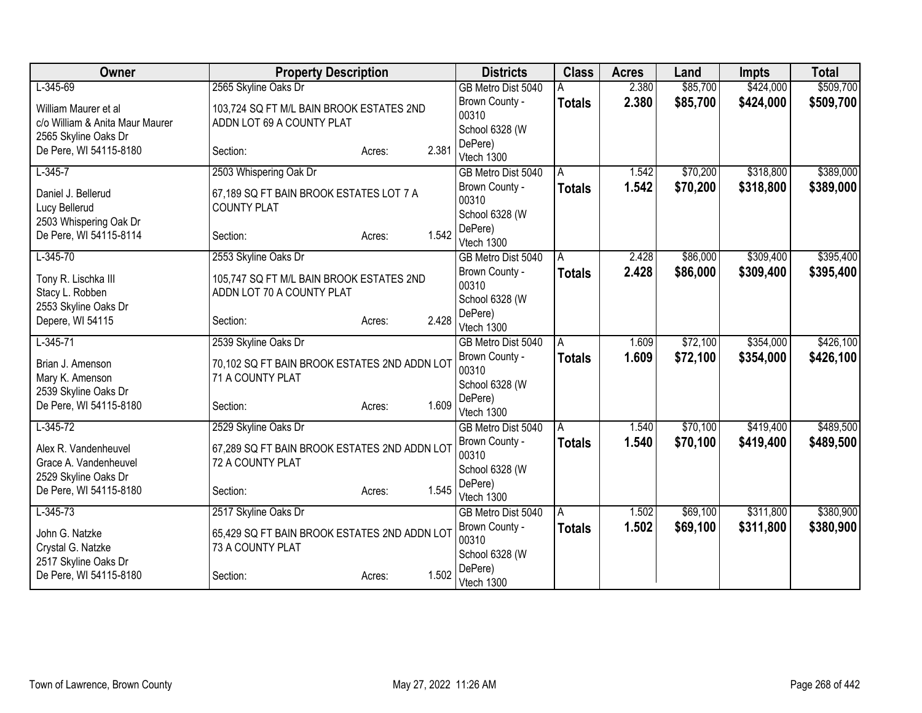| Owner                           | <b>Property Description</b>                  |                 | <b>Districts</b>                     | <b>Class</b>  | <b>Acres</b> | Land     | <b>Impts</b> | <b>Total</b> |
|---------------------------------|----------------------------------------------|-----------------|--------------------------------------|---------------|--------------|----------|--------------|--------------|
| $L-345-69$                      | 2565 Skyline Oaks Dr                         |                 | GB Metro Dist 5040                   |               | 2.380        | \$85,700 | \$424,000    | \$509,700    |
| William Maurer et al            | 103,724 SQ FT M/L BAIN BROOK ESTATES 2ND     |                 | Brown County -                       | <b>Totals</b> | 2.380        | \$85,700 | \$424,000    | \$509,700    |
| c/o William & Anita Maur Maurer | ADDN LOT 69 A COUNTY PLAT                    |                 | 00310                                |               |              |          |              |              |
| 2565 Skyline Oaks Dr            |                                              |                 | School 6328 (W                       |               |              |          |              |              |
| De Pere, WI 54115-8180          | Section:                                     | 2.381<br>Acres: | DePere)<br>Vtech 1300                |               |              |          |              |              |
| $L-345-7$                       | 2503 Whispering Oak Dr                       |                 | GB Metro Dist 5040                   | A             | 1.542        | \$70,200 | \$318,800    | \$389,000    |
|                                 |                                              |                 | Brown County -                       | <b>Totals</b> | 1.542        | \$70,200 | \$318,800    | \$389,000    |
| Daniel J. Bellerud              | 67,189 SQ FT BAIN BROOK ESTATES LOT 7 A      |                 | 00310                                |               |              |          |              |              |
| Lucy Bellerud                   | <b>COUNTY PLAT</b>                           |                 | School 6328 (W                       |               |              |          |              |              |
| 2503 Whispering Oak Dr          |                                              |                 | DePere)                              |               |              |          |              |              |
| De Pere, WI 54115-8114          | Section:                                     | 1.542<br>Acres: | Vtech 1300                           |               |              |          |              |              |
| $L-345-70$                      | 2553 Skyline Oaks Dr                         |                 | GB Metro Dist 5040                   | A             | 2.428        | \$86,000 | \$309,400    | \$395,400    |
| Tony R. Lischka III             | 105,747 SQ FT M/L BAIN BROOK ESTATES 2ND     |                 | Brown County -                       | <b>Totals</b> | 2.428        | \$86,000 | \$309,400    | \$395,400    |
| Stacy L. Robben                 | ADDN LOT 70 A COUNTY PLAT                    |                 | 00310                                |               |              |          |              |              |
| 2553 Skyline Oaks Dr            |                                              |                 | School 6328 (W                       |               |              |          |              |              |
| Depere, WI 54115                | Section:                                     | 2.428<br>Acres: | DePere)                              |               |              |          |              |              |
|                                 |                                              |                 | Vtech 1300                           |               |              | \$72,100 | \$354,000    | \$426,100    |
| $L-345-71$                      | 2539 Skyline Oaks Dr                         |                 | GB Metro Dist 5040                   | A             | 1.609        |          |              |              |
| Brian J. Amenson                | 70,102 SQ FT BAIN BROOK ESTATES 2ND ADDN LOT |                 | Brown County -<br>00310              | <b>Totals</b> | 1.609        | \$72,100 | \$354,000    | \$426,100    |
| Mary K. Amenson                 | 71 A COUNTY PLAT                             |                 | School 6328 (W                       |               |              |          |              |              |
| 2539 Skyline Oaks Dr            |                                              |                 | DePere)                              |               |              |          |              |              |
| De Pere, WI 54115-8180          | Section:                                     | 1.609<br>Acres: | Vtech 1300                           |               |              |          |              |              |
| $L-345-72$                      | 2529 Skyline Oaks Dr                         |                 | GB Metro Dist 5040                   | A             | 1.540        | \$70,100 | \$419,400    | \$489,500    |
| Alex R. Vandenheuvel            | 67,289 SQ FT BAIN BROOK ESTATES 2ND ADDN LOT |                 | Brown County -                       | <b>Totals</b> | 1.540        | \$70,100 | \$419,400    | \$489,500    |
| Grace A. Vandenheuvel           | 72 A COUNTY PLAT                             |                 | 00310                                |               |              |          |              |              |
| 2529 Skyline Oaks Dr            |                                              |                 | School 6328 (W                       |               |              |          |              |              |
| De Pere, WI 54115-8180          | Section:                                     | 1.545<br>Acres: | DePere)                              |               |              |          |              |              |
| $L - 345 - 73$                  | 2517 Skyline Oaks Dr                         |                 | Vtech 1300                           |               | 1.502        | \$69,100 | \$311,800    | \$380,900    |
|                                 |                                              |                 | GB Metro Dist 5040<br>Brown County - | A             |              |          |              |              |
| John G. Natzke                  | 65,429 SQ FT BAIN BROOK ESTATES 2ND ADDN LOT |                 | 00310                                | <b>Totals</b> | 1.502        | \$69,100 | \$311,800    | \$380,900    |
| Crystal G. Natzke               | 73 A COUNTY PLAT                             |                 | School 6328 (W                       |               |              |          |              |              |
| 2517 Skyline Oaks Dr            |                                              |                 | DePere)                              |               |              |          |              |              |
| De Pere, WI 54115-8180          | Section:                                     | 1.502<br>Acres: | Vtech 1300                           |               |              |          |              |              |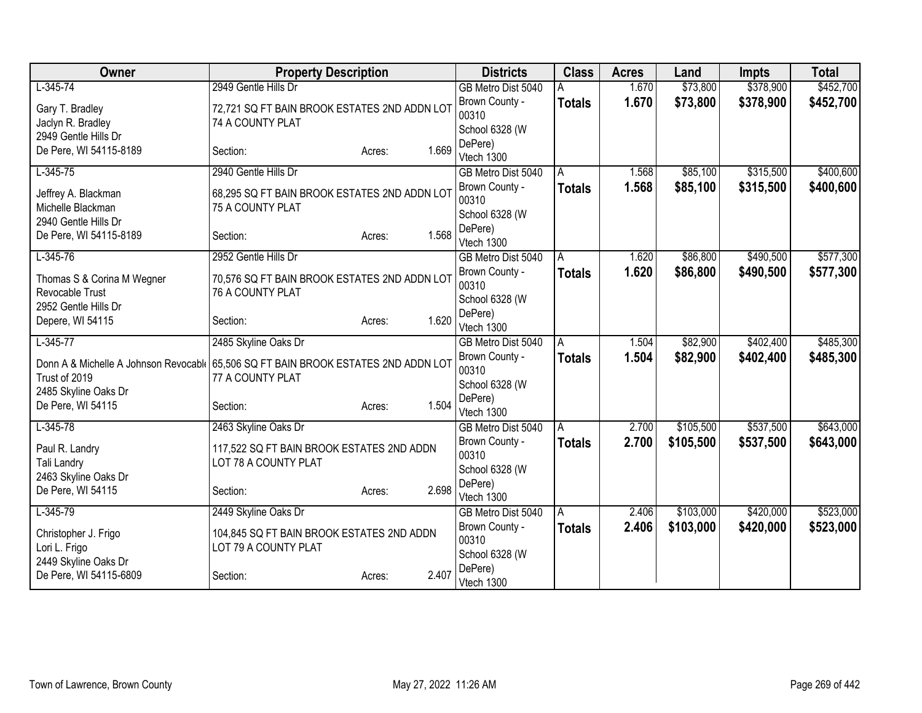| Owner                                                                               | <b>Property Description</b>                  |                 | <b>Districts</b>                 | <b>Class</b>  | <b>Acres</b> | Land      | <b>Impts</b> | <b>Total</b> |
|-------------------------------------------------------------------------------------|----------------------------------------------|-----------------|----------------------------------|---------------|--------------|-----------|--------------|--------------|
| $L-345-74$                                                                          | 2949 Gentle Hills Dr                         |                 | GB Metro Dist 5040               |               | 1.670        | \$73,800  | \$378,900    | \$452,700    |
| Gary T. Bradley                                                                     | 72,721 SQ FT BAIN BROOK ESTATES 2ND ADDN LOT |                 | Brown County -                   | <b>Totals</b> | 1.670        | \$73,800  | \$378,900    | \$452,700    |
| Jaclyn R. Bradley                                                                   | 74 A COUNTY PLAT                             |                 | 00310                            |               |              |           |              |              |
| 2949 Gentle Hills Dr                                                                |                                              |                 | School 6328 (W                   |               |              |           |              |              |
| De Pere, WI 54115-8189                                                              | Section:                                     | 1.669<br>Acres: | DePere)                          |               |              |           |              |              |
|                                                                                     |                                              |                 | Vtech 1300                       |               |              |           |              |              |
| $L-345-75$                                                                          | 2940 Gentle Hills Dr                         |                 | GB Metro Dist 5040               | A             | 1.568        | \$85,100  | \$315,500    | \$400,600    |
| Jeffrey A. Blackman                                                                 | 68,295 SQ FT BAIN BROOK ESTATES 2ND ADDN LOT |                 | Brown County -                   | <b>Totals</b> | 1.568        | \$85,100  | \$315,500    | \$400,600    |
| Michelle Blackman                                                                   | 75 A COUNTY PLAT                             |                 | 00310                            |               |              |           |              |              |
| 2940 Gentle Hills Dr                                                                |                                              |                 | School 6328 (W<br>DePere)        |               |              |           |              |              |
| De Pere, WI 54115-8189                                                              | Section:                                     | 1.568<br>Acres: | Vtech 1300                       |               |              |           |              |              |
| $L-345-76$                                                                          | 2952 Gentle Hills Dr                         |                 | GB Metro Dist 5040               | A             | 1.620        | \$86,800  | \$490,500    | \$577,300    |
|                                                                                     |                                              |                 | Brown County -                   | Totals        | 1.620        | \$86,800  | \$490,500    | \$577,300    |
| Thomas S & Corina M Wegner                                                          | 70,576 SQ FT BAIN BROOK ESTATES 2ND ADDN LOT |                 | 00310                            |               |              |           |              |              |
| Revocable Trust                                                                     | 76 A COUNTY PLAT                             |                 | School 6328 (W                   |               |              |           |              |              |
| 2952 Gentle Hills Dr                                                                |                                              |                 | DePere)                          |               |              |           |              |              |
| Depere, WI 54115                                                                    | Section:                                     | 1.620<br>Acres: | Vtech 1300                       |               |              |           |              |              |
| $L-345-77$                                                                          | 2485 Skyline Oaks Dr                         |                 | GB Metro Dist 5040               | A             | 1.504        | \$82,900  | \$402,400    | \$485,300    |
| Donn A & Michelle A Johnson Revocabl   65,506 SQ FT BAIN BROOK ESTATES 2ND ADDN LOT |                                              |                 | Brown County -                   | <b>Totals</b> | 1.504        | \$82,900  | \$402,400    | \$485,300    |
| Trust of 2019                                                                       | 77 A COUNTY PLAT                             |                 | 00310                            |               |              |           |              |              |
| 2485 Skyline Oaks Dr                                                                |                                              |                 | School 6328 (W                   |               |              |           |              |              |
| De Pere, WI 54115                                                                   | Section:                                     | 1.504<br>Acres: | DePere)                          |               |              |           |              |              |
|                                                                                     |                                              |                 | Vtech 1300                       |               |              |           |              |              |
| $L-345-78$                                                                          | 2463 Skyline Oaks Dr                         |                 | GB Metro Dist 5040               | A             | 2.700        | \$105,500 | \$537,500    | \$643,000    |
| Paul R. Landry                                                                      | 117,522 SQ FT BAIN BROOK ESTATES 2ND ADDN    |                 | Brown County -                   | <b>Totals</b> | 2.700        | \$105,500 | \$537,500    | \$643,000    |
| Tali Landry                                                                         | LOT 78 A COUNTY PLAT                         |                 | 00310                            |               |              |           |              |              |
| 2463 Skyline Oaks Dr                                                                |                                              |                 | School 6328 (W                   |               |              |           |              |              |
| De Pere, WI 54115                                                                   | Section:                                     | 2.698<br>Acres: | DePere)                          |               |              |           |              |              |
| $L-345-79$                                                                          | 2449 Skyline Oaks Dr                         |                 | Vtech 1300<br>GB Metro Dist 5040 | A             | 2.406        | \$103,000 | \$420,000    | \$523,000    |
|                                                                                     |                                              |                 | Brown County -                   | <b>Totals</b> | 2.406        | \$103,000 | \$420,000    | \$523,000    |
| Christopher J. Frigo                                                                | 104,845 SQ FT BAIN BROOK ESTATES 2ND ADDN    |                 | 00310                            |               |              |           |              |              |
| Lori L. Frigo                                                                       | LOT 79 A COUNTY PLAT                         |                 | School 6328 (W                   |               |              |           |              |              |
| 2449 Skyline Oaks Dr                                                                |                                              |                 | DePere)                          |               |              |           |              |              |
| De Pere, WI 54115-6809                                                              | Section:                                     | 2.407<br>Acres: | Vtech 1300                       |               |              |           |              |              |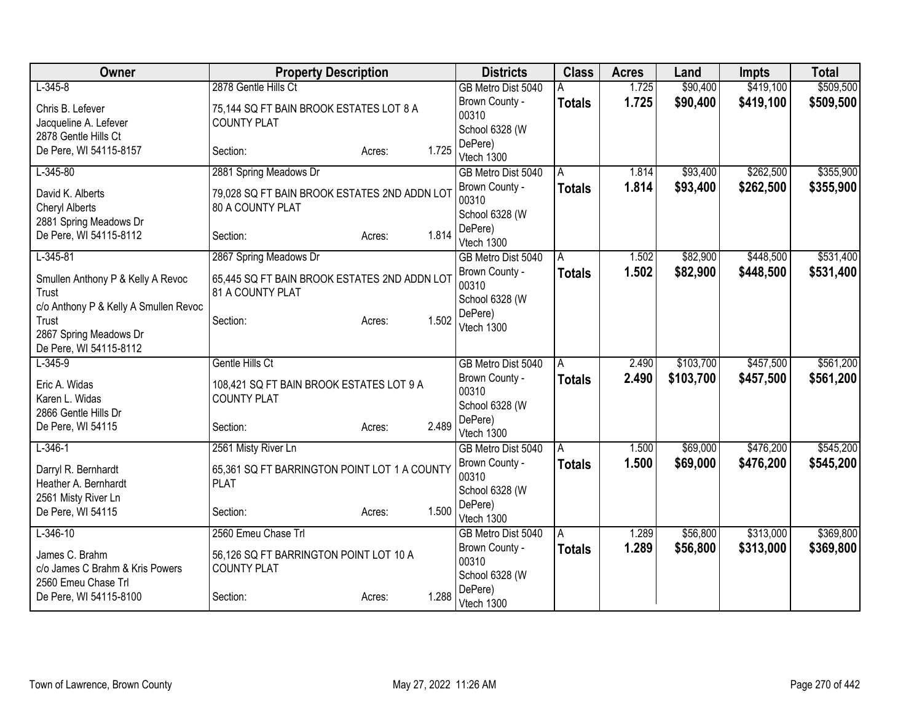| Owner                                            | <b>Property Description</b>                  |                 | <b>Districts</b>                     | <b>Class</b>  | <b>Acres</b> | Land      | <b>Impts</b> | <b>Total</b> |
|--------------------------------------------------|----------------------------------------------|-----------------|--------------------------------------|---------------|--------------|-----------|--------------|--------------|
| $L-345-8$                                        | 2878 Gentle Hills Ct                         |                 | GB Metro Dist 5040                   | А             | 1.725        | \$90,400  | \$419,100    | \$509,500    |
| Chris B. Lefever                                 | 75,144 SQ FT BAIN BROOK ESTATES LOT 8 A      |                 | Brown County -                       | <b>Totals</b> | 1.725        | \$90,400  | \$419,100    | \$509,500    |
| Jacqueline A. Lefever                            | <b>COUNTY PLAT</b>                           |                 | 00310                                |               |              |           |              |              |
| 2878 Gentle Hills Ct                             |                                              |                 | School 6328 (W                       |               |              |           |              |              |
| De Pere, WI 54115-8157                           | Section:                                     | 1.725<br>Acres: | DePere)<br>Vtech 1300                |               |              |           |              |              |
| $L-345-80$                                       | 2881 Spring Meadows Dr                       |                 | GB Metro Dist 5040                   | A             | 1.814        | \$93,400  | \$262,500    | \$355,900    |
|                                                  |                                              |                 | Brown County -                       | <b>Totals</b> | 1.814        | \$93,400  | \$262,500    | \$355,900    |
| David K. Alberts                                 | 79,028 SQ FT BAIN BROOK ESTATES 2ND ADDN LOT |                 | 00310                                |               |              |           |              |              |
| <b>Cheryl Alberts</b>                            | 80 A COUNTY PLAT                             |                 | School 6328 (W                       |               |              |           |              |              |
| 2881 Spring Meadows Dr<br>De Pere, WI 54115-8112 | Section:                                     | 1.814<br>Acres: | DePere)                              |               |              |           |              |              |
|                                                  |                                              |                 | Vtech 1300                           |               |              |           |              |              |
| $L-345-81$                                       | 2867 Spring Meadows Dr                       |                 | GB Metro Dist 5040                   | A             | 1.502        | \$82,900  | \$448,500    | \$531,400    |
| Smullen Anthony P & Kelly A Revoc                | 65,445 SQ FT BAIN BROOK ESTATES 2ND ADDN LOT |                 | Brown County -                       | Totals        | 1.502        | \$82,900  | \$448,500    | \$531,400    |
| Trust                                            | 81 A COUNTY PLAT                             |                 | 00310                                |               |              |           |              |              |
| c/o Anthony P & Kelly A Smullen Revoc            |                                              |                 | School 6328 (W                       |               |              |           |              |              |
| Trust                                            | Section:                                     | 1.502<br>Acres: | DePere)                              |               |              |           |              |              |
| 2867 Spring Meadows Dr                           |                                              |                 | Vtech 1300                           |               |              |           |              |              |
| De Pere, WI 54115-8112                           |                                              |                 |                                      |               |              |           |              |              |
| $L-345-9$                                        | Gentle Hills Ct                              |                 | GB Metro Dist 5040                   | A             | 2.490        | \$103,700 | \$457,500    | \$561,200    |
| Eric A. Widas                                    | 108,421 SQ FT BAIN BROOK ESTATES LOT 9 A     |                 | Brown County -                       | <b>Totals</b> | 2.490        | \$103,700 | \$457,500    | \$561,200    |
| Karen L. Widas                                   | <b>COUNTY PLAT</b>                           |                 | 00310                                |               |              |           |              |              |
| 2866 Gentle Hills Dr                             |                                              |                 | School 6328 (W                       |               |              |           |              |              |
| De Pere, WI 54115                                | Section:                                     | 2.489<br>Acres: | DePere)                              |               |              |           |              |              |
| $L-346-1$                                        |                                              |                 | Vtech 1300                           |               | 1.500        | \$69,000  | \$476,200    | \$545,200    |
|                                                  | 2561 Misty River Ln                          |                 | GB Metro Dist 5040<br>Brown County - | A             | 1.500        |           |              |              |
| Darryl R. Bernhardt                              | 65,361 SQ FT BARRINGTON POINT LOT 1 A COUNTY |                 | 00310                                | <b>Totals</b> |              | \$69,000  | \$476,200    | \$545,200    |
| Heather A. Bernhardt                             | <b>PLAT</b>                                  |                 | School 6328 (W                       |               |              |           |              |              |
| 2561 Misty River Ln                              |                                              |                 | DePere)                              |               |              |           |              |              |
| De Pere, WI 54115                                | Section:                                     | 1.500<br>Acres: | Vtech 1300                           |               |              |           |              |              |
| $L - 346 - 10$                                   | 2560 Emeu Chase Trl                          |                 | GB Metro Dist 5040                   | A             | 1.289        | \$56,800  | \$313,000    | \$369,800    |
| James C. Brahm                                   | 56,126 SQ FT BARRINGTON POINT LOT 10 A       |                 | Brown County -                       | Totals        | 1.289        | \$56,800  | \$313,000    | \$369,800    |
| c/o James C Brahm & Kris Powers                  | <b>COUNTY PLAT</b>                           |                 | 00310                                |               |              |           |              |              |
| 2560 Emeu Chase Trl                              |                                              |                 | School 6328 (W                       |               |              |           |              |              |
| De Pere, WI 54115-8100                           | Section:                                     | 1.288<br>Acres: | DePere)                              |               |              |           |              |              |
|                                                  |                                              |                 | Vtech 1300                           |               |              |           |              |              |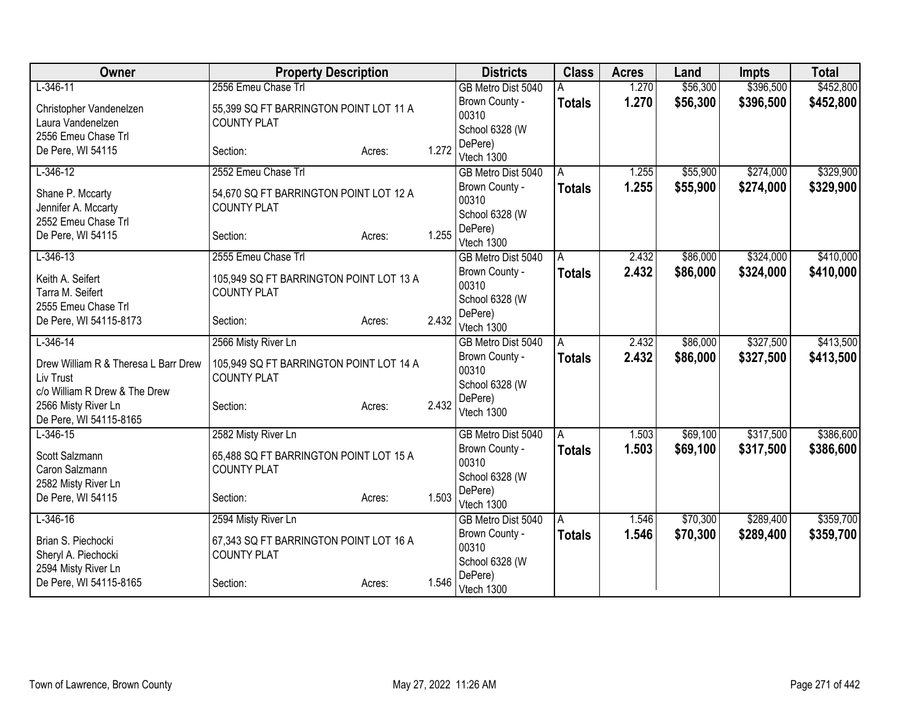| Owner                                                                              | <b>Property Description</b>                                   |        |       | <b>Districts</b>                          | <b>Class</b>  | <b>Acres</b> | Land     | <b>Impts</b> | <b>Total</b> |
|------------------------------------------------------------------------------------|---------------------------------------------------------------|--------|-------|-------------------------------------------|---------------|--------------|----------|--------------|--------------|
| $L-346-11$                                                                         | 2556 Emeu Chase Trl                                           |        |       | GB Metro Dist 5040                        |               | 1.270        | \$56,300 | \$396,500    | \$452,800    |
| Christopher Vandenelzen<br>Laura Vandenelzen<br>2556 Emeu Chase Trl                | 55,399 SQ FT BARRINGTON POINT LOT 11 A<br><b>COUNTY PLAT</b>  |        |       | Brown County -<br>00310<br>School 6328 (W | <b>Totals</b> | 1.270        | \$56,300 | \$396,500    | \$452,800    |
| De Pere, WI 54115                                                                  | Section:                                                      | Acres: | 1.272 | DePere)<br>Vtech 1300                     |               |              |          |              |              |
| $L-346-12$                                                                         | 2552 Emeu Chase Trl                                           |        |       | GB Metro Dist 5040                        | A             | 1.255        | \$55,900 | \$274,000    | \$329,900    |
| Shane P. Mccarty<br>Jennifer A. Mccarty                                            | 54,670 SQ FT BARRINGTON POINT LOT 12 A<br><b>COUNTY PLAT</b>  |        |       | Brown County -<br>00310<br>School 6328 (W | <b>Totals</b> | 1.255        | \$55,900 | \$274,000    | \$329,900    |
| 2552 Emeu Chase Trl<br>De Pere, WI 54115                                           | Section:                                                      | Acres: | 1.255 | DePere)<br>Vtech 1300                     |               |              |          |              |              |
| $L-346-13$                                                                         | 2555 Emeu Chase Trl                                           |        |       | GB Metro Dist 5040                        | A             | 2.432        | \$86,000 | \$324,000    | \$410,000    |
| Keith A. Seifert<br>Tarra M. Seifert<br>2555 Emeu Chase Trl                        | 105,949 SQ FT BARRINGTON POINT LOT 13 A<br><b>COUNTY PLAT</b> |        |       | Brown County -<br>00310<br>School 6328 (W | <b>Totals</b> | 2.432        | \$86,000 | \$324,000    | \$410,000    |
| De Pere, WI 54115-8173                                                             | Section:                                                      | Acres: | 2.432 | DePere)<br>Vtech 1300                     |               |              |          |              |              |
| $L-346-14$                                                                         | 2566 Misty River Ln                                           |        |       | GB Metro Dist 5040                        | A             | 2.432        | \$86,000 | \$327,500    | \$413,500    |
| Drew William R & Theresa L Barr Drew<br>Liv Trust<br>c/o William R Drew & The Drew | 105,949 SQ FT BARRINGTON POINT LOT 14 A<br><b>COUNTY PLAT</b> |        |       | Brown County -<br>00310<br>School 6328 (W | <b>Totals</b> | 2.432        | \$86,000 | \$327,500    | \$413,500    |
| 2566 Misty River Ln<br>De Pere, WI 54115-8165                                      | Section:                                                      | Acres: | 2.432 | DePere)<br>Vtech 1300                     |               |              |          |              |              |
| $L-346-15$                                                                         | 2582 Misty River Ln                                           |        |       | GB Metro Dist 5040                        | A             | 1.503        | \$69,100 | \$317,500    | \$386,600    |
| Scott Salzmann<br>Caron Salzmann<br>2582 Misty River Ln                            | 65,488 SQ FT BARRINGTON POINT LOT 15 A<br><b>COUNTY PLAT</b>  |        |       | Brown County -<br>00310<br>School 6328 (W | <b>Totals</b> | 1.503        | \$69,100 | \$317,500    | \$386,600    |
| De Pere, WI 54115                                                                  | Section:                                                      | Acres: | 1.503 | DePere)<br>Vtech 1300                     |               |              |          |              |              |
| $L-346-16$                                                                         | 2594 Misty River Ln                                           |        |       | GB Metro Dist 5040                        | A             | 1.546        | \$70,300 | \$289,400    | \$359,700    |
| Brian S. Piechocki<br>Sheryl A. Piechocki<br>2594 Misty River Ln                   | 67,343 SQ FT BARRINGTON POINT LOT 16 A<br><b>COUNTY PLAT</b>  |        |       | Brown County -<br>00310<br>School 6328 (W | <b>Totals</b> | 1.546        | \$70,300 | \$289,400    | \$359,700    |
| De Pere, WI 54115-8165                                                             | Section:                                                      | Acres: | 1.546 | DePere)<br>Vtech 1300                     |               |              |          |              |              |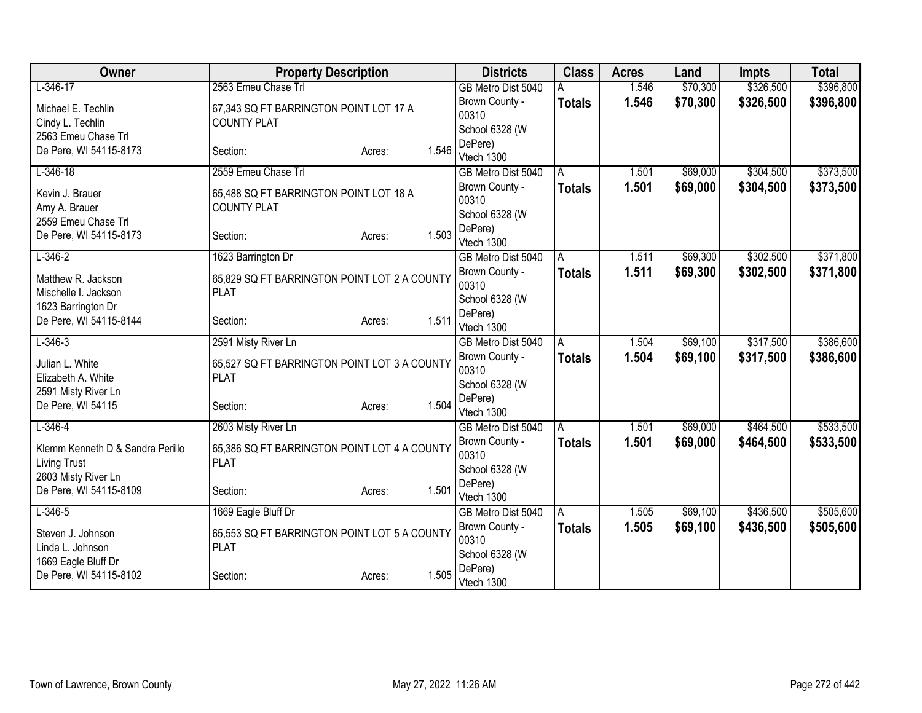| Owner                            | <b>Property Description</b>                  | <b>Districts</b>                 | <b>Class</b>  | <b>Acres</b> | Land     | <b>Impts</b> | <b>Total</b> |
|----------------------------------|----------------------------------------------|----------------------------------|---------------|--------------|----------|--------------|--------------|
| $L-346-17$                       | 2563 Emeu Chase Trl                          | GB Metro Dist 5040               |               | 1.546        | \$70,300 | \$326,500    | \$396,800    |
| Michael E. Techlin               | 67,343 SQ FT BARRINGTON POINT LOT 17 A       | Brown County -                   | <b>Totals</b> | 1.546        | \$70,300 | \$326,500    | \$396,800    |
| Cindy L. Techlin                 | <b>COUNTY PLAT</b>                           | 00310                            |               |              |          |              |              |
| 2563 Emeu Chase Trl              |                                              | School 6328 (W                   |               |              |          |              |              |
| De Pere, WI 54115-8173           | 1.546<br>Section:<br>Acres:                  | DePere)<br>Vtech 1300            |               |              |          |              |              |
| $L-346-18$                       | 2559 Emeu Chase Trl                          | GB Metro Dist 5040               | A             | 1.501        | \$69,000 | \$304,500    | \$373,500    |
|                                  |                                              | Brown County -                   | <b>Totals</b> | 1.501        | \$69,000 | \$304,500    | \$373,500    |
| Kevin J. Brauer                  | 65,488 SQ FT BARRINGTON POINT LOT 18 A       | 00310                            |               |              |          |              |              |
| Amy A. Brauer                    | <b>COUNTY PLAT</b>                           | School 6328 (W                   |               |              |          |              |              |
| 2559 Emeu Chase Trl              |                                              | DePere)                          |               |              |          |              |              |
| De Pere, WI 54115-8173           | 1.503<br>Section:<br>Acres:                  | Vtech 1300                       |               |              |          |              |              |
| $L - 346 - 2$                    | 1623 Barrington Dr                           | GB Metro Dist 5040               | A             | 1.511        | \$69,300 | \$302,500    | \$371,800    |
| Matthew R. Jackson               | 65,829 SQ FT BARRINGTON POINT LOT 2 A COUNTY | Brown County -                   | <b>Totals</b> | 1.511        | \$69,300 | \$302,500    | \$371,800    |
| Mischelle I. Jackson             | <b>PLAT</b>                                  | 00310                            |               |              |          |              |              |
| 1623 Barrington Dr               |                                              | School 6328 (W                   |               |              |          |              |              |
| De Pere, WI 54115-8144           | 1.511<br>Section:<br>Acres:                  | DePere)                          |               |              |          |              |              |
| $L - 346 - 3$                    | 2591 Misty River Ln                          | Vtech 1300<br>GB Metro Dist 5040 |               | 1.504        | \$69,100 | \$317,500    | \$386,600    |
|                                  |                                              | Brown County -                   | A             | 1.504        | \$69,100 | \$317,500    | \$386,600    |
| Julian L. White                  | 65,527 SQ FT BARRINGTON POINT LOT 3 A COUNTY | 00310                            | <b>Totals</b> |              |          |              |              |
| Elizabeth A. White               | <b>PLAT</b>                                  | School 6328 (W                   |               |              |          |              |              |
| 2591 Misty River Ln              |                                              | DePere)                          |               |              |          |              |              |
| De Pere, WI 54115                | 1.504<br>Section:<br>Acres:                  | Vtech 1300                       |               |              |          |              |              |
| $L - 346 - 4$                    | 2603 Misty River Ln                          | GB Metro Dist 5040               | A             | 1.501        | \$69,000 | \$464,500    | \$533,500    |
| Klemm Kenneth D & Sandra Perillo | 65,386 SQ FT BARRINGTON POINT LOT 4 A COUNTY | Brown County -                   | <b>Totals</b> | 1.501        | \$69,000 | \$464,500    | \$533,500    |
| <b>Living Trust</b>              | <b>PLAT</b>                                  | 00310                            |               |              |          |              |              |
| 2603 Misty River Ln              |                                              | School 6328 (W                   |               |              |          |              |              |
| De Pere, WI 54115-8109           | 1.501<br>Section:<br>Acres:                  | DePere)                          |               |              |          |              |              |
| $L-346-5$                        | 1669 Eagle Bluff Dr                          | Vtech 1300<br>GB Metro Dist 5040 | A             | 1.505        | \$69,100 | \$436,500    | \$505,600    |
|                                  |                                              | Brown County -                   | <b>Totals</b> | 1.505        | \$69,100 | \$436,500    | \$505,600    |
| Steven J. Johnson                | 65,553 SQ FT BARRINGTON POINT LOT 5 A COUNTY | 00310                            |               |              |          |              |              |
| Linda L. Johnson                 | <b>PLAT</b>                                  | School 6328 (W                   |               |              |          |              |              |
| 1669 Eagle Bluff Dr              |                                              | DePere)                          |               |              |          |              |              |
| De Pere, WI 54115-8102           | 1.505<br>Section:<br>Acres:                  | Vtech 1300                       |               |              |          |              |              |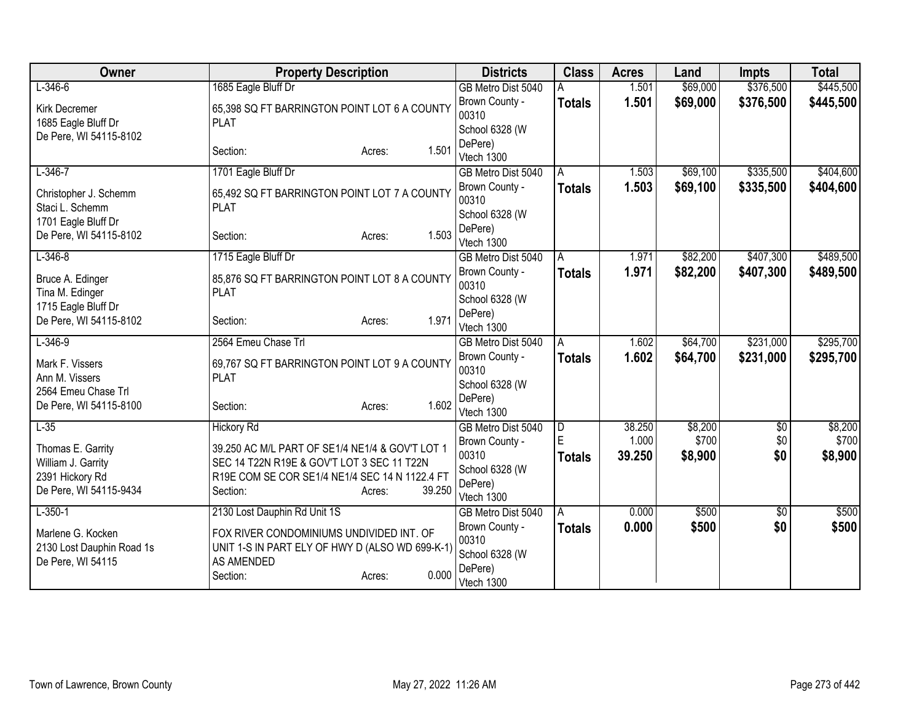| Owner                                     | <b>Property Description</b>                                                                  | <b>Districts</b>          | <b>Class</b>  | <b>Acres</b> | Land     | <b>Impts</b>    | <b>Total</b> |
|-------------------------------------------|----------------------------------------------------------------------------------------------|---------------------------|---------------|--------------|----------|-----------------|--------------|
| $L - 346 - 6$                             | 1685 Eagle Bluff Dr                                                                          | GB Metro Dist 5040        |               | 1.501        | \$69,000 | \$376,500       | \$445,500    |
| Kirk Decremer                             | 65,398 SQ FT BARRINGTON POINT LOT 6 A COUNTY                                                 | Brown County -            | <b>Totals</b> | 1.501        | \$69,000 | \$376,500       | \$445,500    |
| 1685 Eagle Bluff Dr                       | <b>PLAT</b>                                                                                  | 00310                     |               |              |          |                 |              |
| De Pere, WI 54115-8102                    |                                                                                              | School 6328 (W<br>DePere) |               |              |          |                 |              |
|                                           | 1.501<br>Section:<br>Acres:                                                                  | Vtech 1300                |               |              |          |                 |              |
| $L-346-7$                                 | 1701 Eagle Bluff Dr                                                                          | GB Metro Dist 5040        | A             | 1.503        | \$69,100 | \$335,500       | \$404,600    |
|                                           |                                                                                              | Brown County -            | <b>Totals</b> | 1.503        | \$69,100 | \$335,500       | \$404,600    |
| Christopher J. Schemm<br>Staci L. Schemm  | 65,492 SQ FT BARRINGTON POINT LOT 7 A COUNTY<br><b>PLAT</b>                                  | 00310                     |               |              |          |                 |              |
| 1701 Eagle Bluff Dr                       |                                                                                              | School 6328 (W            |               |              |          |                 |              |
| De Pere, WI 54115-8102                    | 1.503<br>Section:<br>Acres:                                                                  | DePere)                   |               |              |          |                 |              |
|                                           |                                                                                              | Vtech 1300                |               |              |          |                 |              |
| $L - 346 - 8$                             | 1715 Eagle Bluff Dr                                                                          | GB Metro Dist 5040        | Α             | 1.971        | \$82,200 | \$407,300       | \$489,500    |
| Bruce A. Edinger                          | 85,876 SQ FT BARRINGTON POINT LOT 8 A COUNTY                                                 | Brown County -<br>00310   | <b>Totals</b> | 1.971        | \$82,200 | \$407,300       | \$489,500    |
| Tina M. Edinger                           | <b>PLAT</b>                                                                                  | School 6328 (W            |               |              |          |                 |              |
| 1715 Eagle Bluff Dr                       |                                                                                              | DePere)                   |               |              |          |                 |              |
| De Pere, WI 54115-8102                    | 1.971<br>Section:<br>Acres:                                                                  | Vtech 1300                |               |              |          |                 |              |
| $L - 346 - 9$                             | 2564 Emeu Chase Trl                                                                          | GB Metro Dist 5040        | Α             | 1.602        | \$64,700 | \$231,000       | \$295,700    |
| Mark F. Vissers                           | 69,767 SQ FT BARRINGTON POINT LOT 9 A COUNTY                                                 | Brown County -            | <b>Totals</b> | 1.602        | \$64,700 | \$231,000       | \$295,700    |
| Ann M. Vissers                            | <b>PLAT</b>                                                                                  | 00310                     |               |              |          |                 |              |
| 2564 Emeu Chase Trl                       |                                                                                              | School 6328 (W            |               |              |          |                 |              |
| De Pere, WI 54115-8100                    | 1.602<br>Section:<br>Acres:                                                                  | DePere)<br>Vtech 1300     |               |              |          |                 |              |
| $L-35$                                    | <b>Hickory Rd</b>                                                                            | GB Metro Dist 5040        | D             | 38.250       | \$8,200  | $\overline{50}$ | \$8,200      |
|                                           |                                                                                              | Brown County -            | E             | 1.000        | \$700    | \$0             | \$700        |
| Thomas E. Garrity                         | 39.250 AC M/L PART OF SE1/4 NE1/4 & GOV'T LOT 1                                              | 00310                     | <b>Totals</b> | 39.250       | \$8,900  | \$0             | \$8,900      |
| William J. Garrity                        | SEC 14 T22N R19E & GOV'T LOT 3 SEC 11 T22N<br>R19E COM SE COR SE1/4 NE1/4 SEC 14 N 1122.4 FT | School 6328 (W            |               |              |          |                 |              |
| 2391 Hickory Rd<br>De Pere, WI 54115-9434 | 39.250<br>Section:<br>Acres:                                                                 | DePere)                   |               |              |          |                 |              |
|                                           |                                                                                              | Vtech 1300                |               |              |          |                 |              |
| $L-350-1$                                 | 2130 Lost Dauphin Rd Unit 1S                                                                 | GB Metro Dist 5040        | A             | 0.000        | \$500    | $\sqrt{6}$      | \$500        |
| Marlene G. Kocken                         | FOX RIVER CONDOMINIUMS UNDIVIDED INT. OF                                                     | Brown County -            | <b>Totals</b> | 0.000        | \$500    | \$0             | \$500        |
| 2130 Lost Dauphin Road 1s                 | UNIT 1-S IN PART ELY OF HWY D (ALSO WD 699-K-1)                                              | 00310<br>School 6328 (W   |               |              |          |                 |              |
| De Pere, WI 54115                         | AS AMENDED                                                                                   | DePere)                   |               |              |          |                 |              |
|                                           | 0.000<br>Section:<br>Acres:                                                                  | Vtech 1300                |               |              |          |                 |              |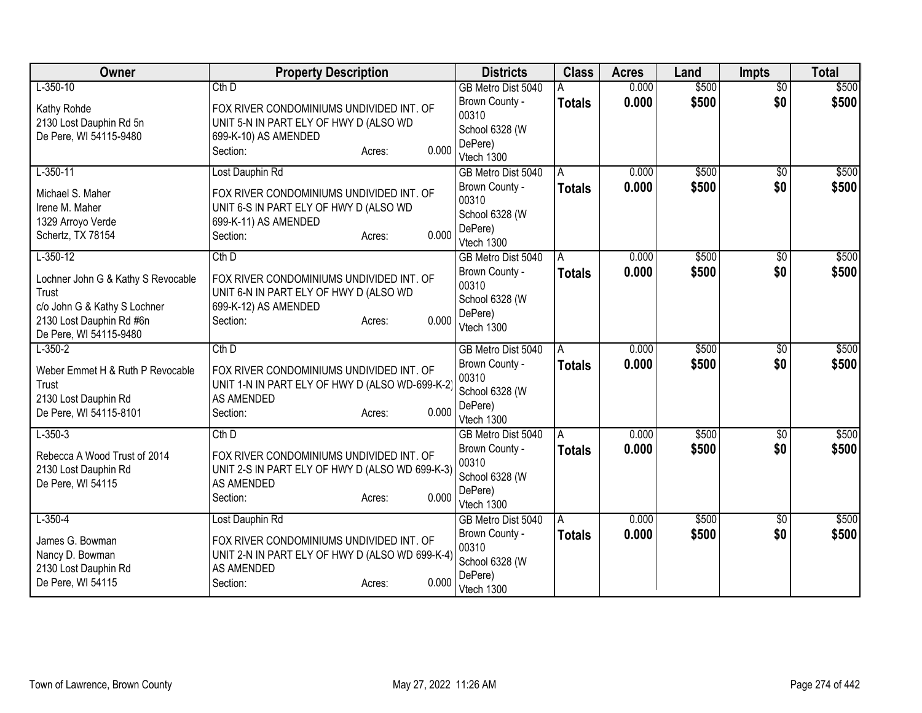| Owner                                                    | <b>Property Description</b>                                                                 | <b>Districts</b>        | <b>Class</b>  | <b>Acres</b> | Land  | <b>Impts</b>    | <b>Total</b> |
|----------------------------------------------------------|---------------------------------------------------------------------------------------------|-------------------------|---------------|--------------|-------|-----------------|--------------|
| $L-350-10$                                               | Cth D                                                                                       | GB Metro Dist 5040      |               | 0.000        | \$500 | $\overline{50}$ | \$500        |
| Kathy Rohde                                              | FOX RIVER CONDOMINIUMS UNDIVIDED INT. OF                                                    | Brown County -<br>00310 | <b>Totals</b> | 0.000        | \$500 | \$0             | \$500        |
| 2130 Lost Dauphin Rd 5n                                  | UNIT 5-N IN PART ELY OF HWY D (ALSO WD                                                      | School 6328 (W          |               |              |       |                 |              |
| De Pere, WI 54115-9480                                   | 699-K-10) AS AMENDED                                                                        | DePere)                 |               |              |       |                 |              |
|                                                          | 0.000<br>Section:<br>Acres:                                                                 | Vtech 1300              |               |              |       |                 |              |
| $L-350-11$                                               | Lost Dauphin Rd                                                                             | GB Metro Dist 5040      | A             | 0.000        | \$500 | \$0             | \$500        |
| Michael S. Maher                                         | FOX RIVER CONDOMINIUMS UNDIVIDED INT. OF                                                    | Brown County -          | <b>Totals</b> | 0.000        | \$500 | \$0             | \$500        |
| Irene M. Maher                                           | UNIT 6-S IN PART ELY OF HWY D (ALSO WD                                                      | 00310                   |               |              |       |                 |              |
| 1329 Arroyo Verde                                        | 699-K-11) AS AMENDED                                                                        | School 6328 (W          |               |              |       |                 |              |
| Schertz, TX 78154                                        | 0.000<br>Section:<br>Acres:                                                                 | DePere)<br>Vtech 1300   |               |              |       |                 |              |
| $L-350-12$                                               | $Cth$ D                                                                                     | GB Metro Dist 5040      | A             | 0.000        | \$500 | \$0             | \$500        |
|                                                          |                                                                                             | Brown County -          | <b>Totals</b> | 0.000        | \$500 | \$0             | \$500        |
| Lochner John G & Kathy S Revocable                       | FOX RIVER CONDOMINIUMS UNDIVIDED INT. OF                                                    | 00310                   |               |              |       |                 |              |
| Trust                                                    | UNIT 6-N IN PART ELY OF HWY D (ALSO WD                                                      | School 6328 (W          |               |              |       |                 |              |
| c/o John G & Kathy S Lochner<br>2130 Lost Dauphin Rd #6n | 699-K-12) AS AMENDED<br>0.000<br>Section:<br>Acres:                                         | DePere)                 |               |              |       |                 |              |
| De Pere, WI 54115-9480                                   |                                                                                             | Vtech 1300              |               |              |       |                 |              |
| $L-350-2$                                                | $Cth$ D                                                                                     | GB Metro Dist 5040      | A             | 0.000        | \$500 | $\sqrt[6]{3}$   | \$500        |
|                                                          |                                                                                             | Brown County -          | <b>Totals</b> | 0.000        | \$500 | \$0             | \$500        |
| Weber Emmet H & Ruth P Revocable<br>Trust                | FOX RIVER CONDOMINIUMS UNDIVIDED INT. OF<br>UNIT 1-N IN PART ELY OF HWY D (ALSO WD-699-K-2) | 00310                   |               |              |       |                 |              |
| 2130 Lost Dauphin Rd                                     | AS AMENDED                                                                                  | School 6328 (W          |               |              |       |                 |              |
| De Pere, WI 54115-8101                                   | 0.000<br>Section:<br>Acres:                                                                 | DePere)                 |               |              |       |                 |              |
|                                                          |                                                                                             | Vtech 1300              |               |              |       |                 |              |
| $L - 350 - 3$                                            | Cth D                                                                                       | GB Metro Dist 5040      | A             | 0.000        | \$500 | $\overline{50}$ | \$500        |
| Rebecca A Wood Trust of 2014                             | FOX RIVER CONDOMINIUMS UNDIVIDED INT. OF                                                    | Brown County -          | <b>Totals</b> | 0.000        | \$500 | \$0             | \$500        |
| 2130 Lost Dauphin Rd                                     | UNIT 2-S IN PART ELY OF HWY D (ALSO WD 699-K-3)                                             | 00310<br>School 6328 (W |               |              |       |                 |              |
| De Pere, WI 54115                                        | AS AMENDED                                                                                  | DePere)                 |               |              |       |                 |              |
|                                                          | 0.000<br>Section:<br>Acres:                                                                 | Vtech 1300              |               |              |       |                 |              |
| $L-350-4$                                                | Lost Dauphin Rd                                                                             | GB Metro Dist 5040      | A             | 0.000        | \$500 | $\overline{50}$ | \$500        |
| James G. Bowman                                          | FOX RIVER CONDOMINIUMS UNDIVIDED INT. OF                                                    | Brown County -          | <b>Totals</b> | 0.000        | \$500 | \$0             | \$500        |
| Nancy D. Bowman                                          | UNIT 2-N IN PART ELY OF HWY D (ALSO WD 699-K-4)                                             | 00310                   |               |              |       |                 |              |
| 2130 Lost Dauphin Rd                                     | AS AMENDED                                                                                  | School 6328 (W          |               |              |       |                 |              |
| De Pere, WI 54115                                        | 0.000<br>Section:<br>Acres:                                                                 | DePere)                 |               |              |       |                 |              |
|                                                          |                                                                                             | Vtech 1300              |               |              |       |                 |              |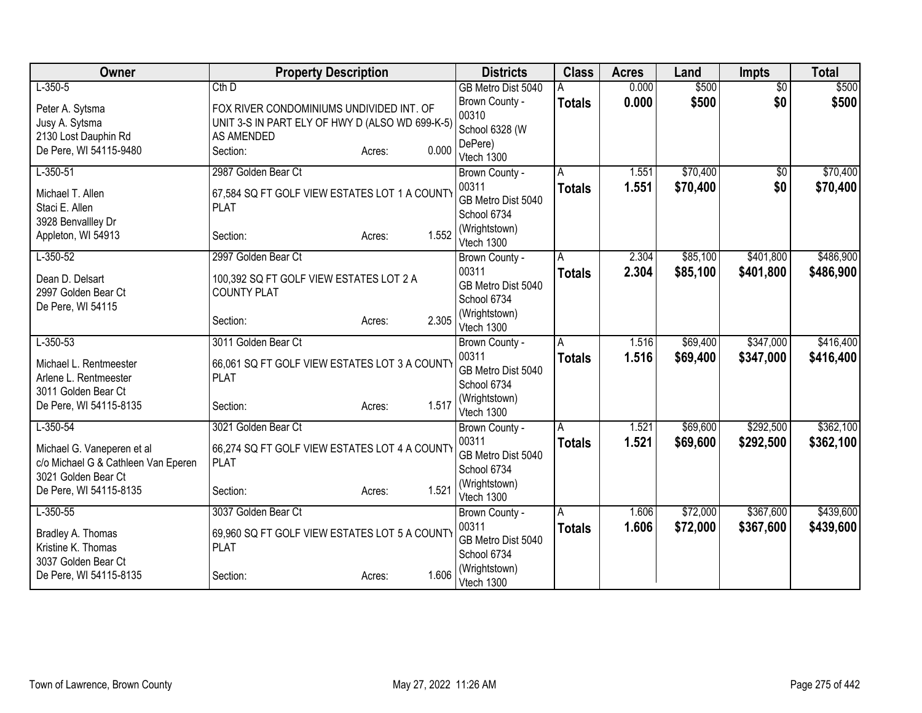| Owner                                                             | <b>Property Description</b>                                  |                 | <b>Districts</b>             | <b>Class</b>  | <b>Acres</b>   | Land     | <b>Impts</b>    | <b>Total</b> |
|-------------------------------------------------------------------|--------------------------------------------------------------|-----------------|------------------------------|---------------|----------------|----------|-----------------|--------------|
| $L-350-5$                                                         | $Cth$ D                                                      |                 | GB Metro Dist 5040           |               | 0.000          | \$500    | $\overline{50}$ | \$500        |
| Peter A. Sytsma                                                   | FOX RIVER CONDOMINIUMS UNDIVIDED INT. OF                     |                 | Brown County -               | <b>Totals</b> | 0.000          | \$500    | \$0             | \$500        |
| Jusy A. Sytsma                                                    | UNIT 3-S IN PART ELY OF HWY D (ALSO WD 699-K-5)              |                 | 00310                        |               |                |          |                 |              |
| 2130 Lost Dauphin Rd                                              | <b>AS AMENDED</b>                                            |                 | School 6328 (W<br>DePere)    |               |                |          |                 |              |
| De Pere, WI 54115-9480                                            | Section:                                                     | 0.000<br>Acres: | Vtech 1300                   |               |                |          |                 |              |
| $L-350-51$                                                        | 2987 Golden Bear Ct                                          |                 | Brown County -               | A             | 1.551          | \$70,400 | \$0             | \$70,400     |
|                                                                   |                                                              |                 | 00311                        | <b>Totals</b> | 1.551          | \$70,400 | \$0             | \$70,400     |
| Michael T. Allen<br>Staci E. Allen                                | 67,584 SQ FT GOLF VIEW ESTATES LOT 1 A COUNTY<br><b>PLAT</b> |                 | GB Metro Dist 5040           |               |                |          |                 |              |
| 3928 Benvallley Dr                                                |                                                              |                 | School 6734                  |               |                |          |                 |              |
| Appleton, WI 54913                                                | Section:                                                     | 1.552<br>Acres: | (Wrightstown)                |               |                |          |                 |              |
|                                                                   |                                                              |                 | Vtech 1300                   |               |                | \$85,100 | \$401,800       |              |
| $L-350-52$                                                        | 2997 Golden Bear Ct                                          |                 | Brown County -<br>00311      | Α             | 2.304          |          |                 | \$486,900    |
| Dean D. Delsart                                                   | 100,392 SQ FT GOLF VIEW ESTATES LOT 2 A                      |                 | GB Metro Dist 5040           | <b>Totals</b> | 2.304          | \$85,100 | \$401,800       | \$486,900    |
| 2997 Golden Bear Ct                                               | <b>COUNTY PLAT</b>                                           |                 | School 6734                  |               |                |          |                 |              |
| De Pere, WI 54115                                                 |                                                              |                 | (Wrightstown)                |               |                |          |                 |              |
|                                                                   | Section:                                                     | 2.305<br>Acres: | Vtech 1300                   |               |                |          |                 |              |
| $L-350-53$                                                        | 3011 Golden Bear Ct                                          |                 | Brown County -               | A             | 1.516          | \$69,400 | \$347,000       | \$416,400    |
| Michael L. Rentmeester                                            | 66,061 SQ FT GOLF VIEW ESTATES LOT 3 A COUNTY                |                 | 00311                        | <b>Totals</b> | 1.516          | \$69,400 | \$347,000       | \$416,400    |
| Arlene L. Rentmeester                                             | <b>PLAT</b>                                                  |                 | GB Metro Dist 5040           |               |                |          |                 |              |
| 3011 Golden Bear Ct                                               |                                                              |                 | School 6734<br>(Wrightstown) |               |                |          |                 |              |
| De Pere, WI 54115-8135                                            | Section:                                                     | 1.517<br>Acres: | Vtech 1300                   |               |                |          |                 |              |
| $L-350-54$                                                        | 3021 Golden Bear Ct                                          |                 | Brown County -               | A             | 1.521          | \$69,600 | \$292,500       | \$362,100    |
|                                                                   |                                                              |                 | 00311                        | <b>Totals</b> | 1.521          | \$69,600 | \$292,500       | \$362,100    |
| Michael G. Vaneperen et al<br>c/o Michael G & Cathleen Van Eperen | 66,274 SQ FT GOLF VIEW ESTATES LOT 4 A COUNTY<br><b>PLAT</b> |                 | GB Metro Dist 5040           |               |                |          |                 |              |
| 3021 Golden Bear Ct                                               |                                                              |                 | School 6734                  |               |                |          |                 |              |
| De Pere, WI 54115-8135                                            | Section:                                                     | 1.521<br>Acres: | (Wrightstown)                |               |                |          |                 |              |
| $L-350-55$                                                        | 3037 Golden Bear Ct                                          |                 | Vtech 1300                   |               |                | \$72,000 | \$367,600       | \$439,600    |
|                                                                   |                                                              |                 | Brown County -<br>00311      | A             | 1.606<br>1.606 | \$72,000 | \$367,600       |              |
| Bradley A. Thomas                                                 | 69,960 SQ FT GOLF VIEW ESTATES LOT 5 A COUNTY                |                 | GB Metro Dist 5040           | <b>Totals</b> |                |          |                 | \$439,600    |
| Kristine K. Thomas                                                | <b>PLAT</b>                                                  |                 | School 6734                  |               |                |          |                 |              |
| 3037 Golden Bear Ct                                               |                                                              | 1.606           | (Wrightstown)                |               |                |          |                 |              |
| De Pere, WI 54115-8135                                            | Section:                                                     | Acres:          | Vtech 1300                   |               |                |          |                 |              |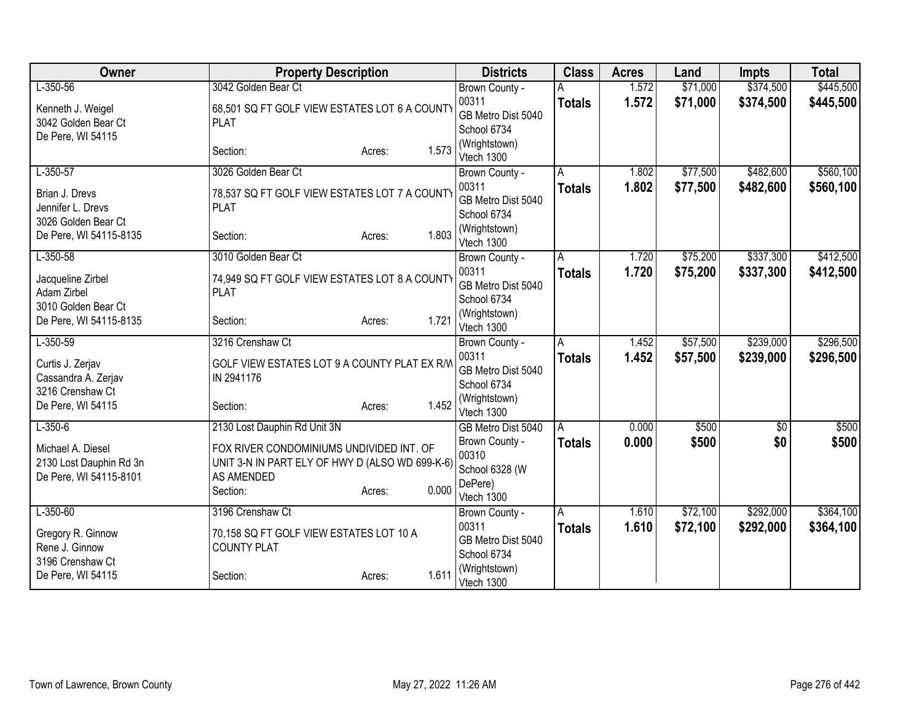| Owner                                        | <b>Property Description</b>                                                                 |                 | <b>Districts</b>             | <b>Class</b>   | <b>Acres</b> | Land     | <b>Impts</b>    | <b>Total</b> |
|----------------------------------------------|---------------------------------------------------------------------------------------------|-----------------|------------------------------|----------------|--------------|----------|-----------------|--------------|
| $L-350-56$                                   | 3042 Golden Bear Ct                                                                         |                 | Brown County -               |                | 1.572        | \$71,000 | \$374,500       | \$445,500    |
| Kenneth J. Weigel                            | 68,501 SQ FT GOLF VIEW ESTATES LOT 6 A COUNTY                                               |                 | 00311                        | <b>Totals</b>  | 1.572        | \$71,000 | \$374,500       | \$445,500    |
| 3042 Golden Bear Ct                          | <b>PLAT</b>                                                                                 |                 | GB Metro Dist 5040           |                |              |          |                 |              |
| De Pere, WI 54115                            |                                                                                             |                 | School 6734<br>(Wrightstown) |                |              |          |                 |              |
|                                              | Section:                                                                                    | 1.573<br>Acres: | Vtech 1300                   |                |              |          |                 |              |
| $L-350-57$                                   | 3026 Golden Bear Ct                                                                         |                 | Brown County -               | A              | 1.802        | \$77,500 | \$482,600       | \$560,100    |
| Brian J. Drevs                               | 78,537 SQ FT GOLF VIEW ESTATES LOT 7 A COUNTY                                               |                 | 00311                        | <b>Totals</b>  | 1.802        | \$77,500 | \$482,600       | \$560,100    |
| Jennifer L. Drevs                            | <b>PLAT</b>                                                                                 |                 | GB Metro Dist 5040           |                |              |          |                 |              |
| 3026 Golden Bear Ct                          |                                                                                             |                 | School 6734                  |                |              |          |                 |              |
| De Pere, WI 54115-8135                       | Section:                                                                                    | 1.803<br>Acres: | (Wrightstown)                |                |              |          |                 |              |
| $L-350-58$                                   | 3010 Golden Bear Ct                                                                         |                 | Vtech 1300                   | $\overline{A}$ | 1.720        | \$75,200 | \$337,300       | \$412,500    |
|                                              |                                                                                             |                 | Brown County -<br>00311      |                | 1.720        | \$75,200 | \$337,300       | \$412,500    |
| Jacqueline Zirbel                            | 74,949 SQ FT GOLF VIEW ESTATES LOT 8 A COUNTY                                               |                 | GB Metro Dist 5040           | <b>Totals</b>  |              |          |                 |              |
| Adam Zirbel                                  | <b>PLAT</b>                                                                                 |                 | School 6734                  |                |              |          |                 |              |
| 3010 Golden Bear Ct                          |                                                                                             | 1.721           | (Wrightstown)                |                |              |          |                 |              |
| De Pere, WI 54115-8135                       | Section:                                                                                    | Acres:          | Vtech 1300                   |                |              |          |                 |              |
| $L-350-59$                                   | 3216 Crenshaw Ct                                                                            |                 | Brown County -               | A              | 1.452        | \$57,500 | \$239,000       | \$296,500    |
| Curtis J. Zerjav                             | GOLF VIEW ESTATES LOT 9 A COUNTY PLAT EX R/W                                                |                 | 00311                        | <b>Totals</b>  | 1.452        | \$57,500 | \$239,000       | \$296,500    |
| Cassandra A. Zerjav                          | IN 2941176                                                                                  |                 | GB Metro Dist 5040           |                |              |          |                 |              |
| 3216 Crenshaw Ct                             |                                                                                             |                 | School 6734                  |                |              |          |                 |              |
| De Pere, WI 54115                            | Section:                                                                                    | 1.452<br>Acres: | (Wrightstown)<br>Vtech 1300  |                |              |          |                 |              |
| $L-350-6$                                    | 2130 Lost Dauphin Rd Unit 3N                                                                |                 | GB Metro Dist 5040           | A              | 0.000        | \$500    | $\overline{50}$ | \$500        |
|                                              |                                                                                             |                 | Brown County -               | <b>Totals</b>  | 0.000        | \$500    | \$0             | \$500        |
| Michael A. Diesel<br>2130 Lost Dauphin Rd 3n | FOX RIVER CONDOMINIUMS UNDIVIDED INT. OF<br>UNIT 3-N IN PART ELY OF HWY D (ALSO WD 699-K-6) |                 | 00310                        |                |              |          |                 |              |
| De Pere, WI 54115-8101                       | AS AMENDED                                                                                  |                 | School 6328 (W               |                |              |          |                 |              |
|                                              | Section:                                                                                    | 0.000<br>Acres: | DePere)                      |                |              |          |                 |              |
|                                              |                                                                                             |                 | Vtech 1300                   |                |              |          |                 |              |
| $L-350-60$                                   | 3196 Crenshaw Ct                                                                            |                 | Brown County -<br>00311      | Α              | 1.610        | \$72,100 | \$292,000       | \$364,100    |
| Gregory R. Ginnow                            | 70,158 SQ FT GOLF VIEW ESTATES LOT 10 A                                                     |                 | GB Metro Dist 5040           | <b>Totals</b>  | 1.610        | \$72,100 | \$292,000       | \$364,100    |
| Rene J. Ginnow                               | <b>COUNTY PLAT</b>                                                                          |                 | School 6734                  |                |              |          |                 |              |
| 3196 Crenshaw Ct                             |                                                                                             |                 | (Wrightstown)                |                |              |          |                 |              |
| De Pere, WI 54115                            | Section:                                                                                    | 1.611<br>Acres: | Vtech 1300                   |                |              |          |                 |              |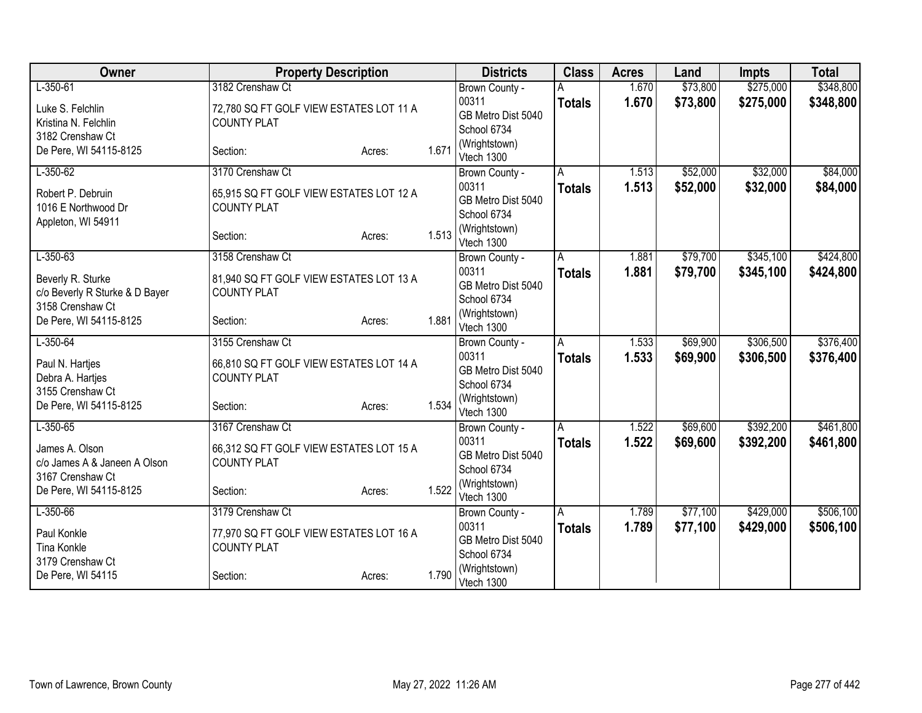| Owner                                     | <b>Property Description</b>                                   |        |       | <b>Districts</b>             | <b>Class</b>  | <b>Acres</b> | Land     | <b>Impts</b> | <b>Total</b> |
|-------------------------------------------|---------------------------------------------------------------|--------|-------|------------------------------|---------------|--------------|----------|--------------|--------------|
| $L-350-61$                                | 3182 Crenshaw Ct                                              |        |       | Brown County -               |               | 1.670        | \$73,800 | \$275,000    | \$348,800    |
| Luke S. Felchlin                          | 72,780 SQ FT GOLF VIEW ESTATES LOT 11 A                       |        |       | 00311                        | <b>Totals</b> | 1.670        | \$73,800 | \$275,000    | \$348,800    |
| Kristina N. Felchlin                      | <b>COUNTY PLAT</b>                                            |        |       | GB Metro Dist 5040           |               |              |          |              |              |
| 3182 Crenshaw Ct                          |                                                               |        |       | School 6734                  |               |              |          |              |              |
| De Pere, WI 54115-8125                    | Section:                                                      | Acres: | 1.671 | (Wrightstown)<br>Vtech 1300  |               |              |          |              |              |
| $L-350-62$                                | 3170 Crenshaw Ct                                              |        |       | Brown County -               | A             | 1.513        | \$52,000 | \$32,000     | \$84,000     |
|                                           |                                                               |        |       | 00311                        | <b>Totals</b> | 1.513        | \$52,000 | \$32,000     | \$84,000     |
| Robert P. Debruin                         | 65,915 SQ FT GOLF VIEW ESTATES LOT 12 A<br><b>COUNTY PLAT</b> |        |       | GB Metro Dist 5040           |               |              |          |              |              |
| 1016 E Northwood Dr<br>Appleton, WI 54911 |                                                               |        |       | School 6734                  |               |              |          |              |              |
|                                           | Section:                                                      | Acres: | 1.513 | (Wrightstown)                |               |              |          |              |              |
|                                           |                                                               |        |       | Vtech 1300                   |               |              |          |              |              |
| $L-350-63$                                | 3158 Crenshaw Ct                                              |        |       | Brown County -               | A             | 1.881        | \$79,700 | \$345,100    | \$424,800    |
| Beverly R. Sturke                         | 81,940 SQ FT GOLF VIEW ESTATES LOT 13 A                       |        |       | 00311                        | <b>Totals</b> | 1.881        | \$79,700 | \$345,100    | \$424,800    |
| c/o Beverly R Sturke & D Bayer            | <b>COUNTY PLAT</b>                                            |        |       | GB Metro Dist 5040           |               |              |          |              |              |
| 3158 Crenshaw Ct                          |                                                               |        |       | School 6734<br>(Wrightstown) |               |              |          |              |              |
| De Pere, WI 54115-8125                    | Section:                                                      | Acres: | 1.881 | Vtech 1300                   |               |              |          |              |              |
| $L-350-64$                                | 3155 Crenshaw Ct                                              |        |       | Brown County -               | A             | 1.533        | \$69,900 | \$306,500    | \$376,400    |
| Paul N. Hartjes                           | 66,810 SQ FT GOLF VIEW ESTATES LOT 14 A                       |        |       | 00311                        | <b>Totals</b> | 1.533        | \$69,900 | \$306,500    | \$376,400    |
| Debra A. Hartjes                          | <b>COUNTY PLAT</b>                                            |        |       | GB Metro Dist 5040           |               |              |          |              |              |
| 3155 Crenshaw Ct                          |                                                               |        |       | School 6734                  |               |              |          |              |              |
| De Pere, WI 54115-8125                    | Section:                                                      | Acres: | 1.534 | (Wrightstown)                |               |              |          |              |              |
| $L-350-65$                                | 3167 Crenshaw Ct                                              |        |       | Vtech 1300                   |               | 1.522        | \$69,600 | \$392,200    | \$461,800    |
|                                           |                                                               |        |       | Brown County -<br>00311      | A             | 1.522        |          |              |              |
| James A. Olson                            | 66,312 SQ FT GOLF VIEW ESTATES LOT 15 A                       |        |       | GB Metro Dist 5040           | <b>Totals</b> |              | \$69,600 | \$392,200    | \$461,800    |
| c/o James A & Janeen A Olson              | <b>COUNTY PLAT</b>                                            |        |       | School 6734                  |               |              |          |              |              |
| 3167 Crenshaw Ct                          |                                                               |        |       | (Wrightstown)                |               |              |          |              |              |
| De Pere, WI 54115-8125                    | Section:                                                      | Acres: | 1.522 | Vtech 1300                   |               |              |          |              |              |
| $L - 350 - 66$                            | 3179 Crenshaw Ct                                              |        |       | Brown County -               | A             | 1.789        | \$77,100 | \$429,000    | \$506,100    |
| Paul Konkle                               | 77,970 SQ FT GOLF VIEW ESTATES LOT 16 A                       |        |       | 00311                        | <b>Totals</b> | 1.789        | \$77,100 | \$429,000    | \$506,100    |
| <b>Tina Konkle</b>                        | <b>COUNTY PLAT</b>                                            |        |       | GB Metro Dist 5040           |               |              |          |              |              |
| 3179 Crenshaw Ct                          |                                                               |        |       | School 6734                  |               |              |          |              |              |
| De Pere, WI 54115                         | Section:                                                      | Acres: | 1.790 | (Wrightstown)<br>Vtech 1300  |               |              |          |              |              |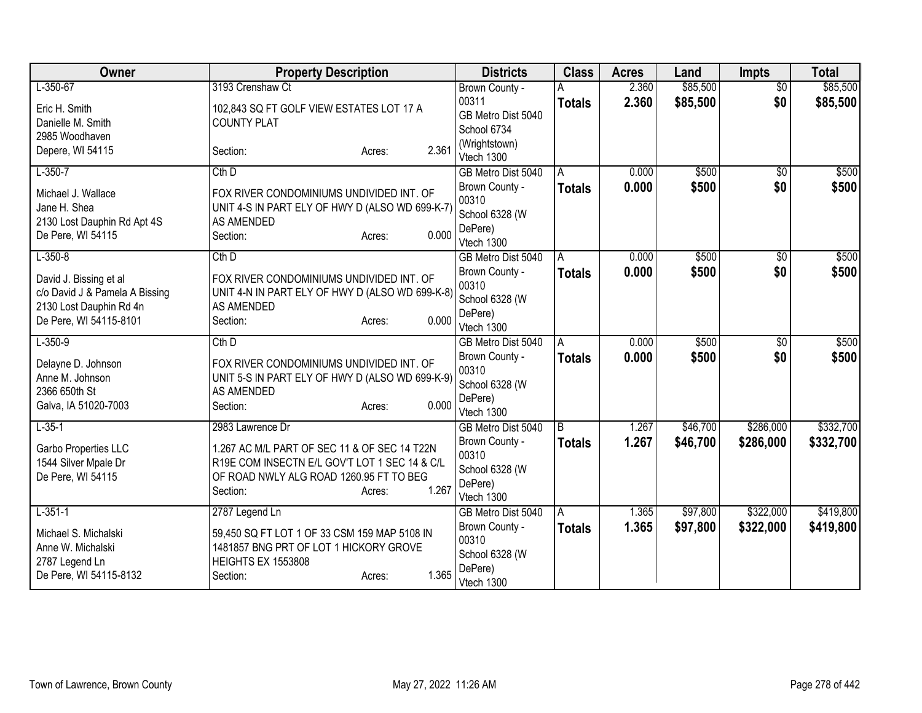| <b>Owner</b>                                                                                | <b>Property Description</b>                                                                                                                                                                 | <b>Districts</b>                                                                         | <b>Class</b>       | <b>Acres</b>   | Land                 | <b>Impts</b>           | <b>Total</b>           |
|---------------------------------------------------------------------------------------------|---------------------------------------------------------------------------------------------------------------------------------------------------------------------------------------------|------------------------------------------------------------------------------------------|--------------------|----------------|----------------------|------------------------|------------------------|
| $L-350-67$                                                                                  | 3193 Crenshaw Ct                                                                                                                                                                            | Brown County -                                                                           |                    | 2.360          | \$85,500             | $\overline{50}$        | \$85,500               |
| Eric H. Smith<br>Danielle M. Smith<br>2985 Woodhaven                                        | 102,843 SQ FT GOLF VIEW ESTATES LOT 17 A<br><b>COUNTY PLAT</b>                                                                                                                              | 00311<br>GB Metro Dist 5040<br>School 6734                                               | <b>Totals</b>      | 2.360          | \$85,500             | \$0                    | \$85,500               |
| Depere, WI 54115                                                                            | 2.361<br>Section:<br>Acres:                                                                                                                                                                 | (Wrightstown)<br>Vtech 1300                                                              |                    |                |                      |                        |                        |
| $L-350-7$                                                                                   | $Cth$ D                                                                                                                                                                                     | GB Metro Dist 5040                                                                       | A                  | 0.000          | \$500                | $\overline{50}$        | \$500                  |
| Michael J. Wallace<br>Jane H. Shea<br>2130 Lost Dauphin Rd Apt 4S<br>De Pere, WI 54115      | FOX RIVER CONDOMINIUMS UNDIVIDED INT. OF<br>UNIT 4-S IN PART ELY OF HWY D (ALSO WD 699-K-7)<br>AS AMENDED<br>0.000<br>Section:<br>Acres:                                                    | Brown County -<br>00310<br>School 6328 (W<br>DePere)<br>Vtech 1300                       | <b>Totals</b>      | 0.000          | \$500                | \$0                    | \$500                  |
| $L-350-8$                                                                                   | Cth D                                                                                                                                                                                       | GB Metro Dist 5040                                                                       | Α                  | 0.000          | \$500                | \$0                    | \$500                  |
| David J. Bissing et al<br>c/o David J & Pamela A Bissing<br>2130 Lost Dauphin Rd 4n         | FOX RIVER CONDOMINIUMS UNDIVIDED INT. OF<br>UNIT 4-N IN PART ELY OF HWY D (ALSO WD 699-K-8)<br>AS AMENDED                                                                                   | Brown County -<br>00310<br>School 6328 (W<br>DePere)                                     | <b>Totals</b>      | 0.000          | \$500                | \$0                    | \$500                  |
| De Pere, WI 54115-8101                                                                      | 0.000<br>Section:<br>Acres:                                                                                                                                                                 | Vtech 1300                                                                               |                    |                |                      |                        |                        |
| $L-350-9$<br>Delayne D. Johnson<br>Anne M. Johnson<br>2366 650th St<br>Galva, IA 51020-7003 | $Cth$ $D$<br>FOX RIVER CONDOMINIUMS UNDIVIDED INT. OF<br>UNIT 5-S IN PART ELY OF HWY D (ALSO WD 699-K-9)<br>AS AMENDED<br>0.000<br>Section:<br>Acres:                                       | GB Metro Dist 5040<br>Brown County -<br>00310<br>School 6328 (W<br>DePere)<br>Vtech 1300 | Α<br><b>Totals</b> | 0.000<br>0.000 | \$500<br>\$500       | $\overline{50}$<br>\$0 | \$500<br>\$500         |
| $L-35-1$<br>Garbo Properties LLC<br>1544 Silver Mpale Dr<br>De Pere, WI 54115               | 2983 Lawrence Dr<br>1.267 AC M/L PART OF SEC 11 & OF SEC 14 T22N<br>R19E COM INSECTN E/L GOV'T LOT 1 SEC 14 & C/L<br>OF ROAD NWLY ALG ROAD 1260.95 FT TO BEG<br>1.267<br>Section:<br>Acres: | GB Metro Dist 5040<br>Brown County -<br>00310<br>School 6328 (W<br>DePere)<br>Vtech 1300 | B<br><b>Totals</b> | 1.267<br>1.267 | \$46,700<br>\$46,700 | \$286,000<br>\$286,000 | \$332,700<br>\$332,700 |
| $L-351-1$                                                                                   | 2787 Legend Ln                                                                                                                                                                              | GB Metro Dist 5040                                                                       | A                  | 1.365          | \$97,800             | \$322,000              | \$419,800              |
| Michael S. Michalski<br>Anne W. Michalski<br>2787 Legend Ln<br>De Pere, WI 54115-8132       | 59,450 SQ FT LOT 1 OF 33 CSM 159 MAP 5108 IN<br>1481857 BNG PRT OF LOT 1 HICKORY GROVE<br><b>HEIGHTS EX 1553808</b><br>1.365<br>Section:<br>Acres:                                          | Brown County -<br>00310<br>School 6328 (W<br>DePere)<br>Vtech 1300                       | <b>Totals</b>      | 1.365          | \$97,800             | \$322,000              | \$419,800              |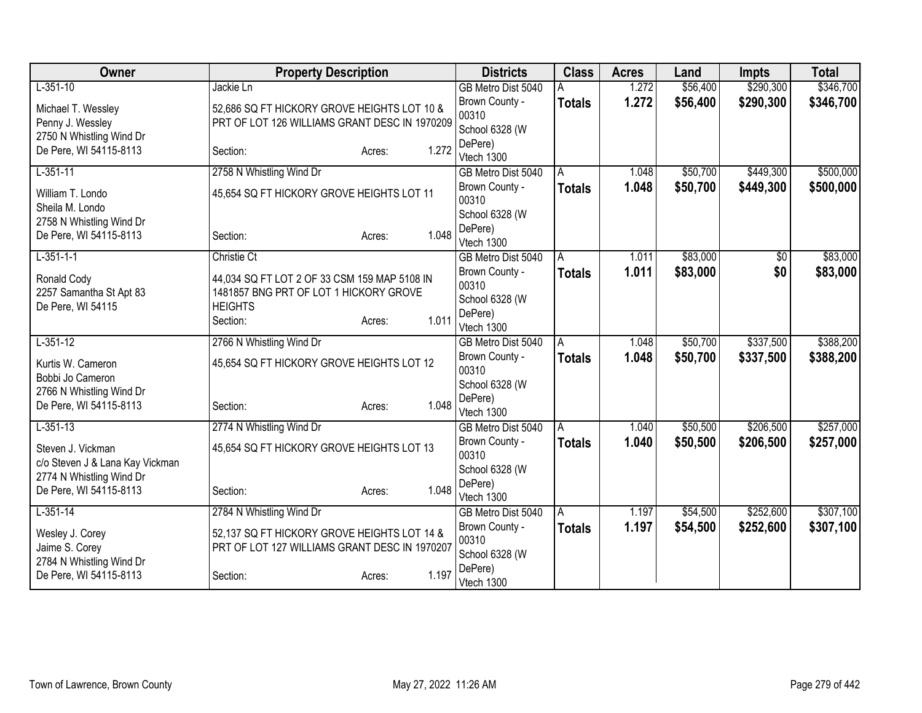| Owner                                              | <b>Property Description</b>                   |                 | <b>Districts</b>                 | <b>Class</b>  | <b>Acres</b> | Land     | <b>Impts</b> | <b>Total</b> |
|----------------------------------------------------|-----------------------------------------------|-----------------|----------------------------------|---------------|--------------|----------|--------------|--------------|
| $L-351-10$                                         | Jackie Ln                                     |                 | GB Metro Dist 5040               |               | 1.272        | \$56,400 | \$290,300    | \$346,700    |
| Michael T. Wessley                                 | 52,686 SQ FT HICKORY GROVE HEIGHTS LOT 10 &   |                 | Brown County -                   | <b>Totals</b> | 1.272        | \$56,400 | \$290,300    | \$346,700    |
| Penny J. Wessley                                   | PRT OF LOT 126 WILLIAMS GRANT DESC IN 1970209 |                 | 00310                            |               |              |          |              |              |
| 2750 N Whistling Wind Dr                           |                                               |                 | School 6328 (W<br>DePere)        |               |              |          |              |              |
| De Pere, WI 54115-8113                             | Section:                                      | 1.272<br>Acres: | Vtech 1300                       |               |              |          |              |              |
| $L-351-11$                                         | 2758 N Whistling Wind Dr                      |                 | GB Metro Dist 5040               | Α             | 1.048        | \$50,700 | \$449,300    | \$500,000    |
| William T. Londo                                   | 45,654 SQ FT HICKORY GROVE HEIGHTS LOT 11     |                 | Brown County -                   | <b>Totals</b> | 1.048        | \$50,700 | \$449,300    | \$500,000    |
| Sheila M. Londo                                    |                                               |                 | 00310                            |               |              |          |              |              |
| 2758 N Whistling Wind Dr                           |                                               |                 | School 6328 (W                   |               |              |          |              |              |
| De Pere, WI 54115-8113                             | Section:                                      | 1.048<br>Acres: | DePere)<br>Vtech 1300            |               |              |          |              |              |
| $L-351-1-1$                                        | <b>Christie Ct</b>                            |                 | GB Metro Dist 5040               | Α             | 1.011        | \$83,000 | \$0          | \$83,000     |
| Ronald Cody                                        | 44,034 SQ FT LOT 2 OF 33 CSM 159 MAP 5108 IN  |                 | Brown County -                   | <b>Totals</b> | 1.011        | \$83,000 | \$0          | \$83,000     |
| 2257 Samantha St Apt 83                            | 1481857 BNG PRT OF LOT 1 HICKORY GROVE        |                 | 00310                            |               |              |          |              |              |
| De Pere, WI 54115                                  | <b>HEIGHTS</b>                                |                 | School 6328 (W                   |               |              |          |              |              |
|                                                    | Section:                                      | 1.011<br>Acres: | DePere)<br>Vtech 1300            |               |              |          |              |              |
| $L-351-12$                                         | 2766 N Whistling Wind Dr                      |                 | GB Metro Dist 5040               | Α             | 1.048        | \$50,700 | \$337,500    | \$388,200    |
|                                                    |                                               |                 | Brown County -                   | <b>Totals</b> | 1.048        | \$50,700 | \$337,500    | \$388,200    |
| Kurtis W. Cameron<br>Bobbi Jo Cameron              | 45,654 SQ FT HICKORY GROVE HEIGHTS LOT 12     |                 | 00310                            |               |              |          |              |              |
| 2766 N Whistling Wind Dr                           |                                               |                 | School 6328 (W                   |               |              |          |              |              |
| De Pere, WI 54115-8113                             | Section:                                      | 1.048<br>Acres: | DePere)                          |               |              |          |              |              |
| $L - 351 - 13$                                     | 2774 N Whistling Wind Dr                      |                 | Vtech 1300<br>GB Metro Dist 5040 | A             | 1.040        | \$50,500 | \$206,500    | \$257,000    |
|                                                    |                                               |                 | Brown County -                   | <b>Totals</b> | 1.040        | \$50,500 | \$206,500    | \$257,000    |
| Steven J. Vickman                                  | 45,654 SQ FT HICKORY GROVE HEIGHTS LOT 13     |                 | 00310                            |               |              |          |              |              |
| c/o Steven J & Lana Kay Vickman                    |                                               |                 | School 6328 (W                   |               |              |          |              |              |
| 2774 N Whistling Wind Dr<br>De Pere, WI 54115-8113 | Section:                                      | 1.048<br>Acres: | DePere)                          |               |              |          |              |              |
|                                                    |                                               |                 | Vtech 1300                       |               |              |          |              |              |
| $L-351-14$                                         | 2784 N Whistling Wind Dr                      |                 | GB Metro Dist 5040               | A             | 1.197        | \$54,500 | \$252,600    | \$307,100    |
| Wesley J. Corey                                    | 52,137 SQ FT HICKORY GROVE HEIGHTS LOT 14 &   |                 | Brown County -<br>00310          | <b>Totals</b> | 1.197        | \$54,500 | \$252,600    | \$307,100    |
| Jaime S. Corey                                     | PRT OF LOT 127 WILLIAMS GRANT DESC IN 1970207 |                 | School 6328 (W                   |               |              |          |              |              |
| 2784 N Whistling Wind Dr                           |                                               |                 | DePere)                          |               |              |          |              |              |
| De Pere, WI 54115-8113                             | Section:                                      | 1.197<br>Acres: | Vtech 1300                       |               |              |          |              |              |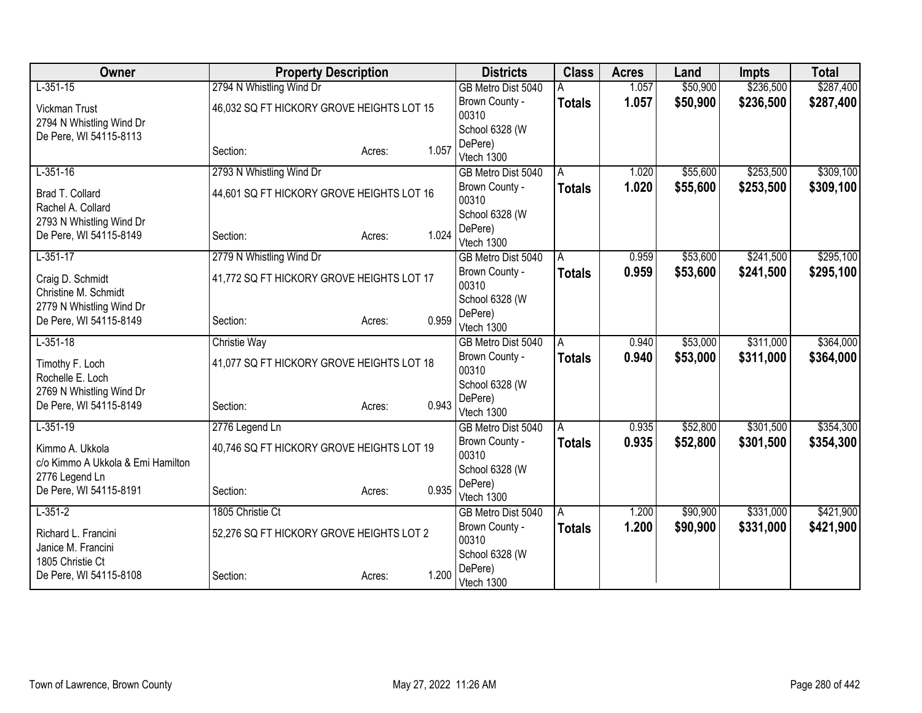| Owner                             | <b>Property Description</b>               |        |       | <b>Districts</b>                 | <b>Class</b>  | <b>Acres</b> | Land     | <b>Impts</b> | <b>Total</b> |
|-----------------------------------|-------------------------------------------|--------|-------|----------------------------------|---------------|--------------|----------|--------------|--------------|
| $L-351-15$                        | 2794 N Whistling Wind Dr                  |        |       | GB Metro Dist 5040               |               | 1.057        | \$50,900 | \$236,500    | \$287,400    |
| <b>Vickman Trust</b>              | 46,032 SQ FT HICKORY GROVE HEIGHTS LOT 15 |        |       | Brown County -                   | <b>Totals</b> | 1.057        | \$50,900 | \$236,500    | \$287,400    |
| 2794 N Whistling Wind Dr          |                                           |        |       | 00310                            |               |              |          |              |              |
| De Pere, WI 54115-8113            |                                           |        |       | School 6328 (W                   |               |              |          |              |              |
|                                   | Section:                                  | Acres: | 1.057 | DePere)                          |               |              |          |              |              |
| $L-351-16$                        | 2793 N Whistling Wind Dr                  |        |       | Vtech 1300<br>GB Metro Dist 5040 | A             | 1.020        | \$55,600 | \$253,500    | \$309,100    |
|                                   |                                           |        |       | Brown County -                   | <b>Totals</b> | 1.020        | \$55,600 | \$253,500    | \$309,100    |
| Brad T. Collard                   | 44,601 SQ FT HICKORY GROVE HEIGHTS LOT 16 |        |       | 00310                            |               |              |          |              |              |
| Rachel A. Collard                 |                                           |        |       | School 6328 (W                   |               |              |          |              |              |
| 2793 N Whistling Wind Dr          |                                           |        |       | DePere)                          |               |              |          |              |              |
| De Pere, WI 54115-8149            | Section:                                  | Acres: | 1.024 | Vtech 1300                       |               |              |          |              |              |
| $L-351-17$                        | 2779 N Whistling Wind Dr                  |        |       | GB Metro Dist 5040               | Α             | 0.959        | \$53,600 | \$241,500    | \$295,100    |
| Craig D. Schmidt                  | 41,772 SQ FT HICKORY GROVE HEIGHTS LOT 17 |        |       | Brown County -                   | <b>Totals</b> | 0.959        | \$53,600 | \$241,500    | \$295,100    |
| Christine M. Schmidt              |                                           |        |       | 00310                            |               |              |          |              |              |
| 2779 N Whistling Wind Dr          |                                           |        |       | School 6328 (W                   |               |              |          |              |              |
| De Pere, WI 54115-8149            | Section:                                  | Acres: | 0.959 | DePere)                          |               |              |          |              |              |
|                                   |                                           |        |       | Vtech 1300                       |               |              |          |              |              |
| $L-351-18$                        | <b>Christie Way</b>                       |        |       | GB Metro Dist 5040               | A             | 0.940        | \$53,000 | \$311,000    | \$364,000    |
| Timothy F. Loch                   | 41,077 SQ FT HICKORY GROVE HEIGHTS LOT 18 |        |       | Brown County -<br>00310          | <b>Totals</b> | 0.940        | \$53,000 | \$311,000    | \$364,000    |
| Rochelle E. Loch                  |                                           |        |       | School 6328 (W                   |               |              |          |              |              |
| 2769 N Whistling Wind Dr          |                                           |        |       | DePere)                          |               |              |          |              |              |
| De Pere, WI 54115-8149            | Section:                                  | Acres: | 0.943 | Vtech 1300                       |               |              |          |              |              |
| $L-351-19$                        | 2776 Legend Ln                            |        |       | GB Metro Dist 5040               | A             | 0.935        | \$52,800 | \$301,500    | \$354,300    |
| Kimmo A. Ukkola                   | 40,746 SQ FT HICKORY GROVE HEIGHTS LOT 19 |        |       | Brown County -                   | <b>Totals</b> | 0.935        | \$52,800 | \$301,500    | \$354,300    |
| c/o Kimmo A Ukkola & Emi Hamilton |                                           |        |       | 00310                            |               |              |          |              |              |
| 2776 Legend Ln                    |                                           |        |       | School 6328 (W                   |               |              |          |              |              |
| De Pere, WI 54115-8191            | Section:                                  | Acres: | 0.935 | DePere)                          |               |              |          |              |              |
|                                   |                                           |        |       | Vtech 1300                       |               |              |          |              |              |
| $L-351-2$                         | 1805 Christie Ct                          |        |       | GB Metro Dist 5040               | A             | 1.200        | \$90,900 | \$331,000    | \$421,900    |
| Richard L. Francini               | 52,276 SQ FT HICKORY GROVE HEIGHTS LOT 2  |        |       | Brown County -<br>00310          | <b>Totals</b> | 1.200        | \$90,900 | \$331,000    | \$421,900    |
| Janice M. Francini                |                                           |        |       | School 6328 (W                   |               |              |          |              |              |
| 1805 Christie Ct                  |                                           |        |       | DePere)                          |               |              |          |              |              |
| De Pere, WI 54115-8108            | Section:                                  | Acres: | 1.200 | Vtech 1300                       |               |              |          |              |              |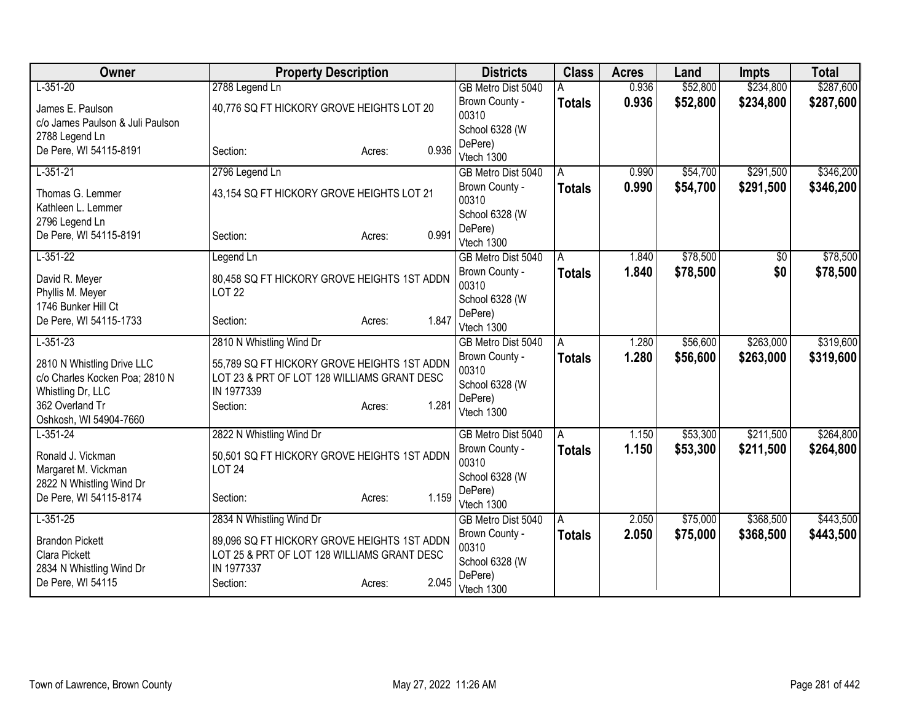| Owner                                     | <b>Property Description</b>                                  |                 | <b>Districts</b>                 | <b>Class</b>  | <b>Acres</b> | Land     | <b>Impts</b> | <b>Total</b> |
|-------------------------------------------|--------------------------------------------------------------|-----------------|----------------------------------|---------------|--------------|----------|--------------|--------------|
| $L-351-20$                                | 2788 Legend Ln                                               |                 | GB Metro Dist 5040               |               | 0.936        | \$52,800 | \$234,800    | \$287,600    |
| James E. Paulson                          | 40,776 SQ FT HICKORY GROVE HEIGHTS LOT 20                    |                 | Brown County -                   | <b>Totals</b> | 0.936        | \$52,800 | \$234,800    | \$287,600    |
| c/o James Paulson & Juli Paulson          |                                                              |                 | 00310                            |               |              |          |              |              |
| 2788 Legend Ln                            |                                                              |                 | School 6328 (W<br>DePere)        |               |              |          |              |              |
| De Pere, WI 54115-8191                    | Section:                                                     | 0.936<br>Acres: | Vtech 1300                       |               |              |          |              |              |
| $L-351-21$                                | 2796 Legend Ln                                               |                 | GB Metro Dist 5040               | A             | 0.990        | \$54,700 | \$291,500    | \$346,200    |
| Thomas G. Lemmer                          | 43,154 SQ FT HICKORY GROVE HEIGHTS LOT 21                    |                 | Brown County -                   | <b>Totals</b> | 0.990        | \$54,700 | \$291,500    | \$346,200    |
| Kathleen L. Lemmer                        |                                                              |                 | 00310                            |               |              |          |              |              |
| 2796 Legend Ln                            |                                                              |                 | School 6328 (W                   |               |              |          |              |              |
| De Pere, WI 54115-8191                    | Section:                                                     | 0.991<br>Acres: | DePere)<br>Vtech 1300            |               |              |          |              |              |
| $L-351-22$                                | Legend Ln                                                    |                 | GB Metro Dist 5040               | A             | 1.840        | \$78,500 | \$0          | \$78,500     |
|                                           |                                                              |                 | Brown County -                   | <b>Totals</b> | 1.840        | \$78,500 | \$0          | \$78,500     |
| David R. Meyer<br>Phyllis M. Meyer        | 80,458 SQ FT HICKORY GROVE HEIGHTS 1ST ADDN<br><b>LOT 22</b> |                 | 00310                            |               |              |          |              |              |
| 1746 Bunker Hill Ct                       |                                                              |                 | School 6328 (W                   |               |              |          |              |              |
| De Pere, WI 54115-1733                    | Section:                                                     | 1.847<br>Acres: | DePere)                          |               |              |          |              |              |
| $L-351-23$                                | 2810 N Whistling Wind Dr                                     |                 | Vtech 1300<br>GB Metro Dist 5040 | A             | 1.280        | \$56,600 | \$263,000    | \$319,600    |
|                                           |                                                              |                 | Brown County -                   | Totals        | 1.280        | \$56,600 | \$263,000    | \$319,600    |
| 2810 N Whistling Drive LLC                | 55,789 SQ FT HICKORY GROVE HEIGHTS 1ST ADDN                  |                 | 00310                            |               |              |          |              |              |
| c/o Charles Kocken Poa; 2810 N            | LOT 23 & PRT OF LOT 128 WILLIAMS GRANT DESC<br>IN 1977339    |                 | School 6328 (W                   |               |              |          |              |              |
| Whistling Dr, LLC<br>362 Overland Tr      | Section:                                                     | 1.281<br>Acres: | DePere)                          |               |              |          |              |              |
| Oshkosh, WI 54904-7660                    |                                                              |                 | Vtech 1300                       |               |              |          |              |              |
| $L-351-24$                                | 2822 N Whistling Wind Dr                                     |                 | GB Metro Dist 5040               | A             | 1.150        | \$53,300 | \$211,500    | \$264,800    |
| Ronald J. Vickman                         | 50,501 SQ FT HICKORY GROVE HEIGHTS 1ST ADDN                  |                 | Brown County -                   | <b>Totals</b> | 1.150        | \$53,300 | \$211,500    | \$264,800    |
| Margaret M. Vickman                       | <b>LOT 24</b>                                                |                 | 00310                            |               |              |          |              |              |
| 2822 N Whistling Wind Dr                  |                                                              |                 | School 6328 (W                   |               |              |          |              |              |
| De Pere, WI 54115-8174                    | Section:                                                     | 1.159<br>Acres: | DePere)<br>Vtech 1300            |               |              |          |              |              |
| $L-351-25$                                | 2834 N Whistling Wind Dr                                     |                 | GB Metro Dist 5040               | A             | 2.050        | \$75,000 | \$368,500    | \$443,500    |
|                                           |                                                              |                 | Brown County -                   | <b>Totals</b> | 2.050        | \$75,000 | \$368,500    | \$443,500    |
| <b>Brandon Pickett</b>                    | 89,096 SQ FT HICKORY GROVE HEIGHTS 1ST ADDN                  |                 | 00310                            |               |              |          |              |              |
| Clara Pickett<br>2834 N Whistling Wind Dr | LOT 25 & PRT OF LOT 128 WILLIAMS GRANT DESC<br>IN 1977337    |                 | School 6328 (W                   |               |              |          |              |              |
| De Pere, WI 54115                         | Section:                                                     | 2.045<br>Acres: | DePere)                          |               |              |          |              |              |
|                                           |                                                              |                 | Vtech 1300                       |               |              |          |              |              |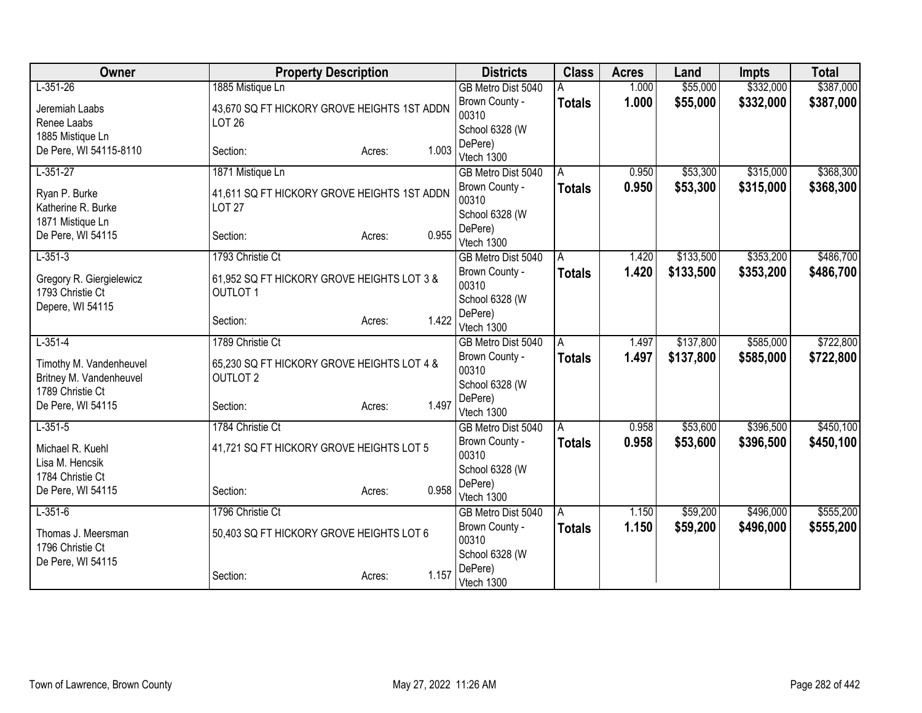| Owner                    | <b>Property Description</b>                 |        |       | <b>Districts</b>                 | <b>Class</b>  | <b>Acres</b> | Land      | <b>Impts</b> | <b>Total</b> |
|--------------------------|---------------------------------------------|--------|-------|----------------------------------|---------------|--------------|-----------|--------------|--------------|
| $L-351-26$               | 1885 Mistique Ln                            |        |       | GB Metro Dist 5040               |               | 1.000        | \$55,000  | \$332,000    | \$387,000    |
| Jeremiah Laabs           | 43,670 SQ FT HICKORY GROVE HEIGHTS 1ST ADDN |        |       | Brown County -                   | <b>Totals</b> | 1.000        | \$55,000  | \$332,000    | \$387,000    |
| Renee Laabs              | <b>LOT 26</b>                               |        |       | 00310                            |               |              |           |              |              |
| 1885 Mistique Ln         |                                             |        |       | School 6328 (W<br>DePere)        |               |              |           |              |              |
| De Pere, WI 54115-8110   | Section:                                    | Acres: | 1.003 | Vtech 1300                       |               |              |           |              |              |
| $L-351-27$               | 1871 Mistique Ln                            |        |       | GB Metro Dist 5040               | A             | 0.950        | \$53,300  | \$315,000    | \$368,300    |
| Ryan P. Burke            | 41,611 SQ FT HICKORY GROVE HEIGHTS 1ST ADDN |        |       | Brown County -                   | <b>Totals</b> | 0.950        | \$53,300  | \$315,000    | \$368,300    |
| Katherine R. Burke       | <b>LOT 27</b>                               |        |       | 00310                            |               |              |           |              |              |
| 1871 Mistique Ln         |                                             |        |       | School 6328 (W                   |               |              |           |              |              |
| De Pere, WI 54115        | Section:                                    | Acres: | 0.955 | DePere)                          |               |              |           |              |              |
| $L-351-3$                | 1793 Christie Ct                            |        |       | Vtech 1300<br>GB Metro Dist 5040 | A             | 1.420        | \$133,500 | \$353,200    | \$486,700    |
|                          |                                             |        |       | Brown County -                   | <b>Totals</b> | 1.420        | \$133,500 | \$353,200    | \$486,700    |
| Gregory R. Giergielewicz | 61,952 SQ FT HICKORY GROVE HEIGHTS LOT 3 &  |        |       | 00310                            |               |              |           |              |              |
| 1793 Christie Ct         | <b>OUTLOT 1</b>                             |        |       | School 6328 (W                   |               |              |           |              |              |
| Depere, WI 54115         | Section:                                    | Acres: | 1.422 | DePere)                          |               |              |           |              |              |
|                          |                                             |        |       | Vtech 1300                       |               |              |           |              |              |
| $L-351-4$                | 1789 Christie Ct                            |        |       | GB Metro Dist 5040               | A             | 1.497        | \$137,800 | \$585,000    | \$722,800    |
| Timothy M. Vandenheuvel  | 65,230 SQ FT HICKORY GROVE HEIGHTS LOT 4 &  |        |       | Brown County -<br>00310          | <b>Totals</b> | 1.497        | \$137,800 | \$585,000    | \$722,800    |
| Britney M. Vandenheuvel  | <b>OUTLOT 2</b>                             |        |       | School 6328 (W                   |               |              |           |              |              |
| 1789 Christie Ct         |                                             |        |       | DePere)                          |               |              |           |              |              |
| De Pere, WI 54115        | Section:                                    | Acres: | 1.497 | Vtech 1300                       |               |              |           |              |              |
| $L-351-5$                | 1784 Christie Ct                            |        |       | GB Metro Dist 5040               | A             | 0.958        | \$53,600  | \$396,500    | \$450,100    |
| Michael R. Kuehl         | 41,721 SQ FT HICKORY GROVE HEIGHTS LOT 5    |        |       | Brown County -                   | <b>Totals</b> | 0.958        | \$53,600  | \$396,500    | \$450,100    |
| Lisa M. Hencsik          |                                             |        |       | 00310                            |               |              |           |              |              |
| 1784 Christie Ct         |                                             |        |       | School 6328 (W<br>DePere)        |               |              |           |              |              |
| De Pere, WI 54115        | Section:                                    | Acres: | 0.958 | Vtech 1300                       |               |              |           |              |              |
| $L-351-6$                | 1796 Christie Ct                            |        |       | GB Metro Dist 5040               | A             | 1.150        | \$59,200  | \$496,000    | \$555,200    |
| Thomas J. Meersman       | 50,403 SQ FT HICKORY GROVE HEIGHTS LOT 6    |        |       | Brown County -                   | <b>Totals</b> | 1.150        | \$59,200  | \$496,000    | \$555,200    |
| 1796 Christie Ct         |                                             |        |       | 00310                            |               |              |           |              |              |
| De Pere, WI 54115        |                                             |        |       | School 6328 (W                   |               |              |           |              |              |
|                          | Section:                                    | Acres: | 1.157 | DePere)<br>Vtech 1300            |               |              |           |              |              |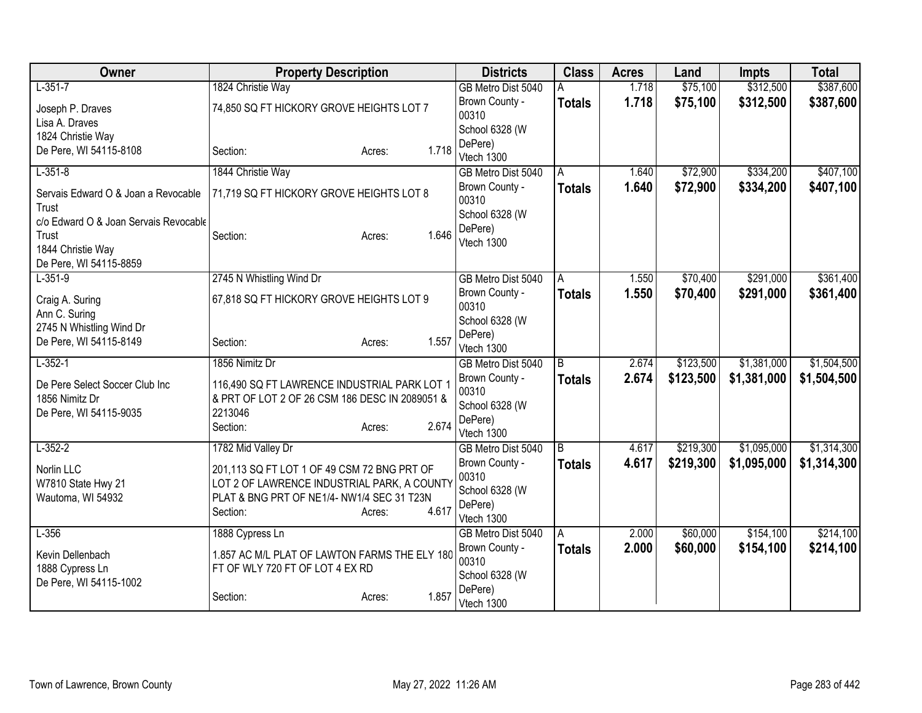| Owner                                 | <b>Property Description</b>                    |                 | <b>Districts</b>                 | <b>Class</b>       | <b>Acres</b> | Land      | Impts       | <b>Total</b> |
|---------------------------------------|------------------------------------------------|-----------------|----------------------------------|--------------------|--------------|-----------|-------------|--------------|
| $L-351-7$                             | 1824 Christie Way                              |                 | GB Metro Dist 5040               |                    | 1.718        | \$75,100  | \$312,500   | \$387,600    |
| Joseph P. Draves                      | 74,850 SQ FT HICKORY GROVE HEIGHTS LOT 7       |                 | Brown County -                   | <b>Totals</b>      | 1.718        | \$75,100  | \$312,500   | \$387,600    |
| Lisa A. Draves                        |                                                |                 | 00310                            |                    |              |           |             |              |
| 1824 Christie Way                     |                                                |                 | School 6328 (W                   |                    |              |           |             |              |
| De Pere, WI 54115-8108                | Section:                                       | 1.718<br>Acres: | DePere)                          |                    |              |           |             |              |
| $L-351-8$                             | 1844 Christie Way                              |                 | Vtech 1300                       |                    | 1.640        | \$72,900  | \$334,200   | \$407,100    |
|                                       |                                                |                 | GB Metro Dist 5040               | A                  |              |           |             |              |
| Servais Edward O & Joan a Revocable   | 71,719 SQ FT HICKORY GROVE HEIGHTS LOT 8       |                 | Brown County -<br>00310          | <b>Totals</b>      | 1.640        | \$72,900  | \$334,200   | \$407,100    |
| Trust                                 |                                                |                 | School 6328 (W                   |                    |              |           |             |              |
| c/o Edward O & Joan Servais Revocable |                                                |                 | DePere)                          |                    |              |           |             |              |
| Trust                                 | Section:                                       | 1.646<br>Acres: | Vtech 1300                       |                    |              |           |             |              |
| 1844 Christie Way                     |                                                |                 |                                  |                    |              |           |             |              |
| De Pere, WI 54115-8859<br>$L-351-9$   | 2745 N Whistling Wind Dr                       |                 | GB Metro Dist 5040               |                    | 1.550        | \$70,400  | \$291,000   | \$361,400    |
|                                       |                                                |                 | Brown County -                   | A<br><b>Totals</b> | 1.550        | \$70,400  | \$291,000   | \$361,400    |
| Craig A. Suring                       | 67,818 SQ FT HICKORY GROVE HEIGHTS LOT 9       |                 | 00310                            |                    |              |           |             |              |
| Ann C. Suring                         |                                                |                 | School 6328 (W                   |                    |              |           |             |              |
| 2745 N Whistling Wind Dr              |                                                |                 | DePere)                          |                    |              |           |             |              |
| De Pere, WI 54115-8149                | Section:                                       | 1.557<br>Acres: | Vtech 1300                       |                    |              |           |             |              |
| $L-352-1$                             | 1856 Nimitz Dr                                 |                 | GB Metro Dist 5040               | B                  | 2.674        | \$123,500 | \$1,381,000 | \$1,504,500  |
| De Pere Select Soccer Club Inc        | 116,490 SQ FT LAWRENCE INDUSTRIAL PARK LOT 1   |                 | Brown County -                   | <b>Totals</b>      | 2.674        | \$123,500 | \$1,381,000 | \$1,504,500  |
| 1856 Nimitz Dr                        | & PRT OF LOT 2 OF 26 CSM 186 DESC IN 2089051 & |                 | 00310                            |                    |              |           |             |              |
| De Pere, WI 54115-9035                | 2213046                                        |                 | School 6328 (W                   |                    |              |           |             |              |
|                                       | Section:                                       | 2.674<br>Acres: | DePere)                          |                    |              |           |             |              |
| $L-352-2$                             | 1782 Mid Valley Dr                             |                 | Vtech 1300<br>GB Metro Dist 5040 | $\overline{B}$     | 4.617        | \$219,300 | \$1,095,000 | \$1,314,300  |
|                                       |                                                |                 | Brown County -                   |                    | 4.617        | \$219,300 | \$1,095,000 | \$1,314,300  |
| Norlin LLC                            | 201,113 SQ FT LOT 1 OF 49 CSM 72 BNG PRT OF    |                 | 00310                            | <b>Totals</b>      |              |           |             |              |
| W7810 State Hwy 21                    | LOT 2 OF LAWRENCE INDUSTRIAL PARK, A COUNTY    |                 | School 6328 (W                   |                    |              |           |             |              |
| Wautoma, WI 54932                     | PLAT & BNG PRT OF NE1/4-NW1/4 SEC 31 T23N      |                 | DePere)                          |                    |              |           |             |              |
|                                       | Section:                                       | 4.617<br>Acres: | Vtech 1300                       |                    |              |           |             |              |
| $L-356$                               | 1888 Cypress Ln                                |                 | GB Metro Dist 5040               | A                  | 2.000        | \$60,000  | \$154,100   | \$214,100    |
| Kevin Dellenbach                      | 1.857 AC M/L PLAT OF LAWTON FARMS THE ELY 180  |                 | Brown County -                   | <b>Totals</b>      | 2.000        | \$60,000  | \$154,100   | \$214,100    |
| 1888 Cypress Ln                       | FT OF WLY 720 FT OF LOT 4 EX RD                |                 | 00310                            |                    |              |           |             |              |
| De Pere, WI 54115-1002                |                                                |                 | School 6328 (W                   |                    |              |           |             |              |
|                                       | Section:                                       | 1.857<br>Acres: | DePere)<br>Vtech 1300            |                    |              |           |             |              |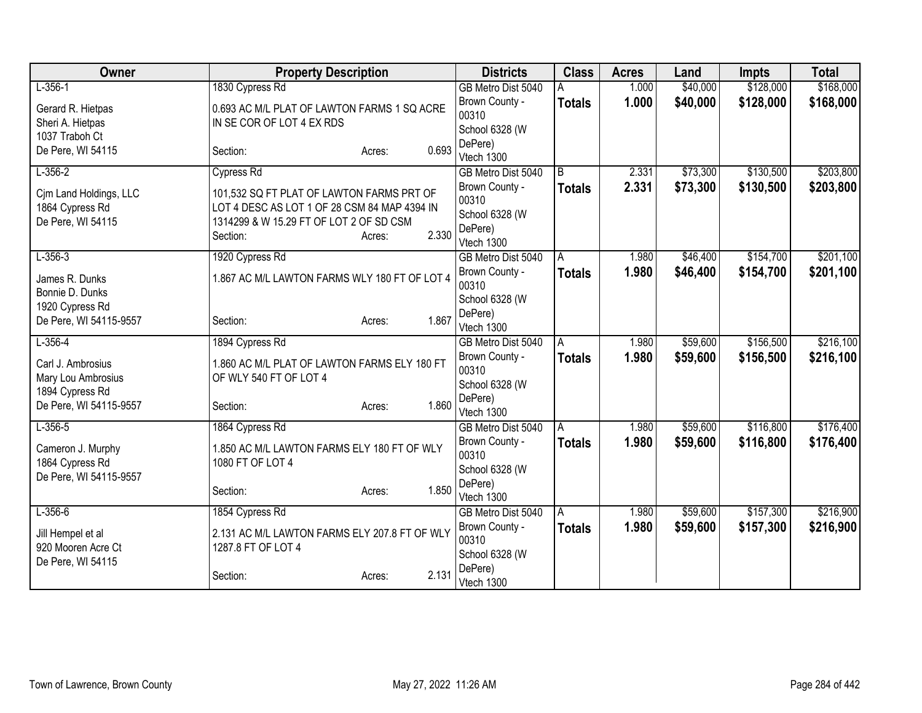| Owner                  | <b>Property Description</b>                   |                 | <b>Districts</b>      | <b>Class</b>   | <b>Acres</b> | Land     | <b>Impts</b> | <b>Total</b> |
|------------------------|-----------------------------------------------|-----------------|-----------------------|----------------|--------------|----------|--------------|--------------|
| $L-356-1$              | 1830 Cypress Rd                               |                 | GB Metro Dist 5040    |                | 1.000        | \$40,000 | \$128,000    | \$168,000    |
| Gerard R. Hietpas      | 0.693 AC M/L PLAT OF LAWTON FARMS 1 SQ ACRE   |                 | Brown County -        | <b>Totals</b>  | 1.000        | \$40,000 | \$128,000    | \$168,000    |
| Sheri A. Hietpas       | IN SE COR OF LOT 4 EX RDS                     |                 | 00310                 |                |              |          |              |              |
| 1037 Traboh Ct         |                                               |                 | School 6328 (W        |                |              |          |              |              |
| De Pere, WI 54115      | Section:                                      | 0.693<br>Acres: | DePere)<br>Vtech 1300 |                |              |          |              |              |
| $L - 356 - 2$          | <b>Cypress Rd</b>                             |                 | GB Metro Dist 5040    | $\overline{B}$ | 2.331        | \$73,300 | \$130,500    | \$203,800    |
|                        |                                               |                 | Brown County -        | <b>Totals</b>  | 2.331        | \$73,300 | \$130,500    | \$203,800    |
| Cim Land Holdings, LLC | 101,532 SQ FT PLAT OF LAWTON FARMS PRT OF     |                 | 00310                 |                |              |          |              |              |
| 1864 Cypress Rd        | LOT 4 DESC AS LOT 1 OF 28 CSM 84 MAP 4394 IN  |                 | School 6328 (W        |                |              |          |              |              |
| De Pere, WI 54115      | 1314299 & W 15.29 FT OF LOT 2 OF SD CSM       |                 | DePere)               |                |              |          |              |              |
|                        | Section:                                      | 2.330<br>Acres: | Vtech 1300            |                |              |          |              |              |
| $L-356-3$              | 1920 Cypress Rd                               |                 | GB Metro Dist 5040    | A              | 1.980        | \$46,400 | \$154,700    | \$201,100    |
| James R. Dunks         | 1.867 AC M/L LAWTON FARMS WLY 180 FT OF LOT 4 |                 | Brown County -        | <b>Totals</b>  | 1.980        | \$46,400 | \$154,700    | \$201,100    |
| Bonnie D. Dunks        |                                               |                 | 00310                 |                |              |          |              |              |
| 1920 Cypress Rd        |                                               |                 | School 6328 (W        |                |              |          |              |              |
| De Pere, WI 54115-9557 | Section:                                      | 1.867<br>Acres: | DePere)<br>Vtech 1300 |                |              |          |              |              |
| $L-356-4$              | 1894 Cypress Rd                               |                 | GB Metro Dist 5040    | A              | 1.980        | \$59,600 | \$156,500    | \$216,100    |
|                        |                                               |                 | Brown County -        | <b>Totals</b>  | 1.980        | \$59,600 | \$156,500    | \$216,100    |
| Carl J. Ambrosius      | 1.860 AC M/L PLAT OF LAWTON FARMS ELY 180 FT  |                 | 00310                 |                |              |          |              |              |
| Mary Lou Ambrosius     | OF WLY 540 FT OF LOT 4                        |                 | School 6328 (W        |                |              |          |              |              |
| 1894 Cypress Rd        |                                               | 1.860           | DePere)               |                |              |          |              |              |
| De Pere, WI 54115-9557 | Section:                                      | Acres:          | Vtech 1300            |                |              |          |              |              |
| $L-356-5$              | 1864 Cypress Rd                               |                 | GB Metro Dist 5040    | A              | 1.980        | \$59,600 | \$116,800    | \$176,400    |
| Cameron J. Murphy      | 1.850 AC M/L LAWTON FARMS ELY 180 FT OF WLY   |                 | Brown County -        | <b>Totals</b>  | 1.980        | \$59,600 | \$116,800    | \$176,400    |
| 1864 Cypress Rd        | 1080 FT OF LOT 4                              |                 | 00310                 |                |              |          |              |              |
| De Pere, WI 54115-9557 |                                               |                 | School 6328 (W        |                |              |          |              |              |
|                        | Section:                                      | 1.850<br>Acres: | DePere)<br>Vtech 1300 |                |              |          |              |              |
| $L-356-6$              | 1854 Cypress Rd                               |                 | GB Metro Dist 5040    | A              | 1.980        | \$59,600 | \$157,300    | \$216,900    |
|                        |                                               |                 | Brown County -        | Totals         | 1.980        | \$59,600 | \$157,300    | \$216,900    |
| Jill Hempel et al      | 2.131 AC M/L LAWTON FARMS ELY 207.8 FT OF WLY |                 | 00310                 |                |              |          |              |              |
| 920 Mooren Acre Ct     | 1287.8 FT OF LOT 4                            |                 | School 6328 (W        |                |              |          |              |              |
| De Pere, WI 54115      |                                               | 2.131           | DePere)               |                |              |          |              |              |
|                        | Section:                                      | Acres:          | Vtech 1300            |                |              |          |              |              |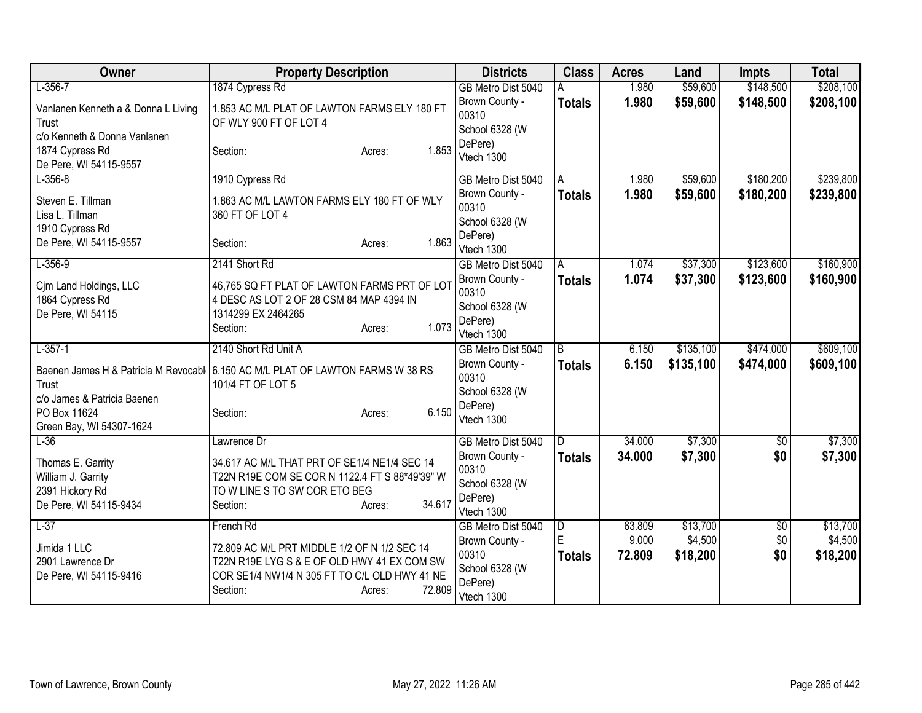| Owner                                                                                | <b>Property Description</b>                                                                                                                                                  | <b>Districts</b>                                                   | <b>Class</b>       | <b>Acres</b>    | Land                | <b>Impts</b> | <b>Total</b>        |
|--------------------------------------------------------------------------------------|------------------------------------------------------------------------------------------------------------------------------------------------------------------------------|--------------------------------------------------------------------|--------------------|-----------------|---------------------|--------------|---------------------|
| $L-356-7$                                                                            | 1874 Cypress Rd                                                                                                                                                              | GB Metro Dist 5040                                                 | A                  | 1.980           | \$59,600            | \$148,500    | \$208,100           |
| Vanlanen Kenneth a & Donna L Living<br>Trust                                         | 1.853 AC M/L PLAT OF LAWTON FARMS ELY 180 FT<br>OF WLY 900 FT OF LOT 4                                                                                                       | Brown County -<br>00310<br>School 6328 (W                          | <b>Totals</b>      | 1.980           | \$59,600            | \$148,500    | \$208,100           |
| c/o Kenneth & Donna Vanlanen<br>1874 Cypress Rd<br>De Pere, WI 54115-9557            | 1.853<br>Section:<br>Acres:                                                                                                                                                  | DePere)<br>Vtech 1300                                              |                    |                 |                     |              |                     |
| $L-356-8$                                                                            | 1910 Cypress Rd                                                                                                                                                              | GB Metro Dist 5040                                                 | A                  | 1.980           | \$59,600            | \$180,200    | \$239,800           |
| Steven E. Tillman<br>Lisa L. Tillman<br>1910 Cypress Rd                              | 1.863 AC M/L LAWTON FARMS ELY 180 FT OF WLY<br>360 FT OF LOT 4                                                                                                               | Brown County -<br>00310<br>School 6328 (W                          | <b>Totals</b>      | 1.980           | \$59,600            | \$180,200    | \$239,800           |
| De Pere, WI 54115-9557                                                               | 1.863<br>Section:<br>Acres:                                                                                                                                                  | DePere)<br>Vtech 1300                                              |                    |                 |                     |              |                     |
| $L-356-9$                                                                            | 2141 Short Rd                                                                                                                                                                | GB Metro Dist 5040                                                 | A                  | 1.074           | \$37,300            | \$123,600    | \$160,900           |
| Cim Land Holdings, LLC<br>1864 Cypress Rd                                            | 46,765 SQ FT PLAT OF LAWTON FARMS PRT OF LOT<br>4 DESC AS LOT 2 OF 28 CSM 84 MAP 4394 IN                                                                                     | Brown County -<br>00310<br>School 6328 (W                          | <b>Totals</b>      | 1.074           | \$37,300            | \$123,600    | \$160,900           |
| De Pere, WI 54115                                                                    | 1314299 EX 2464265<br>1.073<br>Section:<br>Acres:                                                                                                                            | DePere)<br>Vtech 1300                                              |                    |                 |                     |              |                     |
| $L-357-1$                                                                            | 2140 Short Rd Unit A                                                                                                                                                         | GB Metro Dist 5040                                                 | $\overline{B}$     | 6.150           | \$135,100           | \$474,000    | \$609,100           |
| Trust<br>c/o James & Patricia Baenen                                                 | Baenen James H & Patricia M Revocabl 6.150 AC M/L PLAT OF LAWTON FARMS W 38 RS<br>101/4 FT OF LOT 5                                                                          | Brown County -<br>00310<br>School 6328 (W                          | <b>Totals</b>      | 6.150           | \$135,100           | \$474,000    | \$609,100           |
| PO Box 11624<br>Green Bay, WI 54307-1624                                             | 6.150<br>Section:<br>Acres:                                                                                                                                                  | DePere)<br>Vtech 1300                                              |                    |                 |                     |              |                     |
| $L-36$                                                                               | Lawrence Dr                                                                                                                                                                  | GB Metro Dist 5040                                                 | D                  | 34.000          | \$7,300             | \$0          | \$7,300             |
| Thomas E. Garrity<br>William J. Garrity<br>2391 Hickory Rd<br>De Pere, WI 54115-9434 | 34.617 AC M/L THAT PRT OF SE1/4 NE1/4 SEC 14<br>T22N R19E COM SE COR N 1122.4 FT S 88*49'39" W<br>TO W LINE S TO SW COR ETO BEG<br>34.617<br>Section:<br>Acres:              | Brown County -<br>00310<br>School 6328 (W<br>DePere)<br>Vtech 1300 | <b>Totals</b>      | 34.000          | \$7,300             | \$0          | \$7,300             |
| $L-37$                                                                               | French Rd                                                                                                                                                                    | GB Metro Dist 5040                                                 | $\overline{D}$     | 63.809          | \$13,700            | \$0          | \$13,700            |
| Jimida 1 LLC<br>2901 Lawrence Dr<br>De Pere, WI 54115-9416                           | 72.809 AC M/L PRT MIDDLE 1/2 OF N 1/2 SEC 14<br>T22N R19E LYG S & E OF OLD HWY 41 EX COM SW<br>COR SE1/4 NW1/4 N 305 FT TO C/L OLD HWY 41 NE<br>72.809<br>Section:<br>Acres: | Brown County -<br>00310<br>School 6328 (W<br>DePere)<br>Vtech 1300 | E<br><b>Totals</b> | 9.000<br>72.809 | \$4,500<br>\$18,200 | \$0<br>\$0   | \$4,500<br>\$18,200 |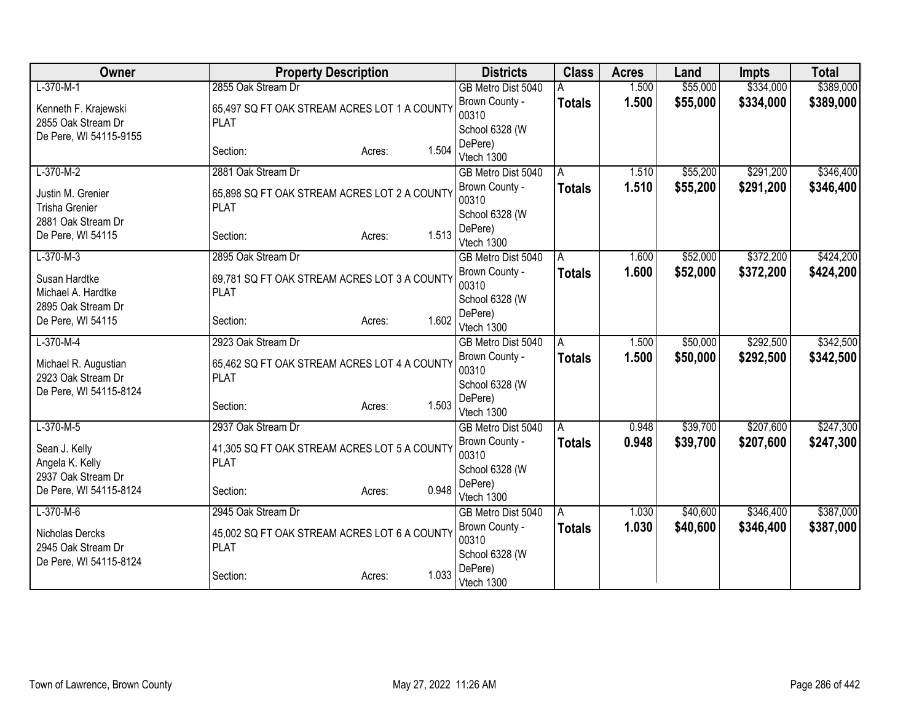| Owner                                      | <b>Property Description</b>                  |                 | <b>Districts</b>                     | <b>Class</b>  | <b>Acres</b>   | Land                 | <b>Impts</b>           | <b>Total</b> |
|--------------------------------------------|----------------------------------------------|-----------------|--------------------------------------|---------------|----------------|----------------------|------------------------|--------------|
| $L-370-M-1$                                | 2855 Oak Stream Dr                           |                 | GB Metro Dist 5040                   |               | 1.500          | \$55,000             | \$334,000              | \$389,000    |
| Kenneth F. Krajewski                       | 65,497 SQ FT OAK STREAM ACRES LOT 1 A COUNTY |                 | Brown County -                       | <b>Totals</b> | 1.500          | \$55,000             | \$334,000              | \$389,000    |
| 2855 Oak Stream Dr                         | <b>PLAT</b>                                  |                 | 00310                                |               |                |                      |                        |              |
| De Pere, WI 54115-9155                     |                                              |                 | School 6328 (W                       |               |                |                      |                        |              |
|                                            | Section:                                     | 1.504<br>Acres: | DePere)<br>Vtech 1300                |               |                |                      |                        |              |
| $L-370-M-2$                                | 2881 Oak Stream Dr                           |                 | GB Metro Dist 5040                   | A             | 1.510          | \$55,200             | \$291,200              | \$346,400    |
|                                            |                                              |                 | Brown County -                       | <b>Totals</b> | 1.510          | \$55,200             | \$291,200              | \$346,400    |
| Justin M. Grenier                          | 65,898 SQ FT OAK STREAM ACRES LOT 2 A COUNTY |                 | 00310                                |               |                |                      |                        |              |
| <b>Trisha Grenier</b>                      | <b>PLAT</b>                                  |                 | School 6328 (W                       |               |                |                      |                        |              |
| 2881 Oak Stream Dr<br>De Pere, WI 54115    | Section:                                     | 1.513           | DePere)                              |               |                |                      |                        |              |
|                                            |                                              | Acres:          | Vtech 1300                           |               |                |                      |                        |              |
| $L-370-M-3$                                | 2895 Oak Stream Dr                           |                 | GB Metro Dist 5040                   | A             | 1.600          | \$52,000             | \$372,200              | \$424,200    |
| Susan Hardtke                              | 69,781 SQ FT OAK STREAM ACRES LOT 3 A COUNTY |                 | Brown County -                       | <b>Totals</b> | 1.600          | \$52,000             | \$372,200              | \$424,200    |
| Michael A. Hardtke                         | <b>PLAT</b>                                  |                 | 00310                                |               |                |                      |                        |              |
| 2895 Oak Stream Dr                         |                                              |                 | School 6328 (W<br>DePere)            |               |                |                      |                        |              |
| De Pere, WI 54115                          | Section:                                     | 1.602<br>Acres: | Vtech 1300                           |               |                |                      |                        |              |
| $L-370-M-4$                                | 2923 Oak Stream Dr                           |                 | GB Metro Dist 5040                   | A             | 1.500          | \$50,000             | \$292,500              | \$342,500    |
|                                            | 65,462 SQ FT OAK STREAM ACRES LOT 4 A COUNTY |                 | Brown County -                       | <b>Totals</b> | 1.500          | \$50,000             | \$292,500              | \$342,500    |
| Michael R. Augustian<br>2923 Oak Stream Dr | <b>PLAT</b>                                  |                 | 00310                                |               |                |                      |                        |              |
| De Pere, WI 54115-8124                     |                                              |                 | School 6328 (W                       |               |                |                      |                        |              |
|                                            | Section:                                     | 1.503<br>Acres: | DePere)                              |               |                |                      |                        |              |
|                                            |                                              |                 | Vtech 1300                           |               |                |                      |                        |              |
| $L-370-M-5$                                | 2937 Oak Stream Dr                           |                 | GB Metro Dist 5040<br>Brown County - | A             | 0.948<br>0.948 | \$39,700<br>\$39,700 | \$207,600<br>\$207,600 | \$247,300    |
| Sean J. Kelly                              | 41,305 SQ FT OAK STREAM ACRES LOT 5 A COUNTY |                 | 00310                                | <b>Totals</b> |                |                      |                        | \$247,300    |
| Angela K. Kelly                            | <b>PLAT</b>                                  |                 | School 6328 (W                       |               |                |                      |                        |              |
| 2937 Oak Stream Dr                         |                                              |                 | DePere)                              |               |                |                      |                        |              |
| De Pere, WI 54115-8124                     | Section:                                     | 0.948<br>Acres: | Vtech 1300                           |               |                |                      |                        |              |
| $L-370-M-6$                                | 2945 Oak Stream Dr                           |                 | GB Metro Dist 5040                   | A             | 1.030          | \$40,600             | \$346,400              | \$387,000    |
| Nicholas Dercks                            | 45,002 SQ FT OAK STREAM ACRES LOT 6 A COUNTY |                 | Brown County -                       | <b>Totals</b> | 1.030          | \$40,600             | \$346,400              | \$387,000    |
| 2945 Oak Stream Dr                         | <b>PLAT</b>                                  |                 | 00310                                |               |                |                      |                        |              |
| De Pere, WI 54115-8124                     |                                              |                 | School 6328 (W                       |               |                |                      |                        |              |
|                                            | Section:                                     | 1.033<br>Acres: | DePere)<br>Vtech 1300                |               |                |                      |                        |              |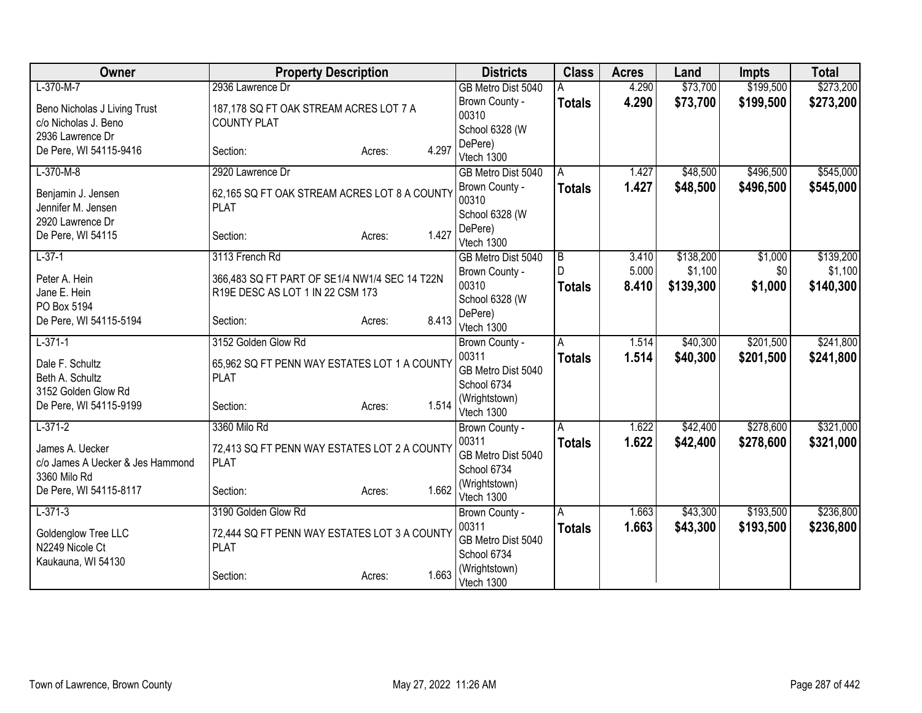| Owner                            | <b>Property Description</b>                   | <b>Districts</b>        | <b>Class</b>       | <b>Acres</b> | Land                 | <b>Impts</b>           | <b>Total</b> |
|----------------------------------|-----------------------------------------------|-------------------------|--------------------|--------------|----------------------|------------------------|--------------|
| $L-370-M-7$                      | 2936 Lawrence Dr                              | GB Metro Dist 5040      |                    | 4.290        | \$73,700             | \$199,500              | \$273,200    |
| Beno Nicholas J Living Trust     | 187,178 SQ FT OAK STREAM ACRES LOT 7 A        | Brown County -          | <b>Totals</b>      | 4.290        | \$73,700             | \$199,500              | \$273,200    |
| c/o Nicholas J. Beno             | <b>COUNTY PLAT</b>                            | 00310                   |                    |              |                      |                        |              |
| 2936 Lawrence Dr                 |                                               | School 6328 (W          |                    |              |                      |                        |              |
| De Pere, WI 54115-9416           | 4.297<br>Section:<br>Acres:                   | DePere)<br>Vtech 1300   |                    |              |                      |                        |              |
| $L-370-M-8$                      | 2920 Lawrence Dr                              | GB Metro Dist 5040      | A                  | 1.427        | \$48,500             | \$496,500              | \$545,000    |
|                                  |                                               | Brown County -          | <b>Totals</b>      | 1.427        | \$48,500             | \$496,500              | \$545,000    |
| Benjamin J. Jensen               | 62,165 SQ FT OAK STREAM ACRES LOT 8 A COUNTY  | 00310                   |                    |              |                      |                        |              |
| Jennifer M. Jensen               | <b>PLAT</b>                                   | School 6328 (W          |                    |              |                      |                        |              |
| 2920 Lawrence Dr                 |                                               | DePere)                 |                    |              |                      |                        |              |
| De Pere, WI 54115                | 1.427<br>Section:<br>Acres:                   | Vtech 1300              |                    |              |                      |                        |              |
| $L-37-1$                         | 3113 French Rd                                | GB Metro Dist 5040      | $\overline{B}$     | 3.410        | \$138,200            | \$1,000                | \$139,200    |
| Peter A. Hein                    | 366,483 SQ FT PART OF SE1/4 NW1/4 SEC 14 T22N | Brown County -          | $\mathsf{D}$       | 5.000        | \$1,100              | \$0                    | \$1,100      |
| Jane E. Hein                     | R19E DESC AS LOT 1 IN 22 CSM 173              | 00310                   | <b>Totals</b>      | 8.410        | \$139,300            | \$1,000                | \$140,300    |
| PO Box 5194                      |                                               | School 6328 (W          |                    |              |                      |                        |              |
| De Pere, WI 54115-5194           | 8.413<br>Section:<br>Acres:                   | DePere)                 |                    |              |                      |                        |              |
|                                  |                                               | Vtech 1300              |                    |              |                      |                        |              |
| $L-371-1$                        | 3152 Golden Glow Rd                           | Brown County -<br>00311 | A                  | 1.514        | \$40,300<br>\$40,300 | \$201,500<br>\$201,500 | \$241,800    |
| Dale F. Schultz                  | 65,962 SQ FT PENN WAY ESTATES LOT 1 A COUNTY  | GB Metro Dist 5040      | <b>Totals</b>      | 1.514        |                      |                        | \$241,800    |
| Beth A. Schultz                  | <b>PLAT</b>                                   | School 6734             |                    |              |                      |                        |              |
| 3152 Golden Glow Rd              |                                               | (Wrightstown)           |                    |              |                      |                        |              |
| De Pere, WI 54115-9199           | 1.514<br>Section:<br>Acres:                   | Vtech 1300              |                    |              |                      |                        |              |
| $L-371-2$                        | 3360 Milo Rd                                  | Brown County -          | Α                  | 1.622        | \$42,400             | \$278,600              | \$321,000    |
| James A. Uecker                  | 72,413 SQ FT PENN WAY ESTATES LOT 2 A COUNTY  | 00311                   | <b>Totals</b>      | 1.622        | \$42,400             | \$278,600              | \$321,000    |
| c/o James A Uecker & Jes Hammond | <b>PLAT</b>                                   | GB Metro Dist 5040      |                    |              |                      |                        |              |
| 3360 Milo Rd                     |                                               | School 6734             |                    |              |                      |                        |              |
| De Pere, WI 54115-8117           | 1.662<br>Section:<br>Acres:                   | (Wrightstown)           |                    |              |                      |                        |              |
| $L-371-3$                        | 3190 Golden Glow Rd                           | Vtech 1300              |                    | 1.663        | \$43,300             | \$193,500              | \$236,800    |
|                                  |                                               | Brown County -<br>00311 | Α<br><b>Totals</b> | 1.663        | \$43,300             | \$193,500              | \$236,800    |
| Goldenglow Tree LLC              | 72,444 SQ FT PENN WAY ESTATES LOT 3 A COUNTY  | GB Metro Dist 5040      |                    |              |                      |                        |              |
| N2249 Nicole Ct                  | <b>PLAT</b>                                   | School 6734             |                    |              |                      |                        |              |
| Kaukauna, WI 54130               |                                               | (Wrightstown)           |                    |              |                      |                        |              |
|                                  | 1.663<br>Section:<br>Acres:                   | Vtech 1300              |                    |              |                      |                        |              |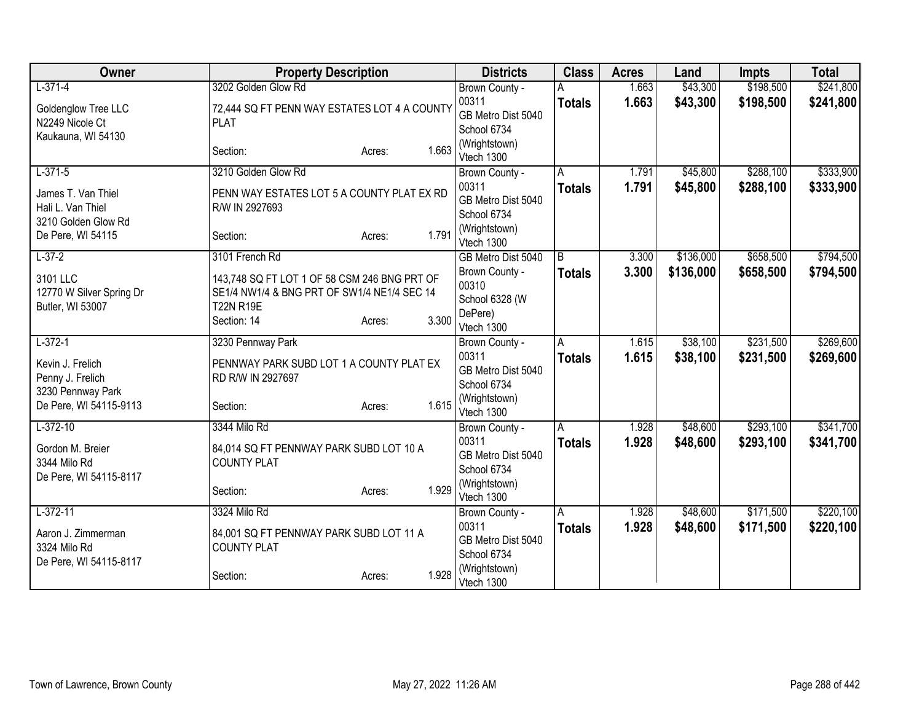| Owner                                                                    | <b>Property Description</b>                                                                                                                       | <b>Districts</b>                                                              | <b>Class</b>       | <b>Acres</b>   | Land                 | <b>Impts</b>           | <b>Total</b>           |
|--------------------------------------------------------------------------|---------------------------------------------------------------------------------------------------------------------------------------------------|-------------------------------------------------------------------------------|--------------------|----------------|----------------------|------------------------|------------------------|
| $L-371-4$                                                                | 3202 Golden Glow Rd                                                                                                                               | Brown County -                                                                |                    | 1.663          | \$43,300             | \$198,500              | \$241,800              |
| Goldenglow Tree LLC<br>N2249 Nicole Ct<br>Kaukauna, WI 54130             | 72,444 SQ FT PENN WAY ESTATES LOT 4 A COUNTY<br><b>PLAT</b>                                                                                       | 00311<br>GB Metro Dist 5040<br>School 6734                                    | <b>Totals</b>      | 1.663          | \$43,300             | \$198,500              | \$241,800              |
|                                                                          | 1.663<br>Section:<br>Acres:                                                                                                                       | (Wrightstown)<br>Vtech 1300                                                   |                    |                |                      |                        |                        |
| $L-371-5$                                                                | 3210 Golden Glow Rd                                                                                                                               | Brown County -                                                                | A                  | 1.791          | \$45,800             | \$288,100              | \$333,900              |
| James T. Van Thiel<br>Hali L. Van Thiel                                  | PENN WAY ESTATES LOT 5 A COUNTY PLAT EX RD<br>R/W IN 2927693                                                                                      | 00311<br>GB Metro Dist 5040<br>School 6734                                    | <b>Totals</b>      | 1.791          | \$45,800             | \$288,100              | \$333,900              |
| 3210 Golden Glow Rd<br>De Pere, WI 54115                                 | 1.791<br>Section:<br>Acres:                                                                                                                       | (Wrightstown)<br>Vtech 1300                                                   |                    |                |                      |                        |                        |
| $L-37-2$                                                                 | 3101 French Rd                                                                                                                                    | GB Metro Dist 5040                                                            | $\overline{B}$     | 3.300          | \$136,000            | \$658,500              | \$794,500              |
| 3101 LLC<br>12770 W Silver Spring Dr<br>Butler, WI 53007                 | 143,748 SQ FT LOT 1 OF 58 CSM 246 BNG PRT OF<br>SE1/4 NW1/4 & BNG PRT OF SW1/4 NE1/4 SEC 14<br><b>T22N R19E</b><br>3.300<br>Section: 14<br>Acres: | Brown County -<br>00310<br>School 6328 (W<br>DePere)                          | <b>Totals</b>      | 3.300          | \$136,000            | \$658,500              | \$794,500              |
| $L-372-1$                                                                | 3230 Pennway Park                                                                                                                                 | Vtech 1300                                                                    | A                  | 1.615          | \$38,100             | \$231,500              | \$269,600              |
| Kevin J. Frelich<br>Penny J. Frelich<br>3230 Pennway Park                | PENNWAY PARK SUBD LOT 1 A COUNTY PLAT EX<br>RD R/W IN 2927697                                                                                     | Brown County -<br>00311<br>GB Metro Dist 5040<br>School 6734<br>(Wrightstown) | <b>Totals</b>      | 1.615          | \$38,100             | \$231,500              | \$269,600              |
| De Pere, WI 54115-9113                                                   | 1.615<br>Section:<br>Acres:                                                                                                                       | Vtech 1300                                                                    |                    |                |                      |                        |                        |
| $L-372-10$<br>Gordon M. Breier<br>3344 Milo Rd<br>De Pere, WI 54115-8117 | 3344 Milo Rd<br>84,014 SQ FT PENNWAY PARK SUBD LOT 10 A<br><b>COUNTY PLAT</b>                                                                     | Brown County -<br>00311<br>GB Metro Dist 5040<br>School 6734<br>(Wrightstown) | A<br><b>Totals</b> | 1.928<br>1.928 | \$48,600<br>\$48,600 | \$293,100<br>\$293,100 | \$341,700<br>\$341,700 |
|                                                                          | 1.929<br>Section:<br>Acres:                                                                                                                       | Vtech 1300                                                                    |                    |                |                      |                        |                        |
| $L-372-11$                                                               | 3324 Milo Rd                                                                                                                                      | Brown County -                                                                | A                  | 1.928          | \$48,600             | \$171,500              | \$220,100              |
| Aaron J. Zimmerman<br>3324 Milo Rd<br>De Pere, WI 54115-8117             | 84,001 SQ FT PENNWAY PARK SUBD LOT 11 A<br><b>COUNTY PLAT</b>                                                                                     | 00311<br>GB Metro Dist 5040<br>School 6734                                    | <b>Totals</b>      | 1.928          | \$48,600             | \$171,500              | \$220,100              |
|                                                                          | 1.928<br>Section:<br>Acres:                                                                                                                       | (Wrightstown)<br>Vtech 1300                                                   |                    |                |                      |                        |                        |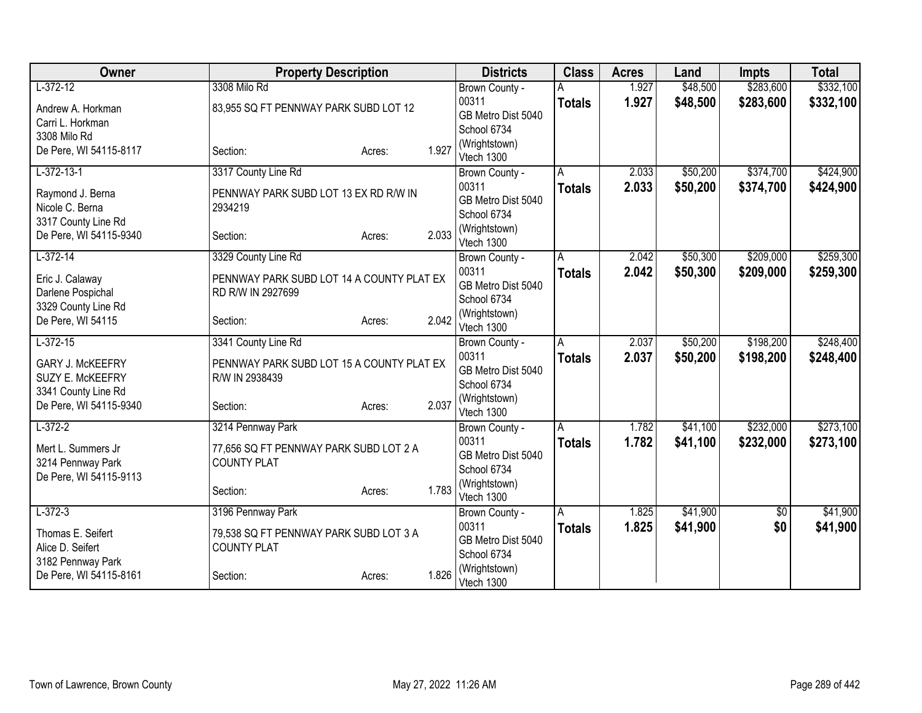| Owner                   | <b>Property Description</b>               |        |       | <b>Districts</b>            | <b>Class</b>  | <b>Acres</b> | Land     | <b>Impts</b> | <b>Total</b> |
|-------------------------|-------------------------------------------|--------|-------|-----------------------------|---------------|--------------|----------|--------------|--------------|
| $L-372-12$              | 3308 Milo Rd                              |        |       | Brown County -              |               | 1.927        | \$48,500 | \$283,600    | \$332,100    |
| Andrew A. Horkman       | 83,955 SQ FT PENNWAY PARK SUBD LOT 12     |        |       | 00311                       | <b>Totals</b> | 1.927        | \$48,500 | \$283,600    | \$332,100    |
| Carri L. Horkman        |                                           |        |       | GB Metro Dist 5040          |               |              |          |              |              |
| 3308 Milo Rd            |                                           |        |       | School 6734                 |               |              |          |              |              |
| De Pere, WI 54115-8117  | Section:                                  | Acres: | 1.927 | (Wrightstown)<br>Vtech 1300 |               |              |          |              |              |
| $L-372-13-1$            | 3317 County Line Rd                       |        |       | Brown County -              | A             | 2.033        | \$50,200 | \$374,700    | \$424,900    |
| Raymond J. Berna        | PENNWAY PARK SUBD LOT 13 EX RD R/W IN     |        |       | 00311                       | <b>Totals</b> | 2.033        | \$50,200 | \$374,700    | \$424,900    |
| Nicole C. Berna         | 2934219                                   |        |       | GB Metro Dist 5040          |               |              |          |              |              |
| 3317 County Line Rd     |                                           |        |       | School 6734                 |               |              |          |              |              |
| De Pere, WI 54115-9340  | Section:                                  | Acres: | 2.033 | (Wrightstown)<br>Vtech 1300 |               |              |          |              |              |
| $L-372-14$              | 3329 County Line Rd                       |        |       | Brown County -              | Α             | 2.042        | \$50,300 | \$209,000    | \$259,300    |
| Eric J. Calaway         | PENNWAY PARK SUBD LOT 14 A COUNTY PLAT EX |        |       | 00311                       | <b>Totals</b> | 2.042        | \$50,300 | \$209,000    | \$259,300    |
| Darlene Pospichal       | RD R/W IN 2927699                         |        |       | GB Metro Dist 5040          |               |              |          |              |              |
| 3329 County Line Rd     |                                           |        |       | School 6734                 |               |              |          |              |              |
| De Pere, WI 54115       | Section:                                  | Acres: | 2.042 | (Wrightstown)               |               |              |          |              |              |
| $L-372-15$              | 3341 County Line Rd                       |        |       | Vtech 1300                  | A             | 2.037        | \$50,200 | \$198,200    | \$248,400    |
|                         |                                           |        |       | Brown County -<br>00311     |               | 2.037        | \$50,200 | \$198,200    | \$248,400    |
| <b>GARY J. McKEEFRY</b> | PENNWAY PARK SUBD LOT 15 A COUNTY PLAT EX |        |       | GB Metro Dist 5040          | <b>Totals</b> |              |          |              |              |
| SUZY E. McKEEFRY        | R/W IN 2938439                            |        |       | School 6734                 |               |              |          |              |              |
| 3341 County Line Rd     |                                           |        |       | (Wrightstown)               |               |              |          |              |              |
| De Pere, WI 54115-9340  | Section:                                  | Acres: | 2.037 | Vtech 1300                  |               |              |          |              |              |
| $L-372-2$               | 3214 Pennway Park                         |        |       | Brown County -              | A             | 1.782        | \$41,100 | \$232,000    | \$273,100    |
| Mert L. Summers Jr      | 77,656 SQ FT PENNWAY PARK SUBD LOT 2 A    |        |       | 00311                       | <b>Totals</b> | 1.782        | \$41,100 | \$232,000    | \$273,100    |
| 3214 Pennway Park       | <b>COUNTY PLAT</b>                        |        |       | GB Metro Dist 5040          |               |              |          |              |              |
| De Pere, WI 54115-9113  |                                           |        |       | School 6734                 |               |              |          |              |              |
|                         | Section:                                  | Acres: | 1.783 | (Wrightstown)<br>Vtech 1300 |               |              |          |              |              |
| $L-372-3$               | 3196 Pennway Park                         |        |       | Brown County -              | A             | 1.825        | \$41,900 | \$0          | \$41,900     |
|                         |                                           |        |       | 00311                       | <b>Totals</b> | 1.825        | \$41,900 | \$0          | \$41,900     |
| Thomas E. Seifert       | 79,538 SQ FT PENNWAY PARK SUBD LOT 3 A    |        |       | GB Metro Dist 5040          |               |              |          |              |              |
| Alice D. Seifert        | <b>COUNTY PLAT</b>                        |        |       | School 6734                 |               |              |          |              |              |
| 3182 Pennway Park       |                                           |        | 1.826 | (Wrightstown)               |               |              |          |              |              |
| De Pere, WI 54115-8161  | Section:                                  | Acres: |       | Vtech 1300                  |               |              |          |              |              |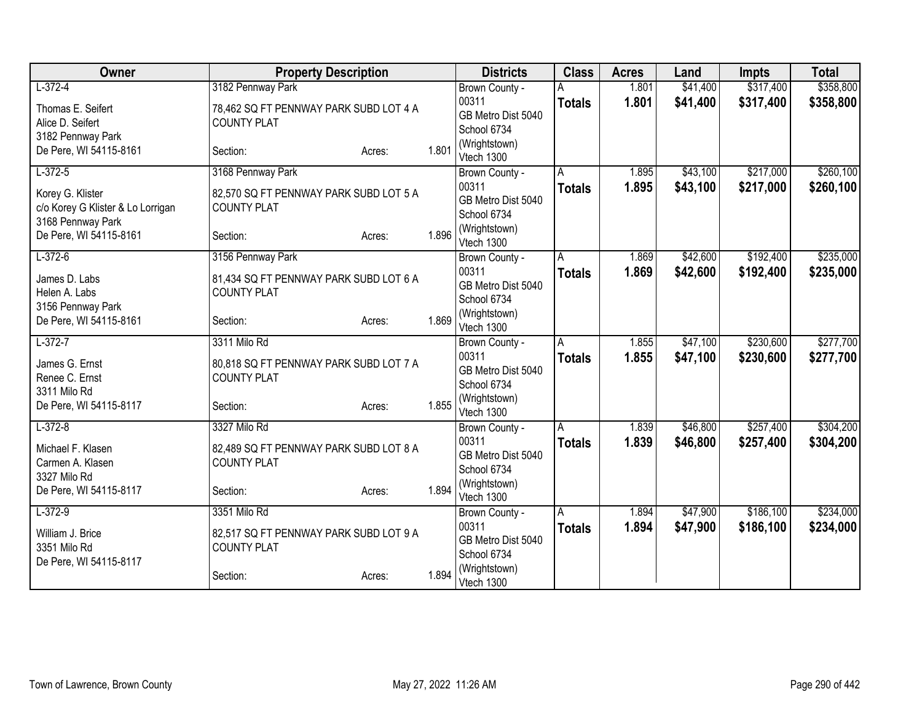| Owner                                                      | <b>Property Description</b>                                  |        |       | <b>Districts</b>                           | <b>Class</b>  | <b>Acres</b> | Land     | <b>Impts</b> | <b>Total</b> |
|------------------------------------------------------------|--------------------------------------------------------------|--------|-------|--------------------------------------------|---------------|--------------|----------|--------------|--------------|
| $L-372-4$                                                  | 3182 Pennway Park                                            |        |       | Brown County -                             |               | 1.801        | \$41,400 | \$317,400    | \$358,800    |
| Thomas E. Seifert<br>Alice D. Seifert<br>3182 Pennway Park | 78,462 SQ FT PENNWAY PARK SUBD LOT 4 A<br><b>COUNTY PLAT</b> |        |       | 00311<br>GB Metro Dist 5040<br>School 6734 | <b>Totals</b> | 1.801        | \$41,400 | \$317,400    | \$358,800    |
| De Pere, WI 54115-8161                                     | Section:                                                     | Acres: | 1.801 | (Wrightstown)<br>Vtech 1300                |               |              |          |              |              |
| $L-372-5$                                                  | 3168 Pennway Park                                            |        |       | Brown County -                             | A             | 1.895        | \$43,100 | \$217,000    | \$260,100    |
| Korey G. Klister<br>c/o Korey G Klister & Lo Lorrigan      | 82,570 SQ FT PENNWAY PARK SUBD LOT 5 A<br><b>COUNTY PLAT</b> |        |       | 00311<br>GB Metro Dist 5040<br>School 6734 | <b>Totals</b> | 1.895        | \$43,100 | \$217,000    | \$260,100    |
| 3168 Pennway Park<br>De Pere, WI 54115-8161                | Section:                                                     | Acres: | 1.896 | (Wrightstown)<br>Vtech 1300                |               |              |          |              |              |
| $L-372-6$                                                  | 3156 Pennway Park                                            |        |       | Brown County -                             | A             | 1.869        | \$42,600 | \$192,400    | \$235,000    |
| James D. Labs<br>Helen A. Labs<br>3156 Pennway Park        | 81,434 SQ FT PENNWAY PARK SUBD LOT 6 A<br><b>COUNTY PLAT</b> |        |       | 00311<br>GB Metro Dist 5040<br>School 6734 | <b>Totals</b> | 1.869        | \$42,600 | \$192,400    | \$235,000    |
| De Pere, WI 54115-8161                                     | Section:                                                     | Acres: | 1.869 | (Wrightstown)<br>Vtech 1300                |               |              |          |              |              |
| $L-372-7$                                                  | 3311 Milo Rd                                                 |        |       | Brown County -                             | A             | 1.855        | \$47,100 | \$230,600    | \$277,700    |
| James G. Ernst<br>Renee C. Ernst<br>3311 Milo Rd           | 80,818 SQ FT PENNWAY PARK SUBD LOT 7 A<br><b>COUNTY PLAT</b> |        |       | 00311<br>GB Metro Dist 5040<br>School 6734 | <b>Totals</b> | 1.855        | \$47,100 | \$230,600    | \$277,700    |
| De Pere, WI 54115-8117                                     | Section:                                                     | Acres: | 1.855 | (Wrightstown)<br>Vtech 1300                |               |              |          |              |              |
| $L-372-8$                                                  | 3327 Milo Rd                                                 |        |       | Brown County -                             | A             | 1.839        | \$46,800 | \$257,400    | \$304,200    |
| Michael F. Klasen<br>Carmen A. Klasen<br>3327 Milo Rd      | 82,489 SQ FT PENNWAY PARK SUBD LOT 8 A<br><b>COUNTY PLAT</b> |        |       | 00311<br>GB Metro Dist 5040<br>School 6734 | <b>Totals</b> | 1.839        | \$46,800 | \$257,400    | \$304,200    |
| De Pere, WI 54115-8117                                     | Section:                                                     | Acres: | 1.894 | (Wrightstown)<br>Vtech 1300                |               |              |          |              |              |
| $L-372-9$                                                  | 3351 Milo Rd                                                 |        |       | Brown County -                             | A             | 1.894        | \$47,900 | \$186,100    | \$234,000    |
| William J. Brice<br>3351 Milo Rd<br>De Pere, WI 54115-8117 | 82,517 SQ FT PENNWAY PARK SUBD LOT 9 A<br><b>COUNTY PLAT</b> |        |       | 00311<br>GB Metro Dist 5040<br>School 6734 | <b>Totals</b> | 1.894        | \$47,900 | \$186,100    | \$234,000    |
|                                                            | Section:                                                     | Acres: | 1.894 | (Wrightstown)<br>Vtech 1300                |               |              |          |              |              |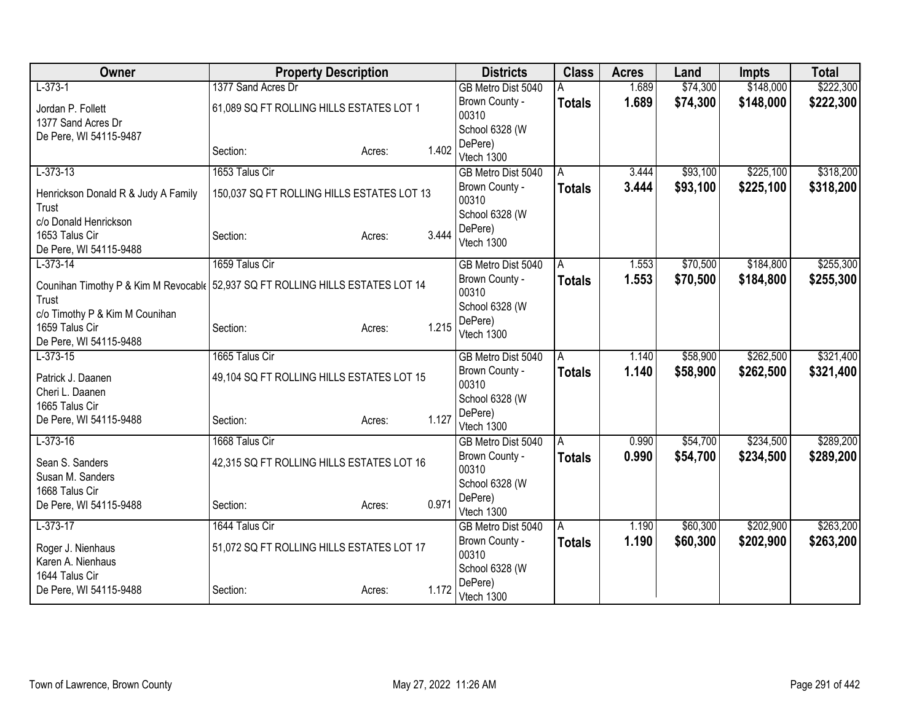| Owner                                                                            | <b>Property Description</b>                |        |       | <b>Districts</b>                 | <b>Class</b>   | <b>Acres</b> | Land     | <b>Impts</b> | <b>Total</b> |
|----------------------------------------------------------------------------------|--------------------------------------------|--------|-------|----------------------------------|----------------|--------------|----------|--------------|--------------|
| $L-373-1$                                                                        | 1377 Sand Acres Dr                         |        |       | GB Metro Dist 5040               |                | 1.689        | \$74,300 | \$148,000    | \$222,300    |
| Jordan P. Follett                                                                | 61,089 SQ FT ROLLING HILLS ESTATES LOT 1   |        |       | Brown County -                   | <b>Totals</b>  | 1.689        | \$74,300 | \$148,000    | \$222,300    |
| 1377 Sand Acres Dr                                                               |                                            |        |       | 00310                            |                |              |          |              |              |
| De Pere, WI 54115-9487                                                           |                                            |        |       | School 6328 (W                   |                |              |          |              |              |
|                                                                                  | Section:                                   | Acres: | 1.402 | DePere)                          |                |              |          |              |              |
| $L-373-13$                                                                       | 1653 Talus Cir                             |        |       | Vtech 1300<br>GB Metro Dist 5040 | A              | 3.444        | \$93,100 | \$225,100    | \$318,200    |
|                                                                                  |                                            |        |       | Brown County -                   | <b>Totals</b>  | 3.444        | \$93,100 | \$225,100    | \$318,200    |
| Henrickson Donald R & Judy A Family                                              | 150,037 SQ FT ROLLING HILLS ESTATES LOT 13 |        |       | 00310                            |                |              |          |              |              |
| Trust                                                                            |                                            |        |       | School 6328 (W                   |                |              |          |              |              |
| c/o Donald Henrickson                                                            |                                            |        |       | DePere)                          |                |              |          |              |              |
| 1653 Talus Cir                                                                   | Section:                                   | Acres: | 3.444 | Vtech 1300                       |                |              |          |              |              |
| De Pere, WI 54115-9488<br>$L-373-14$                                             | 1659 Talus Cir                             |        |       |                                  |                | 1.553        | \$70,500 | \$184,800    | \$255,300    |
|                                                                                  |                                            |        |       | GB Metro Dist 5040               | A              |              |          |              |              |
| Counihan Timothy P & Kim M Revocable   52,937 SQ FT ROLLING HILLS ESTATES LOT 14 |                                            |        |       | Brown County -<br>00310          | <b>Totals</b>  | 1.553        | \$70,500 | \$184,800    | \$255,300    |
| Trust                                                                            |                                            |        |       | School 6328 (W                   |                |              |          |              |              |
| c/o Timothy P & Kim M Counihan                                                   |                                            |        |       | DePere)                          |                |              |          |              |              |
| 1659 Talus Cir                                                                   | Section:                                   | Acres: | 1.215 | Vtech 1300                       |                |              |          |              |              |
| De Pere, WI 54115-9488                                                           |                                            |        |       |                                  |                |              |          |              |              |
| $L-373-15$                                                                       | 1665 Talus Cir                             |        |       | GB Metro Dist 5040               | $\overline{A}$ | 1.140        | \$58,900 | \$262,500    | \$321,400    |
| Patrick J. Daanen                                                                | 49,104 SQ FT ROLLING HILLS ESTATES LOT 15  |        |       | Brown County -<br>00310          | <b>Totals</b>  | 1.140        | \$58,900 | \$262,500    | \$321,400    |
| Cheri L. Daanen                                                                  |                                            |        |       | School 6328 (W                   |                |              |          |              |              |
| 1665 Talus Cir                                                                   |                                            |        |       | DePere)                          |                |              |          |              |              |
| De Pere, WI 54115-9488                                                           | Section:                                   | Acres: | 1.127 | Vtech 1300                       |                |              |          |              |              |
| $L-373-16$                                                                       | 1668 Talus Cir                             |        |       | GB Metro Dist 5040               | $\overline{A}$ | 0.990        | \$54,700 | \$234,500    | \$289,200    |
| Sean S. Sanders                                                                  | 42,315 SQ FT ROLLING HILLS ESTATES LOT 16  |        |       | Brown County -                   | <b>Totals</b>  | 0.990        | \$54,700 | \$234,500    | \$289,200    |
| Susan M. Sanders                                                                 |                                            |        |       | 00310                            |                |              |          |              |              |
| 1668 Talus Cir                                                                   |                                            |        |       | School 6328 (W                   |                |              |          |              |              |
| De Pere, WI 54115-9488                                                           | Section:                                   | Acres: | 0.971 | DePere)                          |                |              |          |              |              |
|                                                                                  |                                            |        |       | Vtech 1300                       |                |              |          |              |              |
| $L-373-17$                                                                       | 1644 Talus Cir                             |        |       | GB Metro Dist 5040               | A              | 1.190        | \$60,300 | \$202,900    | \$263,200    |
| Roger J. Nienhaus                                                                | 51,072 SQ FT ROLLING HILLS ESTATES LOT 17  |        |       | Brown County -<br>00310          | <b>Totals</b>  | 1.190        | \$60,300 | \$202,900    | \$263,200    |
| Karen A. Nienhaus                                                                |                                            |        |       | School 6328 (W                   |                |              |          |              |              |
| 1644 Talus Cir                                                                   |                                            |        |       | DePere)                          |                |              |          |              |              |
| De Pere, WI 54115-9488                                                           | Section:                                   | Acres: | 1.172 | Vtech 1300                       |                |              |          |              |              |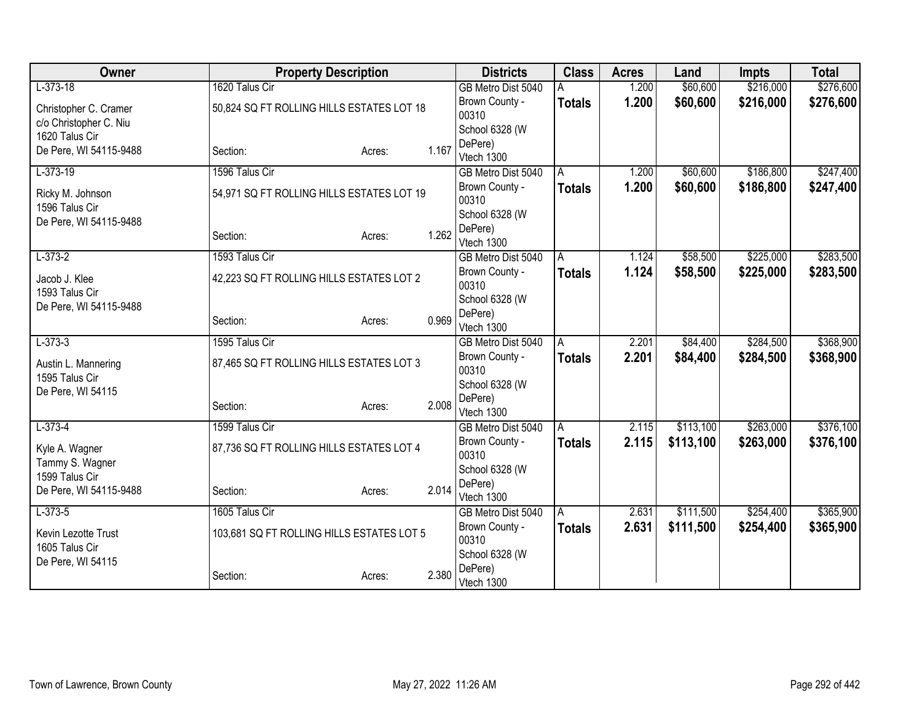| Owner                  | <b>Property Description</b>               |        |       | <b>Districts</b>                 | <b>Class</b>  | <b>Acres</b> | Land      | <b>Impts</b> | <b>Total</b> |
|------------------------|-------------------------------------------|--------|-------|----------------------------------|---------------|--------------|-----------|--------------|--------------|
| $L-373-18$             | 1620 Talus Cir                            |        |       | GB Metro Dist 5040               |               | 1.200        | \$60,600  | \$216,000    | \$276,600    |
| Christopher C. Cramer  | 50,824 SQ FT ROLLING HILLS ESTATES LOT 18 |        |       | Brown County -                   | <b>Totals</b> | 1.200        | \$60,600  | \$216,000    | \$276,600    |
| c/o Christopher C. Niu |                                           |        |       | 00310                            |               |              |           |              |              |
| 1620 Talus Cir         |                                           |        |       | School 6328 (W                   |               |              |           |              |              |
| De Pere, WI 54115-9488 | Section:                                  | Acres: | 1.167 | DePere)<br>Vtech 1300            |               |              |           |              |              |
| $L-373-19$             | 1596 Talus Cir                            |        |       | GB Metro Dist 5040               | A             | 1.200        | \$60,600  | \$186,800    | \$247,400    |
|                        |                                           |        |       | Brown County -                   | <b>Totals</b> | 1.200        | \$60,600  | \$186,800    | \$247,400    |
| Ricky M. Johnson       | 54,971 SQ FT ROLLING HILLS ESTATES LOT 19 |        |       | 00310                            |               |              |           |              |              |
| 1596 Talus Cir         |                                           |        |       | School 6328 (W                   |               |              |           |              |              |
| De Pere, WI 54115-9488 |                                           |        |       | DePere)                          |               |              |           |              |              |
|                        | Section:                                  | Acres: | 1.262 | Vtech 1300                       |               |              |           |              |              |
| $L-373-2$              | 1593 Talus Cir                            |        |       | GB Metro Dist 5040               | A             | 1.124        | \$58,500  | \$225,000    | \$283,500    |
| Jacob J. Klee          | 42,223 SQ FT ROLLING HILLS ESTATES LOT 2  |        |       | Brown County -                   | <b>Totals</b> | 1.124        | \$58,500  | \$225,000    | \$283,500    |
| 1593 Talus Cir         |                                           |        |       | 00310                            |               |              |           |              |              |
| De Pere, WI 54115-9488 |                                           |        |       | School 6328 (W                   |               |              |           |              |              |
|                        | Section:                                  | Acres: | 0.969 | DePere)                          |               |              |           |              |              |
| $L-373-3$              | 1595 Talus Cir                            |        |       | Vtech 1300<br>GB Metro Dist 5040 | A             | 2.201        | \$84,400  | \$284,500    | \$368,900    |
|                        |                                           |        |       | Brown County -                   |               | 2.201        | \$84,400  | \$284,500    |              |
| Austin L. Mannering    | 87,465 SQ FT ROLLING HILLS ESTATES LOT 3  |        |       | 00310                            | <b>Totals</b> |              |           |              | \$368,900    |
| 1595 Talus Cir         |                                           |        |       | School 6328 (W                   |               |              |           |              |              |
| De Pere, WI 54115      |                                           |        |       | DePere)                          |               |              |           |              |              |
|                        | Section:                                  | Acres: | 2.008 | Vtech 1300                       |               |              |           |              |              |
| $L-373-4$              | 1599 Talus Cir                            |        |       | GB Metro Dist 5040               | l A           | 2.115        | \$113,100 | \$263,000    | \$376,100    |
| Kyle A. Wagner         | 87,736 SQ FT ROLLING HILLS ESTATES LOT 4  |        |       | Brown County -                   | <b>Totals</b> | 2.115        | \$113,100 | \$263,000    | \$376,100    |
| Tammy S. Wagner        |                                           |        |       | 00310                            |               |              |           |              |              |
| 1599 Talus Cir         |                                           |        |       | School 6328 (W                   |               |              |           |              |              |
| De Pere, WI 54115-9488 | Section:                                  | Acres: | 2.014 | DePere)                          |               |              |           |              |              |
|                        | 1605 Talus Cir                            |        |       | Vtech 1300                       |               |              |           |              |              |
| $L-373-5$              |                                           |        |       | GB Metro Dist 5040               | l A           | 2.631        | \$111,500 | \$254,400    | \$365,900    |
| Kevin Lezotte Trust    | 103,681 SQ FT ROLLING HILLS ESTATES LOT 5 |        |       | Brown County -<br>00310          | <b>Totals</b> | 2.631        | \$111,500 | \$254,400    | \$365,900    |
| 1605 Talus Cir         |                                           |        |       | School 6328 (W                   |               |              |           |              |              |
| De Pere, WI 54115      |                                           |        |       | DePere)                          |               |              |           |              |              |
|                        | Section:                                  | Acres: | 2.380 | Vtech 1300                       |               |              |           |              |              |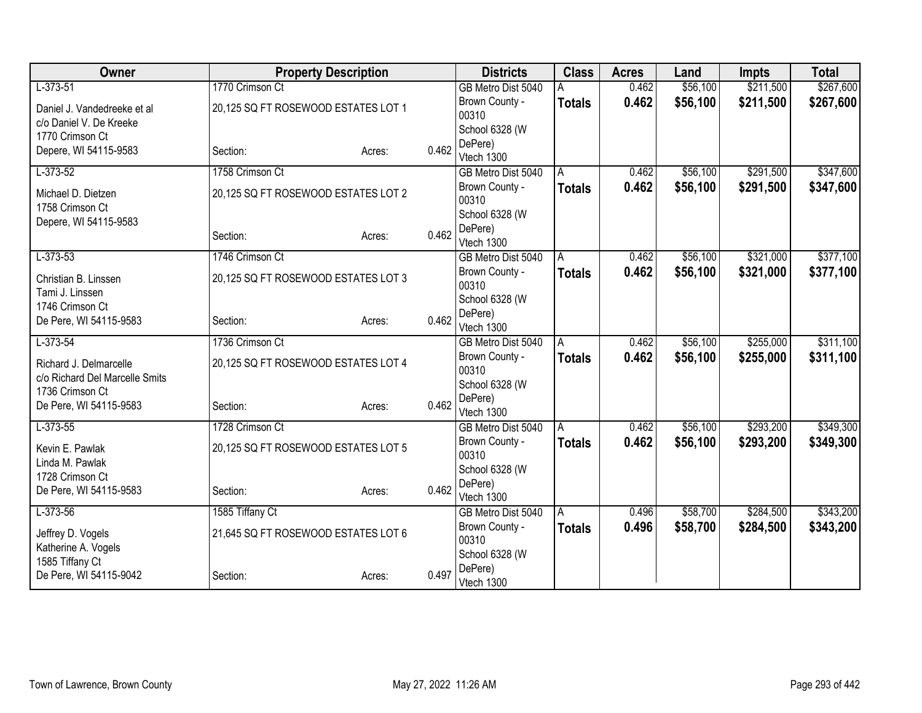| Owner                          | <b>Property Description</b>         |        |       | <b>Districts</b>                     | <b>Class</b>  | <b>Acres</b> | Land     | <b>Impts</b> | <b>Total</b> |
|--------------------------------|-------------------------------------|--------|-------|--------------------------------------|---------------|--------------|----------|--------------|--------------|
| $L-373-51$                     | 1770 Crimson Ct                     |        |       | GB Metro Dist 5040                   |               | 0.462        | \$56,100 | \$211,500    | \$267,600    |
| Daniel J. Vandedreeke et al    | 20,125 SQ FT ROSEWOOD ESTATES LOT 1 |        |       | Brown County -                       | <b>Totals</b> | 0.462        | \$56,100 | \$211,500    | \$267,600    |
| c/o Daniel V. De Kreeke        |                                     |        |       | 00310                                |               |              |          |              |              |
| 1770 Crimson Ct                |                                     |        |       | School 6328 (W                       |               |              |          |              |              |
| Depere, WI 54115-9583          | Section:                            | Acres: | 0.462 | DePere)<br>Vtech 1300                |               |              |          |              |              |
| $L-373-52$                     | 1758 Crimson Ct                     |        |       | GB Metro Dist 5040                   | A             | 0.462        | \$56,100 | \$291,500    | \$347,600    |
|                                |                                     |        |       | Brown County -                       | <b>Totals</b> | 0.462        | \$56,100 | \$291,500    | \$347,600    |
| Michael D. Dietzen             | 20,125 SQ FT ROSEWOOD ESTATES LOT 2 |        |       | 00310                                |               |              |          |              |              |
| 1758 Crimson Ct                |                                     |        |       | School 6328 (W                       |               |              |          |              |              |
| Depere, WI 54115-9583          |                                     |        |       | DePere)                              |               |              |          |              |              |
|                                | Section:                            | Acres: | 0.462 | Vtech 1300                           |               |              |          |              |              |
| $L-373-53$                     | 1746 Crimson Ct                     |        |       | GB Metro Dist 5040                   | A             | 0.462        | \$56,100 | \$321,000    | \$377,100    |
| Christian B. Linssen           | 20,125 SQ FT ROSEWOOD ESTATES LOT 3 |        |       | Brown County -                       | <b>Totals</b> | 0.462        | \$56,100 | \$321,000    | \$377,100    |
| Tami J. Linssen                |                                     |        |       | 00310                                |               |              |          |              |              |
| 1746 Crimson Ct                |                                     |        |       | School 6328 (W                       |               |              |          |              |              |
| De Pere, WI 54115-9583         | Section:                            | Acres: | 0.462 | DePere)                              |               |              |          |              |              |
|                                | 1736 Crimson Ct                     |        |       | Vtech 1300                           |               | 0.462        |          | \$255,000    | \$311,100    |
| $L-373-54$                     |                                     |        |       | GB Metro Dist 5040<br>Brown County - | A             | 0.462        | \$56,100 | \$255,000    |              |
| Richard J. Delmarcelle         | 20,125 SQ FT ROSEWOOD ESTATES LOT 4 |        |       | 00310                                | <b>Totals</b> |              | \$56,100 |              | \$311,100    |
| c/o Richard Del Marcelle Smits |                                     |        |       | School 6328 (W                       |               |              |          |              |              |
| 1736 Crimson Ct                |                                     |        |       | DePere)                              |               |              |          |              |              |
| De Pere, WI 54115-9583         | Section:                            | Acres: | 0.462 | Vtech 1300                           |               |              |          |              |              |
| $L-373-55$                     | 1728 Crimson Ct                     |        |       | GB Metro Dist 5040                   | A             | 0.462        | \$56,100 | \$293,200    | \$349,300    |
| Kevin E. Pawlak                | 20,125 SQ FT ROSEWOOD ESTATES LOT 5 |        |       | Brown County -                       | <b>Totals</b> | 0.462        | \$56,100 | \$293,200    | \$349,300    |
| Linda M. Pawlak                |                                     |        |       | 00310                                |               |              |          |              |              |
| 1728 Crimson Ct                |                                     |        |       | School 6328 (W                       |               |              |          |              |              |
| De Pere, WI 54115-9583         | Section:                            | Acres: | 0.462 | DePere)                              |               |              |          |              |              |
| $L-373-56$                     |                                     |        |       | Vtech 1300                           |               | 0.496        | \$58,700 | \$284,500    | \$343,200    |
|                                | 1585 Tiffany Ct                     |        |       | GB Metro Dist 5040<br>Brown County - | A             |              |          |              |              |
| Jeffrey D. Vogels              | 21,645 SQ FT ROSEWOOD ESTATES LOT 6 |        |       | 00310                                | Totals        | 0.496        | \$58,700 | \$284,500    | \$343,200    |
| Katherine A. Vogels            |                                     |        |       | School 6328 (W                       |               |              |          |              |              |
| 1585 Tiffany Ct                |                                     |        |       | DePere)                              |               |              |          |              |              |
| De Pere, WI 54115-9042         | Section:                            | Acres: | 0.497 | Vtech 1300                           |               |              |          |              |              |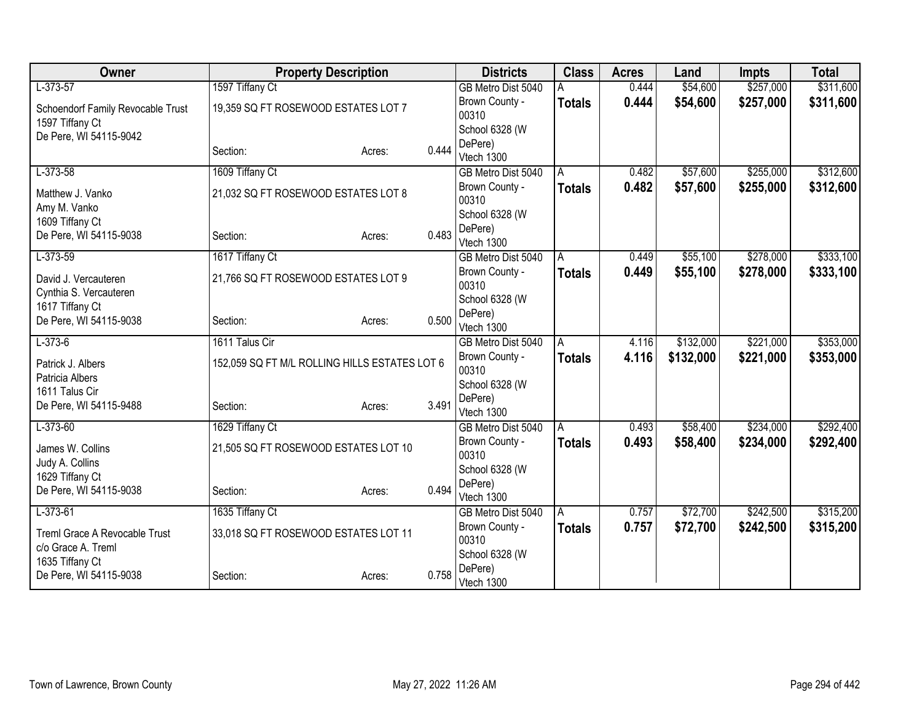| Owner                             | <b>Property Description</b>                   |        |       | <b>Districts</b>          | <b>Class</b>  | <b>Acres</b> | Land      | <b>Impts</b> | <b>Total</b> |
|-----------------------------------|-----------------------------------------------|--------|-------|---------------------------|---------------|--------------|-----------|--------------|--------------|
| $L-373-57$                        | 1597 Tiffany Ct                               |        |       | GB Metro Dist 5040        |               | 0.444        | \$54,600  | \$257,000    | \$311,600    |
| Schoendorf Family Revocable Trust | 19,359 SQ FT ROSEWOOD ESTATES LOT 7           |        |       | Brown County -            | <b>Totals</b> | 0.444        | \$54,600  | \$257,000    | \$311,600    |
| 1597 Tiffany Ct                   |                                               |        |       | 00310                     |               |              |           |              |              |
| De Pere, WI 54115-9042            |                                               |        |       | School 6328 (W            |               |              |           |              |              |
|                                   | Section:                                      | Acres: | 0.444 | DePere)<br>Vtech 1300     |               |              |           |              |              |
| $L-373-58$                        | 1609 Tiffany Ct                               |        |       | GB Metro Dist 5040        | A             | 0.482        | \$57,600  | \$255,000    | \$312,600    |
|                                   |                                               |        |       | Brown County -            | <b>Totals</b> | 0.482        | \$57,600  | \$255,000    | \$312,600    |
| Matthew J. Vanko                  | 21,032 SQ FT ROSEWOOD ESTATES LOT 8           |        |       | 00310                     |               |              |           |              |              |
| Amy M. Vanko<br>1609 Tiffany Ct   |                                               |        |       | School 6328 (W            |               |              |           |              |              |
| De Pere, WI 54115-9038            | Section:                                      | Acres: | 0.483 | DePere)                   |               |              |           |              |              |
|                                   |                                               |        |       | Vtech 1300                |               |              |           |              |              |
| $L-373-59$                        | 1617 Tiffany Ct                               |        |       | GB Metro Dist 5040        | A             | 0.449        | \$55,100  | \$278,000    | \$333,100    |
| David J. Vercauteren              | 21,766 SQ FT ROSEWOOD ESTATES LOT 9           |        |       | Brown County -            | <b>Totals</b> | 0.449        | \$55,100  | \$278,000    | \$333,100    |
| Cynthia S. Vercauteren            |                                               |        |       | 00310                     |               |              |           |              |              |
| 1617 Tiffany Ct                   |                                               |        |       | School 6328 (W<br>DePere) |               |              |           |              |              |
| De Pere, WI 54115-9038            | Section:                                      | Acres: | 0.500 | Vtech 1300                |               |              |           |              |              |
| $L-373-6$                         | 1611 Talus Cir                                |        |       | GB Metro Dist 5040        | A             | 4.116        | \$132,000 | \$221,000    | \$353,000    |
| Patrick J. Albers                 | 152,059 SQ FT M/L ROLLING HILLS ESTATES LOT 6 |        |       | Brown County -            | <b>Totals</b> | 4.116        | \$132,000 | \$221,000    | \$353,000    |
| Patricia Albers                   |                                               |        |       | 00310                     |               |              |           |              |              |
| 1611 Talus Cir                    |                                               |        |       | School 6328 (W            |               |              |           |              |              |
| De Pere, WI 54115-9488            | Section:                                      | Acres: | 3.491 | DePere)<br>Vtech 1300     |               |              |           |              |              |
| $L-373-60$                        | 1629 Tiffany Ct                               |        |       | GB Metro Dist 5040        | A             | 0.493        | \$58,400  | \$234,000    | \$292,400    |
|                                   |                                               |        |       | Brown County -            | <b>Totals</b> | 0.493        | \$58,400  | \$234,000    | \$292,400    |
| James W. Collins                  | 21,505 SQ FT ROSEWOOD ESTATES LOT 10          |        |       | 00310                     |               |              |           |              |              |
| Judy A. Collins                   |                                               |        |       | School 6328 (W            |               |              |           |              |              |
| 1629 Tiffany Ct                   |                                               |        |       | DePere)                   |               |              |           |              |              |
| De Pere, WI 54115-9038            | Section:                                      | Acres: | 0.494 | Vtech 1300                |               |              |           |              |              |
| $L-373-61$                        | 1635 Tiffany Ct                               |        |       | GB Metro Dist 5040        | A             | 0.757        | \$72,700  | \$242,500    | \$315,200    |
| Treml Grace A Revocable Trust     | 33,018 SQ FT ROSEWOOD ESTATES LOT 11          |        |       | Brown County -            | <b>Totals</b> | 0.757        | \$72,700  | \$242,500    | \$315,200    |
| c/o Grace A. Treml                |                                               |        |       | 00310                     |               |              |           |              |              |
| 1635 Tiffany Ct                   |                                               |        |       | School 6328 (W            |               |              |           |              |              |
| De Pere, WI 54115-9038            | Section:                                      | Acres: | 0.758 | DePere)<br>Vtech 1300     |               |              |           |              |              |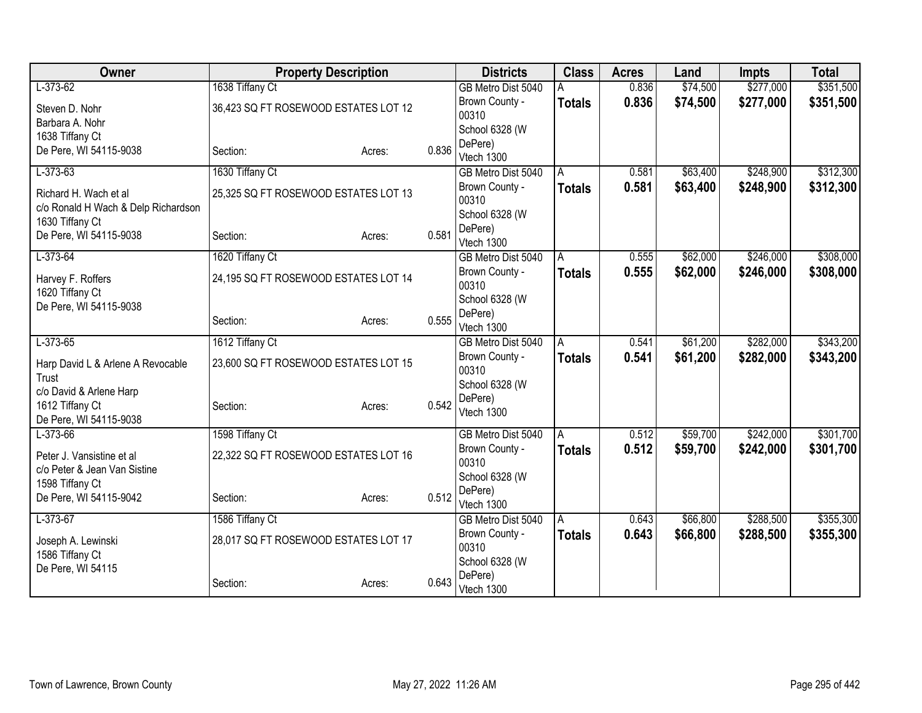| <b>Owner</b>                                           | <b>Property Description</b>          |        |       | <b>Districts</b>                     | <b>Class</b>  | <b>Acres</b>   | Land                 | <b>Impts</b>           | <b>Total</b> |
|--------------------------------------------------------|--------------------------------------|--------|-------|--------------------------------------|---------------|----------------|----------------------|------------------------|--------------|
| $L-373-62$                                             | 1638 Tiffany Ct                      |        |       | GB Metro Dist 5040                   |               | 0.836          | \$74,500             | \$277,000              | \$351,500    |
| Steven D. Nohr                                         | 36,423 SQ FT ROSEWOOD ESTATES LOT 12 |        |       | Brown County -                       | <b>Totals</b> | 0.836          | \$74,500             | \$277,000              | \$351,500    |
| Barbara A. Nohr                                        |                                      |        |       | 00310                                |               |                |                      |                        |              |
| 1638 Tiffany Ct                                        |                                      |        |       | School 6328 (W<br>DePere)            |               |                |                      |                        |              |
| De Pere, WI 54115-9038                                 | Section:                             | Acres: | 0.836 | Vtech 1300                           |               |                |                      |                        |              |
| $L-373-63$                                             | 1630 Tiffany Ct                      |        |       | GB Metro Dist 5040                   | A             | 0.581          | \$63,400             | \$248,900              | \$312,300    |
|                                                        |                                      |        |       | Brown County -                       | <b>Totals</b> | 0.581          | \$63,400             | \$248,900              | \$312,300    |
| Richard H. Wach et al                                  | 25,325 SQ FT ROSEWOOD ESTATES LOT 13 |        |       | 00310                                |               |                |                      |                        |              |
| c/o Ronald H Wach & Delp Richardson<br>1630 Tiffany Ct |                                      |        |       | School 6328 (W                       |               |                |                      |                        |              |
| De Pere, WI 54115-9038                                 | Section:                             | Acres: | 0.581 | DePere)                              |               |                |                      |                        |              |
|                                                        |                                      |        |       | Vtech 1300                           |               |                |                      |                        |              |
| $L-373-64$                                             | 1620 Tiffany Ct                      |        |       | GB Metro Dist 5040                   | A             | 0.555          | \$62,000             | \$246,000              | \$308,000    |
| Harvey F. Roffers                                      | 24,195 SQ FT ROSEWOOD ESTATES LOT 14 |        |       | Brown County -                       | <b>Totals</b> | 0.555          | \$62,000             | \$246,000              | \$308,000    |
| 1620 Tiffany Ct                                        |                                      |        |       | 00310                                |               |                |                      |                        |              |
| De Pere, WI 54115-9038                                 |                                      |        |       | School 6328 (W<br>DePere)            |               |                |                      |                        |              |
|                                                        | Section:                             | Acres: | 0.555 | Vtech 1300                           |               |                |                      |                        |              |
| $L-373-65$                                             | 1612 Tiffany Ct                      |        |       | GB Metro Dist 5040                   | A             | 0.541          | \$61,200             | \$282,000              | \$343,200    |
|                                                        | 23,600 SQ FT ROSEWOOD ESTATES LOT 15 |        |       | Brown County -                       | <b>Totals</b> | 0.541          | \$61,200             | \$282,000              | \$343,200    |
| Harp David L & Arlene A Revocable<br>Trust             |                                      |        |       | 00310                                |               |                |                      |                        |              |
| c/o David & Arlene Harp                                |                                      |        |       | School 6328 (W                       |               |                |                      |                        |              |
| 1612 Tiffany Ct                                        | Section:                             | Acres: | 0.542 | DePere)                              |               |                |                      |                        |              |
| De Pere, WI 54115-9038                                 |                                      |        |       | Vtech 1300                           |               |                |                      |                        |              |
| $L-373-66$                                             | 1598 Tiffany Ct                      |        |       | GB Metro Dist 5040                   | A             | 0.512          | \$59,700             | \$242,000              | \$301,700    |
| Peter J. Vansistine et al                              | 22,322 SQ FT ROSEWOOD ESTATES LOT 16 |        |       | Brown County -                       | <b>Totals</b> | 0.512          | \$59,700             | \$242,000              | \$301,700    |
| c/o Peter & Jean Van Sistine                           |                                      |        |       | 00310                                |               |                |                      |                        |              |
| 1598 Tiffany Ct                                        |                                      |        |       | School 6328 (W                       |               |                |                      |                        |              |
| De Pere, WI 54115-9042                                 | Section:                             | Acres: | 0.512 | DePere)                              |               |                |                      |                        |              |
|                                                        |                                      |        |       | Vtech 1300                           |               |                |                      |                        |              |
| $L-373-67$                                             | 1586 Tiffany Ct                      |        |       | GB Metro Dist 5040<br>Brown County - | A             | 0.643<br>0.643 | \$66,800<br>\$66,800 | \$288,500<br>\$288,500 | \$355,300    |
| Joseph A. Lewinski                                     | 28,017 SQ FT ROSEWOOD ESTATES LOT 17 |        |       | 00310                                | <b>Totals</b> |                |                      |                        | \$355,300    |
| 1586 Tiffany Ct                                        |                                      |        |       | School 6328 (W                       |               |                |                      |                        |              |
| De Pere, WI 54115                                      |                                      |        |       | DePere)                              |               |                |                      |                        |              |
|                                                        | Section:                             | Acres: | 0.643 | Vtech 1300                           |               |                |                      |                        |              |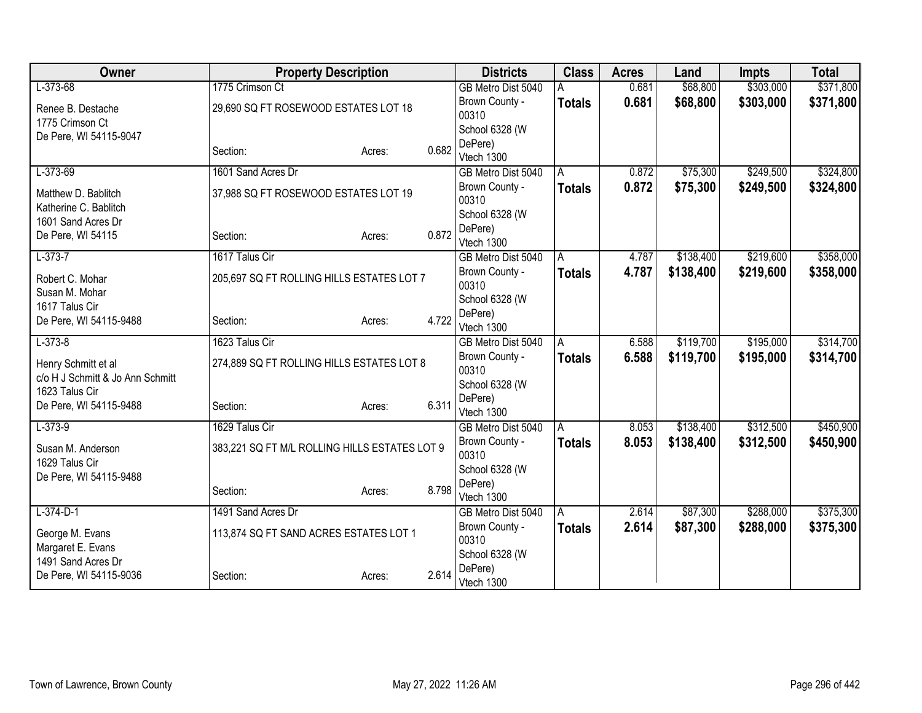| Owner                                       |                                               | <b>Property Description</b> |       | <b>Districts</b>          | <b>Class</b>  | <b>Acres</b>   | Land      | <b>Impts</b> | <b>Total</b> |
|---------------------------------------------|-----------------------------------------------|-----------------------------|-------|---------------------------|---------------|----------------|-----------|--------------|--------------|
| $L-373-68$                                  | 1775 Crimson Ct                               |                             |       | GB Metro Dist 5040        |               | 0.681          | \$68,800  | \$303,000    | \$371,800    |
| Renee B. Destache                           | 29,690 SQ FT ROSEWOOD ESTATES LOT 18          |                             |       | Brown County -            | <b>Totals</b> | 0.681          | \$68,800  | \$303,000    | \$371,800    |
| 1775 Crimson Ct                             |                                               |                             |       | 00310                     |               |                |           |              |              |
| De Pere, WI 54115-9047                      |                                               |                             |       | School 6328 (W            |               |                |           |              |              |
|                                             | Section:                                      | Acres:                      | 0.682 | DePere)<br>Vtech 1300     |               |                |           |              |              |
| $L-373-69$                                  | 1601 Sand Acres Dr                            |                             |       | GB Metro Dist 5040        | A             | 0.872          | \$75,300  | \$249,500    | \$324,800    |
|                                             |                                               |                             |       | Brown County -            | <b>Totals</b> | 0.872          | \$75,300  | \$249,500    | \$324,800    |
| Matthew D. Bablitch                         | 37,988 SQ FT ROSEWOOD ESTATES LOT 19          |                             |       | 00310                     |               |                |           |              |              |
| Katherine C. Bablitch<br>1601 Sand Acres Dr |                                               |                             |       | School 6328 (W            |               |                |           |              |              |
| De Pere, WI 54115                           | Section:                                      | Acres:                      | 0.872 | DePere)                   |               |                |           |              |              |
|                                             |                                               |                             |       | Vtech 1300                |               |                |           |              |              |
| $L-373-7$                                   | 1617 Talus Cir                                |                             |       | GB Metro Dist 5040        | A             | 4.787          | \$138,400 | \$219,600    | \$358,000    |
| Robert C. Mohar                             | 205,697 SQ FT ROLLING HILLS ESTATES LOT 7     |                             |       | Brown County -            | <b>Totals</b> | 4.787          | \$138,400 | \$219,600    | \$358,000    |
| Susan M. Mohar                              |                                               |                             |       | 00310                     |               |                |           |              |              |
| 1617 Talus Cir                              |                                               |                             |       | School 6328 (W<br>DePere) |               |                |           |              |              |
| De Pere, WI 54115-9488                      | Section:                                      | Acres:                      | 4.722 | Vtech 1300                |               |                |           |              |              |
| $L-373-8$                                   | 1623 Talus Cir                                |                             |       | GB Metro Dist 5040        | A             | 6.588          | \$119,700 | \$195,000    | \$314,700    |
| Henry Schmitt et al                         | 274,889 SQ FT ROLLING HILLS ESTATES LOT 8     |                             |       | Brown County -            | <b>Totals</b> | 6.588          | \$119,700 | \$195,000    | \$314,700    |
| c/o H J Schmitt & Jo Ann Schmitt            |                                               |                             |       | 00310                     |               |                |           |              |              |
| 1623 Talus Cir                              |                                               |                             |       | School 6328 (W            |               |                |           |              |              |
| De Pere, WI 54115-9488                      | Section:                                      | Acres:                      | 6.311 | DePere)                   |               |                |           |              |              |
|                                             |                                               |                             |       | Vtech 1300                |               |                |           |              |              |
| $L-373-9$                                   | 1629 Talus Cir                                |                             |       | GB Metro Dist 5040        | l A           | 8.053<br>8.053 | \$138,400 | \$312,500    | \$450,900    |
| Susan M. Anderson                           | 383,221 SQ FT M/L ROLLING HILLS ESTATES LOT 9 |                             |       | Brown County -<br>00310   | <b>Totals</b> |                | \$138,400 | \$312,500    | \$450,900    |
| 1629 Talus Cir                              |                                               |                             |       | School 6328 (W            |               |                |           |              |              |
| De Pere, WI 54115-9488                      |                                               |                             |       | DePere)                   |               |                |           |              |              |
|                                             | Section:                                      | Acres:                      | 8.798 | Vtech 1300                |               |                |           |              |              |
| $L-374-D-1$                                 | 1491 Sand Acres Dr                            |                             |       | GB Metro Dist 5040        | A             | 2.614          | \$87,300  | \$288,000    | \$375,300    |
| George M. Evans                             | 113,874 SQ FT SAND ACRES ESTATES LOT 1        |                             |       | Brown County -            | <b>Totals</b> | 2.614          | \$87,300  | \$288,000    | \$375,300    |
| Margaret E. Evans                           |                                               |                             |       | 00310                     |               |                |           |              |              |
| 1491 Sand Acres Dr                          |                                               |                             |       | School 6328 (W            |               |                |           |              |              |
| De Pere, WI 54115-9036                      | Section:                                      | Acres:                      | 2.614 | DePere)<br>Vtech 1300     |               |                |           |              |              |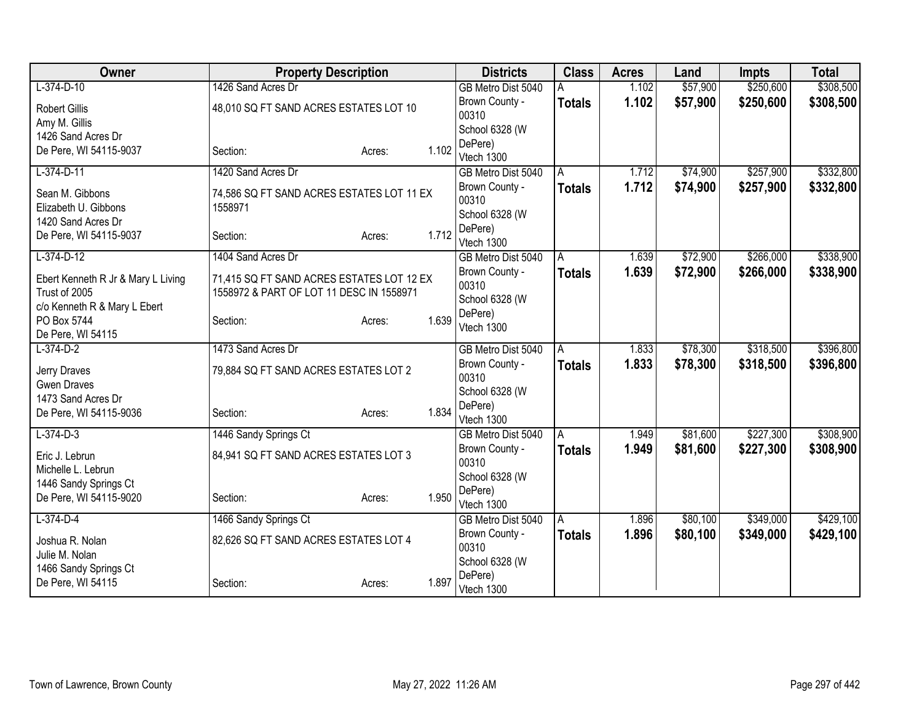| Owner                                       |                                           | <b>Property Description</b> |       | <b>Districts</b>                     | <b>Class</b>  | <b>Acres</b>   | Land     | <b>Impts</b> | <b>Total</b> |
|---------------------------------------------|-------------------------------------------|-----------------------------|-------|--------------------------------------|---------------|----------------|----------|--------------|--------------|
| $L-374-D-10$                                | 1426 Sand Acres Dr                        |                             |       | GB Metro Dist 5040                   |               | 1.102          | \$57,900 | \$250,600    | \$308,500    |
| <b>Robert Gillis</b>                        | 48,010 SQ FT SAND ACRES ESTATES LOT 10    |                             |       | Brown County -                       | <b>Totals</b> | 1.102          | \$57,900 | \$250,600    | \$308,500    |
| Amy M. Gillis                               |                                           |                             |       | 00310                                |               |                |          |              |              |
| 1426 Sand Acres Dr                          |                                           |                             |       | School 6328 (W                       |               |                |          |              |              |
| De Pere, WI 54115-9037                      | Section:                                  | Acres:                      | 1.102 | DePere)                              |               |                |          |              |              |
|                                             |                                           |                             |       | Vtech 1300                           |               |                |          |              |              |
| $L-374-D-11$                                | 1420 Sand Acres Dr                        |                             |       | GB Metro Dist 5040                   | A             | 1.712          | \$74,900 | \$257,900    | \$332,800    |
| Sean M. Gibbons                             | 74,586 SQ FT SAND ACRES ESTATES LOT 11 EX |                             |       | Brown County -<br>00310              | <b>Totals</b> | 1.712          | \$74,900 | \$257,900    | \$332,800    |
| Elizabeth U. Gibbons                        | 1558971                                   |                             |       | School 6328 (W                       |               |                |          |              |              |
| 1420 Sand Acres Dr                          |                                           |                             |       | DePere)                              |               |                |          |              |              |
| De Pere, WI 54115-9037                      | Section:                                  | Acres:                      | 1.712 | Vtech 1300                           |               |                |          |              |              |
| $L-374-D-12$                                | 1404 Sand Acres Dr                        |                             |       | GB Metro Dist 5040                   | A             | 1.639          | \$72,900 | \$266,000    | \$338,900    |
|                                             |                                           |                             |       | Brown County -                       | <b>Totals</b> | 1.639          | \$72,900 | \$266,000    | \$338,900    |
| Ebert Kenneth R Jr & Mary L Living          | 71,415 SQ FT SAND ACRES ESTATES LOT 12 EX |                             |       | 00310                                |               |                |          |              |              |
| Trust of 2005                               | 1558972 & PART OF LOT 11 DESC IN 1558971  |                             |       | School 6328 (W                       |               |                |          |              |              |
| c/o Kenneth R & Mary L Ebert<br>PO Box 5744 | Section:                                  |                             | 1.639 | DePere)                              |               |                |          |              |              |
| De Pere, WI 54115                           |                                           | Acres:                      |       | Vtech 1300                           |               |                |          |              |              |
| $L-374-D-2$                                 | 1473 Sand Acres Dr                        |                             |       | GB Metro Dist 5040                   | A             | 1.833          | \$78,300 | \$318,500    | \$396,800    |
|                                             |                                           |                             |       | Brown County -                       | <b>Totals</b> | 1.833          | \$78,300 | \$318,500    | \$396,800    |
| Jerry Draves                                | 79,884 SQ FT SAND ACRES ESTATES LOT 2     |                             |       | 00310                                |               |                |          |              |              |
| <b>Gwen Draves</b>                          |                                           |                             |       | School 6328 (W                       |               |                |          |              |              |
| 1473 Sand Acres Dr                          |                                           |                             | 1.834 | DePere)                              |               |                |          |              |              |
| De Pere, WI 54115-9036                      | Section:                                  | Acres:                      |       | Vtech 1300                           |               |                |          |              |              |
| $L-374-D-3$                                 | 1446 Sandy Springs Ct                     |                             |       | GB Metro Dist 5040                   | A             | 1.949          | \$81,600 | \$227,300    | \$308,900    |
| Eric J. Lebrun                              | 84,941 SQ FT SAND ACRES ESTATES LOT 3     |                             |       | Brown County -                       | Totals        | 1.949          | \$81,600 | \$227,300    | \$308,900    |
| Michelle L. Lebrun                          |                                           |                             |       | 00310                                |               |                |          |              |              |
| 1446 Sandy Springs Ct                       |                                           |                             |       | School 6328 (W                       |               |                |          |              |              |
| De Pere, WI 54115-9020                      | Section:                                  | Acres:                      | 1.950 | DePere)                              |               |                |          |              |              |
| $L-374-D-4$                                 |                                           |                             |       | Vtech 1300                           |               |                | \$80,100 | \$349,000    | \$429,100    |
|                                             | 1466 Sandy Springs Ct                     |                             |       | GB Metro Dist 5040<br>Brown County - | A             | 1.896<br>1.896 |          |              |              |
| Joshua R. Nolan                             | 82,626 SQ FT SAND ACRES ESTATES LOT 4     |                             |       | 00310                                | <b>Totals</b> |                | \$80,100 | \$349,000    | \$429,100    |
| Julie M. Nolan                              |                                           |                             |       | School 6328 (W                       |               |                |          |              |              |
| 1466 Sandy Springs Ct                       |                                           |                             |       | DePere)                              |               |                |          |              |              |
| De Pere, WI 54115                           | Section:                                  | Acres:                      | 1.897 | Vtech 1300                           |               |                |          |              |              |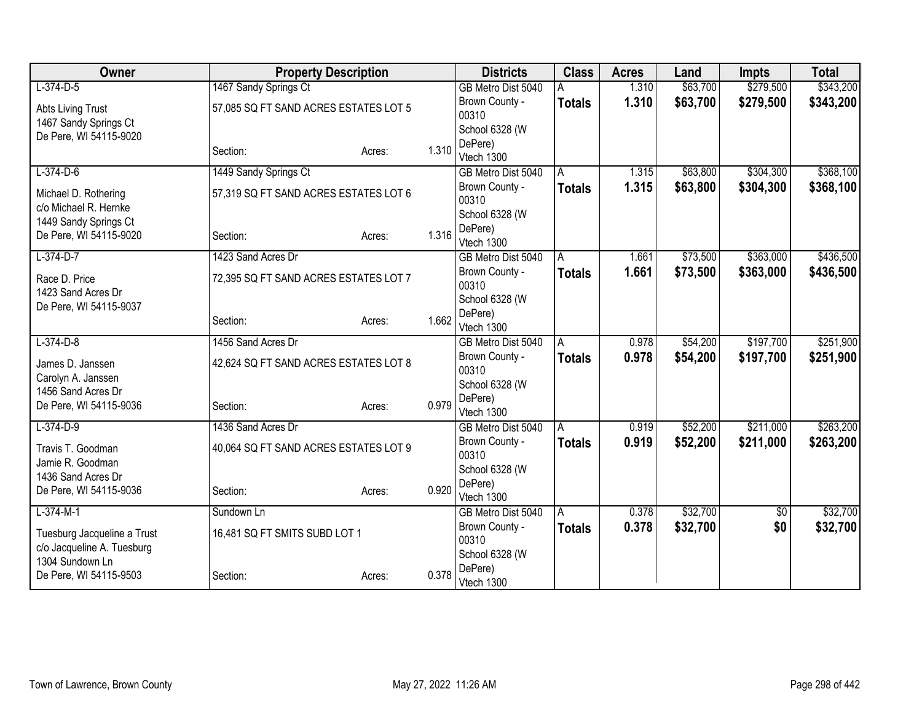| Owner                                          |                                       | <b>Property Description</b> |       | <b>Districts</b>          | <b>Class</b>  | <b>Acres</b> | Land     | <b>Impts</b> | <b>Total</b> |
|------------------------------------------------|---------------------------------------|-----------------------------|-------|---------------------------|---------------|--------------|----------|--------------|--------------|
| $L-374-D-5$                                    | 1467 Sandy Springs Ct                 |                             |       | GB Metro Dist 5040        |               | 1.310        | \$63,700 | \$279,500    | \$343,200    |
| Abts Living Trust                              | 57,085 SQ FT SAND ACRES ESTATES LOT 5 |                             |       | Brown County -            | <b>Totals</b> | 1.310        | \$63,700 | \$279,500    | \$343,200    |
| 1467 Sandy Springs Ct                          |                                       |                             |       | 00310                     |               |              |          |              |              |
| De Pere, WI 54115-9020                         |                                       |                             |       | School 6328 (W<br>DePere) |               |              |          |              |              |
|                                                | Section:                              | Acres:                      | 1.310 | Vtech 1300                |               |              |          |              |              |
| $L-374-D-6$                                    | 1449 Sandy Springs Ct                 |                             |       | GB Metro Dist 5040        | A             | 1.315        | \$63,800 | \$304,300    | \$368,100    |
|                                                |                                       |                             |       | Brown County -            | <b>Totals</b> | 1.315        | \$63,800 | \$304,300    | \$368,100    |
| Michael D. Rothering                           | 57,319 SQ FT SAND ACRES ESTATES LOT 6 |                             |       | 00310                     |               |              |          |              |              |
| c/o Michael R. Hernke<br>1449 Sandy Springs Ct |                                       |                             |       | School 6328 (W            |               |              |          |              |              |
| De Pere, WI 54115-9020                         | Section:                              | Acres:                      | 1.316 | DePere)                   |               |              |          |              |              |
|                                                |                                       |                             |       | Vtech 1300                |               |              |          |              |              |
| $L-374-D-7$                                    | 1423 Sand Acres Dr                    |                             |       | GB Metro Dist 5040        | A             | 1.661        | \$73,500 | \$363,000    | \$436,500    |
| Race D. Price                                  | 72,395 SQ FT SAND ACRES ESTATES LOT 7 |                             |       | Brown County -<br>00310   | <b>Totals</b> | 1.661        | \$73,500 | \$363,000    | \$436,500    |
| 1423 Sand Acres Dr                             |                                       |                             |       | School 6328 (W            |               |              |          |              |              |
| De Pere, WI 54115-9037                         |                                       |                             |       | DePere)                   |               |              |          |              |              |
|                                                | Section:                              | Acres:                      | 1.662 | Vtech 1300                |               |              |          |              |              |
| $L-374-D-8$                                    | 1456 Sand Acres Dr                    |                             |       | GB Metro Dist 5040        | A             | 0.978        | \$54,200 | \$197,700    | \$251,900    |
| James D. Janssen                               | 42,624 SQ FT SAND ACRES ESTATES LOT 8 |                             |       | Brown County -            | <b>Totals</b> | 0.978        | \$54,200 | \$197,700    | \$251,900    |
| Carolyn A. Janssen                             |                                       |                             |       | 00310                     |               |              |          |              |              |
| 1456 Sand Acres Dr                             |                                       |                             |       | School 6328 (W            |               |              |          |              |              |
| De Pere, WI 54115-9036                         | Section:                              | Acres:                      | 0.979 | DePere)<br>Vtech 1300     |               |              |          |              |              |
| $L-374-D-9$                                    | 1436 Sand Acres Dr                    |                             |       | GB Metro Dist 5040        | A             | 0.919        | \$52,200 | \$211,000    | \$263,200    |
|                                                |                                       |                             |       | Brown County -            | <b>Totals</b> | 0.919        | \$52,200 | \$211,000    | \$263,200    |
| Travis T. Goodman                              | 40,064 SQ FT SAND ACRES ESTATES LOT 9 |                             |       | 00310                     |               |              |          |              |              |
| Jamie R. Goodman                               |                                       |                             |       | School 6328 (W            |               |              |          |              |              |
| 1436 Sand Acres Dr<br>De Pere, WI 54115-9036   | Section:                              |                             | 0.920 | DePere)                   |               |              |          |              |              |
|                                                |                                       | Acres:                      |       | Vtech 1300                |               |              |          |              |              |
| $L-374-M-1$                                    | Sundown Ln                            |                             |       | GB Metro Dist 5040        | A             | 0.378        | \$32,700 | \$0          | \$32,700     |
| Tuesburg Jacqueline a Trust                    | 16,481 SQ FT SMITS SUBD LOT 1         |                             |       | Brown County -            | <b>Totals</b> | 0.378        | \$32,700 | \$0          | \$32,700     |
| c/o Jacqueline A. Tuesburg                     |                                       |                             |       | 00310<br>School 6328 (W   |               |              |          |              |              |
| 1304 Sundown Ln                                |                                       |                             |       | DePere)                   |               |              |          |              |              |
| De Pere, WI 54115-9503                         | Section:                              | Acres:                      | 0.378 | Vtech 1300                |               |              |          |              |              |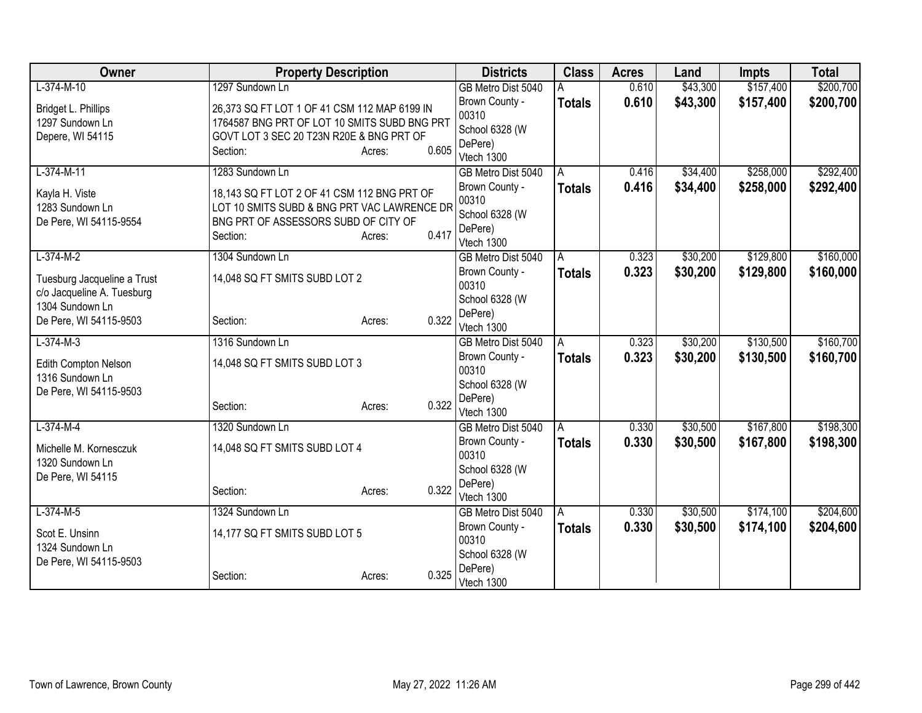| Owner                       | <b>Property Description</b>                  |                 | <b>Districts</b>                     | <b>Class</b>  | <b>Acres</b> | Land     | <b>Impts</b> | <b>Total</b> |
|-----------------------------|----------------------------------------------|-----------------|--------------------------------------|---------------|--------------|----------|--------------|--------------|
| $L-374-M-10$                | 1297 Sundown Ln                              |                 | GB Metro Dist 5040                   |               | 0.610        | \$43,300 | \$157,400    | \$200,700    |
| Bridget L. Phillips         | 26,373 SQ FT LOT 1 OF 41 CSM 112 MAP 6199 IN |                 | Brown County -                       | <b>Totals</b> | 0.610        | \$43,300 | \$157,400    | \$200,700    |
| 1297 Sundown Ln             | 1764587 BNG PRT OF LOT 10 SMITS SUBD BNG PRT |                 | 00310                                |               |              |          |              |              |
| Depere, WI 54115            | GOVT LOT 3 SEC 20 T23N R20E & BNG PRT OF     |                 | School 6328 (W                       |               |              |          |              |              |
|                             | Section:                                     | 0.605<br>Acres: | DePere)<br>Vtech 1300                |               |              |          |              |              |
| $L-374-M-11$                | 1283 Sundown Ln                              |                 | GB Metro Dist 5040                   | Α             | 0.416        | \$34,400 | \$258,000    | \$292,400    |
|                             |                                              |                 | Brown County -                       | <b>Totals</b> | 0.416        | \$34,400 | \$258,000    | \$292,400    |
| Kayla H. Viste              | 18,143 SQ FT LOT 2 OF 41 CSM 112 BNG PRT OF  |                 | 00310                                |               |              |          |              |              |
| 1283 Sundown Ln             | LOT 10 SMITS SUBD & BNG PRT VAC LAWRENCE DR  |                 | School 6328 (W                       |               |              |          |              |              |
| De Pere, WI 54115-9554      | BNG PRT OF ASSESSORS SUBD OF CITY OF         |                 | DePere)                              |               |              |          |              |              |
|                             | Section:                                     | 0.417<br>Acres: | Vtech 1300                           |               |              |          |              |              |
| $L-374-M-2$                 | 1304 Sundown Ln                              |                 | GB Metro Dist 5040                   | A             | 0.323        | \$30,200 | \$129,800    | \$160,000    |
| Tuesburg Jacqueline a Trust | 14,048 SQ FT SMITS SUBD LOT 2                |                 | Brown County -                       | <b>Totals</b> | 0.323        | \$30,200 | \$129,800    | \$160,000    |
| c/o Jacqueline A. Tuesburg  |                                              |                 | 00310                                |               |              |          |              |              |
| 1304 Sundown Ln             |                                              |                 | School 6328 (W                       |               |              |          |              |              |
| De Pere, WI 54115-9503      | Section:                                     | 0.322<br>Acres: | DePere)                              |               |              |          |              |              |
| $L-374-M-3$                 | 1316 Sundown Ln                              |                 | Vtech 1300                           |               | 0.323        | \$30,200 | \$130,500    | \$160,700    |
|                             |                                              |                 | GB Metro Dist 5040<br>Brown County - | Α             | 0.323        | \$30,200 | \$130,500    | \$160,700    |
| Edith Compton Nelson        | 14,048 SQ FT SMITS SUBD LOT 3                |                 | 00310                                | <b>Totals</b> |              |          |              |              |
| 1316 Sundown Ln             |                                              |                 | School 6328 (W                       |               |              |          |              |              |
| De Pere, WI 54115-9503      |                                              |                 | DePere)                              |               |              |          |              |              |
|                             | Section:                                     | 0.322<br>Acres: | Vtech 1300                           |               |              |          |              |              |
| $L-374-M-4$                 | 1320 Sundown Ln                              |                 | GB Metro Dist 5040                   | Α             | 0.330        | \$30,500 | \$167,800    | \$198,300    |
| Michelle M. Kornesczuk      | 14,048 SQ FT SMITS SUBD LOT 4                |                 | Brown County -                       | <b>Totals</b> | 0.330        | \$30,500 | \$167,800    | \$198,300    |
| 1320 Sundown Ln             |                                              |                 | 00310                                |               |              |          |              |              |
| De Pere, WI 54115           |                                              |                 | School 6328 (W                       |               |              |          |              |              |
|                             | Section:                                     | 0.322<br>Acres: | DePere)                              |               |              |          |              |              |
|                             |                                              |                 | Vtech 1300                           |               |              |          |              |              |
| $L-374-M-5$                 | 1324 Sundown Ln                              |                 | GB Metro Dist 5040<br>Brown County - | A             | 0.330        | \$30,500 | \$174,100    | \$204,600    |
| Scot E. Unsinn              | 14,177 SQ FT SMITS SUBD LOT 5                |                 | 00310                                | <b>Totals</b> | 0.330        | \$30,500 | \$174,100    | \$204,600    |
| 1324 Sundown Ln             |                                              |                 | School 6328 (W                       |               |              |          |              |              |
| De Pere, WI 54115-9503      |                                              |                 | DePere)                              |               |              |          |              |              |
|                             | Section:                                     | 0.325<br>Acres: | Vtech 1300                           |               |              |          |              |              |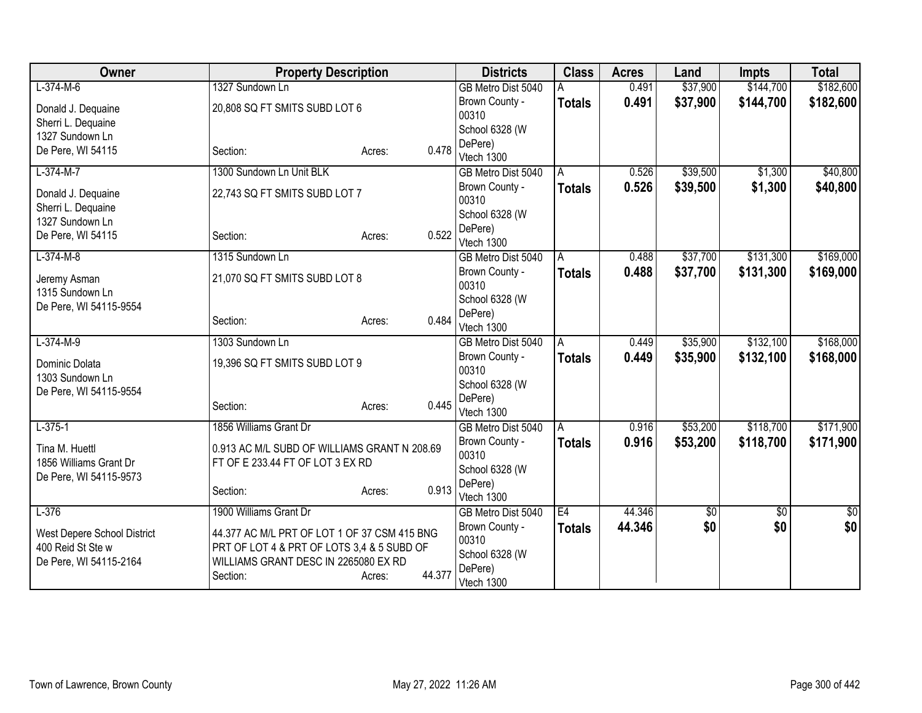| Owner                                            | <b>Property Description</b>                  |                  | <b>Districts</b>                 | <b>Class</b>   | <b>Acres</b> | Land        | <b>Impts</b>    | <b>Total</b> |
|--------------------------------------------------|----------------------------------------------|------------------|----------------------------------|----------------|--------------|-------------|-----------------|--------------|
| $L-374-M-6$                                      | 1327 Sundown Ln                              |                  | GB Metro Dist 5040               |                | 0.491        | \$37,900    | \$144,700       | \$182,600    |
| Donald J. Dequaine                               | 20,808 SQ FT SMITS SUBD LOT 6                |                  | Brown County -                   | <b>Totals</b>  | 0.491        | \$37,900    | \$144,700       | \$182,600    |
| Sherri L. Dequaine                               |                                              |                  | 00310                            |                |              |             |                 |              |
| 1327 Sundown Ln                                  |                                              |                  | School 6328 (W                   |                |              |             |                 |              |
| De Pere, WI 54115                                | Section:                                     | 0.478<br>Acres:  | DePere)                          |                |              |             |                 |              |
| $L-374-M-7$                                      | 1300 Sundown Ln Unit BLK                     |                  | Vtech 1300<br>GB Metro Dist 5040 | A              | 0.526        | \$39,500    | \$1,300         | \$40,800     |
|                                                  |                                              |                  | Brown County -                   | <b>Totals</b>  | 0.526        | \$39,500    | \$1,300         | \$40,800     |
| Donald J. Dequaine                               | 22,743 SQ FT SMITS SUBD LOT 7                |                  | 00310                            |                |              |             |                 |              |
| Sherri L. Dequaine                               |                                              |                  | School 6328 (W                   |                |              |             |                 |              |
| 1327 Sundown Ln                                  |                                              |                  | DePere)                          |                |              |             |                 |              |
| De Pere, WI 54115                                | Section:                                     | 0.522<br>Acres:  | Vtech 1300                       |                |              |             |                 |              |
| $L-374-M-8$                                      | 1315 Sundown Ln                              |                  | GB Metro Dist 5040               | $\overline{A}$ | 0.488        | \$37,700    | \$131,300       | \$169,000    |
|                                                  | 21,070 SQ FT SMITS SUBD LOT 8                |                  | Brown County -                   | <b>Totals</b>  | 0.488        | \$37,700    | \$131,300       | \$169,000    |
| Jeremy Asman<br>1315 Sundown Ln                  |                                              |                  | 00310                            |                |              |             |                 |              |
| De Pere, WI 54115-9554                           |                                              |                  | School 6328 (W                   |                |              |             |                 |              |
|                                                  | Section:                                     | 0.484<br>Acres:  | DePere)                          |                |              |             |                 |              |
|                                                  |                                              |                  | Vtech 1300                       |                |              |             |                 |              |
| $L-374-M-9$                                      | 1303 Sundown Ln                              |                  | GB Metro Dist 5040               | A              | 0.449        | \$35,900    | \$132,100       | \$168,000    |
| Dominic Dolata                                   | 19,396 SQ FT SMITS SUBD LOT 9                |                  | Brown County -<br>00310          | <b>Totals</b>  | 0.449        | \$35,900    | \$132,100       | \$168,000    |
| 1303 Sundown Ln                                  |                                              |                  | School 6328 (W                   |                |              |             |                 |              |
| De Pere, WI 54115-9554                           |                                              |                  | DePere)                          |                |              |             |                 |              |
|                                                  | Section:                                     | 0.445<br>Acres:  | Vtech 1300                       |                |              |             |                 |              |
| $L-375-1$                                        | 1856 Williams Grant Dr                       |                  | GB Metro Dist 5040               | A              | 0.916        | \$53,200    | \$118,700       | \$171,900    |
|                                                  |                                              |                  | Brown County -                   | <b>Totals</b>  | 0.916        | \$53,200    | \$118,700       | \$171,900    |
| Tina M. Huettl                                   | 0.913 AC M/L SUBD OF WILLIAMS GRANT N 208.69 |                  | 00310                            |                |              |             |                 |              |
| 1856 Williams Grant Dr<br>De Pere, WI 54115-9573 | FT OF E 233.44 FT OF LOT 3 EX RD             |                  | School 6328 (W                   |                |              |             |                 |              |
|                                                  | Section:                                     | 0.913<br>Acres:  | DePere)                          |                |              |             |                 |              |
|                                                  |                                              |                  | Vtech 1300                       |                |              |             |                 |              |
| $L-376$                                          | 1900 Williams Grant Dr                       |                  | GB Metro Dist 5040               | E4             | 44.346       | $\sqrt{50}$ | $\overline{50}$ | $\sqrt{50}$  |
| West Depere School District                      | 44.377 AC M/L PRT OF LOT 1 OF 37 CSM 415 BNG |                  | Brown County -                   | <b>Totals</b>  | 44.346       | \$0         | \$0             | \$0          |
| 400 Reid St Ste w                                | PRT OF LOT 4 & PRT OF LOTS 3,4 & 5 SUBD OF   |                  | 00310                            |                |              |             |                 |              |
| De Pere, WI 54115-2164                           | WILLIAMS GRANT DESC IN 2265080 EX RD         |                  | School 6328 (W<br>DePere)        |                |              |             |                 |              |
|                                                  | Section:                                     | 44.377<br>Acres: | Vtech 1300                       |                |              |             |                 |              |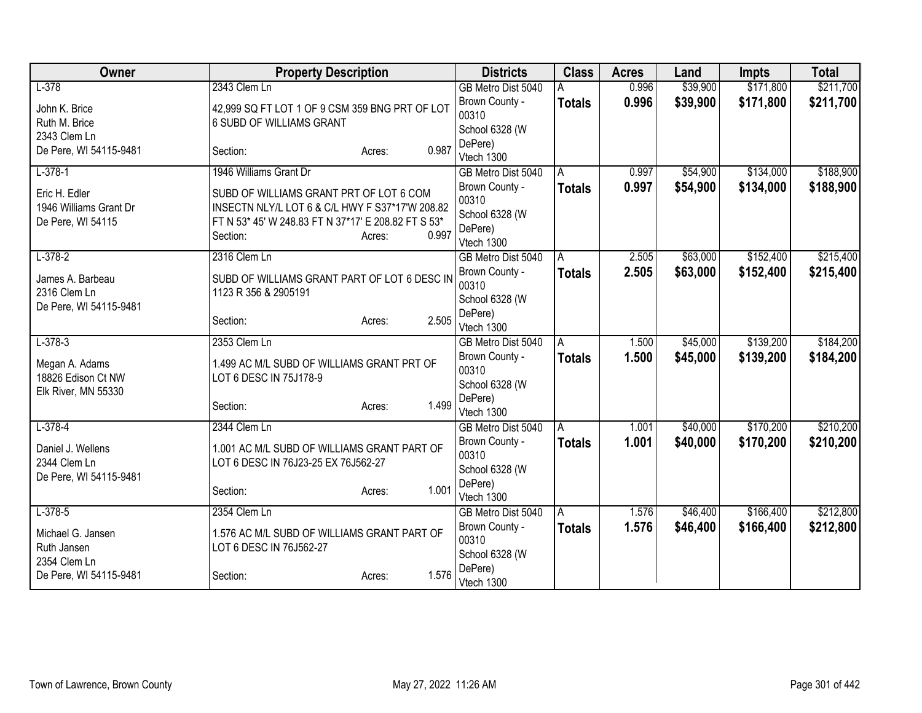| Owner                  | <b>Property Description</b>                         |                 | <b>Districts</b>      | <b>Class</b>  | <b>Acres</b> | Land     | <b>Impts</b> | <b>Total</b> |
|------------------------|-----------------------------------------------------|-----------------|-----------------------|---------------|--------------|----------|--------------|--------------|
| $L-378$                | 2343 Clem Ln                                        |                 | GB Metro Dist 5040    |               | 0.996        | \$39,900 | \$171,800    | \$211,700    |
| John K. Brice          | 42,999 SQ FT LOT 1 OF 9 CSM 359 BNG PRT OF LOT      |                 | Brown County -        | <b>Totals</b> | 0.996        | \$39,900 | \$171,800    | \$211,700    |
| Ruth M. Brice          | 6 SUBD OF WILLIAMS GRANT                            |                 | 00310                 |               |              |          |              |              |
| 2343 Clem Ln           |                                                     |                 | School 6328 (W        |               |              |          |              |              |
| De Pere, WI 54115-9481 | Section:                                            | 0.987<br>Acres: | DePere)<br>Vtech 1300 |               |              |          |              |              |
| $L-378-1$              | 1946 Williams Grant Dr                              |                 | GB Metro Dist 5040    | A             | 0.997        | \$54,900 | \$134,000    | \$188,900    |
|                        |                                                     |                 | Brown County -        | <b>Totals</b> | 0.997        | \$54,900 | \$134,000    | \$188,900    |
| Eric H. Edler          | SUBD OF WILLIAMS GRANT PRT OF LOT 6 COM             |                 | 00310                 |               |              |          |              |              |
| 1946 Williams Grant Dr | INSECTN NLY/L LOT 6 & C/L HWY F S37*17'W 208.82     |                 | School 6328 (W        |               |              |          |              |              |
| De Pere, WI 54115      | FT N 53* 45' W 248.83 FT N 37*17' E 208.82 FT S 53* |                 | DePere)               |               |              |          |              |              |
|                        | Section:                                            | 0.997<br>Acres: | Vtech 1300            |               |              |          |              |              |
| $L-378-2$              | 2316 Clem Ln                                        |                 | GB Metro Dist 5040    | A             | 2.505        | \$63,000 | \$152,400    | \$215,400    |
| James A. Barbeau       | SUBD OF WILLIAMS GRANT PART OF LOT 6 DESC IN        |                 | Brown County -        | <b>Totals</b> | 2.505        | \$63,000 | \$152,400    | \$215,400    |
| 2316 Clem Ln           | 1123 R 356 & 2905191                                |                 | 00310                 |               |              |          |              |              |
| De Pere, WI 54115-9481 |                                                     |                 | School 6328 (W        |               |              |          |              |              |
|                        | Section:                                            | 2.505<br>Acres: | DePere)<br>Vtech 1300 |               |              |          |              |              |
| $L-378-3$              | 2353 Clem Ln                                        |                 | GB Metro Dist 5040    | A             | 1.500        | \$45,000 | \$139,200    | \$184,200    |
|                        |                                                     |                 | Brown County -        | <b>Totals</b> | 1.500        | \$45,000 | \$139,200    | \$184,200    |
| Megan A. Adams         | 1.499 AC M/L SUBD OF WILLIAMS GRANT PRT OF          |                 | 00310                 |               |              |          |              |              |
| 18826 Edison Ct NW     | LOT 6 DESC IN 75J178-9                              |                 | School 6328 (W        |               |              |          |              |              |
| Elk River, MN 55330    |                                                     | 1.499           | DePere)               |               |              |          |              |              |
|                        | Section:                                            | Acres:          | Vtech 1300            |               |              |          |              |              |
| $L-378-4$              | 2344 Clem Ln                                        |                 | GB Metro Dist 5040    | A             | 1.001        | \$40,000 | \$170,200    | \$210,200    |
| Daniel J. Wellens      | 1.001 AC M/L SUBD OF WILLIAMS GRANT PART OF         |                 | Brown County -        | <b>Totals</b> | 1.001        | \$40,000 | \$170,200    | \$210,200    |
| 2344 Clem Ln           | LOT 6 DESC IN 76J23-25 EX 76J562-27                 |                 | 00310                 |               |              |          |              |              |
| De Pere, WI 54115-9481 |                                                     |                 | School 6328 (W        |               |              |          |              |              |
|                        | Section:                                            | 1.001<br>Acres: | DePere)<br>Vtech 1300 |               |              |          |              |              |
| $L-378-5$              | 2354 Clem Ln                                        |                 | GB Metro Dist 5040    | A             | 1.576        | \$46,400 | \$166,400    | \$212,800    |
|                        |                                                     |                 | Brown County -        | <b>Totals</b> | 1.576        | \$46,400 | \$166,400    | \$212,800    |
| Michael G. Jansen      | 1.576 AC M/L SUBD OF WILLIAMS GRANT PART OF         |                 | 00310                 |               |              |          |              |              |
| Ruth Jansen            | LOT 6 DESC IN 76J562-27                             |                 | School 6328 (W        |               |              |          |              |              |
| 2354 Clem Ln           |                                                     | 1.576           | DePere)               |               |              |          |              |              |
| De Pere, WI 54115-9481 | Section:                                            | Acres:          | Vtech 1300            |               |              |          |              |              |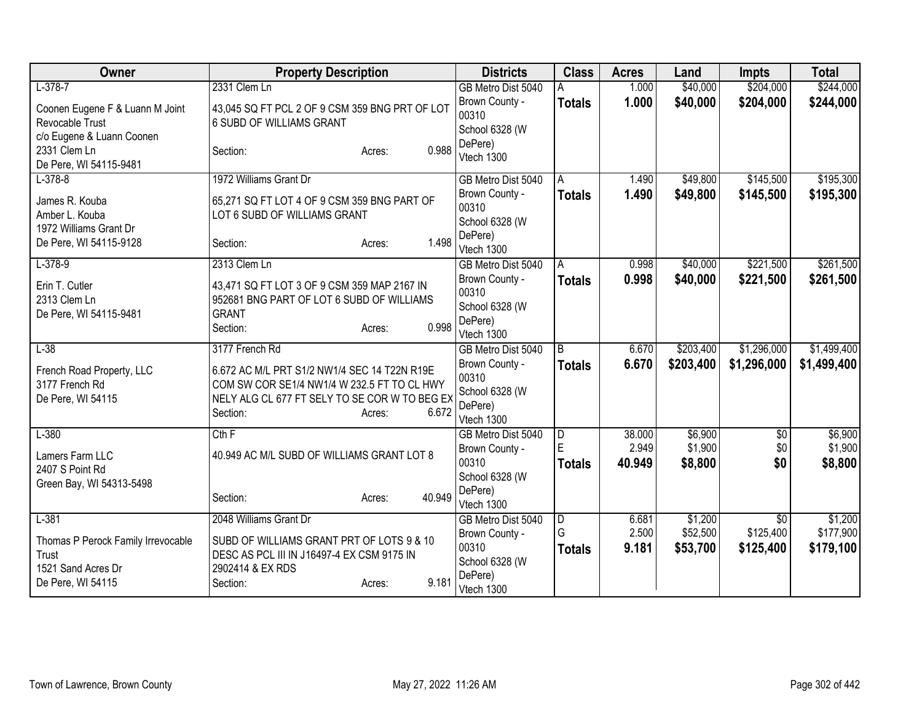| Owner                                       | <b>Property Description</b>                                                                 | <b>Districts</b>                     | <b>Class</b>            | <b>Acres</b> | Land               | <b>Impts</b>    | <b>Total</b>       |
|---------------------------------------------|---------------------------------------------------------------------------------------------|--------------------------------------|-------------------------|--------------|--------------------|-----------------|--------------------|
| $L-378-7$                                   | 2331 Clem Ln                                                                                | GB Metro Dist 5040                   |                         | 1.000        | \$40,000           | \$204,000       | \$244,000          |
| Coonen Eugene F & Luann M Joint             | 43,045 SQ FT PCL 2 OF 9 CSM 359 BNG PRT OF LOT                                              | Brown County -                       | <b>Totals</b>           | 1.000        | \$40,000           | \$204,000       | \$244,000          |
| Revocable Trust                             | 6 SUBD OF WILLIAMS GRANT                                                                    | 00310                                |                         |              |                    |                 |                    |
| c/o Eugene & Luann Coonen                   |                                                                                             | School 6328 (W<br>DePere)            |                         |              |                    |                 |                    |
| 2331 Clem Ln                                | 0.988<br>Section:<br>Acres:                                                                 | Vtech 1300                           |                         |              |                    |                 |                    |
| De Pere, WI 54115-9481                      |                                                                                             |                                      |                         |              |                    |                 |                    |
| $L - 378 - 8$                               | 1972 Williams Grant Dr                                                                      | GB Metro Dist 5040                   | A                       | 1.490        | \$49,800           | \$145,500       | \$195,300          |
| James R. Kouba                              | 65,271 SQ FT LOT 4 OF 9 CSM 359 BNG PART OF                                                 | Brown County -<br>00310              | <b>Totals</b>           | 1.490        | \$49,800           | \$145,500       | \$195,300          |
| Amber L. Kouba                              | LOT 6 SUBD OF WILLIAMS GRANT                                                                | School 6328 (W                       |                         |              |                    |                 |                    |
| 1972 Williams Grant Dr                      |                                                                                             | DePere)                              |                         |              |                    |                 |                    |
| De Pere, WI 54115-9128                      | 1.498<br>Section:<br>Acres:                                                                 | Vtech 1300                           |                         |              |                    |                 |                    |
| $L-378-9$                                   | 2313 Clem Ln                                                                                | GB Metro Dist 5040                   | A                       | 0.998        | \$40,000           | \$221,500       | \$261,500          |
| Erin T. Cutler                              | 43,471 SQ FT LOT 3 OF 9 CSM 359 MAP 2167 IN                                                 | Brown County -                       | <b>Totals</b>           | 0.998        | \$40,000           | \$221,500       | \$261,500          |
| 2313 Clem Ln                                | 952681 BNG PART OF LOT 6 SUBD OF WILLIAMS                                                   | 00310                                |                         |              |                    |                 |                    |
| De Pere, WI 54115-9481                      | <b>GRANT</b>                                                                                | School 6328 (W                       |                         |              |                    |                 |                    |
|                                             | 0.998<br>Section:<br>Acres:                                                                 | DePere)<br>Vtech 1300                |                         |              |                    |                 |                    |
| $L-38$                                      | 3177 French Rd                                                                              | GB Metro Dist 5040                   | l B                     | 6.670        | \$203,400          | \$1,296,000     | \$1,499,400        |
|                                             |                                                                                             | Brown County -                       | <b>Totals</b>           | 6.670        | \$203,400          | \$1,296,000     | \$1,499,400        |
| French Road Property, LLC<br>3177 French Rd | 6.672 AC M/L PRT S1/2 NW1/4 SEC 14 T22N R19E<br>COM SW COR SE1/4 NW1/4 W 232.5 FT TO CL HWY | 00310                                |                         |              |                    |                 |                    |
| De Pere, WI 54115                           | NELY ALG CL 677 FT SELY TO SE COR W TO BEG EX                                               | School 6328 (W                       |                         |              |                    |                 |                    |
|                                             | 6.672<br>Section:<br>Acres:                                                                 | DePere)                              |                         |              |                    |                 |                    |
|                                             |                                                                                             | Vtech 1300                           |                         | 38.000       |                    |                 |                    |
| $L-380$                                     | Cth F                                                                                       | GB Metro Dist 5040<br>Brown County - | D<br>E                  | 2.949        | \$6,900<br>\$1,900 | \$0<br>\$0      | \$6,900<br>\$1,900 |
| Lamers Farm LLC                             | 40.949 AC M/L SUBD OF WILLIAMS GRANT LOT 8                                                  | 00310                                | <b>Totals</b>           | 40.949       | \$8,800            | \$0             | \$8,800            |
| 2407 S Point Rd                             |                                                                                             | School 6328 (W                       |                         |              |                    |                 |                    |
| Green Bay, WI 54313-5498                    | 40.949                                                                                      | DePere)                              |                         |              |                    |                 |                    |
|                                             | Section:<br>Acres:                                                                          | Vtech 1300                           |                         |              |                    |                 |                    |
| $L-381$                                     | 2048 Williams Grant Dr                                                                      | GB Metro Dist 5040                   | $\overline{\mathsf{D}}$ | 6.681        | \$1,200            | $\overline{50}$ | \$1,200            |
| Thomas P Perock Family Irrevocable          | SUBD OF WILLIAMS GRANT PRT OF LOTS 9 & 10                                                   | Brown County -                       | G                       | 2.500        | \$52,500           | \$125,400       | \$177,900          |
| Trust                                       | DESC AS PCL III IN J16497-4 EX CSM 9175 IN                                                  | 00310<br>School 6328 (W              | <b>Totals</b>           | 9.181        | \$53,700           | \$125,400       | \$179,100          |
| 1521 Sand Acres Dr                          | 2902414 & EX RDS                                                                            | DePere)                              |                         |              |                    |                 |                    |
| De Pere, WI 54115                           | 9.181<br>Section:<br>Acres:                                                                 | Vtech 1300                           |                         |              |                    |                 |                    |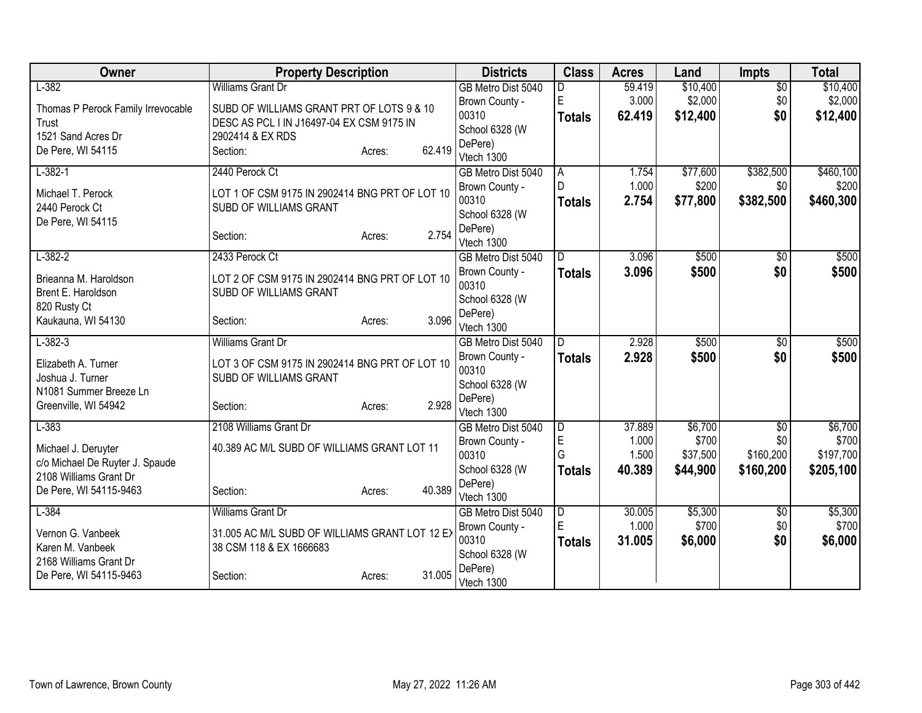| Owner                              | <b>Property Description</b>                    |                  | <b>Districts</b>        | <b>Class</b>        | <b>Acres</b>    | Land              | <b>Impts</b>           | <b>Total</b>       |
|------------------------------------|------------------------------------------------|------------------|-------------------------|---------------------|-----------------|-------------------|------------------------|--------------------|
| $L-382$                            | <b>Williams Grant Dr</b>                       |                  | GB Metro Dist 5040      |                     | 59.419          | \$10,400          | $\overline{50}$        | \$10,400           |
| Thomas P Perock Family Irrevocable | SUBD OF WILLIAMS GRANT PRT OF LOTS 9 & 10      |                  | Brown County -          | E                   | 3.000           | \$2,000           | \$0                    | \$2,000            |
| Trust                              | DESC AS PCL I IN J16497-04 EX CSM 9175 IN      |                  | 00310                   | <b>Totals</b>       | 62.419          | \$12,400          | \$0                    | \$12,400           |
| 1521 Sand Acres Dr                 | 2902414 & EX RDS                               |                  | School 6328 (W          |                     |                 |                   |                        |                    |
| De Pere, WI 54115                  | Section:                                       | 62.419<br>Acres: | DePere)                 |                     |                 |                   |                        |                    |
|                                    |                                                |                  | Vtech 1300              |                     |                 |                   |                        |                    |
| $L-382-1$                          | 2440 Perock Ct                                 |                  | GB Metro Dist 5040      | $\overline{A}$<br>D | 1.754<br>1.000  | \$77,600<br>\$200 | \$382,500<br>\$0       | \$460,100<br>\$200 |
| Michael T. Perock                  | LOT 1 OF CSM 9175 IN 2902414 BNG PRT OF LOT 10 |                  | Brown County -<br>00310 |                     | 2.754           |                   |                        |                    |
| 2440 Perock Ct                     | SUBD OF WILLIAMS GRANT                         |                  | School 6328 (W          | <b>Totals</b>       |                 | \$77,800          | \$382,500              | \$460,300          |
| De Pere, WI 54115                  |                                                |                  | DePere)                 |                     |                 |                   |                        |                    |
|                                    | Section:                                       | 2.754<br>Acres:  | Vtech 1300              |                     |                 |                   |                        |                    |
| $L - 382 - 2$                      | 2433 Perock Ct                                 |                  | GB Metro Dist 5040      | D                   | 3.096           | \$500             | \$0                    | \$500              |
|                                    |                                                |                  | Brown County -          | <b>Totals</b>       | 3.096           | \$500             | \$0                    | \$500              |
| Brieanna M. Haroldson              | LOT 2 OF CSM 9175 IN 2902414 BNG PRT OF LOT 10 |                  | 00310                   |                     |                 |                   |                        |                    |
| Brent E. Haroldson                 | SUBD OF WILLIAMS GRANT                         |                  | School 6328 (W          |                     |                 |                   |                        |                    |
| 820 Rusty Ct<br>Kaukauna, WI 54130 | Section:                                       | 3.096            | DePere)                 |                     |                 |                   |                        |                    |
|                                    |                                                | Acres:           | Vtech 1300              |                     |                 |                   |                        |                    |
| $L-382-3$                          | Williams Grant Dr                              |                  | GB Metro Dist 5040      | D                   | 2.928           | \$500             | $\overline{50}$        | \$500              |
| Elizabeth A. Turner                | LOT 3 OF CSM 9175 IN 2902414 BNG PRT OF LOT 10 |                  | Brown County -          | <b>Totals</b>       | 2.928           | \$500             | \$0                    | \$500              |
| Joshua J. Turner                   | SUBD OF WILLIAMS GRANT                         |                  | 00310                   |                     |                 |                   |                        |                    |
| N1081 Summer Breeze Ln             |                                                |                  | School 6328 (W          |                     |                 |                   |                        |                    |
| Greenville, WI 54942               | Section:                                       | 2.928<br>Acres:  | DePere)                 |                     |                 |                   |                        |                    |
|                                    |                                                |                  | Vtech 1300              |                     |                 |                   |                        |                    |
| $L-383$                            | 2108 Williams Grant Dr                         |                  | GB Metro Dist 5040      | $\overline{D}$<br>E | 37.889<br>1.000 | \$6,700<br>\$700  | $\overline{50}$<br>\$0 | \$6,700<br>\$700   |
| Michael J. Deruyter                | 40.389 AC M/L SUBD OF WILLIAMS GRANT LOT 11    |                  | Brown County -<br>00310 | G                   | 1.500           | \$37,500          | \$160,200              | \$197,700          |
| c/o Michael De Ruyter J. Spaude    |                                                |                  | School 6328 (W          |                     | 40.389          | \$44,900          | \$160,200              | \$205,100          |
| 2108 Williams Grant Dr             |                                                |                  | DePere)                 | <b>Totals</b>       |                 |                   |                        |                    |
| De Pere, WI 54115-9463             | Section:                                       | 40.389<br>Acres: | Vtech 1300              |                     |                 |                   |                        |                    |
| $L-384$                            | Williams Grant Dr                              |                  | GB Metro Dist 5040      | $\overline{D}$      | 30.005          | \$5,300           | $\frac{1}{20}$         | \$5,300            |
|                                    |                                                |                  | Brown County -          | E                   | 1.000           | \$700             | \$0                    | \$700              |
| Vernon G. Vanbeek                  | 31.005 AC M/L SUBD OF WILLIAMS GRANT LOT 12 EX |                  | 00310                   | <b>Totals</b>       | 31.005          | \$6,000           | \$0                    | \$6,000            |
| Karen M. Vanbeek                   | 38 CSM 118 & EX 1666683                        |                  | School 6328 (W          |                     |                 |                   |                        |                    |
| 2168 Williams Grant Dr             |                                                |                  | DePere)                 |                     |                 |                   |                        |                    |
| De Pere, WI 54115-9463             | Section:                                       | 31.005<br>Acres: | Vtech 1300              |                     |                 |                   |                        |                    |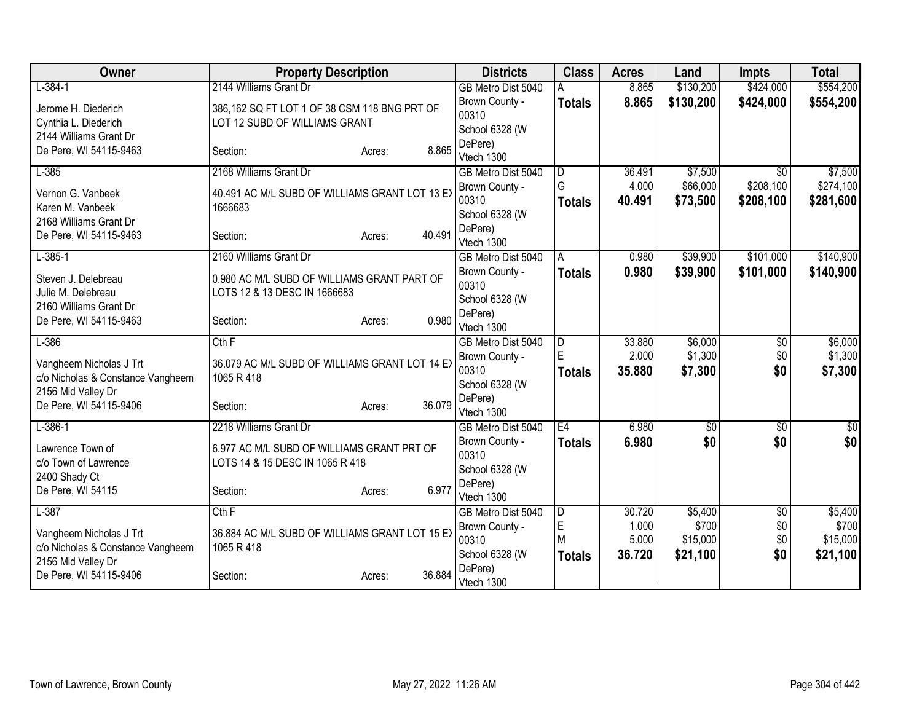| Owner                                 | <b>Property Description</b>                    |        | <b>Districts</b>        | <b>Class</b>            | <b>Acres</b> | Land        | <b>Impts</b>    | <b>Total</b> |
|---------------------------------------|------------------------------------------------|--------|-------------------------|-------------------------|--------------|-------------|-----------------|--------------|
| $L-384-1$                             | 2144 Williams Grant Dr                         |        | GB Metro Dist 5040      |                         | 8.865        | \$130,200   | \$424,000       | \$554,200    |
| Jerome H. Diederich                   | 386,162 SQ FT LOT 1 OF 38 CSM 118 BNG PRT OF   |        | Brown County -          | <b>Totals</b>           | 8.865        | \$130,200   | \$424,000       | \$554,200    |
| Cynthia L. Diederich                  | LOT 12 SUBD OF WILLIAMS GRANT                  |        | 00310                   |                         |              |             |                 |              |
| 2144 Williams Grant Dr                |                                                |        | School 6328 (W          |                         |              |             |                 |              |
| De Pere, WI 54115-9463                | Section:<br>Acres:                             | 8.865  | DePere)<br>Vtech 1300   |                         |              |             |                 |              |
| $L-385$                               | 2168 Williams Grant Dr                         |        | GB Metro Dist 5040      | D                       | 36.491       | \$7,500     | $\overline{50}$ | \$7,500      |
|                                       |                                                |        | Brown County -          | G                       | 4.000        | \$66,000    | \$208,100       | \$274,100    |
| Vernon G. Vanbeek                     | 40.491 AC M/L SUBD OF WILLIAMS GRANT LOT 13 EX |        | 00310                   | <b>Totals</b>           | 40.491       | \$73,500    | \$208,100       | \$281,600    |
| Karen M. Vanbeek                      | 1666683                                        |        | School 6328 (W          |                         |              |             |                 |              |
| 2168 Williams Grant Dr                |                                                |        | DePere)                 |                         |              |             |                 |              |
| De Pere, WI 54115-9463                | Section:<br>Acres:                             | 40.491 | Vtech 1300              |                         |              |             |                 |              |
| $L-385-1$                             | 2160 Williams Grant Dr                         |        | GB Metro Dist 5040      | Α                       | 0.980        | \$39,900    | \$101,000       | \$140,900    |
| Steven J. Delebreau                   | 0.980 AC M/L SUBD OF WILLIAMS GRANT PART OF    |        | Brown County -          | <b>Totals</b>           | 0.980        | \$39,900    | \$101,000       | \$140,900    |
| Julie M. Delebreau                    | LOTS 12 & 13 DESC IN 1666683                   |        | 00310                   |                         |              |             |                 |              |
| 2160 Williams Grant Dr                |                                                |        | School 6328 (W          |                         |              |             |                 |              |
| De Pere, WI 54115-9463                | Section:<br>Acres:                             | 0.980  | DePere)                 |                         |              |             |                 |              |
|                                       |                                                |        | Vtech 1300              |                         |              |             |                 |              |
| $L-386$                               | Cth F                                          |        | GB Metro Dist 5040      | $\overline{\mathsf{D}}$ | 33.880       | \$6,000     | $\overline{50}$ | \$6,000      |
| Vangheem Nicholas J Trt               | 36.079 AC M/L SUBD OF WILLIAMS GRANT LOT 14 EX |        | Brown County -          | E                       | 2.000        | \$1,300     | \$0             | \$1,300      |
| c/o Nicholas & Constance Vangheem     | 1065 R 418                                     |        | 00310<br>School 6328 (W | <b>Totals</b>           | 35.880       | \$7,300     | \$0             | \$7,300      |
| 2156 Mid Valley Dr                    |                                                |        | DePere)                 |                         |              |             |                 |              |
| De Pere, WI 54115-9406                | Section:<br>Acres:                             | 36.079 | Vtech 1300              |                         |              |             |                 |              |
| $L-386-1$                             | 2218 Williams Grant Dr                         |        | GB Metro Dist 5040      | E4                      | 6.980        | $\sqrt{$0}$ | $\overline{50}$ | $\sqrt{50}$  |
|                                       |                                                |        | Brown County -          | <b>Totals</b>           | 6.980        | \$0         | \$0             | \$0          |
| Lawrence Town of                      | 6.977 AC M/L SUBD OF WILLIAMS GRANT PRT OF     |        | 00310                   |                         |              |             |                 |              |
| c/o Town of Lawrence<br>2400 Shady Ct | LOTS 14 & 15 DESC IN 1065 R 418                |        | School 6328 (W          |                         |              |             |                 |              |
| De Pere, WI 54115                     | Section:<br>Acres:                             | 6.977  | DePere)                 |                         |              |             |                 |              |
|                                       |                                                |        | Vtech 1300              |                         |              |             |                 |              |
| $L-387$                               | Cth F                                          |        | GB Metro Dist 5040      | D                       | 30.720       | \$5,400     | \$0             | \$5,400      |
| Vangheem Nicholas J Trt               | 36.884 AC M/L SUBD OF WILLIAMS GRANT LOT 15 EX |        | Brown County -          | E                       | 1.000        | \$700       | \$0             | \$700        |
| c/o Nicholas & Constance Vangheem     | 1065 R 418                                     |        | 00310                   | M                       | 5.000        | \$15,000    | \$0             | \$15,000     |
| 2156 Mid Valley Dr                    |                                                |        | School 6328 (W          | <b>Totals</b>           | 36.720       | \$21,100    | \$0             | \$21,100     |
| De Pere, WI 54115-9406                | Section:<br>Acres:                             | 36.884 | DePere)<br>Vtech 1300   |                         |              |             |                 |              |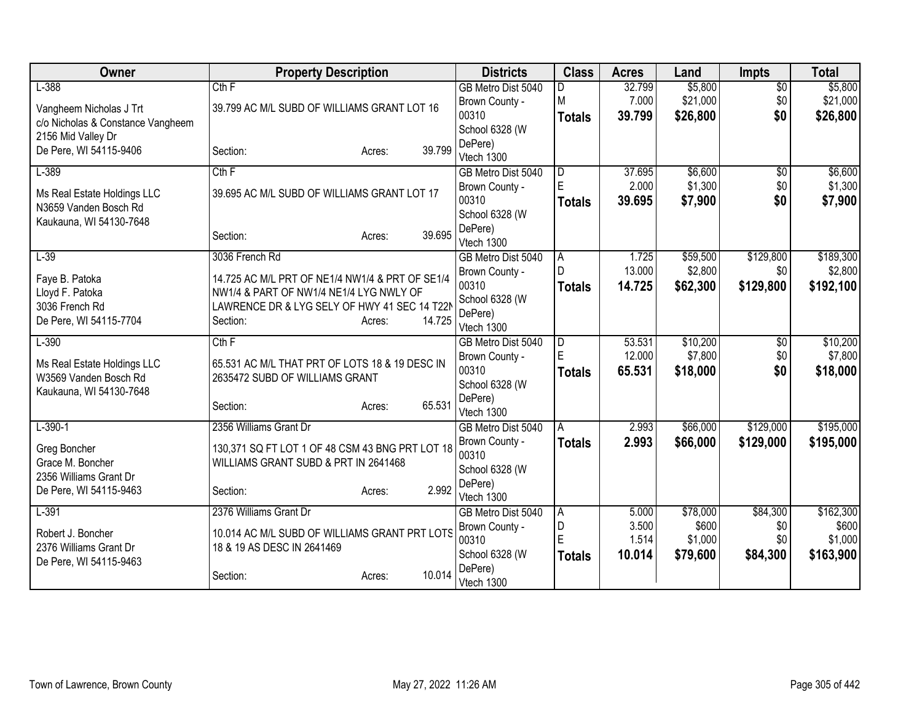| Owner                             | <b>Property Description</b>                     |                  | <b>Districts</b>                 | <b>Class</b>  | <b>Acres</b>     | Land                | <b>Impts</b>           | <b>Total</b>        |
|-----------------------------------|-------------------------------------------------|------------------|----------------------------------|---------------|------------------|---------------------|------------------------|---------------------|
| $L-388$                           | Cth F                                           |                  | GB Metro Dist 5040               | D             | 32.799           | \$5,800             | $\overline{50}$        | \$5,800             |
| Vangheem Nicholas J Trt           | 39.799 AC M/L SUBD OF WILLIAMS GRANT LOT 16     |                  | Brown County -                   | M             | 7.000            | \$21,000            | \$0                    | \$21,000            |
| c/o Nicholas & Constance Vangheem |                                                 |                  | 00310                            | <b>Totals</b> | 39.799           | \$26,800            | \$0                    | \$26,800            |
| 2156 Mid Valley Dr                |                                                 |                  | School 6328 (W                   |               |                  |                     |                        |                     |
| De Pere, WI 54115-9406            | Section:                                        | 39.799<br>Acres: | DePere)                          |               |                  |                     |                        |                     |
| $L-389$                           | $Cth$ F                                         |                  | Vtech 1300<br>GB Metro Dist 5040 | ID.           | 37.695           | \$6,600             | $\overline{30}$        | \$6,600             |
|                                   |                                                 |                  | Brown County -                   | E             | 2.000            | \$1,300             | \$0                    | \$1,300             |
| Ms Real Estate Holdings LLC       | 39.695 AC M/L SUBD OF WILLIAMS GRANT LOT 17     |                  | 00310                            | <b>Totals</b> | 39.695           | \$7,900             | \$0                    | \$7,900             |
| N3659 Vanden Bosch Rd             |                                                 |                  | School 6328 (W                   |               |                  |                     |                        |                     |
| Kaukauna, WI 54130-7648           |                                                 |                  | DePere)                          |               |                  |                     |                        |                     |
|                                   | Section:                                        | 39.695<br>Acres: | Vtech 1300                       |               |                  |                     |                        |                     |
| $L-39$                            | 3036 French Rd                                  |                  | GB Metro Dist 5040               | ΙA            | 1.725            | \$59,500            | \$129,800              | \$189,300           |
| Faye B. Patoka                    | 14.725 AC M/L PRT OF NE1/4 NW1/4 & PRT OF SE1/4 |                  | Brown County -                   | $\mathsf{D}$  | 13.000           | \$2,800             | \$0                    | \$2,800             |
| Lloyd F. Patoka                   | NW1/4 & PART OF NW1/4 NE1/4 LYG NWLY OF         |                  | 00310                            | <b>Totals</b> | 14.725           | \$62,300            | \$129,800              | \$192,100           |
| 3036 French Rd                    | LAWRENCE DR & LYG SELY OF HWY 41 SEC 14 T22M    |                  | School 6328 (W                   |               |                  |                     |                        |                     |
| De Pere, WI 54115-7704            | Section:                                        | 14.725<br>Acres: | DePere)                          |               |                  |                     |                        |                     |
|                                   | Cth F                                           |                  | Vtech 1300                       |               |                  |                     |                        |                     |
| $L-390$                           |                                                 |                  | GB Metro Dist 5040               | l D<br>E      | 53.531<br>12.000 | \$10,200<br>\$7,800 | $\overline{50}$<br>\$0 | \$10,200<br>\$7,800 |
| Ms Real Estate Holdings LLC       | 65.531 AC M/L THAT PRT OF LOTS 18 & 19 DESC IN  |                  | Brown County -<br>00310          | <b>Totals</b> | 65.531           | \$18,000            | \$0                    | \$18,000            |
| W3569 Vanden Bosch Rd             | 2635472 SUBD OF WILLIAMS GRANT                  |                  | School 6328 (W                   |               |                  |                     |                        |                     |
| Kaukauna, WI 54130-7648           |                                                 |                  | DePere)                          |               |                  |                     |                        |                     |
|                                   | Section:                                        | 65.531<br>Acres: | Vtech 1300                       |               |                  |                     |                        |                     |
| $L - 390 - 1$                     | 2356 Williams Grant Dr                          |                  | GB Metro Dist 5040               | A             | 2.993            | \$66,000            | \$129,000              | \$195,000           |
| Greg Boncher                      | 130,371 SQ FT LOT 1 OF 48 CSM 43 BNG PRT LOT 18 |                  | Brown County -                   | <b>Totals</b> | 2.993            | \$66,000            | \$129,000              | \$195,000           |
| Grace M. Boncher                  | WILLIAMS GRANT SUBD & PRT IN 2641468            |                  | 00310                            |               |                  |                     |                        |                     |
| 2356 Williams Grant Dr            |                                                 |                  | School 6328 (W                   |               |                  |                     |                        |                     |
| De Pere, WI 54115-9463            | Section:                                        | 2.992<br>Acres:  | DePere)                          |               |                  |                     |                        |                     |
|                                   |                                                 |                  | Vtech 1300                       |               |                  |                     |                        |                     |
| $L-391$                           | 2376 Williams Grant Dr                          |                  | GB Metro Dist 5040               | A<br>D        | 5.000<br>3.500   | \$78,000<br>\$600   | \$84,300<br>\$0        | \$162,300<br>\$600  |
| Robert J. Boncher                 | 10.014 AC M/L SUBD OF WILLIAMS GRANT PRT LOTS   |                  | Brown County -<br>00310          | E             | 1.514            | \$1,000             | \$0                    | \$1,000             |
| 2376 Williams Grant Dr            | 18 & 19 AS DESC IN 2641469                      |                  | School 6328 (W                   | <b>Totals</b> | 10.014           | \$79,600            | \$84,300               | \$163,900           |
| De Pere, WI 54115-9463            |                                                 |                  | DePere)                          |               |                  |                     |                        |                     |
|                                   | Section:                                        | 10.014<br>Acres: | Vtech 1300                       |               |                  |                     |                        |                     |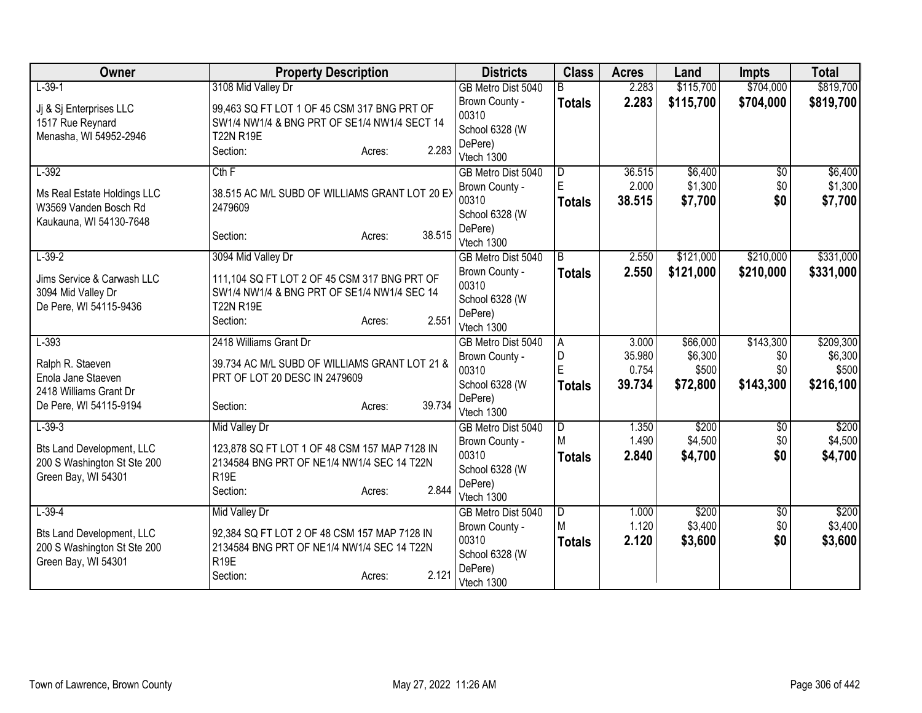| Owner                                        | <b>Property Description</b>                                    | <b>Districts</b>          | <b>Class</b>  | <b>Acres</b> | Land      | <b>Impts</b>    | <b>Total</b> |
|----------------------------------------------|----------------------------------------------------------------|---------------------------|---------------|--------------|-----------|-----------------|--------------|
| $L-39-1$                                     | 3108 Mid Valley Dr                                             | GB Metro Dist 5040        |               | 2.283        | \$115,700 | \$704,000       | \$819,700    |
| Ji & Si Enterprises LLC                      | 99,463 SQ FT LOT 1 OF 45 CSM 317 BNG PRT OF                    | Brown County -            | <b>Totals</b> | 2.283        | \$115,700 | \$704,000       | \$819,700    |
| 1517 Rue Reynard                             | SW1/4 NW1/4 & BNG PRT OF SE1/4 NW1/4 SECT 14                   | 00310                     |               |              |           |                 |              |
| Menasha, WI 54952-2946                       | <b>T22N R19E</b>                                               | School 6328 (W            |               |              |           |                 |              |
|                                              | 2.283<br>Section:<br>Acres:                                    | DePere)<br>Vtech 1300     |               |              |           |                 |              |
| $L-392$                                      | $Cth$ $F$                                                      | GB Metro Dist 5040        | ID.           | 36.515       | \$6,400   | $\overline{30}$ | \$6,400      |
|                                              |                                                                | Brown County -            | E             | 2.000        | \$1,300   | \$0             | \$1,300      |
| Ms Real Estate Holdings LLC                  | 38.515 AC M/L SUBD OF WILLIAMS GRANT LOT 20 EX                 | 00310                     | <b>Totals</b> | 38.515       | \$7,700   | \$0             | \$7,700      |
| W3569 Vanden Bosch Rd                        | 2479609                                                        | School 6328 (W            |               |              |           |                 |              |
| Kaukauna, WI 54130-7648                      | 38.515<br>Section:                                             | DePere)                   |               |              |           |                 |              |
|                                              | Acres:                                                         | Vtech 1300                |               |              |           |                 |              |
| $L-39-2$                                     | 3094 Mid Valley Dr                                             | GB Metro Dist 5040        | B             | 2.550        | \$121,000 | \$210,000       | \$331,000    |
| Jims Service & Carwash LLC                   | 111,104 SQ FT LOT 2 OF 45 CSM 317 BNG PRT OF                   | Brown County -            | <b>Totals</b> | 2.550        | \$121,000 | \$210,000       | \$331,000    |
| 3094 Mid Valley Dr                           | SW1/4 NW1/4 & BNG PRT OF SE1/4 NW1/4 SEC 14                    | 00310                     |               |              |           |                 |              |
| De Pere, WI 54115-9436                       | <b>T22N R19E</b>                                               | School 6328 (W<br>DePere) |               |              |           |                 |              |
|                                              | 2.551<br>Section:<br>Acres:                                    | Vtech 1300                |               |              |           |                 |              |
| $L-393$                                      | 2418 Williams Grant Dr                                         | GB Metro Dist 5040        | ΙA            | 3.000        | \$66,000  | \$143,300       | \$209,300    |
|                                              |                                                                | Brown County -            | D             | 35.980       | \$6,300   | \$0             | \$6,300      |
| Ralph R. Staeven                             | 39.734 AC M/L SUBD OF WILLIAMS GRANT LOT 21 &                  | 00310                     | E             | 0.754        | \$500     | \$0             | \$500        |
| Enola Jane Staeven<br>2418 Williams Grant Dr | PRT OF LOT 20 DESC IN 2479609                                  | School 6328 (W            | <b>Totals</b> | 39.734       | \$72,800  | \$143,300       | \$216,100    |
| De Pere, WI 54115-9194                       | 39.734<br>Section:<br>Acres:                                   | DePere)                   |               |              |           |                 |              |
|                                              |                                                                | Vtech 1300                |               |              |           |                 |              |
| $L-39-3$                                     | Mid Valley Dr                                                  | GB Metro Dist 5040        | D             | 1.350        | \$200     | \$0             | \$200        |
| <b>Bts Land Development, LLC</b>             | 123,878 SQ FT LOT 1 OF 48 CSM 157 MAP 7128 IN                  | Brown County -            | M             | 1.490        | \$4,500   | \$0             | \$4,500      |
| 200 S Washington St Ste 200                  | 2134584 BNG PRT OF NE1/4 NW1/4 SEC 14 T22N                     | 00310                     | <b>Totals</b> | 2.840        | \$4,700   | \$0             | \$4,700      |
| Green Bay, WI 54301                          | R <sub>19E</sub>                                               | School 6328 (W<br>DePere) |               |              |           |                 |              |
|                                              | 2.844<br>Section:<br>Acres:                                    | Vtech 1300                |               |              |           |                 |              |
| $L-39-4$                                     | Mid Valley Dr                                                  | GB Metro Dist 5040        | D             | 1.000        | \$200     | $\sqrt[6]{}$    | \$200        |
|                                              |                                                                | Brown County -            | M             | 1.120        | \$3,400   | \$0             | \$3,400      |
| <b>Bts Land Development, LLC</b>             | 92,384 SQ FT LOT 2 OF 48 CSM 157 MAP 7128 IN                   | 00310                     | <b>Totals</b> | 2.120        | \$3,600   | \$0             | \$3,600      |
| 200 S Washington St Ste 200                  | 2134584 BNG PRT OF NE1/4 NW1/4 SEC 14 T22N<br>R <sub>19E</sub> | School 6328 (W            |               |              |           |                 |              |
| Green Bay, WI 54301                          | 2.121<br>Section:                                              | DePere)                   |               |              |           |                 |              |
|                                              | Acres:                                                         | Vtech 1300                |               |              |           |                 |              |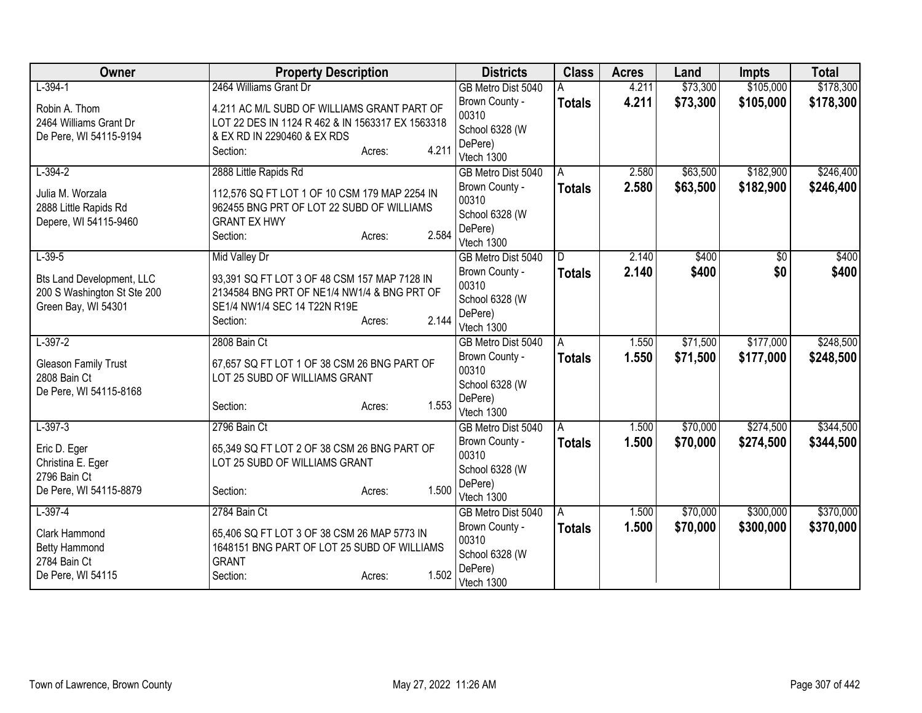| $L-394-1$<br>2464 Williams Grant Dr<br>\$73,300<br>\$105,000<br>4.211<br>GB Metro Dist 5040<br>4.211<br>\$73,300<br>\$105,000<br>Brown County -<br>\$178,300<br><b>Totals</b><br>Robin A. Thom<br>4.211 AC M/L SUBD OF WILLIAMS GRANT PART OF<br>00310<br>2464 Williams Grant Dr<br>LOT 22 DES IN 1124 R 462 & IN 1563317 EX 1563318<br>School 6328 (W<br>De Pere, WI 54115-9194<br>& EX RD IN 2290460 & EX RDS<br>DePere)<br>4.211<br>Section:<br>Acres:<br>Vtech 1300<br>\$182,900<br>\$246,400<br>$L - 394 - 2$<br>2888 Little Rapids Rd<br>\$63,500<br>A<br>2.580<br>GB Metro Dist 5040<br>2.580<br>\$182,900<br>\$63,500<br>\$246,400<br>Brown County -<br><b>Totals</b><br>Julia M. Worzala<br>112,576 SQ FT LOT 1 OF 10 CSM 179 MAP 2254 IN<br>00310<br>962455 BNG PRT OF LOT 22 SUBD OF WILLIAMS<br>2888 Little Rapids Rd<br>School 6328 (W<br>Depere, WI 54115-9460<br><b>GRANT EX HWY</b><br>DePere)<br>2.584<br>Section:<br>Acres:<br>Vtech 1300<br>$L - 39 - 5$<br>Mid Valley Dr<br>2.140<br>\$400<br>\$400<br>D.<br>\$0<br>GB Metro Dist 5040<br>Brown County -<br>2.140<br>\$400<br>\$0<br>\$400<br><b>Totals</b><br><b>Bts Land Development, LLC</b><br>93,391 SQ FT LOT 3 OF 48 CSM 157 MAP 7128 IN<br>00310<br>2134584 BNG PRT OF NE1/4 NW1/4 & BNG PRT OF<br>200 S Washington St Ste 200<br>School 6328 (W<br>Green Bay, WI 54301<br>SE1/4 NW1/4 SEC 14 T22N R19E<br>DePere)<br>2.144<br>Section:<br>Acres:<br>Vtech 1300<br>\$248,500<br>$L-397-2$<br>2808 Bain Ct<br>\$71,500<br>\$177,000<br>1.550<br>GB Metro Dist 5040<br>A<br>1.550<br>\$71,500<br>\$177,000<br>\$248,500<br>Brown County -<br><b>Totals</b><br>67,657 SQ FT LOT 1 OF 38 CSM 26 BNG PART OF<br><b>Gleason Family Trust</b><br>00310<br>2808 Bain Ct<br>LOT 25 SUBD OF WILLIAMS GRANT<br>School 6328 (W<br>De Pere, WI 54115-8168<br>DePere)<br>1.553<br>Section:<br>Acres:<br>Vtech 1300<br>\$274,500<br>$L-397-3$<br>2796 Bain Ct<br>\$70,000<br>GB Metro Dist 5040<br>1.500<br>A<br>Brown County -<br>1.500<br>\$70,000<br>\$274,500<br><b>Totals</b><br>Eric D. Eger<br>65,349 SQ FT LOT 2 OF 38 CSM 26 BNG PART OF<br>00310<br>LOT 25 SUBD OF WILLIAMS GRANT<br>Christina E. Eger<br>School 6328 (W<br>2796 Bain Ct<br>DePere)<br>De Pere, WI 54115-8879<br>1.500<br>Section:<br>Acres:<br>Vtech 1300<br>\$300,000<br>$L-397-4$<br>2784 Bain Ct<br>\$70,000<br>GB Metro Dist 5040<br>1.500<br>Α<br>Brown County -<br>1.500<br>\$70,000<br>\$300,000<br><b>Totals</b><br>Clark Hammond<br>65,406 SQ FT LOT 3 OF 38 CSM 26 MAP 5773 IN<br>00310<br>1648151 BNG PART OF LOT 25 SUBD OF WILLIAMS<br><b>Betty Hammond</b><br>School 6328 (W<br>2784 Bain Ct<br><b>GRANT</b><br>DePere)<br>1.502<br>De Pere, WI 54115<br>Section:<br>Acres:<br>Vtech 1300 | Owner | <b>Property Description</b> | <b>Districts</b> | <b>Class</b> | <b>Acres</b> | Land | <b>Impts</b> | <b>Total</b> |
|-------------------------------------------------------------------------------------------------------------------------------------------------------------------------------------------------------------------------------------------------------------------------------------------------------------------------------------------------------------------------------------------------------------------------------------------------------------------------------------------------------------------------------------------------------------------------------------------------------------------------------------------------------------------------------------------------------------------------------------------------------------------------------------------------------------------------------------------------------------------------------------------------------------------------------------------------------------------------------------------------------------------------------------------------------------------------------------------------------------------------------------------------------------------------------------------------------------------------------------------------------------------------------------------------------------------------------------------------------------------------------------------------------------------------------------------------------------------------------------------------------------------------------------------------------------------------------------------------------------------------------------------------------------------------------------------------------------------------------------------------------------------------------------------------------------------------------------------------------------------------------------------------------------------------------------------------------------------------------------------------------------------------------------------------------------------------------------------------------------------------------------------------------------------------------------------------------------------------------------------------------------------------------------------------------------------------------------------------------------------------------------------------------------------------------------------------------------------------------------------------------------------------------------------------------------------------------------------------------------------------------------------------------------------------------------------------------------------------------------------------|-------|-----------------------------|------------------|--------------|--------------|------|--------------|--------------|
|                                                                                                                                                                                                                                                                                                                                                                                                                                                                                                                                                                                                                                                                                                                                                                                                                                                                                                                                                                                                                                                                                                                                                                                                                                                                                                                                                                                                                                                                                                                                                                                                                                                                                                                                                                                                                                                                                                                                                                                                                                                                                                                                                                                                                                                                                                                                                                                                                                                                                                                                                                                                                                                                                                                                                 |       |                             |                  |              |              |      |              | \$178,300    |
|                                                                                                                                                                                                                                                                                                                                                                                                                                                                                                                                                                                                                                                                                                                                                                                                                                                                                                                                                                                                                                                                                                                                                                                                                                                                                                                                                                                                                                                                                                                                                                                                                                                                                                                                                                                                                                                                                                                                                                                                                                                                                                                                                                                                                                                                                                                                                                                                                                                                                                                                                                                                                                                                                                                                                 |       |                             |                  |              |              |      |              |              |
|                                                                                                                                                                                                                                                                                                                                                                                                                                                                                                                                                                                                                                                                                                                                                                                                                                                                                                                                                                                                                                                                                                                                                                                                                                                                                                                                                                                                                                                                                                                                                                                                                                                                                                                                                                                                                                                                                                                                                                                                                                                                                                                                                                                                                                                                                                                                                                                                                                                                                                                                                                                                                                                                                                                                                 |       |                             |                  |              |              |      |              |              |
|                                                                                                                                                                                                                                                                                                                                                                                                                                                                                                                                                                                                                                                                                                                                                                                                                                                                                                                                                                                                                                                                                                                                                                                                                                                                                                                                                                                                                                                                                                                                                                                                                                                                                                                                                                                                                                                                                                                                                                                                                                                                                                                                                                                                                                                                                                                                                                                                                                                                                                                                                                                                                                                                                                                                                 |       |                             |                  |              |              |      |              |              |
|                                                                                                                                                                                                                                                                                                                                                                                                                                                                                                                                                                                                                                                                                                                                                                                                                                                                                                                                                                                                                                                                                                                                                                                                                                                                                                                                                                                                                                                                                                                                                                                                                                                                                                                                                                                                                                                                                                                                                                                                                                                                                                                                                                                                                                                                                                                                                                                                                                                                                                                                                                                                                                                                                                                                                 |       |                             |                  |              |              |      |              |              |
|                                                                                                                                                                                                                                                                                                                                                                                                                                                                                                                                                                                                                                                                                                                                                                                                                                                                                                                                                                                                                                                                                                                                                                                                                                                                                                                                                                                                                                                                                                                                                                                                                                                                                                                                                                                                                                                                                                                                                                                                                                                                                                                                                                                                                                                                                                                                                                                                                                                                                                                                                                                                                                                                                                                                                 |       |                             |                  |              |              |      |              |              |
|                                                                                                                                                                                                                                                                                                                                                                                                                                                                                                                                                                                                                                                                                                                                                                                                                                                                                                                                                                                                                                                                                                                                                                                                                                                                                                                                                                                                                                                                                                                                                                                                                                                                                                                                                                                                                                                                                                                                                                                                                                                                                                                                                                                                                                                                                                                                                                                                                                                                                                                                                                                                                                                                                                                                                 |       |                             |                  |              |              |      |              |              |
|                                                                                                                                                                                                                                                                                                                                                                                                                                                                                                                                                                                                                                                                                                                                                                                                                                                                                                                                                                                                                                                                                                                                                                                                                                                                                                                                                                                                                                                                                                                                                                                                                                                                                                                                                                                                                                                                                                                                                                                                                                                                                                                                                                                                                                                                                                                                                                                                                                                                                                                                                                                                                                                                                                                                                 |       |                             |                  |              |              |      |              |              |
|                                                                                                                                                                                                                                                                                                                                                                                                                                                                                                                                                                                                                                                                                                                                                                                                                                                                                                                                                                                                                                                                                                                                                                                                                                                                                                                                                                                                                                                                                                                                                                                                                                                                                                                                                                                                                                                                                                                                                                                                                                                                                                                                                                                                                                                                                                                                                                                                                                                                                                                                                                                                                                                                                                                                                 |       |                             |                  |              |              |      |              |              |
|                                                                                                                                                                                                                                                                                                                                                                                                                                                                                                                                                                                                                                                                                                                                                                                                                                                                                                                                                                                                                                                                                                                                                                                                                                                                                                                                                                                                                                                                                                                                                                                                                                                                                                                                                                                                                                                                                                                                                                                                                                                                                                                                                                                                                                                                                                                                                                                                                                                                                                                                                                                                                                                                                                                                                 |       |                             |                  |              |              |      |              |              |
|                                                                                                                                                                                                                                                                                                                                                                                                                                                                                                                                                                                                                                                                                                                                                                                                                                                                                                                                                                                                                                                                                                                                                                                                                                                                                                                                                                                                                                                                                                                                                                                                                                                                                                                                                                                                                                                                                                                                                                                                                                                                                                                                                                                                                                                                                                                                                                                                                                                                                                                                                                                                                                                                                                                                                 |       |                             |                  |              |              |      |              |              |
|                                                                                                                                                                                                                                                                                                                                                                                                                                                                                                                                                                                                                                                                                                                                                                                                                                                                                                                                                                                                                                                                                                                                                                                                                                                                                                                                                                                                                                                                                                                                                                                                                                                                                                                                                                                                                                                                                                                                                                                                                                                                                                                                                                                                                                                                                                                                                                                                                                                                                                                                                                                                                                                                                                                                                 |       |                             |                  |              |              |      |              |              |
|                                                                                                                                                                                                                                                                                                                                                                                                                                                                                                                                                                                                                                                                                                                                                                                                                                                                                                                                                                                                                                                                                                                                                                                                                                                                                                                                                                                                                                                                                                                                                                                                                                                                                                                                                                                                                                                                                                                                                                                                                                                                                                                                                                                                                                                                                                                                                                                                                                                                                                                                                                                                                                                                                                                                                 |       |                             |                  |              |              |      |              |              |
|                                                                                                                                                                                                                                                                                                                                                                                                                                                                                                                                                                                                                                                                                                                                                                                                                                                                                                                                                                                                                                                                                                                                                                                                                                                                                                                                                                                                                                                                                                                                                                                                                                                                                                                                                                                                                                                                                                                                                                                                                                                                                                                                                                                                                                                                                                                                                                                                                                                                                                                                                                                                                                                                                                                                                 |       |                             |                  |              |              |      |              |              |
|                                                                                                                                                                                                                                                                                                                                                                                                                                                                                                                                                                                                                                                                                                                                                                                                                                                                                                                                                                                                                                                                                                                                                                                                                                                                                                                                                                                                                                                                                                                                                                                                                                                                                                                                                                                                                                                                                                                                                                                                                                                                                                                                                                                                                                                                                                                                                                                                                                                                                                                                                                                                                                                                                                                                                 |       |                             |                  |              |              |      |              |              |
|                                                                                                                                                                                                                                                                                                                                                                                                                                                                                                                                                                                                                                                                                                                                                                                                                                                                                                                                                                                                                                                                                                                                                                                                                                                                                                                                                                                                                                                                                                                                                                                                                                                                                                                                                                                                                                                                                                                                                                                                                                                                                                                                                                                                                                                                                                                                                                                                                                                                                                                                                                                                                                                                                                                                                 |       |                             |                  |              |              |      |              |              |
|                                                                                                                                                                                                                                                                                                                                                                                                                                                                                                                                                                                                                                                                                                                                                                                                                                                                                                                                                                                                                                                                                                                                                                                                                                                                                                                                                                                                                                                                                                                                                                                                                                                                                                                                                                                                                                                                                                                                                                                                                                                                                                                                                                                                                                                                                                                                                                                                                                                                                                                                                                                                                                                                                                                                                 |       |                             |                  |              |              |      |              |              |
|                                                                                                                                                                                                                                                                                                                                                                                                                                                                                                                                                                                                                                                                                                                                                                                                                                                                                                                                                                                                                                                                                                                                                                                                                                                                                                                                                                                                                                                                                                                                                                                                                                                                                                                                                                                                                                                                                                                                                                                                                                                                                                                                                                                                                                                                                                                                                                                                                                                                                                                                                                                                                                                                                                                                                 |       |                             |                  |              |              |      |              |              |
| \$344,500<br>\$344,500<br>\$370,000<br>\$370,000                                                                                                                                                                                                                                                                                                                                                                                                                                                                                                                                                                                                                                                                                                                                                                                                                                                                                                                                                                                                                                                                                                                                                                                                                                                                                                                                                                                                                                                                                                                                                                                                                                                                                                                                                                                                                                                                                                                                                                                                                                                                                                                                                                                                                                                                                                                                                                                                                                                                                                                                                                                                                                                                                                |       |                             |                  |              |              |      |              |              |
|                                                                                                                                                                                                                                                                                                                                                                                                                                                                                                                                                                                                                                                                                                                                                                                                                                                                                                                                                                                                                                                                                                                                                                                                                                                                                                                                                                                                                                                                                                                                                                                                                                                                                                                                                                                                                                                                                                                                                                                                                                                                                                                                                                                                                                                                                                                                                                                                                                                                                                                                                                                                                                                                                                                                                 |       |                             |                  |              |              |      |              |              |
|                                                                                                                                                                                                                                                                                                                                                                                                                                                                                                                                                                                                                                                                                                                                                                                                                                                                                                                                                                                                                                                                                                                                                                                                                                                                                                                                                                                                                                                                                                                                                                                                                                                                                                                                                                                                                                                                                                                                                                                                                                                                                                                                                                                                                                                                                                                                                                                                                                                                                                                                                                                                                                                                                                                                                 |       |                             |                  |              |              |      |              |              |
|                                                                                                                                                                                                                                                                                                                                                                                                                                                                                                                                                                                                                                                                                                                                                                                                                                                                                                                                                                                                                                                                                                                                                                                                                                                                                                                                                                                                                                                                                                                                                                                                                                                                                                                                                                                                                                                                                                                                                                                                                                                                                                                                                                                                                                                                                                                                                                                                                                                                                                                                                                                                                                                                                                                                                 |       |                             |                  |              |              |      |              |              |
|                                                                                                                                                                                                                                                                                                                                                                                                                                                                                                                                                                                                                                                                                                                                                                                                                                                                                                                                                                                                                                                                                                                                                                                                                                                                                                                                                                                                                                                                                                                                                                                                                                                                                                                                                                                                                                                                                                                                                                                                                                                                                                                                                                                                                                                                                                                                                                                                                                                                                                                                                                                                                                                                                                                                                 |       |                             |                  |              |              |      |              |              |
|                                                                                                                                                                                                                                                                                                                                                                                                                                                                                                                                                                                                                                                                                                                                                                                                                                                                                                                                                                                                                                                                                                                                                                                                                                                                                                                                                                                                                                                                                                                                                                                                                                                                                                                                                                                                                                                                                                                                                                                                                                                                                                                                                                                                                                                                                                                                                                                                                                                                                                                                                                                                                                                                                                                                                 |       |                             |                  |              |              |      |              |              |
|                                                                                                                                                                                                                                                                                                                                                                                                                                                                                                                                                                                                                                                                                                                                                                                                                                                                                                                                                                                                                                                                                                                                                                                                                                                                                                                                                                                                                                                                                                                                                                                                                                                                                                                                                                                                                                                                                                                                                                                                                                                                                                                                                                                                                                                                                                                                                                                                                                                                                                                                                                                                                                                                                                                                                 |       |                             |                  |              |              |      |              |              |
|                                                                                                                                                                                                                                                                                                                                                                                                                                                                                                                                                                                                                                                                                                                                                                                                                                                                                                                                                                                                                                                                                                                                                                                                                                                                                                                                                                                                                                                                                                                                                                                                                                                                                                                                                                                                                                                                                                                                                                                                                                                                                                                                                                                                                                                                                                                                                                                                                                                                                                                                                                                                                                                                                                                                                 |       |                             |                  |              |              |      |              |              |
|                                                                                                                                                                                                                                                                                                                                                                                                                                                                                                                                                                                                                                                                                                                                                                                                                                                                                                                                                                                                                                                                                                                                                                                                                                                                                                                                                                                                                                                                                                                                                                                                                                                                                                                                                                                                                                                                                                                                                                                                                                                                                                                                                                                                                                                                                                                                                                                                                                                                                                                                                                                                                                                                                                                                                 |       |                             |                  |              |              |      |              |              |
|                                                                                                                                                                                                                                                                                                                                                                                                                                                                                                                                                                                                                                                                                                                                                                                                                                                                                                                                                                                                                                                                                                                                                                                                                                                                                                                                                                                                                                                                                                                                                                                                                                                                                                                                                                                                                                                                                                                                                                                                                                                                                                                                                                                                                                                                                                                                                                                                                                                                                                                                                                                                                                                                                                                                                 |       |                             |                  |              |              |      |              |              |
|                                                                                                                                                                                                                                                                                                                                                                                                                                                                                                                                                                                                                                                                                                                                                                                                                                                                                                                                                                                                                                                                                                                                                                                                                                                                                                                                                                                                                                                                                                                                                                                                                                                                                                                                                                                                                                                                                                                                                                                                                                                                                                                                                                                                                                                                                                                                                                                                                                                                                                                                                                                                                                                                                                                                                 |       |                             |                  |              |              |      |              |              |
|                                                                                                                                                                                                                                                                                                                                                                                                                                                                                                                                                                                                                                                                                                                                                                                                                                                                                                                                                                                                                                                                                                                                                                                                                                                                                                                                                                                                                                                                                                                                                                                                                                                                                                                                                                                                                                                                                                                                                                                                                                                                                                                                                                                                                                                                                                                                                                                                                                                                                                                                                                                                                                                                                                                                                 |       |                             |                  |              |              |      |              |              |
|                                                                                                                                                                                                                                                                                                                                                                                                                                                                                                                                                                                                                                                                                                                                                                                                                                                                                                                                                                                                                                                                                                                                                                                                                                                                                                                                                                                                                                                                                                                                                                                                                                                                                                                                                                                                                                                                                                                                                                                                                                                                                                                                                                                                                                                                                                                                                                                                                                                                                                                                                                                                                                                                                                                                                 |       |                             |                  |              |              |      |              |              |
|                                                                                                                                                                                                                                                                                                                                                                                                                                                                                                                                                                                                                                                                                                                                                                                                                                                                                                                                                                                                                                                                                                                                                                                                                                                                                                                                                                                                                                                                                                                                                                                                                                                                                                                                                                                                                                                                                                                                                                                                                                                                                                                                                                                                                                                                                                                                                                                                                                                                                                                                                                                                                                                                                                                                                 |       |                             |                  |              |              |      |              |              |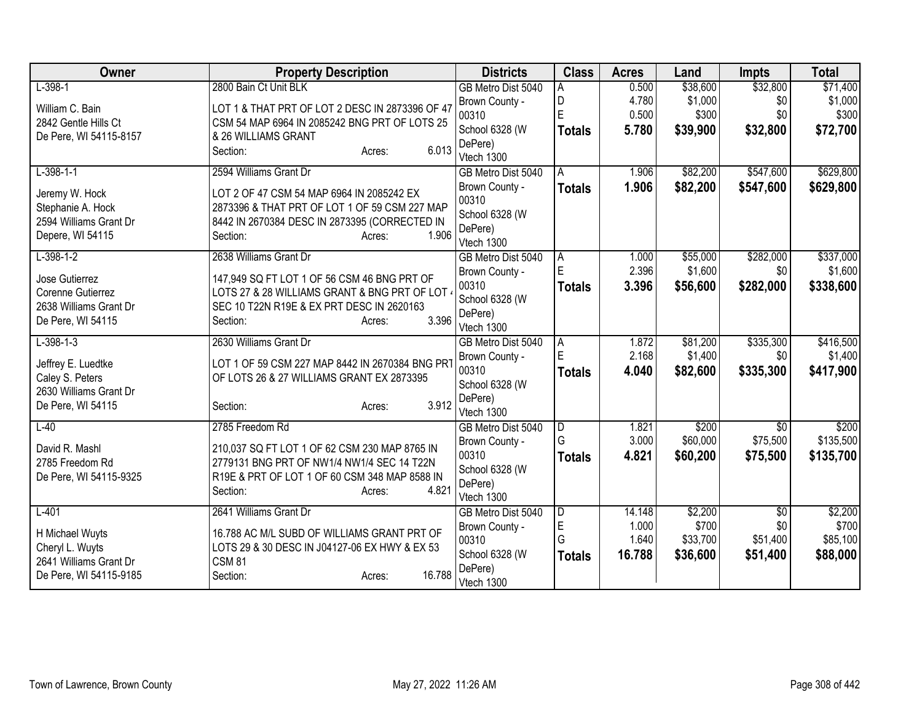| Owner                  | <b>Property Description</b>                     | <b>Districts</b>                     | <b>Class</b>  | <b>Acres</b> | Land     | <b>Impts</b>    | <b>Total</b>     |
|------------------------|-------------------------------------------------|--------------------------------------|---------------|--------------|----------|-----------------|------------------|
| $L-398-1$              | 2800 Bain Ct Unit BLK                           | GB Metro Dist 5040                   | A             | 0.500        | \$38,600 | \$32,800        | \$71,400         |
| William C. Bain        | LOT 1 & THAT PRT OF LOT 2 DESC IN 2873396 OF 47 | Brown County -                       | D             | 4.780        | \$1,000  | \$0             | \$1,000          |
| 2842 Gentle Hills Ct   | CSM 54 MAP 6964 IN 2085242 BNG PRT OF LOTS 25   | 00310                                | Ė             | 0.500        | \$300    | \$0             | \$300            |
| De Pere, WI 54115-8157 | & 26 WILLIAMS GRANT                             | School 6328 (W                       | <b>Totals</b> | 5.780        | \$39,900 | \$32,800        | \$72,700         |
|                        | 6.013<br>Section:<br>Acres:                     | DePere)<br>Vtech 1300                |               |              |          |                 |                  |
| $L-398-1-1$            | 2594 Williams Grant Dr                          | GB Metro Dist 5040                   | A             | 1.906        | \$82,200 | \$547,600       | \$629,800        |
|                        |                                                 | Brown County -                       | <b>Totals</b> | 1.906        | \$82,200 | \$547,600       | \$629,800        |
| Jeremy W. Hock         | LOT 2 OF 47 CSM 54 MAP 6964 IN 2085242 EX       | 00310                                |               |              |          |                 |                  |
| Stephanie A. Hock      | 2873396 & THAT PRT OF LOT 1 OF 59 CSM 227 MAP   | School 6328 (W                       |               |              |          |                 |                  |
| 2594 Williams Grant Dr | 8442 IN 2670384 DESC IN 2873395 (CORRECTED IN   | DePere)                              |               |              |          |                 |                  |
| Depere, WI 54115       | 1.906<br>Section:<br>Acres:                     | Vtech 1300                           |               |              |          |                 |                  |
| $L-398-1-2$            | 2638 Williams Grant Dr                          | GB Metro Dist 5040                   | A             | 1.000        | \$55,000 | \$282,000       | \$337,000        |
| Jose Gutierrez         | 147,949 SQ FT LOT 1 OF 56 CSM 46 BNG PRT OF     | Brown County -                       | E             | 2.396        | \$1,600  | \$0             | \$1,600          |
| Corenne Gutierrez      | LOTS 27 & 28 WILLIAMS GRANT & BNG PRT OF LOT (  | 00310                                | <b>Totals</b> | 3.396        | \$56,600 | \$282,000       | \$338,600        |
| 2638 Williams Grant Dr | SEC 10 T22N R19E & EX PRT DESC IN 2620163       | School 6328 (W                       |               |              |          |                 |                  |
| De Pere, WI 54115      | 3.396<br>Section:<br>Acres:                     | DePere)                              |               |              |          |                 |                  |
| $L-398-1-3$            | 2630 Williams Grant Dr                          | Vtech 1300<br>GB Metro Dist 5040     | A             | 1.872        | \$81,200 | \$335,300       | \$416,500        |
|                        |                                                 | Brown County -                       | E             | 2.168        | \$1,400  | \$0             | \$1,400          |
| Jeffrey E. Luedtke     | LOT 1 OF 59 CSM 227 MAP 8442 IN 2670384 BNG PRT | 00310                                | <b>Totals</b> | 4.040        | \$82,600 | \$335,300       | \$417,900        |
| Caley S. Peters        | OF LOTS 26 & 27 WILLIAMS GRANT EX 2873395       | School 6328 (W                       |               |              |          |                 |                  |
| 2630 Williams Grant Dr |                                                 | DePere)                              |               |              |          |                 |                  |
| De Pere, WI 54115      | 3.912<br>Section:<br>Acres:                     | Vtech 1300                           |               |              |          |                 |                  |
| $L-40$                 | 2785 Freedom Rd                                 | GB Metro Dist 5040                   | D             | 1.821        | \$200    | $\overline{50}$ | \$200            |
| David R. Mashl         | 210,037 SQ FT LOT 1 OF 62 CSM 230 MAP 8765 IN   | Brown County -                       | G             | 3.000        | \$60,000 | \$75,500        | \$135,500        |
| 2785 Freedom Rd        | 2779131 BNG PRT OF NW1/4 NW1/4 SEC 14 T22N      | 00310                                | <b>Totals</b> | 4.821        | \$60,200 | \$75,500        | \$135,700        |
| De Pere, WI 54115-9325 | R19E & PRT OF LOT 1 OF 60 CSM 348 MAP 8588 IN   | School 6328 (W                       |               |              |          |                 |                  |
|                        | 4.821<br>Section:<br>Acres:                     | DePere)                              |               |              |          |                 |                  |
|                        | 2641 Williams Grant Dr                          | Vtech 1300                           |               | 14.148       | \$2,200  | \$0             |                  |
| $L-401$                |                                                 | GB Metro Dist 5040<br>Brown County - | D<br>E        | 1.000        | \$700    | \$0             | \$2,200<br>\$700 |
| H Michael Wuyts        | 16.788 AC M/L SUBD OF WILLIAMS GRANT PRT OF     | 00310                                | G             | 1.640        | \$33,700 | \$51,400        | \$85,100         |
| Cheryl L. Wuyts        | LOTS 29 & 30 DESC IN J04127-06 EX HWY & EX 53   | School 6328 (W                       | <b>Totals</b> | 16.788       | \$36,600 | \$51,400        | \$88,000         |
| 2641 Williams Grant Dr | <b>CSM 81</b>                                   | DePere)                              |               |              |          |                 |                  |
| De Pere, WI 54115-9185 | 16.788<br>Section:<br>Acres:                    | Vtech 1300                           |               |              |          |                 |                  |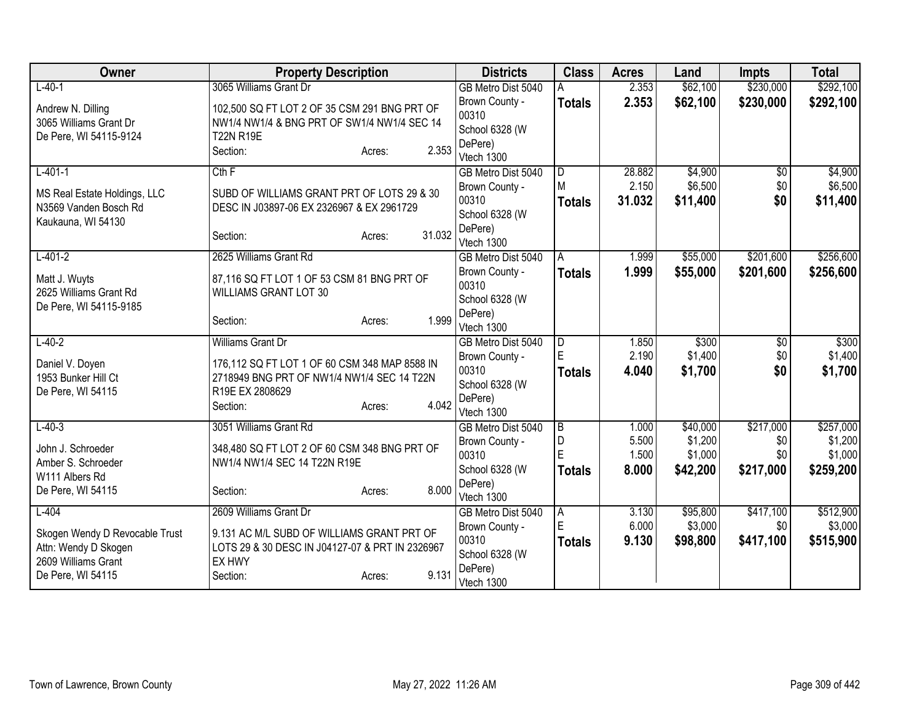| Owner                          | <b>Property Description</b>                     |        | <b>Districts</b>                 | <b>Class</b>   | <b>Acres</b>   | Land                | <b>Impts</b>     | <b>Total</b>         |
|--------------------------------|-------------------------------------------------|--------|----------------------------------|----------------|----------------|---------------------|------------------|----------------------|
| $L - 40 - 1$                   | 3065 Williams Grant Dr                          |        | GB Metro Dist 5040               |                | 2.353          | \$62,100            | \$230,000        | \$292,100            |
| Andrew N. Dilling              | 102,500 SQ FT LOT 2 OF 35 CSM 291 BNG PRT OF    |        | Brown County -                   | <b>Totals</b>  | 2.353          | \$62,100            | \$230,000        | \$292,100            |
| 3065 Williams Grant Dr         | NW1/4 NW1/4 & BNG PRT OF SW1/4 NW1/4 SEC 14     |        | 00310                            |                |                |                     |                  |                      |
| De Pere, WI 54115-9124         | <b>T22N R19E</b>                                |        | School 6328 (W                   |                |                |                     |                  |                      |
|                                | Section:<br>Acres:                              | 2.353  | DePere)                          |                |                |                     |                  |                      |
| $L - 401 - 1$                  | Cth F                                           |        | Vtech 1300<br>GB Metro Dist 5040 | $\overline{D}$ | 28.882         | \$4,900             | $\overline{50}$  | \$4,900              |
|                                |                                                 |        | Brown County -                   | M              | 2.150          | \$6,500             | \$0              | \$6,500              |
| MS Real Estate Holdings, LLC   | SUBD OF WILLIAMS GRANT PRT OF LOTS 29 & 30      |        | 00310                            | <b>Totals</b>  | 31.032         | \$11,400            | \$0              | \$11,400             |
| N3569 Vanden Bosch Rd          | DESC IN J03897-06 EX 2326967 & EX 2961729       |        | School 6328 (W                   |                |                |                     |                  |                      |
| Kaukauna, WI 54130             |                                                 |        | DePere)                          |                |                |                     |                  |                      |
|                                | Section:<br>Acres:                              | 31.032 | Vtech 1300                       |                |                |                     |                  |                      |
| $L - 401 - 2$                  | 2625 Williams Grant Rd                          |        | GB Metro Dist 5040               | A              | 1.999          | \$55,000            | \$201,600        | \$256,600            |
| Matt J. Wuyts                  | 87,116 SQ FT LOT 1 OF 53 CSM 81 BNG PRT OF      |        | Brown County -                   | <b>Totals</b>  | 1.999          | \$55,000            | \$201,600        | \$256,600            |
| 2625 Williams Grant Rd         | <b>WILLIAMS GRANT LOT 30</b>                    |        | 00310                            |                |                |                     |                  |                      |
| De Pere, WI 54115-9185         |                                                 |        | School 6328 (W                   |                |                |                     |                  |                      |
|                                | Section:<br>Acres:                              | 1.999  | DePere)                          |                |                |                     |                  |                      |
|                                |                                                 |        | Vtech 1300                       |                |                |                     |                  |                      |
| $L - 40 - 2$                   | Williams Grant Dr                               |        | GB Metro Dist 5040               | D<br>Ė         | 1.850<br>2.190 | \$300<br>\$1,400    | \$0<br>\$0       | \$300<br>\$1,400     |
| Daniel V. Doyen                | 176,112 SQ FT LOT 1 OF 60 CSM 348 MAP 8588 IN   |        | Brown County -<br>00310          |                | 4.040          | \$1,700             | \$0              | \$1,700              |
| 1953 Bunker Hill Ct            | 2718949 BNG PRT OF NW1/4 NW1/4 SEC 14 T22N      |        | School 6328 (W                   | <b>Totals</b>  |                |                     |                  |                      |
| De Pere, WI 54115              | R19E EX 2808629                                 |        | DePere)                          |                |                |                     |                  |                      |
|                                | Section:<br>Acres:                              | 4.042  | Vtech 1300                       |                |                |                     |                  |                      |
| $L - 40 - 3$                   | 3051 Williams Grant Rd                          |        | GB Metro Dist 5040               | $\overline{B}$ | 1.000          | \$40,000            | \$217,000        | \$257,000            |
| John J. Schroeder              | 348,480 SQ FT LOT 2 OF 60 CSM 348 BNG PRT OF    |        | Brown County -                   | D              | 5.500          | \$1,200             | \$0              | \$1,200              |
| Amber S. Schroeder             | NW1/4 NW1/4 SEC 14 T22N R19E                    |        | 00310                            | E              | 1.500          | \$1,000             | \$0              | \$1,000              |
| W111 Albers Rd                 |                                                 |        | School 6328 (W                   | <b>Totals</b>  | 8.000          | \$42,200            | \$217,000        | \$259,200            |
| De Pere, WI 54115              | Section:<br>Acres:                              | 8.000  | DePere)                          |                |                |                     |                  |                      |
|                                |                                                 |        | Vtech 1300                       |                |                |                     |                  |                      |
| $L-404$                        | 2609 Williams Grant Dr                          |        | GB Metro Dist 5040               | A<br>E         | 3.130<br>6.000 | \$95,800<br>\$3,000 | \$417,100<br>\$0 | \$512,900<br>\$3,000 |
| Skogen Wendy D Revocable Trust | 9.131 AC M/L SUBD OF WILLIAMS GRANT PRT OF      |        | Brown County -<br>00310          |                | 9.130          | \$98,800            | \$417,100        | \$515,900            |
| Attn: Wendy D Skogen           | LOTS 29 & 30 DESC IN J04127-07 & PRT IN 2326967 |        | School 6328 (W                   | <b>Totals</b>  |                |                     |                  |                      |
| 2609 Williams Grant            | EX HWY                                          |        | DePere)                          |                |                |                     |                  |                      |
| De Pere, WI 54115              | Section:<br>Acres:                              | 9.131  | Vtech 1300                       |                |                |                     |                  |                      |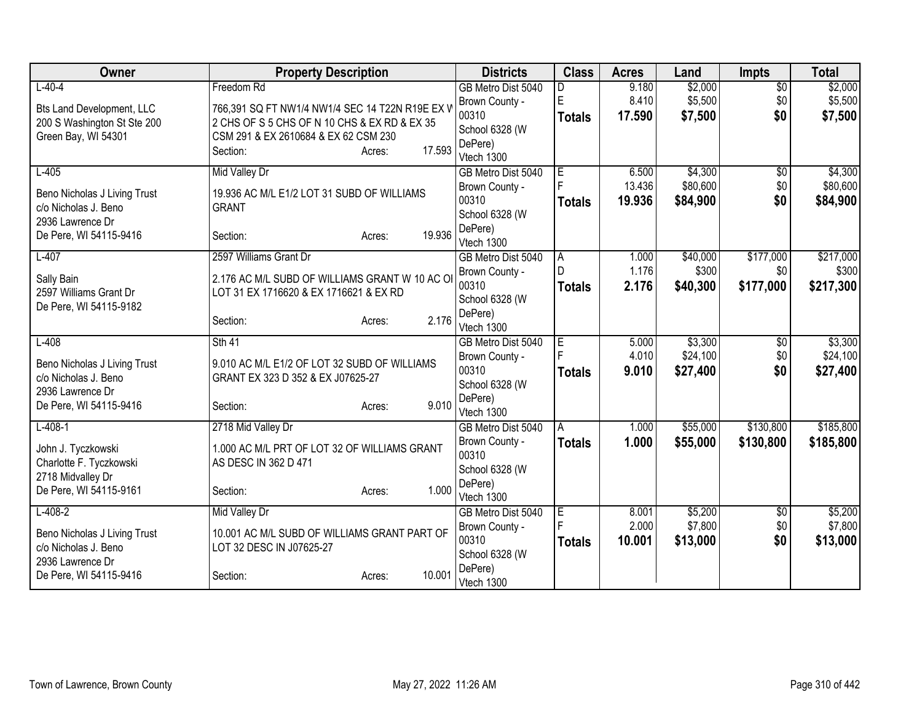| Owner                            | <b>Property Description</b>                     |                  | <b>Districts</b>          | <b>Class</b>   | <b>Acres</b>   | Land               | <b>Impts</b>        | <b>Total</b>       |
|----------------------------------|-------------------------------------------------|------------------|---------------------------|----------------|----------------|--------------------|---------------------|--------------------|
| $L-40-4$                         | Freedom Rd                                      |                  | GB Metro Dist 5040        | D              | 9.180          | \$2,000            | $\overline{50}$     | \$2,000            |
| <b>Bts Land Development, LLC</b> | 766,391 SQ FT NW1/4 NW1/4 SEC 14 T22N R19E EX V |                  | Brown County -            | E              | 8.410          | \$5,500            | \$0                 | \$5,500            |
| 200 S Washington St Ste 200      | 2 CHS OF S 5 CHS OF N 10 CHS & EX RD & EX 35    |                  | 00310                     | <b>Totals</b>  | 17.590         | \$7,500            | \$0                 | \$7,500            |
| Green Bay, WI 54301              | CSM 291 & EX 2610684 & EX 62 CSM 230            |                  | School 6328 (W            |                |                |                    |                     |                    |
|                                  | Section:                                        | 17.593<br>Acres: | DePere)                   |                |                |                    |                     |                    |
|                                  |                                                 |                  | Vtech 1300                |                |                |                    |                     |                    |
| $L-405$                          | <b>Mid Valley Dr</b>                            |                  | GB Metro Dist 5040        | Ε<br>F         | 6.500          | \$4,300            | \$0                 | \$4,300            |
| Beno Nicholas J Living Trust     | 19.936 AC M/L E1/2 LOT 31 SUBD OF WILLIAMS      |                  | Brown County -            |                | 13.436         | \$80,600           | \$0                 | \$80,600           |
| c/o Nicholas J. Beno             | <b>GRANT</b>                                    |                  | 00310                     | <b>Totals</b>  | 19.936         | \$84,900           | \$0                 | \$84,900           |
| 2936 Lawrence Dr                 |                                                 |                  | School 6328 (W<br>DePere) |                |                |                    |                     |                    |
| De Pere, WI 54115-9416           | Section:                                        | 19.936<br>Acres: | Vtech 1300                |                |                |                    |                     |                    |
| $L-407$                          | 2597 Williams Grant Dr                          |                  | GB Metro Dist 5040        | ΙA             | 1.000          | \$40,000           | \$177,000           | \$217,000          |
|                                  |                                                 |                  | Brown County -            | $\mathsf{D}$   | 1.176          | \$300              | \$0                 | \$300              |
| Sally Bain                       | 2.176 AC M/L SUBD OF WILLIAMS GRANT W 10 AC OI  |                  | 00310                     | <b>Totals</b>  | 2.176          | \$40,300           | \$177,000           | \$217,300          |
| 2597 Williams Grant Dr           | LOT 31 EX 1716620 & EX 1716621 & EX RD          |                  | School 6328 (W            |                |                |                    |                     |                    |
| De Pere, WI 54115-9182           |                                                 |                  | DePere)                   |                |                |                    |                     |                    |
|                                  | Section:                                        | 2.176<br>Acres:  | Vtech 1300                |                |                |                    |                     |                    |
| $L-408$                          | Sth 41                                          |                  | GB Metro Dist 5040        | E              | 5.000          | \$3,300            | $\overline{50}$     | \$3,300            |
| Beno Nicholas J Living Trust     | 9.010 AC M/L E1/2 OF LOT 32 SUBD OF WILLIAMS    |                  | Brown County -            |                | 4.010          | \$24,100           | \$0                 | \$24,100           |
| c/o Nicholas J. Beno             | GRANT EX 323 D 352 & EX J07625-27               |                  | 00310                     | Totals         | 9.010          | \$27,400           | \$0                 | \$27,400           |
| 2936 Lawrence Dr                 |                                                 |                  | School 6328 (W            |                |                |                    |                     |                    |
| De Pere, WI 54115-9416           | Section:                                        | 9.010<br>Acres:  | DePere)                   |                |                |                    |                     |                    |
|                                  |                                                 |                  | Vtech 1300                |                |                |                    |                     |                    |
| $L-408-1$                        | 2718 Mid Valley Dr                              |                  | GB Metro Dist 5040        | $\overline{A}$ | 1.000          | \$55,000           | \$130,800           | \$185,800          |
| John J. Tyczkowski               | 1.000 AC M/L PRT OF LOT 32 OF WILLIAMS GRANT    |                  | Brown County -            | <b>Totals</b>  | 1.000          | \$55,000           | \$130,800           | \$185,800          |
| Charlotte F. Tyczkowski          | AS DESC IN 362 D 471                            |                  | 00310                     |                |                |                    |                     |                    |
| 2718 Midvalley Dr                |                                                 |                  | School 6328 (W            |                |                |                    |                     |                    |
| De Pere, WI 54115-9161           | Section:                                        | 1.000<br>Acres:  | DePere)                   |                |                |                    |                     |                    |
|                                  |                                                 |                  | Vtech 1300                |                |                |                    |                     |                    |
| $L-408-2$                        | Mid Valley Dr                                   |                  | GB Metro Dist 5040        | ΙE             | 8.001<br>2.000 | \$5,200<br>\$7,800 | $\sqrt[6]{}$<br>\$0 | \$5,200<br>\$7,800 |
| Beno Nicholas J Living Trust     | 10.001 AC M/L SUBD OF WILLIAMS GRANT PART OF    |                  | Brown County -<br>00310   |                |                |                    |                     |                    |
| c/o Nicholas J. Beno             | LOT 32 DESC IN J07625-27                        |                  | School 6328 (W            | <b>Totals</b>  | 10.001         | \$13,000           | \$0                 | \$13,000           |
| 2936 Lawrence Dr                 |                                                 |                  | DePere)                   |                |                |                    |                     |                    |
| De Pere, WI 54115-9416           | Section:                                        | 10.001<br>Acres: | Vtech 1300                |                |                |                    |                     |                    |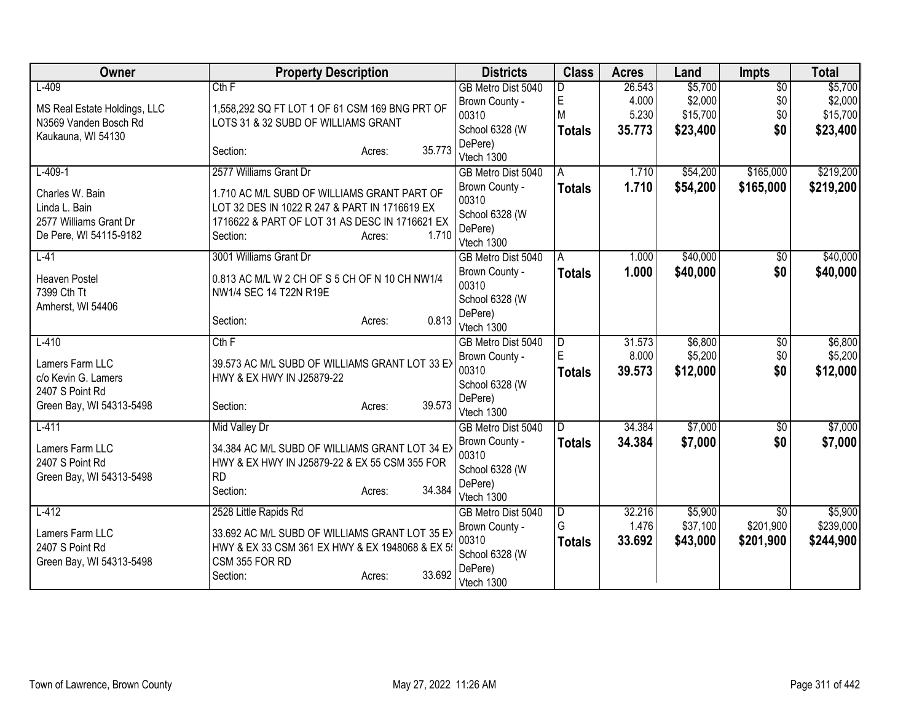| Owner                              | <b>Property Description</b>                                                                     | <b>Districts</b>                     | <b>Class</b>  | <b>Acres</b>    | Land                | <b>Impts</b>     | <b>Total</b>         |
|------------------------------------|-------------------------------------------------------------------------------------------------|--------------------------------------|---------------|-----------------|---------------------|------------------|----------------------|
| $L-409$                            | Cth F                                                                                           | GB Metro Dist 5040                   | D             | 26.543          | \$5,700             | $\overline{50}$  | \$5,700              |
| MS Real Estate Holdings, LLC       | 1,558,292 SQ FT LOT 1 OF 61 CSM 169 BNG PRT OF                                                  | Brown County -                       | $\mathsf E$   | 4.000           | \$2,000             | \$0              | \$2,000              |
| N3569 Vanden Bosch Rd              | LOTS 31 & 32 SUBD OF WILLIAMS GRANT                                                             | 00310                                | M             | 5.230           | \$15,700            | \$0              | \$15,700             |
| Kaukauna, WI 54130                 |                                                                                                 | School 6328 (W<br>DePere)            | <b>Totals</b> | 35.773          | \$23,400            | \$0              | \$23,400             |
|                                    | 35.773<br>Section:<br>Acres:                                                                    | Vtech 1300                           |               |                 |                     |                  |                      |
| $L-409-1$                          | 2577 Williams Grant Dr                                                                          | GB Metro Dist 5040                   | A             | 1.710           | \$54,200            | \$165,000        | \$219,200            |
| Charles W. Bain                    | 1.710 AC M/L SUBD OF WILLIAMS GRANT PART OF                                                     | Brown County -                       | <b>Totals</b> | 1.710           | \$54,200            | \$165,000        | \$219,200            |
| Linda L. Bain                      | LOT 32 DES IN 1022 R 247 & PART IN 1716619 EX                                                   | 00310                                |               |                 |                     |                  |                      |
| 2577 Williams Grant Dr             | 1716622 & PART OF LOT 31 AS DESC IN 1716621 EX                                                  | School 6328 (W                       |               |                 |                     |                  |                      |
| De Pere, WI 54115-9182             | Section:<br>1.710<br>Acres:                                                                     | DePere)                              |               |                 |                     |                  |                      |
| $L-41$                             | 3001 Williams Grant Dr                                                                          | Vtech 1300<br>GB Metro Dist 5040     | A             | 1.000           | \$40,000            | \$0              | \$40,000             |
|                                    |                                                                                                 | Brown County -                       | <b>Totals</b> | 1.000           | \$40,000            | \$0              | \$40,000             |
| Heaven Postel                      | 0.813 AC M/L W 2 CH OF S 5 CH OF N 10 CH NW1/4                                                  | 00310                                |               |                 |                     |                  |                      |
| 7399 Cth Tt                        | NW1/4 SEC 14 T22N R19E                                                                          | School 6328 (W                       |               |                 |                     |                  |                      |
| Amherst, WI 54406                  | 0.813                                                                                           | DePere)                              |               |                 |                     |                  |                      |
|                                    | Section:<br>Acres:                                                                              | Vtech 1300                           |               |                 |                     |                  |                      |
| $L-410$                            | Cth F                                                                                           | GB Metro Dist 5040                   | D             | 31.573          | \$6,800             | \$0              | \$6,800              |
| Lamers Farm LLC                    | 39.573 AC M/L SUBD OF WILLIAMS GRANT LOT 33 EX                                                  | Brown County -                       | E             | 8.000           | \$5,200             | \$0              | \$5,200              |
| c/o Kevin G. Lamers                | HWY & EX HWY IN J25879-22                                                                       | 00310                                | <b>Totals</b> | 39.573          | \$12,000            | \$0              | \$12,000             |
| 2407 S Point Rd                    |                                                                                                 | School 6328 (W<br>DePere)            |               |                 |                     |                  |                      |
| Green Bay, WI 54313-5498           | 39.573<br>Section:<br>Acres:                                                                    | Vtech 1300                           |               |                 |                     |                  |                      |
| $L-411$                            | <b>Mid Valley Dr</b>                                                                            | GB Metro Dist 5040                   | D             | 34.384          | \$7,000             | $\sqrt{$0}$      | \$7,000              |
|                                    |                                                                                                 | Brown County -                       | <b>Totals</b> | 34.384          | \$7,000             | \$0              | \$7,000              |
| Lamers Farm LLC<br>2407 S Point Rd | 34.384 AC M/L SUBD OF WILLIAMS GRANT LOT 34 EX<br>HWY & EX HWY IN J25879-22 & EX 55 CSM 355 FOR | 00310                                |               |                 |                     |                  |                      |
| Green Bay, WI 54313-5498           | <b>RD</b>                                                                                       | School 6328 (W                       |               |                 |                     |                  |                      |
|                                    | 34.384<br>Section:<br>Acres:                                                                    | DePere)                              |               |                 |                     |                  |                      |
|                                    |                                                                                                 | Vtech 1300                           |               |                 |                     |                  |                      |
| $L-412$                            | 2528 Little Rapids Rd                                                                           | GB Metro Dist 5040<br>Brown County - | D<br>G        | 32.216<br>1.476 | \$5,900<br>\$37,100 | \$0<br>\$201,900 | \$5,900<br>\$239,000 |
| Lamers Farm LLC                    | 33.692 AC M/L SUBD OF WILLIAMS GRANT LOT 35 EX                                                  | 00310                                |               | 33.692          | \$43,000            | \$201,900        | \$244,900            |
| 2407 S Point Rd                    | HWY & EX 33 CSM 361 EX HWY & EX 1948068 & EX 5                                                  | School 6328 (W                       | <b>Totals</b> |                 |                     |                  |                      |
| Green Bay, WI 54313-5498           | CSM 355 FOR RD                                                                                  | DePere)                              |               |                 |                     |                  |                      |
|                                    | 33.692<br>Section:<br>Acres:                                                                    | Vtech 1300                           |               |                 |                     |                  |                      |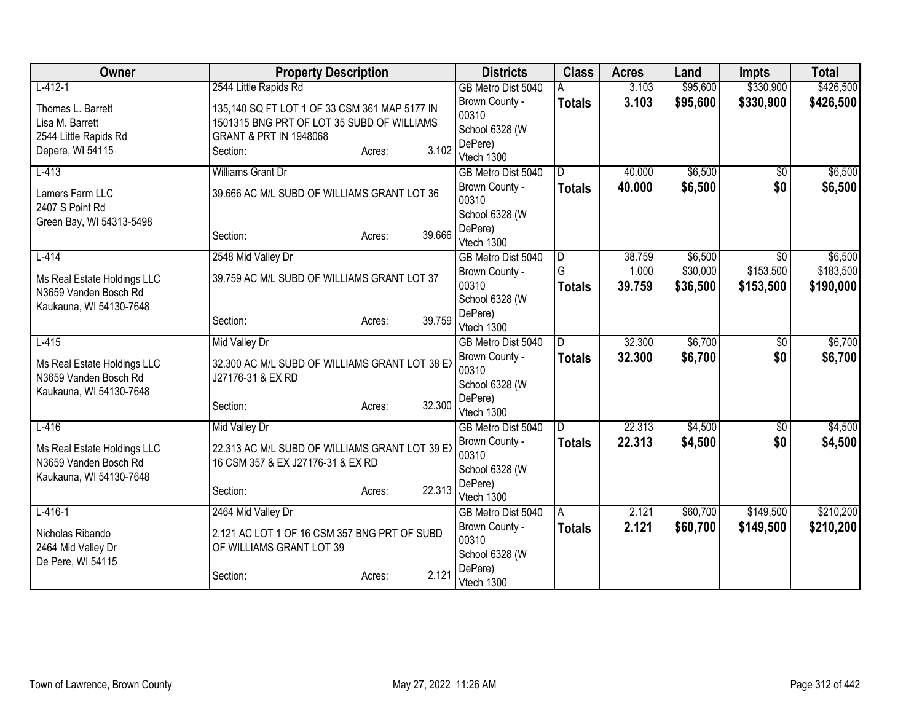| Owner                       | <b>Property Description</b>                    |        |        | <b>Districts</b>                 | <b>Class</b>  | <b>Acres</b> | Land     | <b>Impts</b>    | <b>Total</b> |
|-----------------------------|------------------------------------------------|--------|--------|----------------------------------|---------------|--------------|----------|-----------------|--------------|
| $L-412-1$                   | 2544 Little Rapids Rd                          |        |        | GB Metro Dist 5040               |               | 3.103        | \$95,600 | \$330,900       | \$426,500    |
| Thomas L. Barrett           | 135,140 SQ FT LOT 1 OF 33 CSM 361 MAP 5177 IN  |        |        | Brown County -                   | <b>Totals</b> | 3.103        | \$95,600 | \$330,900       | \$426,500    |
| Lisa M. Barrett             | 1501315 BNG PRT OF LOT 35 SUBD OF WILLIAMS     |        |        | 00310                            |               |              |          |                 |              |
| 2544 Little Rapids Rd       | <b>GRANT &amp; PRT IN 1948068</b>              |        |        | School 6328 (W                   |               |              |          |                 |              |
| Depere, WI 54115            | Section:                                       | Acres: | 3.102  | DePere)                          |               |              |          |                 |              |
| $L-413$                     | Williams Grant Dr                              |        |        | Vtech 1300<br>GB Metro Dist 5040 | D.            | 40.000       | \$6,500  | \$0             | \$6,500      |
|                             |                                                |        |        | Brown County -                   | <b>Totals</b> | 40.000       | \$6,500  | \$0             | \$6,500      |
| Lamers Farm LLC             | 39.666 AC M/L SUBD OF WILLIAMS GRANT LOT 36    |        |        | 00310                            |               |              |          |                 |              |
| 2407 S Point Rd             |                                                |        |        | School 6328 (W                   |               |              |          |                 |              |
| Green Bay, WI 54313-5498    |                                                |        |        | DePere)                          |               |              |          |                 |              |
|                             | Section:                                       | Acres: | 39.666 | Vtech 1300                       |               |              |          |                 |              |
| $L-414$                     | 2548 Mid Valley Dr                             |        |        | GB Metro Dist 5040               | l D           | 38.759       | \$6,500  | \$0             | \$6,500      |
| Ms Real Estate Holdings LLC | 39.759 AC M/L SUBD OF WILLIAMS GRANT LOT 37    |        |        | Brown County -                   | G             | 1.000        | \$30,000 | \$153,500       | \$183,500    |
| N3659 Vanden Bosch Rd       |                                                |        |        | 00310                            | <b>Totals</b> | 39.759       | \$36,500 | \$153,500       | \$190,000    |
| Kaukauna, WI 54130-7648     |                                                |        |        | School 6328 (W                   |               |              |          |                 |              |
|                             | Section:                                       | Acres: | 39.759 | DePere)                          |               |              |          |                 |              |
|                             |                                                |        |        | Vtech 1300                       |               |              |          |                 |              |
| $L-415$                     | Mid Valley Dr                                  |        |        | GB Metro Dist 5040               | D             | 32.300       | \$6,700  | $\overline{50}$ | \$6,700      |
| Ms Real Estate Holdings LLC | 32.300 AC M/L SUBD OF WILLIAMS GRANT LOT 38 EX |        |        | Brown County -<br>00310          | <b>Totals</b> | 32.300       | \$6,700  | \$0             | \$6,700      |
| N3659 Vanden Bosch Rd       | J27176-31 & EX RD                              |        |        | School 6328 (W                   |               |              |          |                 |              |
| Kaukauna, WI 54130-7648     |                                                |        |        | DePere)                          |               |              |          |                 |              |
|                             | Section:                                       | Acres: | 32.300 | Vtech 1300                       |               |              |          |                 |              |
| $L-416$                     | Mid Valley Dr                                  |        |        | GB Metro Dist 5040               | ID.           | 22.313       | \$4,500  | $\sqrt{6}$      | \$4,500      |
| Ms Real Estate Holdings LLC | 22.313 AC M/L SUBD OF WILLIAMS GRANT LOT 39 EX |        |        | Brown County -                   | <b>Totals</b> | 22.313       | \$4,500  | \$0             | \$4,500      |
| N3659 Vanden Bosch Rd       | 16 CSM 357 & EX J27176-31 & EX RD              |        |        | 00310                            |               |              |          |                 |              |
| Kaukauna, WI 54130-7648     |                                                |        |        | School 6328 (W                   |               |              |          |                 |              |
|                             | Section:                                       | Acres: | 22.313 | DePere)                          |               |              |          |                 |              |
|                             |                                                |        |        | Vtech 1300                       |               |              |          |                 |              |
| $L-416-1$                   | 2464 Mid Valley Dr                             |        |        | GB Metro Dist 5040               | A             | 2.121        | \$60,700 | \$149,500       | \$210,200    |
| Nicholas Ribando            | 2.121 AC LOT 1 OF 16 CSM 357 BNG PRT OF SUBD   |        |        | Brown County -<br>00310          | <b>Totals</b> | 2.121        | \$60,700 | \$149,500       | \$210,200    |
| 2464 Mid Valley Dr          | OF WILLIAMS GRANT LOT 39                       |        |        | School 6328 (W                   |               |              |          |                 |              |
| De Pere, WI 54115           |                                                |        |        | DePere)                          |               |              |          |                 |              |
|                             | Section:                                       | Acres: | 2.121  | Vtech 1300                       |               |              |          |                 |              |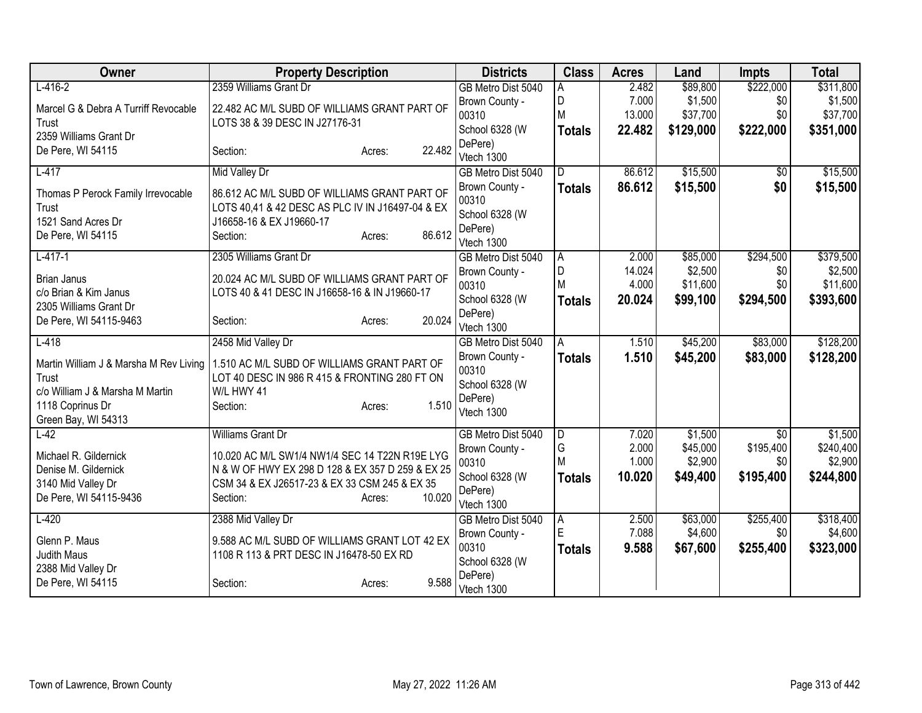| \$222,000<br>$L-416-2$<br>2359 Williams Grant Dr<br>\$89,800<br>\$311,800<br>GB Metro Dist 5040<br>2.482<br>A<br>D<br>7.000<br>\$1,500<br>\$0<br>\$1,500<br>Brown County -<br>Marcel G & Debra A Turriff Revocable<br>22.482 AC M/L SUBD OF WILLIAMS GRANT PART OF<br>M<br>\$0<br>13.000<br>\$37,700<br>\$37,700<br>00310<br>LOTS 38 & 39 DESC IN J27176-31<br>Trust<br>School 6328 (W<br>\$222,000<br><b>Totals</b><br>22.482<br>\$129,000<br>2359 Williams Grant Dr<br>DePere)<br>22.482<br>De Pere, WI 54115<br>Section:<br>Acres:<br>Vtech 1300<br>\$15,500<br>$L-417$<br><b>Mid Valley Dr</b><br>86.612<br>GB Metro Dist 5040<br>ID.<br>\$0<br>86.612<br>\$0<br>\$15,500<br>Brown County -<br><b>Totals</b><br>86.612 AC M/L SUBD OF WILLIAMS GRANT PART OF<br>Thomas P Perock Family Irrevocable<br>00310<br>LOTS 40,41 & 42 DESC AS PLC IV IN J16497-04 & EX<br>Trust<br>School 6328 (W<br>1521 Sand Acres Dr<br>J16658-16 & EX J19660-17<br>DePere)<br>86.612<br>De Pere, WI 54115<br>Section:<br>Acres:<br>Vtech 1300<br>\$294,500<br>$L-417-1$<br>2305 Williams Grant Dr<br>2.000<br>\$85,000<br>GB Metro Dist 5040<br>A<br>D<br>\$2,500<br>14.024<br>Brown County -<br>\$0<br>20.024 AC M/L SUBD OF WILLIAMS GRANT PART OF<br><b>Brian Janus</b><br>M<br>4.000<br>\$11,600<br>\$0<br>00310<br>c/o Brian & Kim Janus<br>LOTS 40 & 41 DESC IN J16658-16 & IN J19660-17<br>School 6328 (W<br>20.024<br>\$393,600<br>\$99,100<br>\$294,500<br><b>Totals</b><br>2305 Williams Grant Dr<br>DePere)<br>20.024<br>De Pere, WI 54115-9463<br>Section:<br>Acres:<br>Vtech 1300<br>$L-418$<br>\$45,200<br>\$83,000<br>2458 Mid Valley Dr<br>1.510<br>GB Metro Dist 5040<br>A<br>1.510<br>\$45,200<br>\$83,000<br>Brown County -<br><b>Totals</b><br>Martin William J & Marsha M Rev Living<br>1.510 AC M/L SUBD OF WILLIAMS GRANT PART OF<br>00310<br>LOT 40 DESC IN 986 R 415 & FRONTING 280 FT ON<br>Trust<br>School 6328 (W<br>c/o William J & Marsha M Martin<br>W/L HWY 41<br>DePere)<br>1118 Coprinus Dr<br>1.510<br>Section:<br>Acres:<br>Vtech 1300<br>Green Bay, WI 54313<br><b>Williams Grant Dr</b><br>$\overline{D}$<br>7.020<br>\$1,500<br>$L-42$<br>GB Metro Dist 5040<br>$\overline{50}$<br>G<br>\$195,400<br>2.000<br>\$45,000<br>Brown County -<br>Michael R. Gildernick<br>10.020 AC M/L SW1/4 NW1/4 SEC 14 T22N R19E LYG<br>M<br>1.000<br>\$2,900<br>\$0<br>00310<br>Denise M. Gildernick<br>N & W OF HWY EX 298 D 128 & EX 357 D 259 & EX 25<br>School 6328 (W<br>10.020<br>\$195,400<br>\$49,400<br>Totals<br>3140 Mid Valley Dr<br>CSM 34 & EX J26517-23 & EX 33 CSM 245 & EX 35<br>DePere)<br>De Pere, WI 54115-9436<br>10.020<br>Section:<br>Acres:<br>Vtech 1300<br>\$63,000<br>\$255,400<br>$L-420$<br>2388 Mid Valley Dr<br>2.500<br>GB Metro Dist 5040<br>A<br>$\mathsf E$<br>7.088<br>\$4,600<br>\$0 <br>Brown County -<br>Glenn P. Maus<br>9.588 AC M/L SUBD OF WILLIAMS GRANT LOT 42 EX<br>00310<br>\$67,600<br>\$255,400<br>9.588<br><b>Totals</b><br>Judith Maus<br>1108 R 113 & PRT DESC IN J16478-50 EX RD<br>School 6328 (W<br>2388 Mid Valley Dr<br>DePere) | Owner             | <b>Property Description</b> | <b>Districts</b> | <b>Class</b> | <b>Acres</b> | Land | Impts | <b>Total</b> |
|--------------------------------------------------------------------------------------------------------------------------------------------------------------------------------------------------------------------------------------------------------------------------------------------------------------------------------------------------------------------------------------------------------------------------------------------------------------------------------------------------------------------------------------------------------------------------------------------------------------------------------------------------------------------------------------------------------------------------------------------------------------------------------------------------------------------------------------------------------------------------------------------------------------------------------------------------------------------------------------------------------------------------------------------------------------------------------------------------------------------------------------------------------------------------------------------------------------------------------------------------------------------------------------------------------------------------------------------------------------------------------------------------------------------------------------------------------------------------------------------------------------------------------------------------------------------------------------------------------------------------------------------------------------------------------------------------------------------------------------------------------------------------------------------------------------------------------------------------------------------------------------------------------------------------------------------------------------------------------------------------------------------------------------------------------------------------------------------------------------------------------------------------------------------------------------------------------------------------------------------------------------------------------------------------------------------------------------------------------------------------------------------------------------------------------------------------------------------------------------------------------------------------------------------------------------------------------------------------------------------------------------------------------------------------------------------------------------------------------------------------------------------------------------------------------------------------------------------------------------------------------------------------------------------------------------------------------------------------------------------------------------------------------------------------------------------------------------------------|-------------------|-----------------------------|------------------|--------------|--------------|------|-------|--------------|
|                                                                                                                                                                                                                                                                                                                                                                                                                                                                                                                                                                                                                                                                                                                                                                                                                                                                                                                                                                                                                                                                                                                                                                                                                                                                                                                                                                                                                                                                                                                                                                                                                                                                                                                                                                                                                                                                                                                                                                                                                                                                                                                                                                                                                                                                                                                                                                                                                                                                                                                                                                                                                                                                                                                                                                                                                                                                                                                                                                                                                                                                                                  |                   |                             |                  |              |              |      |       |              |
| \$351,000<br>\$15,500<br>\$15,500<br>\$379,500<br>\$2,500<br>\$11,600<br>\$128,200<br>\$128,200<br>\$1,500<br>\$244,800<br>\$323,000                                                                                                                                                                                                                                                                                                                                                                                                                                                                                                                                                                                                                                                                                                                                                                                                                                                                                                                                                                                                                                                                                                                                                                                                                                                                                                                                                                                                                                                                                                                                                                                                                                                                                                                                                                                                                                                                                                                                                                                                                                                                                                                                                                                                                                                                                                                                                                                                                                                                                                                                                                                                                                                                                                                                                                                                                                                                                                                                                             |                   |                             |                  |              |              |      |       |              |
|                                                                                                                                                                                                                                                                                                                                                                                                                                                                                                                                                                                                                                                                                                                                                                                                                                                                                                                                                                                                                                                                                                                                                                                                                                                                                                                                                                                                                                                                                                                                                                                                                                                                                                                                                                                                                                                                                                                                                                                                                                                                                                                                                                                                                                                                                                                                                                                                                                                                                                                                                                                                                                                                                                                                                                                                                                                                                                                                                                                                                                                                                                  |                   |                             |                  |              |              |      |       |              |
|                                                                                                                                                                                                                                                                                                                                                                                                                                                                                                                                                                                                                                                                                                                                                                                                                                                                                                                                                                                                                                                                                                                                                                                                                                                                                                                                                                                                                                                                                                                                                                                                                                                                                                                                                                                                                                                                                                                                                                                                                                                                                                                                                                                                                                                                                                                                                                                                                                                                                                                                                                                                                                                                                                                                                                                                                                                                                                                                                                                                                                                                                                  |                   |                             |                  |              |              |      |       |              |
|                                                                                                                                                                                                                                                                                                                                                                                                                                                                                                                                                                                                                                                                                                                                                                                                                                                                                                                                                                                                                                                                                                                                                                                                                                                                                                                                                                                                                                                                                                                                                                                                                                                                                                                                                                                                                                                                                                                                                                                                                                                                                                                                                                                                                                                                                                                                                                                                                                                                                                                                                                                                                                                                                                                                                                                                                                                                                                                                                                                                                                                                                                  |                   |                             |                  |              |              |      |       |              |
|                                                                                                                                                                                                                                                                                                                                                                                                                                                                                                                                                                                                                                                                                                                                                                                                                                                                                                                                                                                                                                                                                                                                                                                                                                                                                                                                                                                                                                                                                                                                                                                                                                                                                                                                                                                                                                                                                                                                                                                                                                                                                                                                                                                                                                                                                                                                                                                                                                                                                                                                                                                                                                                                                                                                                                                                                                                                                                                                                                                                                                                                                                  |                   |                             |                  |              |              |      |       |              |
|                                                                                                                                                                                                                                                                                                                                                                                                                                                                                                                                                                                                                                                                                                                                                                                                                                                                                                                                                                                                                                                                                                                                                                                                                                                                                                                                                                                                                                                                                                                                                                                                                                                                                                                                                                                                                                                                                                                                                                                                                                                                                                                                                                                                                                                                                                                                                                                                                                                                                                                                                                                                                                                                                                                                                                                                                                                                                                                                                                                                                                                                                                  |                   |                             |                  |              |              |      |       |              |
|                                                                                                                                                                                                                                                                                                                                                                                                                                                                                                                                                                                                                                                                                                                                                                                                                                                                                                                                                                                                                                                                                                                                                                                                                                                                                                                                                                                                                                                                                                                                                                                                                                                                                                                                                                                                                                                                                                                                                                                                                                                                                                                                                                                                                                                                                                                                                                                                                                                                                                                                                                                                                                                                                                                                                                                                                                                                                                                                                                                                                                                                                                  |                   |                             |                  |              |              |      |       |              |
|                                                                                                                                                                                                                                                                                                                                                                                                                                                                                                                                                                                                                                                                                                                                                                                                                                                                                                                                                                                                                                                                                                                                                                                                                                                                                                                                                                                                                                                                                                                                                                                                                                                                                                                                                                                                                                                                                                                                                                                                                                                                                                                                                                                                                                                                                                                                                                                                                                                                                                                                                                                                                                                                                                                                                                                                                                                                                                                                                                                                                                                                                                  |                   |                             |                  |              |              |      |       |              |
|                                                                                                                                                                                                                                                                                                                                                                                                                                                                                                                                                                                                                                                                                                                                                                                                                                                                                                                                                                                                                                                                                                                                                                                                                                                                                                                                                                                                                                                                                                                                                                                                                                                                                                                                                                                                                                                                                                                                                                                                                                                                                                                                                                                                                                                                                                                                                                                                                                                                                                                                                                                                                                                                                                                                                                                                                                                                                                                                                                                                                                                                                                  |                   |                             |                  |              |              |      |       |              |
|                                                                                                                                                                                                                                                                                                                                                                                                                                                                                                                                                                                                                                                                                                                                                                                                                                                                                                                                                                                                                                                                                                                                                                                                                                                                                                                                                                                                                                                                                                                                                                                                                                                                                                                                                                                                                                                                                                                                                                                                                                                                                                                                                                                                                                                                                                                                                                                                                                                                                                                                                                                                                                                                                                                                                                                                                                                                                                                                                                                                                                                                                                  |                   |                             |                  |              |              |      |       |              |
|                                                                                                                                                                                                                                                                                                                                                                                                                                                                                                                                                                                                                                                                                                                                                                                                                                                                                                                                                                                                                                                                                                                                                                                                                                                                                                                                                                                                                                                                                                                                                                                                                                                                                                                                                                                                                                                                                                                                                                                                                                                                                                                                                                                                                                                                                                                                                                                                                                                                                                                                                                                                                                                                                                                                                                                                                                                                                                                                                                                                                                                                                                  |                   |                             |                  |              |              |      |       |              |
|                                                                                                                                                                                                                                                                                                                                                                                                                                                                                                                                                                                                                                                                                                                                                                                                                                                                                                                                                                                                                                                                                                                                                                                                                                                                                                                                                                                                                                                                                                                                                                                                                                                                                                                                                                                                                                                                                                                                                                                                                                                                                                                                                                                                                                                                                                                                                                                                                                                                                                                                                                                                                                                                                                                                                                                                                                                                                                                                                                                                                                                                                                  |                   |                             |                  |              |              |      |       |              |
|                                                                                                                                                                                                                                                                                                                                                                                                                                                                                                                                                                                                                                                                                                                                                                                                                                                                                                                                                                                                                                                                                                                                                                                                                                                                                                                                                                                                                                                                                                                                                                                                                                                                                                                                                                                                                                                                                                                                                                                                                                                                                                                                                                                                                                                                                                                                                                                                                                                                                                                                                                                                                                                                                                                                                                                                                                                                                                                                                                                                                                                                                                  |                   |                             |                  |              |              |      |       |              |
|                                                                                                                                                                                                                                                                                                                                                                                                                                                                                                                                                                                                                                                                                                                                                                                                                                                                                                                                                                                                                                                                                                                                                                                                                                                                                                                                                                                                                                                                                                                                                                                                                                                                                                                                                                                                                                                                                                                                                                                                                                                                                                                                                                                                                                                                                                                                                                                                                                                                                                                                                                                                                                                                                                                                                                                                                                                                                                                                                                                                                                                                                                  |                   |                             |                  |              |              |      |       |              |
|                                                                                                                                                                                                                                                                                                                                                                                                                                                                                                                                                                                                                                                                                                                                                                                                                                                                                                                                                                                                                                                                                                                                                                                                                                                                                                                                                                                                                                                                                                                                                                                                                                                                                                                                                                                                                                                                                                                                                                                                                                                                                                                                                                                                                                                                                                                                                                                                                                                                                                                                                                                                                                                                                                                                                                                                                                                                                                                                                                                                                                                                                                  |                   |                             |                  |              |              |      |       |              |
|                                                                                                                                                                                                                                                                                                                                                                                                                                                                                                                                                                                                                                                                                                                                                                                                                                                                                                                                                                                                                                                                                                                                                                                                                                                                                                                                                                                                                                                                                                                                                                                                                                                                                                                                                                                                                                                                                                                                                                                                                                                                                                                                                                                                                                                                                                                                                                                                                                                                                                                                                                                                                                                                                                                                                                                                                                                                                                                                                                                                                                                                                                  |                   |                             |                  |              |              |      |       |              |
|                                                                                                                                                                                                                                                                                                                                                                                                                                                                                                                                                                                                                                                                                                                                                                                                                                                                                                                                                                                                                                                                                                                                                                                                                                                                                                                                                                                                                                                                                                                                                                                                                                                                                                                                                                                                                                                                                                                                                                                                                                                                                                                                                                                                                                                                                                                                                                                                                                                                                                                                                                                                                                                                                                                                                                                                                                                                                                                                                                                                                                                                                                  |                   |                             |                  |              |              |      |       |              |
|                                                                                                                                                                                                                                                                                                                                                                                                                                                                                                                                                                                                                                                                                                                                                                                                                                                                                                                                                                                                                                                                                                                                                                                                                                                                                                                                                                                                                                                                                                                                                                                                                                                                                                                                                                                                                                                                                                                                                                                                                                                                                                                                                                                                                                                                                                                                                                                                                                                                                                                                                                                                                                                                                                                                                                                                                                                                                                                                                                                                                                                                                                  |                   |                             |                  |              |              |      |       |              |
|                                                                                                                                                                                                                                                                                                                                                                                                                                                                                                                                                                                                                                                                                                                                                                                                                                                                                                                                                                                                                                                                                                                                                                                                                                                                                                                                                                                                                                                                                                                                                                                                                                                                                                                                                                                                                                                                                                                                                                                                                                                                                                                                                                                                                                                                                                                                                                                                                                                                                                                                                                                                                                                                                                                                                                                                                                                                                                                                                                                                                                                                                                  |                   |                             |                  |              |              |      |       |              |
|                                                                                                                                                                                                                                                                                                                                                                                                                                                                                                                                                                                                                                                                                                                                                                                                                                                                                                                                                                                                                                                                                                                                                                                                                                                                                                                                                                                                                                                                                                                                                                                                                                                                                                                                                                                                                                                                                                                                                                                                                                                                                                                                                                                                                                                                                                                                                                                                                                                                                                                                                                                                                                                                                                                                                                                                                                                                                                                                                                                                                                                                                                  |                   |                             |                  |              |              |      |       |              |
|                                                                                                                                                                                                                                                                                                                                                                                                                                                                                                                                                                                                                                                                                                                                                                                                                                                                                                                                                                                                                                                                                                                                                                                                                                                                                                                                                                                                                                                                                                                                                                                                                                                                                                                                                                                                                                                                                                                                                                                                                                                                                                                                                                                                                                                                                                                                                                                                                                                                                                                                                                                                                                                                                                                                                                                                                                                                                                                                                                                                                                                                                                  |                   |                             |                  |              |              |      |       |              |
| \$240,400<br>\$2,900<br>\$318,400<br>\$4,600                                                                                                                                                                                                                                                                                                                                                                                                                                                                                                                                                                                                                                                                                                                                                                                                                                                                                                                                                                                                                                                                                                                                                                                                                                                                                                                                                                                                                                                                                                                                                                                                                                                                                                                                                                                                                                                                                                                                                                                                                                                                                                                                                                                                                                                                                                                                                                                                                                                                                                                                                                                                                                                                                                                                                                                                                                                                                                                                                                                                                                                     |                   |                             |                  |              |              |      |       |              |
|                                                                                                                                                                                                                                                                                                                                                                                                                                                                                                                                                                                                                                                                                                                                                                                                                                                                                                                                                                                                                                                                                                                                                                                                                                                                                                                                                                                                                                                                                                                                                                                                                                                                                                                                                                                                                                                                                                                                                                                                                                                                                                                                                                                                                                                                                                                                                                                                                                                                                                                                                                                                                                                                                                                                                                                                                                                                                                                                                                                                                                                                                                  |                   |                             |                  |              |              |      |       |              |
|                                                                                                                                                                                                                                                                                                                                                                                                                                                                                                                                                                                                                                                                                                                                                                                                                                                                                                                                                                                                                                                                                                                                                                                                                                                                                                                                                                                                                                                                                                                                                                                                                                                                                                                                                                                                                                                                                                                                                                                                                                                                                                                                                                                                                                                                                                                                                                                                                                                                                                                                                                                                                                                                                                                                                                                                                                                                                                                                                                                                                                                                                                  |                   |                             |                  |              |              |      |       |              |
|                                                                                                                                                                                                                                                                                                                                                                                                                                                                                                                                                                                                                                                                                                                                                                                                                                                                                                                                                                                                                                                                                                                                                                                                                                                                                                                                                                                                                                                                                                                                                                                                                                                                                                                                                                                                                                                                                                                                                                                                                                                                                                                                                                                                                                                                                                                                                                                                                                                                                                                                                                                                                                                                                                                                                                                                                                                                                                                                                                                                                                                                                                  |                   |                             |                  |              |              |      |       |              |
|                                                                                                                                                                                                                                                                                                                                                                                                                                                                                                                                                                                                                                                                                                                                                                                                                                                                                                                                                                                                                                                                                                                                                                                                                                                                                                                                                                                                                                                                                                                                                                                                                                                                                                                                                                                                                                                                                                                                                                                                                                                                                                                                                                                                                                                                                                                                                                                                                                                                                                                                                                                                                                                                                                                                                                                                                                                                                                                                                                                                                                                                                                  |                   |                             |                  |              |              |      |       |              |
|                                                                                                                                                                                                                                                                                                                                                                                                                                                                                                                                                                                                                                                                                                                                                                                                                                                                                                                                                                                                                                                                                                                                                                                                                                                                                                                                                                                                                                                                                                                                                                                                                                                                                                                                                                                                                                                                                                                                                                                                                                                                                                                                                                                                                                                                                                                                                                                                                                                                                                                                                                                                                                                                                                                                                                                                                                                                                                                                                                                                                                                                                                  |                   |                             |                  |              |              |      |       |              |
|                                                                                                                                                                                                                                                                                                                                                                                                                                                                                                                                                                                                                                                                                                                                                                                                                                                                                                                                                                                                                                                                                                                                                                                                                                                                                                                                                                                                                                                                                                                                                                                                                                                                                                                                                                                                                                                                                                                                                                                                                                                                                                                                                                                                                                                                                                                                                                                                                                                                                                                                                                                                                                                                                                                                                                                                                                                                                                                                                                                                                                                                                                  |                   |                             |                  |              |              |      |       |              |
|                                                                                                                                                                                                                                                                                                                                                                                                                                                                                                                                                                                                                                                                                                                                                                                                                                                                                                                                                                                                                                                                                                                                                                                                                                                                                                                                                                                                                                                                                                                                                                                                                                                                                                                                                                                                                                                                                                                                                                                                                                                                                                                                                                                                                                                                                                                                                                                                                                                                                                                                                                                                                                                                                                                                                                                                                                                                                                                                                                                                                                                                                                  |                   |                             |                  |              |              |      |       |              |
|                                                                                                                                                                                                                                                                                                                                                                                                                                                                                                                                                                                                                                                                                                                                                                                                                                                                                                                                                                                                                                                                                                                                                                                                                                                                                                                                                                                                                                                                                                                                                                                                                                                                                                                                                                                                                                                                                                                                                                                                                                                                                                                                                                                                                                                                                                                                                                                                                                                                                                                                                                                                                                                                                                                                                                                                                                                                                                                                                                                                                                                                                                  |                   |                             |                  |              |              |      |       |              |
|                                                                                                                                                                                                                                                                                                                                                                                                                                                                                                                                                                                                                                                                                                                                                                                                                                                                                                                                                                                                                                                                                                                                                                                                                                                                                                                                                                                                                                                                                                                                                                                                                                                                                                                                                                                                                                                                                                                                                                                                                                                                                                                                                                                                                                                                                                                                                                                                                                                                                                                                                                                                                                                                                                                                                                                                                                                                                                                                                                                                                                                                                                  |                   |                             |                  |              |              |      |       |              |
| Vtech 1300                                                                                                                                                                                                                                                                                                                                                                                                                                                                                                                                                                                                                                                                                                                                                                                                                                                                                                                                                                                                                                                                                                                                                                                                                                                                                                                                                                                                                                                                                                                                                                                                                                                                                                                                                                                                                                                                                                                                                                                                                                                                                                                                                                                                                                                                                                                                                                                                                                                                                                                                                                                                                                                                                                                                                                                                                                                                                                                                                                                                                                                                                       | De Pere, WI 54115 | 9.588<br>Section:<br>Acres: |                  |              |              |      |       |              |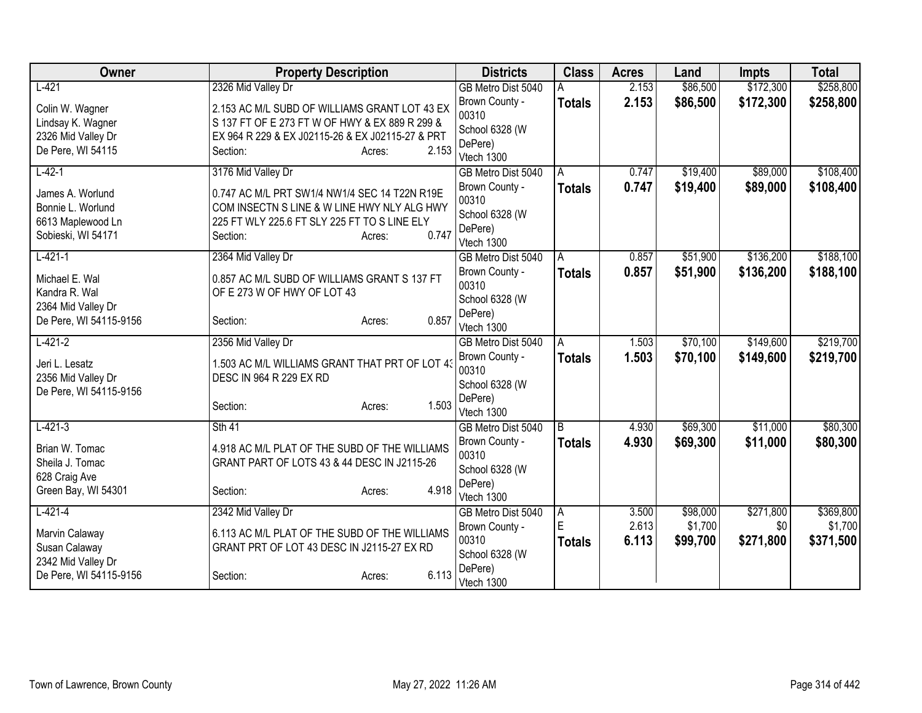| Owner                  | <b>Property Description</b>                      |                 | <b>Districts</b>                 | <b>Class</b>     | <b>Acres</b>   | Land                | <b>Impts</b>     | <b>Total</b>         |
|------------------------|--------------------------------------------------|-----------------|----------------------------------|------------------|----------------|---------------------|------------------|----------------------|
| $L-421$                | 2326 Mid Valley Dr                               |                 | GB Metro Dist 5040               |                  | 2.153          | \$86,500            | \$172,300        | \$258,800            |
| Colin W. Wagner        | 2.153 AC M/L SUBD OF WILLIAMS GRANT LOT 43 EX    |                 | Brown County -                   | <b>Totals</b>    | 2.153          | \$86,500            | \$172,300        | \$258,800            |
| Lindsay K. Wagner      | S 137 FT OF E 273 FT W OF HWY & EX 889 R 299 &   |                 | 00310                            |                  |                |                     |                  |                      |
| 2326 Mid Valley Dr     | EX 964 R 229 & EX J02115-26 & EX J02115-27 & PRT |                 | School 6328 (W                   |                  |                |                     |                  |                      |
| De Pere, WI 54115      | Section:                                         | 2.153<br>Acres: | DePere)                          |                  |                |                     |                  |                      |
| $L-42-1$               | 3176 Mid Valley Dr                               |                 | Vtech 1300<br>GB Metro Dist 5040 | A                | 0.747          | \$19,400            | \$89,000         | \$108,400            |
|                        |                                                  |                 | Brown County -                   | <b>Totals</b>    | 0.747          | \$19,400            | \$89,000         | \$108,400            |
| James A. Worlund       | 0.747 AC M/L PRT SW1/4 NW1/4 SEC 14 T22N R19E    |                 | 00310                            |                  |                |                     |                  |                      |
| Bonnie L. Worlund      | COM INSECTN S LINE & W LINE HWY NLY ALG HWY      |                 | School 6328 (W                   |                  |                |                     |                  |                      |
| 6613 Maplewood Ln      | 225 FT WLY 225.6 FT SLY 225 FT TO S LINE ELY     |                 | DePere)                          |                  |                |                     |                  |                      |
| Sobieski, WI 54171     | Section:                                         | 0.747<br>Acres: | Vtech 1300                       |                  |                |                     |                  |                      |
| $L-421-1$              | 2364 Mid Valley Dr                               |                 | GB Metro Dist 5040               | A                | 0.857          | \$51,900            | \$136,200        | \$188,100            |
| Michael E. Wal         | 0.857 AC M/L SUBD OF WILLIAMS GRANT S 137 FT     |                 | Brown County -                   | <b>Totals</b>    | 0.857          | \$51,900            | \$136,200        | \$188,100            |
| Kandra R. Wal          | OF E 273 W OF HWY OF LOT 43                      |                 | 00310                            |                  |                |                     |                  |                      |
| 2364 Mid Valley Dr     |                                                  |                 | School 6328 (W                   |                  |                |                     |                  |                      |
| De Pere, WI 54115-9156 | Section:                                         | 0.857<br>Acres: | DePere)                          |                  |                |                     |                  |                      |
|                        |                                                  |                 | Vtech 1300                       |                  |                |                     |                  |                      |
| $L-421-2$              | 2356 Mid Valley Dr                               |                 | GB Metro Dist 5040               | A                | 1.503          | \$70,100            | \$149,600        | \$219,700            |
| Jeri L. Lesatz         | 1.503 AC M/L WILLIAMS GRANT THAT PRT OF LOT 43   |                 | Brown County -<br>00310          | <b>Totals</b>    | 1.503          | \$70,100            | \$149,600        | \$219,700            |
| 2356 Mid Valley Dr     | DESC IN 964 R 229 EX RD                          |                 | School 6328 (W                   |                  |                |                     |                  |                      |
| De Pere, WI 54115-9156 |                                                  |                 | DePere)                          |                  |                |                     |                  |                      |
|                        | Section:                                         | 1.503<br>Acres: | Vtech 1300                       |                  |                |                     |                  |                      |
| $L-421-3$              | Sth 41                                           |                 | GB Metro Dist 5040               | l B              | 4.930          | \$69,300            | \$11,000         | \$80,300             |
| Brian W. Tomac         | 4.918 AC M/L PLAT OF THE SUBD OF THE WILLIAMS    |                 | Brown County -                   | <b>Totals</b>    | 4.930          | \$69,300            | \$11,000         | \$80,300             |
| Sheila J. Tomac        | GRANT PART OF LOTS 43 & 44 DESC IN J2115-26      |                 | 00310                            |                  |                |                     |                  |                      |
| 628 Craig Ave          |                                                  |                 | School 6328 (W                   |                  |                |                     |                  |                      |
| Green Bay, WI 54301    | Section:                                         | 4.918<br>Acres: | DePere)                          |                  |                |                     |                  |                      |
|                        |                                                  |                 | Vtech 1300                       |                  |                |                     |                  |                      |
| $L-421-4$              | 2342 Mid Valley Dr                               |                 | GB Metro Dist 5040               | Α<br>$\mathsf E$ | 3.500<br>2.613 | \$98,000<br>\$1,700 | \$271,800<br>\$0 | \$369,800<br>\$1,700 |
| Marvin Calaway         | 6.113 AC M/L PLAT OF THE SUBD OF THE WILLIAMS    |                 | Brown County -<br>00310          |                  |                |                     |                  |                      |
| Susan Calaway          | GRANT PRT OF LOT 43 DESC IN J2115-27 EX RD       |                 | School 6328 (W                   | <b>Totals</b>    | 6.113          | \$99,700            | \$271,800        | \$371,500            |
| 2342 Mid Valley Dr     |                                                  |                 | DePere)                          |                  |                |                     |                  |                      |
| De Pere, WI 54115-9156 | Section:                                         | 6.113<br>Acres: | Vtech 1300                       |                  |                |                     |                  |                      |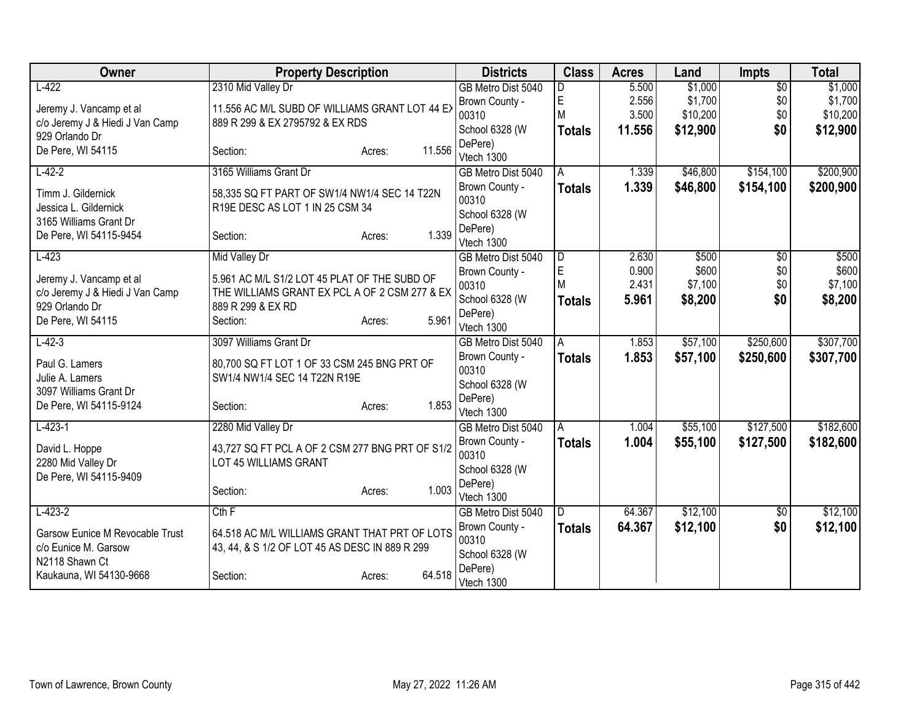| Owner                                                      | <b>Property Description</b>                                                                   |                  | <b>Districts</b>          | <b>Class</b>            | <b>Acres</b>   | Land     | <b>Impts</b>    | <b>Total</b> |
|------------------------------------------------------------|-----------------------------------------------------------------------------------------------|------------------|---------------------------|-------------------------|----------------|----------|-----------------|--------------|
| $L-422$                                                    | 2310 Mid Valley Dr                                                                            |                  | GB Metro Dist 5040        |                         | 5.500          | \$1,000  | $\overline{50}$ | \$1,000      |
| Jeremy J. Vancamp et al                                    | 11.556 AC M/L SUBD OF WILLIAMS GRANT LOT 44 EX                                                |                  | Brown County -            | E                       | 2.556          | \$1,700  | \$0             | \$1,700      |
| c/o Jeremy J & Hiedi J Van Camp                            | 889 R 299 & EX 2795792 & EX RDS                                                               |                  | 00310                     | M                       | 3.500          | \$10,200 | \$0             | \$10,200     |
| 929 Orlando Dr                                             |                                                                                               |                  | School 6328 (W            | <b>Totals</b>           | 11.556         | \$12,900 | \$0             | \$12,900     |
| De Pere, WI 54115                                          | Section:                                                                                      | 11.556<br>Acres: | DePere)                   |                         |                |          |                 |              |
| $L-42-2$                                                   | 3165 Williams Grant Dr                                                                        |                  | Vtech 1300                |                         |                | \$46,800 | \$154,100       | \$200,900    |
|                                                            |                                                                                               |                  | GB Metro Dist 5040        | A                       | 1.339<br>1.339 |          |                 |              |
| Timm J. Gildernick                                         | 58,335 SQ FT PART OF SW1/4 NW1/4 SEC 14 T22N                                                  |                  | Brown County -<br>00310   | <b>Totals</b>           |                | \$46,800 | \$154,100       | \$200,900    |
| Jessica L. Gildernick                                      | R19E DESC AS LOT 1 IN 25 CSM 34                                                               |                  | School 6328 (W            |                         |                |          |                 |              |
| 3165 Williams Grant Dr                                     |                                                                                               |                  | DePere)                   |                         |                |          |                 |              |
| De Pere, WI 54115-9454                                     | Section:                                                                                      | 1.339<br>Acres:  | Vtech 1300                |                         |                |          |                 |              |
| $L-423$                                                    | Mid Valley Dr                                                                                 |                  | GB Metro Dist 5040        | $\overline{\mathsf{D}}$ | 2.630          | \$500    | \$0             | \$500        |
|                                                            |                                                                                               |                  | Brown County -            | E                       | 0.900          | \$600    | \$0             | \$600        |
| Jeremy J. Vancamp et al<br>c/o Jeremy J & Hiedi J Van Camp | 5.961 AC M/L S1/2 LOT 45 PLAT OF THE SUBD OF<br>THE WILLIAMS GRANT EX PCL A OF 2 CSM 277 & EX |                  | 00310                     | M                       | 2.431          | \$7,100  | \$0             | \$7,100      |
| 929 Orlando Dr                                             | 889 R 299 & EX RD                                                                             |                  | School 6328 (W            | <b>Totals</b>           | 5.961          | \$8,200  | \$0             | \$8,200      |
| De Pere, WI 54115                                          | Section:                                                                                      | 5.961<br>Acres:  | DePere)                   |                         |                |          |                 |              |
|                                                            |                                                                                               |                  | Vtech 1300                |                         |                |          |                 |              |
| $L-42-3$                                                   | 3097 Williams Grant Dr                                                                        |                  | GB Metro Dist 5040        | A                       | 1.853          | \$57,100 | \$250,600       | \$307,700    |
| Paul G. Lamers                                             | 80,700 SQ FT LOT 1 OF 33 CSM 245 BNG PRT OF                                                   |                  | Brown County -<br>00310   | <b>Totals</b>           | 1.853          | \$57,100 | \$250,600       | \$307,700    |
| Julie A. Lamers                                            | SW1/4 NW1/4 SEC 14 T22N R19E                                                                  |                  | School 6328 (W            |                         |                |          |                 |              |
| 3097 Williams Grant Dr                                     |                                                                                               |                  | DePere)                   |                         |                |          |                 |              |
| De Pere, WI 54115-9124                                     | Section:                                                                                      | 1.853<br>Acres:  | Vtech 1300                |                         |                |          |                 |              |
| $L-423-1$                                                  | 2280 Mid Valley Dr                                                                            |                  | GB Metro Dist 5040        | l A                     | 1.004          | \$55,100 | \$127,500       | \$182,600    |
|                                                            |                                                                                               |                  | Brown County -            | <b>Totals</b>           | 1.004          | \$55,100 | \$127,500       | \$182,600    |
| David L. Hoppe<br>2280 Mid Valley Dr                       | 43,727 SQ FT PCL A OF 2 CSM 277 BNG PRT OF S1/2<br>LOT 45 WILLIAMS GRANT                      |                  | 00310                     |                         |                |          |                 |              |
| De Pere, WI 54115-9409                                     |                                                                                               |                  | School 6328 (W            |                         |                |          |                 |              |
|                                                            | Section:                                                                                      | 1.003<br>Acres:  | DePere)                   |                         |                |          |                 |              |
|                                                            |                                                                                               |                  | Vtech 1300                |                         |                |          |                 |              |
| $L-423-2$                                                  | Cth F                                                                                         |                  | GB Metro Dist 5040        | ID.                     | 64.367         | \$12,100 | \$0             | \$12,100     |
| <b>Garsow Eunice M Revocable Trust</b>                     | 64.518 AC M/L WILLIAMS GRANT THAT PRT OF LOTS                                                 |                  | Brown County -            | <b>Totals</b>           | 64.367         | \$12,100 | \$0             | \$12,100     |
| c/o Eunice M. Garsow                                       | 43, 44, & S 1/2 OF LOT 45 AS DESC IN 889 R 299                                                |                  | 00310                     |                         |                |          |                 |              |
| N2118 Shawn Ct                                             |                                                                                               |                  | School 6328 (W<br>DePere) |                         |                |          |                 |              |
| Kaukauna, WI 54130-9668                                    | Section:                                                                                      | 64.518<br>Acres: | Vtech 1300                |                         |                |          |                 |              |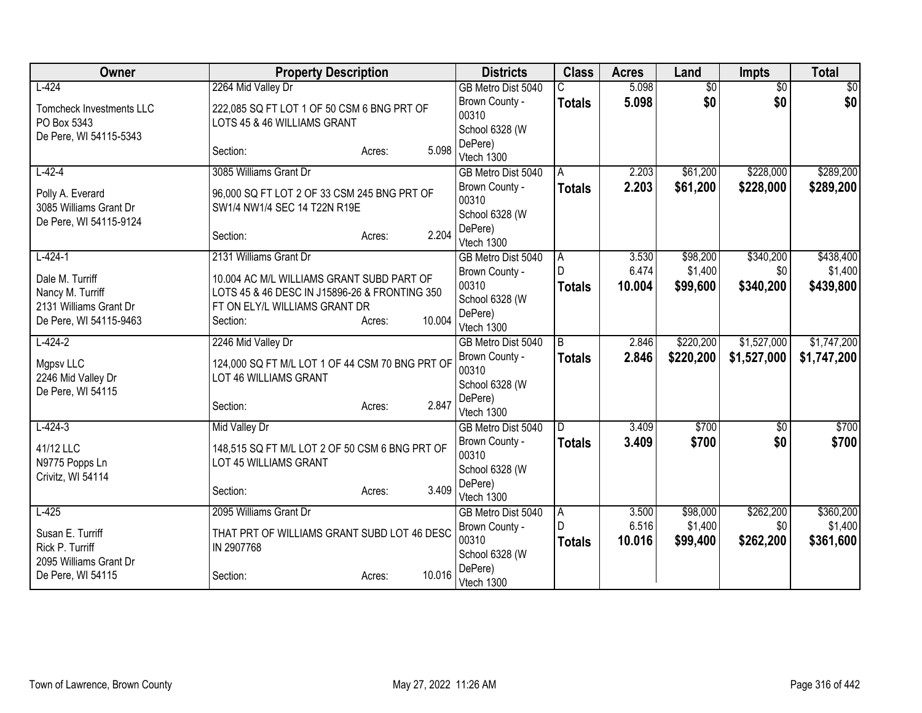| Owner                                   | <b>Property Description</b>                                                                |                  | <b>Districts</b>                 | <b>Class</b>   | <b>Acres</b> | Land            | <b>Impts</b>    | <b>Total</b> |
|-----------------------------------------|--------------------------------------------------------------------------------------------|------------------|----------------------------------|----------------|--------------|-----------------|-----------------|--------------|
| $L-424$                                 | 2264 Mid Valley Dr                                                                         |                  | GB Metro Dist 5040               |                | 5.098        | $\overline{50}$ | $\overline{30}$ | \$0          |
| <b>Tomcheck Investments LLC</b>         | 222,085 SQ FT LOT 1 OF 50 CSM 6 BNG PRT OF                                                 |                  | Brown County -                   | <b>Totals</b>  | 5.098        | \$0             | \$0             | \$0          |
| PO Box 5343                             | LOTS 45 & 46 WILLIAMS GRANT                                                                |                  | 00310<br>School 6328 (W          |                |              |                 |                 |              |
| De Pere, WI 54115-5343                  |                                                                                            |                  | DePere)                          |                |              |                 |                 |              |
|                                         | Section:                                                                                   | 5.098<br>Acres:  | Vtech 1300                       |                |              |                 |                 |              |
| $L-42-4$                                | 3085 Williams Grant Dr                                                                     |                  | GB Metro Dist 5040               | A              | 2.203        | \$61,200        | \$228,000       | \$289,200    |
| Polly A. Everard                        | 96,000 SQ FT LOT 2 OF 33 CSM 245 BNG PRT OF                                                |                  | Brown County -                   | <b>Totals</b>  | 2.203        | \$61,200        | \$228,000       | \$289,200    |
| 3085 Williams Grant Dr                  | SW1/4 NW1/4 SEC 14 T22N R19E                                                               |                  | 00310                            |                |              |                 |                 |              |
| De Pere, WI 54115-9124                  |                                                                                            |                  | School 6328 (W                   |                |              |                 |                 |              |
|                                         | Section:                                                                                   | 2.204<br>Acres:  | DePere)<br>Vtech 1300            |                |              |                 |                 |              |
| $L-424-1$                               | 2131 Williams Grant Dr                                                                     |                  | GB Metro Dist 5040               | A              | 3.530        | \$98,200        | \$340,200       | \$438,400    |
|                                         |                                                                                            |                  | Brown County -                   | D              | 6.474        | \$1,400         | \$0             | \$1,400      |
| Dale M. Turriff<br>Nancy M. Turriff     | 10.004 AC M/L WILLIAMS GRANT SUBD PART OF<br>LOTS 45 & 46 DESC IN J15896-26 & FRONTING 350 |                  | 00310                            | <b>Totals</b>  | 10.004       | \$99,600        | \$340,200       | \$439,800    |
| 2131 Williams Grant Dr                  | FT ON ELY/L WILLIAMS GRANT DR                                                              |                  | School 6328 (W                   |                |              |                 |                 |              |
| De Pere, WI 54115-9463                  | Section:                                                                                   | 10.004<br>Acres: | DePere)                          |                |              |                 |                 |              |
| $L-424-2$                               | 2246 Mid Valley Dr                                                                         |                  | Vtech 1300<br>GB Metro Dist 5040 | $\overline{B}$ | 2.846        | \$220,200       | \$1,527,000     | \$1,747,200  |
|                                         |                                                                                            |                  | Brown County -                   | <b>Totals</b>  | 2.846        | \$220,200       | \$1,527,000     | \$1,747,200  |
| Mgpsv LLC                               | 124,000 SQ FT M/L LOT 1 OF 44 CSM 70 BNG PRT OF                                            |                  | 00310                            |                |              |                 |                 |              |
| 2246 Mid Valley Dr<br>De Pere, WI 54115 | LOT 46 WILLIAMS GRANT                                                                      |                  | School 6328 (W                   |                |              |                 |                 |              |
|                                         | Section:                                                                                   | 2.847<br>Acres:  | DePere)                          |                |              |                 |                 |              |
|                                         |                                                                                            |                  | Vtech 1300                       |                |              |                 |                 |              |
| $L - 424 - 3$                           | Mid Valley Dr                                                                              |                  | GB Metro Dist 5040               | D.             | 3.409        | \$700           | $\sqrt{6}$      | \$700        |
| 41/12 LLC                               | 148,515 SQ FT M/L LOT 2 OF 50 CSM 6 BNG PRT OF                                             |                  | Brown County -<br>00310          | <b>Totals</b>  | 3.409        | \$700           | \$0             | \$700        |
| N9775 Popps Ln                          | LOT 45 WILLIAMS GRANT                                                                      |                  | School 6328 (W                   |                |              |                 |                 |              |
| Crivitz, WI 54114                       | Section:                                                                                   | 3.409            | DePere)                          |                |              |                 |                 |              |
|                                         |                                                                                            | Acres:           | Vtech 1300                       |                |              |                 |                 |              |
| $L-425$                                 | 2095 Williams Grant Dr                                                                     |                  | GB Metro Dist 5040               | l A            | 3.500        | \$98,000        | \$262,200       | \$360,200    |
| Susan E. Turriff                        | THAT PRT OF WILLIAMS GRANT SUBD LOT 46 DESC                                                |                  | Brown County -<br>00310          | D              | 6.516        | \$1,400         | \$0             | \$1,400      |
| Rick P. Turriff                         | IN 2907768                                                                                 |                  | School 6328 (W                   | <b>Totals</b>  | 10.016       | \$99,400        | \$262,200       | \$361,600    |
| 2095 Williams Grant Dr                  |                                                                                            |                  | DePere)                          |                |              |                 |                 |              |
| De Pere, WI 54115                       | Section:                                                                                   | 10.016<br>Acres: | Vtech 1300                       |                |              |                 |                 |              |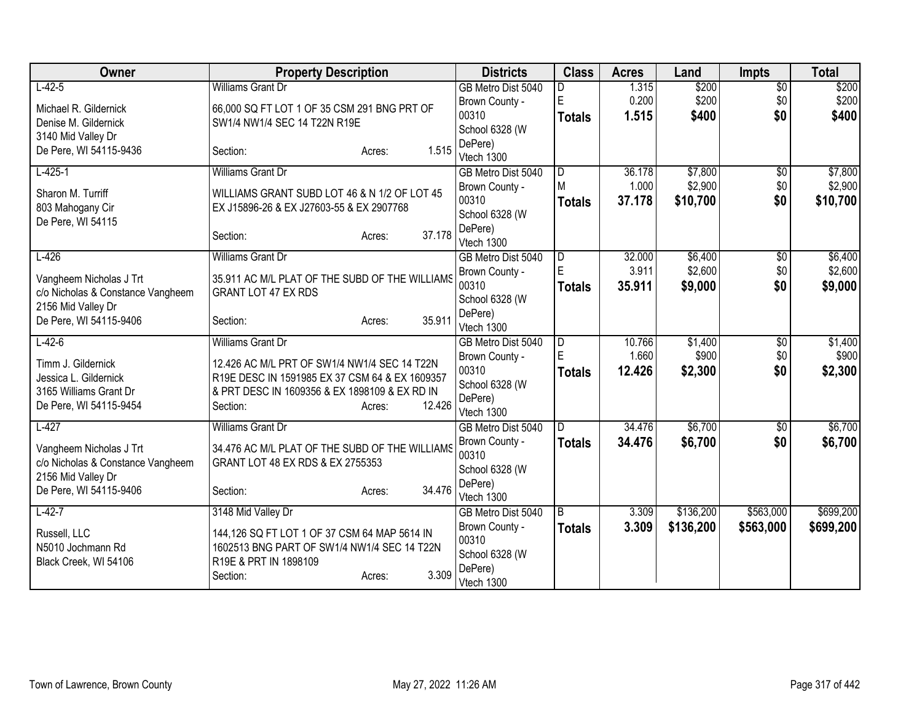| Owner                             | <b>Property Description</b>                    | <b>Districts</b>          | <b>Class</b>            | <b>Acres</b> | Land      | <b>Impts</b>    | <b>Total</b> |
|-----------------------------------|------------------------------------------------|---------------------------|-------------------------|--------------|-----------|-----------------|--------------|
| $L-42-5$                          | <b>Williams Grant Dr</b>                       | GB Metro Dist 5040        |                         | 1.315        | \$200     | $\overline{50}$ | \$200        |
| Michael R. Gildernick             | 66,000 SQ FT LOT 1 OF 35 CSM 291 BNG PRT OF    | Brown County -            | E                       | 0.200        | \$200     | \$0             | \$200        |
| Denise M. Gildernick              | SW1/4 NW1/4 SEC 14 T22N R19E                   | 00310                     | <b>Totals</b>           | 1.515        | \$400     | \$0             | \$400        |
| 3140 Mid Valley Dr                |                                                | School 6328 (W            |                         |              |           |                 |              |
| De Pere, WI 54115-9436            | 1.515<br>Section:<br>Acres:                    | DePere)                   |                         |              |           |                 |              |
|                                   |                                                | Vtech 1300                |                         |              |           |                 |              |
| $L-425-1$                         | <b>Williams Grant Dr</b>                       | GB Metro Dist 5040        | $\overline{D}$<br>M     | 36.178       | \$7,800   | $\overline{50}$ | \$7,800      |
| Sharon M. Turriff                 | WILLIAMS GRANT SUBD LOT 46 & N 1/2 OF LOT 45   | Brown County -<br>00310   |                         | 1.000        | \$2,900   | \$0             | \$2,900      |
| 803 Mahogany Cir                  | EX J15896-26 & EX J27603-55 & EX 2907768       |                           | <b>Totals</b>           | 37.178       | \$10,700  | \$0             | \$10,700     |
| De Pere, WI 54115                 |                                                | School 6328 (W<br>DePere) |                         |              |           |                 |              |
|                                   | 37.178<br>Section:<br>Acres:                   | Vtech 1300                |                         |              |           |                 |              |
| $L-426$                           | <b>Williams Grant Dr</b>                       | GB Metro Dist 5040        | D                       | 32.000       | \$6,400   | \$0             | \$6,400      |
|                                   |                                                | Brown County -            | E                       | 3.911        | \$2,600   | \$0             | \$2,600      |
| Vangheem Nicholas J Trt           | 35.911 AC M/L PLAT OF THE SUBD OF THE WILLIAMS | 00310                     | <b>Totals</b>           | 35.911       | \$9,000   | \$0             | \$9,000      |
| c/o Nicholas & Constance Vangheem | <b>GRANT LOT 47 EX RDS</b>                     | School 6328 (W            |                         |              |           |                 |              |
| 2156 Mid Valley Dr                |                                                | DePere)                   |                         |              |           |                 |              |
| De Pere, WI 54115-9406            | 35.911<br>Section:<br>Acres:                   | Vtech 1300                |                         |              |           |                 |              |
| $L-42-6$                          | <b>Williams Grant Dr</b>                       | GB Metro Dist 5040        | $\overline{\mathsf{D}}$ | 10.766       | \$1,400   | $\overline{50}$ | \$1,400      |
| Timm J. Gildernick                | 12.426 AC M/L PRT OF SW1/4 NW1/4 SEC 14 T22N   | Brown County -            | E                       | 1.660        | \$900     | \$0             | \$900        |
| Jessica L. Gildernick             | R19E DESC IN 1591985 EX 37 CSM 64 & EX 1609357 | 00310                     | <b>Totals</b>           | 12.426       | \$2,300   | \$0             | \$2,300      |
| 3165 Williams Grant Dr            | & PRT DESC IN 1609356 & EX 1898109 & EX RD IN  | School 6328 (W            |                         |              |           |                 |              |
| De Pere, WI 54115-9454            | 12.426<br>Section:<br>Acres:                   | DePere)                   |                         |              |           |                 |              |
|                                   |                                                | Vtech 1300                |                         |              |           |                 |              |
| $L-427$                           | <b>Williams Grant Dr</b>                       | GB Metro Dist 5040        | D                       | 34.476       | \$6,700   | $\sqrt{$0}$     | \$6,700      |
| Vangheem Nicholas J Trt           | 34.476 AC M/L PLAT OF THE SUBD OF THE WILLIAMS | Brown County -            | <b>Totals</b>           | 34.476       | \$6,700   | \$0             | \$6,700      |
| c/o Nicholas & Constance Vangheem | GRANT LOT 48 EX RDS & EX 2755353               | 00310                     |                         |              |           |                 |              |
| 2156 Mid Valley Dr                |                                                | School 6328 (W            |                         |              |           |                 |              |
| De Pere, WI 54115-9406            | 34.476<br>Section:<br>Acres:                   | DePere)<br>Vtech 1300     |                         |              |           |                 |              |
| $L-42-7$                          | 3148 Mid Valley Dr                             | GB Metro Dist 5040        | $\overline{B}$          | 3.309        | \$136,200 | \$563,000       | \$699,200    |
|                                   |                                                | Brown County -            | <b>Totals</b>           | 3.309        | \$136,200 | \$563,000       | \$699,200    |
| Russell, LLC                      | 144,126 SQ FT LOT 1 OF 37 CSM 64 MAP 5614 IN   | 00310                     |                         |              |           |                 |              |
| N5010 Jochmann Rd                 | 1602513 BNG PART OF SW1/4 NW1/4 SEC 14 T22N    | School 6328 (W            |                         |              |           |                 |              |
| Black Creek, WI 54106             | R19E & PRT IN 1898109                          | DePere)                   |                         |              |           |                 |              |
|                                   | 3.309<br>Section:<br>Acres:                    | Vtech 1300                |                         |              |           |                 |              |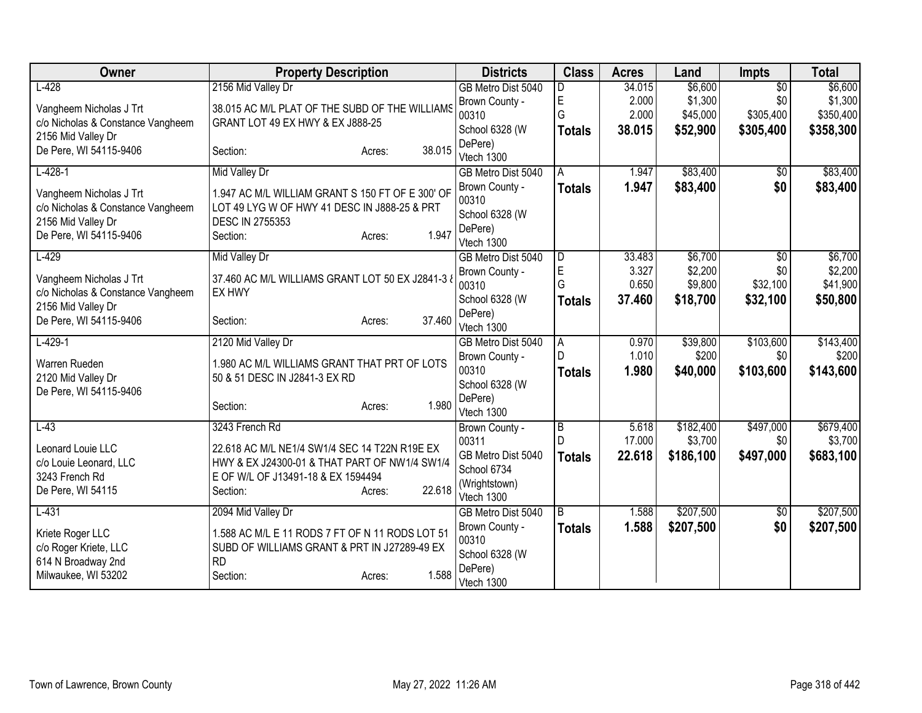| Owner                                                   | <b>Property Description</b>                                            | <b>Districts</b>          | <b>Class</b>        | <b>Acres</b>    | Land                 | <b>Impts</b>     | <b>Total</b>         |
|---------------------------------------------------------|------------------------------------------------------------------------|---------------------------|---------------------|-----------------|----------------------|------------------|----------------------|
| $L-428$                                                 | 2156 Mid Valley Dr                                                     | GB Metro Dist 5040        | D                   | 34.015          | \$6,600              | $\overline{50}$  | \$6,600              |
| Vangheem Nicholas J Trt                                 | 38.015 AC M/L PLAT OF THE SUBD OF THE WILLIAMS                         | Brown County -            | $\mathsf E$         | 2.000           | \$1,300              | \$0              | \$1,300              |
| c/o Nicholas & Constance Vangheem                       | GRANT LOT 49 EX HWY & EX J888-25                                       | 00310                     | G                   | 2.000           | \$45,000             | \$305,400        | \$350,400            |
| 2156 Mid Valley Dr                                      |                                                                        | School 6328 (W            | <b>Totals</b>       | 38.015          | \$52,900             | \$305,400        | \$358,300            |
| De Pere, WI 54115-9406                                  | 38.015<br>Section:<br>Acres:                                           | DePere)<br>Vtech 1300     |                     |                 |                      |                  |                      |
| $L-428-1$                                               | <b>Mid Valley Dr</b>                                                   | GB Metro Dist 5040        | A                   | 1.947           | \$83,400             | \$0              | \$83,400             |
|                                                         |                                                                        | Brown County -            | <b>Totals</b>       | 1.947           | \$83,400             | \$0              | \$83,400             |
| Vangheem Nicholas J Trt                                 | 1.947 AC M/L WILLIAM GRANT S 150 FT OF E 300' OF                       | 00310                     |                     |                 |                      |                  |                      |
| c/o Nicholas & Constance Vangheem<br>2156 Mid Valley Dr | LOT 49 LYG W OF HWY 41 DESC IN J888-25 & PRT<br><b>DESC IN 2755353</b> | School 6328 (W            |                     |                 |                      |                  |                      |
| De Pere, WI 54115-9406                                  | 1.947<br>Section:<br>Acres:                                            | DePere)                   |                     |                 |                      |                  |                      |
|                                                         |                                                                        | Vtech 1300                |                     |                 |                      |                  |                      |
| $L-429$                                                 | Mid Valley Dr                                                          | GB Metro Dist 5040        | D                   | 33.483          | \$6,700              | $\sqrt{30}$      | \$6,700              |
| Vangheem Nicholas J Trt                                 | 37.460 AC M/L WILLIAMS GRANT LOT 50 EX J2841-3 8                       | Brown County -            | E                   | 3.327           | \$2,200              | \$0              | \$2,200              |
| c/o Nicholas & Constance Vangheem                       | EX HWY                                                                 | 00310                     | G                   | 0.650           | \$9,800              | \$32,100         | \$41,900             |
| 2156 Mid Valley Dr                                      |                                                                        | School 6328 (W<br>DePere) | <b>Totals</b>       | 37.460          | \$18,700             | \$32,100         | \$50,800             |
| De Pere, WI 54115-9406                                  | 37.460<br>Section:<br>Acres:                                           | Vtech 1300                |                     |                 |                      |                  |                      |
| $L-429-1$                                               | 2120 Mid Valley Dr                                                     | GB Metro Dist 5040        | A                   | 0.970           | \$39,800             | \$103,600        | \$143,400            |
| Warren Rueden                                           | 1.980 AC M/L WILLIAMS GRANT THAT PRT OF LOTS                           | Brown County -            | D                   | 1.010           | \$200                | \$0              | \$200                |
| 2120 Mid Valley Dr                                      | 50 & 51 DESC IN J2841-3 EX RD                                          | 00310                     | <b>Totals</b>       | 1.980           | \$40,000             | \$103,600        | \$143,600            |
| De Pere, WI 54115-9406                                  |                                                                        | School 6328 (W            |                     |                 |                      |                  |                      |
|                                                         | 1.980<br>Section:<br>Acres:                                            | DePere)                   |                     |                 |                      |                  |                      |
|                                                         |                                                                        | Vtech 1300                |                     |                 |                      |                  |                      |
| $L-43$                                                  | 3243 French Rd                                                         | Brown County -<br>00311   | $\overline{B}$<br>D | 5.618<br>17.000 | \$182,400<br>\$3,700 | \$497,000<br>\$0 | \$679,400<br>\$3,700 |
| Leonard Louie LLC                                       | 22.618 AC M/L NE1/4 SW1/4 SEC 14 T22N R19E EX                          | GB Metro Dist 5040        |                     | 22.618          | \$186,100            | \$497,000        | \$683,100            |
| c/o Louie Leonard, LLC                                  | HWY & EX J24300-01 & THAT PART OF NW1/4 SW1/4                          | School 6734               | <b>Totals</b>       |                 |                      |                  |                      |
| 3243 French Rd                                          | E OF W/L OF J13491-18 & EX 1594494                                     | (Wrightstown)             |                     |                 |                      |                  |                      |
| De Pere, WI 54115                                       | 22.618<br>Section:<br>Acres:                                           | Vtech 1300                |                     |                 |                      |                  |                      |
| $L-431$                                                 | 2094 Mid Valley Dr                                                     | GB Metro Dist 5040        | l B                 | 1.588           | \$207,500            | \$0              | \$207,500            |
| Kriete Roger LLC                                        | 1.588 AC M/L E 11 RODS 7 FT OF N 11 RODS LOT 51                        | Brown County -            | <b>Totals</b>       | 1.588           | \$207,500            | \$0              | \$207,500            |
| c/o Roger Kriete, LLC                                   | SUBD OF WILLIAMS GRANT & PRT IN J27289-49 EX                           | 00310                     |                     |                 |                      |                  |                      |
| 614 N Broadway 2nd                                      | <b>RD</b>                                                              | School 6328 (W            |                     |                 |                      |                  |                      |
| Milwaukee, WI 53202                                     | 1.588<br>Section:<br>Acres:                                            | DePere)<br>Vtech 1300     |                     |                 |                      |                  |                      |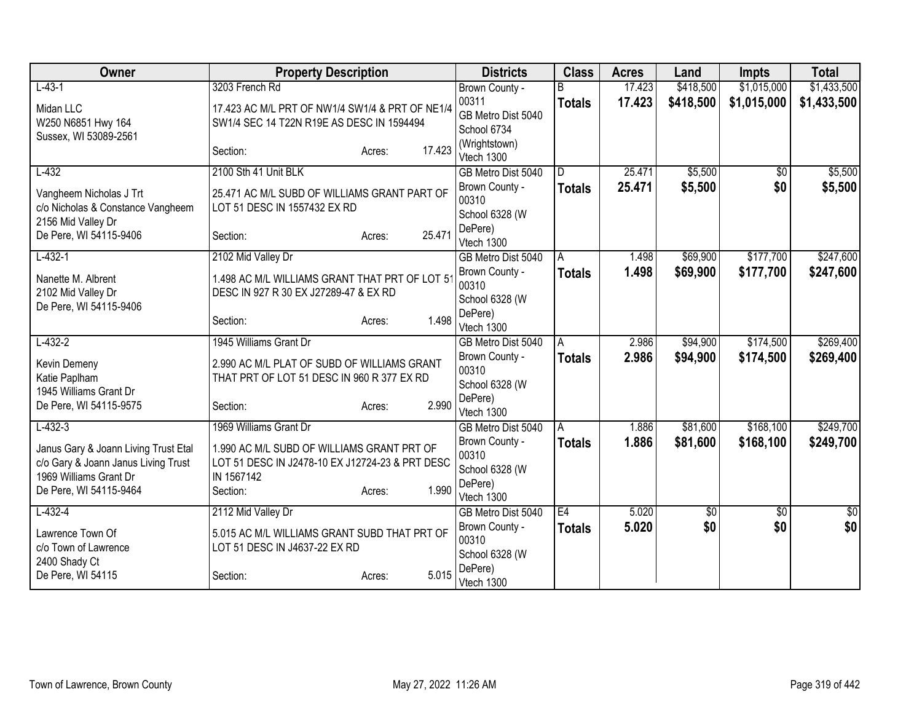| Owner                                                         | <b>Property Description</b>                                                            |                  | <b>Districts</b>          | <b>Class</b>  | <b>Acres</b> | Land      | <b>Impts</b>    | <b>Total</b> |
|---------------------------------------------------------------|----------------------------------------------------------------------------------------|------------------|---------------------------|---------------|--------------|-----------|-----------------|--------------|
| $L-43-1$                                                      | 3203 French Rd                                                                         |                  | Brown County -            |               | 17.423       | \$418,500 | \$1,015,000     | \$1,433,500  |
| Midan LLC                                                     | 17.423 AC M/L PRT OF NW1/4 SW1/4 & PRT OF NE1/4                                        |                  | 00311                     | <b>Totals</b> | 17.423       | \$418,500 | \$1,015,000     | \$1,433,500  |
| W250 N6851 Hwy 164                                            | SW1/4 SEC 14 T22N R19E AS DESC IN 1594494                                              |                  | GB Metro Dist 5040        |               |              |           |                 |              |
| Sussex, WI 53089-2561                                         |                                                                                        |                  | School 6734               |               |              |           |                 |              |
|                                                               | Section:                                                                               | 17.423<br>Acres: | (Wrightstown)             |               |              |           |                 |              |
| $L-432$                                                       | 2100 Sth 41 Unit BLK                                                                   |                  | Vtech 1300                | D.            | 25.471       | \$5,500   |                 |              |
|                                                               |                                                                                        |                  | GB Metro Dist 5040        |               |              |           | $\overline{50}$ | \$5,500      |
| Vangheem Nicholas J Trt                                       | 25.471 AC M/L SUBD OF WILLIAMS GRANT PART OF                                           |                  | Brown County -<br>00310   | <b>Totals</b> | 25.471       | \$5,500   | \$0             | \$5,500      |
| c/o Nicholas & Constance Vangheem                             | LOT 51 DESC IN 1557432 EX RD                                                           |                  | School 6328 (W            |               |              |           |                 |              |
| 2156 Mid Valley Dr                                            |                                                                                        |                  | DePere)                   |               |              |           |                 |              |
| De Pere, WI 54115-9406                                        | Section:                                                                               | 25.471<br>Acres: | Vtech 1300                |               |              |           |                 |              |
| $L-432-1$                                                     | 2102 Mid Valley Dr                                                                     |                  | GB Metro Dist 5040        | A             | 1.498        | \$69,900  | \$177,700       | \$247,600    |
|                                                               |                                                                                        |                  | Brown County -            | <b>Totals</b> | 1.498        | \$69,900  | \$177,700       | \$247,600    |
| Nanette M. Albrent                                            | 1.498 AC M/L WILLIAMS GRANT THAT PRT OF LOT 5<br>DESC IN 927 R 30 EX J27289-47 & EX RD |                  | 00310                     |               |              |           |                 |              |
| 2102 Mid Valley Dr<br>De Pere, WI 54115-9406                  |                                                                                        |                  | School 6328 (W            |               |              |           |                 |              |
|                                                               | Section:                                                                               | 1.498<br>Acres:  | DePere)                   |               |              |           |                 |              |
|                                                               |                                                                                        |                  | Vtech 1300                |               |              |           |                 |              |
| $L-432-2$                                                     | 1945 Williams Grant Dr                                                                 |                  | GB Metro Dist 5040        | A             | 2.986        | \$94,900  | \$174,500       | \$269,400    |
| Kevin Demeny                                                  | 2.990 AC M/L PLAT OF SUBD OF WILLIAMS GRANT                                            |                  | Brown County -            | <b>Totals</b> | 2.986        | \$94,900  | \$174,500       | \$269,400    |
| Katie Paplham                                                 | THAT PRT OF LOT 51 DESC IN 960 R 377 EX RD                                             |                  | 00310                     |               |              |           |                 |              |
| 1945 Williams Grant Dr                                        |                                                                                        |                  | School 6328 (W<br>DePere) |               |              |           |                 |              |
| De Pere, WI 54115-9575                                        | Section:                                                                               | 2.990<br>Acres:  | Vtech 1300                |               |              |           |                 |              |
| $L - 432 - 3$                                                 | 1969 Williams Grant Dr                                                                 |                  | GB Metro Dist 5040        | A             | 1.886        | \$81,600  | \$168,100       | \$249,700    |
|                                                               |                                                                                        |                  | Brown County -            | <b>Totals</b> | 1.886        | \$81,600  | \$168,100       | \$249,700    |
| Janus Gary & Joann Living Trust Etal                          | 1.990 AC M/L SUBD OF WILLIAMS GRANT PRT OF                                             |                  | 00310                     |               |              |           |                 |              |
| c/o Gary & Joann Janus Living Trust<br>1969 Williams Grant Dr | LOT 51 DESC IN J2478-10 EX J12724-23 & PRT DESC<br>IN 1567142                          |                  | School 6328 (W            |               |              |           |                 |              |
| De Pere, WI 54115-9464                                        | Section:                                                                               | 1.990<br>Acres:  | DePere)                   |               |              |           |                 |              |
|                                                               |                                                                                        |                  | Vtech 1300                |               |              |           |                 |              |
| $L-432-4$                                                     | 2112 Mid Valley Dr                                                                     |                  | GB Metro Dist 5040        | E4            | 5.020        | 30        | $\sqrt{$0}$     | $\sqrt{50}$  |
| Lawrence Town Of                                              | 5.015 AC M/L WILLIAMS GRANT SUBD THAT PRT OF                                           |                  | Brown County -            | <b>Totals</b> | 5.020        | \$0       | \$0             | \$0          |
| c/o Town of Lawrence                                          | LOT 51 DESC IN J4637-22 EX RD                                                          |                  | 00310                     |               |              |           |                 |              |
| 2400 Shady Ct                                                 |                                                                                        |                  | School 6328 (W            |               |              |           |                 |              |
| De Pere, WI 54115                                             | Section:                                                                               | 5.015<br>Acres:  | DePere)<br>Vtech 1300     |               |              |           |                 |              |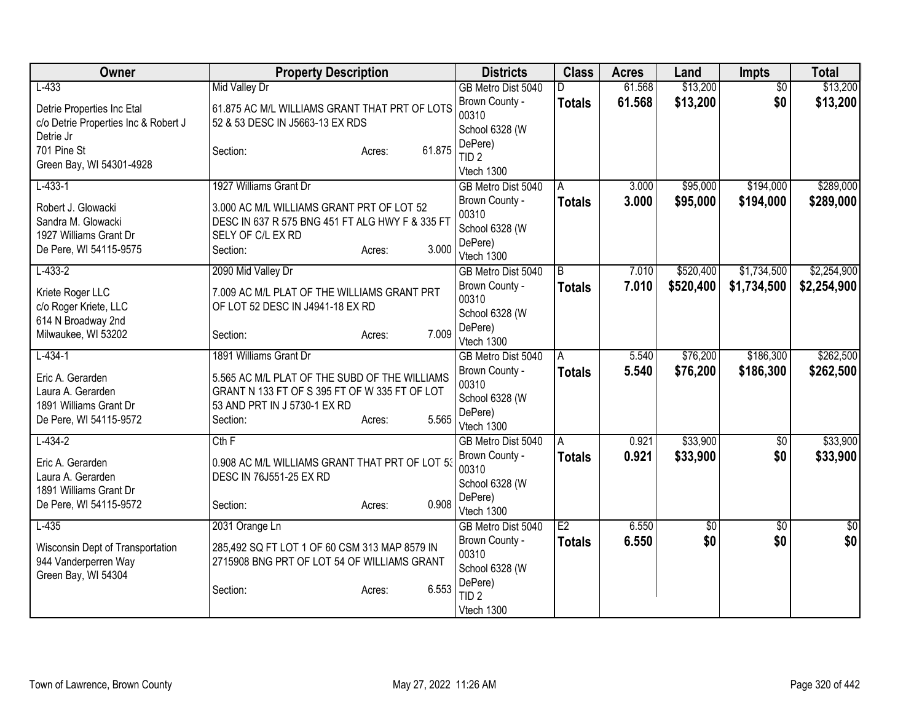| $L-433$<br>61.568<br>\$13,200<br>\$13,200<br><b>Mid Valley Dr</b><br>GB Metro Dist 5040<br>\$0<br>D<br>61.568<br>\$13,200<br>\$0<br>\$13,200<br>Brown County -<br><b>Totals</b><br>61.875 AC M/L WILLIAMS GRANT THAT PRT OF LOTS<br>Detrie Properties Inc Etal<br>00310<br>52 & 53 DESC IN J5663-13 EX RDS<br>c/o Detrie Properties Inc & Robert J<br>School 6328 (W<br>Detrie Jr<br>DePere)<br>61.875<br>701 Pine St<br>Section:<br>Acres:<br>TID <sub>2</sub><br>Green Bay, WI 54301-4928<br>Vtech 1300<br>$L-433-1$<br>1927 Williams Grant Dr<br>\$95,000<br>\$194,000<br>3.000<br>GB Metro Dist 5040<br>A<br>3.000<br>\$194,000<br>Brown County -<br>Totals<br>\$95,000<br>Robert J. Glowacki<br>3.000 AC M/L WILLIAMS GRANT PRT OF LOT 52<br>00310<br>Sandra M. Glowacki<br>DESC IN 637 R 575 BNG 451 FT ALG HWY F & 335 FT<br>School 6328 (W<br>1927 Williams Grant Dr<br>SELY OF C/L EX RD<br>DePere)<br>3.000<br>De Pere, WI 54115-9575<br>Section:<br>Acres:<br>Vtech 1300<br>\$520,400<br>\$1,734,500<br>$L-433-2$<br>2090 Mid Valley Dr<br>B<br>7.010<br>GB Metro Dist 5040<br>Brown County -<br>7.010<br>\$520,400<br>\$1,734,500<br>Totals<br>7.009 AC M/L PLAT OF THE WILLIAMS GRANT PRT<br>Kriete Roger LLC<br>00310<br>c/o Roger Kriete, LLC<br>OF LOT 52 DESC IN J4941-18 EX RD<br>School 6328 (W<br>614 N Broadway 2nd<br>DePere)<br>7.009<br>Milwaukee, WI 53202<br>Section:<br>Acres:<br>Vtech 1300<br>\$76,200<br>\$186,300<br>$L-434-1$<br>1891 Williams Grant Dr<br>5.540<br>GB Metro Dist 5040<br>A<br>5.540<br>Brown County -<br>\$76,200<br>\$186,300<br><b>Totals</b><br>Eric A. Gerarden<br>5.565 AC M/L PLAT OF THE SUBD OF THE WILLIAMS<br>00310<br>Laura A. Gerarden<br>GRANT N 133 FT OF S 395 FT OF W 335 FT OF LOT<br>School 6328 (W<br>1891 Williams Grant Dr<br>53 AND PRT IN J 5730-1 EX RD<br>DePere)<br>5.565<br>De Pere, WI 54115-9572<br>Section:<br>Acres:<br>Vtech 1300<br>\$33,900<br>$L - 434 - 2$<br>0.921<br>$\overline{60}$<br>Cth F<br>GB Metro Dist 5040<br>A<br>0.921<br>\$33,900<br>\$0<br>Brown County -<br><b>Totals</b><br>Eric A. Gerarden<br>0.908 AC M/L WILLIAMS GRANT THAT PRT OF LOT 53<br>00310<br>DESC IN 76J551-25 EX RD<br>Laura A. Gerarden | Owner | <b>Property Description</b> | <b>Districts</b> | <b>Class</b> | <b>Acres</b> | Land | <b>Impts</b> | <b>Total</b> |
|---------------------------------------------------------------------------------------------------------------------------------------------------------------------------------------------------------------------------------------------------------------------------------------------------------------------------------------------------------------------------------------------------------------------------------------------------------------------------------------------------------------------------------------------------------------------------------------------------------------------------------------------------------------------------------------------------------------------------------------------------------------------------------------------------------------------------------------------------------------------------------------------------------------------------------------------------------------------------------------------------------------------------------------------------------------------------------------------------------------------------------------------------------------------------------------------------------------------------------------------------------------------------------------------------------------------------------------------------------------------------------------------------------------------------------------------------------------------------------------------------------------------------------------------------------------------------------------------------------------------------------------------------------------------------------------------------------------------------------------------------------------------------------------------------------------------------------------------------------------------------------------------------------------------------------------------------------------------------------------------------------------------------------------------------------------------------------------------------------------------------------------------------------------------------------------------------------------|-------|-----------------------------|------------------|--------------|--------------|------|--------------|--------------|
|                                                                                                                                                                                                                                                                                                                                                                                                                                                                                                                                                                                                                                                                                                                                                                                                                                                                                                                                                                                                                                                                                                                                                                                                                                                                                                                                                                                                                                                                                                                                                                                                                                                                                                                                                                                                                                                                                                                                                                                                                                                                                                                                                                                                               |       |                             |                  |              |              |      |              |              |
| \$289,000<br>\$289,000<br>\$2,254,900<br>\$2,254,900<br>\$262,500                                                                                                                                                                                                                                                                                                                                                                                                                                                                                                                                                                                                                                                                                                                                                                                                                                                                                                                                                                                                                                                                                                                                                                                                                                                                                                                                                                                                                                                                                                                                                                                                                                                                                                                                                                                                                                                                                                                                                                                                                                                                                                                                             |       |                             |                  |              |              |      |              |              |
|                                                                                                                                                                                                                                                                                                                                                                                                                                                                                                                                                                                                                                                                                                                                                                                                                                                                                                                                                                                                                                                                                                                                                                                                                                                                                                                                                                                                                                                                                                                                                                                                                                                                                                                                                                                                                                                                                                                                                                                                                                                                                                                                                                                                               |       |                             |                  |              |              |      |              |              |
|                                                                                                                                                                                                                                                                                                                                                                                                                                                                                                                                                                                                                                                                                                                                                                                                                                                                                                                                                                                                                                                                                                                                                                                                                                                                                                                                                                                                                                                                                                                                                                                                                                                                                                                                                                                                                                                                                                                                                                                                                                                                                                                                                                                                               |       |                             |                  |              |              |      |              |              |
|                                                                                                                                                                                                                                                                                                                                                                                                                                                                                                                                                                                                                                                                                                                                                                                                                                                                                                                                                                                                                                                                                                                                                                                                                                                                                                                                                                                                                                                                                                                                                                                                                                                                                                                                                                                                                                                                                                                                                                                                                                                                                                                                                                                                               |       |                             |                  |              |              |      |              |              |
|                                                                                                                                                                                                                                                                                                                                                                                                                                                                                                                                                                                                                                                                                                                                                                                                                                                                                                                                                                                                                                                                                                                                                                                                                                                                                                                                                                                                                                                                                                                                                                                                                                                                                                                                                                                                                                                                                                                                                                                                                                                                                                                                                                                                               |       |                             |                  |              |              |      |              |              |
|                                                                                                                                                                                                                                                                                                                                                                                                                                                                                                                                                                                                                                                                                                                                                                                                                                                                                                                                                                                                                                                                                                                                                                                                                                                                                                                                                                                                                                                                                                                                                                                                                                                                                                                                                                                                                                                                                                                                                                                                                                                                                                                                                                                                               |       |                             |                  |              |              |      |              |              |
|                                                                                                                                                                                                                                                                                                                                                                                                                                                                                                                                                                                                                                                                                                                                                                                                                                                                                                                                                                                                                                                                                                                                                                                                                                                                                                                                                                                                                                                                                                                                                                                                                                                                                                                                                                                                                                                                                                                                                                                                                                                                                                                                                                                                               |       |                             |                  |              |              |      |              |              |
| \$262,500<br>\$33,900<br>\$33,900                                                                                                                                                                                                                                                                                                                                                                                                                                                                                                                                                                                                                                                                                                                                                                                                                                                                                                                                                                                                                                                                                                                                                                                                                                                                                                                                                                                                                                                                                                                                                                                                                                                                                                                                                                                                                                                                                                                                                                                                                                                                                                                                                                             |       |                             |                  |              |              |      |              |              |
|                                                                                                                                                                                                                                                                                                                                                                                                                                                                                                                                                                                                                                                                                                                                                                                                                                                                                                                                                                                                                                                                                                                                                                                                                                                                                                                                                                                                                                                                                                                                                                                                                                                                                                                                                                                                                                                                                                                                                                                                                                                                                                                                                                                                               |       |                             |                  |              |              |      |              |              |
|                                                                                                                                                                                                                                                                                                                                                                                                                                                                                                                                                                                                                                                                                                                                                                                                                                                                                                                                                                                                                                                                                                                                                                                                                                                                                                                                                                                                                                                                                                                                                                                                                                                                                                                                                                                                                                                                                                                                                                                                                                                                                                                                                                                                               |       |                             |                  |              |              |      |              |              |
|                                                                                                                                                                                                                                                                                                                                                                                                                                                                                                                                                                                                                                                                                                                                                                                                                                                                                                                                                                                                                                                                                                                                                                                                                                                                                                                                                                                                                                                                                                                                                                                                                                                                                                                                                                                                                                                                                                                                                                                                                                                                                                                                                                                                               |       |                             |                  |              |              |      |              |              |
|                                                                                                                                                                                                                                                                                                                                                                                                                                                                                                                                                                                                                                                                                                                                                                                                                                                                                                                                                                                                                                                                                                                                                                                                                                                                                                                                                                                                                                                                                                                                                                                                                                                                                                                                                                                                                                                                                                                                                                                                                                                                                                                                                                                                               |       |                             |                  |              |              |      |              |              |
|                                                                                                                                                                                                                                                                                                                                                                                                                                                                                                                                                                                                                                                                                                                                                                                                                                                                                                                                                                                                                                                                                                                                                                                                                                                                                                                                                                                                                                                                                                                                                                                                                                                                                                                                                                                                                                                                                                                                                                                                                                                                                                                                                                                                               |       |                             |                  |              |              |      |              |              |
|                                                                                                                                                                                                                                                                                                                                                                                                                                                                                                                                                                                                                                                                                                                                                                                                                                                                                                                                                                                                                                                                                                                                                                                                                                                                                                                                                                                                                                                                                                                                                                                                                                                                                                                                                                                                                                                                                                                                                                                                                                                                                                                                                                                                               |       |                             |                  |              |              |      |              |              |
|                                                                                                                                                                                                                                                                                                                                                                                                                                                                                                                                                                                                                                                                                                                                                                                                                                                                                                                                                                                                                                                                                                                                                                                                                                                                                                                                                                                                                                                                                                                                                                                                                                                                                                                                                                                                                                                                                                                                                                                                                                                                                                                                                                                                               |       |                             |                  |              |              |      |              |              |
|                                                                                                                                                                                                                                                                                                                                                                                                                                                                                                                                                                                                                                                                                                                                                                                                                                                                                                                                                                                                                                                                                                                                                                                                                                                                                                                                                                                                                                                                                                                                                                                                                                                                                                                                                                                                                                                                                                                                                                                                                                                                                                                                                                                                               |       |                             |                  |              |              |      |              |              |
|                                                                                                                                                                                                                                                                                                                                                                                                                                                                                                                                                                                                                                                                                                                                                                                                                                                                                                                                                                                                                                                                                                                                                                                                                                                                                                                                                                                                                                                                                                                                                                                                                                                                                                                                                                                                                                                                                                                                                                                                                                                                                                                                                                                                               |       |                             |                  |              |              |      |              |              |
|                                                                                                                                                                                                                                                                                                                                                                                                                                                                                                                                                                                                                                                                                                                                                                                                                                                                                                                                                                                                                                                                                                                                                                                                                                                                                                                                                                                                                                                                                                                                                                                                                                                                                                                                                                                                                                                                                                                                                                                                                                                                                                                                                                                                               |       |                             |                  |              |              |      |              |              |
|                                                                                                                                                                                                                                                                                                                                                                                                                                                                                                                                                                                                                                                                                                                                                                                                                                                                                                                                                                                                                                                                                                                                                                                                                                                                                                                                                                                                                                                                                                                                                                                                                                                                                                                                                                                                                                                                                                                                                                                                                                                                                                                                                                                                               |       |                             |                  |              |              |      |              |              |
|                                                                                                                                                                                                                                                                                                                                                                                                                                                                                                                                                                                                                                                                                                                                                                                                                                                                                                                                                                                                                                                                                                                                                                                                                                                                                                                                                                                                                                                                                                                                                                                                                                                                                                                                                                                                                                                                                                                                                                                                                                                                                                                                                                                                               |       |                             |                  |              |              |      |              |              |
|                                                                                                                                                                                                                                                                                                                                                                                                                                                                                                                                                                                                                                                                                                                                                                                                                                                                                                                                                                                                                                                                                                                                                                                                                                                                                                                                                                                                                                                                                                                                                                                                                                                                                                                                                                                                                                                                                                                                                                                                                                                                                                                                                                                                               |       |                             |                  |              |              |      |              |              |
|                                                                                                                                                                                                                                                                                                                                                                                                                                                                                                                                                                                                                                                                                                                                                                                                                                                                                                                                                                                                                                                                                                                                                                                                                                                                                                                                                                                                                                                                                                                                                                                                                                                                                                                                                                                                                                                                                                                                                                                                                                                                                                                                                                                                               |       |                             |                  |              |              |      |              |              |
|                                                                                                                                                                                                                                                                                                                                                                                                                                                                                                                                                                                                                                                                                                                                                                                                                                                                                                                                                                                                                                                                                                                                                                                                                                                                                                                                                                                                                                                                                                                                                                                                                                                                                                                                                                                                                                                                                                                                                                                                                                                                                                                                                                                                               |       |                             |                  |              |              |      |              |              |
|                                                                                                                                                                                                                                                                                                                                                                                                                                                                                                                                                                                                                                                                                                                                                                                                                                                                                                                                                                                                                                                                                                                                                                                                                                                                                                                                                                                                                                                                                                                                                                                                                                                                                                                                                                                                                                                                                                                                                                                                                                                                                                                                                                                                               |       |                             |                  |              |              |      |              |              |
|                                                                                                                                                                                                                                                                                                                                                                                                                                                                                                                                                                                                                                                                                                                                                                                                                                                                                                                                                                                                                                                                                                                                                                                                                                                                                                                                                                                                                                                                                                                                                                                                                                                                                                                                                                                                                                                                                                                                                                                                                                                                                                                                                                                                               |       |                             |                  |              |              |      |              |              |
| 1891 Williams Grant Dr                                                                                                                                                                                                                                                                                                                                                                                                                                                                                                                                                                                                                                                                                                                                                                                                                                                                                                                                                                                                                                                                                                                                                                                                                                                                                                                                                                                                                                                                                                                                                                                                                                                                                                                                                                                                                                                                                                                                                                                                                                                                                                                                                                                        |       |                             | School 6328 (W   |              |              |      |              |              |
| DePere)<br>0.908<br>De Pere, WI 54115-9572<br>Section:<br>Acres:                                                                                                                                                                                                                                                                                                                                                                                                                                                                                                                                                                                                                                                                                                                                                                                                                                                                                                                                                                                                                                                                                                                                                                                                                                                                                                                                                                                                                                                                                                                                                                                                                                                                                                                                                                                                                                                                                                                                                                                                                                                                                                                                              |       |                             |                  |              |              |      |              |              |
| Vtech 1300                                                                                                                                                                                                                                                                                                                                                                                                                                                                                                                                                                                                                                                                                                                                                                                                                                                                                                                                                                                                                                                                                                                                                                                                                                                                                                                                                                                                                                                                                                                                                                                                                                                                                                                                                                                                                                                                                                                                                                                                                                                                                                                                                                                                    |       |                             |                  |              |              |      |              |              |
| E2<br>6.550<br>$L-435$<br>\$0<br>2031 Orange Ln<br>GB Metro Dist 5040<br>\$0<br>\$0                                                                                                                                                                                                                                                                                                                                                                                                                                                                                                                                                                                                                                                                                                                                                                                                                                                                                                                                                                                                                                                                                                                                                                                                                                                                                                                                                                                                                                                                                                                                                                                                                                                                                                                                                                                                                                                                                                                                                                                                                                                                                                                           |       |                             |                  |              |              |      |              |              |
| \$0<br>\$0<br>6.550<br>\$0<br>Brown County -<br><b>Totals</b><br>285,492 SQ FT LOT 1 OF 60 CSM 313 MAP 8579 IN<br>Wisconsin Dept of Transportation                                                                                                                                                                                                                                                                                                                                                                                                                                                                                                                                                                                                                                                                                                                                                                                                                                                                                                                                                                                                                                                                                                                                                                                                                                                                                                                                                                                                                                                                                                                                                                                                                                                                                                                                                                                                                                                                                                                                                                                                                                                            |       |                             |                  |              |              |      |              |              |
| 00310<br>944 Vanderperren Way<br>2715908 BNG PRT OF LOT 54 OF WILLIAMS GRANT                                                                                                                                                                                                                                                                                                                                                                                                                                                                                                                                                                                                                                                                                                                                                                                                                                                                                                                                                                                                                                                                                                                                                                                                                                                                                                                                                                                                                                                                                                                                                                                                                                                                                                                                                                                                                                                                                                                                                                                                                                                                                                                                  |       |                             |                  |              |              |      |              |              |
| School 6328 (W<br>Green Bay, WI 54304                                                                                                                                                                                                                                                                                                                                                                                                                                                                                                                                                                                                                                                                                                                                                                                                                                                                                                                                                                                                                                                                                                                                                                                                                                                                                                                                                                                                                                                                                                                                                                                                                                                                                                                                                                                                                                                                                                                                                                                                                                                                                                                                                                         |       |                             |                  |              |              |      |              |              |
| DePere)<br>6.553<br>Section:<br>Acres:<br>TID <sub>2</sub>                                                                                                                                                                                                                                                                                                                                                                                                                                                                                                                                                                                                                                                                                                                                                                                                                                                                                                                                                                                                                                                                                                                                                                                                                                                                                                                                                                                                                                                                                                                                                                                                                                                                                                                                                                                                                                                                                                                                                                                                                                                                                                                                                    |       |                             |                  |              |              |      |              |              |
| Vtech 1300                                                                                                                                                                                                                                                                                                                                                                                                                                                                                                                                                                                                                                                                                                                                                                                                                                                                                                                                                                                                                                                                                                                                                                                                                                                                                                                                                                                                                                                                                                                                                                                                                                                                                                                                                                                                                                                                                                                                                                                                                                                                                                                                                                                                    |       |                             |                  |              |              |      |              |              |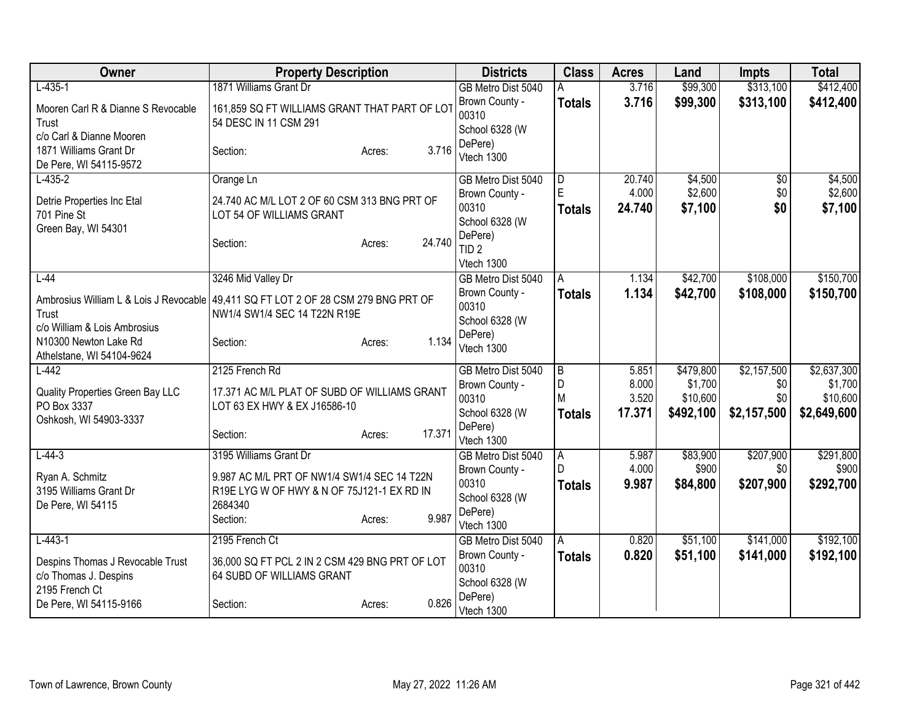| Owner                                                                              | <b>Property Description</b>                           |                  | <b>Districts</b>          | <b>Class</b>   | <b>Acres</b> | Land      | <b>Impts</b>    | <b>Total</b> |
|------------------------------------------------------------------------------------|-------------------------------------------------------|------------------|---------------------------|----------------|--------------|-----------|-----------------|--------------|
| $L-435-1$                                                                          | 1871 Williams Grant Dr                                |                  | GB Metro Dist 5040        |                | 3.716        | \$99,300  | \$313,100       | \$412,400    |
| Mooren Carl R & Dianne S Revocable                                                 | 161,859 SQ FT WILLIAMS GRANT THAT PART OF LOT         |                  | Brown County -            | <b>Totals</b>  | 3.716        | \$99,300  | \$313,100       | \$412,400    |
| Trust                                                                              | 54 DESC IN 11 CSM 291                                 |                  | 00310<br>School 6328 (W   |                |              |           |                 |              |
| c/o Carl & Dianne Mooren                                                           |                                                       |                  | DePere)                   |                |              |           |                 |              |
| 1871 Williams Grant Dr                                                             | Section:                                              | 3.716<br>Acres:  | Vtech 1300                |                |              |           |                 |              |
| De Pere, WI 54115-9572                                                             |                                                       |                  |                           |                |              |           |                 |              |
| $L-435-2$                                                                          | Orange Ln                                             |                  | GB Metro Dist 5040        | $\overline{D}$ | 20.740       | \$4,500   | $\overline{50}$ | \$4,500      |
| Detrie Properties Inc Etal                                                         | 24.740 AC M/L LOT 2 OF 60 CSM 313 BNG PRT OF          |                  | Brown County -<br>00310   | E              | 4.000        | \$2,600   | \$0             | \$2,600      |
| 701 Pine St                                                                        | LOT 54 OF WILLIAMS GRANT                              |                  | School 6328 (W            | <b>Totals</b>  | 24.740       | \$7,100   | \$0             | \$7,100      |
| Green Bay, WI 54301                                                                |                                                       |                  | DePere)                   |                |              |           |                 |              |
|                                                                                    | Section:                                              | 24.740<br>Acres: | TID <sub>2</sub>          |                |              |           |                 |              |
|                                                                                    |                                                       |                  | Vtech 1300                |                |              |           |                 |              |
| $L-44$                                                                             | 3246 Mid Valley Dr                                    |                  | GB Metro Dist 5040        | A              | 1.134        | \$42,700  | \$108,000       | \$150,700    |
| Ambrosius William L & Lois J Revocable 49,411 SQ FT LOT 2 OF 28 CSM 279 BNG PRT OF |                                                       |                  | Brown County -            | <b>Totals</b>  | 1.134        | \$42,700  | \$108,000       | \$150,700    |
| Trust                                                                              | NW1/4 SW1/4 SEC 14 T22N R19E                          |                  | 00310                     |                |              |           |                 |              |
| c/o William & Lois Ambrosius                                                       |                                                       |                  | School 6328 (W            |                |              |           |                 |              |
| N10300 Newton Lake Rd                                                              | Section:                                              | 1.134<br>Acres:  | DePere)                   |                |              |           |                 |              |
| Athelstane, WI 54104-9624                                                          |                                                       |                  | Vtech 1300                |                |              |           |                 |              |
| $L-442$                                                                            | 2125 French Rd                                        |                  | GB Metro Dist 5040        | B              | 5.851        | \$479,800 | \$2,157,500     | \$2,637,300  |
| Quality Properties Green Bay LLC                                                   | 17.371 AC M/L PLAT OF SUBD OF WILLIAMS GRANT          |                  | Brown County -            | D              | 8.000        | \$1,700   | \$0             | \$1,700      |
| PO Box 3337                                                                        | LOT 63 EX HWY & EX J16586-10                          |                  | 00310                     | M              | 3.520        | \$10,600  | \$0             | \$10,600     |
| Oshkosh, WI 54903-3337                                                             |                                                       |                  | School 6328 (W            | <b>Totals</b>  | 17.371       | \$492,100 | \$2,157,500     | \$2,649,600  |
|                                                                                    | Section:                                              | 17.371<br>Acres: | DePere)<br>Vtech 1300     |                |              |           |                 |              |
| $L - 44 - 3$                                                                       | 3195 Williams Grant Dr                                |                  | GB Metro Dist 5040        | Α              | 5.987        | \$83,900  | \$207,900       | \$291,800    |
|                                                                                    |                                                       |                  | Brown County -            | D              | 4.000        | \$900     | \$0             | \$900        |
| Ryan A. Schmitz                                                                    | 9.987 AC M/L PRT OF NW1/4 SW1/4 SEC 14 T22N           |                  | 00310                     | <b>Totals</b>  | 9.987        | \$84,800  | \$207,900       | \$292,700    |
| 3195 Williams Grant Dr                                                             | R19E LYG W OF HWY & N OF 75J121-1 EX RD IN<br>2684340 |                  | School 6328 (W            |                |              |           |                 |              |
| De Pere, WI 54115                                                                  | Section:                                              | 9.987<br>Acres:  | DePere)                   |                |              |           |                 |              |
|                                                                                    |                                                       |                  | Vtech 1300                |                |              |           |                 |              |
| $L - 443 - 1$                                                                      | 2195 French Ct                                        |                  | GB Metro Dist 5040        | l A            | 0.820        | \$51,100  | \$141,000       | \$192,100    |
| Despins Thomas J Revocable Trust                                                   | 36,000 SQ FT PCL 2 IN 2 CSM 429 BNG PRT OF LOT        |                  | Brown County -            | <b>Totals</b>  | 0.820        | \$51,100  | \$141,000       | \$192,100    |
| c/o Thomas J. Despins                                                              | 64 SUBD OF WILLIAMS GRANT                             |                  | 00310                     |                |              |           |                 |              |
| 2195 French Ct                                                                     |                                                       |                  | School 6328 (W<br>DePere) |                |              |           |                 |              |
| De Pere, WI 54115-9166                                                             | Section:                                              | 0.826<br>Acres:  | Vtech 1300                |                |              |           |                 |              |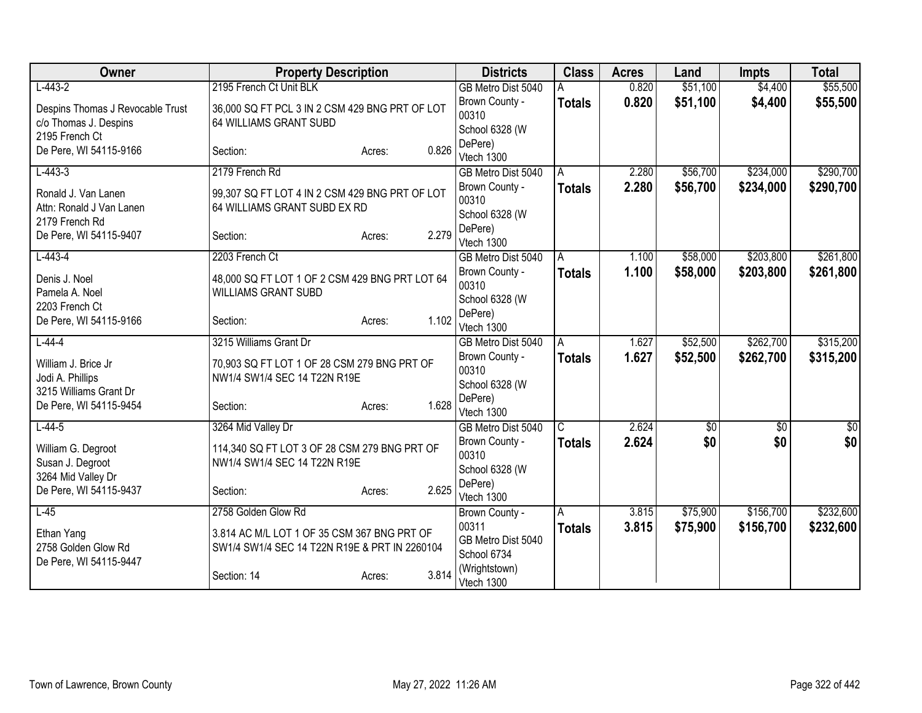| Owner                            | <b>Property Description</b>                    |                 | <b>Districts</b>                     | <b>Class</b>            | <b>Acres</b> | Land       | <b>Impts</b> | <b>Total</b>     |
|----------------------------------|------------------------------------------------|-----------------|--------------------------------------|-------------------------|--------------|------------|--------------|------------------|
| $L-443-2$                        | 2195 French Ct Unit BLK                        |                 | GB Metro Dist 5040                   |                         | 0.820        | \$51,100   | \$4,400      | \$55,500         |
| Despins Thomas J Revocable Trust | 36,000 SQ FT PCL 3 IN 2 CSM 429 BNG PRT OF LOT |                 | Brown County -                       | <b>Totals</b>           | 0.820        | \$51,100   | \$4,400      | \$55,500         |
| c/o Thomas J. Despins            | 64 WILLIAMS GRANT SUBD                         |                 | 00310                                |                         |              |            |              |                  |
| 2195 French Ct                   |                                                |                 | School 6328 (W                       |                         |              |            |              |                  |
| De Pere, WI 54115-9166           | Section:                                       | 0.826<br>Acres: | DePere)<br>Vtech 1300                |                         |              |            |              |                  |
| $L-443-3$                        | 2179 French Rd                                 |                 | GB Metro Dist 5040                   | A                       | 2.280        | \$56,700   | \$234,000    | \$290,700        |
|                                  |                                                |                 | Brown County -                       | <b>Totals</b>           | 2.280        | \$56,700   | \$234,000    | \$290,700        |
| Ronald J. Van Lanen              | 99,307 SQ FT LOT 4 IN 2 CSM 429 BNG PRT OF LOT |                 | 00310                                |                         |              |            |              |                  |
| Attn: Ronald J Van Lanen         | 64 WILLIAMS GRANT SUBD EX RD                   |                 | School 6328 (W                       |                         |              |            |              |                  |
| 2179 French Rd                   |                                                |                 | DePere)                              |                         |              |            |              |                  |
| De Pere, WI 54115-9407           | Section:                                       | 2.279<br>Acres: | Vtech 1300                           |                         |              |            |              |                  |
| $L-443-4$                        | 2203 French Ct                                 |                 | GB Metro Dist 5040                   | A                       | 1.100        | \$58,000   | \$203,800    | \$261,800        |
| Denis J. Noel                    | 48,000 SQ FT LOT 1 OF 2 CSM 429 BNG PRT LOT 64 |                 | Brown County -                       | <b>Totals</b>           | 1.100        | \$58,000   | \$203,800    | \$261,800        |
| Pamela A. Noel                   | <b>WILLIAMS GRANT SUBD</b>                     |                 | 00310                                |                         |              |            |              |                  |
| 2203 French Ct                   |                                                |                 | School 6328 (W                       |                         |              |            |              |                  |
| De Pere, WI 54115-9166           | Section:                                       | 1.102<br>Acres: | DePere)                              |                         |              |            |              |                  |
|                                  | 3215 Williams Grant Dr                         |                 | Vtech 1300                           |                         | 1.627        | \$52,500   | \$262,700    | \$315,200        |
| $L-44-4$                         |                                                |                 | GB Metro Dist 5040<br>Brown County - | A                       | 1.627        | \$52,500   | \$262,700    |                  |
| William J. Brice Jr              | 70,903 SQ FT LOT 1 OF 28 CSM 279 BNG PRT OF    |                 | 00310                                | Totals                  |              |            |              | \$315,200        |
| Jodi A. Phillips                 | NW1/4 SW1/4 SEC 14 T22N R19E                   |                 | School 6328 (W                       |                         |              |            |              |                  |
| 3215 Williams Grant Dr           |                                                |                 | DePere)                              |                         |              |            |              |                  |
| De Pere, WI 54115-9454           | Section:                                       | 1.628<br>Acres: | Vtech 1300                           |                         |              |            |              |                  |
| $L-44-5$                         | 3264 Mid Valley Dr                             |                 | GB Metro Dist 5040                   | $\overline{\mathsf{C}}$ | 2.624        | $\sqrt{6}$ | $\sqrt{$0}$  | $\overline{\$0}$ |
| William G. Degroot               | 114,340 SQ FT LOT 3 OF 28 CSM 279 BNG PRT OF   |                 | Brown County -                       | <b>Totals</b>           | 2.624        | \$0        | \$0          | \$0              |
| Susan J. Degroot                 | NW1/4 SW1/4 SEC 14 T22N R19E                   |                 | 00310                                |                         |              |            |              |                  |
| 3264 Mid Valley Dr               |                                                |                 | School 6328 (W                       |                         |              |            |              |                  |
| De Pere, WI 54115-9437           | Section:                                       | 2.625<br>Acres: | DePere)                              |                         |              |            |              |                  |
|                                  |                                                |                 | Vtech 1300                           |                         |              |            | \$156,700    |                  |
| $L-45$                           | 2758 Golden Glow Rd                            |                 | Brown County -<br>00311              | A                       | 3.815        | \$75,900   |              | \$232,600        |
| Ethan Yang                       | 3.814 AC M/L LOT 1 OF 35 CSM 367 BNG PRT OF    |                 | GB Metro Dist 5040                   | <b>Totals</b>           | 3.815        | \$75,900   | \$156,700    | \$232,600        |
| 2758 Golden Glow Rd              | SW1/4 SW1/4 SEC 14 T22N R19E & PRT IN 2260104  |                 | School 6734                          |                         |              |            |              |                  |
| De Pere, WI 54115-9447           |                                                |                 | (Wrightstown)                        |                         |              |            |              |                  |
|                                  | Section: 14                                    | 3.814<br>Acres: | Vtech 1300                           |                         |              |            |              |                  |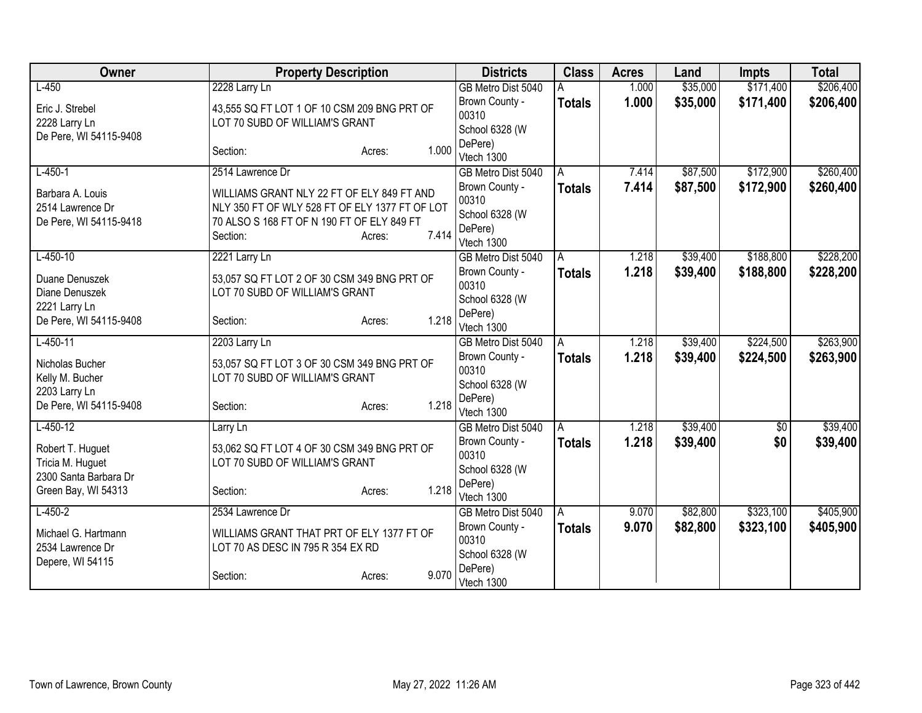| Owner                  | <b>Property Description</b>                    |                 | <b>Districts</b>                     | <b>Class</b>  | <b>Acres</b> | Land     | <b>Impts</b>    | <b>Total</b> |
|------------------------|------------------------------------------------|-----------------|--------------------------------------|---------------|--------------|----------|-----------------|--------------|
| $L-450$                | 2228 Larry Ln                                  |                 | GB Metro Dist 5040                   |               | 1.000        | \$35,000 | \$171,400       | \$206,400    |
| Eric J. Strebel        | 43,555 SQ FT LOT 1 OF 10 CSM 209 BNG PRT OF    |                 | Brown County -                       | <b>Totals</b> | 1.000        | \$35,000 | \$171,400       | \$206,400    |
| 2228 Larry Ln          | LOT 70 SUBD OF WILLIAM'S GRANT                 |                 | 00310                                |               |              |          |                 |              |
| De Pere, WI 54115-9408 |                                                |                 | School 6328 (W                       |               |              |          |                 |              |
|                        | Section:                                       | 1.000<br>Acres: | DePere)<br>Vtech 1300                |               |              |          |                 |              |
| $L-450-1$              | 2514 Lawrence Dr                               |                 | GB Metro Dist 5040                   | A             | 7.414        | \$87,500 | \$172,900       | \$260,400    |
|                        |                                                |                 | Brown County -                       | <b>Totals</b> | 7.414        | \$87,500 | \$172,900       | \$260,400    |
| Barbara A. Louis       | WILLIAMS GRANT NLY 22 FT OF ELY 849 FT AND     |                 | 00310                                |               |              |          |                 |              |
| 2514 Lawrence Dr       | NLY 350 FT OF WLY 528 FT OF ELY 1377 FT OF LOT |                 | School 6328 (W                       |               |              |          |                 |              |
| De Pere, WI 54115-9418 | 70 ALSO S 168 FT OF N 190 FT OF ELY 849 FT     |                 | DePere)                              |               |              |          |                 |              |
|                        | Section:                                       | 7.414<br>Acres: | Vtech 1300                           |               |              |          |                 |              |
| $L-450-10$             | 2221 Larry Ln                                  |                 | GB Metro Dist 5040                   | A             | 1.218        | \$39,400 | \$188,800       | \$228,200    |
| Duane Denuszek         | 53,057 SQ FT LOT 2 OF 30 CSM 349 BNG PRT OF    |                 | Brown County -                       | <b>Totals</b> | 1.218        | \$39,400 | \$188,800       | \$228,200    |
| Diane Denuszek         | LOT 70 SUBD OF WILLIAM'S GRANT                 |                 | 00310                                |               |              |          |                 |              |
| 2221 Larry Ln          |                                                |                 | School 6328 (W                       |               |              |          |                 |              |
| De Pere, WI 54115-9408 | Section:                                       | 1.218<br>Acres: | DePere)                              |               |              |          |                 |              |
| $L-450-11$             |                                                |                 | Vtech 1300                           |               | 1.218        | \$39,400 | \$224,500       | \$263,900    |
|                        | 2203 Larry Ln                                  |                 | GB Metro Dist 5040<br>Brown County - | A             | 1.218        | \$39,400 | \$224,500       |              |
| Nicholas Bucher        | 53,057 SQ FT LOT 3 OF 30 CSM 349 BNG PRT OF    |                 | 00310                                | <b>Totals</b> |              |          |                 | \$263,900    |
| Kelly M. Bucher        | LOT 70 SUBD OF WILLIAM'S GRANT                 |                 | School 6328 (W                       |               |              |          |                 |              |
| 2203 Larry Ln          |                                                |                 | DePere)                              |               |              |          |                 |              |
| De Pere, WI 54115-9408 | Section:                                       | 1.218<br>Acres: | Vtech 1300                           |               |              |          |                 |              |
| $L-450-12$             | Larry Ln                                       |                 | GB Metro Dist 5040                   | A             | 1.218        | \$39,400 | $\overline{50}$ | \$39,400     |
| Robert T. Huguet       | 53,062 SQ FT LOT 4 OF 30 CSM 349 BNG PRT OF    |                 | Brown County -                       | <b>Totals</b> | 1.218        | \$39,400 | \$0             | \$39,400     |
| Tricia M. Huguet       | LOT 70 SUBD OF WILLIAM'S GRANT                 |                 | 00310                                |               |              |          |                 |              |
| 2300 Santa Barbara Dr  |                                                |                 | School 6328 (W                       |               |              |          |                 |              |
| Green Bay, WI 54313    | Section:                                       | 1.218<br>Acres: | DePere)                              |               |              |          |                 |              |
| $L-450-2$              | 2534 Lawrence Dr                               |                 | Vtech 1300<br>GB Metro Dist 5040     | A             | 9.070        | \$82,800 | \$323,100       | \$405,900    |
|                        |                                                |                 | Brown County -                       | <b>Totals</b> | 9.070        | \$82,800 | \$323,100       | \$405,900    |
| Michael G. Hartmann    | WILLIAMS GRANT THAT PRT OF ELY 1377 FT OF      |                 | 00310                                |               |              |          |                 |              |
| 2534 Lawrence Dr       | LOT 70 AS DESC IN 795 R 354 EX RD              |                 | School 6328 (W                       |               |              |          |                 |              |
| Depere, WI 54115       |                                                |                 | DePere)                              |               |              |          |                 |              |
|                        | Section:                                       | 9.070<br>Acres: | Vtech 1300                           |               |              |          |                 |              |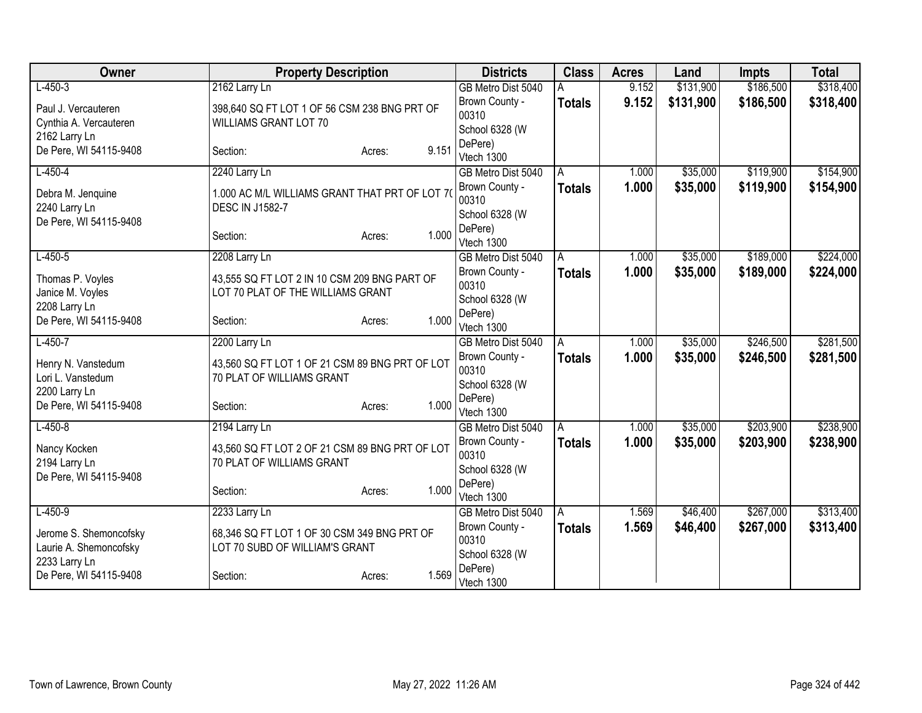| Owner                  | <b>Property Description</b>                    |                 | <b>Districts</b>          | <b>Class</b>  | <b>Acres</b> | Land      | <b>Impts</b> | <b>Total</b> |
|------------------------|------------------------------------------------|-----------------|---------------------------|---------------|--------------|-----------|--------------|--------------|
| $L-450-3$              | 2162 Larry Ln                                  |                 | GB Metro Dist 5040        |               | 9.152        | \$131,900 | \$186,500    | \$318,400    |
| Paul J. Vercauteren    | 398,640 SQ FT LOT 1 OF 56 CSM 238 BNG PRT OF   |                 | Brown County -            | <b>Totals</b> | 9.152        | \$131,900 | \$186,500    | \$318,400    |
| Cynthia A. Vercauteren | <b>WILLIAMS GRANT LOT 70</b>                   |                 | 00310                     |               |              |           |              |              |
| 2162 Larry Ln          |                                                |                 | School 6328 (W            |               |              |           |              |              |
| De Pere, WI 54115-9408 | Section:                                       | 9.151<br>Acres: | DePere)                   |               |              |           |              |              |
|                        |                                                |                 | Vtech 1300                |               |              |           |              |              |
| $L-450-4$              | 2240 Larry Ln                                  |                 | GB Metro Dist 5040        | A             | 1.000        | \$35,000  | \$119,900    | \$154,900    |
| Debra M. Jenquine      | 1.000 AC M/L WILLIAMS GRANT THAT PRT OF LOT 70 |                 | Brown County -<br>00310   | <b>Totals</b> | 1.000        | \$35,000  | \$119,900    | \$154,900    |
| 2240 Larry Ln          | <b>DESC IN J1582-7</b>                         |                 |                           |               |              |           |              |              |
| De Pere, WI 54115-9408 |                                                |                 | School 6328 (W<br>DePere) |               |              |           |              |              |
|                        | Section:                                       | 1.000<br>Acres: | Vtech 1300                |               |              |           |              |              |
| $L-450-5$              | 2208 Larry Ln                                  |                 | GB Metro Dist 5040        | A             | 1.000        | \$35,000  | \$189,000    | \$224,000    |
|                        |                                                |                 | Brown County -            | <b>Totals</b> | 1.000        | \$35,000  | \$189,000    | \$224,000    |
| Thomas P. Voyles       | 43,555 SQ FT LOT 2 IN 10 CSM 209 BNG PART OF   |                 | 00310                     |               |              |           |              |              |
| Janice M. Voyles       | LOT 70 PLAT OF THE WILLIAMS GRANT              |                 | School 6328 (W            |               |              |           |              |              |
| 2208 Larry Ln          |                                                |                 | DePere)                   |               |              |           |              |              |
| De Pere, WI 54115-9408 | Section:                                       | 1.000<br>Acres: | Vtech 1300                |               |              |           |              |              |
| $L-450-7$              | 2200 Larry Ln                                  |                 | GB Metro Dist 5040        | A             | 1.000        | \$35,000  | \$246,500    | \$281,500    |
| Henry N. Vanstedum     | 43,560 SQ FT LOT 1 OF 21 CSM 89 BNG PRT OF LOT |                 | Brown County -            | <b>Totals</b> | 1.000        | \$35,000  | \$246,500    | \$281,500    |
| Lori L. Vanstedum      | 70 PLAT OF WILLIAMS GRANT                      |                 | 00310                     |               |              |           |              |              |
| 2200 Larry Ln          |                                                |                 | School 6328 (W            |               |              |           |              |              |
| De Pere, WI 54115-9408 | Section:                                       | 1.000<br>Acres: | DePere)                   |               |              |           |              |              |
|                        |                                                |                 | Vtech 1300                |               |              |           |              |              |
| $L-450-8$              | 2194 Larry Ln                                  |                 | GB Metro Dist 5040        | A             | 1.000        | \$35,000  | \$203,900    | \$238,900    |
| Nancy Kocken           | 43,560 SQ FT LOT 2 OF 21 CSM 89 BNG PRT OF LOT |                 | Brown County -            | <b>Totals</b> | 1.000        | \$35,000  | \$203,900    | \$238,900    |
| 2194 Larry Ln          | 70 PLAT OF WILLIAMS GRANT                      |                 | 00310                     |               |              |           |              |              |
| De Pere, WI 54115-9408 |                                                |                 | School 6328 (W            |               |              |           |              |              |
|                        | Section:                                       | 1.000<br>Acres: | DePere)<br>Vtech 1300     |               |              |           |              |              |
| $L-450-9$              | 2233 Larry Ln                                  |                 | GB Metro Dist 5040        | A             | 1.569        | \$46,400  | \$267,000    | \$313,400    |
|                        |                                                |                 | Brown County -            | <b>Totals</b> | 1.569        | \$46,400  | \$267,000    | \$313,400    |
| Jerome S. Shemoncofsky | 68,346 SQ FT LOT 1 OF 30 CSM 349 BNG PRT OF    |                 | 00310                     |               |              |           |              |              |
| Laurie A. Shemoncofsky | LOT 70 SUBD OF WILLIAM'S GRANT                 |                 | School 6328 (W            |               |              |           |              |              |
| 2233 Larry Ln          |                                                |                 | DePere)                   |               |              |           |              |              |
| De Pere, WI 54115-9408 | Section:                                       | 1.569<br>Acres: | Vtech 1300                |               |              |           |              |              |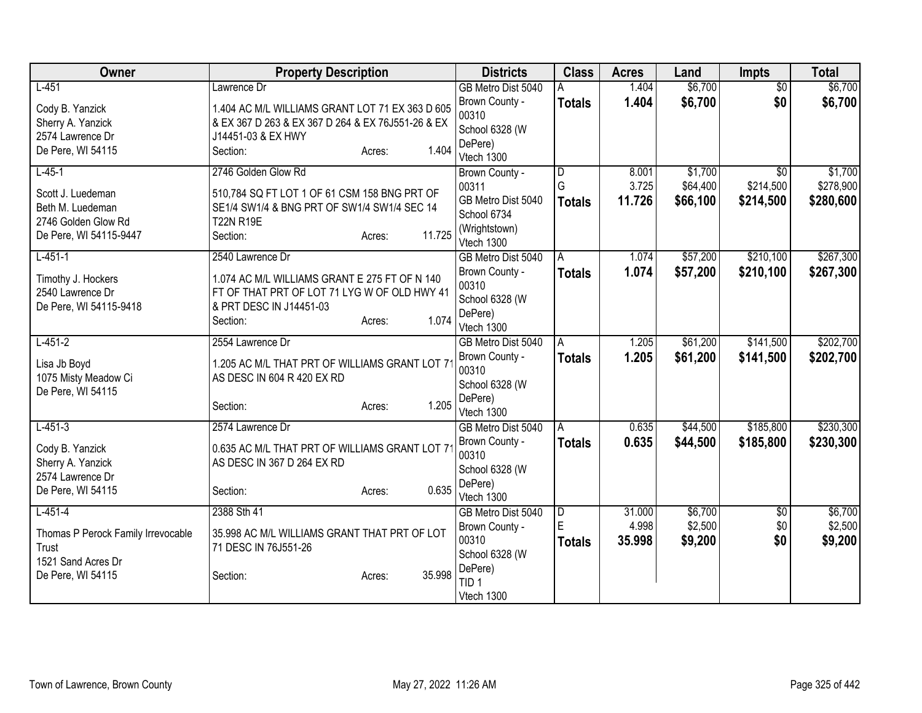| Owner                                   | <b>Property Description</b>                                     |        |        | <b>Districts</b>                 | <b>Class</b>   | <b>Acres</b> | Land     | <b>Impts</b>    | <b>Total</b> |
|-----------------------------------------|-----------------------------------------------------------------|--------|--------|----------------------------------|----------------|--------------|----------|-----------------|--------------|
| $L-451$                                 | Lawrence Dr                                                     |        |        | GB Metro Dist 5040               | Α              | 1.404        | \$6,700  | $\overline{50}$ | \$6,700      |
| Cody B. Yanzick                         | 1.404 AC M/L WILLIAMS GRANT LOT 71 EX 363 D 605                 |        |        | Brown County -                   | <b>Totals</b>  | 1.404        | \$6,700  | \$0             | \$6,700      |
| Sherry A. Yanzick                       | & EX 367 D 263 & EX 367 D 264 & EX 76J551-26 & EX               |        |        | 00310                            |                |              |          |                 |              |
| 2574 Lawrence Dr                        | J14451-03 & EX HWY                                              |        |        | School 6328 (W                   |                |              |          |                 |              |
| De Pere, WI 54115                       | Section:                                                        | Acres: | 1.404  | DePere)<br>Vtech 1300            |                |              |          |                 |              |
| $L-45-1$                                | 2746 Golden Glow Rd                                             |        |        | Brown County -                   | D              | 8.001        | \$1,700  | \$0             | \$1,700      |
|                                         |                                                                 |        |        | 00311                            | G              | 3.725        | \$64,400 | \$214,500       | \$278,900    |
| Scott J. Luedeman                       | 510,784 SQ FT LOT 1 OF 61 CSM 158 BNG PRT OF                    |        |        | GB Metro Dist 5040               | <b>Totals</b>  | 11.726       | \$66,100 | \$214,500       | \$280,600    |
| Beth M. Luedeman<br>2746 Golden Glow Rd | SE1/4 SW1/4 & BNG PRT OF SW1/4 SW1/4 SEC 14<br><b>T22N R19E</b> |        |        | School 6734                      |                |              |          |                 |              |
| De Pere, WI 54115-9447                  | Section:                                                        | Acres: | 11.725 | (Wrightstown)                    |                |              |          |                 |              |
|                                         |                                                                 |        |        | Vtech 1300                       |                |              |          |                 |              |
| $L-451-1$                               | 2540 Lawrence Dr                                                |        |        | GB Metro Dist 5040               | $\overline{A}$ | 1.074        | \$57,200 | \$210,100       | \$267,300    |
| Timothy J. Hockers                      | 1.074 AC M/L WILLIAMS GRANT E 275 FT OF N 140                   |        |        | Brown County -<br>00310          | <b>Totals</b>  | 1.074        | \$57,200 | \$210,100       | \$267,300    |
| 2540 Lawrence Dr                        | FT OF THAT PRT OF LOT 71 LYG W OF OLD HWY 41                    |        |        | School 6328 (W                   |                |              |          |                 |              |
| De Pere, WI 54115-9418                  | & PRT DESC IN J14451-03                                         |        |        | DePere)                          |                |              |          |                 |              |
|                                         | Section:                                                        | Acres: | 1.074  | Vtech 1300                       |                |              |          |                 |              |
| $L-451-2$                               | 2554 Lawrence Dr                                                |        |        | GB Metro Dist 5040               | A              | 1.205        | \$61,200 | \$141,500       | \$202,700    |
| Lisa Jb Boyd                            | 1.205 AC M/L THAT PRT OF WILLIAMS GRANT LOT 7                   |        |        | Brown County -                   | <b>Totals</b>  | 1.205        | \$61,200 | \$141,500       | \$202,700    |
| 1075 Misty Meadow Ci                    | AS DESC IN 604 R 420 EX RD                                      |        |        | 00310                            |                |              |          |                 |              |
| De Pere, WI 54115                       |                                                                 |        |        | School 6328 (W                   |                |              |          |                 |              |
|                                         | Section:                                                        | Acres: | 1.205  | DePere)                          |                |              |          |                 |              |
| $L - 451 - 3$                           | 2574 Lawrence Dr                                                |        |        | Vtech 1300<br>GB Metro Dist 5040 | A              | 0.635        | \$44,500 | \$185,800       | \$230,300    |
|                                         |                                                                 |        |        | Brown County -                   | <b>Totals</b>  | 0.635        | \$44,500 | \$185,800       | \$230,300    |
| Cody B. Yanzick                         | 0.635 AC M/L THAT PRT OF WILLIAMS GRANT LOT 7                   |        |        | 00310                            |                |              |          |                 |              |
| Sherry A. Yanzick                       | AS DESC IN 367 D 264 EX RD                                      |        |        | School 6328 (W                   |                |              |          |                 |              |
| 2574 Lawrence Dr                        |                                                                 |        | 0.635  | DePere)                          |                |              |          |                 |              |
| De Pere, WI 54115                       | Section:                                                        | Acres: |        | Vtech 1300                       |                |              |          |                 |              |
| $L-451-4$                               | 2388 Sth 41                                                     |        |        | GB Metro Dist 5040               | D              | 31.000       | \$6,700  | \$0             | \$6,700      |
| Thomas P Perock Family Irrevocable      | 35.998 AC M/L WILLIAMS GRANT THAT PRT OF LOT                    |        |        | Brown County -                   | E              | 4.998        | \$2,500  | \$0             | \$2,500      |
| Trust                                   | 71 DESC IN 76J551-26                                            |        |        | 00310                            | <b>Totals</b>  | 35.998       | \$9,200  | \$0             | \$9,200      |
| 1521 Sand Acres Dr                      |                                                                 |        |        | School 6328 (W                   |                |              |          |                 |              |
| De Pere, WI 54115                       | Section:                                                        | Acres: | 35.998 | DePere)<br>TID <sub>1</sub>      |                |              |          |                 |              |
|                                         |                                                                 |        |        | Vtech 1300                       |                |              |          |                 |              |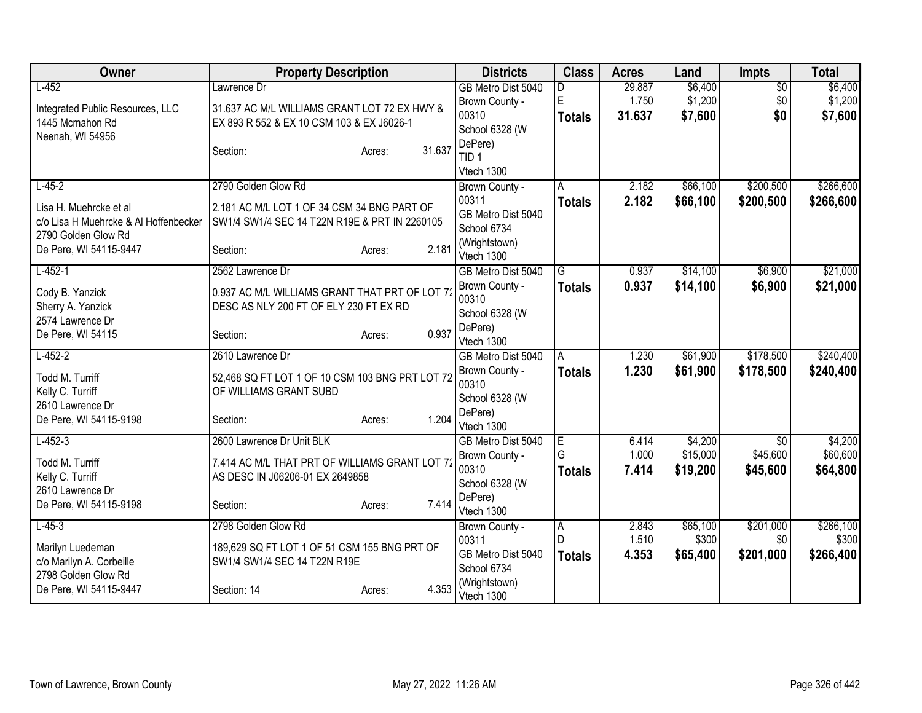| Owner                                      | <b>Property Description</b>                     |                  | <b>Districts</b>               | <b>Class</b>   | <b>Acres</b> | Land     | <b>Impts</b> | <b>Total</b> |
|--------------------------------------------|-------------------------------------------------|------------------|--------------------------------|----------------|--------------|----------|--------------|--------------|
| $L-452$                                    | Lawrence Dr                                     |                  | GB Metro Dist 5040             | D.             | 29.887       | \$6,400  | \$0          | \$6,400      |
| Integrated Public Resources, LLC           | 31.637 AC M/L WILLIAMS GRANT LOT 72 EX HWY &    |                  | Brown County -                 | E              | 1.750        | \$1,200  | \$0          | \$1,200      |
| 1445 Mcmahon Rd                            | EX 893 R 552 & EX 10 CSM 103 & EX J6026-1       |                  | 00310                          | <b>Totals</b>  | 31.637       | \$7,600  | \$0          | \$7,600      |
| Neenah, WI 54956                           |                                                 |                  | School 6328 (W                 |                |              |          |              |              |
|                                            | Section:                                        | 31.637<br>Acres: | DePere)                        |                |              |          |              |              |
|                                            |                                                 |                  | TID <sub>1</sub><br>Vtech 1300 |                |              |          |              |              |
| $L-45-2$                                   | 2790 Golden Glow Rd                             |                  |                                | A              | 2.182        | \$66,100 | \$200,500    | \$266,600    |
|                                            |                                                 |                  | Brown County -<br>00311        | <b>Totals</b>  | 2.182        | \$66,100 | \$200,500    | \$266,600    |
| Lisa H. Muehrcke et al                     | 2.181 AC M/L LOT 1 OF 34 CSM 34 BNG PART OF     |                  | GB Metro Dist 5040             |                |              |          |              |              |
| c/o Lisa H Muehrcke & Al Hoffenbecker      | SW1/4 SW1/4 SEC 14 T22N R19E & PRT IN 2260105   |                  | School 6734                    |                |              |          |              |              |
| 2790 Golden Glow Rd                        |                                                 |                  | (Wrightstown)                  |                |              |          |              |              |
| De Pere, WI 54115-9447                     | Section:                                        | 2.181<br>Acres:  | Vtech 1300                     |                |              |          |              |              |
| $L-452-1$                                  | 2562 Lawrence Dr                                |                  | GB Metro Dist 5040             | G              | 0.937        | \$14,100 | \$6,900      | \$21,000     |
|                                            | 0.937 AC M/L WILLIAMS GRANT THAT PRT OF LOT 72  |                  | Brown County -                 | <b>Totals</b>  | 0.937        | \$14,100 | \$6,900      | \$21,000     |
| Cody B. Yanzick<br>Sherry A. Yanzick       | DESC AS NLY 200 FT OF ELY 230 FT EX RD          |                  | 00310                          |                |              |          |              |              |
| 2574 Lawrence Dr                           |                                                 |                  | School 6328 (W                 |                |              |          |              |              |
| De Pere, WI 54115                          | Section:                                        | 0.937<br>Acres:  | DePere)                        |                |              |          |              |              |
|                                            |                                                 |                  | Vtech 1300                     |                |              |          |              |              |
| $L-452-2$                                  | 2610 Lawrence Dr                                |                  | GB Metro Dist 5040             | A              | 1.230        | \$61,900 | \$178,500    | \$240,400    |
| Todd M. Turriff                            | 52,468 SQ FT LOT 1 OF 10 CSM 103 BNG PRT LOT 72 |                  | Brown County -                 | <b>Totals</b>  | 1.230        | \$61,900 | \$178,500    | \$240,400    |
| Kelly C. Turriff                           | OF WILLIAMS GRANT SUBD                          |                  | 00310                          |                |              |          |              |              |
| 2610 Lawrence Dr                           |                                                 |                  | School 6328 (W<br>DePere)      |                |              |          |              |              |
| De Pere, WI 54115-9198                     | Section:                                        | 1.204<br>Acres:  | Vtech 1300                     |                |              |          |              |              |
| $L-452-3$                                  | 2600 Lawrence Dr Unit BLK                       |                  | GB Metro Dist 5040             | $\overline{E}$ | 6.414        | \$4,200  | \$0          | \$4,200      |
|                                            |                                                 |                  | Brown County -                 | G              | 1.000        | \$15,000 | \$45,600     | \$60,600     |
| Todd M. Turriff                            | 7.414 AC M/L THAT PRT OF WILLIAMS GRANT LOT 72  |                  | 00310                          | <b>Totals</b>  | 7.414        | \$19,200 | \$45,600     | \$64,800     |
| Kelly C. Turriff                           | AS DESC IN J06206-01 EX 2649858                 |                  | School 6328 (W                 |                |              |          |              |              |
| 2610 Lawrence Dr<br>De Pere, WI 54115-9198 |                                                 | 7.414            | DePere)                        |                |              |          |              |              |
|                                            | Section:                                        | Acres:           | Vtech 1300                     |                |              |          |              |              |
| $L-45-3$                                   | 2798 Golden Glow Rd                             |                  | Brown County -                 | A              | 2.843        | \$65,100 | \$201,000    | \$266,100    |
| Marilyn Luedeman                           | 189,629 SQ FT LOT 1 OF 51 CSM 155 BNG PRT OF    |                  | 00311                          | l D            | 1.510        | \$300    | \$0          | \$300        |
| c/o Marilyn A. Corbeille                   | SW1/4 SW1/4 SEC 14 T22N R19E                    |                  | GB Metro Dist 5040             | <b>Totals</b>  | 4.353        | \$65,400 | \$201,000    | \$266,400    |
| 2798 Golden Glow Rd                        |                                                 |                  | School 6734                    |                |              |          |              |              |
| De Pere, WI 54115-9447                     | Section: 14                                     | 4.353<br>Acres:  | (Wrightstown)<br>Vtech 1300    |                |              |          |              |              |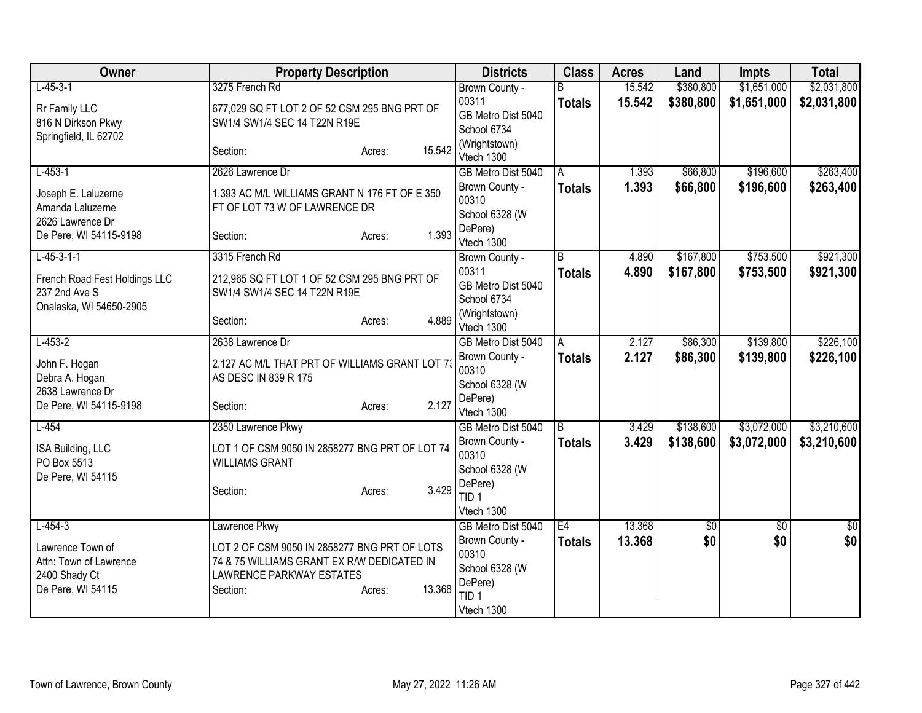| Owner                            | <b>Property Description</b>                    | <b>Districts</b>            | <b>Class</b>  | <b>Acres</b> | Land      | <b>Impts</b> | <b>Total</b> |
|----------------------------------|------------------------------------------------|-----------------------------|---------------|--------------|-----------|--------------|--------------|
| $L-45-3-1$                       | 3275 French Rd                                 | Brown County -              | R.            | 15.542       | \$380,800 | \$1,651,000  | \$2,031,800  |
| Rr Family LLC                    | 677,029 SQ FT LOT 2 OF 52 CSM 295 BNG PRT OF   | 00311                       | <b>Totals</b> | 15.542       | \$380,800 | \$1,651,000  | \$2,031,800  |
| 816 N Dirkson Pkwy               | SW1/4 SW1/4 SEC 14 T22N R19E                   | GB Metro Dist 5040          |               |              |           |              |              |
| Springfield, IL 62702            |                                                | School 6734                 |               |              |           |              |              |
|                                  | 15.542<br>Section:<br>Acres:                   | (Wrightstown)<br>Vtech 1300 |               |              |           |              |              |
| $L-453-1$                        | 2626 Lawrence Dr                               | GB Metro Dist 5040          | l A           | 1.393        | \$66,800  | \$196,600    | \$263,400    |
| Joseph E. Laluzerne              | 1.393 AC M/L WILLIAMS GRANT N 176 FT OF E 350  | Brown County -              | Totals        | 1.393        | \$66,800  | \$196,600    | \$263,400    |
| Amanda Laluzerne                 | FT OF LOT 73 W OF LAWRENCE DR                  | 00310                       |               |              |           |              |              |
| 2626 Lawrence Dr                 |                                                | School 6328 (W              |               |              |           |              |              |
| De Pere, WI 54115-9198           | 1.393<br>Section:<br>Acres:                    | DePere)<br>Vtech 1300       |               |              |           |              |              |
| $L-45-3-1-1$                     | 3315 French Rd                                 | Brown County -              | B             | 4.890        | \$167,800 | \$753,500    | \$921,300    |
|                                  |                                                | 00311                       | <b>Totals</b> | 4.890        | \$167,800 | \$753,500    | \$921,300    |
| French Road Fest Holdings LLC    | 212,965 SQ FT LOT 1 OF 52 CSM 295 BNG PRT OF   | GB Metro Dist 5040          |               |              |           |              |              |
| 237 2nd Ave S                    | SW1/4 SW1/4 SEC 14 T22N R19E                   | School 6734                 |               |              |           |              |              |
| Onalaska, WI 54650-2905          | 4.889                                          | (Wrightstown)               |               |              |           |              |              |
|                                  | Section:<br>Acres:                             | Vtech 1300                  |               |              |           |              |              |
| $L-453-2$                        | 2638 Lawrence Dr                               | GB Metro Dist 5040          | A             | 2.127        | \$86,300  | \$139,800    | \$226,100    |
| John F. Hogan                    | 2.127 AC M/L THAT PRT OF WILLIAMS GRANT LOT 73 | Brown County -              | Totals        | 2.127        | \$86,300  | \$139,800    | \$226,100    |
| Debra A. Hogan                   | AS DESC IN 839 R 175                           | 00310                       |               |              |           |              |              |
| 2638 Lawrence Dr                 |                                                | School 6328 (W<br>DePere)   |               |              |           |              |              |
| De Pere, WI 54115-9198           | 2.127<br>Section:<br>Acres:                    | Vtech 1300                  |               |              |           |              |              |
| $L-454$                          | 2350 Lawrence Pkwy                             | GB Metro Dist 5040          | B             | 3.429        | \$138,600 | \$3,072,000  | \$3,210,600  |
|                                  |                                                | Brown County -              | <b>Totals</b> | 3.429        | \$138,600 | \$3,072,000  | \$3,210,600  |
| ISA Building, LLC                | LOT 1 OF CSM 9050 IN 2858277 BNG PRT OF LOT 74 | 00310                       |               |              |           |              |              |
| PO Box 5513<br>De Pere, WI 54115 | <b>WILLIAMS GRANT</b>                          | School 6328 (W              |               |              |           |              |              |
|                                  | 3.429<br>Section:<br>Acres:                    | DePere)                     |               |              |           |              |              |
|                                  |                                                | TID <sub>1</sub>            |               |              |           |              |              |
|                                  |                                                | Vtech 1300                  |               |              |           |              |              |
| $L - 454 - 3$                    | Lawrence Pkwy                                  | GB Metro Dist 5040          | E4            | 13.368       | \$0       | \$0          | \$0          |
| Lawrence Town of                 | LOT 2 OF CSM 9050 IN 2858277 BNG PRT OF LOTS   | Brown County -<br>00310     | <b>Totals</b> | 13.368       | \$0       | \$0          | \$0          |
| Attn: Town of Lawrence           | 74 & 75 WILLIAMS GRANT EX R/W DEDICATED IN     | School 6328 (W              |               |              |           |              |              |
| 2400 Shady Ct                    | <b>LAWRENCE PARKWAY ESTATES</b>                | DePere)                     |               |              |           |              |              |
| De Pere, WI 54115                | 13.368<br>Section:<br>Acres:                   | TID <sub>1</sub>            |               |              |           |              |              |
|                                  |                                                | Vtech 1300                  |               |              |           |              |              |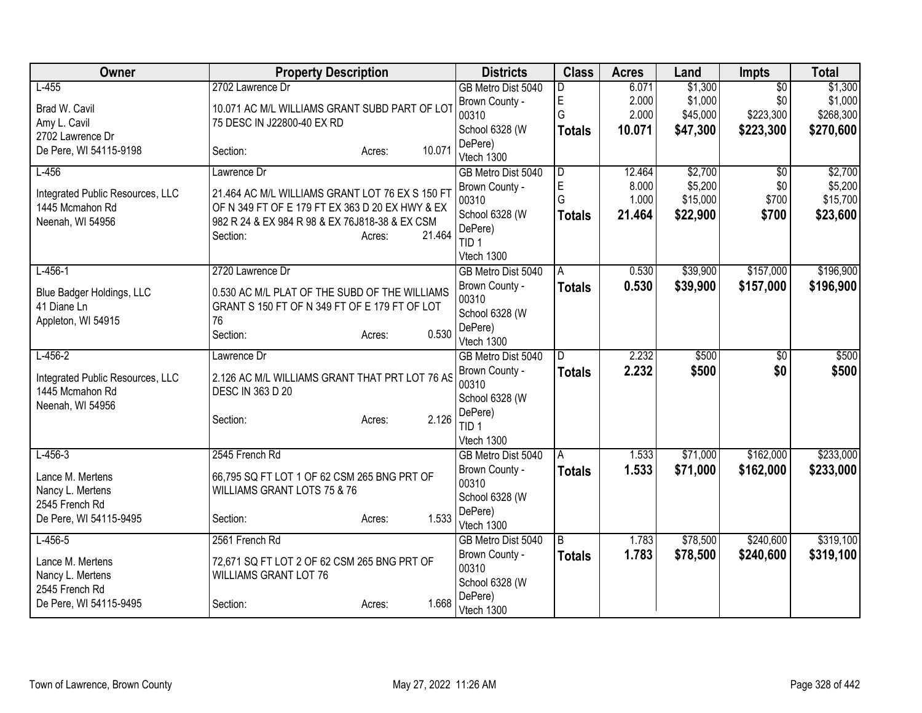| Owner                                               | <b>Property Description</b>                                               |                  | <b>Districts</b>                 | <b>Class</b>  | <b>Acres</b> | Land     | <b>Impts</b>    | <b>Total</b> |
|-----------------------------------------------------|---------------------------------------------------------------------------|------------------|----------------------------------|---------------|--------------|----------|-----------------|--------------|
| $L-455$                                             | 2702 Lawrence Dr                                                          |                  | GB Metro Dist 5040               | D             | 6.071        | \$1,300  | $\overline{50}$ | \$1,300      |
| Brad W. Cavil                                       | 10.071 AC M/L WILLIAMS GRANT SUBD PART OF LOT                             |                  | Brown County -                   | E             | 2.000        | \$1,000  | \$0             | \$1,000      |
| Amy L. Cavil                                        | 75 DESC IN J22800-40 EX RD                                                |                  | 00310                            | G             | 2.000        | \$45,000 | \$223,300       | \$268,300    |
| 2702 Lawrence Dr                                    |                                                                           |                  | School 6328 (W<br>DePere)        | <b>Totals</b> | 10.071       | \$47,300 | \$223,300       | \$270,600    |
| De Pere, WI 54115-9198                              | Section:                                                                  | 10.071<br>Acres: | Vtech 1300                       |               |              |          |                 |              |
| $L-456$                                             | Lawrence Dr                                                               |                  | GB Metro Dist 5040               | D             | 12.464       | \$2,700  | $\overline{50}$ | \$2,700      |
| Integrated Public Resources, LLC                    | 21.464 AC M/L WILLIAMS GRANT LOT 76 EX S 150 FT                           |                  | Brown County -                   | E             | 8.000        | \$5,200  | \$0             | \$5,200      |
| 1445 Mcmahon Rd                                     | OF N 349 FT OF E 179 FT EX 363 D 20 EX HWY & EX                           |                  | 00310                            | G             | 1.000        | \$15,000 | \$700           | \$15,700     |
| Neenah, WI 54956                                    | 982 R 24 & EX 984 R 98 & EX 76J818-38 & EX CSM                            |                  | School 6328 (W                   | Totals        | 21.464       | \$22,900 | \$700           | \$23,600     |
|                                                     | Section:                                                                  | 21.464<br>Acres: | DePere)<br>TID <sub>1</sub>      |               |              |          |                 |              |
|                                                     |                                                                           |                  | Vtech 1300                       |               |              |          |                 |              |
| $L-456-1$                                           | 2720 Lawrence Dr                                                          |                  | GB Metro Dist 5040               | A             | 0.530        | \$39,900 | \$157,000       | \$196,900    |
| Blue Badger Holdings, LLC                           | 0.530 AC M/L PLAT OF THE SUBD OF THE WILLIAMS                             |                  | Brown County -                   | Totals        | 0.530        | \$39,900 | \$157,000       | \$196,900    |
| 41 Diane Ln                                         | GRANT S 150 FT OF N 349 FT OF E 179 FT OF LOT                             |                  | 00310                            |               |              |          |                 |              |
| Appleton, WI 54915                                  | 76                                                                        |                  | School 6328 (W                   |               |              |          |                 |              |
|                                                     | Section:                                                                  | 0.530<br>Acres:  | DePere)<br>Vtech 1300            |               |              |          |                 |              |
| $L-456-2$                                           | Lawrence Dr                                                               |                  | GB Metro Dist 5040               | D             | 2.232        | \$500    | $\overline{50}$ | \$500        |
|                                                     |                                                                           |                  | Brown County -                   | <b>Totals</b> | 2.232        | \$500    | \$0             | \$500        |
| Integrated Public Resources, LLC<br>1445 Mcmahon Rd | 2.126 AC M/L WILLIAMS GRANT THAT PRT LOT 76 AS<br><b>DESC IN 363 D 20</b> |                  | 00310                            |               |              |          |                 |              |
| Neenah, WI 54956                                    |                                                                           |                  | School 6328 (W                   |               |              |          |                 |              |
|                                                     | Section:                                                                  | 2.126<br>Acres:  | DePere)                          |               |              |          |                 |              |
|                                                     |                                                                           |                  | TID <sub>1</sub>                 |               |              |          |                 |              |
| $L-456-3$                                           | 2545 French Rd                                                            |                  | Vtech 1300<br>GB Metro Dist 5040 | A             | 1.533        | \$71,000 | \$162,000       | \$233,000    |
|                                                     |                                                                           |                  | Brown County -                   | <b>Totals</b> | 1.533        | \$71,000 | \$162,000       | \$233,000    |
| Lance M. Mertens                                    | 66,795 SQ FT LOT 1 OF 62 CSM 265 BNG PRT OF                               |                  | 00310                            |               |              |          |                 |              |
| Nancy L. Mertens                                    | WILLIAMS GRANT LOTS 75 & 76                                               |                  | School 6328 (W                   |               |              |          |                 |              |
| 2545 French Rd                                      |                                                                           | 1.533            | DePere)                          |               |              |          |                 |              |
| De Pere, WI 54115-9495                              | Section:                                                                  | Acres:           | Vtech 1300                       |               |              |          |                 |              |
| $L-456-5$                                           | 2561 French Rd                                                            |                  | GB Metro Dist 5040               | B             | 1.783        | \$78,500 | \$240,600       | \$319,100    |
| Lance M. Mertens                                    | 72,671 SQ FT LOT 2 OF 62 CSM 265 BNG PRT OF                               |                  | Brown County -                   | <b>Totals</b> | 1.783        | \$78,500 | \$240,600       | \$319,100    |
| Nancy L. Mertens                                    | <b>WILLIAMS GRANT LOT 76</b>                                              |                  | 00310                            |               |              |          |                 |              |
| 2545 French Rd                                      |                                                                           |                  | School 6328 (W<br>DePere)        |               |              |          |                 |              |
| De Pere, WI 54115-9495                              | Section:                                                                  | 1.668<br>Acres:  | Vtech 1300                       |               |              |          |                 |              |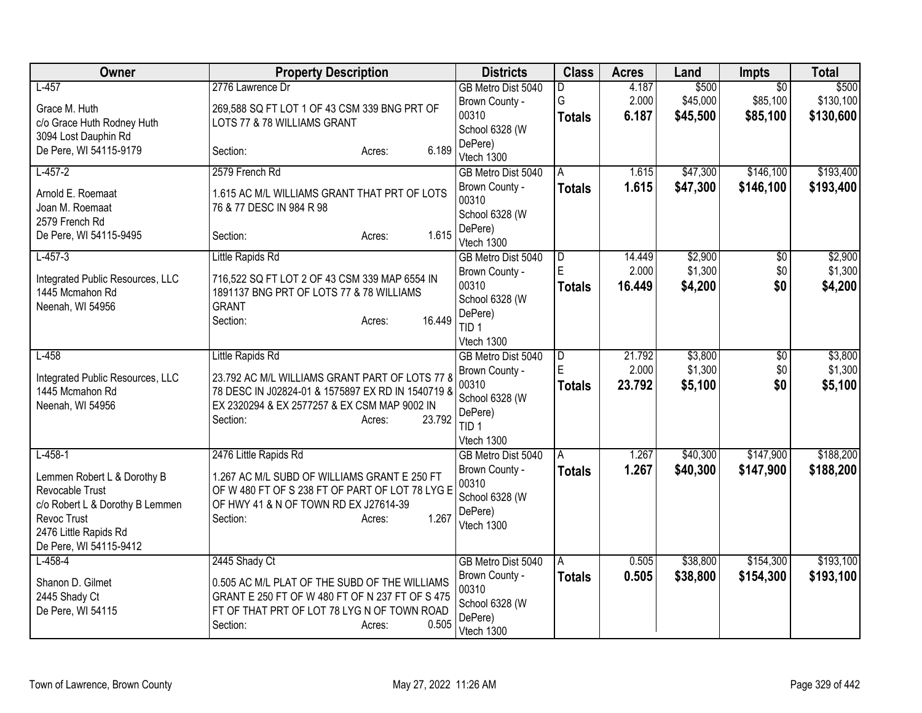| Owner                                                                                                                                                            | <b>Property Description</b>                                                                                                                                                                             | <b>Districts</b>                                                                                             | <b>Class</b>                         | <b>Acres</b>              | Land                          | <b>Impts</b>                            | <b>Total</b>                    |
|------------------------------------------------------------------------------------------------------------------------------------------------------------------|---------------------------------------------------------------------------------------------------------------------------------------------------------------------------------------------------------|--------------------------------------------------------------------------------------------------------------|--------------------------------------|---------------------------|-------------------------------|-----------------------------------------|---------------------------------|
| $L-457$<br>Grace M. Huth<br>c/o Grace Huth Rodney Huth<br>3094 Lost Dauphin Rd<br>De Pere, WI 54115-9179                                                         | 2776 Lawrence Dr<br>269,588 SQ FT LOT 1 OF 43 CSM 339 BNG PRT OF<br>LOTS 77 & 78 WILLIAMS GRANT<br>6.189<br>Section:<br>Acres:                                                                          | GB Metro Dist 5040<br>Brown County -<br>00310<br>School 6328 (W<br>DePere)<br>Vtech 1300                     | D<br>G<br><b>Totals</b>              | 4.187<br>2.000<br>6.187   | \$500<br>\$45,000<br>\$45,500 | $\overline{50}$<br>\$85,100<br>\$85,100 | \$500<br>\$130,100<br>\$130,600 |
| $L-457-2$<br>Arnold E. Roemaat<br>Joan M. Roemaat<br>2579 French Rd<br>De Pere, WI 54115-9495                                                                    | 2579 French Rd<br>1.615 AC M/L WILLIAMS GRANT THAT PRT OF LOTS<br>76 & 77 DESC IN 984 R 98<br>1.615<br>Section:<br>Acres:                                                                               | GB Metro Dist 5040<br>Brown County -<br>00310<br>School 6328 (W<br>DePere)<br>Vtech 1300                     | A<br><b>Totals</b>                   | 1.615<br>1.615            | \$47,300<br>\$47,300          | \$146,100<br>\$146,100                  | \$193,400<br>\$193,400          |
| $L-457-3$<br>Integrated Public Resources, LLC<br>1445 Mcmahon Rd<br>Neenah, WI 54956                                                                             | Little Rapids Rd<br>716,522 SQ FT LOT 2 OF 43 CSM 339 MAP 6554 IN<br>1891137 BNG PRT OF LOTS 77 & 78 WILLIAMS<br><b>GRANT</b><br>16.449<br>Section:<br>Acres:                                           | GB Metro Dist 5040<br>Brown County -<br>00310<br>School 6328 (W<br>DePere)<br>TID <sub>1</sub><br>Vtech 1300 | D<br>ΙE<br><b>Totals</b>             | 14.449<br>2.000<br>16.449 | \$2,900<br>\$1,300<br>\$4,200 | \$0<br>\$0<br>\$0                       | \$2,900<br>\$1,300<br>\$4,200   |
| $L-458$<br>Integrated Public Resources, LLC<br>1445 Mcmahon Rd<br>Neenah, WI 54956                                                                               | Little Rapids Rd<br>23.792 AC M/L WILLIAMS GRANT PART OF LOTS 77 8<br>78 DESC IN J02824-01 & 1575897 EX RD IN 1540719 &<br>EX 2320294 & EX 2577257 & EX CSM MAP 9002 IN<br>23.792<br>Section:<br>Acres: | GB Metro Dist 5040<br>Brown County -<br>00310<br>School 6328 (W<br>DePere)<br>TID <sub>1</sub><br>Vtech 1300 | $\overline{D}$<br>E<br><b>Totals</b> | 21.792<br>2.000<br>23.792 | \$3,800<br>\$1,300<br>\$5,100 | \$0<br>\$0<br>\$0                       | \$3,800<br>\$1,300<br>\$5,100   |
| $L-458-1$<br>Lemmen Robert L & Dorothy B<br>Revocable Trust<br>c/o Robert L & Dorothy B Lemmen<br>Revoc Trust<br>2476 Little Rapids Rd<br>De Pere, WI 54115-9412 | 2476 Little Rapids Rd<br>1.267 AC M/L SUBD OF WILLIAMS GRANT E 250 FT<br>OF W 480 FT OF S 238 FT OF PART OF LOT 78 LYG E<br>OF HWY 41 & N OF TOWN RD EX J27614-39<br>1.267<br>Section:<br>Acres:        | GB Metro Dist 5040<br>Brown County -<br>00310<br>School 6328 (W<br>DePere)<br>Vtech 1300                     | A<br>Totals                          | 1.267<br>1.267            | \$40,300<br>\$40,300          | \$147,900<br>\$147,900                  | \$188,200<br>\$188,200          |
| $L-458-4$<br>Shanon D. Gilmet<br>2445 Shady Ct<br>De Pere, WI 54115                                                                                              | 2445 Shady Ct<br>0.505 AC M/L PLAT OF THE SUBD OF THE WILLIAMS<br>GRANT E 250 FT OF W 480 FT OF N 237 FT OF S 475<br>FT OF THAT PRT OF LOT 78 LYG N OF TOWN ROAD<br>0.505<br>Section:<br>Acres:         | GB Metro Dist 5040<br>Brown County -<br>00310<br>School 6328 (W<br>DePere)<br>Vtech 1300                     | A<br><b>Totals</b>                   | 0.505<br>0.505            | \$38,800<br>\$38,800          | \$154,300<br>\$154,300                  | \$193,100<br>\$193,100          |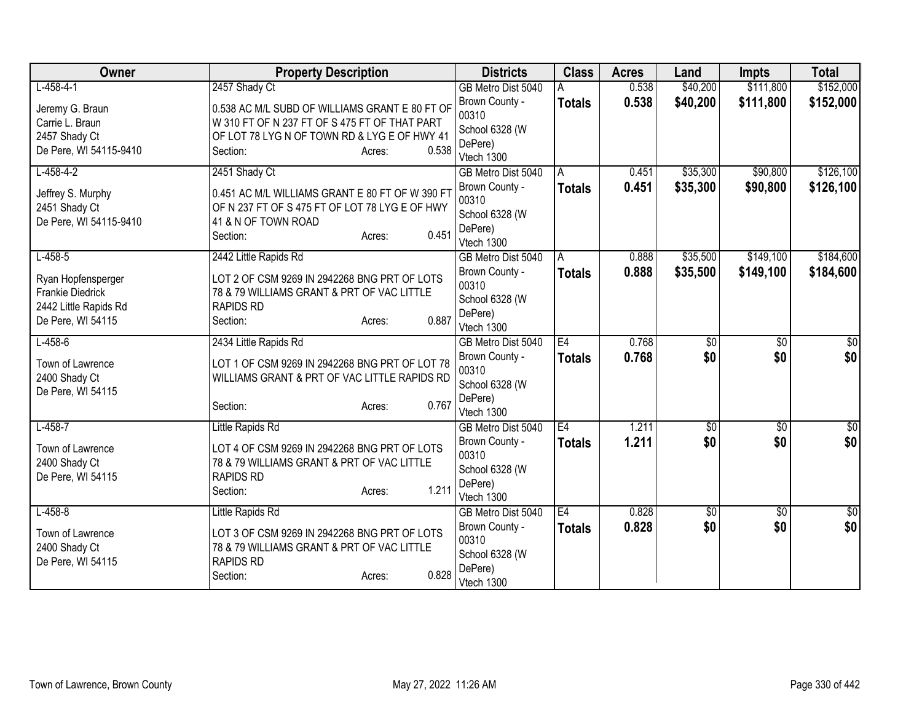| Owner                             | <b>Property Description</b>                                                                    |                 | <b>Districts</b>        | <b>Class</b>  | <b>Acres</b> | Land            | <b>Impts</b>    | <b>Total</b>    |
|-----------------------------------|------------------------------------------------------------------------------------------------|-----------------|-------------------------|---------------|--------------|-----------------|-----------------|-----------------|
| $L-458-4-1$                       | 2457 Shady Ct                                                                                  |                 | GB Metro Dist 5040      |               | 0.538        | \$40,200        | \$111,800       | \$152,000       |
| Jeremy G. Braun                   | 0.538 AC M/L SUBD OF WILLIAMS GRANT E 80 FT OF                                                 |                 | Brown County -          | <b>Totals</b> | 0.538        | \$40,200        | \$111,800       | \$152,000       |
| Carrie L. Braun                   | W 310 FT OF N 237 FT OF S 475 FT OF THAT PART                                                  |                 | 00310                   |               |              |                 |                 |                 |
| 2457 Shady Ct                     | OF LOT 78 LYG N OF TOWN RD & LYG E OF HWY 41                                                   |                 | School 6328 (W          |               |              |                 |                 |                 |
| De Pere, WI 54115-9410            | Section:                                                                                       | 0.538<br>Acres: | DePere)                 |               |              |                 |                 |                 |
|                                   |                                                                                                |                 | Vtech 1300              |               |              |                 |                 |                 |
| $L-458-4-2$                       | 2451 Shady Ct                                                                                  |                 | GB Metro Dist 5040      | A             | 0.451        | \$35,300        | \$90,800        | \$126,100       |
| Jeffrey S. Murphy                 | 0.451 AC M/L WILLIAMS GRANT E 80 FT OF W 390 FT                                                |                 | Brown County -          | <b>Totals</b> | 0.451        | \$35,300        | \$90,800        | \$126,100       |
| 2451 Shady Ct                     | OF N 237 FT OF S 475 FT OF LOT 78 LYG E OF HWY                                                 |                 | 00310                   |               |              |                 |                 |                 |
| De Pere, WI 54115-9410            | 41 & N OF TOWN ROAD                                                                            |                 | School 6328 (W          |               |              |                 |                 |                 |
|                                   | Section:                                                                                       | 0.451<br>Acres: | DePere)<br>Vtech 1300   |               |              |                 |                 |                 |
| $L - 458 - 5$                     | 2442 Little Rapids Rd                                                                          |                 | GB Metro Dist 5040      | A             | 0.888        | \$35,500        | \$149,100       | \$184,600       |
|                                   |                                                                                                |                 | Brown County -          |               | 0.888        | \$35,500        | \$149,100       | \$184,600       |
| Ryan Hopfensperger                | LOT 2 OF CSM 9269 IN 2942268 BNG PRT OF LOTS                                                   |                 | 00310                   | Totals        |              |                 |                 |                 |
| Frankie Diedrick                  | 78 & 79 WILLIAMS GRANT & PRT OF VAC LITTLE                                                     |                 | School 6328 (W          |               |              |                 |                 |                 |
| 2442 Little Rapids Rd             | <b>RAPIDS RD</b>                                                                               |                 | DePere)                 |               |              |                 |                 |                 |
| De Pere, WI 54115                 | Section:                                                                                       | 0.887<br>Acres: | Vtech 1300              |               |              |                 |                 |                 |
| $L-458-6$                         | 2434 Little Rapids Rd                                                                          |                 | GB Metro Dist 5040      | E4            | 0.768        | $\overline{50}$ | $\overline{50}$ | $\sqrt{30}$     |
|                                   |                                                                                                |                 | Brown County -          | <b>Totals</b> | 0.768        | \$0             | \$0             | \$0             |
| Town of Lawrence<br>2400 Shady Ct | LOT 1 OF CSM 9269 IN 2942268 BNG PRT OF LOT 78<br>WILLIAMS GRANT & PRT OF VAC LITTLE RAPIDS RD |                 | 00310                   |               |              |                 |                 |                 |
| De Pere, WI 54115                 |                                                                                                |                 | School 6328 (W          |               |              |                 |                 |                 |
|                                   | Section:                                                                                       | 0.767<br>Acres: | DePere)                 |               |              |                 |                 |                 |
|                                   |                                                                                                |                 | Vtech 1300              |               |              |                 |                 |                 |
| $L-458-7$                         | Little Rapids Rd                                                                               |                 | GB Metro Dist 5040      | E4            | 1.211        | $\overline{60}$ | $\overline{50}$ | $\overline{30}$ |
| Town of Lawrence                  | LOT 4 OF CSM 9269 IN 2942268 BNG PRT OF LOTS                                                   |                 | Brown County -          | <b>Totals</b> | 1.211        | \$0             | \$0             | \$0             |
| 2400 Shady Ct                     | 78 & 79 WILLIAMS GRANT & PRT OF VAC LITTLE                                                     |                 | 00310                   |               |              |                 |                 |                 |
| De Pere, WI 54115                 | <b>RAPIDS RD</b>                                                                               |                 | School 6328 (W          |               |              |                 |                 |                 |
|                                   | Section:                                                                                       | 1.211<br>Acres: | DePere)                 |               |              |                 |                 |                 |
|                                   |                                                                                                |                 | Vtech 1300              |               |              |                 |                 |                 |
| $L - 458 - 8$                     | Little Rapids Rd                                                                               |                 | GB Metro Dist 5040      | E4            | 0.828        | $\sqrt{$0}$     | $\overline{50}$ | $\sqrt{50}$     |
| Town of Lawrence                  | LOT 3 OF CSM 9269 IN 2942268 BNG PRT OF LOTS                                                   |                 | Brown County -          | <b>Totals</b> | 0.828        | \$0             | \$0             | \$0             |
| 2400 Shady Ct                     | 78 & 79 WILLIAMS GRANT & PRT OF VAC LITTLE                                                     |                 | 00310<br>School 6328 (W |               |              |                 |                 |                 |
| De Pere, WI 54115                 | <b>RAPIDS RD</b>                                                                               |                 | DePere)                 |               |              |                 |                 |                 |
|                                   | Section:                                                                                       | 0.828<br>Acres: | Vtech 1300              |               |              |                 |                 |                 |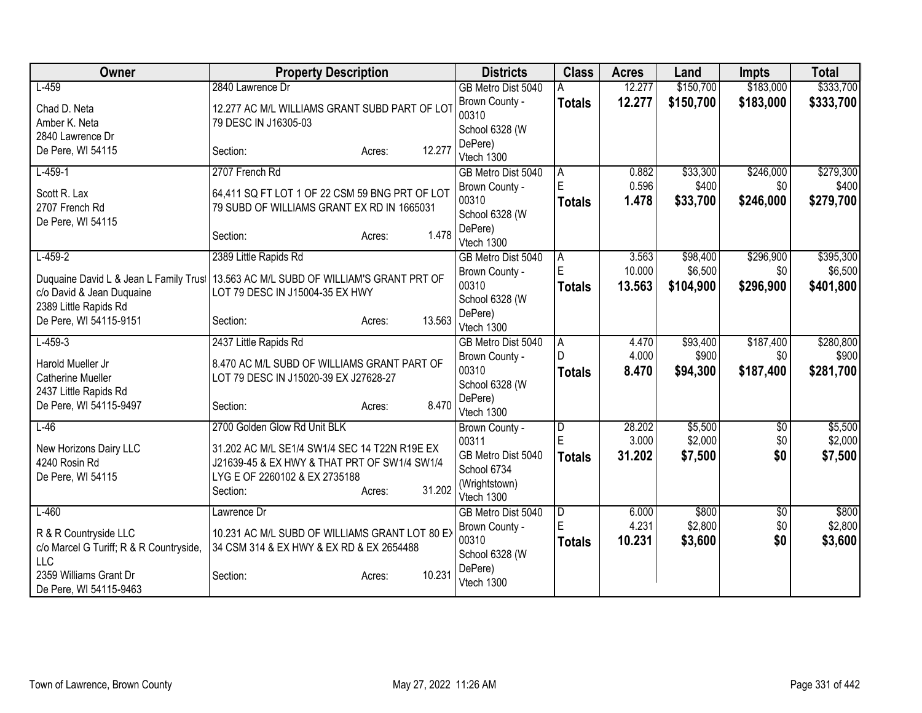| Owner                                   | <b>Property Description</b>                                           | <b>Districts</b>          | <b>Class</b>   | <b>Acres</b> | Land      | <b>Impts</b> | <b>Total</b> |
|-----------------------------------------|-----------------------------------------------------------------------|---------------------------|----------------|--------------|-----------|--------------|--------------|
| $L-459$                                 | 2840 Lawrence Dr                                                      | GB Metro Dist 5040        |                | 12.277       | \$150,700 | \$183,000    | \$333,700    |
| Chad D. Neta<br>Amber K. Neta           | 12.277 AC M/L WILLIAMS GRANT SUBD PART OF LOT<br>79 DESC IN J16305-03 | Brown County -<br>00310   | <b>Totals</b>  | 12.277       | \$150,700 | \$183,000    | \$333,700    |
| 2840 Lawrence Dr                        |                                                                       | School 6328 (W            |                |              |           |              |              |
| De Pere, WI 54115                       | 12.277<br>Section:<br>Acres:                                          | DePere)<br>Vtech 1300     |                |              |           |              |              |
| $L-459-1$                               | 2707 French Rd                                                        | GB Metro Dist 5040        | A              | 0.882        | \$33,300  | \$246,000    | \$279,300    |
| Scott R. Lax                            | 64,411 SQ FT LOT 1 OF 22 CSM 59 BNG PRT OF LOT                        | Brown County -            | E              | 0.596        | \$400     | \$0          | \$400        |
| 2707 French Rd                          | 79 SUBD OF WILLIAMS GRANT EX RD IN 1665031                            | 00310                     | <b>Totals</b>  | 1.478        | \$33,700  | \$246,000    | \$279,700    |
| De Pere, WI 54115                       |                                                                       | School 6328 (W<br>DePere) |                |              |           |              |              |
|                                         | 1.478<br>Section:<br>Acres:                                           | Vtech 1300                |                |              |           |              |              |
| $L-459-2$                               | 2389 Little Rapids Rd                                                 | GB Metro Dist 5040        | A              | 3.563        | \$98,400  | \$296,900    | \$395,300    |
| Duquaine David L & Jean L Family Trust  | 13.563 AC M/L SUBD OF WILLIAM'S GRANT PRT OF                          | Brown County -            | E              | 10.000       | \$6,500   | \$0          | \$6,500      |
| c/o David & Jean Duquaine               | LOT 79 DESC IN J15004-35 EX HWY                                       | 00310                     | <b>Totals</b>  | 13.563       | \$104,900 | \$296,900    | \$401,800    |
| 2389 Little Rapids Rd                   |                                                                       | School 6328 (W<br>DePere) |                |              |           |              |              |
| De Pere, WI 54115-9151                  | 13.563<br>Section:<br>Acres:                                          | Vtech 1300                |                |              |           |              |              |
| $L-459-3$                               | 2437 Little Rapids Rd                                                 | GB Metro Dist 5040        | A              | 4.470        | \$93,400  | \$187,400    | \$280,800    |
| Harold Mueller Jr                       | 8.470 AC M/L SUBD OF WILLIAMS GRANT PART OF                           | Brown County -            | D              | 4.000        | \$900     | \$0          | \$900        |
| <b>Catherine Mueller</b>                | LOT 79 DESC IN J15020-39 EX J27628-27                                 | 00310                     | <b>Totals</b>  | 8.470        | \$94,300  | \$187,400    | \$281,700    |
| 2437 Little Rapids Rd                   |                                                                       | School 6328 (W            |                |              |           |              |              |
| De Pere, WI 54115-9497                  | 8.470<br>Section:<br>Acres:                                           | DePere)<br>Vtech 1300     |                |              |           |              |              |
| $L-46$                                  | 2700 Golden Glow Rd Unit BLK                                          | Brown County -            | $\overline{D}$ | 28.202       | \$5,500   | $\sqrt{$0}$  | \$5,500      |
|                                         |                                                                       | 00311                     | E              | 3.000        | \$2,000   | \$0          | \$2,000      |
| New Horizons Dairy LLC                  | 31.202 AC M/L SE1/4 SW1/4 SEC 14 T22N R19E EX                         | GB Metro Dist 5040        | <b>Totals</b>  | 31.202       | \$7,500   | \$0          | \$7,500      |
| 4240 Rosin Rd                           | J21639-45 & EX HWY & THAT PRT OF SW1/4 SW1/4                          | School 6734               |                |              |           |              |              |
| De Pere, WI 54115                       | LYG E OF 2260102 & EX 2735188<br>31.202                               | (Wrightstown)             |                |              |           |              |              |
|                                         | Section:<br>Acres:                                                    | Vtech 1300                |                |              |           |              |              |
| $L-460$                                 | Lawrence Dr                                                           | GB Metro Dist 5040        | $\overline{D}$ | 6.000        | \$800     | \$0          | \$800        |
| R & R Countryside LLC                   | 10.231 AC M/L SUBD OF WILLIAMS GRANT LOT 80 EX                        | Brown County -            | E              | 4.231        | \$2,800   | \$0          | \$2,800      |
| c/o Marcel G Turiff; R & R Countryside, | 34 CSM 314 & EX HWY & EX RD & EX 2654488                              | 00310                     | Totals         | 10.231       | \$3,600   | \$0          | \$3,600      |
| <b>LLC</b>                              |                                                                       | School 6328 (W            |                |              |           |              |              |
| 2359 Williams Grant Dr                  | 10.231<br>Section:<br>Acres:                                          | DePere)<br>Vtech 1300     |                |              |           |              |              |
| De Pere, WI 54115-9463                  |                                                                       |                           |                |              |           |              |              |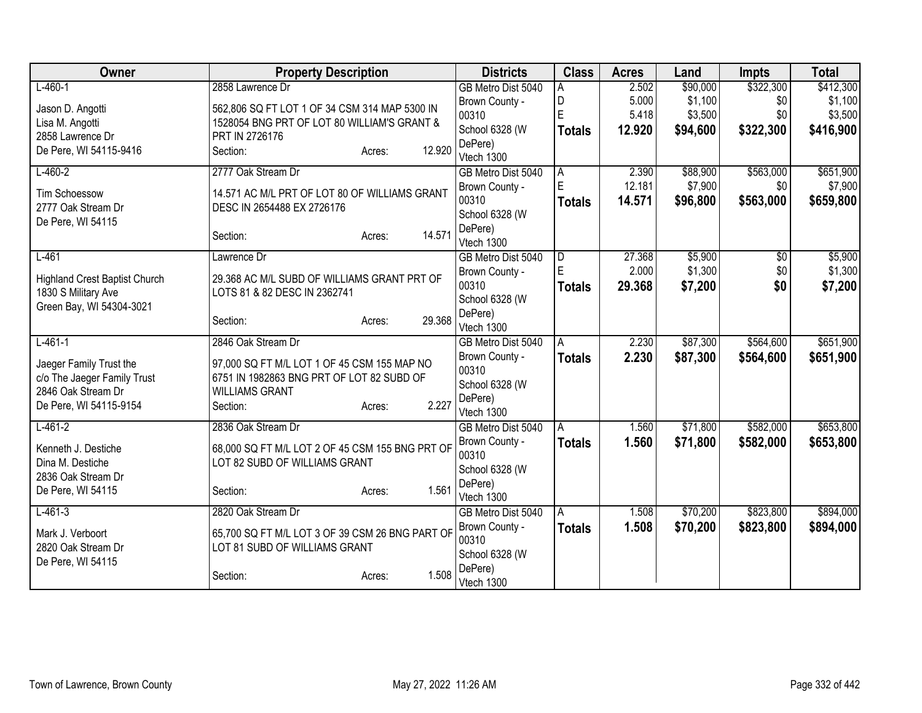| Owner                                                  | <b>Property Description</b>                     |        | <b>Districts</b>          | <b>Class</b>  | <b>Acres</b> | Land     | <b>Impts</b> | <b>Total</b> |
|--------------------------------------------------------|-------------------------------------------------|--------|---------------------------|---------------|--------------|----------|--------------|--------------|
| $L-460-1$                                              | 2858 Lawrence Dr                                |        | GB Metro Dist 5040        | А             | 2.502        | \$90,000 | \$322,300    | \$412,300    |
| Jason D. Angotti                                       | 562,806 SQ FT LOT 1 OF 34 CSM 314 MAP 5300 IN   |        | Brown County -            | D             | 5.000        | \$1,100  | \$0          | \$1,100      |
| Lisa M. Angotti                                        | 1528054 BNG PRT OF LOT 80 WILLIAM'S GRANT &     |        | 00310                     | Ė             | 5.418        | \$3,500  | \$0          | \$3,500      |
| 2858 Lawrence Dr                                       | PRT IN 2726176                                  |        | School 6328 (W            | <b>Totals</b> | 12.920       | \$94,600 | \$322,300    | \$416,900    |
| De Pere, WI 54115-9416                                 | Section:<br>Acres:                              | 12.920 | DePere)                   |               |              |          |              |              |
|                                                        |                                                 |        | Vtech 1300                |               |              |          |              |              |
| $L-460-2$                                              | 2777 Oak Stream Dr                              |        | GB Metro Dist 5040        | A             | 2.390        | \$88,900 | \$563,000    | \$651,900    |
| <b>Tim Schoessow</b>                                   | 14.571 AC M/L PRT OF LOT 80 OF WILLIAMS GRANT   |        | Brown County -            | E             | 12.181       | \$7,900  | \$0          | \$7,900      |
| 2777 Oak Stream Dr                                     | DESC IN 2654488 EX 2726176                      |        | 00310                     | <b>Totals</b> | 14.571       | \$96,800 | \$563,000    | \$659,800    |
| De Pere, WI 54115                                      |                                                 |        | School 6328 (W            |               |              |          |              |              |
|                                                        | Section:<br>Acres:                              | 14.571 | DePere)<br>Vtech 1300     |               |              |          |              |              |
| $L-461$                                                | Lawrence Dr                                     |        | GB Metro Dist 5040        | D             | 27.368       | \$5,900  | \$0          | \$5,900      |
|                                                        |                                                 |        | Brown County -            | E             | 2.000        | \$1,300  | \$0          | \$1,300      |
| <b>Highland Crest Baptist Church</b>                   | 29.368 AC M/L SUBD OF WILLIAMS GRANT PRT OF     |        | 00310                     |               | 29.368       | \$7,200  | \$0          | \$7,200      |
| 1830 S Military Ave                                    | LOTS 81 & 82 DESC IN 2362741                    |        | School 6328 (W            | <b>Totals</b> |              |          |              |              |
| Green Bay, WI 54304-3021                               |                                                 |        | DePere)                   |               |              |          |              |              |
|                                                        | Section:<br>Acres:                              | 29.368 | Vtech 1300                |               |              |          |              |              |
| $L - 461 - 1$                                          | 2846 Oak Stream Dr                              |        | GB Metro Dist 5040        | A             | 2.230        | \$87,300 | \$564,600    | \$651,900    |
|                                                        | 97,000 SQ FT M/L LOT 1 OF 45 CSM 155 MAP NO     |        | Brown County -            | <b>Totals</b> | 2.230        | \$87,300 | \$564,600    | \$651,900    |
| Jaeger Family Trust the<br>c/o The Jaeger Family Trust | 6751 IN 1982863 BNG PRT OF LOT 82 SUBD OF       |        | 00310                     |               |              |          |              |              |
| 2846 Oak Stream Dr                                     | <b>WILLIAMS GRANT</b>                           |        | School 6328 (W            |               |              |          |              |              |
| De Pere, WI 54115-9154                                 | Section:<br>Acres:                              | 2.227  | DePere)                   |               |              |          |              |              |
|                                                        |                                                 |        | Vtech 1300                |               |              |          |              |              |
| $L-461-2$                                              | 2836 Oak Stream Dr                              |        | GB Metro Dist 5040        | A             | 1.560        | \$71,800 | \$582,000    | \$653,800    |
| Kenneth J. Destiche                                    | 68,000 SQ FT M/L LOT 2 OF 45 CSM 155 BNG PRT OF |        | Brown County -            | <b>Totals</b> | 1.560        | \$71,800 | \$582,000    | \$653,800    |
| Dina M. Destiche                                       | LOT 82 SUBD OF WILLIAMS GRANT                   |        | 00310                     |               |              |          |              |              |
| 2836 Oak Stream Dr                                     |                                                 |        | School 6328 (W            |               |              |          |              |              |
| De Pere, WI 54115                                      | Section:<br>Acres:                              | 1.561  | DePere)                   |               |              |          |              |              |
|                                                        |                                                 |        | Vtech 1300                |               |              |          |              |              |
| $L-461-3$                                              | 2820 Oak Stream Dr                              |        | GB Metro Dist 5040        | A             | 1.508        | \$70,200 | \$823,800    | \$894,000    |
| Mark J. Verboort                                       | 65,700 SQ FT M/L LOT 3 OF 39 CSM 26 BNG PART OF |        | Brown County -            | <b>Totals</b> | 1.508        | \$70,200 | \$823,800    | \$894,000    |
| 2820 Oak Stream Dr                                     | LOT 81 SUBD OF WILLIAMS GRANT                   |        | 00310                     |               |              |          |              |              |
| De Pere, WI 54115                                      |                                                 |        | School 6328 (W<br>DePere) |               |              |          |              |              |
|                                                        | Section:<br>Acres:                              | 1.508  | Vtech 1300                |               |              |          |              |              |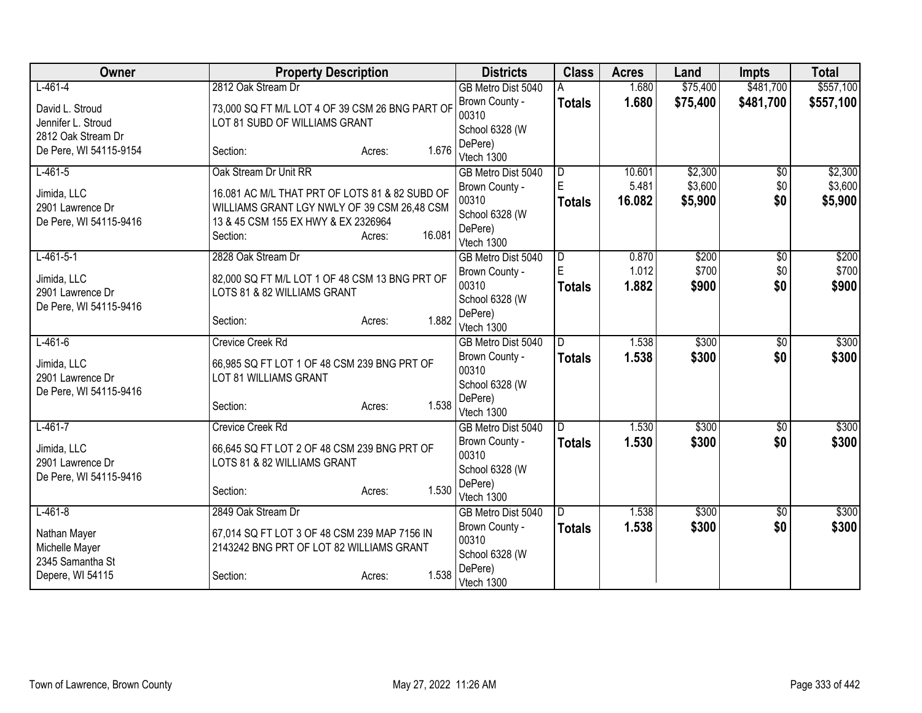| Owner                              | <b>Property Description</b>                     |                 | <b>Districts</b>          | <b>Class</b>  | <b>Acres</b> | Land     | <b>Impts</b>    | <b>Total</b> |
|------------------------------------|-------------------------------------------------|-----------------|---------------------------|---------------|--------------|----------|-----------------|--------------|
| $L-461-4$                          | 2812 Oak Stream Dr                              |                 | GB Metro Dist 5040        |               | 1.680        | \$75,400 | \$481,700       | \$557,100    |
| David L. Stroud                    | 73,000 SQ FT M/L LOT 4 OF 39 CSM 26 BNG PART OF |                 | Brown County -            | <b>Totals</b> | 1.680        | \$75,400 | \$481,700       | \$557,100    |
| Jennifer L. Stroud                 | LOT 81 SUBD OF WILLIAMS GRANT                   |                 | 00310                     |               |              |          |                 |              |
| 2812 Oak Stream Dr                 |                                                 |                 | School 6328 (W            |               |              |          |                 |              |
| De Pere, WI 54115-9154             | Section:                                        | 1.676<br>Acres: | DePere)<br>Vtech 1300     |               |              |          |                 |              |
| $L-461-5$                          | Oak Stream Dr Unit RR                           |                 | GB Metro Dist 5040        | D             | 10.601       | \$2,300  | $\overline{50}$ | \$2,300      |
|                                    |                                                 |                 | Brown County -            | E             | 5.481        | \$3,600  | \$0             | \$3,600      |
| Jimida, LLC                        | 16.081 AC M/L THAT PRT OF LOTS 81 & 82 SUBD OF  |                 | 00310                     | <b>Totals</b> | 16.082       | \$5,900  | \$0             | \$5,900      |
| 2901 Lawrence Dr                   | WILLIAMS GRANT LGY NWLY OF 39 CSM 26,48 CSM     |                 | School 6328 (W            |               |              |          |                 |              |
| De Pere, WI 54115-9416             | 13 & 45 CSM 155 EX HWY & EX 2326964<br>Section: | 16.081          | DePere)                   |               |              |          |                 |              |
|                                    |                                                 | Acres:          | Vtech 1300                |               |              |          |                 |              |
| $L-461-5-1$                        | 2828 Oak Stream Dr                              |                 | GB Metro Dist 5040        | D             | 0.870        | \$200    | \$0             | \$200        |
| Jimida, LLC                        | 82,000 SQ FT M/L LOT 1 OF 48 CSM 13 BNG PRT OF  |                 | Brown County -            | E             | 1.012        | \$700    | \$0             | \$700        |
| 2901 Lawrence Dr                   | LOTS 81 & 82 WILLIAMS GRANT                     |                 | 00310                     | <b>Totals</b> | 1.882        | \$900    | \$0             | \$900        |
| De Pere, WI 54115-9416             |                                                 |                 | School 6328 (W            |               |              |          |                 |              |
|                                    | Section:                                        | 1.882<br>Acres: | DePere)<br>Vtech 1300     |               |              |          |                 |              |
| $L-461-6$                          | <b>Crevice Creek Rd</b>                         |                 | GB Metro Dist 5040        | D             | 1.538        | \$300    | $\overline{50}$ | \$300        |
|                                    |                                                 |                 | Brown County -            | <b>Totals</b> | 1.538        | \$300    | \$0             | \$300        |
| Jimida, LLC                        | 66,985 SQ FT LOT 1 OF 48 CSM 239 BNG PRT OF     |                 | 00310                     |               |              |          |                 |              |
| 2901 Lawrence Dr                   | LOT 81 WILLIAMS GRANT                           |                 | School 6328 (W            |               |              |          |                 |              |
| De Pere, WI 54115-9416             | Section:                                        | 1.538<br>Acres: | DePere)                   |               |              |          |                 |              |
|                                    |                                                 |                 | Vtech 1300                |               |              |          |                 |              |
| $L-461-7$                          | <b>Crevice Creek Rd</b>                         |                 | GB Metro Dist 5040        | D.            | 1.530        | \$300    | $\overline{50}$ | \$300        |
| Jimida, LLC                        | 66,645 SQ FT LOT 2 OF 48 CSM 239 BNG PRT OF     |                 | Brown County -            | <b>Totals</b> | 1.530        | \$300    | \$0             | \$300        |
| 2901 Lawrence Dr                   | LOTS 81 & 82 WILLIAMS GRANT                     |                 | 00310                     |               |              |          |                 |              |
| De Pere, WI 54115-9416             |                                                 |                 | School 6328 (W<br>DePere) |               |              |          |                 |              |
|                                    | Section:                                        | 1.530<br>Acres: | Vtech 1300                |               |              |          |                 |              |
| $L-461-8$                          | 2849 Oak Stream Dr                              |                 | GB Metro Dist 5040        | D             | 1.538        | \$300    | \$0             | \$300        |
|                                    |                                                 |                 | Brown County -            | <b>Totals</b> | 1.538        | \$300    | \$0             | \$300        |
| Nathan Mayer                       | 67,014 SQ FT LOT 3 OF 48 CSM 239 MAP 7156 IN    |                 | 00310                     |               |              |          |                 |              |
| Michelle Mayer<br>2345 Samantha St | 2143242 BNG PRT OF LOT 82 WILLIAMS GRANT        |                 | School 6328 (W            |               |              |          |                 |              |
| Depere, WI 54115                   | Section:                                        | 1.538<br>Acres: | DePere)                   |               |              |          |                 |              |
|                                    |                                                 |                 | Vtech 1300                |               |              |          |                 |              |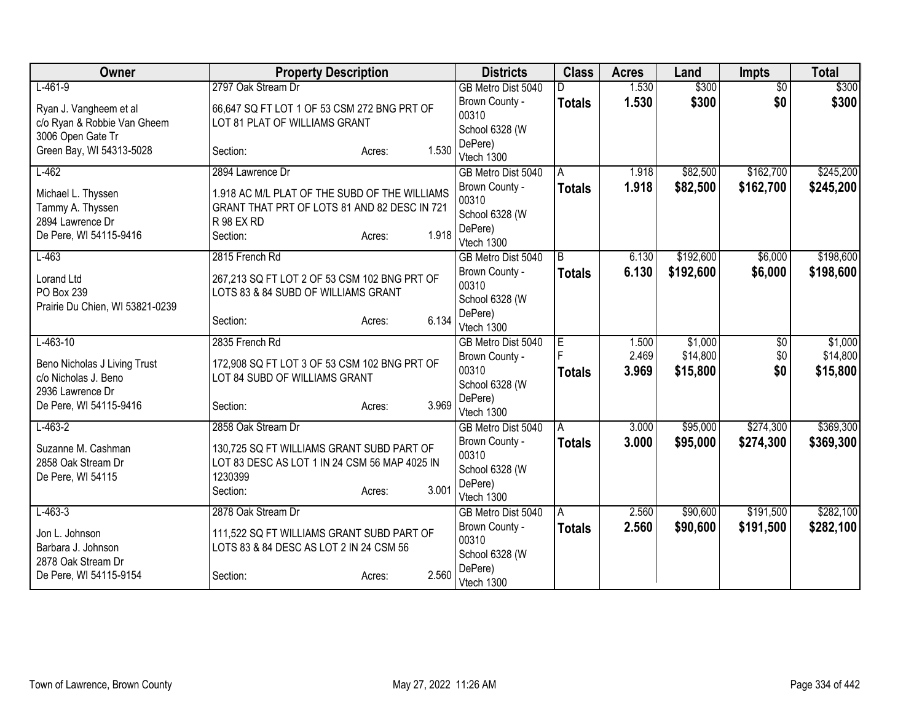| Owner                                                | <b>Property Description</b>                                                   |                 | <b>Districts</b>        | <b>Class</b>  | <b>Acres</b> | Land      | <b>Impts</b>    | <b>Total</b> |
|------------------------------------------------------|-------------------------------------------------------------------------------|-----------------|-------------------------|---------------|--------------|-----------|-----------------|--------------|
| $L-461-9$                                            | 2797 Oak Stream Dr                                                            |                 | GB Metro Dist 5040      | D             | 1.530        | \$300     | $\overline{30}$ | \$300        |
| Ryan J. Vangheem et al                               | 66,647 SQ FT LOT 1 OF 53 CSM 272 BNG PRT OF                                   |                 | Brown County -          | <b>Totals</b> | 1.530        | \$300     | \$0             | \$300        |
| c/o Ryan & Robbie Van Gheem                          | LOT 81 PLAT OF WILLIAMS GRANT                                                 |                 | 00310                   |               |              |           |                 |              |
| 3006 Open Gate Tr                                    |                                                                               |                 | School 6328 (W          |               |              |           |                 |              |
| Green Bay, WI 54313-5028                             | Section:                                                                      | 1.530<br>Acres: | DePere)                 |               |              |           |                 |              |
|                                                      |                                                                               |                 | Vtech 1300              |               |              |           |                 |              |
| $L-462$                                              | 2894 Lawrence Dr                                                              |                 | GB Metro Dist 5040      | A             | 1.918        | \$82,500  | \$162,700       | \$245,200    |
| Michael L. Thyssen                                   | 1.918 AC M/L PLAT OF THE SUBD OF THE WILLIAMS                                 |                 | Brown County -          | <b>Totals</b> | 1.918        | \$82,500  | \$162,700       | \$245,200    |
| Tammy A. Thyssen                                     | GRANT THAT PRT OF LOTS 81 AND 82 DESC IN 721                                  |                 | 00310                   |               |              |           |                 |              |
| 2894 Lawrence Dr                                     | R 98 EX RD                                                                    |                 | School 6328 (W          |               |              |           |                 |              |
| De Pere, WI 54115-9416                               | Section:                                                                      | 1.918<br>Acres: | DePere)<br>Vtech 1300   |               |              |           |                 |              |
| $L-463$                                              | 2815 French Rd                                                                |                 | GB Metro Dist 5040      | B             | 6.130        | \$192,600 | \$6,000         | \$198,600    |
|                                                      |                                                                               |                 | Brown County -          |               | 6.130        | \$192,600 | \$6,000         | \$198,600    |
| Lorand Ltd                                           | 267,213 SQ FT LOT 2 OF 53 CSM 102 BNG PRT OF                                  |                 | 00310                   | <b>Totals</b> |              |           |                 |              |
| PO Box 239                                           | LOTS 83 & 84 SUBD OF WILLIAMS GRANT                                           |                 | School 6328 (W          |               |              |           |                 |              |
| Prairie Du Chien, WI 53821-0239                      |                                                                               |                 | DePere)                 |               |              |           |                 |              |
|                                                      | Section:                                                                      | 6.134<br>Acres: | Vtech 1300              |               |              |           |                 |              |
| $L-463-10$                                           | 2835 French Rd                                                                |                 | GB Metro Dist 5040      | E             | 1.500        | \$1,000   | \$0             | \$1,000      |
|                                                      |                                                                               |                 | Brown County -          |               | 2.469        | \$14,800  | \$0             | \$14,800     |
| Beno Nicholas J Living Trust<br>c/o Nicholas J. Beno | 172,908 SQ FT LOT 3 OF 53 CSM 102 BNG PRT OF<br>LOT 84 SUBD OF WILLIAMS GRANT |                 | 00310                   | <b>Totals</b> | 3.969        | \$15,800  | \$0             | \$15,800     |
| 2936 Lawrence Dr                                     |                                                                               |                 | School 6328 (W          |               |              |           |                 |              |
| De Pere, WI 54115-9416                               | Section:                                                                      | 3.969<br>Acres: | DePere)                 |               |              |           |                 |              |
|                                                      |                                                                               |                 | Vtech 1300              |               |              |           |                 |              |
| $L-463-2$                                            | 2858 Oak Stream Dr                                                            |                 | GB Metro Dist 5040      | A             | 3.000        | \$95,000  | \$274,300       | \$369,300    |
| Suzanne M. Cashman                                   | 130,725 SQ FT WILLIAMS GRANT SUBD PART OF                                     |                 | Brown County -          | <b>Totals</b> | 3.000        | \$95,000  | \$274,300       | \$369,300    |
| 2858 Oak Stream Dr                                   | LOT 83 DESC AS LOT 1 IN 24 CSM 56 MAP 4025 IN                                 |                 | 00310                   |               |              |           |                 |              |
| De Pere, WI 54115                                    | 1230399                                                                       |                 | School 6328 (W          |               |              |           |                 |              |
|                                                      | Section:                                                                      | 3.001<br>Acres: | DePere)                 |               |              |           |                 |              |
|                                                      |                                                                               |                 | Vtech 1300              |               |              |           |                 |              |
| $L-463-3$                                            | 2878 Oak Stream Dr                                                            |                 | GB Metro Dist 5040      | A             | 2.560        | \$90,600  | \$191,500       | \$282,100    |
| Jon L. Johnson                                       | 111,522 SQ FT WILLIAMS GRANT SUBD PART OF                                     |                 | Brown County -          | <b>Totals</b> | 2.560        | \$90,600  | \$191,500       | \$282,100    |
| Barbara J. Johnson                                   | LOTS 83 & 84 DESC AS LOT 2 IN 24 CSM 56                                       |                 | 00310<br>School 6328 (W |               |              |           |                 |              |
| 2878 Oak Stream Dr                                   |                                                                               |                 | DePere)                 |               |              |           |                 |              |
| De Pere, WI 54115-9154                               | Section:                                                                      | 2.560<br>Acres: | Vtech 1300              |               |              |           |                 |              |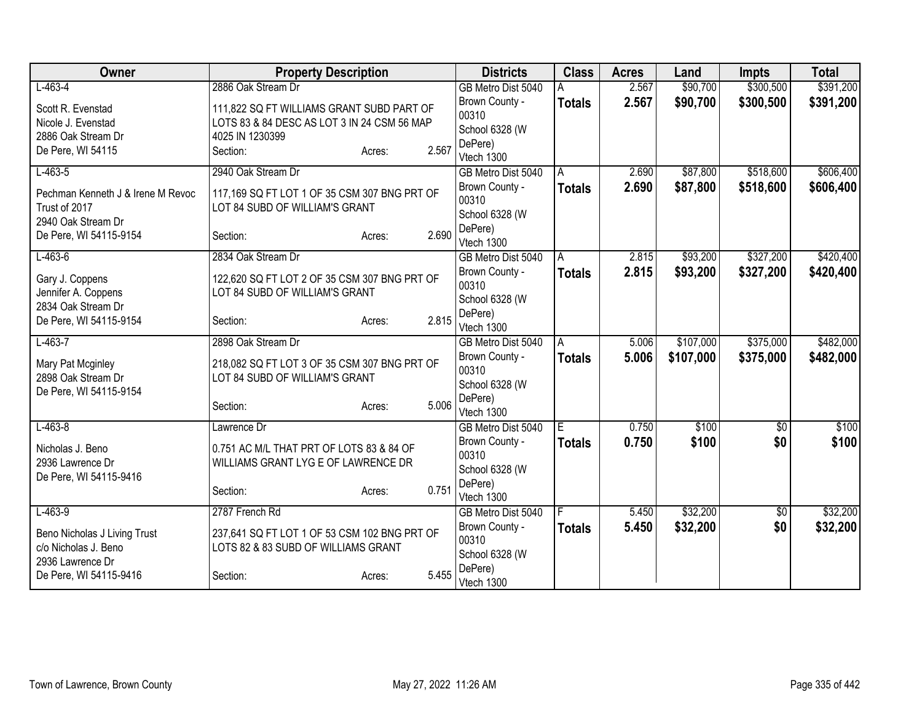| Owner                                                                    | <b>Property Description</b>                                                                                 |                 |                                | <b>Districts</b>                 | <b>Class</b>  | <b>Acres</b> | Land      | <b>Impts</b>    | <b>Total</b> |
|--------------------------------------------------------------------------|-------------------------------------------------------------------------------------------------------------|-----------------|--------------------------------|----------------------------------|---------------|--------------|-----------|-----------------|--------------|
| $L-463-4$                                                                | 2886 Oak Stream Dr                                                                                          |                 |                                | GB Metro Dist 5040               |               | 2.567        | \$90,700  | \$300,500       | \$391,200    |
| Scott R. Evenstad<br>Nicole J. Evenstad<br>2886 Oak Stream Dr            | 111,822 SQ FT WILLIAMS GRANT SUBD PART OF<br>LOTS 83 & 84 DESC AS LOT 3 IN 24 CSM 56 MAP<br>4025 IN 1230399 |                 | 00310                          | Brown County -<br>School 6328 (W | <b>Totals</b> | 2.567        | \$90,700  | \$300,500       | \$391,200    |
| De Pere, WI 54115                                                        | Section:                                                                                                    | 2.567<br>Acres: | DePere)<br>Vtech 1300          |                                  |               |              |           |                 |              |
| $L-463-5$                                                                | 2940 Oak Stream Dr                                                                                          |                 |                                | GB Metro Dist 5040               | A             | 2.690        | \$87,800  | \$518,600       | \$606,400    |
| Pechman Kenneth J & Irene M Revoc<br>Trust of 2017                       | 117,169 SQ FT LOT 1 OF 35 CSM 307 BNG PRT OF<br>LOT 84 SUBD OF WILLIAM'S GRANT                              |                 | 00310                          | Brown County -<br>School 6328 (W | <b>Totals</b> | 2.690        | \$87,800  | \$518,600       | \$606,400    |
| 2940 Oak Stream Dr<br>De Pere, WI 54115-9154                             | Section:                                                                                                    | Acres:          | DePere)<br>2.690<br>Vtech 1300 |                                  |               |              |           |                 |              |
| $L-463-6$                                                                | 2834 Oak Stream Dr                                                                                          |                 |                                | GB Metro Dist 5040               | A             | 2.815        | \$93,200  | \$327,200       | \$420,400    |
| Gary J. Coppens<br>Jennifer A. Coppens                                   | 122,620 SQ FT LOT 2 OF 35 CSM 307 BNG PRT OF<br>LOT 84 SUBD OF WILLIAM'S GRANT                              |                 | 00310                          | Brown County -<br>School 6328 (W | <b>Totals</b> | 2.815        | \$93,200  | \$327,200       | \$420,400    |
| 2834 Oak Stream Dr<br>De Pere, WI 54115-9154                             | Section:                                                                                                    | Acres:          | DePere)<br>2.815<br>Vtech 1300 |                                  |               |              |           |                 |              |
| $L-463-7$                                                                | 2898 Oak Stream Dr                                                                                          |                 |                                | GB Metro Dist 5040               | A             | 5.006        | \$107,000 | \$375,000       | \$482,000    |
| Mary Pat Mcginley<br>2898 Oak Stream Dr<br>De Pere, WI 54115-9154        | 218,082 SQ FT LOT 3 OF 35 CSM 307 BNG PRT OF<br>LOT 84 SUBD OF WILLIAM'S GRANT                              |                 | 00310                          | Brown County -<br>School 6328 (W | <b>Totals</b> | 5.006        | \$107,000 | \$375,000       | \$482,000    |
|                                                                          | Section:                                                                                                    | Acres:          | DePere)<br>5.006<br>Vtech 1300 |                                  |               |              |           |                 |              |
| $L-463-8$                                                                | Lawrence Dr                                                                                                 |                 |                                | GB Metro Dist 5040               | IE.           | 0.750        | \$100     | $\overline{50}$ | \$100        |
| Nicholas J. Beno<br>2936 Lawrence Dr<br>De Pere, WI 54115-9416           | 0.751 AC M/L THAT PRT OF LOTS 83 & 84 OF<br>WILLIAMS GRANT LYG E OF LAWRENCE DR                             |                 | 00310                          | Brown County -<br>School 6328 (W | <b>Totals</b> | 0.750        | \$100     | \$0             | \$100        |
|                                                                          | Section:                                                                                                    | 0.751<br>Acres: | DePere)<br>Vtech 1300          |                                  |               |              |           |                 |              |
| $L-463-9$                                                                | 2787 French Rd                                                                                              |                 |                                | GB Metro Dist 5040               |               | 5.450        | \$32,200  | $\sqrt{$0}$     | \$32,200     |
| Beno Nicholas J Living Trust<br>c/o Nicholas J. Beno<br>2936 Lawrence Dr | 237,641 SQ FT LOT 1 OF 53 CSM 102 BNG PRT OF<br>LOTS 82 & 83 SUBD OF WILLIAMS GRANT                         |                 | 00310                          | Brown County -<br>School 6328 (W | <b>Totals</b> | 5.450        | \$32,200  | \$0             | \$32,200     |
| De Pere, WI 54115-9416                                                   | Section:                                                                                                    | Acres:          | DePere)<br>5.455<br>Vtech 1300 |                                  |               |              |           |                 |              |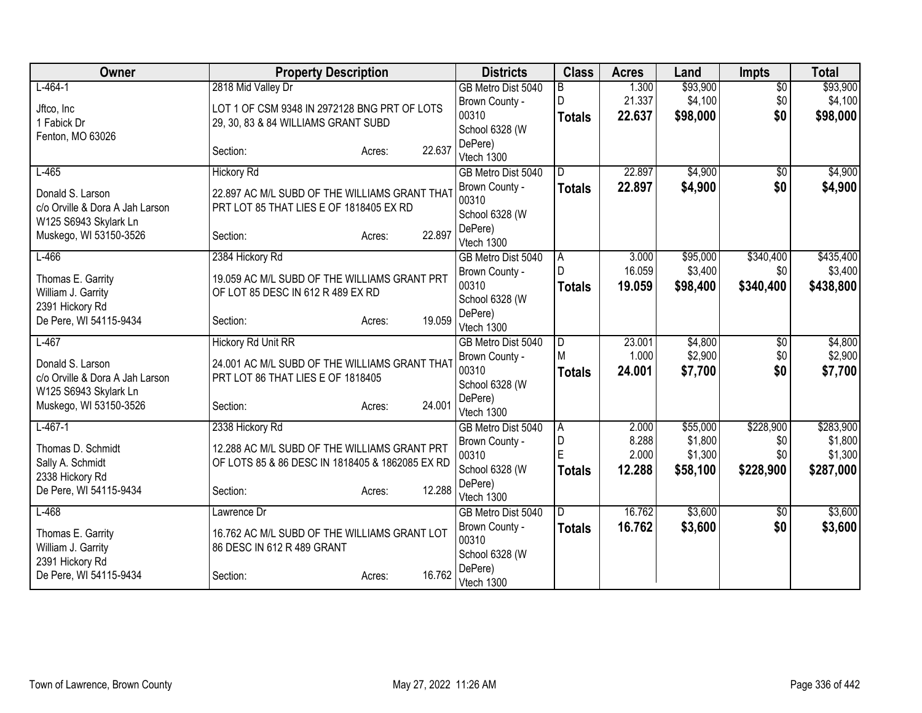| Owner                           | <b>Property Description</b>                     |        | <b>Districts</b>                 | <b>Class</b>  | <b>Acres</b>    | Land               | <b>Impts</b>           | <b>Total</b>       |
|---------------------------------|-------------------------------------------------|--------|----------------------------------|---------------|-----------------|--------------------|------------------------|--------------------|
| $L - 464 - 1$                   | 2818 Mid Valley Dr                              |        | GB Metro Dist 5040               | B             | 1.300           | \$93,900           | $\overline{50}$        | \$93,900           |
| Jftco, Inc                      | LOT 1 OF CSM 9348 IN 2972128 BNG PRT OF LOTS    |        | Brown County -                   | D.            | 21.337          | \$4,100            | \$0                    | \$4,100            |
| 1 Fabick Dr                     | 29, 30, 83 & 84 WILLIAMS GRANT SUBD             |        | 00310                            | <b>Totals</b> | 22,637          | \$98,000           | \$0                    | \$98,000           |
| Fenton, MO 63026                |                                                 |        | School 6328 (W                   |               |                 |                    |                        |                    |
|                                 | Section:<br>Acres:                              | 22.637 | DePere)                          |               |                 |                    |                        |                    |
| $L-465$                         | <b>Hickory Rd</b>                               |        | Vtech 1300<br>GB Metro Dist 5040 | D.            | 22.897          | \$4,900            | $\overline{50}$        | \$4,900            |
|                                 |                                                 |        | Brown County -                   | <b>Totals</b> | 22.897          | \$4,900            | \$0                    | \$4,900            |
| Donald S. Larson                | 22.897 AC M/L SUBD OF THE WILLIAMS GRANT THAT   |        | 00310                            |               |                 |                    |                        |                    |
| c/o Orville & Dora A Jah Larson | PRT LOT 85 THAT LIES E OF 1818405 EX RD         |        | School 6328 (W                   |               |                 |                    |                        |                    |
| W125 S6943 Skylark Ln           |                                                 |        | DePere)                          |               |                 |                    |                        |                    |
| Muskego, WI 53150-3526          | Section:<br>Acres:                              | 22.897 | Vtech 1300                       |               |                 |                    |                        |                    |
| $L-466$                         | 2384 Hickory Rd                                 |        | GB Metro Dist 5040               | ΙA            | 3.000           | \$95,000           | \$340,400              | \$435,400          |
| Thomas E. Garrity               | 19.059 AC M/L SUBD OF THE WILLIAMS GRANT PRT    |        | Brown County -                   | $\mathsf{D}$  | 16.059          | \$3,400            | \$0                    | \$3,400            |
| William J. Garrity              | OF LOT 85 DESC IN 612 R 489 EX RD               |        | 00310                            | <b>Totals</b> | 19.059          | \$98,400           | \$340,400              | \$438,800          |
| 2391 Hickory Rd                 |                                                 |        | School 6328 (W                   |               |                 |                    |                        |                    |
| De Pere, WI 54115-9434          | Section:<br>Acres:                              | 19.059 | DePere)                          |               |                 |                    |                        |                    |
|                                 |                                                 |        | Vtech 1300                       |               |                 |                    |                        |                    |
| $L-467$                         | <b>Hickory Rd Unit RR</b>                       |        | GB Metro Dist 5040               | l D<br>M      | 23.001<br>1.000 | \$4,800<br>\$2,900 | $\overline{50}$<br>\$0 | \$4,800<br>\$2,900 |
| Donald S. Larson                | 24.001 AC M/L SUBD OF THE WILLIAMS GRANT THAT   |        | Brown County -<br>00310          | <b>Totals</b> | 24.001          | \$7,700            | \$0                    | \$7,700            |
| c/o Orville & Dora A Jah Larson | PRT LOT 86 THAT LIES E OF 1818405               |        | School 6328 (W                   |               |                 |                    |                        |                    |
| W125 S6943 Skylark Ln           |                                                 |        | DePere)                          |               |                 |                    |                        |                    |
| Muskego, WI 53150-3526          | Section:<br>Acres:                              | 24.001 | Vtech 1300                       |               |                 |                    |                        |                    |
| $L-467-1$                       | 2338 Hickory Rd                                 |        | GB Metro Dist 5040               | l A           | 2.000           | \$55,000           | \$228,900              | \$283,900          |
| Thomas D. Schmidt               | 12.288 AC M/L SUBD OF THE WILLIAMS GRANT PRT    |        | Brown County -                   | D             | 8.288           | \$1,800            | \$0                    | \$1,800            |
| Sally A. Schmidt                | OF LOTS 85 & 86 DESC IN 1818405 & 1862085 EX RD |        | 00310                            | E             | 2.000           | \$1,300            | \$0                    | \$1,300            |
| 2338 Hickory Rd                 |                                                 |        | School 6328 (W                   | <b>Totals</b> | 12.288          | \$58,100           | \$228,900              | \$287,000          |
| De Pere, WI 54115-9434          | Section:<br>Acres:                              | 12.288 | DePere)                          |               |                 |                    |                        |                    |
|                                 |                                                 |        | Vtech 1300                       |               |                 |                    |                        |                    |
| $L-468$                         | Lawrence Dr                                     |        | GB Metro Dist 5040               | ID.           | 16.762          | \$3,600            | \$0                    | \$3,600            |
| Thomas E. Garrity               | 16.762 AC M/L SUBD OF THE WILLIAMS GRANT LOT    |        | Brown County -<br>00310          | <b>Totals</b> | 16.762          | \$3,600            | \$0                    | \$3,600            |
| William J. Garrity              | 86 DESC IN 612 R 489 GRANT                      |        | School 6328 (W                   |               |                 |                    |                        |                    |
| 2391 Hickory Rd                 |                                                 |        | DePere)                          |               |                 |                    |                        |                    |
| De Pere, WI 54115-9434          | Section:<br>Acres:                              | 16.762 | Vtech 1300                       |               |                 |                    |                        |                    |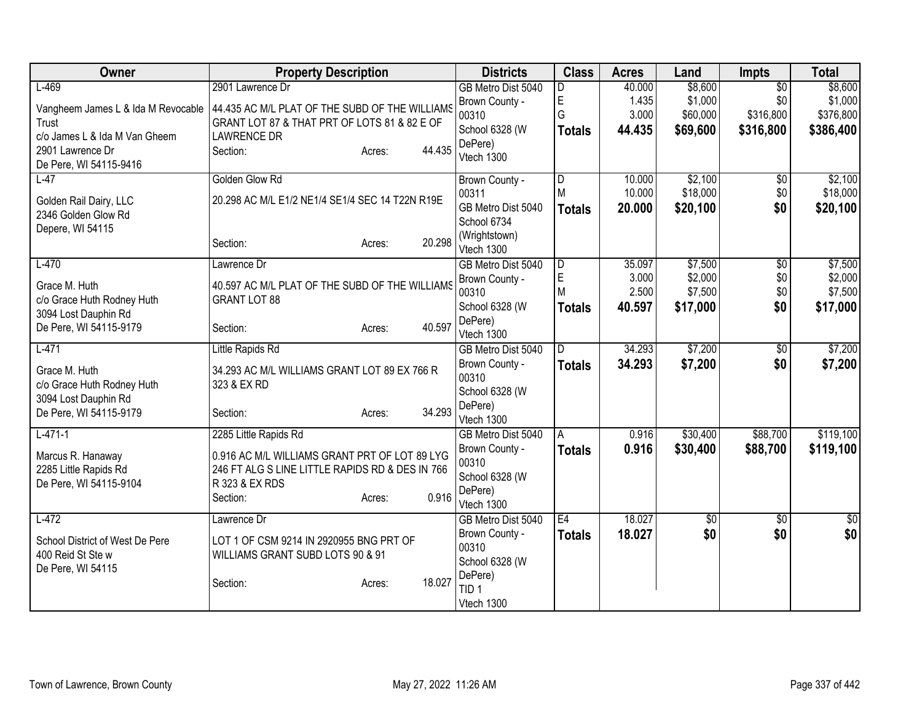| \$8,600<br>$L-469$<br>$\overline{50}$<br>2901 Lawrence Dr<br>GB Metro Dist 5040<br>40.000<br>D<br>E<br>\$1,000<br>1.435<br>\$0<br>\$1,000<br>Brown County -<br>44.435 AC M/L PLAT OF THE SUBD OF THE WILLIAMS<br>Vangheem James L & Ida M Revocable<br>G<br>3.000<br>\$60,000<br>\$316,800<br>\$376,800<br>00310<br>GRANT LOT 87 & THAT PRT OF LOTS 81 & 82 E OF<br>Trust<br>School 6328 (W<br>44.435<br>\$69,600<br>\$316,800<br>\$386,400<br><b>Totals</b><br>c/o James L & Ida M Van Gheem<br><b>LAWRENCE DR</b><br>DePere)<br>44.435<br>2901 Lawrence Dr<br>Section:<br>Acres:<br>Vtech 1300<br>De Pere, WI 54115-9416<br>Golden Glow Rd<br>\$2,100<br>$L-47$<br>10.000<br>Brown County -<br>D<br>$\overline{50}$<br>M<br>\$18,000<br>00311<br>10.000<br>\$0<br>\$18,000<br>20.298 AC M/L E1/2 NE1/4 SE1/4 SEC 14 T22N R19E<br>Golden Rail Dairy, LLC<br>GB Metro Dist 5040<br>\$20,100<br>\$0<br>20,000<br>\$20,100<br><b>Totals</b><br>2346 Golden Glow Rd<br>School 6734<br>Depere, WI 54115<br>(Wrightstown) | Owner | <b>Property Description</b> |                  | <b>Districts</b> | <b>Class</b> | <b>Acres</b> | Land | <b>Impts</b> | <b>Total</b>    |
|----------------------------------------------------------------------------------------------------------------------------------------------------------------------------------------------------------------------------------------------------------------------------------------------------------------------------------------------------------------------------------------------------------------------------------------------------------------------------------------------------------------------------------------------------------------------------------------------------------------------------------------------------------------------------------------------------------------------------------------------------------------------------------------------------------------------------------------------------------------------------------------------------------------------------------------------------------------------------------------------------------------------|-------|-----------------------------|------------------|------------------|--------------|--------------|------|--------------|-----------------|
|                                                                                                                                                                                                                                                                                                                                                                                                                                                                                                                                                                                                                                                                                                                                                                                                                                                                                                                                                                                                                      |       |                             |                  |                  |              |              |      |              | \$8,600         |
|                                                                                                                                                                                                                                                                                                                                                                                                                                                                                                                                                                                                                                                                                                                                                                                                                                                                                                                                                                                                                      |       |                             |                  |                  |              |              |      |              |                 |
|                                                                                                                                                                                                                                                                                                                                                                                                                                                                                                                                                                                                                                                                                                                                                                                                                                                                                                                                                                                                                      |       |                             |                  |                  |              |              |      |              |                 |
|                                                                                                                                                                                                                                                                                                                                                                                                                                                                                                                                                                                                                                                                                                                                                                                                                                                                                                                                                                                                                      |       |                             |                  |                  |              |              |      |              |                 |
|                                                                                                                                                                                                                                                                                                                                                                                                                                                                                                                                                                                                                                                                                                                                                                                                                                                                                                                                                                                                                      |       |                             |                  |                  |              |              |      |              |                 |
|                                                                                                                                                                                                                                                                                                                                                                                                                                                                                                                                                                                                                                                                                                                                                                                                                                                                                                                                                                                                                      |       |                             |                  |                  |              |              |      |              |                 |
|                                                                                                                                                                                                                                                                                                                                                                                                                                                                                                                                                                                                                                                                                                                                                                                                                                                                                                                                                                                                                      |       |                             |                  |                  |              |              |      |              | \$2,100         |
|                                                                                                                                                                                                                                                                                                                                                                                                                                                                                                                                                                                                                                                                                                                                                                                                                                                                                                                                                                                                                      |       |                             |                  |                  |              |              |      |              |                 |
|                                                                                                                                                                                                                                                                                                                                                                                                                                                                                                                                                                                                                                                                                                                                                                                                                                                                                                                                                                                                                      |       |                             |                  |                  |              |              |      |              |                 |
|                                                                                                                                                                                                                                                                                                                                                                                                                                                                                                                                                                                                                                                                                                                                                                                                                                                                                                                                                                                                                      |       |                             |                  |                  |              |              |      |              |                 |
|                                                                                                                                                                                                                                                                                                                                                                                                                                                                                                                                                                                                                                                                                                                                                                                                                                                                                                                                                                                                                      |       | Section:                    | 20.298<br>Acres: | Vtech 1300       |              |              |      |              |                 |
| $L-470$<br>\$7,500<br>$\overline{D}$<br>35.097<br>$\overline{50}$<br>Lawrence Dr<br>GB Metro Dist 5040                                                                                                                                                                                                                                                                                                                                                                                                                                                                                                                                                                                                                                                                                                                                                                                                                                                                                                               |       |                             |                  |                  |              |              |      |              | \$7,500         |
| E<br>3.000<br>\$2,000<br>\$0<br>Brown County -                                                                                                                                                                                                                                                                                                                                                                                                                                                                                                                                                                                                                                                                                                                                                                                                                                                                                                                                                                       |       |                             |                  |                  |              |              |      |              | \$2,000         |
| 40.597 AC M/L PLAT OF THE SUBD OF THE WILLIAMS<br>Grace M. Huth<br>M<br>\$0<br>2.500<br>\$7,500<br>00310                                                                                                                                                                                                                                                                                                                                                                                                                                                                                                                                                                                                                                                                                                                                                                                                                                                                                                             |       |                             |                  |                  |              |              |      |              | \$7,500         |
| c/o Grace Huth Rodney Huth<br><b>GRANT LOT 88</b><br>\$0<br>School 6328 (W<br>40.597<br>\$17,000<br><b>Totals</b>                                                                                                                                                                                                                                                                                                                                                                                                                                                                                                                                                                                                                                                                                                                                                                                                                                                                                                    |       |                             |                  |                  |              |              |      |              | \$17,000        |
| 3094 Lost Dauphin Rd<br>DePere)<br>De Pere, WI 54115-9179<br>40.597                                                                                                                                                                                                                                                                                                                                                                                                                                                                                                                                                                                                                                                                                                                                                                                                                                                                                                                                                  |       |                             |                  |                  |              |              |      |              |                 |
| Section:<br>Acres:<br>Vtech 1300                                                                                                                                                                                                                                                                                                                                                                                                                                                                                                                                                                                                                                                                                                                                                                                                                                                                                                                                                                                     |       |                             |                  |                  |              |              |      |              |                 |
| \$7,200<br>$L-471$<br>34.293<br>Little Rapids Rd<br>D<br>\$0<br>GB Metro Dist 5040                                                                                                                                                                                                                                                                                                                                                                                                                                                                                                                                                                                                                                                                                                                                                                                                                                                                                                                                   |       |                             |                  |                  |              |              |      |              | \$7,200         |
| \$7,200<br>\$0<br>Brown County -<br>34.293<br><b>Totals</b><br>Grace M. Huth<br>34.293 AC M/L WILLIAMS GRANT LOT 89 EX 766 R                                                                                                                                                                                                                                                                                                                                                                                                                                                                                                                                                                                                                                                                                                                                                                                                                                                                                         |       |                             |                  |                  |              |              |      |              | \$7,200         |
| 00310<br>c/o Grace Huth Rodney Huth<br>323 & EX RD                                                                                                                                                                                                                                                                                                                                                                                                                                                                                                                                                                                                                                                                                                                                                                                                                                                                                                                                                                   |       |                             |                  |                  |              |              |      |              |                 |
| School 6328 (W<br>3094 Lost Dauphin Rd                                                                                                                                                                                                                                                                                                                                                                                                                                                                                                                                                                                                                                                                                                                                                                                                                                                                                                                                                                               |       |                             |                  |                  |              |              |      |              |                 |
| DePere)<br>34.293<br>De Pere, WI 54115-9179<br>Section:<br>Acres:<br>Vtech 1300                                                                                                                                                                                                                                                                                                                                                                                                                                                                                                                                                                                                                                                                                                                                                                                                                                                                                                                                      |       |                             |                  |                  |              |              |      |              |                 |
| \$30,400<br>\$88,700<br>$L-471-1$<br>2285 Little Rapids Rd<br>0.916<br>GB Metro Dist 5040<br>A                                                                                                                                                                                                                                                                                                                                                                                                                                                                                                                                                                                                                                                                                                                                                                                                                                                                                                                       |       |                             |                  |                  |              |              |      |              | \$119,100       |
| 0.916<br>\$30,400<br>\$88,700<br>Brown County -<br><b>Totals</b>                                                                                                                                                                                                                                                                                                                                                                                                                                                                                                                                                                                                                                                                                                                                                                                                                                                                                                                                                     |       |                             |                  |                  |              |              |      |              | \$119,100       |
| 0.916 AC M/L WILLIAMS GRANT PRT OF LOT 89 LYG<br>Marcus R. Hanaway<br>00310                                                                                                                                                                                                                                                                                                                                                                                                                                                                                                                                                                                                                                                                                                                                                                                                                                                                                                                                          |       |                             |                  |                  |              |              |      |              |                 |
| 2285 Little Rapids Rd<br>246 FT ALG S LINE LITTLE RAPIDS RD & DES IN 766<br>School 6328 (W                                                                                                                                                                                                                                                                                                                                                                                                                                                                                                                                                                                                                                                                                                                                                                                                                                                                                                                           |       |                             |                  |                  |              |              |      |              |                 |
| De Pere, WI 54115-9104<br>R 323 & EX RDS<br>DePere)<br>0.916                                                                                                                                                                                                                                                                                                                                                                                                                                                                                                                                                                                                                                                                                                                                                                                                                                                                                                                                                         |       |                             |                  |                  |              |              |      |              |                 |
| Section:<br>Acres:<br>Vtech 1300                                                                                                                                                                                                                                                                                                                                                                                                                                                                                                                                                                                                                                                                                                                                                                                                                                                                                                                                                                                     |       |                             |                  |                  |              |              |      |              |                 |
| 18.027<br>E4<br>$L-472$<br>GB Metro Dist 5040<br>$\overline{50}$<br>$\overline{50}$<br>Lawrence Dr                                                                                                                                                                                                                                                                                                                                                                                                                                                                                                                                                                                                                                                                                                                                                                                                                                                                                                                   |       |                             |                  |                  |              |              |      |              | $\overline{50}$ |
| \$0<br>\$0<br>18.027<br>Brown County -<br><b>Totals</b><br>School District of West De Pere<br>LOT 1 OF CSM 9214 IN 2920955 BNG PRT OF                                                                                                                                                                                                                                                                                                                                                                                                                                                                                                                                                                                                                                                                                                                                                                                                                                                                                |       |                             |                  |                  |              |              |      |              | \$0             |
| 00310<br>400 Reid St Ste w<br>WILLIAMS GRANT SUBD LOTS 90 & 91                                                                                                                                                                                                                                                                                                                                                                                                                                                                                                                                                                                                                                                                                                                                                                                                                                                                                                                                                       |       |                             |                  |                  |              |              |      |              |                 |
| School 6328 (W<br>De Pere, WI 54115                                                                                                                                                                                                                                                                                                                                                                                                                                                                                                                                                                                                                                                                                                                                                                                                                                                                                                                                                                                  |       |                             |                  |                  |              |              |      |              |                 |
| DePere)<br>18.027<br>Section:<br>Acres:<br>TID <sub>1</sub>                                                                                                                                                                                                                                                                                                                                                                                                                                                                                                                                                                                                                                                                                                                                                                                                                                                                                                                                                          |       |                             |                  |                  |              |              |      |              |                 |
| Vtech 1300                                                                                                                                                                                                                                                                                                                                                                                                                                                                                                                                                                                                                                                                                                                                                                                                                                                                                                                                                                                                           |       |                             |                  |                  |              |              |      |              |                 |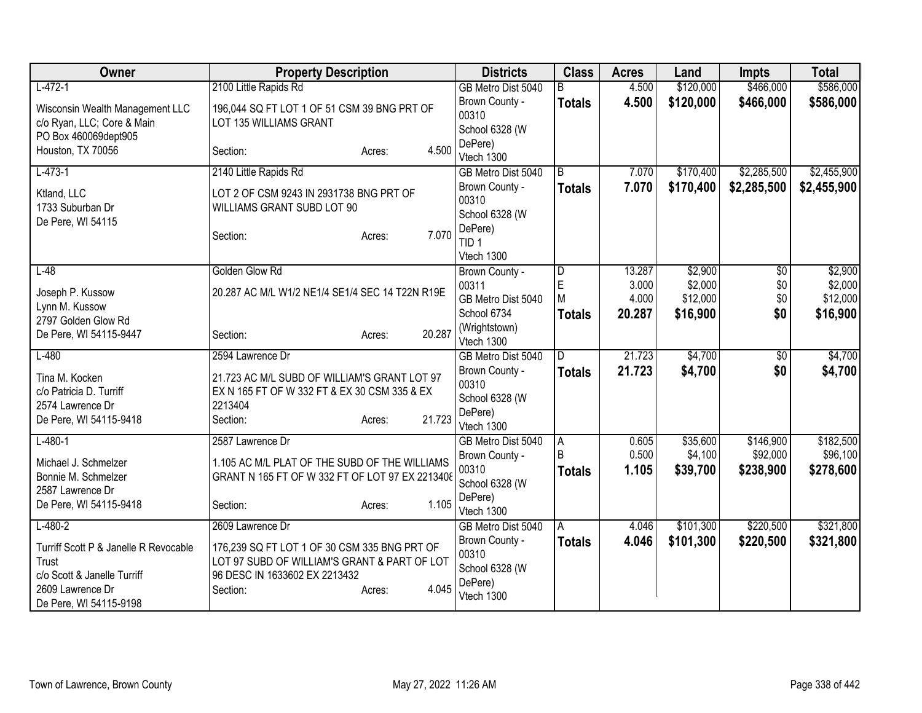| Owner                                 | <b>Property Description</b>                     | <b>Districts</b>            | <b>Class</b>  | <b>Acres</b> | Land      | <b>Impts</b> | <b>Total</b> |
|---------------------------------------|-------------------------------------------------|-----------------------------|---------------|--------------|-----------|--------------|--------------|
| $L-472-1$                             | 2100 Little Rapids Rd                           | GB Metro Dist 5040          | R.            | 4.500        | \$120,000 | \$466,000    | \$586,000    |
| Wisconsin Wealth Management LLC       | 196,044 SQ FT LOT 1 OF 51 CSM 39 BNG PRT OF     | Brown County -              | <b>Totals</b> | 4.500        | \$120,000 | \$466,000    | \$586,000    |
| c/o Ryan, LLC; Core & Main            | LOT 135 WILLIAMS GRANT                          | 00310                       |               |              |           |              |              |
| PO Box 460069dept905                  |                                                 | School 6328 (W<br>DePere)   |               |              |           |              |              |
| Houston, TX 70056                     | 4.500<br>Section:<br>Acres:                     | Vtech 1300                  |               |              |           |              |              |
| $L-473-1$                             | 2140 Little Rapids Rd                           | GB Metro Dist 5040          | B             | 7.070        | \$170,400 | \$2,285,500  | \$2,455,900  |
| Ktland, LLC                           | LOT 2 OF CSM 9243 IN 2931738 BNG PRT OF         | Brown County -              | <b>Totals</b> | 7.070        | \$170,400 | \$2,285,500  | \$2,455,900  |
| 1733 Suburban Dr                      | WILLIAMS GRANT SUBD LOT 90                      | 00310                       |               |              |           |              |              |
| De Pere, WI 54115                     |                                                 | School 6328 (W              |               |              |           |              |              |
|                                       | 7.070<br>Section:<br>Acres:                     | DePere)<br>TID <sub>1</sub> |               |              |           |              |              |
|                                       |                                                 | Vtech 1300                  |               |              |           |              |              |
| $L-48$                                | Golden Glow Rd                                  | Brown County -              | D             | 13.287       | \$2,900   | \$0          | \$2,900      |
|                                       |                                                 | 00311                       | E             | 3.000        | \$2,000   | \$0          | \$2,000      |
| Joseph P. Kussow                      | 20.287 AC M/L W1/2 NE1/4 SE1/4 SEC 14 T22N R19E | GB Metro Dist 5040          | M             | 4.000        | \$12,000  | \$0          | \$12,000     |
| Lynn M. Kussow<br>2797 Golden Glow Rd |                                                 | School 6734                 | <b>Totals</b> | 20.287       | \$16,900  | \$0          | \$16,900     |
| De Pere, WI 54115-9447                | 20.287<br>Section:<br>Acres:                    | (Wrightstown)               |               |              |           |              |              |
|                                       |                                                 | Vtech 1300                  |               |              |           |              |              |
| $L-480$                               | 2594 Lawrence Dr                                | GB Metro Dist 5040          | ID.           | 21.723       | \$4,700   | \$0          | \$4,700      |
| Tina M. Kocken                        | 21.723 AC M/L SUBD OF WILLIAM'S GRANT LOT 97    | Brown County -<br>00310     | <b>Totals</b> | 21.723       | \$4,700   | \$0          | \$4,700      |
| c/o Patricia D. Turriff               | EX N 165 FT OF W 332 FT & EX 30 CSM 335 & EX    | School 6328 (W              |               |              |           |              |              |
| 2574 Lawrence Dr                      | 2213404                                         | DePere)                     |               |              |           |              |              |
| De Pere, WI 54115-9418                | 21.723<br>Section:<br>Acres:                    | Vtech 1300                  |               |              |           |              |              |
| $L-480-1$                             | 2587 Lawrence Dr                                | GB Metro Dist 5040          | ΙA            | 0.605        | \$35,600  | \$146,900    | \$182,500    |
| Michael J. Schmelzer                  | 1.105 AC M/L PLAT OF THE SUBD OF THE WILLIAMS   | Brown County -              | B             | 0.500        | \$4,100   | \$92,000     | \$96,100     |
| Bonnie M. Schmelzer                   | GRANT N 165 FT OF W 332 FT OF LOT 97 EX 2213408 | 00310                       | <b>Totals</b> | 1.105        | \$39,700  | \$238,900    | \$278,600    |
| 2587 Lawrence Dr                      |                                                 | School 6328 (W<br>DePere)   |               |              |           |              |              |
| De Pere, WI 54115-9418                | 1.105<br>Section:<br>Acres:                     | Vtech 1300                  |               |              |           |              |              |
| $L-480-2$                             | 2609 Lawrence Dr                                | GB Metro Dist 5040          | A             | 4.046        | \$101,300 | \$220,500    | \$321,800    |
| Turriff Scott P & Janelle R Revocable | 176,239 SQ FT LOT 1 OF 30 CSM 335 BNG PRT OF    | Brown County -              | <b>Totals</b> | 4.046        | \$101,300 | \$220,500    | \$321,800    |
| Trust                                 | LOT 97 SUBD OF WILLIAM'S GRANT & PART OF LOT    | 00310                       |               |              |           |              |              |
| c/o Scott & Janelle Turriff           | 96 DESC IN 1633602 EX 2213432                   | School 6328 (W              |               |              |           |              |              |
| 2609 Lawrence Dr                      | 4.045<br>Section:<br>Acres:                     | DePere)<br>Vtech 1300       |               |              |           |              |              |
| De Pere, WI 54115-9198                |                                                 |                             |               |              |           |              |              |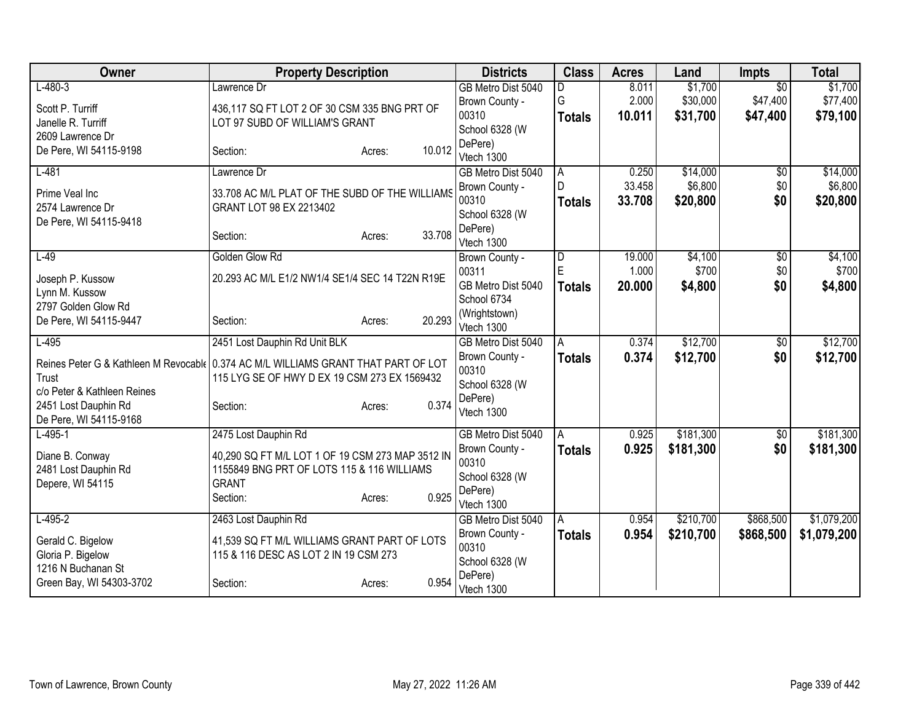| Owner                                                                              | <b>Property Description</b>                      |                  | <b>Districts</b>          | <b>Class</b>  | <b>Acres</b>    | Land             | <b>Impts</b>    | <b>Total</b>     |
|------------------------------------------------------------------------------------|--------------------------------------------------|------------------|---------------------------|---------------|-----------------|------------------|-----------------|------------------|
| $L-480-3$                                                                          | Lawrence Dr                                      |                  | GB Metro Dist 5040        | D             | 8.011           | \$1,700          | $\overline{50}$ | \$1,700          |
| Scott P. Turriff                                                                   | 436,117 SQ FT LOT 2 OF 30 CSM 335 BNG PRT OF     |                  | Brown County -            | G             | 2.000           | \$30,000         | \$47,400        | \$77,400         |
| Janelle R. Turriff                                                                 | LOT 97 SUBD OF WILLIAM'S GRANT                   |                  | 00310                     | <b>Totals</b> | 10.011          | \$31,700         | \$47,400        | \$79,100         |
| 2609 Lawrence Dr                                                                   |                                                  |                  | School 6328 (W<br>DePere) |               |                 |                  |                 |                  |
| De Pere, WI 54115-9198                                                             | Section:                                         | 10.012<br>Acres: | Vtech 1300                |               |                 |                  |                 |                  |
| $L-481$                                                                            | Lawrence Dr                                      |                  | GB Metro Dist 5040        | A             | 0.250           | \$14,000         | \$0             | \$14,000         |
| Prime Veal Inc                                                                     | 33.708 AC M/L PLAT OF THE SUBD OF THE WILLIAMS   |                  | Brown County -            | D             | 33.458          | \$6,800          | \$0             | \$6,800          |
| 2574 Lawrence Dr                                                                   | GRANT LOT 98 EX 2213402                          |                  | 00310                     | <b>Totals</b> | 33.708          | \$20,800         | \$0             | \$20,800         |
| De Pere, WI 54115-9418                                                             |                                                  |                  | School 6328 (W            |               |                 |                  |                 |                  |
|                                                                                    | Section:                                         | 33.708<br>Acres: | DePere)                   |               |                 |                  |                 |                  |
|                                                                                    |                                                  |                  | Vtech 1300                |               |                 |                  |                 |                  |
| $L-49$                                                                             | Golden Glow Rd                                   |                  | Brown County -<br>00311   | D<br>E        | 19.000<br>1.000 | \$4,100<br>\$700 | \$0<br>\$0      | \$4,100<br>\$700 |
| Joseph P. Kussow                                                                   | 20.293 AC M/L E1/2 NW1/4 SE1/4 SEC 14 T22N R19E  |                  | GB Metro Dist 5040        |               | 20,000          | \$4,800          | \$0             | \$4,800          |
| Lynn M. Kussow                                                                     |                                                  |                  | School 6734               | <b>Totals</b> |                 |                  |                 |                  |
| 2797 Golden Glow Rd                                                                |                                                  |                  | (Wrightstown)             |               |                 |                  |                 |                  |
| De Pere, WI 54115-9447                                                             | Section:                                         | 20.293<br>Acres: | Vtech 1300                |               |                 |                  |                 |                  |
| $L-495$                                                                            | 2451 Lost Dauphin Rd Unit BLK                    |                  | GB Metro Dist 5040        | A             | 0.374           | \$12,700         | \$0             | \$12,700         |
| Reines Peter G & Kathleen M Revocable 0.374 AC M/L WILLIAMS GRANT THAT PART OF LOT |                                                  |                  | Brown County -            | <b>Totals</b> | 0.374           | \$12,700         | \$0             | \$12,700         |
| Trust                                                                              | 115 LYG SE OF HWY D EX 19 CSM 273 EX 1569432     |                  | 00310                     |               |                 |                  |                 |                  |
| c/o Peter & Kathleen Reines                                                        |                                                  |                  | School 6328 (W            |               |                 |                  |                 |                  |
| 2451 Lost Dauphin Rd                                                               | Section:                                         | 0.374<br>Acres:  | DePere)<br>Vtech 1300     |               |                 |                  |                 |                  |
| De Pere, WI 54115-9168                                                             |                                                  |                  |                           |               |                 |                  |                 |                  |
| $L-495-1$                                                                          | 2475 Lost Dauphin Rd                             |                  | GB Metro Dist 5040        | A             | 0.925           | \$181,300        | \$0             | \$181,300        |
| Diane B. Conway                                                                    | 40,290 SQ FT M/L LOT 1 OF 19 CSM 273 MAP 3512 IN |                  | Brown County -            | <b>Totals</b> | 0.925           | \$181,300        | \$0             | \$181,300        |
| 2481 Lost Dauphin Rd                                                               | 1155849 BNG PRT OF LOTS 115 & 116 WILLIAMS       |                  | 00310                     |               |                 |                  |                 |                  |
| Depere, WI 54115                                                                   | <b>GRANT</b>                                     |                  | School 6328 (W<br>DePere) |               |                 |                  |                 |                  |
|                                                                                    | Section:                                         | 0.925<br>Acres:  | Vtech 1300                |               |                 |                  |                 |                  |
| $L-495-2$                                                                          | 2463 Lost Dauphin Rd                             |                  | GB Metro Dist 5040        | A             | 0.954           | \$210,700        | \$868,500       | \$1,079,200      |
| Gerald C. Bigelow                                                                  | 41,539 SQ FT M/L WILLIAMS GRANT PART OF LOTS     |                  | Brown County -            | <b>Totals</b> | 0.954           | \$210,700        | \$868,500       | \$1,079,200      |
| Gloria P. Bigelow                                                                  | 115 & 116 DESC AS LOT 2 IN 19 CSM 273            |                  | 00310                     |               |                 |                  |                 |                  |
| 1216 N Buchanan St                                                                 |                                                  |                  | School 6328 (W            |               |                 |                  |                 |                  |
| Green Bay, WI 54303-3702                                                           | Section:                                         | 0.954<br>Acres:  | DePere)                   |               |                 |                  |                 |                  |
|                                                                                    |                                                  |                  | Vtech 1300                |               |                 |                  |                 |                  |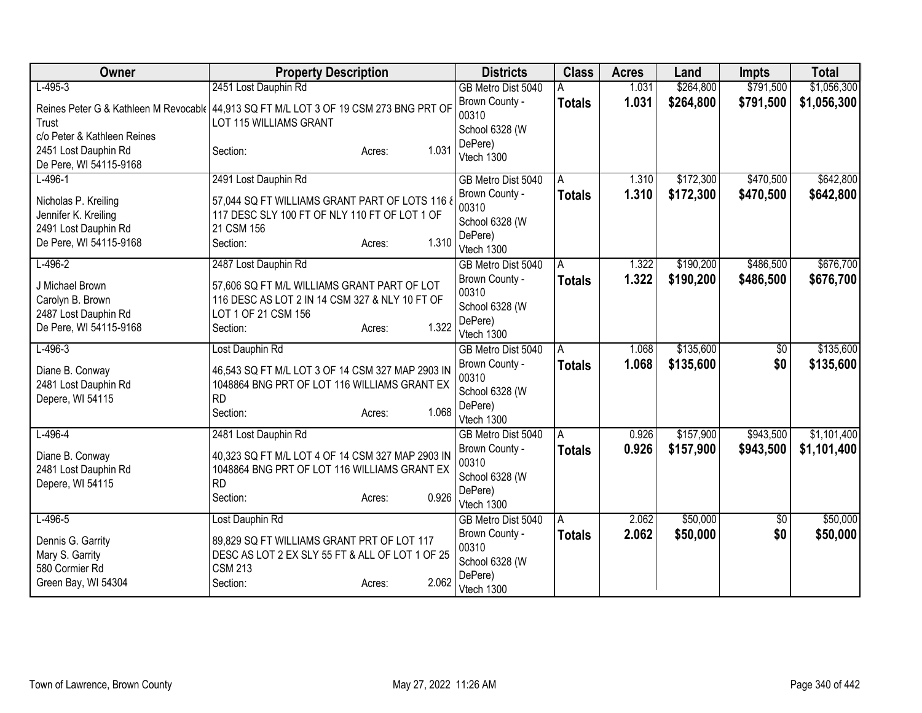| Owner                                | <b>Property Description</b>                                                                   | <b>Districts</b>          | <b>Class</b>  | <b>Acres</b> | Land      | <b>Impts</b>    | <b>Total</b> |
|--------------------------------------|-----------------------------------------------------------------------------------------------|---------------------------|---------------|--------------|-----------|-----------------|--------------|
| $L-495-3$                            | 2451 Lost Dauphin Rd                                                                          | GB Metro Dist 5040        |               | 1.031        | \$264,800 | \$791,500       | \$1,056,300  |
|                                      | Reines Peter G & Kathleen M Revocable 44,913 SQ FT M/L LOT 3 OF 19 CSM 273 BNG PRT OF         | Brown County -            | <b>Totals</b> | 1.031        | \$264,800 | \$791,500       | \$1,056,300  |
| Trust                                | LOT 115 WILLIAMS GRANT                                                                        | 00310                     |               |              |           |                 |              |
| c/o Peter & Kathleen Reines          |                                                                                               | School 6328 (W<br>DePere) |               |              |           |                 |              |
| 2451 Lost Dauphin Rd                 | 1.031<br>Section:<br>Acres:                                                                   | Vtech 1300                |               |              |           |                 |              |
| De Pere, WI 54115-9168               |                                                                                               |                           |               |              |           |                 |              |
| $L-496-1$                            | 2491 Lost Dauphin Rd                                                                          | GB Metro Dist 5040        | A             | 1.310        | \$172,300 | \$470,500       | \$642,800    |
| Nicholas P. Kreiling                 | 57,044 SQ FT WILLIAMS GRANT PART OF LOTS 116 8                                                | Brown County -            | <b>Totals</b> | 1.310        | \$172,300 | \$470,500       | \$642,800    |
| Jennifer K. Kreiling                 | 117 DESC SLY 100 FT OF NLY 110 FT OF LOT 1 OF                                                 | 00310                     |               |              |           |                 |              |
| 2491 Lost Dauphin Rd                 | 21 CSM 156                                                                                    | School 6328 (W            |               |              |           |                 |              |
| De Pere, WI 54115-9168               | 1.310<br>Section:<br>Acres:                                                                   | DePere)<br>Vtech 1300     |               |              |           |                 |              |
| $L-496-2$                            | 2487 Lost Dauphin Rd                                                                          | GB Metro Dist 5040        | A             | 1.322        | \$190,200 | \$486,500       | \$676,700    |
|                                      |                                                                                               | Brown County -            | Totals        | 1.322        | \$190,200 | \$486,500       | \$676,700    |
| J Michael Brown<br>Carolyn B. Brown  | 57,606 SQ FT M/L WILLIAMS GRANT PART OF LOT<br>116 DESC AS LOT 2 IN 14 CSM 327 & NLY 10 FT OF | 00310                     |               |              |           |                 |              |
| 2487 Lost Dauphin Rd                 | LOT 1 OF 21 CSM 156                                                                           | School 6328 (W            |               |              |           |                 |              |
| De Pere, WI 54115-9168               | 1.322<br>Section:<br>Acres:                                                                   | DePere)                   |               |              |           |                 |              |
|                                      |                                                                                               | Vtech 1300                |               |              |           |                 |              |
| $L-496-3$                            | Lost Dauphin Rd                                                                               | GB Metro Dist 5040        | A             | 1.068        | \$135,600 | \$0             | \$135,600    |
| Diane B. Conway                      | 46,543 SQ FT M/L LOT 3 OF 14 CSM 327 MAP 2903 IN                                              | Brown County -<br>00310   | <b>Totals</b> | 1.068        | \$135,600 | \$0             | \$135,600    |
| 2481 Lost Dauphin Rd                 | 1048864 BNG PRT OF LOT 116 WILLIAMS GRANT EX                                                  | School 6328 (W            |               |              |           |                 |              |
| Depere, WI 54115                     | <b>RD</b>                                                                                     | DePere)                   |               |              |           |                 |              |
|                                      | 1.068<br>Section:<br>Acres:                                                                   | Vtech 1300                |               |              |           |                 |              |
| $L-496-4$                            | 2481 Lost Dauphin Rd                                                                          | GB Metro Dist 5040        | A             | 0.926        | \$157,900 | \$943,500       | \$1,101,400  |
| Diane B. Conway                      | 40,323 SQ FT M/L LOT 4 OF 14 CSM 327 MAP 2903 IN                                              | Brown County -            | <b>Totals</b> | 0.926        | \$157,900 | \$943,500       | \$1,101,400  |
| 2481 Lost Dauphin Rd                 | 1048864 BNG PRT OF LOT 116 WILLIAMS GRANT EX                                                  | 00310                     |               |              |           |                 |              |
| Depere, WI 54115                     | <b>RD</b>                                                                                     | School 6328 (W            |               |              |           |                 |              |
|                                      | 0.926<br>Section:<br>Acres:                                                                   | DePere)<br>Vtech 1300     |               |              |           |                 |              |
| $L-496-5$                            | Lost Dauphin Rd                                                                               | GB Metro Dist 5040        | A             | 2.062        | \$50,000  | $\overline{50}$ | \$50,000     |
|                                      |                                                                                               | Brown County -            | <b>Totals</b> | 2.062        | \$50,000  | \$0             | \$50,000     |
| Dennis G. Garrity<br>Mary S. Garrity | 89,829 SQ FT WILLIAMS GRANT PRT OF LOT 117<br>DESC AS LOT 2 EX SLY 55 FT & ALL OF LOT 1 OF 25 | 00310                     |               |              |           |                 |              |
| 580 Cormier Rd                       | <b>CSM 213</b>                                                                                | School 6328 (W            |               |              |           |                 |              |
| Green Bay, WI 54304                  | 2.062<br>Section:<br>Acres:                                                                   | DePere)                   |               |              |           |                 |              |
|                                      |                                                                                               | Vtech 1300                |               |              |           |                 |              |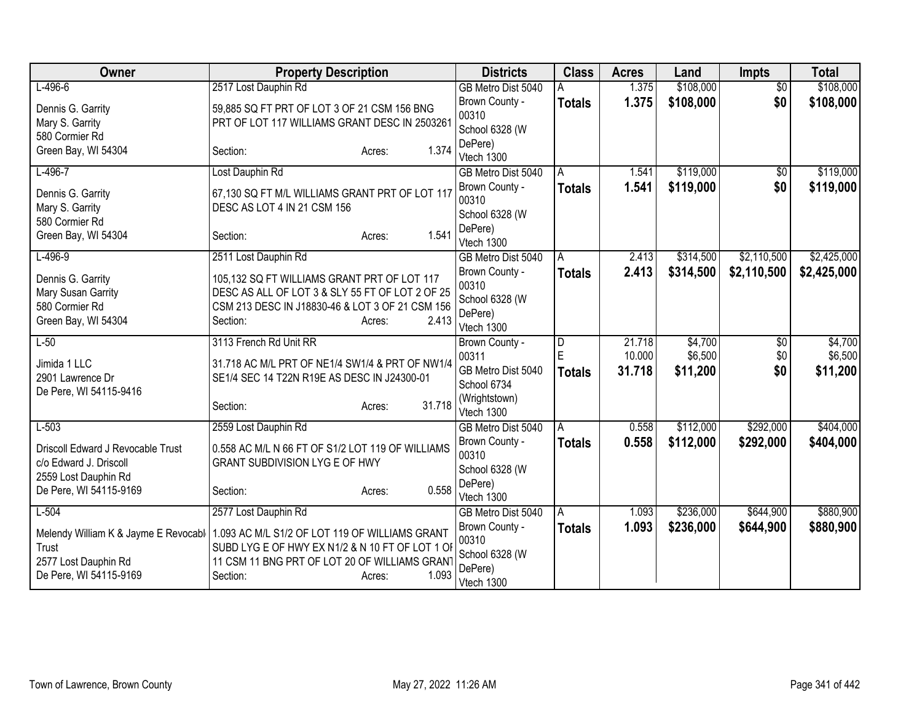| Owner                                                                                           | <b>Property Description</b>                                                                                                                                                       | <b>Districts</b>                                                   | <b>Class</b>       | <b>Acres</b>     | Land                | <b>Impts</b>    | <b>Total</b>        |
|-------------------------------------------------------------------------------------------------|-----------------------------------------------------------------------------------------------------------------------------------------------------------------------------------|--------------------------------------------------------------------|--------------------|------------------|---------------------|-----------------|---------------------|
| $L-496-6$                                                                                       | 2517 Lost Dauphin Rd                                                                                                                                                              | GB Metro Dist 5040                                                 |                    | 1.375            | \$108,000           | $\overline{50}$ | \$108,000           |
| Dennis G. Garrity<br>Mary S. Garrity<br>580 Cormier Rd                                          | 59,885 SQ FT PRT OF LOT 3 OF 21 CSM 156 BNG<br>PRT OF LOT 117 WILLIAMS GRANT DESC IN 2503261                                                                                      | Brown County -<br>00310<br>School 6328 (W                          | <b>Totals</b>      | 1.375            | \$108,000           | \$0             | \$108,000           |
| Green Bay, WI 54304                                                                             | 1.374<br>Section:<br>Acres:                                                                                                                                                       | DePere)<br>Vtech 1300                                              |                    |                  |                     |                 |                     |
| $L-496-7$                                                                                       | Lost Dauphin Rd                                                                                                                                                                   | GB Metro Dist 5040                                                 | Α                  | 1.541            | \$119,000           | $\overline{50}$ | \$119,000           |
| Dennis G. Garrity<br>Mary S. Garrity                                                            | 67,130 SQ FT M/L WILLIAMS GRANT PRT OF LOT 117<br>DESC AS LOT 4 IN 21 CSM 156                                                                                                     | Brown County -<br>00310                                            | <b>Totals</b>      | 1.541            | \$119,000           | \$0             | \$119,000           |
| 580 Cormier Rd<br>Green Bay, WI 54304                                                           | 1.541<br>Section:<br>Acres:                                                                                                                                                       | School 6328 (W<br>DePere)<br>Vtech 1300                            |                    |                  |                     |                 |                     |
| $L-496-9$                                                                                       | 2511 Lost Dauphin Rd                                                                                                                                                              | GB Metro Dist 5040                                                 | Α                  | 2.413            | \$314,500           | \$2,110,500     | \$2,425,000         |
| Dennis G. Garrity<br>Mary Susan Garrity<br>580 Cormier Rd<br>Green Bay, WI 54304                | 105,132 SQ FT WILLIAMS GRANT PRT OF LOT 117<br>DESC AS ALL OF LOT 3 & SLY 55 FT OF LOT 2 OF 25<br>CSM 213 DESC IN J18830-46 & LOT 3 OF 21 CSM 156<br>2.413<br>Section:<br>Acres:  | Brown County -<br>00310<br>School 6328 (W<br>DePere)<br>Vtech 1300 | <b>Totals</b>      | 2.413            | \$314,500           | \$2,110,500     | \$2,425,000         |
| $L-50$                                                                                          | 3113 French Rd Unit RR                                                                                                                                                            | Brown County -                                                     | D                  | 21.718           | \$4,700             | $\sqrt{$0}$     | \$4,700             |
| Jimida 1 LLC<br>2901 Lawrence Dr<br>De Pere, WI 54115-9416                                      | 31.718 AC M/L PRT OF NE1/4 SW1/4 & PRT OF NW1/4<br>SE1/4 SEC 14 T22N R19E AS DESC IN J24300-01                                                                                    | 00311<br>GB Metro Dist 5040<br>School 6734<br>(Wrightstown)        | Ė<br><b>Totals</b> | 10.000<br>31.718 | \$6,500<br>\$11,200 | \$0<br>\$0      | \$6,500<br>\$11,200 |
|                                                                                                 | 31.718<br>Section:<br>Acres:                                                                                                                                                      | Vtech 1300                                                         |                    |                  |                     |                 |                     |
| $L-503$                                                                                         | 2559 Lost Dauphin Rd                                                                                                                                                              | GB Metro Dist 5040                                                 | A                  | 0.558            | \$112,000           | \$292,000       | \$404,000           |
| Driscoll Edward J Revocable Trust<br>c/o Edward J. Driscoll<br>2559 Lost Dauphin Rd             | 0.558 AC M/L N 66 FT OF S1/2 LOT 119 OF WILLIAMS<br><b>GRANT SUBDIVISION LYG E OF HWY</b>                                                                                         | Brown County -<br>00310<br>School 6328 (W                          | <b>Totals</b>      | 0.558            | \$112,000           | \$292,000       | \$404,000           |
| De Pere, WI 54115-9169                                                                          | 0.558<br>Section:<br>Acres:                                                                                                                                                       | DePere)<br>Vtech 1300                                              |                    |                  |                     |                 |                     |
| $L-504$                                                                                         | 2577 Lost Dauphin Rd                                                                                                                                                              | GB Metro Dist 5040                                                 | A                  | 1.093            | \$236,000           | \$644,900       | \$880,900           |
| Melendy William K & Jayme E Revocabl<br>Trust<br>2577 Lost Dauphin Rd<br>De Pere, WI 54115-9169 | 1.093 AC M/L S1/2 OF LOT 119 OF WILLIAMS GRANT<br>SUBD LYG E OF HWY EX N1/2 & N 10 FT OF LOT 1 OF<br>11 CSM 11 BNG PRT OF LOT 20 OF WILLIAMS GRANT<br>1.093<br>Section:<br>Acres: | Brown County -<br>00310<br>School 6328 (W<br>DePere)<br>Vtech 1300 | <b>Totals</b>      | 1.093            | \$236,000           | \$644,900       | \$880,900           |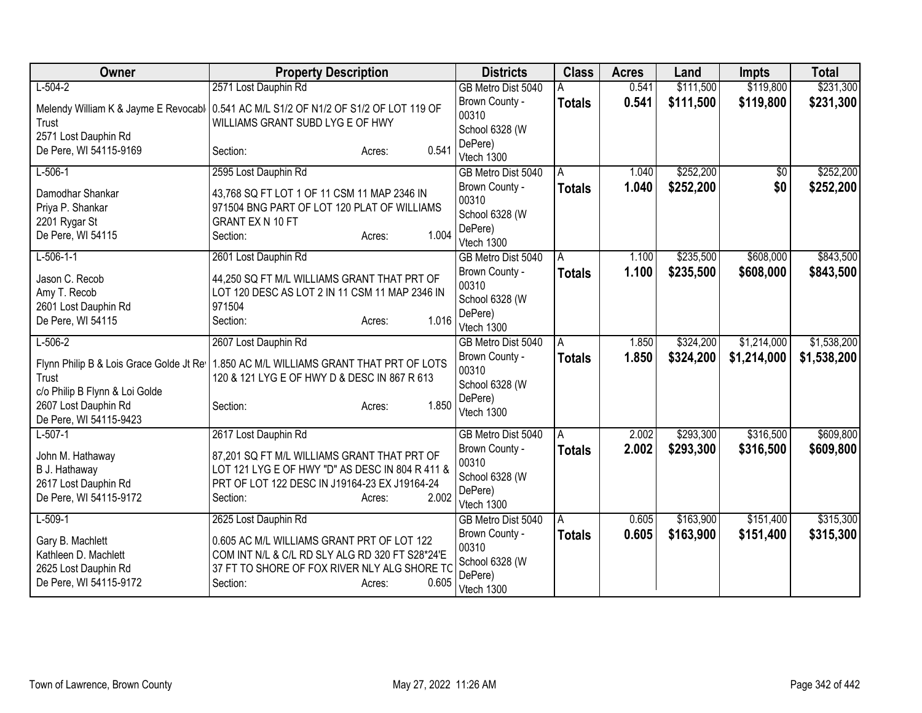| Owner                                                                                                                                | <b>Property Description</b>                                                                                                                                                    | <b>Districts</b>                                                   | <b>Class</b>  | <b>Acres</b> | Land      | <b>Impts</b>    | <b>Total</b> |
|--------------------------------------------------------------------------------------------------------------------------------------|--------------------------------------------------------------------------------------------------------------------------------------------------------------------------------|--------------------------------------------------------------------|---------------|--------------|-----------|-----------------|--------------|
| $L-504-2$                                                                                                                            | 2571 Lost Dauphin Rd                                                                                                                                                           | GB Metro Dist 5040                                                 |               | 0.541        | \$111,500 | \$119,800       | \$231,300    |
| Trust<br>2571 Lost Dauphin Rd                                                                                                        | Melendy William K & Jayme E Revocabl   0.541 AC M/L S1/2 OF N1/2 OF S1/2 OF LOT 119 OF<br>WILLIAMS GRANT SUBD LYG E OF HWY                                                     | Brown County -<br>00310<br>School 6328 (W                          | <b>Totals</b> | 0.541        | \$111,500 | \$119,800       | \$231,300    |
| De Pere, WI 54115-9169                                                                                                               | 0.541<br>Section:<br>Acres:                                                                                                                                                    | DePere)<br>Vtech 1300                                              |               |              |           |                 |              |
| $L-506-1$                                                                                                                            | 2595 Lost Dauphin Rd                                                                                                                                                           | GB Metro Dist 5040                                                 | A             | 1.040        | \$252,200 | $\overline{50}$ | \$252,200    |
| Damodhar Shankar<br>Priya P. Shankar<br>2201 Rygar St<br>De Pere, WI 54115                                                           | 43,768 SQ FT LOT 1 OF 11 CSM 11 MAP 2346 IN<br>971504 BNG PART OF LOT 120 PLAT OF WILLIAMS<br>GRANT EX N 10 FT<br>1.004<br>Section:<br>Acres:                                  | Brown County -<br>00310<br>School 6328 (W<br>DePere)<br>Vtech 1300 | <b>Totals</b> | 1.040        | \$252,200 | \$0             | \$252,200    |
| $L-506-1-1$                                                                                                                          | 2601 Lost Dauphin Rd                                                                                                                                                           | GB Metro Dist 5040                                                 | A             | 1.100        | \$235,500 | \$608,000       | \$843,500    |
| Jason C. Recob<br>Amy T. Recob<br>2601 Lost Dauphin Rd<br>De Pere, WI 54115                                                          | 44,250 SQ FT M/L WILLIAMS GRANT THAT PRT OF<br>LOT 120 DESC AS LOT 2 IN 11 CSM 11 MAP 2346 IN<br>971504<br>1.016<br>Section:<br>Acres:                                         | Brown County -<br>00310<br>School 6328 (W<br>DePere)<br>Vtech 1300 | <b>Totals</b> | 1.100        | \$235,500 | \$608,000       | \$843,500    |
| $L - 506 - 2$                                                                                                                        | 2607 Lost Dauphin Rd                                                                                                                                                           | GB Metro Dist 5040                                                 | A             | 1.850        | \$324,200 | \$1,214,000     | \$1,538,200  |
| Flynn Philip B & Lois Grace Golde Jt Re<br>Trust<br>c/o Philip B Flynn & Loi Golde<br>2607 Lost Dauphin Rd<br>De Pere, WI 54115-9423 | 1.850 AC M/L WILLIAMS GRANT THAT PRT OF LOTS<br>120 & 121 LYG E OF HWY D & DESC IN 867 R 613<br>1.850<br>Section:<br>Acres:                                                    | Brown County -<br>00310<br>School 6328 (W<br>DePere)<br>Vtech 1300 | <b>Totals</b> | 1.850        | \$324,200 | \$1,214,000     | \$1,538,200  |
| $L-507-1$                                                                                                                            | 2617 Lost Dauphin Rd                                                                                                                                                           | GB Metro Dist 5040                                                 | A             | 2.002        | \$293,300 | \$316,500       | \$609,800    |
| John M. Hathaway<br>B J. Hathaway<br>2617 Lost Dauphin Rd<br>De Pere, WI 54115-9172                                                  | 87,201 SQ FT M/L WILLIAMS GRANT THAT PRT OF<br>LOT 121 LYG E OF HWY "D" AS DESC IN 804 R 411 &<br>PRT OF LOT 122 DESC IN J19164-23 EX J19164-24<br>2.002<br>Section:<br>Acres: | Brown County -<br>00310<br>School 6328 (W<br>DePere)<br>Vtech 1300 | <b>Totals</b> | 2.002        | \$293,300 | \$316,500       | \$609,800    |
| $L-509-1$                                                                                                                            | 2625 Lost Dauphin Rd                                                                                                                                                           | GB Metro Dist 5040                                                 | A             | 0.605        | \$163,900 | \$151,400       | \$315,300    |
| Gary B. Machlett<br>Kathleen D. Machlett<br>2625 Lost Dauphin Rd<br>De Pere, WI 54115-9172                                           | 0.605 AC M/L WILLIAMS GRANT PRT OF LOT 122<br>COM INT N/L & C/L RD SLY ALG RD 320 FT S28*24'E<br>37 FT TO SHORE OF FOX RIVER NLY ALG SHORE TO<br>0.605<br>Section:<br>Acres:   | Brown County -<br>00310<br>School 6328 (W<br>DePere)<br>Vtech 1300 | <b>Totals</b> | 0.605        | \$163,900 | \$151,400       | \$315,300    |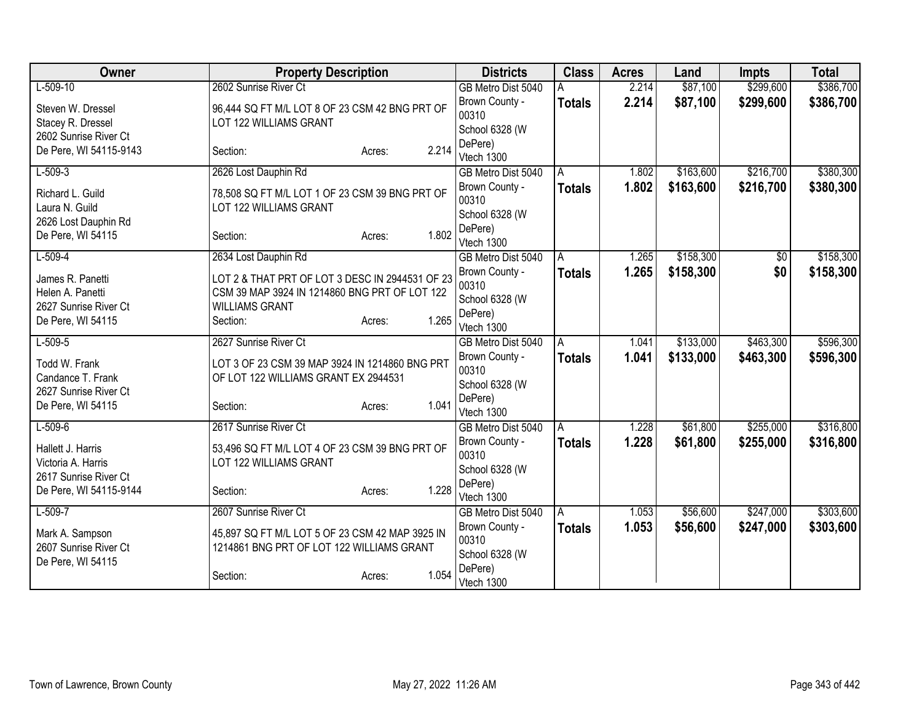| Owner                                       | <b>Property Description</b>                     |                 | <b>Districts</b>                     | <b>Class</b>  | <b>Acres</b> | Land      | <b>Impts</b> | <b>Total</b> |
|---------------------------------------------|-------------------------------------------------|-----------------|--------------------------------------|---------------|--------------|-----------|--------------|--------------|
| $L-509-10$                                  | 2602 Sunrise River Ct                           |                 | GB Metro Dist 5040                   |               | 2.214        | \$87,100  | \$299,600    | \$386,700    |
| Steven W. Dressel                           | 96,444 SQ FT M/L LOT 8 OF 23 CSM 42 BNG PRT OF  |                 | Brown County -                       | <b>Totals</b> | 2.214        | \$87,100  | \$299,600    | \$386,700    |
| Stacey R. Dressel                           | LOT 122 WILLIAMS GRANT                          |                 | 00310                                |               |              |           |              |              |
| 2602 Sunrise River Ct                       |                                                 |                 | School 6328 (W                       |               |              |           |              |              |
| De Pere, WI 54115-9143                      | Section:                                        | 2.214<br>Acres: | DePere)                              |               |              |           |              |              |
| $L-509-3$                                   | 2626 Lost Dauphin Rd                            |                 | Vtech 1300                           | A             | 1.802        | \$163,600 | \$216,700    | \$380,300    |
|                                             |                                                 |                 | GB Metro Dist 5040<br>Brown County - |               | 1.802        | \$163,600 | \$216,700    | \$380,300    |
| Richard L. Guild                            | 78,508 SQ FT M/L LOT 1 OF 23 CSM 39 BNG PRT OF  |                 | 00310                                | <b>Totals</b> |              |           |              |              |
| Laura N. Guild                              | LOT 122 WILLIAMS GRANT                          |                 | School 6328 (W                       |               |              |           |              |              |
| 2626 Lost Dauphin Rd                        |                                                 |                 | DePere)                              |               |              |           |              |              |
| De Pere, WI 54115                           | Section:                                        | 1.802<br>Acres: | Vtech 1300                           |               |              |           |              |              |
| $L-509-4$                                   | 2634 Lost Dauphin Rd                            |                 | GB Metro Dist 5040                   | A             | 1.265        | \$158,300 | \$0          | \$158,300    |
| James R. Panetti                            | LOT 2 & THAT PRT OF LOT 3 DESC IN 2944531 OF 23 |                 | Brown County -                       | <b>Totals</b> | 1.265        | \$158,300 | \$0          | \$158,300    |
| Helen A. Panetti                            | CSM 39 MAP 3924 IN 1214860 BNG PRT OF LOT 122   |                 | 00310                                |               |              |           |              |              |
| 2627 Sunrise River Ct                       | <b>WILLIAMS GRANT</b>                           |                 | School 6328 (W                       |               |              |           |              |              |
| De Pere, WI 54115                           | Section:                                        | 1.265<br>Acres: | DePere)                              |               |              |           |              |              |
|                                             |                                                 |                 | Vtech 1300                           |               |              |           |              |              |
| $L-509-5$                                   | 2627 Sunrise River Ct                           |                 | GB Metro Dist 5040                   | A             | 1.041        | \$133,000 | \$463,300    | \$596,300    |
| Todd W. Frank                               | LOT 3 OF 23 CSM 39 MAP 3924 IN 1214860 BNG PRT  |                 | Brown County -<br>00310              | <b>Totals</b> | 1.041        | \$133,000 | \$463,300    | \$596,300    |
| Candance T. Frank                           | OF LOT 122 WILLIAMS GRANT EX 2944531            |                 | School 6328 (W                       |               |              |           |              |              |
| 2627 Sunrise River Ct                       |                                                 |                 | DePere)                              |               |              |           |              |              |
| De Pere, WI 54115                           | Section:                                        | 1.041<br>Acres: | Vtech 1300                           |               |              |           |              |              |
| $L-509-6$                                   | 2617 Sunrise River Ct                           |                 | GB Metro Dist 5040                   | A             | 1.228        | \$61,800  | \$255,000    | \$316,800    |
|                                             |                                                 |                 | Brown County -                       | <b>Totals</b> | 1.228        | \$61,800  | \$255,000    | \$316,800    |
| Hallett J. Harris                           | 53,496 SQ FT M/L LOT 4 OF 23 CSM 39 BNG PRT OF  |                 | 00310                                |               |              |           |              |              |
| Victoria A. Harris<br>2617 Sunrise River Ct | LOT 122 WILLIAMS GRANT                          |                 | School 6328 (W                       |               |              |           |              |              |
| De Pere, WI 54115-9144                      | Section:                                        | 1.228<br>Acres: | DePere)                              |               |              |           |              |              |
|                                             |                                                 |                 | Vtech 1300                           |               |              |           |              |              |
| $L-509-7$                                   | 2607 Sunrise River Ct                           |                 | GB Metro Dist 5040                   | A             | 1.053        | \$56,600  | \$247,000    | \$303,600    |
| Mark A. Sampson                             | 45,897 SQ FT M/L LOT 5 OF 23 CSM 42 MAP 3925 IN |                 | Brown County -                       | <b>Totals</b> | 1.053        | \$56,600  | \$247,000    | \$303,600    |
| 2607 Sunrise River Ct                       | 1214861 BNG PRT OF LOT 122 WILLIAMS GRANT       |                 | 00310                                |               |              |           |              |              |
| De Pere, WI 54115                           |                                                 |                 | School 6328 (W<br>DePere)            |               |              |           |              |              |
|                                             | Section:                                        | 1.054<br>Acres: | Vtech 1300                           |               |              |           |              |              |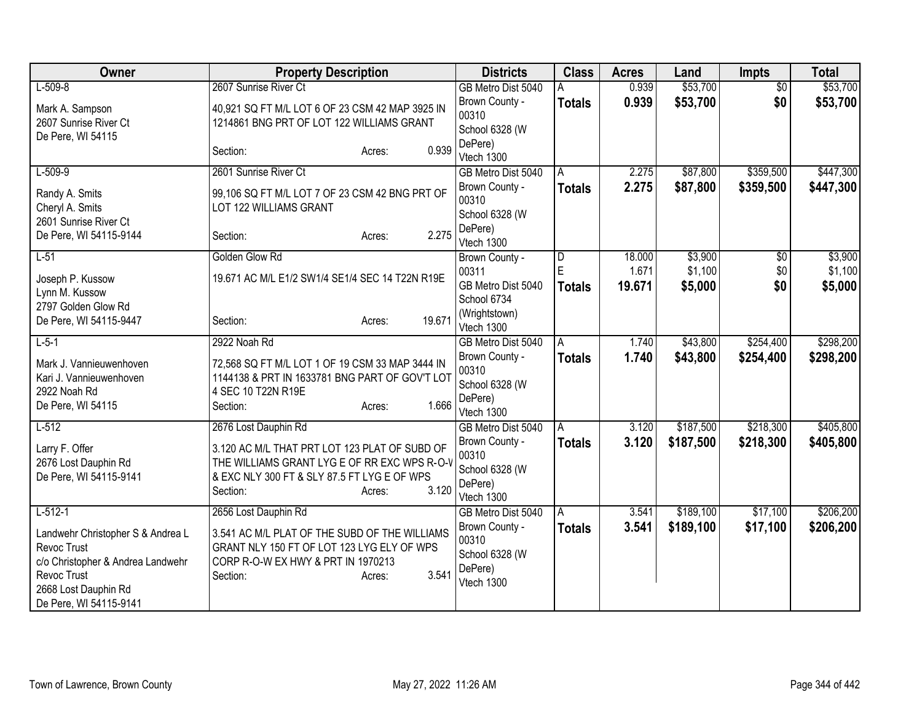| Owner                                                                                                                                                  | <b>Property Description</b>                                                                                                                                                 | <b>Districts</b>                                                   | <b>Class</b>       | <b>Acres</b>    | Land               | <b>Impts</b>    | <b>Total</b>       |
|--------------------------------------------------------------------------------------------------------------------------------------------------------|-----------------------------------------------------------------------------------------------------------------------------------------------------------------------------|--------------------------------------------------------------------|--------------------|-----------------|--------------------|-----------------|--------------------|
| $L-509-8$                                                                                                                                              | 2607 Sunrise River Ct                                                                                                                                                       | GB Metro Dist 5040                                                 | А                  | 0.939           | \$53,700           | $\overline{50}$ | \$53,700           |
| Mark A. Sampson<br>2607 Sunrise River Ct<br>De Pere, WI 54115                                                                                          | 40,921 SQ FT M/L LOT 6 OF 23 CSM 42 MAP 3925 IN<br>1214861 BNG PRT OF LOT 122 WILLIAMS GRANT                                                                                | Brown County -<br>00310<br>School 6328 (W                          | <b>Totals</b>      | 0.939           | \$53,700           | \$0             | \$53,700           |
|                                                                                                                                                        | 0.939<br>Section:<br>Acres:                                                                                                                                                 | DePere)<br>Vtech 1300                                              |                    |                 |                    |                 |                    |
| $L-509-9$                                                                                                                                              | 2601 Sunrise River Ct                                                                                                                                                       | GB Metro Dist 5040                                                 | A                  | 2.275           | \$87,800           | \$359,500       | \$447,300          |
| Randy A. Smits<br>Cheryl A. Smits<br>2601 Sunrise River Ct                                                                                             | 99,106 SQ FT M/L LOT 7 OF 23 CSM 42 BNG PRT OF<br>LOT 122 WILLIAMS GRANT                                                                                                    | Brown County -<br>00310<br>School 6328 (W                          | <b>Totals</b>      | 2.275           | \$87,800           | \$359,500       | \$447,300          |
| De Pere, WI 54115-9144                                                                                                                                 | 2.275<br>Section:<br>Acres:                                                                                                                                                 | DePere)<br>Vtech 1300                                              |                    |                 |                    |                 |                    |
| $L-51$                                                                                                                                                 | Golden Glow Rd                                                                                                                                                              | Brown County -                                                     | D                  | 18.000          | \$3,900            | \$0             | \$3,900            |
| Joseph P. Kussow<br>Lynn M. Kussow                                                                                                                     | 19.671 AC M/L E1/2 SW1/4 SE1/4 SEC 14 T22N R19E                                                                                                                             | 00311<br>GB Metro Dist 5040                                        | E<br><b>Totals</b> | 1.671<br>19.671 | \$1,100<br>\$5,000 | \$0<br>\$0      | \$1,100<br>\$5,000 |
| 2797 Golden Glow Rd<br>De Pere, WI 54115-9447                                                                                                          | 19.671<br>Section:<br>Acres:                                                                                                                                                | School 6734<br>(Wrightstown)<br>Vtech 1300                         |                    |                 |                    |                 |                    |
| $L-5-1$                                                                                                                                                | 2922 Noah Rd                                                                                                                                                                | GB Metro Dist 5040                                                 | A                  | 1.740           | \$43,800           | \$254,400       | \$298,200          |
| Mark J. Vannieuwenhoven<br>Kari J. Vannieuwenhoven<br>2922 Noah Rd<br>De Pere, WI 54115                                                                | 72,568 SQ FT M/L LOT 1 OF 19 CSM 33 MAP 3444 IN<br>1144138 & PRT IN 1633781 BNG PART OF GOV'T LOT<br>4 SEC 10 T22N R19E<br>1.666<br>Section:<br>Acres:                      | Brown County -<br>00310<br>School 6328 (W<br>DePere)<br>Vtech 1300 | <b>Totals</b>      | 1.740           | \$43,800           | \$254,400       | \$298,200          |
| $L-512$                                                                                                                                                | 2676 Lost Dauphin Rd                                                                                                                                                        | GB Metro Dist 5040                                                 | A                  | 3.120           | \$187,500          | \$218,300       | \$405,800          |
| Larry F. Offer<br>2676 Lost Dauphin Rd<br>De Pere, WI 54115-9141                                                                                       | 3.120 AC M/L THAT PRT LOT 123 PLAT OF SUBD OF<br>THE WILLIAMS GRANT LYG E OF RR EXC WPS R-O-V<br>& EXC NLY 300 FT & SLY 87.5 FT LYG E OF WPS<br>3.120<br>Section:<br>Acres: | Brown County -<br>00310<br>School 6328 (W<br>DePere)<br>Vtech 1300 | <b>Totals</b>      | 3.120           | \$187,500          | \$218,300       | \$405,800          |
| $L-512-1$                                                                                                                                              | 2656 Lost Dauphin Rd                                                                                                                                                        | GB Metro Dist 5040                                                 | A                  | 3.541           | \$189,100          | \$17,100        | \$206,200          |
| Landwehr Christopher S & Andrea L<br>Revoc Trust<br>c/o Christopher & Andrea Landwehr<br>Revoc Trust<br>2668 Lost Dauphin Rd<br>De Pere, WI 54115-9141 | 3.541 AC M/L PLAT OF THE SUBD OF THE WILLIAMS<br>GRANT NLY 150 FT OF LOT 123 LYG ELY OF WPS<br>CORP R-O-W EX HWY & PRT IN 1970213<br>3.541<br>Section:<br>Acres:            | Brown County -<br>00310<br>School 6328 (W<br>DePere)<br>Vtech 1300 | <b>Totals</b>      | 3.541           | \$189,100          | \$17,100        | \$206,200          |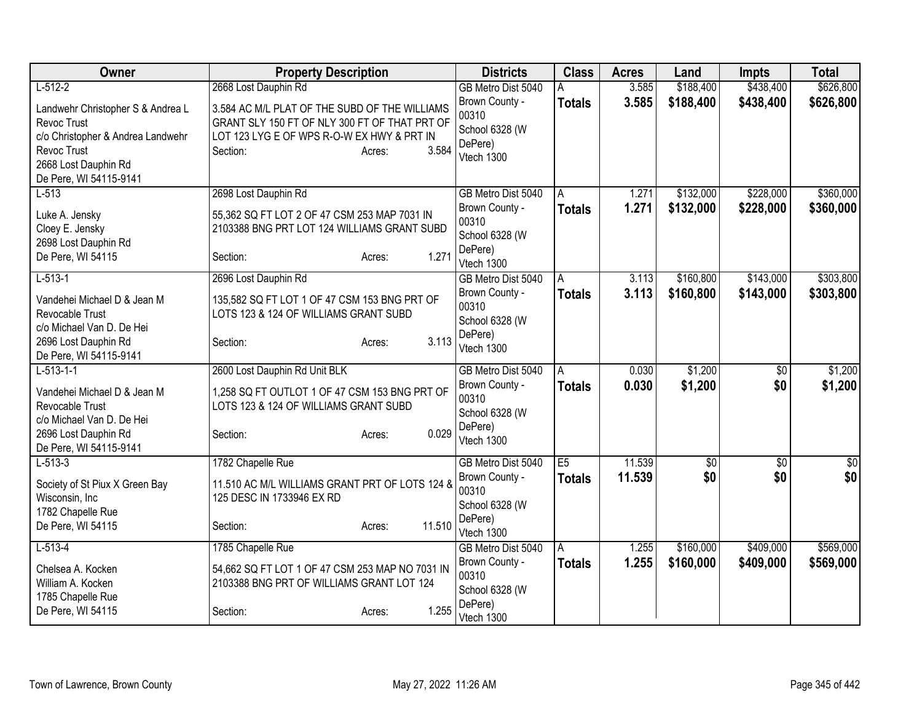| Owner                                                                                                                                                  | <b>Property Description</b>                                                                                                                                                 | <b>Districts</b>                                                   | <b>Class</b>   | <b>Acres</b> | Land            | <b>Impts</b> | <b>Total</b>     |
|--------------------------------------------------------------------------------------------------------------------------------------------------------|-----------------------------------------------------------------------------------------------------------------------------------------------------------------------------|--------------------------------------------------------------------|----------------|--------------|-----------------|--------------|------------------|
| $L-512-2$                                                                                                                                              | 2668 Lost Dauphin Rd                                                                                                                                                        | GB Metro Dist 5040                                                 | A              | 3.585        | \$188,400       | \$438,400    | \$626,800        |
| Landwehr Christopher S & Andrea L<br>Revoc Trust<br>c/o Christopher & Andrea Landwehr<br>Revoc Trust<br>2668 Lost Dauphin Rd<br>De Pere, WI 54115-9141 | 3.584 AC M/L PLAT OF THE SUBD OF THE WILLIAMS<br>GRANT SLY 150 FT OF NLY 300 FT OF THAT PRT OF<br>LOT 123 LYG E OF WPS R-O-W EX HWY & PRT IN<br>3.584<br>Section:<br>Acres: | Brown County -<br>00310<br>School 6328 (W<br>DePere)<br>Vtech 1300 | <b>Totals</b>  | 3.585        | \$188,400       | \$438,400    | \$626,800        |
| $L-513$                                                                                                                                                | 2698 Lost Dauphin Rd                                                                                                                                                        | GB Metro Dist 5040                                                 | A              | 1.271        | \$132,000       | \$228,000    | \$360,000        |
| Luke A. Jensky<br>Cloey E. Jensky<br>2698 Lost Dauphin Rd<br>De Pere, WI 54115                                                                         | 55,362 SQ FT LOT 2 OF 47 CSM 253 MAP 7031 IN<br>2103388 BNG PRT LOT 124 WILLIAMS GRANT SUBD<br>1.271<br>Section:<br>Acres:                                                  | Brown County -<br>00310<br>School 6328 (W<br>DePere)<br>Vtech 1300 | <b>Totals</b>  | 1.271        | \$132,000       | \$228,000    | \$360,000        |
| $L-513-1$                                                                                                                                              | 2696 Lost Dauphin Rd                                                                                                                                                        | GB Metro Dist 5040                                                 | A              | 3.113        | \$160,800       | \$143,000    | \$303,800        |
| Vandehei Michael D & Jean M<br>Revocable Trust<br>c/o Michael Van D. De Hei<br>2696 Lost Dauphin Rd<br>De Pere, WI 54115-9141                          | 135,582 SQ FT LOT 1 OF 47 CSM 153 BNG PRT OF<br>LOTS 123 & 124 OF WILLIAMS GRANT SUBD<br>3.113<br>Section:<br>Acres:                                                        | Brown County -<br>00310<br>School 6328 (W<br>DePere)<br>Vtech 1300 | <b>Totals</b>  | 3.113        | \$160,800       | \$143,000    | \$303,800        |
| $L-513-1-1$                                                                                                                                            | 2600 Lost Dauphin Rd Unit BLK                                                                                                                                               | GB Metro Dist 5040                                                 | A              | 0.030        | \$1,200         | $\sqrt{$0}$  | \$1,200          |
| Vandehei Michael D & Jean M<br>Revocable Trust<br>c/o Michael Van D. De Hei<br>2696 Lost Dauphin Rd<br>De Pere, WI 54115-9141                          | 1,258 SQ FT OUTLOT 1 OF 47 CSM 153 BNG PRT OF<br>LOTS 123 & 124 OF WILLIAMS GRANT SUBD<br>0.029<br>Section:<br>Acres:                                                       | Brown County -<br>00310<br>School 6328 (W<br>DePere)<br>Vtech 1300 | <b>Totals</b>  | 0.030        | \$1,200         | \$0          | \$1,200          |
| $L-513-3$                                                                                                                                              | 1782 Chapelle Rue                                                                                                                                                           | GB Metro Dist 5040                                                 | E5             | 11.539       | $\overline{60}$ | $\sqrt{$0}$  | $\overline{\$0}$ |
| Society of St Piux X Green Bay<br>Wisconsin, Inc<br>1782 Chapelle Rue<br>De Pere, WI 54115                                                             | 11.510 AC M/L WILLIAMS GRANT PRT OF LOTS 124 &<br>125 DESC IN 1733946 EX RD<br>11.510<br>Section:<br>Acres:                                                                 | Brown County -<br>00310<br>School 6328 (W<br>DePere)<br>Vtech 1300 | <b>Totals</b>  | 11.539       | \$0             | \$0          | \$0              |
| $L-513-4$                                                                                                                                              | 1785 Chapelle Rue                                                                                                                                                           | GB Metro Dist 5040                                                 | $\overline{A}$ | 1.255        | \$160,000       | \$409,000    | \$569,000        |
| Chelsea A. Kocken<br>William A. Kocken<br>1785 Chapelle Rue                                                                                            | 54,662 SQ FT LOT 1 OF 47 CSM 253 MAP NO 7031 IN<br>2103388 BNG PRT OF WILLIAMS GRANT LOT 124                                                                                | Brown County -<br>00310<br>School 6328 (W                          | <b>Totals</b>  | 1.255        | \$160,000       | \$409,000    | \$569,000        |
| De Pere, WI 54115                                                                                                                                      | 1.255<br>Section:<br>Acres:                                                                                                                                                 | DePere)<br>Vtech 1300                                              |                |              |                 |              |                  |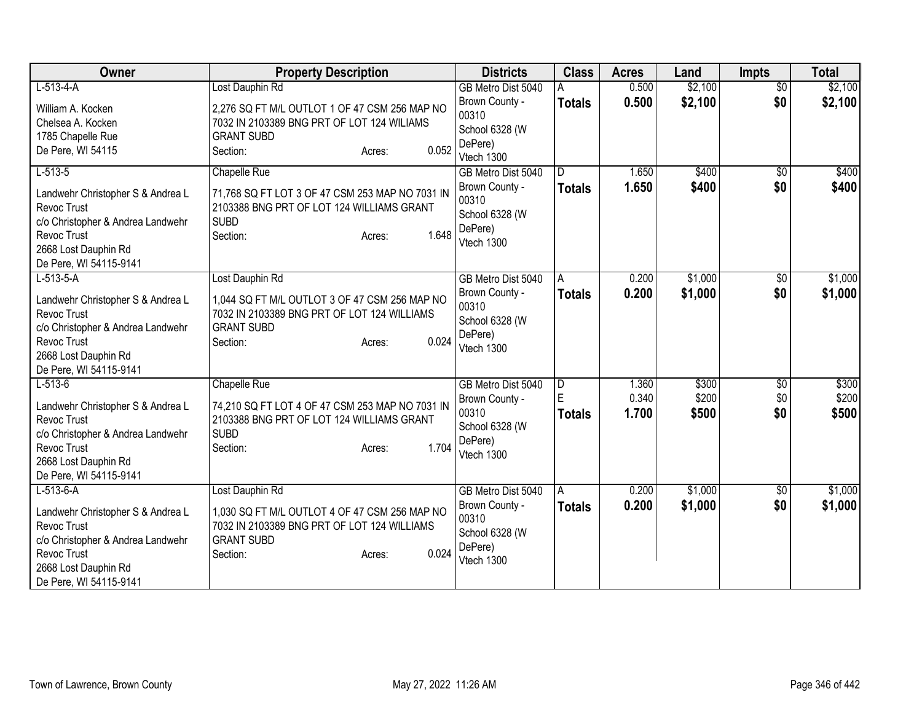| Owner                                                                                                                                                                 | <b>Property Description</b>                                                                                                                                         | <b>Districts</b>                                                                         | <b>Class</b>                         | <b>Acres</b>            | Land                    | <b>Impts</b>                  | <b>Total</b>            |
|-----------------------------------------------------------------------------------------------------------------------------------------------------------------------|---------------------------------------------------------------------------------------------------------------------------------------------------------------------|------------------------------------------------------------------------------------------|--------------------------------------|-------------------------|-------------------------|-------------------------------|-------------------------|
| $L-513-4-A$                                                                                                                                                           | Lost Dauphin Rd                                                                                                                                                     | GB Metro Dist 5040                                                                       |                                      | 0.500                   | \$2,100                 | $\overline{50}$               | \$2,100                 |
| William A. Kocken<br>Chelsea A. Kocken<br>1785 Chapelle Rue<br>De Pere, WI 54115                                                                                      | 2,276 SQ FT M/L OUTLOT 1 OF 47 CSM 256 MAP NO<br>7032 IN 2103389 BNG PRT OF LOT 124 WILIAMS<br><b>GRANT SUBD</b><br>0.052<br>Section:<br>Acres:                     | Brown County -<br>00310<br>School 6328 (W<br>DePere)<br>Vtech 1300                       | <b>Totals</b>                        | 0.500                   | \$2,100                 | \$0                           | \$2,100                 |
| $L-513-5$<br>Landwehr Christopher S & Andrea L<br>Revoc Trust<br>c/o Christopher & Andrea Landwehr<br>Revoc Trust<br>2668 Lost Dauphin Rd<br>De Pere, WI 54115-9141   | Chapelle Rue<br>71,768 SQ FT LOT 3 OF 47 CSM 253 MAP NO 7031 IN<br>2103388 BNG PRT OF LOT 124 WILLIAMS GRANT<br><b>SUBD</b><br>1.648<br>Section:<br>Acres:          | GB Metro Dist 5040<br>Brown County -<br>00310<br>School 6328 (W<br>DePere)<br>Vtech 1300 | D<br><b>Totals</b>                   | 1.650<br>1.650          | \$400<br>\$400          | \$0<br>\$0                    | \$400<br>\$400          |
| $L-513-5-A$<br>Landwehr Christopher S & Andrea L<br>Revoc Trust<br>c/o Christopher & Andrea Landwehr<br>Revoc Trust<br>2668 Lost Dauphin Rd<br>De Pere, WI 54115-9141 | Lost Dauphin Rd<br>1,044 SQ FT M/L OUTLOT 3 OF 47 CSM 256 MAP NO<br>7032 IN 2103389 BNG PRT OF LOT 124 WILLIAMS<br><b>GRANT SUBD</b><br>0.024<br>Section:<br>Acres: | GB Metro Dist 5040<br>Brown County -<br>00310<br>School 6328 (W<br>DePere)<br>Vtech 1300 | A<br><b>Totals</b>                   | 0.200<br>0.200          | \$1,000<br>\$1,000      | $\overline{50}$<br>\$0        | \$1,000<br>\$1,000      |
| $L-513-6$<br>Landwehr Christopher S & Andrea L<br>Revoc Trust<br>c/o Christopher & Andrea Landwehr<br>Revoc Trust<br>2668 Lost Dauphin Rd<br>De Pere, WI 54115-9141   | Chapelle Rue<br>74,210 SQ FT LOT 4 OF 47 CSM 253 MAP NO 7031 IN<br>2103388 BNG PRT OF LOT 124 WILLIAMS GRANT<br><b>SUBD</b><br>1.704<br>Section:<br>Acres:          | GB Metro Dist 5040<br>Brown County -<br>00310<br>School 6328 (W<br>DePere)<br>Vtech 1300 | $\overline{D}$<br>E<br><b>Totals</b> | 1.360<br>0.340<br>1.700 | \$300<br>\$200<br>\$500 | $\overline{50}$<br>\$0<br>\$0 | \$300<br>\$200<br>\$500 |
| $L-513-6-A$<br>Landwehr Christopher S & Andrea L<br>Revoc Trust<br>c/o Christopher & Andrea Landwehr<br>Revoc Trust<br>2668 Lost Dauphin Rd<br>De Pere, WI 54115-9141 | Lost Dauphin Rd<br>1,030 SQ FT M/L OUTLOT 4 OF 47 CSM 256 MAP NO<br>7032 IN 2103389 BNG PRT OF LOT 124 WILLIAMS<br><b>GRANT SUBD</b><br>0.024<br>Section:<br>Acres: | GB Metro Dist 5040<br>Brown County -<br>00310<br>School 6328 (W<br>DePere)<br>Vtech 1300 | $\overline{A}$<br><b>Totals</b>      | 0.200<br>0.200          | \$1,000<br>\$1,000      | $\sqrt{6}$<br>\$0             | \$1,000<br>\$1,000      |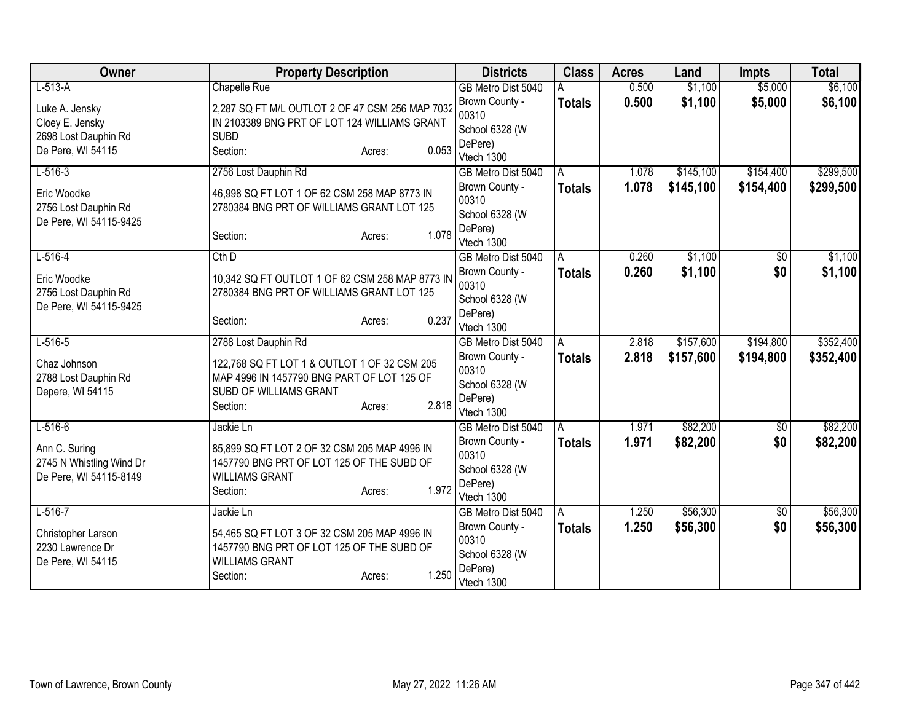| Owner                    | <b>Property Description</b>                           | <b>Districts</b>      | <b>Class</b>  | <b>Acres</b> | Land      | <b>Impts</b> | <b>Total</b> |
|--------------------------|-------------------------------------------------------|-----------------------|---------------|--------------|-----------|--------------|--------------|
| $L-513-A$                | Chapelle Rue                                          | GB Metro Dist 5040    |               | 0.500        | \$1,100   | \$5,000      | \$6,100      |
| Luke A. Jensky           | 2,287 SQ FT M/L OUTLOT 2 OF 47 CSM 256 MAP 7032       | Brown County -        | <b>Totals</b> | 0.500        | \$1,100   | \$5,000      | \$6,100      |
| Cloey E. Jensky          | IN 2103389 BNG PRT OF LOT 124 WILLIAMS GRANT          | 00310                 |               |              |           |              |              |
| 2698 Lost Dauphin Rd     | <b>SUBD</b>                                           | School 6328 (W        |               |              |           |              |              |
| De Pere, WI 54115        | 0.053<br>Section:<br>Acres:                           | DePere)<br>Vtech 1300 |               |              |           |              |              |
| $L-516-3$                | 2756 Lost Dauphin Rd                                  | GB Metro Dist 5040    | A             | 1.078        | \$145,100 | \$154,400    | \$299,500    |
|                          |                                                       | Brown County -        | <b>Totals</b> | 1.078        | \$145,100 | \$154,400    | \$299,500    |
| Eric Woodke              | 46,998 SQ FT LOT 1 OF 62 CSM 258 MAP 8773 IN          | 00310                 |               |              |           |              |              |
| 2756 Lost Dauphin Rd     | 2780384 BNG PRT OF WILLIAMS GRANT LOT 125             | School 6328 (W        |               |              |           |              |              |
| De Pere, WI 54115-9425   | 1.078                                                 | DePere)               |               |              |           |              |              |
|                          | Section:<br>Acres:                                    | Vtech 1300            |               |              |           |              |              |
| $L-516-4$                | $Cth$ D                                               | GB Metro Dist 5040    | Α             | 0.260        | \$1,100   | \$0          | \$1,100      |
| Eric Woodke              | 10,342 SQ FT OUTLOT 1 OF 62 CSM 258 MAP 8773 IN       | Brown County -        | <b>Totals</b> | 0.260        | \$1,100   | \$0          | \$1,100      |
| 2756 Lost Dauphin Rd     | 2780384 BNG PRT OF WILLIAMS GRANT LOT 125             | 00310                 |               |              |           |              |              |
| De Pere, WI 54115-9425   |                                                       | School 6328 (W        |               |              |           |              |              |
|                          | 0.237<br>Section:<br>Acres:                           | DePere)<br>Vtech 1300 |               |              |           |              |              |
| $L-516-5$                | 2788 Lost Dauphin Rd                                  | GB Metro Dist 5040    | Α             | 2.818        | \$157,600 | \$194,800    | \$352,400    |
|                          |                                                       | Brown County -        | <b>Totals</b> | 2.818        | \$157,600 | \$194,800    | \$352,400    |
| Chaz Johnson             | 122,768 SQ FT LOT 1 & OUTLOT 1 OF 32 CSM 205          | 00310                 |               |              |           |              |              |
| 2788 Lost Dauphin Rd     | MAP 4996 IN 1457790 BNG PART OF LOT 125 OF            | School 6328 (W        |               |              |           |              |              |
| Depere, WI 54115         | SUBD OF WILLIAMS GRANT<br>2.818<br>Section:<br>Acres: | DePere)               |               |              |           |              |              |
|                          |                                                       | Vtech 1300            |               |              |           |              |              |
| $L - 516 - 6$            | Jackie Ln                                             | GB Metro Dist 5040    | Α             | 1.971        | \$82,200  | \$0          | \$82,200     |
| Ann C. Suring            | 85,899 SQ FT LOT 2 OF 32 CSM 205 MAP 4996 IN          | Brown County -        | <b>Totals</b> | 1.971        | \$82,200  | \$0          | \$82,200     |
| 2745 N Whistling Wind Dr | 1457790 BNG PRT OF LOT 125 OF THE SUBD OF             | 00310                 |               |              |           |              |              |
| De Pere, WI 54115-8149   | <b>WILLIAMS GRANT</b>                                 | School 6328 (W        |               |              |           |              |              |
|                          | 1.972<br>Section:<br>Acres:                           | DePere)<br>Vtech 1300 |               |              |           |              |              |
| $L-516-7$                | Jackie Ln                                             | GB Metro Dist 5040    | l A           | 1.250        | \$56,300  | \$0          | \$56,300     |
|                          |                                                       | Brown County -        | <b>Totals</b> | 1.250        | \$56,300  | \$0          | \$56,300     |
| Christopher Larson       | 54,465 SQ FT LOT 3 OF 32 CSM 205 MAP 4996 IN          | 00310                 |               |              |           |              |              |
| 2230 Lawrence Dr         | 1457790 BNG PRT OF LOT 125 OF THE SUBD OF             | School 6328 (W        |               |              |           |              |              |
| De Pere, WI 54115        | <b>WILLIAMS GRANT</b><br>1.250                        | DePere)               |               |              |           |              |              |
|                          | Section:<br>Acres:                                    | Vtech 1300            |               |              |           |              |              |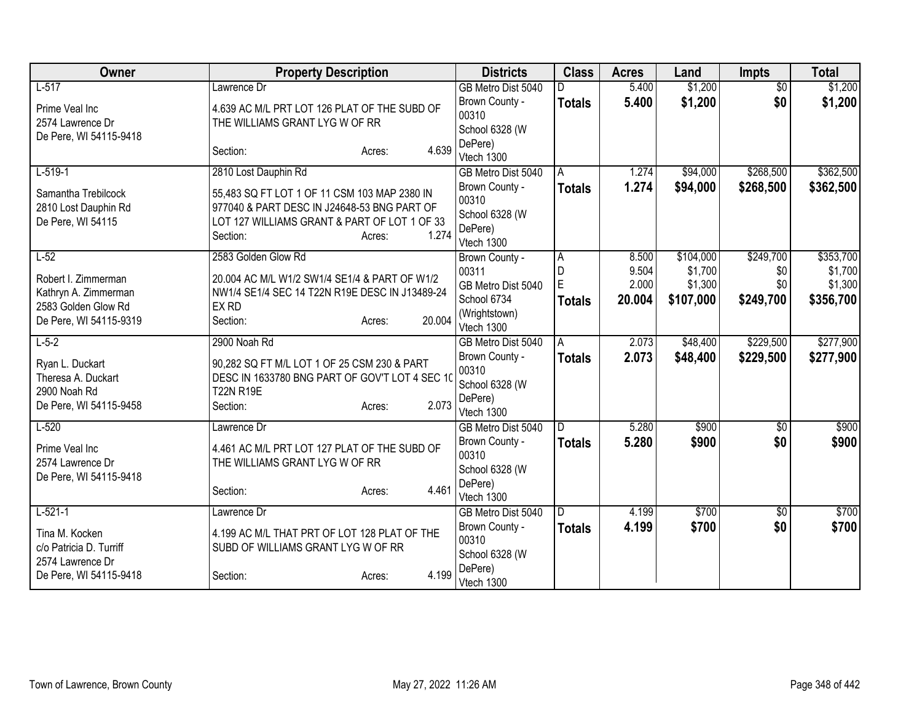| Owner                                       | <b>Property Description</b>                             |                  | <b>Districts</b>        | <b>Class</b>  | <b>Acres</b> | Land      | <b>Impts</b>    | <b>Total</b> |
|---------------------------------------------|---------------------------------------------------------|------------------|-------------------------|---------------|--------------|-----------|-----------------|--------------|
| $L-517$                                     | Lawrence Dr                                             |                  | GB Metro Dist 5040      |               | 5.400        | \$1,200   | $\overline{50}$ | \$1,200      |
| Prime Veal Inc                              | 4.639 AC M/L PRT LOT 126 PLAT OF THE SUBD OF            |                  | Brown County -<br>00310 | <b>Totals</b> | 5.400        | \$1,200   | \$0             | \$1,200      |
| 2574 Lawrence Dr                            | THE WILLIAMS GRANT LYG W OF RR                          |                  | School 6328 (W          |               |              |           |                 |              |
| De Pere, WI 54115-9418                      |                                                         |                  | DePere)                 |               |              |           |                 |              |
|                                             | Section:                                                | 4.639<br>Acres:  | Vtech 1300              |               |              |           |                 |              |
| $L-519-1$                                   | 2810 Lost Dauphin Rd                                    |                  | GB Metro Dist 5040      | A             | 1.274        | \$94,000  | \$268,500       | \$362,500    |
| Samantha Trebilcock                         | 55,483 SQ FT LOT 1 OF 11 CSM 103 MAP 2380 IN            |                  | Brown County -          | <b>Totals</b> | 1.274        | \$94,000  | \$268,500       | \$362,500    |
| 2810 Lost Dauphin Rd                        | 977040 & PART DESC IN J24648-53 BNG PART OF             |                  | 00310                   |               |              |           |                 |              |
| De Pere, WI 54115                           | LOT 127 WILLIAMS GRANT & PART OF LOT 1 OF 33            |                  | School 6328 (W          |               |              |           |                 |              |
|                                             | Section:                                                | 1.274<br>Acres:  | DePere)<br>Vtech 1300   |               |              |           |                 |              |
| $L-52$                                      | 2583 Golden Glow Rd                                     |                  | Brown County -          | A             | 8.500        | \$104,000 | \$249,700       | \$353,700    |
|                                             |                                                         |                  | 00311                   | D             | 9.504        | \$1,700   | \$0             | \$1,700      |
| Robert I. Zimmerman                         | 20.004 AC M/L W1/2 SW1/4 SE1/4 & PART OF W1/2           |                  | GB Metro Dist 5040      | E             | 2.000        | \$1,300   | \$0             | \$1,300      |
| Kathryn A. Zimmerman<br>2583 Golden Glow Rd | NW1/4 SE1/4 SEC 14 T22N R19E DESC IN J13489-24<br>EX RD |                  | School 6734             | <b>Totals</b> | 20.004       | \$107,000 | \$249,700       | \$356,700    |
| De Pere, WI 54115-9319                      | Section:                                                | 20.004<br>Acres: | (Wrightstown)           |               |              |           |                 |              |
|                                             |                                                         |                  | Vtech 1300              |               |              |           |                 |              |
| $L-5-2$                                     | 2900 Noah Rd                                            |                  | GB Metro Dist 5040      | A             | 2.073        | \$48,400  | \$229,500       | \$277,900    |
| Ryan L. Duckart                             | 90,282 SQ FT M/L LOT 1 OF 25 CSM 230 & PART             |                  | Brown County -<br>00310 | <b>Totals</b> | 2.073        | \$48,400  | \$229,500       | \$277,900    |
| Theresa A. Duckart                          | DESC IN 1633780 BNG PART OF GOV'T LOT 4 SEC 10          |                  | School 6328 (W          |               |              |           |                 |              |
| 2900 Noah Rd                                | <b>T22N R19E</b>                                        |                  | DePere)                 |               |              |           |                 |              |
| De Pere, WI 54115-9458                      | Section:                                                | 2.073<br>Acres:  | Vtech 1300              |               |              |           |                 |              |
| $L-520$                                     | Lawrence Dr                                             |                  | GB Metro Dist 5040      | D.            | 5.280        | \$900     | $\overline{50}$ | \$900        |
| Prime Veal Inc                              | 4.461 AC M/L PRT LOT 127 PLAT OF THE SUBD OF            |                  | Brown County -          | <b>Totals</b> | 5.280        | \$900     | \$0             | \$900        |
| 2574 Lawrence Dr                            | THE WILLIAMS GRANT LYG W OF RR                          |                  | 00310                   |               |              |           |                 |              |
| De Pere, WI 54115-9418                      |                                                         |                  | School 6328 (W          |               |              |           |                 |              |
|                                             | Section:                                                | 4.461<br>Acres:  | DePere)<br>Vtech 1300   |               |              |           |                 |              |
| $L-521-1$                                   | Lawrence Dr                                             |                  | GB Metro Dist 5040      | ID.           | 4.199        | \$700     | $\sqrt{$0}$     | \$700        |
|                                             |                                                         |                  | Brown County -          | <b>Totals</b> | 4.199        | \$700     | \$0             | \$700        |
| Tina M. Kocken<br>c/o Patricia D. Turriff   | 4.199 AC M/L THAT PRT OF LOT 128 PLAT OF THE            |                  | 00310                   |               |              |           |                 |              |
| 2574 Lawrence Dr                            | SUBD OF WILLIAMS GRANT LYG W OF RR                      |                  | School 6328 (W          |               |              |           |                 |              |
| De Pere, WI 54115-9418                      | Section:                                                | 4.199<br>Acres:  | DePere)<br>Vtech 1300   |               |              |           |                 |              |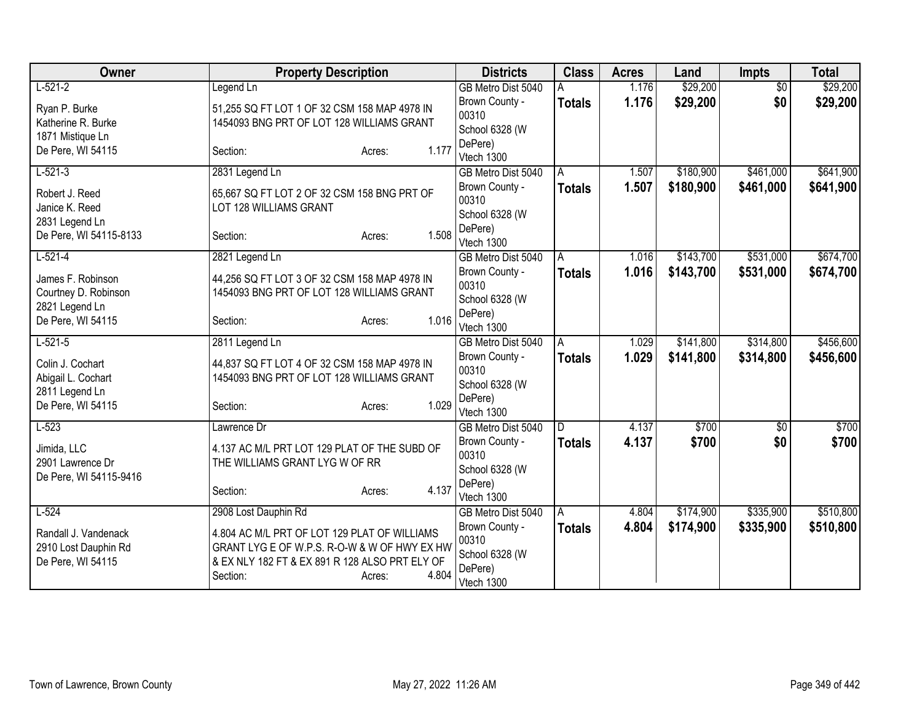| Owner                  | <b>Property Description</b>                    |                 | <b>Districts</b>        | <b>Class</b>  | <b>Acres</b> | Land      | <b>Impts</b>    | <b>Total</b> |
|------------------------|------------------------------------------------|-----------------|-------------------------|---------------|--------------|-----------|-----------------|--------------|
| $L-521-2$              | Legend Ln                                      |                 | GB Metro Dist 5040      |               | 1.176        | \$29,200  | $\overline{50}$ | \$29,200     |
| Ryan P. Burke          | 51,255 SQ FT LOT 1 OF 32 CSM 158 MAP 4978 IN   |                 | Brown County -          | <b>Totals</b> | 1.176        | \$29,200  | \$0             | \$29,200     |
| Katherine R. Burke     | 1454093 BNG PRT OF LOT 128 WILLIAMS GRANT      |                 | 00310                   |               |              |           |                 |              |
| 1871 Mistique Ln       |                                                |                 | School 6328 (W          |               |              |           |                 |              |
| De Pere, WI 54115      | Section:                                       | 1.177<br>Acres: | DePere)<br>Vtech 1300   |               |              |           |                 |              |
| $L-521-3$              | 2831 Legend Ln                                 |                 | GB Metro Dist 5040      | A             | 1.507        | \$180,900 | \$461,000       | \$641,900    |
|                        |                                                |                 | Brown County -          | <b>Totals</b> | 1.507        | \$180,900 | \$461,000       | \$641,900    |
| Robert J. Reed         | 65,667 SQ FT LOT 2 OF 32 CSM 158 BNG PRT OF    |                 | 00310                   |               |              |           |                 |              |
| Janice K. Reed         | LOT 128 WILLIAMS GRANT                         |                 | School 6328 (W          |               |              |           |                 |              |
| 2831 Legend Ln         |                                                |                 | DePere)                 |               |              |           |                 |              |
| De Pere, WI 54115-8133 | Section:                                       | 1.508<br>Acres: | Vtech 1300              |               |              |           |                 |              |
| $L-521-4$              | 2821 Legend Ln                                 |                 | GB Metro Dist 5040      | A             | 1.016        | \$143,700 | \$531,000       | \$674,700    |
| James F. Robinson      | 44,256 SQ FT LOT 3 OF 32 CSM 158 MAP 4978 IN   |                 | Brown County -          | <b>Totals</b> | 1.016        | \$143,700 | \$531,000       | \$674,700    |
| Courtney D. Robinson   | 1454093 BNG PRT OF LOT 128 WILLIAMS GRANT      |                 | 00310                   |               |              |           |                 |              |
| 2821 Legend Ln         |                                                |                 | School 6328 (W          |               |              |           |                 |              |
| De Pere, WI 54115      | Section:                                       | 1.016<br>Acres: | DePere)                 |               |              |           |                 |              |
|                        |                                                |                 | Vtech 1300              |               |              |           | \$314,800       |              |
| $L-521-5$              | 2811 Legend Ln                                 |                 | GB Metro Dist 5040      | A             | 1.029        | \$141,800 |                 | \$456,600    |
| Colin J. Cochart       | 44,837 SQ FT LOT 4 OF 32 CSM 158 MAP 4978 IN   |                 | Brown County -<br>00310 | <b>Totals</b> | 1.029        | \$141,800 | \$314,800       | \$456,600    |
| Abigail L. Cochart     | 1454093 BNG PRT OF LOT 128 WILLIAMS GRANT      |                 | School 6328 (W          |               |              |           |                 |              |
| 2811 Legend Ln         |                                                |                 | DePere)                 |               |              |           |                 |              |
| De Pere, WI 54115      | Section:                                       | 1.029<br>Acres: | Vtech 1300              |               |              |           |                 |              |
| $L-523$                | Lawrence Dr                                    |                 | GB Metro Dist 5040      | D             | 4.137        | \$700     | $\overline{50}$ | \$700        |
| Jimida, LLC            | 4.137 AC M/L PRT LOT 129 PLAT OF THE SUBD OF   |                 | Brown County -          | <b>Totals</b> | 4.137        | \$700     | \$0             | \$700        |
| 2901 Lawrence Dr       | THE WILLIAMS GRANT LYG W OF RR                 |                 | 00310                   |               |              |           |                 |              |
| De Pere, WI 54115-9416 |                                                |                 | School 6328 (W          |               |              |           |                 |              |
|                        | Section:                                       | 4.137<br>Acres: | DePere)                 |               |              |           |                 |              |
|                        |                                                |                 | Vtech 1300              |               |              |           |                 |              |
| $L-524$                | 2908 Lost Dauphin Rd                           |                 | GB Metro Dist 5040      | A             | 4.804        | \$174,900 | \$335,900       | \$510,800    |
| Randall J. Vandenack   | 4.804 AC M/L PRT OF LOT 129 PLAT OF WILLIAMS   |                 | Brown County -<br>00310 | <b>Totals</b> | 4.804        | \$174,900 | \$335,900       | \$510,800    |
| 2910 Lost Dauphin Rd   | GRANT LYG E OF W.P.S. R-O-W & W OF HWY EX HW   |                 | School 6328 (W          |               |              |           |                 |              |
| De Pere, WI 54115      | & EX NLY 182 FT & EX 891 R 128 ALSO PRT ELY OF |                 | DePere)                 |               |              |           |                 |              |
|                        | Section:                                       | 4.804<br>Acres: | Vtech 1300              |               |              |           |                 |              |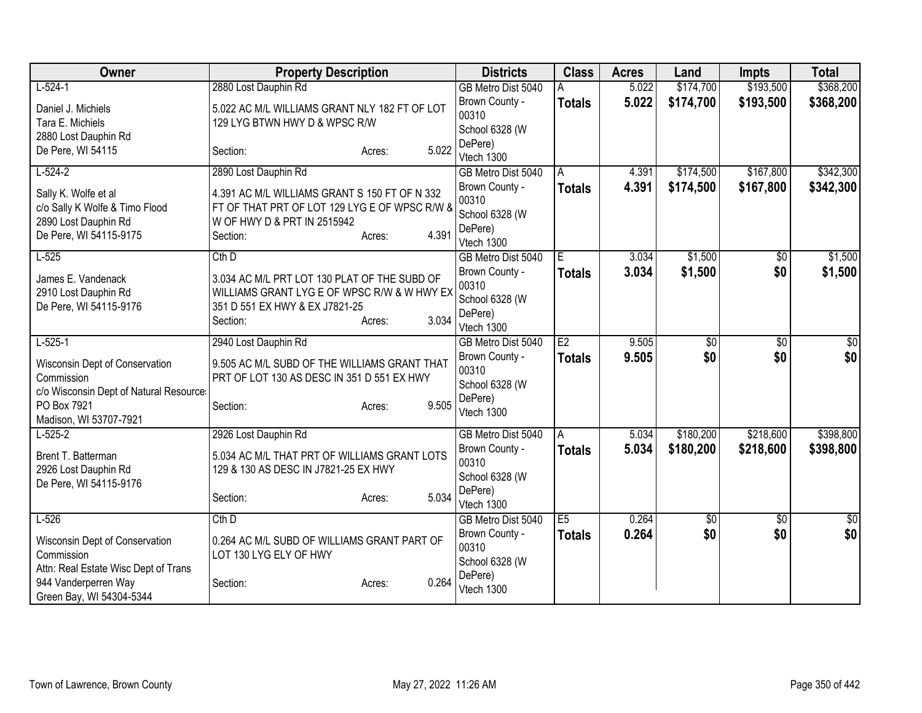| Owner                                          | <b>Property Description</b>                                                   | <b>Districts</b>                     | <b>Class</b>   | <b>Acres</b>   | Land                   | <b>Impts</b>           | <b>Total</b>           |
|------------------------------------------------|-------------------------------------------------------------------------------|--------------------------------------|----------------|----------------|------------------------|------------------------|------------------------|
| $L-524-1$                                      | 2880 Lost Dauphin Rd                                                          | GB Metro Dist 5040                   | A              | 5.022          | \$174,700              | \$193,500              | \$368,200              |
| Daniel J. Michiels                             | 5.022 AC M/L WILLIAMS GRANT NLY 182 FT OF LOT                                 | Brown County -<br>00310              | <b>Totals</b>  | 5.022          | \$174,700              | \$193,500              | \$368,200              |
| Tara E. Michiels                               | 129 LYG BTWN HWY D & WPSC R/W                                                 | School 6328 (W                       |                |                |                        |                        |                        |
| 2880 Lost Dauphin Rd                           |                                                                               | DePere)                              |                |                |                        |                        |                        |
| De Pere, WI 54115                              | 5.022<br>Section:<br>Acres:                                                   | Vtech 1300                           |                |                |                        |                        |                        |
| $L-524-2$                                      | 2890 Lost Dauphin Rd                                                          | GB Metro Dist 5040                   | A              | 4.391          | \$174,500              | \$167,800              | \$342,300              |
| Sally K. Wolfe et al                           | 4.391 AC M/L WILLIAMS GRANT S 150 FT OF N 332                                 | Brown County -                       | <b>Totals</b>  | 4.391          | \$174,500              | \$167,800              | \$342,300              |
| c/o Sally K Wolfe & Timo Flood                 | FT OF THAT PRT OF LOT 129 LYG E OF WPSC R/W &                                 | 00310                                |                |                |                        |                        |                        |
| 2890 Lost Dauphin Rd                           | W OF HWY D & PRT IN 2515942                                                   | School 6328 (W                       |                |                |                        |                        |                        |
| De Pere, WI 54115-9175                         | 4.391<br>Section:<br>Acres:                                                   | DePere)<br>Vtech 1300                |                |                |                        |                        |                        |
| $L-525$                                        | $Cth$ D                                                                       | GB Metro Dist 5040                   | $\overline{E}$ | 3.034          | \$1,500                | \$0                    | \$1,500                |
|                                                |                                                                               | Brown County -                       | <b>Totals</b>  | 3.034          | \$1,500                | \$0                    | \$1,500                |
| James E. Vandenack                             | 3.034 AC M/L PRT LOT 130 PLAT OF THE SUBD OF                                  | 00310                                |                |                |                        |                        |                        |
| 2910 Lost Dauphin Rd<br>De Pere, WI 54115-9176 | WILLIAMS GRANT LYG E OF WPSC R/W & W HWY EX<br>351 D 551 EX HWY & EX J7821-25 | School 6328 (W                       |                |                |                        |                        |                        |
|                                                | 3.034<br>Section:<br>Acres:                                                   | DePere)                              |                |                |                        |                        |                        |
|                                                |                                                                               | Vtech 1300                           |                |                |                        |                        |                        |
| $L-525-1$                                      | 2940 Lost Dauphin Rd                                                          | GB Metro Dist 5040                   | E2             | 9.505          | $\overline{50}$        | $\overline{50}$        | $\overline{50}$        |
| Wisconsin Dept of Conservation                 | 9.505 AC M/L SUBD OF THE WILLIAMS GRANT THAT                                  | Brown County -<br>00310              | <b>Totals</b>  | 9.505          | \$0                    | \$0                    | \$0                    |
| Commission                                     | PRT OF LOT 130 AS DESC IN 351 D 551 EX HWY                                    | School 6328 (W                       |                |                |                        |                        |                        |
| c/o Wisconsin Dept of Natural Resource         |                                                                               | DePere)                              |                |                |                        |                        |                        |
| PO Box 7921                                    | 9.505<br>Section:<br>Acres:                                                   | Vtech 1300                           |                |                |                        |                        |                        |
| Madison, WI 53707-7921                         |                                                                               |                                      |                |                |                        |                        |                        |
| $L-525-2$                                      | 2926 Lost Dauphin Rd                                                          | GB Metro Dist 5040<br>Brown County - | $\overline{A}$ | 5.034<br>5.034 | \$180,200<br>\$180,200 | \$218,600<br>\$218,600 | \$398,800<br>\$398,800 |
| Brent T. Batterman                             | 5.034 AC M/L THAT PRT OF WILLIAMS GRANT LOTS                                  | 00310                                | <b>Totals</b>  |                |                        |                        |                        |
| 2926 Lost Dauphin Rd                           | 129 & 130 AS DESC IN J7821-25 EX HWY                                          | School 6328 (W                       |                |                |                        |                        |                        |
| De Pere, WI 54115-9176                         |                                                                               | DePere)                              |                |                |                        |                        |                        |
|                                                | 5.034<br>Section:<br>Acres:                                                   | Vtech 1300                           |                |                |                        |                        |                        |
| $L-526$                                        | $Cth$ D                                                                       | GB Metro Dist 5040                   | E5             | 0.264          | $\overline{50}$        | $\overline{50}$        | $\sqrt{50}$            |
| Wisconsin Dept of Conservation                 | 0.264 AC M/L SUBD OF WILLIAMS GRANT PART OF                                   | Brown County -                       | <b>Totals</b>  | 0.264          | \$0                    | \$0                    | \$0                    |
| Commission                                     | LOT 130 LYG ELY OF HWY                                                        | 00310                                |                |                |                        |                        |                        |
| Attn: Real Estate Wisc Dept of Trans           |                                                                               | School 6328 (W                       |                |                |                        |                        |                        |
| 944 Vanderperren Way                           | 0.264<br>Section:<br>Acres:                                                   | DePere)<br>Vtech 1300                |                |                |                        |                        |                        |
| Green Bay, WI 54304-5344                       |                                                                               |                                      |                |                |                        |                        |                        |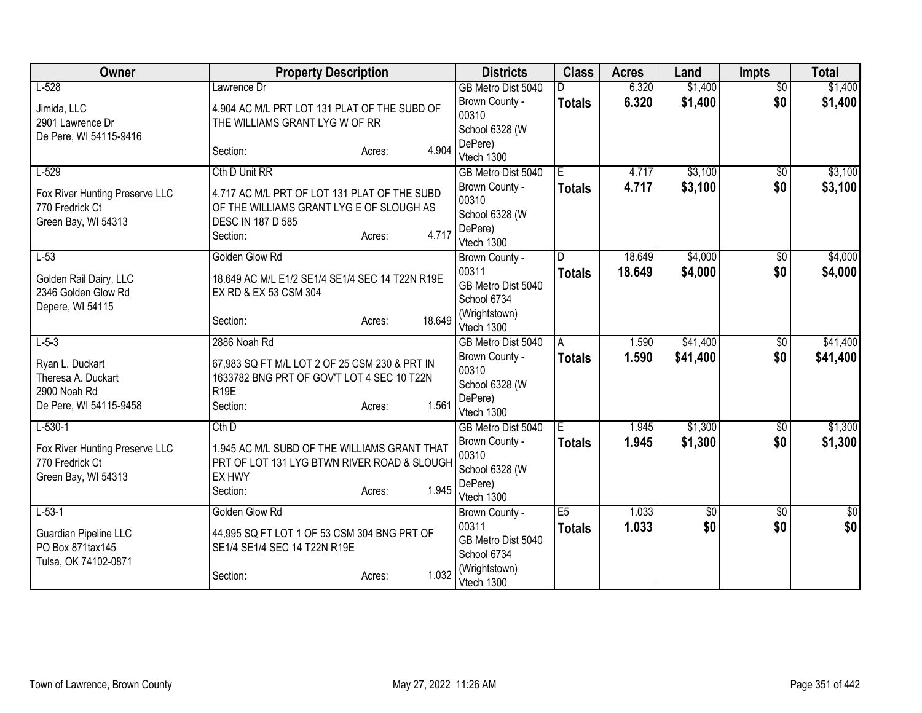| Owner                          | <b>Property Description</b>                     |        | <b>Districts</b>        | <b>Class</b>   | <b>Acres</b>   | Land       | <b>Impts</b>           | <b>Total</b>           |
|--------------------------------|-------------------------------------------------|--------|-------------------------|----------------|----------------|------------|------------------------|------------------------|
| $L-528$                        | Lawrence Dr                                     |        | GB Metro Dist 5040      |                | 6.320          | \$1,400    | $\overline{50}$        | \$1,400                |
| Jimida, LLC                    | 4.904 AC M/L PRT LOT 131 PLAT OF THE SUBD OF    |        | Brown County -          | <b>Totals</b>  | 6.320          | \$1,400    | \$0                    | \$1,400                |
| 2901 Lawrence Dr               | THE WILLIAMS GRANT LYG W OF RR                  |        | 00310                   |                |                |            |                        |                        |
| De Pere, WI 54115-9416         |                                                 |        | School 6328 (W          |                |                |            |                        |                        |
|                                | Section:<br>Acres:                              | 4.904  | DePere)<br>Vtech 1300   |                |                |            |                        |                        |
| $L-529$                        | Cth D Unit RR                                   |        | GB Metro Dist 5040      | $\overline{E}$ | 4.717          | \$3,100    | $\overline{50}$        | \$3,100                |
|                                |                                                 |        | Brown County -          | <b>Totals</b>  | 4.717          | \$3,100    | \$0                    | \$3,100                |
| Fox River Hunting Preserve LLC | 4.717 AC M/L PRT OF LOT 131 PLAT OF THE SUBD    |        | 00310                   |                |                |            |                        |                        |
| 770 Fredrick Ct                | OF THE WILLIAMS GRANT LYG E OF SLOUGH AS        |        | School 6328 (W          |                |                |            |                        |                        |
| Green Bay, WI 54313            | <b>DESC IN 187 D 585</b>                        |        | DePere)                 |                |                |            |                        |                        |
|                                | Section:<br>Acres:                              | 4.717  | Vtech 1300              |                |                |            |                        |                        |
| $L-53$                         | Golden Glow Rd                                  |        | Brown County -          | D              | 18.649         | \$4,000    | \$0                    | \$4,000                |
| Golden Rail Dairy, LLC         | 18.649 AC M/L E1/2 SE1/4 SE1/4 SEC 14 T22N R19E |        | 00311                   | <b>Totals</b>  | 18.649         | \$4,000    | \$0                    | \$4,000                |
| 2346 Golden Glow Rd            | EX RD & EX 53 CSM 304                           |        | GB Metro Dist 5040      |                |                |            |                        |                        |
| Depere, WI 54115               |                                                 |        | School 6734             |                |                |            |                        |                        |
|                                | Section:<br>Acres:                              | 18.649 | (Wrightstown)           |                |                |            |                        |                        |
|                                |                                                 |        | Vtech 1300              |                |                |            |                        |                        |
| $L-5-3$                        | 2886 Noah Rd                                    |        | GB Metro Dist 5040      | A              | 1.590          | \$41,400   | \$0<br>\$0             | \$41,400               |
| Ryan L. Duckart                | 67,983 SQ FT M/L LOT 2 OF 25 CSM 230 & PRT IN   |        | Brown County -<br>00310 | <b>Totals</b>  | 1.590          | \$41,400   |                        | \$41,400               |
| Theresa A. Duckart             | 1633782 BNG PRT OF GOV'T LOT 4 SEC 10 T22N      |        | School 6328 (W          |                |                |            |                        |                        |
| 2900 Noah Rd                   | R <sub>19E</sub>                                |        | DePere)                 |                |                |            |                        |                        |
| De Pere, WI 54115-9458         | Section:<br>Acres:                              | 1.561  | Vtech 1300              |                |                |            |                        |                        |
| $L-530-1$                      | $Cth$ D                                         |        | GB Metro Dist 5040      | Ē              | 1.945          | \$1,300    | $\overline{50}$        | \$1,300                |
| Fox River Hunting Preserve LLC | 1.945 AC M/L SUBD OF THE WILLIAMS GRANT THAT    |        | Brown County -          | <b>Totals</b>  | 1.945          | \$1,300    | \$0                    | \$1,300                |
| 770 Fredrick Ct                | PRT OF LOT 131 LYG BTWN RIVER ROAD & SLOUGH     |        | 00310                   |                |                |            |                        |                        |
| Green Bay, WI 54313            | EX HWY                                          |        | School 6328 (W          |                |                |            |                        |                        |
|                                | Section:<br>Acres:                              | 1.945  | DePere)                 |                |                |            |                        |                        |
|                                |                                                 |        | Vtech 1300              |                |                |            |                        |                        |
| $L-53-1$                       | Golden Glow Rd                                  |        | Brown County -<br>00311 | E5             | 1.033<br>1.033 | \$0<br>\$0 | $\overline{50}$<br>\$0 | $\overline{30}$<br>\$0 |
| Guardian Pipeline LLC          | 44,995 SQ FT LOT 1 OF 53 CSM 304 BNG PRT OF     |        | GB Metro Dist 5040      | <b>Totals</b>  |                |            |                        |                        |
| PO Box 871tax145               | SE1/4 SE1/4 SEC 14 T22N R19E                    |        | School 6734             |                |                |            |                        |                        |
| Tulsa, OK 74102-0871           |                                                 |        | (Wrightstown)           |                |                |            |                        |                        |
|                                | Section:<br>Acres:                              | 1.032  | Vtech 1300              |                |                |            |                        |                        |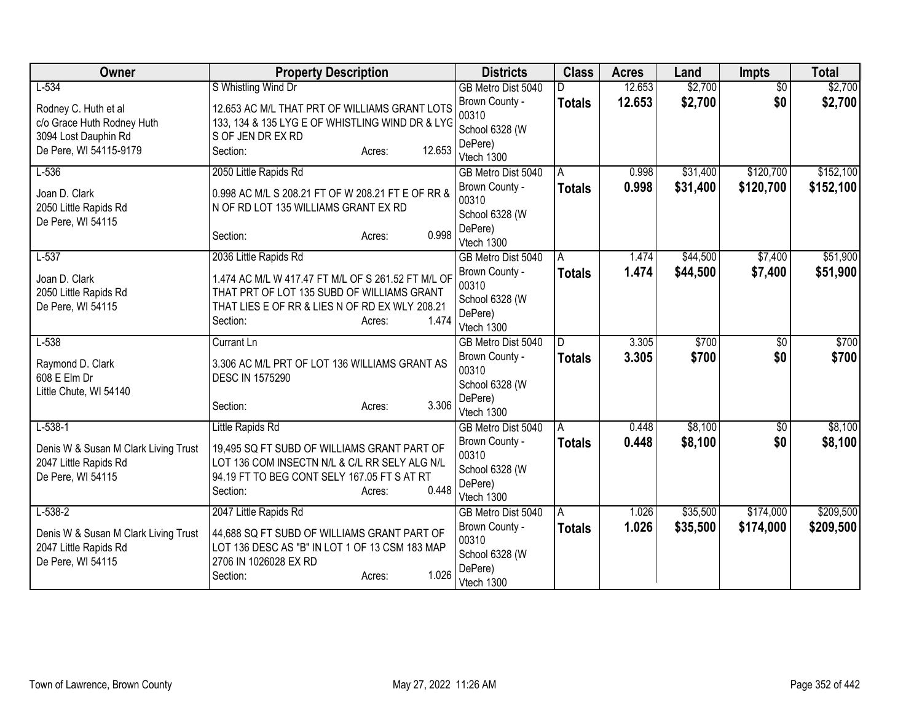| Owner                                                         | <b>Property Description</b>                                                                  | <b>Districts</b>                     | <b>Class</b>  | <b>Acres</b>   | Land     | <b>Impts</b>    | <b>Total</b> |
|---------------------------------------------------------------|----------------------------------------------------------------------------------------------|--------------------------------------|---------------|----------------|----------|-----------------|--------------|
| $L-534$                                                       | S Whistling Wind Dr                                                                          | GB Metro Dist 5040                   |               | 12.653         | \$2,700  | $\overline{50}$ | \$2,700      |
| Rodney C. Huth et al                                          | 12.653 AC M/L THAT PRT OF WILLIAMS GRANT LOTS                                                | Brown County -                       | <b>Totals</b> | 12.653         | \$2,700  | \$0             | \$2,700      |
| c/o Grace Huth Rodney Huth                                    | 133, 134 & 135 LYG E OF WHISTLING WIND DR & LYG                                              | 00310                                |               |                |          |                 |              |
| 3094 Lost Dauphin Rd                                          | S OF JEN DR EX RD                                                                            | School 6328 (W<br>DePere)            |               |                |          |                 |              |
| De Pere, WI 54115-9179                                        | 12.653<br>Section:<br>Acres:                                                                 | Vtech 1300                           |               |                |          |                 |              |
| $L-536$                                                       | 2050 Little Rapids Rd                                                                        | GB Metro Dist 5040                   | A             | 0.998          | \$31,400 | \$120,700       | \$152,100    |
| Joan D. Clark                                                 | 0.998 AC M/L S 208.21 FT OF W 208.21 FT E OF RR &                                            | Brown County -                       | <b>Totals</b> | 0.998          | \$31,400 | \$120,700       | \$152,100    |
| 2050 Little Rapids Rd                                         | N OF RD LOT 135 WILLIAMS GRANT EX RD                                                         | 00310                                |               |                |          |                 |              |
| De Pere, WI 54115                                             |                                                                                              | School 6328 (W                       |               |                |          |                 |              |
|                                                               | 0.998<br>Section:<br>Acres:                                                                  | DePere)                              |               |                |          |                 |              |
| $L-537$                                                       | 2036 Little Rapids Rd                                                                        | Vtech 1300<br>GB Metro Dist 5040     |               | 1.474          | \$44,500 | \$7,400         | \$51,900     |
|                                                               |                                                                                              | Brown County -                       | Α             | 1.474          | \$44,500 | \$7,400         | \$51,900     |
| Joan D. Clark                                                 | 1.474 AC M/L W 417.47 FT M/L OF S 261.52 FT M/L OF                                           | 00310                                | <b>Totals</b> |                |          |                 |              |
| 2050 Little Rapids Rd                                         | THAT PRT OF LOT 135 SUBD OF WILLIAMS GRANT                                                   | School 6328 (W                       |               |                |          |                 |              |
| De Pere, WI 54115                                             | THAT LIES E OF RR & LIES N OF RD EX WLY 208.21<br>1.474                                      | DePere)                              |               |                |          |                 |              |
|                                                               | Section:<br>Acres:                                                                           | Vtech 1300                           |               |                |          |                 |              |
| $L-538$                                                       | Currant Ln                                                                                   | GB Metro Dist 5040                   | D             | 3.305          | \$700    | $\overline{50}$ | \$700        |
| Raymond D. Clark                                              | 3.306 AC M/L PRT OF LOT 136 WILLIAMS GRANT AS                                                | Brown County -                       | <b>Totals</b> | 3.305          | \$700    | \$0             | \$700        |
| 608 E Elm Dr                                                  | <b>DESC IN 1575290</b>                                                                       | 00310                                |               |                |          |                 |              |
| Little Chute, WI 54140                                        |                                                                                              | School 6328 (W<br>DePere)            |               |                |          |                 |              |
|                                                               | 3.306<br>Section:<br>Acres:                                                                  | Vtech 1300                           |               |                |          |                 |              |
| $L-538-1$                                                     | Little Rapids Rd                                                                             | GB Metro Dist 5040                   | A             | 0.448          | \$8,100  | $\sqrt{$0}$     | \$8,100      |
|                                                               |                                                                                              | Brown County -                       | <b>Totals</b> | 0.448          | \$8,100  | \$0             | \$8,100      |
| Denis W & Susan M Clark Living Trust<br>2047 Little Rapids Rd | 19,495 SQ FT SUBD OF WILLIAMS GRANT PART OF<br>LOT 136 COM INSECTN N/L & C/L RR SELY ALG N/L | 00310                                |               |                |          |                 |              |
| De Pere, WI 54115                                             | 94.19 FT TO BEG CONT SELY 167.05 FT S AT RT                                                  | School 6328 (W                       |               |                |          |                 |              |
|                                                               | 0.448<br>Section:<br>Acres:                                                                  | DePere)                              |               |                |          |                 |              |
|                                                               |                                                                                              | Vtech 1300                           |               |                |          |                 | \$209,500    |
| $L-538-2$                                                     | 2047 Little Rapids Rd                                                                        | GB Metro Dist 5040<br>Brown County - | A             | 1.026<br>1.026 | \$35,500 | \$174,000       |              |
| Denis W & Susan M Clark Living Trust                          | 44,688 SQ FT SUBD OF WILLIAMS GRANT PART OF                                                  | 00310                                | <b>Totals</b> |                | \$35,500 | \$174,000       | \$209,500    |
| 2047 Little Rapids Rd                                         | LOT 136 DESC AS "B" IN LOT 1 OF 13 CSM 183 MAP                                               | School 6328 (W                       |               |                |          |                 |              |
| De Pere, WI 54115                                             | 2706 IN 1026028 EX RD                                                                        | DePere)                              |               |                |          |                 |              |
|                                                               | 1.026<br>Section:<br>Acres:                                                                  | Vtech 1300                           |               |                |          |                 |              |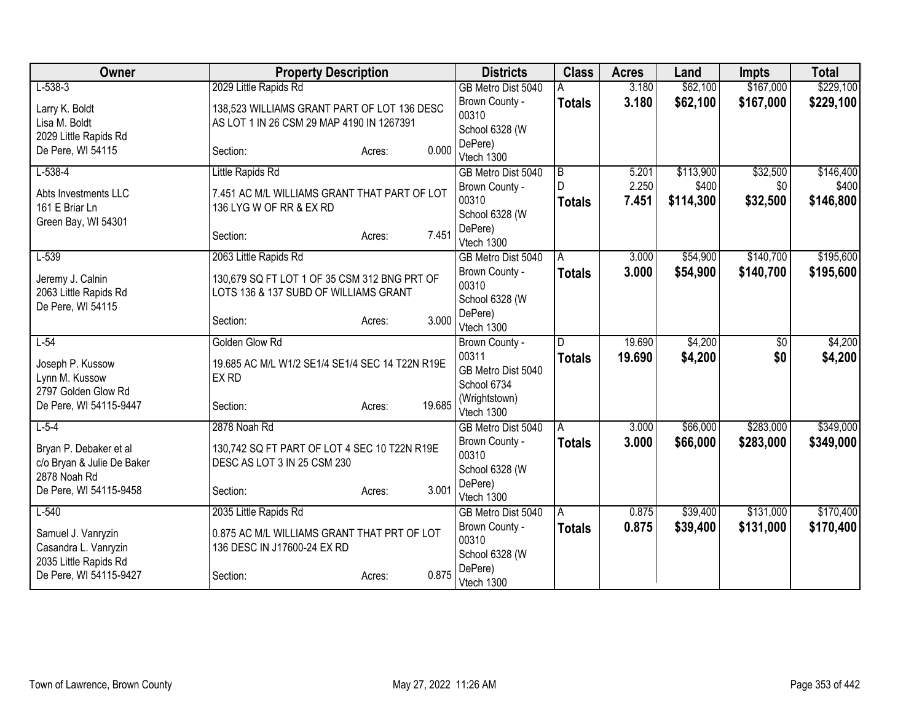| Owner                                                                | <b>Property Description</b>                                                              |                  | <b>Districts</b>                           | <b>Class</b>       | <b>Acres</b>   | Land               | <b>Impts</b>    | <b>Total</b>       |
|----------------------------------------------------------------------|------------------------------------------------------------------------------------------|------------------|--------------------------------------------|--------------------|----------------|--------------------|-----------------|--------------------|
| $L-538-3$                                                            | 2029 Little Rapids Rd                                                                    |                  | GB Metro Dist 5040                         |                    | 3.180          | \$62,100           | \$167,000       | \$229,100          |
| Larry K. Boldt<br>Lisa M. Boldt<br>2029 Little Rapids Rd             | 138,523 WILLIAMS GRANT PART OF LOT 136 DESC<br>AS LOT 1 IN 26 CSM 29 MAP 4190 IN 1267391 |                  | Brown County -<br>00310<br>School 6328 (W  | <b>Totals</b>      | 3.180          | \$62,100           | \$167,000       | \$229,100          |
| De Pere, WI 54115                                                    | Section:                                                                                 | 0.000<br>Acres:  | DePere)<br>Vtech 1300                      |                    |                |                    |                 |                    |
| $L-538-4$                                                            | Little Rapids Rd                                                                         |                  | GB Metro Dist 5040                         | B                  | 5.201          | \$113,900          | \$32,500        | \$146,400          |
| Abts Investments LLC<br>161 E Briar Ln<br>Green Bay, WI 54301        | 7.451 AC M/L WILLIAMS GRANT THAT PART OF LOT<br>136 LYG W OF RR & EX RD                  |                  | Brown County -<br>00310<br>School 6328 (W  | D<br><b>Totals</b> | 2.250<br>7.451 | \$400<br>\$114,300 | \$0<br>\$32,500 | \$400<br>\$146,800 |
|                                                                      | Section:                                                                                 | 7.451<br>Acres:  | DePere)<br>Vtech 1300                      |                    |                |                    |                 |                    |
| $L-539$                                                              | 2063 Little Rapids Rd                                                                    |                  | GB Metro Dist 5040                         | A                  | 3.000          | \$54,900           | \$140,700       | \$195,600          |
| Jeremy J. Calnin<br>2063 Little Rapids Rd<br>De Pere, WI 54115       | 130,679 SQ FT LOT 1 OF 35 CSM 312 BNG PRT OF<br>LOTS 136 & 137 SUBD OF WILLIAMS GRANT    |                  | Brown County -<br>00310<br>School 6328 (W  | <b>Totals</b>      | 3.000          | \$54,900           | \$140,700       | \$195,600          |
|                                                                      | Section:                                                                                 | 3.000<br>Acres:  | DePere)<br>Vtech 1300                      |                    |                |                    |                 |                    |
| $L-54$                                                               | Golden Glow Rd                                                                           |                  | Brown County -                             | D                  | 19.690         | \$4,200            | \$0             | \$4,200            |
| Joseph P. Kussow<br>Lynn M. Kussow<br>2797 Golden Glow Rd            | 19.685 AC M/L W1/2 SE1/4 SE1/4 SEC 14 T22N R19E<br>EX RD                                 |                  | 00311<br>GB Metro Dist 5040<br>School 6734 | <b>Totals</b>      | 19.690         | \$4,200            | \$0             | \$4,200            |
| De Pere, WI 54115-9447                                               | Section:                                                                                 | 19.685<br>Acres: | (Wrightstown)<br>Vtech 1300                |                    |                |                    |                 |                    |
| $L-5-4$                                                              | 2878 Noah Rd                                                                             |                  | GB Metro Dist 5040                         | A                  | 3.000          | \$66,000           | \$283,000       | \$349,000          |
| Bryan P. Debaker et al<br>c/o Bryan & Julie De Baker<br>2878 Noah Rd | 130,742 SQ FT PART OF LOT 4 SEC 10 T22N R19E<br>DESC AS LOT 3 IN 25 CSM 230              |                  | Brown County -<br>00310<br>School 6328 (W  | <b>Totals</b>      | 3.000          | \$66,000           | \$283,000       | \$349,000          |
| De Pere, WI 54115-9458                                               | Section:                                                                                 | 3.001<br>Acres:  | DePere)<br>Vtech 1300                      |                    |                |                    |                 |                    |
| $L-540$                                                              | 2035 Little Rapids Rd                                                                    |                  | GB Metro Dist 5040                         | A                  | 0.875          | \$39,400           | \$131,000       | \$170,400          |
| Samuel J. Vanryzin<br>Casandra L. Vanryzin<br>2035 Little Rapids Rd  | 0.875 AC M/L WILLIAMS GRANT THAT PRT OF LOT<br>136 DESC IN J17600-24 EX RD               |                  | Brown County -<br>00310<br>School 6328 (W  | <b>Totals</b>      | 0.875          | \$39,400           | \$131,000       | \$170,400          |
| De Pere, WI 54115-9427                                               | Section:                                                                                 | 0.875<br>Acres:  | DePere)<br>Vtech 1300                      |                    |                |                    |                 |                    |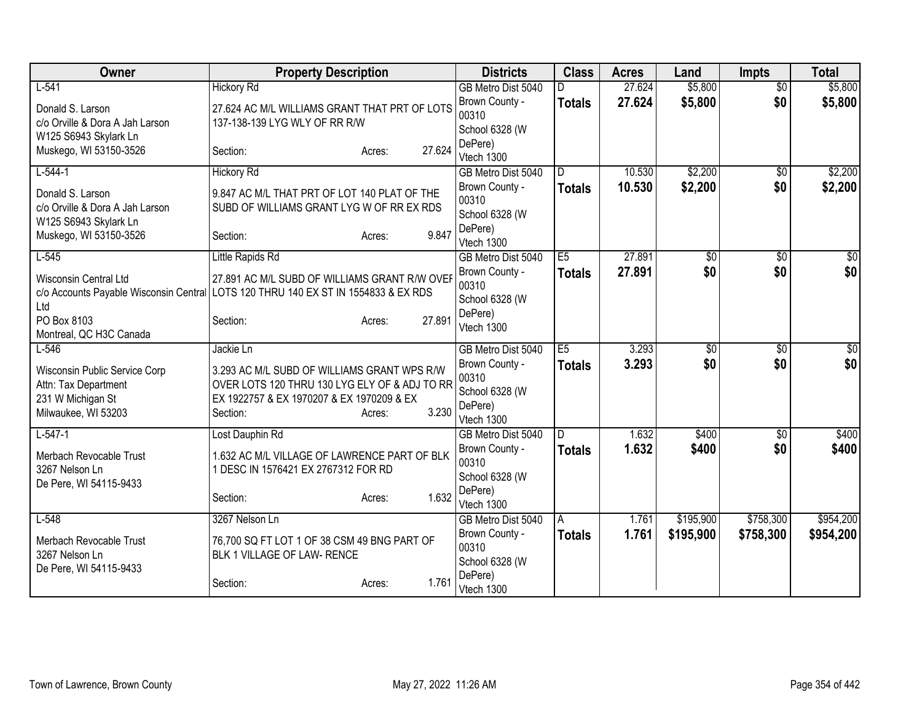| Owner                                         | <b>Property Description</b>                   |                  | <b>Districts</b>        | <b>Class</b>  | <b>Acres</b> | Land         | <b>Impts</b>    | <b>Total</b> |
|-----------------------------------------------|-----------------------------------------------|------------------|-------------------------|---------------|--------------|--------------|-----------------|--------------|
| $L-541$                                       | <b>Hickory Rd</b>                             |                  | GB Metro Dist 5040      | D.            | 27.624       | \$5,800      | $\overline{50}$ | \$5,800      |
| Donald S. Larson                              | 27.624 AC M/L WILLIAMS GRANT THAT PRT OF LOTS |                  | Brown County -          | <b>Totals</b> | 27.624       | \$5,800      | \$0             | \$5,800      |
| c/o Orville & Dora A Jah Larson               | 137-138-139 LYG WLY OF RR R/W                 |                  | 00310                   |               |              |              |                 |              |
| W125 S6943 Skylark Ln                         |                                               |                  | School 6328 (W          |               |              |              |                 |              |
| Muskego, WI 53150-3526                        | Section:                                      | 27.624<br>Acres: | DePere)<br>Vtech 1300   |               |              |              |                 |              |
| $L-544-1$                                     | <b>Hickory Rd</b>                             |                  | GB Metro Dist 5040      | D             | 10.530       | \$2,200      | \$0             | \$2,200      |
| Donald S. Larson                              | 9.847 AC M/L THAT PRT OF LOT 140 PLAT OF THE  |                  | Brown County -          | <b>Totals</b> | 10.530       | \$2,200      | \$0             | \$2,200      |
| c/o Orville & Dora A Jah Larson               | SUBD OF WILLIAMS GRANT LYG W OF RR EX RDS     |                  | 00310                   |               |              |              |                 |              |
| W125 S6943 Skylark Ln                         |                                               |                  | School 6328 (W          |               |              |              |                 |              |
| Muskego, WI 53150-3526                        | Section:                                      | 9.847<br>Acres:  | DePere)<br>Vtech 1300   |               |              |              |                 |              |
| $L-545$                                       | Little Rapids Rd                              |                  | GB Metro Dist 5040      | E5            | 27,891       | \$0          | \$0             | \$0          |
|                                               |                                               |                  | Brown County -          | <b>Totals</b> | 27.891       | \$0          | \$0             | \$0          |
| <b>Wisconsin Central Ltd</b>                  | 27.891 AC M/L SUBD OF WILLIAMS GRANT R/W OVER |                  | 00310                   |               |              |              |                 |              |
| c/o Accounts Payable Wisconsin Central<br>Ltd | LOTS 120 THRU 140 EX ST IN 1554833 & EX RDS   |                  | School 6328 (W          |               |              |              |                 |              |
| PO Box 8103                                   | Section:                                      | 27.891<br>Acres: | DePere)                 |               |              |              |                 |              |
| Montreal, QC H3C Canada                       |                                               |                  | Vtech 1300              |               |              |              |                 |              |
| $L-546$                                       | Jackie Ln                                     |                  | GB Metro Dist 5040      | E5            | 3.293        | $\sqrt[6]{}$ | $\sqrt{6}$      | $\sqrt{50}$  |
| Wisconsin Public Service Corp                 | 3.293 AC M/L SUBD OF WILLIAMS GRANT WPS R/W   |                  | Brown County -          | <b>Totals</b> | 3.293        | \$0          | \$0             | \$0          |
| Attn: Tax Department                          | OVER LOTS 120 THRU 130 LYG ELY OF & ADJ TO RR |                  | 00310                   |               |              |              |                 |              |
| 231 W Michigan St                             | EX 1922757 & EX 1970207 & EX 1970209 & EX     |                  | School 6328 (W          |               |              |              |                 |              |
| Milwaukee, WI 53203                           | Section:                                      | 3.230<br>Acres:  | DePere)<br>Vtech 1300   |               |              |              |                 |              |
| $L-547-1$                                     | Lost Dauphin Rd                               |                  | GB Metro Dist 5040      | D             | 1.632        | \$400        | $\overline{50}$ | \$400        |
|                                               |                                               |                  | Brown County -          | <b>Totals</b> | 1.632        | \$400        | \$0             | \$400        |
| Merbach Revocable Trust                       | 1.632 AC M/L VILLAGE OF LAWRENCE PART OF BLK  |                  | 00310                   |               |              |              |                 |              |
| 3267 Nelson Ln<br>De Pere, WI 54115-9433      | 1 DESC IN 1576421 EX 2767312 FOR RD           |                  | School 6328 (W          |               |              |              |                 |              |
|                                               | Section:                                      | 1.632<br>Acres:  | DePere)                 |               |              |              |                 |              |
|                                               |                                               |                  | Vtech 1300              |               |              |              |                 |              |
| $L-548$                                       | 3267 Nelson Ln                                |                  | GB Metro Dist 5040      | A             | 1.761        | \$195,900    | \$758,300       | \$954,200    |
| Merbach Revocable Trust                       | 76,700 SQ FT LOT 1 OF 38 CSM 49 BNG PART OF   |                  | Brown County -<br>00310 | <b>Totals</b> | 1.761        | \$195,900    | \$758,300       | \$954,200    |
| 3267 Nelson Ln                                | BLK 1 VILLAGE OF LAW- RENCE                   |                  | School 6328 (W          |               |              |              |                 |              |
| De Pere, WI 54115-9433                        |                                               |                  | DePere)                 |               |              |              |                 |              |
|                                               | Section:                                      | 1.761<br>Acres:  | Vtech 1300              |               |              |              |                 |              |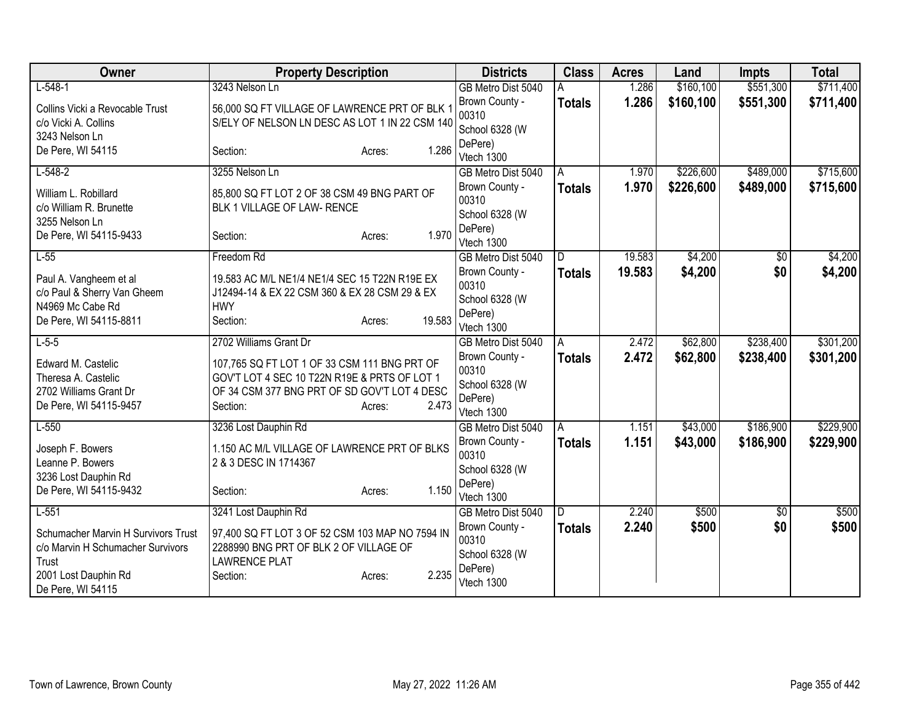| Owner                                                                                                                          | <b>Property Description</b>                                                                                                                                                 | <b>Districts</b>                                                   | <b>Class</b>       | <b>Acres</b>     | Land               | <b>Impts</b>  | <b>Total</b>       |
|--------------------------------------------------------------------------------------------------------------------------------|-----------------------------------------------------------------------------------------------------------------------------------------------------------------------------|--------------------------------------------------------------------|--------------------|------------------|--------------------|---------------|--------------------|
| $L-548-1$                                                                                                                      | 3243 Nelson Ln                                                                                                                                                              | GB Metro Dist 5040                                                 |                    | 1.286            | \$160,100          | \$551,300     | \$711,400          |
| Collins Vicki a Revocable Trust<br>c/o Vicki A. Collins<br>3243 Nelson Ln                                                      | 56,000 SQ FT VILLAGE OF LAWRENCE PRT OF BLK 1<br>S/ELY OF NELSON LN DESC AS LOT 1 IN 22 CSM 140                                                                             | Brown County -<br>00310<br>School 6328 (W                          | <b>Totals</b>      | 1.286            | \$160,100          | \$551,300     | \$711,400          |
| De Pere, WI 54115                                                                                                              | 1.286<br>Section:<br>Acres:                                                                                                                                                 | DePere)<br>Vtech 1300                                              |                    |                  |                    |               |                    |
| $L-548-2$                                                                                                                      | 3255 Nelson Ln                                                                                                                                                              | GB Metro Dist 5040                                                 | A                  | 1.970            | \$226,600          | \$489,000     | \$715,600          |
| William L. Robillard<br>c/o William R. Brunette<br>3255 Nelson Ln                                                              | 85,800 SQ FT LOT 2 OF 38 CSM 49 BNG PART OF<br>BLK 1 VILLAGE OF LAW- RENCE                                                                                                  | Brown County -<br>00310<br>School 6328 (W<br>DePere)               | <b>Totals</b>      | 1.970            | \$226,600          | \$489,000     | \$715,600          |
| De Pere, WI 54115-9433                                                                                                         | 1.970<br>Section:<br>Acres:                                                                                                                                                 | Vtech 1300                                                         |                    |                  |                    |               |                    |
| $L-55$<br>Paul A. Vangheem et al                                                                                               | Freedom Rd<br>19.583 AC M/L NE1/4 NE1/4 SEC 15 T22N R19E EX                                                                                                                 | GB Metro Dist 5040<br>Brown County -                               | D<br><b>Totals</b> | 19.583<br>19.583 | \$4,200<br>\$4,200 | \$0<br>\$0    | \$4,200<br>\$4,200 |
| c/o Paul & Sherry Van Gheem<br>N4969 Mc Cabe Rd<br>De Pere, WI 54115-8811                                                      | J12494-14 & EX 22 CSM 360 & EX 28 CSM 29 & EX<br><b>HWY</b><br>19.583<br>Section:<br>Acres:                                                                                 | 00310<br>School 6328 (W<br>DePere)<br>Vtech 1300                   |                    |                  |                    |               |                    |
| $L-5-5$                                                                                                                        | 2702 Williams Grant Dr                                                                                                                                                      | GB Metro Dist 5040                                                 | A                  | 2.472            | \$62,800           | \$238,400     | \$301,200          |
| Edward M. Castelic<br>Theresa A. Castelic<br>2702 Williams Grant Dr<br>De Pere, WI 54115-9457                                  | 107,765 SQ FT LOT 1 OF 33 CSM 111 BNG PRT OF<br>GOV'T LOT 4 SEC 10 T22N R19E & PRTS OF LOT 1<br>OF 34 CSM 377 BNG PRT OF SD GOV'T LOT 4 DESC<br>2.473<br>Section:<br>Acres: | Brown County -<br>00310<br>School 6328 (W<br>DePere)<br>Vtech 1300 | <b>Totals</b>      | 2.472            | \$62,800           | \$238,400     | \$301,200          |
| $L-550$                                                                                                                        | 3236 Lost Dauphin Rd                                                                                                                                                        | GB Metro Dist 5040                                                 | A                  | 1.151            | \$43,000           | \$186,900     | \$229,900          |
| Joseph F. Bowers<br>Leanne P. Bowers<br>3236 Lost Dauphin Rd<br>De Pere, WI 54115-9432                                         | 1.150 AC M/L VILLAGE OF LAWRENCE PRT OF BLKS<br>2 & 3 DESC IN 1714367<br>1.150<br>Section:<br>Acres:                                                                        | Brown County -<br>00310<br>School 6328 (W<br>DePere)               | <b>Totals</b>      | 1.151            | \$43,000           | \$186,900     | \$229,900          |
| $L-551$                                                                                                                        | 3241 Lost Dauphin Rd                                                                                                                                                        | Vtech 1300<br>GB Metro Dist 5040                                   | D                  | 2.240            | \$500              | $\sqrt[6]{3}$ | \$500              |
| Schumacher Marvin H Survivors Trust<br>c/o Marvin H Schumacher Survivors<br>Trust<br>2001 Lost Dauphin Rd<br>De Pere, WI 54115 | 97,400 SQ FT LOT 3 OF 52 CSM 103 MAP NO 7594 IN<br>2288990 BNG PRT OF BLK 2 OF VILLAGE OF<br><b>LAWRENCE PLAT</b><br>2.235<br>Section:<br>Acres:                            | Brown County -<br>00310<br>School 6328 (W<br>DePere)<br>Vtech 1300 | <b>Totals</b>      | 2.240            | \$500              | \$0           | \$500              |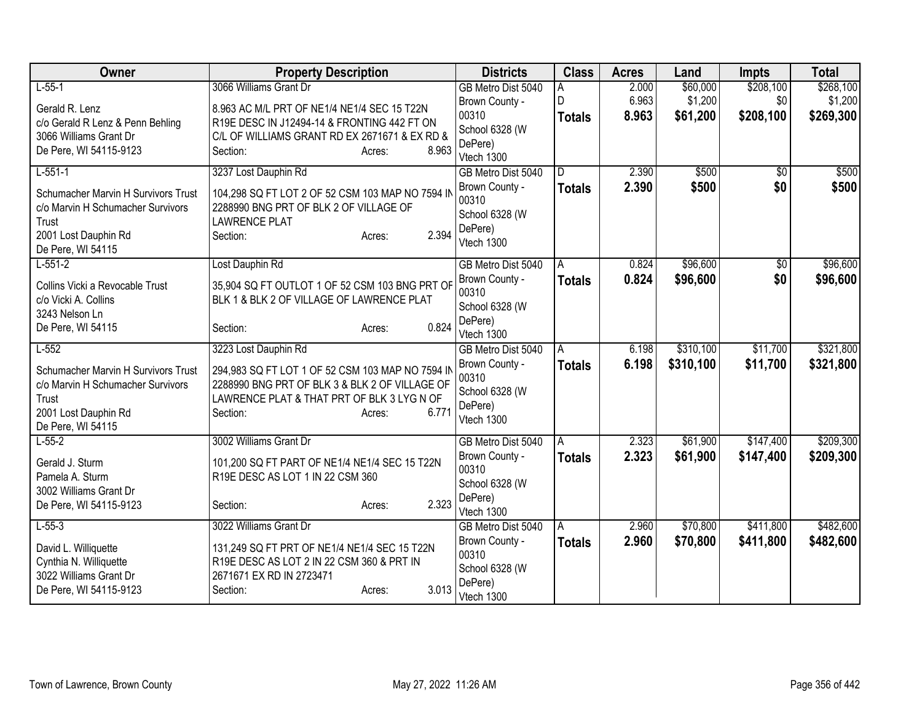| Owner                                      | <b>Property Description</b>                                    | <b>Districts</b>                 | <b>Class</b>  | <b>Acres</b> | Land      | <b>Impts</b> | <b>Total</b> |
|--------------------------------------------|----------------------------------------------------------------|----------------------------------|---------------|--------------|-----------|--------------|--------------|
| $L-55-1$                                   | 3066 Williams Grant Dr                                         | GB Metro Dist 5040               | A             | 2.000        | \$60,000  | \$208,100    | \$268,100    |
| Gerald R. Lenz                             | 8.963 AC M/L PRT OF NE1/4 NE1/4 SEC 15 T22N                    | Brown County -                   | D             | 6.963        | \$1,200   | \$0          | \$1,200      |
| c/o Gerald R Lenz & Penn Behling           | R19E DESC IN J12494-14 & FRONTING 442 FT ON                    | 00310                            | <b>Totals</b> | 8.963        | \$61,200  | \$208,100    | \$269,300    |
| 3066 Williams Grant Dr                     | C/L OF WILLIAMS GRANT RD EX 2671671 & EX RD &                  | School 6328 (W<br>DePere)        |               |              |           |              |              |
| De Pere, WI 54115-9123                     | 8.963<br>Section:<br>Acres:                                    | Vtech 1300                       |               |              |           |              |              |
| $L-551-1$                                  | 3237 Lost Dauphin Rd                                           | GB Metro Dist 5040               | D             | 2.390        | \$500     | \$0          | \$500        |
|                                            |                                                                | Brown County -                   | <b>Totals</b> | 2.390        | \$500     | \$0          | \$500        |
| Schumacher Marvin H Survivors Trust        | 104,298 SQ FT LOT 2 OF 52 CSM 103 MAP NO 7594 IN               | 00310                            |               |              |           |              |              |
| c/o Marvin H Schumacher Survivors<br>Trust | 2288990 BNG PRT OF BLK 2 OF VILLAGE OF<br><b>LAWRENCE PLAT</b> | School 6328 (W                   |               |              |           |              |              |
| 2001 Lost Dauphin Rd                       | 2.394<br>Section:<br>Acres:                                    | DePere)                          |               |              |           |              |              |
| De Pere, WI 54115                          |                                                                | Vtech 1300                       |               |              |           |              |              |
| $L-551-2$                                  | Lost Dauphin Rd                                                | GB Metro Dist 5040               | A             | 0.824        | \$96,600  | $\sqrt{$0}$  | \$96,600     |
| Collins Vicki a Revocable Trust            | 35,904 SQ FT OUTLOT 1 OF 52 CSM 103 BNG PRT OF                 | Brown County -                   | <b>Totals</b> | 0.824        | \$96,600  | \$0          | \$96,600     |
| c/o Vicki A. Collins                       | BLK 1 & BLK 2 OF VILLAGE OF LAWRENCE PLAT                      | 00310                            |               |              |           |              |              |
| 3243 Nelson Ln                             |                                                                | School 6328 (W                   |               |              |           |              |              |
| De Pere, WI 54115                          | 0.824<br>Section:<br>Acres:                                    | DePere)                          |               |              |           |              |              |
| $L-552$                                    | 3223 Lost Dauphin Rd                                           | Vtech 1300<br>GB Metro Dist 5040 | A             | 6.198        | \$310,100 | \$11,700     | \$321,800    |
|                                            |                                                                | Brown County -                   | <b>Totals</b> | 6.198        | \$310,100 | \$11,700     | \$321,800    |
| Schumacher Marvin H Survivors Trust        | 294,983 SQ FT LOT 1 OF 52 CSM 103 MAP NO 7594 IN               | 00310                            |               |              |           |              |              |
| c/o Marvin H Schumacher Survivors          | 2288990 BNG PRT OF BLK 3 & BLK 2 OF VILLAGE OF                 | School 6328 (W                   |               |              |           |              |              |
| Trust<br>2001 Lost Dauphin Rd              | LAWRENCE PLAT & THAT PRT OF BLK 3 LYG N OF<br>6.771            | DePere)                          |               |              |           |              |              |
| De Pere, WI 54115                          | Section:<br>Acres:                                             | Vtech 1300                       |               |              |           |              |              |
| $L-55-2$                                   | 3002 Williams Grant Dr                                         | GB Metro Dist 5040               | A             | 2.323        | \$61,900  | \$147,400    | \$209,300    |
|                                            |                                                                | Brown County -                   | <b>Totals</b> | 2.323        | \$61,900  | \$147,400    | \$209,300    |
| Gerald J. Sturm                            | 101,200 SQ FT PART OF NE1/4 NE1/4 SEC 15 T22N                  | 00310                            |               |              |           |              |              |
| Pamela A. Sturm<br>3002 Williams Grant Dr  | R19E DESC AS LOT 1 IN 22 CSM 360                               | School 6328 (W                   |               |              |           |              |              |
| De Pere, WI 54115-9123                     | 2.323<br>Section:<br>Acres:                                    | DePere)                          |               |              |           |              |              |
|                                            |                                                                | Vtech 1300                       |               |              |           |              |              |
| $L-55-3$                                   | 3022 Williams Grant Dr                                         | GB Metro Dist 5040               | A             | 2.960        | \$70,800  | \$411,800    | \$482,600    |
| David L. Williquette                       | 131,249 SQ FT PRT OF NE1/4 NE1/4 SEC 15 T22N                   | Brown County -<br>00310          | <b>Totals</b> | 2.960        | \$70,800  | \$411,800    | \$482,600    |
| Cynthia N. Williquette                     | R19E DESC AS LOT 2 IN 22 CSM 360 & PRT IN                      | School 6328 (W                   |               |              |           |              |              |
| 3022 Williams Grant Dr                     | 2671671 EX RD IN 2723471                                       | DePere)                          |               |              |           |              |              |
| De Pere, WI 54115-9123                     | 3.013<br>Section:<br>Acres:                                    | Vtech 1300                       |               |              |           |              |              |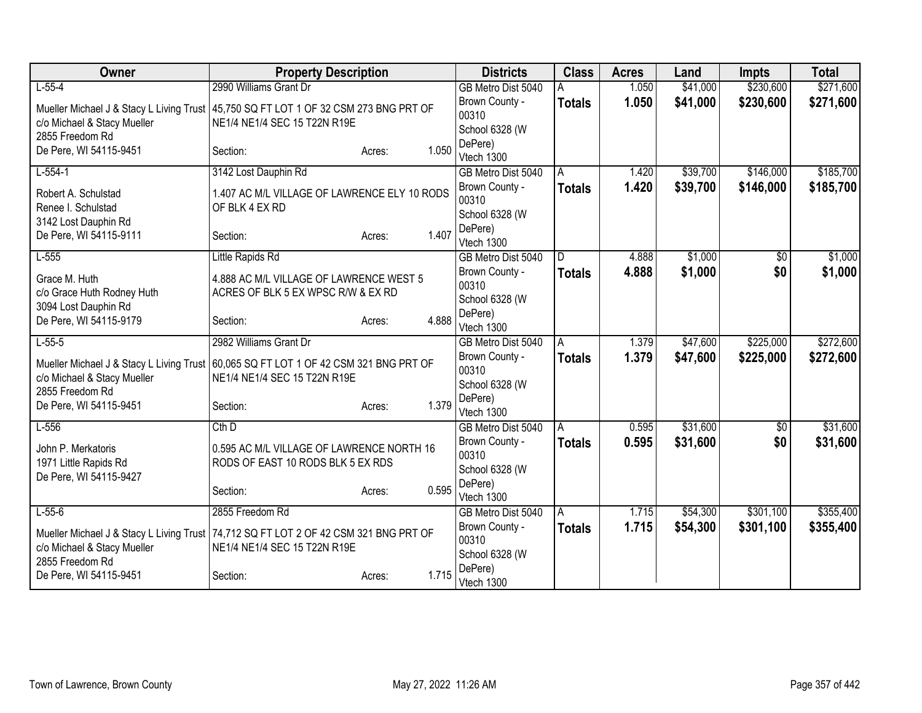| Owner                                                                                  | <b>Property Description</b>                                                    |        |       | <b>Districts</b>                     | <b>Class</b>  | <b>Acres</b> | Land     | <b>Impts</b> | <b>Total</b> |
|----------------------------------------------------------------------------------------|--------------------------------------------------------------------------------|--------|-------|--------------------------------------|---------------|--------------|----------|--------------|--------------|
| $L-55-4$                                                                               | 2990 Williams Grant Dr                                                         |        |       | GB Metro Dist 5040                   |               | 1.050        | \$41,000 | \$230,600    | \$271,600    |
| Mueller Michael J & Stacy L Living Trust                                               | 45,750 SQ FT LOT 1 OF 32 CSM 273 BNG PRT OF                                    |        |       | Brown County -                       | <b>Totals</b> | 1.050        | \$41,000 | \$230,600    | \$271,600    |
| c/o Michael & Stacy Mueller                                                            | NE1/4 NE1/4 SEC 15 T22N R19E                                                   |        |       | 00310                                |               |              |          |              |              |
| 2855 Freedom Rd                                                                        |                                                                                |        |       | School 6328 (W<br>DePere)            |               |              |          |              |              |
| De Pere, WI 54115-9451                                                                 | Section:                                                                       | Acres: | 1.050 | Vtech 1300                           |               |              |          |              |              |
| $L-554-1$                                                                              | 3142 Lost Dauphin Rd                                                           |        |       | GB Metro Dist 5040                   | A             | 1.420        | \$39,700 | \$146,000    | \$185,700    |
| Robert A. Schulstad<br>Renee I. Schulstad                                              | 1.407 AC M/L VILLAGE OF LAWRENCE ELY 10 RODS<br>OF BLK 4 EX RD                 |        |       | Brown County -<br>00310              | <b>Totals</b> | 1.420        | \$39,700 | \$146,000    | \$185,700    |
| 3142 Lost Dauphin Rd                                                                   |                                                                                |        |       | School 6328 (W                       |               |              |          |              |              |
| De Pere, WI 54115-9111                                                                 | Section:                                                                       | Acres: | 1.407 | DePere)<br>Vtech 1300                |               |              |          |              |              |
| $L-555$                                                                                | Little Rapids Rd                                                               |        |       | GB Metro Dist 5040                   | D             | 4.888        | \$1,000  | \$0          | \$1,000      |
| Grace M. Huth                                                                          | 4.888 AC M/L VILLAGE OF LAWRENCE WEST 5                                        |        |       | Brown County -                       | <b>Totals</b> | 4.888        | \$1,000  | \$0          | \$1,000      |
| c/o Grace Huth Rodney Huth                                                             | ACRES OF BLK 5 EX WPSC R/W & EX RD                                             |        |       | 00310                                |               |              |          |              |              |
| 3094 Lost Dauphin Rd                                                                   |                                                                                |        |       | School 6328 (W<br>DePere)            |               |              |          |              |              |
| De Pere, WI 54115-9179                                                                 | Section:                                                                       | Acres: | 4.888 | Vtech 1300                           |               |              |          |              |              |
| $L-55-5$                                                                               | 2982 Williams Grant Dr                                                         |        |       | GB Metro Dist 5040                   | A             | 1.379        | \$47,600 | \$225,000    | \$272,600    |
| Mueller Michael J & Stacy L Living Trust 60,065 SQ FT LOT 1 OF 42 CSM 321 BNG PRT OF   |                                                                                |        |       | Brown County -                       | <b>Totals</b> | 1.379        | \$47,600 | \$225,000    | \$272,600    |
| c/o Michael & Stacy Mueller                                                            | NE1/4 NE1/4 SEC 15 T22N R19E                                                   |        |       | 00310                                |               |              |          |              |              |
| 2855 Freedom Rd                                                                        |                                                                                |        |       | School 6328 (W                       |               |              |          |              |              |
| De Pere, WI 54115-9451                                                                 | Section:                                                                       | Acres: | 1.379 | DePere)<br>Vtech 1300                |               |              |          |              |              |
| $L-556$                                                                                | Cth D                                                                          |        |       | GB Metro Dist 5040                   | A             | 0.595        | \$31,600 | \$0          | \$31,600     |
|                                                                                        |                                                                                |        |       | Brown County -                       | <b>Totals</b> | 0.595        | \$31,600 | \$0          | \$31,600     |
| John P. Merkatoris<br>1971 Little Rapids Rd                                            | 0.595 AC M/L VILLAGE OF LAWRENCE NORTH 16<br>RODS OF EAST 10 RODS BLK 5 EX RDS |        |       | 00310                                |               |              |          |              |              |
| De Pere, WI 54115-9427                                                                 |                                                                                |        |       | School 6328 (W                       |               |              |          |              |              |
|                                                                                        | Section:                                                                       | Acres: | 0.595 | DePere)                              |               |              |          |              |              |
| $L-55-6$                                                                               | 2855 Freedom Rd                                                                |        |       | Vtech 1300                           |               | 1.715        | \$54,300 | \$301,100    | \$355,400    |
|                                                                                        |                                                                                |        |       | GB Metro Dist 5040<br>Brown County - | A             | 1.715        | \$54,300 | \$301,100    |              |
| Mueller Michael J & Stacy L Living Trust   74,712 SQ FT LOT 2 OF 42 CSM 321 BNG PRT OF |                                                                                |        |       | 00310                                | <b>Totals</b> |              |          |              | \$355,400    |
| c/o Michael & Stacy Mueller                                                            | NE1/4 NE1/4 SEC 15 T22N R19E                                                   |        |       | School 6328 (W                       |               |              |          |              |              |
| 2855 Freedom Rd<br>De Pere, WI 54115-9451                                              | Section:                                                                       | Acres: | 1.715 | DePere)<br>Vtech 1300                |               |              |          |              |              |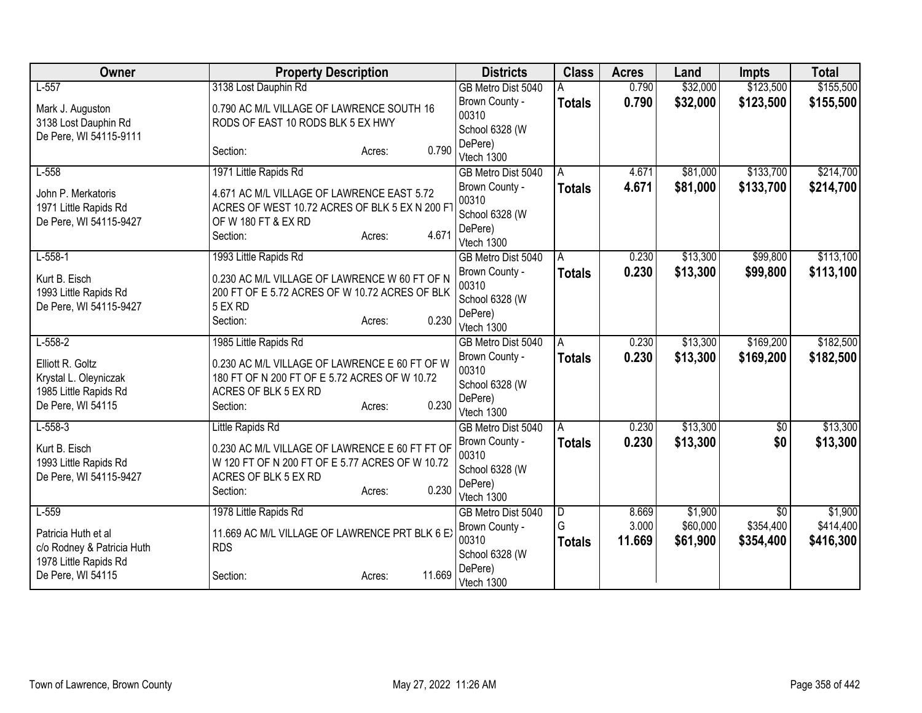| Owner                                                                                   | <b>Property Description</b>                                                                                                                     |        |                                                                    | <b>Class</b>       | <b>Acres</b>    | Land                 | <b>Impts</b>           | <b>Total</b>           |
|-----------------------------------------------------------------------------------------|-------------------------------------------------------------------------------------------------------------------------------------------------|--------|--------------------------------------------------------------------|--------------------|-----------------|----------------------|------------------------|------------------------|
| $L-557$                                                                                 | 3138 Lost Dauphin Rd                                                                                                                            |        | GB Metro Dist 5040                                                 | A                  | 0.790           | \$32,000             | \$123,500              | \$155,500              |
| Mark J. Auguston<br>3138 Lost Dauphin Rd<br>De Pere, WI 54115-9111                      | 0.790 AC M/L VILLAGE OF LAWRENCE SOUTH 16<br>RODS OF EAST 10 RODS BLK 5 EX HWY                                                                  |        | Brown County -<br>00310<br>School 6328 (W                          | <b>Totals</b>      | 0.790           | \$32,000             | \$123,500              | \$155,500              |
|                                                                                         | Section:<br>Acres:                                                                                                                              | 0.790  | DePere)<br>Vtech 1300                                              |                    |                 |                      |                        |                        |
| $L-558$                                                                                 | 1971 Little Rapids Rd                                                                                                                           |        | GB Metro Dist 5040                                                 | A                  | 4.671           | \$81,000             | \$133,700              | \$214,700              |
| John P. Merkatoris<br>1971 Little Rapids Rd<br>De Pere, WI 54115-9427                   | 4.671 AC M/L VILLAGE OF LAWRENCE EAST 5.72<br>ACRES OF WEST 10.72 ACRES OF BLK 5 EX N 200 FT<br>OF W 180 FT & EX RD<br>Section:<br>Acres:       | 4.671  | Brown County -<br>00310<br>School 6328 (W<br>DePere)<br>Vtech 1300 | <b>Totals</b>      | 4.671           | \$81,000             | \$133,700              | \$214,700              |
| $L-558-1$                                                                               | 1993 Little Rapids Rd                                                                                                                           |        | GB Metro Dist 5040                                                 | A                  | 0.230           | \$13,300             | \$99,800               | \$113,100              |
| Kurt B. Eisch<br>1993 Little Rapids Rd<br>De Pere, WI 54115-9427                        | 0.230 AC M/L VILLAGE OF LAWRENCE W 60 FT OF N<br>200 FT OF E 5.72 ACRES OF W 10.72 ACRES OF BLK<br>5 EX RD<br>Section:<br>Acres:                | 0.230  | Brown County -<br>00310<br>School 6328 (W<br>DePere)<br>Vtech 1300 | <b>Totals</b>      | 0.230           | \$13,300             | \$99,800               | \$113,100              |
| $L-558-2$                                                                               | 1985 Little Rapids Rd                                                                                                                           |        | GB Metro Dist 5040                                                 | A                  | 0.230           | \$13,300             | \$169,200              | \$182,500              |
| Elliott R. Goltz<br>Krystal L. Oleyniczak<br>1985 Little Rapids Rd<br>De Pere, WI 54115 | 0.230 AC M/L VILLAGE OF LAWRENCE E 60 FT OF W<br>180 FT OF N 200 FT OF E 5.72 ACRES OF W 10.72<br>ACRES OF BLK 5 EX RD<br>Section:<br>Acres:    | 0.230  | Brown County -<br>00310<br>School 6328 (W<br>DePere)<br>Vtech 1300 | <b>Totals</b>      | 0.230           | \$13,300             | \$169,200              | \$182,500              |
| $L-558-3$                                                                               | Little Rapids Rd                                                                                                                                |        | GB Metro Dist 5040                                                 | A                  | 0.230           | \$13,300             | $\sqrt{$0}$            | \$13,300               |
| Kurt B. Eisch<br>1993 Little Rapids Rd<br>De Pere, WI 54115-9427                        | 0.230 AC M/L VILLAGE OF LAWRENCE E 60 FT FT OF<br>W 120 FT OF N 200 FT OF E 5.77 ACRES OF W 10.72<br>ACRES OF BLK 5 EX RD<br>Section:<br>Acres: | 0.230  | Brown County -<br>00310<br>School 6328 (W<br>DePere)<br>Vtech 1300 | <b>Totals</b>      | 0.230           | \$13,300             | \$0                    | \$13,300               |
| $L-559$                                                                                 | 1978 Little Rapids Rd                                                                                                                           |        | GB Metro Dist 5040                                                 | $\overline{D}$     | 8.669           | \$1,900              | \$0                    | \$1,900                |
| Patricia Huth et al<br>c/o Rodney & Patricia Huth<br>1978 Little Rapids Rd              | 11.669 AC M/L VILLAGE OF LAWRENCE PRT BLK 6 EX<br><b>RDS</b>                                                                                    |        | Brown County -<br>00310<br>School 6328 (W                          | G<br><b>Totals</b> | 3.000<br>11.669 | \$60,000<br>\$61,900 | \$354,400<br>\$354,400 | \$414,400<br>\$416,300 |
| De Pere, WI 54115                                                                       | Section:<br>Acres:                                                                                                                              | 11.669 | DePere)<br>Vtech 1300                                              |                    |                 |                      |                        |                        |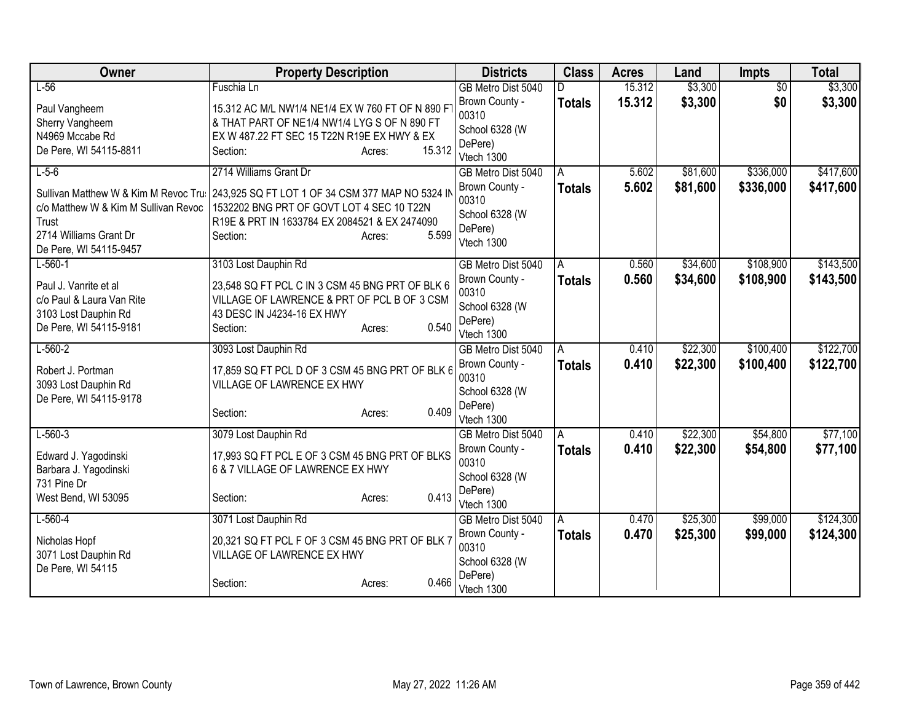| Owner                                                                                                                                     | <b>Property Description</b>                                                                                                                                      |                  | <b>Districts</b>                                                                         | <b>Class</b>             | <b>Acres</b>   | Land                 | <b>Impts</b>           | <b>Total</b>           |
|-------------------------------------------------------------------------------------------------------------------------------------------|------------------------------------------------------------------------------------------------------------------------------------------------------------------|------------------|------------------------------------------------------------------------------------------|--------------------------|----------------|----------------------|------------------------|------------------------|
| $L-56$                                                                                                                                    | Fuschia Ln                                                                                                                                                       |                  | GB Metro Dist 5040                                                                       | D                        | 15.312         | \$3,300              | $\overline{50}$        | \$3,300                |
| Paul Vangheem<br>Sherry Vangheem<br>N4969 Mccabe Rd                                                                                       | 15.312 AC M/L NW1/4 NE1/4 EX W 760 FT OF N 890 F<br>& THAT PART OF NE1/4 NW1/4 LYG S OF N 890 FT<br>EX W 487.22 FT SEC 15 T22N R19E EX HWY & EX                  |                  | Brown County -<br>00310<br>School 6328 (W                                                | <b>Totals</b>            | 15.312         | \$3,300              | \$0                    | \$3,300                |
| De Pere, WI 54115-8811                                                                                                                    | Section:                                                                                                                                                         | 15.312<br>Acres: | DePere)<br>Vtech 1300                                                                    |                          |                |                      |                        |                        |
| $L-5-6$                                                                                                                                   | 2714 Williams Grant Dr                                                                                                                                           |                  | GB Metro Dist 5040                                                                       | A                        | 5.602          | \$81,600             | \$336,000              | \$417,600              |
| Sullivan Matthew W & Kim M Revoc Tru<br>c/o Matthew W & Kim M Sullivan Revoc<br>Trust<br>2714 Williams Grant Dr<br>De Pere, WI 54115-9457 | 243,925 SQ FT LOT 1 OF 34 CSM 377 MAP NO 5324 IN<br>1532202 BNG PRT OF GOVT LOT 4 SEC 10 T22N<br>R19E & PRT IN 1633784 EX 2084521 & EX 2474090<br>Section:       | 5.599<br>Acres:  | Brown County -<br>00310<br>School 6328 (W<br>DePere)<br>Vtech 1300                       | <b>Totals</b>            | 5.602          | \$81,600             | \$336,000              | \$417,600              |
| $L-560-1$<br>Paul J. Vanrite et al<br>c/o Paul & Laura Van Rite<br>3103 Lost Dauphin Rd<br>De Pere, WI 54115-9181                         | 3103 Lost Dauphin Rd<br>23,548 SQ FT PCL C IN 3 CSM 45 BNG PRT OF BLK 6<br>VILLAGE OF LAWRENCE & PRT OF PCL B OF 3 CSM<br>43 DESC IN J4234-16 EX HWY<br>Section: | 0.540<br>Acres:  | GB Metro Dist 5040<br>Brown County -<br>00310<br>School 6328 (W<br>DePere)<br>Vtech 1300 | $\overline{A}$<br>Totals | 0.560<br>0.560 | \$34,600<br>\$34,600 | \$108,900<br>\$108,900 | \$143,500<br>\$143,500 |
| $L-560-2$                                                                                                                                 | 3093 Lost Dauphin Rd                                                                                                                                             |                  | GB Metro Dist 5040                                                                       | A                        | 0.410          | \$22,300             | \$100,400              | \$122,700              |
| Robert J. Portman<br>3093 Lost Dauphin Rd<br>De Pere, WI 54115-9178                                                                       | 17,859 SQ FT PCL D OF 3 CSM 45 BNG PRT OF BLK 6<br>VILLAGE OF LAWRENCE EX HWY<br>Section:                                                                        | 0.409<br>Acres:  | Brown County -<br>00310<br>School 6328 (W<br>DePere)<br>Vtech 1300                       | <b>Totals</b>            | 0.410          | \$22,300             | \$100,400              | \$122,700              |
| $L-560-3$                                                                                                                                 | 3079 Lost Dauphin Rd                                                                                                                                             |                  | GB Metro Dist 5040                                                                       | A                        | 0.410          | \$22,300             | \$54,800               | \$77,100               |
| Edward J. Yagodinski<br>Barbara J. Yagodinski<br>731 Pine Dr                                                                              | 17,993 SQ FT PCL E OF 3 CSM 45 BNG PRT OF BLKS<br>6 & 7 VILLAGE OF LAWRENCE EX HWY                                                                               |                  | Brown County -<br>00310<br>School 6328 (W<br>DePere)                                     | <b>Totals</b>            | 0.410          | \$22,300             | \$54,800               | \$77,100               |
| West Bend, WI 53095                                                                                                                       | Section:                                                                                                                                                         | 0.413<br>Acres:  | Vtech 1300                                                                               |                          |                |                      |                        |                        |
| $L-560-4$                                                                                                                                 | 3071 Lost Dauphin Rd                                                                                                                                             |                  | GB Metro Dist 5040                                                                       | A                        | 0.470          | \$25,300             | \$99,000               | \$124,300              |
| Nicholas Hopf<br>3071 Lost Dauphin Rd<br>De Pere, WI 54115                                                                                | 20,321 SQ FT PCL F OF 3 CSM 45 BNG PRT OF BLK 7<br>VILLAGE OF LAWRENCE EX HWY                                                                                    |                  | Brown County -<br>00310<br>School 6328 (W                                                | <b>Totals</b>            | 0.470          | \$25,300             | \$99,000               | \$124,300              |
|                                                                                                                                           | Section:                                                                                                                                                         | 0.466<br>Acres:  | DePere)<br>Vtech 1300                                                                    |                          |                |                      |                        |                        |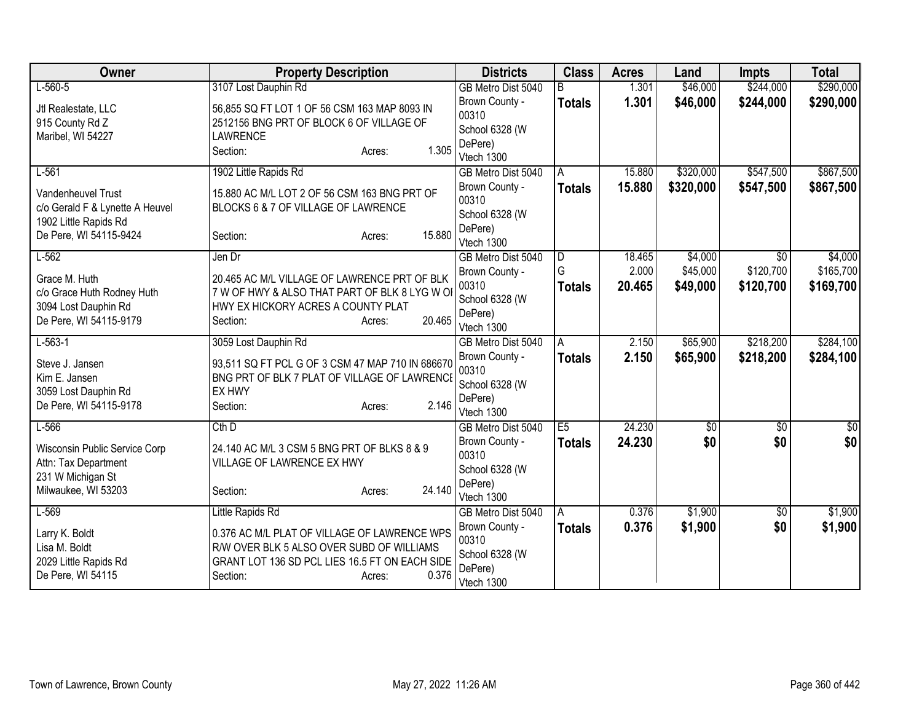| Owner                                          | <b>Property Description</b>                                                                 | <b>Districts</b>      | <b>Class</b>   | <b>Acres</b> | Land       | <b>Impts</b>    | <b>Total</b>  |
|------------------------------------------------|---------------------------------------------------------------------------------------------|-----------------------|----------------|--------------|------------|-----------------|---------------|
| $L-560-5$                                      | 3107 Lost Dauphin Rd                                                                        | GB Metro Dist 5040    |                | 1.301        | \$46,000   | \$244,000       | \$290,000     |
| Jtl Realestate, LLC                            | 56,855 SQ FT LOT 1 OF 56 CSM 163 MAP 8093 IN                                                | Brown County -        | <b>Totals</b>  | 1.301        | \$46,000   | \$244,000       | \$290,000     |
| 915 County Rd Z                                | 2512156 BNG PRT OF BLOCK 6 OF VILLAGE OF                                                    | 00310                 |                |              |            |                 |               |
| Maribel, WI 54227                              | <b>LAWRENCE</b>                                                                             | School 6328 (W        |                |              |            |                 |               |
|                                                | 1.305<br>Section:<br>Acres:                                                                 | DePere)<br>Vtech 1300 |                |              |            |                 |               |
| $L-561$                                        | 1902 Little Rapids Rd                                                                       | GB Metro Dist 5040    | A              | 15.880       | \$320,000  | \$547,500       | \$867,500     |
|                                                |                                                                                             | Brown County -        | <b>Totals</b>  | 15.880       | \$320,000  | \$547,500       | \$867,500     |
| <b>Vandenheuvel Trust</b>                      | 15.880 AC M/L LOT 2 OF 56 CSM 163 BNG PRT OF                                                | 00310                 |                |              |            |                 |               |
| c/o Gerald F & Lynette A Heuvel                | BLOCKS 6 & 7 OF VILLAGE OF LAWRENCE                                                         | School 6328 (W        |                |              |            |                 |               |
| 1902 Little Rapids Rd                          | 15.880                                                                                      | DePere)               |                |              |            |                 |               |
| De Pere, WI 54115-9424                         | Section:<br>Acres:                                                                          | Vtech 1300            |                |              |            |                 |               |
| $L-562$                                        | Jen Dr                                                                                      | GB Metro Dist 5040    | ID.            | 18.465       | \$4,000    | $\overline{50}$ | \$4,000       |
| Grace M. Huth                                  | 20.465 AC M/L VILLAGE OF LAWRENCE PRT OF BLK                                                | Brown County -        | G              | 2.000        | \$45,000   | \$120,700       | \$165,700     |
| c/o Grace Huth Rodney Huth                     | 7 W OF HWY & ALSO THAT PART OF BLK 8 LYG W OF                                               | 00310                 | <b>Totals</b>  | 20.465       | \$49,000   | \$120,700       | \$169,700     |
| 3094 Lost Dauphin Rd                           | HWY EX HICKORY ACRES A COUNTY PLAT                                                          | School 6328 (W        |                |              |            |                 |               |
| De Pere, WI 54115-9179                         | 20.465<br>Section:<br>Acres:                                                                | DePere)<br>Vtech 1300 |                |              |            |                 |               |
| $L-563-1$                                      | 3059 Lost Dauphin Rd                                                                        | GB Metro Dist 5040    | A              | 2.150        | \$65,900   | \$218,200       | \$284,100     |
|                                                |                                                                                             | Brown County -        | <b>Totals</b>  | 2.150        | \$65,900   | \$218,200       | \$284,100     |
| Steve J. Jansen                                | 93,511 SQ FT PCL G OF 3 CSM 47 MAP 710 IN 686670                                            | 00310                 |                |              |            |                 |               |
| Kim E. Jansen                                  | BNG PRT OF BLK 7 PLAT OF VILLAGE OF LAWRENCE<br><b>EX HWY</b>                               | School 6328 (W        |                |              |            |                 |               |
| 3059 Lost Dauphin Rd<br>De Pere, WI 54115-9178 | 2.146<br>Section:<br>Acres:                                                                 | DePere)               |                |              |            |                 |               |
|                                                |                                                                                             | Vtech 1300            |                |              |            |                 |               |
| $L-566$                                        | $Cth$ D                                                                                     | GB Metro Dist 5040    | E <sub>5</sub> | 24.230       | $\sqrt{6}$ | $\overline{50}$ | $\frac{1}{6}$ |
| Wisconsin Public Service Corp                  | 24.140 AC M/L 3 CSM 5 BNG PRT OF BLKS 8 & 9                                                 | Brown County -        | <b>Totals</b>  | 24.230       | \$0        | \$0             | \$0           |
| Attn: Tax Department                           | VILLAGE OF LAWRENCE EX HWY                                                                  | 00310                 |                |              |            |                 |               |
| 231 W Michigan St                              |                                                                                             | School 6328 (W        |                |              |            |                 |               |
| Milwaukee, WI 53203                            | 24.140<br>Section:<br>Acres:                                                                | DePere)<br>Vtech 1300 |                |              |            |                 |               |
| $L-569$                                        | Little Rapids Rd                                                                            | GB Metro Dist 5040    | A              | 0.376        | \$1,900    | $\sqrt[6]{}$    | \$1,900       |
|                                                |                                                                                             | Brown County -        | <b>Totals</b>  | 0.376        | \$1,900    | \$0             | \$1,900       |
| Larry K. Boldt                                 | 0.376 AC M/L PLAT OF VILLAGE OF LAWRENCE WPS                                                | 00310                 |                |              |            |                 |               |
| Lisa M. Boldt                                  | R/W OVER BLK 5 ALSO OVER SUBD OF WILLIAMS<br>GRANT LOT 136 SD PCL LIES 16.5 FT ON EACH SIDE | School 6328 (W        |                |              |            |                 |               |
| 2029 Little Rapids Rd<br>De Pere, WI 54115     | 0.376<br>Section:                                                                           | DePere)               |                |              |            |                 |               |
|                                                | Acres:                                                                                      | Vtech 1300            |                |              |            |                 |               |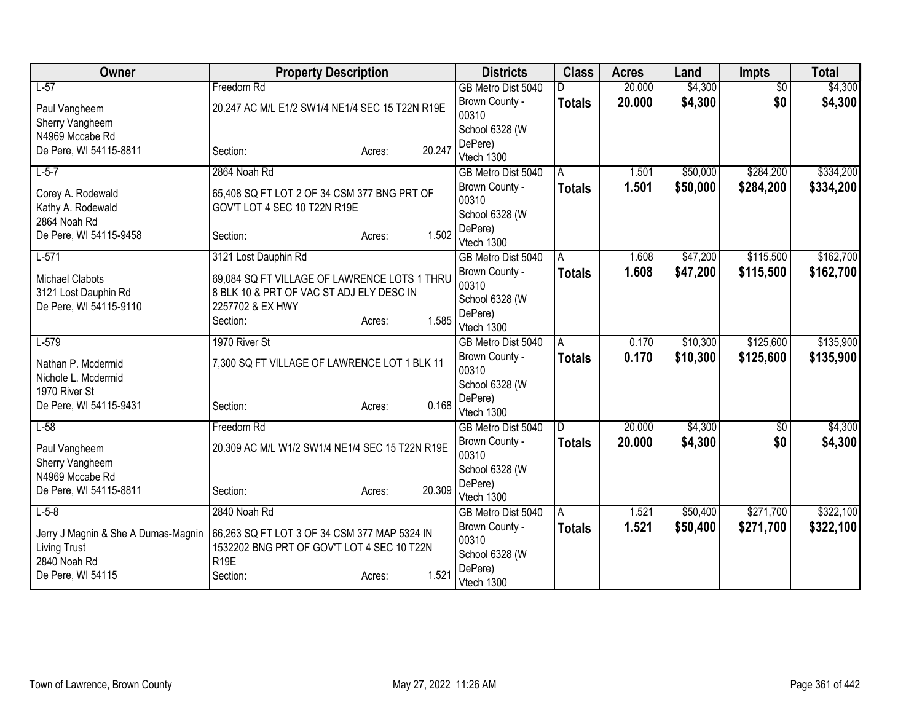| Owner                               | <b>Property Description</b>                     |        |        | <b>Districts</b>      | <b>Class</b>  | <b>Acres</b> | Land     | <b>Impts</b>    | <b>Total</b> |
|-------------------------------------|-------------------------------------------------|--------|--------|-----------------------|---------------|--------------|----------|-----------------|--------------|
| $L-57$                              | Freedom Rd                                      |        |        | GB Metro Dist 5040    |               | 20.000       | \$4,300  | $\overline{50}$ | \$4,300      |
| Paul Vangheem                       | 20.247 AC M/L E1/2 SW1/4 NE1/4 SEC 15 T22N R19E |        |        | Brown County -        | <b>Totals</b> | 20,000       | \$4,300  | \$0             | \$4,300      |
| Sherry Vangheem                     |                                                 |        |        | 00310                 |               |              |          |                 |              |
| N4969 Mccabe Rd                     |                                                 |        |        | School 6328 (W        |               |              |          |                 |              |
| De Pere, WI 54115-8811              | Section:                                        | Acres: | 20.247 | DePere)<br>Vtech 1300 |               |              |          |                 |              |
| $L-5-7$                             | 2864 Noah Rd                                    |        |        | GB Metro Dist 5040    | A             | 1.501        | \$50,000 | \$284,200       | \$334,200    |
|                                     |                                                 |        |        | Brown County -        | <b>Totals</b> | 1.501        | \$50,000 | \$284,200       | \$334,200    |
| Corey A. Rodewald                   | 65,408 SQ FT LOT 2 OF 34 CSM 377 BNG PRT OF     |        |        | 00310                 |               |              |          |                 |              |
| Kathy A. Rodewald                   | GOV'T LOT 4 SEC 10 T22N R19E                    |        |        | School 6328 (W        |               |              |          |                 |              |
| 2864 Noah Rd                        |                                                 |        |        | DePere)               |               |              |          |                 |              |
| De Pere, WI 54115-9458              | Section:                                        | Acres: | 1.502  | Vtech 1300            |               |              |          |                 |              |
| $L-571$                             | 3121 Lost Dauphin Rd                            |        |        | GB Metro Dist 5040    | A             | 1.608        | \$47,200 | \$115,500       | \$162,700    |
| <b>Michael Clabots</b>              | 69,084 SQ FT VILLAGE OF LAWRENCE LOTS 1 THRU    |        |        | Brown County -        | <b>Totals</b> | 1.608        | \$47,200 | \$115,500       | \$162,700    |
| 3121 Lost Dauphin Rd                | 8 BLK 10 & PRT OF VAC ST ADJ ELY DESC IN        |        |        | 00310                 |               |              |          |                 |              |
| De Pere, WI 54115-9110              | 2257702 & EX HWY                                |        |        | School 6328 (W        |               |              |          |                 |              |
|                                     | Section:                                        | Acres: | 1.585  | DePere)<br>Vtech 1300 |               |              |          |                 |              |
| $L-579$                             | 1970 River St                                   |        |        | GB Metro Dist 5040    | A             | 0.170        | \$10,300 | \$125,600       | \$135,900    |
|                                     |                                                 |        |        | Brown County -        | <b>Totals</b> | 0.170        | \$10,300 | \$125,600       | \$135,900    |
| Nathan P. Mcdermid                  | 7,300 SQ FT VILLAGE OF LAWRENCE LOT 1 BLK 11    |        |        | 00310                 |               |              |          |                 |              |
| Nichole L. Mcdermid                 |                                                 |        |        | School 6328 (W        |               |              |          |                 |              |
| 1970 River St                       |                                                 |        | 0.168  | DePere)               |               |              |          |                 |              |
| De Pere, WI 54115-9431              | Section:                                        | Acres: |        | Vtech 1300            |               |              |          |                 |              |
| $L-58$                              | Freedom Rd                                      |        |        | GB Metro Dist 5040    | D             | 20.000       | \$4,300  | $\sqrt{$0}$     | \$4,300      |
| Paul Vangheem                       | 20.309 AC M/L W1/2 SW1/4 NE1/4 SEC 15 T22N R19E |        |        | Brown County -        | <b>Totals</b> | 20.000       | \$4,300  | \$0             | \$4,300      |
| Sherry Vangheem                     |                                                 |        |        | 00310                 |               |              |          |                 |              |
| N4969 Mccabe Rd                     |                                                 |        |        | School 6328 (W        |               |              |          |                 |              |
| De Pere, WI 54115-8811              | Section:                                        | Acres: | 20.309 | DePere)<br>Vtech 1300 |               |              |          |                 |              |
| $L-5-8$                             | 2840 Noah Rd                                    |        |        | GB Metro Dist 5040    | l A           | 1.521        | \$50,400 | \$271,700       | \$322,100    |
|                                     |                                                 |        |        | Brown County -        | <b>Totals</b> | 1.521        | \$50,400 | \$271,700       | \$322,100    |
| Jerry J Magnin & She A Dumas-Magnin | 66,263 SQ FT LOT 3 OF 34 CSM 377 MAP 5324 IN    |        |        | 00310                 |               |              |          |                 |              |
| <b>Living Trust</b>                 | 1532202 BNG PRT OF GOV'T LOT 4 SEC 10 T22N      |        |        | School 6328 (W        |               |              |          |                 |              |
| 2840 Noah Rd                        | R <sub>19E</sub>                                |        | 1.521  | DePere)               |               |              |          |                 |              |
| De Pere, WI 54115                   | Section:                                        | Acres: |        | Vtech 1300            |               |              |          |                 |              |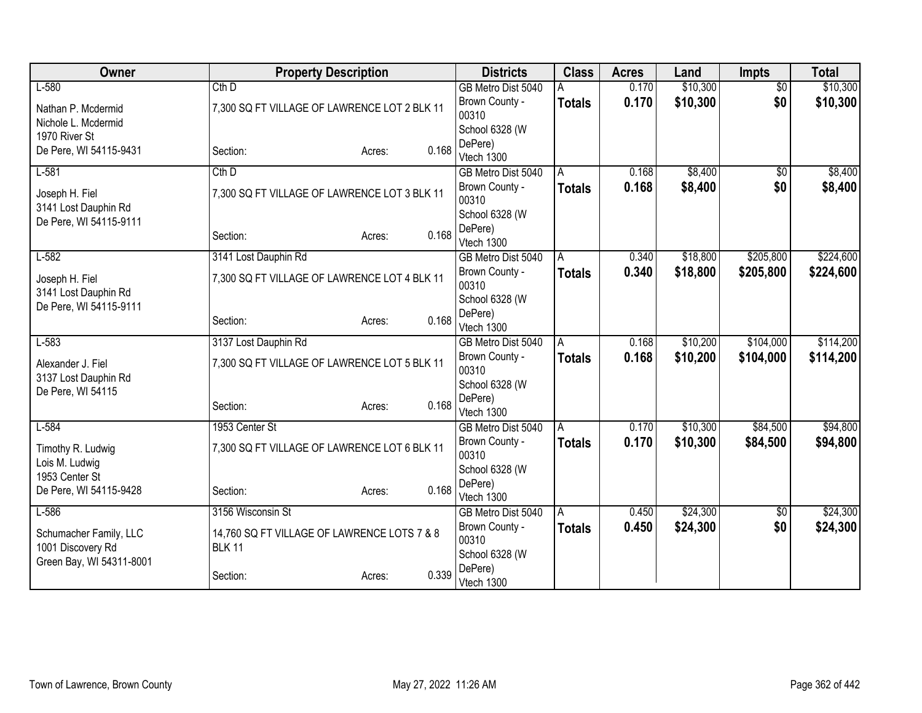| Owner                                       | <b>Property Description</b>                                  |                 | <b>Districts</b>          | <b>Class</b>  | <b>Acres</b> | Land     | <b>Impts</b>    | <b>Total</b> |
|---------------------------------------------|--------------------------------------------------------------|-----------------|---------------------------|---------------|--------------|----------|-----------------|--------------|
| $L-580$                                     | $Cth$ D                                                      |                 | GB Metro Dist 5040        |               | 0.170        | \$10,300 | $\overline{50}$ | \$10,300     |
| Nathan P. Mcdermid                          | 7,300 SQ FT VILLAGE OF LAWRENCE LOT 2 BLK 11                 |                 | Brown County -            | <b>Totals</b> | 0.170        | \$10,300 | \$0             | \$10,300     |
| Nichole L. Mcdermid                         |                                                              |                 | 00310                     |               |              |          |                 |              |
| 1970 River St                               |                                                              |                 | School 6328 (W<br>DePere) |               |              |          |                 |              |
| De Pere, WI 54115-9431                      | Section:                                                     | 0.168<br>Acres: | Vtech 1300                |               |              |          |                 |              |
| $L-581$                                     | $Cth$ D                                                      |                 | GB Metro Dist 5040        | A             | 0.168        | \$8,400  | $\overline{50}$ | \$8,400      |
| Joseph H. Fiel<br>3141 Lost Dauphin Rd      | 7,300 SQ FT VILLAGE OF LAWRENCE LOT 3 BLK 11                 |                 | Brown County -<br>00310   | <b>Totals</b> | 0.168        | \$8,400  | \$0             | \$8,400      |
| De Pere, WI 54115-9111                      |                                                              |                 | School 6328 (W            |               |              |          |                 |              |
|                                             | Section:                                                     | 0.168<br>Acres: | DePere)<br>Vtech 1300     |               |              |          |                 |              |
| $L-582$                                     | 3141 Lost Dauphin Rd                                         |                 | GB Metro Dist 5040        | A             | 0.340        | \$18,800 | \$205,800       | \$224,600    |
| Joseph H. Fiel<br>3141 Lost Dauphin Rd      | 7,300 SQ FT VILLAGE OF LAWRENCE LOT 4 BLK 11                 |                 | Brown County -<br>00310   | <b>Totals</b> | 0.340        | \$18,800 | \$205,800       | \$224,600    |
| De Pere, WI 54115-9111                      |                                                              |                 | School 6328 (W            |               |              |          |                 |              |
|                                             | Section:                                                     | 0.168<br>Acres: | DePere)<br>Vtech 1300     |               |              |          |                 |              |
| $L-583$                                     | 3137 Lost Dauphin Rd                                         |                 | GB Metro Dist 5040        | A             | 0.168        | \$10,200 | \$104,000       | \$114,200    |
| Alexander J. Fiel<br>3137 Lost Dauphin Rd   | 7,300 SQ FT VILLAGE OF LAWRENCE LOT 5 BLK 11                 |                 | Brown County -<br>00310   | <b>Totals</b> | 0.168        | \$10,200 | \$104,000       | \$114,200    |
| De Pere, WI 54115                           |                                                              |                 | School 6328 (W            |               |              |          |                 |              |
|                                             | Section:                                                     | 0.168<br>Acres: | DePere)<br>Vtech 1300     |               |              |          |                 |              |
| $L-584$                                     | 1953 Center St                                               |                 | GB Metro Dist 5040        | A             | 0.170        | \$10,300 | \$84,500        | \$94,800     |
| Timothy R. Ludwig<br>Lois M. Ludwig         | 7,300 SQ FT VILLAGE OF LAWRENCE LOT 6 BLK 11                 |                 | Brown County -<br>00310   | <b>Totals</b> | 0.170        | \$10,300 | \$84,500        | \$94,800     |
| 1953 Center St                              |                                                              |                 | School 6328 (W            |               |              |          |                 |              |
| De Pere, WI 54115-9428                      | Section:                                                     | 0.168<br>Acres: | DePere)<br>Vtech 1300     |               |              |          |                 |              |
| $L-586$                                     | 3156 Wisconsin St                                            |                 | GB Metro Dist 5040        | A             | 0.450        | \$24,300 | \$0             | \$24,300     |
| Schumacher Family, LLC<br>1001 Discovery Rd | 14,760 SQ FT VILLAGE OF LAWRENCE LOTS 7 & 8<br><b>BLK 11</b> |                 | Brown County -<br>00310   | <b>Totals</b> | 0.450        | \$24,300 | \$0             | \$24,300     |
| Green Bay, WI 54311-8001                    |                                                              |                 | School 6328 (W            |               |              |          |                 |              |
|                                             | Section:                                                     | 0.339<br>Acres: | DePere)<br>Vtech 1300     |               |              |          |                 |              |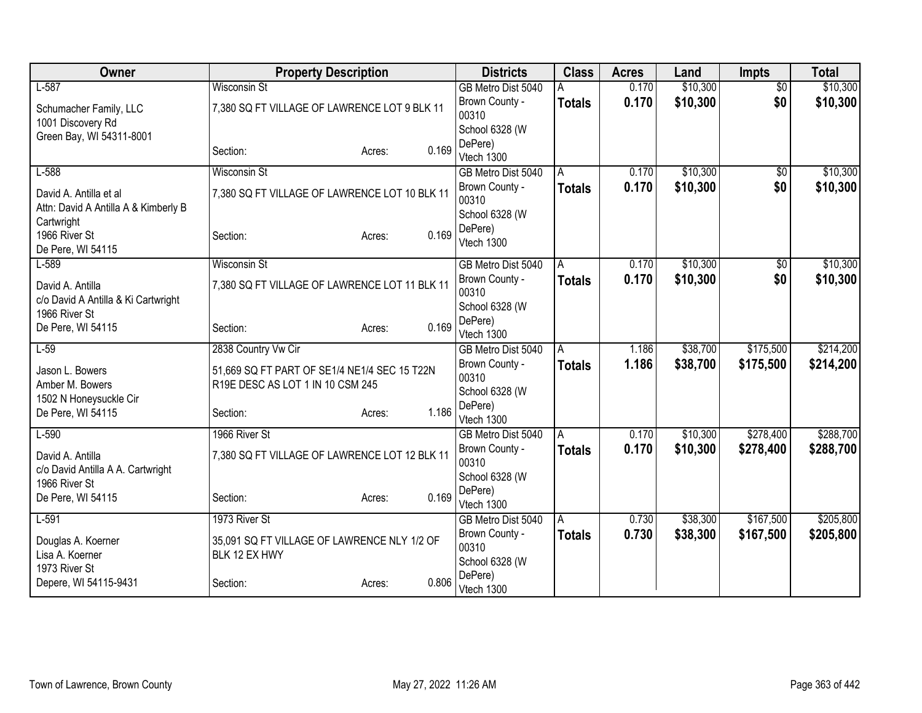| Owner                                | <b>Property Description</b>                   |                 | <b>Districts</b>          | <b>Class</b>  | <b>Acres</b> | Land     | <b>Impts</b>    | <b>Total</b> |
|--------------------------------------|-----------------------------------------------|-----------------|---------------------------|---------------|--------------|----------|-----------------|--------------|
| $L-587$                              | <b>Wisconsin St</b>                           |                 | GB Metro Dist 5040        |               | 0.170        | \$10,300 | $\overline{50}$ | \$10,300     |
| Schumacher Family, LLC               | 7,380 SQ FT VILLAGE OF LAWRENCE LOT 9 BLK 11  |                 | Brown County -            | <b>Totals</b> | 0.170        | \$10,300 | \$0             | \$10,300     |
| 1001 Discovery Rd                    |                                               |                 | 00310<br>School 6328 (W   |               |              |          |                 |              |
| Green Bay, WI 54311-8001             |                                               |                 | DePere)                   |               |              |          |                 |              |
|                                      | Section:                                      | 0.169<br>Acres: | Vtech 1300                |               |              |          |                 |              |
| $L-588$                              | <b>Wisconsin St</b>                           |                 | GB Metro Dist 5040        | Α             | 0.170        | \$10,300 | $\sqrt{$0}$     | \$10,300     |
| David A. Antilla et al               | 7,380 SQ FT VILLAGE OF LAWRENCE LOT 10 BLK 11 |                 | Brown County -            | <b>Totals</b> | 0.170        | \$10,300 | \$0             | \$10,300     |
| Attn: David A Antilla A & Kimberly B |                                               |                 | 00310                     |               |              |          |                 |              |
| Cartwright                           |                                               |                 | School 6328 (W<br>DePere) |               |              |          |                 |              |
| 1966 River St                        | Section:                                      | 0.169<br>Acres: | Vtech 1300                |               |              |          |                 |              |
| De Pere, WI 54115                    |                                               |                 |                           |               |              |          |                 |              |
| $L-589$                              | <b>Wisconsin St</b>                           |                 | GB Metro Dist 5040        | A             | 0.170        | \$10,300 | $\sqrt{$0}$     | \$10,300     |
| David A. Antilla                     | 7,380 SQ FT VILLAGE OF LAWRENCE LOT 11 BLK 11 |                 | Brown County -<br>00310   | <b>Totals</b> | 0.170        | \$10,300 | \$0             | \$10,300     |
| c/o David A Antilla & Ki Cartwright  |                                               |                 | School 6328 (W            |               |              |          |                 |              |
| 1966 River St                        |                                               |                 | DePere)                   |               |              |          |                 |              |
| De Pere, WI 54115                    | Section:                                      | 0.169<br>Acres: | Vtech 1300                |               |              |          |                 |              |
| $L-59$                               | 2838 Country Vw Cir                           |                 | GB Metro Dist 5040        | A             | 1.186        | \$38,700 | \$175,500       | \$214,200    |
| Jason L. Bowers                      | 51,669 SQ FT PART OF SE1/4 NE1/4 SEC 15 T22N  |                 | Brown County -            | Totals        | 1.186        | \$38,700 | \$175,500       | \$214,200    |
| Amber M. Bowers                      | R19E DESC AS LOT 1 IN 10 CSM 245              |                 | 00310                     |               |              |          |                 |              |
| 1502 N Honeysuckle Cir               |                                               |                 | School 6328 (W<br>DePere) |               |              |          |                 |              |
| De Pere, WI 54115                    | Section:                                      | 1.186<br>Acres: | Vtech 1300                |               |              |          |                 |              |
| $L-590$                              | 1966 River St                                 |                 | GB Metro Dist 5040        | A             | 0.170        | \$10,300 | \$278,400       | \$288,700    |
| David A. Antilla                     | 7,380 SQ FT VILLAGE OF LAWRENCE LOT 12 BLK 11 |                 | Brown County -            | <b>Totals</b> | 0.170        | \$10,300 | \$278,400       | \$288,700    |
| c/o David Antilla A A. Cartwright    |                                               |                 | 00310                     |               |              |          |                 |              |
| 1966 River St                        |                                               |                 | School 6328 (W            |               |              |          |                 |              |
| De Pere, WI 54115                    | Section:                                      | 0.169<br>Acres: | DePere)<br>Vtech 1300     |               |              |          |                 |              |
| $L-591$                              | 1973 River St                                 |                 | GB Metro Dist 5040        | A             | 0.730        | \$38,300 | \$167,500       | \$205,800    |
|                                      |                                               |                 | Brown County -            | <b>Totals</b> | 0.730        | \$38,300 | \$167,500       | \$205,800    |
| Douglas A. Koerner                   | 35,091 SQ FT VILLAGE OF LAWRENCE NLY 1/2 OF   |                 | 00310                     |               |              |          |                 |              |
| Lisa A. Koerner<br>1973 River St     | BLK 12 EX HWY                                 |                 | School 6328 (W            |               |              |          |                 |              |
| Depere, WI 54115-9431                | Section:                                      | 0.806<br>Acres: | DePere)                   |               |              |          |                 |              |
|                                      |                                               |                 | Vtech 1300                |               |              |          |                 |              |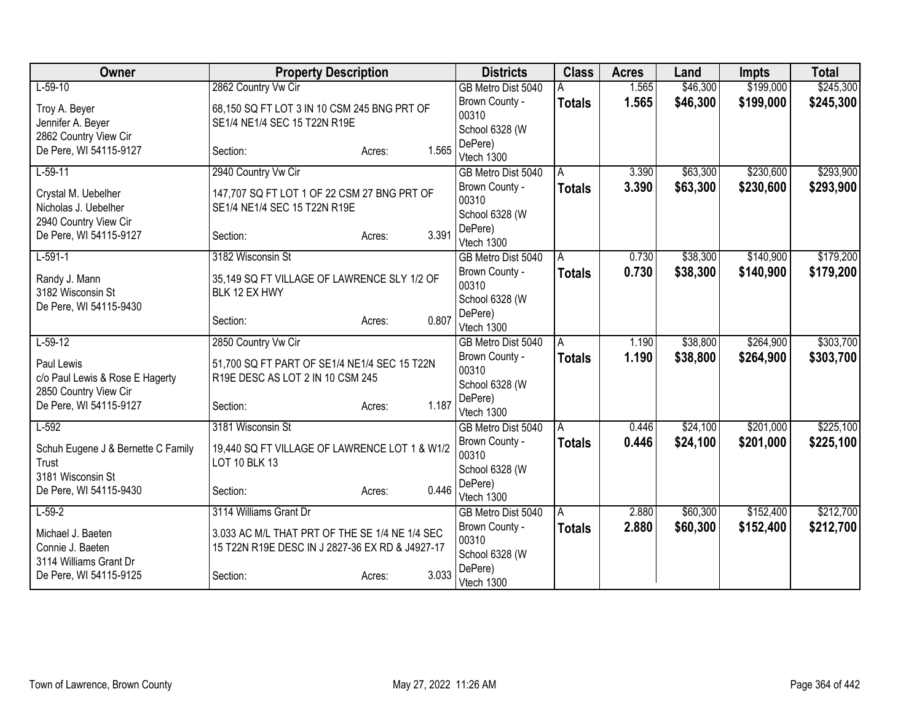| Owner                              | <b>Property Description</b>                     |        |       | <b>Districts</b>      | <b>Class</b>  | <b>Acres</b> | Land     | <b>Impts</b> | <b>Total</b> |
|------------------------------------|-------------------------------------------------|--------|-------|-----------------------|---------------|--------------|----------|--------------|--------------|
| $L-59-10$                          | 2862 Country Vw Cir                             |        |       | GB Metro Dist 5040    |               | 1.565        | \$46,300 | \$199,000    | \$245,300    |
| Troy A. Beyer                      | 68,150 SQ FT LOT 3 IN 10 CSM 245 BNG PRT OF     |        |       | Brown County -        | <b>Totals</b> | 1.565        | \$46,300 | \$199,000    | \$245,300    |
| Jennifer A. Beyer                  | SE1/4 NE1/4 SEC 15 T22N R19E                    |        |       | 00310                 |               |              |          |              |              |
| 2862 Country View Cir              |                                                 |        |       | School 6328 (W        |               |              |          |              |              |
| De Pere, WI 54115-9127             | Section:                                        | Acres: | 1.565 | DePere)<br>Vtech 1300 |               |              |          |              |              |
| $L-59-11$                          | 2940 Country Vw Cir                             |        |       | GB Metro Dist 5040    | A             | 3.390        | \$63,300 | \$230,600    | \$293,900    |
|                                    |                                                 |        |       | Brown County -        | <b>Totals</b> | 3.390        | \$63,300 | \$230,600    | \$293,900    |
| Crystal M. Uebelher                | 147,707 SQ FT LOT 1 OF 22 CSM 27 BNG PRT OF     |        |       | 00310                 |               |              |          |              |              |
| Nicholas J. Uebelher               | SE1/4 NE1/4 SEC 15 T22N R19E                    |        |       | School 6328 (W        |               |              |          |              |              |
| 2940 Country View Cir              |                                                 |        |       | DePere)               |               |              |          |              |              |
| De Pere, WI 54115-9127             | Section:                                        | Acres: | 3.391 | Vtech 1300            |               |              |          |              |              |
| $L-591-1$                          | 3182 Wisconsin St                               |        |       | GB Metro Dist 5040    | A             | 0.730        | \$38,300 | \$140,900    | \$179,200    |
| Randy J. Mann                      | 35,149 SQ FT VILLAGE OF LAWRENCE SLY 1/2 OF     |        |       | Brown County -        | <b>Totals</b> | 0.730        | \$38,300 | \$140,900    | \$179,200    |
| 3182 Wisconsin St                  | BLK 12 EX HWY                                   |        |       | 00310                 |               |              |          |              |              |
| De Pere, WI 54115-9430             |                                                 |        |       | School 6328 (W        |               |              |          |              |              |
|                                    | Section:                                        | Acres: | 0.807 | DePere)<br>Vtech 1300 |               |              |          |              |              |
| $L-59-12$                          | 2850 Country Vw Cir                             |        |       | GB Metro Dist 5040    | A             | 1.190        | \$38,800 | \$264,900    | \$303,700    |
|                                    |                                                 |        |       | Brown County -        | <b>Totals</b> | 1.190        | \$38,800 | \$264,900    | \$303,700    |
| Paul Lewis                         | 51,700 SQ FT PART OF SE1/4 NE1/4 SEC 15 T22N    |        |       | 00310                 |               |              |          |              |              |
| c/o Paul Lewis & Rose E Hagerty    | R19E DESC AS LOT 2 IN 10 CSM 245                |        |       | School 6328 (W        |               |              |          |              |              |
| 2850 Country View Cir              |                                                 |        | 1.187 | DePere)               |               |              |          |              |              |
| De Pere, WI 54115-9127             | Section:                                        | Acres: |       | Vtech 1300            |               |              |          |              |              |
| $L-592$                            | 3181 Wisconsin St                               |        |       | GB Metro Dist 5040    | A             | 0.446        | \$24,100 | \$201,000    | \$225,100    |
| Schuh Eugene J & Bernette C Family | 19,440 SQ FT VILLAGE OF LAWRENCE LOT 1 & W1/2   |        |       | Brown County -        | <b>Totals</b> | 0.446        | \$24,100 | \$201,000    | \$225,100    |
| Trust                              | LOT 10 BLK 13                                   |        |       | 00310                 |               |              |          |              |              |
| 3181 Wisconsin St                  |                                                 |        |       | School 6328 (W        |               |              |          |              |              |
| De Pere, WI 54115-9430             | Section:                                        | Acres: | 0.446 | DePere)<br>Vtech 1300 |               |              |          |              |              |
| $L-59-2$                           | 3114 Williams Grant Dr                          |        |       | GB Metro Dist 5040    | A             | 2.880        | \$60,300 | \$152,400    | \$212,700    |
|                                    |                                                 |        |       | Brown County -        | <b>Totals</b> | 2.880        | \$60,300 | \$152,400    | \$212,700    |
| Michael J. Baeten                  | 3.033 AC M/L THAT PRT OF THE SE 1/4 NE 1/4 SEC  |        |       | 00310                 |               |              |          |              |              |
| Connie J. Baeten                   | 15 T22N R19E DESC IN J 2827-36 EX RD & J4927-17 |        |       | School 6328 (W        |               |              |          |              |              |
| 3114 Williams Grant Dr             |                                                 |        | 3.033 | DePere)               |               |              |          |              |              |
| De Pere, WI 54115-9125             | Section:                                        | Acres: |       | Vtech 1300            |               |              |          |              |              |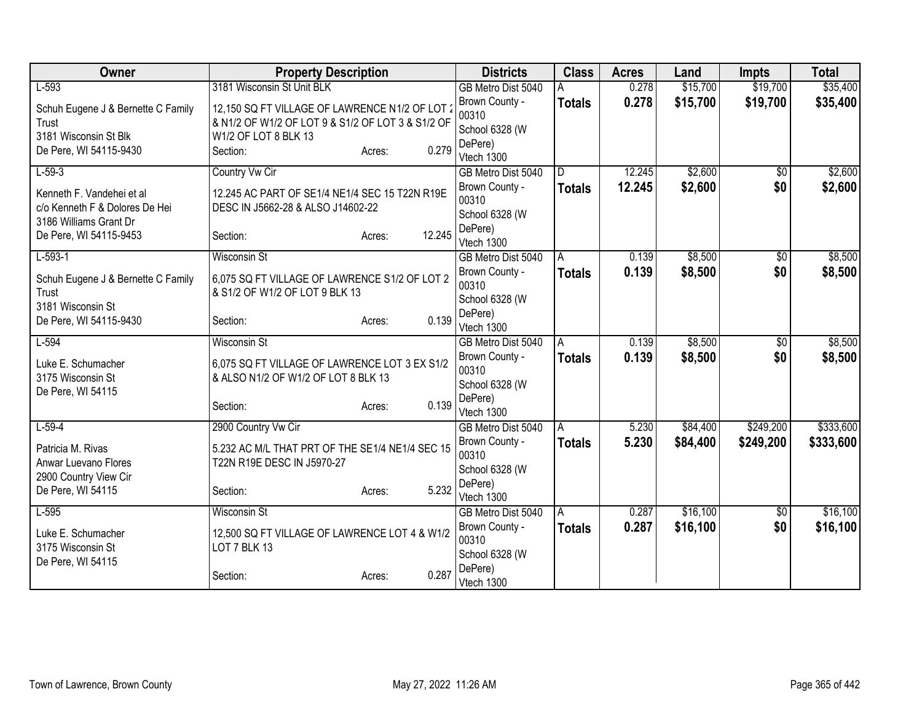| Owner                                     | <b>Property Description</b>                                                   |                  | <b>Districts</b>                     | <b>Class</b>       | <b>Acres</b> | Land     | <b>Impts</b>    | <b>Total</b> |
|-------------------------------------------|-------------------------------------------------------------------------------|------------------|--------------------------------------|--------------------|--------------|----------|-----------------|--------------|
| $L-593$                                   | 3181 Wisconsin St Unit BLK                                                    |                  | GB Metro Dist 5040                   |                    | 0.278        | \$15,700 | \$19,700        | \$35,400     |
| Schuh Eugene J & Bernette C Family        | 12,150 SQ FT VILLAGE OF LAWRENCE N1/2 OF LOT 2                                |                  | Brown County -                       | <b>Totals</b>      | 0.278        | \$15,700 | \$19,700        | \$35,400     |
| Trust                                     | & N1/2 OF W1/2 OF LOT 9 & S1/2 OF LOT 3 & S1/2 OF                             |                  | 00310                                |                    |              |          |                 |              |
| 3181 Wisconsin St Blk                     | W1/2 OF LOT 8 BLK 13                                                          |                  | School 6328 (W<br>DePere)            |                    |              |          |                 |              |
| De Pere, WI 54115-9430                    | Section:                                                                      | 0.279<br>Acres:  | Vtech 1300                           |                    |              |          |                 |              |
| $L-59-3$                                  | Country Vw Cir                                                                |                  | GB Metro Dist 5040                   | D.                 | 12.245       | \$2,600  | $\overline{50}$ | \$2,600      |
| Kenneth F. Vandehei et al                 | 12.245 AC PART OF SE1/4 NE1/4 SEC 15 T22N R19E                                |                  | Brown County -                       | <b>Totals</b>      | 12.245       | \$2,600  | \$0             | \$2,600      |
| c/o Kenneth F & Dolores De Hei            | DESC IN J5662-28 & ALSO J14602-22                                             |                  | 00310                                |                    |              |          |                 |              |
| 3186 Williams Grant Dr                    |                                                                               |                  | School 6328 (W                       |                    |              |          |                 |              |
| De Pere, WI 54115-9453                    | Section:                                                                      | 12.245<br>Acres: | DePere)                              |                    |              |          |                 |              |
| $L-593-1$                                 | <b>Wisconsin St</b>                                                           |                  | Vtech 1300                           |                    | 0.139        | \$8,500  |                 | \$8,500      |
|                                           |                                                                               |                  | GB Metro Dist 5040<br>Brown County - | A<br><b>Totals</b> | 0.139        | \$8,500  | \$0<br>\$0      | \$8,500      |
| Schuh Eugene J & Bernette C Family        | 6.075 SQ FT VILLAGE OF LAWRENCE S1/2 OF LOT 2                                 |                  | 00310                                |                    |              |          |                 |              |
| Trust                                     | & S1/2 OF W1/2 OF LOT 9 BLK 13                                                |                  | School 6328 (W                       |                    |              |          |                 |              |
| 3181 Wisconsin St                         |                                                                               |                  | DePere)                              |                    |              |          |                 |              |
| De Pere, WI 54115-9430                    | Section:                                                                      | 0.139<br>Acres:  | Vtech 1300                           |                    |              |          |                 |              |
| $L-594$                                   | <b>Wisconsin St</b>                                                           |                  | GB Metro Dist 5040                   | A                  | 0.139        | \$8,500  | $\overline{50}$ | \$8,500      |
| Luke E. Schumacher                        | 6,075 SQ FT VILLAGE OF LAWRENCE LOT 3 EX S1/2                                 |                  | Brown County -                       | <b>Totals</b>      | 0.139        | \$8,500  | \$0             | \$8,500      |
| 3175 Wisconsin St                         | & ALSO N1/2 OF W1/2 OF LOT 8 BLK 13                                           |                  | 00310                                |                    |              |          |                 |              |
| De Pere, WI 54115                         |                                                                               |                  | School 6328 (W<br>DePere)            |                    |              |          |                 |              |
|                                           | Section:                                                                      | 0.139<br>Acres:  | Vtech 1300                           |                    |              |          |                 |              |
| $L-59-4$                                  | 2900 Country Vw Cir                                                           |                  | GB Metro Dist 5040                   | A                  | 5.230        | \$84,400 | \$249,200       | \$333,600    |
|                                           |                                                                               |                  | Brown County -                       | <b>Totals</b>      | 5.230        | \$84,400 | \$249,200       | \$333,600    |
| Patricia M. Rivas<br>Anwar Luevano Flores | 5.232 AC M/L THAT PRT OF THE SE1/4 NE1/4 SEC 15<br>T22N R19E DESC IN J5970-27 |                  | 00310                                |                    |              |          |                 |              |
| 2900 Country View Cir                     |                                                                               |                  | School 6328 (W                       |                    |              |          |                 |              |
| De Pere, WI 54115                         | Section:                                                                      | 5.232<br>Acres:  | DePere)                              |                    |              |          |                 |              |
|                                           |                                                                               |                  | Vtech 1300                           |                    |              |          |                 |              |
| $L-595$                                   | <b>Wisconsin St</b>                                                           |                  | GB Metro Dist 5040                   | A                  | 0.287        | \$16,100 | \$0             | \$16,100     |
| Luke E. Schumacher                        | 12,500 SQ FT VILLAGE OF LAWRENCE LOT 4 & W1/2                                 |                  | Brown County -<br>00310              | <b>Totals</b>      | 0.287        | \$16,100 | \$0             | \$16,100     |
| 3175 Wisconsin St                         | LOT 7 BLK 13                                                                  |                  | School 6328 (W                       |                    |              |          |                 |              |
| De Pere, WI 54115                         |                                                                               |                  | DePere)                              |                    |              |          |                 |              |
|                                           | Section:                                                                      | 0.287<br>Acres:  | Vtech 1300                           |                    |              |          |                 |              |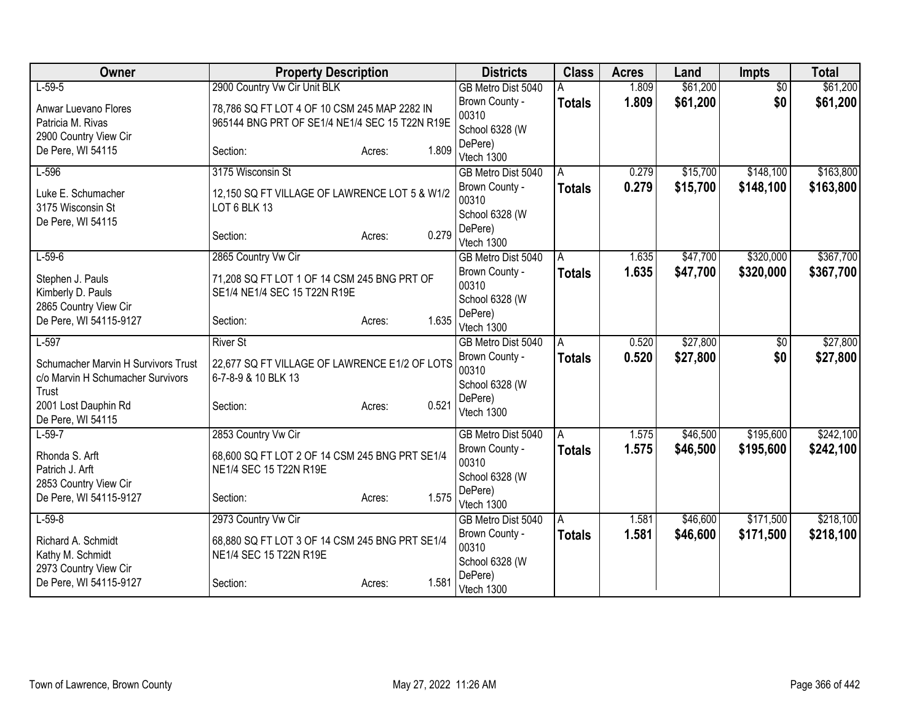| Owner                                                                             | <b>Property Description</b>                                                                    |                 | <b>Districts</b>                          | <b>Class</b>  | <b>Acres</b>   | Land     | <b>Impts</b>    | <b>Total</b> |
|-----------------------------------------------------------------------------------|------------------------------------------------------------------------------------------------|-----------------|-------------------------------------------|---------------|----------------|----------|-----------------|--------------|
| $L-59-5$                                                                          | 2900 Country Vw Cir Unit BLK                                                                   |                 | GB Metro Dist 5040                        |               | 1.809          | \$61,200 | $\overline{50}$ | \$61,200     |
| Anwar Luevano Flores<br>Patricia M. Rivas<br>2900 Country View Cir                | 78,786 SQ FT LOT 4 OF 10 CSM 245 MAP 2282 IN<br>965144 BNG PRT OF SE1/4 NE1/4 SEC 15 T22N R19E |                 | Brown County -<br>00310<br>School 6328 (W | <b>Totals</b> | 1.809          | \$61,200 | \$0             | \$61,200     |
| De Pere, WI 54115                                                                 | Section:                                                                                       | 1.809<br>Acres: | DePere)<br>Vtech 1300                     |               |                |          |                 |              |
| $L-596$                                                                           | 3175 Wisconsin St                                                                              |                 | GB Metro Dist 5040                        | A             | 0.279          | \$15,700 | \$148,100       | \$163,800    |
| Luke E. Schumacher<br>3175 Wisconsin St                                           | 12,150 SQ FT VILLAGE OF LAWRENCE LOT 5 & W1/2<br>LOT 6 BLK 13                                  |                 | Brown County -<br>00310<br>School 6328 (W | <b>Totals</b> | 0.279          | \$15,700 | \$148,100       | \$163,800    |
| De Pere, WI 54115                                                                 | Section:                                                                                       | 0.279<br>Acres: | DePere)<br>Vtech 1300                     |               |                |          |                 |              |
| $L-59-6$                                                                          | 2865 Country Vw Cir                                                                            |                 | GB Metro Dist 5040<br>Brown County -      | A             | 1.635<br>1.635 | \$47,700 | \$320,000       | \$367,700    |
| Stephen J. Pauls<br>Kimberly D. Pauls<br>2865 Country View Cir                    | 71,208 SQ FT LOT 1 OF 14 CSM 245 BNG PRT OF<br>SE1/4 NE1/4 SEC 15 T22N R19E                    |                 | 00310<br>School 6328 (W                   | <b>Totals</b> |                | \$47,700 | \$320,000       | \$367,700    |
| De Pere, WI 54115-9127                                                            | Section:                                                                                       | 1.635<br>Acres: | DePere)<br>Vtech 1300                     |               |                |          |                 |              |
| $L-597$                                                                           | <b>River St</b>                                                                                |                 | GB Metro Dist 5040                        | A.            | 0.520          | \$27,800 | \$0             | \$27,800     |
| Schumacher Marvin H Survivors Trust<br>c/o Marvin H Schumacher Survivors<br>Trust | 22,677 SQ FT VILLAGE OF LAWRENCE E1/2 OF LOTS<br>6-7-8-9 & 10 BLK 13                           |                 | Brown County -<br>00310<br>School 6328 (W | <b>Totals</b> | 0.520          | \$27,800 | \$0             | \$27,800     |
| 2001 Lost Dauphin Rd<br>De Pere, WI 54115                                         | Section:                                                                                       | 0.521<br>Acres: | DePere)<br>Vtech 1300                     |               |                |          |                 |              |
| $L-59-7$                                                                          | 2853 Country Vw Cir                                                                            |                 | GB Metro Dist 5040                        | A             | 1.575          | \$46,500 | \$195,600       | \$242,100    |
| Rhonda S. Arft<br>Patrich J. Arft<br>2853 Country View Cir                        | 68,600 SQ FT LOT 2 OF 14 CSM 245 BNG PRT SE1/4<br>NE1/4 SEC 15 T22N R19E                       |                 | Brown County -<br>00310<br>School 6328 (W | <b>Totals</b> | 1.575          | \$46,500 | \$195,600       | \$242,100    |
| De Pere, WI 54115-9127                                                            | Section:                                                                                       | 1.575<br>Acres: | DePere)<br>Vtech 1300                     |               |                |          |                 |              |
| $L-59-8$                                                                          | 2973 Country Vw Cir                                                                            |                 | GB Metro Dist 5040                        | A             | 1.581          | \$46,600 | \$171,500       | \$218,100    |
| Richard A. Schmidt<br>Kathy M. Schmidt<br>2973 Country View Cir                   | 68,880 SQ FT LOT 3 OF 14 CSM 245 BNG PRT SE1/4<br>NE1/4 SEC 15 T22N R19E                       |                 | Brown County -<br>00310<br>School 6328 (W | Totals        | 1.581          | \$46,600 | \$171,500       | \$218,100    |
| De Pere, WI 54115-9127                                                            | Section:                                                                                       | 1.581<br>Acres: | DePere)<br>Vtech 1300                     |               |                |          |                 |              |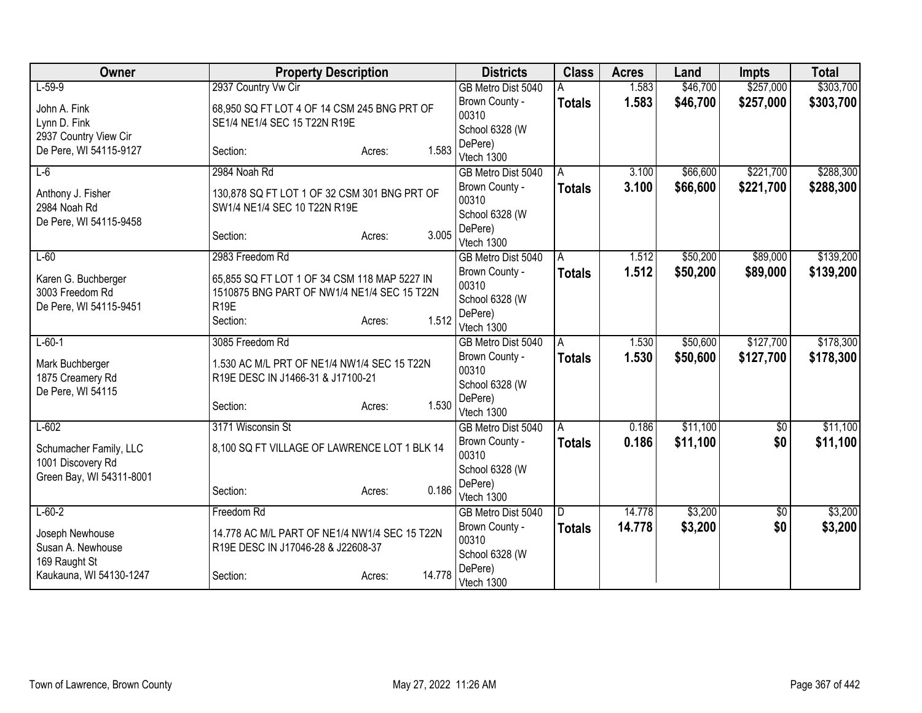| Owner                    | <b>Property Description</b>                   |                 | <b>Districts</b>                     | <b>Class</b>  | <b>Acres</b> | Land     | <b>Impts</b> | <b>Total</b> |
|--------------------------|-----------------------------------------------|-----------------|--------------------------------------|---------------|--------------|----------|--------------|--------------|
| $L-59-9$                 | 2937 Country Vw Cir                           |                 | GB Metro Dist 5040                   |               | 1.583        | \$46,700 | \$257,000    | \$303,700    |
| John A. Fink             | 68,950 SQ FT LOT 4 OF 14 CSM 245 BNG PRT OF   |                 | Brown County -                       | <b>Totals</b> | 1.583        | \$46,700 | \$257,000    | \$303,700    |
| Lynn D. Fink             | SE1/4 NE1/4 SEC 15 T22N R19E                  |                 | 00310                                |               |              |          |              |              |
| 2937 Country View Cir    |                                               |                 | School 6328 (W                       |               |              |          |              |              |
| De Pere, WI 54115-9127   | Section:                                      | 1.583<br>Acres: | DePere)<br>Vtech 1300                |               |              |          |              |              |
| $L-6$                    | 2984 Noah Rd                                  |                 | GB Metro Dist 5040                   | A             | 3.100        | \$66,600 | \$221,700    | \$288,300    |
| Anthony J. Fisher        | 130,878 SQ FT LOT 1 OF 32 CSM 301 BNG PRT OF  |                 | Brown County -<br>00310              | <b>Totals</b> | 3.100        | \$66,600 | \$221,700    | \$288,300    |
| 2984 Noah Rd             | SW1/4 NE1/4 SEC 10 T22N R19E                  |                 | School 6328 (W                       |               |              |          |              |              |
| De Pere, WI 54115-9458   | Section:                                      | 3.005<br>Acres: | DePere)<br>Vtech 1300                |               |              |          |              |              |
| $L-60$                   | 2983 Freedom Rd                               |                 | GB Metro Dist 5040                   | A             | 1.512        | \$50,200 | \$89,000     | \$139,200    |
| Karen G. Buchberger      | 65,855 SQ FT LOT 1 OF 34 CSM 118 MAP 5227 IN  |                 | Brown County -<br>00310              | Totals        | 1.512        | \$50,200 | \$89,000     | \$139,200    |
| 3003 Freedom Rd          | 1510875 BNG PART OF NW1/4 NE1/4 SEC 15 T22N   |                 | School 6328 (W                       |               |              |          |              |              |
| De Pere, WI 54115-9451   | R <sub>19E</sub>                              |                 | DePere)                              |               |              |          |              |              |
|                          | Section:                                      | 1.512<br>Acres: | Vtech 1300                           |               |              |          |              |              |
| $L-60-1$                 | 3085 Freedom Rd                               |                 | GB Metro Dist 5040                   | A             | 1.530        | \$50,600 | \$127,700    | \$178,300    |
| Mark Buchberger          | 1.530 AC M/L PRT OF NE1/4 NW1/4 SEC 15 T22N   |                 | Brown County -                       | Totals        | 1.530        | \$50,600 | \$127,700    | \$178,300    |
| 1875 Creamery Rd         | R19E DESC IN J1466-31 & J17100-21             |                 | 00310                                |               |              |          |              |              |
| De Pere, WI 54115        |                                               |                 | School 6328 (W<br>DePere)            |               |              |          |              |              |
|                          | Section:                                      | 1.530<br>Acres: | Vtech 1300                           |               |              |          |              |              |
| $L-602$                  | 3171 Wisconsin St                             |                 | GB Metro Dist 5040                   | A             | 0.186        | \$11,100 | $\sqrt{$0}$  | \$11,100     |
| Schumacher Family, LLC   | 8,100 SQ FT VILLAGE OF LAWRENCE LOT 1 BLK 14  |                 | Brown County -                       | <b>Totals</b> | 0.186        | \$11,100 | \$0          | \$11,100     |
| 1001 Discovery Rd        |                                               |                 | 00310                                |               |              |          |              |              |
| Green Bay, WI 54311-8001 |                                               |                 | School 6328 (W                       |               |              |          |              |              |
|                          | Section:                                      | 0.186<br>Acres: | DePere)                              |               |              |          |              |              |
|                          |                                               |                 | Vtech 1300                           |               |              | \$3,200  |              |              |
| $L - 60 - 2$             | Freedom Rd                                    |                 | GB Metro Dist 5040<br>Brown County - | ID.           | 14.778       |          | \$0          | \$3,200      |
| Joseph Newhouse          | 14.778 AC M/L PART OF NE1/4 NW1/4 SEC 15 T22N |                 | 00310                                | Totals        | 14.778       | \$3,200  | \$0          | \$3,200      |
| Susan A. Newhouse        | R19E DESC IN J17046-28 & J22608-37            |                 | School 6328 (W                       |               |              |          |              |              |
| 169 Raught St            |                                               | 14.778          | DePere)                              |               |              |          |              |              |
| Kaukauna, WI 54130-1247  | Section:                                      | Acres:          | Vtech 1300                           |               |              |          |              |              |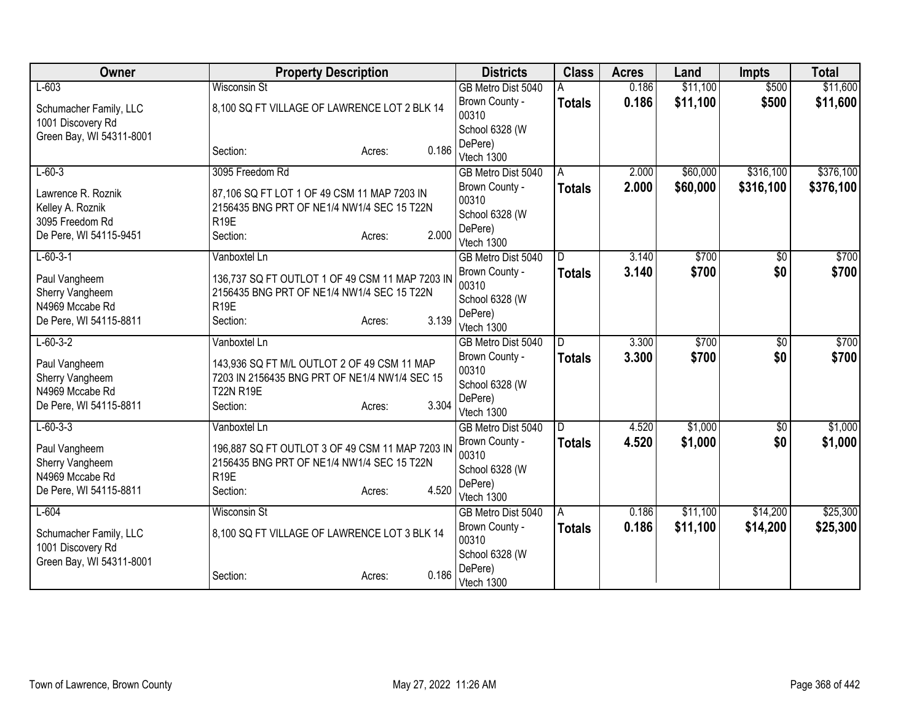| Owner                            | <b>Property Description</b>                                                                   |       | <b>Districts</b>        | <b>Class</b>  | <b>Acres</b> | Land     | <b>Impts</b>    | <b>Total</b> |
|----------------------------------|-----------------------------------------------------------------------------------------------|-------|-------------------------|---------------|--------------|----------|-----------------|--------------|
| $L-603$                          | <b>Wisconsin St</b>                                                                           |       | GB Metro Dist 5040      |               | 0.186        | \$11,100 | \$500           | \$11,600     |
| Schumacher Family, LLC           | 8,100 SQ FT VILLAGE OF LAWRENCE LOT 2 BLK 14                                                  |       | Brown County -          | <b>Totals</b> | 0.186        | \$11,100 | \$500           | \$11,600     |
| 1001 Discovery Rd                |                                                                                               |       | 00310                   |               |              |          |                 |              |
| Green Bay, WI 54311-8001         |                                                                                               |       | School 6328 (W          |               |              |          |                 |              |
|                                  | Section:<br>Acres:                                                                            | 0.186 | DePere)<br>Vtech 1300   |               |              |          |                 |              |
| $L - 60 - 3$                     | 3095 Freedom Rd                                                                               |       | GB Metro Dist 5040      | A             | 2.000        | \$60,000 | \$316,100       | \$376,100    |
|                                  |                                                                                               |       | Brown County -          | <b>Totals</b> | 2.000        | \$60,000 | \$316,100       | \$376,100    |
| Lawrence R. Roznik               | 87,106 SQ FT LOT 1 OF 49 CSM 11 MAP 7203 IN                                                   |       | 00310                   |               |              |          |                 |              |
| Kelley A. Roznik                 | 2156435 BNG PRT OF NE1/4 NW1/4 SEC 15 T22N                                                    |       | School 6328 (W          |               |              |          |                 |              |
| 3095 Freedom Rd                  | R <sub>19E</sub>                                                                              |       | DePere)                 |               |              |          |                 |              |
| De Pere, WI 54115-9451           | Section:<br>Acres:                                                                            | 2.000 | Vtech 1300              |               |              |          |                 |              |
| $L - 60 - 3 - 1$                 | Vanboxtel Ln                                                                                  |       | GB Metro Dist 5040      | D.            | 3.140        | \$700    | \$0             | \$700        |
| Paul Vangheem                    | 136,737 SQ FT OUTLOT 1 OF 49 CSM 11 MAP 7203 IN                                               |       | Brown County -          | <b>Totals</b> | 3.140        | \$700    | \$0             | \$700        |
| Sherry Vangheem                  | 2156435 BNG PRT OF NE1/4 NW1/4 SEC 15 T22N                                                    |       | 00310                   |               |              |          |                 |              |
| N4969 Mccabe Rd                  | R <sub>19E</sub>                                                                              |       | School 6328 (W          |               |              |          |                 |              |
| De Pere, WI 54115-8811           | Section:<br>Acres:                                                                            | 3.139 | DePere)                 |               |              |          |                 |              |
|                                  |                                                                                               |       | Vtech 1300              |               |              |          |                 |              |
| $L - 60 - 3 - 2$                 | Vanboxtel Ln                                                                                  |       | GB Metro Dist 5040      | D.            | 3.300        | \$700    | $\overline{50}$ | \$700        |
| Paul Vangheem                    | 143,936 SQ FT M/L OUTLOT 2 OF 49 CSM 11 MAP                                                   |       | Brown County -<br>00310 | <b>Totals</b> | 3.300        | \$700    | \$0             | \$700        |
| Sherry Vangheem                  | 7203 IN 2156435 BNG PRT OF NE1/4 NW1/4 SEC 15                                                 |       | School 6328 (W          |               |              |          |                 |              |
| N4969 Mccabe Rd                  | <b>T22N R19E</b>                                                                              |       | DePere)                 |               |              |          |                 |              |
| De Pere, WI 54115-8811           | Section:<br>Acres:                                                                            | 3.304 | Vtech 1300              |               |              |          |                 |              |
| $L - 60 - 3 - 3$                 | Vanboxtel Ln                                                                                  |       | GB Metro Dist 5040      | D             | 4.520        | \$1,000  | $\sqrt{6}$      | \$1,000      |
|                                  |                                                                                               |       | Brown County -          | <b>Totals</b> | 4.520        | \$1,000  | \$0             | \$1,000      |
| Paul Vangheem<br>Sherry Vangheem | 196,887 SQ FT OUTLOT 3 OF 49 CSM 11 MAP 7203 IN<br>2156435 BNG PRT OF NE1/4 NW1/4 SEC 15 T22N |       | 00310                   |               |              |          |                 |              |
| N4969 Mccabe Rd                  | R <sub>19E</sub>                                                                              |       | School 6328 (W          |               |              |          |                 |              |
| De Pere, WI 54115-8811           | Section:<br>Acres:                                                                            | 4.520 | DePere)                 |               |              |          |                 |              |
|                                  |                                                                                               |       | Vtech 1300              |               |              |          |                 |              |
| $L-604$                          | <b>Wisconsin St</b>                                                                           |       | GB Metro Dist 5040      | A             | 0.186        | \$11,100 | \$14,200        | \$25,300     |
| Schumacher Family, LLC           | 8,100 SQ FT VILLAGE OF LAWRENCE LOT 3 BLK 14                                                  |       | Brown County -<br>00310 | <b>Totals</b> | 0.186        | \$11,100 | \$14,200        | \$25,300     |
| 1001 Discovery Rd                |                                                                                               |       | School 6328 (W          |               |              |          |                 |              |
| Green Bay, WI 54311-8001         |                                                                                               |       | DePere)                 |               |              |          |                 |              |
|                                  | Section:<br>Acres:                                                                            | 0.186 | Vtech 1300              |               |              |          |                 |              |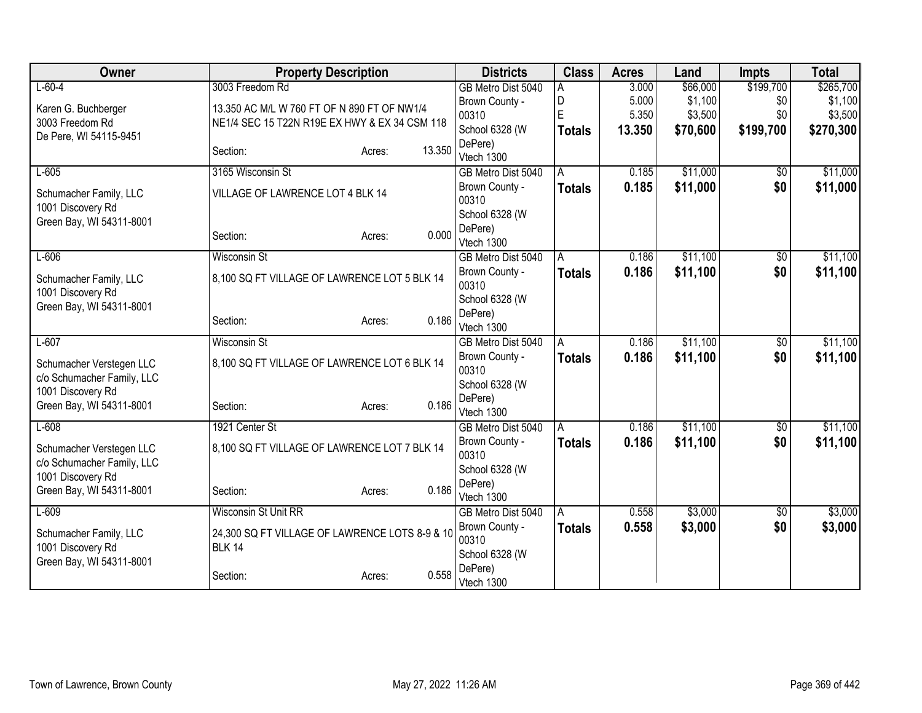| Owner                                         | <b>Property Description</b>                    |                  | <b>Districts</b>          | <b>Class</b>  | <b>Acres</b> | Land     | <b>Impts</b>    | <b>Total</b> |
|-----------------------------------------------|------------------------------------------------|------------------|---------------------------|---------------|--------------|----------|-----------------|--------------|
| $L - 60 - 4$                                  | 3003 Freedom Rd                                |                  | GB Metro Dist 5040        | А             | 3.000        | \$66,000 | \$199,700       | \$265,700    |
| Karen G. Buchberger                           | 13.350 AC M/L W 760 FT OF N 890 FT OF NW1/4    |                  | Brown County -            | D             | 5.000        | \$1,100  | \$0             | \$1,100      |
| 3003 Freedom Rd                               | NE1/4 SEC 15 T22N R19E EX HWY & EX 34 CSM 118  |                  | 00310                     | E             | 5.350        | \$3,500  | \$0             | \$3,500      |
| De Pere, WI 54115-9451                        |                                                |                  | School 6328 (W            | <b>Totals</b> | 13.350       | \$70,600 | \$199,700       | \$270,300    |
|                                               | Section:                                       | 13.350<br>Acres: | DePere)<br>Vtech 1300     |               |              |          |                 |              |
| $L-605$                                       | 3165 Wisconsin St                              |                  | GB Metro Dist 5040        | A             | 0.185        | \$11,000 | $\overline{50}$ | \$11,000     |
|                                               |                                                |                  | Brown County -            | <b>Totals</b> | 0.185        | \$11,000 | \$0             | \$11,000     |
| Schumacher Family, LLC                        | VILLAGE OF LAWRENCE LOT 4 BLK 14               |                  | 00310                     |               |              |          |                 |              |
| 1001 Discovery Rd<br>Green Bay, WI 54311-8001 |                                                |                  | School 6328 (W            |               |              |          |                 |              |
|                                               | Section:                                       | 0.000<br>Acres:  | DePere)                   |               |              |          |                 |              |
|                                               |                                                |                  | Vtech 1300                |               |              |          |                 |              |
| $L-606$                                       | <b>Wisconsin St</b>                            |                  | GB Metro Dist 5040        | A             | 0.186        | \$11,100 | \$0             | \$11,100     |
| Schumacher Family, LLC                        | 8,100 SQ FT VILLAGE OF LAWRENCE LOT 5 BLK 14   |                  | Brown County -<br>00310   | <b>Totals</b> | 0.186        | \$11,100 | \$0             | \$11,100     |
| 1001 Discovery Rd                             |                                                |                  | School 6328 (W            |               |              |          |                 |              |
| Green Bay, WI 54311-8001                      |                                                |                  | DePere)                   |               |              |          |                 |              |
|                                               | Section:                                       | 0.186<br>Acres:  | Vtech 1300                |               |              |          |                 |              |
| $L-607$                                       | <b>Wisconsin St</b>                            |                  | GB Metro Dist 5040        | A             | 0.186        | \$11,100 | \$0             | \$11,100     |
| Schumacher Verstegen LLC                      | 8,100 SQ FT VILLAGE OF LAWRENCE LOT 6 BLK 14   |                  | Brown County -            | <b>Totals</b> | 0.186        | \$11,100 | \$0             | \$11,100     |
| c/o Schumacher Family, LLC                    |                                                |                  | 00310                     |               |              |          |                 |              |
| 1001 Discovery Rd                             |                                                |                  | School 6328 (W            |               |              |          |                 |              |
| Green Bay, WI 54311-8001                      | Section:                                       | 0.186<br>Acres:  | DePere)<br>Vtech 1300     |               |              |          |                 |              |
| $L-608$                                       | 1921 Center St                                 |                  | GB Metro Dist 5040        | A             | 0.186        | \$11,100 | $\overline{50}$ | \$11,100     |
|                                               |                                                |                  | Brown County -            | <b>Totals</b> | 0.186        | \$11,100 | \$0             | \$11,100     |
| Schumacher Verstegen LLC                      | 8,100 SQ FT VILLAGE OF LAWRENCE LOT 7 BLK 14   |                  | 00310                     |               |              |          |                 |              |
| c/o Schumacher Family, LLC                    |                                                |                  | School 6328 (W            |               |              |          |                 |              |
| 1001 Discovery Rd<br>Green Bay, WI 54311-8001 | Section:                                       | 0.186            | DePere)                   |               |              |          |                 |              |
|                                               |                                                | Acres:           | Vtech 1300                |               |              |          |                 |              |
| $L-609$                                       | <b>Wisconsin St Unit RR</b>                    |                  | GB Metro Dist 5040        | l A           | 0.558        | \$3,000  | \$0             | \$3,000      |
| Schumacher Family, LLC                        | 24,300 SQ FT VILLAGE OF LAWRENCE LOTS 8-9 & 10 |                  | Brown County -            | <b>Totals</b> | 0.558        | \$3,000  | \$0             | \$3,000      |
| 1001 Discovery Rd                             | <b>BLK 14</b>                                  |                  | 00310                     |               |              |          |                 |              |
| Green Bay, WI 54311-8001                      |                                                |                  | School 6328 (W<br>DePere) |               |              |          |                 |              |
|                                               | Section:                                       | 0.558<br>Acres:  | Vtech 1300                |               |              |          |                 |              |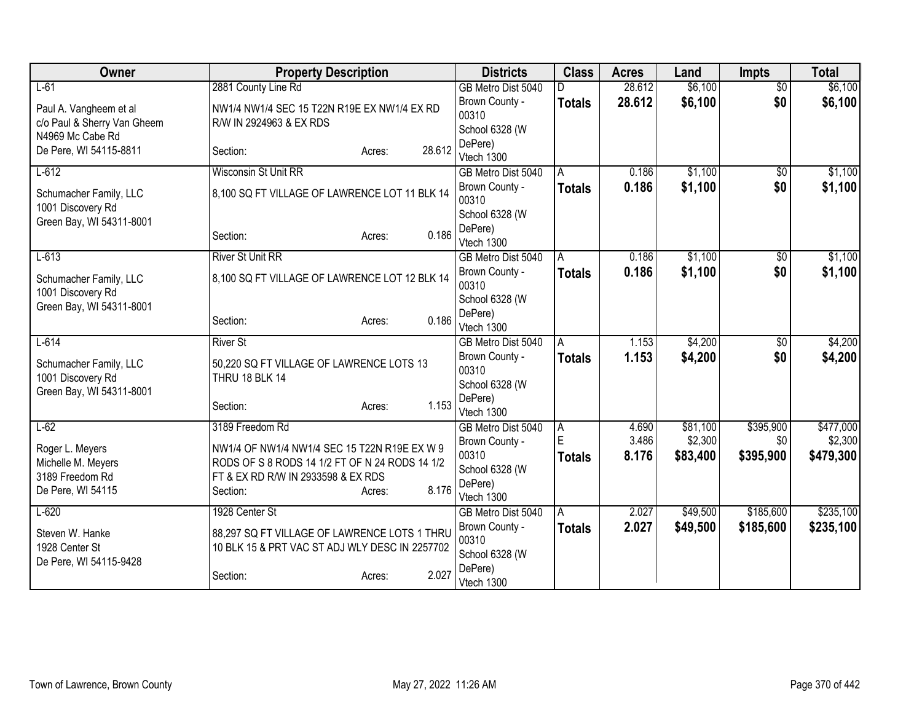| Owner                       | <b>Property Description</b>                    | <b>Districts</b>                 | <b>Class</b>  | <b>Acres</b> | Land     | <b>Impts</b>    | <b>Total</b> |
|-----------------------------|------------------------------------------------|----------------------------------|---------------|--------------|----------|-----------------|--------------|
| $L-61$                      | 2881 County Line Rd                            | GB Metro Dist 5040               |               | 28.612       | \$6,100  | $\overline{50}$ | \$6,100      |
| Paul A. Vangheem et al      | NW1/4 NW1/4 SEC 15 T22N R19E EX NW1/4 EX RD    | Brown County -                   | <b>Totals</b> | 28.612       | \$6,100  | \$0             | \$6,100      |
| c/o Paul & Sherry Van Gheem | R/W IN 2924963 & EX RDS                        | 00310                            |               |              |          |                 |              |
| N4969 Mc Cabe Rd            |                                                | School 6328 (W                   |               |              |          |                 |              |
| De Pere, WI 54115-8811      | 28.612<br>Section:<br>Acres:                   | DePere)<br>Vtech 1300            |               |              |          |                 |              |
| $L-612$                     | <b>Wisconsin St Unit RR</b>                    | GB Metro Dist 5040               | A             | 0.186        | \$1,100  | $\overline{50}$ | \$1,100      |
|                             |                                                | Brown County -                   | <b>Totals</b> | 0.186        | \$1,100  | \$0             | \$1,100      |
| Schumacher Family, LLC      | 8,100 SQ FT VILLAGE OF LAWRENCE LOT 11 BLK 14  | 00310                            |               |              |          |                 |              |
| 1001 Discovery Rd           |                                                | School 6328 (W                   |               |              |          |                 |              |
| Green Bay, WI 54311-8001    | 0.186<br>Section:<br>Acres:                    | DePere)                          |               |              |          |                 |              |
|                             |                                                | Vtech 1300                       |               |              |          |                 |              |
| $L-613$                     | <b>River St Unit RR</b>                        | GB Metro Dist 5040               | A             | 0.186        | \$1,100  | \$0             | \$1,100      |
| Schumacher Family, LLC      | 8,100 SQ FT VILLAGE OF LAWRENCE LOT 12 BLK 14  | Brown County -                   | <b>Totals</b> | 0.186        | \$1,100  | \$0             | \$1,100      |
| 1001 Discovery Rd           |                                                | 00310<br>School 6328 (W          |               |              |          |                 |              |
| Green Bay, WI 54311-8001    |                                                | DePere)                          |               |              |          |                 |              |
|                             | 0.186<br>Section:<br>Acres:                    | Vtech 1300                       |               |              |          |                 |              |
| $L-614$                     | <b>River St</b>                                | GB Metro Dist 5040               | A             | 1.153        | \$4,200  | \$0             | \$4,200      |
| Schumacher Family, LLC      | 50,220 SQ FT VILLAGE OF LAWRENCE LOTS 13       | Brown County -                   | <b>Totals</b> | 1.153        | \$4,200  | \$0             | \$4,200      |
| 1001 Discovery Rd           | THRU 18 BLK 14                                 | 00310                            |               |              |          |                 |              |
| Green Bay, WI 54311-8001    |                                                | School 6328 (W                   |               |              |          |                 |              |
|                             | 1.153<br>Section:<br>Acres:                    | DePere)                          |               |              |          |                 |              |
| $L-62$                      | 3189 Freedom Rd                                | Vtech 1300<br>GB Metro Dist 5040 | A             | 4.690        | \$81,100 | \$395,900       | \$477,000    |
|                             |                                                | Brown County -                   | E             | 3.486        | \$2,300  | \$0             | \$2,300      |
| Roger L. Meyers             | NW1/4 OF NW1/4 NW1/4 SEC 15 T22N R19E EX W 9   | 00310                            | <b>Totals</b> | 8.176        | \$83,400 | \$395,900       | \$479,300    |
| Michelle M. Meyers          | RODS OF S 8 RODS 14 1/2 FT OF N 24 RODS 14 1/2 | School 6328 (W                   |               |              |          |                 |              |
| 3189 Freedom Rd             | FT & EX RD R/W IN 2933598 & EX RDS<br>8.176    | DePere)                          |               |              |          |                 |              |
| De Pere, WI 54115           | Section:<br>Acres:                             | Vtech 1300                       |               |              |          |                 |              |
| $L-620$                     | 1928 Center St                                 | GB Metro Dist 5040               | A             | 2.027        | \$49,500 | \$185,600       | \$235,100    |
| Steven W. Hanke             | 88,297 SQ FT VILLAGE OF LAWRENCE LOTS 1 THRU   | Brown County -                   | <b>Totals</b> | 2.027        | \$49,500 | \$185,600       | \$235,100    |
| 1928 Center St              | 10 BLK 15 & PRT VAC ST ADJ WLY DESC IN 2257702 | 00310                            |               |              |          |                 |              |
| De Pere, WI 54115-9428      |                                                | School 6328 (W<br>DePere)        |               |              |          |                 |              |
|                             | 2.027<br>Section:<br>Acres:                    | Vtech 1300                       |               |              |          |                 |              |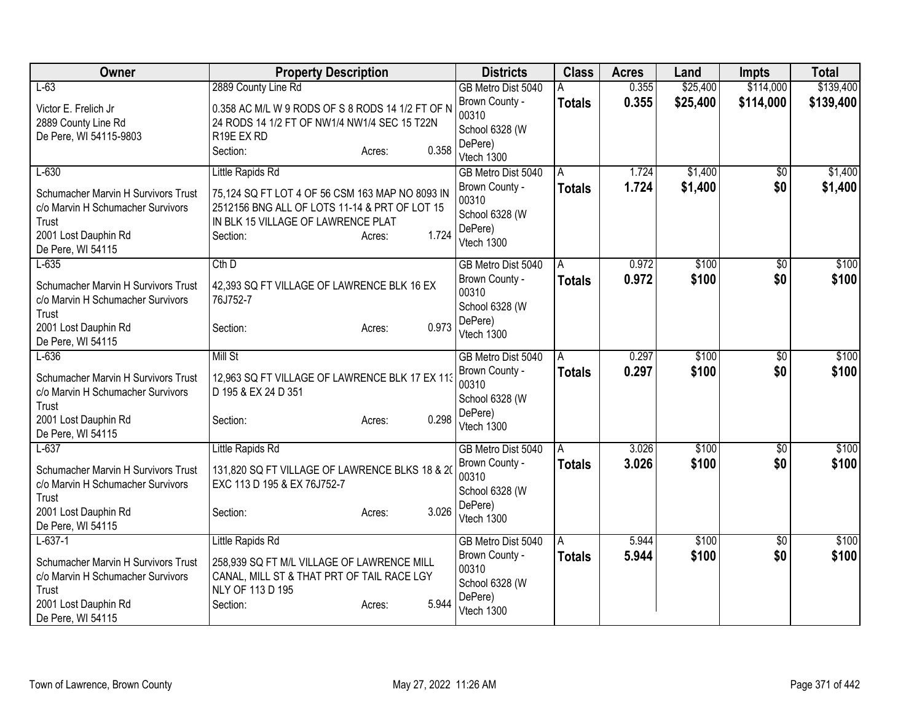| Owner                                                                                                                                       | <b>Property Description</b>                                                                                                                                                               | <b>Districts</b>                                                                         | <b>Class</b>           | <b>Acres</b>   | Land                 | <b>Impts</b>           | <b>Total</b>           |
|---------------------------------------------------------------------------------------------------------------------------------------------|-------------------------------------------------------------------------------------------------------------------------------------------------------------------------------------------|------------------------------------------------------------------------------------------|------------------------|----------------|----------------------|------------------------|------------------------|
| $L-63$<br>Victor E. Frelich Jr.<br>2889 County Line Rd<br>De Pere, WI 54115-9803                                                            | 2889 County Line Rd<br>0.358 AC M/L W 9 RODS OF S 8 RODS 14 1/2 FT OF N<br>24 RODS 14 1/2 FT OF NW1/4 NW1/4 SEC 15 T22N<br>R19E EX RD<br>0.358<br>Section:<br>Acres:                      | GB Metro Dist 5040<br>Brown County -<br>00310<br>School 6328 (W<br>DePere)<br>Vtech 1300 | A<br><b>Totals</b>     | 0.355<br>0.355 | \$25,400<br>\$25,400 | \$114,000<br>\$114,000 | \$139,400<br>\$139,400 |
| $L-630$<br>Schumacher Marvin H Survivors Trust<br>c/o Marvin H Schumacher Survivors<br>Trust<br>2001 Lost Dauphin Rd<br>De Pere, WI 54115   | Little Rapids Rd<br>75,124 SQ FT LOT 4 OF 56 CSM 163 MAP NO 8093 IN<br>2512156 BNG ALL OF LOTS 11-14 & PRT OF LOT 15<br>IN BLK 15 VILLAGE OF LAWRENCE PLAT<br>1.724<br>Section:<br>Acres: | GB Metro Dist 5040<br>Brown County -<br>00310<br>School 6328 (W<br>DePere)<br>Vtech 1300 | A<br>Totals            | 1.724<br>1.724 | \$1,400<br>\$1,400   | $\overline{50}$<br>\$0 | \$1,400<br>\$1,400     |
| $L-635$<br>Schumacher Marvin H Survivors Trust<br>c/o Marvin H Schumacher Survivors<br>Trust<br>2001 Lost Dauphin Rd<br>De Pere, WI 54115   | $Cth$ D<br>42,393 SQ FT VILLAGE OF LAWRENCE BLK 16 EX<br>76J752-7<br>0.973<br>Section:<br>Acres:                                                                                          | GB Metro Dist 5040<br>Brown County -<br>00310<br>School 6328 (W<br>DePere)<br>Vtech 1300 | $\mathsf{A}$<br>Totals | 0.972<br>0.972 | \$100<br>\$100       | $\overline{50}$<br>\$0 | \$100<br>\$100         |
| $L-636$<br>Schumacher Marvin H Survivors Trust<br>c/o Marvin H Schumacher Survivors<br>Trust<br>2001 Lost Dauphin Rd<br>De Pere, WI 54115   | <b>Mill St</b><br>12,963 SQ FT VILLAGE OF LAWRENCE BLK 17 EX 113<br>D 195 & EX 24 D 351<br>0.298<br>Section:<br>Acres:                                                                    | GB Metro Dist 5040<br>Brown County -<br>00310<br>School 6328 (W<br>DePere)<br>Vtech 1300 | l A<br>Totals          | 0.297<br>0.297 | \$100<br>\$100       | $\overline{50}$<br>\$0 | \$100<br>\$100         |
| $L-637$<br>Schumacher Marvin H Survivors Trust<br>c/o Marvin H Schumacher Survivors<br>Trust<br>2001 Lost Dauphin Rd<br>De Pere, WI 54115   | Little Rapids Rd<br>131,820 SQ FT VILLAGE OF LAWRENCE BLKS 18 & 20<br>EXC 113 D 195 & EX 76J752-7<br>3.026<br>Section:<br>Acres:                                                          | GB Metro Dist 5040<br>Brown County -<br>00310<br>School 6328 (W<br>DePere)<br>Vtech 1300 | l A<br><b>Totals</b>   | 3.026<br>3.026 | \$100<br>\$100       | $\sqrt{$0}$<br>\$0     | \$100<br>\$100         |
| $L-637-1$<br>Schumacher Marvin H Survivors Trust<br>c/o Marvin H Schumacher Survivors<br>Trust<br>2001 Lost Dauphin Rd<br>De Pere, WI 54115 | Little Rapids Rd<br>258,939 SQ FT M/L VILLAGE OF LAWRENCE MILL<br>CANAL, MILL ST & THAT PRT OF TAIL RACE LGY<br>NLY OF 113 D 195<br>5.944<br>Section:<br>Acres:                           | GB Metro Dist 5040<br>Brown County -<br>00310<br>School 6328 (W<br>DePere)<br>Vtech 1300 | A<br><b>Totals</b>     | 5.944<br>5.944 | \$100<br>\$100       | $\overline{30}$<br>\$0 | \$100<br>\$100         |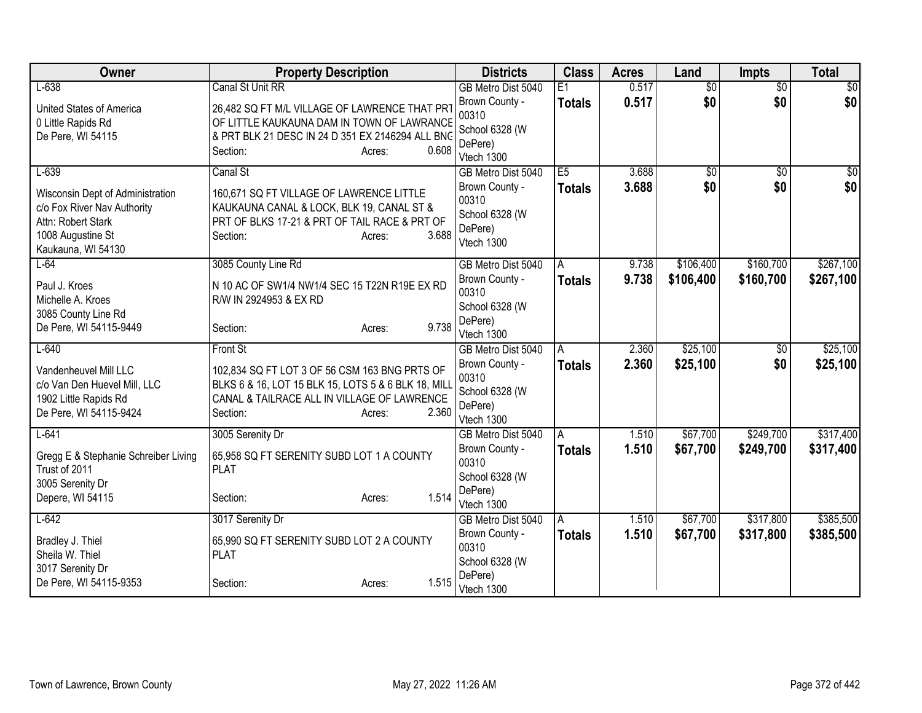| Owner                                                 | <b>Property Description</b>                                                                          | <b>Districts</b>          | <b>Class</b>    | <b>Acres</b> | Land            | <b>Impts</b>    | <b>Total</b>    |
|-------------------------------------------------------|------------------------------------------------------------------------------------------------------|---------------------------|-----------------|--------------|-----------------|-----------------|-----------------|
| $L-638$                                               | <b>Canal St Unit RR</b>                                                                              | GB Metro Dist 5040        | $\overline{E1}$ | 0.517        | $\overline{60}$ | $\overline{50}$ | \$0             |
| United States of America                              | 26,482 SQ FT M/L VILLAGE OF LAWRENCE THAT PRT                                                        | Brown County -            | <b>Totals</b>   | 0.517        | \$0             | \$0             | \$0             |
| 0 Little Rapids Rd                                    | OF LITTLE KAUKAUNA DAM IN TOWN OF LAWRANCE                                                           | 00310                     |                 |              |                 |                 |                 |
| De Pere, WI 54115                                     | & PRT BLK 21 DESC IN 24 D 351 EX 2146294 ALL BNG                                                     | School 6328 (W<br>DePere) |                 |              |                 |                 |                 |
|                                                       | 0.608<br>Section:<br>Acres:                                                                          | Vtech 1300                |                 |              |                 |                 |                 |
| $L-639$                                               | Canal St                                                                                             | GB Metro Dist 5040        | E5              | 3.688        | $\sqrt{6}$      | $\overline{50}$ | $\overline{50}$ |
| Wisconsin Dept of Administration                      | 160,671 SQ FT VILLAGE OF LAWRENCE LITTLE                                                             | Brown County -            | <b>Totals</b>   | 3.688        | \$0             | \$0             | \$0             |
| c/o Fox River Nav Authority                           | KAUKAUNA CANAL & LOCK, BLK 19, CANAL ST &                                                            | 00310                     |                 |              |                 |                 |                 |
| Attn: Robert Stark                                    | PRT OF BLKS 17-21 & PRT OF TAIL RACE & PRT OF                                                        | School 6328 (W            |                 |              |                 |                 |                 |
| 1008 Augustine St                                     | 3.688<br>Section:<br>Acres:                                                                          | DePere)                   |                 |              |                 |                 |                 |
| Kaukauna, WI 54130                                    |                                                                                                      | Vtech 1300                |                 |              |                 |                 |                 |
| $L-64$                                                | 3085 County Line Rd                                                                                  | GB Metro Dist 5040        | A               | 9.738        | \$106,400       | \$160,700       | \$267,100       |
| Paul J. Kroes                                         | N 10 AC OF SW1/4 NW1/4 SEC 15 T22N R19E EX RD                                                        | Brown County -            | <b>Totals</b>   | 9.738        | \$106,400       | \$160,700       | \$267,100       |
| Michelle A. Kroes                                     | R/W IN 2924953 & EX RD                                                                               | 00310                     |                 |              |                 |                 |                 |
| 3085 County Line Rd                                   |                                                                                                      | School 6328 (W            |                 |              |                 |                 |                 |
| De Pere, WI 54115-9449                                | 9.738<br>Section:<br>Acres:                                                                          | DePere)<br>Vtech 1300     |                 |              |                 |                 |                 |
| $L-640$                                               | <b>Front St</b>                                                                                      | GB Metro Dist 5040        | A               | 2.360        | \$25,100        | \$0             | \$25,100        |
|                                                       |                                                                                                      | Brown County -            | <b>Totals</b>   | 2.360        | \$25,100        | \$0             | \$25,100        |
| Vandenheuvel Mill LLC<br>c/o Van Den Huevel Mill, LLC | 102,834 SQ FT LOT 3 OF 56 CSM 163 BNG PRTS OF<br>BLKS 6 & 16, LOT 15 BLK 15, LOTS 5 & 6 BLK 18, MILL | 00310                     |                 |              |                 |                 |                 |
| 1902 Little Rapids Rd                                 | CANAL & TAILRACE ALL IN VILLAGE OF LAWRENCE                                                          | School 6328 (W            |                 |              |                 |                 |                 |
| De Pere, WI 54115-9424                                | 2.360<br>Section:<br>Acres:                                                                          | DePere)                   |                 |              |                 |                 |                 |
|                                                       |                                                                                                      | Vtech 1300                |                 |              |                 |                 |                 |
| $L-641$                                               | 3005 Serenity Dr                                                                                     | GB Metro Dist 5040        | A               | 1.510        | \$67,700        | \$249,700       | \$317,400       |
| Gregg E & Stephanie Schreiber Living                  | 65,958 SQ FT SERENITY SUBD LOT 1 A COUNTY                                                            | Brown County -<br>00310   | <b>Totals</b>   | 1.510        | \$67,700        | \$249,700       | \$317,400       |
| Trust of 2011                                         | <b>PLAT</b>                                                                                          | School 6328 (W            |                 |              |                 |                 |                 |
| 3005 Serenity Dr                                      |                                                                                                      | DePere)                   |                 |              |                 |                 |                 |
| Depere, WI 54115                                      | 1.514<br>Section:<br>Acres:                                                                          | Vtech 1300                |                 |              |                 |                 |                 |
| $L-642$                                               | 3017 Serenity Dr                                                                                     | GB Metro Dist 5040        | A               | 1.510        | \$67,700        | \$317,800       | \$385,500       |
| Bradley J. Thiel                                      | 65,990 SQ FT SERENITY SUBD LOT 2 A COUNTY                                                            | Brown County -            | <b>Totals</b>   | 1.510        | \$67,700        | \$317,800       | \$385,500       |
| Sheila W. Thiel                                       | <b>PLAT</b>                                                                                          | 00310                     |                 |              |                 |                 |                 |
| 3017 Serenity Dr                                      |                                                                                                      | School 6328 (W            |                 |              |                 |                 |                 |
| De Pere, WI 54115-9353                                | 1.515<br>Section:<br>Acres:                                                                          | DePere)<br>Vtech 1300     |                 |              |                 |                 |                 |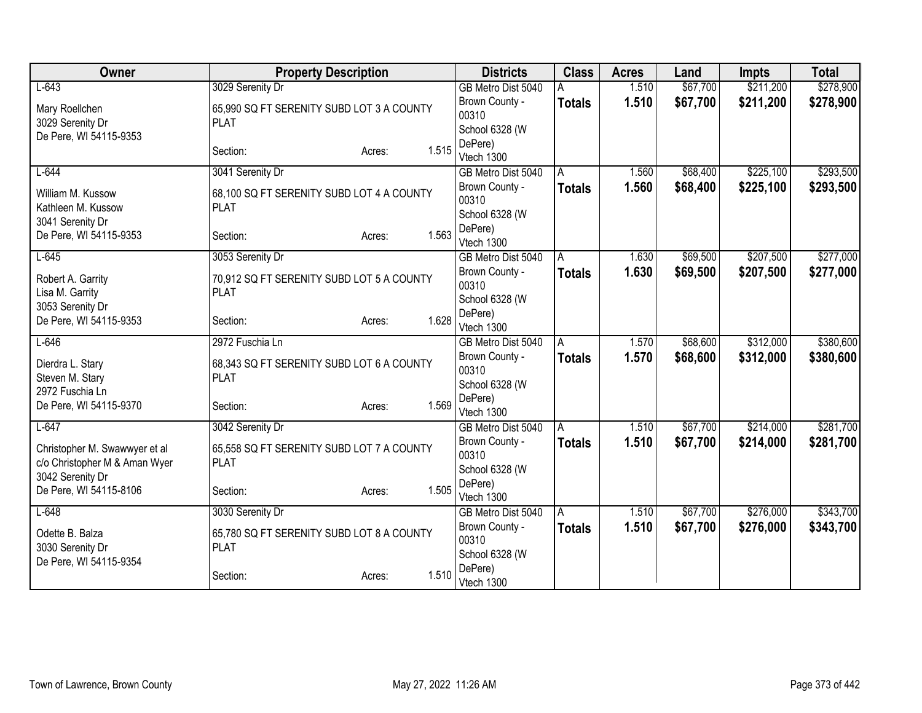| Owner                                      | <b>Property Description</b>               |                 | <b>Districts</b>          | <b>Class</b>  | <b>Acres</b> | Land     | <b>Impts</b> | <b>Total</b> |
|--------------------------------------------|-------------------------------------------|-----------------|---------------------------|---------------|--------------|----------|--------------|--------------|
| $L-643$                                    | 3029 Serenity Dr                          |                 | GB Metro Dist 5040        |               | 1.510        | \$67,700 | \$211,200    | \$278,900    |
| Mary Roellchen                             | 65,990 SQ FT SERENITY SUBD LOT 3 A COUNTY |                 | Brown County -            | <b>Totals</b> | 1.510        | \$67,700 | \$211,200    | \$278,900    |
| 3029 Serenity Dr                           | <b>PLAT</b>                               |                 | 00310                     |               |              |          |              |              |
| De Pere, WI 54115-9353                     |                                           |                 | School 6328 (W            |               |              |          |              |              |
|                                            | Section:                                  | 1.515<br>Acres: | DePere)<br>Vtech 1300     |               |              |          |              |              |
| $L-644$                                    | 3041 Serenity Dr                          |                 | GB Metro Dist 5040        | A             | 1.560        | \$68,400 | \$225,100    | \$293,500    |
|                                            |                                           |                 | Brown County -            | <b>Totals</b> | 1.560        | \$68,400 | \$225,100    | \$293,500    |
| William M. Kussow                          | 68,100 SQ FT SERENITY SUBD LOT 4 A COUNTY |                 | 00310                     |               |              |          |              |              |
| Kathleen M. Kussow                         | <b>PLAT</b>                               |                 | School 6328 (W            |               |              |          |              |              |
| 3041 Serenity Dr<br>De Pere, WI 54115-9353 | Section:                                  | 1.563<br>Acres: | DePere)                   |               |              |          |              |              |
|                                            |                                           |                 | Vtech 1300                |               |              |          |              |              |
| $L-645$                                    | 3053 Serenity Dr                          |                 | GB Metro Dist 5040        | A             | 1.630        | \$69,500 | \$207,500    | \$277,000    |
| Robert A. Garrity                          | 70,912 SQ FT SERENITY SUBD LOT 5 A COUNTY |                 | Brown County -            | <b>Totals</b> | 1.630        | \$69,500 | \$207,500    | \$277,000    |
| Lisa M. Garrity                            | <b>PLAT</b>                               |                 | 00310                     |               |              |          |              |              |
| 3053 Serenity Dr                           |                                           |                 | School 6328 (W<br>DePere) |               |              |          |              |              |
| De Pere, WI 54115-9353                     | Section:                                  | 1.628<br>Acres: | Vtech 1300                |               |              |          |              |              |
| $L-646$                                    | 2972 Fuschia Ln                           |                 | GB Metro Dist 5040        | A             | 1.570        | \$68,600 | \$312,000    | \$380,600    |
| Dierdra L. Stary                           | 68,343 SQ FT SERENITY SUBD LOT 6 A COUNTY |                 | Brown County -            | <b>Totals</b> | 1.570        | \$68,600 | \$312,000    | \$380,600    |
| Steven M. Stary                            | <b>PLAT</b>                               |                 | 00310                     |               |              |          |              |              |
| 2972 Fuschia Ln                            |                                           |                 | School 6328 (W            |               |              |          |              |              |
| De Pere, WI 54115-9370                     | Section:                                  | 1.569<br>Acres: | DePere)                   |               |              |          |              |              |
|                                            |                                           |                 | Vtech 1300                |               |              |          |              |              |
| $L-647$                                    | 3042 Serenity Dr                          |                 | GB Metro Dist 5040        | A             | 1.510        | \$67,700 | \$214,000    | \$281,700    |
| Christopher M. Swawwyer et al              | 65,558 SQ FT SERENITY SUBD LOT 7 A COUNTY |                 | Brown County -<br>00310   | <b>Totals</b> | 1.510        | \$67,700 | \$214,000    | \$281,700    |
| c/o Christopher M & Aman Wyer              | <b>PLAT</b>                               |                 | School 6328 (W            |               |              |          |              |              |
| 3042 Serenity Dr                           |                                           |                 | DePere)                   |               |              |          |              |              |
| De Pere, WI 54115-8106                     | Section:                                  | 1.505<br>Acres: | Vtech 1300                |               |              |          |              |              |
| $L-648$                                    | 3030 Serenity Dr                          |                 | GB Metro Dist 5040        | A             | 1.510        | \$67,700 | \$276,000    | \$343,700    |
| Odette B. Balza                            | 65,780 SQ FT SERENITY SUBD LOT 8 A COUNTY |                 | Brown County -            | Totals        | 1.510        | \$67,700 | \$276,000    | \$343,700    |
| 3030 Serenity Dr                           | <b>PLAT</b>                               |                 | 00310                     |               |              |          |              |              |
| De Pere, WI 54115-9354                     |                                           |                 | School 6328 (W            |               |              |          |              |              |
|                                            | Section:                                  | 1.510<br>Acres: | DePere)                   |               |              |          |              |              |
|                                            |                                           |                 | Vtech 1300                |               |              |          |              |              |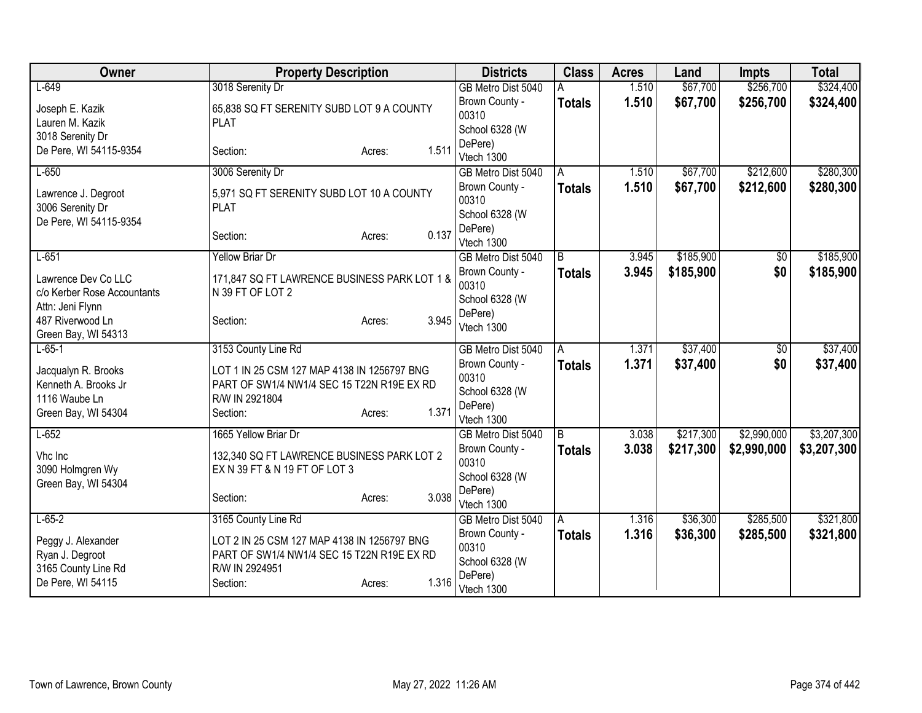| <b>Owner</b>                | <b>Property Description</b>                                                 |       | <b>Districts</b>                     | <b>Class</b>  | <b>Acres</b>   | Land      | Impts          | <b>Total</b> |
|-----------------------------|-----------------------------------------------------------------------------|-------|--------------------------------------|---------------|----------------|-----------|----------------|--------------|
| $L-649$                     | 3018 Serenity Dr                                                            |       | GB Metro Dist 5040                   |               | 1.510          | \$67,700  | \$256,700      | \$324,400    |
| Joseph E. Kazik             | 65,838 SQ FT SERENITY SUBD LOT 9 A COUNTY                                   |       | Brown County -                       | <b>Totals</b> | 1.510          | \$67,700  | \$256,700      | \$324,400    |
| Lauren M. Kazik             | <b>PLAT</b>                                                                 |       | 00310                                |               |                |           |                |              |
| 3018 Serenity Dr            |                                                                             |       | School 6328 (W<br>DePere)            |               |                |           |                |              |
| De Pere, WI 54115-9354      | Section:<br>Acres:                                                          | 1.511 | Vtech 1300                           |               |                |           |                |              |
| $L-650$                     | 3006 Serenity Dr                                                            |       | GB Metro Dist 5040                   | A             | 1.510          | \$67,700  | \$212,600      | \$280,300    |
| Lawrence J. Degroot         | 5,971 SQ FT SERENITY SUBD LOT 10 A COUNTY                                   |       | Brown County -                       | <b>Totals</b> | 1.510          | \$67,700  | \$212,600      | \$280,300    |
| 3006 Serenity Dr            | <b>PLAT</b>                                                                 |       | 00310                                |               |                |           |                |              |
| De Pere, WI 54115-9354      |                                                                             |       | School 6328 (W                       |               |                |           |                |              |
|                             | Section:<br>Acres:                                                          | 0.137 | DePere)<br>Vtech 1300                |               |                |           |                |              |
| $L-651$                     | <b>Yellow Briar Dr</b>                                                      |       | GB Metro Dist 5040                   | B             | 3.945          | \$185,900 | \$0            | \$185,900    |
| Lawrence Dev Co LLC         | 171,847 SQ FT LAWRENCE BUSINESS PARK LOT 1 &                                |       | Brown County -                       | <b>Totals</b> | 3.945          | \$185,900 | \$0            | \$185,900    |
| c/o Kerber Rose Accountants | N 39 FT OF LOT 2                                                            |       | 00310                                |               |                |           |                |              |
| Attn: Jeni Flynn            |                                                                             |       | School 6328 (W                       |               |                |           |                |              |
| 487 Riverwood Ln            | Section:<br>Acres:                                                          | 3.945 | DePere)                              |               |                |           |                |              |
| Green Bay, WI 54313         |                                                                             |       | Vtech 1300                           |               |                |           |                |              |
| $L - 65 - 1$                | 3153 County Line Rd                                                         |       | GB Metro Dist 5040                   | A             | 1.371          | \$37,400  | $\sqrt[6]{30}$ | \$37,400     |
| Jacqualyn R. Brooks         | LOT 1 IN 25 CSM 127 MAP 4138 IN 1256797 BNG                                 |       | Brown County -                       | <b>Totals</b> | 1.371          | \$37,400  | \$0            | \$37,400     |
| Kenneth A. Brooks Jr        | PART OF SW1/4 NW1/4 SEC 15 T22N R19E EX RD                                  |       | 00310                                |               |                |           |                |              |
| 1116 Waube Ln               | R/W IN 2921804                                                              |       | School 6328 (W<br>DePere)            |               |                |           |                |              |
| Green Bay, WI 54304         | Section:<br>Acres:                                                          | 1.371 | Vtech 1300                           |               |                |           |                |              |
| $L-652$                     | 1665 Yellow Briar Dr                                                        |       | GB Metro Dist 5040                   | l B           | 3.038          | \$217,300 | \$2,990,000    | \$3,207,300  |
| Vhc Inc                     |                                                                             |       | Brown County -                       | <b>Totals</b> | 3.038          | \$217,300 | \$2,990,000    | \$3,207,300  |
| 3090 Holmgren Wy            | 132,340 SQ FT LAWRENCE BUSINESS PARK LOT 2<br>EX N 39 FT & N 19 FT OF LOT 3 |       | 00310                                |               |                |           |                |              |
| Green Bay, WI 54304         |                                                                             |       | School 6328 (W                       |               |                |           |                |              |
|                             | Section:<br>Acres:                                                          | 3.038 | DePere)                              |               |                |           |                |              |
|                             |                                                                             |       | Vtech 1300                           |               |                |           |                |              |
| $L-65-2$                    | 3165 County Line Rd                                                         |       | GB Metro Dist 5040<br>Brown County - | A             | 1.316<br>1.316 | \$36,300  | \$285,500      | \$321,800    |
| Peggy J. Alexander          | LOT 2 IN 25 CSM 127 MAP 4138 IN 1256797 BNG                                 |       | 00310                                | <b>Totals</b> |                | \$36,300  | \$285,500      | \$321,800    |
| Ryan J. Degroot             | PART OF SW1/4 NW1/4 SEC 15 T22N R19E EX RD                                  |       | School 6328 (W                       |               |                |           |                |              |
| 3165 County Line Rd         | R/W IN 2924951                                                              |       | DePere)                              |               |                |           |                |              |
| De Pere, WI 54115           | Section:<br>Acres:                                                          | 1.316 | Vtech 1300                           |               |                |           |                |              |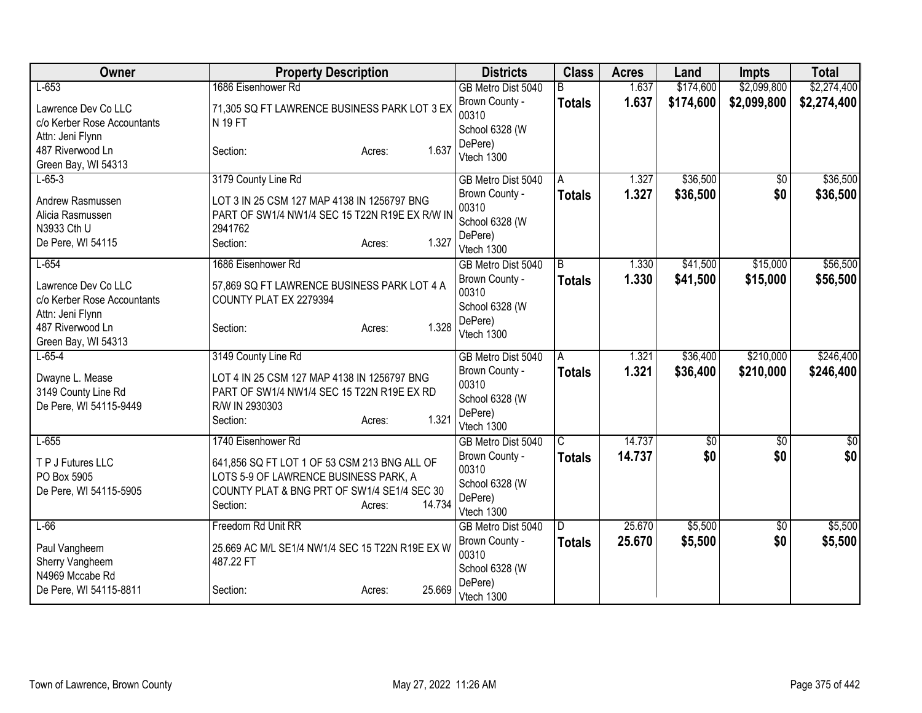| Owner                       | <b>Property Description</b>                     | <b>Districts</b>                     | <b>Class</b>  | <b>Acres</b> | Land            | <b>Impts</b>           | <b>Total</b>    |
|-----------------------------|-------------------------------------------------|--------------------------------------|---------------|--------------|-----------------|------------------------|-----------------|
| $L-653$                     | 1686 Eisenhower Rd                              | GB Metro Dist 5040                   | R.            | 1.637        | \$174,600       | \$2,099,800            | \$2,274,400     |
| Lawrence Dev Co LLC         | 71,305 SQ FT LAWRENCE BUSINESS PARK LOT 3 EX    | Brown County -                       | <b>Totals</b> | 1.637        | \$174,600       | \$2,099,800            | \$2,274,400     |
| c/o Kerber Rose Accountants | <b>N 19 FT</b>                                  | 00310                                |               |              |                 |                        |                 |
| Attn: Jeni Flynn            |                                                 | School 6328 (W                       |               |              |                 |                        |                 |
| 487 Riverwood Ln            | 1.637<br>Section:<br>Acres:                     | DePere)                              |               |              |                 |                        |                 |
| Green Bay, WI 54313         |                                                 | Vtech 1300                           |               |              |                 |                        |                 |
| $L-65-3$                    | 3179 County Line Rd                             | GB Metro Dist 5040                   | A             | 1.327        | \$36,500        | \$0                    | \$36,500        |
| Andrew Rasmussen            | LOT 3 IN 25 CSM 127 MAP 4138 IN 1256797 BNG     | Brown County -                       | <b>Totals</b> | 1.327        | \$36,500        | \$0                    | \$36,500        |
| Alicia Rasmussen            | PART OF SW1/4 NW1/4 SEC 15 T22N R19E EX R/W IN  | 00310                                |               |              |                 |                        |                 |
| N3933 Cth U                 | 2941762                                         | School 6328 (W                       |               |              |                 |                        |                 |
| De Pere, WI 54115           | 1.327<br>Section:<br>Acres:                     | DePere)                              |               |              |                 |                        |                 |
|                             |                                                 | Vtech 1300                           |               |              |                 |                        |                 |
| $L-654$                     | 1686 Eisenhower Rd                              | GB Metro Dist 5040                   | B             | 1.330        | \$41,500        | \$15,000               | \$56,500        |
| Lawrence Dev Co LLC         | 57,869 SQ FT LAWRENCE BUSINESS PARK LOT 4 A     | Brown County -                       | <b>Totals</b> | 1.330        | \$41,500        | \$15,000               | \$56,500        |
| c/o Kerber Rose Accountants | COUNTY PLAT EX 2279394                          | 00310                                |               |              |                 |                        |                 |
| Attn: Jeni Flynn            |                                                 | School 6328 (W                       |               |              |                 |                        |                 |
| 487 Riverwood Ln            | 1.328<br>Section:<br>Acres:                     | DePere)                              |               |              |                 |                        |                 |
| Green Bay, WI 54313         |                                                 | Vtech 1300                           |               |              |                 |                        |                 |
| $L-65-4$                    | 3149 County Line Rd                             | GB Metro Dist 5040                   | A             | 1.321        | \$36,400        | \$210,000              | \$246,400       |
| Dwayne L. Mease             | LOT 4 IN 25 CSM 127 MAP 4138 IN 1256797 BNG     | Brown County -                       | Totals        | 1.321        | \$36,400        | \$210,000              | \$246,400       |
| 3149 County Line Rd         | PART OF SW1/4 NW1/4 SEC 15 T22N R19E EX RD      | 00310                                |               |              |                 |                        |                 |
| De Pere, WI 54115-9449      | R/W IN 2930303                                  | School 6328 (W                       |               |              |                 |                        |                 |
|                             | 1.321<br>Section:<br>Acres:                     | DePere)                              |               |              |                 |                        |                 |
|                             |                                                 | Vtech 1300                           |               |              |                 |                        |                 |
| $L-655$                     | 1740 Eisenhower Rd                              | GB Metro Dist 5040                   | C             | 14.737       | $\overline{50}$ | $\overline{50}$        | $\overline{50}$ |
| T P J Futures LLC           | 641,856 SQ FT LOT 1 OF 53 CSM 213 BNG ALL OF    | Brown County -                       | <b>Totals</b> | 14.737       | \$0             | \$0                    | \$0             |
| PO Box 5905                 | LOTS 5-9 OF LAWRENCE BUSINESS PARK, A           | 00310                                |               |              |                 |                        |                 |
| De Pere, WI 54115-5905      | COUNTY PLAT & BNG PRT OF SW1/4 SE1/4 SEC 30     | School 6328 (W                       |               |              |                 |                        |                 |
|                             | 14.734<br>Section:<br>Acres:                    | DePere)                              |               |              |                 |                        |                 |
| $L-66$                      | Freedom Rd Unit RR                              | Vtech 1300                           |               | 25.670       | \$5,500         |                        | \$5,500         |
|                             |                                                 | GB Metro Dist 5040<br>Brown County - | ID.           | 25.670       |                 | $\overline{50}$<br>\$0 |                 |
| Paul Vangheem               | 25.669 AC M/L SE1/4 NW1/4 SEC 15 T22N R19E EX W | 00310                                | Totals        |              | \$5,500         |                        | \$5,500         |
| Sherry Vangheem             | 487.22 FT                                       | School 6328 (W                       |               |              |                 |                        |                 |
| N4969 Mccabe Rd             |                                                 | DePere)                              |               |              |                 |                        |                 |
| De Pere, WI 54115-8811      | 25.669<br>Section:<br>Acres:                    | Vtech 1300                           |               |              |                 |                        |                 |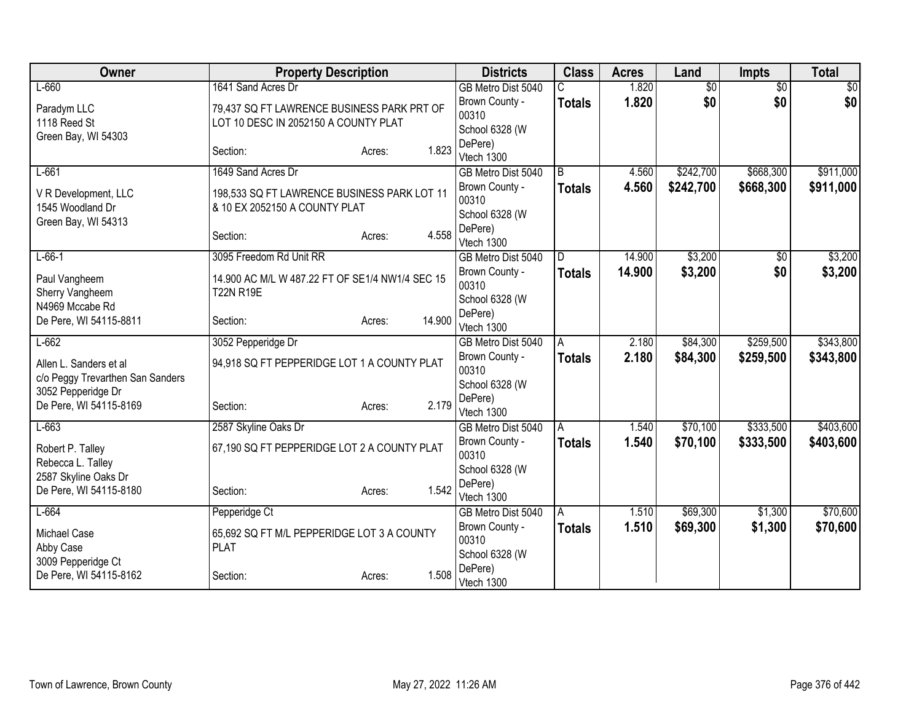| Owner                                     | <b>Property Description</b>                     |                  | <b>Districts</b>          | <b>Class</b>  | <b>Acres</b> | Land            | <b>Impts</b>    | <b>Total</b>   |
|-------------------------------------------|-------------------------------------------------|------------------|---------------------------|---------------|--------------|-----------------|-----------------|----------------|
| $L-660$                                   | 1641 Sand Acres Dr                              |                  | GB Metro Dist 5040        |               | 1.820        | $\overline{50}$ | $\overline{50}$ | $\frac{1}{20}$ |
| Paradym LLC                               | 79,437 SQ FT LAWRENCE BUSINESS PARK PRT OF      |                  | Brown County -            | <b>Totals</b> | 1.820        | \$0             | \$0             | \$0            |
| 1118 Reed St                              | LOT 10 DESC IN 2052150 A COUNTY PLAT            |                  | 00310                     |               |              |                 |                 |                |
| Green Bay, WI 54303                       |                                                 |                  | School 6328 (W<br>DePere) |               |              |                 |                 |                |
|                                           | Section:                                        | 1.823<br>Acres:  | Vtech 1300                |               |              |                 |                 |                |
| $L-661$                                   | 1649 Sand Acres Dr                              |                  | GB Metro Dist 5040        | B             | 4.560        | \$242,700       | \$668,300       | \$911,000      |
| V R Development, LLC                      | 198,533 SQ FT LAWRENCE BUSINESS PARK LOT 11     |                  | Brown County -            | <b>Totals</b> | 4.560        | \$242,700       | \$668,300       | \$911,000      |
| 1545 Woodland Dr                          | & 10 EX 2052150 A COUNTY PLAT                   |                  | 00310                     |               |              |                 |                 |                |
| Green Bay, WI 54313                       |                                                 |                  | School 6328 (W            |               |              |                 |                 |                |
|                                           | Section:                                        | 4.558<br>Acres:  | DePere)<br>Vtech 1300     |               |              |                 |                 |                |
| $L-66-1$                                  | 3095 Freedom Rd Unit RR                         |                  | GB Metro Dist 5040        | D.            | 14.900       | \$3,200         | \$0             | \$3,200        |
|                                           |                                                 |                  | Brown County -            | <b>Totals</b> | 14.900       | \$3,200         | \$0             | \$3,200        |
| Paul Vangheem                             | 14.900 AC M/L W 487.22 FT OF SE1/4 NW1/4 SEC 15 |                  | 00310                     |               |              |                 |                 |                |
| Sherry Vangheem                           | <b>T22N R19E</b>                                |                  | School 6328 (W            |               |              |                 |                 |                |
| N4969 Mccabe Rd<br>De Pere, WI 54115-8811 | Section:                                        | 14.900<br>Acres: | DePere)                   |               |              |                 |                 |                |
|                                           |                                                 |                  | Vtech 1300                |               |              |                 |                 |                |
| $L-662$                                   | 3052 Pepperidge Dr                              |                  | GB Metro Dist 5040        | Α             | 2.180        | \$84,300        | \$259,500       | \$343,800      |
| Allen L. Sanders et al                    | 94,918 SQ FT PEPPERIDGE LOT 1 A COUNTY PLAT     |                  | Brown County -<br>00310   | <b>Totals</b> | 2.180        | \$84,300        | \$259,500       | \$343,800      |
| c/o Peggy Trevarthen San Sanders          |                                                 |                  | School 6328 (W            |               |              |                 |                 |                |
| 3052 Pepperidge Dr                        |                                                 |                  | DePere)                   |               |              |                 |                 |                |
| De Pere, WI 54115-8169                    | Section:                                        | 2.179<br>Acres:  | Vtech 1300                |               |              |                 |                 |                |
| $L-663$                                   | 2587 Skyline Oaks Dr                            |                  | GB Metro Dist 5040        | Α             | 1.540        | \$70,100        | \$333,500       | \$403,600      |
| Robert P. Talley                          | 67,190 SQ FT PEPPERIDGE LOT 2 A COUNTY PLAT     |                  | Brown County -            | <b>Totals</b> | 1.540        | \$70,100        | \$333,500       | \$403,600      |
| Rebecca L. Talley                         |                                                 |                  | 00310                     |               |              |                 |                 |                |
| 2587 Skyline Oaks Dr                      |                                                 |                  | School 6328 (W            |               |              |                 |                 |                |
| De Pere, WI 54115-8180                    | Section:                                        | 1.542<br>Acres:  | DePere)<br>Vtech 1300     |               |              |                 |                 |                |
| $L-664$                                   | Pepperidge Ct                                   |                  | GB Metro Dist 5040        | A             | 1.510        | \$69,300        | \$1,300         | \$70,600       |
|                                           |                                                 |                  | Brown County -            | <b>Totals</b> | 1.510        | \$69,300        | \$1,300         | \$70,600       |
| Michael Case                              | 65,692 SQ FT M/L PEPPERIDGE LOT 3 A COUNTY      |                  | 00310                     |               |              |                 |                 |                |
| Abby Case<br>3009 Pepperidge Ct           | <b>PLAT</b>                                     |                  | School 6328 (W            |               |              |                 |                 |                |
| De Pere, WI 54115-8162                    | Section:                                        | 1.508<br>Acres:  | DePere)                   |               |              |                 |                 |                |
|                                           |                                                 |                  | Vtech 1300                |               |              |                 |                 |                |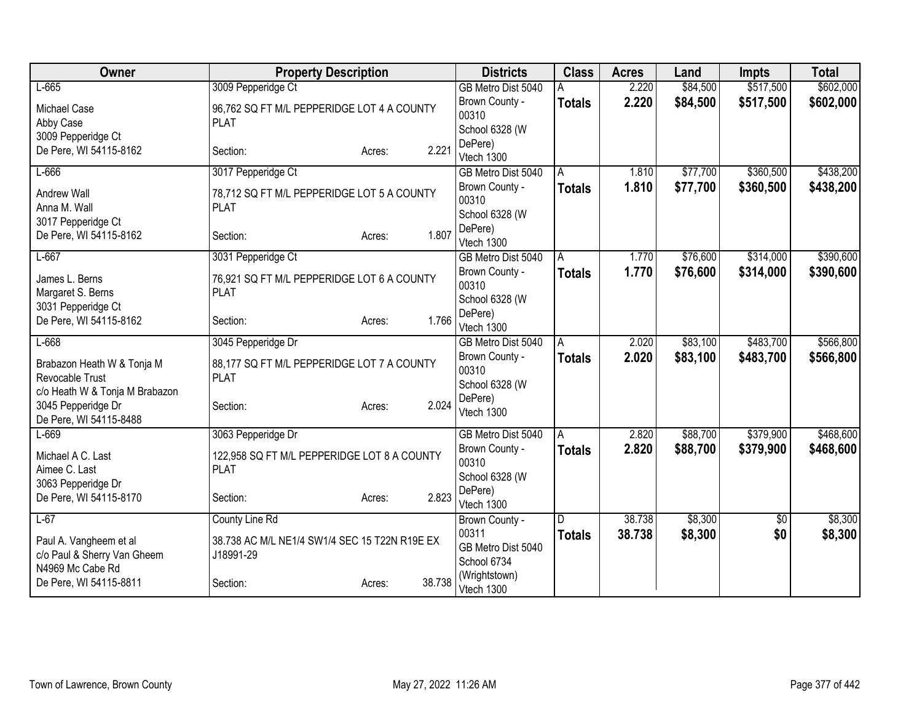| Owner                                                                           | <b>Property Description</b>                                                     |                  | <b>Districts</b>                                                | <b>Class</b>       | <b>Acres</b>   | Land                 | Impts                  | <b>Total</b>           |
|---------------------------------------------------------------------------------|---------------------------------------------------------------------------------|------------------|-----------------------------------------------------------------|--------------------|----------------|----------------------|------------------------|------------------------|
| $L-665$                                                                         | 3009 Pepperidge Ct                                                              |                  | GB Metro Dist 5040                                              |                    | 2.220          | \$84,500             | \$517,500              | \$602,000              |
| <b>Michael Case</b><br>Abby Case                                                | 96,762 SQ FT M/L PEPPERIDGE LOT 4 A COUNTY<br><b>PLAT</b>                       |                  | Brown County -<br>00310                                         | <b>Totals</b>      | 2.220          | \$84,500             | \$517,500              | \$602,000              |
| 3009 Pepperidge Ct<br>De Pere, WI 54115-8162                                    | Section:                                                                        | 2.221<br>Acres:  | School 6328 (W<br>DePere)<br>Vtech 1300                         |                    |                |                      |                        |                        |
| $L-666$                                                                         | 3017 Pepperidge Ct                                                              |                  | GB Metro Dist 5040                                              | A                  | 1.810          | \$77,700             | \$360,500              | \$438,200              |
| Andrew Wall<br>Anna M. Wall                                                     | 78,712 SQ FT M/L PEPPERIDGE LOT 5 A COUNTY<br><b>PLAT</b>                       |                  | Brown County -<br>00310<br>School 6328 (W                       | <b>Totals</b>      | 1.810          | \$77,700             | \$360,500              | \$438,200              |
| 3017 Pepperidge Ct<br>De Pere, WI 54115-8162                                    | Section:                                                                        | 1.807<br>Acres:  | DePere)<br>Vtech 1300                                           |                    |                |                      |                        |                        |
| $L-667$<br>James L. Berns<br>Margaret S. Berns<br>3031 Pepperidge Ct            | 3031 Pepperidge Ct<br>76,921 SQ FT M/L PEPPERIDGE LOT 6 A COUNTY<br><b>PLAT</b> |                  | GB Metro Dist 5040<br>Brown County -<br>00310<br>School 6328 (W | A<br><b>Totals</b> | 1.770<br>1.770 | \$76,600<br>\$76,600 | \$314,000<br>\$314,000 | \$390,600<br>\$390,600 |
| De Pere, WI 54115-8162                                                          | Section:                                                                        | 1.766<br>Acres:  | DePere)<br>Vtech 1300                                           |                    |                |                      |                        |                        |
| $L-668$                                                                         | 3045 Pepperidge Dr                                                              |                  | GB Metro Dist 5040                                              | A                  | 2.020          | \$83,100             | \$483,700              | \$566,800              |
| Brabazon Heath W & Tonja M<br>Revocable Trust<br>c/o Heath W & Tonja M Brabazon | 88,177 SQ FT M/L PEPPERIDGE LOT 7 A COUNTY<br><b>PLAT</b>                       |                  | Brown County -<br>00310<br>School 6328 (W                       | <b>Totals</b>      | 2.020          | \$83,100             | \$483,700              | \$566,800              |
| 3045 Pepperidge Dr<br>De Pere, WI 54115-8488                                    | Section:                                                                        | 2.024<br>Acres:  | DePere)<br>Vtech 1300                                           |                    |                |                      |                        |                        |
| $L-669$                                                                         | 3063 Pepperidge Dr                                                              |                  | GB Metro Dist 5040                                              | A                  | 2.820          | \$88,700             | \$379,900              | \$468,600              |
| Michael A C. Last<br>Aimee C. Last<br>3063 Pepperidge Dr                        | 122,958 SQ FT M/L PEPPERIDGE LOT 8 A COUNTY<br><b>PLAT</b>                      |                  | Brown County -<br>00310<br>School 6328 (W                       | <b>Totals</b>      | 2.820          | \$88,700             | \$379,900              | \$468,600              |
| De Pere, WI 54115-8170                                                          | Section:                                                                        | 2.823<br>Acres:  | DePere)<br>Vtech 1300                                           |                    |                |                      |                        |                        |
| $L-67$                                                                          | <b>County Line Rd</b>                                                           |                  | Brown County -                                                  | D                  | 38.738         | \$8,300              | $\overline{50}$        | \$8,300                |
| Paul A. Vangheem et al<br>c/o Paul & Sherry Van Gheem<br>N4969 Mc Cabe Rd       | 38.738 AC M/L NE1/4 SW1/4 SEC 15 T22N R19E EX<br>J18991-29                      |                  | 00311<br>GB Metro Dist 5040<br>School 6734                      | <b>Totals</b>      | 38.738         | \$8,300              | \$0                    | \$8,300                |
| De Pere, WI 54115-8811                                                          | Section:                                                                        | 38.738<br>Acres: | (Wrightstown)<br>Vtech 1300                                     |                    |                |                      |                        |                        |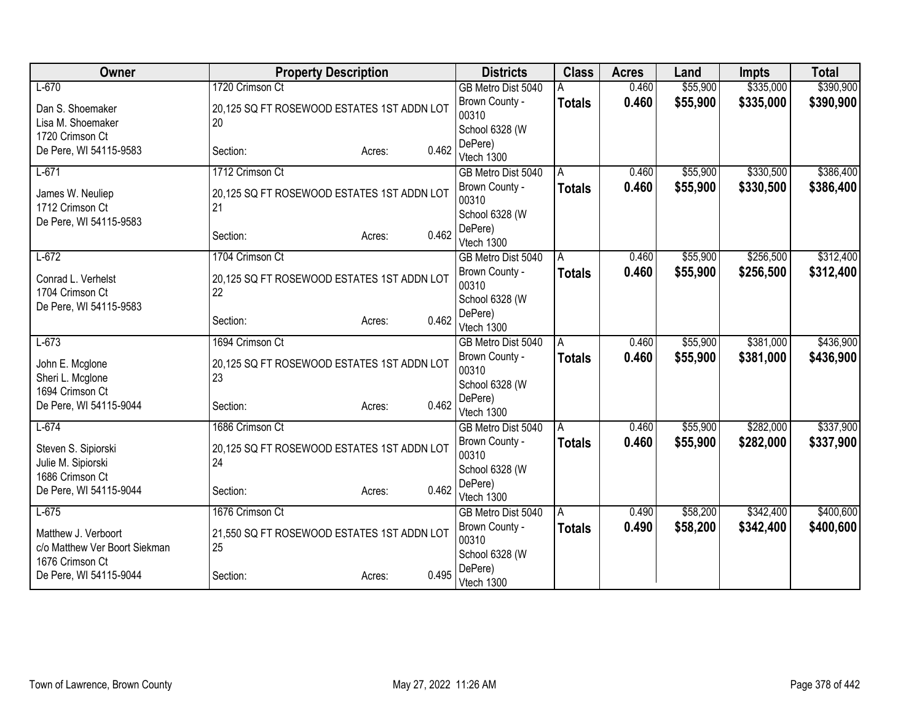| Owner                                     | <b>Property Description</b>                      |                 | <b>Districts</b>                     | <b>Class</b>  | <b>Acres</b> | Land     | <b>Impts</b> | <b>Total</b> |
|-------------------------------------------|--------------------------------------------------|-----------------|--------------------------------------|---------------|--------------|----------|--------------|--------------|
| $L-670$                                   | 1720 Crimson Ct                                  |                 | GB Metro Dist 5040                   |               | 0.460        | \$55,900 | \$335,000    | \$390,900    |
| Dan S. Shoemaker                          | 20,125 SQ FT ROSEWOOD ESTATES 1ST ADDN LOT       |                 | Brown County -                       | <b>Totals</b> | 0.460        | \$55,900 | \$335,000    | \$390,900    |
| Lisa M. Shoemaker                         | 20                                               |                 | 00310                                |               |              |          |              |              |
| 1720 Crimson Ct                           |                                                  |                 | School 6328 (W<br>DePere)            |               |              |          |              |              |
| De Pere, WI 54115-9583                    | Section:                                         | 0.462<br>Acres: | Vtech 1300                           |               |              |          |              |              |
| $L-671$                                   | 1712 Crimson Ct                                  |                 | GB Metro Dist 5040                   | A             | 0.460        | \$55,900 | \$330,500    | \$386,400    |
|                                           |                                                  |                 | Brown County -                       | <b>Totals</b> | 0.460        | \$55,900 | \$330,500    | \$386,400    |
| James W. Neuliep<br>1712 Crimson Ct       | 20,125 SQ FT ROSEWOOD ESTATES 1ST ADDN LOT<br>21 |                 | 00310                                |               |              |          |              |              |
| De Pere, WI 54115-9583                    |                                                  |                 | School 6328 (W                       |               |              |          |              |              |
|                                           | Section:                                         | 0.462<br>Acres: | DePere)                              |               |              |          |              |              |
| $L-672$                                   | 1704 Crimson Ct                                  |                 | Vtech 1300                           |               | 0.460        | \$55,900 | \$256,500    |              |
|                                           |                                                  |                 | GB Metro Dist 5040<br>Brown County - | A             | 0.460        | \$55,900 | \$256,500    | \$312,400    |
| Conrad L. Verhelst                        | 20,125 SQ FT ROSEWOOD ESTATES 1ST ADDN LOT       |                 | 00310                                | <b>Totals</b> |              |          |              | \$312,400    |
| 1704 Crimson Ct                           | 22                                               |                 | School 6328 (W                       |               |              |          |              |              |
| De Pere, WI 54115-9583                    |                                                  |                 | DePere)                              |               |              |          |              |              |
|                                           | Section:                                         | 0.462<br>Acres: | Vtech 1300                           |               |              |          |              |              |
| $L-673$                                   | 1694 Crimson Ct                                  |                 | GB Metro Dist 5040                   | A             | 0.460        | \$55,900 | \$381,000    | \$436,900    |
| John E. Mcglone                           | 20,125 SQ FT ROSEWOOD ESTATES 1ST ADDN LOT       |                 | Brown County -                       | <b>Totals</b> | 0.460        | \$55,900 | \$381,000    | \$436,900    |
| Sheri L. Mcglone                          | 23                                               |                 | 00310                                |               |              |          |              |              |
| 1694 Crimson Ct                           |                                                  |                 | School 6328 (W<br>DePere)            |               |              |          |              |              |
| De Pere, WI 54115-9044                    | Section:                                         | 0.462<br>Acres: | Vtech 1300                           |               |              |          |              |              |
| $L-674$                                   | 1686 Crimson Ct                                  |                 | GB Metro Dist 5040                   | A             | 0.460        | \$55,900 | \$282,000    | \$337,900    |
|                                           |                                                  |                 | Brown County -                       | <b>Totals</b> | 0.460        | \$55,900 | \$282,000    | \$337,900    |
| Steven S. Sipiorski<br>Julie M. Sipiorski | 20,125 SQ FT ROSEWOOD ESTATES 1ST ADDN LOT<br>24 |                 | 00310                                |               |              |          |              |              |
| 1686 Crimson Ct                           |                                                  |                 | School 6328 (W                       |               |              |          |              |              |
| De Pere, WI 54115-9044                    | Section:                                         | 0.462<br>Acres: | DePere)                              |               |              |          |              |              |
|                                           |                                                  |                 | Vtech 1300                           |               |              |          |              |              |
| $L-675$                                   | 1676 Crimson Ct                                  |                 | GB Metro Dist 5040<br>Brown County - | A             | 0.490        | \$58,200 | \$342,400    | \$400,600    |
| Matthew J. Verboort                       | 21,550 SQ FT ROSEWOOD ESTATES 1ST ADDN LOT       |                 | 00310                                | <b>Totals</b> | 0.490        | \$58,200 | \$342,400    | \$400,600    |
| c/o Matthew Ver Boort Siekman             | 25                                               |                 | School 6328 (W                       |               |              |          |              |              |
| 1676 Crimson Ct                           |                                                  |                 | DePere)                              |               |              |          |              |              |
| De Pere, WI 54115-9044                    | Section:                                         | 0.495<br>Acres: | Vtech 1300                           |               |              |          |              |              |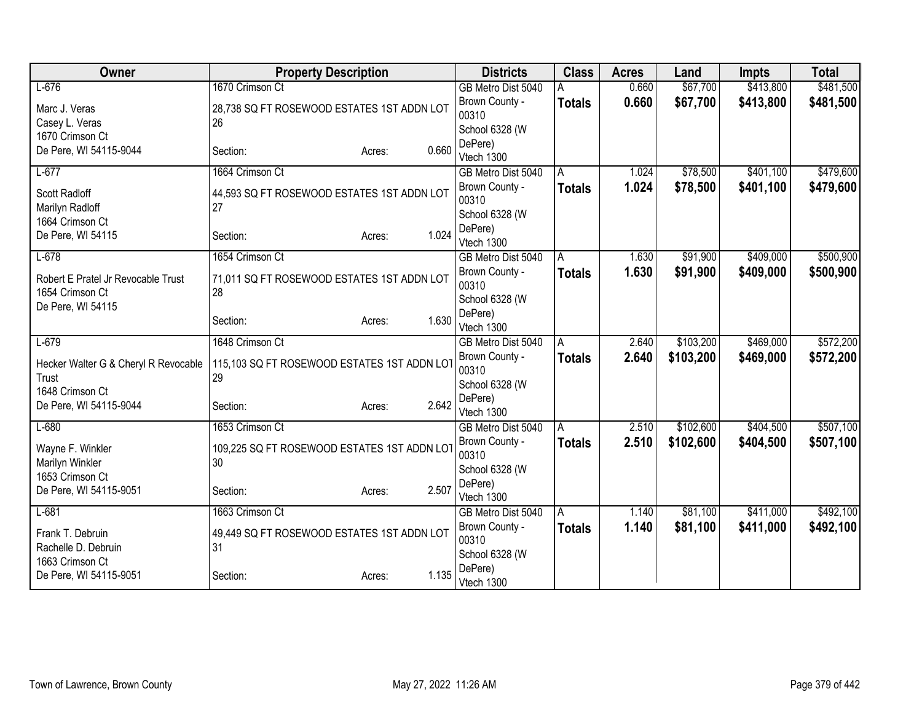| $L-676$<br>1670 Crimson Ct<br>\$67,700<br>\$481,500<br>\$413,800<br>GB Metro Dist 5040<br>0.660<br>0.660<br>\$67,700<br>\$413,800<br>Brown County -<br>\$481,500<br><b>Totals</b><br>Marc J. Veras<br>28,738 SQ FT ROSEWOOD ESTATES 1ST ADDN LOT<br>00310<br>26<br>Casey L. Veras<br>School 6328 (W<br>1670 Crimson Ct<br>DePere)<br>De Pere, WI 54115-9044<br>0.660<br>Section:<br>Acres:<br>Vtech 1300<br>$L-677$<br>1664 Crimson Ct<br>\$78,500<br>\$401,100<br>1.024<br>GB Metro Dist 5040<br>A<br>1.024<br>\$78,500<br>\$401,100<br>Brown County -<br><b>Totals</b><br>Scott Radloff<br>44,593 SQ FT ROSEWOOD ESTATES 1ST ADDN LOT<br>00310<br>27<br>Marilyn Radloff<br>School 6328 (W<br>1664 Crimson Ct<br>DePere)<br>1.024<br>De Pere, WI 54115<br>Section:<br>Acres:<br>Vtech 1300<br>\$409,000<br>$L-678$<br>1654 Crimson Ct<br>\$91,900<br>GB Metro Dist 5040<br>1.630<br>A<br>1.630<br>Brown County -<br>\$91,900<br>\$409,000<br><b>Totals</b><br>Robert E Pratel Jr Revocable Trust<br>71,011 SQ FT ROSEWOOD ESTATES 1ST ADDN LOT<br>00310<br>28<br>1654 Crimson Ct<br>School 6328 (W<br>De Pere, WI 54115<br>DePere)<br>1.630<br>Section:<br>Acres:<br>Vtech 1300<br>\$469,000<br>$L-679$<br>1648 Crimson Ct<br>\$103,200<br>2.640<br>GB Metro Dist 5040<br>A<br>2.640<br>Brown County -<br>\$103,200<br>\$469,000<br><b>Totals</b><br>115,103 SQ FT ROSEWOOD ESTATES 1ST ADDN LOT<br>Hecker Walter G & Cheryl R Revocable<br>00310<br>29<br>Trust<br>School 6328 (W<br>1648 Crimson Ct<br>DePere)<br>2.642<br>De Pere, WI 54115-9044<br>Section:<br>Acres:<br>Vtech 1300<br>1653 Crimson Ct<br>\$102,600<br>\$404,500<br>$L-680$<br>2.510<br>GB Metro Dist 5040<br>A<br>2.510<br>\$102,600<br>\$404,500<br>Brown County -<br><b>Totals</b><br>Wayne F. Winkler<br>109,225 SQ FT ROSEWOOD ESTATES 1ST ADDN LOT<br>00310<br>30<br>Marilyn Winkler<br>School 6328 (W<br>1653 Crimson Ct<br>DePere)<br>2.507<br>De Pere, WI 54115-9051<br>Section:<br>Acres:<br>Vtech 1300<br>1663 Crimson Ct<br>\$81,100<br>\$411,000<br>$L-681$<br>GB Metro Dist 5040<br>1.140<br>A<br>Brown County -<br>1.140<br>\$81,100<br>\$411,000<br><b>Totals</b><br>Frank T. Debruin<br>49,449 SQ FT ROSEWOOD ESTATES 1ST ADDN LOT<br>00310<br>Rachelle D. Debruin<br>31<br>School 6328 (W<br>1663 Crimson Ct<br>DePere)<br>1.135<br>De Pere, WI 54115-9051<br>Section:<br>Acres:<br>Vtech 1300 | Owner | <b>Property Description</b> | <b>Districts</b> | <b>Class</b> | <b>Acres</b> | Land | <b>Impts</b> | <b>Total</b> |
|---------------------------------------------------------------------------------------------------------------------------------------------------------------------------------------------------------------------------------------------------------------------------------------------------------------------------------------------------------------------------------------------------------------------------------------------------------------------------------------------------------------------------------------------------------------------------------------------------------------------------------------------------------------------------------------------------------------------------------------------------------------------------------------------------------------------------------------------------------------------------------------------------------------------------------------------------------------------------------------------------------------------------------------------------------------------------------------------------------------------------------------------------------------------------------------------------------------------------------------------------------------------------------------------------------------------------------------------------------------------------------------------------------------------------------------------------------------------------------------------------------------------------------------------------------------------------------------------------------------------------------------------------------------------------------------------------------------------------------------------------------------------------------------------------------------------------------------------------------------------------------------------------------------------------------------------------------------------------------------------------------------------------------------------------------------------------------------------------------------------------------------------------------------------------------------------------------------------------------------------------------------------------------------------------------------------------------------------------------------------------------------|-------|-----------------------------|------------------|--------------|--------------|------|--------------|--------------|
|                                                                                                                                                                                                                                                                                                                                                                                                                                                                                                                                                                                                                                                                                                                                                                                                                                                                                                                                                                                                                                                                                                                                                                                                                                                                                                                                                                                                                                                                                                                                                                                                                                                                                                                                                                                                                                                                                                                                                                                                                                                                                                                                                                                                                                                                                                                                                                                       |       |                             |                  |              |              |      |              |              |
|                                                                                                                                                                                                                                                                                                                                                                                                                                                                                                                                                                                                                                                                                                                                                                                                                                                                                                                                                                                                                                                                                                                                                                                                                                                                                                                                                                                                                                                                                                                                                                                                                                                                                                                                                                                                                                                                                                                                                                                                                                                                                                                                                                                                                                                                                                                                                                                       |       |                             |                  |              |              |      |              |              |
| \$479,600<br>\$479,600<br>\$500,900<br>\$572,200<br>\$572,200                                                                                                                                                                                                                                                                                                                                                                                                                                                                                                                                                                                                                                                                                                                                                                                                                                                                                                                                                                                                                                                                                                                                                                                                                                                                                                                                                                                                                                                                                                                                                                                                                                                                                                                                                                                                                                                                                                                                                                                                                                                                                                                                                                                                                                                                                                                         |       |                             |                  |              |              |      |              |              |
|                                                                                                                                                                                                                                                                                                                                                                                                                                                                                                                                                                                                                                                                                                                                                                                                                                                                                                                                                                                                                                                                                                                                                                                                                                                                                                                                                                                                                                                                                                                                                                                                                                                                                                                                                                                                                                                                                                                                                                                                                                                                                                                                                                                                                                                                                                                                                                                       |       |                             |                  |              |              |      |              |              |
|                                                                                                                                                                                                                                                                                                                                                                                                                                                                                                                                                                                                                                                                                                                                                                                                                                                                                                                                                                                                                                                                                                                                                                                                                                                                                                                                                                                                                                                                                                                                                                                                                                                                                                                                                                                                                                                                                                                                                                                                                                                                                                                                                                                                                                                                                                                                                                                       |       |                             |                  |              |              |      |              |              |
|                                                                                                                                                                                                                                                                                                                                                                                                                                                                                                                                                                                                                                                                                                                                                                                                                                                                                                                                                                                                                                                                                                                                                                                                                                                                                                                                                                                                                                                                                                                                                                                                                                                                                                                                                                                                                                                                                                                                                                                                                                                                                                                                                                                                                                                                                                                                                                                       |       |                             |                  |              |              |      |              |              |
|                                                                                                                                                                                                                                                                                                                                                                                                                                                                                                                                                                                                                                                                                                                                                                                                                                                                                                                                                                                                                                                                                                                                                                                                                                                                                                                                                                                                                                                                                                                                                                                                                                                                                                                                                                                                                                                                                                                                                                                                                                                                                                                                                                                                                                                                                                                                                                                       |       |                             |                  |              |              |      |              |              |
| \$500,900<br>\$507,100<br>\$507,100<br>\$492,100<br>\$492,100                                                                                                                                                                                                                                                                                                                                                                                                                                                                                                                                                                                                                                                                                                                                                                                                                                                                                                                                                                                                                                                                                                                                                                                                                                                                                                                                                                                                                                                                                                                                                                                                                                                                                                                                                                                                                                                                                                                                                                                                                                                                                                                                                                                                                                                                                                                         |       |                             |                  |              |              |      |              |              |
|                                                                                                                                                                                                                                                                                                                                                                                                                                                                                                                                                                                                                                                                                                                                                                                                                                                                                                                                                                                                                                                                                                                                                                                                                                                                                                                                                                                                                                                                                                                                                                                                                                                                                                                                                                                                                                                                                                                                                                                                                                                                                                                                                                                                                                                                                                                                                                                       |       |                             |                  |              |              |      |              |              |
|                                                                                                                                                                                                                                                                                                                                                                                                                                                                                                                                                                                                                                                                                                                                                                                                                                                                                                                                                                                                                                                                                                                                                                                                                                                                                                                                                                                                                                                                                                                                                                                                                                                                                                                                                                                                                                                                                                                                                                                                                                                                                                                                                                                                                                                                                                                                                                                       |       |                             |                  |              |              |      |              |              |
|                                                                                                                                                                                                                                                                                                                                                                                                                                                                                                                                                                                                                                                                                                                                                                                                                                                                                                                                                                                                                                                                                                                                                                                                                                                                                                                                                                                                                                                                                                                                                                                                                                                                                                                                                                                                                                                                                                                                                                                                                                                                                                                                                                                                                                                                                                                                                                                       |       |                             |                  |              |              |      |              |              |
|                                                                                                                                                                                                                                                                                                                                                                                                                                                                                                                                                                                                                                                                                                                                                                                                                                                                                                                                                                                                                                                                                                                                                                                                                                                                                                                                                                                                                                                                                                                                                                                                                                                                                                                                                                                                                                                                                                                                                                                                                                                                                                                                                                                                                                                                                                                                                                                       |       |                             |                  |              |              |      |              |              |
|                                                                                                                                                                                                                                                                                                                                                                                                                                                                                                                                                                                                                                                                                                                                                                                                                                                                                                                                                                                                                                                                                                                                                                                                                                                                                                                                                                                                                                                                                                                                                                                                                                                                                                                                                                                                                                                                                                                                                                                                                                                                                                                                                                                                                                                                                                                                                                                       |       |                             |                  |              |              |      |              |              |
|                                                                                                                                                                                                                                                                                                                                                                                                                                                                                                                                                                                                                                                                                                                                                                                                                                                                                                                                                                                                                                                                                                                                                                                                                                                                                                                                                                                                                                                                                                                                                                                                                                                                                                                                                                                                                                                                                                                                                                                                                                                                                                                                                                                                                                                                                                                                                                                       |       |                             |                  |              |              |      |              |              |
|                                                                                                                                                                                                                                                                                                                                                                                                                                                                                                                                                                                                                                                                                                                                                                                                                                                                                                                                                                                                                                                                                                                                                                                                                                                                                                                                                                                                                                                                                                                                                                                                                                                                                                                                                                                                                                                                                                                                                                                                                                                                                                                                                                                                                                                                                                                                                                                       |       |                             |                  |              |              |      |              |              |
|                                                                                                                                                                                                                                                                                                                                                                                                                                                                                                                                                                                                                                                                                                                                                                                                                                                                                                                                                                                                                                                                                                                                                                                                                                                                                                                                                                                                                                                                                                                                                                                                                                                                                                                                                                                                                                                                                                                                                                                                                                                                                                                                                                                                                                                                                                                                                                                       |       |                             |                  |              |              |      |              |              |
|                                                                                                                                                                                                                                                                                                                                                                                                                                                                                                                                                                                                                                                                                                                                                                                                                                                                                                                                                                                                                                                                                                                                                                                                                                                                                                                                                                                                                                                                                                                                                                                                                                                                                                                                                                                                                                                                                                                                                                                                                                                                                                                                                                                                                                                                                                                                                                                       |       |                             |                  |              |              |      |              |              |
|                                                                                                                                                                                                                                                                                                                                                                                                                                                                                                                                                                                                                                                                                                                                                                                                                                                                                                                                                                                                                                                                                                                                                                                                                                                                                                                                                                                                                                                                                                                                                                                                                                                                                                                                                                                                                                                                                                                                                                                                                                                                                                                                                                                                                                                                                                                                                                                       |       |                             |                  |              |              |      |              |              |
|                                                                                                                                                                                                                                                                                                                                                                                                                                                                                                                                                                                                                                                                                                                                                                                                                                                                                                                                                                                                                                                                                                                                                                                                                                                                                                                                                                                                                                                                                                                                                                                                                                                                                                                                                                                                                                                                                                                                                                                                                                                                                                                                                                                                                                                                                                                                                                                       |       |                             |                  |              |              |      |              |              |
|                                                                                                                                                                                                                                                                                                                                                                                                                                                                                                                                                                                                                                                                                                                                                                                                                                                                                                                                                                                                                                                                                                                                                                                                                                                                                                                                                                                                                                                                                                                                                                                                                                                                                                                                                                                                                                                                                                                                                                                                                                                                                                                                                                                                                                                                                                                                                                                       |       |                             |                  |              |              |      |              |              |
|                                                                                                                                                                                                                                                                                                                                                                                                                                                                                                                                                                                                                                                                                                                                                                                                                                                                                                                                                                                                                                                                                                                                                                                                                                                                                                                                                                                                                                                                                                                                                                                                                                                                                                                                                                                                                                                                                                                                                                                                                                                                                                                                                                                                                                                                                                                                                                                       |       |                             |                  |              |              |      |              |              |
|                                                                                                                                                                                                                                                                                                                                                                                                                                                                                                                                                                                                                                                                                                                                                                                                                                                                                                                                                                                                                                                                                                                                                                                                                                                                                                                                                                                                                                                                                                                                                                                                                                                                                                                                                                                                                                                                                                                                                                                                                                                                                                                                                                                                                                                                                                                                                                                       |       |                             |                  |              |              |      |              |              |
|                                                                                                                                                                                                                                                                                                                                                                                                                                                                                                                                                                                                                                                                                                                                                                                                                                                                                                                                                                                                                                                                                                                                                                                                                                                                                                                                                                                                                                                                                                                                                                                                                                                                                                                                                                                                                                                                                                                                                                                                                                                                                                                                                                                                                                                                                                                                                                                       |       |                             |                  |              |              |      |              |              |
|                                                                                                                                                                                                                                                                                                                                                                                                                                                                                                                                                                                                                                                                                                                                                                                                                                                                                                                                                                                                                                                                                                                                                                                                                                                                                                                                                                                                                                                                                                                                                                                                                                                                                                                                                                                                                                                                                                                                                                                                                                                                                                                                                                                                                                                                                                                                                                                       |       |                             |                  |              |              |      |              |              |
|                                                                                                                                                                                                                                                                                                                                                                                                                                                                                                                                                                                                                                                                                                                                                                                                                                                                                                                                                                                                                                                                                                                                                                                                                                                                                                                                                                                                                                                                                                                                                                                                                                                                                                                                                                                                                                                                                                                                                                                                                                                                                                                                                                                                                                                                                                                                                                                       |       |                             |                  |              |              |      |              |              |
|                                                                                                                                                                                                                                                                                                                                                                                                                                                                                                                                                                                                                                                                                                                                                                                                                                                                                                                                                                                                                                                                                                                                                                                                                                                                                                                                                                                                                                                                                                                                                                                                                                                                                                                                                                                                                                                                                                                                                                                                                                                                                                                                                                                                                                                                                                                                                                                       |       |                             |                  |              |              |      |              |              |
|                                                                                                                                                                                                                                                                                                                                                                                                                                                                                                                                                                                                                                                                                                                                                                                                                                                                                                                                                                                                                                                                                                                                                                                                                                                                                                                                                                                                                                                                                                                                                                                                                                                                                                                                                                                                                                                                                                                                                                                                                                                                                                                                                                                                                                                                                                                                                                                       |       |                             |                  |              |              |      |              |              |
|                                                                                                                                                                                                                                                                                                                                                                                                                                                                                                                                                                                                                                                                                                                                                                                                                                                                                                                                                                                                                                                                                                                                                                                                                                                                                                                                                                                                                                                                                                                                                                                                                                                                                                                                                                                                                                                                                                                                                                                                                                                                                                                                                                                                                                                                                                                                                                                       |       |                             |                  |              |              |      |              |              |
|                                                                                                                                                                                                                                                                                                                                                                                                                                                                                                                                                                                                                                                                                                                                                                                                                                                                                                                                                                                                                                                                                                                                                                                                                                                                                                                                                                                                                                                                                                                                                                                                                                                                                                                                                                                                                                                                                                                                                                                                                                                                                                                                                                                                                                                                                                                                                                                       |       |                             |                  |              |              |      |              |              |
|                                                                                                                                                                                                                                                                                                                                                                                                                                                                                                                                                                                                                                                                                                                                                                                                                                                                                                                                                                                                                                                                                                                                                                                                                                                                                                                                                                                                                                                                                                                                                                                                                                                                                                                                                                                                                                                                                                                                                                                                                                                                                                                                                                                                                                                                                                                                                                                       |       |                             |                  |              |              |      |              |              |
|                                                                                                                                                                                                                                                                                                                                                                                                                                                                                                                                                                                                                                                                                                                                                                                                                                                                                                                                                                                                                                                                                                                                                                                                                                                                                                                                                                                                                                                                                                                                                                                                                                                                                                                                                                                                                                                                                                                                                                                                                                                                                                                                                                                                                                                                                                                                                                                       |       |                             |                  |              |              |      |              |              |
|                                                                                                                                                                                                                                                                                                                                                                                                                                                                                                                                                                                                                                                                                                                                                                                                                                                                                                                                                                                                                                                                                                                                                                                                                                                                                                                                                                                                                                                                                                                                                                                                                                                                                                                                                                                                                                                                                                                                                                                                                                                                                                                                                                                                                                                                                                                                                                                       |       |                             |                  |              |              |      |              |              |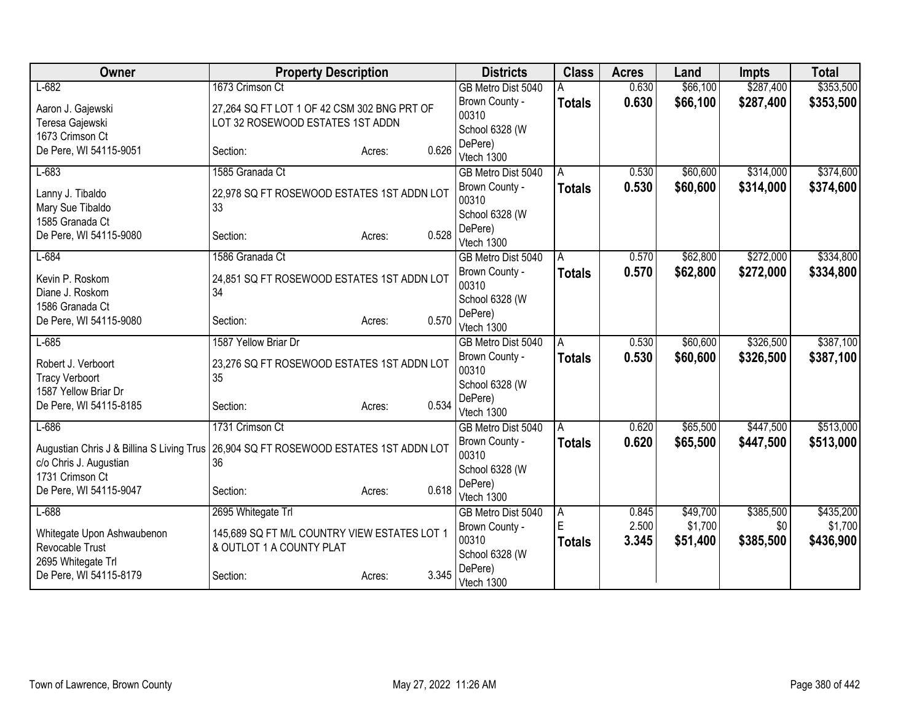| Owner                                                                                | <b>Property Description</b>                  |                 | <b>Districts</b>                 | <b>Class</b>  | <b>Acres</b> | Land     | <b>Impts</b> | <b>Total</b> |
|--------------------------------------------------------------------------------------|----------------------------------------------|-----------------|----------------------------------|---------------|--------------|----------|--------------|--------------|
| $L-682$                                                                              | 1673 Crimson Ct                              |                 | GB Metro Dist 5040               |               | 0.630        | \$66,100 | \$287,400    | \$353,500    |
| Aaron J. Gajewski                                                                    | 27,264 SQ FT LOT 1 OF 42 CSM 302 BNG PRT OF  |                 | Brown County -                   | <b>Totals</b> | 0.630        | \$66,100 | \$287,400    | \$353,500    |
| Teresa Gajewski                                                                      | LOT 32 ROSEWOOD ESTATES 1ST ADDN             |                 | 00310                            |               |              |          |              |              |
| 1673 Crimson Ct                                                                      |                                              |                 | School 6328 (W                   |               |              |          |              |              |
| De Pere, WI 54115-9051                                                               | Section:                                     | 0.626<br>Acres: | DePere)<br>Vtech 1300            |               |              |          |              |              |
| $L-683$                                                                              | 1585 Granada Ct                              |                 | GB Metro Dist 5040               | A             | 0.530        | \$60,600 | \$314,000    | \$374,600    |
|                                                                                      |                                              |                 | Brown County -                   | <b>Totals</b> | 0.530        | \$60,600 | \$314,000    | \$374,600    |
| Lanny J. Tibaldo                                                                     | 22,978 SQ FT ROSEWOOD ESTATES 1ST ADDN LOT   |                 | 00310                            |               |              |          |              |              |
| Mary Sue Tibaldo                                                                     | 33                                           |                 | School 6328 (W                   |               |              |          |              |              |
| 1585 Granada Ct                                                                      |                                              |                 | DePere)                          |               |              |          |              |              |
| De Pere, WI 54115-9080                                                               | Section:                                     | 0.528<br>Acres: | Vtech 1300                       |               |              |          |              |              |
| $L-684$                                                                              | 1586 Granada Ct                              |                 | GB Metro Dist 5040               | A             | 0.570        | \$62,800 | \$272,000    | \$334,800    |
| Kevin P. Roskom                                                                      | 24,851 SQ FT ROSEWOOD ESTATES 1ST ADDN LOT   |                 | Brown County -                   | Totals        | 0.570        | \$62,800 | \$272,000    | \$334,800    |
| Diane J. Roskom                                                                      | 34                                           |                 | 00310                            |               |              |          |              |              |
| 1586 Granada Ct                                                                      |                                              |                 | School 6328 (W                   |               |              |          |              |              |
| De Pere, WI 54115-9080                                                               | Section:                                     | 0.570<br>Acres: | DePere)                          |               |              |          |              |              |
| $L-685$                                                                              | 1587 Yellow Briar Dr                         |                 | Vtech 1300<br>GB Metro Dist 5040 |               | 0.530        | \$60,600 | \$326,500    | \$387,100    |
|                                                                                      |                                              |                 | Brown County -                   | A             | 0.530        | \$60,600 | \$326,500    | \$387,100    |
| Robert J. Verboort                                                                   | 23,276 SQ FT ROSEWOOD ESTATES 1ST ADDN LOT   |                 | 00310                            | <b>Totals</b> |              |          |              |              |
| <b>Tracy Verboort</b>                                                                | 35                                           |                 | School 6328 (W                   |               |              |          |              |              |
| 1587 Yellow Briar Dr                                                                 |                                              |                 | DePere)                          |               |              |          |              |              |
| De Pere, WI 54115-8185                                                               | Section:                                     | 0.534<br>Acres: | Vtech 1300                       |               |              |          |              |              |
| $L-686$                                                                              | 1731 Crimson Ct                              |                 | GB Metro Dist 5040               | A             | 0.620        | \$65,500 | \$447,500    | \$513,000    |
| Augustian Chris J & Billina S Living Trus 26,904 SQ FT ROSEWOOD ESTATES 1ST ADDN LOT |                                              |                 | Brown County -                   | Totals        | 0.620        | \$65,500 | \$447,500    | \$513,000    |
| c/o Chris J. Augustian                                                               | 36                                           |                 | 00310                            |               |              |          |              |              |
| 1731 Crimson Ct                                                                      |                                              |                 | School 6328 (W                   |               |              |          |              |              |
| De Pere, WI 54115-9047                                                               | Section:                                     | 0.618<br>Acres: | DePere)                          |               |              |          |              |              |
| $L-688$                                                                              | 2695 Whitegate Trl                           |                 | Vtech 1300<br>GB Metro Dist 5040 | A             | 0.845        | \$49,700 | \$385,500    | \$435,200    |
|                                                                                      |                                              |                 | Brown County -                   | E             | 2.500        | \$1,700  | \$0          | \$1,700      |
| Whitegate Upon Ashwaubenon                                                           | 145,689 SQ FT M/L COUNTRY VIEW ESTATES LOT 1 |                 | 00310                            | <b>Totals</b> | 3.345        | \$51,400 | \$385,500    | \$436,900    |
| Revocable Trust                                                                      | & OUTLOT 1 A COUNTY PLAT                     |                 | School 6328 (W                   |               |              |          |              |              |
| 2695 Whitegate Trl                                                                   |                                              |                 | DePere)                          |               |              |          |              |              |
| De Pere, WI 54115-8179                                                               | Section:                                     | 3.345<br>Acres: | Vtech 1300                       |               |              |          |              |              |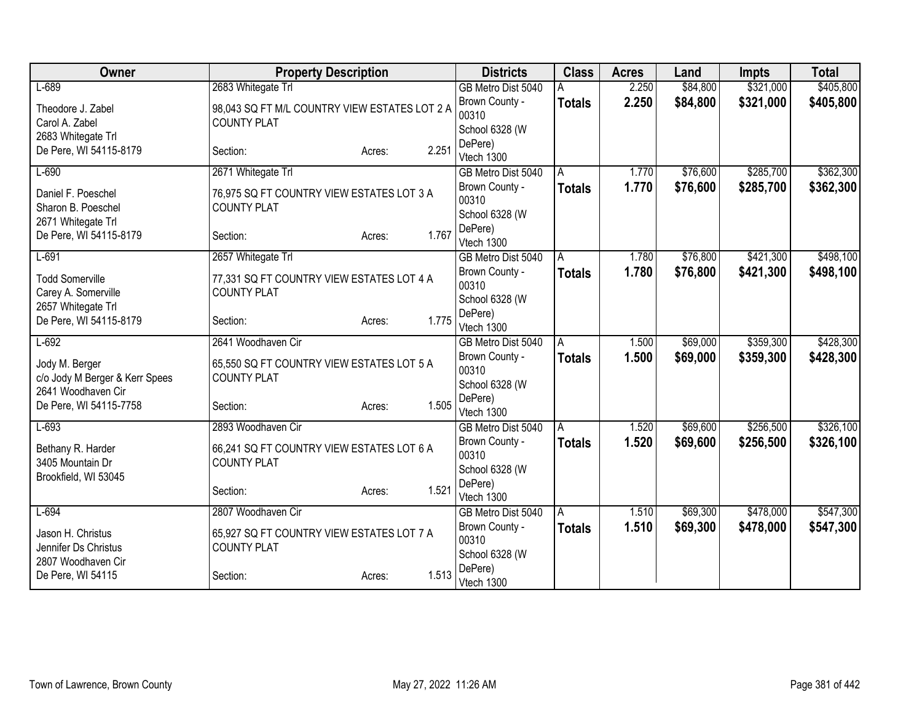| Owner                          | <b>Property Description</b>                   |                 | <b>Districts</b>                     | <b>Class</b>  | <b>Acres</b>   | Land                 | <b>Impts</b> | <b>Total</b> |
|--------------------------------|-----------------------------------------------|-----------------|--------------------------------------|---------------|----------------|----------------------|--------------|--------------|
| $L-689$                        | 2683 Whitegate Trl                            |                 | GB Metro Dist 5040                   |               | 2.250          | \$84,800             | \$321,000    | \$405,800    |
| Theodore J. Zabel              | 98,043 SQ FT M/L COUNTRY VIEW ESTATES LOT 2 A |                 | Brown County -                       | <b>Totals</b> | 2.250          | \$84,800             | \$321,000    | \$405,800    |
| Carol A. Zabel                 | <b>COUNTY PLAT</b>                            |                 | 00310                                |               |                |                      |              |              |
| 2683 Whitegate Trl             |                                               |                 | School 6328 (W                       |               |                |                      |              |              |
| De Pere, WI 54115-8179         | Section:                                      | 2.251<br>Acres: | DePere)<br>Vtech 1300                |               |                |                      |              |              |
| $L-690$                        | 2671 Whitegate Trl                            |                 | GB Metro Dist 5040                   | A             | 1.770          | \$76,600             | \$285,700    | \$362,300    |
|                                |                                               |                 | Brown County -                       | <b>Totals</b> | 1.770          | \$76,600             | \$285,700    | \$362,300    |
| Daniel F. Poeschel             | 76,975 SQ FT COUNTRY VIEW ESTATES LOT 3 A     |                 | 00310                                |               |                |                      |              |              |
| Sharon B. Poeschel             | <b>COUNTY PLAT</b>                            |                 | School 6328 (W                       |               |                |                      |              |              |
| 2671 Whitegate Trl             |                                               |                 | DePere)                              |               |                |                      |              |              |
| De Pere, WI 54115-8179         | Section:                                      | 1.767<br>Acres: | Vtech 1300                           |               |                |                      |              |              |
| $L-691$                        | 2657 Whitegate Trl                            |                 | GB Metro Dist 5040                   | A             | 1.780          | \$76,800             | \$421,300    | \$498,100    |
| <b>Todd Somerville</b>         | 77,331 SQ FT COUNTRY VIEW ESTATES LOT 4 A     |                 | Brown County -                       | <b>Totals</b> | 1.780          | \$76,800             | \$421,300    | \$498,100    |
| Carey A. Somerville            | <b>COUNTY PLAT</b>                            |                 | 00310                                |               |                |                      |              |              |
| 2657 Whitegate Trl             |                                               |                 | School 6328 (W                       |               |                |                      |              |              |
| De Pere, WI 54115-8179         | Section:                                      | 1.775<br>Acres: | DePere)                              |               |                |                      |              |              |
| $L-692$                        | 2641 Woodhaven Cir                            |                 | Vtech 1300                           |               |                |                      | \$359,300    | \$428,300    |
|                                |                                               |                 | GB Metro Dist 5040                   | A             | 1.500<br>1.500 | \$69,000             |              |              |
| Jody M. Berger                 | 65,550 SQ FT COUNTRY VIEW ESTATES LOT 5 A     |                 | Brown County -<br>00310              | <b>Totals</b> |                | \$69,000             | \$359,300    | \$428,300    |
| c/o Jody M Berger & Kerr Spees | <b>COUNTY PLAT</b>                            |                 | School 6328 (W                       |               |                |                      |              |              |
| 2641 Woodhaven Cir             |                                               |                 | DePere)                              |               |                |                      |              |              |
| De Pere, WI 54115-7758         | Section:                                      | 1.505<br>Acres: | Vtech 1300                           |               |                |                      |              |              |
| $L-693$                        | 2893 Woodhaven Cir                            |                 | GB Metro Dist 5040                   | A             | 1.520          | \$69,600             | \$256,500    | \$326,100    |
| Bethany R. Harder              | 66,241 SQ FT COUNTRY VIEW ESTATES LOT 6 A     |                 | Brown County -                       | <b>Totals</b> | 1.520          | \$69,600             | \$256,500    | \$326,100    |
| 3405 Mountain Dr               | <b>COUNTY PLAT</b>                            |                 | 00310                                |               |                |                      |              |              |
| Brookfield, WI 53045           |                                               |                 | School 6328 (W                       |               |                |                      |              |              |
|                                | Section:                                      | 1.521<br>Acres: | DePere)                              |               |                |                      |              |              |
|                                | 2807 Woodhaven Cir                            |                 | Vtech 1300                           |               |                |                      |              |              |
| $L-694$                        |                                               |                 | GB Metro Dist 5040<br>Brown County - | A             | 1.510<br>1.510 | \$69,300<br>\$69,300 | \$478,000    | \$547,300    |
| Jason H. Christus              | 65,927 SQ FT COUNTRY VIEW ESTATES LOT 7 A     |                 | 00310                                | <b>Totals</b> |                |                      | \$478,000    | \$547,300    |
| Jennifer Ds Christus           | <b>COUNTY PLAT</b>                            |                 | School 6328 (W                       |               |                |                      |              |              |
| 2807 Woodhaven Cir             |                                               |                 | DePere)                              |               |                |                      |              |              |
| De Pere, WI 54115              | Section:                                      | 1.513<br>Acres: | Vtech 1300                           |               |                |                      |              |              |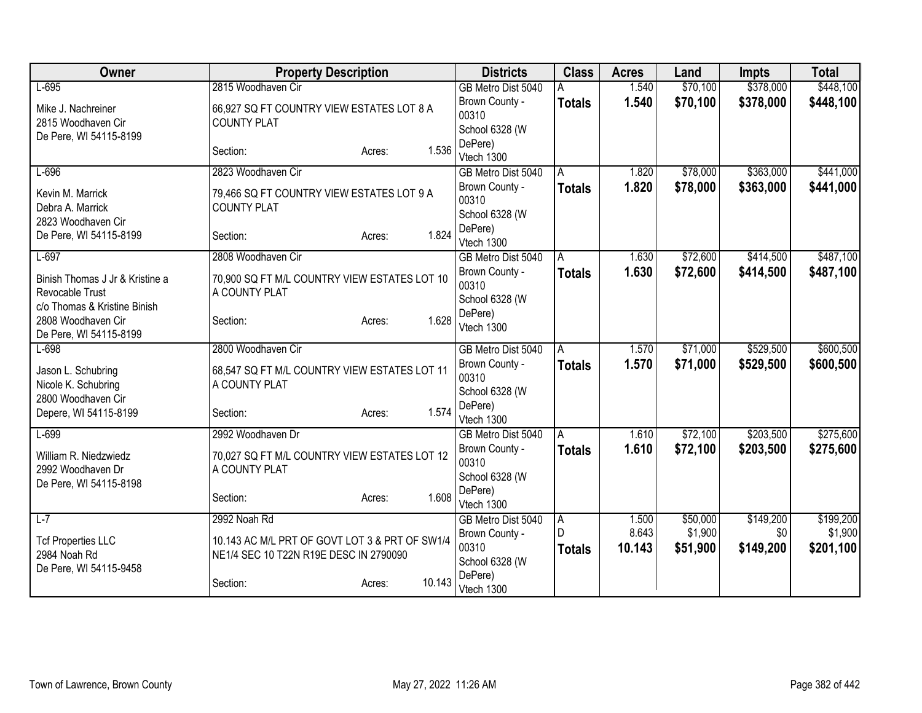| Owner                                                                                     | <b>Property Description</b>                                                              | <b>Districts</b>                          | <b>Class</b>                  | <b>Acres</b>    | Land                | <b>Impts</b>     | <b>Total</b>         |
|-------------------------------------------------------------------------------------------|------------------------------------------------------------------------------------------|-------------------------------------------|-------------------------------|-----------------|---------------------|------------------|----------------------|
| $L-695$                                                                                   | 2815 Woodhaven Cir                                                                       | GB Metro Dist 5040                        |                               | 1.540           | \$70,100            | \$378,000        | \$448,100            |
| Mike J. Nachreiner<br>2815 Woodhaven Cir                                                  | 66.927 SQ FT COUNTRY VIEW ESTATES LOT 8 A<br><b>COUNTY PLAT</b>                          | Brown County -<br>00310<br>School 6328 (W | <b>Totals</b>                 | 1.540           | \$70,100            | \$378,000        | \$448,100            |
| De Pere, WI 54115-8199                                                                    | 1.536<br>Section:<br>Acres:                                                              | DePere)<br>Vtech 1300                     |                               |                 |                     |                  |                      |
| $L-696$                                                                                   | 2823 Woodhaven Cir                                                                       | GB Metro Dist 5040                        | A                             | 1.820           | \$78,000            | \$363,000        | \$441,000            |
| Kevin M. Marrick<br>Debra A. Marrick                                                      | 79,466 SQ FT COUNTRY VIEW ESTATES LOT 9 A<br><b>COUNTY PLAT</b>                          | Brown County -<br>00310<br>School 6328 (W | <b>Totals</b>                 | 1.820           | \$78,000            | \$363,000        | \$441,000            |
| 2823 Woodhaven Cir<br>De Pere, WI 54115-8199                                              | 1.824<br>Section:<br>Acres:                                                              | DePere)<br>Vtech 1300                     |                               |                 |                     |                  |                      |
| $L-697$                                                                                   | 2808 Woodhaven Cir                                                                       | GB Metro Dist 5040                        | A                             | 1.630           | \$72,600            | \$414,500        | \$487,100            |
| Binish Thomas J Jr & Kristine a<br><b>Revocable Trust</b><br>c/o Thomas & Kristine Binish | 70,900 SQ FT M/L COUNTRY VIEW ESTATES LOT 10<br>A COUNTY PLAT                            | Brown County -<br>00310<br>School 6328 (W | <b>Totals</b>                 | 1.630           | \$72,600            | \$414,500        | \$487,100            |
| 2808 Woodhaven Cir<br>De Pere, WI 54115-8199                                              | 1.628<br>Section:<br>Acres:                                                              | DePere)<br>Vtech 1300                     |                               |                 |                     |                  |                      |
| $L-698$                                                                                   | 2800 Woodhaven Cir                                                                       | GB Metro Dist 5040                        | A                             | 1.570           | \$71,000            | \$529,500        | \$600,500            |
| Jason L. Schubring<br>Nicole K. Schubring<br>2800 Woodhaven Cir                           | 68,547 SQ FT M/L COUNTRY VIEW ESTATES LOT 11<br>A COUNTY PLAT                            | Brown County -<br>00310<br>School 6328 (W | <b>Totals</b>                 | 1.570           | \$71,000            | \$529,500        | \$600,500            |
| Depere, WI 54115-8199                                                                     | 1.574<br>Section:<br>Acres:                                                              | DePere)<br>Vtech 1300                     |                               |                 |                     |                  |                      |
| $L-699$                                                                                   | 2992 Woodhaven Dr                                                                        | GB Metro Dist 5040                        | l A                           | 1.610           | \$72,100            | \$203,500        | \$275,600            |
| William R. Niedzwiedz<br>2992 Woodhaven Dr<br>De Pere, WI 54115-8198                      | 70,027 SQ FT M/L COUNTRY VIEW ESTATES LOT 12<br>A COUNTY PLAT                            | Brown County -<br>00310<br>School 6328 (W | <b>Totals</b>                 | 1.610           | \$72,100            | \$203,500        | \$275,600            |
|                                                                                           | 1.608<br>Section:<br>Acres:                                                              | DePere)<br>Vtech 1300                     |                               |                 |                     |                  |                      |
| $L-7$                                                                                     | 2992 Noah Rd                                                                             | GB Metro Dist 5040                        | A.                            | 1.500           | \$50,000            | \$149,200        | \$199,200            |
| <b>Tcf Properties LLC</b><br>2984 Noah Rd<br>De Pere, WI 54115-9458                       | 10.143 AC M/L PRT OF GOVT LOT 3 & PRT OF SW1/4<br>NE1/4 SEC 10 T22N R19E DESC IN 2790090 | Brown County -<br>00310<br>School 6328 (W | $\mathsf{D}$<br><b>Totals</b> | 8.643<br>10.143 | \$1,900<br>\$51,900 | \$0<br>\$149,200 | \$1,900<br>\$201,100 |
|                                                                                           | 10.143<br>Section:<br>Acres:                                                             | DePere)<br>Vtech 1300                     |                               |                 |                     |                  |                      |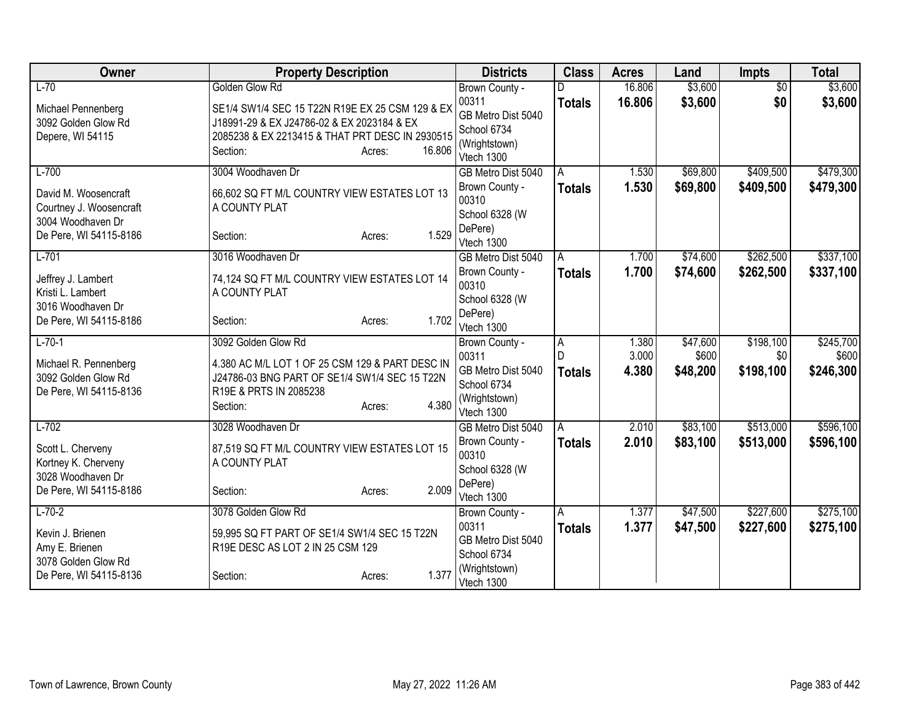| Owner                                  | <b>Property Description</b>                     |                  | <b>Districts</b>             | <b>Class</b>  | <b>Acres</b>   | Land              | <b>Impts</b>     | <b>Total</b>       |
|----------------------------------------|-------------------------------------------------|------------------|------------------------------|---------------|----------------|-------------------|------------------|--------------------|
| $L-70$                                 | Golden Glow Rd                                  |                  | Brown County -               |               | 16.806         | \$3,600           | $\overline{50}$  | \$3,600            |
| Michael Pennenberg                     | SE1/4 SW1/4 SEC 15 T22N R19E EX 25 CSM 129 & EX |                  | 00311                        | <b>Totals</b> | 16,806         | \$3,600           | \$0              | \$3,600            |
| 3092 Golden Glow Rd                    | J18991-29 & EX J24786-02 & EX 2023184 & EX      |                  | GB Metro Dist 5040           |               |                |                   |                  |                    |
| Depere, WI 54115                       | 2085238 & EX 2213415 & THAT PRT DESC IN 2930515 |                  | School 6734<br>(Wrightstown) |               |                |                   |                  |                    |
|                                        | Section:                                        | 16.806<br>Acres: | Vtech 1300                   |               |                |                   |                  |                    |
| $L-700$                                | 3004 Woodhaven Dr                               |                  | GB Metro Dist 5040           | A             | 1.530          | \$69,800          | \$409,500        | \$479,300          |
| David M. Woosencraft                   | 66,602 SQ FT M/L COUNTRY VIEW ESTATES LOT 13    |                  | Brown County -               | <b>Totals</b> | 1.530          | \$69,800          | \$409,500        | \$479,300          |
| Courtney J. Woosencraft                | A COUNTY PLAT                                   |                  | 00310                        |               |                |                   |                  |                    |
| 3004 Woodhaven Dr                      |                                                 |                  | School 6328 (W               |               |                |                   |                  |                    |
| De Pere, WI 54115-8186                 | Section:                                        | 1.529<br>Acres:  | DePere)<br>Vtech 1300        |               |                |                   |                  |                    |
| $L-701$                                | 3016 Woodhaven Dr                               |                  | GB Metro Dist 5040           | A             | 1.700          | \$74,600          | \$262,500        | \$337,100          |
|                                        |                                                 |                  | Brown County -               | <b>Totals</b> | 1.700          | \$74,600          | \$262,500        | \$337,100          |
| Jeffrey J. Lambert                     | 74,124 SQ FT M/L COUNTRY VIEW ESTATES LOT 14    |                  | 00310                        |               |                |                   |                  |                    |
| Kristi L. Lambert<br>3016 Woodhaven Dr | A COUNTY PLAT                                   |                  | School 6328 (W               |               |                |                   |                  |                    |
| De Pere, WI 54115-8186                 | Section:                                        | 1.702<br>Acres:  | DePere)                      |               |                |                   |                  |                    |
|                                        |                                                 |                  | Vtech 1300                   |               |                |                   |                  |                    |
| $L-70-1$                               | 3092 Golden Glow Rd                             |                  | Brown County -<br>00311      | A             | 1.380<br>3.000 | \$47,600<br>\$600 | \$198,100<br>\$0 | \$245,700<br>\$600 |
| Michael R. Pennenberg                  | 4.380 AC M/L LOT 1 OF 25 CSM 129 & PART DESC IN |                  | GB Metro Dist 5040           | <b>Totals</b> | 4.380          | \$48,200          | \$198,100        | \$246,300          |
| 3092 Golden Glow Rd                    | J24786-03 BNG PART OF SE1/4 SW1/4 SEC 15 T22N   |                  | School 6734                  |               |                |                   |                  |                    |
| De Pere, WI 54115-8136                 | R19E & PRTS IN 2085238                          | 4.380            | (Wrightstown)                |               |                |                   |                  |                    |
|                                        | Section:                                        | Acres:           | Vtech 1300                   |               |                |                   |                  |                    |
| $L-702$                                | 3028 Woodhaven Dr                               |                  | GB Metro Dist 5040           | A             | 2.010          | \$83,100          | \$513,000        | \$596,100          |
| Scott L. Cherveny                      | 87,519 SQ FT M/L COUNTRY VIEW ESTATES LOT 15    |                  | Brown County -               | <b>Totals</b> | 2.010          | \$83,100          | \$513,000        | \$596,100          |
| Kortney K. Cherveny                    | A COUNTY PLAT                                   |                  | 00310<br>School 6328 (W      |               |                |                   |                  |                    |
| 3028 Woodhaven Dr                      |                                                 |                  | DePere)                      |               |                |                   |                  |                    |
| De Pere, WI 54115-8186                 | Section:                                        | 2.009<br>Acres:  | Vtech 1300                   |               |                |                   |                  |                    |
| $L-70-2$                               | 3078 Golden Glow Rd                             |                  | Brown County -               | A             | 1.377          | \$47,500          | \$227,600        | \$275,100          |
| Kevin J. Brienen                       | 59,995 SQ FT PART OF SE1/4 SW1/4 SEC 15 T22N    |                  | 00311                        | <b>Totals</b> | 1.377          | \$47,500          | \$227,600        | \$275,100          |
| Amy E. Brienen                         | R19E DESC AS LOT 2 IN 25 CSM 129                |                  | GB Metro Dist 5040           |               |                |                   |                  |                    |
| 3078 Golden Glow Rd                    |                                                 |                  | School 6734<br>(Wrightstown) |               |                |                   |                  |                    |
| De Pere, WI 54115-8136                 | Section:                                        | 1.377<br>Acres:  | Vtech 1300                   |               |                |                   |                  |                    |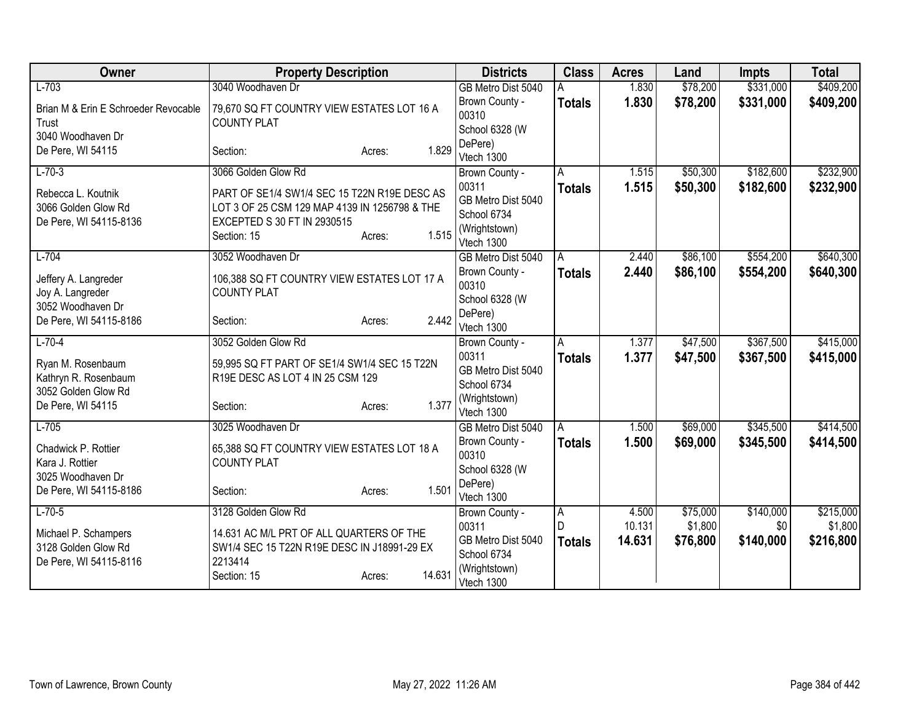| Owner                                                                                 | <b>Property Description</b>                                                                                                           | <b>Districts</b>                                                          | <b>Class</b>       | <b>Acres</b>     | Land                 | <b>Impts</b>           | <b>Total</b>           |
|---------------------------------------------------------------------------------------|---------------------------------------------------------------------------------------------------------------------------------------|---------------------------------------------------------------------------|--------------------|------------------|----------------------|------------------------|------------------------|
| $L-703$                                                                               | 3040 Woodhaven Dr                                                                                                                     | GB Metro Dist 5040                                                        |                    | 1.830            | \$78,200             | \$331,000              | \$409,200              |
| Brian M & Erin E Schroeder Revocable<br>Trust                                         | 79,670 SQ FT COUNTRY VIEW ESTATES LOT 16 A<br><b>COUNTY PLAT</b>                                                                      | Brown County -<br>00310                                                   | <b>Totals</b>      | 1.830            | \$78,200             | \$331,000              | \$409,200              |
| 3040 Woodhaven Dr                                                                     |                                                                                                                                       | School 6328 (W                                                            |                    |                  |                      |                        |                        |
| De Pere, WI 54115                                                                     | 1.829<br>Section:<br>Acres:                                                                                                           | DePere)<br>Vtech 1300                                                     |                    |                  |                      |                        |                        |
| $L-70-3$                                                                              | 3066 Golden Glow Rd                                                                                                                   | Brown County -                                                            | A                  | 1.515            | \$50,300             | \$182,600              | \$232,900              |
| Rebecca L. Koutnik<br>3066 Golden Glow Rd                                             | PART OF SE1/4 SW1/4 SEC 15 T22N R19E DESC AS<br>LOT 3 OF 25 CSM 129 MAP 4139 IN 1256798 & THE                                         | 00311<br>GB Metro Dist 5040                                               | <b>Totals</b>      | 1.515            | \$50,300             | \$182,600              | \$232,900              |
| De Pere, WI 54115-8136                                                                | EXCEPTED S 30 FT IN 2930515<br>1.515<br>Section: 15<br>Acres:                                                                         | School 6734<br>(Wrightstown)<br>Vtech 1300                                |                    |                  |                      |                        |                        |
| $L-704$                                                                               | 3052 Woodhaven Dr                                                                                                                     | GB Metro Dist 5040                                                        | A                  | 2.440            | \$86,100             | \$554,200              | \$640,300              |
| Jeffery A. Langreder<br>Joy A. Langreder                                              | 106,388 SQ FT COUNTRY VIEW ESTATES LOT 17 A<br><b>COUNTY PLAT</b>                                                                     | Brown County -<br>00310                                                   | <b>Totals</b>      | 2.440            | \$86,100             | \$554,200              | \$640,300              |
| 3052 Woodhaven Dr<br>De Pere, WI 54115-8186                                           | 2.442<br>Section:<br>Acres:                                                                                                           | School 6328 (W<br>DePere)<br>Vtech 1300                                   |                    |                  |                      |                        |                        |
| $L-70-4$                                                                              | 3052 Golden Glow Rd                                                                                                                   | Brown County -                                                            | A                  | 1.377            | \$47,500             | \$367,500              | \$415,000              |
| Ryan M. Rosenbaum<br>Kathryn R. Rosenbaum<br>3052 Golden Glow Rd<br>De Pere, WI 54115 | 59,995 SQ FT PART OF SE1/4 SW1/4 SEC 15 T22N<br>R19E DESC AS LOT 4 IN 25 CSM 129<br>1.377<br>Section:<br>Acres:                       | 00311<br>GB Metro Dist 5040<br>School 6734<br>(Wrightstown)               | <b>Totals</b>      | 1.377            | \$47,500             | \$367,500              | \$415,000              |
|                                                                                       |                                                                                                                                       | Vtech 1300                                                                |                    |                  |                      |                        |                        |
| $L-705$<br>Chadwick P. Rottier<br>Kara J. Rottier<br>3025 Woodhaven Dr                | 3025 Woodhaven Dr<br>65,388 SQ FT COUNTRY VIEW ESTATES LOT 18 A<br><b>COUNTY PLAT</b>                                                 | GB Metro Dist 5040<br>Brown County -<br>00310<br>School 6328 (W           | A<br><b>Totals</b> | 1.500<br>1.500   | \$69,000<br>\$69,000 | \$345,500<br>\$345,500 | \$414,500<br>\$414,500 |
| De Pere, WI 54115-8186                                                                | 1.501<br>Section:<br>Acres:                                                                                                           | DePere)<br>Vtech 1300                                                     |                    |                  |                      |                        |                        |
| $L-70-5$                                                                              | 3128 Golden Glow Rd                                                                                                                   | Brown County -                                                            | A                  | 4.500            | \$75,000             | \$140,000              | \$215,000              |
| Michael P. Schampers<br>3128 Golden Glow Rd<br>De Pere, WI 54115-8116                 | 14.631 AC M/L PRT OF ALL QUARTERS OF THE<br>SW1/4 SEC 15 T22N R19E DESC IN J18991-29 EX<br>2213414<br>14.631<br>Section: 15<br>Acres: | 00311<br>GB Metro Dist 5040<br>School 6734<br>(Wrightstown)<br>Vtech 1300 | D<br><b>Totals</b> | 10.131<br>14.631 | \$1,800<br>\$76,800  | \$0 <br>\$140,000      | \$1,800<br>\$216,800   |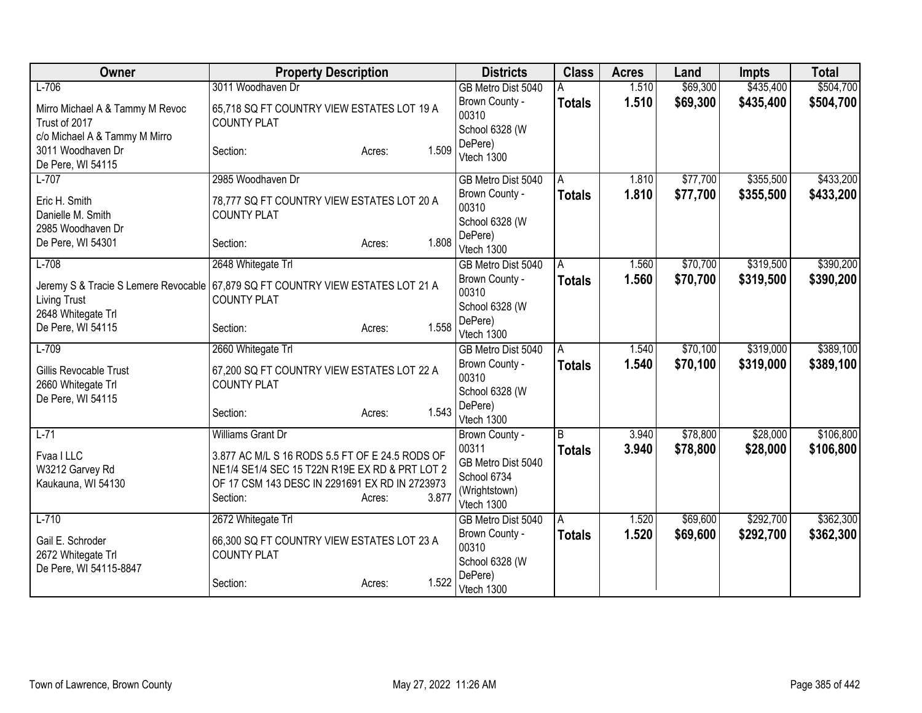| Owner                                                                             | <b>Property Description</b>                                                                                                                                                                             | <b>Districts</b>                                                                            | <b>Class</b>         | <b>Acres</b>   | Land                 | <b>Impts</b>         | <b>Total</b>           |
|-----------------------------------------------------------------------------------|---------------------------------------------------------------------------------------------------------------------------------------------------------------------------------------------------------|---------------------------------------------------------------------------------------------|----------------------|----------------|----------------------|----------------------|------------------------|
| $L-706$                                                                           | 3011 Woodhaven Dr                                                                                                                                                                                       | GB Metro Dist 5040                                                                          | A                    | 1.510          | \$69,300             | \$435,400            | \$504,700              |
| Mirro Michael A & Tammy M Revoc<br>Trust of 2017<br>c/o Michael A & Tammy M Mirro | 65,718 SQ FT COUNTRY VIEW ESTATES LOT 19 A<br><b>COUNTY PLAT</b>                                                                                                                                        | Brown County -<br>00310<br>School 6328 (W                                                   | <b>Totals</b>        | 1.510          | \$69,300             | \$435,400            | \$504,700              |
| 3011 Woodhaven Dr<br>De Pere, WI 54115                                            | 1.509<br>Section:<br>Acres:                                                                                                                                                                             | DePere)<br>Vtech 1300                                                                       |                      |                |                      |                      |                        |
| $L-707$                                                                           | 2985 Woodhaven Dr                                                                                                                                                                                       | GB Metro Dist 5040                                                                          | A                    | 1.810          | \$77,700             | \$355,500            | \$433,200              |
| Eric H. Smith<br>Danielle M. Smith<br>2985 Woodhaven Dr                           | 78,777 SQ FT COUNTRY VIEW ESTATES LOT 20 A<br><b>COUNTY PLAT</b>                                                                                                                                        | Brown County -<br>00310<br>School 6328 (W                                                   | <b>Totals</b>        | 1.810          | \$77,700             | \$355,500            | \$433,200              |
| De Pere, WI 54301                                                                 | 1.808<br>Section:<br>Acres:                                                                                                                                                                             | DePere)<br>Vtech 1300                                                                       |                      |                |                      |                      |                        |
| $L-708$                                                                           | 2648 Whitegate Trl                                                                                                                                                                                      | GB Metro Dist 5040                                                                          | A                    | 1.560          | \$70,700             | \$319,500            | \$390,200              |
| <b>Living Trust</b>                                                               | Jeremy S & Tracie S Lemere Revocable 67,879 SQ FT COUNTRY VIEW ESTATES LOT 21 A<br><b>COUNTY PLAT</b>                                                                                                   | Brown County -<br>00310                                                                     | <b>Totals</b>        | 1.560          | \$70,700             | \$319,500            | \$390,200              |
| 2648 Whitegate Trl<br>De Pere, WI 54115                                           | 1.558<br>Section:<br>Acres:                                                                                                                                                                             | School 6328 (W<br>DePere)<br>Vtech 1300                                                     |                      |                |                      |                      |                        |
| $L-709$                                                                           | 2660 Whitegate Trl                                                                                                                                                                                      | GB Metro Dist 5040                                                                          | $\overline{A}$       | 1.540          | \$70,100             | \$319,000            | \$389,100              |
| Gillis Revocable Trust<br>2660 Whitegate Trl<br>De Pere, WI 54115                 | 67,200 SQ FT COUNTRY VIEW ESTATES LOT 22 A<br><b>COUNTY PLAT</b>                                                                                                                                        | Brown County -<br>00310<br>School 6328 (W                                                   | <b>Totals</b>        | 1.540          | \$70,100             | \$319,000            | \$389,100              |
|                                                                                   | 1.543<br>Section:<br>Acres:                                                                                                                                                                             | DePere)<br>Vtech 1300                                                                       |                      |                |                      |                      |                        |
| $L-71$<br>Fvaa I LLC<br>W3212 Garvey Rd<br>Kaukauna, WI 54130                     | Williams Grant Dr<br>3.877 AC M/L S 16 RODS 5.5 FT OF E 24.5 RODS OF<br>NE1/4 SE1/4 SEC 15 T22N R19E EX RD & PRT LOT 2<br>OF 17 CSM 143 DESC IN 2291691 EX RD IN 2723973<br>3.877<br>Section:<br>Acres: | Brown County -<br>00311<br>GB Metro Dist 5040<br>School 6734<br>(Wrightstown)<br>Vtech 1300 | l B<br><b>Totals</b> | 3.940<br>3.940 | \$78,800<br>\$78,800 | \$28,000<br>\$28,000 | \$106,800<br>\$106,800 |
| $L-710$                                                                           | 2672 Whitegate Trl                                                                                                                                                                                      | GB Metro Dist 5040                                                                          | A                    | 1.520          | \$69,600             | \$292,700            | \$362,300              |
| Gail E. Schroder<br>2672 Whitegate Trl<br>De Pere, WI 54115-8847                  | 66,300 SQ FT COUNTRY VIEW ESTATES LOT 23 A<br><b>COUNTY PLAT</b>                                                                                                                                        | Brown County -<br>00310<br>School 6328 (W                                                   | <b>Totals</b>        | 1.520          | \$69,600             | \$292,700            | \$362,300              |
|                                                                                   | 1.522<br>Section:<br>Acres:                                                                                                                                                                             | DePere)<br>Vtech 1300                                                                       |                      |                |                      |                      |                        |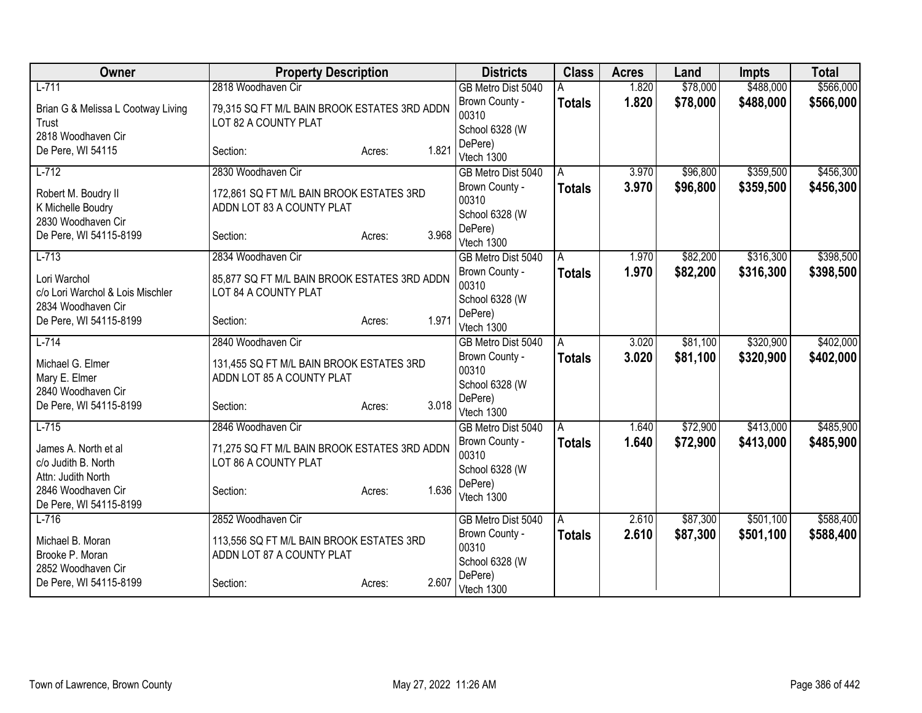| Owner                                                                  | <b>Property Description</b>                                           |                 | <b>Districts</b>                                     | <b>Class</b>  | <b>Acres</b> | Land     | <b>Impts</b> | <b>Total</b> |
|------------------------------------------------------------------------|-----------------------------------------------------------------------|-----------------|------------------------------------------------------|---------------|--------------|----------|--------------|--------------|
| $L - 711$                                                              | 2818 Woodhaven Cir                                                    |                 | GB Metro Dist 5040                                   |               | 1.820        | \$78,000 | \$488,000    | \$566,000    |
| Brian G & Melissa L Cootway Living<br>Trust                            | 79,315 SQ FT M/L BAIN BROOK ESTATES 3RD ADDN<br>LOT 82 A COUNTY PLAT  |                 | Brown County -<br>00310<br>School 6328 (W            | <b>Totals</b> | 1.820        | \$78,000 | \$488,000    | \$566,000    |
| 2818 Woodhaven Cir<br>De Pere, WI 54115                                | Section:                                                              | 1.821<br>Acres: | DePere)<br>Vtech 1300                                |               |              |          |              |              |
| $L-712$                                                                | 2830 Woodhaven Cir                                                    |                 | GB Metro Dist 5040                                   | A             | 3.970        | \$96,800 | \$359,500    | \$456,300    |
| Robert M. Boudry II<br>K Michelle Boudry                               | 172,861 SQ FT M/L BAIN BROOK ESTATES 3RD<br>ADDN LOT 83 A COUNTY PLAT |                 | Brown County -<br>00310<br>School 6328 (W            | <b>Totals</b> | 3.970        | \$96,800 | \$359,500    | \$456,300    |
| 2830 Woodhaven Cir<br>De Pere, WI 54115-8199                           | Section:                                                              | 3.968<br>Acres: | DePere)<br>Vtech 1300                                |               |              |          |              |              |
| $L-713$                                                                | 2834 Woodhaven Cir                                                    |                 | GB Metro Dist 5040                                   | A             | 1.970        | \$82,200 | \$316,300    | \$398,500    |
| Lori Warchol<br>c/o Lori Warchol & Lois Mischler<br>2834 Woodhaven Cir | 85,877 SQ FT M/L BAIN BROOK ESTATES 3RD ADDN<br>LOT 84 A COUNTY PLAT  |                 | Brown County -<br>00310<br>School 6328 (W<br>DePere) | <b>Totals</b> | 1.970        | \$82,200 | \$316,300    | \$398,500    |
| De Pere, WI 54115-8199                                                 | Section:                                                              | 1.971<br>Acres: | Vtech 1300                                           |               |              |          |              |              |
| $L - 714$                                                              | 2840 Woodhaven Cir                                                    |                 | GB Metro Dist 5040                                   | A             | 3.020        | \$81,100 | \$320,900    | \$402,000    |
| Michael G. Elmer<br>Mary E. Elmer<br>2840 Woodhaven Cir                | 131,455 SQ FT M/L BAIN BROOK ESTATES 3RD<br>ADDN LOT 85 A COUNTY PLAT |                 | Brown County -<br>00310<br>School 6328 (W            | <b>Totals</b> | 3.020        | \$81,100 | \$320,900    | \$402,000    |
| De Pere, WI 54115-8199                                                 | Section:                                                              | 3.018<br>Acres: | DePere)<br>Vtech 1300                                |               |              |          |              |              |
| $L-715$                                                                | 2846 Woodhaven Cir                                                    |                 | GB Metro Dist 5040                                   | A             | 1.640        | \$72,900 | \$413,000    | \$485,900    |
| James A. North et al<br>c/o Judith B. North<br>Attn: Judith North      | 71,275 SQ FT M/L BAIN BROOK ESTATES 3RD ADDN<br>LOT 86 A COUNTY PLAT  |                 | Brown County -<br>00310<br>School 6328 (W            | <b>Totals</b> | 1.640        | \$72,900 | \$413,000    | \$485,900    |
| 2846 Woodhaven Cir<br>De Pere, WI 54115-8199                           | Section:                                                              | 1.636<br>Acres: | DePere)<br>Vtech 1300                                |               |              |          |              |              |
| $L-716$                                                                | 2852 Woodhaven Cir                                                    |                 | GB Metro Dist 5040                                   | A             | 2.610        | \$87,300 | \$501,100    | \$588,400    |
| Michael B. Moran<br>Brooke P. Moran<br>2852 Woodhaven Cir              | 113,556 SQ FT M/L BAIN BROOK ESTATES 3RD<br>ADDN LOT 87 A COUNTY PLAT |                 | Brown County -<br>00310<br>School 6328 (W            | <b>Totals</b> | 2.610        | \$87,300 | \$501,100    | \$588,400    |
| De Pere, WI 54115-8199                                                 | Section:                                                              | 2.607<br>Acres: | DePere)<br>Vtech 1300                                |               |              |          |              |              |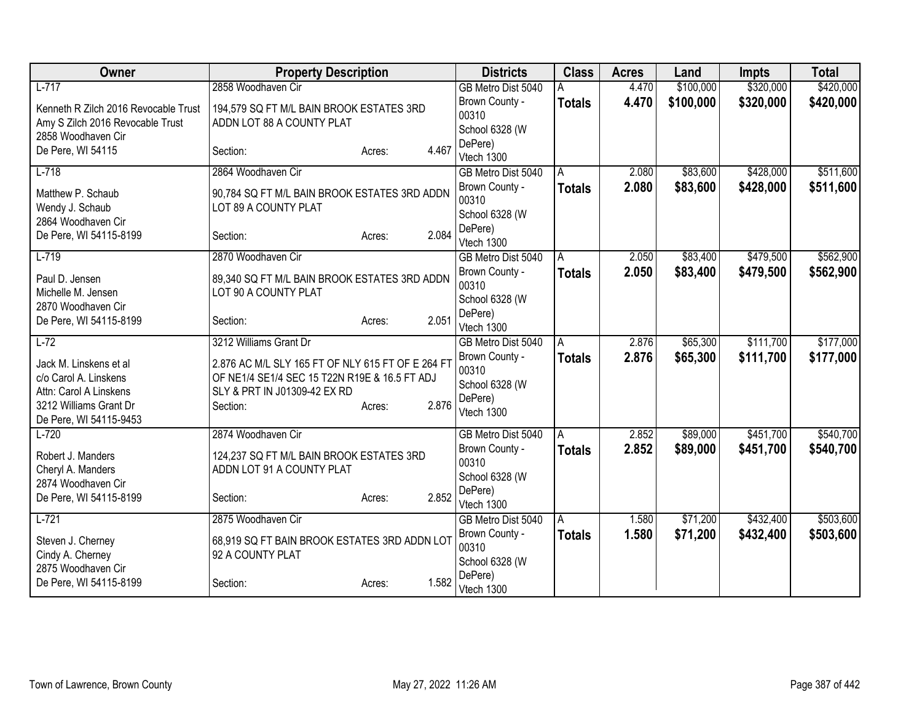| <b>Owner</b>                                                                                                                  | <b>Property Description</b>                                                                                                                    |                 | <b>Districts</b>                                                   | <b>Class</b>  | <b>Acres</b> | Land      | Impts     | <b>Total</b> |
|-------------------------------------------------------------------------------------------------------------------------------|------------------------------------------------------------------------------------------------------------------------------------------------|-----------------|--------------------------------------------------------------------|---------------|--------------|-----------|-----------|--------------|
| $L-717$                                                                                                                       | 2858 Woodhaven Cir                                                                                                                             |                 | GB Metro Dist 5040                                                 |               | 4.470        | \$100,000 | \$320,000 | \$420,000    |
| Kenneth R Zilch 2016 Revocable Trust<br>Amy S Zilch 2016 Revocable Trust<br>2858 Woodhaven Cir                                | 194,579 SQ FT M/L BAIN BROOK ESTATES 3RD<br>ADDN LOT 88 A COUNTY PLAT                                                                          |                 | Brown County -<br>00310<br>School 6328 (W                          | <b>Totals</b> | 4.470        | \$100,000 | \$320,000 | \$420,000    |
| De Pere, WI 54115                                                                                                             | Section:                                                                                                                                       | 4.467<br>Acres: | DePere)<br>Vtech 1300                                              |               |              |           |           |              |
| $L-718$                                                                                                                       | 2864 Woodhaven Cir                                                                                                                             |                 | GB Metro Dist 5040                                                 | A             | 2.080        | \$83,600  | \$428,000 | \$511,600    |
| Matthew P. Schaub<br>Wendy J. Schaub                                                                                          | 90,784 SQ FT M/L BAIN BROOK ESTATES 3RD ADDN<br>LOT 89 A COUNTY PLAT                                                                           |                 | Brown County -<br>00310                                            | <b>Totals</b> | 2.080        | \$83,600  | \$428,000 | \$511,600    |
| 2864 Woodhaven Cir<br>De Pere, WI 54115-8199                                                                                  | Section:                                                                                                                                       | 2.084<br>Acres: | School 6328 (W<br>DePere)<br>Vtech 1300                            |               |              |           |           |              |
| $L-719$                                                                                                                       | 2870 Woodhaven Cir                                                                                                                             |                 | GB Metro Dist 5040                                                 | A             | 2.050        | \$83,400  | \$479,500 | \$562,900    |
| Paul D. Jensen<br>Michelle M. Jensen<br>2870 Woodhaven Cir                                                                    | 89,340 SQ FT M/L BAIN BROOK ESTATES 3RD ADDN<br>LOT 90 A COUNTY PLAT                                                                           |                 | Brown County -<br>00310<br>School 6328 (W                          | <b>Totals</b> | 2.050        | \$83,400  | \$479,500 | \$562,900    |
| De Pere, WI 54115-8199                                                                                                        | Section:                                                                                                                                       | 2.051<br>Acres: | DePere)<br>Vtech 1300                                              |               |              |           |           |              |
| $L-72$                                                                                                                        | 3212 Williams Grant Dr                                                                                                                         |                 | GB Metro Dist 5040                                                 | A             | 2.876        | \$65,300  | \$111,700 | \$177,000    |
| Jack M. Linskens et al<br>c/o Carol A. Linskens<br>Attn: Carol A Linskens<br>3212 Williams Grant Dr<br>De Pere, WI 54115-9453 | 2.876 AC M/L SLY 165 FT OF NLY 615 FT OF E 264 FT<br>OF NE1/4 SE1/4 SEC 15 T22N R19E & 16.5 FT ADJ<br>SLY & PRT IN J01309-42 EX RD<br>Section: | 2.876<br>Acres: | Brown County -<br>00310<br>School 6328 (W<br>DePere)<br>Vtech 1300 | <b>Totals</b> | 2.876        | \$65,300  | \$111,700 | \$177,000    |
| $L-720$                                                                                                                       | 2874 Woodhaven Cir                                                                                                                             |                 | GB Metro Dist 5040                                                 | A             | 2.852        | \$89,000  | \$451,700 | \$540,700    |
| Robert J. Manders<br>Cheryl A. Manders<br>2874 Woodhaven Cir                                                                  | 124,237 SQ FT M/L BAIN BROOK ESTATES 3RD<br>ADDN LOT 91 A COUNTY PLAT                                                                          |                 | Brown County -<br>00310<br>School 6328 (W                          | <b>Totals</b> | 2.852        | \$89,000  | \$451,700 | \$540,700    |
| De Pere, WI 54115-8199                                                                                                        | Section:                                                                                                                                       | 2.852<br>Acres: | DePere)<br>Vtech 1300                                              |               |              |           |           |              |
| $L-721$                                                                                                                       | 2875 Woodhaven Cir                                                                                                                             |                 | GB Metro Dist 5040                                                 | A             | 1.580        | \$71,200  | \$432,400 | \$503,600    |
| Steven J. Cherney<br>Cindy A. Cherney<br>2875 Woodhaven Cir                                                                   | 68,919 SQ FT BAIN BROOK ESTATES 3RD ADDN LOT<br>92 A COUNTY PLAT                                                                               |                 | Brown County -<br>00310<br>School 6328 (W                          | <b>Totals</b> | 1.580        | \$71,200  | \$432,400 | \$503,600    |
| De Pere, WI 54115-8199                                                                                                        | Section:                                                                                                                                       | 1.582<br>Acres: | DePere)<br>Vtech 1300                                              |               |              |           |           |              |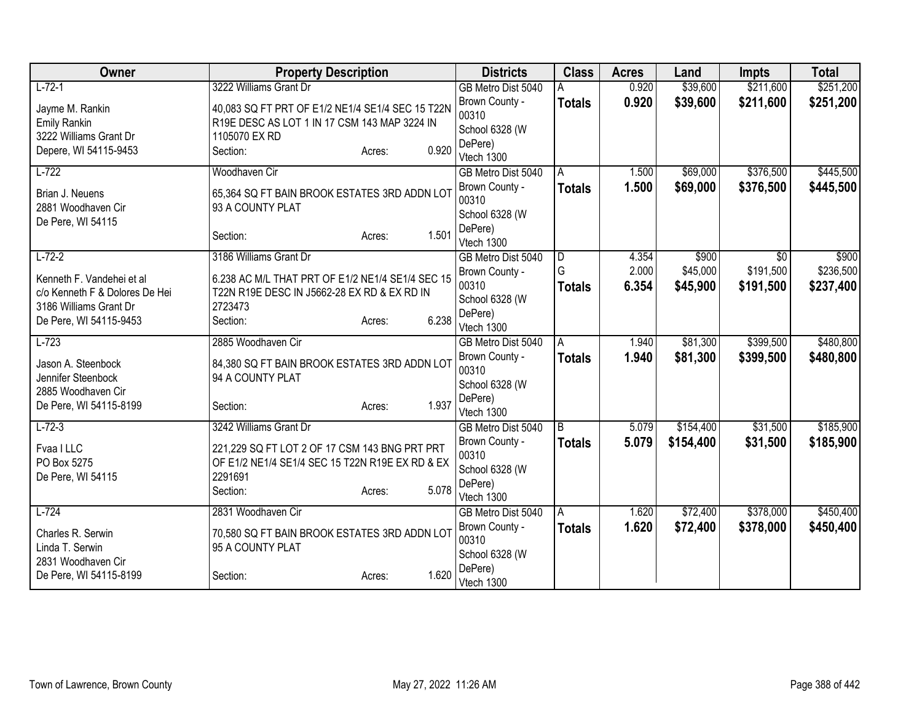| Owner                                        | <b>Property Description</b>                      |                 | <b>Districts</b>          | <b>Class</b>  | <b>Acres</b> | Land      | <b>Impts</b> | <b>Total</b> |
|----------------------------------------------|--------------------------------------------------|-----------------|---------------------------|---------------|--------------|-----------|--------------|--------------|
| $L-72-1$                                     | 3222 Williams Grant Dr                           |                 | GB Metro Dist 5040        |               | 0.920        | \$39,600  | \$211,600    | \$251,200    |
| Jayme M. Rankin                              | 40,083 SQ FT PRT OF E1/2 NE1/4 SE1/4 SEC 15 T22N |                 | Brown County -            | <b>Totals</b> | 0.920        | \$39,600  | \$211,600    | \$251,200    |
| <b>Emily Rankin</b>                          | R19E DESC AS LOT 1 IN 17 CSM 143 MAP 3224 IN     |                 | 00310                     |               |              |           |              |              |
| 3222 Williams Grant Dr                       | 1105070 EX RD                                    |                 | School 6328 (W            |               |              |           |              |              |
| Depere, WI 54115-9453                        | Section:                                         | 0.920<br>Acres: | DePere)<br>Vtech 1300     |               |              |           |              |              |
| $L-722$                                      | Woodhaven Cir                                    |                 | GB Metro Dist 5040        | A             | 1.500        | \$69,000  | \$376,500    | \$445,500    |
|                                              |                                                  |                 | Brown County -            | <b>Totals</b> | 1.500        | \$69,000  | \$376,500    | \$445,500    |
| Brian J. Neuens                              | 65,364 SQ FT BAIN BROOK ESTATES 3RD ADDN LOT     |                 | 00310                     |               |              |           |              |              |
| 2881 Woodhaven Cir                           | 93 A COUNTY PLAT                                 |                 | School 6328 (W            |               |              |           |              |              |
| De Pere, WI 54115                            |                                                  |                 | DePere)                   |               |              |           |              |              |
|                                              | Section:                                         | 1.501<br>Acres: | Vtech 1300                |               |              |           |              |              |
| $L-72-2$                                     | 3186 Williams Grant Dr                           |                 | GB Metro Dist 5040        | ID.           | 4.354        | \$900     | \$0          | \$900        |
| Kenneth F. Vandehei et al                    | 6.238 AC M/L THAT PRT OF E1/2 NE1/4 SE1/4 SEC 15 |                 | Brown County -            | G             | 2.000        | \$45,000  | \$191,500    | \$236,500    |
| c/o Kenneth F & Dolores De Hei               | T22N R19E DESC IN J5662-28 EX RD & EX RD IN      |                 | 00310                     | <b>Totals</b> | 6.354        | \$45,900  | \$191,500    | \$237,400    |
| 3186 Williams Grant Dr                       | 2723473                                          |                 | School 6328 (W            |               |              |           |              |              |
| De Pere, WI 54115-9453                       | Section:                                         | 6.238<br>Acres: | DePere)<br>Vtech 1300     |               |              |           |              |              |
| $L-723$                                      | 2885 Woodhaven Cir                               |                 | GB Metro Dist 5040        | A             | 1.940        | \$81,300  | \$399,500    | \$480,800    |
|                                              |                                                  |                 | Brown County -            | <b>Totals</b> | 1.940        | \$81,300  | \$399,500    | \$480,800    |
| Jason A. Steenbock                           | 84,380 SQ FT BAIN BROOK ESTATES 3RD ADDN LOT     |                 | 00310                     |               |              |           |              |              |
| Jennifer Steenbock                           | 94 A COUNTY PLAT                                 |                 | School 6328 (W            |               |              |           |              |              |
| 2885 Woodhaven Cir<br>De Pere, WI 54115-8199 | Section:                                         | 1.937<br>Acres: | DePere)                   |               |              |           |              |              |
|                                              |                                                  |                 | Vtech 1300                |               |              |           |              |              |
| $L-72-3$                                     | 3242 Williams Grant Dr                           |                 | GB Metro Dist 5040        | B             | 5.079        | \$154,400 | \$31,500     | \$185,900    |
| Fvaa I LLC                                   | 221,229 SQ FT LOT 2 OF 17 CSM 143 BNG PRT PRT    |                 | Brown County -            | <b>Totals</b> | 5.079        | \$154,400 | \$31,500     | \$185,900    |
| PO Box 5275                                  | OF E1/2 NE1/4 SE1/4 SEC 15 T22N R19E EX RD & EX  |                 | 00310                     |               |              |           |              |              |
| De Pere, WI 54115                            | 2291691                                          |                 | School 6328 (W<br>DePere) |               |              |           |              |              |
|                                              | Section:                                         | 5.078<br>Acres: | Vtech 1300                |               |              |           |              |              |
| $L-724$                                      | 2831 Woodhaven Cir                               |                 | GB Metro Dist 5040        | A             | 1.620        | \$72,400  | \$378,000    | \$450,400    |
|                                              |                                                  |                 | Brown County -            | <b>Totals</b> | 1.620        | \$72,400  | \$378,000    | \$450,400    |
| Charles R. Serwin<br>Linda T. Serwin         | 70,580 SQ FT BAIN BROOK ESTATES 3RD ADDN LOT     |                 | 00310                     |               |              |           |              |              |
| 2831 Woodhaven Cir                           | 95 A COUNTY PLAT                                 |                 | School 6328 (W            |               |              |           |              |              |
| De Pere, WI 54115-8199                       | Section:                                         | 1.620<br>Acres: | DePere)                   |               |              |           |              |              |
|                                              |                                                  |                 | Vtech 1300                |               |              |           |              |              |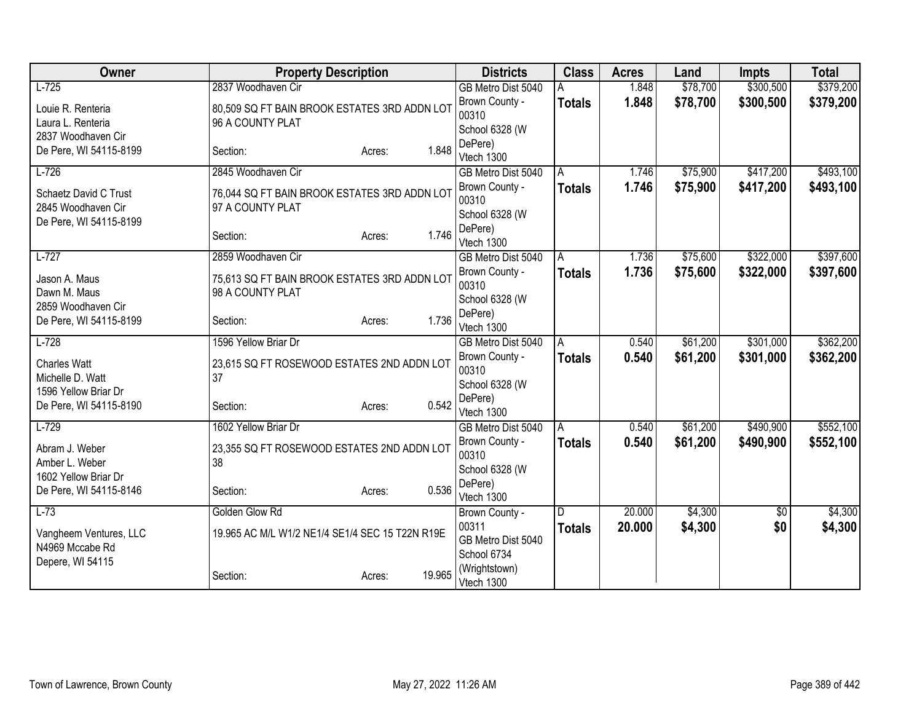| Owner                                                           | <b>Property Description</b>                                      |                  | <b>Districts</b>                           | <b>Class</b>  | <b>Acres</b> | Land     | <b>Impts</b> | <b>Total</b> |
|-----------------------------------------------------------------|------------------------------------------------------------------|------------------|--------------------------------------------|---------------|--------------|----------|--------------|--------------|
| $L-725$                                                         | 2837 Woodhaven Cir                                               |                  | GB Metro Dist 5040                         |               | 1.848        | \$78,700 | \$300,500    | \$379,200    |
| Louie R. Renteria<br>Laura L. Renteria                          | 80,509 SQ FT BAIN BROOK ESTATES 3RD ADDN LOT<br>96 A COUNTY PLAT |                  | Brown County -<br>00310<br>School 6328 (W  | <b>Totals</b> | 1.848        | \$78,700 | \$300,500    | \$379,200    |
| 2837 Woodhaven Cir<br>De Pere, WI 54115-8199                    | Section:                                                         | 1.848<br>Acres:  | DePere)<br>Vtech 1300                      |               |              |          |              |              |
| $L-726$                                                         | 2845 Woodhaven Cir                                               |                  | GB Metro Dist 5040                         | A             | 1.746        | \$75,900 | \$417,200    | \$493,100    |
| Schaetz David C Trust<br>2845 Woodhaven Cir                     | 76,044 SQ FT BAIN BROOK ESTATES 3RD ADDN LOT<br>97 A COUNTY PLAT |                  | Brown County -<br>00310                    | <b>Totals</b> | 1.746        | \$75,900 | \$417,200    | \$493,100    |
| De Pere, WI 54115-8199                                          | Section:                                                         | 1.746<br>Acres:  | School 6328 (W<br>DePere)<br>Vtech 1300    |               |              |          |              |              |
| $L-727$                                                         | 2859 Woodhaven Cir                                               |                  | GB Metro Dist 5040                         | A             | 1.736        | \$75,600 | \$322,000    | \$397,600    |
| Jason A. Maus<br>Dawn M. Maus                                   | 75,613 SQ FT BAIN BROOK ESTATES 3RD ADDN LOT<br>98 A COUNTY PLAT |                  | Brown County -<br>00310                    | <b>Totals</b> | 1.736        | \$75,600 | \$322,000    | \$397,600    |
| 2859 Woodhaven Cir                                              |                                                                  |                  | School 6328 (W                             |               |              |          |              |              |
| De Pere, WI 54115-8199                                          | Section:                                                         | 1.736<br>Acres:  | DePere)<br>Vtech 1300                      |               |              |          |              |              |
| $L-728$                                                         | 1596 Yellow Briar Dr                                             |                  | GB Metro Dist 5040                         | A             | 0.540        | \$61,200 | \$301,000    | \$362,200    |
| <b>Charles Watt</b><br>Michelle D. Watt<br>1596 Yellow Briar Dr | 23,615 SQ FT ROSEWOOD ESTATES 2ND ADDN LOT<br>37                 |                  | Brown County -<br>00310<br>School 6328 (W  | <b>Totals</b> | 0.540        | \$61,200 | \$301,000    | \$362,200    |
| De Pere, WI 54115-8190                                          | Section:                                                         | 0.542<br>Acres:  | DePere)<br>Vtech 1300                      |               |              |          |              |              |
| $L-729$                                                         | 1602 Yellow Briar Dr                                             |                  | GB Metro Dist 5040                         | A             | 0.540        | \$61,200 | \$490,900    | \$552,100    |
| Abram J. Weber<br>Amber L. Weber<br>1602 Yellow Briar Dr        | 23,355 SQ FT ROSEWOOD ESTATES 2ND ADDN LOT<br>38                 |                  | Brown County -<br>00310<br>School 6328 (W  | <b>Totals</b> | 0.540        | \$61,200 | \$490,900    | \$552,100    |
| De Pere, WI 54115-8146                                          | Section:                                                         | 0.536<br>Acres:  | DePere)<br>Vtech 1300                      |               |              |          |              |              |
| $L-73$                                                          | Golden Glow Rd                                                   |                  | Brown County -                             | D             | 20.000       | \$4,300  | $\sqrt{$0}$  | \$4,300      |
| Vangheem Ventures, LLC<br>N4969 Mccabe Rd                       | 19.965 AC M/L W1/2 NE1/4 SE1/4 SEC 15 T22N R19E                  |                  | 00311<br>GB Metro Dist 5040<br>School 6734 | <b>Totals</b> | 20.000       | \$4,300  | \$0          | \$4,300      |
| Depere, WI 54115                                                | Section:                                                         | 19.965<br>Acres: | (Wrightstown)<br>Vtech 1300                |               |              |          |              |              |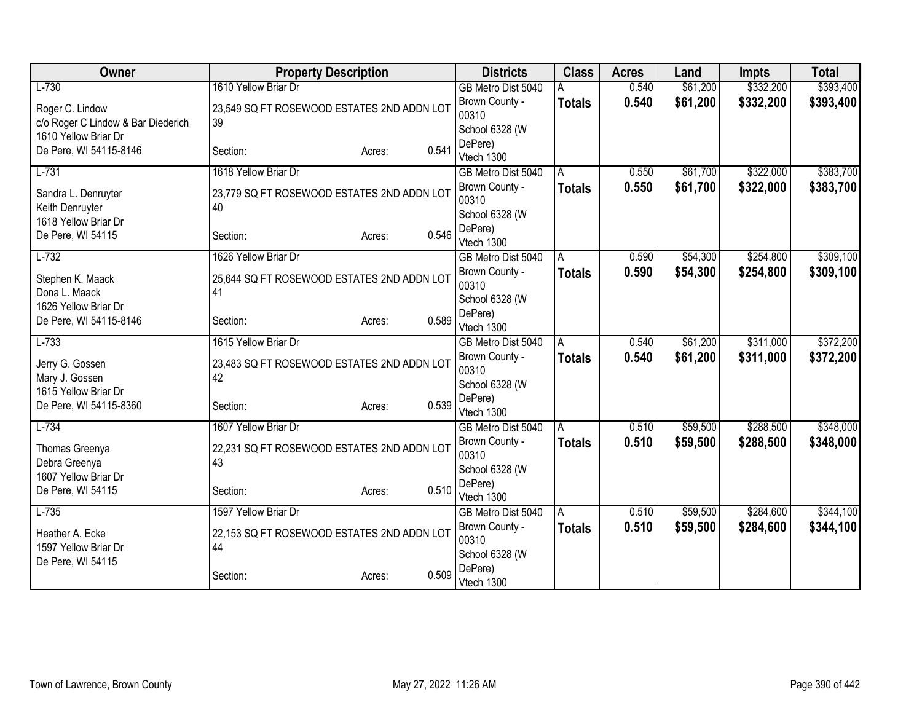| Owner                                   | <b>Property Description</b>                      |                 | <b>Districts</b>          | <b>Class</b>  | <b>Acres</b> | Land     | <b>Impts</b> | <b>Total</b> |
|-----------------------------------------|--------------------------------------------------|-----------------|---------------------------|---------------|--------------|----------|--------------|--------------|
| $L-730$                                 | 1610 Yellow Briar Dr                             |                 | GB Metro Dist 5040        |               | 0.540        | \$61,200 | \$332,200    | \$393,400    |
| Roger C. Lindow                         | 23,549 SQ FT ROSEWOOD ESTATES 2ND ADDN LOT       |                 | Brown County -            | <b>Totals</b> | 0.540        | \$61,200 | \$332,200    | \$393,400    |
| c/o Roger C Lindow & Bar Diederich      | 39                                               |                 | 00310                     |               |              |          |              |              |
| 1610 Yellow Briar Dr                    |                                                  |                 | School 6328 (W            |               |              |          |              |              |
| De Pere, WI 54115-8146                  | Section:                                         | 0.541<br>Acres: | DePere)<br>Vtech 1300     |               |              |          |              |              |
| $L-731$                                 | 1618 Yellow Briar Dr                             |                 | GB Metro Dist 5040        | A             | 0.550        | \$61,700 | \$322,000    | \$383,700    |
|                                         |                                                  |                 | Brown County -            | <b>Totals</b> | 0.550        | \$61,700 | \$322,000    | \$383,700    |
| Sandra L. Denruyter                     | 23,779 SQ FT ROSEWOOD ESTATES 2ND ADDN LOT       |                 | 00310                     |               |              |          |              |              |
| Keith Denruyter<br>1618 Yellow Briar Dr | 40                                               |                 | School 6328 (W            |               |              |          |              |              |
| De Pere, WI 54115                       | Section:                                         | 0.546<br>Acres: | DePere)                   |               |              |          |              |              |
|                                         |                                                  |                 | Vtech 1300                |               |              |          |              |              |
| $L-732$                                 | 1626 Yellow Briar Dr                             |                 | GB Metro Dist 5040        | A             | 0.590        | \$54,300 | \$254,800    | \$309,100    |
| Stephen K. Maack                        | 25,644 SQ FT ROSEWOOD ESTATES 2ND ADDN LOT       |                 | Brown County -            | <b>Totals</b> | 0.590        | \$54,300 | \$254,800    | \$309,100    |
| Dona L. Maack                           | 41                                               |                 | 00310                     |               |              |          |              |              |
| 1626 Yellow Briar Dr                    |                                                  |                 | School 6328 (W<br>DePere) |               |              |          |              |              |
| De Pere, WI 54115-8146                  | Section:                                         | 0.589<br>Acres: | Vtech 1300                |               |              |          |              |              |
| $L-733$                                 | 1615 Yellow Briar Dr                             |                 | GB Metro Dist 5040        | A             | 0.540        | \$61,200 | \$311,000    | \$372,200    |
|                                         |                                                  |                 | Brown County -            | <b>Totals</b> | 0.540        | \$61,200 | \$311,000    | \$372,200    |
| Jerry G. Gossen<br>Mary J. Gossen       | 23,483 SQ FT ROSEWOOD ESTATES 2ND ADDN LOT<br>42 |                 | 00310                     |               |              |          |              |              |
| 1615 Yellow Briar Dr                    |                                                  |                 | School 6328 (W            |               |              |          |              |              |
| De Pere, WI 54115-8360                  | Section:                                         | 0.539<br>Acres: | DePere)                   |               |              |          |              |              |
|                                         |                                                  |                 | Vtech 1300                |               |              |          |              |              |
| $L-734$                                 | 1607 Yellow Briar Dr                             |                 | GB Metro Dist 5040        | A             | 0.510        | \$59,500 | \$288,500    | \$348,000    |
| Thomas Greenya                          | 22,231 SQ FT ROSEWOOD ESTATES 2ND ADDN LOT       |                 | Brown County -<br>00310   | <b>Totals</b> | 0.510        | \$59,500 | \$288,500    | \$348,000    |
| Debra Greenya                           | 43                                               |                 | School 6328 (W            |               |              |          |              |              |
| 1607 Yellow Briar Dr                    |                                                  |                 | DePere)                   |               |              |          |              |              |
| De Pere, WI 54115                       | Section:                                         | 0.510<br>Acres: | Vtech 1300                |               |              |          |              |              |
| $L-735$                                 | 1597 Yellow Briar Dr                             |                 | GB Metro Dist 5040        | A             | 0.510        | \$59,500 | \$284,600    | \$344,100    |
| Heather A. Ecke                         | 22,153 SQ FT ROSEWOOD ESTATES 2ND ADDN LOT       |                 | Brown County -            | <b>Totals</b> | 0.510        | \$59,500 | \$284,600    | \$344,100    |
| 1597 Yellow Briar Dr                    | 44                                               |                 | 00310                     |               |              |          |              |              |
| De Pere, WI 54115                       |                                                  |                 | School 6328 (W            |               |              |          |              |              |
|                                         | Section:                                         | 0.509<br>Acres: | DePere)                   |               |              |          |              |              |
|                                         |                                                  |                 | Vtech 1300                |               |              |          |              |              |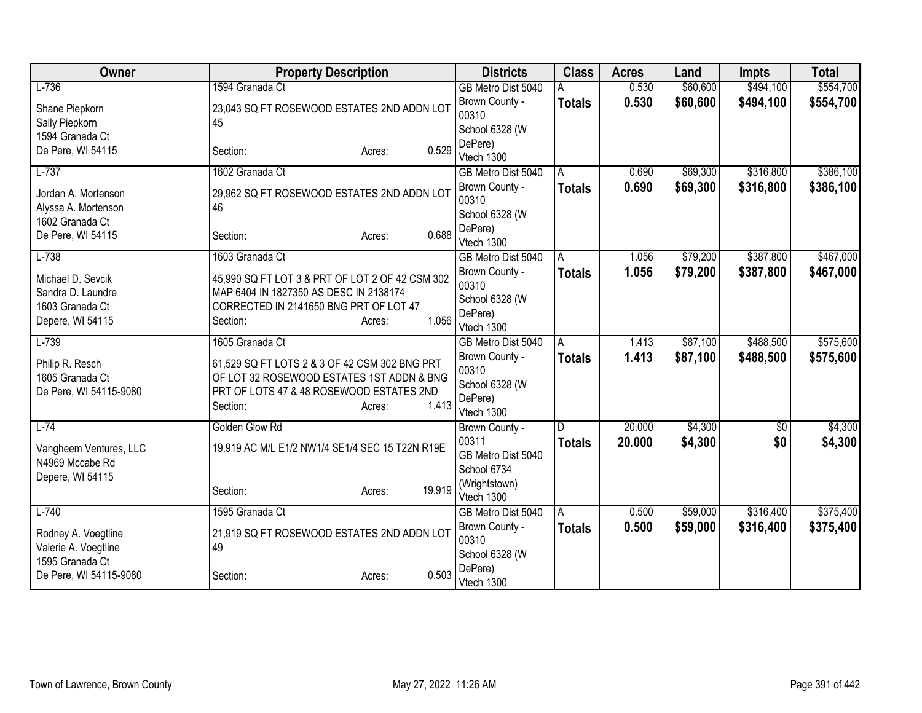| Owner                                                                         | <b>Property Description</b>                                                                                                                                           | <b>Districts</b>                                                   | <b>Class</b>  | <b>Acres</b> | Land     | <b>Impts</b> | <b>Total</b> |
|-------------------------------------------------------------------------------|-----------------------------------------------------------------------------------------------------------------------------------------------------------------------|--------------------------------------------------------------------|---------------|--------------|----------|--------------|--------------|
| $L-736$                                                                       | 1594 Granada Ct                                                                                                                                                       | GB Metro Dist 5040                                                 |               | 0.530        | \$60,600 | \$494,100    | \$554,700    |
| Shane Piepkorn<br>Sally Piepkorn                                              | 23,043 SQ FT ROSEWOOD ESTATES 2ND ADDN LOT<br>45                                                                                                                      | Brown County -<br>00310<br>School 6328 (W                          | <b>Totals</b> | 0.530        | \$60,600 | \$494,100    | \$554,700    |
| 1594 Granada Ct<br>De Pere, WI 54115                                          | 0.529<br>Section:<br>Acres:                                                                                                                                           | DePere)<br>Vtech 1300                                              |               |              |          |              |              |
| $L-737$                                                                       | 1602 Granada Ct                                                                                                                                                       | GB Metro Dist 5040                                                 | A             | 0.690        | \$69,300 | \$316,800    | \$386,100    |
| Jordan A. Mortenson<br>Alyssa A. Mortenson<br>1602 Granada Ct                 | 29,962 SQ FT ROSEWOOD ESTATES 2ND ADDN LOT<br>46                                                                                                                      | Brown County -<br>00310<br>School 6328 (W<br>DePere)               | <b>Totals</b> | 0.690        | \$69,300 | \$316,800    | \$386,100    |
| De Pere, WI 54115                                                             | 0.688<br>Section:<br>Acres:                                                                                                                                           | Vtech 1300                                                         |               |              |          |              |              |
| $L-738$                                                                       | 1603 Granada Ct                                                                                                                                                       | GB Metro Dist 5040                                                 | A             | 1.056        | \$79,200 | \$387,800    | \$467,000    |
| Michael D. Sevcik<br>Sandra D. Laundre<br>1603 Granada Ct<br>Depere, WI 54115 | 45,990 SQ FT LOT 3 & PRT OF LOT 2 OF 42 CSM 302<br>MAP 6404 IN 1827350 AS DESC IN 2138174<br>CORRECTED IN 2141650 BNG PRT OF LOT 47<br>1.056<br>Section:<br>Acres:    | Brown County -<br>00310<br>School 6328 (W<br>DePere)<br>Vtech 1300 | <b>Totals</b> | 1.056        | \$79,200 | \$387,800    | \$467,000    |
| $L-739$                                                                       | 1605 Granada Ct                                                                                                                                                       | GB Metro Dist 5040                                                 | A             | 1.413        | \$87,100 | \$488,500    | \$575,600    |
| Philip R. Resch<br>1605 Granada Ct<br>De Pere, WI 54115-9080                  | 61,529 SQ FT LOTS 2 & 3 OF 42 CSM 302 BNG PRT<br>OF LOT 32 ROSEWOOD ESTATES 1ST ADDN & BNG<br>PRT OF LOTS 47 & 48 ROSEWOOD ESTATES 2ND<br>1.413<br>Section:<br>Acres: | Brown County -<br>00310<br>School 6328 (W<br>DePere)<br>Vtech 1300 | <b>Totals</b> | 1.413        | \$87,100 | \$488,500    | \$575,600    |
| $L-74$                                                                        | Golden Glow Rd                                                                                                                                                        | Brown County -                                                     | D             | 20.000       | \$4,300  | $\sqrt{$0}$  | \$4,300      |
| Vangheem Ventures, LLC<br>N4969 Mccabe Rd<br>Depere, WI 54115                 | 19.919 AC M/L E1/2 NW1/4 SE1/4 SEC 15 T22N R19E                                                                                                                       | 00311<br>GB Metro Dist 5040<br>School 6734<br>(Wrightstown)        | <b>Totals</b> | 20.000       | \$4,300  | \$0          | \$4,300      |
|                                                                               | 19.919<br>Section:<br>Acres:                                                                                                                                          | Vtech 1300                                                         |               |              |          |              |              |
| $L-740$                                                                       | 1595 Granada Ct                                                                                                                                                       | GB Metro Dist 5040                                                 | l A           | 0.500        | \$59,000 | \$316,400    | \$375,400    |
| Rodney A. Voegtline<br>Valerie A. Voegtline<br>1595 Granada Ct                | 21,919 SQ FT ROSEWOOD ESTATES 2ND ADDN LOT<br>49                                                                                                                      | Brown County -<br>00310<br>School 6328 (W                          | <b>Totals</b> | 0.500        | \$59,000 | \$316,400    | \$375,400    |
| De Pere, WI 54115-9080                                                        | 0.503<br>Section:<br>Acres:                                                                                                                                           | DePere)<br>Vtech 1300                                              |               |              |          |              |              |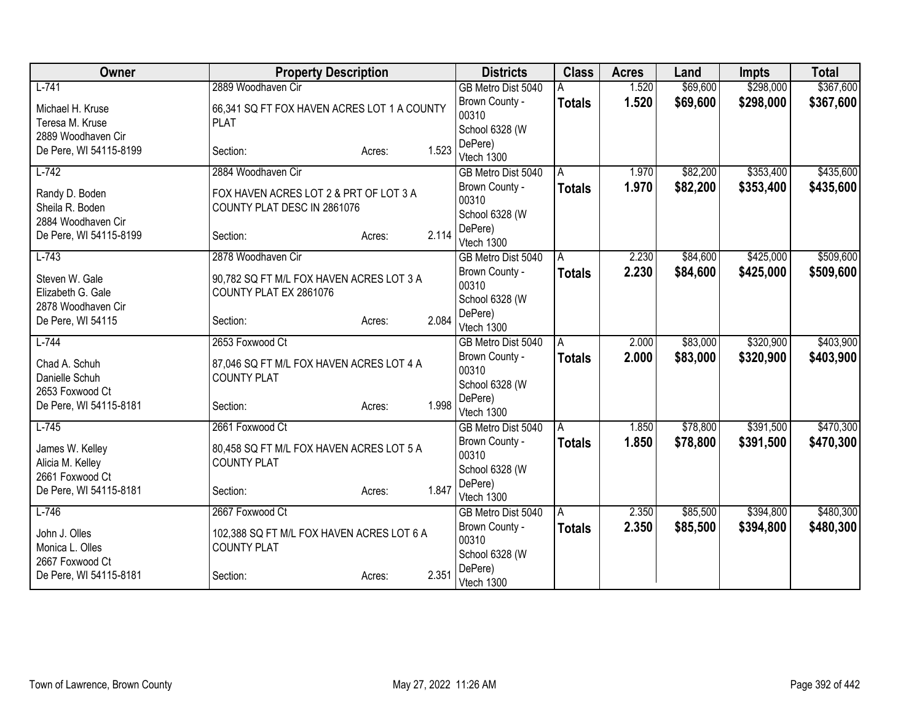| Owner                  | <b>Property Description</b>                 |        |       | <b>Districts</b>                     | <b>Class</b>  | <b>Acres</b> | Land     | Impts     | <b>Total</b> |
|------------------------|---------------------------------------------|--------|-------|--------------------------------------|---------------|--------------|----------|-----------|--------------|
| $L - 741$              | 2889 Woodhaven Cir                          |        |       | GB Metro Dist 5040                   |               | 1.520        | \$69,600 | \$298,000 | \$367,600    |
| Michael H. Kruse       | 66,341 SQ FT FOX HAVEN ACRES LOT 1 A COUNTY |        |       | Brown County -                       | <b>Totals</b> | 1.520        | \$69,600 | \$298,000 | \$367,600    |
| Teresa M. Kruse        | <b>PLAT</b>                                 |        |       | 00310                                |               |              |          |           |              |
| 2889 Woodhaven Cir     |                                             |        |       | School 6328 (W                       |               |              |          |           |              |
| De Pere, WI 54115-8199 | Section:                                    | Acres: | 1.523 | DePere)<br>Vtech 1300                |               |              |          |           |              |
| $L-742$                | 2884 Woodhaven Cir                          |        |       | GB Metro Dist 5040                   | A             | 1.970        | \$82,200 | \$353,400 | \$435,600    |
|                        |                                             |        |       | Brown County -                       | <b>Totals</b> | 1.970        | \$82,200 | \$353,400 | \$435,600    |
| Randy D. Boden         | FOX HAVEN ACRES LOT 2 & PRT OF LOT 3 A      |        |       | 00310                                |               |              |          |           |              |
| Sheila R. Boden        | COUNTY PLAT DESC IN 2861076                 |        |       | School 6328 (W                       |               |              |          |           |              |
| 2884 Woodhaven Cir     |                                             |        |       | DePere)                              |               |              |          |           |              |
| De Pere, WI 54115-8199 | Section:                                    | Acres: | 2.114 | Vtech 1300                           |               |              |          |           |              |
| $L-743$                | 2878 Woodhaven Cir                          |        |       | GB Metro Dist 5040                   | A             | 2.230        | \$84,600 | \$425,000 | \$509,600    |
| Steven W. Gale         | 90,782 SQ FT M/L FOX HAVEN ACRES LOT 3 A    |        |       | Brown County -                       | <b>Totals</b> | 2.230        | \$84,600 | \$425,000 | \$509,600    |
| Elizabeth G. Gale      | COUNTY PLAT EX 2861076                      |        |       | 00310                                |               |              |          |           |              |
| 2878 Woodhaven Cir     |                                             |        |       | School 6328 (W                       |               |              |          |           |              |
| De Pere, WI 54115      | Section:                                    | Acres: | 2.084 | DePere)                              |               |              |          |           |              |
| $L - 744$              | 2653 Foxwood Ct                             |        |       | Vtech 1300                           |               | 2.000        | \$83,000 | \$320,900 | \$403,900    |
|                        |                                             |        |       | GB Metro Dist 5040                   | A             | 2.000        | \$83,000 | \$320,900 |              |
| Chad A. Schuh          | 87,046 SQ FT M/L FOX HAVEN ACRES LOT 4 A    |        |       | Brown County -<br>00310              | <b>Totals</b> |              |          |           | \$403,900    |
| Danielle Schuh         | <b>COUNTY PLAT</b>                          |        |       | School 6328 (W                       |               |              |          |           |              |
| 2653 Foxwood Ct        |                                             |        |       | DePere)                              |               |              |          |           |              |
| De Pere, WI 54115-8181 | Section:                                    | Acres: | 1.998 | Vtech 1300                           |               |              |          |           |              |
| $L-745$                | 2661 Foxwood Ct                             |        |       | GB Metro Dist 5040                   | A             | 1.850        | \$78,800 | \$391,500 | \$470,300    |
| James W. Kelley        | 80,458 SQ FT M/L FOX HAVEN ACRES LOT 5 A    |        |       | Brown County -                       | <b>Totals</b> | 1.850        | \$78,800 | \$391,500 | \$470,300    |
| Alicia M. Kelley       | <b>COUNTY PLAT</b>                          |        |       | 00310                                |               |              |          |           |              |
| 2661 Foxwood Ct        |                                             |        |       | School 6328 (W                       |               |              |          |           |              |
| De Pere, WI 54115-8181 | Section:                                    | Acres: | 1.847 | DePere)                              |               |              |          |           |              |
| $L-746$                | 2667 Foxwood Ct                             |        |       | Vtech 1300                           |               | 2.350        | \$85,500 | \$394,800 | \$480,300    |
|                        |                                             |        |       | GB Metro Dist 5040<br>Brown County - | ΙA            | 2.350        |          |           |              |
| John J. Olles          | 102,388 SQ FT M/L FOX HAVEN ACRES LOT 6 A   |        |       | 00310                                | <b>Totals</b> |              | \$85,500 | \$394,800 | \$480,300    |
| Monica L. Olles        | <b>COUNTY PLAT</b>                          |        |       | School 6328 (W                       |               |              |          |           |              |
| 2667 Foxwood Ct        |                                             |        |       | DePere)                              |               |              |          |           |              |
| De Pere, WI 54115-8181 | Section:                                    | Acres: | 2.351 | Vtech 1300                           |               |              |          |           |              |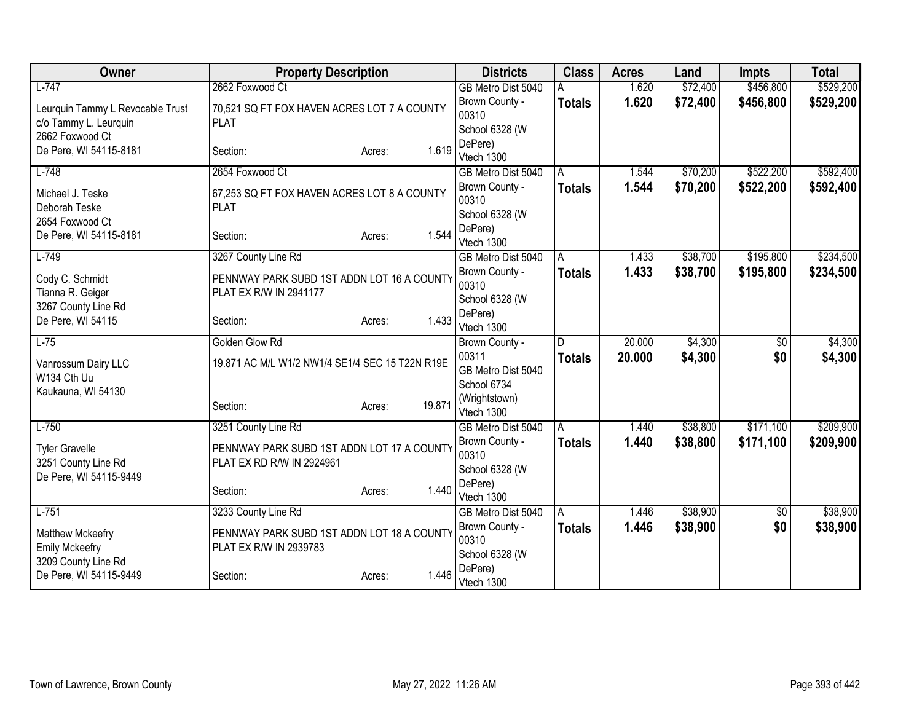| Owner                            | <b>Property Description</b>                     |                  | <b>Districts</b>        | <b>Class</b>  | <b>Acres</b> | Land     | <b>Impts</b> | <b>Total</b> |
|----------------------------------|-------------------------------------------------|------------------|-------------------------|---------------|--------------|----------|--------------|--------------|
| $L-747$                          | 2662 Foxwood Ct                                 |                  | GB Metro Dist 5040      |               | 1.620        | \$72,400 | \$456,800    | \$529,200    |
| Leurquin Tammy L Revocable Trust | 70,521 SQ FT FOX HAVEN ACRES LOT 7 A COUNTY     |                  | Brown County -          | <b>Totals</b> | 1.620        | \$72,400 | \$456,800    | \$529,200    |
| c/o Tammy L. Leurquin            | <b>PLAT</b>                                     |                  | 00310                   |               |              |          |              |              |
| 2662 Foxwood Ct                  |                                                 |                  | School 6328 (W          |               |              |          |              |              |
| De Pere, WI 54115-8181           | Section:                                        | 1.619<br>Acres:  | DePere)<br>Vtech 1300   |               |              |          |              |              |
| $L-748$                          | 2654 Foxwood Ct                                 |                  | GB Metro Dist 5040      | A             | 1.544        | \$70,200 | \$522,200    | \$592,400    |
|                                  |                                                 |                  | Brown County -          | <b>Totals</b> | 1.544        | \$70,200 | \$522,200    | \$592,400    |
| Michael J. Teske                 | 67,253 SQ FT FOX HAVEN ACRES LOT 8 A COUNTY     |                  | 00310                   |               |              |          |              |              |
| Deborah Teske                    | <b>PLAT</b>                                     |                  | School 6328 (W          |               |              |          |              |              |
| 2654 Foxwood Ct                  |                                                 |                  | DePere)                 |               |              |          |              |              |
| De Pere, WI 54115-8181           | Section:                                        | 1.544<br>Acres:  | Vtech 1300              |               |              |          |              |              |
| $L-749$                          | 3267 County Line Rd                             |                  | GB Metro Dist 5040      | A             | 1.433        | \$38,700 | \$195,800    | \$234,500    |
| Cody C. Schmidt                  | PENNWAY PARK SUBD 1ST ADDN LOT 16 A COUNTY      |                  | Brown County -          | <b>Totals</b> | 1.433        | \$38,700 | \$195,800    | \$234,500    |
| Tianna R. Geiger                 | PLAT EX R/W IN 2941177                          |                  | 00310                   |               |              |          |              |              |
| 3267 County Line Rd              |                                                 |                  | School 6328 (W          |               |              |          |              |              |
| De Pere, WI 54115                | Section:                                        | 1.433<br>Acres:  | DePere)                 |               |              |          |              |              |
|                                  |                                                 |                  | Vtech 1300              |               |              |          |              |              |
| $L-75$                           | Golden Glow Rd                                  |                  | Brown County -<br>00311 | D             | 20.000       | \$4,300  | \$0          | \$4,300      |
| Vanrossum Dairy LLC              | 19.871 AC M/L W1/2 NW1/4 SE1/4 SEC 15 T22N R19E |                  | GB Metro Dist 5040      | <b>Totals</b> | 20.000       | \$4,300  | \$0          | \$4,300      |
| W134 Cth Uu                      |                                                 |                  | School 6734             |               |              |          |              |              |
| Kaukauna, WI 54130               |                                                 |                  | (Wrightstown)           |               |              |          |              |              |
|                                  | Section:                                        | 19.871<br>Acres: | Vtech 1300              |               |              |          |              |              |
| $L-750$                          | 3251 County Line Rd                             |                  | GB Metro Dist 5040      | A             | 1.440        | \$38,800 | \$171,100    | \$209,900    |
| <b>Tyler Gravelle</b>            | PENNWAY PARK SUBD 1ST ADDN LOT 17 A COUNTY      |                  | Brown County -          | <b>Totals</b> | 1.440        | \$38,800 | \$171,100    | \$209,900    |
| 3251 County Line Rd              | PLAT EX RD R/W IN 2924961                       |                  | 00310                   |               |              |          |              |              |
| De Pere, WI 54115-9449           |                                                 |                  | School 6328 (W          |               |              |          |              |              |
|                                  | Section:                                        | 1.440<br>Acres:  | DePere)                 |               |              |          |              |              |
|                                  |                                                 |                  | Vtech 1300              |               |              |          |              |              |
| $L-751$                          | 3233 County Line Rd                             |                  | GB Metro Dist 5040      | A             | 1.446        | \$38,900 | \$0          | \$38,900     |
| Matthew Mckeefry                 | PENNWAY PARK SUBD 1ST ADDN LOT 18 A COUNTY      |                  | Brown County -<br>00310 | <b>Totals</b> | 1.446        | \$38,900 | \$0          | \$38,900     |
| <b>Emily Mckeefry</b>            | PLAT EX R/W IN 2939783                          |                  | School 6328 (W          |               |              |          |              |              |
| 3209 County Line Rd              |                                                 |                  | DePere)                 |               |              |          |              |              |
| De Pere, WI 54115-9449           | Section:                                        | 1.446<br>Acres:  | Vtech 1300              |               |              |          |              |              |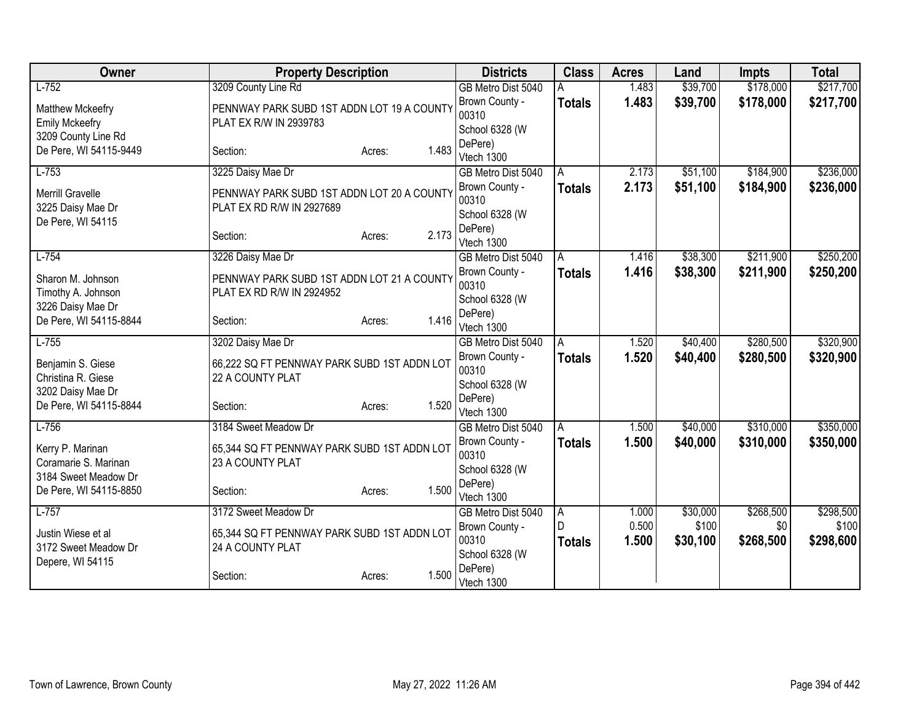| Owner                  | <b>Property Description</b>                 |                 | <b>Districts</b>                 | <b>Class</b>  | <b>Acres</b>   | Land              | <b>Impts</b>     | <b>Total</b>       |
|------------------------|---------------------------------------------|-----------------|----------------------------------|---------------|----------------|-------------------|------------------|--------------------|
| $L-752$                | 3209 County Line Rd                         |                 | GB Metro Dist 5040               |               | 1.483          | \$39,700          | \$178,000        | \$217,700          |
| Matthew Mckeefry       | PENNWAY PARK SUBD 1ST ADDN LOT 19 A COUNTY  |                 | Brown County -                   | <b>Totals</b> | 1.483          | \$39,700          | \$178,000        | \$217,700          |
| <b>Emily Mckeefry</b>  | PLAT EX R/W IN 2939783                      |                 | 00310                            |               |                |                   |                  |                    |
| 3209 County Line Rd    |                                             |                 | School 6328 (W                   |               |                |                   |                  |                    |
| De Pere, WI 54115-9449 | Section:                                    | 1.483<br>Acres: | DePere)                          |               |                |                   |                  |                    |
| $L-753$                | 3225 Daisy Mae Dr                           |                 | Vtech 1300<br>GB Metro Dist 5040 | A             | 2.173          | \$51,100          | \$184,900        | \$236,000          |
|                        |                                             |                 | Brown County -                   |               | 2.173          | \$51,100          | \$184,900        | \$236,000          |
| Merrill Gravelle       | PENNWAY PARK SUBD 1ST ADDN LOT 20 A COUNTY  |                 | 00310                            | <b>Totals</b> |                |                   |                  |                    |
| 3225 Daisy Mae Dr      | PLAT EX RD R/W IN 2927689                   |                 | School 6328 (W                   |               |                |                   |                  |                    |
| De Pere, WI 54115      |                                             |                 | DePere)                          |               |                |                   |                  |                    |
|                        | Section:                                    | 2.173<br>Acres: | Vtech 1300                       |               |                |                   |                  |                    |
| $L-754$                | 3226 Daisy Mae Dr                           |                 | GB Metro Dist 5040               | A             | 1.416          | \$38,300          | \$211,900        | \$250,200          |
| Sharon M. Johnson      | PENNWAY PARK SUBD 1ST ADDN LOT 21 A COUNTY  |                 | Brown County -                   | <b>Totals</b> | 1.416          | \$38,300          | \$211,900        | \$250,200          |
| Timothy A. Johnson     | PLAT EX RD R/W IN 2924952                   |                 | 00310                            |               |                |                   |                  |                    |
| 3226 Daisy Mae Dr      |                                             |                 | School 6328 (W                   |               |                |                   |                  |                    |
| De Pere, WI 54115-8844 | Section:                                    | 1.416<br>Acres: | DePere)                          |               |                |                   |                  |                    |
|                        |                                             |                 | Vtech 1300                       |               |                |                   |                  |                    |
| $L-755$                | 3202 Daisy Mae Dr                           |                 | GB Metro Dist 5040               | A             | 1.520          | \$40,400          | \$280,500        | \$320,900          |
| Benjamin S. Giese      | 66,222 SQ FT PENNWAY PARK SUBD 1ST ADDN LOT |                 | Brown County -<br>00310          | <b>Totals</b> | 1.520          | \$40,400          | \$280,500        | \$320,900          |
| Christina R. Giese     | 22 A COUNTY PLAT                            |                 | School 6328 (W                   |               |                |                   |                  |                    |
| 3202 Daisy Mae Dr      |                                             |                 | DePere)                          |               |                |                   |                  |                    |
| De Pere, WI 54115-8844 | Section:                                    | 1.520<br>Acres: | Vtech 1300                       |               |                |                   |                  |                    |
| $L-756$                | 3184 Sweet Meadow Dr                        |                 | GB Metro Dist 5040               | A             | 1.500          | \$40,000          | \$310,000        | \$350,000          |
| Kerry P. Marinan       | 65,344 SQ FT PENNWAY PARK SUBD 1ST ADDN LOT |                 | Brown County -                   | <b>Totals</b> | 1.500          | \$40,000          | \$310,000        | \$350,000          |
| Coramarie S. Marinan   | 23 A COUNTY PLAT                            |                 | 00310                            |               |                |                   |                  |                    |
| 3184 Sweet Meadow Dr   |                                             |                 | School 6328 (W                   |               |                |                   |                  |                    |
| De Pere, WI 54115-8850 | Section:                                    | 1.500<br>Acres: | DePere)                          |               |                |                   |                  |                    |
|                        |                                             |                 | Vtech 1300                       |               |                |                   |                  |                    |
| $L-757$                | 3172 Sweet Meadow Dr                        |                 | GB Metro Dist 5040               | A<br>D        | 1.000<br>0.500 | \$30,000<br>\$100 | \$268,500<br>\$0 | \$298,500<br>\$100 |
| Justin Wiese et al     | 65,344 SQ FT PENNWAY PARK SUBD 1ST ADDN LOT |                 | Brown County -<br>00310          |               |                |                   |                  |                    |
| 3172 Sweet Meadow Dr   | 24 A COUNTY PLAT                            |                 | School 6328 (W                   | <b>Totals</b> | 1.500          | \$30,100          | \$268,500        | \$298,600          |
| Depere, WI 54115       |                                             |                 | DePere)                          |               |                |                   |                  |                    |
|                        | Section:                                    | 1.500<br>Acres: | Vtech 1300                       |               |                |                   |                  |                    |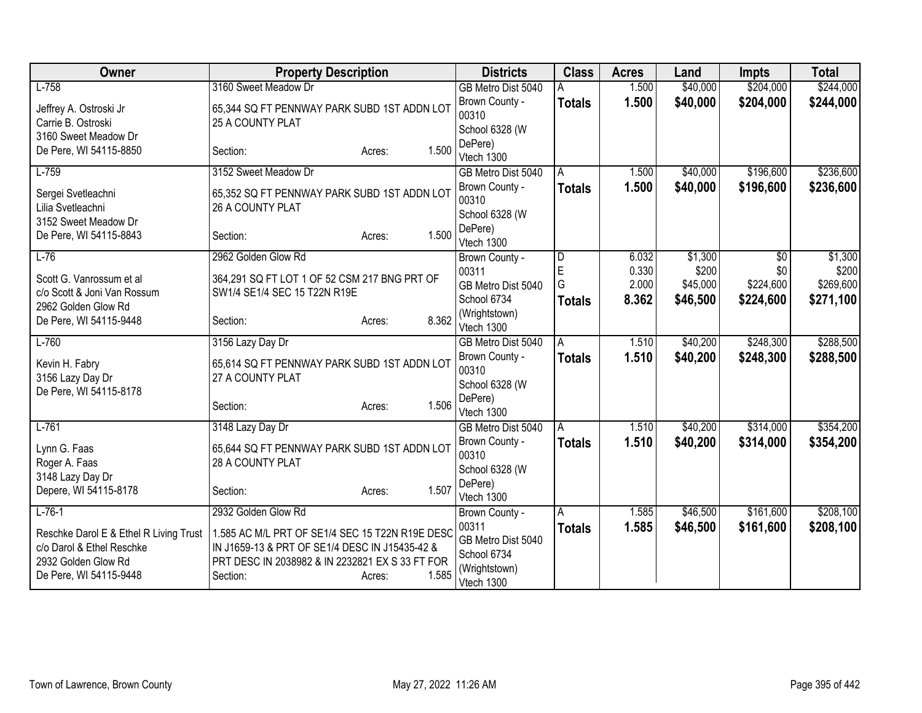| Owner                                  | <b>Property Description</b>                                     |                 | <b>Districts</b>                  | <b>Class</b>  | <b>Acres</b> | Land     | <b>Impts</b> | <b>Total</b> |
|----------------------------------------|-----------------------------------------------------------------|-----------------|-----------------------------------|---------------|--------------|----------|--------------|--------------|
| $L-758$                                | 3160 Sweet Meadow Dr                                            |                 | GB Metro Dist 5040                |               | 1.500        | \$40,000 | \$204,000    | \$244,000    |
| Jeffrey A. Ostroski Jr                 | 65,344 SQ FT PENNWAY PARK SUBD 1ST ADDN LOT                     |                 | Brown County -                    | <b>Totals</b> | 1.500        | \$40,000 | \$204,000    | \$244,000    |
| Carrie B. Ostroski                     | 25 A COUNTY PLAT                                                |                 | 00310                             |               |              |          |              |              |
| 3160 Sweet Meadow Dr                   |                                                                 |                 | School 6328 (W                    |               |              |          |              |              |
| De Pere, WI 54115-8850                 | Section:                                                        | 1.500<br>Acres: | DePere)<br>Vtech 1300             |               |              |          |              |              |
| $L-759$                                | 3152 Sweet Meadow Dr                                            |                 | GB Metro Dist 5040                | A             | 1.500        | \$40,000 | \$196,600    | \$236,600    |
|                                        |                                                                 |                 | Brown County -                    | <b>Totals</b> | 1.500        | \$40,000 | \$196,600    | \$236,600    |
| Sergei Svetleachni                     | 65,352 SQ FT PENNWAY PARK SUBD 1ST ADDN LOT                     |                 | 00310                             |               |              |          |              |              |
| Lilia Svetleachni                      | 26 A COUNTY PLAT                                                |                 | School 6328 (W                    |               |              |          |              |              |
| 3152 Sweet Meadow Dr                   |                                                                 |                 | DePere)                           |               |              |          |              |              |
| De Pere, WI 54115-8843                 | Section:                                                        | 1.500<br>Acres: | Vtech 1300                        |               |              |          |              |              |
| $L-76$                                 | 2962 Golden Glow Rd                                             |                 | Brown County -                    | D             | 6.032        | \$1,300  | \$0          | \$1,300      |
| Scott G. Vanrossum et al               | 364,291 SQ FT LOT 1 OF 52 CSM 217 BNG PRT OF                    |                 | 00311                             | E             | 0.330        | \$200    | \$0          | \$200        |
| c/o Scott & Joni Van Rossum            | SW1/4 SE1/4 SEC 15 T22N R19E                                    |                 | GB Metro Dist 5040                | G             | 2.000        | \$45,000 | \$224,600    | \$269,600    |
| 2962 Golden Glow Rd                    |                                                                 |                 | School 6734                       | <b>Totals</b> | 8.362        | \$46,500 | \$224,600    | \$271,100    |
| De Pere, WI 54115-9448                 | Section:                                                        | 8.362<br>Acres: | (Wrightstown)                     |               |              |          |              |              |
|                                        |                                                                 |                 | Vtech 1300                        |               |              |          |              |              |
| $L-760$                                | 3156 Lazy Day Dr                                                |                 | GB Metro Dist 5040                | A             | 1.510        | \$40,200 | \$248,300    | \$288,500    |
| Kevin H. Fabry                         | 65,614 SQ FT PENNWAY PARK SUBD 1ST ADDN LOT                     |                 | Brown County -<br>00310           | <b>Totals</b> | 1.510        | \$40,200 | \$248,300    | \$288,500    |
| 3156 Lazy Day Dr                       | 27 A COUNTY PLAT                                                |                 | School 6328 (W                    |               |              |          |              |              |
| De Pere, WI 54115-8178                 |                                                                 |                 | DePere)                           |               |              |          |              |              |
|                                        | Section:                                                        | 1.506<br>Acres: | Vtech 1300                        |               |              |          |              |              |
| $L-761$                                | 3148 Lazy Day Dr                                                |                 | GB Metro Dist 5040                | A             | 1.510        | \$40,200 | \$314,000    | \$354,200    |
|                                        |                                                                 |                 | Brown County -                    | <b>Totals</b> | 1.510        | \$40,200 | \$314,000    | \$354,200    |
| Lynn G. Faas<br>Roger A. Faas          | 65,644 SQ FT PENNWAY PARK SUBD 1ST ADDN LOT<br>28 A COUNTY PLAT |                 | 00310                             |               |              |          |              |              |
| 3148 Lazy Day Dr                       |                                                                 |                 | School 6328 (W                    |               |              |          |              |              |
| Depere, WI 54115-8178                  | Section:                                                        | 1.507<br>Acres: | DePere)                           |               |              |          |              |              |
|                                        |                                                                 |                 | Vtech 1300                        |               |              |          |              |              |
| $L-76-1$                               | 2932 Golden Glow Rd                                             |                 | Brown County -                    | A             | 1.585        | \$46,500 | \$161,600    | \$208,100    |
| Reschke Darol E & Ethel R Living Trust | 1.585 AC M/L PRT OF SE1/4 SEC 15 T22N R19E DESC                 |                 | 00311                             | <b>Totals</b> | 1.585        | \$46,500 | \$161,600    | \$208,100    |
| c/o Darol & Ethel Reschke              | IN J1659-13 & PRT OF SE1/4 DESC IN J15435-42 &                  |                 | GB Metro Dist 5040<br>School 6734 |               |              |          |              |              |
| 2932 Golden Glow Rd                    | PRT DESC IN 2038982 & IN 2232821 EX S 33 FT FOR                 |                 | (Wrightstown)                     |               |              |          |              |              |
| De Pere, WI 54115-9448                 | Section:                                                        | 1.585<br>Acres: | Vtech 1300                        |               |              |          |              |              |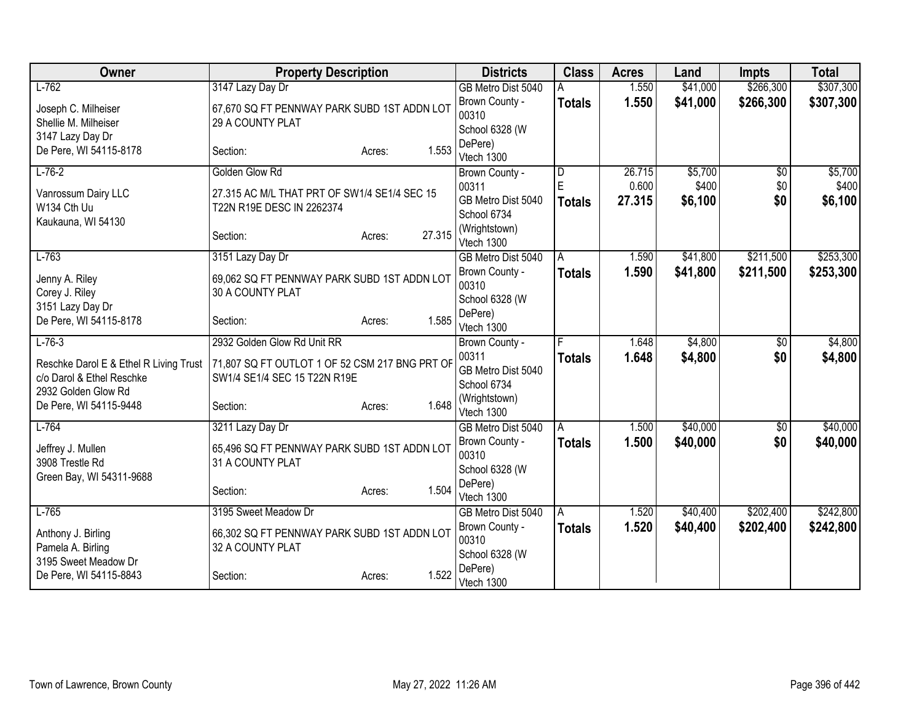| Owner                                  | <b>Property Description</b>                    |                  | <b>Districts</b>      | <b>Class</b>            | <b>Acres</b> | Land     | <b>Impts</b>    | <b>Total</b> |
|----------------------------------------|------------------------------------------------|------------------|-----------------------|-------------------------|--------------|----------|-----------------|--------------|
| $L-762$                                | 3147 Lazy Day Dr                               |                  | GB Metro Dist 5040    |                         | 1.550        | \$41,000 | \$266,300       | \$307,300    |
| Joseph C. Milheiser                    | 67,670 SQ FT PENNWAY PARK SUBD 1ST ADDN LOT    |                  | Brown County -        | <b>Totals</b>           | 1.550        | \$41,000 | \$266,300       | \$307,300    |
| Shellie M. Milheiser                   | 29 A COUNTY PLAT                               |                  | 00310                 |                         |              |          |                 |              |
| 3147 Lazy Day Dr                       |                                                |                  | School 6328 (W        |                         |              |          |                 |              |
| De Pere, WI 54115-8178                 | Section:                                       | 1.553<br>Acres:  | DePere)               |                         |              |          |                 |              |
|                                        |                                                |                  | Vtech 1300            |                         |              |          |                 |              |
| $L-76-2$                               | Golden Glow Rd                                 |                  | Brown County -        | $\overline{\mathsf{D}}$ | 26.715       | \$5,700  | $\overline{50}$ | \$5,700      |
| Vanrossum Dairy LLC                    | 27.315 AC M/L THAT PRT OF SW1/4 SE1/4 SEC 15   |                  | 00311                 | E                       | 0.600        | \$400    | \$0             | \$400        |
| W134 Cth Uu                            | T22N R19E DESC IN 2262374                      |                  | GB Metro Dist 5040    | <b>Totals</b>           | 27.315       | \$6,100  | \$0             | \$6,100      |
| Kaukauna, WI 54130                     |                                                |                  | School 6734           |                         |              |          |                 |              |
|                                        | Section:                                       | 27.315<br>Acres: | (Wrightstown)         |                         |              |          |                 |              |
|                                        |                                                |                  | Vtech 1300            |                         |              |          |                 |              |
| $L-763$                                | 3151 Lazy Day Dr                               |                  | GB Metro Dist 5040    | A                       | 1.590        | \$41,800 | \$211,500       | \$253,300    |
| Jenny A. Riley                         | 69,062 SQ FT PENNWAY PARK SUBD 1ST ADDN LOT    |                  | Brown County -        | <b>Totals</b>           | 1.590        | \$41,800 | \$211,500       | \$253,300    |
| Corey J. Riley                         | 30 A COUNTY PLAT                               |                  | 00310                 |                         |              |          |                 |              |
| 3151 Lazy Day Dr                       |                                                |                  | School 6328 (W        |                         |              |          |                 |              |
| De Pere, WI 54115-8178                 | Section:                                       | 1.585<br>Acres:  | DePere)<br>Vtech 1300 |                         |              |          |                 |              |
| $L-76-3$                               | 2932 Golden Glow Rd Unit RR                    |                  | Brown County -        | E                       | 1.648        | \$4,800  | $\overline{50}$ | \$4,800      |
|                                        |                                                |                  | 00311                 |                         | 1.648        | \$4,800  | \$0             |              |
| Reschke Darol E & Ethel R Living Trust | 71,807 SQ FT OUTLOT 1 OF 52 CSM 217 BNG PRT OF |                  | GB Metro Dist 5040    | <b>Totals</b>           |              |          |                 | \$4,800      |
| c/o Darol & Ethel Reschke              | SW1/4 SE1/4 SEC 15 T22N R19E                   |                  | School 6734           |                         |              |          |                 |              |
| 2932 Golden Glow Rd                    |                                                |                  | (Wrightstown)         |                         |              |          |                 |              |
| De Pere, WI 54115-9448                 | Section:                                       | 1.648<br>Acres:  | Vtech 1300            |                         |              |          |                 |              |
| $L-764$                                | 3211 Lazy Day Dr                               |                  | GB Metro Dist 5040    | A                       | 1.500        | \$40,000 | $\overline{50}$ | \$40,000     |
|                                        |                                                |                  | Brown County -        | <b>Totals</b>           | 1.500        | \$40,000 | \$0             | \$40,000     |
| Jeffrey J. Mullen                      | 65,496 SQ FT PENNWAY PARK SUBD 1ST ADDN LOT    |                  | 00310                 |                         |              |          |                 |              |
| 3908 Trestle Rd                        | 31 A COUNTY PLAT                               |                  | School 6328 (W        |                         |              |          |                 |              |
| Green Bay, WI 54311-9688               |                                                |                  | DePere)               |                         |              |          |                 |              |
|                                        | Section:                                       | 1.504<br>Acres:  | Vtech 1300            |                         |              |          |                 |              |
| $L-765$                                | 3195 Sweet Meadow Dr                           |                  | GB Metro Dist 5040    | A                       | 1.520        | \$40,400 | \$202,400       | \$242,800    |
| Anthony J. Birling                     | 66,302 SQ FT PENNWAY PARK SUBD 1ST ADDN LOT    |                  | Brown County -        | <b>Totals</b>           | 1.520        | \$40,400 | \$202,400       | \$242,800    |
| Pamela A. Birling                      | 32 A COUNTY PLAT                               |                  | 00310                 |                         |              |          |                 |              |
| 3195 Sweet Meadow Dr                   |                                                |                  | School 6328 (W        |                         |              |          |                 |              |
| De Pere, WI 54115-8843                 | Section:                                       | 1.522<br>Acres:  | DePere)               |                         |              |          |                 |              |
|                                        |                                                |                  | Vtech 1300            |                         |              |          |                 |              |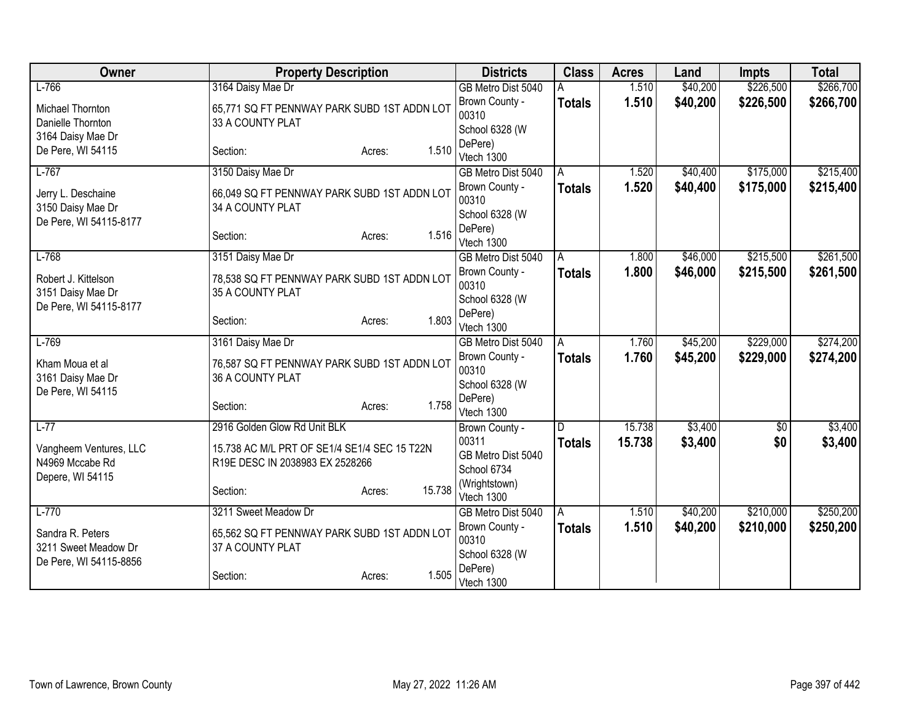| Owner                                       | <b>Property Description</b>                  |                  | <b>Districts</b>        | <b>Class</b>  | <b>Acres</b> | Land     | <b>Impts</b> | <b>Total</b> |
|---------------------------------------------|----------------------------------------------|------------------|-------------------------|---------------|--------------|----------|--------------|--------------|
| $L-766$                                     | 3164 Daisy Mae Dr                            |                  | GB Metro Dist 5040      |               | 1.510        | \$40,200 | \$226,500    | \$266,700    |
| Michael Thornton                            | 65,771 SQ FT PENNWAY PARK SUBD 1ST ADDN LOT  |                  | Brown County -          | <b>Totals</b> | 1.510        | \$40,200 | \$226,500    | \$266,700    |
| Danielle Thornton                           | 33 A COUNTY PLAT                             |                  | 00310                   |               |              |          |              |              |
| 3164 Daisy Mae Dr                           |                                              |                  | School 6328 (W          |               |              |          |              |              |
| De Pere, WI 54115                           | Section:                                     | 1.510<br>Acres:  | DePere)<br>Vtech 1300   |               |              |          |              |              |
| $L-767$                                     | 3150 Daisy Mae Dr                            |                  | GB Metro Dist 5040      | A             | 1.520        | \$40,400 | \$175,000    | \$215,400    |
|                                             |                                              |                  | Brown County -          | <b>Totals</b> | 1.520        | \$40,400 | \$175,000    | \$215,400    |
| Jerry L. Deschaine                          | 66,049 SQ FT PENNWAY PARK SUBD 1ST ADDN LOT  |                  | 00310                   |               |              |          |              |              |
| 3150 Daisy Mae Dr<br>De Pere, WI 54115-8177 | 34 A COUNTY PLAT                             |                  | School 6328 (W          |               |              |          |              |              |
|                                             | Section:                                     | 1.516<br>Acres:  | DePere)                 |               |              |          |              |              |
|                                             |                                              |                  | Vtech 1300              |               |              |          |              |              |
| $L-768$                                     | 3151 Daisy Mae Dr                            |                  | GB Metro Dist 5040      | A             | 1.800        | \$46,000 | \$215,500    | \$261,500    |
| Robert J. Kittelson                         | 78,538 SQ FT PENNWAY PARK SUBD 1ST ADDN LOT  |                  | Brown County -          | <b>Totals</b> | 1.800        | \$46,000 | \$215,500    | \$261,500    |
| 3151 Daisy Mae Dr                           | 35 A COUNTY PLAT                             |                  | 00310<br>School 6328 (W |               |              |          |              |              |
| De Pere, WI 54115-8177                      |                                              |                  | DePere)                 |               |              |          |              |              |
|                                             | Section:                                     | 1.803<br>Acres:  | Vtech 1300              |               |              |          |              |              |
| $L-769$                                     | 3161 Daisy Mae Dr                            |                  | GB Metro Dist 5040      | A             | 1.760        | \$45,200 | \$229,000    | \$274,200    |
| Kham Moua et al                             | 76,587 SQ FT PENNWAY PARK SUBD 1ST ADDN LOT  |                  | Brown County -          | <b>Totals</b> | 1.760        | \$45,200 | \$229,000    | \$274,200    |
| 3161 Daisy Mae Dr                           | 36 A COUNTY PLAT                             |                  | 00310                   |               |              |          |              |              |
| De Pere, WI 54115                           |                                              |                  | School 6328 (W          |               |              |          |              |              |
|                                             | Section:                                     | 1.758<br>Acres:  | DePere)<br>Vtech 1300   |               |              |          |              |              |
| $L-77$                                      | 2916 Golden Glow Rd Unit BLK                 |                  | Brown County -          | D             | 15.738       | \$3,400  | $\sqrt{$0}$  | \$3,400      |
|                                             |                                              |                  | 00311                   | <b>Totals</b> | 15.738       | \$3,400  | \$0          | \$3,400      |
| Vangheem Ventures, LLC                      | 15.738 AC M/L PRT OF SE1/4 SE1/4 SEC 15 T22N |                  | GB Metro Dist 5040      |               |              |          |              |              |
| N4969 Mccabe Rd                             | R19E DESC IN 2038983 EX 2528266              |                  | School 6734             |               |              |          |              |              |
| Depere, WI 54115                            | Section:                                     | 15.738<br>Acres: | (Wrightstown)           |               |              |          |              |              |
|                                             |                                              |                  | Vtech 1300              |               |              |          |              |              |
| $L-770$                                     | 3211 Sweet Meadow Dr                         |                  | GB Metro Dist 5040      | A             | 1.510        | \$40,200 | \$210,000    | \$250,200    |
| Sandra R. Peters                            | 65,562 SQ FT PENNWAY PARK SUBD 1ST ADDN LOT  |                  | Brown County -          | <b>Totals</b> | 1.510        | \$40,200 | \$210,000    | \$250,200    |
| 3211 Sweet Meadow Dr                        | 37 A COUNTY PLAT                             |                  | 00310<br>School 6328 (W |               |              |          |              |              |
| De Pere, WI 54115-8856                      |                                              |                  | DePere)                 |               |              |          |              |              |
|                                             | Section:                                     | 1.505<br>Acres:  | Vtech 1300              |               |              |          |              |              |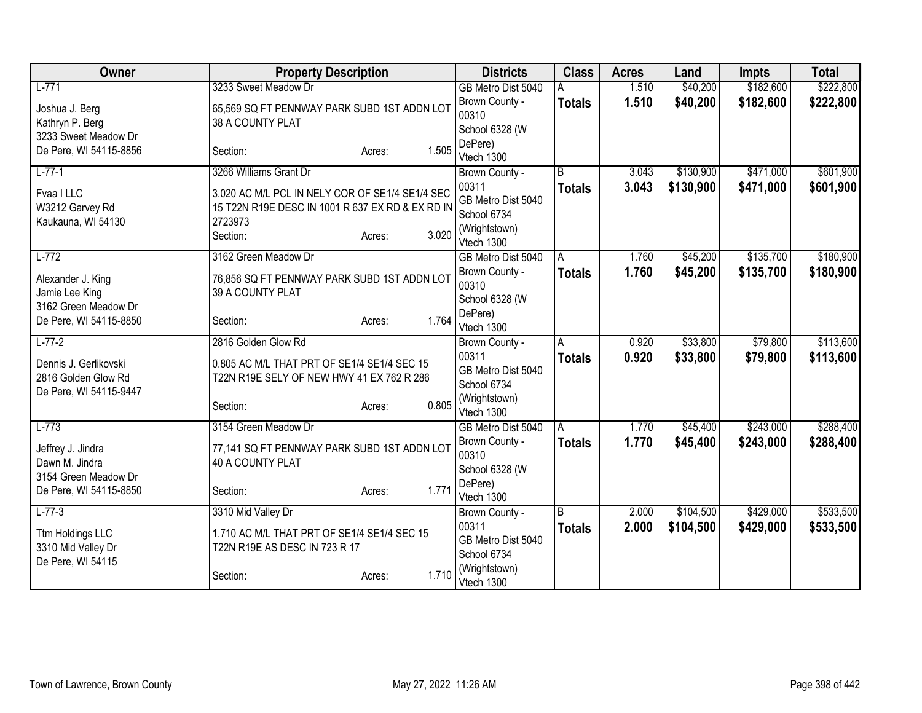| Owner                                                                  | <b>Property Description</b>                                                                                                |                 | <b>Districts</b>                                                          | <b>Class</b>   | <b>Acres</b> | Land      | <b>Impts</b> | <b>Total</b> |
|------------------------------------------------------------------------|----------------------------------------------------------------------------------------------------------------------------|-----------------|---------------------------------------------------------------------------|----------------|--------------|-----------|--------------|--------------|
| $L-771$                                                                | 3233 Sweet Meadow Dr                                                                                                       |                 | GB Metro Dist 5040                                                        |                | 1.510        | \$40,200  | \$182,600    | \$222,800    |
| Joshua J. Berg<br>Kathryn P. Berg<br>3233 Sweet Meadow Dr              | 65,569 SQ FT PENNWAY PARK SUBD 1ST ADDN LOT<br>38 A COUNTY PLAT                                                            |                 | Brown County -<br>00310<br>School 6328 (W                                 | <b>Totals</b>  | 1.510        | \$40,200  | \$182,600    | \$222,800    |
| De Pere, WI 54115-8856                                                 | Section:                                                                                                                   | 1.505<br>Acres: | DePere)<br>Vtech 1300                                                     |                |              |           |              |              |
| $L-77-1$                                                               | 3266 Williams Grant Dr                                                                                                     |                 | Brown County -                                                            | B              | 3.043        | \$130,900 | \$471,000    | \$601,900    |
| Fvaa I LLC<br>W3212 Garvey Rd<br>Kaukauna, WI 54130                    | 3.020 AC M/L PCL IN NELY COR OF SE1/4 SE1/4 SEC<br>15 T22N R19E DESC IN 1001 R 637 EX RD & EX RD IN<br>2723973<br>Section: | 3.020<br>Acres: | 00311<br>GB Metro Dist 5040<br>School 6734<br>(Wrightstown)<br>Vtech 1300 | <b>Totals</b>  | 3.043        | \$130,900 | \$471,000    | \$601,900    |
| $L-772$                                                                | 3162 Green Meadow Dr                                                                                                       |                 | GB Metro Dist 5040                                                        | A              | 1.760        | \$45,200  | \$135,700    | \$180,900    |
| Alexander J. King<br>Jamie Lee King<br>3162 Green Meadow Dr            | 76,856 SQ FT PENNWAY PARK SUBD 1ST ADDN LOT<br>39 A COUNTY PLAT                                                            |                 | Brown County -<br>00310<br>School 6328 (W                                 | <b>Totals</b>  | 1.760        | \$45,200  | \$135,700    | \$180,900    |
| De Pere, WI 54115-8850                                                 | Section:                                                                                                                   | 1.764<br>Acres: | DePere)<br>Vtech 1300                                                     |                |              |           |              |              |
| $L-77-2$                                                               | 2816 Golden Glow Rd                                                                                                        |                 | Brown County -                                                            | A              | 0.920        | \$33,800  | \$79,800     | \$113,600    |
| Dennis J. Gerlikovski<br>2816 Golden Glow Rd<br>De Pere, WI 54115-9447 | 0.805 AC M/L THAT PRT OF SE1/4 SE1/4 SEC 15<br>T22N R19E SELY OF NEW HWY 41 EX 762 R 286<br>Section:                       | 0.805<br>Acres: | 00311<br>GB Metro Dist 5040<br>School 6734<br>(Wrightstown)               | <b>Totals</b>  | 0.920        | \$33,800  | \$79,800     | \$113,600    |
| $L-773$                                                                | 3154 Green Meadow Dr                                                                                                       |                 | Vtech 1300<br>GB Metro Dist 5040                                          | A              | 1.770        | \$45,400  | \$243,000    | \$288,400    |
| Jeffrey J. Jindra<br>Dawn M. Jindra<br>3154 Green Meadow Dr            | 77,141 SQ FT PENNWAY PARK SUBD 1ST ADDN LOT<br>40 A COUNTY PLAT                                                            |                 | Brown County -<br>00310<br>School 6328 (W                                 | <b>Totals</b>  | 1.770        | \$45,400  | \$243,000    | \$288,400    |
| De Pere, WI 54115-8850                                                 | Section:                                                                                                                   | 1.771<br>Acres: | DePere)<br>Vtech 1300                                                     |                |              |           |              |              |
| $L-77-3$                                                               | 3310 Mid Valley Dr                                                                                                         |                 | Brown County -                                                            | $\overline{B}$ | 2.000        | \$104,500 | \$429,000    | \$533,500    |
| Ttm Holdings LLC<br>3310 Mid Valley Dr<br>De Pere, WI 54115            | 1.710 AC M/L THAT PRT OF SE1/4 SE1/4 SEC 15<br>T22N R19E AS DESC IN 723 R 17                                               |                 | 00311<br>GB Metro Dist 5040<br>School 6734                                | <b>Totals</b>  | 2.000        | \$104,500 | \$429,000    | \$533,500    |
|                                                                        | Section:                                                                                                                   | 1.710<br>Acres: | (Wrightstown)<br>Vtech 1300                                               |                |              |           |              |              |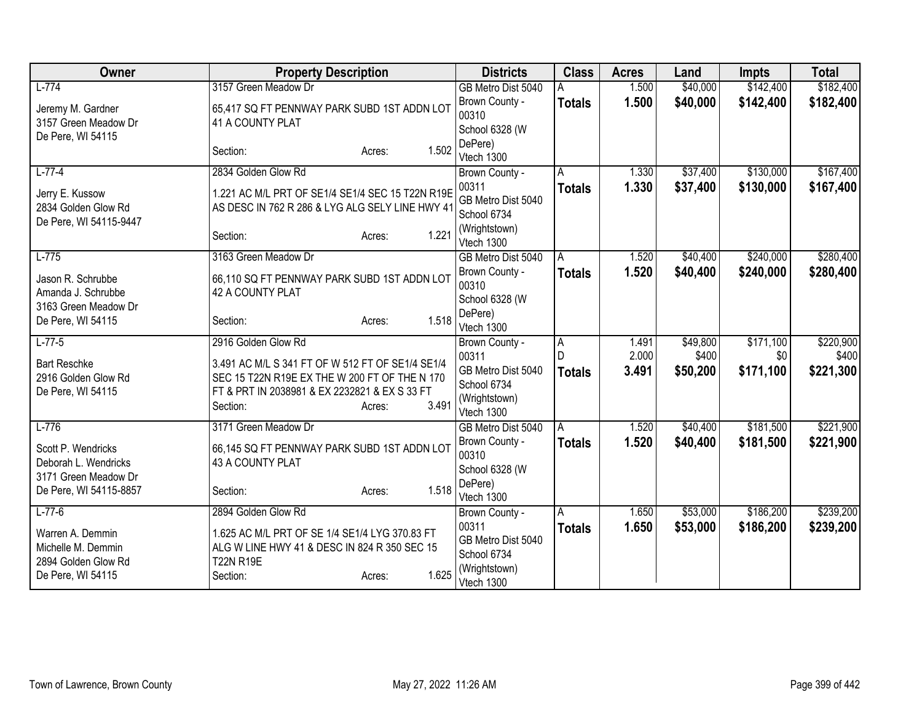| Owner                                                                              | <b>Property Description</b>                                                                                                                                                                              | <b>Districts</b>                                                                            | <b>Class</b>       | <b>Acres</b>            | Land                          | <b>Impts</b>                  | <b>Total</b>                    |
|------------------------------------------------------------------------------------|----------------------------------------------------------------------------------------------------------------------------------------------------------------------------------------------------------|---------------------------------------------------------------------------------------------|--------------------|-------------------------|-------------------------------|-------------------------------|---------------------------------|
| $L-774$                                                                            | 3157 Green Meadow Dr                                                                                                                                                                                     | GB Metro Dist 5040                                                                          |                    | 1.500                   | \$40,000                      | \$142,400                     | \$182,400                       |
| Jeremy M. Gardner<br>3157 Green Meadow Dr<br>De Pere, WI 54115                     | 65,417 SQ FT PENNWAY PARK SUBD 1ST ADDN LOT<br>41 A COUNTY PLAT                                                                                                                                          | Brown County -<br>00310<br>School 6328 (W                                                   | <b>Totals</b>      | 1.500                   | \$40,000                      | \$142,400                     | \$182,400                       |
|                                                                                    | 1.502<br>Section:<br>Acres:                                                                                                                                                                              | DePere)<br>Vtech 1300                                                                       |                    |                         |                               |                               |                                 |
| $L-77-4$                                                                           | 2834 Golden Glow Rd                                                                                                                                                                                      | Brown County -                                                                              | A                  | 1.330                   | \$37,400                      | \$130,000                     | \$167,400                       |
| Jerry E. Kussow<br>2834 Golden Glow Rd<br>De Pere, WI 54115-9447                   | 1.221 AC M/L PRT OF SE1/4 SE1/4 SEC 15 T22N R19E<br>AS DESC IN 762 R 286 & LYG ALG SELY LINE HWY 41                                                                                                      | 00311<br>GB Metro Dist 5040<br>School 6734                                                  | <b>Totals</b>      | 1.330                   | \$37,400                      | \$130,000                     | \$167,400                       |
|                                                                                    | 1.221<br>Section:<br>Acres:                                                                                                                                                                              | (Wrightstown)<br>Vtech 1300                                                                 |                    |                         |                               |                               |                                 |
| $L-775$                                                                            | 3163 Green Meadow Dr                                                                                                                                                                                     | GB Metro Dist 5040                                                                          | A                  | 1.520                   | \$40,400                      | \$240,000                     | \$280,400                       |
| Jason R. Schrubbe<br>Amanda J. Schrubbe<br>3163 Green Meadow Dr                    | 66,110 SQ FT PENNWAY PARK SUBD 1ST ADDN LOT<br>42 A COUNTY PLAT                                                                                                                                          | Brown County -<br>00310<br>School 6328 (W                                                   | <b>Totals</b>      | 1.520                   | \$40,400                      | \$240,000                     | \$280,400                       |
| De Pere, WI 54115                                                                  | 1.518<br>Section:<br>Acres:                                                                                                                                                                              | DePere)<br>Vtech 1300                                                                       |                    |                         |                               |                               |                                 |
| $L-77-5$<br><b>Bart Reschke</b><br>2916 Golden Glow Rd<br>De Pere, WI 54115        | 2916 Golden Glow Rd<br>3.491 AC M/L S 341 FT OF W 512 FT OF SE1/4 SE1/4<br>SEC 15 T22N R19E EX THE W 200 FT OF THE N 170<br>FT & PRT IN 2038981 & EX 2232821 & EX S 33 FT<br>3.491<br>Section:<br>Acres: | Brown County -<br>00311<br>GB Metro Dist 5040<br>School 6734<br>(Wrightstown)<br>Vtech 1300 | A<br><b>Totals</b> | 1.491<br>2.000<br>3.491 | \$49,800<br>\$400<br>\$50,200 | \$171,100<br>\$0<br>\$171,100 | \$220,900<br>\$400<br>\$221,300 |
| $L-776$                                                                            | 3171 Green Meadow Dr                                                                                                                                                                                     | GB Metro Dist 5040                                                                          | A                  | 1.520                   | \$40,400                      | \$181,500                     | \$221,900                       |
| Scott P. Wendricks<br>Deborah L. Wendricks<br>3171 Green Meadow Dr                 | 66,145 SQ FT PENNWAY PARK SUBD 1ST ADDN LOT<br>43 A COUNTY PLAT                                                                                                                                          | Brown County -<br>00310<br>School 6328 (W                                                   | <b>Totals</b>      | 1.520                   | \$40,400                      | \$181,500                     | \$221,900                       |
| De Pere, WI 54115-8857                                                             | 1.518<br>Section:<br>Acres:                                                                                                                                                                              | DePere)<br>Vtech 1300                                                                       |                    |                         |                               |                               |                                 |
| $L-77-6$                                                                           | 2894 Golden Glow Rd                                                                                                                                                                                      | Brown County -                                                                              | A                  | 1.650                   | \$53,000                      | \$186,200                     | \$239,200                       |
| Warren A. Demmin<br>Michelle M. Demmin<br>2894 Golden Glow Rd<br>De Pere, WI 54115 | 1.625 AC M/L PRT OF SE 1/4 SE1/4 LYG 370.83 FT<br>ALG W LINE HWY 41 & DESC IN 824 R 350 SEC 15<br><b>T22N R19E</b><br>1.625<br>Section:<br>Acres:                                                        | 00311<br>GB Metro Dist 5040<br>School 6734<br>(Wrightstown)                                 | <b>Totals</b>      | 1.650                   | \$53,000                      | \$186,200                     | \$239,200                       |
|                                                                                    |                                                                                                                                                                                                          | Vtech 1300                                                                                  |                    |                         |                               |                               |                                 |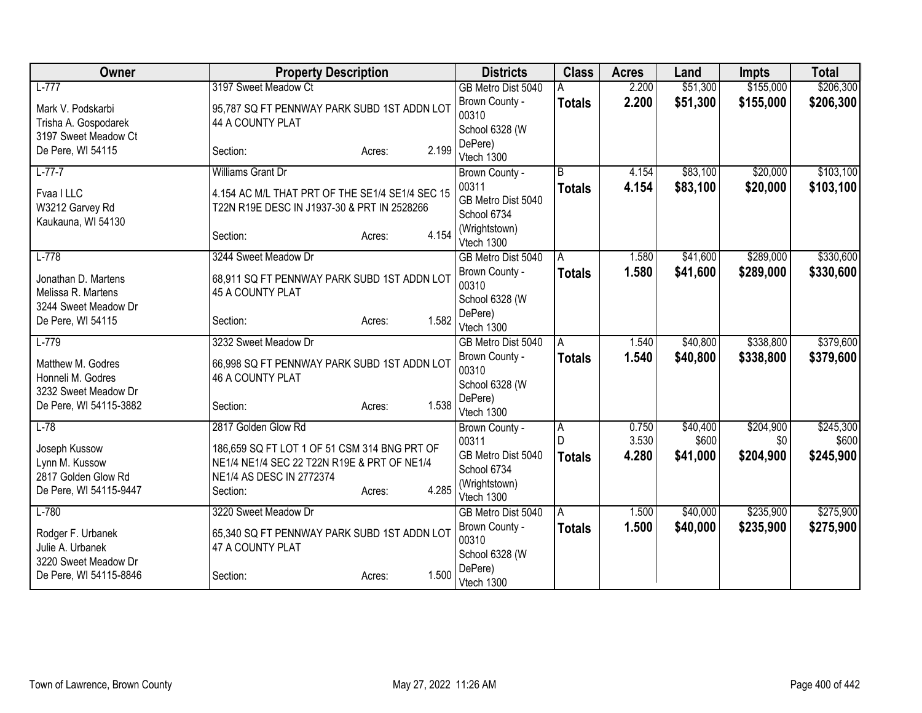| Owner                                    | <b>Property Description</b>                                                                 |                 | <b>Districts</b>                 | <b>Class</b>   | <b>Acres</b> | Land     | <b>Impts</b> | <b>Total</b> |
|------------------------------------------|---------------------------------------------------------------------------------------------|-----------------|----------------------------------|----------------|--------------|----------|--------------|--------------|
| $L-777$                                  | 3197 Sweet Meadow Ct                                                                        |                 | GB Metro Dist 5040               |                | 2.200        | \$51,300 | \$155,000    | \$206,300    |
| Mark V. Podskarbi                        | 95,787 SQ FT PENNWAY PARK SUBD 1ST ADDN LOT                                                 |                 | Brown County -                   | <b>Totals</b>  | 2.200        | \$51,300 | \$155,000    | \$206,300    |
| Trisha A. Gospodarek                     | 44 A COUNTY PLAT                                                                            |                 | 00310                            |                |              |          |              |              |
| 3197 Sweet Meadow Ct                     |                                                                                             |                 | School 6328 (W<br>DePere)        |                |              |          |              |              |
| De Pere, WI 54115                        | Section:                                                                                    | 2.199<br>Acres: | Vtech 1300                       |                |              |          |              |              |
| $L-77-7$                                 | <b>Williams Grant Dr</b>                                                                    |                 | Brown County -                   | B              | 4.154        | \$83,100 | \$20,000     | \$103,100    |
| Fvaa I LLC                               | 4.154 AC M/L THAT PRT OF THE SE1/4 SE1/4 SEC 15                                             |                 | 00311                            | <b>Totals</b>  | 4.154        | \$83,100 | \$20,000     | \$103,100    |
| W3212 Garvey Rd                          | T22N R19E DESC IN J1937-30 & PRT IN 2528266                                                 |                 | GB Metro Dist 5040               |                |              |          |              |              |
| Kaukauna, WI 54130                       |                                                                                             |                 | School 6734                      |                |              |          |              |              |
|                                          | Section:                                                                                    | 4.154<br>Acres: | (Wrightstown)<br>Vtech 1300      |                |              |          |              |              |
| $L-778$                                  | 3244 Sweet Meadow Dr                                                                        |                 | GB Metro Dist 5040               | A              | 1.580        | \$41,600 | \$289,000    | \$330,600    |
| Jonathan D. Martens                      | 68,911 SQ FT PENNWAY PARK SUBD 1ST ADDN LOT                                                 |                 | Brown County -                   | <b>Totals</b>  | 1.580        | \$41,600 | \$289,000    | \$330,600    |
| Melissa R. Martens                       | 45 A COUNTY PLAT                                                                            |                 | 00310                            |                |              |          |              |              |
| 3244 Sweet Meadow Dr                     |                                                                                             |                 | School 6328 (W<br>DePere)        |                |              |          |              |              |
| De Pere, WI 54115                        | Section:                                                                                    | 1.582<br>Acres: | Vtech 1300                       |                |              |          |              |              |
| $L-779$                                  | 3232 Sweet Meadow Dr                                                                        |                 | GB Metro Dist 5040               | A              | 1.540        | \$40,800 | \$338,800    | \$379,600    |
| Matthew M. Godres                        | 66,998 SQ FT PENNWAY PARK SUBD 1ST ADDN LOT                                                 |                 | Brown County -                   | <b>Totals</b>  | 1.540        | \$40,800 | \$338,800    | \$379,600    |
| Honneli M. Godres                        | 46 A COUNTY PLAT                                                                            |                 | 00310                            |                |              |          |              |              |
| 3232 Sweet Meadow Dr                     |                                                                                             |                 | School 6328 (W<br>DePere)        |                |              |          |              |              |
| De Pere, WI 54115-3882                   | Section:                                                                                    | 1.538<br>Acres: | Vtech 1300                       |                |              |          |              |              |
| $L-78$                                   | 2817 Golden Glow Rd                                                                         |                 | Brown County -                   | $\overline{A}$ | 0.750        | \$40,400 | \$204,900    | \$245,300    |
|                                          |                                                                                             |                 | 00311                            |                | 3.530        | \$600    | \$0          | \$600        |
| Joseph Kussow<br>Lynn M. Kussow          | 186,659 SQ FT LOT 1 OF 51 CSM 314 BNG PRT OF<br>NE1/4 NE1/4 SEC 22 T22N R19E & PRT OF NE1/4 |                 | GB Metro Dist 5040               | <b>Totals</b>  | 4.280        | \$41,000 | \$204,900    | \$245,900    |
| 2817 Golden Glow Rd                      | NE1/4 AS DESC IN 2772374                                                                    |                 | School 6734                      |                |              |          |              |              |
| De Pere, WI 54115-9447                   | Section:                                                                                    | 4.285<br>Acres: | (Wrightstown)                    |                |              |          |              |              |
| $L-780$                                  | 3220 Sweet Meadow Dr                                                                        |                 | Vtech 1300<br>GB Metro Dist 5040 | ΙA             | 1.500        | \$40,000 | \$235,900    | \$275,900    |
|                                          |                                                                                             |                 | Brown County -                   | <b>Totals</b>  | 1.500        | \$40,000 | \$235,900    | \$275,900    |
| Rodger F. Urbanek                        | 65,340 SQ FT PENNWAY PARK SUBD 1ST ADDN LOT                                                 |                 | 00310                            |                |              |          |              |              |
| Julie A. Urbanek<br>3220 Sweet Meadow Dr | 47 A COUNTY PLAT                                                                            |                 | School 6328 (W                   |                |              |          |              |              |
| De Pere, WI 54115-8846                   | Section:                                                                                    | 1.500<br>Acres: | DePere)                          |                |              |          |              |              |
|                                          |                                                                                             |                 | Vtech 1300                       |                |              |          |              |              |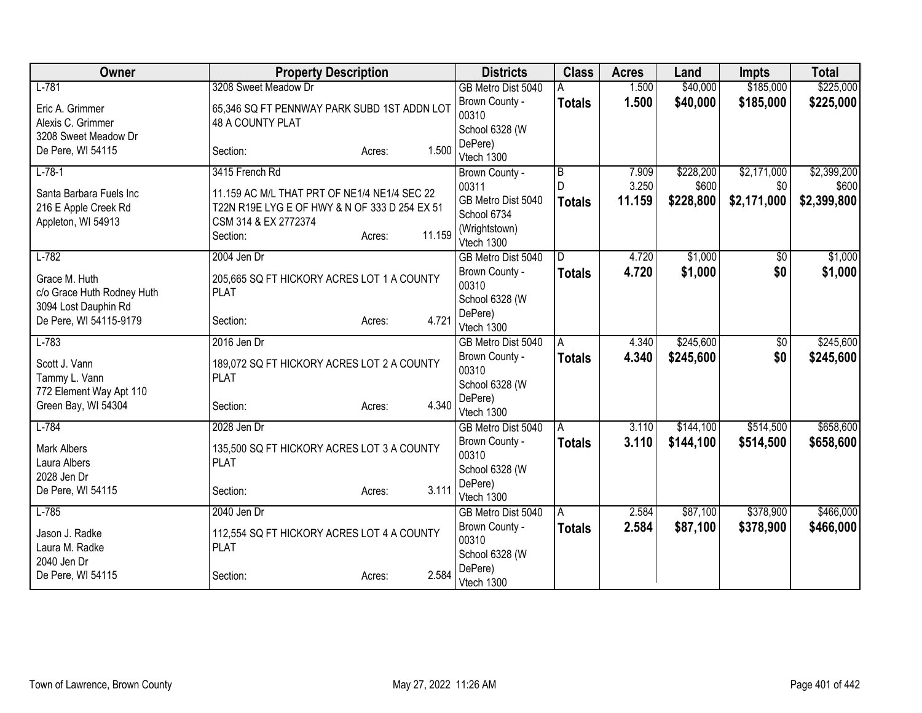| Owner                      | <b>Property Description</b>                   |                  | <b>Districts</b>                     | <b>Class</b>   | <b>Acres</b> | Land      | <b>Impts</b> | <b>Total</b> |
|----------------------------|-----------------------------------------------|------------------|--------------------------------------|----------------|--------------|-----------|--------------|--------------|
| $L-781$                    | 3208 Sweet Meadow Dr                          |                  | GB Metro Dist 5040                   |                | 1.500        | \$40,000  | \$185,000    | \$225,000    |
| Eric A. Grimmer            | 65,346 SQ FT PENNWAY PARK SUBD 1ST ADDN LOT   |                  | Brown County -                       | <b>Totals</b>  | 1.500        | \$40,000  | \$185,000    | \$225,000    |
| Alexis C. Grimmer          | 48 A COUNTY PLAT                              |                  | 00310                                |                |              |           |              |              |
| 3208 Sweet Meadow Dr       |                                               |                  | School 6328 (W                       |                |              |           |              |              |
| De Pere, WI 54115          | Section:                                      | 1.500<br>Acres:  | DePere)<br>Vtech 1300                |                |              |           |              |              |
| $L-78-1$                   | 3415 French Rd                                |                  | Brown County -                       | $\overline{B}$ | 7.909        | \$228,200 | \$2,171,000  | \$2,399,200  |
|                            |                                               |                  | 00311                                | D              | 3.250        | \$600     | \$0          | \$600        |
| Santa Barbara Fuels Inc    | 11.159 AC M/L THAT PRT OF NE1/4 NE1/4 SEC 22  |                  | GB Metro Dist 5040                   | <b>Totals</b>  | 11.159       | \$228,800 | \$2,171,000  | \$2,399,800  |
| 216 E Apple Creek Rd       | T22N R19E LYG E OF HWY & N OF 333 D 254 EX 51 |                  | School 6734                          |                |              |           |              |              |
| Appleton, WI 54913         | CSM 314 & EX 2772374                          |                  | (Wrightstown)                        |                |              |           |              |              |
|                            | Section:                                      | 11.159<br>Acres: | Vtech 1300                           |                |              |           |              |              |
| $L-782$                    | 2004 Jen Dr                                   |                  | GB Metro Dist 5040                   | D.             | 4.720        | \$1,000   | \$0          | \$1,000      |
| Grace M. Huth              | 205,665 SQ FT HICKORY ACRES LOT 1 A COUNTY    |                  | Brown County -                       | <b>Totals</b>  | 4.720        | \$1,000   | \$0          | \$1,000      |
| c/o Grace Huth Rodney Huth | <b>PLAT</b>                                   |                  | 00310                                |                |              |           |              |              |
| 3094 Lost Dauphin Rd       |                                               |                  | School 6328 (W                       |                |              |           |              |              |
| De Pere, WI 54115-9179     | Section:                                      | 4.721<br>Acres:  | DePere)                              |                |              |           |              |              |
| $L-783$                    | 2016 Jen Dr                                   |                  | Vtech 1300                           |                | 4.340        | \$245,600 |              | \$245,600    |
|                            |                                               |                  | GB Metro Dist 5040<br>Brown County - | A              | 4.340        | \$245,600 | \$0<br>\$0   | \$245,600    |
| Scott J. Vann              | 189,072 SQ FT HICKORY ACRES LOT 2 A COUNTY    |                  | 00310                                | <b>Totals</b>  |              |           |              |              |
| Tammy L. Vann              | <b>PLAT</b>                                   |                  | School 6328 (W                       |                |              |           |              |              |
| 772 Element Way Apt 110    |                                               |                  | DePere)                              |                |              |           |              |              |
| Green Bay, WI 54304        | Section:                                      | 4.340<br>Acres:  | Vtech 1300                           |                |              |           |              |              |
| $L-784$                    | 2028 Jen Dr                                   |                  | GB Metro Dist 5040                   | A              | 3.110        | \$144,100 | \$514,500    | \$658,600    |
| <b>Mark Albers</b>         | 135,500 SQ FT HICKORY ACRES LOT 3 A COUNTY    |                  | Brown County -                       | <b>Totals</b>  | 3.110        | \$144,100 | \$514,500    | \$658,600    |
| Laura Albers               | <b>PLAT</b>                                   |                  | 00310                                |                |              |           |              |              |
| 2028 Jen Dr                |                                               |                  | School 6328 (W                       |                |              |           |              |              |
| De Pere, WI 54115          | Section:                                      | 3.111<br>Acres:  | DePere)                              |                |              |           |              |              |
|                            |                                               |                  | Vtech 1300                           |                |              |           |              |              |
| $L-785$                    | 2040 Jen Dr                                   |                  | GB Metro Dist 5040                   | A              | 2.584        | \$87,100  | \$378,900    | \$466,000    |
| Jason J. Radke             | 112,554 SQ FT HICKORY ACRES LOT 4 A COUNTY    |                  | Brown County -<br>00310              | <b>Totals</b>  | 2.584        | \$87,100  | \$378,900    | \$466,000    |
| Laura M. Radke             | <b>PLAT</b>                                   |                  | School 6328 (W                       |                |              |           |              |              |
| 2040 Jen Dr                |                                               |                  | DePere)                              |                |              |           |              |              |
| De Pere, WI 54115          | Section:                                      | 2.584<br>Acres:  | Vtech 1300                           |                |              |           |              |              |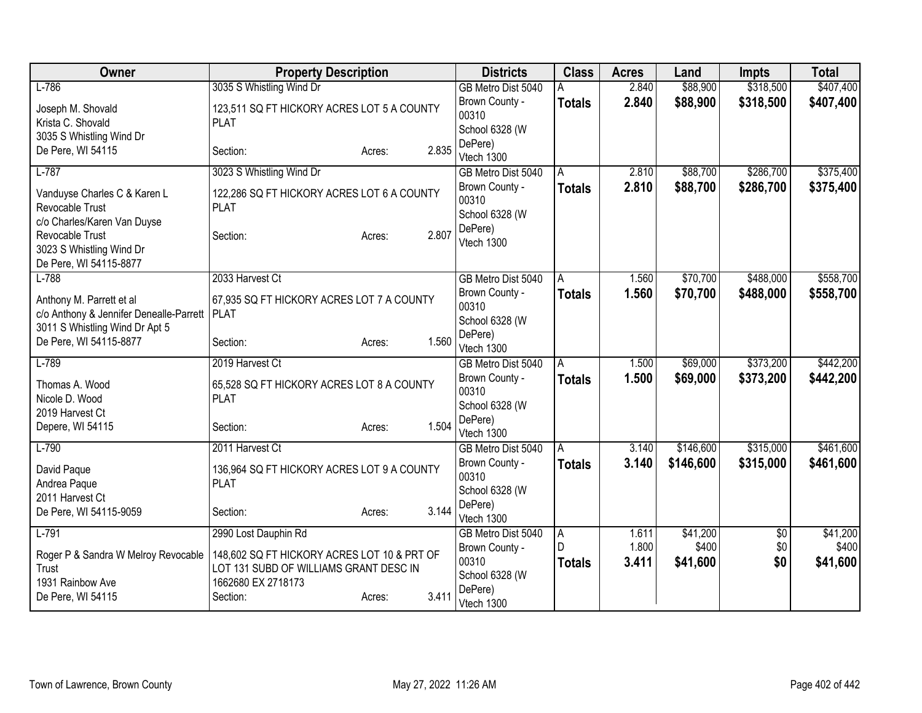| Owner                                   | <b>Property Description</b>                 |                 | <b>Districts</b>                     | <b>Class</b>       | <b>Acres</b> | Land      | <b>Impts</b> | <b>Total</b> |
|-----------------------------------------|---------------------------------------------|-----------------|--------------------------------------|--------------------|--------------|-----------|--------------|--------------|
| $L-786$                                 | 3035 S Whistling Wind Dr                    |                 | GB Metro Dist 5040                   | А                  | 2.840        | \$88,900  | \$318,500    | \$407,400    |
| Joseph M. Shovald                       | 123,511 SQ FT HICKORY ACRES LOT 5 A COUNTY  |                 | Brown County -                       | <b>Totals</b>      | 2.840        | \$88,900  | \$318,500    | \$407,400    |
| Krista C. Shovald                       | <b>PLAT</b>                                 |                 | 00310                                |                    |              |           |              |              |
| 3035 S Whistling Wind Dr                |                                             |                 | School 6328 (W                       |                    |              |           |              |              |
| De Pere, WI 54115                       | Section:                                    | 2.835<br>Acres: | DePere)                              |                    |              |           |              |              |
| $L-787$                                 |                                             |                 | Vtech 1300                           |                    | 2.810        | \$88,700  | \$286,700    | \$375,400    |
|                                         | 3023 S Whistling Wind Dr                    |                 | GB Metro Dist 5040                   | Α                  |              |           |              |              |
| Vanduyse Charles C & Karen L            | 122,286 SQ FT HICKORY ACRES LOT 6 A COUNTY  |                 | Brown County -<br>00310              | <b>Totals</b>      | 2.810        | \$88,700  | \$286,700    | \$375,400    |
| Revocable Trust                         | <b>PLAT</b>                                 |                 | School 6328 (W                       |                    |              |           |              |              |
| c/o Charles/Karen Van Duyse             |                                             |                 | DePere)                              |                    |              |           |              |              |
| Revocable Trust                         | Section:                                    | 2.807<br>Acres: | Vtech 1300                           |                    |              |           |              |              |
| 3023 S Whistling Wind Dr                |                                             |                 |                                      |                    |              |           |              |              |
| De Pere, WI 54115-8877<br>$L-788$       | 2033 Harvest Ct                             |                 |                                      |                    | 1.560        | \$70,700  | \$488,000    | \$558,700    |
|                                         |                                             |                 | GB Metro Dist 5040<br>Brown County - | A<br><b>Totals</b> | 1.560        | \$70,700  | \$488,000    | \$558,700    |
| Anthony M. Parrett et al                | 67,935 SQ FT HICKORY ACRES LOT 7 A COUNTY   |                 | 00310                                |                    |              |           |              |              |
| c/o Anthony & Jennifer Denealle-Parrett | PLAT                                        |                 | School 6328 (W                       |                    |              |           |              |              |
| 3011 S Whistling Wind Dr Apt 5          |                                             |                 | DePere)                              |                    |              |           |              |              |
| De Pere, WI 54115-8877                  | Section:                                    | 1.560<br>Acres: | Vtech 1300                           |                    |              |           |              |              |
| $L-789$                                 | 2019 Harvest Ct                             |                 | GB Metro Dist 5040                   | A                  | 1.500        | \$69,000  | \$373,200    | \$442,200    |
| Thomas A. Wood                          | 65,528 SQ FT HICKORY ACRES LOT 8 A COUNTY   |                 | Brown County -                       | <b>Totals</b>      | 1.500        | \$69,000  | \$373,200    | \$442,200    |
| Nicole D. Wood                          | <b>PLAT</b>                                 |                 | 00310                                |                    |              |           |              |              |
| 2019 Harvest Ct                         |                                             |                 | School 6328 (W                       |                    |              |           |              |              |
| Depere, WI 54115                        | Section:                                    | 1.504<br>Acres: | DePere)                              |                    |              |           |              |              |
|                                         |                                             |                 | Vtech 1300                           |                    |              |           |              |              |
| $L-790$                                 | 2011 Harvest Ct                             |                 | GB Metro Dist 5040                   | A                  | 3.140        | \$146,600 | \$315,000    | \$461,600    |
| David Paque                             | 136,964 SQ FT HICKORY ACRES LOT 9 A COUNTY  |                 | Brown County -<br>00310              | <b>Totals</b>      | 3.140        | \$146,600 | \$315,000    | \$461,600    |
| Andrea Paque                            | <b>PLAT</b>                                 |                 | School 6328 (W                       |                    |              |           |              |              |
| 2011 Harvest Ct                         |                                             |                 | DePere)                              |                    |              |           |              |              |
| De Pere, WI 54115-9059                  | Section:                                    | 3.144<br>Acres: | Vtech 1300                           |                    |              |           |              |              |
| $L-791$                                 | 2990 Lost Dauphin Rd                        |                 | GB Metro Dist 5040                   | $\overline{A}$     | 1.611        | \$41,200  | $\sqrt{$0}$  | \$41,200     |
| Roger P & Sandra W Melroy Revocable     | 148,602 SQ FT HICKORY ACRES LOT 10 & PRT OF |                 | Brown County -                       | D                  | 1.800        | \$400     | \$0          | \$400        |
| Trust                                   | LOT 131 SUBD OF WILLIAMS GRANT DESC IN      |                 | 00310                                | <b>Totals</b>      | 3.411        | \$41,600  | \$0          | \$41,600     |
| 1931 Rainbow Ave                        | 1662680 EX 2718173                          |                 | School 6328 (W                       |                    |              |           |              |              |
| De Pere, WI 54115                       | Section:                                    | 3.411<br>Acres: | DePere)                              |                    |              |           |              |              |
|                                         |                                             |                 | Vtech 1300                           |                    |              |           |              |              |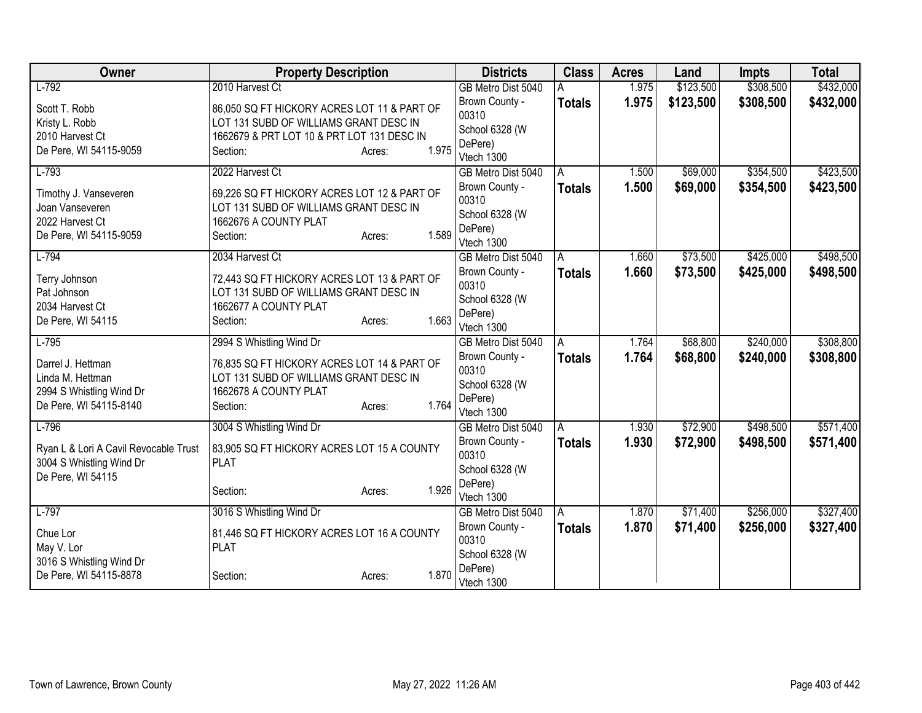| Owner                                                                                       | <b>Property Description</b>                                                                                                         |                 | <b>Districts</b>                                     | <b>Class</b>  | <b>Acres</b>   | Land                 | <b>Impts</b>           | <b>Total</b>           |
|---------------------------------------------------------------------------------------------|-------------------------------------------------------------------------------------------------------------------------------------|-----------------|------------------------------------------------------|---------------|----------------|----------------------|------------------------|------------------------|
| $L-792$                                                                                     | 2010 Harvest Ct                                                                                                                     |                 | GB Metro Dist 5040                                   |               | 1.975          | \$123,500            | \$308,500              | \$432,000              |
| Scott T. Robb<br>Kristy L. Robb<br>2010 Harvest Ct                                          | 86,050 SQ FT HICKORY ACRES LOT 11 & PART OF<br>LOT 131 SUBD OF WILLIAMS GRANT DESC IN<br>1662679 & PRT LOT 10 & PRT LOT 131 DESC IN |                 | Brown County -<br>00310<br>School 6328 (W<br>DePere) | <b>Totals</b> | 1.975          | \$123,500            | \$308,500              | \$432,000              |
| De Pere, WI 54115-9059                                                                      | Section:                                                                                                                            | 1.975<br>Acres: | Vtech 1300                                           |               |                |                      |                        |                        |
| $L-793$                                                                                     | 2022 Harvest Ct                                                                                                                     |                 | GB Metro Dist 5040                                   | A             | 1.500          | \$69,000             | \$354,500              | \$423,500              |
| Timothy J. Vanseveren<br>Joan Vanseveren                                                    | 69,226 SQ FT HICKORY ACRES LOT 12 & PART OF<br>LOT 131 SUBD OF WILLIAMS GRANT DESC IN                                               |                 | Brown County -<br>00310<br>School 6328 (W            | <b>Totals</b> | 1.500          | \$69,000             | \$354,500              | \$423,500              |
| 2022 Harvest Ct<br>De Pere, WI 54115-9059                                                   | 1662676 A COUNTY PLAT<br>Section:                                                                                                   | 1.589<br>Acres: | DePere)<br>Vtech 1300                                |               |                |                      |                        |                        |
| $L-794$                                                                                     | 2034 Harvest Ct                                                                                                                     |                 | GB Metro Dist 5040                                   | A             | 1.660          | \$73,500             | \$425,000              | \$498,500              |
| Terry Johnson<br>Pat Johnson                                                                | 72,443 SQ FT HICKORY ACRES LOT 13 & PART OF<br>LOT 131 SUBD OF WILLIAMS GRANT DESC IN                                               |                 | Brown County -<br>00310<br>School 6328 (W            | <b>Totals</b> | 1.660          | \$73,500             | \$425,000              | \$498,500              |
| 2034 Harvest Ct<br>De Pere, WI 54115                                                        | 1662677 A COUNTY PLAT<br>Section:                                                                                                   | 1.663<br>Acres: | DePere)<br>Vtech 1300                                |               |                |                      |                        |                        |
| $L-795$                                                                                     | 2994 S Whistling Wind Dr                                                                                                            |                 | GB Metro Dist 5040<br>Brown County -                 | A<br>Totals   | 1.764<br>1.764 | \$68,800<br>\$68,800 | \$240,000<br>\$240,000 | \$308,800<br>\$308,800 |
| Darrel J. Hettman<br>Linda M. Hettman<br>2994 S Whistling Wind Dr<br>De Pere, WI 54115-8140 | 76,835 SQ FT HICKORY ACRES LOT 14 & PART OF<br>LOT 131 SUBD OF WILLIAMS GRANT DESC IN<br>1662678 A COUNTY PLAT<br>Section:          | 1.764<br>Acres: | 00310<br>School 6328 (W<br>DePere)<br>Vtech 1300     |               |                |                      |                        |                        |
| $L-796$                                                                                     | 3004 S Whistling Wind Dr                                                                                                            |                 | GB Metro Dist 5040                                   | A             | 1.930          | \$72,900             | \$498,500              | \$571,400              |
| Ryan L & Lori A Cavil Revocable Trust<br>3004 S Whistling Wind Dr<br>De Pere, WI 54115      | 83,905 SQ FT HICKORY ACRES LOT 15 A COUNTY<br><b>PLAT</b>                                                                           |                 | Brown County -<br>00310<br>School 6328 (W            | <b>Totals</b> | 1.930          | \$72,900             | \$498,500              | \$571,400              |
|                                                                                             | Section:                                                                                                                            | 1.926<br>Acres: | DePere)<br>Vtech 1300                                |               |                |                      |                        |                        |
| $L-797$                                                                                     | 3016 S Whistling Wind Dr                                                                                                            |                 | GB Metro Dist 5040                                   | A             | 1.870          | \$71,400             | \$256,000              | \$327,400              |
| Chue Lor<br>May V. Lor                                                                      | 81,446 SQ FT HICKORY ACRES LOT 16 A COUNTY<br><b>PLAT</b>                                                                           |                 | Brown County -<br>00310<br>School 6328 (W            | <b>Totals</b> | 1.870          | \$71,400             | \$256,000              | \$327,400              |
| 3016 S Whistling Wind Dr<br>De Pere, WI 54115-8878                                          | Section:                                                                                                                            | 1.870<br>Acres: | DePere)<br>Vtech 1300                                |               |                |                      |                        |                        |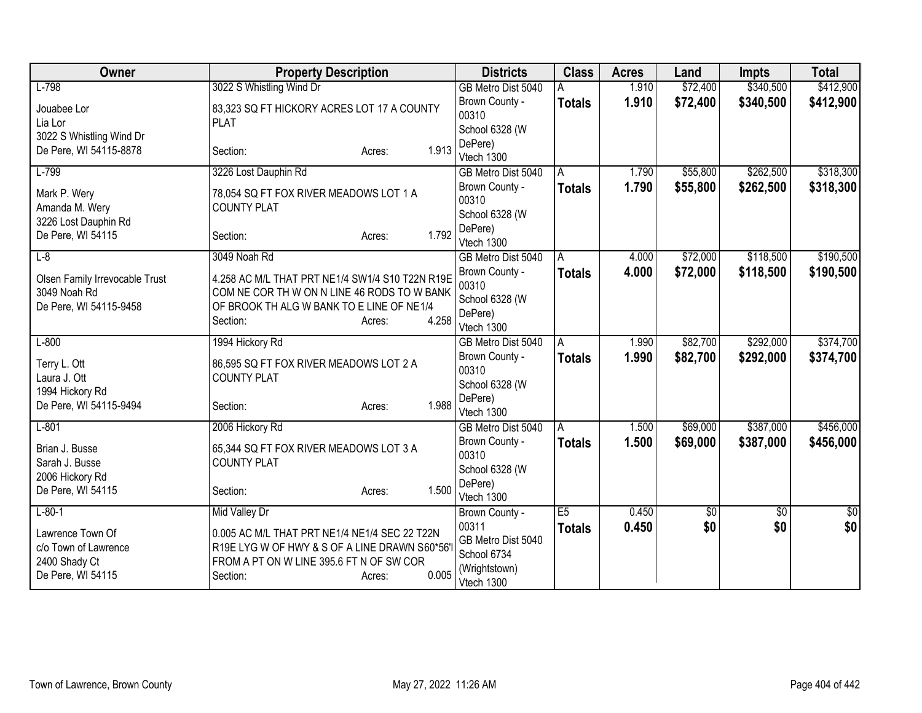| Owner                          | <b>Property Description</b>                     | <b>Districts</b>        | <b>Class</b>  | <b>Acres</b> | Land                 | <b>Impts</b> | <b>Total</b>    |
|--------------------------------|-------------------------------------------------|-------------------------|---------------|--------------|----------------------|--------------|-----------------|
| $L-798$                        | 3022 S Whistling Wind Dr                        | GB Metro Dist 5040      |               | 1.910        | \$72,400             | \$340,500    | \$412,900       |
| Jouabee Lor                    | 83,323 SQ FT HICKORY ACRES LOT 17 A COUNTY      | Brown County -          | <b>Totals</b> | 1.910        | \$72,400             | \$340,500    | \$412,900       |
| Lia Lor                        | <b>PLAT</b>                                     | 00310                   |               |              |                      |              |                 |
| 3022 S Whistling Wind Dr       |                                                 | School 6328 (W          |               |              |                      |              |                 |
| De Pere, WI 54115-8878         | 1.913<br>Section:<br>Acres:                     | DePere)<br>Vtech 1300   |               |              |                      |              |                 |
| $L-799$                        | 3226 Lost Dauphin Rd                            | GB Metro Dist 5040      | A             | 1.790        | \$55,800             | \$262,500    | \$318,300       |
|                                |                                                 | Brown County -          | <b>Totals</b> | 1.790        | \$55,800             | \$262,500    | \$318,300       |
| Mark P. Wery                   | 78,054 SQ FT FOX RIVER MEADOWS LOT 1 A          | 00310                   |               |              |                      |              |                 |
| Amanda M. Wery                 | <b>COUNTY PLAT</b>                              | School 6328 (W          |               |              |                      |              |                 |
| 3226 Lost Dauphin Rd           |                                                 | DePere)                 |               |              |                      |              |                 |
| De Pere, WI 54115              | 1.792<br>Section:<br>Acres:                     | Vtech 1300              |               |              |                      |              |                 |
| $L-8$                          | 3049 Noah Rd                                    | GB Metro Dist 5040      | A             | 4.000        | \$72,000             | \$118,500    | \$190,500       |
| Olsen Family Irrevocable Trust | 4.258 AC M/L THAT PRT NE1/4 SW1/4 S10 T22N R19E | Brown County -          | <b>Totals</b> | 4.000        | \$72,000             | \$118,500    | \$190,500       |
| 3049 Noah Rd                   | COM NE COR TH W ON N LINE 46 RODS TO W BANK     | 00310                   |               |              |                      |              |                 |
| De Pere, WI 54115-9458         | OF BROOK TH ALG W BANK TO E LINE OF NE1/4       | School 6328 (W          |               |              |                      |              |                 |
|                                | 4.258<br>Section:<br>Acres:                     | DePere)                 |               |              |                      |              |                 |
| $L-800$                        |                                                 | Vtech 1300              |               | 1.990        |                      | \$292,000    | \$374,700       |
|                                | 1994 Hickory Rd                                 | GB Metro Dist 5040      | Α             |              | \$82,700<br>\$82,700 |              |                 |
| Terry L. Ott                   | 86,595 SQ FT FOX RIVER MEADOWS LOT 2 A          | Brown County -<br>00310 | <b>Totals</b> | 1.990        |                      | \$292,000    | \$374,700       |
| Laura J. Ott                   | <b>COUNTY PLAT</b>                              | School 6328 (W          |               |              |                      |              |                 |
| 1994 Hickory Rd                |                                                 | DePere)                 |               |              |                      |              |                 |
| De Pere, WI 54115-9494         | 1.988<br>Section:<br>Acres:                     | Vtech 1300              |               |              |                      |              |                 |
| $L-801$                        | 2006 Hickory Rd                                 | GB Metro Dist 5040      | A             | 1.500        | \$69,000             | \$387,000    | \$456,000       |
| Brian J. Busse                 | 65,344 SQ FT FOX RIVER MEADOWS LOT 3 A          | Brown County -          | <b>Totals</b> | 1.500        | \$69,000             | \$387,000    | \$456,000       |
| Sarah J. Busse                 | <b>COUNTY PLAT</b>                              | 00310                   |               |              |                      |              |                 |
| 2006 Hickory Rd                |                                                 | School 6328 (W          |               |              |                      |              |                 |
| De Pere, WI 54115              | 1.500<br>Section:<br>Acres:                     | DePere)                 |               |              |                      |              |                 |
| $L-80-1$                       |                                                 | Vtech 1300              | E5            | 0.450        |                      |              | $\overline{50}$ |
|                                | <b>Mid Valley Dr</b>                            | Brown County -<br>00311 |               | 0.450        | \$0<br>\$0           | \$0<br>\$0   | \$0             |
| Lawrence Town Of               | 0.005 AC M/L THAT PRT NE1/4 NE1/4 SEC 22 T22N   | GB Metro Dist 5040      | <b>Totals</b> |              |                      |              |                 |
| c/o Town of Lawrence           | R19E LYG W OF HWY & S OF A LINE DRAWN S60*56'   | School 6734             |               |              |                      |              |                 |
| 2400 Shady Ct                  | FROM A PT ON W LINE 395.6 FT N OF SW COR        | (Wrightstown)           |               |              |                      |              |                 |
| De Pere, WI 54115              | 0.005<br>Section:<br>Acres:                     | Vtech 1300              |               |              |                      |              |                 |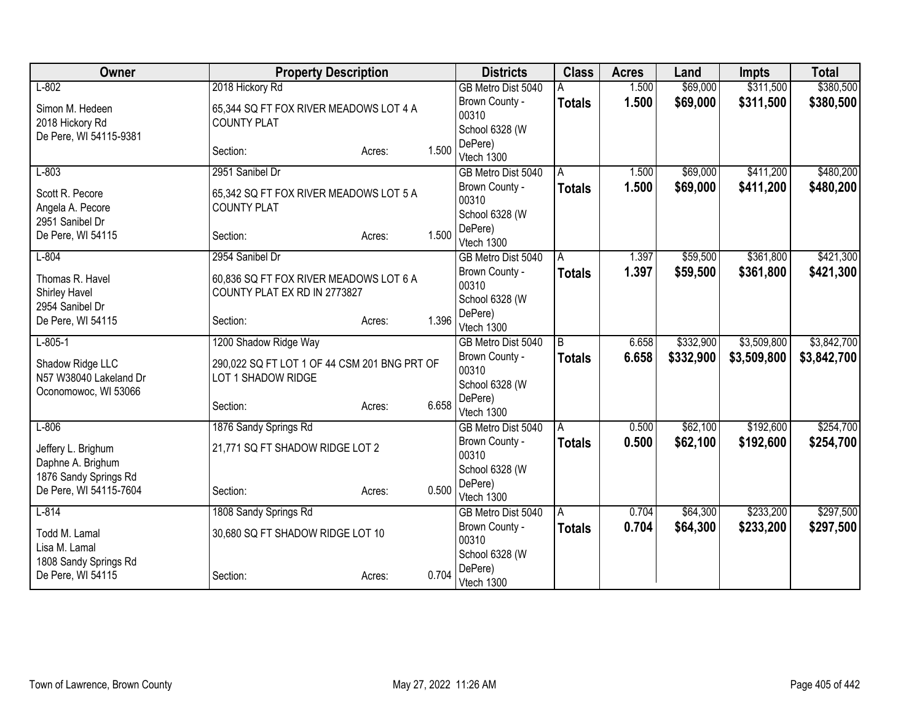| Owner                                                              | <b>Property Description</b>                                            |        |       | <b>Districts</b>                          | <b>Class</b>  | <b>Acres</b> | Land      | <b>Impts</b> | <b>Total</b> |
|--------------------------------------------------------------------|------------------------------------------------------------------------|--------|-------|-------------------------------------------|---------------|--------------|-----------|--------------|--------------|
| $L-802$                                                            | 2018 Hickory Rd                                                        |        |       | GB Metro Dist 5040                        |               | 1.500        | \$69,000  | \$311,500    | \$380,500    |
| Simon M. Hedeen<br>2018 Hickory Rd                                 | 65,344 SQ FT FOX RIVER MEADOWS LOT 4 A<br><b>COUNTY PLAT</b>           |        |       | Brown County -<br>00310<br>School 6328 (W | <b>Totals</b> | 1.500        | \$69,000  | \$311,500    | \$380,500    |
| De Pere, WI 54115-9381                                             | Section:                                                               | Acres: | 1.500 | DePere)<br>Vtech 1300                     |               |              |           |              |              |
| $L-803$                                                            | 2951 Sanibel Dr                                                        |        |       | GB Metro Dist 5040                        | A             | 1.500        | \$69,000  | \$411,200    | \$480,200    |
| Scott R. Pecore<br>Angela A. Pecore                                | 65,342 SQ FT FOX RIVER MEADOWS LOT 5 A<br><b>COUNTY PLAT</b>           |        |       | Brown County -<br>00310                   | <b>Totals</b> | 1.500        | \$69,000  | \$411,200    | \$480,200    |
| 2951 Sanibel Dr<br>De Pere, WI 54115                               | Section:                                                               | Acres: | 1.500 | School 6328 (W<br>DePere)<br>Vtech 1300   |               |              |           |              |              |
| $L-804$                                                            | 2954 Sanibel Dr                                                        |        |       | GB Metro Dist 5040                        | A             | 1.397        | \$59,500  | \$361,800    | \$421,300    |
| Thomas R. Havel<br>Shirley Havel                                   | 60,836 SQ FT FOX RIVER MEADOWS LOT 6 A<br>COUNTY PLAT EX RD IN 2773827 |        |       | Brown County -<br>00310                   | Totals        | 1.397        | \$59,500  | \$361,800    | \$421,300    |
| 2954 Sanibel Dr                                                    |                                                                        |        |       | School 6328 (W                            |               |              |           |              |              |
| De Pere, WI 54115                                                  | Section:                                                               | Acres: | 1.396 | DePere)<br>Vtech 1300                     |               |              |           |              |              |
| $L - 805 - 1$                                                      | 1200 Shadow Ridge Way                                                  |        |       | GB Metro Dist 5040                        | B             | 6.658        | \$332,900 | \$3,509,800  | \$3,842,700  |
| Shadow Ridge LLC<br>N57 W38040 Lakeland Dr<br>Oconomowoc, WI 53066 | 290,022 SQ FT LOT 1 OF 44 CSM 201 BNG PRT OF<br>LOT 1 SHADOW RIDGE     |        |       | Brown County -<br>00310<br>School 6328 (W | <b>Totals</b> | 6.658        | \$332,900 | \$3,509,800  | \$3,842,700  |
|                                                                    | Section:                                                               | Acres: | 6.658 | DePere)<br>Vtech 1300                     |               |              |           |              |              |
| $L-806$                                                            | 1876 Sandy Springs Rd                                                  |        |       | GB Metro Dist 5040                        | A             | 0.500        | \$62,100  | \$192,600    | \$254,700    |
| Jeffery L. Brighum<br>Daphne A. Brighum                            | 21,771 SQ FT SHADOW RIDGE LOT 2                                        |        |       | Brown County -<br>00310<br>School 6328 (W | <b>Totals</b> | 0.500        | \$62,100  | \$192,600    | \$254,700    |
| 1876 Sandy Springs Rd<br>De Pere, WI 54115-7604                    | Section:                                                               | Acres: | 0.500 | DePere)<br>Vtech 1300                     |               |              |           |              |              |
| $L - 814$                                                          | 1808 Sandy Springs Rd                                                  |        |       | GB Metro Dist 5040                        | l A           | 0.704        | \$64,300  | \$233,200    | \$297,500    |
| Todd M. Lamal<br>Lisa M. Lamal                                     | 30,680 SQ FT SHADOW RIDGE LOT 10                                       |        |       | Brown County -<br>00310                   | <b>Totals</b> | 0.704        | \$64,300  | \$233,200    | \$297,500    |
| 1808 Sandy Springs Rd<br>De Pere, WI 54115                         | Section:                                                               | Acres: | 0.704 | School 6328 (W<br>DePere)<br>Vtech 1300   |               |              |           |              |              |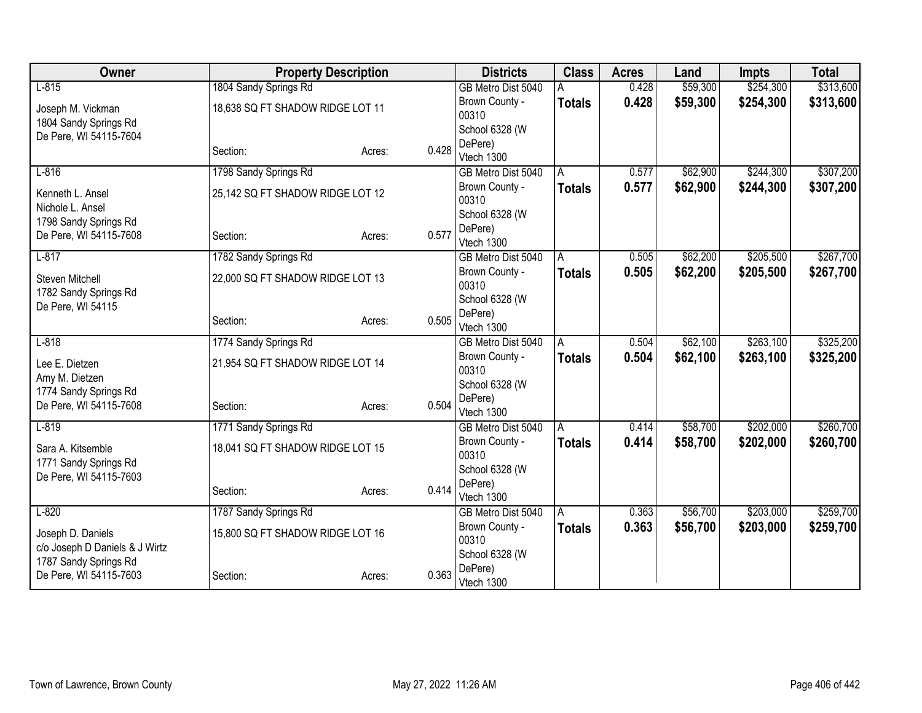| Owner                                                   | <b>Property Description</b>      |        | <b>Districts</b>        | <b>Class</b>  | <b>Acres</b> | Land     | <b>Impts</b> | <b>Total</b> |
|---------------------------------------------------------|----------------------------------|--------|-------------------------|---------------|--------------|----------|--------------|--------------|
| $L-815$                                                 | 1804 Sandy Springs Rd            |        | GB Metro Dist 5040      |               | 0.428        | \$59,300 | \$254,300    | \$313,600    |
| Joseph M. Vickman                                       | 18,638 SQ FT SHADOW RIDGE LOT 11 |        | Brown County -          | <b>Totals</b> | 0.428        | \$59,300 | \$254,300    | \$313,600    |
| 1804 Sandy Springs Rd                                   |                                  |        | 00310                   |               |              |          |              |              |
| De Pere, WI 54115-7604                                  |                                  |        | School 6328 (W          |               |              |          |              |              |
|                                                         | Section:                         | Acres: | DePere)<br>0.428        |               |              |          |              |              |
|                                                         |                                  |        | Vtech 1300              |               |              |          |              |              |
| $L-816$                                                 | 1798 Sandy Springs Rd            |        | GB Metro Dist 5040      | A             | 0.577        | \$62,900 | \$244,300    | \$307,200    |
| Kenneth L. Ansel<br>Nichole L. Ansel                    | 25,142 SQ FT SHADOW RIDGE LOT 12 |        | Brown County -<br>00310 | <b>Totals</b> | 0.577        | \$62,900 | \$244,300    | \$307,200    |
| 1798 Sandy Springs Rd                                   |                                  |        | School 6328 (W          |               |              |          |              |              |
| De Pere, WI 54115-7608                                  | Section:                         | Acres: | DePere)<br>0.577        |               |              |          |              |              |
|                                                         |                                  |        | Vtech 1300              |               |              |          |              |              |
| $L-817$                                                 | 1782 Sandy Springs Rd            |        | GB Metro Dist 5040      | A             | 0.505        | \$62,200 | \$205,500    | \$267,700    |
| Steven Mitchell                                         | 22,000 SQ FT SHADOW RIDGE LOT 13 |        | Brown County -<br>00310 | <b>Totals</b> | 0.505        | \$62,200 | \$205,500    | \$267,700    |
| 1782 Sandy Springs Rd                                   |                                  |        | School 6328 (W          |               |              |          |              |              |
| De Pere, WI 54115                                       |                                  |        | DePere)                 |               |              |          |              |              |
|                                                         | Section:                         | Acres: | 0.505<br>Vtech 1300     |               |              |          |              |              |
| $L-818$                                                 | 1774 Sandy Springs Rd            |        | GB Metro Dist 5040      | A             | 0.504        | \$62,100 | \$263,100    | \$325,200    |
| Lee E. Dietzen                                          | 21,954 SQ FT SHADOW RIDGE LOT 14 |        | Brown County -          | <b>Totals</b> | 0.504        | \$62,100 | \$263,100    | \$325,200    |
| Amy M. Dietzen                                          |                                  |        | 00310                   |               |              |          |              |              |
| 1774 Sandy Springs Rd                                   |                                  |        | School 6328 (W          |               |              |          |              |              |
| De Pere, WI 54115-7608                                  | Section:                         | Acres: | DePere)<br>0.504        |               |              |          |              |              |
|                                                         |                                  |        | Vtech 1300              |               |              |          |              |              |
| $L-819$                                                 | 1771 Sandy Springs Rd            |        | GB Metro Dist 5040      | A             | 0.414        | \$58,700 | \$202,000    | \$260,700    |
| Sara A. Kitsemble                                       | 18,041 SQ FT SHADOW RIDGE LOT 15 |        | Brown County -<br>00310 | <b>Totals</b> | 0.414        | \$58,700 | \$202,000    | \$260,700    |
| 1771 Sandy Springs Rd                                   |                                  |        | School 6328 (W          |               |              |          |              |              |
| De Pere, WI 54115-7603                                  |                                  |        | DePere)                 |               |              |          |              |              |
|                                                         | Section:                         | Acres: | 0.414<br>Vtech 1300     |               |              |          |              |              |
| $L-820$                                                 | 1787 Sandy Springs Rd            |        | GB Metro Dist 5040      | A             | 0.363        | \$56,700 | \$203,000    | \$259,700    |
|                                                         |                                  |        | Brown County -          | <b>Totals</b> | 0.363        | \$56,700 | \$203,000    | \$259,700    |
| Joseph D. Daniels                                       | 15,800 SQ FT SHADOW RIDGE LOT 16 |        | 00310                   |               |              |          |              |              |
| c/o Joseph D Daniels & J Wirtz<br>1787 Sandy Springs Rd |                                  |        | School 6328 (W          |               |              |          |              |              |
| De Pere, WI 54115-7603                                  | Section:                         | Acres: | DePere)<br>0.363        |               |              |          |              |              |
|                                                         |                                  |        | Vtech 1300              |               |              |          |              |              |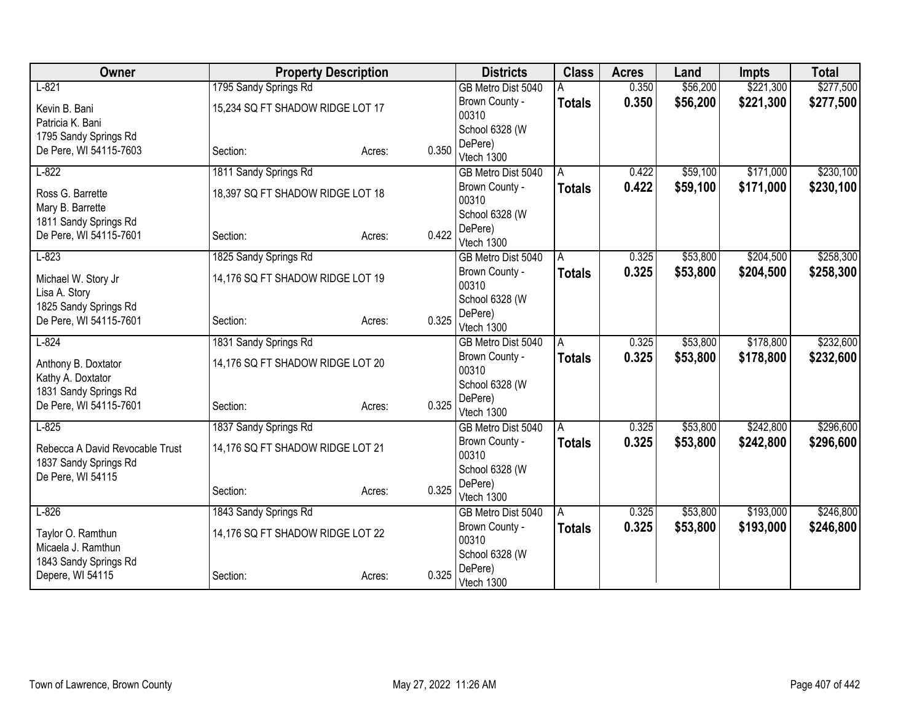| Owner                                |                                  | <b>Property Description</b> |       | <b>Districts</b>        | <b>Class</b>  | <b>Acres</b> | Land     | <b>Impts</b> | <b>Total</b> |
|--------------------------------------|----------------------------------|-----------------------------|-------|-------------------------|---------------|--------------|----------|--------------|--------------|
| $L-821$                              | 1795 Sandy Springs Rd            |                             |       | GB Metro Dist 5040      |               | 0.350        | \$56,200 | \$221,300    | \$277,500    |
| Kevin B. Bani                        | 15,234 SQ FT SHADOW RIDGE LOT 17 |                             |       | Brown County -          | <b>Totals</b> | 0.350        | \$56,200 | \$221,300    | \$277,500    |
| Patricia K. Bani                     |                                  |                             |       | 00310                   |               |              |          |              |              |
| 1795 Sandy Springs Rd                |                                  |                             |       | School 6328 (W          |               |              |          |              |              |
| De Pere, WI 54115-7603               | Section:                         | Acres:                      | 0.350 | DePere)                 |               |              |          |              |              |
|                                      |                                  |                             |       | Vtech 1300              |               |              |          |              |              |
| $L-822$                              | 1811 Sandy Springs Rd            |                             |       | GB Metro Dist 5040      | A             | 0.422        | \$59,100 | \$171,000    | \$230,100    |
| Ross G. Barrette<br>Mary B. Barrette | 18,397 SQ FT SHADOW RIDGE LOT 18 |                             |       | Brown County -<br>00310 | <b>Totals</b> | 0.422        | \$59,100 | \$171,000    | \$230,100    |
| 1811 Sandy Springs Rd                |                                  |                             |       | School 6328 (W          |               |              |          |              |              |
| De Pere, WI 54115-7601               | Section:                         | Acres:                      | 0.422 | DePere)                 |               |              |          |              |              |
|                                      |                                  |                             |       | Vtech 1300              |               |              |          |              |              |
| $L-823$                              | 1825 Sandy Springs Rd            |                             |       | GB Metro Dist 5040      | A             | 0.325        | \$53,800 | \$204,500    | \$258,300    |
| Michael W. Story Jr                  | 14,176 SQ FT SHADOW RIDGE LOT 19 |                             |       | Brown County -<br>00310 | <b>Totals</b> | 0.325        | \$53,800 | \$204,500    | \$258,300    |
| Lisa A. Story                        |                                  |                             |       | School 6328 (W          |               |              |          |              |              |
| 1825 Sandy Springs Rd                |                                  |                             |       | DePere)                 |               |              |          |              |              |
| De Pere, WI 54115-7601               | Section:                         | Acres:                      | 0.325 | Vtech 1300              |               |              |          |              |              |
| $L-824$                              | 1831 Sandy Springs Rd            |                             |       | GB Metro Dist 5040      | A             | 0.325        | \$53,800 | \$178,800    | \$232,600    |
| Anthony B. Doxtator                  | 14,176 SQ FT SHADOW RIDGE LOT 20 |                             |       | Brown County -          | <b>Totals</b> | 0.325        | \$53,800 | \$178,800    | \$232,600    |
| Kathy A. Doxtator                    |                                  |                             |       | 00310                   |               |              |          |              |              |
| 1831 Sandy Springs Rd                |                                  |                             |       | School 6328 (W          |               |              |          |              |              |
| De Pere, WI 54115-7601               | Section:                         | Acres:                      | 0.325 | DePere)                 |               |              |          |              |              |
|                                      |                                  |                             |       | Vtech 1300              |               |              |          |              |              |
| $L-825$                              | 1837 Sandy Springs Rd            |                             |       | GB Metro Dist 5040      | A             | 0.325        | \$53,800 | \$242,800    | \$296,600    |
| Rebecca A David Revocable Trust      | 14,176 SQ FT SHADOW RIDGE LOT 21 |                             |       | Brown County -          | <b>Totals</b> | 0.325        | \$53,800 | \$242,800    | \$296,600    |
| 1837 Sandy Springs Rd                |                                  |                             |       | 00310                   |               |              |          |              |              |
| De Pere, WI 54115                    |                                  |                             |       | School 6328 (W          |               |              |          |              |              |
|                                      | Section:                         | Acres:                      | 0.325 | DePere)<br>Vtech 1300   |               |              |          |              |              |
| $L-826$                              | 1843 Sandy Springs Rd            |                             |       | GB Metro Dist 5040      | A             | 0.325        | \$53,800 | \$193,000    | \$246,800    |
|                                      |                                  |                             |       | Brown County -          | <b>Totals</b> | 0.325        | \$53,800 | \$193,000    | \$246,800    |
| Taylor O. Ramthun                    | 14,176 SQ FT SHADOW RIDGE LOT 22 |                             |       | 00310                   |               |              |          |              |              |
| Micaela J. Ramthun                   |                                  |                             |       | School 6328 (W          |               |              |          |              |              |
| 1843 Sandy Springs Rd                |                                  |                             |       | DePere)                 |               |              |          |              |              |
| Depere, WI 54115                     | Section:                         | Acres:                      | 0.325 | Vtech 1300              |               |              |          |              |              |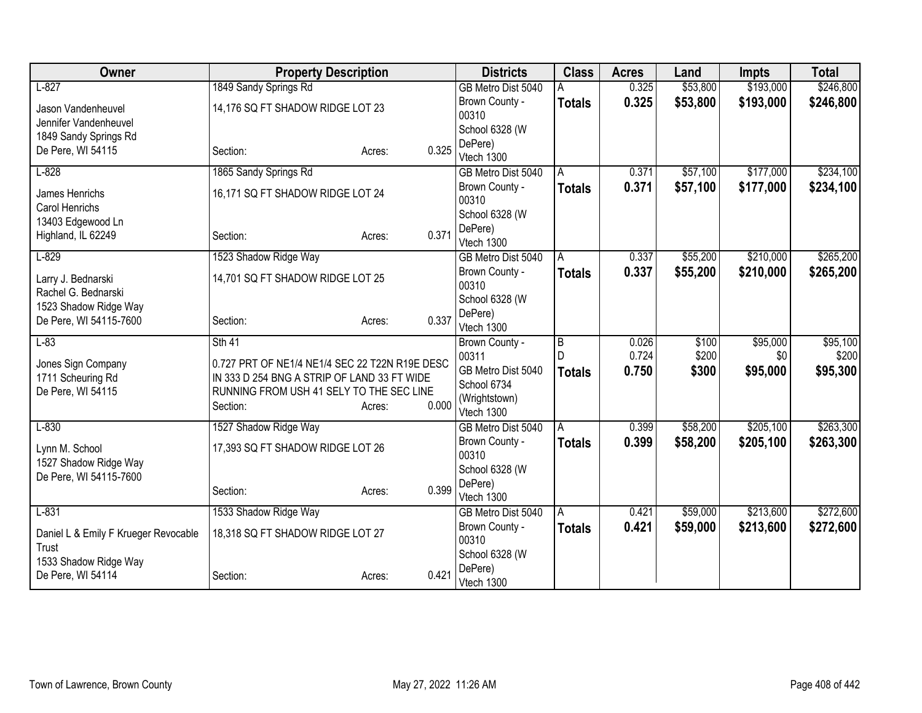| Owner                                | <b>Property Description</b>                    |                 | <b>Districts</b>            | <b>Class</b>   | <b>Acres</b> | Land     | <b>Impts</b> | <b>Total</b> |
|--------------------------------------|------------------------------------------------|-----------------|-----------------------------|----------------|--------------|----------|--------------|--------------|
| $L-827$                              | 1849 Sandy Springs Rd                          |                 | GB Metro Dist 5040          |                | 0.325        | \$53,800 | \$193,000    | \$246,800    |
| Jason Vandenheuvel                   | 14,176 SQ FT SHADOW RIDGE LOT 23               |                 | Brown County -              | <b>Totals</b>  | 0.325        | \$53,800 | \$193,000    | \$246,800    |
| Jennifer Vandenheuvel                |                                                |                 | 00310                       |                |              |          |              |              |
| 1849 Sandy Springs Rd                |                                                |                 | School 6328 (W              |                |              |          |              |              |
| De Pere, WI 54115                    | Section:                                       | 0.325<br>Acres: | DePere)                     |                |              |          |              |              |
|                                      |                                                |                 | Vtech 1300                  |                |              |          |              |              |
| $L-828$                              | 1865 Sandy Springs Rd                          |                 | GB Metro Dist 5040          | A              | 0.371        | \$57,100 | \$177,000    | \$234,100    |
| James Henrichs<br>Carol Henrichs     | 16,171 SQ FT SHADOW RIDGE LOT 24               |                 | Brown County -<br>00310     | <b>Totals</b>  | 0.371        | \$57,100 | \$177,000    | \$234,100    |
| 13403 Edgewood Ln                    |                                                |                 | School 6328 (W              |                |              |          |              |              |
| Highland, IL 62249                   | Section:                                       | 0.371<br>Acres: | DePere)                     |                |              |          |              |              |
|                                      |                                                |                 | Vtech 1300                  |                |              |          |              |              |
| $L-829$                              | 1523 Shadow Ridge Way                          |                 | GB Metro Dist 5040          | A              | 0.337        | \$55,200 | \$210,000    | \$265,200    |
| Larry J. Bednarski                   | 14,701 SQ FT SHADOW RIDGE LOT 25               |                 | Brown County -              | <b>Totals</b>  | 0.337        | \$55,200 | \$210,000    | \$265,200    |
| Rachel G. Bednarski                  |                                                |                 | 00310                       |                |              |          |              |              |
| 1523 Shadow Ridge Way                |                                                |                 | School 6328 (W              |                |              |          |              |              |
| De Pere, WI 54115-7600               | Section:                                       | 0.337<br>Acres: | DePere)                     |                |              |          |              |              |
|                                      |                                                |                 | Vtech 1300                  |                |              |          |              |              |
| $L-83$                               | $Sth$ 41                                       |                 | Brown County -              | $\overline{B}$ | 0.026        | \$100    | \$95,000     | \$95,100     |
| Jones Sign Company                   | 0.727 PRT OF NE1/4 NE1/4 SEC 22 T22N R19E DESC |                 | 00311                       |                | 0.724        | \$200    | \$0          | \$200        |
| 1711 Scheuring Rd                    | IN 333 D 254 BNG A STRIP OF LAND 33 FT WIDE    |                 | GB Metro Dist 5040          | <b>Totals</b>  | 0.750        | \$300    | \$95,000     | \$95,300     |
| De Pere, WI 54115                    | RUNNING FROM USH 41 SELY TO THE SEC LINE       |                 | School 6734                 |                |              |          |              |              |
|                                      | Section:                                       | 0.000<br>Acres: | (Wrightstown)<br>Vtech 1300 |                |              |          |              |              |
| $L-830$                              | 1527 Shadow Ridge Way                          |                 | GB Metro Dist 5040          | ΙA             | 0.399        | \$58,200 | \$205,100    | \$263,300    |
|                                      |                                                |                 | Brown County -              | <b>Totals</b>  | 0.399        | \$58,200 | \$205,100    | \$263,300    |
| Lynn M. School                       | 17,393 SQ FT SHADOW RIDGE LOT 26               |                 | 00310                       |                |              |          |              |              |
| 1527 Shadow Ridge Way                |                                                |                 | School 6328 (W              |                |              |          |              |              |
| De Pere, WI 54115-7600               |                                                |                 | DePere)                     |                |              |          |              |              |
|                                      | Section:                                       | 0.399<br>Acres: | Vtech 1300                  |                |              |          |              |              |
| $L-831$                              | 1533 Shadow Ridge Way                          |                 | GB Metro Dist 5040          | l A            | 0.421        | \$59,000 | \$213,600    | \$272,600    |
|                                      |                                                |                 | Brown County -              | <b>Totals</b>  | 0.421        | \$59,000 | \$213,600    | \$272,600    |
| Daniel L & Emily F Krueger Revocable | 18,318 SQ FT SHADOW RIDGE LOT 27               |                 | 00310                       |                |              |          |              |              |
| Trust                                |                                                |                 | School 6328 (W              |                |              |          |              |              |
| 1533 Shadow Ridge Way                |                                                | 0.421           | DePere)                     |                |              |          |              |              |
| De Pere, WI 54114                    | Section:                                       | Acres:          | Vtech 1300                  |                |              |          |              |              |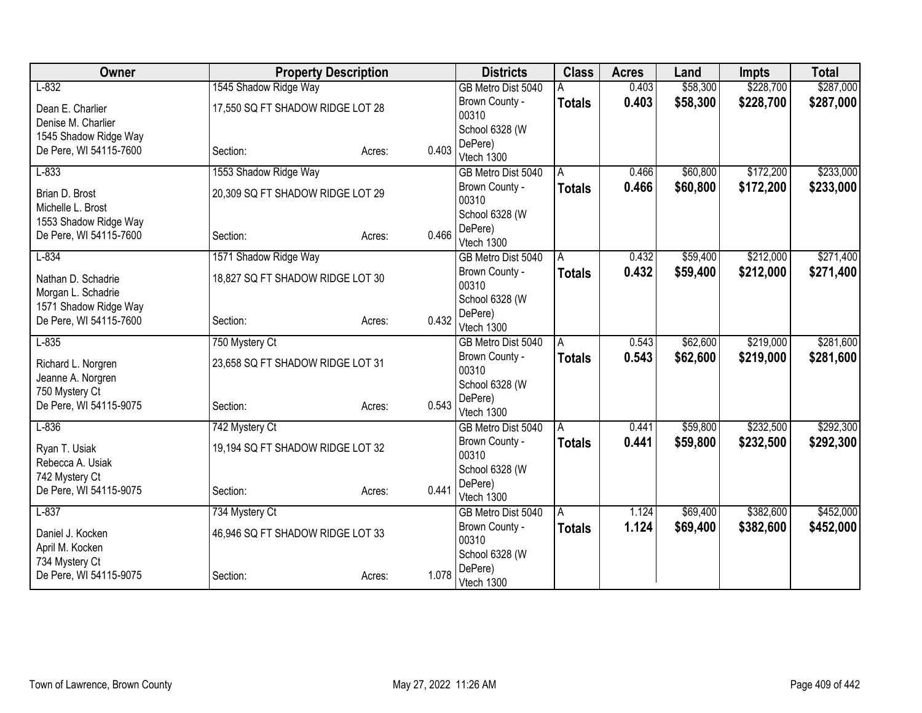| Owner                               | <b>Property Description</b>      |                 | <b>Districts</b>        | <b>Class</b>  | <b>Acres</b> | Land     | <b>Impts</b> | <b>Total</b> |
|-------------------------------------|----------------------------------|-----------------|-------------------------|---------------|--------------|----------|--------------|--------------|
| $L-832$                             | 1545 Shadow Ridge Way            |                 | GB Metro Dist 5040      |               | 0.403        | \$58,300 | \$228,700    | \$287,000    |
| Dean E. Charlier                    | 17,550 SQ FT SHADOW RIDGE LOT 28 |                 | Brown County -          | <b>Totals</b> | 0.403        | \$58,300 | \$228,700    | \$287,000    |
| Denise M. Charlier                  |                                  |                 | 00310                   |               |              |          |              |              |
| 1545 Shadow Ridge Way               |                                  |                 | School 6328 (W          |               |              |          |              |              |
| De Pere, WI 54115-7600              | Section:                         | 0.403<br>Acres: | DePere)                 |               |              |          |              |              |
|                                     |                                  |                 | Vtech 1300              |               |              |          |              |              |
| $L-833$                             | 1553 Shadow Ridge Way            |                 | GB Metro Dist 5040      | A             | 0.466        | \$60,800 | \$172,200    | \$233,000    |
| Brian D. Brost<br>Michelle L. Brost | 20,309 SQ FT SHADOW RIDGE LOT 29 |                 | Brown County -<br>00310 | <b>Totals</b> | 0.466        | \$60,800 | \$172,200    | \$233,000    |
| 1553 Shadow Ridge Way               |                                  |                 | School 6328 (W          |               |              |          |              |              |
| De Pere, WI 54115-7600              | Section:                         | 0.466<br>Acres: | DePere)<br>Vtech 1300   |               |              |          |              |              |
| $L-834$                             | 1571 Shadow Ridge Way            |                 | GB Metro Dist 5040      | A             | 0.432        | \$59,400 | \$212,000    | \$271,400    |
| Nathan D. Schadrie                  | 18,827 SQ FT SHADOW RIDGE LOT 30 |                 | Brown County -          | <b>Totals</b> | 0.432        | \$59,400 | \$212,000    | \$271,400    |
| Morgan L. Schadrie                  |                                  |                 | 00310                   |               |              |          |              |              |
| 1571 Shadow Ridge Way               |                                  |                 | School 6328 (W          |               |              |          |              |              |
| De Pere, WI 54115-7600              | Section:                         | 0.432<br>Acres: | DePere)                 |               |              |          |              |              |
|                                     |                                  |                 | Vtech 1300              |               |              |          |              |              |
| $L-835$                             | 750 Mystery Ct                   |                 | GB Metro Dist 5040      | A             | 0.543        | \$62,600 | \$219,000    | \$281,600    |
| Richard L. Norgren                  | 23,658 SQ FT SHADOW RIDGE LOT 31 |                 | Brown County -<br>00310 | <b>Totals</b> | 0.543        | \$62,600 | \$219,000    | \$281,600    |
| Jeanne A. Norgren                   |                                  |                 | School 6328 (W          |               |              |          |              |              |
| 750 Mystery Ct                      |                                  |                 | DePere)                 |               |              |          |              |              |
| De Pere, WI 54115-9075              | Section:                         | 0.543<br>Acres: | Vtech 1300              |               |              |          |              |              |
| $L-836$                             | 742 Mystery Ct                   |                 | GB Metro Dist 5040      | A             | 0.441        | \$59,800 | \$232,500    | \$292,300    |
|                                     |                                  |                 | Brown County -          | <b>Totals</b> | 0.441        | \$59,800 | \$232,500    | \$292,300    |
| Ryan T. Usiak<br>Rebecca A. Usiak   | 19,194 SQ FT SHADOW RIDGE LOT 32 |                 | 00310                   |               |              |          |              |              |
| 742 Mystery Ct                      |                                  |                 | School 6328 (W          |               |              |          |              |              |
| De Pere, WI 54115-9075              | Section:                         | 0.441<br>Acres: | DePere)                 |               |              |          |              |              |
|                                     |                                  |                 | Vtech 1300              |               |              |          |              |              |
| $L-837$                             | 734 Mystery Ct                   |                 | GB Metro Dist 5040      | ΙA            | 1.124        | \$69,400 | \$382,600    | \$452,000    |
| Daniel J. Kocken                    | 46,946 SQ FT SHADOW RIDGE LOT 33 |                 | Brown County -          | <b>Totals</b> | 1.124        | \$69,400 | \$382,600    | \$452,000    |
| April M. Kocken                     |                                  |                 | 00310                   |               |              |          |              |              |
| 734 Mystery Ct                      |                                  |                 | School 6328 (W          |               |              |          |              |              |
| De Pere, WI 54115-9075              | Section:                         | 1.078<br>Acres: | DePere)                 |               |              |          |              |              |
|                                     |                                  |                 | Vtech 1300              |               |              |          |              |              |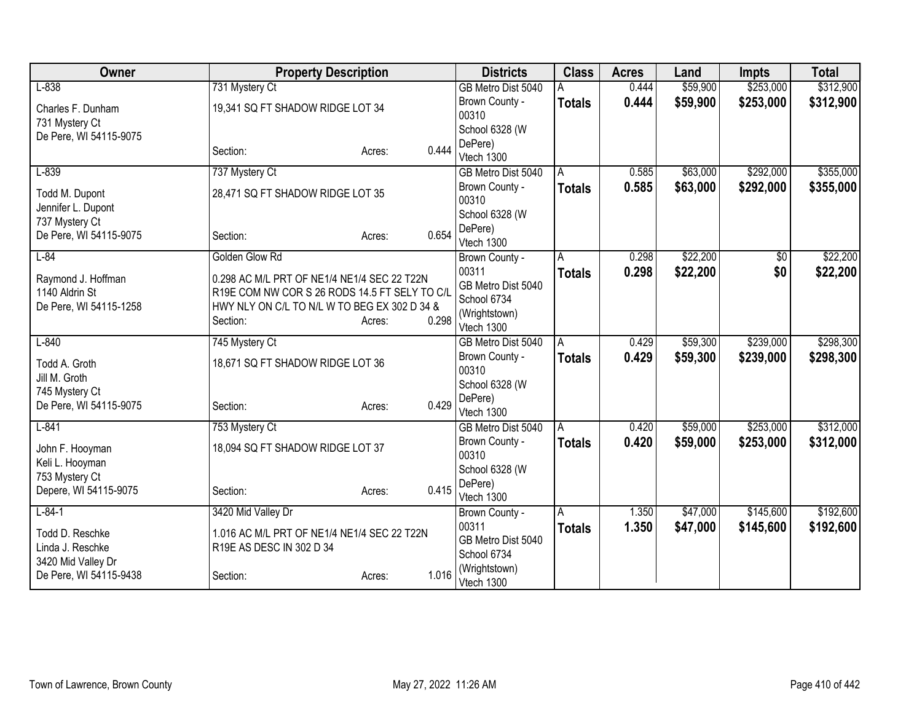| Owner                  | <b>Property Description</b>                   |                 | <b>Districts</b>          | <b>Class</b>  | <b>Acres</b> | Land     | <b>Impts</b> | <b>Total</b> |
|------------------------|-----------------------------------------------|-----------------|---------------------------|---------------|--------------|----------|--------------|--------------|
| $L-838$                | 731 Mystery Ct                                |                 | GB Metro Dist 5040        |               | 0.444        | \$59,900 | \$253,000    | \$312,900    |
| Charles F. Dunham      | 19,341 SQ FT SHADOW RIDGE LOT 34              |                 | Brown County -            | <b>Totals</b> | 0.444        | \$59,900 | \$253,000    | \$312,900    |
| 731 Mystery Ct         |                                               |                 | 00310                     |               |              |          |              |              |
| De Pere, WI 54115-9075 |                                               |                 | School 6328 (W            |               |              |          |              |              |
|                        | Section:                                      | 0.444<br>Acres: | DePere)                   |               |              |          |              |              |
|                        |                                               |                 | Vtech 1300                |               |              |          |              |              |
| $L-839$                | 737 Mystery Ct                                |                 | GB Metro Dist 5040        | A             | 0.585        | \$63,000 | \$292,000    | \$355,000    |
| Todd M. Dupont         | 28,471 SQ FT SHADOW RIDGE LOT 35              |                 | Brown County -            | <b>Totals</b> | 0.585        | \$63,000 | \$292,000    | \$355,000    |
| Jennifer L. Dupont     |                                               |                 | 00310                     |               |              |          |              |              |
| 737 Mystery Ct         |                                               |                 | School 6328 (W<br>DePere) |               |              |          |              |              |
| De Pere, WI 54115-9075 | Section:                                      | 0.654<br>Acres: | Vtech 1300                |               |              |          |              |              |
| $L-84$                 | Golden Glow Rd                                |                 | Brown County -            | A             | 0.298        | \$22,200 | \$0          | \$22,200     |
|                        |                                               |                 | 00311                     | <b>Totals</b> | 0.298        | \$22,200 | \$0          | \$22,200     |
| Raymond J. Hoffman     | 0.298 AC M/L PRT OF NE1/4 NE1/4 SEC 22 T22N   |                 | GB Metro Dist 5040        |               |              |          |              |              |
| 1140 Aldrin St         | R19E COM NW COR S 26 RODS 14.5 FT SELY TO C/L |                 | School 6734               |               |              |          |              |              |
| De Pere, WI 54115-1258 | HWY NLY ON C/L TO N/L W TO BEG EX 302 D 34 &  |                 | (Wrightstown)             |               |              |          |              |              |
|                        | Section:                                      | 0.298<br>Acres: | Vtech 1300                |               |              |          |              |              |
| $L-840$                | 745 Mystery Ct                                |                 | GB Metro Dist 5040        | A             | 0.429        | \$59,300 | \$239,000    | \$298,300    |
| Todd A. Groth          | 18,671 SQ FT SHADOW RIDGE LOT 36              |                 | Brown County -            | <b>Totals</b> | 0.429        | \$59,300 | \$239,000    | \$298,300    |
| Jill M. Groth          |                                               |                 | 00310                     |               |              |          |              |              |
| 745 Mystery Ct         |                                               |                 | School 6328 (W            |               |              |          |              |              |
| De Pere, WI 54115-9075 | Section:                                      | 0.429<br>Acres: | DePere)                   |               |              |          |              |              |
|                        |                                               |                 | Vtech 1300                |               |              |          |              |              |
| $L-841$                | 753 Mystery Ct                                |                 | GB Metro Dist 5040        | A             | 0.420        | \$59,000 | \$253,000    | \$312,000    |
| John F. Hooyman        | 18,094 SQ FT SHADOW RIDGE LOT 37              |                 | Brown County -            | <b>Totals</b> | 0.420        | \$59,000 | \$253,000    | \$312,000    |
| Keli L. Hooyman        |                                               |                 | 00310                     |               |              |          |              |              |
| 753 Mystery Ct         |                                               |                 | School 6328 (W            |               |              |          |              |              |
| Depere, WI 54115-9075  | Section:                                      | 0.415<br>Acres: | DePere)<br>Vtech 1300     |               |              |          |              |              |
| $L - 84 - 1$           | 3420 Mid Valley Dr                            |                 | Brown County -            | A             | 1.350        | \$47,000 | \$145,600    | \$192,600    |
|                        |                                               |                 | 00311                     | <b>Totals</b> | 1.350        | \$47,000 | \$145,600    | \$192,600    |
| Todd D. Reschke        | 1.016 AC M/L PRT OF NE1/4 NE1/4 SEC 22 T22N   |                 | GB Metro Dist 5040        |               |              |          |              |              |
| Linda J. Reschke       | R19E AS DESC IN 302 D 34                      |                 | School 6734               |               |              |          |              |              |
| 3420 Mid Valley Dr     |                                               |                 | (Wrightstown)             |               |              |          |              |              |
| De Pere, WI 54115-9438 | Section:                                      | 1.016<br>Acres: | Vtech 1300                |               |              |          |              |              |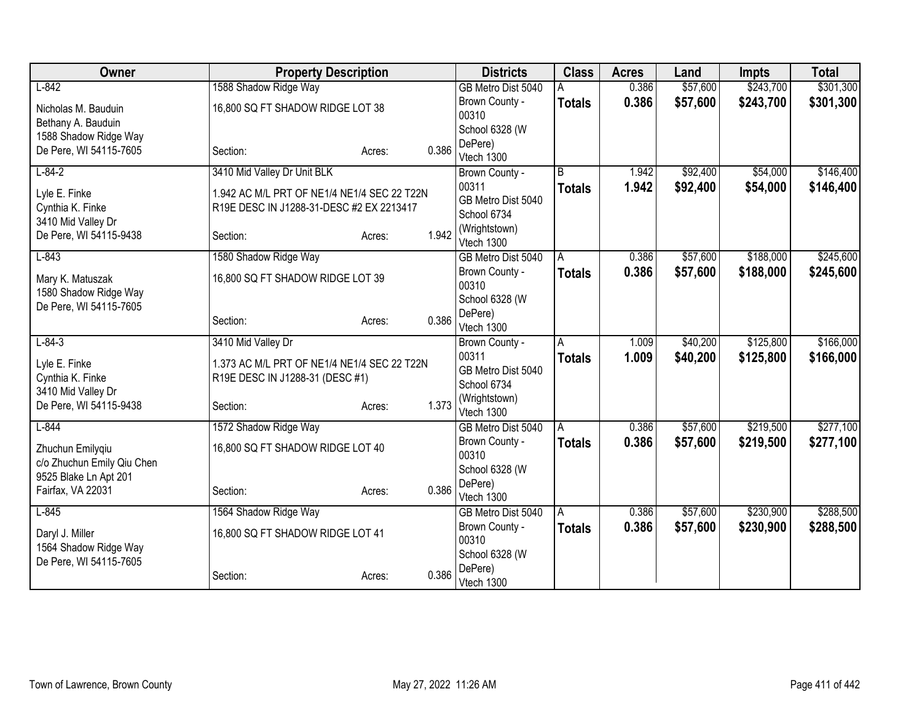| Owner                      |                                             | <b>Property Description</b> |       | <b>Districts</b>        | <b>Class</b>   | <b>Acres</b> | Land     | <b>Impts</b> | <b>Total</b> |
|----------------------------|---------------------------------------------|-----------------------------|-------|-------------------------|----------------|--------------|----------|--------------|--------------|
| $L-842$                    | 1588 Shadow Ridge Way                       |                             |       | GB Metro Dist 5040      |                | 0.386        | \$57,600 | \$243,700    | \$301,300    |
| Nicholas M. Bauduin        | 16,800 SQ FT SHADOW RIDGE LOT 38            |                             |       | Brown County -          | <b>Totals</b>  | 0.386        | \$57,600 | \$243,700    | \$301,300    |
| Bethany A. Bauduin         |                                             |                             |       | 00310                   |                |              |          |              |              |
| 1588 Shadow Ridge Way      |                                             |                             |       | School 6328 (W          |                |              |          |              |              |
| De Pere, WI 54115-7605     | Section:                                    | Acres:                      | 0.386 | DePere)                 |                |              |          |              |              |
| $L - 84 - 2$               | 3410 Mid Valley Dr Unit BLK                 |                             |       | Vtech 1300              | $\overline{B}$ | 1.942        | \$92,400 | \$54,000     | \$146,400    |
|                            |                                             |                             |       | Brown County -<br>00311 | <b>Totals</b>  | 1.942        | \$92,400 | \$54,000     | \$146,400    |
| Lyle E. Finke              | 1.942 AC M/L PRT OF NE1/4 NE1/4 SEC 22 T22N |                             |       | GB Metro Dist 5040      |                |              |          |              |              |
| Cynthia K. Finke           | R19E DESC IN J1288-31-DESC #2 EX 2213417    |                             |       | School 6734             |                |              |          |              |              |
| 3410 Mid Valley Dr         |                                             |                             |       | (Wrightstown)           |                |              |          |              |              |
| De Pere, WI 54115-9438     | Section:                                    | Acres:                      | 1.942 | Vtech 1300              |                |              |          |              |              |
| $L-843$                    | 1580 Shadow Ridge Way                       |                             |       | GB Metro Dist 5040      | A              | 0.386        | \$57,600 | \$188,000    | \$245,600    |
| Mary K. Matuszak           | 16,800 SQ FT SHADOW RIDGE LOT 39            |                             |       | Brown County -          | <b>Totals</b>  | 0.386        | \$57,600 | \$188,000    | \$245,600    |
| 1580 Shadow Ridge Way      |                                             |                             |       | 00310                   |                |              |          |              |              |
| De Pere, WI 54115-7605     |                                             |                             |       | School 6328 (W          |                |              |          |              |              |
|                            | Section:                                    | Acres:                      | 0.386 | DePere)                 |                |              |          |              |              |
|                            |                                             |                             |       | Vtech 1300              |                |              |          |              |              |
| $L - 84 - 3$               | 3410 Mid Valley Dr                          |                             |       | Brown County -<br>00311 | A              | 1.009        | \$40,200 | \$125,800    | \$166,000    |
| Lyle E. Finke              | 1.373 AC M/L PRT OF NE1/4 NE1/4 SEC 22 T22N |                             |       | GB Metro Dist 5040      | <b>Totals</b>  | 1.009        | \$40,200 | \$125,800    | \$166,000    |
| Cynthia K. Finke           | R19E DESC IN J1288-31 (DESC #1)             |                             |       | School 6734             |                |              |          |              |              |
| 3410 Mid Valley Dr         |                                             |                             |       | (Wrightstown)           |                |              |          |              |              |
| De Pere, WI 54115-9438     | Section:                                    | Acres:                      | 1.373 | Vtech 1300              |                |              |          |              |              |
| $L-844$                    | 1572 Shadow Ridge Way                       |                             |       | GB Metro Dist 5040      | ΙA             | 0.386        | \$57,600 | \$219,500    | \$277,100    |
| Zhuchun Emilygiu           | 16,800 SQ FT SHADOW RIDGE LOT 40            |                             |       | Brown County -          | <b>Totals</b>  | 0.386        | \$57,600 | \$219,500    | \$277,100    |
| c/o Zhuchun Emily Qiu Chen |                                             |                             |       | 00310                   |                |              |          |              |              |
| 9525 Blake Ln Apt 201      |                                             |                             |       | School 6328 (W          |                |              |          |              |              |
| Fairfax, VA 22031          | Section:                                    | Acres:                      | 0.386 | DePere)                 |                |              |          |              |              |
| $L-845$                    |                                             |                             |       | Vtech 1300              |                |              | \$57,600 | \$230,900    | \$288,500    |
|                            | 1564 Shadow Ridge Way                       |                             |       | GB Metro Dist 5040      | l A            | 0.386        |          |              |              |
| Daryl J. Miller            | 16,800 SQ FT SHADOW RIDGE LOT 41            |                             |       | Brown County -<br>00310 | <b>Totals</b>  | 0.386        | \$57,600 | \$230,900    | \$288,500    |
| 1564 Shadow Ridge Way      |                                             |                             |       | School 6328 (W          |                |              |          |              |              |
| De Pere, WI 54115-7605     |                                             |                             |       | DePere)                 |                |              |          |              |              |
|                            | Section:                                    | Acres:                      | 0.386 | Vtech 1300              |                |              |          |              |              |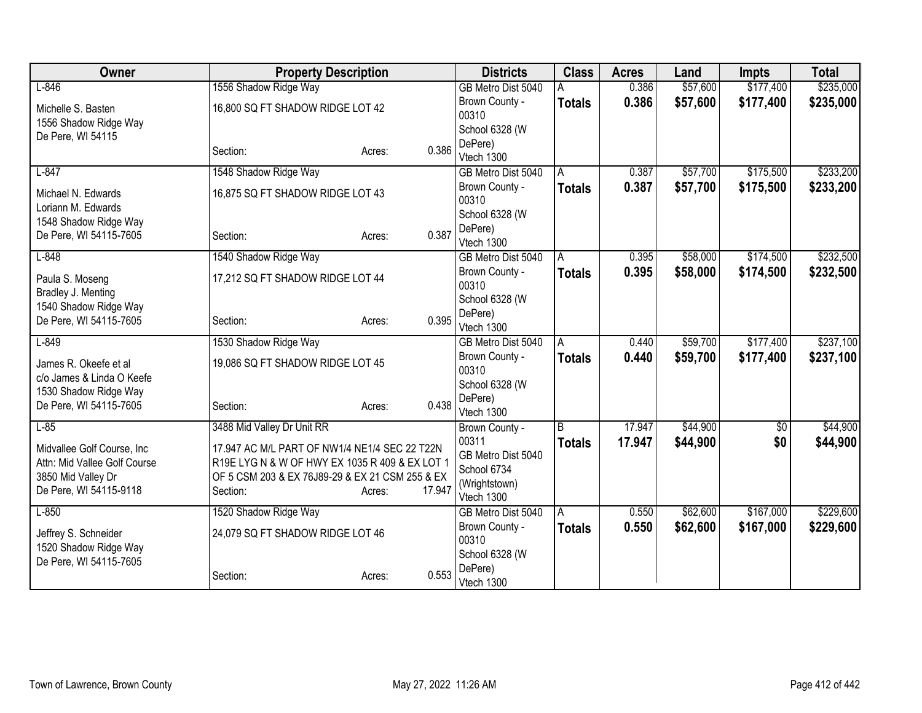| Owner                        | <b>Property Description</b>                     |                  | <b>Districts</b>        | <b>Class</b>  | <b>Acres</b> | Land     | <b>Impts</b> | <b>Total</b> |
|------------------------------|-------------------------------------------------|------------------|-------------------------|---------------|--------------|----------|--------------|--------------|
| $L-846$                      | 1556 Shadow Ridge Way                           |                  | GB Metro Dist 5040      |               | 0.386        | \$57,600 | \$177,400    | \$235,000    |
| Michelle S. Basten           | 16,800 SQ FT SHADOW RIDGE LOT 42                |                  | Brown County -          | <b>Totals</b> | 0.386        | \$57,600 | \$177,400    | \$235,000    |
| 1556 Shadow Ridge Way        |                                                 |                  | 00310                   |               |              |          |              |              |
| De Pere, WI 54115            |                                                 |                  | School 6328 (W          |               |              |          |              |              |
|                              | Section:                                        | 0.386<br>Acres:  | DePere)<br>Vtech 1300   |               |              |          |              |              |
| $L-847$                      | 1548 Shadow Ridge Way                           |                  | GB Metro Dist 5040      | A             | 0.387        | \$57,700 | \$175,500    | \$233,200    |
|                              |                                                 |                  | Brown County -          | <b>Totals</b> | 0.387        | \$57,700 | \$175,500    | \$233,200    |
| Michael N. Edwards           | 16,875 SQ FT SHADOW RIDGE LOT 43                |                  | 00310                   |               |              |          |              |              |
| Loriann M. Edwards           |                                                 |                  | School 6328 (W          |               |              |          |              |              |
| 1548 Shadow Ridge Way        |                                                 |                  | DePere)                 |               |              |          |              |              |
| De Pere, WI 54115-7605       | Section:                                        | 0.387<br>Acres:  | Vtech 1300              |               |              |          |              |              |
| $L-848$                      | 1540 Shadow Ridge Way                           |                  | GB Metro Dist 5040      | A             | 0.395        | \$58,000 | \$174,500    | \$232,500    |
| Paula S. Moseng              | 17,212 SQ FT SHADOW RIDGE LOT 44                |                  | Brown County -          | <b>Totals</b> | 0.395        | \$58,000 | \$174,500    | \$232,500    |
| Bradley J. Menting           |                                                 |                  | 00310                   |               |              |          |              |              |
| 1540 Shadow Ridge Way        |                                                 |                  | School 6328 (W          |               |              |          |              |              |
| De Pere, WI 54115-7605       | Section:                                        | 0.395<br>Acres:  | DePere)                 |               |              |          |              |              |
|                              |                                                 |                  | Vtech 1300              |               |              |          |              |              |
| $L-849$                      | 1530 Shadow Ridge Way                           |                  | GB Metro Dist 5040      | Α             | 0.440        | \$59,700 | \$177,400    | \$237,100    |
| James R. Okeefe et al        | 19,086 SQ FT SHADOW RIDGE LOT 45                |                  | Brown County -<br>00310 | <b>Totals</b> | 0.440        | \$59,700 | \$177,400    | \$237,100    |
| c/o James & Linda O Keefe    |                                                 |                  | School 6328 (W          |               |              |          |              |              |
| 1530 Shadow Ridge Way        |                                                 |                  | DePere)                 |               |              |          |              |              |
| De Pere, WI 54115-7605       | Section:                                        | 0.438<br>Acres:  | Vtech 1300              |               |              |          |              |              |
| $L-85$                       | 3488 Mid Valley Dr Unit RR                      |                  | Brown County -          | B             | 17.947       | \$44,900 | $\sqrt{$0}$  | \$44,900     |
| Midvallee Golf Course, Inc.  | 17.947 AC M/L PART OF NW1/4 NE1/4 SEC 22 T22N   |                  | 00311                   | <b>Totals</b> | 17.947       | \$44,900 | \$0          | \$44,900     |
| Attn: Mid Vallee Golf Course | R19E LYG N & W OF HWY EX 1035 R 409 & EX LOT 1  |                  | GB Metro Dist 5040      |               |              |          |              |              |
| 3850 Mid Valley Dr           | OF 5 CSM 203 & EX 76J89-29 & EX 21 CSM 255 & EX |                  | School 6734             |               |              |          |              |              |
| De Pere, WI 54115-9118       | Section:                                        | 17.947<br>Acres: | (Wrightstown)           |               |              |          |              |              |
|                              |                                                 |                  | Vtech 1300              |               |              |          |              |              |
| $L-850$                      | 1520 Shadow Ridge Way                           |                  | GB Metro Dist 5040      | A             | 0.550        | \$62,600 | \$167,000    | \$229,600    |
| Jeffrey S. Schneider         | 24,079 SQ FT SHADOW RIDGE LOT 46                |                  | Brown County -<br>00310 | <b>Totals</b> | 0.550        | \$62,600 | \$167,000    | \$229,600    |
| 1520 Shadow Ridge Way        |                                                 |                  | School 6328 (W          |               |              |          |              |              |
| De Pere, WI 54115-7605       |                                                 |                  | DePere)                 |               |              |          |              |              |
|                              | Section:                                        | 0.553<br>Acres:  | Vtech 1300              |               |              |          |              |              |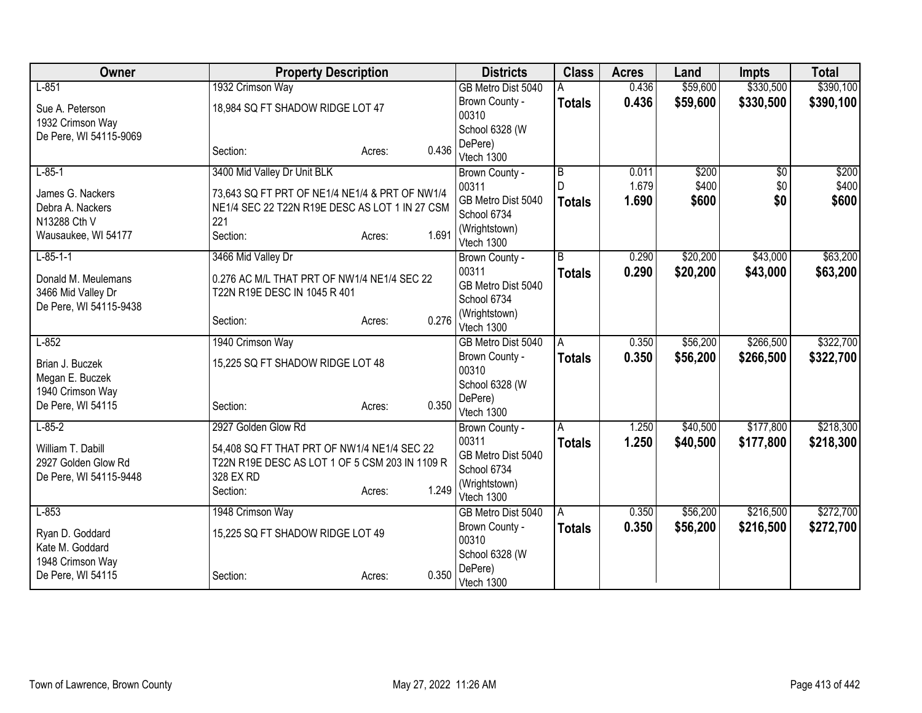| Owner                                         | <b>Property Description</b>                                 |                 | <b>Districts</b>          | <b>Class</b>        | <b>Acres</b>   | Land     | <b>Impts</b>           | <b>Total</b> |
|-----------------------------------------------|-------------------------------------------------------------|-----------------|---------------------------|---------------------|----------------|----------|------------------------|--------------|
| $L-851$                                       | 1932 Crimson Way                                            |                 | GB Metro Dist 5040        |                     | 0.436          | \$59,600 | \$330,500              | \$390,100    |
| Sue A. Peterson                               | 18,984 SQ FT SHADOW RIDGE LOT 47                            |                 | Brown County -            | <b>Totals</b>       | 0.436          | \$59,600 | \$330,500              | \$390,100    |
| 1932 Crimson Way                              |                                                             |                 | 00310                     |                     |                |          |                        |              |
| De Pere, WI 54115-9069                        |                                                             |                 | School 6328 (W            |                     |                |          |                        |              |
|                                               | Section:                                                    | 0.436<br>Acres: | DePere)                   |                     |                |          |                        |              |
| $L - 85 - 1$                                  |                                                             |                 | Vtech 1300                |                     |                | \$200    |                        | \$200        |
|                                               | 3400 Mid Valley Dr Unit BLK                                 |                 | Brown County -<br>00311   | $\overline{B}$<br>D | 0.011<br>1.679 | \$400    | $\overline{50}$<br>\$0 | \$400        |
| James G. Nackers                              | 73,643 SQ FT PRT OF NE1/4 NE1/4 & PRT OF NW1/4              |                 | GB Metro Dist 5040        |                     | 1.690          | \$600    | \$0                    | \$600        |
| Debra A. Nackers                              | NE1/4 SEC 22 T22N R19E DESC AS LOT 1 IN 27 CSM              |                 | School 6734               | <b>Totals</b>       |                |          |                        |              |
| N13288 Cth V                                  | 221                                                         |                 | (Wrightstown)             |                     |                |          |                        |              |
| Wausaukee, WI 54177                           | Section:                                                    | 1.691<br>Acres: | Vtech 1300                |                     |                |          |                        |              |
| $L-85-1-1$                                    | 3466 Mid Valley Dr                                          |                 | Brown County -            | B                   | 0.290          | \$20,200 | \$43,000               | \$63,200     |
|                                               | 0.276 AC M/L THAT PRT OF NW1/4 NE1/4 SEC 22                 |                 | 00311                     | <b>Totals</b>       | 0.290          | \$20,200 | \$43,000               | \$63,200     |
| Donald M. Meulemans<br>3466 Mid Valley Dr     | T22N R19E DESC IN 1045 R 401                                |                 | GB Metro Dist 5040        |                     |                |          |                        |              |
| De Pere, WI 54115-9438                        |                                                             |                 | School 6734               |                     |                |          |                        |              |
|                                               | Section:                                                    | 0.276<br>Acres: | (Wrightstown)             |                     |                |          |                        |              |
|                                               |                                                             |                 | Vtech 1300                |                     |                |          |                        |              |
| $L-852$                                       | 1940 Crimson Way                                            |                 | GB Metro Dist 5040        | A                   | 0.350          | \$56,200 | \$266,500              | \$322,700    |
| Brian J. Buczek                               | 15,225 SQ FT SHADOW RIDGE LOT 48                            |                 | Brown County -<br>00310   | <b>Totals</b>       | 0.350          | \$56,200 | \$266,500              | \$322,700    |
| Megan E. Buczek                               |                                                             |                 | School 6328 (W            |                     |                |          |                        |              |
| 1940 Crimson Way                              |                                                             |                 | DePere)                   |                     |                |          |                        |              |
| De Pere, WI 54115                             | Section:                                                    | 0.350<br>Acres: | Vtech 1300                |                     |                |          |                        |              |
| $L - 85 - 2$                                  | 2927 Golden Glow Rd                                         |                 | Brown County -            | Α                   | 1.250          | \$40,500 | \$177,800              | \$218,300    |
|                                               |                                                             |                 | 00311                     | <b>Totals</b>       | 1.250          | \$40,500 | \$177,800              | \$218,300    |
| William T. Dabill                             | 54,408 SQ FT THAT PRT OF NW1/4 NE1/4 SEC 22                 |                 | GB Metro Dist 5040        |                     |                |          |                        |              |
| 2927 Golden Glow Rd<br>De Pere, WI 54115-9448 | T22N R19E DESC AS LOT 1 OF 5 CSM 203 IN 1109 R<br>328 EX RD |                 | School 6734               |                     |                |          |                        |              |
|                                               | Section:                                                    | 1.249<br>Acres: | (Wrightstown)             |                     |                |          |                        |              |
|                                               |                                                             |                 | Vtech 1300                |                     |                |          |                        |              |
| $L-853$                                       | 1948 Crimson Way                                            |                 | GB Metro Dist 5040        | A                   | 0.350          | \$56,200 | \$216,500              | \$272,700    |
| Ryan D. Goddard                               | 15,225 SQ FT SHADOW RIDGE LOT 49                            |                 | Brown County -            | <b>Totals</b>       | 0.350          | \$56,200 | \$216,500              | \$272,700    |
| Kate M. Goddard                               |                                                             |                 | 00310                     |                     |                |          |                        |              |
| 1948 Crimson Way                              |                                                             |                 | School 6328 (W<br>DePere) |                     |                |          |                        |              |
| De Pere, WI 54115                             | Section:                                                    | 0.350<br>Acres: | Vtech 1300                |                     |                |          |                        |              |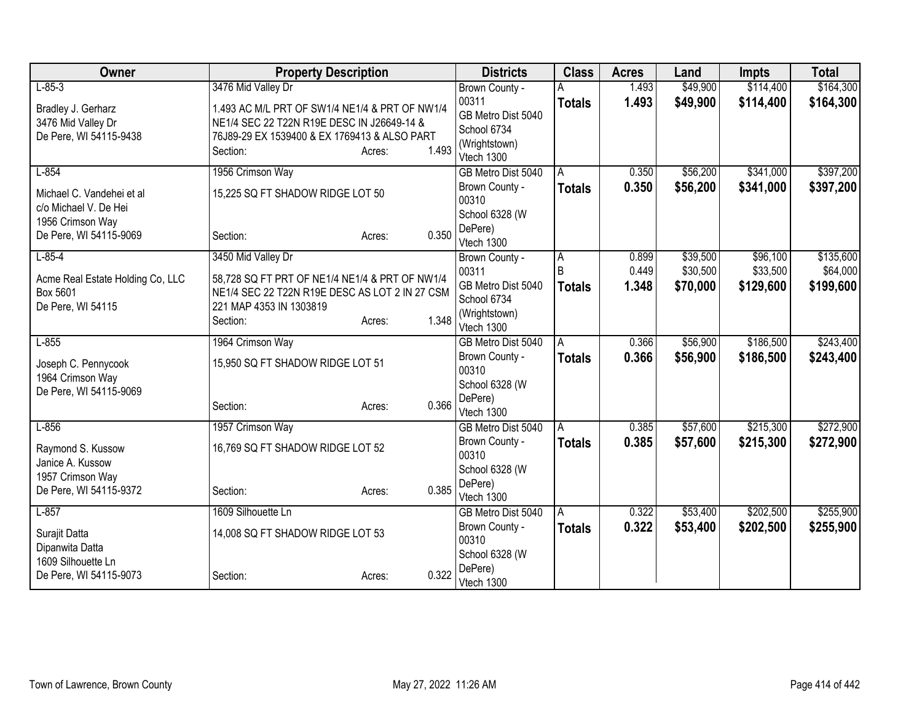| Owner                                              |                                                | <b>Property Description</b> |       | <b>Districts</b>             | <b>Class</b>  | <b>Acres</b> | Land     | <b>Impts</b> | <b>Total</b> |
|----------------------------------------------------|------------------------------------------------|-----------------------------|-------|------------------------------|---------------|--------------|----------|--------------|--------------|
| $L - 85 - 3$                                       | 3476 Mid Valley Dr                             |                             |       | Brown County -               |               | 1.493        | \$49,900 | \$114,400    | \$164,300    |
| Bradley J. Gerharz                                 | 1.493 AC M/L PRT OF SW1/4 NE1/4 & PRT OF NW1/4 |                             |       | 00311                        | <b>Totals</b> | 1.493        | \$49,900 | \$114,400    | \$164,300    |
| 3476 Mid Valley Dr                                 | NE1/4 SEC 22 T22N R19E DESC IN J26649-14 &     |                             |       | GB Metro Dist 5040           |               |              |          |              |              |
| De Pere, WI 54115-9438                             | 76J89-29 EX 1539400 & EX 1769413 & ALSO PART   |                             |       | School 6734<br>(Wrightstown) |               |              |          |              |              |
|                                                    | Section:                                       | Acres:                      | 1.493 | Vtech 1300                   |               |              |          |              |              |
| $L-854$                                            | 1956 Crimson Way                               |                             |       | GB Metro Dist 5040           | A             | 0.350        | \$56,200 | \$341,000    | \$397,200    |
| Michael C. Vandehei et al<br>c/o Michael V. De Hei | 15,225 SQ FT SHADOW RIDGE LOT 50               |                             |       | Brown County -<br>00310      | <b>Totals</b> | 0.350        | \$56,200 | \$341,000    | \$397,200    |
| 1956 Crimson Way                                   |                                                |                             |       | School 6328 (W               |               |              |          |              |              |
| De Pere, WI 54115-9069                             | Section:                                       | Acres:                      | 0.350 | DePere)<br>Vtech 1300        |               |              |          |              |              |
| $L - 85 - 4$                                       | 3450 Mid Valley Dr                             |                             |       | Brown County -               | A             | 0.899        | \$39,500 | \$96,100     | \$135,600    |
| Acme Real Estate Holding Co, LLC                   | 58,728 SQ FT PRT OF NE1/4 NE1/4 & PRT OF NW1/4 |                             |       | 00311                        | B             | 0.449        | \$30,500 | \$33,500     | \$64,000     |
| Box 5601                                           | NE1/4 SEC 22 T22N R19E DESC AS LOT 2 IN 27 CSM |                             |       | GB Metro Dist 5040           | <b>Totals</b> | 1.348        | \$70,000 | \$129,600    | \$199,600    |
| De Pere, WI 54115                                  | 221 MAP 4353 IN 1303819                        |                             |       | School 6734                  |               |              |          |              |              |
|                                                    | Section:                                       | Acres:                      | 1.348 | (Wrightstown)<br>Vtech 1300  |               |              |          |              |              |
| $L-855$                                            | 1964 Crimson Way                               |                             |       | GB Metro Dist 5040           | A             | 0.366        | \$56,900 | \$186,500    | \$243,400    |
| Joseph C. Pennycook                                | 15,950 SQ FT SHADOW RIDGE LOT 51               |                             |       | Brown County -               | <b>Totals</b> | 0.366        | \$56,900 | \$186,500    | \$243,400    |
| 1964 Crimson Way                                   |                                                |                             |       | 00310                        |               |              |          |              |              |
| De Pere, WI 54115-9069                             |                                                |                             |       | School 6328 (W<br>DePere)    |               |              |          |              |              |
|                                                    | Section:                                       | Acres:                      | 0.366 | Vtech 1300                   |               |              |          |              |              |
| $L-856$                                            | 1957 Crimson Way                               |                             |       | GB Metro Dist 5040           | A             | 0.385        | \$57,600 | \$215,300    | \$272,900    |
| Raymond S. Kussow                                  | 16,769 SQ FT SHADOW RIDGE LOT 52               |                             |       | Brown County -               | <b>Totals</b> | 0.385        | \$57,600 | \$215,300    | \$272,900    |
| Janice A. Kussow                                   |                                                |                             |       | 00310                        |               |              |          |              |              |
| 1957 Crimson Way                                   |                                                |                             |       | School 6328 (W               |               |              |          |              |              |
| De Pere, WI 54115-9372                             | Section:                                       | Acres:                      | 0.385 | DePere)<br>Vtech 1300        |               |              |          |              |              |
| $L-857$                                            | 1609 Silhouette Ln                             |                             |       | GB Metro Dist 5040           | A             | 0.322        | \$53,400 | \$202,500    | \$255,900    |
|                                                    |                                                |                             |       | Brown County -               | <b>Totals</b> | 0.322        | \$53,400 | \$202,500    | \$255,900    |
| Surajit Datta                                      | 14,008 SQ FT SHADOW RIDGE LOT 53               |                             |       | 00310                        |               |              |          |              |              |
| Dipanwita Datta<br>1609 Silhouette Ln              |                                                |                             |       | School 6328 (W               |               |              |          |              |              |
| De Pere, WI 54115-9073                             | Section:                                       | Acres:                      | 0.322 | DePere)<br>Vtech 1300        |               |              |          |              |              |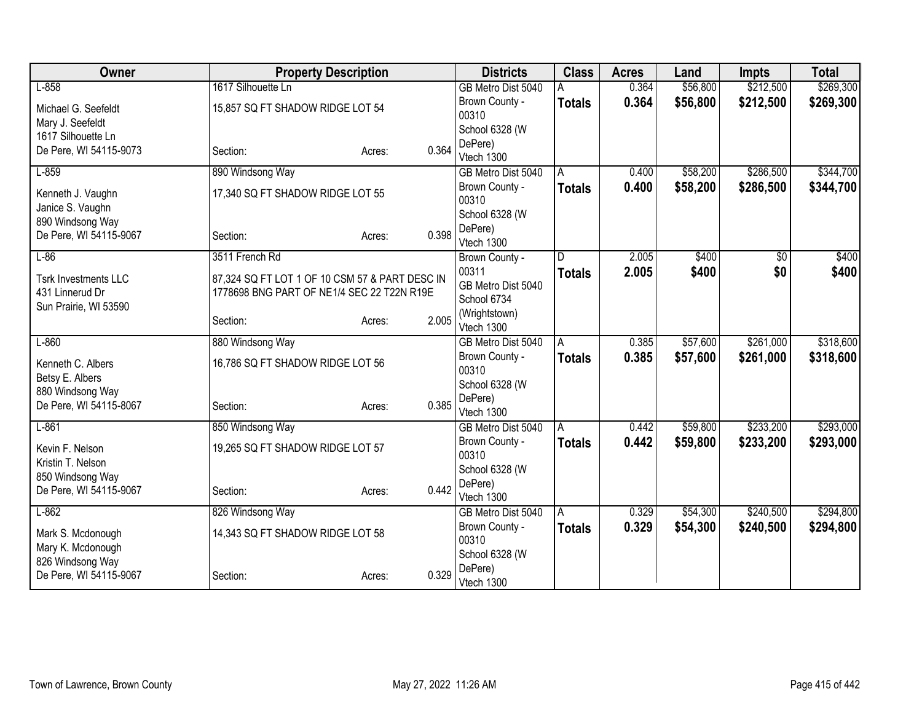| Owner                       | <b>Property Description</b>                    |                 | <b>Districts</b>        | <b>Class</b>  | <b>Acres</b> | Land     | <b>Impts</b> | <b>Total</b> |
|-----------------------------|------------------------------------------------|-----------------|-------------------------|---------------|--------------|----------|--------------|--------------|
| $L-858$                     | 1617 Silhouette Ln                             |                 | GB Metro Dist 5040      |               | 0.364        | \$56,800 | \$212,500    | \$269,300    |
| Michael G. Seefeldt         | 15,857 SQ FT SHADOW RIDGE LOT 54               |                 | Brown County -          | <b>Totals</b> | 0.364        | \$56,800 | \$212,500    | \$269,300    |
| Mary J. Seefeldt            |                                                |                 | 00310                   |               |              |          |              |              |
| 1617 Silhouette Ln          |                                                |                 | School 6328 (W          |               |              |          |              |              |
| De Pere, WI 54115-9073      | Section:                                       | 0.364<br>Acres: | DePere)                 |               |              |          |              |              |
|                             |                                                |                 | Vtech 1300              |               |              |          |              |              |
| $L-859$                     | 890 Windsong Way                               |                 | GB Metro Dist 5040      | A             | 0.400        | \$58,200 | \$286,500    | \$344,700    |
| Kenneth J. Vaughn           | 17,340 SQ FT SHADOW RIDGE LOT 55               |                 | Brown County -<br>00310 | <b>Totals</b> | 0.400        | \$58,200 | \$286,500    | \$344,700    |
| Janice S. Vaughn            |                                                |                 | School 6328 (W          |               |              |          |              |              |
| 890 Windsong Way            |                                                |                 | DePere)                 |               |              |          |              |              |
| De Pere, WI 54115-9067      | Section:                                       | 0.398<br>Acres: | Vtech 1300              |               |              |          |              |              |
| $L-86$                      | 3511 French Rd                                 |                 | Brown County -          | D             | 2.005        | \$400    | \$0          | \$400        |
| <b>Tsrk Investments LLC</b> | 87,324 SQ FT LOT 1 OF 10 CSM 57 & PART DESC IN |                 | 00311                   | <b>Totals</b> | 2.005        | \$400    | \$0          | \$400        |
| 431 Linnerud Dr             | 1778698 BNG PART OF NE1/4 SEC 22 T22N R19E     |                 | GB Metro Dist 5040      |               |              |          |              |              |
| Sun Prairie, WI 53590       |                                                |                 | School 6734             |               |              |          |              |              |
|                             | Section:                                       | 2.005<br>Acres: | (Wrightstown)           |               |              |          |              |              |
|                             |                                                |                 | Vtech 1300              |               |              |          |              |              |
| $L-860$                     | 880 Windsong Way                               |                 | GB Metro Dist 5040      | A             | 0.385        | \$57,600 | \$261,000    | \$318,600    |
| Kenneth C. Albers           | 16,786 SQ FT SHADOW RIDGE LOT 56               |                 | Brown County -          | <b>Totals</b> | 0.385        | \$57,600 | \$261,000    | \$318,600    |
| Betsy E. Albers             |                                                |                 | 00310                   |               |              |          |              |              |
| 880 Windsong Way            |                                                |                 | School 6328 (W          |               |              |          |              |              |
| De Pere, WI 54115-8067      | Section:                                       | 0.385<br>Acres: | DePere)<br>Vtech 1300   |               |              |          |              |              |
| $L-861$                     | 850 Windsong Way                               |                 | GB Metro Dist 5040      | A             | 0.442        | \$59,800 | \$233,200    | \$293,000    |
|                             |                                                |                 | Brown County -          | <b>Totals</b> | 0.442        | \$59,800 | \$233,200    | \$293,000    |
| Kevin F. Nelson             | 19,265 SQ FT SHADOW RIDGE LOT 57               |                 | 00310                   |               |              |          |              |              |
| Kristin T. Nelson           |                                                |                 | School 6328 (W          |               |              |          |              |              |
| 850 Windsong Way            |                                                |                 | DePere)                 |               |              |          |              |              |
| De Pere, WI 54115-9067      | Section:                                       | 0.442<br>Acres: | Vtech 1300              |               |              |          |              |              |
| $L-862$                     | 826 Windsong Way                               |                 | GB Metro Dist 5040      | ΙA            | 0.329        | \$54,300 | \$240,500    | \$294,800    |
| Mark S. Mcdonough           | 14,343 SQ FT SHADOW RIDGE LOT 58               |                 | Brown County -          | <b>Totals</b> | 0.329        | \$54,300 | \$240,500    | \$294,800    |
| Mary K. Mcdonough           |                                                |                 | 00310                   |               |              |          |              |              |
| 826 Windsong Way            |                                                |                 | School 6328 (W          |               |              |          |              |              |
| De Pere, WI 54115-9067      | Section:                                       | 0.329<br>Acres: | DePere)                 |               |              |          |              |              |
|                             |                                                |                 | Vtech 1300              |               |              |          |              |              |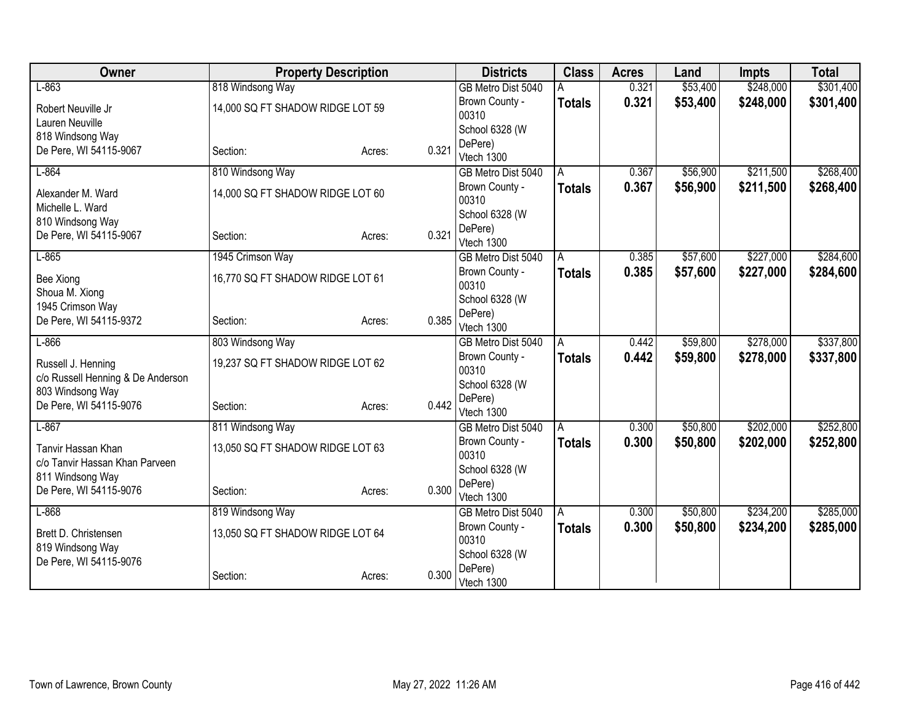| Owner                             | <b>Property Description</b>      |        |       | <b>Districts</b>                 | <b>Class</b>  | <b>Acres</b> | Land     | <b>Impts</b> | <b>Total</b> |
|-----------------------------------|----------------------------------|--------|-------|----------------------------------|---------------|--------------|----------|--------------|--------------|
| $L-863$                           | 818 Windsong Way                 |        |       | GB Metro Dist 5040               |               | 0.321        | \$53,400 | \$248,000    | \$301,400    |
| Robert Neuville Jr                | 14,000 SQ FT SHADOW RIDGE LOT 59 |        |       | Brown County -                   | <b>Totals</b> | 0.321        | \$53,400 | \$248,000    | \$301,400    |
| Lauren Neuville                   |                                  |        |       | 00310                            |               |              |          |              |              |
| 818 Windsong Way                  |                                  |        |       | School 6328 (W                   |               |              |          |              |              |
| De Pere, WI 54115-9067            | Section:                         | Acres: | 0.321 | DePere)<br>Vtech 1300            |               |              |          |              |              |
| $L-864$                           | 810 Windsong Way                 |        |       | GB Metro Dist 5040               | A             | 0.367        | \$56,900 | \$211,500    | \$268,400    |
|                                   |                                  |        |       | Brown County -                   |               | 0.367        | \$56,900 | \$211,500    |              |
| Alexander M. Ward                 | 14,000 SQ FT SHADOW RIDGE LOT 60 |        |       | 00310                            | <b>Totals</b> |              |          |              | \$268,400    |
| Michelle L. Ward                  |                                  |        |       | School 6328 (W                   |               |              |          |              |              |
| 810 Windsong Way                  |                                  |        |       | DePere)                          |               |              |          |              |              |
| De Pere, WI 54115-9067            | Section:                         | Acres: | 0.321 | Vtech 1300                       |               |              |          |              |              |
| $L-865$                           | 1945 Crimson Way                 |        |       | GB Metro Dist 5040               | A             | 0.385        | \$57,600 | \$227,000    | \$284,600    |
| <b>Bee Xiong</b>                  | 16,770 SQ FT SHADOW RIDGE LOT 61 |        |       | Brown County -                   | <b>Totals</b> | 0.385        | \$57,600 | \$227,000    | \$284,600    |
| Shoua M. Xiong                    |                                  |        |       | 00310                            |               |              |          |              |              |
| 1945 Crimson Way                  |                                  |        |       | School 6328 (W                   |               |              |          |              |              |
| De Pere, WI 54115-9372            | Section:                         | Acres: | 0.385 | DePere)                          |               |              |          |              |              |
| $L-866$                           |                                  |        |       | Vtech 1300                       |               | 0.442        |          | \$278,000    | \$337,800    |
|                                   | 803 Windsong Way                 |        |       | GB Metro Dist 5040               | A             |              | \$59,800 |              |              |
| Russell J. Henning                | 19,237 SQ FT SHADOW RIDGE LOT 62 |        |       | Brown County -<br>00310          | <b>Totals</b> | 0.442        | \$59,800 | \$278,000    | \$337,800    |
| c/o Russell Henning & De Anderson |                                  |        |       | School 6328 (W                   |               |              |          |              |              |
| 803 Windsong Way                  |                                  |        |       | DePere)                          |               |              |          |              |              |
| De Pere, WI 54115-9076            | Section:                         | Acres: | 0.442 | Vtech 1300                       |               |              |          |              |              |
| $L-867$                           | 811 Windsong Way                 |        |       | GB Metro Dist 5040               | A             | 0.300        | \$50,800 | \$202,000    | \$252,800    |
| Tanvir Hassan Khan                | 13,050 SQ FT SHADOW RIDGE LOT 63 |        |       | Brown County -                   | <b>Totals</b> | 0.300        | \$50,800 | \$202,000    | \$252,800    |
| c/o Tanvir Hassan Khan Parveen    |                                  |        |       | 00310                            |               |              |          |              |              |
| 811 Windsong Way                  |                                  |        |       | School 6328 (W                   |               |              |          |              |              |
| De Pere, WI 54115-9076            | Section:                         | Acres: | 0.300 | DePere)                          |               |              |          |              |              |
| $L-868$                           | 819 Windsong Way                 |        |       | Vtech 1300<br>GB Metro Dist 5040 | A             | 0.300        | \$50,800 | \$234,200    | \$285,000    |
|                                   |                                  |        |       | Brown County -                   |               | 0.300        | \$50,800 | \$234,200    | \$285,000    |
| Brett D. Christensen              | 13,050 SQ FT SHADOW RIDGE LOT 64 |        |       | 00310                            | <b>Totals</b> |              |          |              |              |
| 819 Windsong Way                  |                                  |        |       | School 6328 (W                   |               |              |          |              |              |
| De Pere, WI 54115-9076            |                                  |        |       | DePere)                          |               |              |          |              |              |
|                                   | Section:                         | Acres: | 0.300 | Vtech 1300                       |               |              |          |              |              |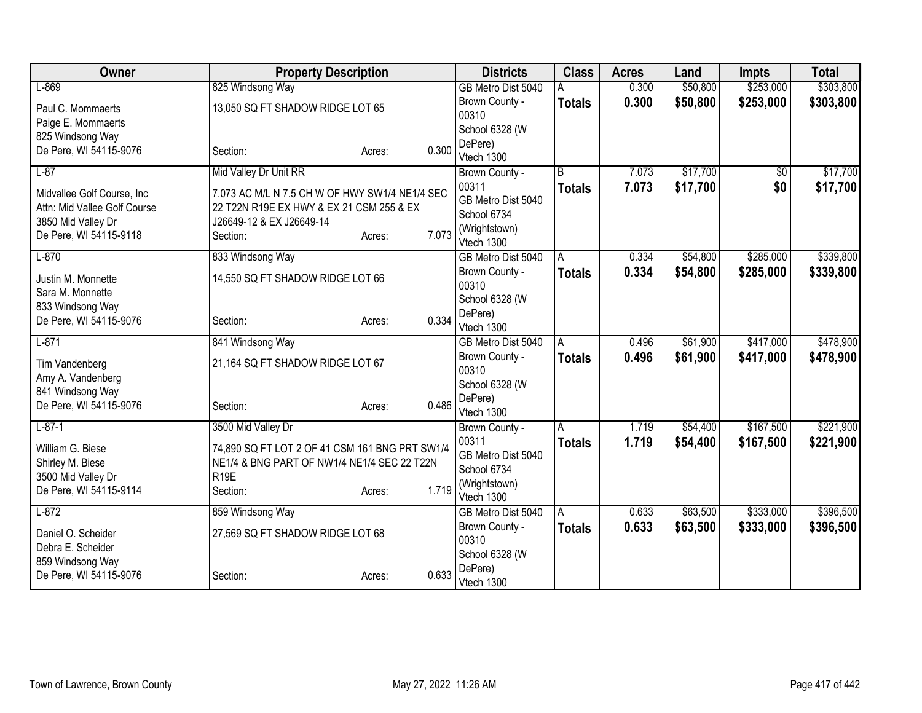| Owner                        | <b>Property Description</b>                    |                 | <b>Districts</b>        | <b>Class</b>   | <b>Acres</b> | Land     | <b>Impts</b>    | <b>Total</b> |
|------------------------------|------------------------------------------------|-----------------|-------------------------|----------------|--------------|----------|-----------------|--------------|
| $L-869$                      | 825 Windsong Way                               |                 | GB Metro Dist 5040      |                | 0.300        | \$50,800 | \$253,000       | \$303,800    |
| Paul C. Mommaerts            | 13,050 SQ FT SHADOW RIDGE LOT 65               |                 | Brown County -          | <b>Totals</b>  | 0.300        | \$50,800 | \$253,000       | \$303,800    |
| Paige E. Mommaerts           |                                                |                 | 00310                   |                |              |          |                 |              |
| 825 Windsong Way             |                                                |                 | School 6328 (W          |                |              |          |                 |              |
| De Pere, WI 54115-9076       | Section:                                       | 0.300<br>Acres: | DePere)<br>Vtech 1300   |                |              |          |                 |              |
| $L-87$                       | Mid Valley Dr Unit RR                          |                 |                         | $\overline{B}$ | 7.073        | \$17,700 | $\overline{50}$ | \$17,700     |
|                              |                                                |                 | Brown County -<br>00311 |                |              |          |                 |              |
| Midvallee Golf Course, Inc   | 7.073 AC M/L N 7.5 CH W OF HWY SW1/4 NE1/4 SEC |                 | GB Metro Dist 5040      | <b>Totals</b>  | 7.073        | \$17,700 | \$0             | \$17,700     |
| Attn: Mid Vallee Golf Course | 22 T22N R19E EX HWY & EX 21 CSM 255 & EX       |                 | School 6734             |                |              |          |                 |              |
| 3850 Mid Valley Dr           | J26649-12 & EX J26649-14                       |                 | (Wrightstown)           |                |              |          |                 |              |
| De Pere, WI 54115-9118       | Section:                                       | 7.073<br>Acres: | Vtech 1300              |                |              |          |                 |              |
| $L-870$                      | 833 Windsong Way                               |                 | GB Metro Dist 5040      | A              | 0.334        | \$54,800 | \$285,000       | \$339,800    |
| Justin M. Monnette           | 14,550 SQ FT SHADOW RIDGE LOT 66               |                 | Brown County -          | <b>Totals</b>  | 0.334        | \$54,800 | \$285,000       | \$339,800    |
| Sara M. Monnette             |                                                |                 | 00310                   |                |              |          |                 |              |
| 833 Windsong Way             |                                                |                 | School 6328 (W          |                |              |          |                 |              |
| De Pere, WI 54115-9076       | Section:                                       | 0.334<br>Acres: | DePere)                 |                |              |          |                 |              |
|                              |                                                |                 | Vtech 1300              |                |              |          |                 |              |
| $L-871$                      | 841 Windsong Way                               |                 | GB Metro Dist 5040      | A              | 0.496        | \$61,900 | \$417,000       | \$478,900    |
| Tim Vandenberg               | 21,164 SQ FT SHADOW RIDGE LOT 67               |                 | Brown County -<br>00310 | <b>Totals</b>  | 0.496        | \$61,900 | \$417,000       | \$478,900    |
| Amy A. Vandenberg            |                                                |                 | School 6328 (W          |                |              |          |                 |              |
| 841 Windsong Way             |                                                |                 | DePere)                 |                |              |          |                 |              |
| De Pere, WI 54115-9076       | Section:                                       | 0.486<br>Acres: | Vtech 1300              |                |              |          |                 |              |
| $L-87-1$                     | 3500 Mid Valley Dr                             |                 | Brown County -          | A              | 1.719        | \$54,400 | \$167,500       | \$221,900    |
| William G. Biese             | 74,890 SQ FT LOT 2 OF 41 CSM 161 BNG PRT SW1/4 |                 | 00311                   | <b>Totals</b>  | 1.719        | \$54,400 | \$167,500       | \$221,900    |
| Shirley M. Biese             | NE1/4 & BNG PART OF NW1/4 NE1/4 SEC 22 T22N    |                 | GB Metro Dist 5040      |                |              |          |                 |              |
| 3500 Mid Valley Dr           | R <sub>19E</sub>                               |                 | School 6734             |                |              |          |                 |              |
| De Pere, WI 54115-9114       | Section:                                       | 1.719<br>Acres: | (Wrightstown)           |                |              |          |                 |              |
|                              |                                                |                 | Vtech 1300              |                |              |          |                 |              |
| $L-872$                      | 859 Windsong Way                               |                 | GB Metro Dist 5040      | ΙA             | 0.633        | \$63,500 | \$333,000       | \$396,500    |
| Daniel O. Scheider           | 27,569 SQ FT SHADOW RIDGE LOT 68               |                 | Brown County -<br>00310 | <b>Totals</b>  | 0.633        | \$63,500 | \$333,000       | \$396,500    |
| Debra E. Scheider            |                                                |                 | School 6328 (W          |                |              |          |                 |              |
| 859 Windsong Way             |                                                |                 | DePere)                 |                |              |          |                 |              |
| De Pere, WI 54115-9076       | Section:                                       | 0.633<br>Acres: | Vtech 1300              |                |              |          |                 |              |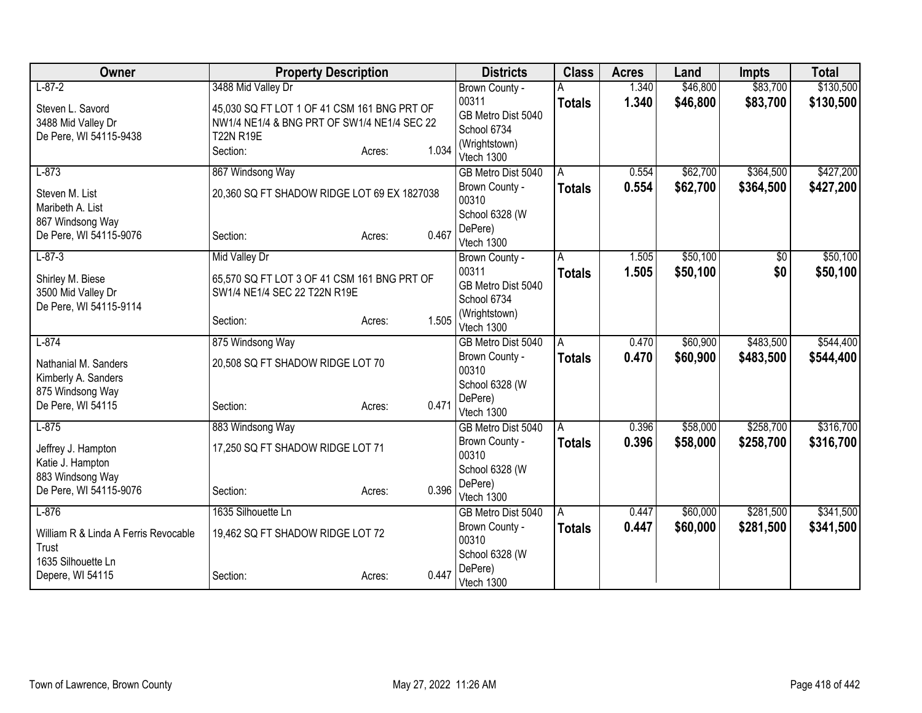| Owner                                  | <b>Property Description</b>                 |        |       | <b>Districts</b>                     | <b>Class</b>       | <b>Acres</b> | Land     | <b>Impts</b> | <b>Total</b> |
|----------------------------------------|---------------------------------------------|--------|-------|--------------------------------------|--------------------|--------------|----------|--------------|--------------|
| $L-87-2$                               | 3488 Mid Valley Dr                          |        |       | Brown County -                       |                    | 1.340        | \$46,800 | \$83,700     | \$130,500    |
| Steven L. Savord                       | 45,030 SQ FT LOT 1 OF 41 CSM 161 BNG PRT OF |        |       | 00311                                | <b>Totals</b>      | 1.340        | \$46,800 | \$83,700     | \$130,500    |
| 3488 Mid Valley Dr                     | NW1/4 NE1/4 & BNG PRT OF SW1/4 NE1/4 SEC 22 |        |       | GB Metro Dist 5040                   |                    |              |          |              |              |
| De Pere, WI 54115-9438                 | <b>T22N R19E</b>                            |        |       | School 6734<br>(Wrightstown)         |                    |              |          |              |              |
|                                        | Section:                                    | Acres: | 1.034 | Vtech 1300                           |                    |              |          |              |              |
| $L-873$                                | 867 Windsong Way                            |        |       | GB Metro Dist 5040                   | A                  | 0.554        | \$62,700 | \$364,500    | \$427,200    |
| Steven M. List<br>Maribeth A. List     | 20,360 SQ FT SHADOW RIDGE LOT 69 EX 1827038 |        |       | Brown County -<br>00310              | <b>Totals</b>      | 0.554        | \$62,700 | \$364,500    | \$427,200    |
| 867 Windsong Way                       |                                             |        |       | School 6328 (W                       |                    |              |          |              |              |
| De Pere, WI 54115-9076                 | Section:                                    | Acres: | 0.467 | DePere)<br>Vtech 1300                |                    |              |          |              |              |
| $L - 87 - 3$                           | <b>Mid Valley Dr</b>                        |        |       | Brown County -                       | A                  | 1.505        | \$50,100 | \$0          | \$50,100     |
| Shirley M. Biese                       | 65,570 SQ FT LOT 3 OF 41 CSM 161 BNG PRT OF |        |       | 00311                                | <b>Totals</b>      | 1.505        | \$50,100 | \$0          | \$50,100     |
| 3500 Mid Valley Dr                     | SW1/4 NE1/4 SEC 22 T22N R19E                |        |       | GB Metro Dist 5040                   |                    |              |          |              |              |
| De Pere, WI 54115-9114                 |                                             |        |       | School 6734<br>(Wrightstown)         |                    |              |          |              |              |
|                                        | Section:                                    | Acres: | 1.505 | Vtech 1300                           |                    |              |          |              |              |
| $L-874$                                | 875 Windsong Way                            |        |       | GB Metro Dist 5040                   | A                  | 0.470        | \$60,900 | \$483,500    | \$544,400    |
| Nathanial M. Sanders                   | 20,508 SQ FT SHADOW RIDGE LOT 70            |        |       | Brown County -                       | <b>Totals</b>      | 0.470        | \$60,900 | \$483,500    | \$544,400    |
| Kimberly A. Sanders                    |                                             |        |       | 00310                                |                    |              |          |              |              |
| 875 Windsong Way                       |                                             |        |       | School 6328 (W                       |                    |              |          |              |              |
| De Pere, WI 54115                      | Section:                                    | Acres: | 0.471 | DePere)<br>Vtech 1300                |                    |              |          |              |              |
| $L-875$                                | 883 Windsong Way                            |        |       | GB Metro Dist 5040                   | A                  | 0.396        | \$58,000 | \$258,700    | \$316,700    |
|                                        | 17,250 SQ FT SHADOW RIDGE LOT 71            |        |       | Brown County -                       | <b>Totals</b>      | 0.396        | \$58,000 | \$258,700    | \$316,700    |
| Jeffrey J. Hampton<br>Katie J. Hampton |                                             |        |       | 00310                                |                    |              |          |              |              |
| 883 Windsong Way                       |                                             |        |       | School 6328 (W                       |                    |              |          |              |              |
| De Pere, WI 54115-9076                 | Section:                                    | Acres: | 0.396 | DePere)                              |                    |              |          |              |              |
| $L-876$                                | 1635 Silhouette Ln                          |        |       | Vtech 1300                           |                    | 0.447        | \$60,000 | \$281,500    | \$341,500    |
|                                        |                                             |        |       | GB Metro Dist 5040<br>Brown County - | A<br><b>Totals</b> | 0.447        | \$60,000 | \$281,500    | \$341,500    |
| William R & Linda A Ferris Revocable   | 19,462 SQ FT SHADOW RIDGE LOT 72            |        |       | 00310                                |                    |              |          |              |              |
| Trust                                  |                                             |        |       | School 6328 (W                       |                    |              |          |              |              |
| 1635 Silhouette Ln                     |                                             |        | 0.447 | DePere)                              |                    |              |          |              |              |
| Depere, WI 54115                       | Section:                                    | Acres: |       | Vtech 1300                           |                    |              |          |              |              |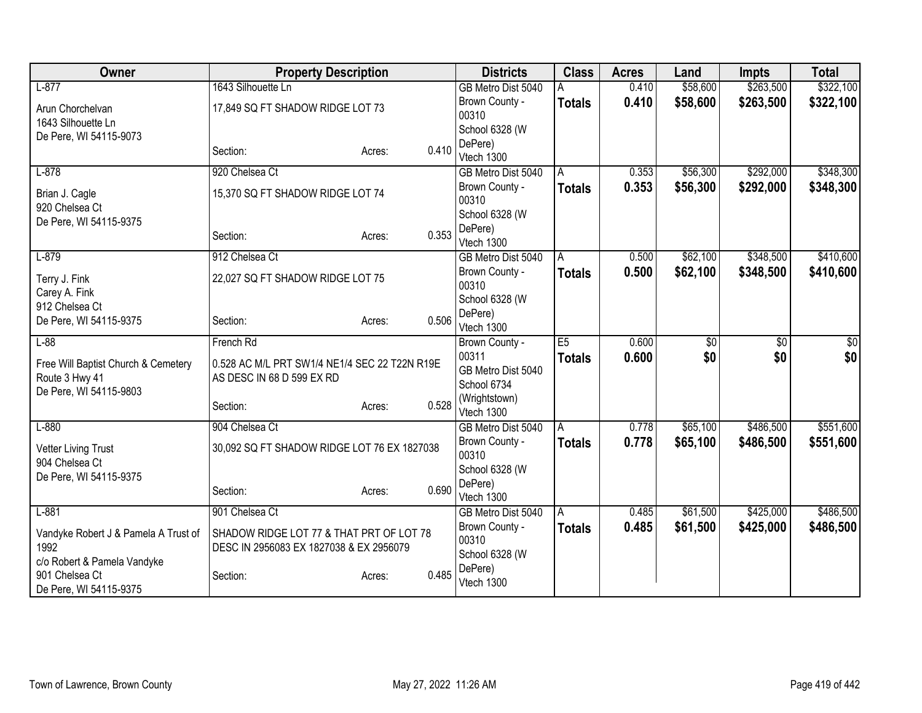| Owner                                | <b>Property Description</b>                   |                         | <b>Districts</b>             | <b>Class</b>   | <b>Acres</b> | Land            | <b>Impts</b>    | <b>Total</b> |
|--------------------------------------|-----------------------------------------------|-------------------------|------------------------------|----------------|--------------|-----------------|-----------------|--------------|
| $L-877$                              | 1643 Silhouette Ln                            |                         | GB Metro Dist 5040           |                | 0.410        | \$58,600        | \$263,500       | \$322,100    |
| Arun Chorchelvan                     | 17,849 SQ FT SHADOW RIDGE LOT 73              |                         | Brown County -               | <b>Totals</b>  | 0.410        | \$58,600        | \$263,500       | \$322,100    |
| 1643 Silhouette Ln                   |                                               |                         | 00310                        |                |              |                 |                 |              |
| De Pere, WI 54115-9073               |                                               |                         | School 6328 (W<br>DePere)    |                |              |                 |                 |              |
|                                      | Section:                                      | 0.410<br>Acres:         | Vtech 1300                   |                |              |                 |                 |              |
| $L-878$                              | 920 Chelsea Ct                                |                         | GB Metro Dist 5040           | A              | 0.353        | \$56,300        | \$292,000       | \$348,300    |
| Brian J. Cagle<br>920 Chelsea Ct     | 15,370 SQ FT SHADOW RIDGE LOT 74              | Brown County -<br>00310 | <b>Totals</b>                | 0.353          | \$56,300     | \$292,000       | \$348,300       |              |
| De Pere, WI 54115-9375               |                                               |                         | School 6328 (W               |                |              |                 |                 |              |
|                                      | Section:                                      | 0.353<br>Acres:         | DePere)<br>Vtech 1300        |                |              |                 |                 |              |
| $L-879$                              | 912 Chelsea Ct                                |                         | GB Metro Dist 5040           | A              | 0.500        | \$62,100        | \$348,500       | \$410,600    |
|                                      | 22,027 SQ FT SHADOW RIDGE LOT 75              |                         | Brown County -               | <b>Totals</b>  | 0.500        | \$62,100        | \$348,500       | \$410,600    |
| Terry J. Fink<br>Carey A. Fink       |                                               |                         | 00310                        |                |              |                 |                 |              |
| 912 Chelsea Ct                       |                                               |                         | School 6328 (W               |                |              |                 |                 |              |
| De Pere, WI 54115-9375               | Section:                                      | 0.506<br>Acres:         | DePere)                      |                |              |                 |                 |              |
| $L-88$                               | French Rd                                     |                         | Vtech 1300<br>Brown County - | E <sub>5</sub> | 0.600        | $\overline{50}$ | $\overline{50}$ | \$0          |
|                                      |                                               |                         | 00311                        | <b>Totals</b>  | 0.600        | \$0             | \$0             | \$0          |
| Free Will Baptist Church & Cemetery  | 0.528 AC M/L PRT SW1/4 NE1/4 SEC 22 T22N R19E |                         | GB Metro Dist 5040           |                |              |                 |                 |              |
| Route 3 Hwy 41                       | AS DESC IN 68 D 599 EX RD                     |                         | School 6734                  |                |              |                 |                 |              |
| De Pere, WI 54115-9803               | Section:                                      | 0.528<br>Acres:         | (Wrightstown)                |                |              |                 |                 |              |
|                                      |                                               |                         | Vtech 1300                   |                |              |                 |                 |              |
| $L-880$                              | 904 Chelsea Ct                                |                         | GB Metro Dist 5040           | $\overline{A}$ | 0.778        | \$65,100        | \$486,500       | \$551,600    |
| <b>Vetter Living Trust</b>           | 30,092 SQ FT SHADOW RIDGE LOT 76 EX 1827038   |                         | Brown County -<br>00310      | <b>Totals</b>  | 0.778        | \$65,100        | \$486,500       | \$551,600    |
| 904 Chelsea Ct                       |                                               |                         | School 6328 (W               |                |              |                 |                 |              |
| De Pere, WI 54115-9375               |                                               |                         | DePere)                      |                |              |                 |                 |              |
|                                      | Section:                                      | 0.690<br>Acres:         | Vtech 1300                   |                |              |                 |                 |              |
| $L-881$                              | 901 Chelsea Ct                                |                         | GB Metro Dist 5040           | ΙA             | 0.485        | \$61,500        | \$425,000       | \$486,500    |
| Vandyke Robert J & Pamela A Trust of | SHADOW RIDGE LOT 77 & THAT PRT OF LOT 78      |                         | Brown County -               | <b>Totals</b>  | 0.485        | \$61,500        | \$425,000       | \$486,500    |
| 1992                                 | DESC IN 2956083 EX 1827038 & EX 2956079       |                         | 00310                        |                |              |                 |                 |              |
| c/o Robert & Pamela Vandyke          |                                               |                         | School 6328 (W<br>DePere)    |                |              |                 |                 |              |
| 901 Chelsea Ct                       | Section:                                      | 0.485<br>Acres:         | Vtech 1300                   |                |              |                 |                 |              |
| De Pere, WI 54115-9375               |                                               |                         |                              |                |              |                 |                 |              |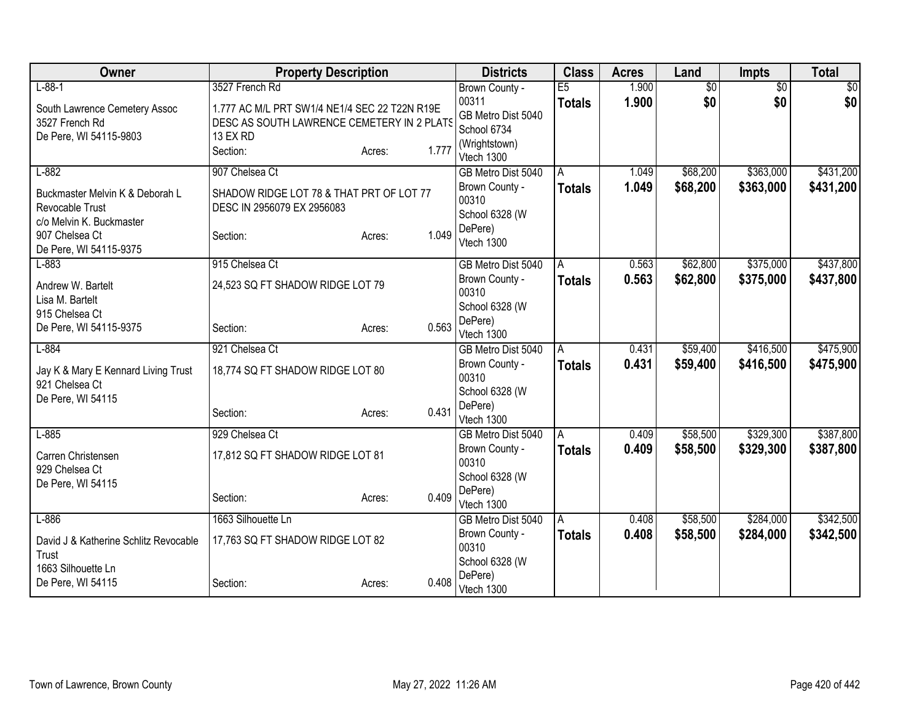| Owner                                 | <b>Property Description</b>                   |                 | <b>Districts</b>                     | <b>Class</b>       | <b>Acres</b>   | Land                 | <b>Impts</b>           | <b>Total</b>           |
|---------------------------------------|-----------------------------------------------|-----------------|--------------------------------------|--------------------|----------------|----------------------|------------------------|------------------------|
| $L - 88 - 1$                          | 3527 French Rd                                |                 | Brown County -                       | E5                 | 1.900          | $\overline{50}$      | $\overline{50}$        | \$0                    |
| South Lawrence Cemetery Assoc         | 1.777 AC M/L PRT SW1/4 NE1/4 SEC 22 T22N R19E |                 | 00311                                | <b>Totals</b>      | 1.900          | \$0                  | \$0                    | \$0                    |
| 3527 French Rd                        | DESC AS SOUTH LAWRENCE CEMETERY IN 2 PLATS    |                 | GB Metro Dist 5040<br>School 6734    |                    |                |                      |                        |                        |
| De Pere, WI 54115-9803                | 13 EX RD                                      |                 | (Wrightstown)                        |                    |                |                      |                        |                        |
|                                       | Section:                                      | 1.777<br>Acres: | Vtech 1300                           |                    |                |                      |                        |                        |
| $L-882$                               | 907 Chelsea Ct                                |                 | GB Metro Dist 5040                   | A                  | 1.049          | \$68,200             | \$363,000              | \$431,200              |
| Buckmaster Melvin K & Deborah L       | SHADOW RIDGE LOT 78 & THAT PRT OF LOT 77      |                 | Brown County -                       | <b>Totals</b>      | 1.049          | \$68,200             | \$363,000              | \$431,200              |
| Revocable Trust                       | DESC IN 2956079 EX 2956083                    |                 | 00310                                |                    |                |                      |                        |                        |
| c/o Melvin K. Buckmaster              |                                               |                 | School 6328 (W<br>DePere)            |                    |                |                      |                        |                        |
| 907 Chelsea Ct                        | Section:                                      | 1.049<br>Acres: | Vtech 1300                           |                    |                |                      |                        |                        |
| De Pere, WI 54115-9375                |                                               |                 |                                      |                    |                |                      |                        |                        |
| $L-883$                               | 915 Chelsea Ct                                |                 | GB Metro Dist 5040<br>Brown County - | A<br><b>Totals</b> | 0.563<br>0.563 | \$62,800<br>\$62,800 | \$375,000<br>\$375,000 | \$437,800<br>\$437,800 |
| Andrew W. Bartelt                     | 24,523 SQ FT SHADOW RIDGE LOT 79              |                 | 00310                                |                    |                |                      |                        |                        |
| Lisa M. Bartelt<br>915 Chelsea Ct     |                                               |                 | School 6328 (W                       |                    |                |                      |                        |                        |
| De Pere, WI 54115-9375                | Section:                                      | 0.563<br>Acres: | DePere)                              |                    |                |                      |                        |                        |
|                                       |                                               |                 | Vtech 1300                           |                    |                |                      |                        |                        |
| $L-884$                               | 921 Chelsea Ct                                |                 | GB Metro Dist 5040                   | l A                | 0.431          | \$59,400             | \$416,500              | \$475,900              |
| Jay K & Mary E Kennard Living Trust   | 18,774 SQ FT SHADOW RIDGE LOT 80              |                 | Brown County -<br>00310              | <b>Totals</b>      | 0.431          | \$59,400             | \$416,500              | \$475,900              |
| 921 Chelsea Ct                        |                                               |                 | School 6328 (W                       |                    |                |                      |                        |                        |
| De Pere, WI 54115                     |                                               | 0.431           | DePere)                              |                    |                |                      |                        |                        |
|                                       | Section:                                      | Acres:          | Vtech 1300                           |                    |                |                      |                        |                        |
| $L-885$                               | 929 Chelsea Ct                                |                 | GB Metro Dist 5040                   | A                  | 0.409          | \$58,500             | \$329,300              | \$387,800              |
| Carren Christensen                    | 17,812 SQ FT SHADOW RIDGE LOT 81              |                 | Brown County -<br>00310              | <b>Totals</b>      | 0.409          | \$58,500             | \$329,300              | \$387,800              |
| 929 Chelsea Ct                        |                                               |                 | School 6328 (W                       |                    |                |                      |                        |                        |
| De Pere, WI 54115                     |                                               |                 | DePere)                              |                    |                |                      |                        |                        |
|                                       | Section:                                      | 0.409<br>Acres: | Vtech 1300                           |                    |                |                      |                        |                        |
| $L-886$                               | 1663 Silhouette Ln                            |                 | GB Metro Dist 5040                   | A                  | 0.408          | \$58,500             | \$284,000              | \$342,500              |
| David J & Katherine Schlitz Revocable | 17,763 SQ FT SHADOW RIDGE LOT 82              |                 | Brown County -                       | <b>Totals</b>      | 0.408          | \$58,500             | \$284,000              | \$342,500              |
| Trust                                 |                                               |                 | 00310<br>School 6328 (W              |                    |                |                      |                        |                        |
| 1663 Silhouette Ln                    |                                               |                 | DePere)                              |                    |                |                      |                        |                        |
| De Pere, WI 54115                     | Section:                                      | 0.408<br>Acres: | Vtech 1300                           |                    |                |                      |                        |                        |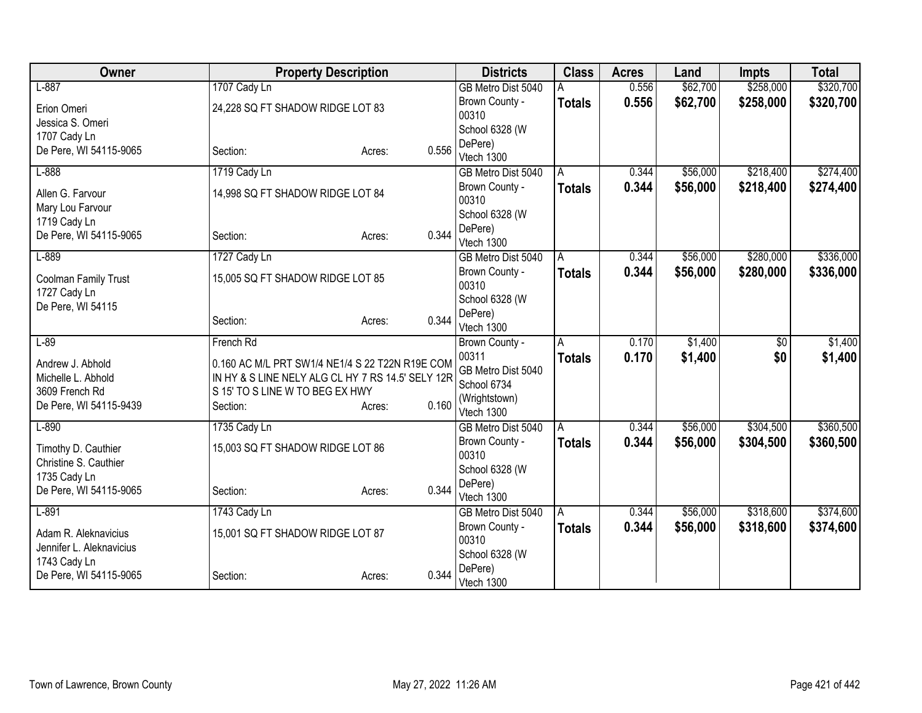| Owner                                  | <b>Property Description</b>                       |                 | <b>Districts</b>        | <b>Class</b>  | <b>Acres</b> | Land     | <b>Impts</b> | <b>Total</b> |
|----------------------------------------|---------------------------------------------------|-----------------|-------------------------|---------------|--------------|----------|--------------|--------------|
| $L-887$                                | 1707 Cady Ln                                      |                 | GB Metro Dist 5040      |               | 0.556        | \$62,700 | \$258,000    | \$320,700    |
| Erion Omeri                            | 24,228 SQ FT SHADOW RIDGE LOT 83                  |                 | Brown County -          | <b>Totals</b> | 0.556        | \$62,700 | \$258,000    | \$320,700    |
| Jessica S. Omeri                       |                                                   |                 | 00310                   |               |              |          |              |              |
| 1707 Cady Ln                           |                                                   |                 | School 6328 (W          |               |              |          |              |              |
| De Pere, WI 54115-9065                 | Section:                                          | 0.556<br>Acres: | DePere)                 |               |              |          |              |              |
|                                        |                                                   |                 | Vtech 1300              |               |              |          |              |              |
| $L-888$                                | 1719 Cady Ln                                      |                 | GB Metro Dist 5040      | A             | 0.344        | \$56,000 | \$218,400    | \$274,400    |
| Allen G. Farvour                       | 14,998 SQ FT SHADOW RIDGE LOT 84                  |                 | Brown County -<br>00310 | <b>Totals</b> | 0.344        | \$56,000 | \$218,400    | \$274,400    |
| Mary Lou Farvour                       |                                                   |                 | School 6328 (W          |               |              |          |              |              |
| 1719 Cady Ln<br>De Pere, WI 54115-9065 |                                                   | 0.344           | DePere)                 |               |              |          |              |              |
|                                        | Section:                                          | Acres:          | Vtech 1300              |               |              |          |              |              |
| $L-889$                                | 1727 Cady Ln                                      |                 | GB Metro Dist 5040      | A             | 0.344        | \$56,000 | \$280,000    | \$336,000    |
| Coolman Family Trust                   | 15,005 SQ FT SHADOW RIDGE LOT 85                  |                 | Brown County -          | <b>Totals</b> | 0.344        | \$56,000 | \$280,000    | \$336,000    |
| 1727 Cady Ln                           |                                                   |                 | 00310                   |               |              |          |              |              |
| De Pere, WI 54115                      |                                                   |                 | School 6328 (W          |               |              |          |              |              |
|                                        | Section:                                          | 0.344<br>Acres: | DePere)                 |               |              |          |              |              |
|                                        |                                                   |                 | Vtech 1300              |               |              |          |              |              |
| $L-89$                                 | French Rd                                         |                 | Brown County -          | Α             | 0.170        | \$1,400  | \$0          | \$1,400      |
| Andrew J. Abhold                       | 0.160 AC M/L PRT SW1/4 NE1/4 S 22 T22N R19E COM   |                 | 00311                   | <b>Totals</b> | 0.170        | \$1,400  | \$0          | \$1,400      |
| Michelle L. Abhold                     | IN HY & S LINE NELY ALG CL HY 7 RS 14.5' SELY 12R |                 | GB Metro Dist 5040      |               |              |          |              |              |
| 3609 French Rd                         | S 15' TO S LINE W TO BEG EX HWY                   |                 | School 6734             |               |              |          |              |              |
| De Pere, WI 54115-9439                 | Section:                                          | 0.160<br>Acres: | (Wrightstown)           |               |              |          |              |              |
|                                        |                                                   |                 | Vtech 1300              |               |              |          |              |              |
| $L-890$                                | 1735 Cady Ln                                      |                 | GB Metro Dist 5040      | A             | 0.344        | \$56,000 | \$304,500    | \$360,500    |
| Timothy D. Cauthier                    | 15,003 SQ FT SHADOW RIDGE LOT 86                  |                 | Brown County -<br>00310 | <b>Totals</b> | 0.344        | \$56,000 | \$304,500    | \$360,500    |
| Christine S. Cauthier                  |                                                   |                 | School 6328 (W          |               |              |          |              |              |
| 1735 Cady Ln                           |                                                   |                 | DePere)                 |               |              |          |              |              |
| De Pere, WI 54115-9065                 | Section:                                          | 0.344<br>Acres: | Vtech 1300              |               |              |          |              |              |
| $L-891$                                | 1743 Cady Ln                                      |                 | GB Metro Dist 5040      | A             | 0.344        | \$56,000 | \$318,600    | \$374,600    |
|                                        |                                                   |                 | Brown County -          | <b>Totals</b> | 0.344        | \$56,000 | \$318,600    | \$374,600    |
| Adam R. Aleknavicius                   | 15,001 SQ FT SHADOW RIDGE LOT 87                  |                 | 00310                   |               |              |          |              |              |
| Jennifer L. Aleknavicius               |                                                   |                 | School 6328 (W          |               |              |          |              |              |
| 1743 Cady Ln                           |                                                   | 0.344           | DePere)                 |               |              |          |              |              |
| De Pere, WI 54115-9065                 | Section:                                          | Acres:          | Vtech 1300              |               |              |          |              |              |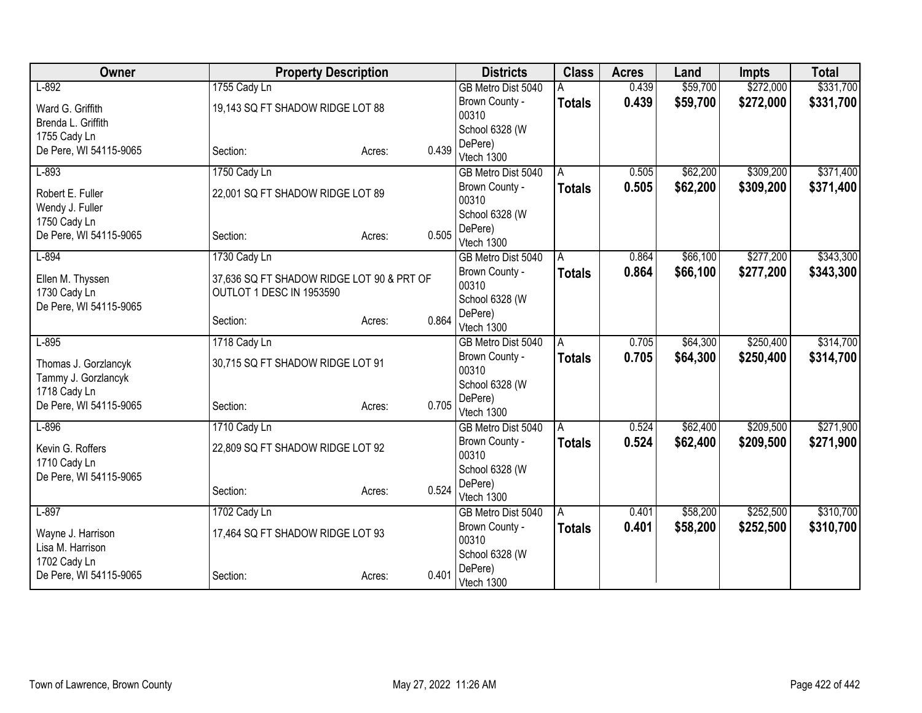| Owner                                  | <b>Property Description</b>               |        |       | <b>Districts</b>          | <b>Class</b>  | <b>Acres</b> | Land     | <b>Impts</b> | <b>Total</b> |
|----------------------------------------|-------------------------------------------|--------|-------|---------------------------|---------------|--------------|----------|--------------|--------------|
| $L-892$                                | 1755 Cady Ln                              |        |       | GB Metro Dist 5040        |               | 0.439        | \$59,700 | \$272,000    | \$331,700    |
| Ward G. Griffith                       | 19,143 SQ FT SHADOW RIDGE LOT 88          |        |       | Brown County -            | <b>Totals</b> | 0.439        | \$59,700 | \$272,000    | \$331,700    |
| Brenda L. Griffith                     |                                           |        |       | 00310                     |               |              |          |              |              |
| 1755 Cady Ln                           |                                           |        |       | School 6328 (W            |               |              |          |              |              |
| De Pere, WI 54115-9065                 | Section:                                  | Acres: | 0.439 | DePere)<br>Vtech 1300     |               |              |          |              |              |
| $L-893$                                | 1750 Cady Ln                              |        |       | GB Metro Dist 5040        | A             | 0.505        | \$62,200 | \$309,200    | \$371,400    |
|                                        |                                           |        |       | Brown County -            | <b>Totals</b> | 0.505        | \$62,200 | \$309,200    | \$371,400    |
| Robert E. Fuller                       | 22,001 SQ FT SHADOW RIDGE LOT 89          |        |       | 00310                     |               |              |          |              |              |
| Wendy J. Fuller                        |                                           |        |       | School 6328 (W            |               |              |          |              |              |
| 1750 Cady Ln                           |                                           |        |       | DePere)                   |               |              |          |              |              |
| De Pere, WI 54115-9065                 | Section:                                  | Acres: | 0.505 | Vtech 1300                |               |              |          |              |              |
| $L-894$                                | 1730 Cady Ln                              |        |       | GB Metro Dist 5040        | Α             | 0.864        | \$66,100 | \$277,200    | \$343,300    |
| Ellen M. Thyssen                       | 37,636 SQ FT SHADOW RIDGE LOT 90 & PRT OF |        |       | Brown County -            | <b>Totals</b> | 0.864        | \$66,100 | \$277,200    | \$343,300    |
| 1730 Cady Ln                           | OUTLOT 1 DESC IN 1953590                  |        |       | 00310                     |               |              |          |              |              |
| De Pere, WI 54115-9065                 |                                           |        |       | School 6328 (W            |               |              |          |              |              |
|                                        | Section:                                  | Acres: | 0.864 | DePere)                   |               |              |          |              |              |
|                                        |                                           |        |       | Vtech 1300                |               |              |          |              |              |
| $L-895$                                | 1718 Cady Ln                              |        |       | GB Metro Dist 5040        | Α             | 0.705        | \$64,300 | \$250,400    | \$314,700    |
| Thomas J. Gorzlancyk                   | 30,715 SQ FT SHADOW RIDGE LOT 91          |        |       | Brown County -<br>00310   | <b>Totals</b> | 0.705        | \$64,300 | \$250,400    | \$314,700    |
| Tammy J. Gorzlancyk                    |                                           |        |       | School 6328 (W            |               |              |          |              |              |
| 1718 Cady Ln                           |                                           |        |       | DePere)                   |               |              |          |              |              |
| De Pere, WI 54115-9065                 | Section:                                  | Acres: | 0.705 | Vtech 1300                |               |              |          |              |              |
| $L-896$                                | 1710 Cady Ln                              |        |       | GB Metro Dist 5040        | l A           | 0.524        | \$62,400 | \$209,500    | \$271,900    |
|                                        |                                           |        |       | Brown County -            | <b>Totals</b> | 0.524        | \$62,400 | \$209,500    | \$271,900    |
| Kevin G. Roffers                       | 22,809 SQ FT SHADOW RIDGE LOT 92          |        |       | 00310                     |               |              |          |              |              |
| 1710 Cady Ln<br>De Pere, WI 54115-9065 |                                           |        |       | School 6328 (W            |               |              |          |              |              |
|                                        | Section:                                  | Acres: | 0.524 | DePere)                   |               |              |          |              |              |
|                                        |                                           |        |       | Vtech 1300                |               |              |          |              |              |
| $L-897$                                | 1702 Cady Ln                              |        |       | GB Metro Dist 5040        | A             | 0.401        | \$58,200 | \$252,500    | \$310,700    |
| Wayne J. Harrison                      | 17,464 SQ FT SHADOW RIDGE LOT 93          |        |       | Brown County -            | <b>Totals</b> | 0.401        | \$58,200 | \$252,500    | \$310,700    |
| Lisa M. Harrison                       |                                           |        |       | 00310                     |               |              |          |              |              |
| 1702 Cady Ln                           |                                           |        |       | School 6328 (W<br>DePere) |               |              |          |              |              |
| De Pere, WI 54115-9065                 | Section:                                  | Acres: | 0.401 | Vtech 1300                |               |              |          |              |              |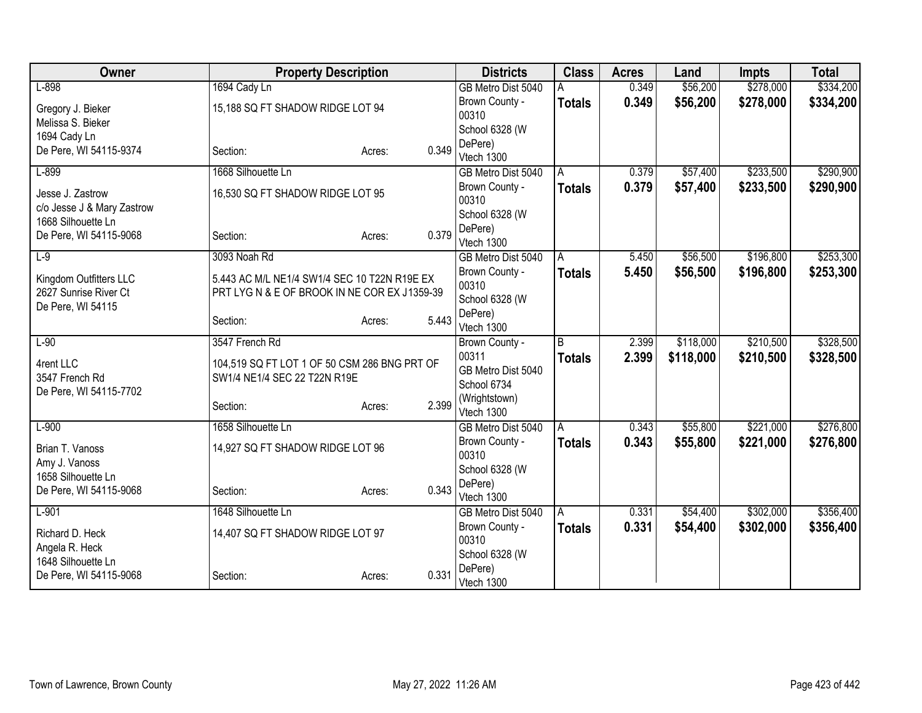| Owner                       | <b>Property Description</b>                                                  |                 | <b>Districts</b>          | <b>Class</b>  | <b>Acres</b> | Land      | <b>Impts</b> | <b>Total</b> |
|-----------------------------|------------------------------------------------------------------------------|-----------------|---------------------------|---------------|--------------|-----------|--------------|--------------|
| $L-898$                     | 1694 Cady Ln                                                                 |                 | GB Metro Dist 5040        |               | 0.349        | \$56,200  | \$278,000    | \$334,200    |
| Gregory J. Bieker           | 15,188 SQ FT SHADOW RIDGE LOT 94                                             |                 | Brown County -            | <b>Totals</b> | 0.349        | \$56,200  | \$278,000    | \$334,200    |
| Melissa S. Bieker           |                                                                              |                 | 00310                     |               |              |           |              |              |
| 1694 Cady Ln                |                                                                              |                 | School 6328 (W            |               |              |           |              |              |
| De Pere, WI 54115-9374      | Section:                                                                     | 0.349<br>Acres: | DePere)                   |               |              |           |              |              |
|                             |                                                                              |                 | Vtech 1300                |               |              |           |              |              |
| $L-899$                     | 1668 Silhouette Ln                                                           |                 | GB Metro Dist 5040        | A             | 0.379        | \$57,400  | \$233,500    | \$290,900    |
| Jesse J. Zastrow            | 16,530 SQ FT SHADOW RIDGE LOT 95                                             |                 | Brown County -            | <b>Totals</b> | 0.379        | \$57,400  | \$233,500    | \$290,900    |
| c/o Jesse J & Mary Zastrow  |                                                                              |                 | 00310                     |               |              |           |              |              |
| 1668 Silhouette Ln          |                                                                              |                 | School 6328 (W<br>DePere) |               |              |           |              |              |
| De Pere, WI 54115-9068      | Section:                                                                     | 0.379<br>Acres: | Vtech 1300                |               |              |           |              |              |
| $L-9$                       | 3093 Noah Rd                                                                 |                 | GB Metro Dist 5040        | A             | 5.450        | \$56,500  | \$196,800    | \$253,300    |
|                             |                                                                              |                 | Brown County -            | <b>Totals</b> | 5.450        | \$56,500  | \$196,800    | \$253,300    |
| Kingdom Outfitters LLC      | 5.443 AC M/L NE1/4 SW1/4 SEC 10 T22N R19E EX                                 |                 | 00310                     |               |              |           |              |              |
| 2627 Sunrise River Ct       | PRT LYGN & E OF BROOK IN NE COR EX J1359-39                                  |                 | School 6328 (W            |               |              |           |              |              |
| De Pere, WI 54115           |                                                                              |                 | DePere)                   |               |              |           |              |              |
|                             | Section:                                                                     | 5.443<br>Acres: | Vtech 1300                |               |              |           |              |              |
| $L-90$                      | 3547 French Rd                                                               |                 | Brown County -            | B             | 2.399        | \$118,000 | \$210,500    | \$328,500    |
|                             |                                                                              |                 | 00311                     | <b>Totals</b> | 2.399        | \$118,000 | \$210,500    | \$328,500    |
| 4rent LLC<br>3547 French Rd | 104,519 SQ FT LOT 1 OF 50 CSM 286 BNG PRT OF<br>SW1/4 NE1/4 SEC 22 T22N R19E |                 | GB Metro Dist 5040        |               |              |           |              |              |
| De Pere, WI 54115-7702      |                                                                              |                 | School 6734               |               |              |           |              |              |
|                             | Section:                                                                     | 2.399<br>Acres: | (Wrightstown)             |               |              |           |              |              |
|                             |                                                                              |                 | Vtech 1300                |               |              |           |              |              |
| $L-900$                     | 1658 Silhouette Ln                                                           |                 | GB Metro Dist 5040        | A             | 0.343        | \$55,800  | \$221,000    | \$276,800    |
| Brian T. Vanoss             | 14,927 SQ FT SHADOW RIDGE LOT 96                                             |                 | Brown County -            | <b>Totals</b> | 0.343        | \$55,800  | \$221,000    | \$276,800    |
| Amy J. Vanoss               |                                                                              |                 | 00310                     |               |              |           |              |              |
| 1658 Silhouette Ln          |                                                                              |                 | School 6328 (W            |               |              |           |              |              |
| De Pere, WI 54115-9068      | Section:                                                                     | 0.343<br>Acres: | DePere)                   |               |              |           |              |              |
|                             | 1648 Silhouette Ln                                                           |                 | Vtech 1300                |               |              |           | \$302,000    |              |
| $L-901$                     |                                                                              |                 | GB Metro Dist 5040        | A             | 0.331        | \$54,400  |              | \$356,400    |
| Richard D. Heck             | 14,407 SQ FT SHADOW RIDGE LOT 97                                             |                 | Brown County -<br>00310   | <b>Totals</b> | 0.331        | \$54,400  | \$302,000    | \$356,400    |
| Angela R. Heck              |                                                                              |                 | School 6328 (W            |               |              |           |              |              |
| 1648 Silhouette Ln          |                                                                              |                 | DePere)                   |               |              |           |              |              |
| De Pere, WI 54115-9068      | Section:                                                                     | 0.331<br>Acres: | Vtech 1300                |               |              |           |              |              |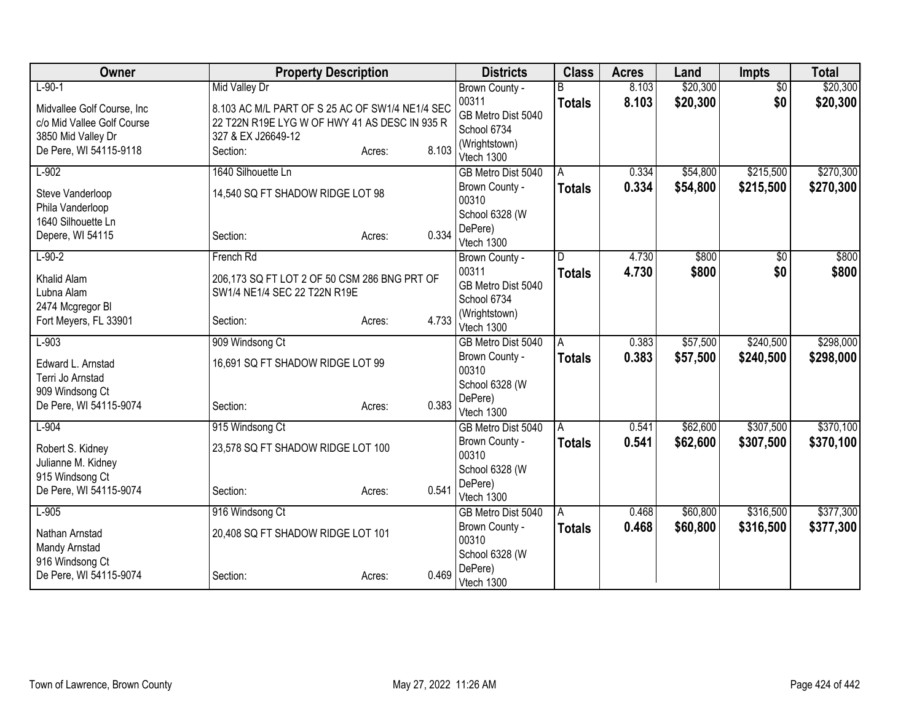| Owner                                     | <b>Property Description</b>                     |                 | <b>Districts</b>            | <b>Class</b>  | <b>Acres</b> | Land     | <b>Impts</b>    | <b>Total</b> |
|-------------------------------------------|-------------------------------------------------|-----------------|-----------------------------|---------------|--------------|----------|-----------------|--------------|
| $L-90-1$                                  | <b>Mid Valley Dr</b>                            |                 | Brown County -              |               | 8.103        | \$20,300 | $\overline{50}$ | \$20,300     |
| Midvallee Golf Course, Inc                | 8.103 AC M/L PART OF S 25 AC OF SW1/4 NE1/4 SEC |                 | 00311                       | <b>Totals</b> | 8.103        | \$20,300 | \$0             | \$20,300     |
| c/o Mid Vallee Golf Course                | 22 T22N R19E LYG W OF HWY 41 AS DESC IN 935 R   |                 | GB Metro Dist 5040          |               |              |          |                 |              |
| 3850 Mid Valley Dr                        | 327 & EX J26649-12                              |                 | School 6734                 |               |              |          |                 |              |
| De Pere, WI 54115-9118                    | Section:                                        | 8.103<br>Acres: | (Wrightstown)<br>Vtech 1300 |               |              |          |                 |              |
| $L-902$                                   | 1640 Silhouette Ln                              |                 | GB Metro Dist 5040          | A             | 0.334        | \$54,800 | \$215,500       | \$270,300    |
| Steve Vanderloop<br>Phila Vanderloop      | 14,540 SQ FT SHADOW RIDGE LOT 98                |                 | Brown County -<br>00310     | <b>Totals</b> | 0.334        | \$54,800 | \$215,500       | \$270,300    |
| 1640 Silhouette Ln                        |                                                 |                 | School 6328 (W              |               |              |          |                 |              |
| Depere, WI 54115                          | Section:                                        | 0.334<br>Acres: | DePere)<br>Vtech 1300       |               |              |          |                 |              |
| $L-90-2$                                  | French Rd                                       |                 | Brown County -              | D             | 4.730        | \$800    | \$0             | \$800        |
| Khalid Alam                               | 206,173 SQ FT LOT 2 OF 50 CSM 286 BNG PRT OF    |                 | 00311                       | <b>Totals</b> | 4.730        | \$800    | \$0             | \$800        |
| Lubna Alam                                | SW1/4 NE1/4 SEC 22 T22N R19E                    |                 | GB Metro Dist 5040          |               |              |          |                 |              |
| 2474 Mcgregor BI                          |                                                 |                 | School 6734                 |               |              |          |                 |              |
| Fort Meyers, FL 33901                     | Section:                                        | 4.733<br>Acres: | (Wrightstown)<br>Vtech 1300 |               |              |          |                 |              |
| $L-903$                                   | 909 Windsong Ct                                 |                 | GB Metro Dist 5040          | A             | 0.383        | \$57,500 | \$240,500       | \$298,000    |
| Edward L. Arnstad                         | 16,691 SQ FT SHADOW RIDGE LOT 99                |                 | Brown County -<br>00310     | <b>Totals</b> | 0.383        | \$57,500 | \$240,500       | \$298,000    |
| Terri Jo Arnstad                          |                                                 |                 | School 6328 (W              |               |              |          |                 |              |
| 909 Windsong Ct<br>De Pere, WI 54115-9074 | Section:                                        | 0.383           | DePere)                     |               |              |          |                 |              |
|                                           |                                                 | Acres:          | Vtech 1300                  |               |              |          |                 |              |
| $L-904$                                   | 915 Windsong Ct                                 |                 | GB Metro Dist 5040          | A             | 0.541        | \$62,600 | \$307,500       | \$370,100    |
| Robert S. Kidney                          | 23,578 SQ FT SHADOW RIDGE LOT 100               |                 | Brown County -              | <b>Totals</b> | 0.541        | \$62,600 | \$307,500       | \$370,100    |
| Julianne M. Kidney                        |                                                 |                 | 00310                       |               |              |          |                 |              |
| 915 Windsong Ct                           |                                                 |                 | School 6328 (W<br>DePere)   |               |              |          |                 |              |
| De Pere, WI 54115-9074                    | Section:                                        | 0.541<br>Acres: | Vtech 1300                  |               |              |          |                 |              |
| $L-905$                                   | 916 Windsong Ct                                 |                 | GB Metro Dist 5040          | A             | 0.468        | \$60,800 | \$316,500       | \$377,300    |
| Nathan Arnstad                            | 20,408 SQ FT SHADOW RIDGE LOT 101               |                 | Brown County -              | <b>Totals</b> | 0.468        | \$60,800 | \$316,500       | \$377,300    |
| Mandy Arnstad                             |                                                 |                 | 00310                       |               |              |          |                 |              |
| 916 Windsong Ct                           |                                                 |                 | School 6328 (W              |               |              |          |                 |              |
| De Pere, WI 54115-9074                    | Section:                                        | 0.469<br>Acres: | DePere)<br>Vtech 1300       |               |              |          |                 |              |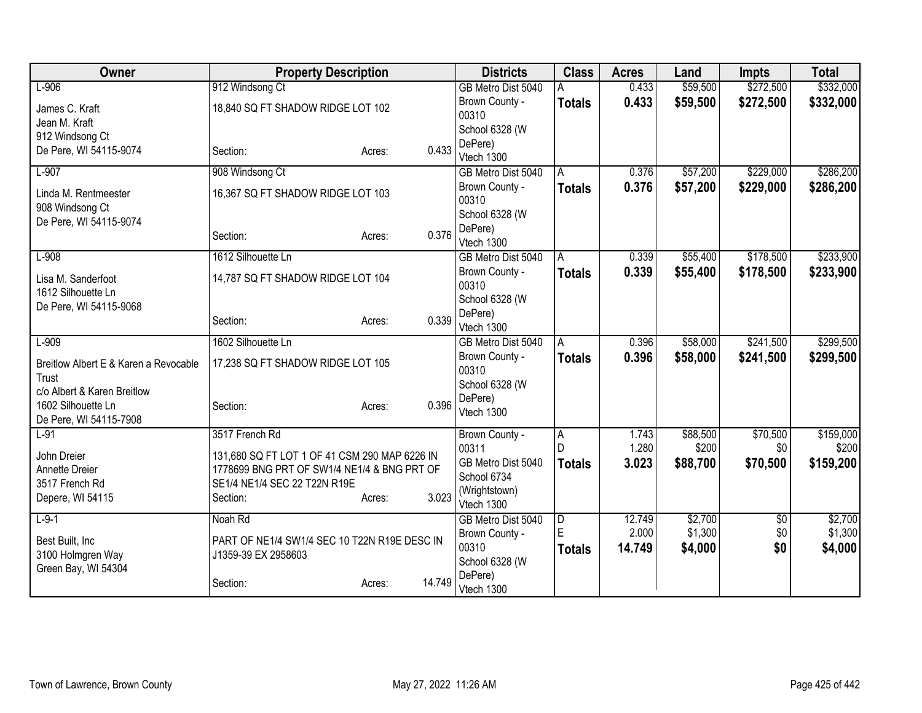| Owner                                             | <b>Property Description</b>                                                 |                  | <b>Districts</b>          | <b>Class</b>   | <b>Acres</b> | Land     | Impts           | <b>Total</b> |
|---------------------------------------------------|-----------------------------------------------------------------------------|------------------|---------------------------|----------------|--------------|----------|-----------------|--------------|
| $L-906$                                           | 912 Windsong Ct                                                             |                  | GB Metro Dist 5040        |                | 0.433        | \$59,500 | \$272,500       | \$332,000    |
| James C. Kraft                                    | 18,840 SQ FT SHADOW RIDGE LOT 102                                           |                  | Brown County -            | <b>Totals</b>  | 0.433        | \$59,500 | \$272,500       | \$332,000    |
| Jean M. Kraft                                     |                                                                             |                  | 00310                     |                |              |          |                 |              |
| 912 Windsong Ct                                   |                                                                             |                  | School 6328 (W            |                |              |          |                 |              |
| De Pere, WI 54115-9074                            | Section:                                                                    | 0.433<br>Acres:  | DePere)<br>Vtech 1300     |                |              |          |                 |              |
| $L-907$                                           | 908 Windsong Ct                                                             |                  | GB Metro Dist 5040        | A              | 0.376        | \$57,200 | \$229,000       | \$286,200    |
|                                                   |                                                                             |                  | Brown County -            | <b>Totals</b>  | 0.376        | \$57,200 | \$229,000       | \$286,200    |
| Linda M. Rentmeester                              | 16,367 SQ FT SHADOW RIDGE LOT 103                                           |                  | 00310                     |                |              |          |                 |              |
| 908 Windsong Ct                                   |                                                                             |                  | School 6328 (W            |                |              |          |                 |              |
| De Pere, WI 54115-9074                            |                                                                             | 0.376            | DePere)                   |                |              |          |                 |              |
|                                                   | Section:                                                                    | Acres:           | Vtech 1300                |                |              |          |                 |              |
| $L-908$                                           | 1612 Silhouette Ln                                                          |                  | GB Metro Dist 5040        | A              | 0.339        | \$55,400 | \$178,500       | \$233,900    |
| Lisa M. Sanderfoot                                | 14,787 SQ FT SHADOW RIDGE LOT 104                                           |                  | Brown County -            | <b>Totals</b>  | 0.339        | \$55,400 | \$178,500       | \$233,900    |
| 1612 Silhouette Ln                                |                                                                             |                  | 00310                     |                |              |          |                 |              |
| De Pere, WI 54115-9068                            |                                                                             |                  | School 6328 (W            |                |              |          |                 |              |
|                                                   | Section:                                                                    | 0.339<br>Acres:  | DePere)<br>Vtech 1300     |                |              |          |                 |              |
| $L-909$                                           | 1602 Silhouette Ln                                                          |                  | GB Metro Dist 5040        | A              | 0.396        | \$58,000 | \$241,500       | \$299,500    |
|                                                   |                                                                             |                  | Brown County -            | <b>Totals</b>  | 0.396        | \$58,000 | \$241,500       | \$299,500    |
| Breitlow Albert E & Karen a Revocable             | 17,238 SQ FT SHADOW RIDGE LOT 105                                           |                  | 00310                     |                |              |          |                 |              |
| Trust                                             |                                                                             |                  | School 6328 (W            |                |              |          |                 |              |
| c/o Albert & Karen Breitlow<br>1602 Silhouette Ln | Section:                                                                    | 0.396            | DePere)                   |                |              |          |                 |              |
| De Pere, WI 54115-7908                            |                                                                             | Acres:           | Vtech 1300                |                |              |          |                 |              |
| $L-91$                                            | 3517 French Rd                                                              |                  | Brown County -            | A              | 1.743        | \$88,500 | \$70,500        | \$159,000    |
|                                                   |                                                                             |                  | 00311                     | $\mathsf{D}$   | 1.280        | \$200    | \$0             | \$200        |
| John Dreier                                       | 131,680 SQ FT LOT 1 OF 41 CSM 290 MAP 6226 IN                               |                  | GB Metro Dist 5040        | <b>Totals</b>  | 3.023        | \$88,700 | \$70,500        | \$159,200    |
| Annette Dreier<br>3517 French Rd                  | 1778699 BNG PRT OF SW1/4 NE1/4 & BNG PRT OF<br>SE1/4 NE1/4 SEC 22 T22N R19E |                  | School 6734               |                |              |          |                 |              |
| Depere, WI 54115                                  | Section:                                                                    | 3.023<br>Acres:  | (Wrightstown)             |                |              |          |                 |              |
|                                                   |                                                                             |                  | Vtech 1300                |                |              |          |                 |              |
| $L-9-1$                                           | Noah Rd                                                                     |                  | GB Metro Dist 5040        | $\overline{D}$ | 12.749       | \$2,700  | $\overline{60}$ | \$2,700      |
| Best Built, Inc                                   | PART OF NE1/4 SW1/4 SEC 10 T22N R19E DESC IN                                |                  | Brown County -            | E              | 2.000        | \$1,300  | \$0             | \$1,300      |
| 3100 Holmgren Way                                 | J1359-39 EX 2958603                                                         |                  | 00310                     | <b>Totals</b>  | 14.749       | \$4,000  | \$0             | \$4,000      |
| Green Bay, WI 54304                               |                                                                             |                  | School 6328 (W<br>DePere) |                |              |          |                 |              |
|                                                   | Section:                                                                    | 14.749<br>Acres: | Vtech 1300                |                |              |          |                 |              |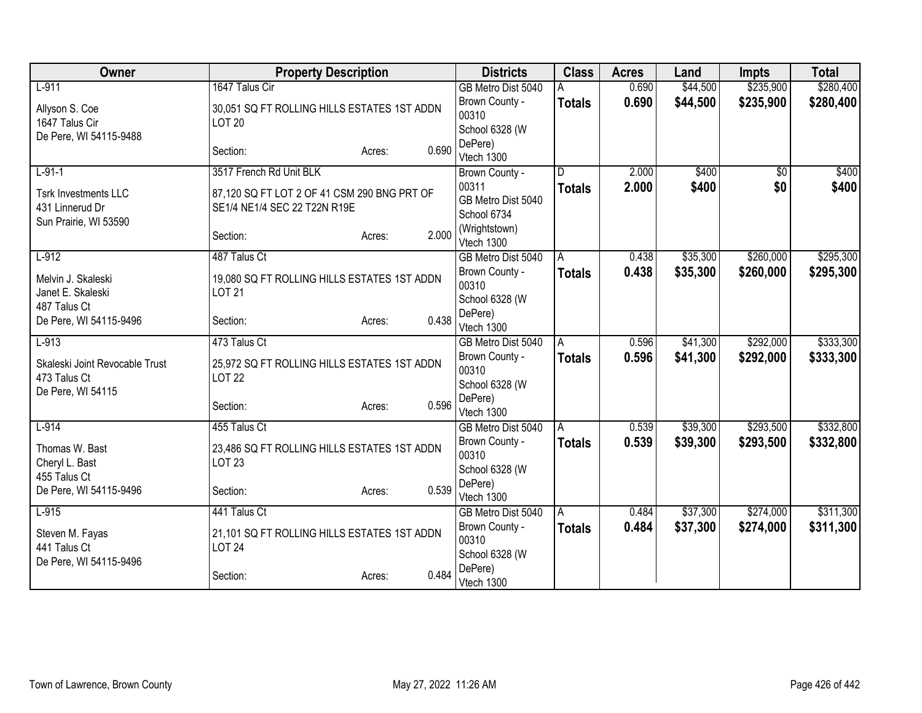| Owner                                                                   | <b>Property Description</b>                                                 |       | <b>Districts</b>                           | <b>Class</b>  | <b>Acres</b> | Land     | <b>Impts</b>    | <b>Total</b> |
|-------------------------------------------------------------------------|-----------------------------------------------------------------------------|-------|--------------------------------------------|---------------|--------------|----------|-----------------|--------------|
| $L-911$                                                                 | 1647 Talus Cir                                                              |       | GB Metro Dist 5040                         |               | 0.690        | \$44,500 | \$235,900       | \$280,400    |
| Allyson S. Coe<br>1647 Talus Cir<br>De Pere, WI 54115-9488              | 30,051 SQ FT ROLLING HILLS ESTATES 1ST ADDN<br><b>LOT 20</b>                |       | Brown County -<br>00310<br>School 6328 (W  | <b>Totals</b> | 0.690        | \$44,500 | \$235,900       | \$280,400    |
|                                                                         | Section:<br>Acres:                                                          | 0.690 | DePere)<br>Vtech 1300                      |               |              |          |                 |              |
| $L-91-1$                                                                | 3517 French Rd Unit BLK                                                     |       | Brown County -                             | D.            | 2.000        | \$400    | $\overline{30}$ | \$400        |
| <b>Tsrk Investments LLC</b><br>431 Linnerud Dr<br>Sun Prairie, WI 53590 | 87,120 SQ FT LOT 2 OF 41 CSM 290 BNG PRT OF<br>SE1/4 NE1/4 SEC 22 T22N R19E |       | 00311<br>GB Metro Dist 5040<br>School 6734 | <b>Totals</b> | 2.000        | \$400    | \$0             | \$400        |
|                                                                         | Section:<br>Acres:                                                          | 2.000 | (Wrightstown)<br>Vtech 1300                |               |              |          |                 |              |
| $L-912$                                                                 | 487 Talus Ct                                                                |       | GB Metro Dist 5040                         | l A           | 0.438        | \$35,300 | \$260,000       | \$295,300    |
| Melvin J. Skaleski<br>Janet E. Skaleski<br>487 Talus Ct                 | 19,080 SQ FT ROLLING HILLS ESTATES 1ST ADDN<br><b>LOT 21</b>                |       | Brown County -<br>00310<br>School 6328 (W  | <b>Totals</b> | 0.438        | \$35,300 | \$260,000       | \$295,300    |
| De Pere, WI 54115-9496                                                  | Section:<br>Acres:                                                          | 0.438 | DePere)<br>Vtech 1300                      |               |              |          |                 |              |
| $L-913$                                                                 | 473 Talus Ct                                                                |       | GB Metro Dist 5040                         | A             | 0.596        | \$41,300 | \$292,000       | \$333,300    |
| Skaleski Joint Revocable Trust<br>473 Talus Ct<br>De Pere, WI 54115     | 25,972 SQ FT ROLLING HILLS ESTATES 1ST ADDN<br><b>LOT 22</b>                |       | Brown County -<br>00310<br>School 6328 (W  | <b>Totals</b> | 0.596        | \$41,300 | \$292,000       | \$333,300    |
|                                                                         | Section:<br>Acres:                                                          | 0.596 | DePere)<br>Vtech 1300                      |               |              |          |                 |              |
| $L-914$                                                                 | 455 Talus Ct                                                                |       | GB Metro Dist 5040                         | l A           | 0.539        | \$39,300 | \$293,500       | \$332,800    |
| Thomas W. Bast<br>Cheryl L. Bast<br>455 Talus Ct                        | 23,486 SQ FT ROLLING HILLS ESTATES 1ST ADDN<br><b>LOT 23</b>                |       | Brown County -<br>00310<br>School 6328 (W  | <b>Totals</b> | 0.539        | \$39,300 | \$293,500       | \$332,800    |
| De Pere, WI 54115-9496                                                  | Section:<br>Acres:                                                          | 0.539 | DePere)<br>Vtech 1300                      |               |              |          |                 |              |
| $L-915$                                                                 | 441 Talus Ct                                                                |       | GB Metro Dist 5040                         | l A           | 0.484        | \$37,300 | \$274,000       | \$311,300    |
| Steven M. Fayas<br>441 Talus Ct                                         | 21,101 SQ FT ROLLING HILLS ESTATES 1ST ADDN<br><b>LOT 24</b>                |       | Brown County -<br>00310<br>School 6328 (W  | <b>Totals</b> | 0.484        | \$37,300 | \$274,000       | \$311,300    |
| De Pere, WI 54115-9496                                                  | Section:<br>Acres:                                                          | 0.484 | DePere)<br>Vtech 1300                      |               |              |          |                 |              |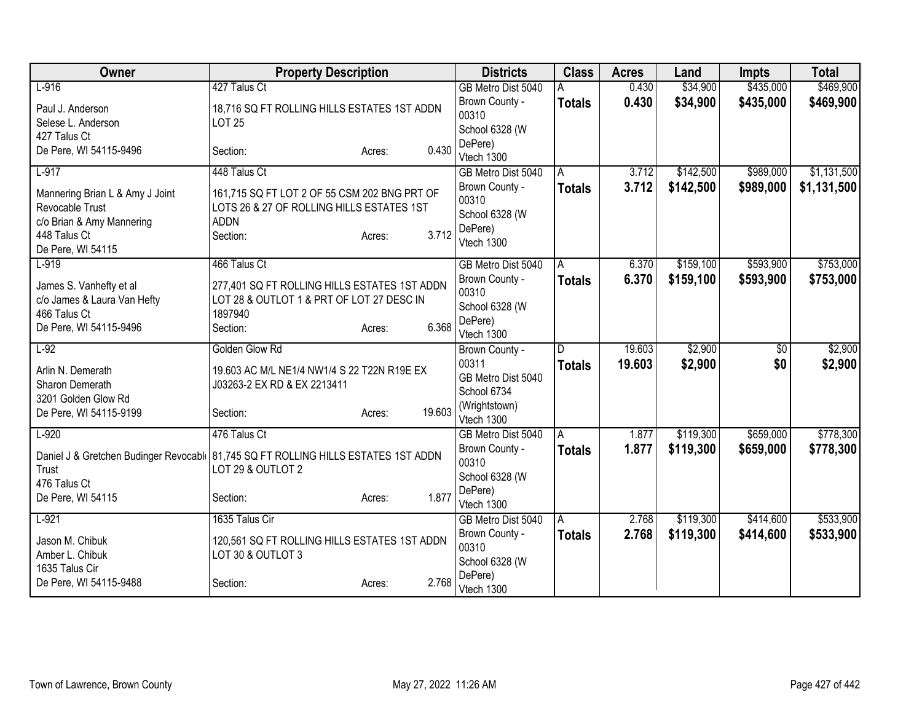| Owner                                                                               | <b>Property Description</b>                  |                  | <b>Districts</b>            | <b>Class</b>   | <b>Acres</b> | Land      | <b>Impts</b> | <b>Total</b> |
|-------------------------------------------------------------------------------------|----------------------------------------------|------------------|-----------------------------|----------------|--------------|-----------|--------------|--------------|
| $L-916$                                                                             | 427 Talus Ct                                 |                  | GB Metro Dist 5040          |                | 0.430        | \$34,900  | \$435,000    | \$469,900    |
| Paul J. Anderson                                                                    | 18,716 SQ FT ROLLING HILLS ESTATES 1ST ADDN  |                  | Brown County -              | <b>Totals</b>  | 0.430        | \$34,900  | \$435,000    | \$469,900    |
| Selese L. Anderson                                                                  | <b>LOT 25</b>                                |                  | 00310                       |                |              |           |              |              |
| 427 Talus Ct                                                                        |                                              |                  | School 6328 (W              |                |              |           |              |              |
| De Pere, WI 54115-9496                                                              | Section:                                     | 0.430<br>Acres:  | DePere)                     |                |              |           |              |              |
|                                                                                     |                                              |                  | Vtech 1300                  |                |              |           |              |              |
| $L-917$                                                                             | 448 Talus Ct                                 |                  | GB Metro Dist 5040          | A              | 3.712        | \$142,500 | \$989,000    | \$1,131,500  |
| Mannering Brian L & Amy J Joint                                                     | 161,715 SQ FT LOT 2 OF 55 CSM 202 BNG PRT OF |                  | Brown County -              | <b>Totals</b>  | 3.712        | \$142,500 | \$989,000    | \$1,131,500  |
| Revocable Trust                                                                     | LOTS 26 & 27 OF ROLLING HILLS ESTATES 1ST    |                  | 00310                       |                |              |           |              |              |
| c/o Brian & Amy Mannering                                                           | <b>ADDN</b>                                  |                  | School 6328 (W<br>DePere)   |                |              |           |              |              |
| 448 Talus Ct                                                                        | Section:                                     | 3.712<br>Acres:  | Vtech 1300                  |                |              |           |              |              |
| De Pere, WI 54115                                                                   |                                              |                  |                             |                |              |           |              |              |
| $L-919$                                                                             | 466 Talus Ct                                 |                  | GB Metro Dist 5040          | $\overline{A}$ | 6.370        | \$159,100 | \$593,900    | \$753,000    |
| James S. Vanhefty et al                                                             | 277,401 SQ FT ROLLING HILLS ESTATES 1ST ADDN |                  | Brown County -              | Totals         | 6.370        | \$159,100 | \$593,900    | \$753,000    |
| c/o James & Laura Van Hefty                                                         | LOT 28 & OUTLOT 1 & PRT OF LOT 27 DESC IN    |                  | 00310                       |                |              |           |              |              |
| 466 Talus Ct                                                                        | 1897940                                      |                  | School 6328 (W              |                |              |           |              |              |
| De Pere, WI 54115-9496                                                              | Section:                                     | 6.368<br>Acres:  | DePere)                     |                |              |           |              |              |
|                                                                                     |                                              |                  | Vtech 1300                  |                |              |           |              |              |
| $L-92$                                                                              | Golden Glow Rd                               |                  | Brown County -              | D              | 19.603       | \$2,900   | \$0          | \$2,900      |
| Arlin N. Demerath                                                                   | 19.603 AC M/L NE1/4 NW1/4 S 22 T22N R19E EX  |                  | 00311                       | <b>Totals</b>  | 19.603       | \$2,900   | \$0          | \$2,900      |
| Sharon Demerath                                                                     | J03263-2 EX RD & EX 2213411                  |                  | GB Metro Dist 5040          |                |              |           |              |              |
| 3201 Golden Glow Rd                                                                 |                                              |                  | School 6734                 |                |              |           |              |              |
| De Pere, WI 54115-9199                                                              | Section:                                     | 19.603<br>Acres: | (Wrightstown)<br>Vtech 1300 |                |              |           |              |              |
| $L-920$                                                                             | 476 Talus Ct                                 |                  |                             |                | 1.877        | \$119,300 | \$659,000    | \$778,300    |
|                                                                                     |                                              |                  | GB Metro Dist 5040          | $\overline{A}$ |              |           |              |              |
| Daniel J & Gretchen Budinger Revocabl   81,745 SQ FT ROLLING HILLS ESTATES 1ST ADDN |                                              |                  | Brown County -<br>00310     | <b>Totals</b>  | 1.877        | \$119,300 | \$659,000    | \$778,300    |
| Trust                                                                               | LOT 29 & OUTLOT 2                            |                  | School 6328 (W              |                |              |           |              |              |
| 476 Talus Ct                                                                        |                                              |                  | DePere)                     |                |              |           |              |              |
| De Pere, WI 54115                                                                   | Section:                                     | 1.877<br>Acres:  | Vtech 1300                  |                |              |           |              |              |
| $L-921$                                                                             | 1635 Talus Cir                               |                  | GB Metro Dist 5040          | A              | 2.768        | \$119,300 | \$414,600    | \$533,900    |
|                                                                                     |                                              |                  | Brown County -              | <b>Totals</b>  | 2.768        | \$119,300 | \$414,600    | \$533,900    |
| Jason M. Chibuk                                                                     | 120,561 SQ FT ROLLING HILLS ESTATES 1ST ADDN |                  | 00310                       |                |              |           |              |              |
| Amber L. Chibuk                                                                     | LOT 30 & OUTLOT 3                            |                  | School 6328 (W              |                |              |           |              |              |
| 1635 Talus Cir                                                                      |                                              |                  | DePere)                     |                |              |           |              |              |
| De Pere, WI 54115-9488                                                              | Section:                                     | 2.768<br>Acres:  | Vtech 1300                  |                |              |           |              |              |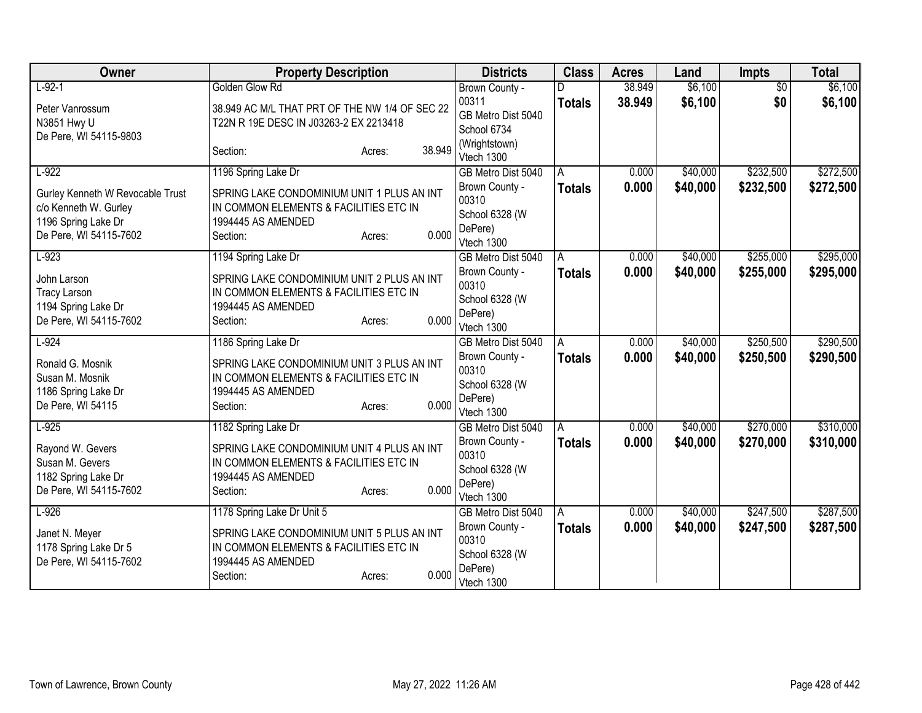| Owner                            | <b>Property Description</b>                    |        |        | <b>Districts</b>                     | <b>Class</b>  | <b>Acres</b> | Land     | <b>Impts</b>    | <b>Total</b> |
|----------------------------------|------------------------------------------------|--------|--------|--------------------------------------|---------------|--------------|----------|-----------------|--------------|
| $L-92-1$                         | Golden Glow Rd                                 |        |        | Brown County -                       |               | 38.949       | \$6,100  | $\overline{50}$ | \$6,100      |
| Peter Vanrossum                  | 38.949 AC M/L THAT PRT OF THE NW 1/4 OF SEC 22 |        |        | 00311                                | <b>Totals</b> | 38.949       | \$6,100  | \$0             | \$6,100      |
| N3851 Hwy U                      | T22N R 19E DESC IN J03263-2 EX 2213418         |        |        | GB Metro Dist 5040                   |               |              |          |                 |              |
| De Pere, WI 54115-9803           |                                                |        |        | School 6734                          |               |              |          |                 |              |
|                                  | Section:                                       | Acres: | 38.949 | (Wrightstown)<br>Vtech 1300          |               |              |          |                 |              |
| $L-922$                          | 1196 Spring Lake Dr                            |        |        | GB Metro Dist 5040                   | A             | 0.000        | \$40,000 | \$232,500       | \$272,500    |
| Gurley Kenneth W Revocable Trust | SPRING LAKE CONDOMINIUM UNIT 1 PLUS AN INT     |        |        | Brown County -                       | <b>Totals</b> | 0.000        | \$40,000 | \$232,500       | \$272,500    |
| c/o Kenneth W. Gurley            | IN COMMON ELEMENTS & FACILITIES ETC IN         |        |        | 00310                                |               |              |          |                 |              |
| 1196 Spring Lake Dr              | 1994445 AS AMENDED                             |        |        | School 6328 (W                       |               |              |          |                 |              |
| De Pere, WI 54115-7602           | Section:                                       | Acres: | 0.000  | DePere)                              |               |              |          |                 |              |
|                                  |                                                |        |        | Vtech 1300                           |               |              |          |                 |              |
| $L-923$                          | 1194 Spring Lake Dr                            |        |        | GB Metro Dist 5040                   | A             | 0.000        | \$40,000 | \$255,000       | \$295,000    |
| John Larson                      | SPRING LAKE CONDOMINIUM UNIT 2 PLUS AN INT     |        |        | Brown County -<br>00310              | <b>Totals</b> | 0.000        | \$40,000 | \$255,000       | \$295,000    |
| <b>Tracy Larson</b>              | IN COMMON ELEMENTS & FACILITIES ETC IN         |        |        | School 6328 (W                       |               |              |          |                 |              |
| 1194 Spring Lake Dr              | 1994445 AS AMENDED                             |        |        | DePere)                              |               |              |          |                 |              |
| De Pere, WI 54115-7602           | Section:                                       | Acres: | 0.000  | Vtech 1300                           |               |              |          |                 |              |
| $L-924$                          | 1186 Spring Lake Dr                            |        |        | GB Metro Dist 5040                   | A             | 0.000        | \$40,000 | \$250,500       | \$290,500    |
| Ronald G. Mosnik                 | SPRING LAKE CONDOMINIUM UNIT 3 PLUS AN INT     |        |        | Brown County -                       | <b>Totals</b> | 0.000        | \$40,000 | \$250,500       | \$290,500    |
| Susan M. Mosnik                  | IN COMMON ELEMENTS & FACILITIES ETC IN         |        |        | 00310                                |               |              |          |                 |              |
| 1186 Spring Lake Dr              | 1994445 AS AMENDED                             |        |        | School 6328 (W                       |               |              |          |                 |              |
| De Pere, WI 54115                | Section:                                       | Acres: | 0.000  | DePere)                              |               |              |          |                 |              |
| $L-925$                          |                                                |        |        | Vtech 1300                           |               | 0.000        | \$40,000 | \$270,000       | \$310,000    |
|                                  | 1182 Spring Lake Dr                            |        |        | GB Metro Dist 5040<br>Brown County - | A             | 0.000        | \$40,000 | \$270,000       |              |
| Rayond W. Gevers                 | SPRING LAKE CONDOMINIUM UNIT 4 PLUS AN INT     |        |        | 00310                                | <b>Totals</b> |              |          |                 | \$310,000    |
| Susan M. Gevers                  | IN COMMON ELEMENTS & FACILITIES ETC IN         |        |        | School 6328 (W                       |               |              |          |                 |              |
| 1182 Spring Lake Dr              | 1994445 AS AMENDED                             |        |        | DePere)                              |               |              |          |                 |              |
| De Pere, WI 54115-7602           | Section:                                       | Acres: | 0.000  | Vtech 1300                           |               |              |          |                 |              |
| $L-926$                          | 1178 Spring Lake Dr Unit 5                     |        |        | GB Metro Dist 5040                   | A             | 0.000        | \$40,000 | \$247,500       | \$287,500    |
| Janet N. Meyer                   | SPRING LAKE CONDOMINIUM UNIT 5 PLUS AN INT     |        |        | Brown County -                       | <b>Totals</b> | 0.000        | \$40,000 | \$247,500       | \$287,500    |
| 1178 Spring Lake Dr 5            | IN COMMON ELEMENTS & FACILITIES ETC IN         |        |        | 00310                                |               |              |          |                 |              |
| De Pere, WI 54115-7602           | 1994445 AS AMENDED                             |        |        | School 6328 (W                       |               |              |          |                 |              |
|                                  | Section:                                       | Acres: | 0.000  | DePere)<br>Vtech 1300                |               |              |          |                 |              |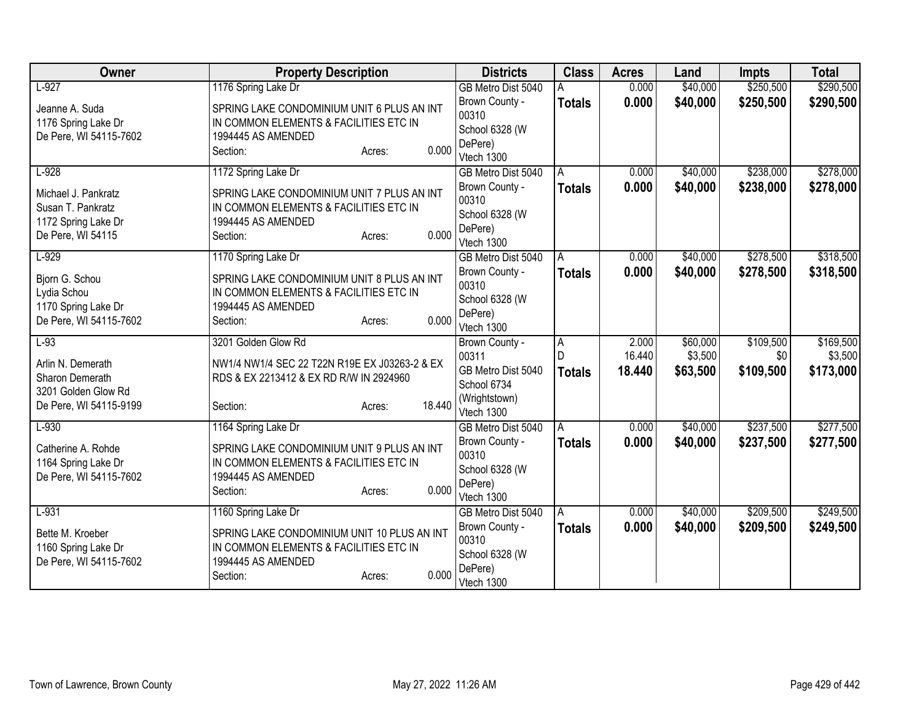| Owner                  | <b>Property Description</b>                   | <b>Districts</b>                 | <b>Class</b>   | <b>Acres</b> | Land     | <b>Impts</b> | <b>Total</b> |
|------------------------|-----------------------------------------------|----------------------------------|----------------|--------------|----------|--------------|--------------|
| $L-927$                | 1176 Spring Lake Dr                           | GB Metro Dist 5040               |                | 0.000        | \$40,000 | \$250,500    | \$290,500    |
| Jeanne A. Suda         | SPRING LAKE CONDOMINIUM UNIT 6 PLUS AN INT    | Brown County -                   | <b>Totals</b>  | 0.000        | \$40,000 | \$250,500    | \$290,500    |
| 1176 Spring Lake Dr    | IN COMMON ELEMENTS & FACILITIES ETC IN        | 00310                            |                |              |          |              |              |
| De Pere, WI 54115-7602 | 1994445 AS AMENDED                            | School 6328 (W                   |                |              |          |              |              |
|                        | 0.000<br>Section:<br>Acres:                   | DePere)<br>Vtech 1300            |                |              |          |              |              |
| $L-928$                | 1172 Spring Lake Dr                           | GB Metro Dist 5040               | A              | 0.000        | \$40,000 | \$238,000    | \$278,000    |
|                        |                                               | Brown County -                   | <b>Totals</b>  | 0.000        | \$40,000 | \$238,000    | \$278,000    |
| Michael J. Pankratz    | SPRING LAKE CONDOMINIUM UNIT 7 PLUS AN INT    | 00310                            |                |              |          |              |              |
| Susan T. Pankratz      | IN COMMON ELEMENTS & FACILITIES ETC IN        | School 6328 (W                   |                |              |          |              |              |
| 1172 Spring Lake Dr    | 1994445 AS AMENDED                            | DePere)                          |                |              |          |              |              |
| De Pere, WI 54115      | 0.000<br>Section:<br>Acres:                   | Vtech 1300                       |                |              |          |              |              |
| $L-929$                | 1170 Spring Lake Dr                           | GB Metro Dist 5040               | A              | 0.000        | \$40,000 | \$278,500    | \$318,500    |
| Bjorn G. Schou         | SPRING LAKE CONDOMINIUM UNIT 8 PLUS AN INT    | Brown County -                   | <b>Totals</b>  | 0.000        | \$40,000 | \$278,500    | \$318,500    |
| Lydia Schou            | IN COMMON ELEMENTS & FACILITIES ETC IN        | 00310                            |                |              |          |              |              |
| 1170 Spring Lake Dr    | 1994445 AS AMENDED                            | School 6328 (W                   |                |              |          |              |              |
| De Pere, WI 54115-7602 | 0.000<br>Section:<br>Acres:                   | DePere)                          |                |              |          |              |              |
| $L-93$                 | 3201 Golden Glow Rd                           | Vtech 1300                       |                | 2.000        | \$60,000 | \$109,500    | \$169,500    |
|                        |                                               | Brown County -<br>00311          | $\overline{A}$ | 16.440       | \$3,500  | \$0          | \$3,500      |
| Arlin N. Demerath      | NW1/4 NW1/4 SEC 22 T22N R19E EX J03263-2 & EX | GB Metro Dist 5040               | <b>Totals</b>  | 18.440       | \$63,500 | \$109,500    | \$173,000    |
| Sharon Demerath        | RDS & EX 2213412 & EX RD R/W IN 2924960       | School 6734                      |                |              |          |              |              |
| 3201 Golden Glow Rd    |                                               | (Wrightstown)                    |                |              |          |              |              |
| De Pere, WI 54115-9199 | 18.440<br>Section:<br>Acres:                  | Vtech 1300                       |                |              |          |              |              |
| $L-930$                | 1164 Spring Lake Dr                           | GB Metro Dist 5040               | A              | 0.000        | \$40,000 | \$237,500    | \$277,500    |
| Catherine A. Rohde     | SPRING LAKE CONDOMINIUM UNIT 9 PLUS AN INT    | Brown County -                   | <b>Totals</b>  | 0.000        | \$40,000 | \$237,500    | \$277,500    |
| 1164 Spring Lake Dr    | IN COMMON ELEMENTS & FACILITIES ETC IN        | 00310                            |                |              |          |              |              |
| De Pere, WI 54115-7602 | 1994445 AS AMENDED                            | School 6328 (W                   |                |              |          |              |              |
|                        | 0.000<br>Section:<br>Acres:                   | DePere)                          |                |              |          |              |              |
| $L-931$                | 1160 Spring Lake Dr                           | Vtech 1300<br>GB Metro Dist 5040 | A              | 0.000        | \$40,000 | \$209,500    | \$249,500    |
|                        |                                               | Brown County -                   | <b>Totals</b>  | 0.000        | \$40,000 | \$209,500    | \$249,500    |
| Bette M. Kroeber       | SPRING LAKE CONDOMINIUM UNIT 10 PLUS AN INT   | 00310                            |                |              |          |              |              |
| 1160 Spring Lake Dr    | IN COMMON ELEMENTS & FACILITIES ETC IN        | School 6328 (W                   |                |              |          |              |              |
| De Pere, WI 54115-7602 | 1994445 AS AMENDED                            | DePere)                          |                |              |          |              |              |
|                        | 0.000<br>Section:<br>Acres:                   | Vtech 1300                       |                |              |          |              |              |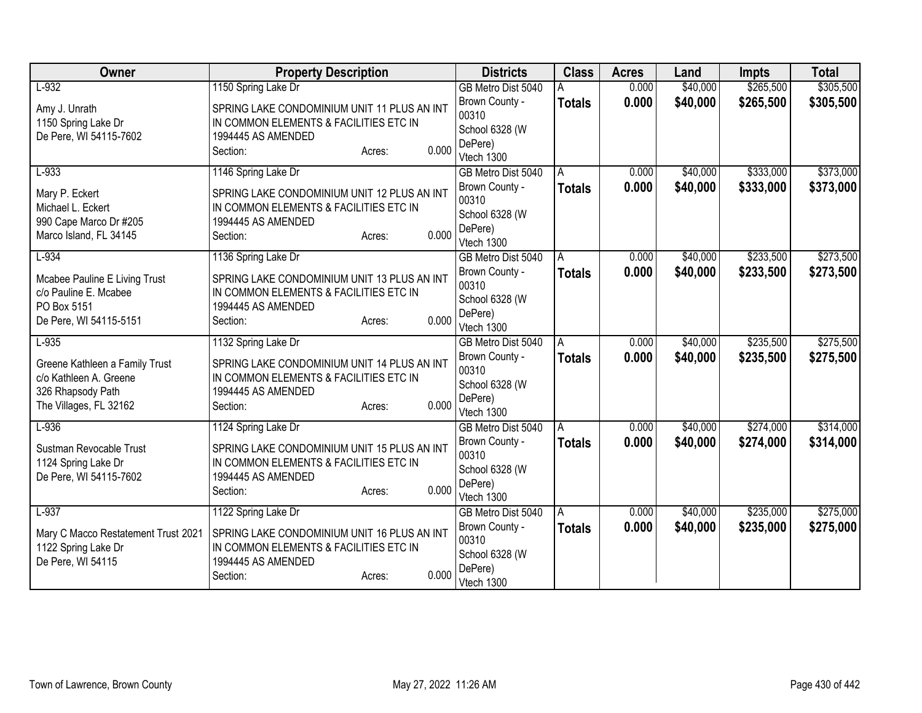| Owner                                                                                                   | <b>Property Description</b>                                                                                                                | <b>Districts</b>                                                   | <b>Class</b>  | <b>Acres</b> | Land     | <b>Impts</b> | <b>Total</b> |
|---------------------------------------------------------------------------------------------------------|--------------------------------------------------------------------------------------------------------------------------------------------|--------------------------------------------------------------------|---------------|--------------|----------|--------------|--------------|
| $L-932$                                                                                                 | 1150 Spring Lake Dr                                                                                                                        | GB Metro Dist 5040                                                 |               | 0.000        | \$40,000 | \$265,500    | \$305,500    |
| Amy J. Unrath<br>1150 Spring Lake Dr<br>De Pere, WI 54115-7602                                          | SPRING LAKE CONDOMINIUM UNIT 11 PLUS AN INT<br>IN COMMON ELEMENTS & FACILITIES ETC IN<br>1994445 AS AMENDED<br>0.000<br>Section:<br>Acres: | Brown County -<br>00310<br>School 6328 (W<br>DePere)<br>Vtech 1300 | <b>Totals</b> | 0.000        | \$40,000 | \$265,500    | \$305,500    |
| $L-933$                                                                                                 | 1146 Spring Lake Dr                                                                                                                        | GB Metro Dist 5040                                                 | A             | 0.000        | \$40,000 | \$333,000    | \$373,000    |
| Mary P. Eckert<br>Michael L. Eckert<br>990 Cape Marco Dr #205<br>Marco Island, FL 34145                 | SPRING LAKE CONDOMINIUM UNIT 12 PLUS AN INT<br>IN COMMON ELEMENTS & FACILITIES ETC IN<br>1994445 AS AMENDED<br>0.000<br>Section:<br>Acres: | Brown County -<br>00310<br>School 6328 (W<br>DePere)<br>Vtech 1300 | <b>Totals</b> | 0.000        | \$40,000 | \$333,000    | \$373,000    |
| $L-934$                                                                                                 | 1136 Spring Lake Dr                                                                                                                        | GB Metro Dist 5040                                                 | A             | 0.000        | \$40,000 | \$233,500    | \$273,500    |
| Mcabee Pauline E Living Trust<br>c/o Pauline E. Mcabee<br>PO Box 5151<br>De Pere, WI 54115-5151         | SPRING LAKE CONDOMINIUM UNIT 13 PLUS AN INT<br>IN COMMON ELEMENTS & FACILITIES ETC IN<br>1994445 AS AMENDED<br>0.000<br>Section:<br>Acres: | Brown County -<br>00310<br>School 6328 (W<br>DePere)<br>Vtech 1300 | <b>Totals</b> | 0.000        | \$40,000 | \$233,500    | \$273,500    |
| $L-935$                                                                                                 | 1132 Spring Lake Dr                                                                                                                        | GB Metro Dist 5040                                                 | A             | 0.000        | \$40,000 | \$235,500    | \$275,500    |
| Greene Kathleen a Family Trust<br>c/o Kathleen A. Greene<br>326 Rhapsody Path<br>The Villages, FL 32162 | SPRING LAKE CONDOMINIUM UNIT 14 PLUS AN INT<br>IN COMMON ELEMENTS & FACILITIES ETC IN<br>1994445 AS AMENDED<br>0.000<br>Section:<br>Acres: | Brown County -<br>00310<br>School 6328 (W<br>DePere)<br>Vtech 1300 | <b>Totals</b> | 0.000        | \$40,000 | \$235,500    | \$275,500    |
| $L-936$                                                                                                 | 1124 Spring Lake Dr                                                                                                                        | GB Metro Dist 5040                                                 | A             | 0.000        | \$40,000 | \$274,000    | \$314,000    |
| Sustman Revocable Trust<br>1124 Spring Lake Dr<br>De Pere, WI 54115-7602                                | SPRING LAKE CONDOMINIUM UNIT 15 PLUS AN INT<br>IN COMMON ELEMENTS & FACILITIES ETC IN<br>1994445 AS AMENDED<br>0.000<br>Section:<br>Acres: | Brown County -<br>00310<br>School 6328 (W<br>DePere)<br>Vtech 1300 | <b>Totals</b> | 0.000        | \$40,000 | \$274,000    | \$314,000    |
| $L-937$                                                                                                 | 1122 Spring Lake Dr                                                                                                                        | GB Metro Dist 5040                                                 | A             | 0.000        | \$40,000 | \$235,000    | \$275,000    |
| Mary C Macco Restatement Trust 2021<br>1122 Spring Lake Dr<br>De Pere, WI 54115                         | SPRING LAKE CONDOMINIUM UNIT 16 PLUS AN INT<br>IN COMMON ELEMENTS & FACILITIES ETC IN<br>1994445 AS AMENDED<br>0.000<br>Section:<br>Acres: | Brown County -<br>00310<br>School 6328 (W<br>DePere)<br>Vtech 1300 | <b>Totals</b> | 0.000        | \$40,000 | \$235,000    | \$275,000    |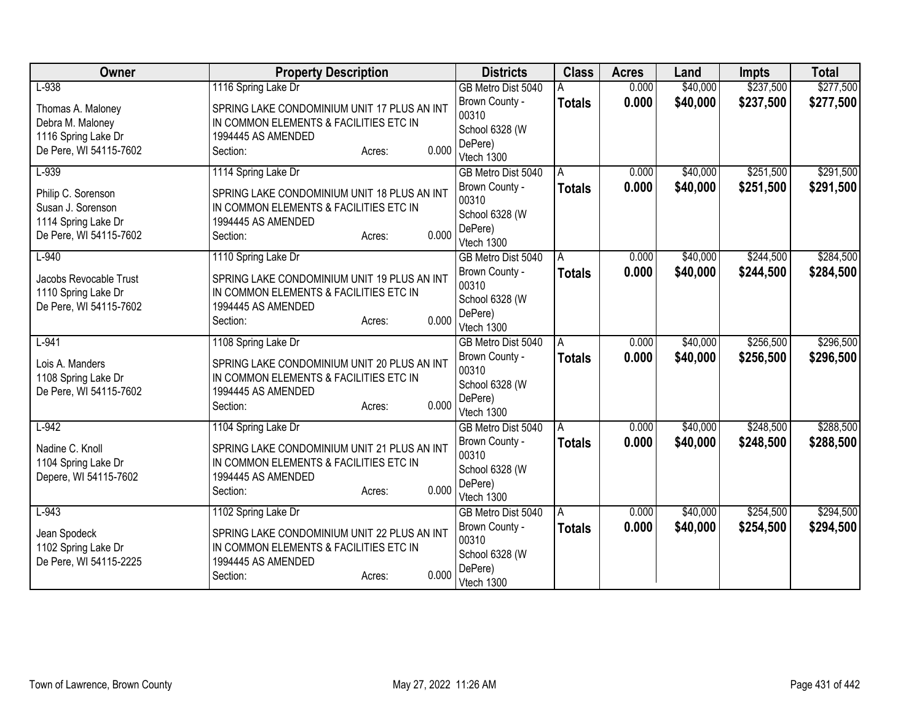| Owner                                                                                    | <b>Property Description</b>                                                                                                                | <b>Districts</b>                                                   | <b>Class</b>  | <b>Acres</b> | Land     | <b>Impts</b> | <b>Total</b> |
|------------------------------------------------------------------------------------------|--------------------------------------------------------------------------------------------------------------------------------------------|--------------------------------------------------------------------|---------------|--------------|----------|--------------|--------------|
| $L-938$                                                                                  | 1116 Spring Lake Dr                                                                                                                        | GB Metro Dist 5040                                                 |               | 0.000        | \$40,000 | \$237,500    | \$277,500    |
| Thomas A. Maloney<br>Debra M. Maloney<br>1116 Spring Lake Dr                             | SPRING LAKE CONDOMINIUM UNIT 17 PLUS AN INT<br>IN COMMON ELEMENTS & FACILITIES ETC IN<br>1994445 AS AMENDED                                | Brown County -<br>00310<br>School 6328 (W<br>DePere)               | <b>Totals</b> | 0.000        | \$40,000 | \$237,500    | \$277,500    |
| De Pere, WI 54115-7602                                                                   | 0.000<br>Section:<br>Acres:                                                                                                                | Vtech 1300                                                         |               |              |          |              |              |
| $L-939$                                                                                  | 1114 Spring Lake Dr                                                                                                                        | GB Metro Dist 5040                                                 | A             | 0.000        | \$40,000 | \$251,500    | \$291,500    |
| Philip C. Sorenson<br>Susan J. Sorenson<br>1114 Spring Lake Dr<br>De Pere, WI 54115-7602 | SPRING LAKE CONDOMINIUM UNIT 18 PLUS AN INT<br>IN COMMON ELEMENTS & FACILITIES ETC IN<br>1994445 AS AMENDED<br>0.000<br>Section:<br>Acres: | Brown County -<br>00310<br>School 6328 (W<br>DePere)<br>Vtech 1300 | <b>Totals</b> | 0.000        | \$40,000 | \$251,500    | \$291,500    |
| $L-940$                                                                                  | 1110 Spring Lake Dr                                                                                                                        | GB Metro Dist 5040                                                 | A             | 0.000        | \$40,000 | \$244,500    | \$284,500    |
| Jacobs Revocable Trust<br>1110 Spring Lake Dr<br>De Pere, WI 54115-7602                  | SPRING LAKE CONDOMINIUM UNIT 19 PLUS AN INT<br>IN COMMON ELEMENTS & FACILITIES ETC IN<br>1994445 AS AMENDED<br>0.000<br>Section:<br>Acres: | Brown County -<br>00310<br>School 6328 (W<br>DePere)<br>Vtech 1300 | <b>Totals</b> | 0.000        | \$40,000 | \$244,500    | \$284,500    |
| $L-941$                                                                                  | 1108 Spring Lake Dr                                                                                                                        | GB Metro Dist 5040                                                 | A             | 0.000        | \$40,000 | \$256,500    | \$296,500    |
| Lois A. Manders<br>1108 Spring Lake Dr<br>De Pere, WI 54115-7602                         | SPRING LAKE CONDOMINIUM UNIT 20 PLUS AN INT<br>IN COMMON ELEMENTS & FACILITIES ETC IN<br>1994445 AS AMENDED<br>0.000<br>Section:<br>Acres: | Brown County -<br>00310<br>School 6328 (W<br>DePere)<br>Vtech 1300 | <b>Totals</b> | 0.000        | \$40,000 | \$256,500    | \$296,500    |
| $L-942$                                                                                  | 1104 Spring Lake Dr                                                                                                                        | GB Metro Dist 5040                                                 | A             | 0.000        | \$40,000 | \$248,500    | \$288,500    |
| Nadine C. Knoll<br>1104 Spring Lake Dr<br>Depere, WI 54115-7602                          | SPRING LAKE CONDOMINIUM UNIT 21 PLUS AN INT<br>IN COMMON ELEMENTS & FACILITIES ETC IN<br>1994445 AS AMENDED<br>0.000<br>Section:<br>Acres: | Brown County -<br>00310<br>School 6328 (W<br>DePere)<br>Vtech 1300 | <b>Totals</b> | 0.000        | \$40,000 | \$248,500    | \$288,500    |
| $L-943$                                                                                  | 1102 Spring Lake Dr                                                                                                                        | GB Metro Dist 5040                                                 | A             | 0.000        | \$40,000 | \$254,500    | \$294,500    |
| Jean Spodeck<br>1102 Spring Lake Dr<br>De Pere, WI 54115-2225                            | SPRING LAKE CONDOMINIUM UNIT 22 PLUS AN INT<br>IN COMMON ELEMENTS & FACILITIES ETC IN<br>1994445 AS AMENDED<br>0.000<br>Section:<br>Acres: | Brown County -<br>00310<br>School 6328 (W<br>DePere)<br>Vtech 1300 | <b>Totals</b> | 0.000        | \$40,000 | \$254,500    | \$294,500    |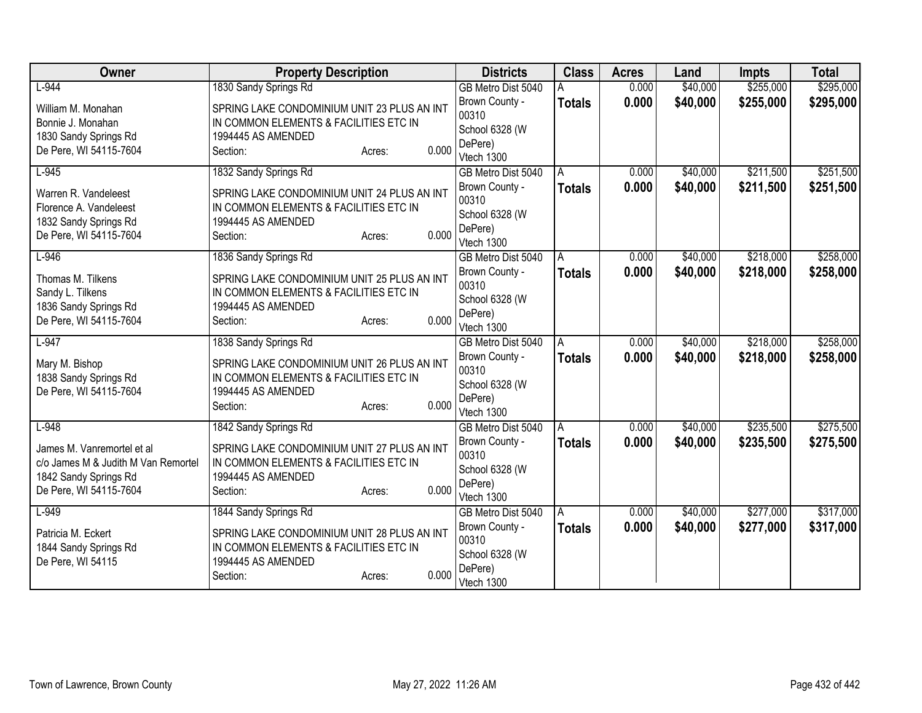| Owner                               | <b>Property Description</b>                 |       | <b>Districts</b>      | <b>Class</b>  | <b>Acres</b> | Land     | <b>Impts</b> | <b>Total</b> |
|-------------------------------------|---------------------------------------------|-------|-----------------------|---------------|--------------|----------|--------------|--------------|
| $L-944$                             | 1830 Sandy Springs Rd                       |       | GB Metro Dist 5040    |               | 0.000        | \$40,000 | \$255,000    | \$295,000    |
| William M. Monahan                  | SPRING LAKE CONDOMINIUM UNIT 23 PLUS AN INT |       | Brown County -        | <b>Totals</b> | 0.000        | \$40,000 | \$255,000    | \$295,000    |
| Bonnie J. Monahan                   | IN COMMON ELEMENTS & FACILITIES ETC IN      |       | 00310                 |               |              |          |              |              |
| 1830 Sandy Springs Rd               | 1994445 AS AMENDED                          |       | School 6328 (W        |               |              |          |              |              |
| De Pere, WI 54115-7604              | Section:<br>Acres:                          | 0.000 | DePere)<br>Vtech 1300 |               |              |          |              |              |
| $L-945$                             | 1832 Sandy Springs Rd                       |       | GB Metro Dist 5040    | A             | 0.000        | \$40,000 | \$211,500    | \$251,500    |
|                                     |                                             |       | Brown County -        | <b>Totals</b> | 0.000        | \$40,000 | \$211,500    | \$251,500    |
| Warren R. Vandeleest                | SPRING LAKE CONDOMINIUM UNIT 24 PLUS AN INT |       | 00310                 |               |              |          |              |              |
| Florence A. Vandeleest              | IN COMMON ELEMENTS & FACILITIES ETC IN      |       | School 6328 (W        |               |              |          |              |              |
| 1832 Sandy Springs Rd               | 1994445 AS AMENDED                          | 0.000 | DePere)               |               |              |          |              |              |
| De Pere, WI 54115-7604              | Section:<br>Acres:                          |       | Vtech 1300            |               |              |          |              |              |
| $L-946$                             | 1836 Sandy Springs Rd                       |       | GB Metro Dist 5040    | A             | 0.000        | \$40,000 | \$218,000    | \$258,000    |
| Thomas M. Tilkens                   | SPRING LAKE CONDOMINIUM UNIT 25 PLUS AN INT |       | Brown County -        | <b>Totals</b> | 0.000        | \$40,000 | \$218,000    | \$258,000    |
| Sandy L. Tilkens                    | IN COMMON ELEMENTS & FACILITIES ETC IN      |       | 00310                 |               |              |          |              |              |
| 1836 Sandy Springs Rd               | 1994445 AS AMENDED                          |       | School 6328 (W        |               |              |          |              |              |
| De Pere, WI 54115-7604              | Section:<br>Acres:                          | 0.000 | DePere)<br>Vtech 1300 |               |              |          |              |              |
| $L-947$                             | 1838 Sandy Springs Rd                       |       | GB Metro Dist 5040    | A             | 0.000        | \$40,000 | \$218,000    | \$258,000    |
|                                     |                                             |       | Brown County -        | <b>Totals</b> | 0.000        | \$40,000 | \$218,000    | \$258,000    |
| Mary M. Bishop                      | SPRING LAKE CONDOMINIUM UNIT 26 PLUS AN INT |       | 00310                 |               |              |          |              |              |
| 1838 Sandy Springs Rd               | IN COMMON ELEMENTS & FACILITIES ETC IN      |       | School 6328 (W        |               |              |          |              |              |
| De Pere, WI 54115-7604              | 1994445 AS AMENDED<br>Section:              | 0.000 | DePere)               |               |              |          |              |              |
|                                     | Acres:                                      |       | Vtech 1300            |               |              |          |              |              |
| $L-948$                             | 1842 Sandy Springs Rd                       |       | GB Metro Dist 5040    | A             | 0.000        | \$40,000 | \$235,500    | \$275,500    |
| James M. Vanremortel et al          | SPRING LAKE CONDOMINIUM UNIT 27 PLUS AN INT |       | Brown County -        | <b>Totals</b> | 0.000        | \$40,000 | \$235,500    | \$275,500    |
| c/o James M & Judith M Van Remortel | IN COMMON ELEMENTS & FACILITIES ETC IN      |       | 00310                 |               |              |          |              |              |
| 1842 Sandy Springs Rd               | 1994445 AS AMENDED                          |       | School 6328 (W        |               |              |          |              |              |
| De Pere, WI 54115-7604              | Section:<br>Acres:                          | 0.000 | DePere)<br>Vtech 1300 |               |              |          |              |              |
| $L-949$                             | 1844 Sandy Springs Rd                       |       | GB Metro Dist 5040    | A             | 0.000        | \$40,000 | \$277,000    | \$317,000    |
|                                     |                                             |       | Brown County -        | <b>Totals</b> | 0.000        | \$40,000 | \$277,000    | \$317,000    |
| Patricia M. Eckert                  | SPRING LAKE CONDOMINIUM UNIT 28 PLUS AN INT |       | 00310                 |               |              |          |              |              |
| 1844 Sandy Springs Rd               | IN COMMON ELEMENTS & FACILITIES ETC IN      |       | School 6328 (W        |               |              |          |              |              |
| De Pere, WI 54115                   | 1994445 AS AMENDED                          | 0.000 | DePere)               |               |              |          |              |              |
|                                     | Section:<br>Acres:                          |       | Vtech 1300            |               |              |          |              |              |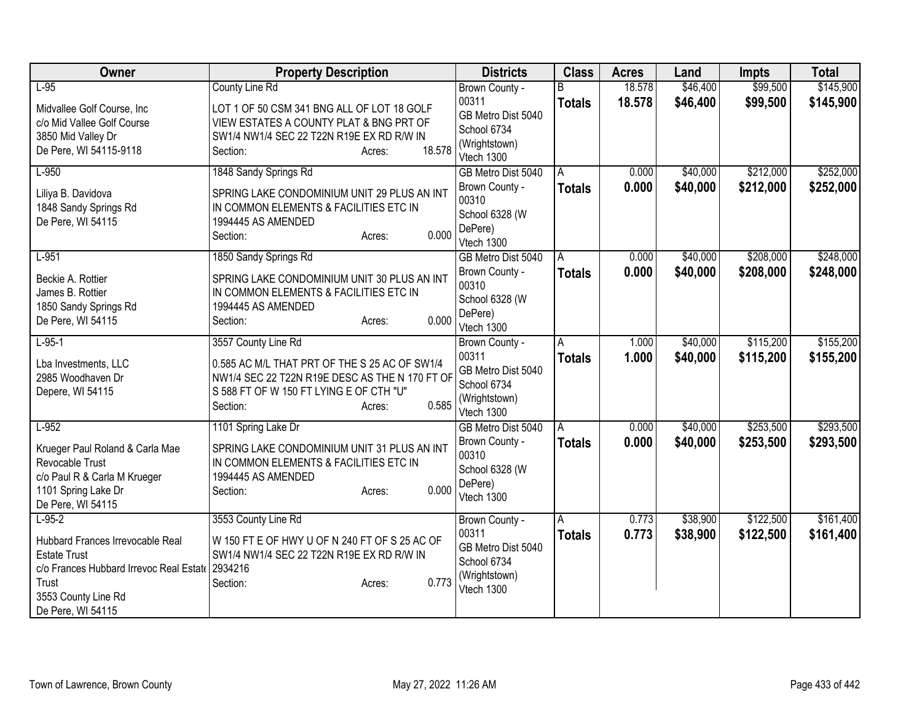| Owner                                                                                                                                                               | <b>Property Description</b>                                                                                                                                                                      | <b>Districts</b>                                                                            | <b>Class</b>       | <b>Acres</b>     | Land                 | Impts                  | <b>Total</b>           |
|---------------------------------------------------------------------------------------------------------------------------------------------------------------------|--------------------------------------------------------------------------------------------------------------------------------------------------------------------------------------------------|---------------------------------------------------------------------------------------------|--------------------|------------------|----------------------|------------------------|------------------------|
| $L-95$<br>Midvallee Golf Course, Inc<br>c/o Mid Vallee Golf Course<br>3850 Mid Valley Dr<br>De Pere, WI 54115-9118                                                  | <b>County Line Rd</b><br>LOT 1 OF 50 CSM 341 BNG ALL OF LOT 18 GOLF<br>VIEW ESTATES A COUNTY PLAT & BNG PRT OF<br>SW1/4 NW1/4 SEC 22 T22N R19E EX RD R/W IN<br>18.578<br>Section:<br>Acres:      | Brown County -<br>00311<br>GB Metro Dist 5040<br>School 6734<br>(Wrightstown)<br>Vtech 1300 | R<br><b>Totals</b> | 18.578<br>18.578 | \$46,400<br>\$46,400 | \$99,500<br>\$99,500   | \$145,900<br>\$145,900 |
| $L-950$<br>Liliya B. Davidova<br>1848 Sandy Springs Rd<br>De Pere, WI 54115                                                                                         | 1848 Sandy Springs Rd<br>SPRING LAKE CONDOMINIUM UNIT 29 PLUS AN INT<br>IN COMMON ELEMENTS & FACILITIES ETC IN<br>1994445 AS AMENDED<br>0.000<br>Section:<br>Acres:                              | GB Metro Dist 5040<br>Brown County -<br>00310<br>School 6328 (W<br>DePere)<br>Vtech 1300    | A<br><b>Totals</b> | 0.000<br>0.000   | \$40,000<br>\$40,000 | \$212,000<br>\$212,000 | \$252,000<br>\$252,000 |
| $L-951$<br>Beckie A. Rottier<br>James B. Rottier<br>1850 Sandy Springs Rd<br>De Pere, WI 54115                                                                      | 1850 Sandy Springs Rd<br>SPRING LAKE CONDOMINIUM UNIT 30 PLUS AN INT<br>IN COMMON ELEMENTS & FACILITIES ETC IN<br>1994445 AS AMENDED<br>0.000<br>Section:<br>Acres:                              | GB Metro Dist 5040<br>Brown County -<br>00310<br>School 6328 (W<br>DePere)<br>Vtech 1300    | A<br><b>Totals</b> | 0.000<br>0.000   | \$40,000<br>\$40,000 | \$208,000<br>\$208,000 | \$248,000<br>\$248,000 |
| $L-95-1$<br>Lba Investments, LLC<br>2985 Woodhaven Dr<br>Depere, WI 54115                                                                                           | 3557 County Line Rd<br>0.585 AC M/L THAT PRT OF THE S 25 AC OF SW1/4<br>NW1/4 SEC 22 T22N R19E DESC AS THE N 170 FT OF<br>S 588 FT OF W 150 FT LYING E OF CTH "U"<br>0.585<br>Section:<br>Acres: | Brown County -<br>00311<br>GB Metro Dist 5040<br>School 6734<br>(Wrightstown)<br>Vtech 1300 | Α<br><b>Totals</b> | 1.000<br>1.000   | \$40,000<br>\$40,000 | \$115,200<br>\$115,200 | \$155,200<br>\$155,200 |
| $L-952$<br>Krueger Paul Roland & Carla Mae<br>Revocable Trust<br>c/o Paul R & Carla M Krueger<br>1101 Spring Lake Dr<br>De Pere, WI 54115                           | 1101 Spring Lake Dr<br>SPRING LAKE CONDOMINIUM UNIT 31 PLUS AN INT<br>IN COMMON ELEMENTS & FACILITIES ETC IN<br>1994445 AS AMENDED<br>0.000<br>Section:<br>Acres:                                | GB Metro Dist 5040<br>Brown County -<br>00310<br>School 6328 (W<br>DePere)<br>Vtech 1300    | A<br><b>Totals</b> | 0.000<br>0.000   | \$40,000<br>\$40,000 | \$253,500<br>\$253,500 | \$293,500<br>\$293,500 |
| $L-95-2$<br>Hubbard Frances Irrevocable Real<br><b>Estate Trust</b><br>c/o Frances Hubbard Irrevoc Real Estate<br>Trust<br>3553 County Line Rd<br>De Pere, WI 54115 | 3553 County Line Rd<br>W 150 FT E OF HWY U OF N 240 FT OF S 25 AC OF<br>SW1/4 NW1/4 SEC 22 T22N R19E EX RD R/W IN<br>2934216<br>0.773<br>Section:<br>Acres:                                      | Brown County -<br>00311<br>GB Metro Dist 5040<br>School 6734<br>(Wrightstown)<br>Vtech 1300 | A<br><b>Totals</b> | 0.773<br>0.773   | \$38,900<br>\$38,900 | \$122,500<br>\$122,500 | \$161,400<br>\$161,400 |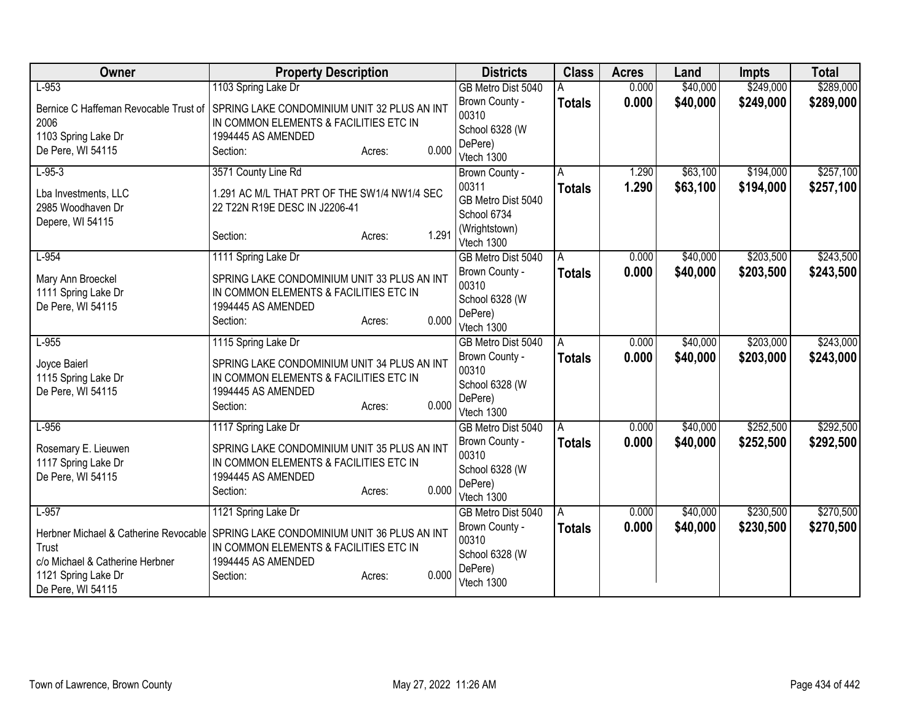| Owner                                    | <b>Property Description</b>                                                           | <b>Districts</b>            | <b>Class</b>  | <b>Acres</b> | Land     | <b>Impts</b> | <b>Total</b> |
|------------------------------------------|---------------------------------------------------------------------------------------|-----------------------------|---------------|--------------|----------|--------------|--------------|
| $L-953$                                  | 1103 Spring Lake Dr                                                                   | GB Metro Dist 5040          |               | 0.000        | \$40,000 | \$249,000    | \$289,000    |
| Bernice C Haffeman Revocable Trust of    | SPRING LAKE CONDOMINIUM UNIT 32 PLUS AN INT                                           | Brown County -<br>00310     | <b>Totals</b> | 0.000        | \$40,000 | \$249,000    | \$289,000    |
| 2006                                     | IN COMMON ELEMENTS & FACILITIES ETC IN                                                | School 6328 (W              |               |              |          |              |              |
| 1103 Spring Lake Dr<br>De Pere, WI 54115 | 1994445 AS AMENDED<br>0.000                                                           | DePere)                     |               |              |          |              |              |
|                                          | Section:<br>Acres:                                                                    | Vtech 1300                  |               |              |          |              |              |
| $L-95-3$                                 | 3571 County Line Rd                                                                   | Brown County -              | A             | 1.290        | \$63,100 | \$194,000    | \$257,100    |
| Lba Investments, LLC                     | 1.291 AC M/L THAT PRT OF THE SW1/4 NW1/4 SEC                                          | 00311                       | <b>Totals</b> | 1.290        | \$63,100 | \$194,000    | \$257,100    |
| 2985 Woodhaven Dr                        | 22 T22N R19E DESC IN J2206-41                                                         | GB Metro Dist 5040          |               |              |          |              |              |
| Depere, WI 54115                         |                                                                                       | School 6734                 |               |              |          |              |              |
|                                          | 1.291<br>Section:<br>Acres:                                                           | (Wrightstown)<br>Vtech 1300 |               |              |          |              |              |
| $L-954$                                  | 1111 Spring Lake Dr                                                                   | GB Metro Dist 5040          | A             | 0.000        | \$40,000 | \$203,500    | \$243,500    |
|                                          |                                                                                       | Brown County -              | <b>Totals</b> | 0.000        | \$40,000 | \$203,500    | \$243,500    |
| Mary Ann Broeckel<br>1111 Spring Lake Dr | SPRING LAKE CONDOMINIUM UNIT 33 PLUS AN INT<br>IN COMMON ELEMENTS & FACILITIES ETC IN | 00310                       |               |              |          |              |              |
| De Pere, WI 54115                        | 1994445 AS AMENDED                                                                    | School 6328 (W              |               |              |          |              |              |
|                                          | 0.000<br>Section:<br>Acres:                                                           | DePere)                     |               |              |          |              |              |
|                                          |                                                                                       | Vtech 1300                  |               |              |          |              |              |
| $L-955$                                  | 1115 Spring Lake Dr                                                                   | GB Metro Dist 5040          | l A           | 0.000        | \$40,000 | \$203,000    | \$243,000    |
| Joyce Baierl                             | SPRING LAKE CONDOMINIUM UNIT 34 PLUS AN INT                                           | Brown County -              | <b>Totals</b> | 0.000        | \$40,000 | \$203,000    | \$243,000    |
| 1115 Spring Lake Dr                      | IN COMMON ELEMENTS & FACILITIES ETC IN                                                | 00310<br>School 6328 (W     |               |              |          |              |              |
| De Pere, WI 54115                        | 1994445 AS AMENDED                                                                    | DePere)                     |               |              |          |              |              |
|                                          | 0.000<br>Section:<br>Acres:                                                           | Vtech 1300                  |               |              |          |              |              |
| $L-956$                                  | 1117 Spring Lake Dr                                                                   | GB Metro Dist 5040          | A             | 0.000        | \$40,000 | \$252,500    | \$292,500    |
|                                          |                                                                                       | Brown County -              | <b>Totals</b> | 0.000        | \$40,000 | \$252,500    | \$292,500    |
| Rosemary E. Lieuwen                      | SPRING LAKE CONDOMINIUM UNIT 35 PLUS AN INT                                           | 00310                       |               |              |          |              |              |
| 1117 Spring Lake Dr<br>De Pere, WI 54115 | IN COMMON ELEMENTS & FACILITIES ETC IN<br>1994445 AS AMENDED                          | School 6328 (W              |               |              |          |              |              |
|                                          | 0.000<br>Section:<br>Acres:                                                           | DePere)                     |               |              |          |              |              |
|                                          |                                                                                       | Vtech 1300                  |               |              |          |              |              |
| $L-957$                                  | 1121 Spring Lake Dr                                                                   | GB Metro Dist 5040          | A             | 0.000        | \$40,000 | \$230,500    | \$270,500    |
| Herbner Michael & Catherine Revocable    | SPRING LAKE CONDOMINIUM UNIT 36 PLUS AN INT                                           | Brown County -              | <b>Totals</b> | 0.000        | \$40,000 | \$230,500    | \$270,500    |
| Trust                                    | IN COMMON ELEMENTS & FACILITIES ETC IN                                                | 00310                       |               |              |          |              |              |
| c/o Michael & Catherine Herbner          | 1994445 AS AMENDED                                                                    | School 6328 (W              |               |              |          |              |              |
| 1121 Spring Lake Dr                      | 0.000<br>Section:<br>Acres:                                                           | DePere)<br>Vtech 1300       |               |              |          |              |              |
| De Pere, WI 54115                        |                                                                                       |                             |               |              |          |              |              |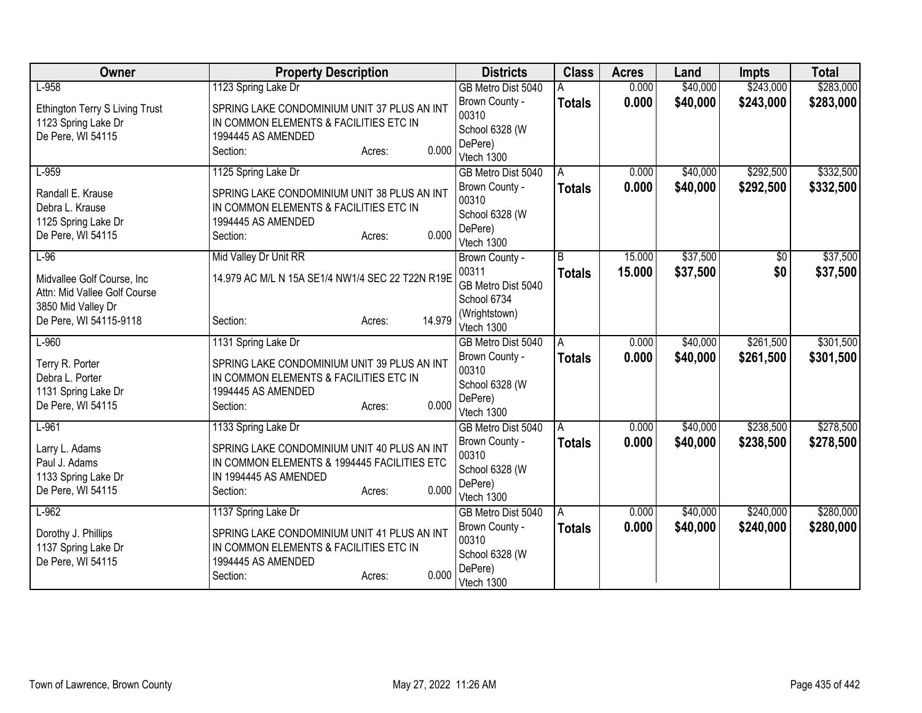| Owner                                    | <b>Property Description</b>                                  | <b>Districts</b>          | <b>Class</b>  | <b>Acres</b> | Land     | <b>Impts</b> | <b>Total</b> |
|------------------------------------------|--------------------------------------------------------------|---------------------------|---------------|--------------|----------|--------------|--------------|
| $L-958$                                  | 1123 Spring Lake Dr                                          | GB Metro Dist 5040        |               | 0.000        | \$40,000 | \$243,000    | \$283,000    |
| Ethington Terry S Living Trust           | SPRING LAKE CONDOMINIUM UNIT 37 PLUS AN INT                  | Brown County -<br>00310   | <b>Totals</b> | 0.000        | \$40,000 | \$243,000    | \$283,000    |
| 1123 Spring Lake Dr                      | IN COMMON ELEMENTS & FACILITIES ETC IN<br>1994445 AS AMENDED | School 6328 (W            |               |              |          |              |              |
| De Pere, WI 54115                        | 0.000<br>Section:<br>Acres:                                  | DePere)                   |               |              |          |              |              |
|                                          |                                                              | Vtech 1300                |               |              |          |              |              |
| $L-959$                                  | 1125 Spring Lake Dr                                          | GB Metro Dist 5040        | A             | 0.000        | \$40,000 | \$292,500    | \$332,500    |
| Randall E. Krause                        | SPRING LAKE CONDOMINIUM UNIT 38 PLUS AN INT                  | Brown County -            | <b>Totals</b> | 0.000        | \$40,000 | \$292,500    | \$332,500    |
| Debra L. Krause                          | IN COMMON ELEMENTS & FACILITIES ETC IN                       | 00310                     |               |              |          |              |              |
| 1125 Spring Lake Dr                      | 1994445 AS AMENDED                                           | School 6328 (W            |               |              |          |              |              |
| De Pere, WI 54115                        | 0.000<br>Section:<br>Acres:                                  | DePere)<br>Vtech 1300     |               |              |          |              |              |
| $L-96$                                   | Mid Valley Dr Unit RR                                        | Brown County -            | B             | 15.000       | \$37,500 | \$0          | \$37,500     |
|                                          |                                                              | 00311                     | <b>Totals</b> | 15.000       | \$37,500 | \$0          | \$37,500     |
| Midvallee Golf Course, Inc.              | 14.979 AC M/L N 15A SE1/4 NW1/4 SEC 22 T22N R19E             | GB Metro Dist 5040        |               |              |          |              |              |
| Attn: Mid Vallee Golf Course             |                                                              | School 6734               |               |              |          |              |              |
| 3850 Mid Valley Dr                       | 14.979                                                       | (Wrightstown)             |               |              |          |              |              |
| De Pere, WI 54115-9118                   | Section:<br>Acres:                                           | Vtech 1300                |               |              |          |              |              |
| $L-960$                                  | 1131 Spring Lake Dr                                          | GB Metro Dist 5040        | A             | 0.000        | \$40,000 | \$261,500    | \$301,500    |
| Terry R. Porter                          | SPRING LAKE CONDOMINIUM UNIT 39 PLUS AN INT                  | Brown County -            | <b>Totals</b> | 0.000        | \$40,000 | \$261,500    | \$301,500    |
| Debra L. Porter                          | IN COMMON ELEMENTS & FACILITIES ETC IN                       | 00310                     |               |              |          |              |              |
| 1131 Spring Lake Dr                      | 1994445 AS AMENDED                                           | School 6328 (W            |               |              |          |              |              |
| De Pere, WI 54115                        | 0.000<br>Section:<br>Acres:                                  | DePere)<br>Vtech 1300     |               |              |          |              |              |
| $L-961$                                  | 1133 Spring Lake Dr                                          | GB Metro Dist 5040        | A             | 0.000        | \$40,000 | \$238,500    | \$278,500    |
|                                          |                                                              | Brown County -            | <b>Totals</b> | 0.000        | \$40,000 | \$238,500    | \$278,500    |
| Larry L. Adams                           | SPRING LAKE CONDOMINIUM UNIT 40 PLUS AN INT                  | 00310                     |               |              |          |              |              |
| Paul J. Adams                            | IN COMMON ELEMENTS & 1994445 FACILITIES ETC                  | School 6328 (W            |               |              |          |              |              |
| 1133 Spring Lake Dr<br>De Pere, WI 54115 | IN 1994445 AS AMENDED<br>0.000                               | DePere)                   |               |              |          |              |              |
|                                          | Section:<br>Acres:                                           | Vtech 1300                |               |              |          |              |              |
| $L-962$                                  | 1137 Spring Lake Dr                                          | GB Metro Dist 5040        | A             | 0.000        | \$40,000 | \$240,000    | \$280,000    |
| Dorothy J. Phillips                      | SPRING LAKE CONDOMINIUM UNIT 41 PLUS AN INT                  | Brown County -            | <b>Totals</b> | 0.000        | \$40,000 | \$240,000    | \$280,000    |
| 1137 Spring Lake Dr                      | IN COMMON ELEMENTS & FACILITIES ETC IN                       | 00310                     |               |              |          |              |              |
| De Pere, WI 54115                        | 1994445 AS AMENDED                                           | School 6328 (W<br>DePere) |               |              |          |              |              |
|                                          | 0.000<br>Section:<br>Acres:                                  | Vtech 1300                |               |              |          |              |              |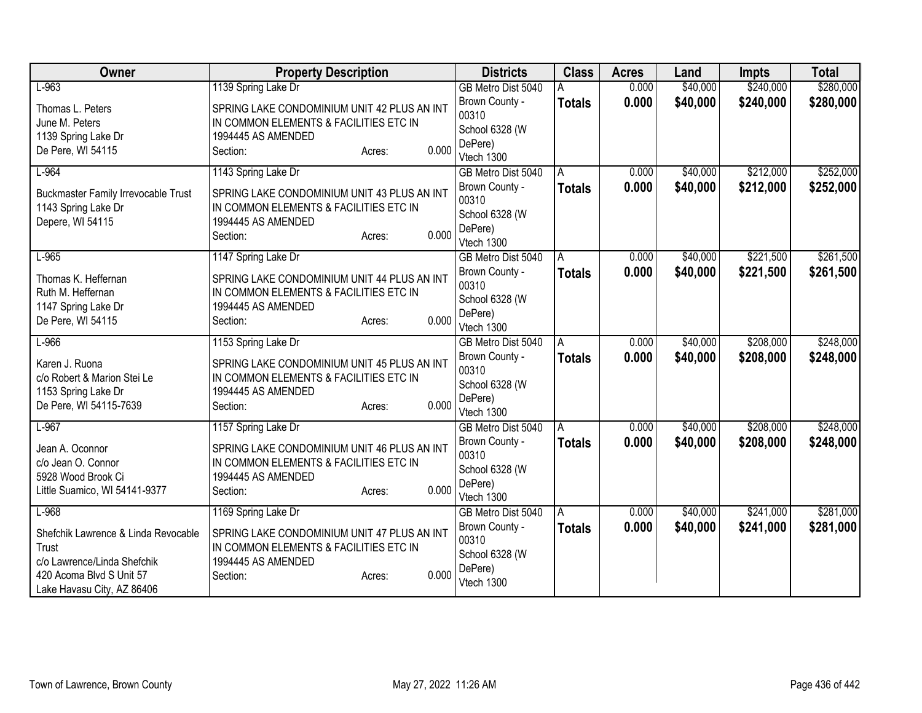| Owner                                              | <b>Property Description</b>                                  |       | <b>Districts</b>          | <b>Class</b>  | <b>Acres</b> | Land     | <b>Impts</b> | <b>Total</b> |
|----------------------------------------------------|--------------------------------------------------------------|-------|---------------------------|---------------|--------------|----------|--------------|--------------|
| $L-963$                                            | 1139 Spring Lake Dr                                          |       | GB Metro Dist 5040        |               | 0.000        | \$40,000 | \$240,000    | \$280,000    |
| Thomas L. Peters                                   | SPRING LAKE CONDOMINIUM UNIT 42 PLUS AN INT                  |       | Brown County -            | <b>Totals</b> | 0.000        | \$40,000 | \$240,000    | \$280,000    |
| June M. Peters                                     | IN COMMON ELEMENTS & FACILITIES ETC IN                       |       | 00310                     |               |              |          |              |              |
| 1139 Spring Lake Dr                                | 1994445 AS AMENDED                                           |       | School 6328 (W<br>DePere) |               |              |          |              |              |
| De Pere, WI 54115                                  | Section:<br>Acres:                                           | 0.000 | Vtech 1300                |               |              |          |              |              |
| $L-964$                                            | 1143 Spring Lake Dr                                          |       | GB Metro Dist 5040        | A             | 0.000        | \$40,000 | \$212,000    | \$252,000    |
|                                                    |                                                              |       | Brown County -            | <b>Totals</b> | 0.000        | \$40,000 | \$212,000    | \$252,000    |
| <b>Buckmaster Family Irrevocable Trust</b>         | SPRING LAKE CONDOMINIUM UNIT 43 PLUS AN INT                  |       | 00310                     |               |              |          |              |              |
| 1143 Spring Lake Dr                                | IN COMMON ELEMENTS & FACILITIES ETC IN                       |       | School 6328 (W            |               |              |          |              |              |
| Depere, WI 54115                                   | 1994445 AS AMENDED<br>Section:                               | 0.000 | DePere)                   |               |              |          |              |              |
|                                                    | Acres:                                                       |       | Vtech 1300                |               |              |          |              |              |
| $L-965$                                            | 1147 Spring Lake Dr                                          |       | GB Metro Dist 5040        | A             | 0.000        | \$40,000 | \$221,500    | \$261,500    |
| Thomas K. Heffernan                                | SPRING LAKE CONDOMINIUM UNIT 44 PLUS AN INT                  |       | Brown County -            | Totals        | 0.000        | \$40,000 | \$221,500    | \$261,500    |
| Ruth M. Heffernan                                  | IN COMMON ELEMENTS & FACILITIES ETC IN                       |       | 00310                     |               |              |          |              |              |
| 1147 Spring Lake Dr                                | 1994445 AS AMENDED                                           |       | School 6328 (W<br>DePere) |               |              |          |              |              |
| De Pere, WI 54115                                  | Section:<br>Acres:                                           | 0.000 | Vtech 1300                |               |              |          |              |              |
| $L-966$                                            | 1153 Spring Lake Dr                                          |       | GB Metro Dist 5040        | A             | 0.000        | \$40,000 | \$208,000    | \$248,000    |
|                                                    |                                                              |       | Brown County -            | <b>Totals</b> | 0.000        | \$40,000 | \$208,000    | \$248,000    |
| Karen J. Ruona                                     | SPRING LAKE CONDOMINIUM UNIT 45 PLUS AN INT                  |       | 00310                     |               |              |          |              |              |
| c/o Robert & Marion Stei Le<br>1153 Spring Lake Dr | IN COMMON ELEMENTS & FACILITIES ETC IN<br>1994445 AS AMENDED |       | School 6328 (W            |               |              |          |              |              |
| De Pere, WI 54115-7639                             | Section:<br>Acres:                                           | 0.000 | DePere)                   |               |              |          |              |              |
|                                                    |                                                              |       | Vtech 1300                |               |              |          |              |              |
| $L-967$                                            | 1157 Spring Lake Dr                                          |       | GB Metro Dist 5040        | A             | 0.000        | \$40,000 | \$208,000    | \$248,000    |
| Jean A. Oconnor                                    | SPRING LAKE CONDOMINIUM UNIT 46 PLUS AN INT                  |       | Brown County -            | <b>Totals</b> | 0.000        | \$40,000 | \$208,000    | \$248,000    |
| c/o Jean O. Connor                                 | IN COMMON ELEMENTS & FACILITIES ETC IN                       |       | 00310<br>School 6328 (W   |               |              |          |              |              |
| 5928 Wood Brook Ci                                 | 1994445 AS AMENDED                                           |       | DePere)                   |               |              |          |              |              |
| Little Suamico, WI 54141-9377                      | Section:<br>Acres:                                           | 0.000 | Vtech 1300                |               |              |          |              |              |
| $L-968$                                            | 1169 Spring Lake Dr                                          |       | GB Metro Dist 5040        | A             | 0.000        | \$40,000 | \$241,000    | \$281,000    |
| Shefchik Lawrence & Linda Revocable                | SPRING LAKE CONDOMINIUM UNIT 47 PLUS AN INT                  |       | Brown County -            | <b>Totals</b> | 0.000        | \$40,000 | \$241,000    | \$281,000    |
| Trust                                              | IN COMMON ELEMENTS & FACILITIES ETC IN                       |       | 00310                     |               |              |          |              |              |
| c/o Lawrence/Linda Shefchik                        | 1994445 AS AMENDED                                           |       | School 6328 (W            |               |              |          |              |              |
| 420 Acoma Blvd S Unit 57                           | Section:<br>Acres:                                           | 0.000 | DePere)                   |               |              |          |              |              |
| Lake Havasu City, AZ 86406                         |                                                              |       | Vtech 1300                |               |              |          |              |              |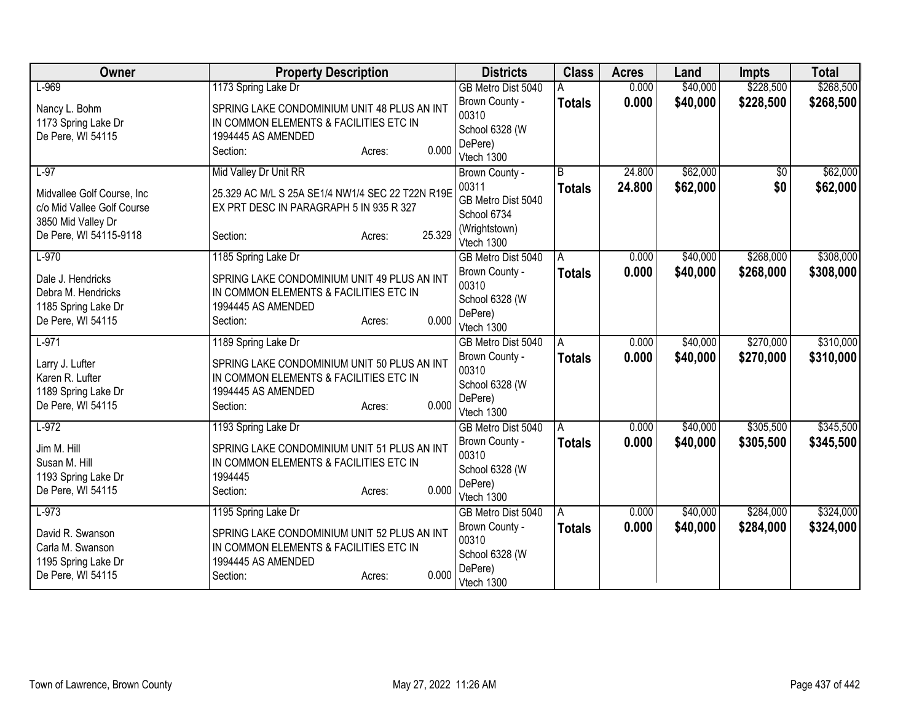| Owner                                            | <b>Property Description</b>                       | <b>Districts</b>        | <b>Class</b>  | <b>Acres</b> | Land     | <b>Impts</b>    | <b>Total</b> |
|--------------------------------------------------|---------------------------------------------------|-------------------------|---------------|--------------|----------|-----------------|--------------|
| $L-969$                                          | 1173 Spring Lake Dr                               | GB Metro Dist 5040      |               | 0.000        | \$40,000 | \$228,500       | \$268,500    |
| Nancy L. Bohm                                    | SPRING LAKE CONDOMINIUM UNIT 48 PLUS AN INT       | Brown County -          | <b>Totals</b> | 0.000        | \$40,000 | \$228,500       | \$268,500    |
| 1173 Spring Lake Dr                              | IN COMMON ELEMENTS & FACILITIES ETC IN            | 00310                   |               |              |          |                 |              |
| De Pere, WI 54115                                | 1994445 AS AMENDED                                | School 6328 (W          |               |              |          |                 |              |
|                                                  | 0.000<br>Section:<br>Acres:                       | DePere)<br>Vtech 1300   |               |              |          |                 |              |
| $L-97$                                           | Mid Valley Dr Unit RR                             | Brown County -          | B             | 24.800       | \$62,000 | $\overline{50}$ | \$62,000     |
|                                                  |                                                   | 00311                   | <b>Totals</b> | 24.800       | \$62,000 | \$0             | \$62,000     |
| Midvallee Golf Course, Inc.                      | 25.329 AC M/L S 25A SE1/4 NW1/4 SEC 22 T22N R19E  | GB Metro Dist 5040      |               |              |          |                 |              |
| c/o Mid Vallee Golf Course<br>3850 Mid Valley Dr | EX PRT DESC IN PARAGRAPH 5 IN 935 R 327           | School 6734             |               |              |          |                 |              |
| De Pere, WI 54115-9118                           | 25.329<br>Section:<br>Acres:                      | (Wrightstown)           |               |              |          |                 |              |
|                                                  |                                                   | Vtech 1300              |               |              |          |                 |              |
| $L-970$                                          | 1185 Spring Lake Dr                               | GB Metro Dist 5040      | A             | 0.000        | \$40,000 | \$268,000       | \$308,000    |
| Dale J. Hendricks                                | SPRING LAKE CONDOMINIUM UNIT 49 PLUS AN INT       | Brown County -<br>00310 | <b>Totals</b> | 0.000        | \$40,000 | \$268,000       | \$308,000    |
| Debra M. Hendricks                               | IN COMMON ELEMENTS & FACILITIES ETC IN            | School 6328 (W          |               |              |          |                 |              |
| 1185 Spring Lake Dr                              | 1994445 AS AMENDED                                | DePere)                 |               |              |          |                 |              |
| De Pere, WI 54115                                | 0.000<br>Section:<br>Acres:                       | Vtech 1300              |               |              |          |                 |              |
| $L-971$                                          | 1189 Spring Lake Dr                               | GB Metro Dist 5040      | A             | 0.000        | \$40,000 | \$270,000       | \$310,000    |
| Larry J. Lufter                                  | SPRING LAKE CONDOMINIUM UNIT 50 PLUS AN INT       | Brown County -          | <b>Totals</b> | 0.000        | \$40,000 | \$270,000       | \$310,000    |
| Karen R. Lufter                                  | IN COMMON ELEMENTS & FACILITIES ETC IN            | 00310                   |               |              |          |                 |              |
| 1189 Spring Lake Dr                              | 1994445 AS AMENDED                                | School 6328 (W          |               |              |          |                 |              |
| De Pere, WI 54115                                | 0.000<br>Section:<br>Acres:                       | DePere)<br>Vtech 1300   |               |              |          |                 |              |
| $L-972$                                          | 1193 Spring Lake Dr                               | GB Metro Dist 5040      | A             | 0.000        | \$40,000 | \$305,500       | \$345,500    |
|                                                  |                                                   | Brown County -          | <b>Totals</b> | 0.000        | \$40,000 | \$305,500       | \$345,500    |
| Jim M. Hill                                      | SPRING LAKE CONDOMINIUM UNIT 51 PLUS AN INT       | 00310                   |               |              |          |                 |              |
| Susan M. Hill<br>1193 Spring Lake Dr             | IN COMMON ELEMENTS & FACILITIES ETC IN<br>1994445 | School 6328 (W          |               |              |          |                 |              |
| De Pere, WI 54115                                | 0.000<br>Section:<br>Acres:                       | DePere)                 |               |              |          |                 |              |
|                                                  |                                                   | Vtech 1300              |               |              |          |                 |              |
| $L-973$                                          | 1195 Spring Lake Dr                               | GB Metro Dist 5040      | A             | 0.000        | \$40,000 | \$284,000       | \$324,000    |
| David R. Swanson                                 | SPRING LAKE CONDOMINIUM UNIT 52 PLUS AN INT       | Brown County -<br>00310 | <b>Totals</b> | 0.000        | \$40,000 | \$284,000       | \$324,000    |
| Carla M. Swanson                                 | IN COMMON ELEMENTS & FACILITIES ETC IN            | School 6328 (W          |               |              |          |                 |              |
| 1195 Spring Lake Dr                              | 1994445 AS AMENDED                                | DePere)                 |               |              |          |                 |              |
| De Pere, WI 54115                                | 0.000<br>Section:<br>Acres:                       | Vtech 1300              |               |              |          |                 |              |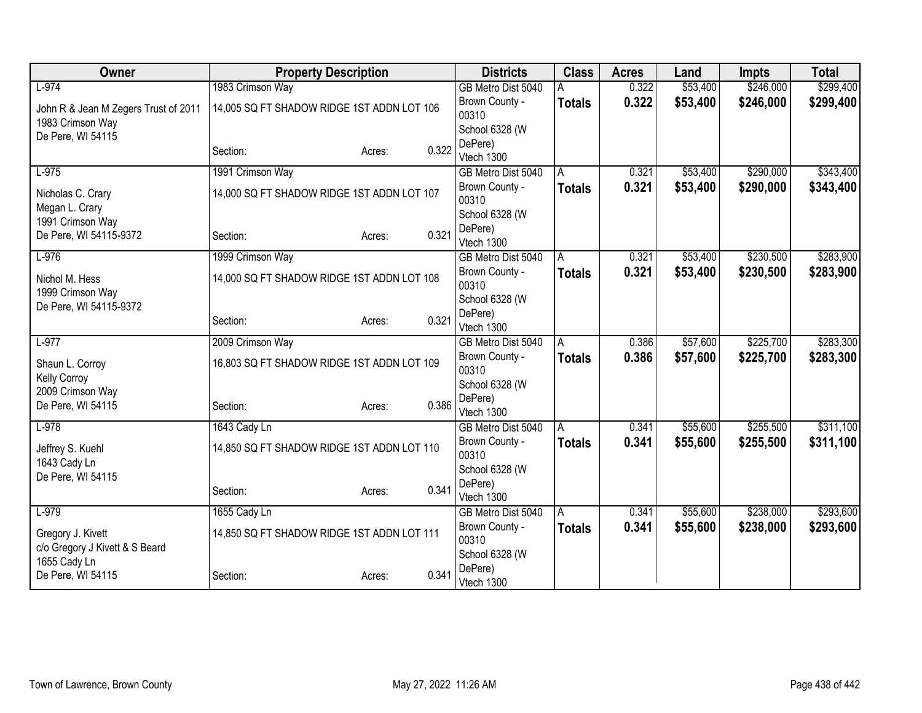| Owner                                | <b>Property Description</b>                |        |       | <b>Districts</b>        | <b>Class</b>  | <b>Acres</b> | Land     | <b>Impts</b> | <b>Total</b> |
|--------------------------------------|--------------------------------------------|--------|-------|-------------------------|---------------|--------------|----------|--------------|--------------|
| $L-974$                              | 1983 Crimson Way                           |        |       | GB Metro Dist 5040      |               | 0.322        | \$53,400 | \$246,000    | \$299,400    |
| John R & Jean M Zegers Trust of 2011 | 14,005 SQ FT SHADOW RIDGE 1ST ADDN LOT 106 |        |       | Brown County -          | <b>Totals</b> | 0.322        | \$53,400 | \$246,000    | \$299,400    |
| 1983 Crimson Way                     |                                            |        |       | 00310                   |               |              |          |              |              |
| De Pere, WI 54115                    |                                            |        |       | School 6328 (W          |               |              |          |              |              |
|                                      | Section:                                   | Acres: | 0.322 | DePere)<br>Vtech 1300   |               |              |          |              |              |
| $L-975$                              | 1991 Crimson Way                           |        |       | GB Metro Dist 5040      |               | 0.321        | \$53,400 | \$290,000    | \$343,400    |
|                                      |                                            |        |       | Brown County -          | A             | 0.321        | \$53,400 | \$290,000    |              |
| Nicholas C. Crary                    | 14,000 SQ FT SHADOW RIDGE 1ST ADDN LOT 107 |        |       | 00310                   | <b>Totals</b> |              |          |              | \$343,400    |
| Megan L. Crary                       |                                            |        |       | School 6328 (W          |               |              |          |              |              |
| 1991 Crimson Way                     |                                            |        |       | DePere)                 |               |              |          |              |              |
| De Pere, WI 54115-9372               | Section:                                   | Acres: | 0.321 | Vtech 1300              |               |              |          |              |              |
| $L-976$                              | 1999 Crimson Way                           |        |       | GB Metro Dist 5040      | A             | 0.321        | \$53,400 | \$230,500    | \$283,900    |
| Nichol M. Hess                       | 14,000 SQ FT SHADOW RIDGE 1ST ADDN LOT 108 |        |       | Brown County -          | <b>Totals</b> | 0.321        | \$53,400 | \$230,500    | \$283,900    |
| 1999 Crimson Way                     |                                            |        |       | 00310                   |               |              |          |              |              |
| De Pere, WI 54115-9372               |                                            |        |       | School 6328 (W          |               |              |          |              |              |
|                                      | Section:                                   | Acres: | 0.321 | DePere)                 |               |              |          |              |              |
|                                      |                                            |        |       | Vtech 1300              |               |              |          |              |              |
| $L-977$                              | 2009 Crimson Way                           |        |       | GB Metro Dist 5040      | A             | 0.386        | \$57,600 | \$225,700    | \$283,300    |
| Shaun L. Corroy                      | 16,803 SQ FT SHADOW RIDGE 1ST ADDN LOT 109 |        |       | Brown County -<br>00310 | <b>Totals</b> | 0.386        | \$57,600 | \$225,700    | \$283,300    |
| Kelly Corroy                         |                                            |        |       | School 6328 (W          |               |              |          |              |              |
| 2009 Crimson Way                     |                                            |        |       | DePere)                 |               |              |          |              |              |
| De Pere, WI 54115                    | Section:                                   | Acres: | 0.386 | Vtech 1300              |               |              |          |              |              |
| $L-978$                              | 1643 Cady Ln                               |        |       | GB Metro Dist 5040      | A             | 0.341        | \$55,600 | \$255,500    | \$311,100    |
| Jeffrey S. Kuehl                     | 14,850 SQ FT SHADOW RIDGE 1ST ADDN LOT 110 |        |       | Brown County -          | <b>Totals</b> | 0.341        | \$55,600 | \$255,500    | \$311,100    |
| 1643 Cady Ln                         |                                            |        |       | 00310                   |               |              |          |              |              |
| De Pere, WI 54115                    |                                            |        |       | School 6328 (W          |               |              |          |              |              |
|                                      | Section:                                   | Acres: | 0.341 | DePere)                 |               |              |          |              |              |
|                                      |                                            |        |       | Vtech 1300              |               |              |          |              |              |
| $L-979$                              | 1655 Cady Ln                               |        |       | GB Metro Dist 5040      | A             | 0.341        | \$55,600 | \$238,000    | \$293,600    |
| Gregory J. Kivett                    | 14,850 SQ FT SHADOW RIDGE 1ST ADDN LOT 111 |        |       | Brown County -<br>00310 | <b>Totals</b> | 0.341        | \$55,600 | \$238,000    | \$293,600    |
| c/o Gregory J Kivett & S Beard       |                                            |        |       | School 6328 (W          |               |              |          |              |              |
| 1655 Cady Ln                         |                                            |        |       | DePere)                 |               |              |          |              |              |
| De Pere, WI 54115                    | Section:                                   | Acres: | 0.341 | Vtech 1300              |               |              |          |              |              |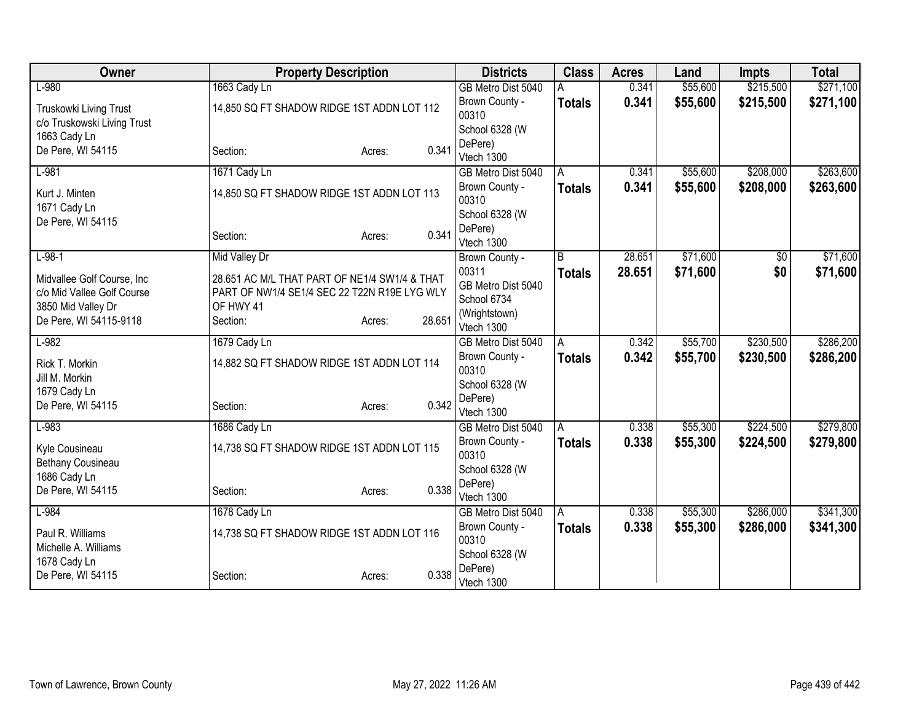| Owner                       | <b>Property Description</b>                   |                  | <b>Districts</b>                 | <b>Class</b>  | <b>Acres</b> | Land     | <b>Impts</b> | <b>Total</b> |
|-----------------------------|-----------------------------------------------|------------------|----------------------------------|---------------|--------------|----------|--------------|--------------|
| $L-980$                     | 1663 Cady Ln                                  |                  | GB Metro Dist 5040               |               | 0.341        | \$55,600 | \$215,500    | \$271,100    |
| Truskowki Living Trust      | 14,850 SQ FT SHADOW RIDGE 1ST ADDN LOT 112    |                  | Brown County -                   | <b>Totals</b> | 0.341        | \$55,600 | \$215,500    | \$271,100    |
| c/o Truskowski Living Trust |                                               |                  | 00310                            |               |              |          |              |              |
| 1663 Cady Ln                |                                               |                  | School 6328 (W                   |               |              |          |              |              |
| De Pere, WI 54115           | Section:                                      | 0.341<br>Acres:  | DePere)<br>Vtech 1300            |               |              |          |              |              |
| $L-981$                     | 1671 Cady Ln                                  |                  | GB Metro Dist 5040               | A             | 0.341        | \$55,600 | \$208,000    | \$263,600    |
|                             |                                               |                  | Brown County -                   | <b>Totals</b> | 0.341        | \$55,600 | \$208,000    | \$263,600    |
| Kurt J. Minten              | 14,850 SQ FT SHADOW RIDGE 1ST ADDN LOT 113    |                  | 00310                            |               |              |          |              |              |
| 1671 Cady Ln                |                                               |                  | School 6328 (W                   |               |              |          |              |              |
| De Pere, WI 54115           |                                               |                  | DePere)                          |               |              |          |              |              |
|                             | Section:                                      | 0.341<br>Acres:  | Vtech 1300                       |               |              |          |              |              |
| $L-98-1$                    | Mid Valley Dr                                 |                  | Brown County -                   | B             | 28.651       | \$71,600 | \$0          | \$71,600     |
| Midvallee Golf Course, Inc. | 28.651 AC M/L THAT PART OF NE1/4 SW1/4 & THAT |                  | 00311                            | <b>Totals</b> | 28.651       | \$71,600 | \$0          | \$71,600     |
| c/o Mid Vallee Golf Course  | PART OF NW1/4 SE1/4 SEC 22 T22N R19E LYG WLY  |                  | GB Metro Dist 5040               |               |              |          |              |              |
| 3850 Mid Valley Dr          | OF HWY 41                                     |                  | School 6734                      |               |              |          |              |              |
| De Pere, WI 54115-9118      | Section:                                      | 28.651<br>Acres: | (Wrightstown)                    |               |              |          |              |              |
| $L-982$                     |                                               |                  | Vtech 1300                       |               | 0.342        | \$55,700 | \$230,500    | \$286,200    |
|                             | 1679 Cady Ln                                  |                  | GB Metro Dist 5040               | A             |              | \$55,700 |              |              |
| Rick T. Morkin              | 14,882 SQ FT SHADOW RIDGE 1ST ADDN LOT 114    |                  | Brown County -<br>00310          | <b>Totals</b> | 0.342        |          | \$230,500    | \$286,200    |
| Jill M. Morkin              |                                               |                  | School 6328 (W                   |               |              |          |              |              |
| 1679 Cady Ln                |                                               |                  | DePere)                          |               |              |          |              |              |
| De Pere, WI 54115           | Section:                                      | 0.342<br>Acres:  | Vtech 1300                       |               |              |          |              |              |
| $L-983$                     | 1686 Cady Ln                                  |                  | GB Metro Dist 5040               | A             | 0.338        | \$55,300 | \$224,500    | \$279,800    |
| Kyle Cousineau              | 14,738 SQ FT SHADOW RIDGE 1ST ADDN LOT 115    |                  | Brown County -                   | <b>Totals</b> | 0.338        | \$55,300 | \$224,500    | \$279,800    |
| Bethany Cousineau           |                                               |                  | 00310                            |               |              |          |              |              |
| 1686 Cady Ln                |                                               |                  | School 6328 (W                   |               |              |          |              |              |
| De Pere, WI 54115           | Section:                                      | 0.338<br>Acres:  | DePere)                          |               |              |          |              |              |
| $L-984$                     |                                               |                  | Vtech 1300<br>GB Metro Dist 5040 |               | 0.338        | \$55,300 | \$286,000    | \$341,300    |
|                             | 1678 Cady Ln                                  |                  | Brown County -                   | ΙA            |              |          |              |              |
| Paul R. Williams            | 14,738 SQ FT SHADOW RIDGE 1ST ADDN LOT 116    |                  | 00310                            | <b>Totals</b> | 0.338        | \$55,300 | \$286,000    | \$341,300    |
| Michelle A. Williams        |                                               |                  | School 6328 (W                   |               |              |          |              |              |
| 1678 Cady Ln                |                                               |                  | DePere)                          |               |              |          |              |              |
| De Pere, WI 54115           | Section:                                      | 0.338<br>Acres:  | Vtech 1300                       |               |              |          |              |              |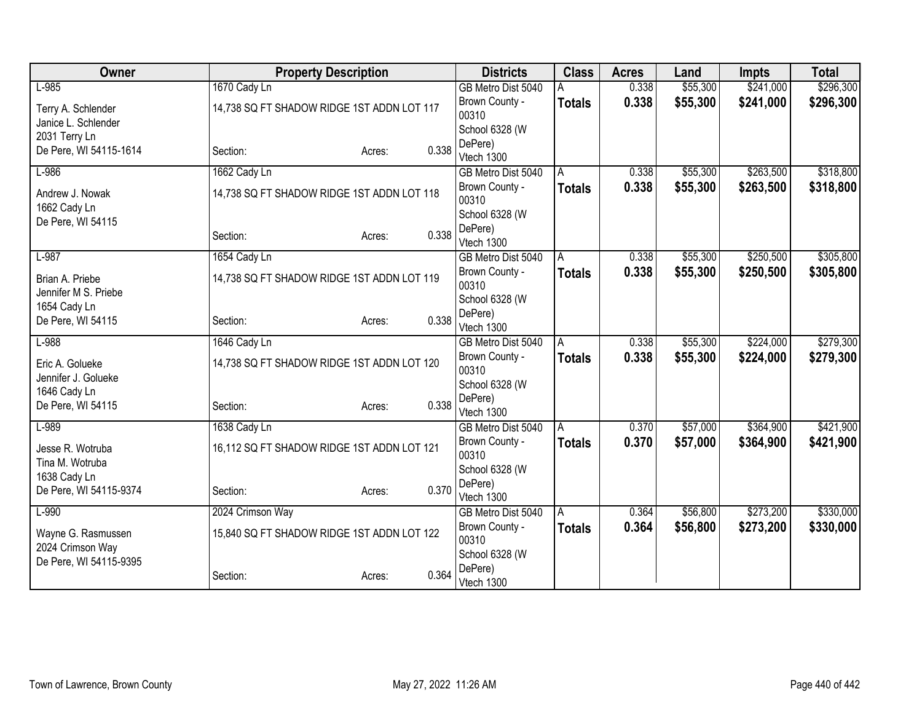| Owner                  | <b>Property Description</b>                |                 | <b>Districts</b>                     | <b>Class</b>  | <b>Acres</b> | Land                 | <b>Impts</b> | <b>Total</b> |
|------------------------|--------------------------------------------|-----------------|--------------------------------------|---------------|--------------|----------------------|--------------|--------------|
| $L-985$                | 1670 Cady Ln                               |                 | GB Metro Dist 5040                   |               | 0.338        | \$55,300             | \$241,000    | \$296,300    |
| Terry A. Schlender     | 14,738 SQ FT SHADOW RIDGE 1ST ADDN LOT 117 |                 | Brown County -                       | <b>Totals</b> | 0.338        | \$55,300             | \$241,000    | \$296,300    |
| Janice L. Schlender    |                                            |                 | 00310                                |               |              |                      |              |              |
| 2031 Terry Ln          |                                            |                 | School 6328 (W                       |               |              |                      |              |              |
| De Pere, WI 54115-1614 | Section:                                   | 0.338<br>Acres: | DePere)<br>Vtech 1300                |               |              |                      |              |              |
| $L-986$                | 1662 Cady Ln                               |                 | GB Metro Dist 5040                   | A             | 0.338        | \$55,300             | \$263,500    | \$318,800    |
|                        |                                            |                 | Brown County -                       | <b>Totals</b> | 0.338        | \$55,300             | \$263,500    | \$318,800    |
| Andrew J. Nowak        | 14,738 SQ FT SHADOW RIDGE 1ST ADDN LOT 118 | 00310           |                                      |               |              |                      |              |              |
| 1662 Cady Ln           |                                            |                 | School 6328 (W                       |               |              |                      |              |              |
| De Pere, WI 54115      |                                            |                 | DePere)                              |               |              |                      |              |              |
|                        | Section:                                   | 0.338<br>Acres: | Vtech 1300                           |               |              |                      |              |              |
| $L-987$                | 1654 Cady Ln                               |                 | GB Metro Dist 5040                   | A             | 0.338        | \$55,300             | \$250,500    | \$305,800    |
| Brian A. Priebe        | 14,738 SQ FT SHADOW RIDGE 1ST ADDN LOT 119 |                 | Brown County -                       | <b>Totals</b> | 0.338        | \$55,300             | \$250,500    | \$305,800    |
| Jennifer M S. Priebe   |                                            |                 | 00310                                |               |              |                      |              |              |
| 1654 Cady Ln           |                                            |                 | School 6328 (W                       |               |              |                      |              |              |
| De Pere, WI 54115      | Section:                                   | 0.338<br>Acres: | DePere)                              |               |              |                      |              |              |
| $L-988$                |                                            |                 | Vtech 1300                           |               | 0.338        |                      | \$224,000    | \$279,300    |
|                        | 1646 Cady Ln                               |                 | GB Metro Dist 5040<br>Brown County - | A             | 0.338        | \$55,300<br>\$55,300 | \$224,000    |              |
| Eric A. Golueke        | 14,738 SQ FT SHADOW RIDGE 1ST ADDN LOT 120 |                 | 00310                                | <b>Totals</b> |              |                      |              | \$279,300    |
| Jennifer J. Golueke    |                                            |                 | School 6328 (W                       |               |              |                      |              |              |
| 1646 Cady Ln           |                                            |                 | DePere)                              |               |              |                      |              |              |
| De Pere, WI 54115      | Section:                                   | 0.338<br>Acres: | Vtech 1300                           |               |              |                      |              |              |
| $L-989$                | 1638 Cady Ln                               |                 | GB Metro Dist 5040                   | A             | 0.370        | \$57,000             | \$364,900    | \$421,900    |
| Jesse R. Wotruba       | 16,112 SQ FT SHADOW RIDGE 1ST ADDN LOT 121 |                 | Brown County -                       | <b>Totals</b> | 0.370        | \$57,000             | \$364,900    | \$421,900    |
| Tina M. Wotruba        |                                            |                 | 00310                                |               |              |                      |              |              |
| 1638 Cady Ln           |                                            |                 | School 6328 (W                       |               |              |                      |              |              |
| De Pere, WI 54115-9374 | Section:                                   | 0.370<br>Acres: | DePere)                              |               |              |                      |              |              |
| $L-990$                | 2024 Crimson Way                           |                 | Vtech 1300                           |               | 0.364        | \$56,800             | \$273,200    | \$330,000    |
|                        |                                            |                 | GB Metro Dist 5040<br>Brown County - | A             |              |                      |              |              |
| Wayne G. Rasmussen     | 15,840 SQ FT SHADOW RIDGE 1ST ADDN LOT 122 |                 | 00310                                | Totals        | 0.364        | \$56,800             | \$273,200    | \$330,000    |
| 2024 Crimson Way       |                                            |                 | School 6328 (W                       |               |              |                      |              |              |
| De Pere, WI 54115-9395 |                                            |                 | DePere)                              |               |              |                      |              |              |
|                        | Section:                                   | 0.364<br>Acres: | Vtech 1300                           |               |              |                      |              |              |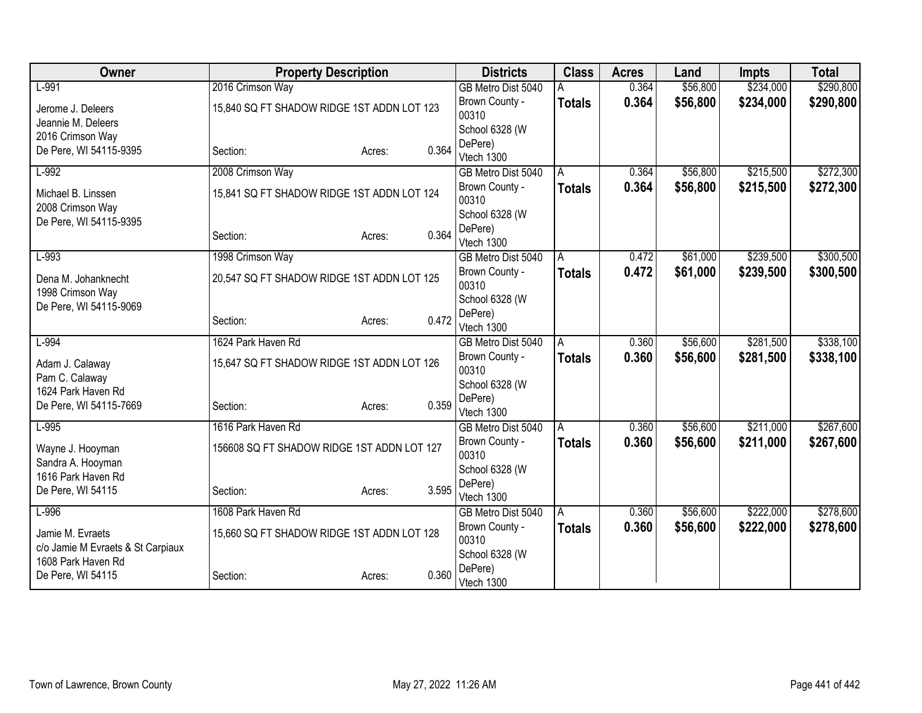| Owner                                                             | <b>Property Description</b>                |                 | <b>Districts</b>                     | <b>Class</b>  | <b>Acres</b> | Land                 | <b>Impts</b> | <b>Total</b> |
|-------------------------------------------------------------------|--------------------------------------------|-----------------|--------------------------------------|---------------|--------------|----------------------|--------------|--------------|
| $L-991$                                                           | 2016 Crimson Way                           |                 | GB Metro Dist 5040                   |               | 0.364        | \$56,800             | \$234,000    | \$290,800    |
| Jerome J. Deleers                                                 | 15,840 SQ FT SHADOW RIDGE 1ST ADDN LOT 123 |                 | Brown County -                       | <b>Totals</b> | 0.364        | \$56,800             | \$234,000    | \$290,800    |
| Jeannie M. Deleers                                                |                                            |                 | 00310                                |               |              |                      |              |              |
| 2016 Crimson Way                                                  |                                            |                 | School 6328 (W                       |               |              |                      |              |              |
| De Pere, WI 54115-9395                                            | Section:                                   | 0.364<br>Acres: | DePere)<br>Vtech 1300                |               |              |                      |              |              |
| $L-992$                                                           | 2008 Crimson Way                           |                 | GB Metro Dist 5040                   | A             | 0.364        | \$56,800             | \$215,500    | \$272,300    |
|                                                                   |                                            |                 | Brown County -                       | <b>Totals</b> | 0.364        | \$56,800             | \$215,500    | \$272,300    |
| Michael B. Linssen                                                | 15,841 SQ FT SHADOW RIDGE 1ST ADDN LOT 124 |                 | 00310                                |               |              |                      |              |              |
| 2008 Crimson Way                                                  |                                            |                 | School 6328 (W                       |               |              |                      |              |              |
| De Pere, WI 54115-9395                                            |                                            |                 | DePere)                              |               |              |                      |              |              |
|                                                                   | Section:                                   | 0.364<br>Acres: | Vtech 1300                           |               |              |                      |              |              |
| $L-993$                                                           | 1998 Crimson Way                           |                 | GB Metro Dist 5040                   | A             | 0.472        | \$61,000             | \$239,500    | \$300,500    |
| 20,547 SQ FT SHADOW RIDGE 1ST ADDN LOT 125<br>Dena M. Johanknecht |                                            |                 | Brown County -                       | <b>Totals</b> | 0.472        | \$61,000             | \$239,500    | \$300,500    |
| 1998 Crimson Way                                                  |                                            |                 | 00310                                |               |              |                      |              |              |
| De Pere, WI 54115-9069                                            |                                            |                 | School 6328 (W                       |               |              |                      |              |              |
|                                                                   | Section:                                   | 0.472<br>Acres: | DePere)                              |               |              |                      |              |              |
| $L-994$                                                           | 1624 Park Haven Rd                         |                 | Vtech 1300                           |               | 0.360        |                      | \$281,500    | \$338,100    |
|                                                                   |                                            |                 | GB Metro Dist 5040<br>Brown County - | A             | 0.360        | \$56,600<br>\$56,600 | \$281,500    |              |
| Adam J. Calaway                                                   | 15,647 SQ FT SHADOW RIDGE 1ST ADDN LOT 126 |                 | 00310                                | <b>Totals</b> |              |                      |              | \$338,100    |
| Pam C. Calaway                                                    |                                            |                 | School 6328 (W                       |               |              |                      |              |              |
| 1624 Park Haven Rd                                                |                                            |                 | DePere)                              |               |              |                      |              |              |
| De Pere, WI 54115-7669                                            | Section:                                   | 0.359<br>Acres: | Vtech 1300                           |               |              |                      |              |              |
| $L-995$                                                           | 1616 Park Haven Rd                         |                 | GB Metro Dist 5040                   | A             | 0.360        | \$56,600             | \$211,000    | \$267,600    |
| Wayne J. Hooyman                                                  | 156608 SQ FT SHADOW RIDGE 1ST ADDN LOT 127 |                 | Brown County -                       | <b>Totals</b> | 0.360        | \$56,600             | \$211,000    | \$267,600    |
| Sandra A. Hooyman                                                 |                                            |                 | 00310                                |               |              |                      |              |              |
| 1616 Park Haven Rd                                                |                                            |                 | School 6328 (W                       |               |              |                      |              |              |
| De Pere, WI 54115                                                 | Section:                                   | 3.595<br>Acres: | DePere)                              |               |              |                      |              |              |
| $L-996$                                                           | 1608 Park Haven Rd                         |                 | Vtech 1300                           |               | 0.360        | \$56,600             | \$222,000    | \$278,600    |
|                                                                   |                                            |                 | GB Metro Dist 5040<br>Brown County - | A             |              |                      |              |              |
| Jamie M. Evraets                                                  | 15,660 SQ FT SHADOW RIDGE 1ST ADDN LOT 128 |                 | 00310                                | <b>Totals</b> | 0.360        | \$56,600             | \$222,000    | \$278,600    |
| c/o Jamie M Evraets & St Carpiaux                                 |                                            |                 | School 6328 (W                       |               |              |                      |              |              |
| 1608 Park Haven Rd                                                |                                            |                 | DePere)                              |               |              |                      |              |              |
| De Pere, WI 54115                                                 | Section:                                   | 0.360<br>Acres: | Vtech 1300                           |               |              |                      |              |              |